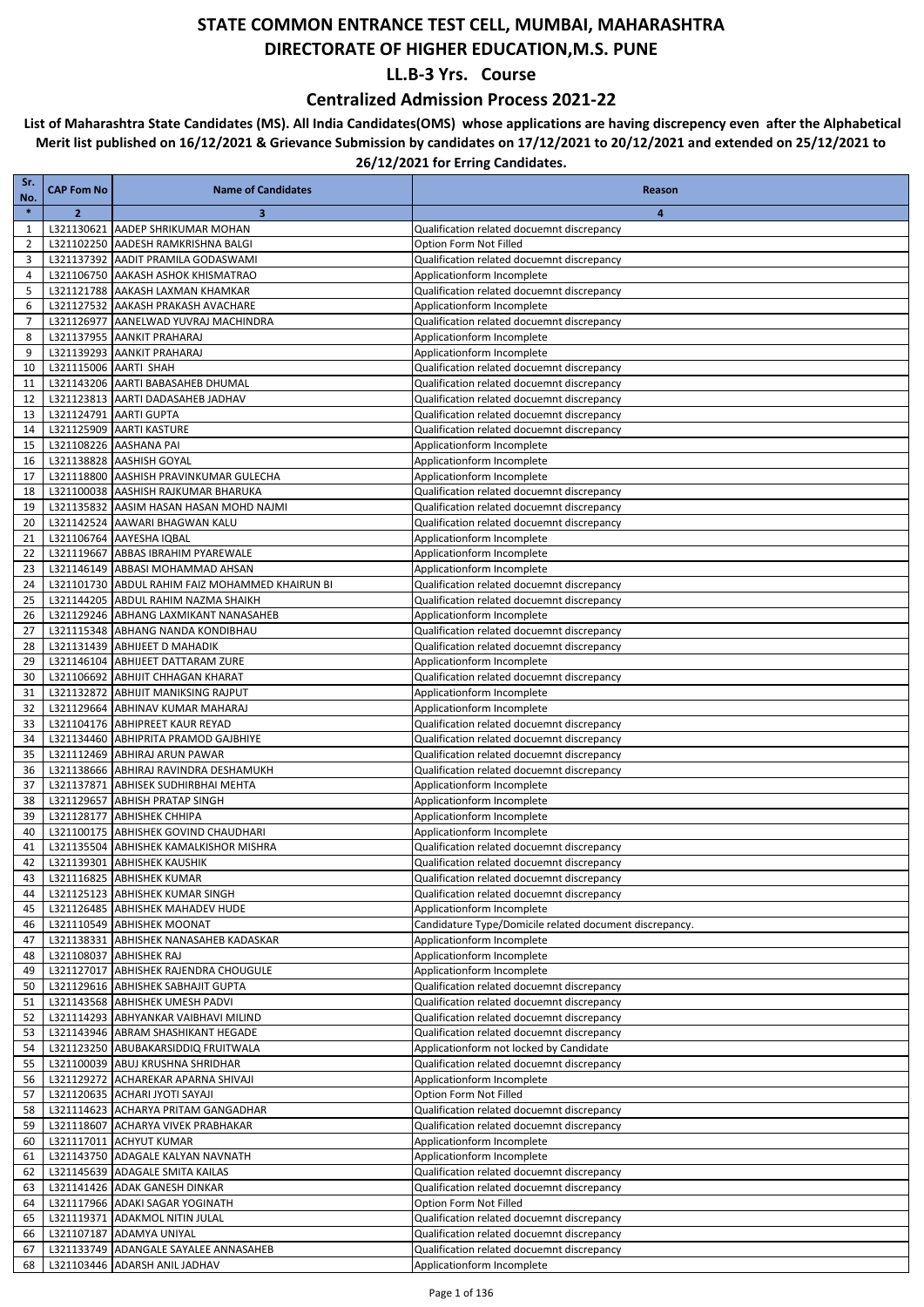### **Centralized Admission Process 2021-22**

| Sr.<br>No.     | <b>CAP Fom No</b>     | <b>Name of Candidates</b>                                                 | Reason                                                                                   |
|----------------|-----------------------|---------------------------------------------------------------------------|------------------------------------------------------------------------------------------|
| $\ast$         | $\overline{2}$        | $\overline{\mathbf{3}}$                                                   | 4                                                                                        |
| 1              |                       | L321130621 AADEP SHRIKUMAR MOHAN                                          | Qualification related docuemnt discrepancy                                               |
| $\overline{2}$ |                       | L321102250 AADESH RAMKRISHNA BALGI                                        | Option Form Not Filled                                                                   |
| 3              |                       | L321137392 AADIT PRAMILA GODASWAMI                                        | Qualification related docuemnt discrepancy                                               |
| 4              |                       | L321106750 AAKASH ASHOK KHISMATRAO                                        | Applicationform Incomplete                                                               |
| 5<br>6         |                       | L321121788 AAKASH LAXMAN KHAMKAR<br>L321127532 AAKASH PRAKASH AVACHARE    | Qualification related docuemnt discrepancy                                               |
| $\overline{7}$ |                       | L321126977 AANELWAD YUVRAJ MACHINDRA                                      | Applicationform Incomplete<br>Qualification related docuemnt discrepancy                 |
| 8              |                       | L321137955 AANKIT PRAHARAJ                                                | Applicationform Incomplete                                                               |
| 9              |                       | L321139293 AANKIT PRAHARAJ                                                | Applicationform Incomplete                                                               |
| 10             | L321115006 AARTI SHAH |                                                                           | Qualification related docuemnt discrepancy                                               |
| 11             |                       | L321143206 AARTI BABASAHEB DHUMAL                                         | Qualification related docuemnt discrepancy                                               |
| 12             |                       | L321123813 AARTI DADASAHEB JADHAV                                         | Qualification related docuemnt discrepancy                                               |
| 13<br>14       |                       | L321124791 AARTI GUPTA<br>L321125909 AARTI KASTURE                        | Qualification related docuemnt discrepancy<br>Qualification related docuemnt discrepancy |
| 15             |                       | L321108226 AASHANA PAI                                                    | Applicationform Incomplete                                                               |
| 16             |                       | L321138828 AASHISH GOYAL                                                  | Applicationform Incomplete                                                               |
| 17             |                       | L321118800 AASHISH PRAVINKUMAR GULECHA                                    | Applicationform Incomplete                                                               |
| 18             |                       | L321100038 AASHISH RAJKUMAR BHARUKA                                       | Qualification related docuemnt discrepancy                                               |
| 19             |                       | L321135832 AASIM HASAN HASAN MOHD NAJMI                                   | Qualification related docuemnt discrepancy                                               |
| 20             |                       | L321142524 AAWARI BHAGWAN KALU                                            | Qualification related docuemnt discrepancy                                               |
| 21             |                       | L321106764 AAYESHA IQBAL                                                  | Applicationform Incomplete                                                               |
| 22<br>23       |                       | L321119667 ABBAS IBRAHIM PYAREWALE<br>L321146149 ABBASI MOHAMMAD AHSAN    | Applicationform Incomplete<br>Applicationform Incomplete                                 |
| 24             |                       | L321101730 ABDUL RAHIM FAIZ MOHAMMED KHAIRUN BI                           | Qualification related docuemnt discrepancy                                               |
| 25             |                       | L321144205 ABDUL RAHIM NAZMA SHAIKH                                       | Qualification related docuemnt discrepancy                                               |
| 26             |                       | L321129246 ABHANG LAXMIKANT NANASAHEB                                     | Applicationform Incomplete                                                               |
| 27             |                       | L321115348 ABHANG NANDA KONDIBHAU                                         | Qualification related docuemnt discrepancy                                               |
| 28             |                       | L321131439 ABHIJEET D MAHADIK                                             | Qualification related docuemnt discrepancy                                               |
| 29             |                       | L321146104 ABHIJEET DATTARAM ZURE                                         | Applicationform Incomplete                                                               |
| 30<br>31       |                       | L321106692 ABHIJIT CHHAGAN KHARAT<br>L321132872 ABHIJIT MANIKSING RAJPUT  | Qualification related docuemnt discrepancy<br>Applicationform Incomplete                 |
| 32             |                       | L321129664 ABHINAV KUMAR MAHARAJ                                          | Applicationform Incomplete                                                               |
| 33             |                       | L321104176 ABHIPREET KAUR REYAD                                           | Qualification related docuemnt discrepancy                                               |
| 34             |                       | L321134460 ABHIPRITA PRAMOD GAJBHIYE                                      | Qualification related docuemnt discrepancy                                               |
| 35             |                       | L321112469 ABHIRAJ ARUN PAWAR                                             | Qualification related docuemnt discrepancy                                               |
| 36             |                       | L321138666 ABHIRAJ RAVINDRA DESHAMUKH                                     | Qualification related docuemnt discrepancy                                               |
| 37             |                       | L321137871 ABHISEK SUDHIRBHAI MEHTA                                       | Applicationform Incomplete                                                               |
| 38<br>39       |                       | L321129657 ABHISH PRATAP SINGH<br>L321128177 ABHISHEK CHHIPA              | Applicationform Incomplete<br>Applicationform Incomplete                                 |
| 40             |                       | L321100175 ABHISHEK GOVIND CHAUDHARI                                      | Applicationform Incomplete                                                               |
| 41             |                       | L321135504 ABHISHEK KAMALKISHOR MISHRA                                    | Qualification related docuemnt discrepancy                                               |
| 42             |                       | L321139301 ABHISHEK KAUSHIK                                               | Qualification related docuemnt discrepancy                                               |
| 43             |                       | L321116825 ABHISHEK KUMAR                                                 | Qualification related docuemnt discrepancy                                               |
| 44             |                       | L321125123 ABHISHEK KUMAR SINGH                                           | Qualification related docuemnt discrepancy                                               |
| 45             |                       | L321126485 ABHISHEK MAHADEV HUDE                                          | Applicationform Incomplete                                                               |
| 46<br>47       |                       | L321110549 ABHISHEK MOONAT<br>L321138331 ABHISHEK NANASAHEB KADASKAR      | Candidature Type/Domicile related document discrepancy.<br>Applicationform Incomplete    |
| 48             |                       | L321108037 ABHISHEK RAJ                                                   | Applicationform Incomplete                                                               |
| 49             |                       | L321127017 ABHISHEK RAJENDRA CHOUGULE                                     | Applicationform Incomplete                                                               |
| 50             |                       | L321129616 ABHISHEK SABHAJIT GUPTA                                        | Qualification related docuemnt discrepancy                                               |
| 51             |                       | L321143568 ABHISHEK UMESH PADVI                                           | Qualification related docuemnt discrepancy                                               |
| 52             |                       | L321114293 ABHYANKAR VAIBHAVI MILIND                                      | Qualification related docuemnt discrepancy                                               |
| 53             |                       | L321143946 ABRAM SHASHIKANT HEGADE<br>L321123250 ABUBAKARSIDDIQ FRUITWALA | Qualification related docuemnt discrepancy<br>Applicationform not locked by Candidate    |
| 54<br>55       |                       | L321100039 ABUJ KRUSHNA SHRIDHAR                                          | Qualification related docuemnt discrepancy                                               |
| 56             |                       | L321129272 ACHAREKAR APARNA SHIVAJI                                       | Applicationform Incomplete                                                               |
| 57             |                       | L321120635 ACHARI JYOTI SAYAJI                                            | Option Form Not Filled                                                                   |
| 58             |                       | L321114623 ACHARYA PRITAM GANGADHAR                                       | Qualification related docuemnt discrepancy                                               |
| 59             |                       | L321118607 ACHARYA VIVEK PRABHAKAR                                        | Qualification related docuemnt discrepancy                                               |
| 60             |                       | L321117011 ACHYUT KUMAR                                                   | Applicationform Incomplete                                                               |
| 61             |                       | L321143750 ADAGALE KALYAN NAVNATH                                         | Applicationform Incomplete                                                               |
| 62<br>63       |                       | L321145639 ADAGALE SMITA KAILAS                                           | Qualification related docuemnt discrepancy                                               |
| 64             |                       | L321141426 ADAK GANESH DINKAR<br>L321117966 ADAKI SAGAR YOGINATH          | Qualification related docuemnt discrepancy<br>Option Form Not Filled                     |
| 65             |                       | L321119371 ADAKMOL NITIN JULAL                                            | Qualification related docuemnt discrepancy                                               |
| 66             |                       | L321107187 ADAMYA UNIYAL                                                  | Qualification related docuemnt discrepancy                                               |
| 67             |                       | L321133749 ADANGALE SAYALEE ANNASAHEB                                     | Qualification related docuemnt discrepancy                                               |
| 68             |                       | L321103446 ADARSH ANIL JADHAV                                             | Applicationform Incomplete                                                               |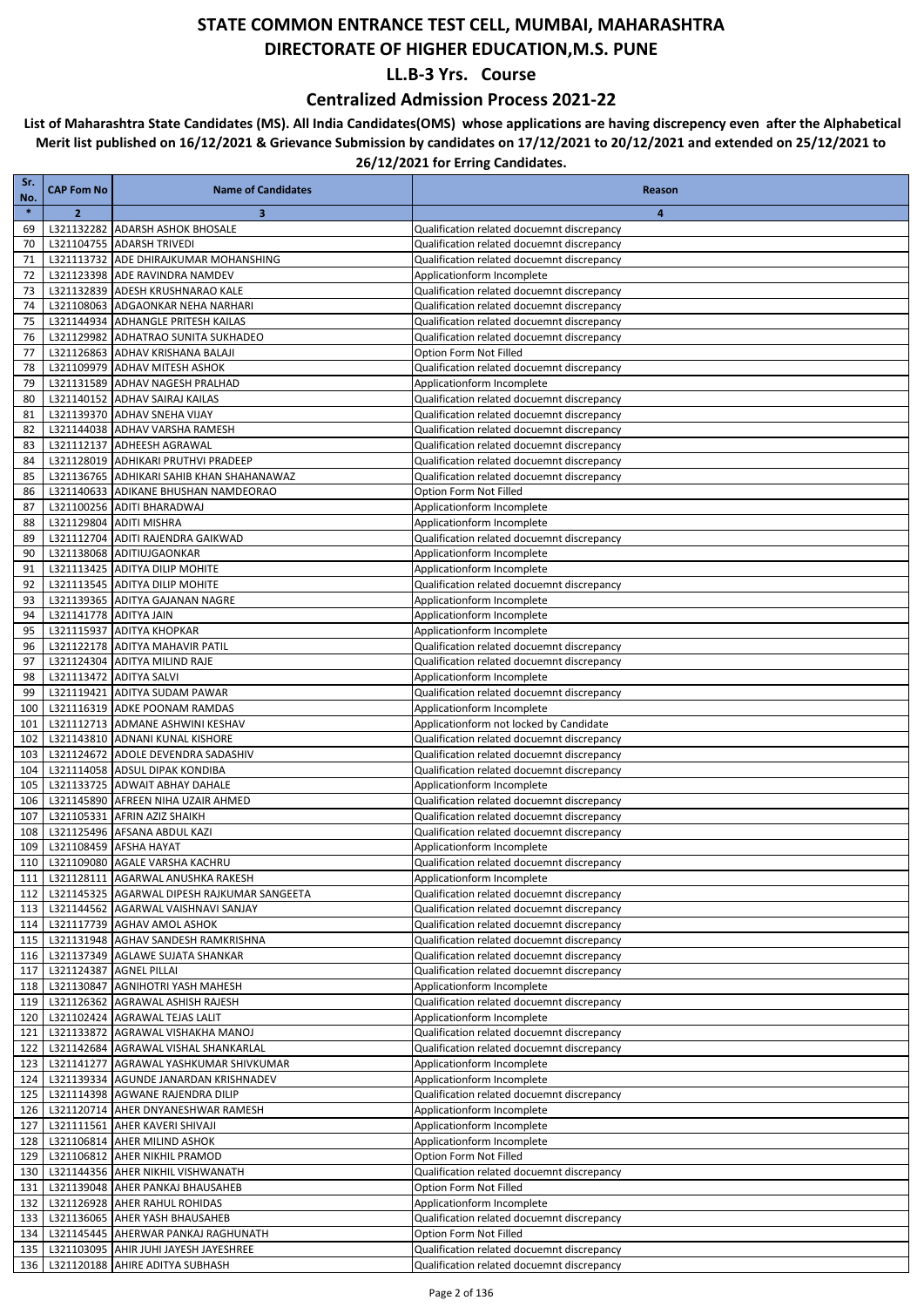### **Centralized Admission Process 2021-22**

| Sr.<br>No. | <b>CAP Fom No</b>      | <b>Name of Candidates</b>                                                        | Reason                                                                                   |
|------------|------------------------|----------------------------------------------------------------------------------|------------------------------------------------------------------------------------------|
| $\ast$     | $\overline{2}$         | 3                                                                                | 4                                                                                        |
| 69         |                        | L321132282 ADARSH ASHOK BHOSALE                                                  | Qualification related docuemnt discrepancy                                               |
| 70         |                        | L321104755 ADARSH TRIVEDI                                                        | Qualification related docuemnt discrepancy                                               |
| 71         |                        | L321113732 ADE DHIRAJKUMAR MOHANSHING                                            | Qualification related docuemnt discrepancy                                               |
| 72         |                        | L321123398 ADE RAVINDRA NAMDEV                                                   | Applicationform Incomplete                                                               |
| 73         |                        | L321132839 ADESH KRUSHNARAO KALE                                                 | Qualification related docuemnt discrepancy                                               |
| 74         |                        | L321108063 ADGAONKAR NEHA NARHARI                                                | Qualification related docuemnt discrepancy                                               |
| 75         |                        | L321144934 ADHANGLE PRITESH KAILAS                                               | Qualification related docuemnt discrepancy                                               |
| 76<br>77   |                        | L321129982 ADHATRAO SUNITA SUKHADEO<br>L321126863 ADHAV KRISHANA BALAJI          | Qualification related docuemnt discrepancy<br>Option Form Not Filled                     |
| 78         |                        | L321109979 ADHAV MITESH ASHOK                                                    | Qualification related docuemnt discrepancy                                               |
| 79         |                        | L321131589 ADHAV NAGESH PRALHAD                                                  | Applicationform Incomplete                                                               |
| 80         |                        | L321140152 ADHAV SAIRAJ KAILAS                                                   | Qualification related docuemnt discrepancy                                               |
| 81         |                        | L321139370 ADHAV SNEHA VIJAY                                                     | Qualification related docuemnt discrepancy                                               |
| 82         |                        | L321144038 ADHAV VARSHA RAMESH                                                   | Qualification related docuemnt discrepancy                                               |
| 83         |                        | L321112137 ADHEESH AGRAWAL                                                       | Qualification related docuemnt discrepancy                                               |
| 84         |                        | L321128019 ADHIKARI PRUTHVI PRADEEP                                              | Qualification related docuemnt discrepancy                                               |
| 85         |                        | L321136765 ADHIKARI SAHIB KHAN SHAHANAWAZ                                        | Qualification related docuemnt discrepancy                                               |
| 86<br>87   |                        | L321140633 ADIKANE BHUSHAN NAMDEORAO<br>L321100256 ADITI BHARADWAJ               | Option Form Not Filled                                                                   |
| 88         |                        | L321129804 ADITI MISHRA                                                          | Applicationform Incomplete<br>Applicationform Incomplete                                 |
| 89         |                        | L321112704 ADITI RAJENDRA GAIKWAD                                                | Qualification related docuemnt discrepancy                                               |
| 90         |                        | L321138068 ADITIUJGAONKAR                                                        | Applicationform Incomplete                                                               |
| 91         |                        | L321113425 ADITYA DILIP MOHITE                                                   | Applicationform Incomplete                                                               |
| 92         |                        | L321113545 ADITYA DILIP MOHITE                                                   | Qualification related docuemnt discrepancy                                               |
| 93         |                        | L321139365 ADITYA GAJANAN NAGRE                                                  | Applicationform Incomplete                                                               |
| 94         | L321141778 ADITYA JAIN |                                                                                  | Applicationform Incomplete                                                               |
| 95         |                        | L321115937 ADITYA KHOPKAR                                                        | Applicationform Incomplete                                                               |
| 96         |                        | L321122178 ADITYA MAHAVIR PATIL                                                  | Qualification related docuemnt discrepancy                                               |
| 97<br>98   |                        | L321124304 ADITYA MILIND RAJE<br>L321113472 ADITYA SALVI                         | Qualification related docuemnt discrepancy<br>Applicationform Incomplete                 |
| 99         |                        | L321119421 ADITYA SUDAM PAWAR                                                    | Qualification related docuemnt discrepancy                                               |
| 100        |                        | L321116319 ADKE POONAM RAMDAS                                                    | Applicationform Incomplete                                                               |
| 101        |                        | L321112713 ADMANE ASHWINI KESHAV                                                 | Applicationform not locked by Candidate                                                  |
| 102        |                        | L321143810 ADNANI KUNAL KISHORE                                                  | Qualification related docuemnt discrepancy                                               |
| 103        |                        | L321124672 ADOLE DEVENDRA SADASHIV                                               | Qualification related docuemnt discrepancy                                               |
| 104        |                        | L321114058 ADSUL DIPAK KONDIBA                                                   | Qualification related docuemnt discrepancy                                               |
| 105<br>106 |                        | L321133725 ADWAIT ABHAY DAHALE<br>L321145890 AFREEN NIHA UZAIR AHMED             | Applicationform Incomplete<br>Qualification related docuemnt discrepancy                 |
| 107        |                        | L321105331 AFRIN AZIZ SHAIKH                                                     | Qualification related docuemnt discrepancy                                               |
| 108        |                        | L321125496 AFSANA ABDUL KAZI                                                     | Qualification related docuemnt discrepancy                                               |
| 109        |                        | L321108459 AFSHA HAYAT                                                           | Applicationform Incomplete                                                               |
| 110        |                        | L321109080 AGALE VARSHA KACHRU                                                   | Qualification related docuemnt discrepancy                                               |
|            |                        | 111   L321128111   AGARWAL ANUSHKA RAKESH                                        | Applicationform Incomplete                                                               |
| 112        |                        | L321145325 AGARWAL DIPESH RAJKUMAR SANGEETA                                      | Qualification related docuemnt discrepancy                                               |
| 113        |                        | L321144562 AGARWAL VAISHNAVI SANJAY                                              | Qualification related docuemnt discrepancy                                               |
| 114        |                        | L321117739 AGHAV AMOL ASHOK                                                      | Qualification related docuemnt discrepancy                                               |
| 115<br>116 |                        | L321131948 AGHAV SANDESH RAMKRISHNA<br>L321137349 AGLAWE SUJATA SHANKAR          | Qualification related docuemnt discrepancy<br>Qualification related docuemnt discrepancy |
| 117        |                        | L321124387 AGNEL PILLAI                                                          | Qualification related docuemnt discrepancy                                               |
|            |                        | 118   L321130847   AGNIHOTRI YASH MAHESH                                         | Applicationform Incomplete                                                               |
| 119        |                        | L321126362 AGRAWAL ASHISH RAJESH                                                 | Qualification related docuemnt discrepancy                                               |
| 120        |                        | L321102424 AGRAWAL TEJAS LALIT                                                   | Applicationform Incomplete                                                               |
| 121        |                        | L321133872 AGRAWAL VISHAKHA MANOJ                                                | Qualification related docuemnt discrepancy                                               |
| 122        |                        | L321142684 AGRAWAL VISHAL SHANKARLAL                                             | Qualification related docuemnt discrepancy                                               |
| 123        |                        | L321141277 AGRAWAL YASHKUMAR SHIVKUMAR                                           | Applicationform Incomplete                                                               |
| 124        |                        | L321139334 AGUNDE JANARDAN KRISHNADEV                                            | Applicationform Incomplete                                                               |
| 125        |                        | L321114398 AGWANE RAJENDRA DILIP<br>126   L321120714   AHER DNYANESHWAR RAMESH   | Qualification related docuemnt discrepancy<br>Applicationform Incomplete                 |
| 127        |                        | L321111561 AHER KAVERI SHIVAJI                                                   | Applicationform Incomplete                                                               |
| 128        |                        | L321106814 AHER MILIND ASHOK                                                     | Applicationform Incomplete                                                               |
| 129        |                        | L321106812 AHER NIKHIL PRAMOD                                                    | Option Form Not Filled                                                                   |
|            |                        | 130   L321144356   AHER NIKHIL VISHWANATH                                        | Qualification related docuemnt discrepancy                                               |
| 131        |                        | L321139048 AHER PANKAJ BHAUSAHEB                                                 | Option Form Not Filled                                                                   |
| 132        |                        | L321126928 AHER RAHUL ROHIDAS                                                    | Applicationform Incomplete                                                               |
|            |                        | 133   L321136065   AHER YASH BHAUSAHEB                                           | Qualification related docuemnt discrepancy                                               |
| 134        |                        | L321145445 AHERWAR PANKAJ RAGHUNATH                                              | Option Form Not Filled                                                                   |
| 135        |                        | L321103095 AHIR JUHI JAYESH JAYESHREE<br>136   L321120188   AHIRE ADITYA SUBHASH | Qualification related docuemnt discrepancy<br>Qualification related docuemnt discrepancy |
|            |                        |                                                                                  |                                                                                          |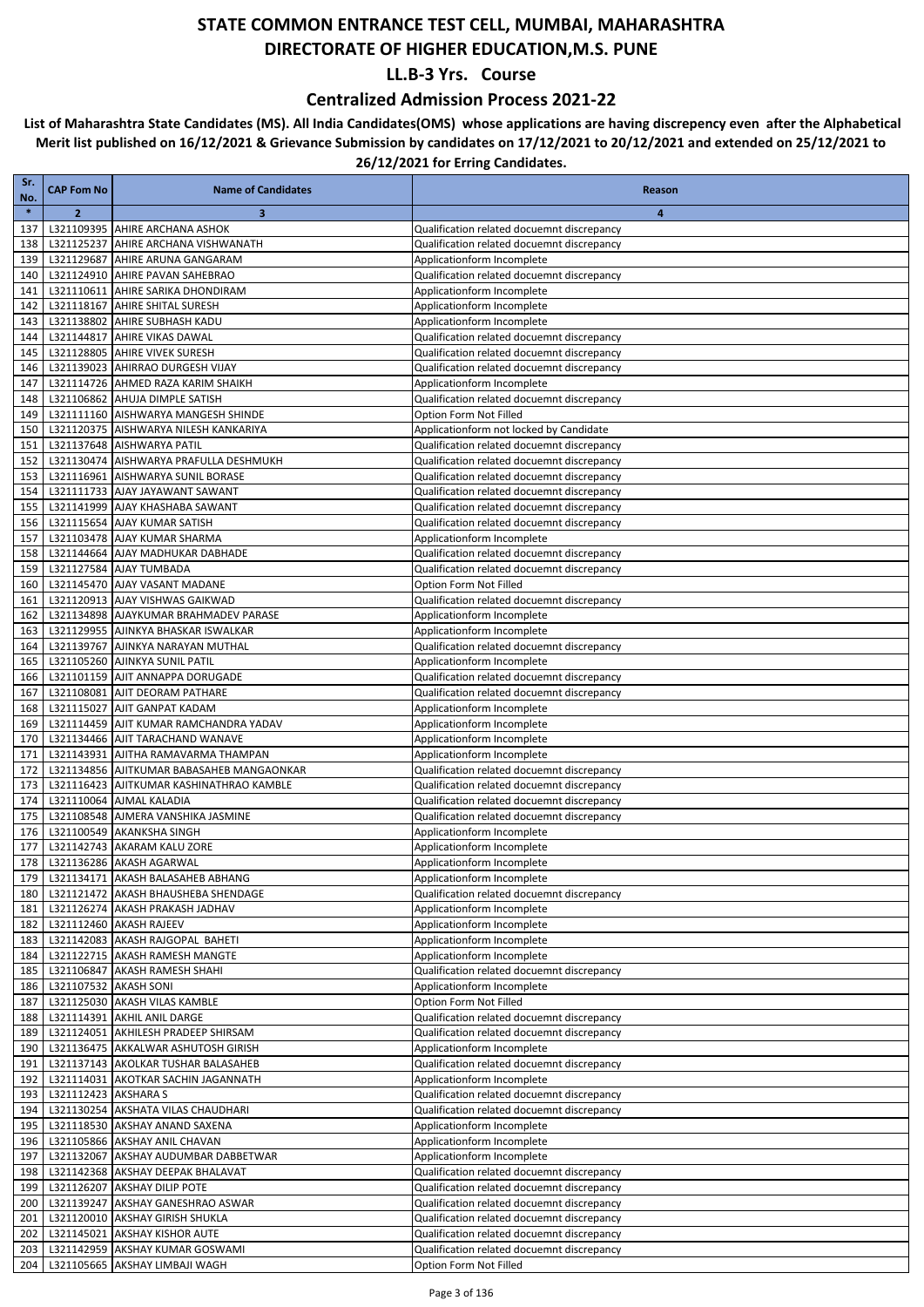### **Centralized Admission Process 2021-22**

| Sr.<br>No. | <b>CAP Fom No</b>     | <b>Name of Candidates</b>                                                  | Reason                                                                                   |
|------------|-----------------------|----------------------------------------------------------------------------|------------------------------------------------------------------------------------------|
| $\ast$     | $\overline{2}$        | 3                                                                          | 4                                                                                        |
| 137        |                       | L321109395 AHIRE ARCHANA ASHOK                                             | Qualification related docuemnt discrepancy                                               |
| 138        |                       | L321125237 AHIRE ARCHANA VISHWANATH                                        | Qualification related docuemnt discrepancy                                               |
| 139        |                       | L321129687 AHIRE ARUNA GANGARAM                                            | Applicationform Incomplete                                                               |
| 140        |                       | L321124910 AHIRE PAVAN SAHEBRAO                                            | Qualification related docuemnt discrepancy                                               |
| 141        |                       | L321110611 AHIRE SARIKA DHONDIRAM                                          | Applicationform Incomplete                                                               |
| 142        |                       | L321118167 AHIRE SHITAL SURESH                                             | Applicationform Incomplete                                                               |
| 143        |                       | L321138802 AHIRE SUBHASH KADU                                              | Applicationform Incomplete                                                               |
| 144<br>145 |                       | L321144817 AHIRE VIKAS DAWAL<br>L321128805 AHIRE VIVEK SURESH              | Qualification related docuemnt discrepancy<br>Qualification related docuemnt discrepancy |
| 146        |                       | L321139023 AHIRRAO DURGESH VIJAY                                           | Qualification related docuemnt discrepancy                                               |
| 147        |                       | L321114726 AHMED RAZA KARIM SHAIKH                                         | Applicationform Incomplete                                                               |
| 148        |                       | L321106862 AHUJA DIMPLE SATISH                                             | Qualification related docuemnt discrepancy                                               |
| 149        |                       | L321111160 AISHWARYA MANGESH SHINDE                                        | Option Form Not Filled                                                                   |
| 150        |                       | L321120375 AISHWARYA NILESH KANKARIYA                                      | Applicationform not locked by Candidate                                                  |
| 151        |                       | L321137648 AISHWARYA PATIL                                                 | Qualification related docuemnt discrepancy                                               |
| 152        |                       | L321130474 AISHWARYA PRAFULLA DESHMUKH                                     | Qualification related docuemnt discrepancy                                               |
| 153        |                       | L321116961 AISHWARYA SUNIL BORASE                                          | Qualification related docuemnt discrepancy                                               |
| 154        |                       | L321111733 AJAY JAYAWANT SAWANT                                            | Qualification related docuemnt discrepancy                                               |
| 155        |                       | L321141999 AJAY KHASHABA SAWANT                                            | Qualification related docuemnt discrepancy                                               |
| 156<br>157 |                       | L321115654 AJAY KUMAR SATISH<br>L321103478 AJAY KUMAR SHARMA               | Qualification related docuemnt discrepancy<br>Applicationform Incomplete                 |
| 158        |                       | L321144664 AJAY MADHUKAR DABHADE                                           | Qualification related docuemnt discrepancy                                               |
| 159        |                       | L321127584 AJAY TUMBADA                                                    | Qualification related docuemnt discrepancy                                               |
| 160        |                       | L321145470 AJAY VASANT MADANE                                              | Option Form Not Filled                                                                   |
| 161        |                       | L321120913 AJAY VISHWAS GAIKWAD                                            | Qualification related docuemnt discrepancy                                               |
| 162        |                       | L321134898 AJAYKUMAR BRAHMADEV PARASE                                      | Applicationform Incomplete                                                               |
| 163        |                       | L321129955 AJINKYA BHASKAR ISWALKAR                                        | Applicationform Incomplete                                                               |
| 164        |                       | L321139767 AJINKYA NARAYAN MUTHAL                                          | Qualification related docuemnt discrepancy                                               |
| 165        |                       | L321105260 AJINKYA SUNIL PATIL                                             | Applicationform Incomplete                                                               |
| 166        |                       | L321101159 AJIT ANNAPPA DORUGADE                                           | Qualification related docuemnt discrepancy                                               |
| 167        |                       | L321108081 AJIT DEORAM PATHARE                                             | Qualification related docuemnt discrepancy                                               |
| 168<br>169 |                       | L321115027 AJIT GANPAT KADAM<br>L321114459 AJIT KUMAR RAMCHANDRA YADAV     | Applicationform Incomplete<br>Applicationform Incomplete                                 |
| 170        |                       | L321134466 AJIT TARACHAND WANAVE                                           | Applicationform Incomplete                                                               |
| 171        |                       | L321143931 AJITHA RAMAVARMA THAMPAN                                        | Applicationform Incomplete                                                               |
| 172        |                       | L321134856 AJITKUMAR BABASAHEB MANGAONKAR                                  | Qualification related docuemnt discrepancy                                               |
| 173        |                       | L321116423 AJITKUMAR KASHINATHRAO KAMBLE                                   | Qualification related docuemnt discrepancy                                               |
| 174        |                       | L321110064 AJMAL KALADIA                                                   | Qualification related docuemnt discrepancy                                               |
| 175        |                       | L321108548 AJMERA VANSHIKA JASMINE                                         | Qualification related docuemnt discrepancy                                               |
| 176        |                       | L321100549 AKANKSHA SINGH                                                  | Applicationform Incomplete                                                               |
| 177        |                       | L321142743 AKARAM KALU ZORE<br>L321136286 AKASH AGARWAL                    | Applicationform Incomplete                                                               |
| 178<br>179 |                       | L321134171 AKASH BALASAHEB ABHANG                                          | Applicationform Incomplete<br>Applicationform Incomplete                                 |
| 180        |                       | L321121472 AKASH BHAUSHEBA SHENDAGE                                        | Qualification related docuemnt discrepancy                                               |
| 181        |                       | L321126274 AKASH PRAKASH JADHAV                                            | Applicationform Incomplete                                                               |
| 182        |                       | L321112460 AKASH RAJEEV                                                    | Applicationform Incomplete                                                               |
| 183        |                       | L321142083 AKASH RAJGOPAL BAHETI                                           | Applicationform Incomplete                                                               |
| 184        |                       | L321122715 AKASH RAMESH MANGTE                                             | Applicationform Incomplete                                                               |
| 185        |                       | L321106847 AKASH RAMESH SHAHI                                              | Qualification related docuemnt discrepancy                                               |
| 186        | L321107532 AKASH SONI |                                                                            | Applicationform Incomplete                                                               |
| 187        |                       | L321125030 AKASH VILAS KAMBLE                                              | Option Form Not Filled                                                                   |
| 188        |                       | L321114391 AKHIL ANIL DARGE                                                | Qualification related docuemnt discrepancy                                               |
| 189<br>190 |                       | L321124051 AKHILESH PRADEEP SHIRSAM<br>L321136475 AKKALWAR ASHUTOSH GIRISH | Qualification related docuemnt discrepancy<br>Applicationform Incomplete                 |
| 191        |                       | L321137143 AKOLKAR TUSHAR BALASAHEB                                        | Qualification related docuemnt discrepancy                                               |
| 192        |                       | L321114031 AKOTKAR SACHIN JAGANNATH                                        | Applicationform Incomplete                                                               |
| 193        | L321112423 AKSHARA S  |                                                                            | Qualification related docuemnt discrepancy                                               |
| 194        |                       | L321130254 AKSHATA VILAS CHAUDHARI                                         | Qualification related docuemnt discrepancy                                               |
| 195        |                       | L321118530 AKSHAY ANAND SAXENA                                             | Applicationform Incomplete                                                               |
| 196        |                       | L321105866 AKSHAY ANIL CHAVAN                                              | Applicationform Incomplete                                                               |
| 197        |                       | L321132067 AKSHAY AUDUMBAR DABBETWAR                                       | Applicationform Incomplete                                                               |
| 198        |                       | L321142368 AKSHAY DEEPAK BHALAVAT                                          | Qualification related docuemnt discrepancy                                               |
| 199        |                       | L321126207 AKSHAY DILIP POTE                                               | Qualification related docuemnt discrepancy                                               |
| 200        |                       | L321139247 AKSHAY GANESHRAO ASWAR                                          | Qualification related docuemnt discrepancy                                               |
| 201<br>202 |                       | L321120010 AKSHAY GIRISH SHUKLA<br>L321145021 AKSHAY KISHOR AUTE           | Qualification related docuemnt discrepancy<br>Qualification related docuemnt discrepancy |
| 203        |                       | L321142959 AKSHAY KUMAR GOSWAMI                                            | Qualification related docuemnt discrepancy                                               |
| 204        |                       | L321105665 AKSHAY LIMBAJI WAGH                                             | Option Form Not Filled                                                                   |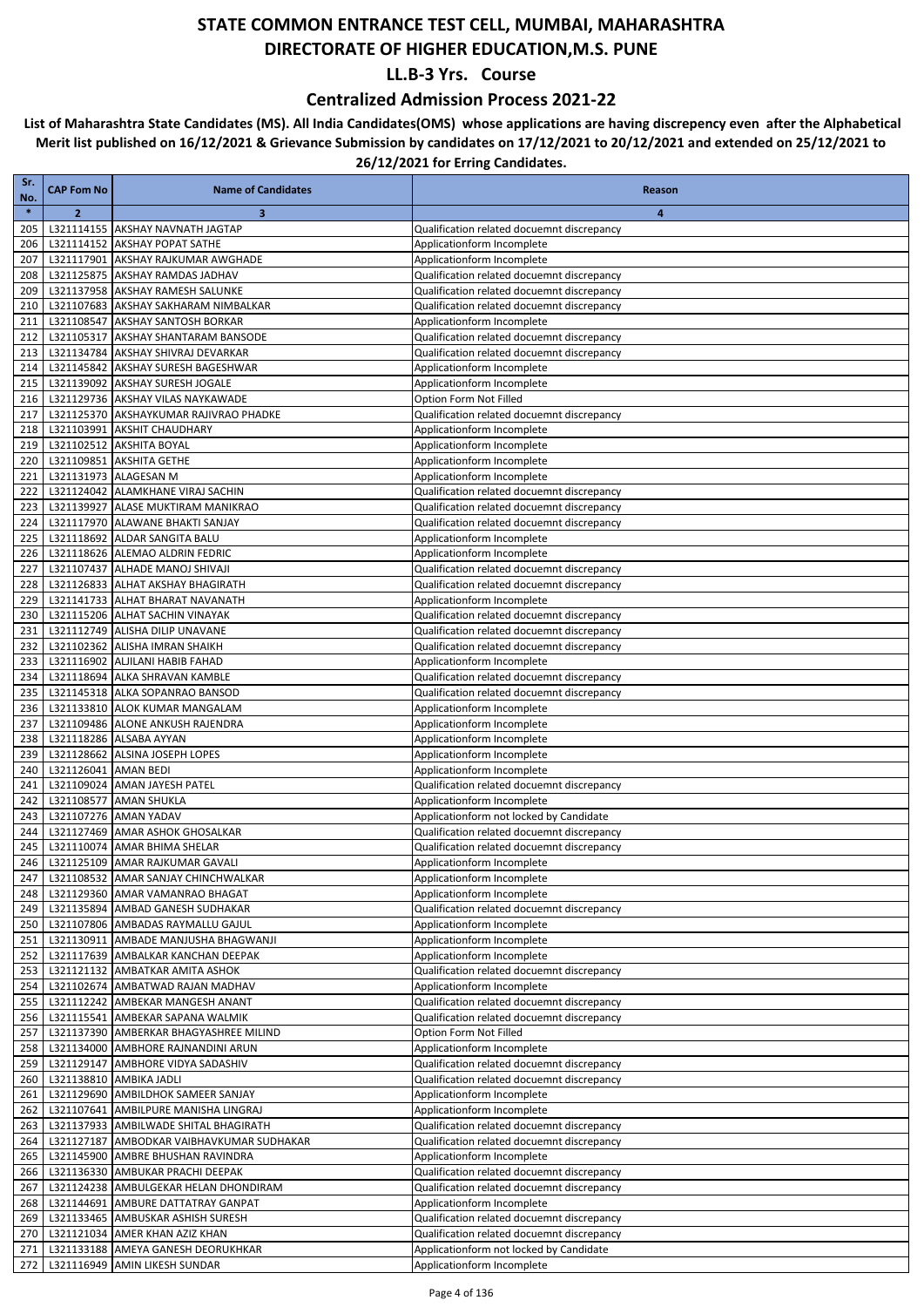### **Centralized Admission Process 2021-22**

| Sr.<br>No. | <b>CAP Fom No</b>    | <b>Name of Candidates</b>                                                        | Reason                                                                   |
|------------|----------------------|----------------------------------------------------------------------------------|--------------------------------------------------------------------------|
| $\ast$     | $\mathbf{2}$         | $\overline{\mathbf{3}}$                                                          | $\overline{\mathbf{a}}$                                                  |
| 205        |                      | L321114155 AKSHAY NAVNATH JAGTAP                                                 | Qualification related docuemnt discrepancy                               |
| 206        |                      | L321114152 AKSHAY POPAT SATHE                                                    | Applicationform Incomplete                                               |
| 207        |                      | L321117901 AKSHAY RAJKUMAR AWGHADE                                               | Applicationform Incomplete                                               |
| 208        |                      | L321125875 AKSHAY RAMDAS JADHAV                                                  | Qualification related docuemnt discrepancy                               |
| 209        |                      | L321137958 AKSHAY RAMESH SALUNKE                                                 | Qualification related docuemnt discrepancy                               |
| 210        |                      | L321107683 AKSHAY SAKHARAM NIMBALKAR                                             | Qualification related docuemnt discrepancy                               |
| 211        |                      | L321108547 AKSHAY SANTOSH BORKAR                                                 | Applicationform Incomplete                                               |
| 212        |                      | L321105317 AKSHAY SHANTARAM BANSODE                                              | Qualification related docuemnt discrepancy                               |
| 213<br>214 |                      | L321134784 AKSHAY SHIVRAJ DEVARKAR<br>L321145842 AKSHAY SURESH BAGESHWAR         | Qualification related docuemnt discrepancy<br>Applicationform Incomplete |
| 215        |                      | L321139092 AKSHAY SURESH JOGALE                                                  | Applicationform Incomplete                                               |
| 216        |                      | L321129736 AKSHAY VILAS NAYKAWADE                                                | Option Form Not Filled                                                   |
| 217        |                      | L321125370 AKSHAYKUMAR RAJIVRAO PHADKE                                           | Qualification related docuemnt discrepancy                               |
| 218        |                      | L321103991 AKSHIT CHAUDHARY                                                      | Applicationform Incomplete                                               |
| 219        |                      | L321102512 AKSHITA BOYAL                                                         | Applicationform Incomplete                                               |
| 220        |                      | L321109851 AKSHITA GETHE                                                         | Applicationform Incomplete                                               |
| 221        |                      | L321131973 ALAGESAN M                                                            | Applicationform Incomplete                                               |
| 222        |                      | L321124042 ALAMKHANE VIRAJ SACHIN                                                | Qualification related docuemnt discrepancy                               |
| 223        |                      | L321139927 ALASE MUKTIRAM MANIKRAO                                               | Qualification related docuemnt discrepancy                               |
| 224        |                      | L321117970 ALAWANE BHAKTI SANJAY                                                 | Qualification related docuemnt discrepancy                               |
| 225        |                      | L321118692 ALDAR SANGITA BALU                                                    | Applicationform Incomplete                                               |
| 226<br>227 |                      | L321118626 ALEMAO ALDRIN FEDRIC<br>L321107437 ALHADE MANOJ SHIVAJI               | Applicationform Incomplete<br>Qualification related docuemnt discrepancy |
| 228        |                      | L321126833 ALHAT AKSHAY BHAGIRATH                                                | Qualification related docuemnt discrepancy                               |
| 229        |                      | L321141733 ALHAT BHARAT NAVANATH                                                 | Applicationform Incomplete                                               |
| 230        |                      | L321115206 ALHAT SACHIN VINAYAK                                                  | Qualification related docuemnt discrepancy                               |
| 231        |                      | L321112749 ALISHA DILIP UNAVANE                                                  | Qualification related docuemnt discrepancy                               |
| 232        |                      | L321102362 ALISHA IMRAN SHAIKH                                                   | Qualification related docuemnt discrepancy                               |
| 233        |                      | L321116902 ALJILANI HABIB FAHAD                                                  | Applicationform Incomplete                                               |
| 234        |                      | L321118694 ALKA SHRAVAN KAMBLE                                                   | Qualification related docuemnt discrepancy                               |
| 235        |                      | L321145318 ALKA SOPANRAO BANSOD                                                  | Qualification related docuemnt discrepancy                               |
| 236        |                      | L321133810 ALOK KUMAR MANGALAM                                                   | Applicationform Incomplete                                               |
| 237        |                      | L321109486 ALONE ANKUSH RAJENDRA                                                 | Applicationform Incomplete                                               |
| 238        |                      | L321118286 ALSABA AYYAN<br>L321128662 ALSINA JOSEPH LOPES                        | Applicationform Incomplete                                               |
| 239<br>240 | L321126041 AMAN BEDI |                                                                                  | Applicationform Incomplete<br>Applicationform Incomplete                 |
| 241        |                      | L321109024 AMAN JAYESH PATEL                                                     | Qualification related docuemnt discrepancy                               |
| 242        |                      | L321108577 AMAN SHUKLA                                                           | Applicationform Incomplete                                               |
| 243        |                      | L321107276 AMAN YADAV                                                            | Applicationform not locked by Candidate                                  |
| 244        |                      | L321127469 AMAR ASHOK GHOSALKAR                                                  | Qualification related docuemnt discrepancy                               |
| 245        |                      | L321110074 AMAR BHIMA SHELAR                                                     | Qualification related docuemnt discrepancy                               |
| 246        |                      | L321125109 AMAR RAJKUMAR GAVALI                                                  | Applicationform Incomplete                                               |
| 247        |                      | L321108532 AMAR SANJAY CHINCHWALKAR                                              | Applicationform Incomplete                                               |
| 248        |                      | L321129360 AMAR VAMANRAO BHAGAT                                                  | Applicationform Incomplete                                               |
| 249        |                      | L321135894 AMBAD GANESH SUDHAKAR                                                 | Qualification related docuemnt discrepancy                               |
| 250        |                      | L321107806 AMBADAS RAYMALLU GAJUL                                                | Applicationform Incomplete                                               |
| 251        |                      | L321130911 AMBADE MANJUSHA BHAGWANJI                                             | Applicationform Incomplete<br>Applicationform Incomplete                 |
| 252<br>253 |                      | L321117639 AMBALKAR KANCHAN DEEPAK<br>L321121132 AMBATKAR AMITA ASHOK            | Qualification related docuemnt discrepancy                               |
| 254        |                      | L321102674 AMBATWAD RAJAN MADHAV                                                 | Applicationform Incomplete                                               |
| 255        |                      | L321112242 AMBEKAR MANGESH ANANT                                                 | Qualification related docuemnt discrepancy                               |
| 256        |                      | L321115541 AMBEKAR SAPANA WALMIK                                                 | Qualification related docuemnt discrepancy                               |
| 257        |                      | L321137390 AMBERKAR BHAGYASHREE MILIND                                           | Option Form Not Filled                                                   |
| 258        |                      | L321134000 AMBHORE RAJNANDINI ARUN                                               | Applicationform Incomplete                                               |
| 259        |                      | L321129147 AMBHORE VIDYA SADASHIV                                                | Qualification related docuemnt discrepancy                               |
| 260        |                      | L321138810 AMBIKA JADLI                                                          | Qualification related docuemnt discrepancy                               |
| 261        |                      | L321129690 AMBILDHOK SAMEER SANJAY                                               | Applicationform Incomplete                                               |
| 262        |                      | L321107641 AMBILPURE MANISHA LINGRAJ                                             | Applicationform Incomplete                                               |
| 263        |                      | L321137933 AMBILWADE SHITAL BHAGIRATH                                            | Qualification related docuemnt discrepancy                               |
| 264<br>265 |                      | L321127187   AMBODKAR VAIBHAVKUMAR SUDHAKAR<br>L321145900 AMBRE BHUSHAN RAVINDRA | Qualification related docuemnt discrepancy<br>Applicationform Incomplete |
| 266        |                      | L321136330 AMBUKAR PRACHI DEEPAK                                                 | Qualification related docuemnt discrepancy                               |
| 267        |                      | L321124238 AMBULGEKAR HELAN DHONDIRAM                                            | Qualification related docuemnt discrepancy                               |
| 268        |                      | L321144691 AMBURE DATTATRAY GANPAT                                               | Applicationform Incomplete                                               |
| 269        |                      | L321133465 AMBUSKAR ASHISH SURESH                                                | Qualification related docuemnt discrepancy                               |
| 270        |                      | L321121034 AMER KHAN AZIZ KHAN                                                   | Qualification related docuemnt discrepancy                               |
| 271        |                      | L321133188 AMEYA GANESH DEORUKHKAR                                               | Applicationform not locked by Candidate                                  |
| 272        |                      | L321116949 AMIN LIKESH SUNDAR                                                    | Applicationform Incomplete                                               |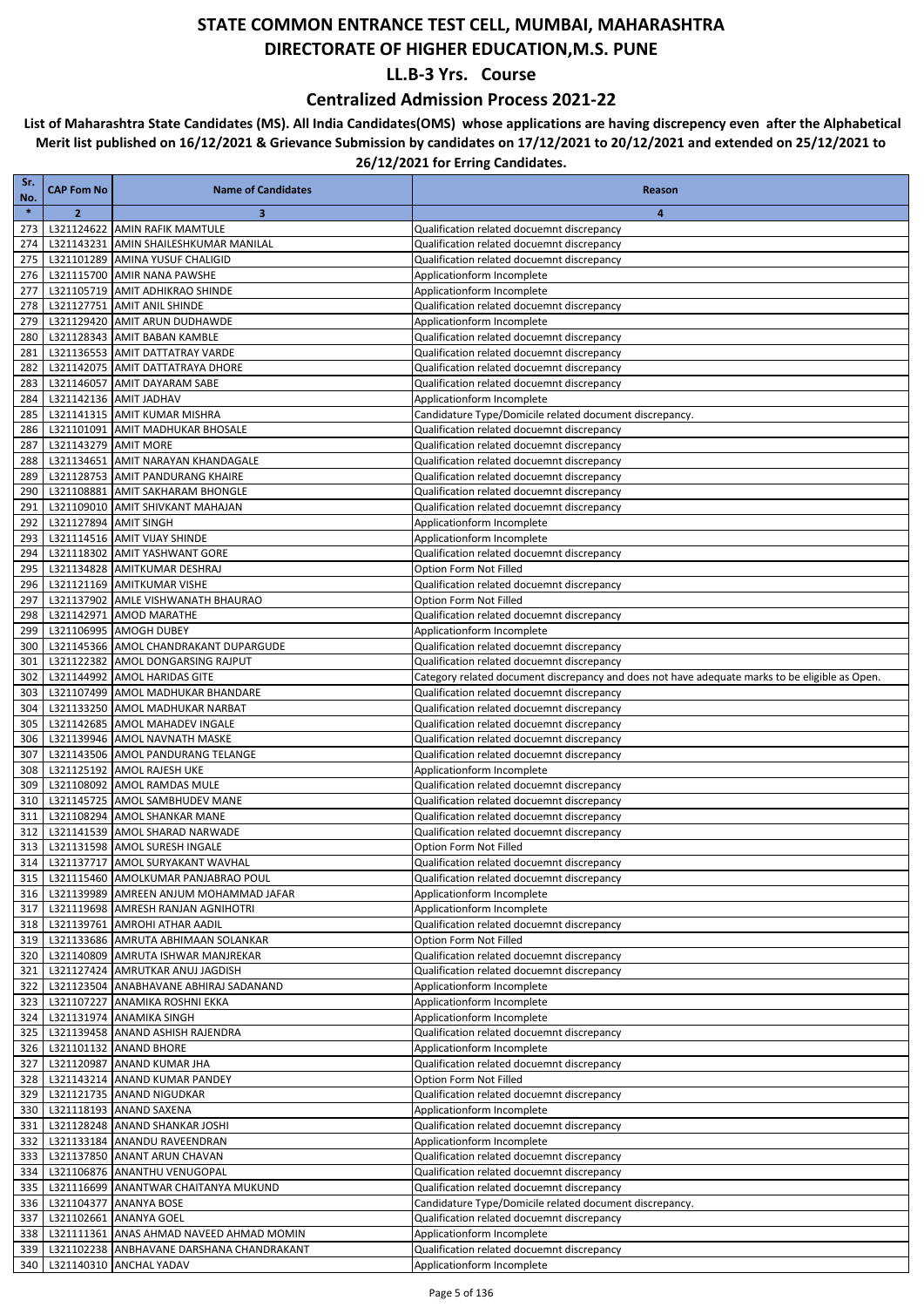### **Centralized Admission Process 2021-22**

| Sr.<br>No. | <b>CAP Fom No</b>     | <b>Name of Candidates</b>                                              | Reason                                                                                         |
|------------|-----------------------|------------------------------------------------------------------------|------------------------------------------------------------------------------------------------|
| $\ast$     | $\overline{2}$        | 3                                                                      | $\overline{\mathbf{a}}$                                                                        |
| 273        |                       | L321124622 AMIN RAFIK MAMTULE                                          | Qualification related docuemnt discrepancy                                                     |
| 274        |                       | L321143231 AMIN SHAILESHKUMAR MANILAL                                  | Qualification related docuemnt discrepancy                                                     |
| 275        |                       | L321101289 AMINA YUSUF CHALIGID                                        | Qualification related docuemnt discrepancy                                                     |
| 276        |                       | L321115700 AMIR NANA PAWSHE                                            | Applicationform Incomplete                                                                     |
| 277<br>278 |                       | L321105719 AMIT ADHIKRAO SHINDE<br>L321127751 AMIT ANIL SHINDE         | Applicationform Incomplete<br>Qualification related docuemnt discrepancy                       |
| 279        |                       | L321129420 AMIT ARUN DUDHAWDE                                          | Applicationform Incomplete                                                                     |
| 280        |                       | L321128343 AMIT BABAN KAMBLE                                           | Qualification related docuemnt discrepancy                                                     |
| 281        |                       | L321136553 AMIT DATTATRAY VARDE                                        | Qualification related docuemnt discrepancy                                                     |
| 282        |                       | L321142075 AMIT DATTATRAYA DHORE                                       | Qualification related docuemnt discrepancy                                                     |
| 283        |                       | L321146057 AMIT DAYARAM SABE                                           | Qualification related docuemnt discrepancy                                                     |
| 284        |                       | L321142136 AMIT JADHAV                                                 | Applicationform Incomplete                                                                     |
| 285        |                       | L321141315 AMIT KUMAR MISHRA                                           | Candidature Type/Domicile related document discrepancy.                                        |
| 286<br>287 | L321143279 AMIT MORE  | L321101091 AMIT MADHUKAR BHOSALE                                       | Qualification related docuemnt discrepancy<br>Qualification related docuemnt discrepancy       |
| 288        |                       | L321134651 AMIT NARAYAN KHANDAGALE                                     | Qualification related docuemnt discrepancy                                                     |
| 289        |                       | L321128753 AMIT PANDURANG KHAIRE                                       | Qualification related docuemnt discrepancy                                                     |
| 290        |                       | L321108881 AMIT SAKHARAM BHONGLE                                       | Qualification related docuemnt discrepancy                                                     |
| 291        |                       | L321109010 AMIT SHIVKANT MAHAJAN                                       | Qualification related docuemnt discrepancy                                                     |
| 292        | L321127894 AMIT SINGH |                                                                        | Applicationform Incomplete                                                                     |
| 293        |                       | L321114516 AMIT VIJAY SHINDE                                           | Applicationform Incomplete                                                                     |
| 294        |                       | L321118302 AMIT YASHWANT GORE                                          | Qualification related docuemnt discrepancy                                                     |
| 295<br>296 |                       | L321134828 AMITKUMAR DESHRAJ<br>L321121169 AMITKUMAR VISHE             | Option Form Not Filled<br>Qualification related docuemnt discrepancy                           |
| 297        |                       | L321137902 AMLE VISHWANATH BHAURAO                                     | Option Form Not Filled                                                                         |
| 298        |                       | L321142971 AMOD MARATHE                                                | Qualification related docuemnt discrepancy                                                     |
| 299        |                       | L321106995 AMOGH DUBEY                                                 | Applicationform Incomplete                                                                     |
| 300        |                       | L321145366 AMOL CHANDRAKANT DUPARGUDE                                  | Qualification related docuemnt discrepancy                                                     |
| 301        |                       | L321122382 AMOL DONGARSING RAJPUT                                      | Qualification related docuemnt discrepancy                                                     |
| 302        |                       | L321144992 AMOL HARIDAS GITE                                           | Category related document discrepancy and does not have adequate marks to be eligible as Open. |
| 303        |                       | L321107499 AMOL MADHUKAR BHANDARE                                      | Qualification related docuemnt discrepancy                                                     |
| 304<br>305 |                       | L321133250 AMOL MADHUKAR NARBAT<br>L321142685 AMOL MAHADEV INGALE      | Qualification related docuemnt discrepancy<br>Qualification related docuemnt discrepancy       |
| 306        |                       | L321139946 AMOL NAVNATH MASKE                                          | Qualification related docuemnt discrepancy                                                     |
| 307        |                       | L321143506 AMOL PANDURANG TELANGE                                      | Qualification related docuemnt discrepancy                                                     |
| 308        |                       | L321125192 AMOL RAJESH UKE                                             | Applicationform Incomplete                                                                     |
| 309        |                       | L321108092 AMOL RAMDAS MULE                                            | Qualification related docuemnt discrepancy                                                     |
| 310        |                       | L321145725 AMOL SAMBHUDEV MANE                                         | Qualification related docuemnt discrepancy                                                     |
| 311        |                       | L321108294 AMOL SHANKAR MANE<br>L321141539 AMOL SHARAD NARWADE         | Qualification related docuemnt discrepancy                                                     |
| 312<br>313 |                       | L321131598 AMOL SURESH INGALE                                          | Qualification related docuemnt discrepancy<br>Option Form Not Filled                           |
| 314        |                       | L321137717 AMOL SURYAKANT WAVHAL                                       | Qualification related docuemnt discrepancy                                                     |
|            |                       | 315   L321115460   AMOLKUMAR PANJABRAO POUL                            | Qualification related docuemnt discrepancy                                                     |
| 316        |                       | L321139989 AMREEN ANJUM MOHAMMAD JAFAR                                 | Applicationform Incomplete                                                                     |
| 317        |                       | L321119698 AMRESH RANJAN AGNIHOTRI                                     | Applicationform Incomplete                                                                     |
| 318        |                       | L321139761 AMROHI ATHAR AADIL                                          | Qualification related docuemnt discrepancy                                                     |
| 319        |                       | L321133686 AMRUTA ABHIMAAN SOLANKAR                                    | Option Form Not Filled                                                                         |
| 320<br>321 |                       | L321140809 AMRUTA ISHWAR MANJREKAR<br>L321127424 AMRUTKAR ANUJ JAGDISH | Qualification related docuemnt discrepancy<br>Qualification related docuemnt discrepancy       |
| 322        |                       | L321123504 ANABHAVANE ABHIRAJ SADANAND                                 | Applicationform Incomplete                                                                     |
| 323        |                       | L321107227 ANAMIKA ROSHNI EKKA                                         | Applicationform Incomplete                                                                     |
| 324        |                       | L321131974 ANAMIKA SINGH                                               | Applicationform Incomplete                                                                     |
| 325        |                       | L321139458 ANAND ASHISH RAJENDRA                                       | Qualification related docuemnt discrepancy                                                     |
| 326        |                       | L321101132 ANAND BHORE                                                 | Applicationform Incomplete                                                                     |
| 327        |                       | L321120987 ANAND KUMAR JHA                                             | Qualification related docuemnt discrepancy                                                     |
| 328        |                       | L321143214 ANAND KUMAR PANDEY                                          | Option Form Not Filled                                                                         |
| 329<br>330 |                       | L321121735 ANAND NIGUDKAR<br>L321118193 ANAND SAXENA                   | Qualification related docuemnt discrepancy<br>Applicationform Incomplete                       |
| 331        |                       | L321128248 ANAND SHANKAR JOSHI                                         | Qualification related docuemnt discrepancy                                                     |
| 332        |                       | L321133184 ANANDU RAVEENDRAN                                           | Applicationform Incomplete                                                                     |
| 333        |                       | L321137850 ANANT ARUN CHAVAN                                           | Qualification related docuemnt discrepancy                                                     |
| 334        |                       | L321106876 ANANTHU VENUGOPAL                                           | Qualification related docuemnt discrepancy                                                     |
| 335        |                       | L321116699 ANANTWAR CHAITANYA MUKUND                                   | Qualification related docuemnt discrepancy                                                     |
| 336        |                       | L321104377 ANANYA BOSE                                                 | Candidature Type/Domicile related document discrepancy.                                        |
| 337        |                       | L321102661 ANANYA GOEL<br>L321111361 ANAS AHMAD NAVEED AHMAD MOMIN     | Qualification related docuemnt discrepancy                                                     |
| 338<br>339 |                       | L321102238 ANBHAVANE DARSHANA CHANDRAKANT                              | Applicationform Incomplete<br>Qualification related docuemnt discrepancy                       |
|            |                       | 340   L321140310   ANCHAL YADAV                                        | Applicationform Incomplete                                                                     |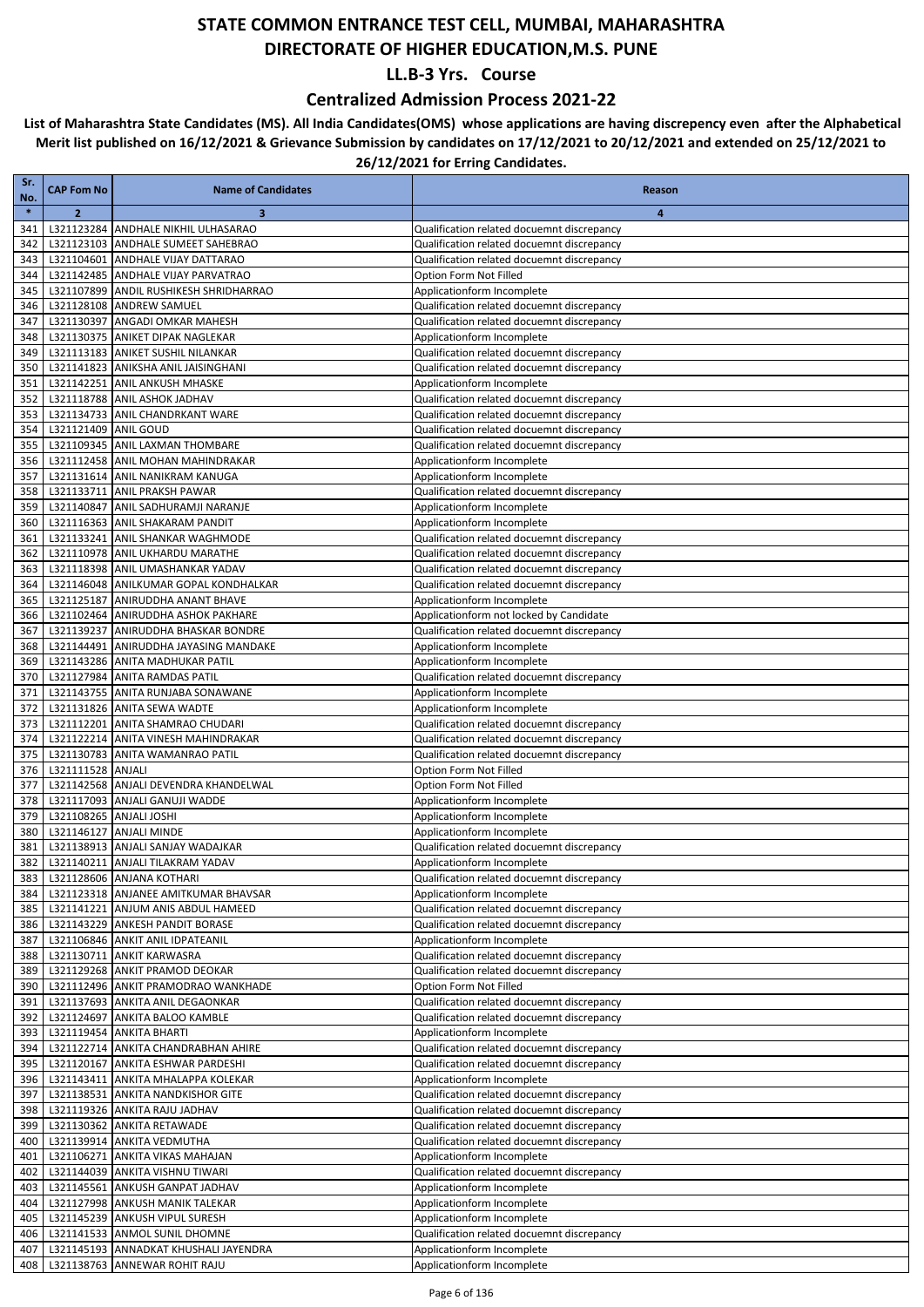### **Centralized Admission Process 2021-22**

| Sr.<br>No. | <b>CAP Fom No</b>    | <b>Name of Candidates</b>                                              | Reason                                                                                   |
|------------|----------------------|------------------------------------------------------------------------|------------------------------------------------------------------------------------------|
| $\ast$     | $\overline{2}$       | 3                                                                      | 4                                                                                        |
| 341        |                      | L321123284 ANDHALE NIKHIL ULHASARAO                                    | Qualification related docuemnt discrepancy                                               |
| 342        |                      | L321123103 ANDHALE SUMEET SAHEBRAO                                     | Qualification related docuemnt discrepancy                                               |
| 343        |                      | L321104601 ANDHALE VIJAY DATTARAO                                      | Qualification related docuemnt discrepancy                                               |
| 344        |                      | L321142485 ANDHALE VIJAY PARVATRAO                                     | Option Form Not Filled                                                                   |
| 345        |                      | L321107899 ANDIL RUSHIKESH SHRIDHARRAO                                 | Applicationform Incomplete                                                               |
| 346        |                      | L321128108 ANDREW SAMUEL                                               | Qualification related docuemnt discrepancy                                               |
| 347        |                      | L321130397 ANGADI OMKAR MAHESH                                         | Qualification related docuemnt discrepancy                                               |
| 348<br>349 |                      | L321130375 ANIKET DIPAK NAGLEKAR<br>L321113183 ANIKET SUSHIL NILANKAR  | Applicationform Incomplete<br>Qualification related docuemnt discrepancy                 |
| 350        |                      | L321141823 ANIKSHA ANIL JAISINGHANI                                    | Qualification related docuemnt discrepancy                                               |
| 351        |                      | L321142251 ANIL ANKUSH MHASKE                                          | Applicationform Incomplete                                                               |
| 352        |                      | L321118788 ANIL ASHOK JADHAV                                           | Qualification related docuemnt discrepancy                                               |
| 353        |                      | L321134733 ANIL CHANDRKANT WARE                                        | Qualification related docuemnt discrepancy                                               |
| 354        | L321121409 ANIL GOUD |                                                                        | Qualification related docuemnt discrepancy                                               |
| 355        |                      | L321109345 ANIL LAXMAN THOMBARE                                        | Qualification related docuemnt discrepancy                                               |
| 356        |                      | L321112458 ANIL MOHAN MAHINDRAKAR                                      | Applicationform Incomplete                                                               |
| 357        |                      | L321131614 ANIL NANIKRAM KANUGA                                        | Applicationform Incomplete                                                               |
| 358        |                      | L321133711 ANIL PRAKSH PAWAR                                           | Qualification related docuemnt discrepancy                                               |
| 359        |                      | L321140847 ANIL SADHURAMJI NARANJE                                     | Applicationform Incomplete                                                               |
| 360        |                      | L321116363 ANIL SHAKARAM PANDIT                                        | Applicationform Incomplete                                                               |
| 361<br>362 |                      | L321133241 ANIL SHANKAR WAGHMODE<br>L321110978 ANIL UKHARDU MARATHE    | Qualification related docuemnt discrepancy<br>Qualification related docuemnt discrepancy |
| 363        |                      | L321118398 ANIL UMASHANKAR YADAV                                       | Qualification related docuemnt discrepancy                                               |
| 364        |                      | L321146048 ANILKUMAR GOPAL KONDHALKAR                                  | Qualification related docuemnt discrepancy                                               |
| 365        |                      | L321125187 ANIRUDDHA ANANT BHAVE                                       | Applicationform Incomplete                                                               |
| 366        |                      | L321102464 ANIRUDDHA ASHOK PAKHARE                                     | Applicationform not locked by Candidate                                                  |
| 367        |                      | L321139237 ANIRUDDHA BHASKAR BONDRE                                    | Qualification related docuemnt discrepancy                                               |
| 368        |                      | L321144491 ANIRUDDHA JAYASING MANDAKE                                  | Applicationform Incomplete                                                               |
| 369        |                      | L321143286 ANITA MADHUKAR PATIL                                        | Applicationform Incomplete                                                               |
| 370        |                      | L321127984 ANITA RAMDAS PATIL                                          | Qualification related docuemnt discrepancy                                               |
| 371        |                      | L321143755 ANITA RUNJABA SONAWANE                                      | Applicationform Incomplete                                                               |
| 372        |                      | L321131826 ANITA SEWA WADTE                                            | Applicationform Incomplete                                                               |
| 373        |                      | L321112201 ANITA SHAMRAO CHUDARI                                       | Qualification related docuemnt discrepancy                                               |
| 374<br>375 |                      | L321122214 ANITA VINESH MAHINDRAKAR<br>L321130783 ANITA WAMANRAO PATIL | Qualification related docuemnt discrepancy<br>Qualification related docuemnt discrepancy |
| 376        | L321111528 ANJALI    |                                                                        | Option Form Not Filled                                                                   |
| 377        |                      | L321142568 ANJALI DEVENDRA KHANDELWAL                                  | Option Form Not Filled                                                                   |
| 378        |                      | L321117093 ANJALI GANUJI WADDE                                         | Applicationform Incomplete                                                               |
| 379        |                      | L321108265 ANJALI JOSHI                                                | Applicationform Incomplete                                                               |
| 380        |                      | L321146127 ANJALI MINDE                                                | Applicationform Incomplete                                                               |
| 381        |                      | L321138913 ANJALI SANJAY WADAJKAR                                      | Qualification related docuemnt discrepancy                                               |
| 382        |                      | L321140211 ANJALI TILAKRAM YADAV                                       | Applicationform Incomplete                                                               |
| 383        |                      | L321128606 ANJANA KOTHARI                                              | Qualification related docuemnt discrepancy                                               |
| 384        |                      | L321123318 ANJANEE AMITKUMAR BHAVSAR                                   | Applicationform Incomplete                                                               |
| 385        |                      | L321141221 ANJUM ANIS ABDUL HAMEED                                     | Qualification related docuemnt discrepancy                                               |
| 386<br>387 |                      | L321143229 ANKESH PANDIT BORASE<br>L321106846 ANKIT ANIL IDPATEANIL    | Qualification related docuemnt discrepancy<br>Applicationform Incomplete                 |
| 388        |                      | L321130711 ANKIT KARWASRA                                              | Qualification related docuemnt discrepancy                                               |
| 389        |                      | L321129268 ANKIT PRAMOD DEOKAR                                         | Qualification related docuemnt discrepancy                                               |
| 390        |                      | L321112496 ANKIT PRAMODRAO WANKHADE                                    | Option Form Not Filled                                                                   |
| 391        |                      | L321137693 ANKITA ANIL DEGAONKAR                                       | Qualification related docuemnt discrepancy                                               |
| 392        |                      | L321124697 ANKITA BALOO KAMBLE                                         | Qualification related docuemnt discrepancy                                               |
| 393        |                      | L321119454 ANKITA BHARTI                                               | Applicationform Incomplete                                                               |
| 394        |                      | L321122714 ANKITA CHANDRABHAN AHIRE                                    | Qualification related docuemnt discrepancy                                               |
| 395        |                      | L321120167 ANKITA ESHWAR PARDESHI                                      | Qualification related docuemnt discrepancy                                               |
| 396        |                      | L321143411 ANKITA MHALAPPA KOLEKAR                                     | Applicationform Incomplete                                                               |
| 397        |                      | L321138531 ANKITA NANDKISHOR GITE                                      | Qualification related docuemnt discrepancy                                               |
| 398<br>399 |                      | L321119326 ANKITA RAJU JADHAV<br>L321130362 ANKITA RETAWADE            | Qualification related docuemnt discrepancy<br>Qualification related docuemnt discrepancy |
| 400        |                      | L321139914 ANKITA VEDMUTHA                                             | Qualification related docuemnt discrepancy                                               |
| 401        |                      | L321106271 ANKITA VIKAS MAHAJAN                                        | Applicationform Incomplete                                                               |
| 402        |                      | L321144039 ANKITA VISHNU TIWARI                                        | Qualification related docuemnt discrepancy                                               |
| 403        |                      | L321145561 ANKUSH GANPAT JADHAV                                        | Applicationform Incomplete                                                               |
| 404        |                      | L321127998 ANKUSH MANIK TALEKAR                                        | Applicationform Incomplete                                                               |
| 405        |                      | L321145239 ANKUSH VIPUL SURESH                                         | Applicationform Incomplete                                                               |
| 406        |                      | L321141533 ANMOL SUNIL DHOMNE                                          | Qualification related docuemnt discrepancy                                               |
| 407        |                      | L321145193 ANNADKAT KHUSHALI JAYENDRA                                  | Applicationform Incomplete                                                               |
| 408        |                      | L321138763 ANNEWAR ROHIT RAJU                                          | Applicationform Incomplete                                                               |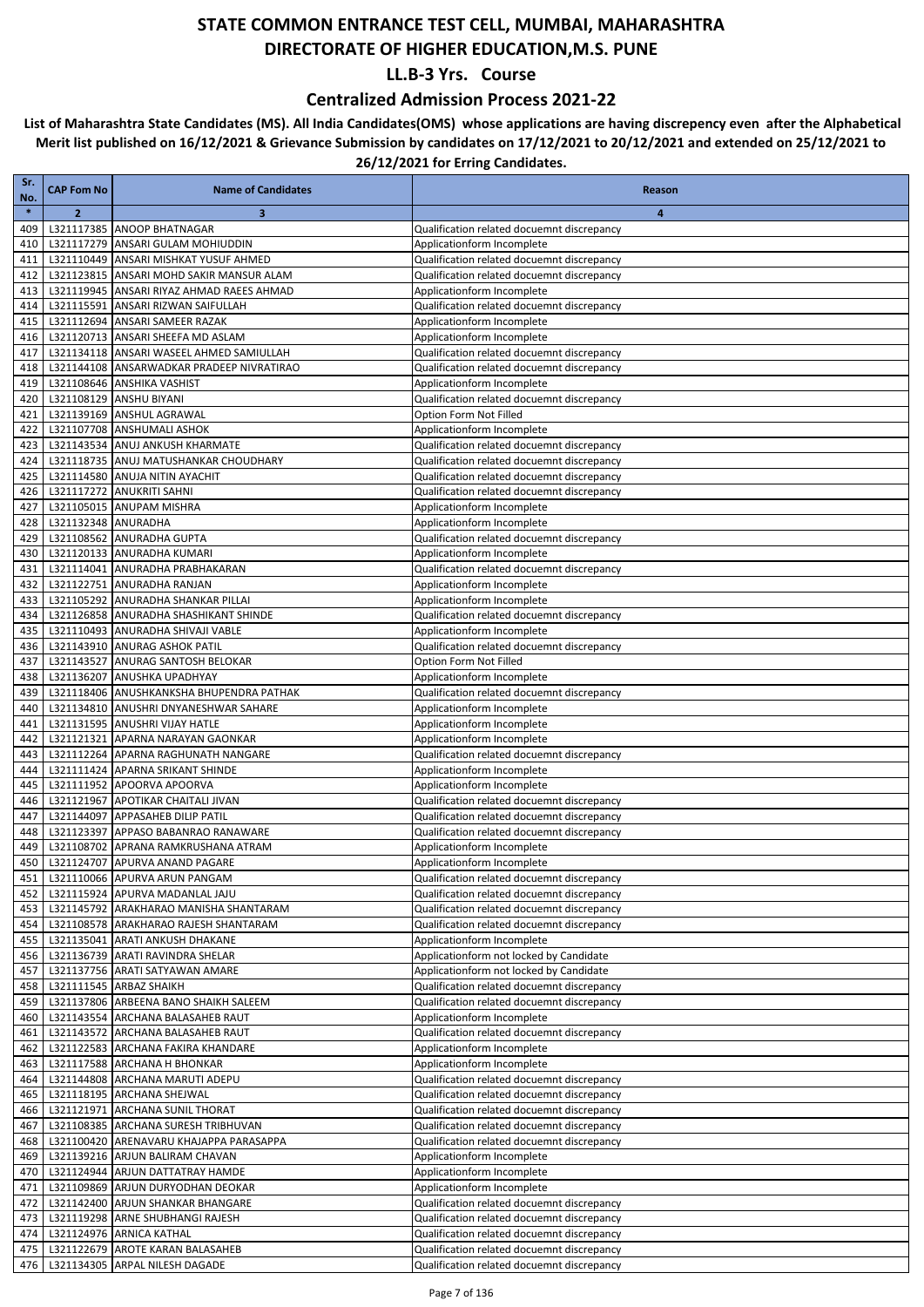### **Centralized Admission Process 2021-22**

| Sr.           | <b>CAP Fom No</b>   | <b>Name of Candidates</b>                                                       | Reason                                                                                   |
|---------------|---------------------|---------------------------------------------------------------------------------|------------------------------------------------------------------------------------------|
| No.<br>$\ast$ | $\overline{2}$      | 3                                                                               | $\overline{4}$                                                                           |
| 409           |                     | L321117385 ANOOP BHATNAGAR                                                      | Qualification related docuemnt discrepancy                                               |
| 410           |                     | L321117279 ANSARI GULAM MOHIUDDIN                                               | Applicationform Incomplete                                                               |
| 411           |                     | L321110449 ANSARI MISHKAT YUSUF AHMED                                           | Qualification related docuemnt discrepancy                                               |
| 412           |                     | L321123815 ANSARI MOHD SAKIR MANSUR ALAM                                        | Qualification related docuemnt discrepancy                                               |
| 413<br>414    |                     | L321119945 ANSARI RIYAZ AHMAD RAEES AHMAD<br>L321115591 ANSARI RIZWAN SAIFULLAH | Applicationform Incomplete<br>Qualification related docuemnt discrepancy                 |
| 415           |                     | L321112694 ANSARI SAMEER RAZAK                                                  | Applicationform Incomplete                                                               |
| 416           |                     | L321120713 ANSARI SHEEFA MD ASLAM                                               | Applicationform Incomplete                                                               |
| 417           |                     | L321134118 ANSARI WASEEL AHMED SAMIULLAH                                        | Qualification related docuemnt discrepancy                                               |
| 418           |                     | L321144108 ANSARWADKAR PRADEEP NIVRATIRAO                                       | Qualification related docuemnt discrepancy                                               |
| 419           |                     | L321108646 ANSHIKA VASHIST                                                      | Applicationform Incomplete                                                               |
| 420           |                     | L321108129 ANSHU BIYANI                                                         | Qualification related docuemnt discrepancy                                               |
| 421<br>422    |                     | L321139169 ANSHUL AGRAWAL<br>L321107708 ANSHUMALI ASHOK                         | Option Form Not Filled<br>Applicationform Incomplete                                     |
| 423           |                     | L321143534 ANUJ ANKUSH KHARMATE                                                 | Qualification related docuemnt discrepancy                                               |
| 424           |                     | L321118735 ANUJ MATUSHANKAR CHOUDHARY                                           | Qualification related docuemnt discrepancy                                               |
| 425           |                     | L321114580 ANUJA NITIN AYACHIT                                                  | Qualification related docuemnt discrepancy                                               |
| 426           |                     | L321117272 ANUKRITI SAHNI                                                       | Qualification related docuemnt discrepancy                                               |
| 427           |                     | L321105015 ANUPAM MISHRA                                                        | Applicationform Incomplete                                                               |
| 428<br>429    | L321132348 ANURADHA | L321108562 ANURADHA GUPTA                                                       | Applicationform Incomplete<br>Qualification related docuemnt discrepancy                 |
| 430           |                     | L321120133 ANURADHA KUMARI                                                      | Applicationform Incomplete                                                               |
| 431           |                     | L321114041 ANURADHA PRABHAKARAN                                                 | Qualification related docuemnt discrepancy                                               |
| 432           |                     | L321122751 ANURADHA RANJAN                                                      | Applicationform Incomplete                                                               |
| 433           |                     | L321105292 ANURADHA SHANKAR PILLAI                                              | Applicationform Incomplete                                                               |
| 434           |                     | L321126858 ANURADHA SHASHIKANT SHINDE                                           | Qualification related docuemnt discrepancy                                               |
| 435           |                     | L321110493 ANURADHA SHIVAJI VABLE                                               | Applicationform Incomplete                                                               |
| 436<br>437    |                     | L321143910 ANURAG ASHOK PATIL<br>L321143527 ANURAG SANTOSH BELOKAR              | Qualification related docuemnt discrepancy<br>Option Form Not Filled                     |
| 438           |                     | L321136207 ANUSHKA UPADHYAY                                                     | Applicationform Incomplete                                                               |
| 439           |                     | L321118406 ANUSHKANKSHA BHUPENDRA PATHAK                                        | Qualification related docuemnt discrepancy                                               |
| 440           |                     | L321134810 ANUSHRI DNYANESHWAR SAHARE                                           | Applicationform Incomplete                                                               |
| 441           |                     | L321131595 ANUSHRI VIJAY HATLE                                                  | Applicationform Incomplete                                                               |
| 442           |                     | L321121321 APARNA NARAYAN GAONKAR                                               | Applicationform Incomplete                                                               |
| 443<br>444    |                     | L321112264 APARNA RAGHUNATH NANGARE<br>L321111424 APARNA SRIKANT SHINDE         | Qualification related docuemnt discrepancy<br>Applicationform Incomplete                 |
| 445           |                     | L321111952 APOORVA APOORVA                                                      | Applicationform Incomplete                                                               |
| 446           |                     | L321121967 APOTIKAR CHAITALI JIVAN                                              | Qualification related docuemnt discrepancy                                               |
| 447           |                     | L321144097 APPASAHEB DILIP PATIL                                                | Qualification related docuemnt discrepancy                                               |
| 448           |                     | L321123397 APPASO BABANRAO RANAWARE                                             | Qualification related docuemnt discrepancy                                               |
| 449           |                     | L321108702 APRANA RAMKRUSHANA ATRAM                                             | Applicationform Incomplete                                                               |
| 450           |                     | L321124707 APURVA ANAND PAGARE                                                  | Applicationform Incomplete                                                               |
| 451<br>452    |                     | L321110066 APURVA ARUN PANGAM<br>L321115924 APURVA MADANLAL JAJU                | Qualification related docuemnt discrepancy<br>Qualification related docuemnt discrepancy |
| 453           |                     | L321145792 ARAKHARAO MANISHA SHANTARAM                                          | Qualification related docuemnt discrepancy                                               |
| 454           |                     | L321108578 ARAKHARAO RAJESH SHANTARAM                                           | Qualification related docuemnt discrepancy                                               |
| 455           |                     | L321135041 ARATI ANKUSH DHAKANE                                                 | Applicationform Incomplete                                                               |
|               |                     | 456   L321136739   ARATI RAVINDRA SHELAR                                        | Applicationform not locked by Candidate                                                  |
| 457           |                     | L321137756 ARATI SATYAWAN AMARE                                                 | Applicationform not locked by Candidate                                                  |
| 458<br>459    |                     | L321111545 ARBAZ SHAIKH<br>L321137806 ARBEENA BANO SHAIKH SALEEM                | Qualification related docuemnt discrepancy<br>Qualification related docuemnt discrepancy |
| 460           |                     | L321143554 ARCHANA BALASAHEB RAUT                                               | Applicationform Incomplete                                                               |
| 461           |                     | L321143572 ARCHANA BALASAHEB RAUT                                               | Qualification related docuemnt discrepancy                                               |
| 462           |                     | L321122583 ARCHANA FAKIRA KHANDARE                                              | Applicationform Incomplete                                                               |
| 463           |                     | L321117588 ARCHANA H BHONKAR                                                    | Applicationform Incomplete                                                               |
| 464           |                     | L321144808 ARCHANA MARUTI ADEPU                                                 | Qualification related docuemnt discrepancy                                               |
| 466           |                     | 465 L321118195 ARCHANA SHEJWAL<br>L321121971 ARCHANA SUNIL THORAT               | Qualification related docuemnt discrepancy<br>Qualification related docuemnt discrepancy |
| 467           |                     | L321108385 ARCHANA SURESH TRIBHUVAN                                             | Qualification related docuemnt discrepancy                                               |
| 468           |                     | L321100420 ARENAVARU KHAJAPPA PARASAPPA                                         | Qualification related docuemnt discrepancy                                               |
| 469           |                     | L321139216 ARJUN BALIRAM CHAVAN                                                 | Applicationform Incomplete                                                               |
| 470           |                     | L321124944 ARJUN DATTATRAY HAMDE                                                | Applicationform Incomplete                                                               |
| 471           |                     | L321109869 ARJUN DURYODHAN DEOKAR                                               | Applicationform Incomplete                                                               |
| 472           |                     | L321142400 ARJUN SHANKAR BHANGARE                                               | Qualification related docuemnt discrepancy                                               |
| 473<br>474    |                     | L321119298 ARNE SHUBHANGI RAJESH<br>L321124976 ARNICA KATHAL                    | Qualification related docuemnt discrepancy<br>Qualification related docuemnt discrepancy |
| 475           |                     | L321122679 AROTE KARAN BALASAHEB                                                | Qualification related docuemnt discrepancy                                               |
| 476           |                     | L321134305 ARPAL NILESH DAGADE                                                  | Qualification related docuemnt discrepancy                                               |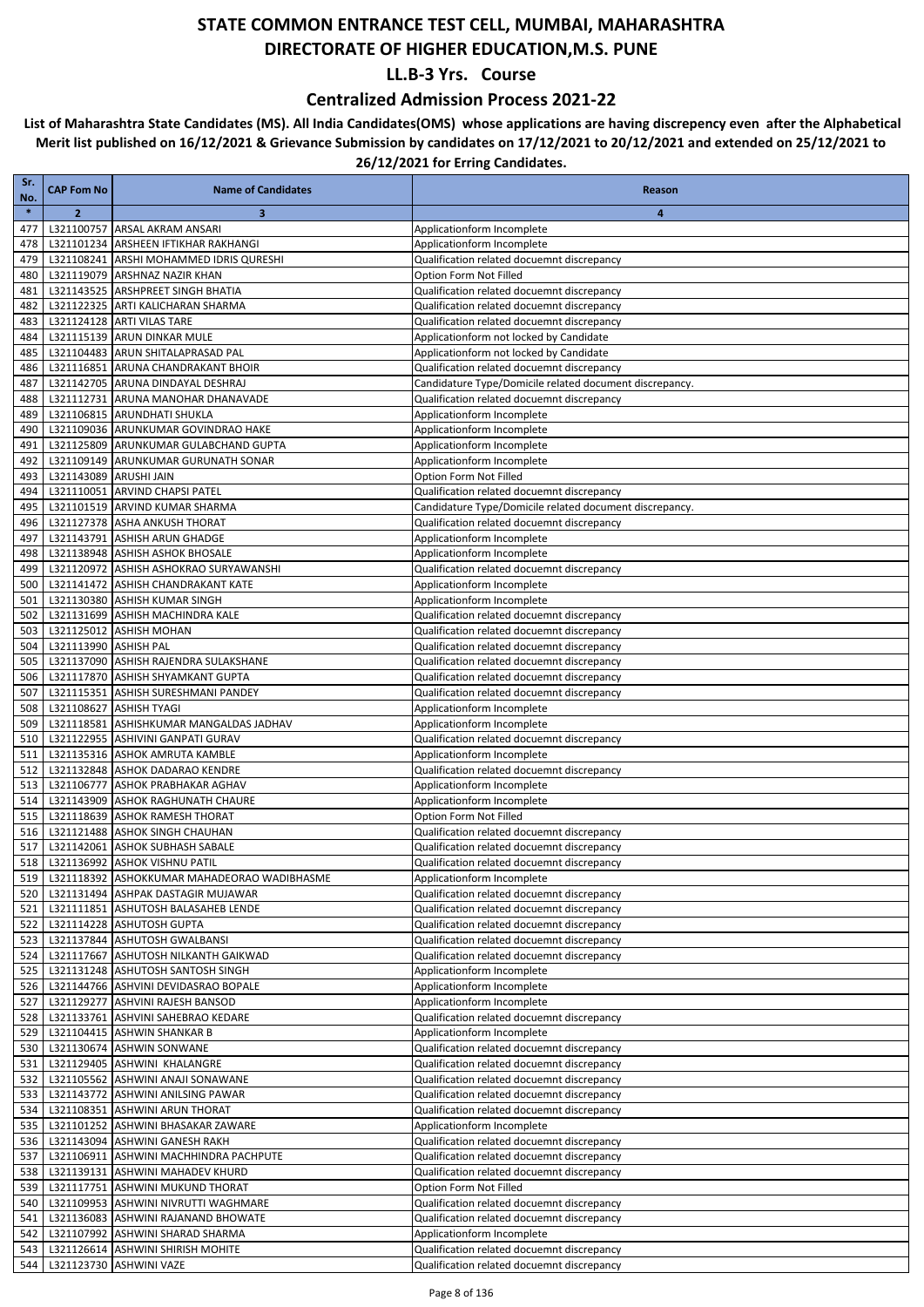### **Centralized Admission Process 2021-22**

| Sr.<br>No. | <b>CAP Fom No</b>      | <b>Name of Candidates</b>                                                  | Reason                                                                                   |
|------------|------------------------|----------------------------------------------------------------------------|------------------------------------------------------------------------------------------|
| $\ast$     | $\overline{2}$         | $\overline{\mathbf{3}}$                                                    | 4                                                                                        |
| 477        |                        | L321100757 ARSAL AKRAM ANSARI                                              | Applicationform Incomplete                                                               |
| 478        |                        | L321101234 ARSHEEN IFTIKHAR RAKHANGI                                       | Applicationform Incomplete                                                               |
| 479        |                        | L321108241 ARSHI MOHAMMED IDRIS QURESHI                                    | Qualification related docuemnt discrepancy                                               |
| 480<br>481 |                        | L321119079 ARSHNAZ NAZIR KHAN<br>L321143525 ARSHPREET SINGH BHATIA         | Option Form Not Filled                                                                   |
| 482        |                        | L321122325 ARTI KALICHARAN SHARMA                                          | Qualification related docuemnt discrepancy<br>Qualification related docuemnt discrepancy |
| 483        |                        | L321124128 ARTI VILAS TARE                                                 | Qualification related docuemnt discrepancy                                               |
| 484        |                        | L321115139 ARUN DINKAR MULE                                                | Applicationform not locked by Candidate                                                  |
| 485        |                        | L321104483 ARUN SHITALAPRASAD PAL                                          | Applicationform not locked by Candidate                                                  |
| 486        |                        | L321116851 ARUNA CHANDRAKANT BHOIR                                         | Qualification related docuemnt discrepancy                                               |
| 487        |                        | L321142705 ARUNA DINDAYAL DESHRAJ                                          | Candidature Type/Domicile related document discrepancy.                                  |
| 488        |                        | L321112731 ARUNA MANOHAR DHANAVADE                                         | Qualification related docuemnt discrepancy                                               |
| 489<br>490 |                        | L321106815 ARUNDHATI SHUKLA<br>L321109036 ARUNKUMAR GOVINDRAO HAKE         | Applicationform Incomplete<br>Applicationform Incomplete                                 |
| 491        |                        | L321125809 ARUNKUMAR GULABCHAND GUPTA                                      | Applicationform Incomplete                                                               |
| 492        |                        | L321109149 ARUNKUMAR GURUNATH SONAR                                        | Applicationform Incomplete                                                               |
| 493        | L321143089 ARUSHI JAIN |                                                                            | Option Form Not Filled                                                                   |
| 494        |                        | L321110051 ARVIND CHAPSI PATEL                                             | Qualification related docuemnt discrepancy                                               |
| 495        |                        | L321101519 ARVIND KUMAR SHARMA                                             | Candidature Type/Domicile related document discrepancy.                                  |
| 496        |                        | L321127378 ASHA ANKUSH THORAT                                              | Qualification related docuemnt discrepancy                                               |
| 497<br>498 |                        | L321143791 ASHISH ARUN GHADGE<br>L321138948 ASHISH ASHOK BHOSALE           | Applicationform Incomplete<br>Applicationform Incomplete                                 |
| 499        |                        | L321120972 ASHISH ASHOKRAO SURYAWANSHI                                     | Qualification related docuemnt discrepancy                                               |
| 500        |                        | L321141472 ASHISH CHANDRAKANT KATE                                         | Applicationform Incomplete                                                               |
| 501        |                        | L321130380 ASHISH KUMAR SINGH                                              | Applicationform Incomplete                                                               |
| 502        |                        | L321131699 ASHISH MACHINDRA KALE                                           | Qualification related docuemnt discrepancy                                               |
| 503        |                        | L321125012 ASHISH MOHAN                                                    | Qualification related docuemnt discrepancy                                               |
| 504        | L321113990 ASHISH PAL  |                                                                            | Qualification related docuemnt discrepancy                                               |
| 505<br>506 |                        | L321137090 ASHISH RAJENDRA SULAKSHANE<br>L321117870 ASHISH SHYAMKANT GUPTA | Qualification related docuemnt discrepancy<br>Qualification related docuemnt discrepancy |
| 507        |                        | L321115351 ASHISH SURESHMANI PANDEY                                        | Qualification related docuemnt discrepancy                                               |
| 508        |                        | L321108627 ASHISH TYAGI                                                    | Applicationform Incomplete                                                               |
| 509        |                        | L321118581 ASHISHKUMAR MANGALDAS JADHAV                                    | Applicationform Incomplete                                                               |
| 510        |                        | L321122955 ASHIVINI GANPATI GURAV                                          | Qualification related docuemnt discrepancy                                               |
| 511        |                        | L321135316 ASHOK AMRUTA KAMBLE                                             | Applicationform Incomplete                                                               |
| 512        |                        | L321132848 ASHOK DADARAO KENDRE                                            | Qualification related docuemnt discrepancy                                               |
| 513<br>514 |                        | L321106777 ASHOK PRABHAKAR AGHAV<br>L321143909 ASHOK RAGHUNATH CHAURE      | Applicationform Incomplete<br>Applicationform Incomplete                                 |
| 515        |                        | L321118639 ASHOK RAMESH THORAT                                             | Option Form Not Filled                                                                   |
| 516        |                        | L321121488 ASHOK SINGH CHAUHAN                                             | Qualification related docuemnt discrepancy                                               |
| 517        |                        | L321142061 ASHOK SUBHASH SABALE                                            | Qualification related docuemnt discrepancy                                               |
| 518        |                        | L321136992 ASHOK VISHNU PATIL                                              | Qualification related docuemnt discrepancy                                               |
|            |                        | 519   L321118392 ASHOKKUMAR MAHADEORAO WADIBHASME                          | Applicationform Incomplete                                                               |
| 520        |                        | L321131494 ASHPAK DASTAGIR MUJAWAR                                         | Qualification related docuemnt discrepancy                                               |
| 521<br>522 |                        | L321111851 ASHUTOSH BALASAHEB LENDE<br>L321114228 ASHUTOSH GUPTA           | Qualification related docuemnt discrepancy<br>Qualification related docuemnt discrepancy |
| 523        |                        | L321137844 ASHUTOSH GWALBANSI                                              | Qualification related docuemnt discrepancy                                               |
| 524        |                        | L321117667 ASHUTOSH NILKANTH GAIKWAD                                       | Qualification related docuemnt discrepancy                                               |
| 525        |                        | L321131248 ASHUTOSH SANTOSH SINGH                                          | Applicationform Incomplete                                                               |
| 526        |                        | L321144766 ASHVINI DEVIDASRAO BOPALE                                       | Applicationform Incomplete                                                               |
| 527        |                        | L321129277 ASHVINI RAJESH BANSOD                                           | Applicationform Incomplete                                                               |
| 528<br>529 |                        | L321133761 ASHVINI SAHEBRAO KEDARE<br>L321104415 ASHWIN SHANKAR B          | Qualification related docuemnt discrepancy<br>Applicationform Incomplete                 |
| 530        |                        | L321130674 ASHWIN SONWANE                                                  | Qualification related docuemnt discrepancy                                               |
| 531        |                        | L321129405 ASHWINI KHALANGRE                                               | Qualification related docuemnt discrepancy                                               |
| 532        |                        | L321105562 ASHWINI ANAJI SONAWANE                                          | Qualification related docuemnt discrepancy                                               |
| 533        |                        | L321143772 ASHWINI ANILSING PAWAR                                          | Qualification related docuemnt discrepancy                                               |
| 534        |                        | L321108351 ASHWINI ARUN THORAT                                             | Qualification related docuemnt discrepancy                                               |
| 535        |                        | L321101252 ASHWINI BHASAKAR ZAWARE                                         | Applicationform Incomplete                                                               |
| 536<br>537 |                        | L321143094 ASHWINI GANESH RAKH<br>L321106911 ASHWINI MACHHINDRA PACHPUTE   | Qualification related docuemnt discrepancy<br>Qualification related docuemnt discrepancy |
| 538        |                        | L321139131 ASHWINI MAHADEV KHURD                                           | Qualification related docuemnt discrepancy                                               |
| 539        |                        | L321117751 ASHWINI MUKUND THORAT                                           | Option Form Not Filled                                                                   |
| 540        |                        | L321109953 ASHWINI NIVRUTTI WAGHMARE                                       | Qualification related docuemnt discrepancy                                               |
| 541        |                        | L321136083 ASHWINI RAJANAND BHOWATE                                        | Qualification related docuemnt discrepancy                                               |
| 542        |                        | L321107992 ASHWINI SHARAD SHARMA                                           | Applicationform Incomplete                                                               |
| 543        |                        | L321126614 ASHWINI SHIRISH MOHITE                                          | Qualification related docuemnt discrepancy                                               |
| 544        |                        | L321123730 ASHWINI VAZE                                                    | Qualification related docuemnt discrepancy                                               |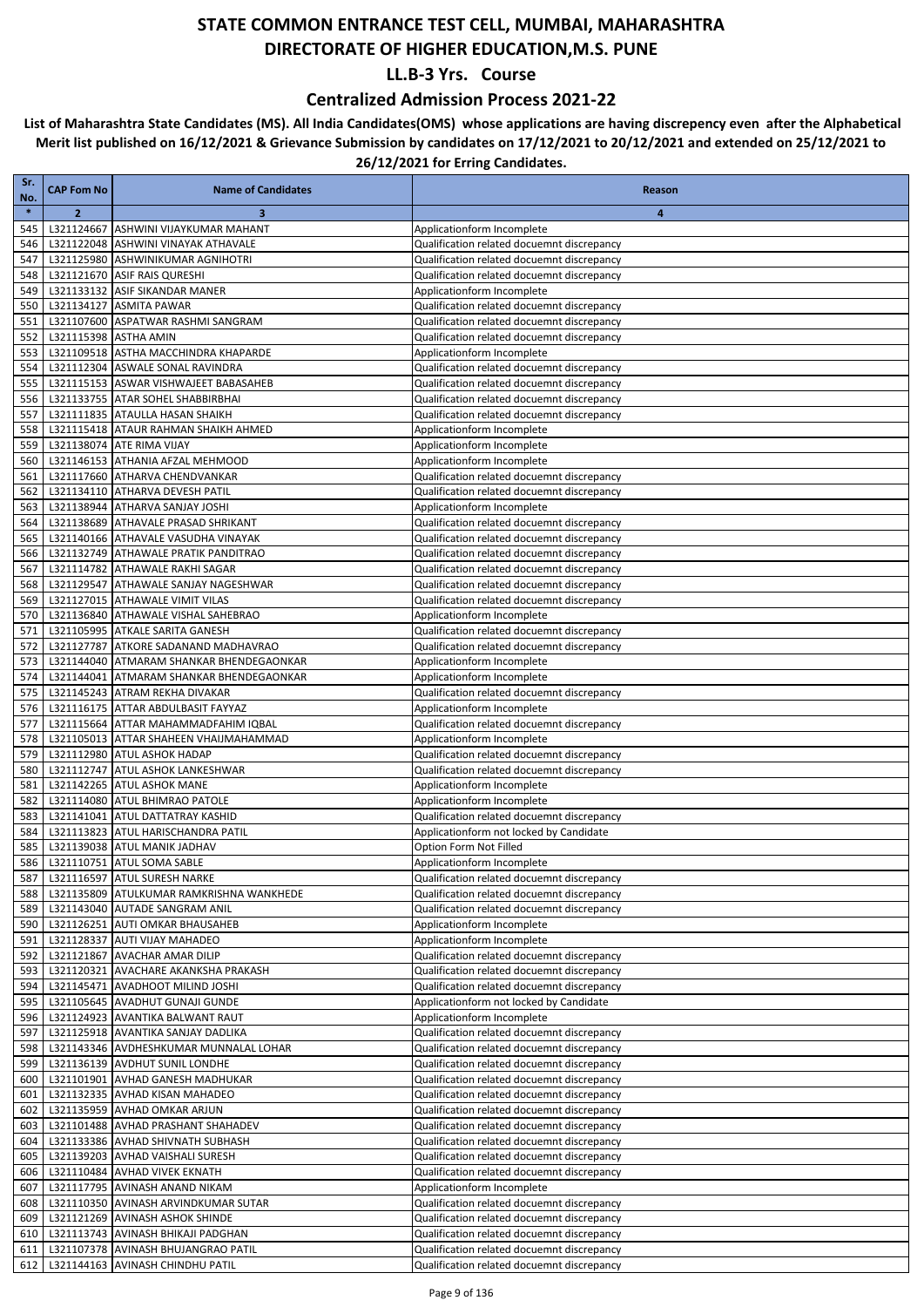### **Centralized Admission Process 2021-22**

| Sr.<br>No. | <b>CAP Fom No</b> | <b>Name of Candidates</b>                                                    | Reason                                                                                   |
|------------|-------------------|------------------------------------------------------------------------------|------------------------------------------------------------------------------------------|
| $\ast$     | $\overline{2}$    | 3                                                                            | 4                                                                                        |
| 545        |                   | L321124667 ASHWINI VIJAYKUMAR MAHANT                                         | Applicationform Incomplete                                                               |
| 546        |                   | L321122048 ASHWINI VINAYAK ATHAVALE                                          | Qualification related docuemnt discrepancy                                               |
| 547        |                   | L321125980 ASHWINIKUMAR AGNIHOTRI                                            | Qualification related docuemnt discrepancy                                               |
| 548        |                   | L321121670 ASIF RAIS QURESHI                                                 | Qualification related docuemnt discrepancy                                               |
| 549        |                   | L321133132 ASIF SIKANDAR MANER                                               | Applicationform Incomplete                                                               |
| 550        |                   | L321134127 ASMITA PAWAR                                                      | Qualification related docuemnt discrepancy                                               |
| 551<br>552 |                   | L321107600 ASPATWAR RASHMI SANGRAM<br>L321115398 ASTHA AMIN                  | Qualification related docuemnt discrepancy                                               |
| 553        |                   | L321109518 ASTHA MACCHINDRA KHAPARDE                                         | Qualification related docuemnt discrepancy<br>Applicationform Incomplete                 |
| 554        |                   | L321112304 ASWALE SONAL RAVINDRA                                             | Qualification related docuemnt discrepancy                                               |
| 555        |                   | L321115153 ASWAR VISHWAJEET BABASAHEB                                        | Qualification related docuemnt discrepancy                                               |
| 556        |                   | L321133755 ATAR SOHEL SHABBIRBHAI                                            | Qualification related docuemnt discrepancy                                               |
| 557        |                   | L321111835 ATAULLA HASAN SHAIKH                                              | Qualification related docuemnt discrepancy                                               |
| 558        |                   | L321115418 ATAUR RAHMAN SHAIKH AHMED                                         | Applicationform Incomplete                                                               |
| 559        |                   | L321138074 ATE RIMA VIJAY                                                    | Applicationform Incomplete                                                               |
| 560        |                   | L321146153 ATHANIA AFZAL MEHMOOD                                             | Applicationform Incomplete                                                               |
| 561        |                   | L321117660 ATHARVA CHENDVANKAR                                               | Qualification related docuemnt discrepancy                                               |
| 562        |                   | L321134110 ATHARVA DEVESH PATIL                                              | Qualification related docuemnt discrepancy                                               |
| 563        |                   | L321138944 ATHARVA SANJAY JOSHI                                              | Applicationform Incomplete                                                               |
| 564<br>565 |                   | L321138689 ATHAVALE PRASAD SHRIKANT<br>L321140166 ATHAVALE VASUDHA VINAYAK   | Qualification related docuemnt discrepancy<br>Qualification related docuemnt discrepancy |
| 566        |                   | L321132749 ATHAWALE PRATIK PANDITRAO                                         | Qualification related docuemnt discrepancy                                               |
| 567        |                   | L321114782 ATHAWALE RAKHI SAGAR                                              | Qualification related docuemnt discrepancy                                               |
| 568        |                   | L321129547 ATHAWALE SANJAY NAGESHWAR                                         | Qualification related docuemnt discrepancy                                               |
| 569        |                   | L321127015 ATHAWALE VIMIT VILAS                                              | Qualification related docuemnt discrepancy                                               |
| 570        |                   | L321136840 ATHAWALE VISHAL SAHEBRAO                                          | Applicationform Incomplete                                                               |
| 571        |                   | L321105995 ATKALE SARITA GANESH                                              | Qualification related docuemnt discrepancy                                               |
| 572        |                   | L321127787 ATKORE SADANAND MADHAVRAO                                         | Qualification related docuemnt discrepancy                                               |
| 573        |                   | L321144040 ATMARAM SHANKAR BHENDEGAONKAR                                     | Applicationform Incomplete                                                               |
| 574        |                   | L321144041 ATMARAM SHANKAR BHENDEGAONKAR                                     | Applicationform Incomplete                                                               |
| 575        |                   | L321145243 ATRAM REKHA DIVAKAR                                               | Qualification related docuemnt discrepancy                                               |
| 576<br>577 |                   | L321116175 ATTAR ABDULBASIT FAYYAZ<br>L321115664 ATTAR MAHAMMADFAHIM IQBAL   | Applicationform Incomplete<br>Qualification related docuemnt discrepancy                 |
| 578        |                   | L321105013 ATTAR SHAHEEN VHAIJMAHAMMAD                                       | Applicationform Incomplete                                                               |
| 579        |                   | L321112980 ATUL ASHOK HADAP                                                  | Qualification related docuemnt discrepancy                                               |
| 580        |                   | L321112747 ATUL ASHOK LANKESHWAR                                             | Qualification related docuemnt discrepancy                                               |
| 581        |                   | L321142265 ATUL ASHOK MANE                                                   | Applicationform Incomplete                                                               |
| 582        |                   | L321114080 ATUL BHIMRAO PATOLE                                               | Applicationform Incomplete                                                               |
| 583        |                   | L321141041 ATUL DATTATRAY KASHID                                             | Qualification related docuemnt discrepancy                                               |
| 584        |                   | L321113823 ATUL HARISCHANDRA PATIL                                           | Applicationform not locked by Candidate                                                  |
| 585        |                   | L321139038 ATUL MANIK JADHAV                                                 | Option Form Not Filled                                                                   |
| 586<br>587 |                   | L321110751 ATUL SOMA SABLE<br>L321116597 ATUL SURESH NARKE                   | Applicationform Incomplete<br>Qualification related docuemnt discrepancy                 |
| 588        |                   | L321135809 ATULKUMAR RAMKRISHNA WANKHEDE                                     | Qualification related docuemnt discrepancy                                               |
| 589        |                   | L321143040 AUTADE SANGRAM ANIL                                               | Qualification related docuemnt discrepancy                                               |
| 590        |                   | L321126251 AUTI OMKAR BHAUSAHEB                                              | Applicationform Incomplete                                                               |
| 591        |                   | L321128337 AUTI VIJAY MAHADEO                                                | Applicationform Incomplete                                                               |
| 592        |                   | L321121867 AVACHAR AMAR DILIP                                                | Qualification related docuemnt discrepancy                                               |
| 593        |                   | L321120321 AVACHARE AKANKSHA PRAKASH                                         | Qualification related docuemnt discrepancy                                               |
| 594        |                   | L321145471 AVADHOOT MILIND JOSHI                                             | Qualification related docuemnt discrepancy                                               |
| 595        |                   | L321105645 AVADHUT GUNAJI GUNDE                                              | Applicationform not locked by Candidate                                                  |
| 596        |                   | L321124923 AVANTIKA BALWANT RAUT                                             | Applicationform Incomplete                                                               |
| 597<br>598 |                   | L321125918 AVANTIKA SANJAY DADLIKA<br>L321143346 AVDHESHKUMAR MUNNALAL LOHAR | Qualification related docuemnt discrepancy<br>Qualification related docuemnt discrepancy |
| 599        |                   | L321136139 AVDHUT SUNIL LONDHE                                               | Qualification related docuemnt discrepancy                                               |
| 600        |                   | L321101901 AVHAD GANESH MADHUKAR                                             | Qualification related docuemnt discrepancy                                               |
| 601        |                   | L321132335 AVHAD KISAN MAHADEO                                               | Qualification related docuemnt discrepancy                                               |
| 602        |                   | L321135959 AVHAD OMKAR ARJUN                                                 | Qualification related docuemnt discrepancy                                               |
| 603        |                   | L321101488 AVHAD PRASHANT SHAHADEV                                           | Qualification related docuemnt discrepancy                                               |
| 604        |                   | L321133386 AVHAD SHIVNATH SUBHASH                                            | Qualification related docuemnt discrepancy                                               |
| 605        |                   | L321139203 AVHAD VAISHALI SURESH                                             | Qualification related docuemnt discrepancy                                               |
| 606        |                   | L321110484 AVHAD VIVEK EKNATH                                                | Qualification related docuemnt discrepancy                                               |
| 607        |                   | L321117795 AVINASH ANAND NIKAM                                               | Applicationform Incomplete                                                               |
| 608        |                   | L321110350 AVINASH ARVINDKUMAR SUTAR                                         | Qualification related docuemnt discrepancy<br>Qualification related docuemnt discrepancy |
| 609<br>610 |                   | L321121269 AVINASH ASHOK SHINDE<br>L321113743 AVINASH BHIKAJI PADGHAN        | Qualification related docuemnt discrepancy                                               |
| 611        |                   | L321107378 AVINASH BHUJANGRAO PATIL                                          | Qualification related docuemnt discrepancy                                               |
| 612        |                   | L321144163 AVINASH CHINDHU PATIL                                             | Qualification related docuemnt discrepancy                                               |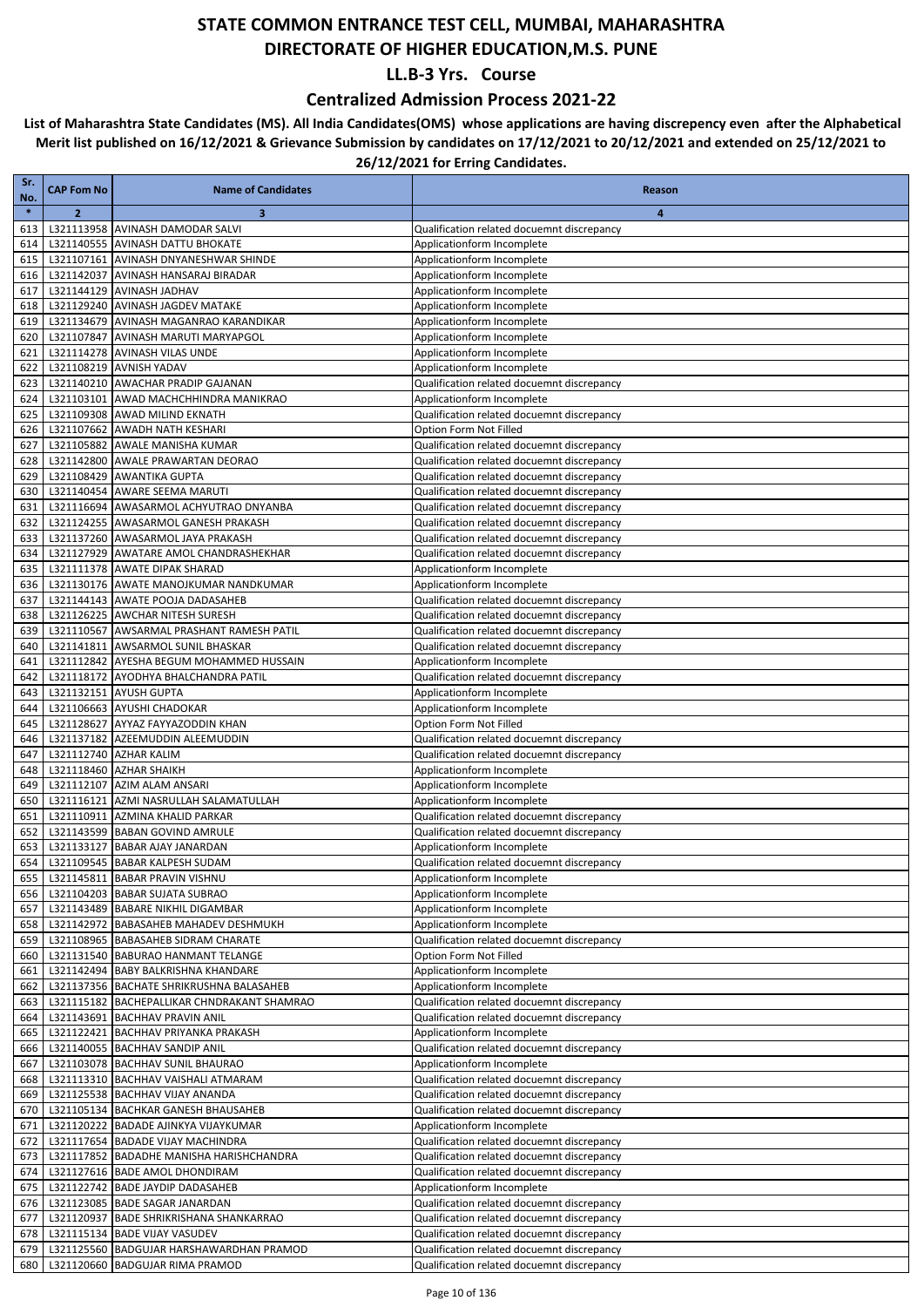### **Centralized Admission Process 2021-22**

| Sr.<br>No. | <b>CAP Fom No</b> | <b>Name of Candidates</b>                                                | Reason                                                                                   |
|------------|-------------------|--------------------------------------------------------------------------|------------------------------------------------------------------------------------------|
| $\ast$     | $\overline{2}$    | 3                                                                        | $\overline{4}$                                                                           |
| 613        |                   | L321113958 AVINASH DAMODAR SALVI                                         | Qualification related docuemnt discrepancy                                               |
| 614        |                   | L321140555 AVINASH DATTU BHOKATE                                         | Applicationform Incomplete                                                               |
| 615        |                   | L321107161 AVINASH DNYANESHWAR SHINDE                                    | Applicationform Incomplete                                                               |
| 616        |                   | L321142037 AVINASH HANSARAJ BIRADAR                                      | Applicationform Incomplete                                                               |
| 617        |                   | L321144129 AVINASH JADHAV                                                | Applicationform Incomplete                                                               |
| 618        |                   | L321129240 AVINASH JAGDEV MATAKE                                         | Applicationform Incomplete                                                               |
| 619        |                   | L321134679 AVINASH MAGANRAO KARANDIKAR                                   | Applicationform Incomplete                                                               |
| 620<br>621 |                   | L321107847 AVINASH MARUTI MARYAPGOL<br>L321114278 AVINASH VILAS UNDE     | Applicationform Incomplete<br>Applicationform Incomplete                                 |
| 622        |                   | L321108219 AVNISH YADAV                                                  | Applicationform Incomplete                                                               |
| 623        |                   | L321140210 AWACHAR PRADIP GAJANAN                                        | Qualification related docuemnt discrepancy                                               |
| 624        |                   | L321103101 AWAD MACHCHHINDRA MANIKRAO                                    | Applicationform Incomplete                                                               |
| 625        |                   | L321109308 AWAD MILIND EKNATH                                            | Qualification related docuemnt discrepancy                                               |
| 626        |                   | L321107662 AWADH NATH KESHARI                                            | Option Form Not Filled                                                                   |
| 627        |                   | L321105882 AWALE MANISHA KUMAR                                           | Qualification related docuemnt discrepancy                                               |
| 628        |                   | L321142800 AWALE PRAWARTAN DEORAO                                        | Qualification related docuemnt discrepancy                                               |
| 629        |                   | L321108429 AWANTIKA GUPTA                                                | Qualification related docuemnt discrepancy                                               |
| 630        |                   | L321140454 AWARE SEEMA MARUTI                                            | Qualification related docuemnt discrepancy                                               |
| 631        |                   | L321116694 AWASARMOL ACHYUTRAO DNYANBA                                   | Qualification related docuemnt discrepancy                                               |
| 632<br>633 |                   | L321124255 AWASARMOL GANESH PRAKASH<br>L321137260 AWASARMOL JAYA PRAKASH | Qualification related docuemnt discrepancy<br>Qualification related docuemnt discrepancy |
| 634        |                   | L321127929 AWATARE AMOL CHANDRASHEKHAR                                   | Qualification related docuemnt discrepancy                                               |
| 635        |                   | L321111378 AWATE DIPAK SHARAD                                            | Applicationform Incomplete                                                               |
| 636        |                   | L321130176 AWATE MANOJKUMAR NANDKUMAR                                    | Applicationform Incomplete                                                               |
| 637        |                   | L321144143 AWATE POOJA DADASAHEB                                         | Qualification related docuemnt discrepancy                                               |
| 638        |                   | L321126225 AWCHAR NITESH SURESH                                          | Qualification related docuemnt discrepancy                                               |
| 639        |                   | L321110567 AWSARMAL PRASHANT RAMESH PATIL                                | Qualification related docuemnt discrepancy                                               |
| 640        |                   | L321141811 AWSARMOL SUNIL BHASKAR                                        | Qualification related docuemnt discrepancy                                               |
| 641        |                   | L321112842 AYESHA BEGUM MOHAMMED HUSSAIN                                 | Applicationform Incomplete                                                               |
| 642        |                   | L321118172 AYODHYA BHALCHANDRA PATIL                                     | Qualification related docuemnt discrepancy                                               |
| 643        |                   | L321132151 AYUSH GUPTA                                                   | Applicationform Incomplete                                                               |
| 644<br>645 |                   | L321106663 AYUSHI CHADOKAR<br>L321128627 AYYAZ FAYYAZODDIN KHAN          | Applicationform Incomplete<br>Option Form Not Filled                                     |
| 646        |                   | L321137182 AZEEMUDDIN ALEEMUDDIN                                         | Qualification related docuemnt discrepancy                                               |
| 647        |                   | L321112740 AZHAR KALIM                                                   | Qualification related docuemnt discrepancy                                               |
| 648        |                   | L321118460 AZHAR SHAIKH                                                  | Applicationform Incomplete                                                               |
| 649        |                   | L321112107 AZIM ALAM ANSARI                                              | Applicationform Incomplete                                                               |
| 650        |                   | L321116121 AZMI NASRULLAH SALAMATULLAH                                   | Applicationform Incomplete                                                               |
| 651        |                   | L321110911 AZMINA KHALID PARKAR                                          | Qualification related docuemnt discrepancy                                               |
| 652        |                   | L321143599 BABAN GOVIND AMRULE                                           | Qualification related docuemnt discrepancy                                               |
| 653        |                   | L321133127 BABAR AJAY JANARDAN                                           | Applicationform Incomplete                                                               |
| 654        |                   | L321109545 BABAR KALPESH SUDAM<br>L321145811 BABAR PRAVIN VISHNU         | Qualification related docuemnt discrepancy<br>Applicationform Incomplete                 |
| 655<br>656 |                   | L321104203 BABAR SUJATA SUBRAO                                           | Applicationform Incomplete                                                               |
| 657        |                   | L321143489 BABARE NIKHIL DIGAMBAR                                        | Applicationform Incomplete                                                               |
| 658        |                   | L321142972 BABASAHEB MAHADEV DESHMUKH                                    | Applicationform Incomplete                                                               |
| 659        |                   | L321108965 BABASAHEB SIDRAM CHARATE                                      | Qualification related docuemnt discrepancy                                               |
| 660        |                   | L321131540 BABURAO HANMANT TELANGE                                       | Option Form Not Filled                                                                   |
| 661        |                   | L321142494 BABY BALKRISHNA KHANDARE                                      | Applicationform Incomplete                                                               |
| 662        |                   | L321137356 BACHATE SHRIKRUSHNA BALASAHEB                                 | Applicationform Incomplete                                                               |
| 663        |                   | L321115182 BACHEPALLIKAR CHNDRAKANT SHAMRAO                              | Qualification related docuemnt discrepancy                                               |
| 664        |                   | L321143691 BACHHAV PRAVIN ANIL                                           | Qualification related docuemnt discrepancy                                               |
| 665<br>666 |                   | L321122421 BACHHAV PRIYANKA PRAKASH<br>L321140055 BACHHAV SANDIP ANIL    | Applicationform Incomplete<br>Qualification related docuemnt discrepancy                 |
| 667        |                   | L321103078 BACHHAV SUNIL BHAURAO                                         | Applicationform Incomplete                                                               |
| 668        |                   | L321113310 BACHHAV VAISHALI ATMARAM                                      | Qualification related docuemnt discrepancy                                               |
| 669        |                   | L321125538 BACHHAV VIJAY ANANDA                                          | Qualification related docuemnt discrepancy                                               |
| 670        |                   | L321105134 BACHKAR GANESH BHAUSAHEB                                      | Qualification related docuemnt discrepancy                                               |
| 671        |                   | L321120222 BADADE AJINKYA VIJAYKUMAR                                     | Applicationform Incomplete                                                               |
| 672        |                   | L321117654 BADADE VIJAY MACHINDRA                                        | Qualification related docuemnt discrepancy                                               |
| 673        |                   | L321117852 BADADHE MANISHA HARISHCHANDRA                                 | Qualification related docuemnt discrepancy                                               |
| 674        |                   | L321127616 BADE AMOL DHONDIRAM                                           | Qualification related docuemnt discrepancy                                               |
| 675        |                   | L321122742 BADE JAYDIP DADASAHEB                                         | Applicationform Incomplete                                                               |
| 676        |                   | L321123085 BADE SAGAR JANARDAN                                           | Qualification related docuemnt discrepancy                                               |
| 677<br>678 |                   | L321120937 BADE SHRIKRISHANA SHANKARRAO<br>L321115134 BADE VIJAY VASUDEV | Qualification related docuemnt discrepancy<br>Qualification related docuemnt discrepancy |
| 679        |                   | L321125560 BADGUJAR HARSHAWARDHAN PRAMOD                                 | Qualification related docuemnt discrepancy                                               |
| 680        |                   | L321120660 BADGUJAR RIMA PRAMOD                                          | Qualification related docuemnt discrepancy                                               |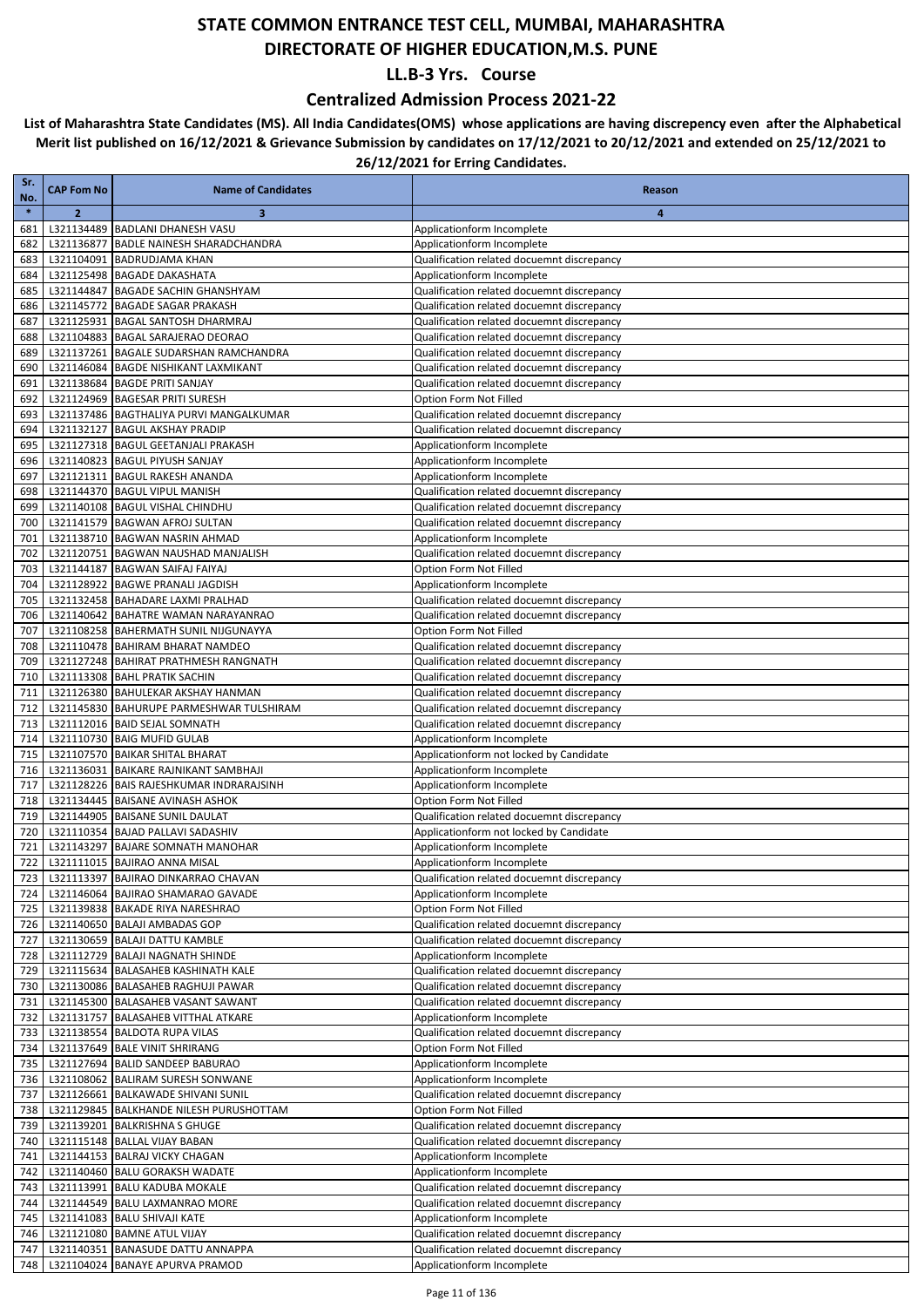### **Centralized Admission Process 2021-22**

| Sr.<br>No. | <b>CAP Fom No</b> | <b>Name of Candidates</b>                                                   | Reason                                                                                   |
|------------|-------------------|-----------------------------------------------------------------------------|------------------------------------------------------------------------------------------|
| $\ast$     | $\overline{2}$    | $\overline{\mathbf{3}}$                                                     | 4                                                                                        |
| 681        |                   | L321134489 BADLANI DHANESH VASU                                             | Applicationform Incomplete                                                               |
| 682        |                   | L321136877 BADLE NAINESH SHARADCHANDRA                                      | Applicationform Incomplete                                                               |
| 683        |                   | L321104091 BADRUDJAMA KHAN                                                  | Qualification related docuemnt discrepancy                                               |
| 684        |                   | L321125498 BAGADE DAKASHATA                                                 | Applicationform Incomplete                                                               |
| 685        |                   | L321144847 BAGADE SACHIN GHANSHYAM                                          | Qualification related docuemnt discrepancy                                               |
| 686        |                   | L321145772 BAGADE SAGAR PRAKASH                                             | Qualification related docuemnt discrepancy                                               |
| 687        |                   | L321125931 BAGAL SANTOSH DHARMRAJ                                           | Qualification related docuemnt discrepancy                                               |
| 688<br>689 |                   | L321104883 BAGAL SARAJERAO DEORAO<br>L321137261 BAGALE SUDARSHAN RAMCHANDRA | Qualification related docuemnt discrepancy<br>Qualification related docuemnt discrepancy |
| 690        |                   | L321146084 BAGDE NISHIKANT LAXMIKANT                                        | Qualification related docuemnt discrepancy                                               |
| 691        |                   | L321138684 BAGDE PRITI SANJAY                                               | Qualification related docuemnt discrepancy                                               |
| 692        |                   | L321124969 BAGESAR PRITI SURESH                                             | Option Form Not Filled                                                                   |
| 693        |                   | L321137486 BAGTHALIYA PURVI MANGALKUMAR                                     | Qualification related docuemnt discrepancy                                               |
| 694        |                   | L321132127 BAGUL AKSHAY PRADIP                                              | Qualification related docuemnt discrepancy                                               |
| 695        |                   | L321127318 BAGUL GEETANJALI PRAKASH                                         | Applicationform Incomplete                                                               |
| 696        |                   | L321140823 BAGUL PIYUSH SANJAY                                              | Applicationform Incomplete                                                               |
| 697        |                   | L321121311 BAGUL RAKESH ANANDA                                              | Applicationform Incomplete                                                               |
| 698        |                   | L321144370 BAGUL VIPUL MANISH                                               | Qualification related docuemnt discrepancy                                               |
| 699        |                   | L321140108 BAGUL VISHAL CHINDHU                                             | Qualification related docuemnt discrepancy                                               |
| 700        |                   | L321141579 BAGWAN AFROJ SULTAN                                              | Qualification related docuemnt discrepancy                                               |
| 701        |                   | L321138710 BAGWAN NASRIN AHMAD<br>L321120751 BAGWAN NAUSHAD MANJALISH       | Applicationform Incomplete                                                               |
| 702<br>703 |                   | L321144187 BAGWAN SAIFAJ FAIYAJ                                             | Qualification related docuemnt discrepancy<br>Option Form Not Filled                     |
| 704        |                   | L321128922 BAGWE PRANALI JAGDISH                                            | Applicationform Incomplete                                                               |
| 705        |                   | L321132458 BAHADARE LAXMI PRALHAD                                           | Qualification related docuemnt discrepancy                                               |
| 706        |                   | L321140642 BAHATRE WAMAN NARAYANRAO                                         | Qualification related docuemnt discrepancy                                               |
| 707        |                   | L321108258 BAHERMATH SUNIL NIJGUNAYYA                                       | Option Form Not Filled                                                                   |
| 708        |                   | L321110478 BAHIRAM BHARAT NAMDEO                                            | Qualification related docuemnt discrepancy                                               |
| 709        |                   | L321127248 BAHIRAT PRATHMESH RANGNATH                                       | Qualification related docuemnt discrepancy                                               |
| 710        |                   | L321113308 BAHL PRATIK SACHIN                                               | Qualification related docuemnt discrepancy                                               |
| 711        |                   | L321126380 BAHULEKAR AKSHAY HANMAN                                          | Qualification related docuemnt discrepancy                                               |
| 712        |                   | L321145830 BAHURUPE PARMESHWAR TULSHIRAM                                    | Qualification related docuemnt discrepancy                                               |
| 713        |                   | L321112016 BAID SEJAL SOMNATH                                               | Qualification related docuemnt discrepancy                                               |
| 714        |                   | L321110730 BAIG MUFID GULAB                                                 | Applicationform Incomplete                                                               |
| 715<br>716 |                   | L321107570 BAIKAR SHITAL BHARAT<br>L321136031 BAIKARE RAJNIKANT SAMBHAJI    | Applicationform not locked by Candidate<br>Applicationform Incomplete                    |
| 717        |                   | L321128226 BAIS RAJESHKUMAR INDRARAJSINH                                    | Applicationform Incomplete                                                               |
| 718        |                   | L321134445 BAISANE AVINASH ASHOK                                            | Option Form Not Filled                                                                   |
| 719        |                   | L321144905 BAISANE SUNIL DAULAT                                             | Qualification related docuemnt discrepancy                                               |
| 720        |                   | L321110354 BAJAD PALLAVI SADASHIV                                           | Applicationform not locked by Candidate                                                  |
| 721        |                   | L321143297 BAJARE SOMNATH MANOHAR                                           | Applicationform Incomplete                                                               |
| 722        |                   | L321111015 BAJIRAO ANNA MISAL                                               | Applicationform Incomplete                                                               |
|            |                   | 723   L321113397   BAJIRAO DINKARRAO CHAVAN                                 | Qualification related docuemnt discrepancy                                               |
| 724        |                   | L321146064 BAJIRAO SHAMARAO GAVADE                                          | Applicationform Incomplete                                                               |
| 725        |                   | L321139838 BAKADE RIYA NARESHRAO                                            | Option Form Not Filled                                                                   |
|            |                   | 726   L321140650   BALAJI AMBADAS GOP                                       | Qualification related docuemnt discrepancy                                               |
| 727        |                   | L321130659 BALAJI DATTU KAMBLE                                              | Qualification related docuemnt discrepancy<br>Applicationform Incomplete                 |
| 728<br>729 |                   | L321112729 BALAJI NAGNATH SHINDE<br>L321115634 BALASAHEB KASHINATH KALE     | Qualification related docuemnt discrepancy                                               |
| 730        |                   | L321130086 BALASAHEB RAGHUJI PAWAR                                          | Qualification related docuemnt discrepancy                                               |
| 731        |                   | L321145300 BALASAHEB VASANT SAWANT                                          | Qualification related docuemnt discrepancy                                               |
| 732        |                   | L321131757 BALASAHEB VITTHAL ATKARE                                         | Applicationform Incomplete                                                               |
| 733        |                   | L321138554 BALDOTA RUPA VILAS                                               | Qualification related docuemnt discrepancy                                               |
| 734        |                   | L321137649 BALE VINIT SHRIRANG                                              | Option Form Not Filled                                                                   |
| 735        |                   | L321127694 BALID SANDEEP BABURAO                                            | Applicationform Incomplete                                                               |
| 736        |                   | L321108062 BALIRAM SURESH SONWANE                                           | Applicationform Incomplete                                                               |
| 737        |                   | L321126661 BALKAWADE SHIVANI SUNIL                                          | Qualification related docuemnt discrepancy                                               |
| 738        |                   | L321129845   BALKHANDE NILESH PURUSHOTTAM                                   | Option Form Not Filled                                                                   |
| 739        |                   | L321139201 BALKRISHNAS GHUGE                                                | Qualification related docuemnt discrepancy                                               |
| 740        |                   | L321115148 BALLAL VIJAY BABAN                                               | Qualification related docuemnt discrepancy                                               |
| 741        |                   | L321144153 BALRAJ VICKY CHAGAN<br>L321140460 BALU GORAKSH WADATE            | Applicationform Incomplete                                                               |
| 742<br>743 |                   | L321113991 BALU KADUBA MOKALE                                               | Applicationform Incomplete<br>Qualification related docuemnt discrepancy                 |
| 744        |                   | L321144549 BALU LAXMANRAO MORE                                              | Qualification related docuemnt discrepancy                                               |
| 745        |                   | L321141083 BALU SHIVAJI KATE                                                | Applicationform Incomplete                                                               |
| 746        |                   | L321121080 BAMNE ATUL VIJAY                                                 | Qualification related docuemnt discrepancy                                               |
| 747        |                   | L321140351 BANASUDE DATTU ANNAPPA                                           | Qualification related docuemnt discrepancy                                               |
| 748        |                   | L321104024 BANAYE APURVA PRAMOD                                             | Applicationform Incomplete                                                               |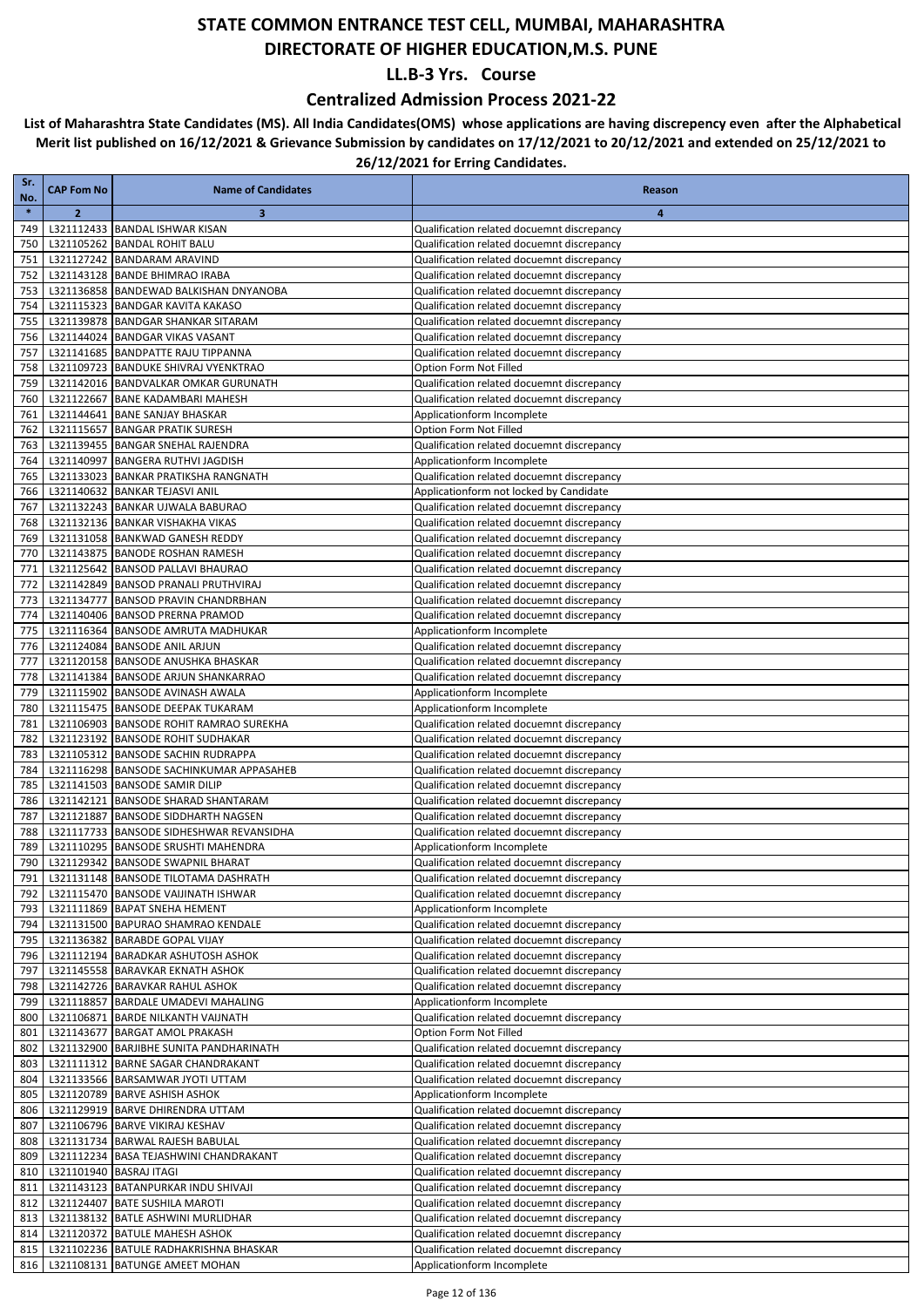### **Centralized Admission Process 2021-22**

| Sr.<br>No. | <b>CAP Fom No</b> | <b>Name of Candidates</b>                                                  | Reason                                                                                   |
|------------|-------------------|----------------------------------------------------------------------------|------------------------------------------------------------------------------------------|
| $\ast$     | $\overline{2}$    | 3                                                                          | 4                                                                                        |
| 749        |                   | L321112433 BANDAL ISHWAR KISAN                                             | Qualification related docuemnt discrepancy                                               |
| 750        |                   | L321105262 BANDAL ROHIT BALU                                               | Qualification related docuemnt discrepancy                                               |
| 751        |                   | L321127242 BANDARAM ARAVIND                                                | Qualification related docuemnt discrepancy                                               |
| 752        |                   | L321143128 BANDE BHIMRAO IRABA                                             | Qualification related docuemnt discrepancy                                               |
| 753        |                   | L321136858 BANDEWAD BALKISHAN DNYANOBA                                     | Qualification related docuemnt discrepancy                                               |
| 754<br>755 |                   | L321115323 BANDGAR KAVITA KAKASO<br>L321139878 BANDGAR SHANKAR SITARAM     | Qualification related docuemnt discrepancy<br>Qualification related docuemnt discrepancy |
| 756        |                   | L321144024 BANDGAR VIKAS VASANT                                            | Qualification related docuemnt discrepancy                                               |
| 757        |                   | L321141685 BANDPATTE RAJU TIPPANNA                                         | Qualification related docuemnt discrepancy                                               |
| 758        |                   | L321109723 BANDUKE SHIVRAJ VYENKTRAO                                       | Option Form Not Filled                                                                   |
| 759        |                   | L321142016 BANDVALKAR OMKAR GURUNATH                                       | Qualification related docuemnt discrepancy                                               |
| 760        |                   | L321122667 BANE KADAMBARI MAHESH                                           | Qualification related docuemnt discrepancy                                               |
| 761        |                   | L321144641 BANE SANJAY BHASKAR                                             | Applicationform Incomplete                                                               |
| 762<br>763 |                   | L321115657 BANGAR PRATIK SURESH<br>L321139455 BANGAR SNEHAL RAJENDRA       | Option Form Not Filled<br>Qualification related docuemnt discrepancy                     |
| 764        |                   | L321140997 BANGERA RUTHVI JAGDISH                                          | Applicationform Incomplete                                                               |
| 765        |                   | L321133023 BANKAR PRATIKSHA RANGNATH                                       | Qualification related docuemnt discrepancy                                               |
| 766        |                   | L321140632 BANKAR TEJASVI ANIL                                             | Applicationform not locked by Candidate                                                  |
| 767        |                   | L321132243 BANKAR UJWALA BABURAO                                           | Qualification related docuemnt discrepancy                                               |
| 768        |                   | L321132136 BANKAR VISHAKHA VIKAS                                           | Qualification related docuemnt discrepancy                                               |
| 769        |                   | L321131058 BANKWAD GANESH REDDY                                            | Qualification related docuemnt discrepancy                                               |
| 770        |                   | L321143875 BANODE ROSHAN RAMESH                                            | Qualification related docuemnt discrepancy                                               |
| 771<br>772 |                   | L321125642 BANSOD PALLAVI BHAURAO<br>L321142849 BANSOD PRANALI PRUTHVIRAJ  | Qualification related docuemnt discrepancy<br>Qualification related docuemnt discrepancy |
| 773        |                   | L321134777 BANSOD PRAVIN CHANDRBHAN                                        | Qualification related docuemnt discrepancy                                               |
| 774        |                   | L321140406 BANSOD PRERNA PRAMOD                                            | Qualification related docuemnt discrepancy                                               |
| 775        |                   | L321116364 BANSODE AMRUTA MADHUKAR                                         | Applicationform Incomplete                                                               |
| 776        |                   | L321124084 BANSODE ANIL ARJUN                                              | Qualification related docuemnt discrepancy                                               |
| 777        |                   | L321120158 BANSODE ANUSHKA BHASKAR                                         | Qualification related docuemnt discrepancy                                               |
| 778<br>779 |                   | L321141384 BANSODE ARJUN SHANKARRAO<br>L321115902 BANSODE AVINASH AWALA    | Qualification related docuemnt discrepancy<br>Applicationform Incomplete                 |
| 780        |                   | L321115475 BANSODE DEEPAK TUKARAM                                          | Applicationform Incomplete                                                               |
| 781        |                   | L321106903 BANSODE ROHIT RAMRAO SUREKHA                                    | Qualification related docuemnt discrepancy                                               |
| 782        |                   | L321123192 BANSODE ROHIT SUDHAKAR                                          | Qualification related docuemnt discrepancy                                               |
| 783        |                   | L321105312 BANSODE SACHIN RUDRAPPA                                         | Qualification related docuemnt discrepancy                                               |
| 784        |                   | L321116298 BANSODE SACHINKUMAR APPASAHEB                                   | Qualification related docuemnt discrepancy                                               |
| 785        |                   | L321141503 BANSODE SAMIR DILIP                                             | Qualification related docuemnt discrepancy                                               |
| 786<br>787 |                   | L321142121 BANSODE SHARAD SHANTARAM<br>L321121887 BANSODE SIDDHARTH NAGSEN | Qualification related docuemnt discrepancy<br>Qualification related docuemnt discrepancy |
| 788        |                   | L321117733 BANSODE SIDHESHWAR REVANSIDHA                                   | Qualification related docuemnt discrepancy                                               |
| 789        |                   | L321110295 BANSODE SRUSHTI MAHENDRA                                        | Applicationform Incomplete                                                               |
| 790        |                   | L321129342 BANSODE SWAPNIL BHARAT                                          | Qualification related docuemnt discrepancy                                               |
| 791        |                   | L321131148 BANSODE TILOTAMA DASHRATH                                       | Qualification related docuemnt discrepancy                                               |
| 792        |                   | L321115470 BANSODE VAIJINATH ISHWAR                                        | Qualification related docuemnt discrepancy                                               |
| 793        |                   | L321111869 BAPAT SNEHA HEMENT                                              | Applicationform Incomplete<br>Qualification related docuemnt discrepancy                 |
| 794<br>795 |                   | L321131500 BAPURAO SHAMRAO KENDALE<br>L321136382 BARABDE GOPAL VIJAY       | Qualification related docuemnt discrepancy                                               |
| 796        |                   | L321112194 BARADKAR ASHUTOSH ASHOK                                         | Qualification related docuemnt discrepancy                                               |
| 797        |                   | L321145558 BARAVKAR EKNATH ASHOK                                           | Qualification related docuemnt discrepancy                                               |
| 798        |                   | L321142726 BARAVKAR RAHUL ASHOK                                            | Qualification related docuemnt discrepancy                                               |
| 799        |                   | L321118857 BARDALE UMADEVI MAHALING                                        | Applicationform Incomplete                                                               |
| 800        |                   | L321106871 BARDE NILKANTH VAIJNATH                                         | Qualification related docuemnt discrepancy                                               |
| 801        |                   | L321143677 BARGAT AMOL PRAKASH<br>L321132900 BARJIBHE SUNITA PANDHARINATH  | Option Form Not Filled<br>Qualification related docuemnt discrepancy                     |
| 802<br>803 |                   | L321111312 BARNE SAGAR CHANDRAKANT                                         | Qualification related docuemnt discrepancy                                               |
| 804        |                   | L321133566 BARSAMWAR JYOTI UTTAM                                           | Qualification related docuemnt discrepancy                                               |
| 805        |                   | L321120789 BARVE ASHISH ASHOK                                              | Applicationform Incomplete                                                               |
| 806        |                   | L321129919 BARVE DHIRENDRA UTTAM                                           | Qualification related docuemnt discrepancy                                               |
| 807        |                   | L321106796 BARVE VIKIRAJ KESHAV                                            | Qualification related docuemnt discrepancy                                               |
| 808        |                   | L321131734 BARWAL RAJESH BABULAL                                           | Qualification related docuemnt discrepancy                                               |
| 809        |                   | L321112234 BASA TEJASHWINI CHANDRAKANT                                     | Qualification related docuemnt discrepancy                                               |
| 810<br>811 |                   | L321101940 BASRAJ ITAGI<br>L321143123 BATANPURKAR INDU SHIVAJI             | Qualification related docuemnt discrepancy<br>Qualification related docuemnt discrepancy |
| 812        |                   | L321124407 BATE SUSHILA MAROTI                                             | Qualification related docuemnt discrepancy                                               |
| 813        |                   | L321138132 BATLE ASHWINI MURLIDHAR                                         | Qualification related docuemnt discrepancy                                               |
| 814        |                   | L321120372 BATULE MAHESH ASHOK                                             | Qualification related docuemnt discrepancy                                               |
| 815        |                   | L321102236 BATULE RADHAKRISHNA BHASKAR                                     | Qualification related docuemnt discrepancy                                               |
|            |                   | 816   L321108131   BATUNGE AMEET MOHAN                                     | Applicationform Incomplete                                                               |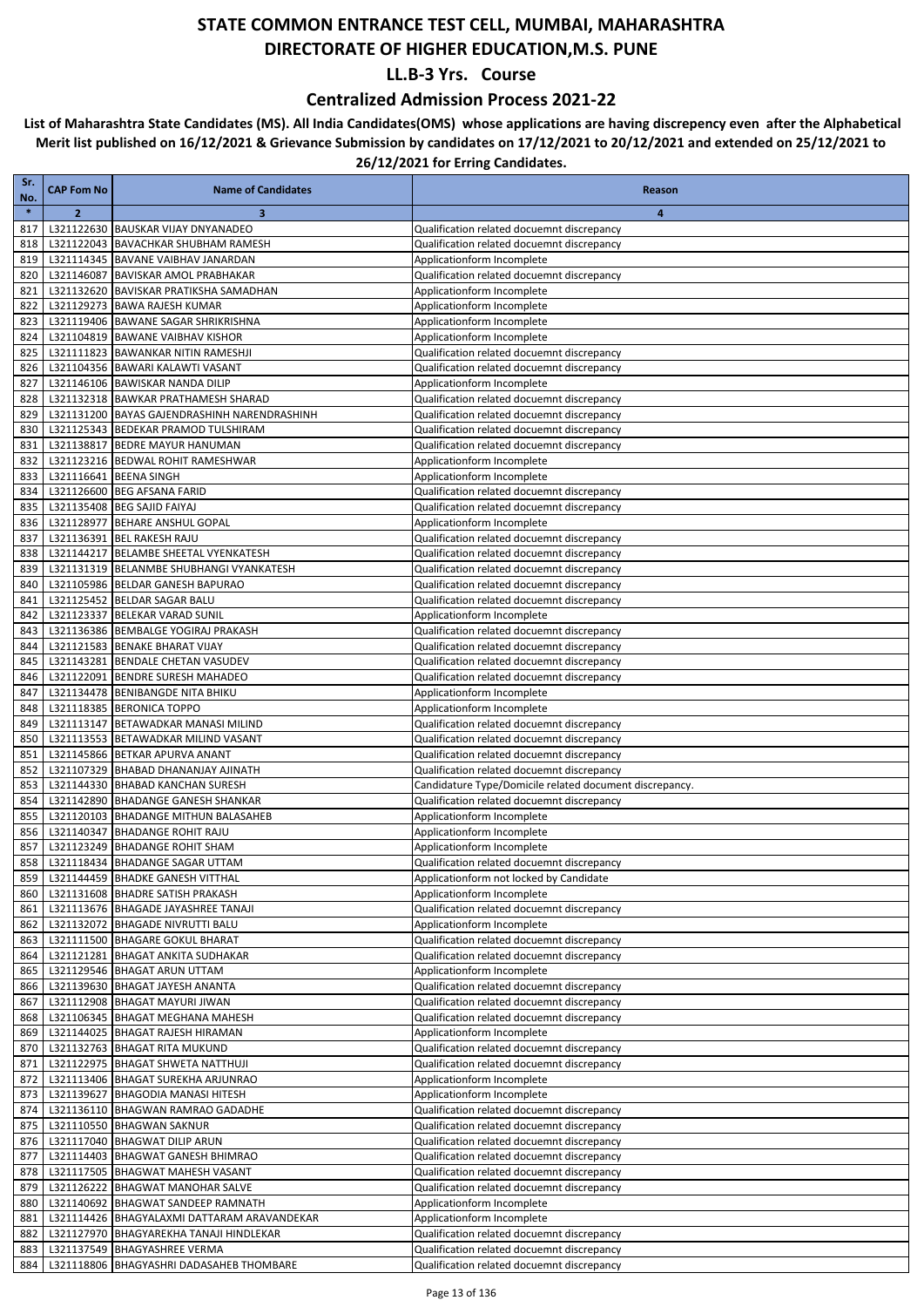### **Centralized Admission Process 2021-22**

| Sr.<br>No. | <b>CAP Fom No</b> | <b>Name of Candidates</b>                                                           | Reason                                                                                   |
|------------|-------------------|-------------------------------------------------------------------------------------|------------------------------------------------------------------------------------------|
| $\ast$     | $\overline{2}$    | 3                                                                                   | 4                                                                                        |
| 817        |                   | L321122630 BAUSKAR VIJAY DNYANADEO                                                  | Qualification related docuemnt discrepancy                                               |
| 818        |                   | L321122043 BAVACHKAR SHUBHAM RAMESH                                                 | Qualification related docuemnt discrepancy                                               |
| 819        |                   | L321114345 BAVANE VAIBHAV JANARDAN                                                  | Applicationform Incomplete                                                               |
| 820        |                   | L321146087 BAVISKAR AMOL PRABHAKAR                                                  | Qualification related docuemnt discrepancy                                               |
| 821<br>822 |                   | L321132620 BAVISKAR PRATIKSHA SAMADHAN<br>L321129273 BAWA RAJESH KUMAR              | Applicationform Incomplete<br>Applicationform Incomplete                                 |
| 823        |                   | L321119406 BAWANE SAGAR SHRIKRISHNA                                                 | Applicationform Incomplete                                                               |
| 824        |                   | L321104819 BAWANE VAIBHAV KISHOR                                                    | Applicationform Incomplete                                                               |
| 825        |                   | L321111823 BAWANKAR NITIN RAMESHJI                                                  | Qualification related docuemnt discrepancy                                               |
| 826        |                   | L321104356 BAWARI KALAWTI VASANT                                                    | Qualification related docuemnt discrepancy                                               |
| 827        |                   | L321146106 BAWISKAR NANDA DILIP                                                     | Applicationform Incomplete                                                               |
| 828        |                   | L321132318 BAWKAR PRATHAMESH SHARAD                                                 | Qualification related docuemnt discrepancy<br>Qualification related docuemnt discrepancy |
| 829<br>830 |                   | L321131200 BAYAS GAJENDRASHINH NARENDRASHINH<br>L321125343 BEDEKAR PRAMOD TULSHIRAM | Qualification related docuemnt discrepancy                                               |
| 831        |                   | L321138817 BEDRE MAYUR HANUMAN                                                      | Qualification related docuemnt discrepancy                                               |
| 832        |                   | L321123216 BEDWAL ROHIT RAMESHWAR                                                   | Applicationform Incomplete                                                               |
| 833        |                   | L321116641 BEENA SINGH                                                              | Applicationform Incomplete                                                               |
| 834        |                   | L321126600 BEG AFSANA FARID                                                         | Qualification related docuemnt discrepancy                                               |
| 835        |                   | L321135408 BEG SAJID FAIYAJ                                                         | Qualification related docuemnt discrepancy                                               |
| 836<br>837 |                   | L321128977 BEHARE ANSHUL GOPAL<br>L321136391 BEL RAKESH RAJU                        | Applicationform Incomplete<br>Qualification related docuemnt discrepancy                 |
| 838        |                   | L321144217 BELAMBE SHEETAL VYENKATESH                                               | Qualification related docuemnt discrepancy                                               |
| 839        |                   | L321131319 BELANMBE SHUBHANGI VYANKATESH                                            | Qualification related docuemnt discrepancy                                               |
| 840        |                   | L321105986 BELDAR GANESH BAPURAO                                                    | Qualification related docuemnt discrepancy                                               |
| 841        |                   | L321125452 BELDAR SAGAR BALU                                                        | Qualification related docuemnt discrepancy                                               |
| 842        |                   | L321123337 BELEKAR VARAD SUNIL                                                      | Applicationform Incomplete                                                               |
| 843<br>844 |                   | L321136386 BEMBALGE YOGIRAJ PRAKASH<br>L321121583 BENAKE BHARAT VIJAY               | Qualification related docuemnt discrepancy                                               |
| 845        |                   | L321143281 BENDALE CHETAN VASUDEV                                                   | Qualification related docuemnt discrepancy<br>Qualification related docuemnt discrepancy |
| 846        |                   | L321122091 BENDRE SURESH MAHADEO                                                    | Qualification related docuemnt discrepancy                                               |
| 847        |                   | L321134478 BENIBANGDE NITA BHIKU                                                    | Applicationform Incomplete                                                               |
| 848        |                   | L321118385 BERONICA TOPPO                                                           | Applicationform Incomplete                                                               |
| 849        |                   | L321113147 BETAWADKAR MANASI MILIND                                                 | Qualification related docuemnt discrepancy                                               |
| 850        |                   | L321113553 BETAWADKAR MILIND VASANT                                                 | Qualification related docuemnt discrepancy                                               |
| 851<br>852 |                   | L321145866 BETKAR APURVA ANANT<br>L321107329 BHABAD DHANANJAY AJINATH               | Qualification related docuemnt discrepancy<br>Qualification related docuemnt discrepancy |
| 853        |                   | L321144330 BHABAD KANCHAN SURESH                                                    | Candidature Type/Domicile related document discrepancy.                                  |
| 854        |                   | L321142890 BHADANGE GANESH SHANKAR                                                  | Qualification related docuemnt discrepancy                                               |
| 855        |                   | L321120103 BHADANGE MITHUN BALASAHEB                                                | Applicationform Incomplete                                                               |
| 856        |                   | L321140347 BHADANGE ROHIT RAJU                                                      | Applicationform Incomplete                                                               |
| 857        |                   | L321123249 BHADANGE ROHIT SHAM                                                      | Applicationform Incomplete                                                               |
| 858<br>859 |                   | L321118434 BHADANGE SAGAR UTTAM<br>L321144459 BHADKE GANESH VITTHAL                 | Qualification related docuemnt discrepancy<br>Applicationform not locked by Candidate    |
| 860        |                   | L321131608 BHADRE SATISH PRAKASH                                                    | Applicationform Incomplete                                                               |
| 861        |                   | L321113676 BHAGADE JAYASHREE TANAJI                                                 | Qualification related docuemnt discrepancy                                               |
| 862        |                   | L321132072 BHAGADE NIVRUTTI BALU                                                    | Applicationform Incomplete                                                               |
| 863        |                   | L321111500 BHAGARE GOKUL BHARAT                                                     | Qualification related docuemnt discrepancy                                               |
| 864        |                   | L321121281 BHAGAT ANKITA SUDHAKAR                                                   | Qualification related docuemnt discrepancy                                               |
| 865<br>866 |                   | L321129546 BHAGAT ARUN UTTAM<br>L321139630 BHAGAT JAYESH ANANTA                     | Applicationform Incomplete<br>Qualification related docuemnt discrepancy                 |
| 867        |                   | L321112908 BHAGAT MAYURI JIWAN                                                      | Qualification related docuemnt discrepancy                                               |
| 868        |                   | L321106345 BHAGAT MEGHANA MAHESH                                                    | Qualification related docuemnt discrepancy                                               |
| 869        |                   | L321144025 BHAGAT RAJESH HIRAMAN                                                    | Applicationform Incomplete                                                               |
| 870        |                   | L321132763 BHAGAT RITA MUKUND                                                       | Qualification related docuemnt discrepancy                                               |
| 871        |                   | L321122975   BHAGAT SHWETA NATTHUJI                                                 | Qualification related docuemnt discrepancy                                               |
| 872        |                   | L321113406 BHAGAT SUREKHA ARJUNRAO                                                  | Applicationform Incomplete                                                               |
| 873<br>874 |                   | L321139627 BHAGODIA MANASI HITESH<br>L321136110 BHAGWAN RAMRAO GADADHE              | Applicationform Incomplete<br>Qualification related docuemnt discrepancy                 |
| 875        |                   | L321110550 BHAGWAN SAKNUR                                                           | Qualification related docuemnt discrepancy                                               |
| 876        |                   | L321117040 BHAGWAT DILIP ARUN                                                       | Qualification related docuemnt discrepancy                                               |
| 877        |                   | L321114403 BHAGWAT GANESH BHIMRAO                                                   | Qualification related docuemnt discrepancy                                               |
| 878        |                   | L321117505 BHAGWAT MAHESH VASANT                                                    | Qualification related docuemnt discrepancy                                               |
| 879        |                   | L321126222 BHAGWAT MANOHAR SALVE                                                    | Qualification related docuemnt discrepancy                                               |
| 880<br>881 |                   | L321140692 BHAGWAT SANDEEP RAMNATH<br>L321114426 BHAGYALAXMI DATTARAM ARAVANDEKAR   | Applicationform Incomplete<br>Applicationform Incomplete                                 |
| 882        |                   | L321127970 BHAGYAREKHA TANAJI HINDLEKAR                                             | Qualification related docuemnt discrepancy                                               |
| 883        |                   | L321137549 BHAGYASHREE VERMA                                                        | Qualification related docuemnt discrepancy                                               |
| 884        |                   | L321118806 BHAGYASHRI DADASAHEB THOMBARE                                            | Qualification related docuemnt discrepancy                                               |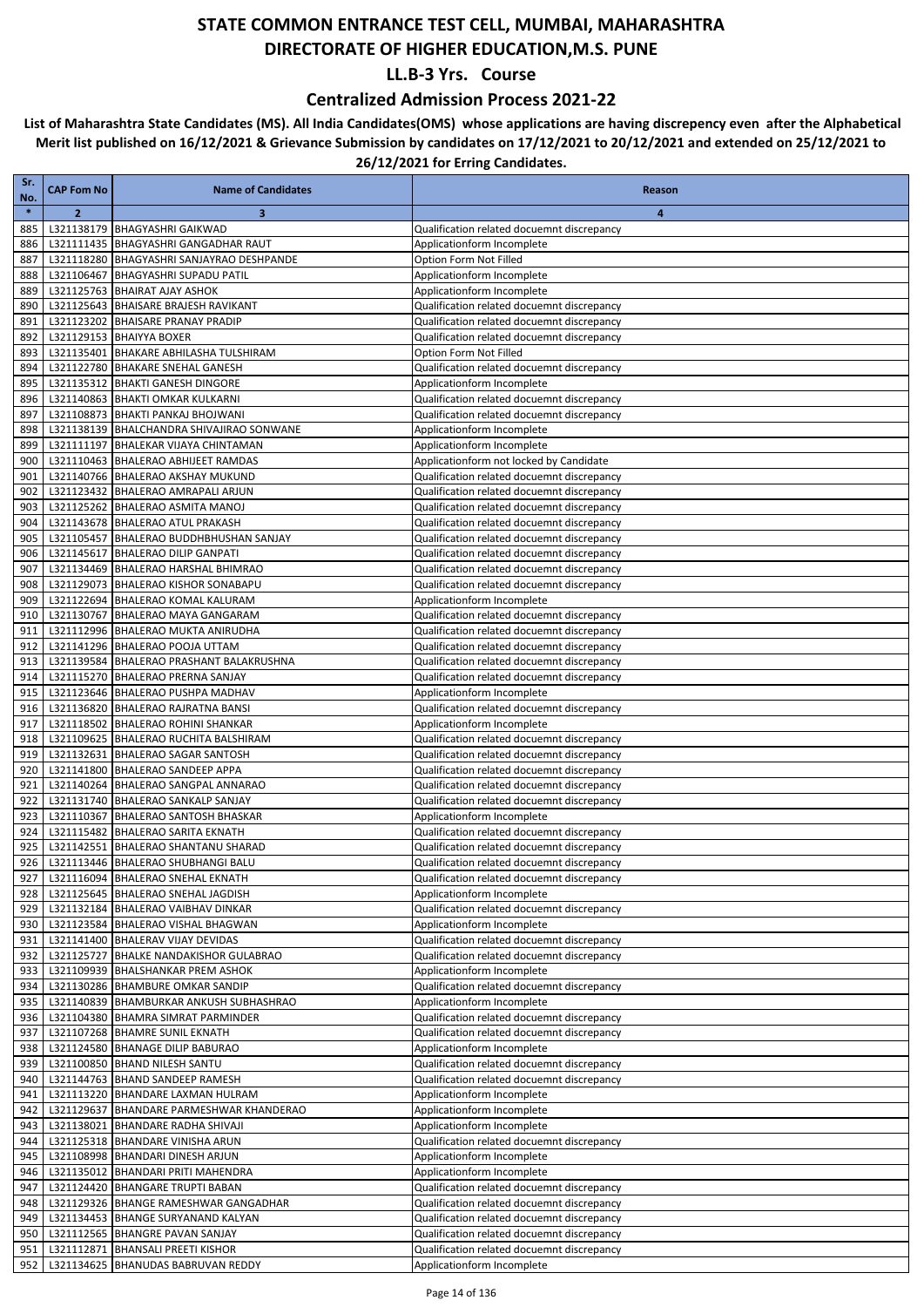### **Centralized Admission Process 2021-22**

| Sr.           | <b>CAP Fom No</b> | <b>Name of Candidates</b>                                                     | Reason                                                                                   |
|---------------|-------------------|-------------------------------------------------------------------------------|------------------------------------------------------------------------------------------|
| No.<br>$\ast$ | $\overline{2}$    | 3                                                                             | 4                                                                                        |
| 885           |                   | L321138179 BHAGYASHRI GAIKWAD                                                 | Qualification related docuemnt discrepancy                                               |
| 886           |                   | L321111435   BHAGYASHRI GANGADHAR RAUT                                        | Applicationform Incomplete                                                               |
| 887           |                   | L321118280 BHAGYASHRI SANJAYRAO DESHPANDE                                     | Option Form Not Filled                                                                   |
| 888           |                   | L321106467 BHAGYASHRI SUPADU PATIL                                            | Applicationform Incomplete                                                               |
| 889           |                   | L321125763 BHAIRAT AJAY ASHOK                                                 | Applicationform Incomplete                                                               |
| 890           |                   | L321125643   BHAISARE BRAJESH RAVIKANT                                        | Qualification related docuemnt discrepancy                                               |
| 891<br>892    |                   | L321123202 BHAISARE PRANAY PRADIP<br>L321129153 BHAIYYA BOXER                 | Qualification related docuemnt discrepancy<br>Qualification related docuemnt discrepancy |
| 893           |                   | L321135401 BHAKARE ABHILASHA TULSHIRAM                                        | Option Form Not Filled                                                                   |
| 894           |                   | L321122780 BHAKARE SNEHAL GANESH                                              | Qualification related docuemnt discrepancy                                               |
| 895           |                   | L321135312 BHAKTI GANESH DINGORE                                              | Applicationform Incomplete                                                               |
| 896           |                   | L321140863 BHAKTI OMKAR KULKARNI                                              | Qualification related docuemnt discrepancy                                               |
| 897           |                   | L321108873 BHAKTI PANKAJ BHOJWANI                                             | Qualification related docuemnt discrepancy                                               |
| 898           |                   | L321138139 BHALCHANDRA SHIVAJIRAO SONWANE                                     | Applicationform Incomplete                                                               |
| 899<br>900    |                   | L321111197 BHALEKAR VIJAYA CHINTAMAN<br>L321110463   BHALERAO ABHIJEET RAMDAS | Applicationform Incomplete<br>Applicationform not locked by Candidate                    |
| 901           |                   | L321140766 BHALERAO AKSHAY MUKUND                                             | Qualification related docuemnt discrepancy                                               |
| 902           |                   | L321123432 BHALERAO AMRAPALI ARJUN                                            | Qualification related docuemnt discrepancy                                               |
| 903           |                   | L321125262 BHALERAO ASMITA MANOJ                                              | Qualification related docuemnt discrepancy                                               |
| 904           |                   | L321143678 BHALERAO ATUL PRAKASH                                              | Qualification related docuemnt discrepancy                                               |
| 905           |                   | L321105457 BHALERAO BUDDHBHUSHAN SANJAY                                       | Qualification related docuemnt discrepancy                                               |
| 906           |                   | L321145617 BHALERAO DILIP GANPATI<br>L321134469 BHALERAO HARSHAL BHIMRAO      | Qualification related docuemnt discrepancy<br>Qualification related docuemnt discrepancy |
| 907<br>908    |                   | L321129073 BHALERAO KISHOR SONABAPU                                           | Qualification related docuemnt discrepancy                                               |
| 909           |                   | L321122694 BHALERAO KOMAL KALURAM                                             | Applicationform Incomplete                                                               |
| 910           |                   | L321130767 BHALERAO MAYA GANGARAM                                             | Qualification related docuemnt discrepancy                                               |
| 911           |                   | L321112996 BHALERAO MUKTA ANIRUDHA                                            | Qualification related docuemnt discrepancy                                               |
| 912           |                   | L321141296 BHALERAO POOJA UTTAM                                               | Qualification related docuemnt discrepancy                                               |
| 913           |                   | L321139584 BHALERAO PRASHANT BALAKRUSHNA                                      | Qualification related docuemnt discrepancy                                               |
| 914           |                   | L321115270 BHALERAO PRERNA SANJAY                                             | Qualification related docuemnt discrepancy                                               |
| 915<br>916    |                   | L321123646 BHALERAO PUSHPA MADHAV<br>L321136820 BHALERAO RAJRATNA BANSI       | Applicationform Incomplete<br>Qualification related docuemnt discrepancy                 |
| 917           |                   | L321118502 BHALERAO ROHINI SHANKAR                                            | Applicationform Incomplete                                                               |
| 918           |                   | L321109625 BHALERAO RUCHITA BALSHIRAM                                         | Qualification related docuemnt discrepancy                                               |
| 919           |                   | L321132631 BHALERAO SAGAR SANTOSH                                             | Qualification related docuemnt discrepancy                                               |
| 920           |                   | L321141800 BHALERAO SANDEEP APPA                                              | Qualification related docuemnt discrepancy                                               |
| 921           |                   | L321140264 BHALERAO SANGPAL ANNARAO                                           | Qualification related docuemnt discrepancy                                               |
| 922<br>923    |                   | L321131740 BHALERAO SANKALP SANJAY<br>L321110367 BHALERAO SANTOSH BHASKAR     | Qualification related docuemnt discrepancy<br>Applicationform Incomplete                 |
| 924           |                   | L321115482 BHALERAO SARITA EKNATH                                             | Qualification related docuemnt discrepancy                                               |
| 925           |                   | L321142551 BHALERAO SHANTANU SHARAD                                           | Qualification related docuemnt discrepancy                                               |
| 926           |                   | L321113446 BHALERAO SHUBHANGI BALU                                            | Qualification related docuemnt discrepancy                                               |
| 927           |                   | L321116094 BHALERAO SNEHAL EKNATH                                             | Qualification related docuemnt discrepancy                                               |
| 928           |                   | L321125645 BHALERAO SNEHAL JAGDISH                                            | Applicationform Incomplete                                                               |
| 929           |                   | L321132184 BHALERAO VAIBHAV DINKAR                                            | Qualification related docuemnt discrepancy                                               |
| 930<br>931    |                   | L321123584 BHALERAO VISHAL BHAGWAN<br>L321141400 BHALERAV VIJAY DEVIDAS       | Applicationform Incomplete<br>Qualification related docuemnt discrepancy                 |
| 932           |                   | L321125727 BHALKE NANDAKISHOR GULABRAO                                        | Qualification related docuemnt discrepancy                                               |
| 933           |                   | L321109939 BHALSHANKAR PREM ASHOK                                             | Applicationform Incomplete                                                               |
| 934           |                   | L321130286 BHAMBURE OMKAR SANDIP                                              | Qualification related docuemnt discrepancy                                               |
| 935           |                   | L321140839 BHAMBURKAR ANKUSH SUBHASHRAO                                       | Applicationform Incomplete                                                               |
| 936           |                   | L321104380 BHAMRA SIMRAT PARMINDER                                            | Qualification related docuemnt discrepancy                                               |
| 937           |                   | L321107268 BHAMRE SUNIL EKNATH                                                | Qualification related docuemnt discrepancy                                               |
| 938<br>939    |                   | L321124580 BHANAGE DILIP BABURAO<br>L321100850 BHAND NILESH SANTU             | Applicationform Incomplete<br>Qualification related docuemnt discrepancy                 |
| 940           |                   | L321144763 BHAND SANDEEP RAMESH                                               | Qualification related docuemnt discrepancy                                               |
| 941           |                   | L321113220 BHANDARE LAXMAN HULRAM                                             | Applicationform Incomplete                                                               |
| 942           |                   | L321129637 BHANDARE PARMESHWAR KHANDERAO                                      | Applicationform Incomplete                                                               |
| 943           |                   | L321138021 BHANDARE RADHA SHIVAJI                                             | Applicationform Incomplete                                                               |
| 944           |                   | L321125318 BHANDARE VINISHA ARUN                                              | Qualification related docuemnt discrepancy                                               |
| 945<br>946    |                   | L321108998 BHANDARI DINESH ARJUN<br>L321135012 BHANDARI PRITI MAHENDRA        | Applicationform Incomplete<br>Applicationform Incomplete                                 |
| 947           |                   | L321124420 BHANGARE TRUPTI BABAN                                              | Qualification related docuemnt discrepancy                                               |
| 948           |                   | L321129326 BHANGE RAMESHWAR GANGADHAR                                         | Qualification related docuemnt discrepancy                                               |
| 949           |                   | L321134453 BHANGE SURYANAND KALYAN                                            | Qualification related docuemnt discrepancy                                               |
| 950           |                   | L321112565 BHANGRE PAVAN SANJAY                                               | Qualification related docuemnt discrepancy                                               |
| 951           |                   | L321112871 BHANSALI PREETI KISHOR                                             | Qualification related docuemnt discrepancy                                               |
| 952           |                   | L321134625 BHANUDAS BABRUVAN REDDY                                            | Applicationform Incomplete                                                               |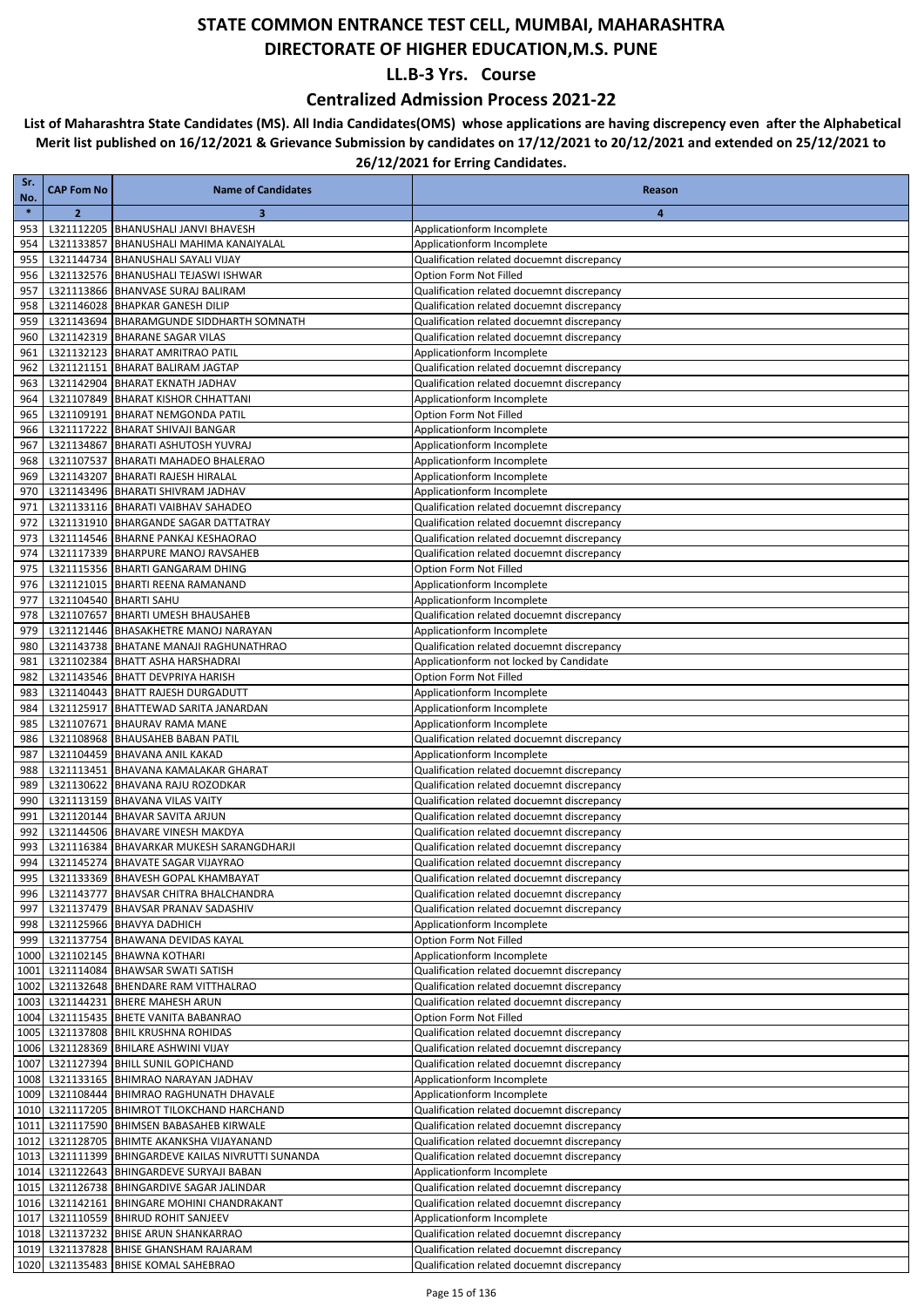### **Centralized Admission Process 2021-22**

| Sr.<br>No. | <b>CAP Fom No</b> | <b>Name of Candidates</b>                                                      | Reason                                                                                   |
|------------|-------------------|--------------------------------------------------------------------------------|------------------------------------------------------------------------------------------|
| $\ast$     | $\overline{2}$    | 3                                                                              | $\overline{4}$                                                                           |
| 953        |                   | L321112205 BHANUSHALI JANVI BHAVESH                                            | Applicationform Incomplete                                                               |
| 954        |                   | L321133857 BHANUSHALI MAHIMA KANAIYALAL                                        | Applicationform Incomplete                                                               |
| 955        |                   | L321144734 BHANUSHALI SAYALI VIJAY                                             | Qualification related docuemnt discrepancy                                               |
| 956        |                   | L321132576 BHANUSHALI TEJASWI ISHWAR                                           | Option Form Not Filled                                                                   |
| 957        |                   | L321113866 BHANVASE SURAJ BALIRAM                                              | Qualification related docuemnt discrepancy                                               |
| 958        |                   | L321146028 BHAPKAR GANESH DILIP                                                | Qualification related docuemnt discrepancy                                               |
| 959        |                   | L321143694 BHARAMGUNDE SIDDHARTH SOMNATH<br>L321142319 BHARANE SAGAR VILAS     | Qualification related docuemnt discrepancy<br>Qualification related docuemnt discrepancy |
| 960<br>961 |                   | L321132123 BHARAT AMRITRAO PATIL                                               | Applicationform Incomplete                                                               |
| 962        |                   | L321121151 BHARAT BALIRAM JAGTAP                                               | Qualification related docuemnt discrepancy                                               |
| 963        |                   | L321142904 BHARAT EKNATH JADHAV                                                | Qualification related docuemnt discrepancy                                               |
| 964        |                   | L321107849 BHARAT KISHOR CHHATTANI                                             | Applicationform Incomplete                                                               |
| 965        |                   | L321109191 BHARAT NEMGONDA PATIL                                               | Option Form Not Filled                                                                   |
| 966        |                   | L321117222 BHARAT SHIVAJI BANGAR                                               | Applicationform Incomplete                                                               |
| 967        |                   | L321134867 BHARATI ASHUTOSH YUVRAJ                                             | Applicationform Incomplete                                                               |
| 968        |                   | L321107537 BHARATI MAHADEO BHALERAO                                            | Applicationform Incomplete                                                               |
| 969        |                   | L321143207 BHARATI RAJESH HIRALAL                                              | Applicationform Incomplete                                                               |
| 970        |                   | L321143496 BHARATI SHIVRAM JADHAV                                              | Applicationform Incomplete                                                               |
| 971        |                   | L321133116 BHARATI VAIBHAV SAHADEO                                             | Qualification related docuemnt discrepancy                                               |
| 972<br>973 |                   | L321131910 BHARGANDE SAGAR DATTATRAY<br>L321114546 BHARNE PANKAJ KESHAORAO     | Qualification related docuemnt discrepancy<br>Qualification related docuemnt discrepancy |
| 974        |                   | L321117339 BHARPURE MANOJ RAVSAHEB                                             | Qualification related docuemnt discrepancy                                               |
| 975        |                   | L321115356 BHARTI GANGARAM DHING                                               | Option Form Not Filled                                                                   |
| 976        |                   | L321121015 BHARTI REENA RAMANAND                                               | Applicationform Incomplete                                                               |
| 977        |                   | L321104540 BHARTI SAHU                                                         | Applicationform Incomplete                                                               |
| 978        |                   | L321107657 BHARTI UMESH BHAUSAHEB                                              | Qualification related docuemnt discrepancy                                               |
| 979        |                   | L321121446 BHASAKHETRE MANOJ NARAYAN                                           | Applicationform Incomplete                                                               |
| 980        |                   | L321143738 BHATANE MANAJI RAGHUNATHRAO                                         | Qualification related docuemnt discrepancy                                               |
| 981        |                   | L321102384 BHATT ASHA HARSHADRAI                                               | Applicationform not locked by Candidate                                                  |
| 982        |                   | L321143546 BHATT DEVPRIYA HARISH                                               | Option Form Not Filled                                                                   |
| 983        |                   | L321140443 BHATT RAJESH DURGADUTT                                              | Applicationform Incomplete                                                               |
| 984<br>985 |                   | L321125917 BHATTEWAD SARITA JANARDAN<br>L321107671 BHAURAV RAMA MANE           | Applicationform Incomplete<br>Applicationform Incomplete                                 |
| 986        |                   | L321108968 BHAUSAHEB BABAN PATIL                                               | Qualification related docuemnt discrepancy                                               |
| 987        |                   | L321104459 BHAVANA ANIL KAKAD                                                  | Applicationform Incomplete                                                               |
| 988        |                   | L321113451 BHAVANA KAMALAKAR GHARAT                                            | Qualification related docuemnt discrepancy                                               |
| 989        |                   | L321130622 BHAVANA RAJU ROZODKAR                                               | Qualification related docuemnt discrepancy                                               |
| 990        |                   | L321113159 BHAVANA VILAS VAITY                                                 | Qualification related docuemnt discrepancy                                               |
| 991        |                   | L321120144 BHAVAR SAVITA ARJUN                                                 | Qualification related docuemnt discrepancy                                               |
| 992        |                   | L321144506 BHAVARE VINESH MAKDYA                                               | Qualification related docuemnt discrepancy                                               |
| 993        |                   | L321116384 BHAVARKAR MUKESH SARANGDHARJI                                       | Qualification related docuemnt discrepancy                                               |
| 994        |                   | L321145274 BHAVATE SAGAR VIJAYRAO                                              | Qualification related docuemnt discrepancy                                               |
| 995        |                   | L321133369 BHAVESH GOPAL KHAMBAYAT                                             | Qualification related docuemnt discrepancy                                               |
| 996<br>997 |                   | L321143777 BHAVSAR CHITRA BHALCHANDRA<br>L321137479 BHAVSAR PRANAV SADASHIV    | Qualification related docuemnt discrepancy<br>Qualification related docuemnt discrepancy |
| 998        |                   | L321125966 BHAVYA DADHICH                                                      | Applicationform Incomplete                                                               |
| 999        |                   | L321137754 BHAWANA DEVIDAS KAYAL                                               | Option Form Not Filled                                                                   |
| 1000       |                   | L321102145 BHAWNA KOTHARI                                                      | Applicationform Incomplete                                                               |
| 1001       |                   | L321114084 BHAWSAR SWATI SATISH                                                | Qualification related docuemnt discrepancy                                               |
|            |                   | 1002 L321132648 BHENDARE RAM VITTHALRAO                                        | Qualification related docuemnt discrepancy                                               |
|            |                   | 1003 L321144231 BHERE MAHESH ARUN                                              | Qualification related docuemnt discrepancy                                               |
|            |                   | 1004 L321115435 BHETE VANITA BABANRAO                                          | Option Form Not Filled                                                                   |
|            |                   | 1005 L321137808 BHIL KRUSHNA ROHIDAS                                           | Qualification related docuemnt discrepancy                                               |
|            |                   | 1006 L321128369 BHILARE ASHWINI VIJAY                                          | Qualification related docuemnt discrepancy                                               |
| 1007       |                   | L321127394 BHILL SUNIL GOPICHAND<br>1008 L321133165 BHIMRAO NARAYAN JADHAV     | Qualification related docuemnt discrepancy<br>Applicationform Incomplete                 |
|            |                   | 1009 L321108444 BHIMRAO RAGHUNATH DHAVALE                                      | Applicationform Incomplete                                                               |
|            |                   | 1010 L321117205 BHIMROT TILOKCHAND HARCHAND                                    | Qualification related docuemnt discrepancy                                               |
| 1011       |                   | L321117590 BHIMSEN BABASAHEB KIRWALE                                           | Qualification related docuemnt discrepancy                                               |
| 1012       |                   | L321128705 BHIMTE AKANKSHA VIJAYANAND                                          | Qualification related docuemnt discrepancy                                               |
| 1013       |                   | L321111399 BHINGARDEVE KAILAS NIVRUTTI SUNANDA                                 | Qualification related docuemnt discrepancy                                               |
|            |                   | 1014 L321122643 BHINGARDEVE SURYAJI BABAN                                      | Applicationform Incomplete                                                               |
|            |                   | 1015 L321126738 BHINGARDIVE SAGAR JALINDAR                                     | Qualification related docuemnt discrepancy                                               |
|            |                   | 1016 L321142161 BHINGARE MOHINI CHANDRAKANT                                    | Qualification related docuemnt discrepancy                                               |
|            |                   | 1017 L321110559 BHIRUD ROHIT SANJEEV                                           | Applicationform Incomplete                                                               |
|            |                   | 1018 L321137232 BHISE ARUN SHANKARRAO                                          | Qualification related docuemnt discrepancy                                               |
|            |                   | 1019 L321137828 BHISE GHANSHAM RAJARAM<br>1020 L321135483 BHISE KOMAL SAHEBRAO | Qualification related docuemnt discrepancy<br>Qualification related docuemnt discrepancy |
|            |                   |                                                                                |                                                                                          |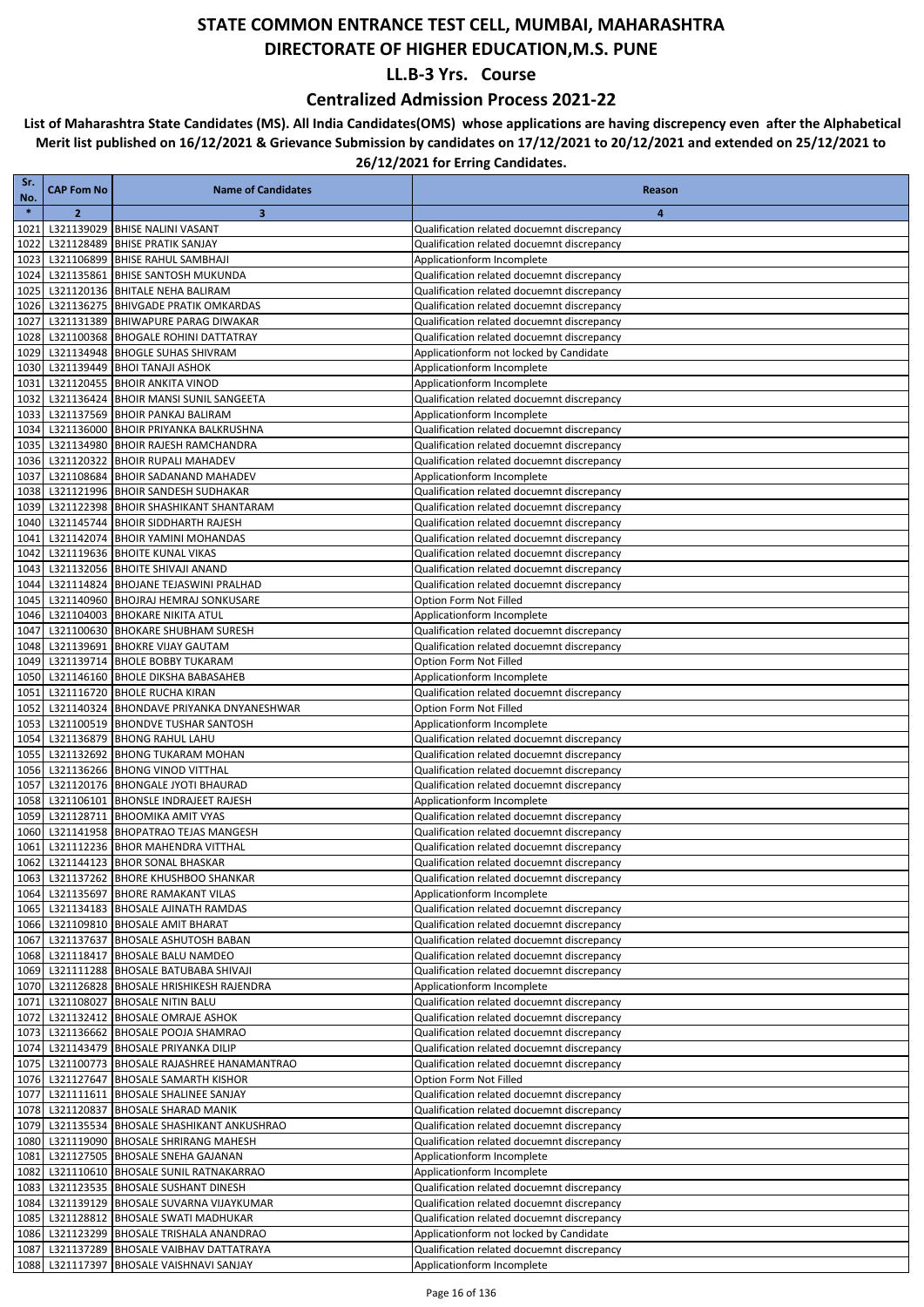### **Centralized Admission Process 2021-22**

| Sr.<br>No.   | <b>CAP Fom No</b> | <b>Name of Candidates</b>                                                           | Reason                                                                                   |
|--------------|-------------------|-------------------------------------------------------------------------------------|------------------------------------------------------------------------------------------|
| $\ast$       | $\overline{2}$    | 3                                                                                   | 4                                                                                        |
| 1021         |                   | L321139029 BHISE NALINI VASANT                                                      | Qualification related docuemnt discrepancy                                               |
| 1022         |                   | L321128489 BHISE PRATIK SANJAY                                                      | Qualification related docuemnt discrepancy                                               |
| 1023         |                   | L321106899 BHISE RAHUL SAMBHAJI                                                     | Applicationform Incomplete                                                               |
| 1024         |                   | L321135861 BHISE SANTOSH MUKUNDA                                                    | Qualification related docuemnt discrepancy                                               |
| 1025         |                   | L321120136 BHITALE NEHA BALIRAM                                                     | Qualification related docuemnt discrepancy                                               |
| 1026         |                   | L321136275 BHIVGADE PRATIK OMKARDAS                                                 | Qualification related docuemnt discrepancy                                               |
| 1027         |                   | L321131389 BHIWAPURE PARAG DIWAKAR                                                  | Qualification related docuemnt discrepancy                                               |
| 1028<br>1029 |                   | L321100368 BHOGALE ROHINI DATTATRAY<br>L321134948 BHOGLE SUHAS SHIVRAM              | Qualification related docuemnt discrepancy<br>Applicationform not locked by Candidate    |
| 1030         |                   | L321139449 BHOI TANAJI ASHOK                                                        | Applicationform Incomplete                                                               |
| 1031         |                   | L321120455 BHOIR ANKITA VINOD                                                       | Applicationform Incomplete                                                               |
| 1032         |                   | L321136424 BHOIR MANSI SUNIL SANGEETA                                               | Qualification related docuemnt discrepancy                                               |
| 1033         |                   | L321137569 BHOIR PANKAJ BALIRAM                                                     | Applicationform Incomplete                                                               |
| 1034         |                   | L321136000 BHOIR PRIYANKA BALKRUSHNA                                                | Qualification related docuemnt discrepancy                                               |
| 1035         |                   | L321134980 BHOIR RAJESH RAMCHANDRA                                                  | Qualification related docuemnt discrepancy                                               |
| 1036         |                   | L321120322 BHOIR RUPALI MAHADEV                                                     | Qualification related docuemnt discrepancy                                               |
| 1037         |                   | L321108684 BHOIR SADANAND MAHADEV                                                   | Applicationform Incomplete                                                               |
| 1038         |                   | L321121996 BHOIR SANDESH SUDHAKAR                                                   | Qualification related docuemnt discrepancy                                               |
| 1039         |                   | L321122398 BHOIR SHASHIKANT SHANTARAM                                               | Qualification related docuemnt discrepancy                                               |
| 1040         |                   | L321145744 BHOIR SIDDHARTH RAJESH                                                   | Qualification related docuemnt discrepancy<br>Qualification related docuemnt discrepancy |
| 1041<br>1042 |                   | L321142074 BHOIR YAMINI MOHANDAS<br>L321119636 BHOITE KUNAL VIKAS                   | Qualification related docuemnt discrepancy                                               |
| 1043         |                   | L321132056 BHOITE SHIVAJI ANAND                                                     | Qualification related docuemnt discrepancy                                               |
| 1044         |                   | L321114824 BHOJANE TEJASWINI PRALHAD                                                | Qualification related docuemnt discrepancy                                               |
| 1045         |                   | L321140960 BHOJRAJ HEMRAJ SONKUSARE                                                 | Option Form Not Filled                                                                   |
| 1046         |                   | L321104003 BHOKARE NIKITA ATUL                                                      | Applicationform Incomplete                                                               |
| 1047         |                   | L321100630 BHOKARE SHUBHAM SURESH                                                   | Qualification related docuemnt discrepancy                                               |
| 1048         |                   | L321139691 BHOKRE VIJAY GAUTAM                                                      | Qualification related docuemnt discrepancy                                               |
| 1049         |                   | L321139714 BHOLE BOBBY TUKARAM                                                      | Option Form Not Filled                                                                   |
| 1050         |                   | L321146160 BHOLE DIKSHA BABASAHEB                                                   | Applicationform Incomplete                                                               |
| 1051         |                   | L321116720 BHOLE RUCHA KIRAN                                                        | Qualification related docuemnt discrepancy                                               |
| 1052         |                   | L321140324 BHONDAVE PRIYANKA DNYANESHWAR<br>L321100519 BHONDVE TUSHAR SANTOSH       | Option Form Not Filled                                                                   |
| 1053<br>1054 |                   | L321136879 BHONG RAHUL LAHU                                                         | Applicationform Incomplete<br>Qualification related docuemnt discrepancy                 |
| 1055         |                   | L321132692 BHONG TUKARAM MOHAN                                                      | Qualification related docuemnt discrepancy                                               |
| 1056         |                   | L321136266 BHONG VINOD VITTHAL                                                      | Qualification related docuemnt discrepancy                                               |
| 1057         |                   | L321120176 BHONGALE JYOTI BHAURAD                                                   | Qualification related docuemnt discrepancy                                               |
| 1058         |                   | L321106101 BHONSLE INDRAJEET RAJESH                                                 | Applicationform Incomplete                                                               |
|              |                   | 1059 L321128711 BHOOMIKA AMIT VYAS                                                  | Qualification related docuemnt discrepancy                                               |
| 1060         |                   | L321141958 BHOPATRAO TEJAS MANGESH                                                  | Qualification related docuemnt discrepancy                                               |
| 1061         |                   | L321112236 BHOR MAHENDRA VITTHAL                                                    | Qualification related docuemnt discrepancy                                               |
| 1062         |                   | L321144123 BHOR SONAL BHASKAR<br>1063 L321137262 BHORE KHUSHBOO SHANKAR             | Qualification related docuemnt discrepancy<br>Qualification related docuemnt discrepancy |
|              |                   | 1064 L321135697 BHORE RAMAKANT VILAS                                                | Applicationform Incomplete                                                               |
|              |                   | 1065 L321134183 BHOSALE AJINATH RAMDAS                                              | Qualification related docuemnt discrepancy                                               |
|              |                   | 1066 L321109810 BHOSALE AMIT BHARAT                                                 | Qualification related docuemnt discrepancy                                               |
| 1067         |                   | L321137637 BHOSALE ASHUTOSH BABAN                                                   | Qualification related docuemnt discrepancy                                               |
| 1068         |                   | L321118417 BHOSALE BALU NAMDEO                                                      | Qualification related docuemnt discrepancy                                               |
|              |                   | 1069 L321111288 BHOSALE BATUBABA SHIVAJI                                            | Qualification related docuemnt discrepancy                                               |
| 1070         |                   | L321126828 BHOSALE HRISHIKESH RAJENDRA                                              | Applicationform Incomplete                                                               |
| 1071         |                   | L321108027 BHOSALE NITIN BALU                                                       | Qualification related docuemnt discrepancy                                               |
| 1072         |                   | L321132412 BHOSALE OMRAJE ASHOK                                                     | Qualification related docuemnt discrepancy                                               |
| 1073         |                   | L321136662 BHOSALE POOJA SHAMRAO<br>1074 L321143479 BHOSALE PRIYANKA DILIP          | Qualification related docuemnt discrepancy<br>Qualification related docuemnt discrepancy |
| 1075         |                   | L321100773 BHOSALE RAJASHREE HANAMANTRAO                                            | Qualification related docuemnt discrepancy                                               |
|              |                   | 1076 L321127647 BHOSALE SAMARTH KISHOR                                              | Option Form Not Filled                                                                   |
| 1077         |                   | L321111611 BHOSALE SHALINEE SANJAY                                                  | Qualification related docuemnt discrepancy                                               |
| 1078         |                   | L321120837 BHOSALE SHARAD MANIK                                                     | Qualification related docuemnt discrepancy                                               |
|              |                   | 1079 L321135534 BHOSALE SHASHIKANT ANKUSHRAO                                        | Qualification related docuemnt discrepancy                                               |
|              |                   | 1080 L321119090 BHOSALE SHRIRANG MAHESH                                             | Qualification related docuemnt discrepancy                                               |
|              |                   | 1081 L321127505 BHOSALE SNEHA GAJANAN                                               | Applicationform Incomplete                                                               |
| 1082         |                   | L321110610 BHOSALE SUNIL RATNAKARRAO                                                | Applicationform Incomplete                                                               |
|              |                   | 1083 L321123535 BHOSALE SUSHANT DINESH                                              | Qualification related docuemnt discrepancy                                               |
|              |                   | 1084 L321139129 BHOSALE SUVARNA VIJAYKUMAR                                          | Qualification related docuemnt discrepancy                                               |
|              |                   | 1085 L321128812 BHOSALE SWATI MADHUKAR<br>1086 L321123299 BHOSALE TRISHALA ANANDRAO | Qualification related docuemnt discrepancy<br>Applicationform not locked by Candidate    |
| 1087         |                   | L321137289 BHOSALE VAIBHAV DATTATRAYA                                               | Qualification related docuemnt discrepancy                                               |
|              |                   | 1088 L321117397 BHOSALE VAISHNAVI SANJAY                                            | Applicationform Incomplete                                                               |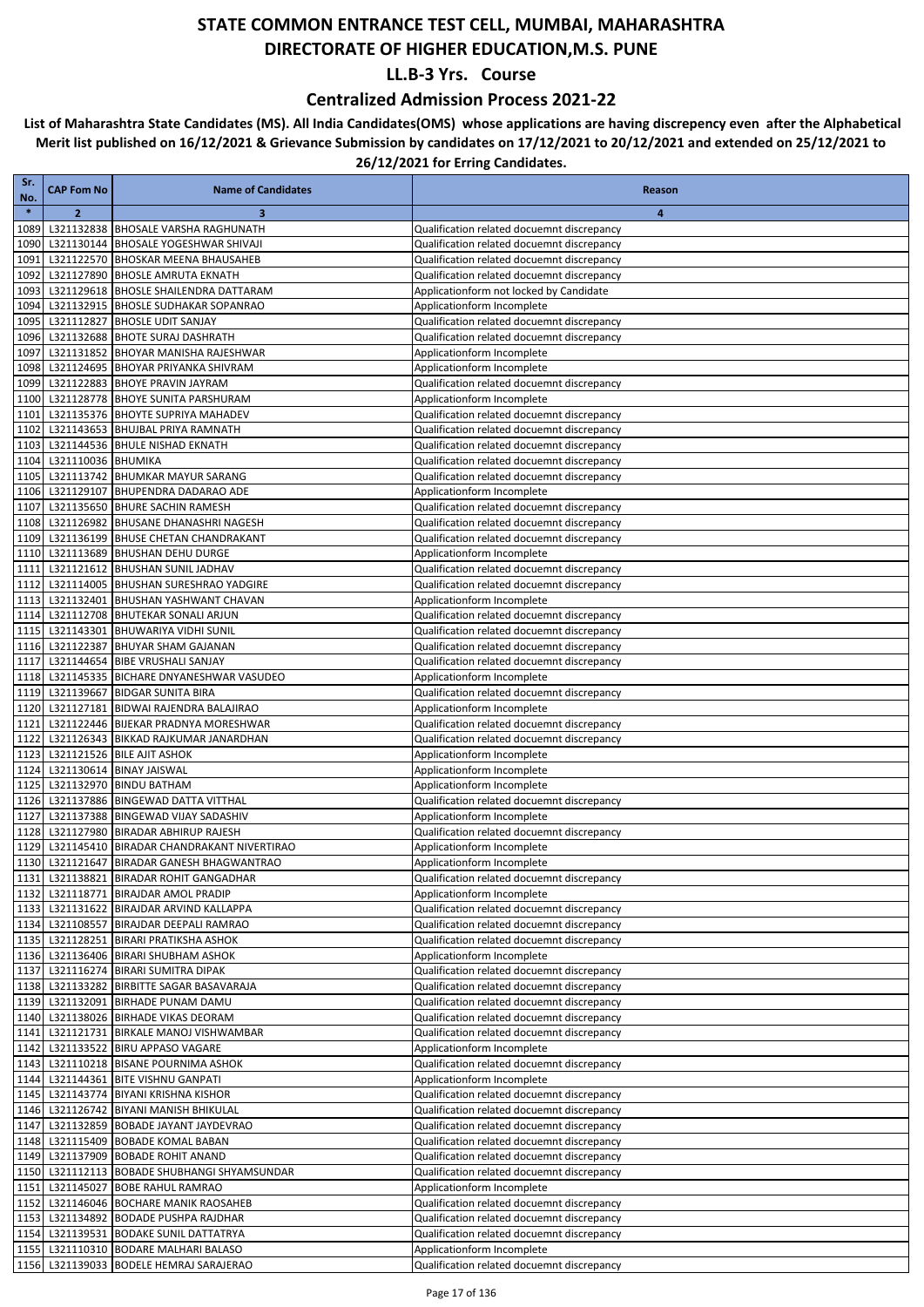### **Centralized Admission Process 2021-22**

| Sr.<br>No.   | <b>CAP Fom No</b>  | <b>Name of Candidates</b>                                                         | Reason                                                                                   |
|--------------|--------------------|-----------------------------------------------------------------------------------|------------------------------------------------------------------------------------------|
| $\ast$       | $\overline{2}$     | 3                                                                                 | 4                                                                                        |
| 1089         |                    | L321132838 BHOSALE VARSHA RAGHUNATH                                               | Qualification related docuemnt discrepancy                                               |
| 1090         |                    | L321130144 BHOSALE YOGESHWAR SHIVAJI                                              | Qualification related docuemnt discrepancy                                               |
| 1091         |                    | L321122570 BHOSKAR MEENA BHAUSAHEB                                                | Qualification related docuemnt discrepancy                                               |
| 1092         |                    | L321127890 BHOSLE AMRUTA EKNATH                                                   | Qualification related docuemnt discrepancy                                               |
| 1093         |                    | L321129618 BHOSLE SHAILENDRA DATTARAM                                             | Applicationform not locked by Candidate                                                  |
| 1094<br>1095 |                    | L321132915 BHOSLE SUDHAKAR SOPANRAO<br>L321112827 BHOSLE UDIT SANJAY              | Applicationform Incomplete<br>Qualification related docuemnt discrepancy                 |
| 1096         |                    | L321132688 BHOTE SURAJ DASHRATH                                                   | Qualification related docuemnt discrepancy                                               |
| 1097         |                    | L321131852 BHOYAR MANISHA RAJESHWAR                                               | Applicationform Incomplete                                                               |
| 1098         |                    | L321124695 BHOYAR PRIYANKA SHIVRAM                                                | Applicationform Incomplete                                                               |
| 1099         |                    | L321122883 BHOYE PRAVIN JAYRAM                                                    | Qualification related docuemnt discrepancy                                               |
| 1100         |                    | L321128778 BHOYE SUNITA PARSHURAM                                                 | Applicationform Incomplete                                                               |
| 1101         |                    | L321135376 BHOYTE SUPRIYA MAHADEV                                                 | Qualification related docuemnt discrepancy                                               |
| 1102         |                    | L321143653 BHUJBAL PRIYA RAMNATH                                                  | Qualification related docuemnt discrepancy                                               |
| 1103         |                    | L321144536 BHULE NISHAD EKNATH                                                    | Qualification related docuemnt discrepancy                                               |
| 1104         | L321110036 BHUMIKA |                                                                                   | Qualification related docuemnt discrepancy                                               |
| 1105<br>1106 |                    | L321113742 BHUMKAR MAYUR SARANG<br>L321129107 BHUPENDRA DADARAO ADE               | Qualification related docuemnt discrepancy<br>Applicationform Incomplete                 |
| 1107         |                    | L321135650 BHURE SACHIN RAMESH                                                    | Qualification related docuemnt discrepancy                                               |
| 1108         |                    | L321126982 BHUSANE DHANASHRI NAGESH                                               | Qualification related docuemnt discrepancy                                               |
| 1109         |                    | L321136199 BHUSE CHETAN CHANDRAKANT                                               | Qualification related docuemnt discrepancy                                               |
| 1110         |                    | L321113689 BHUSHAN DEHU DURGE                                                     | Applicationform Incomplete                                                               |
| 1111         |                    | L321121612 BHUSHAN SUNIL JADHAV                                                   | Qualification related docuemnt discrepancy                                               |
| 1112         |                    | L321114005 BHUSHAN SURESHRAO YADGIRE                                              | Qualification related docuemnt discrepancy                                               |
| 1113         |                    | L321132401 BHUSHAN YASHWANT CHAVAN                                                | Applicationform Incomplete                                                               |
| 1114         |                    | L321112708 BHUTEKAR SONALI ARJUN                                                  | Qualification related docuemnt discrepancy                                               |
| 1115         |                    | L321143301 BHUWARIYA VIDHI SUNIL                                                  | Qualification related docuemnt discrepancy                                               |
| 1116         |                    | L321122387 BHUYAR SHAM GAJANAN<br>L321144654 BIBE VRUSHALI SANJAY                 | Qualification related docuemnt discrepancy                                               |
| 1117<br>1118 |                    | L321145335 BICHARE DNYANESHWAR VASUDEO                                            | Qualification related docuemnt discrepancy<br>Applicationform Incomplete                 |
| 1119         |                    | L321139667 BIDGAR SUNITA BIRA                                                     | Qualification related docuemnt discrepancy                                               |
| 1120         |                    | L321127181 BIDWAI RAJENDRA BALAJIRAO                                              | Applicationform Incomplete                                                               |
| 1121         |                    | L321122446 BIJEKAR PRADNYA MORESHWAR                                              | Qualification related docuemnt discrepancy                                               |
| 1122         |                    | L321126343 BIKKAD RAJKUMAR JANARDHAN                                              | Qualification related docuemnt discrepancy                                               |
| 1123         |                    | L321121526 BILE AJIT ASHOK                                                        | Applicationform Incomplete                                                               |
| 1124         |                    | L321130614 BINAY JAISWAL                                                          | Applicationform Incomplete                                                               |
| 1125         |                    | L321132970 BINDU BATHAM                                                           | Applicationform Incomplete                                                               |
| 1126         |                    | L321137886 BINGEWAD DATTA VITTHAL                                                 | Qualification related docuemnt discrepancy                                               |
| 1127<br>1128 |                    | L321137388 BINGEWAD VIJAY SADASHIV<br>L321127980 BIRADAR ABHIRUP RAJESH           | Applicationform Incomplete<br>Qualification related docuemnt discrepancy                 |
| 1129         |                    | L321145410 BIRADAR CHANDRAKANT NIVERTIRAO                                         | Applicationform Incomplete                                                               |
| 1130         |                    | L321121647 BIRADAR GANESH BHAGWANTRAO                                             | Applicationform Incomplete                                                               |
|              |                    | 1131 L321138821 BIRADAR ROHIT GANGADHAR                                           | Qualification related docuemnt discrepancy                                               |
|              |                    | 1132 L321118771 BIRAJDAR AMOL PRADIP                                              | Applicationform Incomplete                                                               |
|              |                    | 1133 L321131622 BIRAJDAR ARVIND KALLAPPA                                          | Qualification related docuemnt discrepancy                                               |
|              |                    | 1134 L321108557 BIRAJDAR DEEPALI RAMRAO                                           | Qualification related docuemnt discrepancy                                               |
|              |                    | 1135 L321128251 BIRARI PRATIKSHA ASHOK                                            | Qualification related docuemnt discrepancy                                               |
|              |                    | 1136 L321136406 BIRARI SHUBHAM ASHOK                                              | Applicationform Incomplete                                                               |
|              |                    | 1137 L321116274 BIRARI SUMITRA DIPAK<br>1138 L321133282 BIRBITTE SAGAR BASAVARAJA | Qualification related docuemnt discrepancy<br>Qualification related docuemnt discrepancy |
|              |                    | 1139 L321132091 BIRHADE PUNAM DAMU                                                | Qualification related docuemnt discrepancy                                               |
|              |                    | 1140 L321138026 BIRHADE VIKAS DEORAM                                              | Qualification related docuemnt discrepancy                                               |
|              |                    | 1141 L321121731 BIRKALE MANOJ VISHWAMBAR                                          | Qualification related docuemnt discrepancy                                               |
|              |                    | 1142 L321133522 BIRU APPASO VAGARE                                                | Applicationform Incomplete                                                               |
|              |                    | 1143 L321110218 BISANE POURNIMA ASHOK                                             | Qualification related docuemnt discrepancy                                               |
|              |                    | 1144 L321144361 BITE VISHNU GANPATI                                               | Applicationform Incomplete                                                               |
|              |                    | 1145 L321143774 BIYANI KRISHNA KISHOR                                             | Qualification related docuemnt discrepancy                                               |
|              |                    | 1146 L321126742 BIYANI MANISH BHIKULAL                                            | Qualification related docuemnt discrepancy                                               |
|              |                    | 1147 L321132859 BOBADE JAYANT JAYDEVRAO<br>1148 L321115409 BOBADE KOMAL BABAN     | Qualification related docuemnt discrepancy<br>Qualification related docuemnt discrepancy |
|              |                    | 1149 L321137909 BOBADE ROHIT ANAND                                                | Qualification related docuemnt discrepancy                                               |
|              |                    | 1150 L321112113 BOBADE SHUBHANGI SHYAMSUNDAR                                      | Qualification related docuemnt discrepancy                                               |
|              |                    | 1151 L321145027 BOBE RAHUL RAMRAO                                                 | Applicationform Incomplete                                                               |
|              |                    | 1152 L321146046 BOCHARE MANIK RAOSAHEB                                            | Qualification related docuemnt discrepancy                                               |
|              |                    | 1153 L321134892 BODADE PUSHPA RAJDHAR                                             | Qualification related docuemnt discrepancy                                               |
|              |                    | 1154 L321139531 BODAKE SUNIL DATTATRYA                                            | Qualification related docuemnt discrepancy                                               |
|              |                    | 1155 L321110310 BODARE MALHARI BALASO                                             | Applicationform Incomplete                                                               |
|              |                    | 1156 L321139033 BODELE HEMRAJ SARAJERAO                                           | Qualification related docuemnt discrepancy                                               |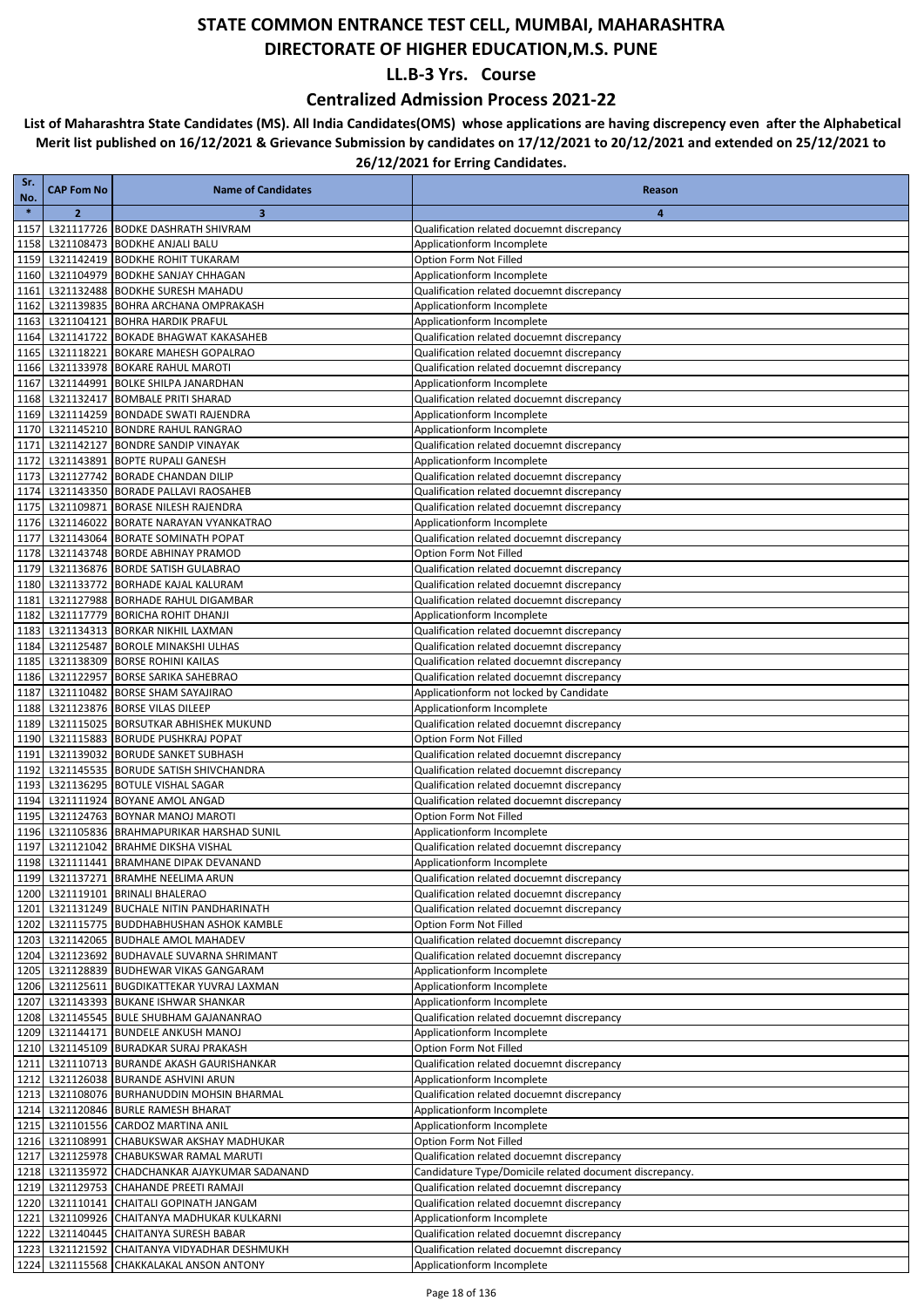### **Centralized Admission Process 2021-22**

| Sr.<br>No.   | <b>CAP Fom No</b> | <b>Name of Candidates</b>                                                          | Reason                                                                                   |
|--------------|-------------------|------------------------------------------------------------------------------------|------------------------------------------------------------------------------------------|
| $\ast$       | $\overline{2}$    | 3                                                                                  | 4                                                                                        |
| 1157         |                   | L321117726 BODKE DASHRATH SHIVRAM                                                  | Qualification related docuemnt discrepancy                                               |
| 1158         |                   | L321108473 BODKHE ANJALI BALU                                                      | Applicationform Incomplete                                                               |
| 1159         |                   | L321142419 BODKHE ROHIT TUKARAM                                                    | Option Form Not Filled                                                                   |
| 1160         |                   | L321104979 BODKHE SANJAY CHHAGAN                                                   | Applicationform Incomplete                                                               |
| 1161         |                   | L321132488 BODKHE SURESH MAHADU                                                    | Qualification related docuemnt discrepancy                                               |
| 1162         |                   | L321139835 BOHRA ARCHANA OMPRAKASH                                                 | Applicationform Incomplete                                                               |
| 1163<br>1164 |                   | L321104121 BOHRA HARDIK PRAFUL<br>L321141722 BOKADE BHAGWAT KAKASAHEB              | Applicationform Incomplete<br>Qualification related docuemnt discrepancy                 |
| 1165         |                   | L321118221 BOKARE MAHESH GOPALRAO                                                  | Qualification related docuemnt discrepancy                                               |
| 1166         |                   | L321133978 BOKARE RAHUL MAROTI                                                     | Qualification related docuemnt discrepancy                                               |
| 1167         |                   | L321144991 BOLKE SHILPA JANARDHAN                                                  | Applicationform Incomplete                                                               |
| 1168         |                   | L321132417 BOMBALE PRITI SHARAD                                                    | Qualification related docuemnt discrepancy                                               |
| 1169         |                   | L321114259 BONDADE SWATI RAJENDRA                                                  | Applicationform Incomplete                                                               |
| 1170         |                   | L321145210 BONDRE RAHUL RANGRAO                                                    | Applicationform Incomplete                                                               |
| 1171         |                   | L321142127 BONDRE SANDIP VINAYAK                                                   | Qualification related docuemnt discrepancy                                               |
| 1172         |                   | L321143891 BOPTE RUPALI GANESH                                                     | Applicationform Incomplete                                                               |
| 1173         |                   | L321127742 BORADE CHANDAN DILIP                                                    | Qualification related docuemnt discrepancy                                               |
| 1174<br>1175 |                   | L321143350 BORADE PALLAVI RAOSAHEB<br>L321109871 BORASE NILESH RAJENDRA            | Qualification related docuemnt discrepancy<br>Qualification related docuemnt discrepancy |
| 1176         |                   | L321146022 BORATE NARAYAN VYANKATRAO                                               | Applicationform Incomplete                                                               |
| 1177         |                   | L321143064 BORATE SOMINATH POPAT                                                   | Qualification related docuemnt discrepancy                                               |
| 1178         |                   | L321143748 BORDE ABHINAY PRAMOD                                                    | Option Form Not Filled                                                                   |
| 1179         |                   | L321136876 BORDE SATISH GULABRAO                                                   | Qualification related docuemnt discrepancy                                               |
| 1180         |                   | L321133772 BORHADE KAJAL KALURAM                                                   | Qualification related docuemnt discrepancy                                               |
| 1181         |                   | L321127988 BORHADE RAHUL DIGAMBAR                                                  | Qualification related docuemnt discrepancy                                               |
| 1182         |                   | L321117779 BORICHA ROHIT DHANJI                                                    | Applicationform Incomplete                                                               |
| 1183         |                   | L321134313 BORKAR NIKHIL LAXMAN                                                    | Qualification related docuemnt discrepancy                                               |
| 1184         |                   | L321125487 BOROLE MINAKSHI ULHAS                                                   | Qualification related docuemnt discrepancy                                               |
| 1185         |                   | L321138309 BORSE ROHINI KAILAS                                                     | Qualification related docuemnt discrepancy                                               |
| 1186         |                   | L321122957 BORSE SARIKA SAHEBRAO                                                   | Qualification related docuemnt discrepancy                                               |
| 1187<br>1188 |                   | L321110482 BORSE SHAM SAYAJIRAO<br>L321123876 BORSE VILAS DILEEP                   | Applicationform not locked by Candidate<br>Applicationform Incomplete                    |
| 1189         |                   | L321115025 BORSUTKAR ABHISHEK MUKUND                                               | Qualification related docuemnt discrepancy                                               |
| 1190         |                   | L321115883 BORUDE PUSHKRAJ POPAT                                                   | Option Form Not Filled                                                                   |
| 1191         |                   | L321139032 BORUDE SANKET SUBHASH                                                   | Qualification related docuemnt discrepancy                                               |
| 1192         |                   | L321145535 BORUDE SATISH SHIVCHANDRA                                               | Qualification related docuemnt discrepancy                                               |
| 1193         |                   | L321136295 BOTULE VISHAL SAGAR                                                     | Qualification related docuemnt discrepancy                                               |
| 1194         |                   | L321111924 BOYANE AMOL ANGAD                                                       | Qualification related docuemnt discrepancy                                               |
| 1195         |                   | L321124763 BOYNAR MANOJ MAROTI                                                     | Option Form Not Filled                                                                   |
| 1196         |                   | L321105836 BRAHMAPURIKAR HARSHAD SUNIL<br>L321121042 BRAHME DIKSHA VISHAL          | Applicationform Incomplete                                                               |
| 1197<br>1198 |                   | L321111441 BRAMHANE DIPAK DEVANAND                                                 | Qualification related docuemnt discrepancy<br>Applicationform Incomplete                 |
|              |                   | 1199 L321137271 BRAMHE NEELIMA ARUN                                                | Qualification related docuemnt discrepancy                                               |
|              |                   | 1200 L321119101 BRINALI BHALERAO                                                   | Qualification related docuemnt discrepancy                                               |
|              |                   | 1201 L321131249 BUCHALE NITIN PANDHARINATH                                         | Qualification related docuemnt discrepancy                                               |
|              |                   | 1202 L321115775 BUDDHABHUSHAN ASHOK KAMBLE                                         | Option Form Not Filled                                                                   |
|              |                   | 1203 L321142065 BUDHALE AMOL MAHADEV                                               | Qualification related docuemnt discrepancy                                               |
|              |                   | 1204 L321123692 BUDHAVALE SUVARNA SHRIMANT                                         | Qualification related docuemnt discrepancy                                               |
|              |                   | 1205 L321128839 BUDHEWAR VIKAS GANGARAM                                            | Applicationform Incomplete                                                               |
|              |                   | 1206 L321125611 BUGDIKATTEKAR YUVRAJ LAXMAN                                        | Applicationform Incomplete                                                               |
| 1207         |                   | L321143393 BUKANE ISHWAR SHANKAR<br>1208 L321145545 BULE SHUBHAM GAJANANRAO        | Applicationform Incomplete<br>Qualification related docuemnt discrepancy                 |
|              |                   | 1209 L321144171 BUNDELE ANKUSH MANOJ                                               | Applicationform Incomplete                                                               |
|              |                   | 1210 L321145109 BURADKAR SURAJ PRAKASH                                             | Option Form Not Filled                                                                   |
|              |                   | 1211 L321110713 BURANDE AKASH GAURISHANKAR                                         | Qualification related docuemnt discrepancy                                               |
|              |                   | 1212 L321126038 BURANDE ASHVINI ARUN                                               | Applicationform Incomplete                                                               |
|              |                   | 1213 L321108076 BURHANUDDIN MOHSIN BHARMAL                                         | Qualification related docuemnt discrepancy                                               |
|              |                   | 1214 L321120846 BURLE RAMESH BHARAT                                                | Applicationform Incomplete                                                               |
|              |                   | 1215 L321101556 CARDOZ MARTINA ANIL                                                | Applicationform Incomplete                                                               |
|              |                   | 1216 L321108991 CHABUKSWAR AKSHAY MADHUKAR                                         | Option Form Not Filled                                                                   |
|              |                   | 1217 L321125978 CHABUKSWAR RAMAL MARUTI                                            | Qualification related docuemnt discrepancy                                               |
|              |                   | 1218 L321135972 CHADCHANKAR AJAYKUMAR SADANAND                                     | Candidature Type/Domicile related document discrepancy.                                  |
|              |                   | 1219 L321129753 CHAHANDE PREETI RAMAJI<br>1220 L321110141 CHAITALI GOPINATH JANGAM | Qualification related docuemnt discrepancy<br>Qualification related docuemnt discrepancy |
|              |                   | 1221 L321109926 CHAITANYA MADHUKAR KULKARNI                                        | Applicationform Incomplete                                                               |
|              |                   | 1222 L321140445 CHAITANYA SURESH BABAR                                             | Qualification related docuemnt discrepancy                                               |
|              |                   | 1223 L321121592 CHAITANYA VIDYADHAR DESHMUKH                                       | Qualification related docuemnt discrepancy                                               |
|              |                   | 1224 L321115568 CHAKKALAKAL ANSON ANTONY                                           | Applicationform Incomplete                                                               |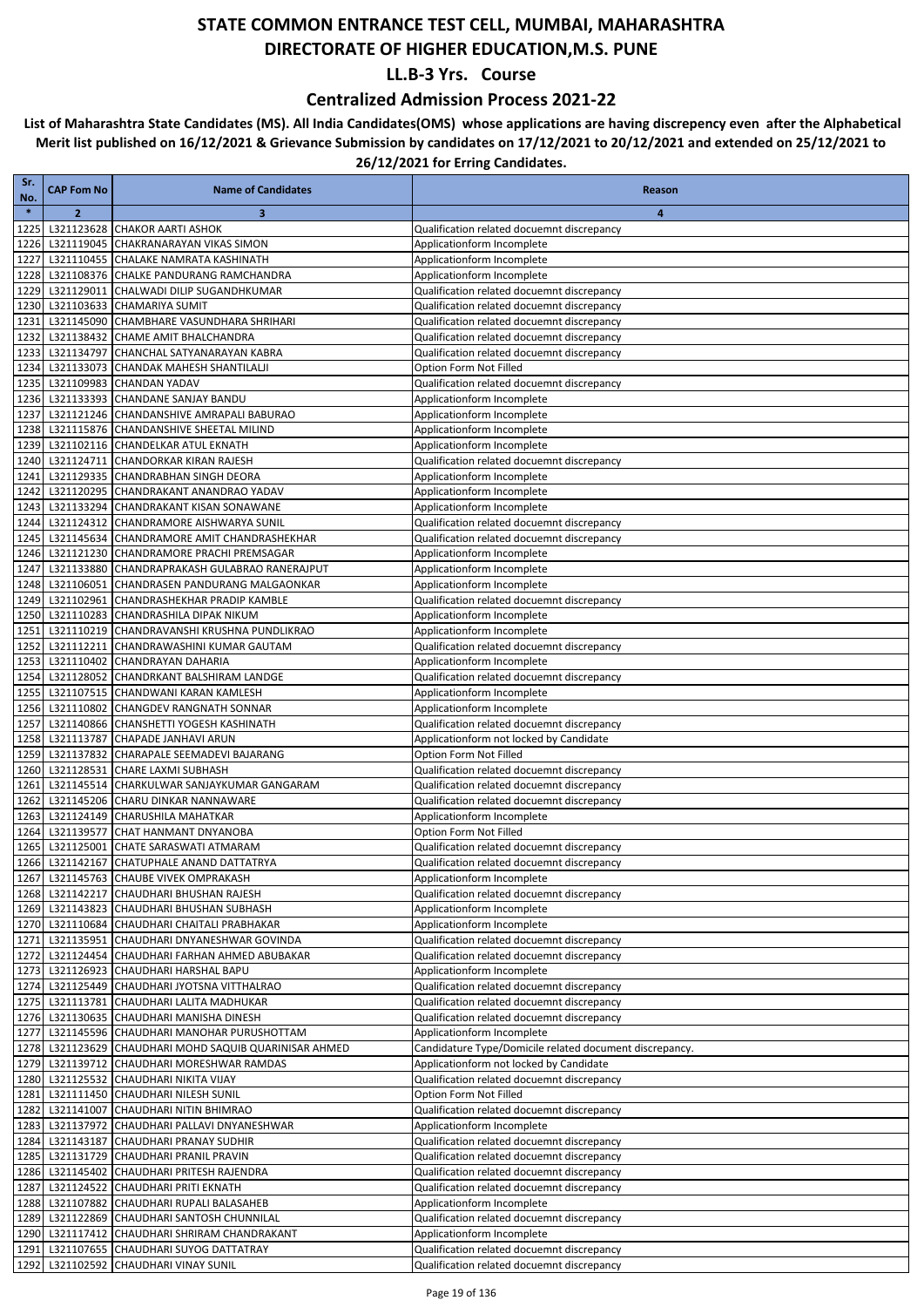### **Centralized Admission Process 2021-22**

| Sr.<br>No.   | <b>CAP Fom No</b> | <b>Name of Candidates</b>                                                                               | Reason                                                                                   |
|--------------|-------------------|---------------------------------------------------------------------------------------------------------|------------------------------------------------------------------------------------------|
| $\ast$       | $\overline{2}$    | 3                                                                                                       | 4                                                                                        |
| 1225         |                   | L321123628 CHAKOR AARTI ASHOK                                                                           | Qualification related docuemnt discrepancy                                               |
| 1226         |                   | L321119045 CHAKRANARAYAN VIKAS SIMON                                                                    | Applicationform Incomplete                                                               |
| 1227         |                   | L321110455 CHALAKE NAMRATA KASHINATH                                                                    | Applicationform Incomplete                                                               |
| 1228         |                   | L321108376 CHALKE PANDURANG RAMCHANDRA                                                                  | Applicationform Incomplete                                                               |
| 1229         |                   | L321129011 CHALWADI DILIP SUGANDHKUMAR                                                                  | Qualification related docuemnt discrepancy                                               |
| 1230         |                   | L321103633 CHAMARIYA SUMIT                                                                              | Qualification related docuemnt discrepancy                                               |
| 1231<br>1232 |                   | L321145090 CHAMBHARE VASUNDHARA SHRIHARI                                                                | Qualification related docuemnt discrepancy<br>Qualification related docuemnt discrepancy |
| 1233         |                   | L321138432 CHAME AMIT BHALCHANDRA<br>L321134797 CHANCHAL SATYANARAYAN KABRA                             | Qualification related docuemnt discrepancy                                               |
| 1234         |                   | L321133073 CHANDAK MAHESH SHANTILALJI                                                                   | Option Form Not Filled                                                                   |
| 1235         |                   | L321109983 CHANDAN YADAV                                                                                | Qualification related docuemnt discrepancy                                               |
| 1236         |                   | L321133393 CHANDANE SANJAY BANDU                                                                        | Applicationform Incomplete                                                               |
| 1237         |                   | L321121246 CHANDANSHIVE AMRAPALI BABURAO                                                                | Applicationform Incomplete                                                               |
| 1238         |                   | L321115876 CHANDANSHIVE SHEETAL MILIND                                                                  | Applicationform Incomplete                                                               |
| 1239         |                   | L321102116 CHANDELKAR ATUL EKNATH                                                                       | Applicationform Incomplete                                                               |
| 1240         |                   | L321124711 CHANDORKAR KIRAN RAJESH                                                                      | Qualification related docuemnt discrepancy                                               |
| 1241         |                   | L321129335 CHANDRABHAN SINGH DEORA                                                                      | Applicationform Incomplete                                                               |
| 1242         |                   | L321120295 CHANDRAKANT ANANDRAO YADAV                                                                   | Applicationform Incomplete                                                               |
| 1243         |                   | L321133294 CHANDRAKANT KISAN SONAWANE                                                                   | Applicationform Incomplete                                                               |
| 1244<br>1245 |                   | L321124312 CHANDRAMORE AISHWARYA SUNIL<br>L321145634 CHANDRAMORE AMIT CHANDRASHEKHAR                    | Qualification related docuemnt discrepancy<br>Qualification related docuemnt discrepancy |
| 1246         |                   | L321121230 CHANDRAMORE PRACHI PREMSAGAR                                                                 | Applicationform Incomplete                                                               |
| 1247         |                   | L321133880 CHANDRAPRAKASH GULABRAO RANERAJPUT                                                           | Applicationform Incomplete                                                               |
| 1248         |                   | L321106051 CHANDRASEN PANDURANG MALGAONKAR                                                              | Applicationform Incomplete                                                               |
| 1249         |                   | L321102961 CHANDRASHEKHAR PRADIP KAMBLE                                                                 | Qualification related docuemnt discrepancy                                               |
| 1250         |                   | L321110283 CHANDRASHILA DIPAK NIKUM                                                                     | Applicationform Incomplete                                                               |
| 1251         |                   | L321110219 CHANDRAVANSHI KRUSHNA PUNDLIKRAO                                                             | Applicationform Incomplete                                                               |
| 1252         |                   | L321112211 CHANDRAWASHINI KUMAR GAUTAM                                                                  | Qualification related docuemnt discrepancy                                               |
| 1253         |                   | L321110402 CHANDRAYAN DAHARIA                                                                           | Applicationform Incomplete                                                               |
| 1254         |                   | L321128052 CHANDRKANT BALSHIRAM LANDGE                                                                  | Qualification related docuemnt discrepancy                                               |
| 1255         |                   | L321107515 CHANDWANI KARAN KAMLESH                                                                      | Applicationform Incomplete                                                               |
| 1256<br>1257 |                   | L321110802 CHANGDEV RANGNATH SONNAR<br>L321140866 CHANSHETTI YOGESH KASHINATH                           | Applicationform Incomplete<br>Qualification related docuemnt discrepancy                 |
| 1258         |                   | L321113787 CHAPADE JANHAVI ARUN                                                                         | Applicationform not locked by Candidate                                                  |
| 1259         |                   | L321137832 CHARAPALE SEEMADEVI BAJARANG                                                                 | Option Form Not Filled                                                                   |
| 1260         |                   | L321128531 CHARE LAXMI SUBHASH                                                                          | Qualification related docuemnt discrepancy                                               |
| 1261         |                   | L321145514 CHARKULWAR SANJAYKUMAR GANGARAM                                                              | Qualification related docuemnt discrepancy                                               |
| 1262         |                   | L321145206 CHARU DINKAR NANNAWARE                                                                       | Qualification related docuemnt discrepancy                                               |
| 1263         |                   | L321124149 CHARUSHILA MAHATKAR                                                                          | Applicationform Incomplete                                                               |
| 1264         |                   | L321139577 CHAT HANMANT DNYANOBA                                                                        | Option Form Not Filled                                                                   |
| 1265         |                   | L321125001 CHATE SARASWATI ATMARAM                                                                      | Qualification related docuemnt discrepancy                                               |
| 1266         |                   | L321142167 CHATUPHALE ANAND DATTATRYA                                                                   | Qualification related docuemnt discrepancy                                               |
|              |                   | 1267 L321145763 CHAUBE VIVEK OMPRAKASH<br>1268 L321142217 CHAUDHARI BHUSHAN RAJESH                      | Applicationform Incomplete<br>Qualification related docuemnt discrepancy                 |
|              |                   | 1269 L321143823 CHAUDHARI BHUSHAN SUBHASH                                                               | Applicationform Incomplete                                                               |
|              |                   | 1270 L321110684 CHAUDHARI CHAITALI PRABHAKAR                                                            | Applicationform Incomplete                                                               |
|              |                   | 1271 L321135951 CHAUDHARI DNYANESHWAR GOVINDA                                                           | Qualification related docuemnt discrepancy                                               |
| 1272         |                   | L321124454 CHAUDHARI FARHAN AHMED ABUBAKAR                                                              | Qualification related docuemnt discrepancy                                               |
|              |                   | 1273 L321126923 CHAUDHARI HARSHAL BAPU                                                                  | Applicationform Incomplete                                                               |
|              |                   | 1274 L321125449 CHAUDHARI JYOTSNA VITTHALRAO                                                            | Qualification related docuemnt discrepancy                                               |
| 1275         |                   | L321113781 CHAUDHARI LALITA MADHUKAR                                                                    | Qualification related docuemnt discrepancy                                               |
|              |                   | 1276 L321130635 CHAUDHARI MANISHA DINESH                                                                | Qualification related docuemnt discrepancy                                               |
|              |                   | 1277 L321145596 CHAUDHARI MANOHAR PURUSHOTTAM<br>1278 L321123629 CHAUDHARI MOHD SAQUIB QUARINISAR AHMED | Applicationform Incomplete<br>Candidature Type/Domicile related document discrepancy.    |
|              |                   | 1279 L321139712 CHAUDHARI MORESHWAR RAMDAS                                                              |                                                                                          |
|              |                   | 1280 L321125532 CHAUDHARI NIKITA VIJAY                                                                  | Applicationform not locked by Candidate<br>Qualification related docuemnt discrepancy    |
| 1281         |                   | L321111450 CHAUDHARI NILESH SUNIL                                                                       | Option Form Not Filled                                                                   |
|              |                   | 1282 L321141007 CHAUDHARI NITIN BHIMRAO                                                                 | Qualification related docuemnt discrepancy                                               |
|              |                   | 1283 L321137972 CHAUDHARI PALLAVI DNYANESHWAR                                                           | Applicationform Incomplete                                                               |
| 1284         |                   | L321143187 CHAUDHARI PRANAY SUDHIR                                                                      | Qualification related docuemnt discrepancy                                               |
|              |                   | 1285 L321131729 CHAUDHARI PRANIL PRAVIN                                                                 | Qualification related docuemnt discrepancy                                               |
|              |                   | 1286 L321145402 CHAUDHARI PRITESH RAJENDRA                                                              | Qualification related docuemnt discrepancy                                               |
| 1287         |                   | L321124522 CHAUDHARI PRITI EKNATH                                                                       | Qualification related docuemnt discrepancy                                               |
|              |                   | 1288 L321107882 CHAUDHARI RUPALI BALASAHEB                                                              | Applicationform Incomplete                                                               |
|              |                   | 1289 L321122869 CHAUDHARI SANTOSH CHUNNILAL<br>1290 L321117412 CHAUDHARI SHRIRAM CHANDRAKANT            | Qualification related docuemnt discrepancy<br>Applicationform Incomplete                 |
| 1291         |                   | L321107655 CHAUDHARI SUYOG DATTATRAY                                                                    | Qualification related docuemnt discrepancy                                               |
|              |                   | 1292 L321102592 CHAUDHARI VINAY SUNIL                                                                   | Qualification related docuemnt discrepancy                                               |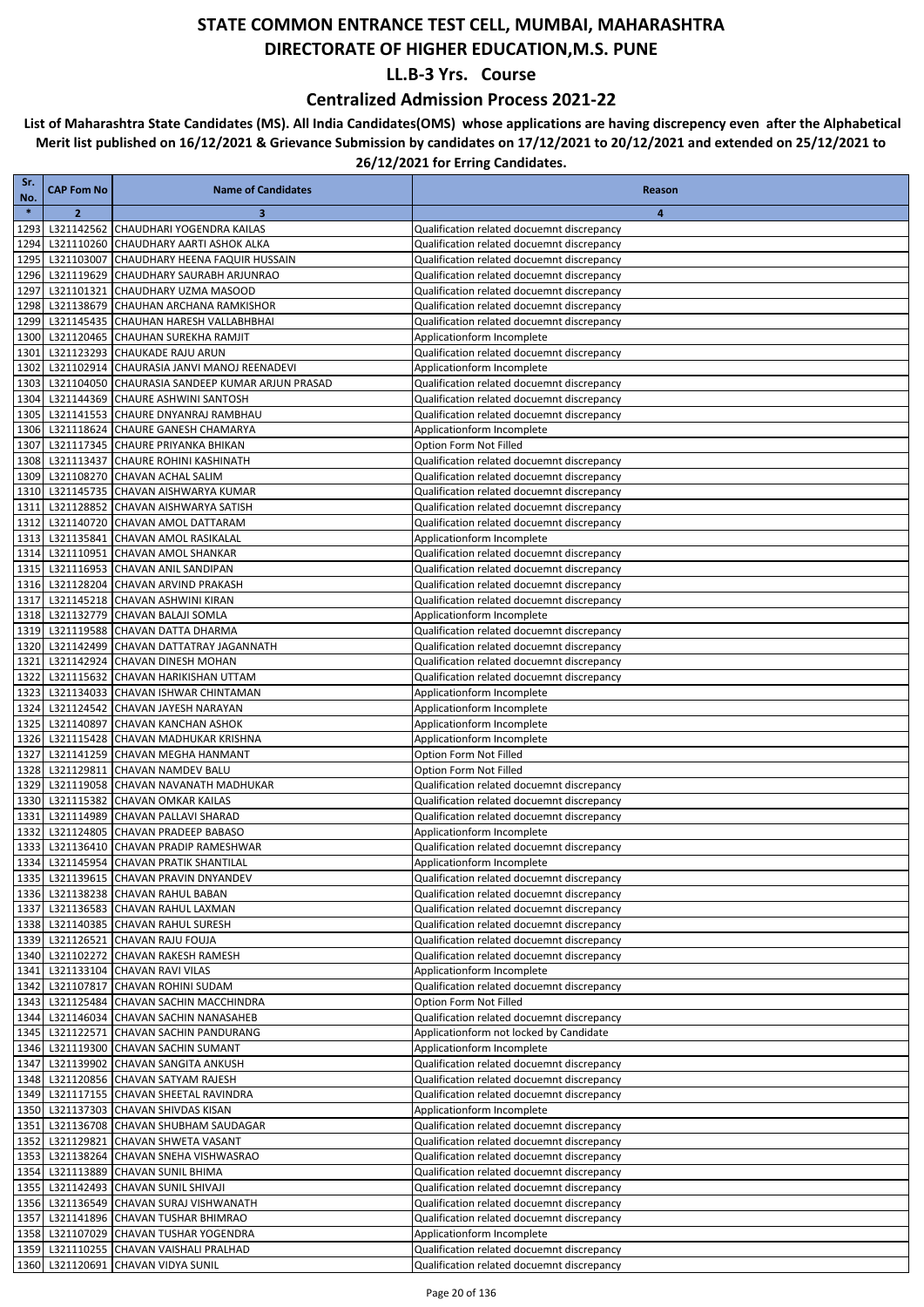### **Centralized Admission Process 2021-22**

| Sr.<br>No.   | <b>CAP Fom No</b> | <b>Name of Candidates</b>                                                       | Reason                                                                                   |
|--------------|-------------------|---------------------------------------------------------------------------------|------------------------------------------------------------------------------------------|
| $\ast$       | $\overline{2}$    | 3                                                                               | 4                                                                                        |
| 1293         |                   | L321142562 CHAUDHARI YOGENDRA KAILAS                                            | Qualification related docuemnt discrepancy                                               |
| 1294         |                   | L321110260 CHAUDHARY AARTI ASHOK ALKA                                           | Qualification related docuemnt discrepancy                                               |
| 1295         |                   | L321103007 CHAUDHARY HEENA FAQUIR HUSSAIN                                       | Qualification related docuemnt discrepancy                                               |
| 1296         |                   | L321119629 CHAUDHARY SAURABH ARJUNRAO<br>L321101321 CHAUDHARY UZMA MASOOD       | Qualification related docuemnt discrepancy                                               |
| 1297<br>1298 |                   | L321138679 CHAUHAN ARCHANA RAMKISHOR                                            | Qualification related docuemnt discrepancy<br>Qualification related docuemnt discrepancy |
| 1299         |                   | L321145435 CHAUHAN HARESH VALLABHBHAI                                           | Qualification related docuemnt discrepancy                                               |
| 1300         |                   | L321120465 CHAUHAN SUREKHA RAMJIT                                               | Applicationform Incomplete                                                               |
| 1301         |                   | L321123293 CHAUKADE RAJU ARUN                                                   | Qualification related docuemnt discrepancy                                               |
| 1302         |                   | L321102914 CHAURASIA JANVI MANOJ REENADEVI                                      | Applicationform Incomplete                                                               |
| 1303         |                   | L321104050 CHAURASIA SANDEEP KUMAR ARJUN PRASAD                                 | Qualification related docuemnt discrepancy                                               |
| 1304         |                   | L321144369 CHAURE ASHWINI SANTOSH                                               | Qualification related docuemnt discrepancy                                               |
| 1305<br>1306 |                   | L321141553 CHAURE DNYANRAJ RAMBHAU<br>L321118624 CHAURE GANESH CHAMARYA         | Qualification related docuemnt discrepancy<br>Applicationform Incomplete                 |
| 1307         |                   | L321117345 CHAURE PRIYANKA BHIKAN                                               | Option Form Not Filled                                                                   |
| 1308         |                   | L321113437 CHAURE ROHINI KASHINATH                                              | Qualification related docuemnt discrepancy                                               |
| 1309         |                   | L321108270 CHAVAN ACHAL SALIM                                                   | Qualification related docuemnt discrepancy                                               |
| 1310         |                   | L321145735 CHAVAN AISHWARYA KUMAR                                               | Qualification related docuemnt discrepancy                                               |
| 1311         |                   | L321128852 CHAVAN AISHWARYA SATISH                                              | Qualification related docuemnt discrepancy                                               |
| 1312         |                   | L321140720 CHAVAN AMOL DATTARAM                                                 | Qualification related docuemnt discrepancy                                               |
| 1313         |                   | L321135841 CHAVAN AMOL RASIKALAL<br>L321110951 CHAVAN AMOL SHANKAR              | Applicationform Incomplete<br>Qualification related docuemnt discrepancy                 |
| 1314<br>1315 |                   | L321116953 CHAVAN ANIL SANDIPAN                                                 | Qualification related docuemnt discrepancy                                               |
| 1316         |                   | L321128204 CHAVAN ARVIND PRAKASH                                                | Qualification related docuemnt discrepancy                                               |
| 1317         |                   | L321145218 CHAVAN ASHWINI KIRAN                                                 | Qualification related docuemnt discrepancy                                               |
| 1318         |                   | L321132779 CHAVAN BALAJI SOMLA                                                  | Applicationform Incomplete                                                               |
| 1319         |                   | L321119588 CHAVAN DATTA DHARMA                                                  | Qualification related docuemnt discrepancy                                               |
| 1320         |                   | L321142499 CHAVAN DATTATRAY JAGANNATH                                           | Qualification related docuemnt discrepancy                                               |
| 1321         |                   | L321142924 CHAVAN DINESH MOHAN                                                  | Qualification related docuemnt discrepancy                                               |
| 1322         |                   | L321115632 CHAVAN HARIKISHAN UTTAM                                              | Qualification related docuemnt discrepancy                                               |
| 1323<br>1324 |                   | L321134033 CHAVAN ISHWAR CHINTAMAN<br>L321124542 CHAVAN JAYESH NARAYAN          | Applicationform Incomplete<br>Applicationform Incomplete                                 |
| 1325         |                   | L321140897 CHAVAN KANCHAN ASHOK                                                 | Applicationform Incomplete                                                               |
| 1326         |                   | L321115428 CHAVAN MADHUKAR KRISHNA                                              | Applicationform Incomplete                                                               |
| 1327         |                   | L321141259 CHAVAN MEGHA HANMANT                                                 | Option Form Not Filled                                                                   |
| 1328         |                   | L321129811 CHAVAN NAMDEV BALU                                                   | Option Form Not Filled                                                                   |
| 1329         |                   | L321119058 CHAVAN NAVANATH MADHUKAR                                             | Qualification related docuemnt discrepancy                                               |
| 1330         |                   | L321115382 CHAVAN OMKAR KAILAS                                                  | Qualification related docuemnt discrepancy                                               |
| 1331<br>1332 |                   | L321114989 CHAVAN PALLAVI SHARAD<br>L321124805 CHAVAN PRADEEP BABASO            | Qualification related docuemnt discrepancy<br>Applicationform Incomplete                 |
| 1333         |                   | L321136410 CHAVAN PRADIP RAMESHWAR                                              | Qualification related docuemnt discrepancy                                               |
| 1334         |                   | L321145954 CHAVAN PRATIK SHANTILAL                                              | Applicationform Incomplete                                                               |
|              |                   | 1335 L321139615 CHAVAN PRAVIN DNYANDEV                                          | Qualification related docuemnt discrepancy                                               |
|              |                   | 1336 L321138238 CHAVAN RAHUL BABAN                                              | Qualification related docuemnt discrepancy                                               |
|              |                   | 1337 L321136583 CHAVAN RAHUL LAXMAN                                             | Qualification related docuemnt discrepancy                                               |
|              |                   | 1338 L321140385 CHAVAN RAHUL SURESH                                             | Qualification related docuemnt discrepancy                                               |
| 1339         |                   | L321126521 CHAVAN RAJU FOUJA<br>1340 L321102272 CHAVAN RAKESH RAMESH            | Qualification related docuemnt discrepancy<br>Qualification related docuemnt discrepancy |
|              |                   | 1341 L321133104 CHAVAN RAVI VILAS                                               | Applicationform Incomplete                                                               |
| 1342         |                   | L321107817 CHAVAN ROHINI SUDAM                                                  | Qualification related docuemnt discrepancy                                               |
|              |                   | 1343 L321125484 CHAVAN SACHIN MACCHINDRA                                        | Option Form Not Filled                                                                   |
|              |                   | 1344 L321146034 CHAVAN SACHIN NANASAHEB                                         | Qualification related docuemnt discrepancy                                               |
| 1345         |                   | L321122571 CHAVAN SACHIN PANDURANG                                              | Applicationform not locked by Candidate                                                  |
|              |                   | 1346 L321119300 CHAVAN SACHIN SUMANT                                            | Applicationform Incomplete                                                               |
|              |                   | 1347 L321139902 CHAVAN SANGITA ANKUSH                                           | Qualification related docuemnt discrepancy                                               |
|              |                   | 1348 L321120856 CHAVAN SATYAM RAJESH<br>1349 L321117155 CHAVAN SHEETAL RAVINDRA | Qualification related docuemnt discrepancy<br>Qualification related docuemnt discrepancy |
|              |                   | 1350 L321137303 CHAVAN SHIVDAS KISAN                                            | Applicationform Incomplete                                                               |
| 1351         |                   | L321136708 CHAVAN SHUBHAM SAUDAGAR                                              | Qualification related docuemnt discrepancy                                               |
| 1352         |                   | L321129821 CHAVAN SHWETA VASANT                                                 | Qualification related docuemnt discrepancy                                               |
|              |                   | 1353 L321138264 CHAVAN SNEHA VISHWASRAO                                         | Qualification related docuemnt discrepancy                                               |
|              |                   | 1354 L321113889 CHAVAN SUNIL BHIMA                                              | Qualification related docuemnt discrepancy                                               |
|              |                   | 1355 L321142493 CHAVAN SUNIL SHIVAJI                                            | Qualification related docuemnt discrepancy                                               |
|              |                   | 1356 L321136549 CHAVAN SURAJ VISHWANATH                                         | Qualification related docuemnt discrepancy                                               |
|              |                   | 1357 L321141896 CHAVAN TUSHAR BHIMRAO<br>1358 L321107029 CHAVAN TUSHAR YOGENDRA | Qualification related docuemnt discrepancy<br>Applicationform Incomplete                 |
|              |                   | 1359 L321110255 CHAVAN VAISHALI PRALHAD                                         | Qualification related docuemnt discrepancy                                               |
|              |                   | 1360 L321120691 CHAVAN VIDYA SUNIL                                              | Qualification related docuemnt discrepancy                                               |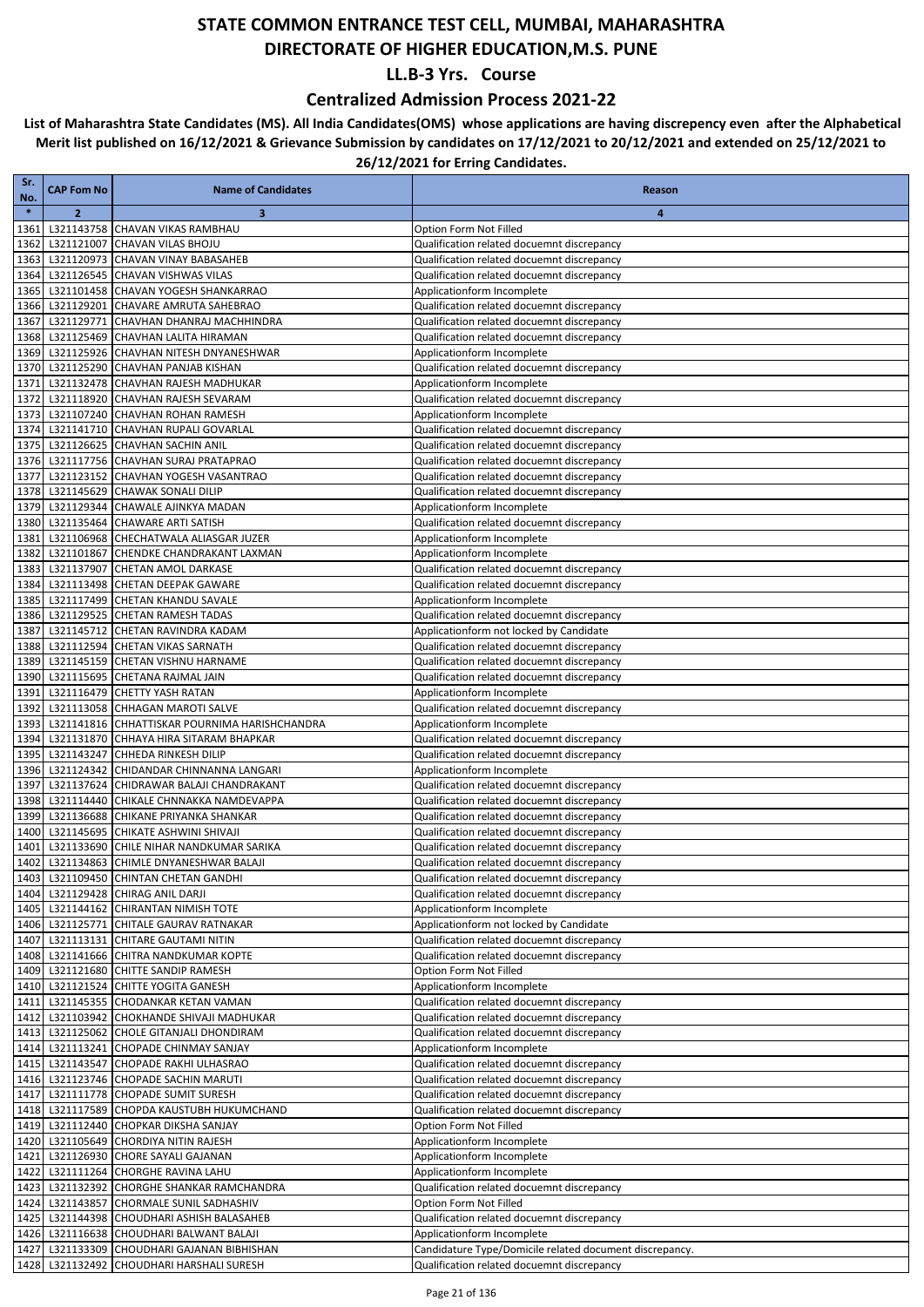### **Centralized Admission Process 2021-22**

| Sr.<br>No.   | <b>CAP Fom No</b> | <b>Name of Candidates</b>                                                         | Reason                                                                                   |
|--------------|-------------------|-----------------------------------------------------------------------------------|------------------------------------------------------------------------------------------|
| $\ast$       | $\overline{2}$    | 3                                                                                 | $\overline{\mathbf{a}}$                                                                  |
| 1361         |                   | L321143758 CHAVAN VIKAS RAMBHAU                                                   | Option Form Not Filled                                                                   |
| 1362         |                   | L321121007 CHAVAN VILAS BHOJU                                                     | Qualification related docuemnt discrepancy                                               |
| 1363         |                   | L321120973 CHAVAN VINAY BABASAHEB                                                 | Qualification related docuemnt discrepancy                                               |
| 1364         |                   | L321126545 CHAVAN VISHWAS VILAS                                                   | Qualification related docuemnt discrepancy                                               |
| 1365         |                   | L321101458 CHAVAN YOGESH SHANKARRAO                                               | Applicationform Incomplete                                                               |
| 1366         |                   | L321129201 CHAVARE AMRUTA SAHEBRAO                                                | Qualification related docuemnt discrepancy                                               |
| 1367         |                   | L321129771 CHAVHAN DHANRAJ MACHHINDRA                                             | Qualification related docuemnt discrepancy                                               |
| 1368         |                   | L321125469 CHAVHAN LALITA HIRAMAN                                                 | Qualification related docuemnt discrepancy                                               |
| 1369         |                   | L321125926 CHAVHAN NITESH DNYANESHWAR<br>L321125290 CHAVHAN PANJAB KISHAN         | Applicationform Incomplete<br>Qualification related docuemnt discrepancy                 |
| 1370<br>1371 |                   | L321132478 CHAVHAN RAJESH MADHUKAR                                                | Applicationform Incomplete                                                               |
| 1372         |                   | L321118920 CHAVHAN RAJESH SEVARAM                                                 | Qualification related docuemnt discrepancy                                               |
| 1373         |                   | L321107240 CHAVHAN ROHAN RAMESH                                                   | Applicationform Incomplete                                                               |
| 1374         |                   | L321141710 CHAVHAN RUPALI GOVARLAL                                                | Qualification related docuemnt discrepancy                                               |
| 1375         |                   | L321126625 CHAVHAN SACHIN ANIL                                                    | Qualification related docuemnt discrepancy                                               |
| 1376         |                   | L321117756 CHAVHAN SURAJ PRATAPRAO                                                | Qualification related docuemnt discrepancy                                               |
| 1377         |                   | L321123152 CHAVHAN YOGESH VASANTRAO                                               | Qualification related docuemnt discrepancy                                               |
| 1378         |                   | L321145629 CHAWAK SONALI DILIP                                                    | Qualification related docuemnt discrepancy                                               |
| 1379         |                   | L321129344 CHAWALE AJINKYA MADAN                                                  | Applicationform Incomplete                                                               |
| 1380         |                   | L321135464 CHAWARE ARTI SATISH                                                    | Qualification related docuemnt discrepancy                                               |
| 1381         |                   | L321106968 CHECHATWALA ALIASGAR JUZER                                             | Applicationform Incomplete                                                               |
| 1382         |                   | L321101867 CHENDKE CHANDRAKANT LAXMAN                                             | Applicationform Incomplete                                                               |
| 1383         |                   | L321137907 CHETAN AMOL DARKASE<br>L321113498 CHETAN DEEPAK GAWARE                 | Qualification related docuemnt discrepancy<br>Qualification related docuemnt discrepancy |
| 1384<br>1385 |                   | L321117499 CHETAN KHANDU SAVALE                                                   | Applicationform Incomplete                                                               |
| 1386         |                   | L321129525 CHETAN RAMESH TADAS                                                    | Qualification related docuemnt discrepancy                                               |
| 1387         |                   | L321145712 CHETAN RAVINDRA KADAM                                                  | Applicationform not locked by Candidate                                                  |
| 1388         |                   | L321112594 CHETAN VIKAS SARNATH                                                   | Qualification related docuemnt discrepancy                                               |
| 1389         |                   | L321145159 CHETAN VISHNU HARNAME                                                  | Qualification related docuemnt discrepancy                                               |
| 1390         |                   | L321115695 CHETANA RAJMAL JAIN                                                    | Qualification related docuemnt discrepancy                                               |
| 1391         |                   | L321116479 CHETTY YASH RATAN                                                      | Applicationform Incomplete                                                               |
| 1392         |                   | L321113058 CHHAGAN MAROTI SALVE                                                   | Qualification related docuemnt discrepancy                                               |
| 1393         |                   | L321141816 CHHATTISKAR POURNIMA HARISHCHANDRA                                     | Applicationform Incomplete                                                               |
| 1394         |                   | L321131870 CHHAYA HIRA SITARAM BHAPKAR                                            | Qualification related docuemnt discrepancy                                               |
| 1395         |                   | L321143247 CHHEDA RINKESH DILIP                                                   | Qualification related docuemnt discrepancy                                               |
| 1396         |                   | L321124342 CHIDANDAR CHINNANNA LANGARI                                            | Applicationform Incomplete                                                               |
| 1397<br>1398 |                   | L321137624 CHIDRAWAR BALAJI CHANDRAKANT<br>L321114440 CHIKALE CHNNAKKA NAMDEVAPPA | Qualification related docuemnt discrepancy<br>Qualification related docuemnt discrepancy |
| 1399         |                   | L321136688 CHIKANE PRIYANKA SHANKAR                                               | Qualification related docuemnt discrepancy                                               |
| 1400         |                   | L321145695 CHIKATE ASHWINI SHIVAJI                                                | Qualification related docuemnt discrepancy                                               |
| 1401         |                   | L321133690 CHILE NIHAR NANDKUMAR SARIKA                                           | Qualification related docuemnt discrepancy                                               |
| 1402         |                   | L321134863 CHIMLE DNYANESHWAR BALAJI                                              | Qualification related docuemnt discrepancy                                               |
|              |                   | 1403 L321109450 CHINTAN CHETAN GANDHI                                             | Qualification related docuemnt discrepancy                                               |
|              |                   | 1404 L321129428 CHIRAG ANIL DARJI                                                 | Qualification related docuemnt discrepancy                                               |
|              |                   | 1405 L321144162 CHIRANTAN NIMISH TOTE                                             | Applicationform Incomplete                                                               |
|              |                   | 1406 L321125771 CHITALE GAURAV RATNAKAR                                           | Applicationform not locked by Candidate                                                  |
| 1407         |                   | L321113131 CHITARE GAUTAMI NITIN                                                  | Qualification related docuemnt discrepancy                                               |
|              |                   | 1408 L321141666 CHITRA NANDKUMAR KOPTE<br>1409 L321121680 CHITTE SANDIP RAMESH    | Qualification related docuemnt discrepancy                                               |
|              |                   | 1410 L321121524 CHITTE YOGITA GANESH                                              | Option Form Not Filled<br>Applicationform Incomplete                                     |
| 1411         |                   | L321145355 CHODANKAR KETAN VAMAN                                                  | Qualification related docuemnt discrepancy                                               |
|              |                   | 1412 L321103942 CHOKHANDE SHIVAJI MADHUKAR                                        | Qualification related docuemnt discrepancy                                               |
| 1413         |                   | L321125062 CHOLE GITANJALI DHONDIRAM                                              | Qualification related docuemnt discrepancy                                               |
|              |                   | 1414 L321113241 CHOPADE CHINMAY SANJAY                                            | Applicationform Incomplete                                                               |
|              |                   | 1415 L321143547 CHOPADE RAKHI ULHASRAO                                            | Qualification related docuemnt discrepancy                                               |
|              |                   | 1416 L321123746 CHOPADE SACHIN MARUTI                                             | Qualification related docuemnt discrepancy                                               |
| 1417         |                   | L321111778 CHOPADE SUMIT SURESH                                                   | Qualification related docuemnt discrepancy                                               |
|              |                   | 1418 L321117589 CHOPDA KAUSTUBH HUKUMCHAND                                        | Qualification related docuemnt discrepancy                                               |
|              |                   | 1419 L321112440 CHOPKAR DIKSHA SANJAY                                             | Option Form Not Filled                                                                   |
|              |                   | 1420 L321105649 CHORDIYA NITIN RAJESH                                             | Applicationform Incomplete                                                               |
| 1421         |                   | L321126930 CHORE SAYALI GAJANAN                                                   | Applicationform Incomplete                                                               |
|              |                   | 1422 L321111264 CHORGHE RAVINA LAHU<br>L321132392 CHORGHE SHANKAR RAMCHANDRA      | Applicationform Incomplete                                                               |
| 1423         |                   | 1424 L321143857 CHORMALE SUNIL SADHASHIV                                          | Qualification related docuemnt discrepancy<br>Option Form Not Filled                     |
|              |                   | 1425 L321144398 CHOUDHARI ASHISH BALASAHEB                                        | Qualification related docuemnt discrepancy                                               |
|              |                   | 1426 L321116638 CHOUDHARI BALWANT BALAJI                                          | Applicationform Incomplete                                                               |
|              |                   | 1427 L321133309 CHOUDHARI GAJANAN BIBHISHAN                                       | Candidature Type/Domicile related document discrepancy.                                  |
|              |                   | 1428 L321132492 CHOUDHARI HARSHALI SURESH                                         | Qualification related docuemnt discrepancy                                               |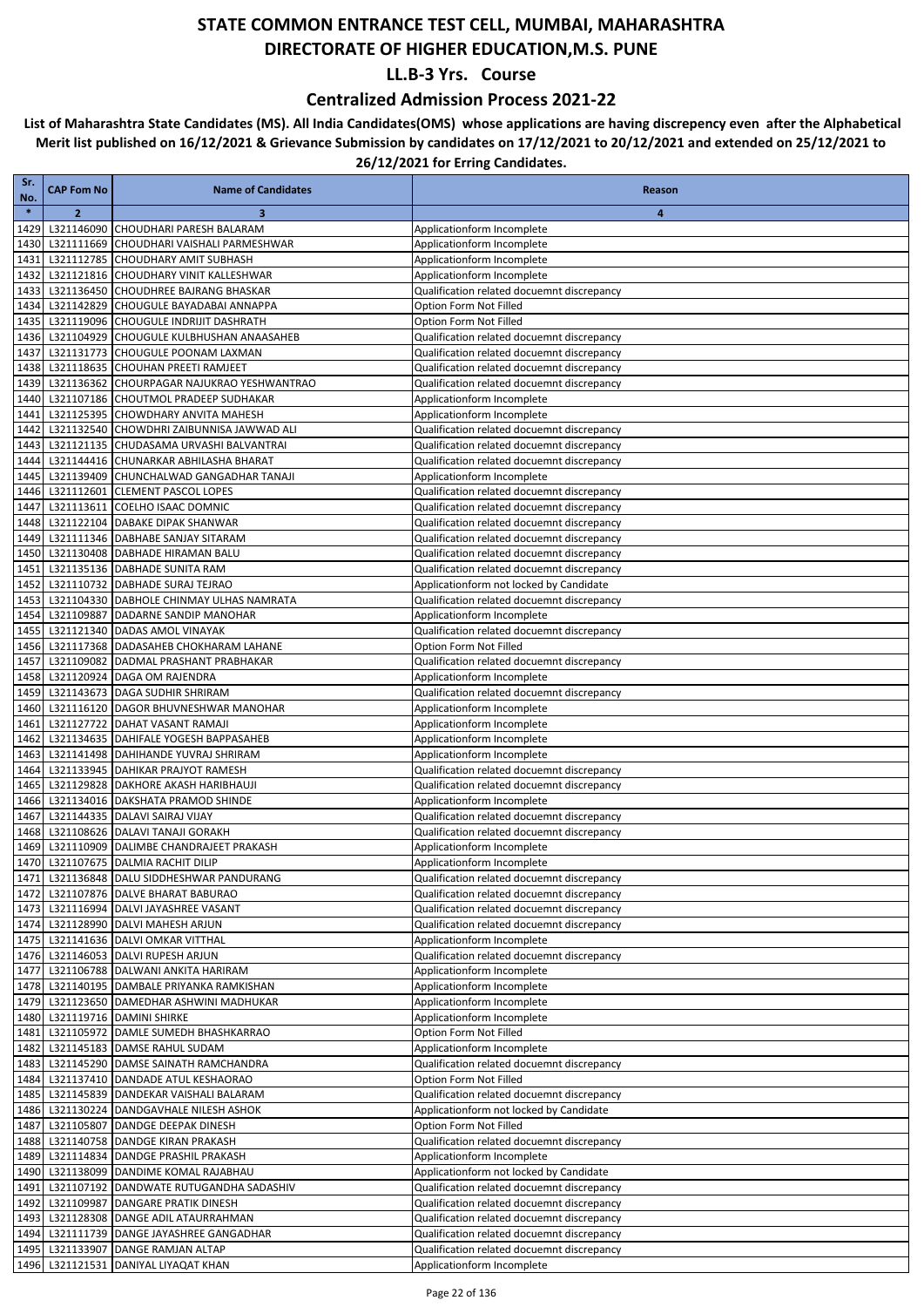### **Centralized Admission Process 2021-22**

| Sr.<br>No.   | <b>CAP Fom No</b> | <b>Name of Candidates</b>                                                         | Reason                                                                                   |
|--------------|-------------------|-----------------------------------------------------------------------------------|------------------------------------------------------------------------------------------|
| $\ast$       | $\overline{2}$    | 3                                                                                 | 4                                                                                        |
| 1429         |                   | L321146090 CHOUDHARI PARESH BALARAM                                               | Applicationform Incomplete                                                               |
| 1430         |                   | L321111669 CHOUDHARI VAISHALI PARMESHWAR                                          | Applicationform Incomplete                                                               |
| 1431         |                   | L321112785 CHOUDHARY AMIT SUBHASH                                                 | Applicationform Incomplete                                                               |
| 1432         |                   | L321121816 CHOUDHARY VINIT KALLESHWAR                                             | Applicationform Incomplete                                                               |
| 1433         |                   | L321136450 CHOUDHREE BAJRANG BHASKAR                                              | Qualification related docuemnt discrepancy                                               |
| 1434         |                   | L321142829 CHOUGULE BAYADABAI ANNAPPA                                             | Option Form Not Filled                                                                   |
| 1435<br>1436 |                   | L321119096 CHOUGULE INDRIJIT DASHRATH<br>L321104929 CHOUGULE KULBHUSHAN ANAASAHEB | Option Form Not Filled<br>Qualification related docuemnt discrepancy                     |
| 1437         |                   | L321131773 CHOUGULE POONAM LAXMAN                                                 | Qualification related docuemnt discrepancy                                               |
| 1438         |                   | L321118635 CHOUHAN PREETI RAMJEET                                                 | Qualification related docuemnt discrepancy                                               |
| 1439         |                   | L321136362 CHOURPAGAR NAJUKRAO YESHWANTRAO                                        | Qualification related docuemnt discrepancy                                               |
| 1440         |                   | L321107186 CHOUTMOL PRADEEP SUDHAKAR                                              | Applicationform Incomplete                                                               |
| 1441         |                   | L321125395 CHOWDHARY ANVITA MAHESH                                                | Applicationform Incomplete                                                               |
| 1442         |                   | L321132540 CHOWDHRI ZAIBUNNISA JAWWAD ALI                                         | Qualification related docuemnt discrepancy                                               |
| 1443         |                   | L321121135 CHUDASAMA URVASHI BALVANTRAI                                           | Qualification related docuemnt discrepancy                                               |
| 1444         |                   | L321144416 CHUNARKAR ABHILASHA BHARAT                                             | Qualification related docuemnt discrepancy                                               |
| 1445         |                   | L321139409 CHUNCHALWAD GANGADHAR TANAJI                                           | Applicationform Incomplete                                                               |
| 1446         |                   | L321112601 CLEMENT PASCOL LOPES                                                   | Qualification related docuemnt discrepancy                                               |
| 1447<br>1448 |                   | L321113611 COELHO ISAAC DOMNIC<br>L321122104 DABAKE DIPAK SHANWAR                 | Qualification related docuemnt discrepancy<br>Qualification related docuemnt discrepancy |
| 1449         |                   | L321111346 DABHABE SANJAY SITARAM                                                 | Qualification related docuemnt discrepancy                                               |
| 1450         |                   | L321130408 DABHADE HIRAMAN BALU                                                   | Qualification related docuemnt discrepancy                                               |
| 1451         |                   | L321135136 DABHADE SUNITA RAM                                                     | Qualification related docuemnt discrepancy                                               |
| 1452         |                   | L321110732 DABHADE SURAJ TEJRAO                                                   | Applicationform not locked by Candidate                                                  |
| 1453         |                   | L321104330 DABHOLE CHINMAY ULHAS NAMRATA                                          | Qualification related docuemnt discrepancy                                               |
| 1454         |                   | L321109887 DADARNE SANDIP MANOHAR                                                 | Applicationform Incomplete                                                               |
| 1455         |                   | L321121340 DADAS AMOL VINAYAK                                                     | Qualification related docuemnt discrepancy                                               |
| 1456         |                   | L321117368 DADASAHEB CHOKHARAM LAHANE                                             | Option Form Not Filled                                                                   |
| 1457         |                   | L321109082 DADMAL PRASHANT PRABHAKAR                                              | Qualification related docuemnt discrepancy                                               |
| 1458         |                   | L321120924 DAGA OM RAJENDRA                                                       | Applicationform Incomplete                                                               |
| 1459<br>1460 |                   | L321143673 DAGA SUDHIR SHRIRAM                                                    | Qualification related docuemnt discrepancy                                               |
| 1461         |                   | L321116120 DAGOR BHUVNESHWAR MANOHAR<br>L321127722 DAHAT VASANT RAMAJI            | Applicationform Incomplete<br>Applicationform Incomplete                                 |
| 1462         |                   | L321134635   DAHIFALE YOGESH BAPPASAHEB                                           | Applicationform Incomplete                                                               |
| 1463         |                   | L321141498 DAHIHANDE YUVRAJ SHRIRAM                                               | Applicationform Incomplete                                                               |
| 1464         |                   | L321133945 DAHIKAR PRAJYOT RAMESH                                                 | Qualification related docuemnt discrepancy                                               |
| 1465         |                   | L321129828 DAKHORE AKASH HARIBHAUJI                                               | Qualification related docuemnt discrepancy                                               |
| 1466         |                   | L321134016 DAKSHATA PRAMOD SHINDE                                                 | Applicationform Incomplete                                                               |
| 1467         |                   | L321144335 DALAVI SAIRAJ VIJAY                                                    | Qualification related docuemnt discrepancy                                               |
| 1468         |                   | L321108626 DALAVI TANAJI GORAKH                                                   | Qualification related docuemnt discrepancy                                               |
| 1469<br>1470 |                   | L321110909 DALIMBE CHANDRAJEET PRAKASH<br>L321107675 DALMIA RACHIT DILIP          | Applicationform Incomplete<br>Applicationform Incomplete                                 |
|              |                   | 1471 L321136848 DALU SIDDHESHWAR PANDURANG                                        | Qualification related docuemnt discrepancy                                               |
|              |                   | 1472 L321107876 DALVE BHARAT BABURAO                                              | Qualification related docuemnt discrepancy                                               |
|              |                   | 1473 L321116994 DALVI JAYASHREE VASANT                                            | Qualification related docuemnt discrepancy                                               |
|              |                   | 1474 L321128990 DALVI MAHESH ARJUN                                                | Qualification related docuemnt discrepancy                                               |
|              |                   | 1475 L321141636 DALVI OMKAR VITTHAL                                               | Applicationform Incomplete                                                               |
|              |                   | 1476 L321146053 DALVI RUPESH ARJUN                                                | Qualification related docuemnt discrepancy                                               |
|              |                   | 1477 L321106788 DALWANI ANKITA HARIRAM                                            | Applicationform Incomplete                                                               |
|              |                   | 1478 L321140195 DAMBALE PRIYANKA RAMKISHAN                                        | Applicationform Incomplete                                                               |
|              |                   | 1479 L321123650 DAMEDHAR ASHWINI MADHUKAR                                         | Applicationform Incomplete                                                               |
|              |                   | 1480 L321119716 DAMINI SHIRKE<br>1481 L321105972 DAMLE SUMEDH BHASHKARRAO         | Applicationform Incomplete<br>Option Form Not Filled                                     |
|              |                   | 1482 L321145183 DAMSE RAHUL SUDAM                                                 | Applicationform Incomplete                                                               |
|              |                   | 1483 L321145290 DAMSE SAINATH RAMCHANDRA                                          | Qualification related docuemnt discrepancy                                               |
|              |                   | 1484 L321137410 DANDADE ATUL KESHAORAO                                            | Option Form Not Filled                                                                   |
|              |                   | 1485 L321145839 DANDEKAR VAISHALI BALARAM                                         | Qualification related docuemnt discrepancy                                               |
|              |                   | 1486 L321130224 DANDGAVHALE NILESH ASHOK                                          | Applicationform not locked by Candidate                                                  |
|              |                   | 1487 L321105807 DANDGE DEEPAK DINESH                                              | Option Form Not Filled                                                                   |
|              |                   | 1488 L321140758 DANDGE KIRAN PRAKASH                                              | Qualification related docuemnt discrepancy                                               |
|              |                   | 1489 L321114834 DANDGE PRASHIL PRAKASH                                            | Applicationform Incomplete                                                               |
|              |                   | 1490 L321138099 DANDIME KOMAL RAJABHAU                                            | Applicationform not locked by Candidate                                                  |
|              |                   | 1491 L321107192 DANDWATE RUTUGANDHA SADASHIV                                      | Qualification related docuemnt discrepancy                                               |
|              |                   | 1492 L321109987 DANGARE PRATIK DINESH<br>1493 L321128308 DANGE ADIL ATAURRAHMAN   | Qualification related docuemnt discrepancy<br>Qualification related docuemnt discrepancy |
|              |                   | 1494 L321111739 DANGE JAYASHREE GANGADHAR                                         | Qualification related docuemnt discrepancy                                               |
|              |                   | 1495 L321133907 DANGE RAMJAN ALTAP                                                | Qualification related docuemnt discrepancy                                               |
|              |                   | 1496 L321121531 DANIYAL LIYAQAT KHAN                                              | Applicationform Incomplete                                                               |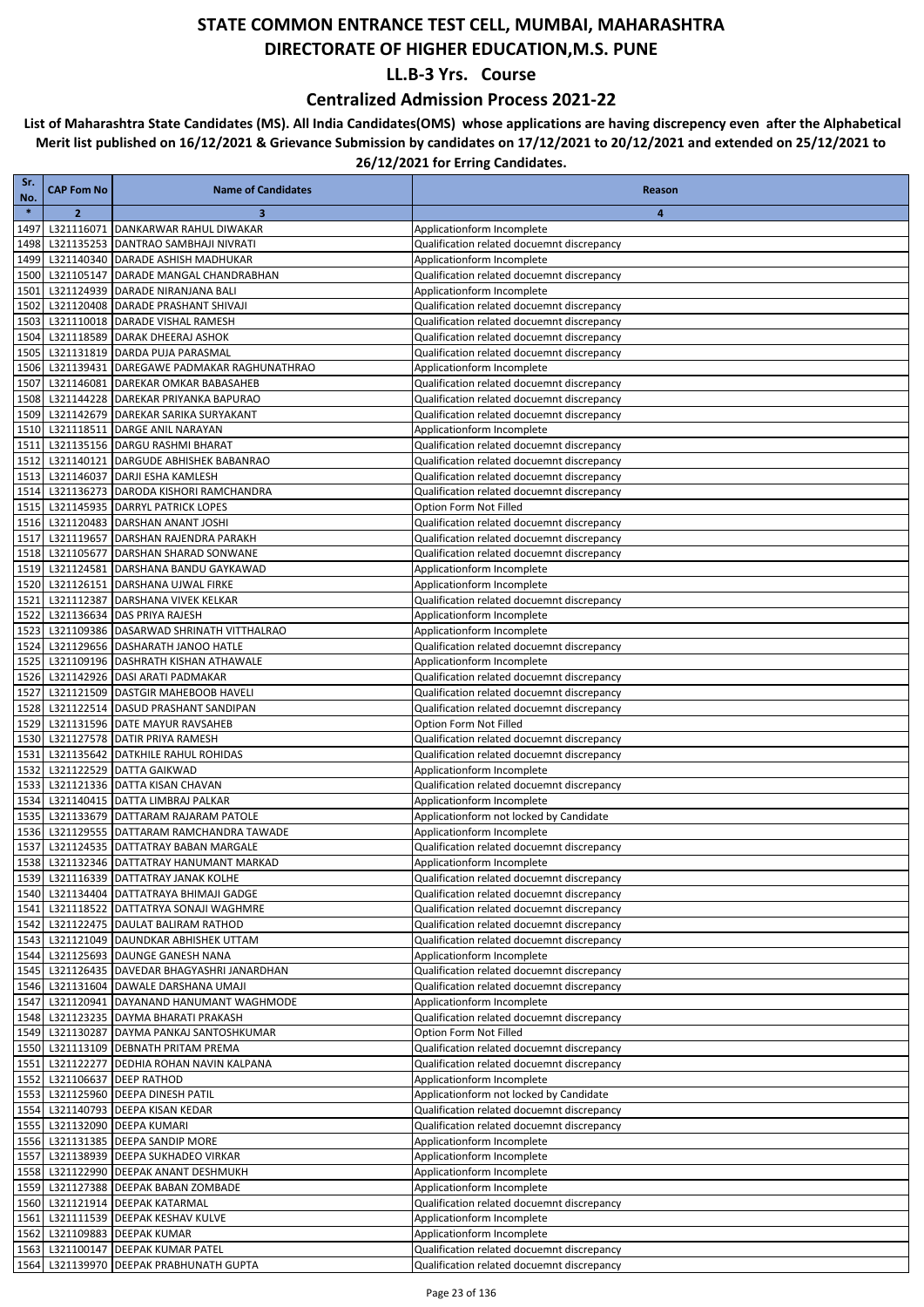### **Centralized Admission Process 2021-22**

| Sr.<br>No.   | <b>CAP Fom No</b> | <b>Name of Candidates</b>                                                          | Reason                                                                                   |
|--------------|-------------------|------------------------------------------------------------------------------------|------------------------------------------------------------------------------------------|
| $\ast$       | $\overline{2}$    | 3                                                                                  | 4                                                                                        |
| 1497         |                   | L321116071 DANKARWAR RAHUL DIWAKAR                                                 | Applicationform Incomplete                                                               |
| 1498         |                   | L321135253 DANTRAO SAMBHAJI NIVRATI                                                | Qualification related docuemnt discrepancy                                               |
| 1499         |                   | L321140340 DARADE ASHISH MADHUKAR                                                  | Applicationform Incomplete                                                               |
| 1500         |                   | L321105147 DARADE MANGAL CHANDRABHAN                                               | Qualification related docuemnt discrepancy                                               |
| 1501<br>1502 |                   | L321124939 DARADE NIRANJANA BALI<br>L321120408 DARADE PRASHANT SHIVAJI             | Applicationform Incomplete<br>Qualification related docuemnt discrepancy                 |
| 1503         |                   | L321110018 DARADE VISHAL RAMESH                                                    | Qualification related docuemnt discrepancy                                               |
| 1504         |                   | L321118589 DARAK DHEERAJ ASHOK                                                     | Qualification related docuemnt discrepancy                                               |
| 1505         |                   | L321131819 DARDA PUJA PARASMAL                                                     | Qualification related docuemnt discrepancy                                               |
| 1506         |                   | L321139431   DAREGAWE PADMAKAR RAGHUNATHRAO                                        | Applicationform Incomplete                                                               |
| 1507         |                   | L321146081 DAREKAR OMKAR BABASAHEB                                                 | Qualification related docuemnt discrepancy                                               |
| 1508         |                   | L321144228 DAREKAR PRIYANKA BAPURAO                                                | Qualification related docuemnt discrepancy                                               |
| 1509<br>1510 |                   | L321142679 DAREKAR SARIKA SURYAKANT<br>L321118511 DARGE ANIL NARAYAN               | Qualification related docuemnt discrepancy<br>Applicationform Incomplete                 |
| 1511         |                   | L321135156 DARGU RASHMI BHARAT                                                     | Qualification related docuemnt discrepancy                                               |
| 1512         |                   | L321140121 DARGUDE ABHISHEK BABANRAO                                               | Qualification related docuemnt discrepancy                                               |
| 1513         |                   | L321146037 DARJI ESHA KAMLESH                                                      | Qualification related docuemnt discrepancy                                               |
| 1514         |                   | L321136273 DARODA KISHORI RAMCHANDRA                                               | Qualification related docuemnt discrepancy                                               |
| 1515         |                   | L321145935 DARRYL PATRICK LOPES                                                    | Option Form Not Filled                                                                   |
| 1516         |                   | L321120483 DARSHAN ANANT JOSHI                                                     | Qualification related docuemnt discrepancy                                               |
| 1517         |                   | L321119657 DARSHAN RAJENDRA PARAKH                                                 | Qualification related docuemnt discrepancy                                               |
| 1518<br>1519 |                   | L321105677 DARSHAN SHARAD SONWANE<br>L321124581 DARSHANA BANDU GAYKAWAD            | Qualification related docuemnt discrepancy<br>Applicationform Incomplete                 |
| 1520         |                   | L321126151 DARSHANA UJWAL FIRKE                                                    | Applicationform Incomplete                                                               |
| 1521         |                   | L321112387 DARSHANA VIVEK KELKAR                                                   | Qualification related docuemnt discrepancy                                               |
| 1522         |                   | L321136634 DAS PRIYA RAJESH                                                        | Applicationform Incomplete                                                               |
| 1523         |                   | L321109386 DASARWAD SHRINATH VITTHALRAO                                            | Applicationform Incomplete                                                               |
| 1524         |                   | L321129656   DASHARATH JANOO HATLE                                                 | Qualification related docuemnt discrepancy                                               |
| 1525         |                   | L321109196 DASHRATH KISHAN ATHAWALE                                                | Applicationform Incomplete                                                               |
| 1526<br>1527 |                   | L321142926 DASI ARATI PADMAKAR<br>L321121509 DASTGIR MAHEBOOB HAVELI               | Qualification related docuemnt discrepancy<br>Qualification related docuemnt discrepancy |
| 1528         |                   | L321122514 DASUD PRASHANT SANDIPAN                                                 | Qualification related docuemnt discrepancy                                               |
| 1529         |                   | L321131596 DATE MAYUR RAVSAHEB                                                     | Option Form Not Filled                                                                   |
| 1530         |                   | L321127578 DATIR PRIYA RAMESH                                                      | Qualification related docuemnt discrepancy                                               |
| 1531         |                   | L321135642 DATKHILE RAHUL ROHIDAS                                                  | Qualification related docuemnt discrepancy                                               |
| 1532         |                   | L321122529 DATTA GAIKWAD                                                           | Applicationform Incomplete                                                               |
| 1533         |                   | L321121336 DATTA KISAN CHAVAN                                                      | Qualification related docuemnt discrepancy                                               |
| 1534<br>1535 |                   | L321140415 DATTA LIMBRAJ PALKAR<br>L321133679 DATTARAM RAJARAM PATOLE              | Applicationform Incomplete<br>Applicationform not locked by Candidate                    |
| 1536         |                   | L321129555 DATTARAM RAMCHANDRA TAWADE                                              | Applicationform Incomplete                                                               |
| 1537         |                   | L321124535 DATTATRAY BABAN MARGALE                                                 | Qualification related docuemnt discrepancy                                               |
| 1538         |                   | L321132346 DATTATRAY HANUMANT MARKAD                                               | Applicationform Incomplete                                                               |
|              |                   | 1539 L321116339 DATTATRAY JANAK KOLHE                                              | Qualification related docuemnt discrepancy                                               |
|              |                   | 1540 L321134404 DATTATRAYA BHIMAJI GADGE                                           | Qualification related docuemnt discrepancy                                               |
|              |                   | 1541 L321118522 DATTATRYA SONAJI WAGHMRE                                           | Qualification related docuemnt discrepancy                                               |
|              |                   | 1542 L321122475 DAULAT BALIRAM RATHOD<br>1543 L321121049 DAUNDKAR ABHISHEK UTTAM   | Qualification related docuemnt discrepancy<br>Qualification related docuemnt discrepancy |
|              |                   | 1544 L321125693 DAUNGE GANESH NANA                                                 | Applicationform Incomplete                                                               |
|              |                   | 1545 L321126435 DAVEDAR BHAGYASHRI JANARDHAN                                       | Qualification related docuemnt discrepancy                                               |
|              |                   | 1546 L321131604 DAWALE DARSHANA UMAJI                                              | Qualification related docuemnt discrepancy                                               |
|              |                   | 1547 L321120941 DAYANAND HANUMANT WAGHMODE                                         | Applicationform Incomplete                                                               |
|              |                   | 1548 L321123235 DAYMA BHARATI PRAKASH                                              | Qualification related docuemnt discrepancy                                               |
|              |                   | 1549 L321130287 DAYMA PANKAJ SANTOSHKUMAR                                          | Option Form Not Filled                                                                   |
|              |                   | 1550 L321113109 DEBNATH PRITAM PREMA<br>1551 L321122277 DEDHIA ROHAN NAVIN KALPANA | Qualification related docuemnt discrepancy<br>Qualification related docuemnt discrepancy |
|              |                   | 1552 L321106637 DEEP RATHOD                                                        | Applicationform Incomplete                                                               |
|              |                   | 1553 L321125960 DEEPA DINESH PATIL                                                 | Applicationform not locked by Candidate                                                  |
|              |                   | 1554 L321140793 DEEPA KISAN KEDAR                                                  | Qualification related docuemnt discrepancy                                               |
|              |                   | 1555 L321132090 DEEPA KUMARI                                                       | Qualification related docuemnt discrepancy                                               |
|              |                   | 1556 L321131385 DEEPA SANDIP MORE                                                  | Applicationform Incomplete                                                               |
|              |                   | 1557 L321138939 DEEPA SUKHADEO VIRKAR                                              | Applicationform Incomplete                                                               |
|              |                   | 1558 L321122990 DEEPAK ANANT DESHMUKH<br>1559 L321127388 DEEPAK BABAN ZOMBADE      | Applicationform Incomplete                                                               |
|              |                   | 1560 L321121914 DEEPAK KATARMAL                                                    | Applicationform Incomplete<br>Qualification related docuemnt discrepancy                 |
|              |                   | 1561 L321111539 DEEPAK KESHAV KULVE                                                | Applicationform Incomplete                                                               |
|              |                   | 1562 L321109883 DEEPAK KUMAR                                                       | Applicationform Incomplete                                                               |
|              |                   | 1563 L321100147 DEEPAK KUMAR PATEL                                                 | Qualification related docuemnt discrepancy                                               |
|              |                   | 1564 L321139970 DEEPAK PRABHUNATH GUPTA                                            | Qualification related docuemnt discrepancy                                               |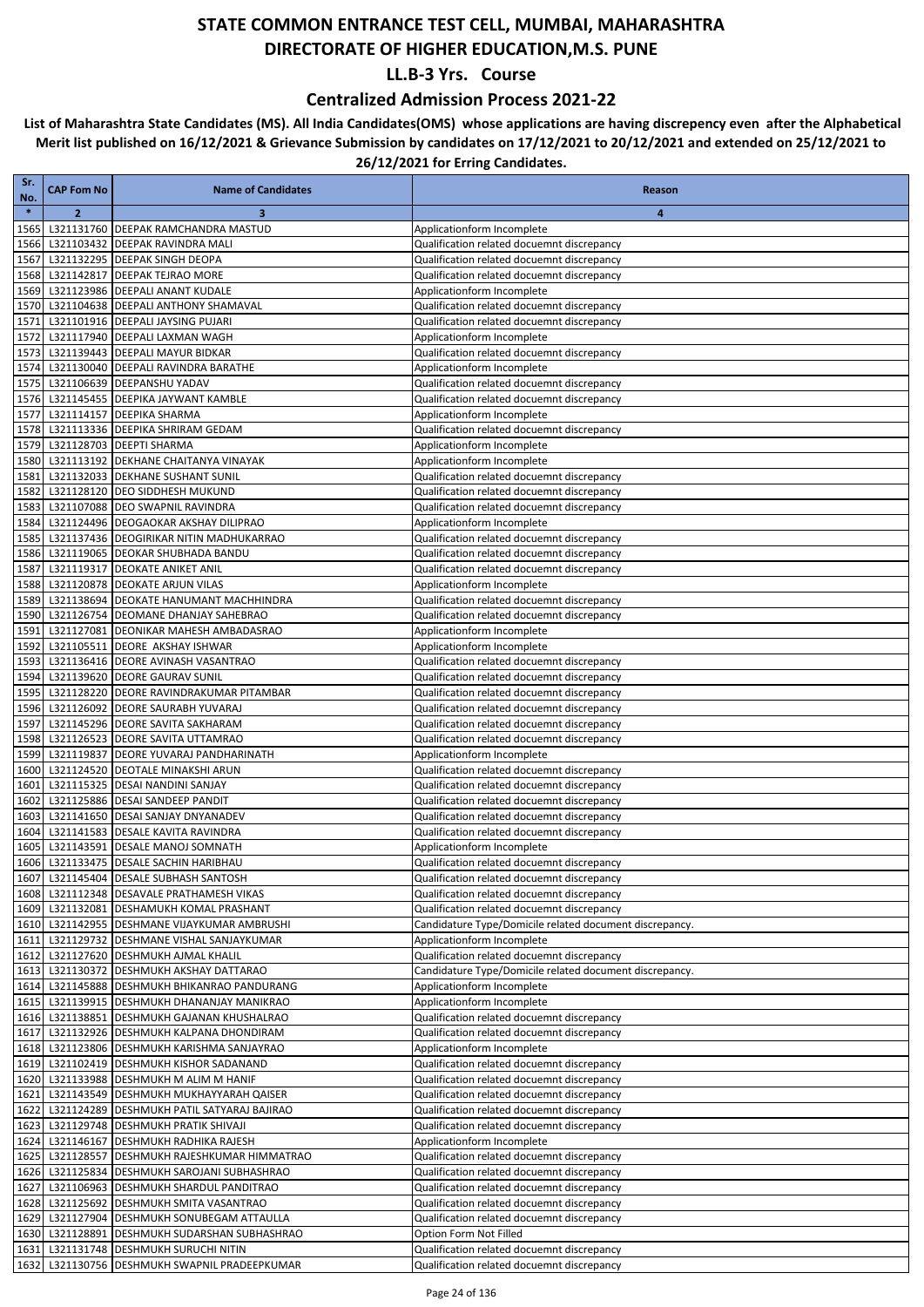### **Centralized Admission Process 2021-22**

| Sr.<br>No.   | <b>CAP Fom No</b> | <b>Name of Candidates</b>                                                               | Reason                                                                                   |
|--------------|-------------------|-----------------------------------------------------------------------------------------|------------------------------------------------------------------------------------------|
| $\ast$       | $\overline{2}$    | 3                                                                                       | 4                                                                                        |
| 1565         |                   | L321131760 DEEPAK RAMCHANDRA MASTUD                                                     | Applicationform Incomplete                                                               |
| 1566         |                   | L321103432 DEEPAK RAVINDRA MALI                                                         | Qualification related docuemnt discrepancy                                               |
| 1567         |                   | L321132295 DEEPAK SINGH DEOPA                                                           | Qualification related docuemnt discrepancy                                               |
| 1568         |                   | L321142817 DEEPAK TEJRAO MORE                                                           | Qualification related docuemnt discrepancy                                               |
| 1569<br>1570 |                   | L321123986 DEEPALI ANANT KUDALE<br>L321104638 DEEPALI ANTHONY SHAMAVAL                  | Applicationform Incomplete<br>Qualification related docuemnt discrepancy                 |
| 1571         |                   | L321101916 DEEPALI JAYSING PUJARI                                                       | Qualification related docuemnt discrepancy                                               |
| 1572         |                   | L321117940 DEEPALI LAXMAN WAGH                                                          | Applicationform Incomplete                                                               |
| 1573         |                   | L321139443 DEEPALI MAYUR BIDKAR                                                         | Qualification related docuemnt discrepancy                                               |
| 1574         |                   | L321130040 DEEPALI RAVINDRA BARATHE                                                     | Applicationform Incomplete                                                               |
| 1575         |                   | L321106639 DEEPANSHU YADAV                                                              | Qualification related docuemnt discrepancy                                               |
| 1576         |                   | L321145455   DEEPIKA JAYWANT KAMBLE                                                     | Qualification related docuemnt discrepancy                                               |
| 1577<br>1578 |                   | L321114157 DEEPIKA SHARMA                                                               | Applicationform Incomplete<br>Qualification related docuemnt discrepancy                 |
| 1579         |                   | L321113336   DEEPIKA SHRIRAM GEDAM<br>L321128703 DEEPTI SHARMA                          | Applicationform Incomplete                                                               |
| 1580         |                   | L321113192 DEKHANE CHAITANYA VINAYAK                                                    | Applicationform Incomplete                                                               |
| 1581         |                   | L321132033 DEKHANE SUSHANT SUNIL                                                        | Qualification related docuemnt discrepancy                                               |
| 1582         |                   | L321128120 DEO SIDDHESH MUKUND                                                          | Qualification related docuemnt discrepancy                                               |
| 1583         |                   | L321107088 DEO SWAPNIL RAVINDRA                                                         | Qualification related docuemnt discrepancy                                               |
| 1584         |                   | L321124496 DEOGAOKAR AKSHAY DILIPRAO                                                    | Applicationform Incomplete                                                               |
| 1585         |                   | L321137436 DEOGIRIKAR NITIN MADHUKARRAO                                                 | Qualification related docuemnt discrepancy                                               |
| 1586<br>1587 |                   | L321119065 DEOKAR SHUBHADA BANDU<br>L321119317 DEOKATE ANIKET ANIL                      | Qualification related docuemnt discrepancy<br>Qualification related docuemnt discrepancy |
| 1588         |                   | L321120878 DEOKATE ARJUN VILAS                                                          | Applicationform Incomplete                                                               |
| 1589         |                   | L321138694 DEOKATE HANUMANT MACHHINDRA                                                  | Qualification related docuemnt discrepancy                                               |
| 1590         |                   | L321126754 DEOMANE DHANJAY SAHEBRAO                                                     | Qualification related docuemnt discrepancy                                               |
| 1591         |                   | L321127081 DEONIKAR MAHESH AMBADASRAO                                                   | Applicationform Incomplete                                                               |
| 1592         |                   | L321105511 DEORE AKSHAY ISHWAR                                                          | Applicationform Incomplete                                                               |
| 1593         |                   | L321136416 DEORE AVINASH VASANTRAO                                                      | Qualification related docuemnt discrepancy                                               |
| 1594         |                   | L321139620 DEORE GAURAV SUNIL                                                           | Qualification related docuemnt discrepancy                                               |
| 1595<br>1596 |                   | L321128220 DEORE RAVINDRAKUMAR PITAMBAR<br>L321126092   DEORE SAURABH YUVARAJ           | Qualification related docuemnt discrepancy<br>Qualification related docuemnt discrepancy |
| 1597         |                   | L321145296 DEORE SAVITA SAKHARAM                                                        | Qualification related docuemnt discrepancy                                               |
| 1598         |                   | L321126523 DEORE SAVITA UTTAMRAO                                                        | Qualification related docuemnt discrepancy                                               |
| 1599         |                   | L321119837 DEORE YUVARAJ PANDHARINATH                                                   | Applicationform Incomplete                                                               |
| 1600         |                   | L321124520 DEOTALE MINAKSHI ARUN                                                        | Qualification related docuemnt discrepancy                                               |
| 1601         |                   | L321115325 DESAI NANDINI SANJAY                                                         | Qualification related docuemnt discrepancy                                               |
| 1602         |                   | L321125886 DESAI SANDEEP PANDIT                                                         | Qualification related docuemnt discrepancy                                               |
| 1603<br>1604 |                   | L321141650 DESAI SANJAY DNYANADEV<br>L321141583 DESALE KAVITA RAVINDRA                  | Qualification related docuemnt discrepancy<br>Qualification related docuemnt discrepancy |
| 1605         |                   | L321143591 DESALE MANOJ SOMNATH                                                         | Applicationform Incomplete                                                               |
| 1606         |                   | L321133475 DESALE SACHIN HARIBHAU                                                       | Qualification related docuemnt discrepancy                                               |
|              |                   | 1607 L321145404 DESALE SUBHASH SANTOSH                                                  | Qualification related docuemnt discrepancy                                               |
|              |                   | 1608 L321112348 DESAVALE PRATHAMESH VIKAS                                               | Qualification related docuemnt discrepancy                                               |
|              |                   | 1609 L321132081 DESHAMUKH KOMAL PRASHANT                                                | Qualification related docuemnt discrepancy                                               |
|              |                   | 1610 L321142955 DESHMANE VIJAYKUMAR AMBRUSHI                                            | Candidature Type/Domicile related document discrepancy.                                  |
| 1611<br>1612 |                   | L321129732 DESHMANE VISHAL SANJAYKUMAR<br>L321127620 DESHMUKH AJMAL KHALIL              | Applicationform Incomplete<br>Qualification related docuemnt discrepancy                 |
|              |                   | 1613 L321130372 DESHMUKH AKSHAY DATTARAO                                                | Candidature Type/Domicile related document discrepancy.                                  |
| 1614         |                   | L321145888 DESHMUKH BHIKANRAO PANDURANG                                                 | Applicationform Incomplete                                                               |
|              |                   | 1615 L321139915 DESHMUKH DHANANJAY MANIKRAO                                             | Applicationform Incomplete                                                               |
|              |                   | 1616 L321138851 DESHMUKH GAJANAN KHUSHALRAO                                             | Qualification related docuemnt discrepancy                                               |
| 1617         |                   | L321132926 DESHMUKH KALPANA DHONDIRAM                                                   | Qualification related docuemnt discrepancy                                               |
|              |                   | 1618 L321123806 DESHMUKH KARISHMA SANJAYRAO                                             | Applicationform Incomplete                                                               |
|              |                   | 1619 L321102419 DESHMUKH KISHOR SADANAND                                                | Qualification related docuemnt discrepancy<br>Qualification related docuemnt discrepancy |
| 1621         |                   | 1620 L321133988 DESHMUKH M ALIM M HANIF<br>L321143549   DESHMUKH MUKHAYYARAH QAISER     | Qualification related docuemnt discrepancy                                               |
| 1622         |                   | L321124289 DESHMUKH PATIL SATYARAJ BAJIRAO                                              | Qualification related docuemnt discrepancy                                               |
|              |                   | 1623 L321129748 DESHMUKH PRATIK SHIVAJI                                                 | Qualification related docuemnt discrepancy                                               |
|              |                   | 1624 L321146167 DESHMUKH RADHIKA RAJESH                                                 | Applicationform Incomplete                                                               |
|              |                   | 1625 L321128557 DESHMUKH RAJESHKUMAR HIMMATRAO                                          | Qualification related docuemnt discrepancy                                               |
|              |                   | 1626 L321125834 DESHMUKH SAROJANI SUBHASHRAO                                            | Qualification related docuemnt discrepancy                                               |
| 1627         |                   | L321106963 DESHMUKH SHARDUL PANDITRAO                                                   | Qualification related docuemnt discrepancy                                               |
|              |                   | 1628 L321125692 DESHMUKH SMITA VASANTRAO<br>1629 L321127904 DESHMUKH SONUBEGAM ATTAULLA | Qualification related docuemnt discrepancy<br>Qualification related docuemnt discrepancy |
|              |                   | 1630 L321128891 DESHMUKH SUDARSHAN SUBHASHRAO                                           | Option Form Not Filled                                                                   |
|              |                   | 1631 L321131748 DESHMUKH SURUCHI NITIN                                                  | Qualification related docuemnt discrepancy                                               |
|              |                   | 1632 L321130756 DESHMUKH SWAPNIL PRADEEPKUMAR                                           | Qualification related docuemnt discrepancy                                               |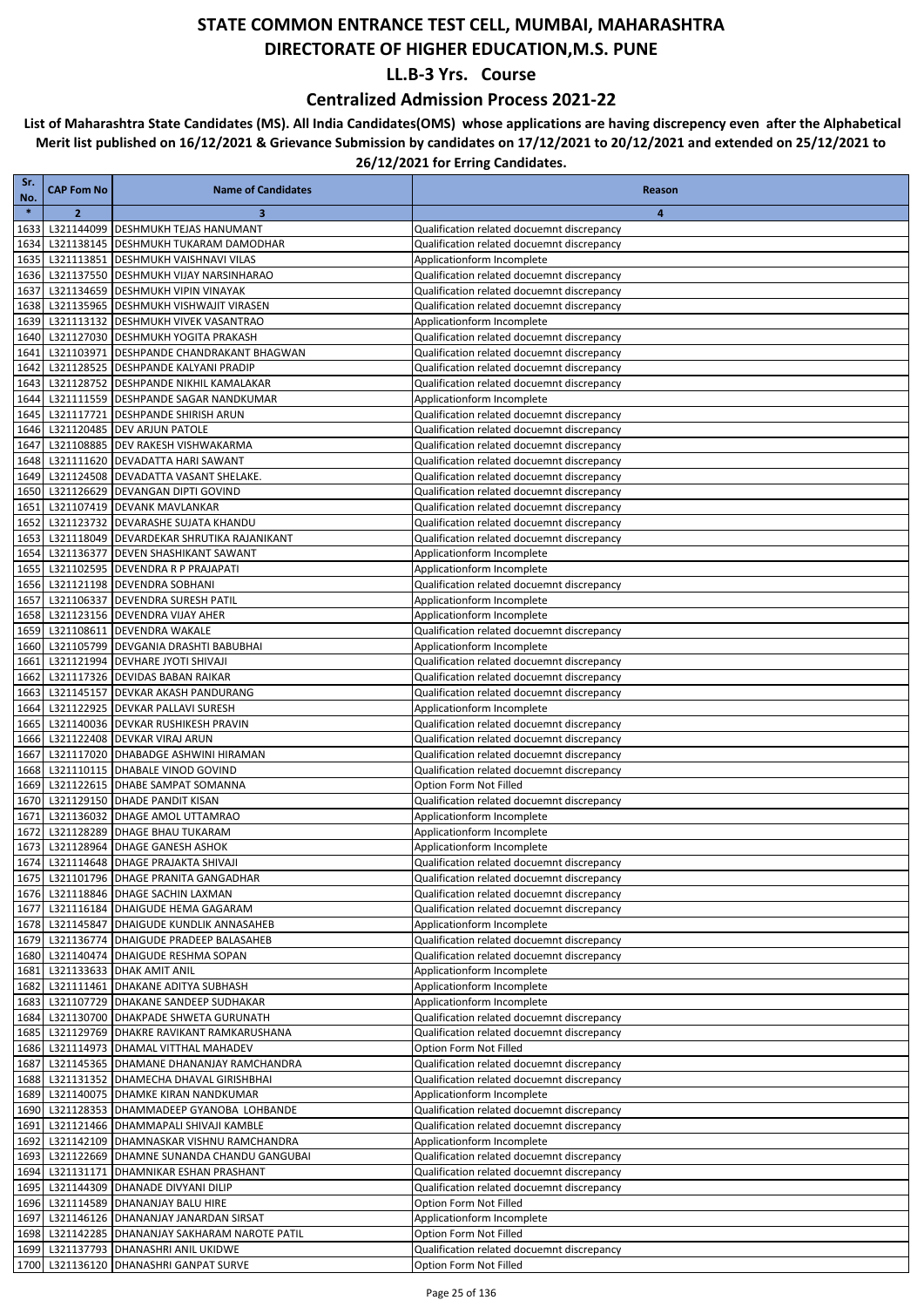### **Centralized Admission Process 2021-22**

| Sr.<br>No.   | <b>CAP Fom No</b> | <b>Name of Candidates</b>                                                              | Reason                                                                                   |
|--------------|-------------------|----------------------------------------------------------------------------------------|------------------------------------------------------------------------------------------|
| $\ast$       | $\overline{2}$    | 3                                                                                      | 4                                                                                        |
| 1633         |                   | L321144099   DESHMUKH TEJAS HANUMANT                                                   | Qualification related docuemnt discrepancy                                               |
| 1634         |                   | L321138145 DESHMUKH TUKARAM DAMODHAR                                                   | Qualification related docuemnt discrepancy                                               |
| 1635         |                   | L321113851 DESHMUKH VAISHNAVI VILAS                                                    | Applicationform Incomplete                                                               |
| 1636         |                   | L321137550 DESHMUKH VIJAY NARSINHARAO                                                  | Qualification related docuemnt discrepancy                                               |
| 1637         |                   | L321134659 DESHMUKH VIPIN VINAYAK                                                      | Qualification related docuemnt discrepancy                                               |
| 1638         |                   | L321135965 DESHMUKH VISHWAJIT VIRASEN                                                  | Qualification related docuemnt discrepancy                                               |
| 1639         |                   | L321113132 DESHMUKH VIVEK VASANTRAO                                                    | Applicationform Incomplete                                                               |
| 1640<br>1641 |                   | L321127030 DESHMUKH YOGITA PRAKASH<br>L321103971 DESHPANDE CHANDRAKANT BHAGWAN         | Qualification related docuemnt discrepancy<br>Qualification related docuemnt discrepancy |
| 1642         |                   | L321128525 DESHPANDE KALYANI PRADIP                                                    | Qualification related docuemnt discrepancy                                               |
| 1643         |                   | L321128752 DESHPANDE NIKHIL KAMALAKAR                                                  | Qualification related docuemnt discrepancy                                               |
| 1644         |                   | L321111559 DESHPANDE SAGAR NANDKUMAR                                                   | Applicationform Incomplete                                                               |
| 1645         |                   | L321117721 DESHPANDE SHIRISH ARUN                                                      | Qualification related docuemnt discrepancy                                               |
| 1646         |                   | L321120485 DEV ARJUN PATOLE                                                            | Qualification related docuemnt discrepancy                                               |
| 1647         |                   | L321108885 DEV RAKESH VISHWAKARMA                                                      | Qualification related docuemnt discrepancy                                               |
| 1648         |                   | L321111620 DEVADATTA HARI SAWANT                                                       | Qualification related docuemnt discrepancy                                               |
| 1649         |                   | L321124508 DEVADATTA VASANT SHELAKE.                                                   | Qualification related docuemnt discrepancy                                               |
|              |                   | 1650 L321126629 DEVANGAN DIPTI GOVIND                                                  | Qualification related docuemnt discrepancy                                               |
| 1651         |                   | L321107419 DEVANK MAVLANKAR                                                            | Qualification related docuemnt discrepancy                                               |
| 1652         |                   | L321123732 DEVARASHE SUJATA KHANDU                                                     | Qualification related docuemnt discrepancy                                               |
| 1653         |                   | L321118049 DEVARDEKAR SHRUTIKA RAJANIKANT                                              | Qualification related docuemnt discrepancy                                               |
| 1654         |                   | L321136377 DEVEN SHASHIKANT SAWANT                                                     | Applicationform Incomplete                                                               |
| 1655         |                   | L321102595 DEVENDRA R P PRAJAPATI                                                      | Applicationform Incomplete                                                               |
| 1656         |                   | L321121198 DEVENDRA SOBHANI                                                            | Qualification related docuemnt discrepancy                                               |
| 1657<br>1658 |                   | L321106337 DEVENDRA SURESH PATIL<br>L321123156 DEVENDRA VIJAY AHER                     | Applicationform Incomplete<br>Applicationform Incomplete                                 |
| 1659         |                   | L321108611 DEVENDRA WAKALE                                                             | Qualification related docuemnt discrepancy                                               |
| 1660         |                   | L321105799 DEVGANIA DRASHTI BABUBHAI                                                   | Applicationform Incomplete                                                               |
| 1661         |                   | L321121994 DEVHARE JYOTI SHIVAJI                                                       | Qualification related docuemnt discrepancy                                               |
| 1662         |                   | L321117326 DEVIDAS BABAN RAIKAR                                                        | Qualification related docuemnt discrepancy                                               |
| 1663         |                   | L321145157 DEVKAR AKASH PANDURANG                                                      | Qualification related docuemnt discrepancy                                               |
| 1664         |                   | L321122925   DEVKAR PALLAVI SURESH                                                     | Applicationform Incomplete                                                               |
| 1665         |                   | L321140036 DEVKAR RUSHIKESH PRAVIN                                                     | Qualification related docuemnt discrepancy                                               |
| 1666         |                   | L321122408 DEVKAR VIRAJ ARUN                                                           | Qualification related docuemnt discrepancy                                               |
| 1667         |                   | L321117020 DHABADGE ASHWINI HIRAMAN                                                    | Qualification related docuemnt discrepancy                                               |
| 1668         |                   | L321110115 DHABALE VINOD GOVIND                                                        | Qualification related docuemnt discrepancy                                               |
| 1669         |                   | L321122615 DHABE SAMPAT SOMANNA                                                        | Option Form Not Filled                                                                   |
| 1670         |                   | L321129150 DHADE PANDIT KISAN                                                          | Qualification related docuemnt discrepancy                                               |
| 1671         |                   | L321136032 DHAGE AMOL UTTAMRAO<br>L321128289 DHAGE BHAU TUKARAM                        | Applicationform Incomplete<br>Applicationform Incomplete                                 |
| 1672<br>1673 |                   | L321128964 DHAGE GANESH ASHOK                                                          | Applicationform Incomplete                                                               |
| 1674         |                   | L321114648 DHAGE PRAJAKTA SHIVAJI                                                      | Qualification related docuemnt discrepancy                                               |
|              |                   | 1675 L321101796 DHAGE PRANITA GANGADHAR                                                | Qualification related docuemnt discrepancy                                               |
|              |                   | 1676 L321118846 DHAGE SACHIN LAXMAN                                                    | Qualification related docuemnt discrepancy                                               |
|              |                   | 1677 L321116184 DHAIGUDE HEMA GAGARAM                                                  | Qualification related docuemnt discrepancy                                               |
|              |                   | 1678 L321145847 DHAIGUDE KUNDLIK ANNASAHEB                                             | Applicationform Incomplete                                                               |
|              |                   | 1679 L321136774 DHAIGUDE PRADEEP BALASAHEB                                             | Qualification related docuemnt discrepancy                                               |
|              |                   | 1680 L321140474 DHAIGUDE RESHMA SOPAN                                                  | Qualification related docuemnt discrepancy                                               |
|              |                   | 1681 L321133633 DHAK AMIT ANIL                                                         | Applicationform Incomplete                                                               |
| 1682         |                   | L321111461 DHAKANE ADITYA SUBHASH                                                      | Applicationform Incomplete                                                               |
|              |                   | 1683 L321107729 DHAKANE SANDEEP SUDHAKAR                                               | Applicationform Incomplete                                                               |
|              |                   | 1684 L321130700 DHAKPADE SHWETA GURUNATH                                               | Qualification related docuemnt discrepancy                                               |
| 1685         |                   | L321129769 DHAKRE RAVIKANT RAMKARUSHANA                                                | Qualification related docuemnt discrepancy<br>Option Form Not Filled                     |
|              |                   | 1686 L321114973 DHAMAL VITTHAL MAHADEV<br>1687 L321145365 DHAMANE DHANANJAY RAMCHANDRA | Qualification related docuemnt discrepancy                                               |
|              |                   | 1688 L321131352 DHAMECHA DHAVAL GIRISHBHAI                                             | Qualification related docuemnt discrepancy                                               |
|              |                   | 1689 L321140075 DHAMKE KIRAN NANDKUMAR                                                 | Applicationform Incomplete                                                               |
|              |                   | 1690 L321128353 DHAMMADEEP GYANOBA LOHBANDE                                            | Qualification related docuemnt discrepancy                                               |
| 1691         |                   | L321121466   DHAMMAPALI SHIVAJI KAMBLE                                                 | Qualification related docuemnt discrepancy                                               |
| 1692         |                   | L321142109   DHAMNASKAR VISHNU RAMCHANDRA                                              | Applicationform Incomplete                                                               |
|              |                   | 1693 L321122669 DHAMNE SUNANDA CHANDU GANGUBAI                                         | Qualification related docuemnt discrepancy                                               |
|              |                   | 1694 L321131171 DHAMNIKAR ESHAN PRASHANT                                               | Qualification related docuemnt discrepancy                                               |
|              |                   | 1695 L321144309 DHANADE DIVYANI DILIP                                                  | Qualification related docuemnt discrepancy                                               |
|              |                   | 1696 L321114589 DHANANJAY BALU HIRE                                                    | Option Form Not Filled                                                                   |
|              |                   | 1697 L321146126 DHANANJAY JANARDAN SIRSAT                                              | Applicationform Incomplete                                                               |
|              |                   | 1698 L321142285 DHANANJAY SAKHARAM NAROTE PATIL                                        | Option Form Not Filled                                                                   |
|              |                   | 1699 L321137793 DHANASHRI ANIL UKIDWE                                                  | Qualification related docuemnt discrepancy                                               |
|              |                   | 1700 L321136120 DHANASHRI GANPAT SURVE                                                 | Option Form Not Filled                                                                   |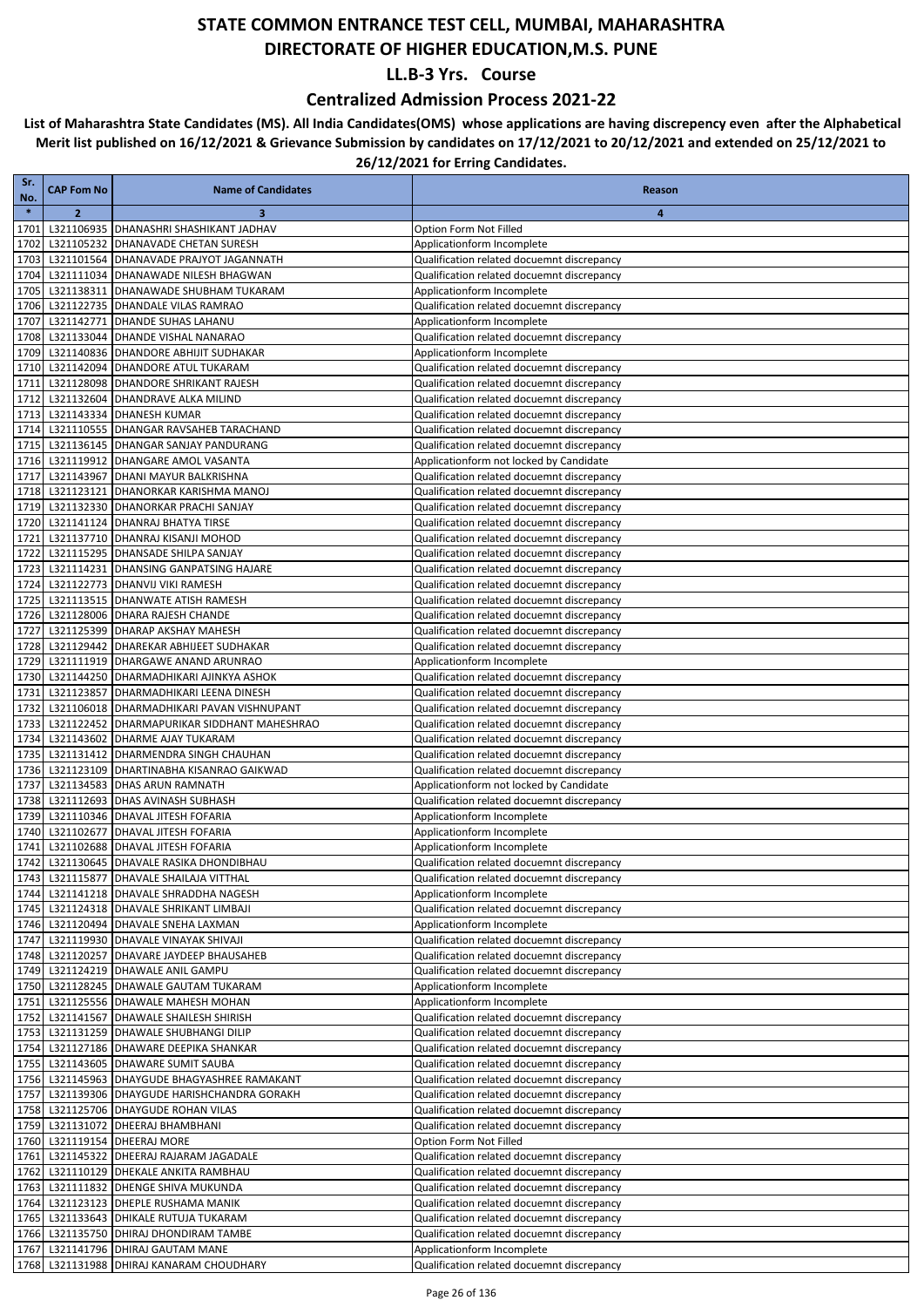### **Centralized Admission Process 2021-22**

| Sr.<br>No.   | <b>CAP Fom No</b> | <b>Name of Candidates</b>                                                           | Reason                                                                                   |
|--------------|-------------------|-------------------------------------------------------------------------------------|------------------------------------------------------------------------------------------|
| $\ast$       | $\overline{2}$    | 3                                                                                   | 4                                                                                        |
| 1701         |                   | L321106935   DHANASHRI SHASHIKANT JADHAV                                            | Option Form Not Filled                                                                   |
| 1702         |                   | L321105232 DHANAVADE CHETAN SURESH                                                  | Applicationform Incomplete                                                               |
| 1703         |                   | L321101564 DHANAVADE PRAJYOT JAGANNATH                                              | Qualification related docuemnt discrepancy                                               |
| 1704         |                   | L321111034 DHANAWADE NILESH BHAGWAN                                                 | Qualification related docuemnt discrepancy                                               |
| 1705<br>1706 |                   | L321138311   DHANAWADE SHUBHAM TUKARAM<br>L321122735 DHANDALE VILAS RAMRAO          | Applicationform Incomplete<br>Qualification related docuemnt discrepancy                 |
| 1707         |                   | L321142771 DHANDE SUHAS LAHANU                                                      | Applicationform Incomplete                                                               |
| 1708         |                   | L321133044 DHANDE VISHAL NANARAO                                                    | Qualification related docuemnt discrepancy                                               |
| 1709         |                   | L321140836 DHANDORE ABHIJIT SUDHAKAR                                                | Applicationform Incomplete                                                               |
| 1710         |                   | L321142094   DHANDORE ATUL TUKARAM                                                  | Qualification related docuemnt discrepancy                                               |
| 1711         |                   | L321128098   DHANDORE SHRIKANT RAJESH                                               | Qualification related docuemnt discrepancy                                               |
| 1712         |                   | L321132604 DHANDRAVE ALKA MILIND                                                    | Qualification related docuemnt discrepancy                                               |
| 1713<br>1714 |                   | L321143334 DHANESH KUMAR<br>L321110555 DHANGAR RAVSAHEB TARACHAND                   | Qualification related docuemnt discrepancy<br>Qualification related docuemnt discrepancy |
| 1715         |                   | L321136145   DHANGAR SANJAY PANDURANG                                               | Qualification related docuemnt discrepancy                                               |
| 1716         |                   | L321119912   DHANGARE AMOL VASANTA                                                  | Applicationform not locked by Candidate                                                  |
| 1717         |                   | L321143967 DHANI MAYUR BALKRISHNA                                                   | Qualification related docuemnt discrepancy                                               |
| 1718         |                   | L321123121 DHANORKAR KARISHMA MANOJ                                                 | Qualification related docuemnt discrepancy                                               |
| 1719         |                   | L321132330 DHANORKAR PRACHI SANJAY                                                  | Qualification related docuemnt discrepancy                                               |
| 1720         |                   | L321141124 DHANRAJ BHATYA TIRSE                                                     | Qualification related docuemnt discrepancy                                               |
| 1721<br>1722 |                   | L321137710   DHANRAJ KISANJI MOHOD<br>L321115295 DHANSADE SHILPA SANJAY             | Qualification related docuemnt discrepancy<br>Qualification related docuemnt discrepancy |
| 1723         |                   | L321114231 DHANSING GANPATSING HAJARE                                               | Qualification related docuemnt discrepancy                                               |
| 1724         |                   | L321122773   DHANVIJ VIKI RAMESH                                                    | Qualification related docuemnt discrepancy                                               |
| 1725         |                   | L321113515   DHANWATE ATISH RAMESH                                                  | Qualification related docuemnt discrepancy                                               |
| 1726         |                   | L321128006 DHARA RAJESH CHANDE                                                      | Qualification related docuemnt discrepancy                                               |
| 1727         |                   | L321125399   DHARAP AKSHAY MAHESH                                                   | Qualification related docuemnt discrepancy                                               |
| 1728<br>1729 |                   | L321129442   DHAREKAR ABHIJEET SUDHAKAR<br>L321111919 DHARGAWE ANAND ARUNRAO        | Qualification related docuemnt discrepancy<br>Applicationform Incomplete                 |
| 1730         |                   | L321144250   DHARMADHIKARI AJINKYA ASHOK                                            | Qualification related docuemnt discrepancy                                               |
| 1731         |                   | L321123857   DHARMADHIKARI LEENA DINESH                                             | Qualification related docuemnt discrepancy                                               |
| 1732         |                   | L321106018 DHARMADHIKARI PAVAN VISHNUPANT                                           | Qualification related docuemnt discrepancy                                               |
| 1733         |                   | L321122452   DHARMAPURIKAR SIDDHANT MAHESHRAO                                       | Qualification related docuemnt discrepancy                                               |
| 1734         |                   | L321143602 DHARME AJAY TUKARAM                                                      | Qualification related docuemnt discrepancy                                               |
| 1735         |                   | L321131412   DHARMENDRA SINGH CHAUHAN                                               | Qualification related docuemnt discrepancy                                               |
| 1736<br>1737 |                   | L321123109   DHARTINABHA KISANRAO GAIKWAD<br>L321134583 DHAS ARUN RAMNATH           | Qualification related docuemnt discrepancy<br>Applicationform not locked by Candidate    |
| 1738         |                   | L321112693 DHAS AVINASH SUBHASH                                                     | Qualification related docuemnt discrepancy                                               |
| 1739         |                   | L321110346 DHAVAL JITESH FOFARIA                                                    | Applicationform Incomplete                                                               |
| 1740         |                   | L321102677   DHAVAL JITESH FOFARIA                                                  | Applicationform Incomplete                                                               |
| 1741         |                   | L321102688 DHAVAL JITESH FOFARIA                                                    | Applicationform Incomplete                                                               |
| 1742         |                   | L321130645 DHAVALE RASIKA DHONDIBHAU                                                | Qualification related docuemnt discrepancy                                               |
|              |                   | 1743 L321115877 DHAVALE SHAILAJA VITTHAL<br>1744 L321141218 DHAVALE SHRADDHA NAGESH | Qualification related docuemnt discrepancy<br>Applicationform Incomplete                 |
|              |                   | 1745 L321124318 DHAVALE SHRIKANT LIMBAJI                                            | Qualification related docuemnt discrepancy                                               |
|              |                   | 1746 L321120494 DHAVALE SNEHA LAXMAN                                                | Applicationform Incomplete                                                               |
| 1747         |                   | L321119930 DHAVALE VINAYAK SHIVAJI                                                  | Qualification related docuemnt discrepancy                                               |
| 1748         |                   | L321120257 DHAVARE JAYDEEP BHAUSAHEB                                                | Qualification related docuemnt discrepancy                                               |
|              |                   | 1749 L321124219 DHAWALE ANIL GAMPU                                                  | Qualification related docuemnt discrepancy                                               |
|              |                   | 1750 L321128245 DHAWALE GAUTAM TUKARAM                                              | Applicationform Incomplete                                                               |
| 1751         |                   | L321125556 DHAWALE MAHESH MOHAN<br>1752 L321141567 DHAWALE SHAILESH SHIRISH         | Applicationform Incomplete<br>Qualification related docuemnt discrepancy                 |
| 1753         |                   | L321131259 DHAWALE SHUBHANGI DILIP                                                  | Qualification related docuemnt discrepancy                                               |
|              |                   | 1754 L321127186 DHAWARE DEEPIKA SHANKAR                                             | Qualification related docuemnt discrepancy                                               |
| 1755         |                   | L321143605 DHAWARE SUMIT SAUBA                                                      | Qualification related docuemnt discrepancy                                               |
|              |                   | 1756 L321145963 DHAYGUDE BHAGYASHREE RAMAKANT                                       | Qualification related docuemnt discrepancy                                               |
| 1757         |                   | L321139306 DHAYGUDE HARISHCHANDRA GORAKH                                            | Qualification related docuemnt discrepancy                                               |
|              |                   | 1758 L321125706 DHAYGUDE ROHAN VILAS                                                | Qualification related docuemnt discrepancy                                               |
|              |                   | 1759 L321131072 DHEERAJ BHAMBHANI<br>1760 L321119154 DHEERAJ MORE                   | Qualification related docuemnt discrepancy<br>Option Form Not Filled                     |
|              |                   | 1761 L321145322 DHEERAJ RAJARAM JAGADALE                                            | Qualification related docuemnt discrepancy                                               |
|              |                   | 1762 L321110129 DHEKALE ANKITA RAMBHAU                                              | Qualification related docuemnt discrepancy                                               |
|              |                   | 1763 L321111832 DHENGE SHIVA MUKUNDA                                                | Qualification related docuemnt discrepancy                                               |
|              |                   | 1764 L321123123 DHEPLE RUSHAMA MANIK                                                | Qualification related docuemnt discrepancy                                               |
|              |                   | 1765 L321133643 DHIKALE RUTUJA TUKARAM                                              | Qualification related docuemnt discrepancy                                               |
|              |                   | 1766 L321135750 DHIRAJ DHONDIRAM TAMBE<br>1767 L321141796 DHIRAJ GAUTAM MANE        | Qualification related docuemnt discrepancy<br>Applicationform Incomplete                 |
|              |                   | 1768 L321131988 DHIRAJ KANARAM CHOUDHARY                                            | Qualification related docuemnt discrepancy                                               |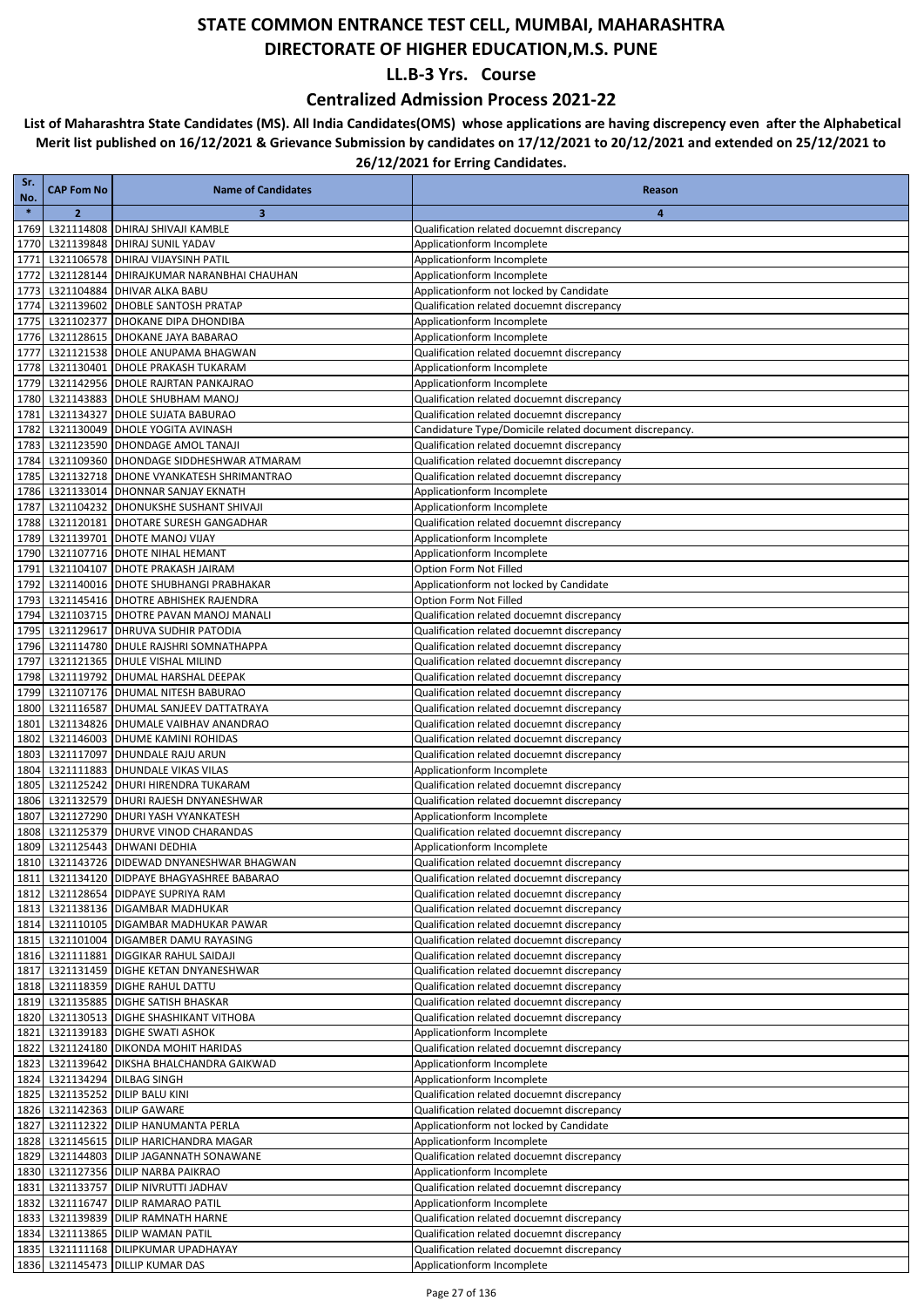### **Centralized Admission Process 2021-22**

| Sr.<br>No.   | <b>CAP Fom No</b> | <b>Name of Candidates</b>                                                | Reason                                                                                   |
|--------------|-------------------|--------------------------------------------------------------------------|------------------------------------------------------------------------------------------|
| $\ast$       | $\overline{2}$    | 3                                                                        | 4                                                                                        |
| 1769         |                   | L321114808 DHIRAJ SHIVAJI KAMBLE                                         | Qualification related docuemnt discrepancy                                               |
| 1770         |                   | L321139848   DHIRAJ SUNIL YADAV                                          | Applicationform Incomplete                                                               |
| 1771         |                   | L321106578 DHIRAJ VIJAYSINH PATIL                                        | Applicationform Incomplete                                                               |
| 1772         |                   | L321128144 DHIRAJKUMAR NARANBHAI CHAUHAN                                 | Applicationform Incomplete                                                               |
| 1773         |                   | L321104884 DHIVAR ALKA BABU                                              | Applicationform not locked by Candidate                                                  |
| 1774         |                   | L321139602 DHOBLE SANTOSH PRATAP                                         | Qualification related docuemnt discrepancy                                               |
| 1775         |                   | L321102377   DHOKANE DIPA DHONDIBA                                       | Applicationform Incomplete                                                               |
| 1776         |                   | L321128615 DHOKANE JAYA BABARAO                                          | Applicationform Incomplete                                                               |
| 1777         |                   | L321121538 DHOLE ANUPAMA BHAGWAN                                         | Qualification related docuemnt discrepancy                                               |
| 1778         |                   | L321130401 DHOLE PRAKASH TUKARAM                                         | Applicationform Incomplete                                                               |
| 1779         |                   | L321142956 DHOLE RAJRTAN PANKAJRAO                                       | Applicationform Incomplete                                                               |
| 1780         |                   | L321143883 DHOLE SHUBHAM MANOJ                                           | Qualification related docuemnt discrepancy                                               |
| 1781         |                   | L321134327 DHOLE SUJATA BABURAO                                          | Qualification related docuemnt discrepancy                                               |
| 1782<br>1783 |                   | L321130049 DHOLE YOGITA AVINASH<br>L321123590 DHONDAGE AMOL TANAJI       | Candidature Type/Domicile related document discrepancy.                                  |
| 1784         |                   | L321109360 DHONDAGE SIDDHESHWAR ATMARAM                                  | Qualification related docuemnt discrepancy<br>Qualification related docuemnt discrepancy |
| 1785         |                   | L321132718 DHONE VYANKATESH SHRIMANTRAO                                  | Qualification related docuemnt discrepancy                                               |
| 1786         |                   | L321133014 DHONNAR SANJAY EKNATH                                         | Applicationform Incomplete                                                               |
| 1787         |                   | L321104232 DHONUKSHE SUSHANT SHIVAJI                                     | Applicationform Incomplete                                                               |
| 1788         |                   | L321120181   DHOTARE SURESH GANGADHAR                                    | Qualification related docuemnt discrepancy                                               |
| 1789         |                   | L321139701 DHOTE MANOJ VIJAY                                             | Applicationform Incomplete                                                               |
| 1790         |                   | L321107716 DHOTE NIHAL HEMANT                                            | Applicationform Incomplete                                                               |
| 1791         |                   | L321104107 DHOTE PRAKASH JAIRAM                                          | Option Form Not Filled                                                                   |
| 1792         |                   | L321140016   DHOTE SHUBHANGI PRABHAKAR                                   | Applicationform not locked by Candidate                                                  |
| 1793         |                   | L321145416 DHOTRE ABHISHEK RAJENDRA                                      | Option Form Not Filled                                                                   |
| 1794         |                   | L321103715 DHOTRE PAVAN MANOJ MANALI                                     | Qualification related docuemnt discrepancy                                               |
| 1795         |                   | L321129617 DHRUVA SUDHIR PATODIA                                         | Qualification related docuemnt discrepancy                                               |
| 1796         |                   | L321114780 DHULE RAJSHRI SOMNATHAPPA                                     | Qualification related docuemnt discrepancy                                               |
| 1797         |                   | L321121365 DHULE VISHAL MILIND                                           | Qualification related docuemnt discrepancy                                               |
| 1798         |                   | L321119792   DHUMAL HARSHAL DEEPAK                                       | Qualification related docuemnt discrepancy                                               |
| 1799         |                   | L321107176 DHUMAL NITESH BABURAO                                         | Qualification related docuemnt discrepancy                                               |
| 1800         |                   | L321116587 DHUMAL SANJEEV DATTATRAYA                                     | Qualification related docuemnt discrepancy                                               |
| 1801         |                   | L321134826 DHUMALE VAIBHAV ANANDRAO                                      | Qualification related docuemnt discrepancy                                               |
| 1802         |                   | L321146003 DHUME KAMINI ROHIDAS                                          | Qualification related docuemnt discrepancy                                               |
| 1803         |                   | L321117097 DHUNDALE RAJU ARUN                                            | Qualification related docuemnt discrepancy                                               |
| 1804         |                   | L321111883 DHUNDALE VIKAS VILAS                                          | Applicationform Incomplete                                                               |
| 1805         |                   | L321125242   DHURI HIRENDRA TUKARAM                                      | Qualification related docuemnt discrepancy                                               |
| 1806         |                   | L321132579 DHURI RAJESH DNYANESHWAR                                      | Qualification related docuemnt discrepancy                                               |
| 1807         |                   | L321127290 DHURI YASH VYANKATESH                                         | Applicationform Incomplete                                                               |
| 1808         |                   | L321125379 DHURVE VINOD CHARANDAS<br>L321125443 DHWANI DEDHIA            | Qualification related docuemnt discrepancy                                               |
| 1809         |                   | L321143726 DIDEWAD DNYANESHWAR BHAGWAN                                   | Applicationform Incomplete                                                               |
| 1810         |                   | 1811 L321134120 DIDPAYE BHAGYASHREE BABARAO                              | Qualification related docuemnt discrepancy                                               |
|              |                   |                                                                          | Qualification related docuemnt discrepancy<br>Qualification related docuemnt discrepancy |
|              |                   | 1812 L321128654 DIDPAYE SUPRIYA RAM<br>1813 L321138136 DIGAMBAR MADHUKAR | Qualification related docuemnt discrepancy                                               |
|              |                   | 1814 L321110105 DIGAMBAR MADHUKAR PAWAR                                  | Qualification related docuemnt discrepancy                                               |
|              |                   | 1815 L321101004 DIGAMBER DAMU RAYASING                                   | Qualification related docuemnt discrepancy                                               |
|              |                   | 1816 L321111881 DIGGIKAR RAHUL SAIDAJI                                   | Qualification related docuemnt discrepancy                                               |
|              |                   | 1817 L321131459 DIGHE KETAN DNYANESHWAR                                  | Qualification related docuemnt discrepancy                                               |
|              |                   | 1818 L321118359 DIGHE RAHUL DATTU                                        | Qualification related docuemnt discrepancy                                               |
|              |                   | 1819 L321135885 DIGHE SATISH BHASKAR                                     | Qualification related docuemnt discrepancy                                               |
|              |                   | 1820 L321130513 DIGHE SHASHIKANT VITHOBA                                 | Qualification related docuemnt discrepancy                                               |
|              |                   | 1821 L321139183 DIGHE SWATI ASHOK                                        | Applicationform Incomplete                                                               |
| 1822         |                   | L321124180 DIKONDA MOHIT HARIDAS                                         | Qualification related docuemnt discrepancy                                               |
|              |                   | 1823 L321139642 DIKSHA BHALCHANDRA GAIKWAD                               | Applicationform Incomplete                                                               |
|              |                   | 1824 L321134294 DILBAG SINGH                                             | Applicationform Incomplete                                                               |
| 1825         |                   | L321135252 DILIP BALU KINI                                               | Qualification related docuemnt discrepancy                                               |
|              |                   | 1826 L321142363 DILIP GAWARE                                             | Qualification related docuemnt discrepancy                                               |
|              |                   | 1827 L321112322 DILIP HANUMANTA PERLA                                    | Applicationform not locked by Candidate                                                  |
|              |                   | 1828 L321145615 DILIP HARICHANDRA MAGAR                                  | Applicationform Incomplete                                                               |
|              |                   | 1829 L321144803 DILIP JAGANNATH SONAWANE                                 | Qualification related docuemnt discrepancy                                               |
|              |                   | 1830 L321127356 DILIP NARBA PAIKRAO                                      | Applicationform Incomplete                                                               |
|              |                   | 1831 L321133757 DILIP NIVRUTTI JADHAV                                    | Qualification related docuemnt discrepancy                                               |
|              |                   | 1832 L321116747 DILIP RAMARAO PATIL                                      | Applicationform Incomplete                                                               |
|              |                   | 1833 L321139839 DILIP RAMNATH HARNE                                      | Qualification related docuemnt discrepancy                                               |
|              |                   | 1834 L321113865 DILIP WAMAN PATIL                                        | Qualification related docuemnt discrepancy                                               |
|              |                   | 1835 L321111168 DILIPKUMAR UPADHAYAY                                     | Qualification related docuemnt discrepancy                                               |
|              |                   | 1836 L321145473 DILLIP KUMAR DAS                                         | Applicationform Incomplete                                                               |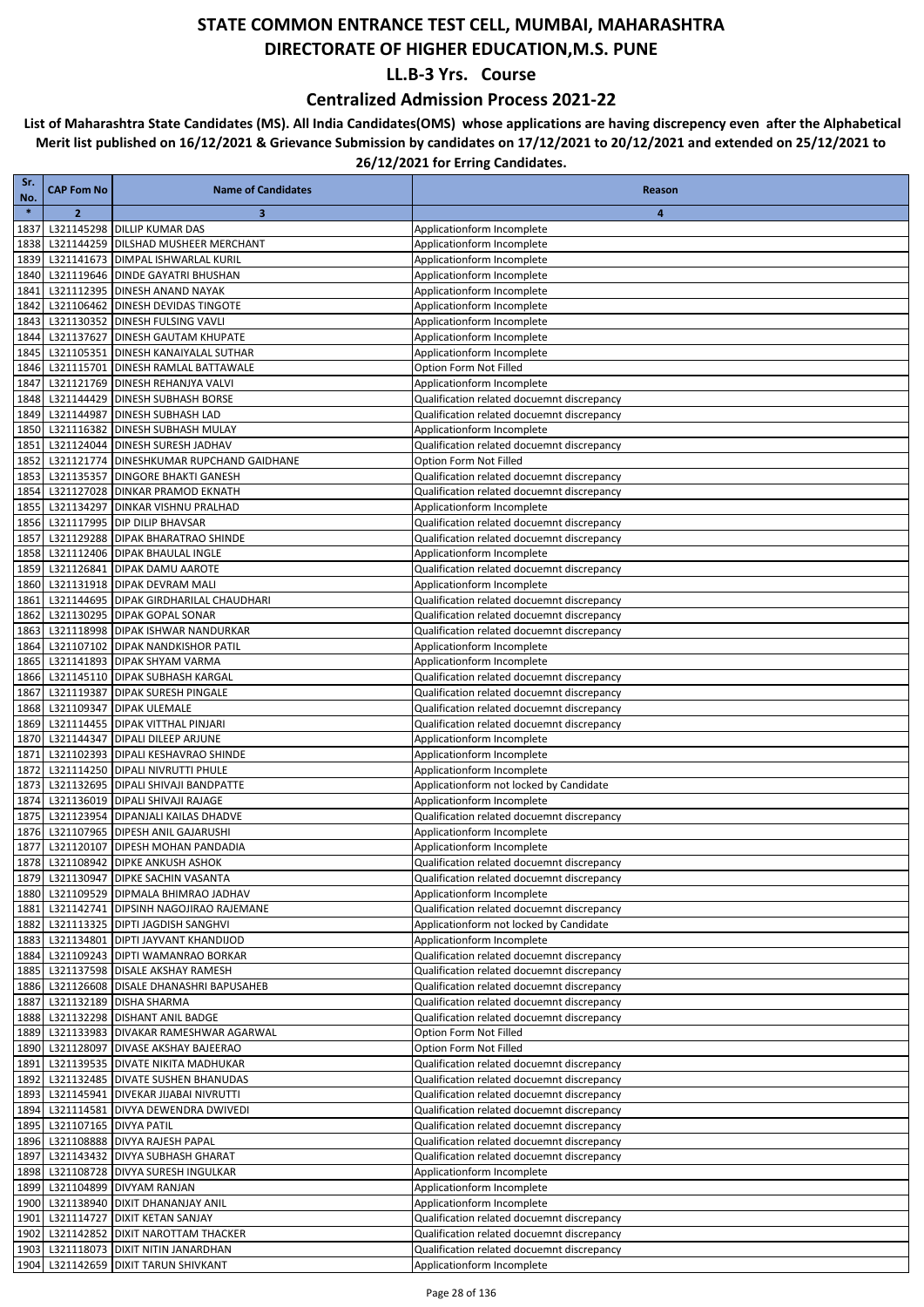#### **Centralized Admission Process 2021-22**

| Sr.<br>No.   | <b>CAP Fom No</b>           | <b>Name of Candidates</b>                                                            | Reason                                                                                   |
|--------------|-----------------------------|--------------------------------------------------------------------------------------|------------------------------------------------------------------------------------------|
| $\ast$       | $\overline{2}$              | 3                                                                                    | 4                                                                                        |
| 1837         |                             | L321145298 DILLIP KUMAR DAS                                                          | Applicationform Incomplete                                                               |
| 1838         |                             | L321144259 DILSHAD MUSHEER MERCHANT                                                  | Applicationform Incomplete                                                               |
| 1839         |                             | L321141673 DIMPAL ISHWARLAL KURIL                                                    | Applicationform Incomplete                                                               |
| 1840         |                             | L321119646 DINDE GAYATRI BHUSHAN                                                     | Applicationform Incomplete                                                               |
| 1841         |                             | L321112395 DINESH ANAND NAYAK                                                        | Applicationform Incomplete                                                               |
| 1842         |                             | L321106462 DINESH DEVIDAS TINGOTE                                                    | Applicationform Incomplete                                                               |
| 1843         |                             | L321130352 DINESH FULSING VAVLI                                                      | Applicationform Incomplete                                                               |
| 1844<br>1845 |                             | L321137627 DINESH GAUTAM KHUPATE<br>L321105351 DINESH KANAIYALAL SUTHAR              | Applicationform Incomplete<br>Applicationform Incomplete                                 |
| 1846         |                             | L321115701 DINESH RAMLAL BATTAWALE                                                   | Option Form Not Filled                                                                   |
| 1847         |                             | L321121769 DINESH REHANJYA VALVI                                                     | Applicationform Incomplete                                                               |
| 1848         |                             | L321144429 DINESH SUBHASH BORSE                                                      | Qualification related docuemnt discrepancy                                               |
| 1849         |                             | L321144987   DINESH SUBHASH LAD                                                      | Qualification related docuemnt discrepancy                                               |
| 1850         |                             | L321116382 DINESH SUBHASH MULAY                                                      | Applicationform Incomplete                                                               |
| 1851         |                             | L321124044   DINESH SURESH JADHAV                                                    | Qualification related docuemnt discrepancy                                               |
| 1852         |                             | L321121774   DINESHKUMAR RUPCHAND GAIDHANE                                           | Option Form Not Filled                                                                   |
| 1853         |                             | L321135357 DINGORE BHAKTI GANESH                                                     | Qualification related docuemnt discrepancy                                               |
| 1854         |                             | L321127028 DINKAR PRAMOD EKNATH                                                      | Qualification related docuemnt discrepancy                                               |
| 1855         |                             | L321134297   DINKAR VISHNU PRALHAD                                                   | Applicationform Incomplete                                                               |
| 1856<br>1857 |                             | L321117995 DIP DILIP BHAVSAR<br>L321129288 DIPAK BHARATRAO SHINDE                    | Qualification related docuemnt discrepancy<br>Qualification related docuemnt discrepancy |
| 1858         |                             | L321112406 DIPAK BHAULAL INGLE                                                       | Applicationform Incomplete                                                               |
| 1859         |                             | L321126841 DIPAK DAMU AAROTE                                                         | Qualification related docuemnt discrepancy                                               |
| 1860         |                             | L321131918 DIPAK DEVRAM MALI                                                         | Applicationform Incomplete                                                               |
| 1861         |                             | L321144695 DIPAK GIRDHARILAL CHAUDHARI                                               | Qualification related docuemnt discrepancy                                               |
| 1862         |                             | L321130295 DIPAK GOPAL SONAR                                                         | Qualification related docuemnt discrepancy                                               |
| 1863         |                             | L321118998   DIPAK ISHWAR NANDURKAR                                                  | Qualification related docuemnt discrepancy                                               |
| 1864         |                             | L321107102 DIPAK NANDKISHOR PATIL                                                    | Applicationform Incomplete                                                               |
| 1865         |                             | L321141893 DIPAK SHYAM VARMA                                                         | Applicationform Incomplete                                                               |
| 1866         |                             | L321145110 DIPAK SUBHASH KARGAL                                                      | Qualification related docuemnt discrepancy                                               |
| 1867         |                             | L321119387 DIPAK SURESH PINGALE                                                      | Qualification related docuemnt discrepancy                                               |
| 1868         |                             | L321109347 DIPAK ULEMALE<br>L321114455   DIPAK VITTHAL PINJARI                       | Qualification related docuemnt discrepancy<br>Qualification related docuemnt discrepancy |
| 1869<br>1870 |                             | L321144347 DIPALI DILEEP ARJUNE                                                      | Applicationform Incomplete                                                               |
| 1871         |                             | L321102393 DIPALI KESHAVRAO SHINDE                                                   | Applicationform Incomplete                                                               |
| 1872         |                             | L321114250 DIPALI NIVRUTTI PHULE                                                     | Applicationform Incomplete                                                               |
| 1873         |                             | L321132695 DIPALI SHIVAJI BANDPATTE                                                  | Applicationform not locked by Candidate                                                  |
| 1874         |                             | L321136019 DIPALI SHIVAJI RAJAGE                                                     | Applicationform Incomplete                                                               |
| 1875         |                             | L321123954   DIPANJALI KAILAS DHADVE                                                 | Qualification related docuemnt discrepancy                                               |
| 1876         |                             | L321107965 DIPESH ANIL GAJARUSHI                                                     | Applicationform Incomplete                                                               |
| 1877         |                             | L321120107 DIPESH MOHAN PANDADIA                                                     | Applicationform Incomplete                                                               |
| 1878         |                             | L321108942 DIPKE ANKUSH ASHOK                                                        | Qualification related docuemnt discrepancy                                               |
|              |                             | 1879 L321130947 DIPKE SACHIN VASANTA                                                 | Qualification related docuemnt discrepancy                                               |
|              |                             | 1880 L321109529 DIPMALA BHIMRAO JADHAV<br>1881 L321142741 DIPSINH NAGOJIRAO RAJEMANE | Applicationform Incomplete<br>Qualification related docuemnt discrepancy                 |
|              |                             | 1882 L321113325 DIPTI JAGDISH SANGHVI                                                | Applicationform not locked by Candidate                                                  |
|              |                             | 1883 L321134801 DIPTI JAYVANT KHANDIJOD                                              | Applicationform Incomplete                                                               |
|              |                             | 1884 L321109243 DIPTI WAMANRAO BORKAR                                                | Qualification related docuemnt discrepancy                                               |
|              |                             | 1885 L321137598 DISALE AKSHAY RAMESH                                                 | Qualification related docuemnt discrepancy                                               |
|              |                             | 1886 L321126608 DISALE DHANASHRI BAPUSAHEB                                           | Qualification related docuemnt discrepancy                                               |
| 1887         |                             | L321132189 DISHA SHARMA                                                              | Qualification related docuemnt discrepancy                                               |
|              |                             | 1888 L321132298 DISHANT ANIL BADGE                                                   | Qualification related docuemnt discrepancy                                               |
|              |                             | 1889 L321133983 DIVAKAR RAMESHWAR AGARWAL                                            | Option Form Not Filled                                                                   |
| 1891         |                             | 1890 L321128097 DIVASE AKSHAY BAJEERAO<br>L321139535 DIVATE NIKITA MADHUKAR          | Option Form Not Filled<br>Qualification related docuemnt discrepancy                     |
|              |                             | 1892 L321132485 DIVATE SUSHEN BHANUDAS                                               | Qualification related docuemnt discrepancy                                               |
|              |                             | 1893 L321145941 DIVEKAR JIJABAI NIVRUTTI                                             | Qualification related docuemnt discrepancy                                               |
|              |                             | 1894 L321114581 DIVYA DEWENDRA DWIVEDI                                               | Qualification related docuemnt discrepancy                                               |
|              | 1895 L321107165 DIVYA PATIL |                                                                                      | Qualification related docuemnt discrepancy                                               |
|              |                             | 1896 L321108888 DIVYA RAJESH PAPAL                                                   | Qualification related docuemnt discrepancy                                               |
| 1897         |                             | L321143432   DIVYA SUBHASH GHARAT                                                    | Qualification related docuemnt discrepancy                                               |
|              |                             | 1898 L321108728 DIVYA SURESH INGULKAR                                                | Applicationform Incomplete                                                               |
|              |                             | 1899 L321104899 DIVYAM RANJAN                                                        | Applicationform Incomplete                                                               |
|              |                             | 1900 L321138940 DIXIT DHANANJAY ANIL                                                 | Applicationform Incomplete                                                               |
|              |                             | 1901 L321114727 DIXIT KETAN SANJAY                                                   | Qualification related docuemnt discrepancy                                               |
|              |                             | 1902 L321142852 DIXIT NAROTTAM THACKER<br>1903 L321118073 DIXIT NITIN JANARDHAN      | Qualification related docuemnt discrepancy<br>Qualification related docuemnt discrepancy |
|              |                             | 1904 L321142659 DIXIT TARUN SHIVKANT                                                 | Applicationform Incomplete                                                               |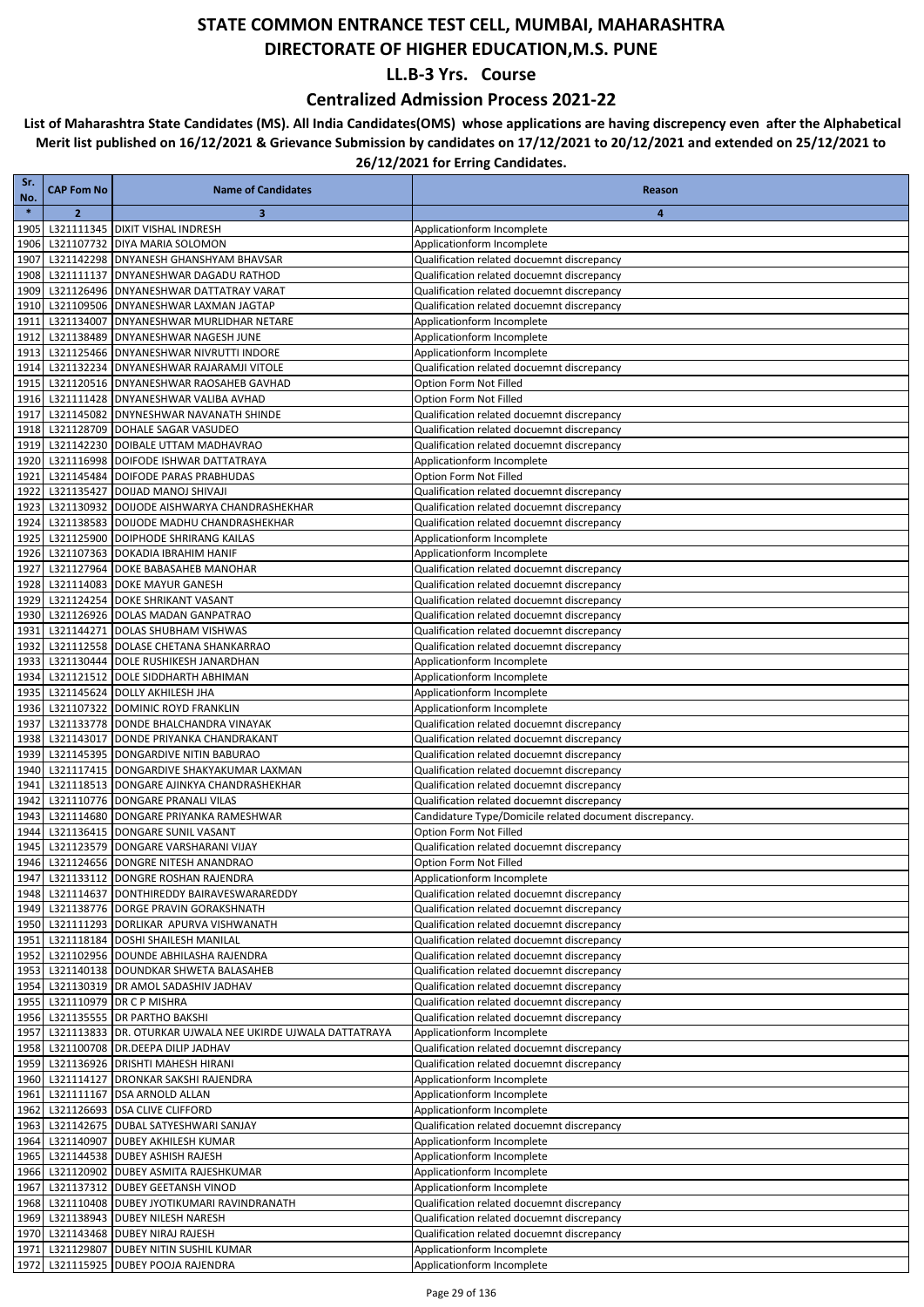### **Centralized Admission Process 2021-22**

| Sr.<br>No.   | <b>CAP Fom No</b> | <b>Name of Candidates</b>                                                          | Reason                                                                                   |
|--------------|-------------------|------------------------------------------------------------------------------------|------------------------------------------------------------------------------------------|
| $\ast$       | 2                 | 3                                                                                  | 4                                                                                        |
| 1905         |                   | L321111345   DIXIT VISHAL INDRESH                                                  | Applicationform Incomplete                                                               |
| 1906         |                   | L321107732 DIYA MARIA SOLOMON                                                      | Applicationform Incomplete                                                               |
| 1907         |                   | L321142298 DNYANESH GHANSHYAM BHAVSAR                                              | Qualification related docuemnt discrepancy                                               |
| 1908<br>1909 |                   | L321111137   DNYANESHWAR DAGADU RATHOD<br>L321126496 DNYANESHWAR DATTATRAY VARAT   | Qualification related docuemnt discrepancy<br>Qualification related docuemnt discrepancy |
|              |                   | 1910 L321109506 DNYANESHWAR LAXMAN JAGTAP                                          | Qualification related docuemnt discrepancy                                               |
| 1911         |                   | L321134007 DNYANESHWAR MURLIDHAR NETARE                                            | Applicationform Incomplete                                                               |
| 1912         |                   | L321138489 DNYANESHWAR NAGESH JUNE                                                 | Applicationform Incomplete                                                               |
|              |                   | 1913 L321125466 DNYANESHWAR NIVRUTTI INDORE                                        | Applicationform Incomplete                                                               |
| 1914         |                   | L321132234 DNYANESHWAR RAJARAMJI VITOLE                                            | Qualification related docuemnt discrepancy                                               |
| 1915         |                   | L321120516   DNYANESHWAR RAOSAHEB GAVHAD                                           | Option Form Not Filled                                                                   |
|              |                   | 1916 L321111428 DNYANESHWAR VALIBA AVHAD                                           | Option Form Not Filled                                                                   |
| 1917         |                   | L321145082 DNYNESHWAR NAVANATH SHINDE                                              | Qualification related docuemnt discrepancy                                               |
|              |                   | 1918 L321128709 DOHALE SAGAR VASUDEO<br>1919 L321142230 DOIBALE UTTAM MADHAVRAO    | Qualification related docuemnt discrepancy<br>Qualification related docuemnt discrepancy |
|              |                   | 1920 L321116998 DOIFODE ISHWAR DATTATRAYA                                          | Applicationform Incomplete                                                               |
| 1921         |                   | L321145484 DOIFODE PARAS PRABHUDAS                                                 | Option Form Not Filled                                                                   |
| 1922         |                   | L321135427 DOIJAD MANOJ SHIVAJI                                                    | Qualification related docuemnt discrepancy                                               |
| 1923         |                   | L321130932 DOIJODE AISHWARYA CHANDRASHEKHAR                                        | Qualification related docuemnt discrepancy                                               |
| 1924         |                   | L321138583 DOIJODE MADHU CHANDRASHEKHAR                                            | Qualification related docuemnt discrepancy                                               |
| 1925         |                   | L321125900 DOIPHODE SHRIRANG KAILAS                                                | Applicationform Incomplete                                                               |
|              |                   | 1926 L321107363 DOKADIA IBRAHIM HANIF                                              | Applicationform Incomplete                                                               |
| 1927<br>1928 |                   | L321127964 DOKE BABASAHEB MANOHAR<br>L321114083 DOKE MAYUR GANESH                  | Qualification related docuemnt discrepancy<br>Qualification related docuemnt discrepancy |
| 1929         |                   | L321124254 DOKE SHRIKANT VASANT                                                    | Qualification related docuemnt discrepancy                                               |
|              |                   | 1930 L321126926 DOLAS MADAN GANPATRAO                                              | Qualification related docuemnt discrepancy                                               |
| 1931         |                   | L321144271 DOLAS SHUBHAM VISHWAS                                                   | Qualification related docuemnt discrepancy                                               |
| 1932         |                   | L321112558   DOLASE CHETANA SHANKARRAO                                             | Qualification related docuemnt discrepancy                                               |
| 1933         |                   | L321130444 DOLE RUSHIKESH JANARDHAN                                                | Applicationform Incomplete                                                               |
| 1934         |                   | L321121512 DOLE SIDDHARTH ABHIMAN                                                  | Applicationform Incomplete                                                               |
| 1935         |                   | L321145624 DOLLY AKHILESH JHA                                                      | Applicationform Incomplete                                                               |
| 1936         |                   | L321107322 DOMINIC ROYD FRANKLIN                                                   | Applicationform Incomplete                                                               |
| 1937         |                   | L321133778 DONDE BHALCHANDRA VINAYAK<br>1938 L321143017 DONDE PRIYANKA CHANDRAKANT | Qualification related docuemnt discrepancy<br>Qualification related docuemnt discrepancy |
| 1939         |                   | L321145395 DONGARDIVE NITIN BABURAO                                                | Qualification related docuemnt discrepancy                                               |
|              |                   | 1940 L321117415 DONGARDIVE SHAKYAKUMAR LAXMAN                                      | Qualification related docuemnt discrepancy                                               |
| 1941         |                   | L321118513 DONGARE AJINKYA CHANDRASHEKHAR                                          | Qualification related docuemnt discrepancy                                               |
| 1942         |                   | L321110776 DONGARE PRANALI VILAS                                                   | Qualification related docuemnt discrepancy                                               |
|              |                   | 1943 L321114680 DONGARE PRIYANKA RAMESHWAR                                         | Candidature Type/Domicile related document discrepancy.                                  |
| 1944         |                   | L321136415 DONGARE SUNIL VASANT                                                    | Option Form Not Filled                                                                   |
| 1945<br>1946 |                   | L321123579 DONGARE VARSHARANI VIJAY<br>L321124656 DONGRE NITESH ANANDRAO           | Qualification related docuemnt discrepancy<br>Option Form Not Filled                     |
|              |                   | 1947 L321133112 DONGRE ROSHAN RAJENDRA                                             | Applicationform Incomplete                                                               |
|              |                   | 1948 L321114637 DONTHIREDDY BAIRAVESWARAREDDY                                      | Qualification related docuemnt discrepancy                                               |
|              |                   | 1949 L321138776 DORGE PRAVIN GORAKSHNATH                                           | Qualification related docuemnt discrepancy                                               |
|              |                   | 1950 L321111293 DORLIKAR APURVA VISHWANATH                                         | Qualification related docuemnt discrepancy                                               |
|              |                   | 1951 L321118184 DOSHI SHAILESH MANILAL                                             | Qualification related docuemnt discrepancy                                               |
|              |                   | 1952 L321102956 DOUNDE ABHILASHA RAJENDRA                                          | Qualification related docuemnt discrepancy                                               |
|              |                   | 1953 L321140138 DOUNDKAR SHWETA BALASAHEB                                          | Qualification related docuemnt discrepancy                                               |
|              |                   | 1954 L321130319 DR AMOL SADASHIV JADHAV<br>1955 L321110979 DR C P MISHRA           | Qualification related docuemnt discrepancy<br>Qualification related docuemnt discrepancy |
|              |                   | 1956 L321135555 DR PARTHO BAKSHI                                                   | Qualification related docuemnt discrepancy                                               |
|              |                   | 1957 L321113833 DR. OTURKAR UJWALA NEE UKIRDE UJWALA DATTATRAYA                    | Applicationform Incomplete                                                               |
|              |                   | 1958 L321100708 DR.DEEPA DILIP JADHAV                                              | Qualification related docuemnt discrepancy                                               |
|              |                   | 1959 L321136926 DRISHTI MAHESH HIRANI                                              | Qualification related docuemnt discrepancy                                               |
|              |                   | 1960 L321114127 DRONKAR SAKSHI RAJENDRA                                            | Applicationform Incomplete                                                               |
|              |                   | 1961 L321111167 DSA ARNOLD ALLAN                                                   | Applicationform Incomplete                                                               |
|              |                   | 1962 L321126693 DSA CLIVE CLIFFORD                                                 | Applicationform Incomplete                                                               |
|              |                   | 1963 L321142675 DUBAL SATYESHWARI SANJAY                                           | Qualification related docuemnt discrepancy                                               |
|              |                   | 1964 L321140907 DUBEY AKHILESH KUMAR<br>1965 L321144538 DUBEY ASHISH RAJESH        | Applicationform Incomplete<br>Applicationform Incomplete                                 |
|              |                   | 1966 L321120902 DUBEY ASMITA RAJESHKUMAR                                           | Applicationform Incomplete                                                               |
|              |                   | 1967 L321137312 DUBEY GEETANSH VINOD                                               | Applicationform Incomplete                                                               |
|              |                   | 1968 L321110408 DUBEY JYOTIKUMARI RAVINDRANATH                                     | Qualification related docuemnt discrepancy                                               |
|              |                   | 1969 L321138943 DUBEY NILESH NARESH                                                | Qualification related docuemnt discrepancy                                               |
|              |                   | 1970 L321143468 DUBEY NIRAJ RAJESH                                                 | Qualification related docuemnt discrepancy                                               |
| 1971         |                   | L321129807 DUBEY NITIN SUSHIL KUMAR                                                | Applicationform Incomplete                                                               |
|              |                   | 1972 L321115925 DUBEY POOJA RAJENDRA                                               | Applicationform Incomplete                                                               |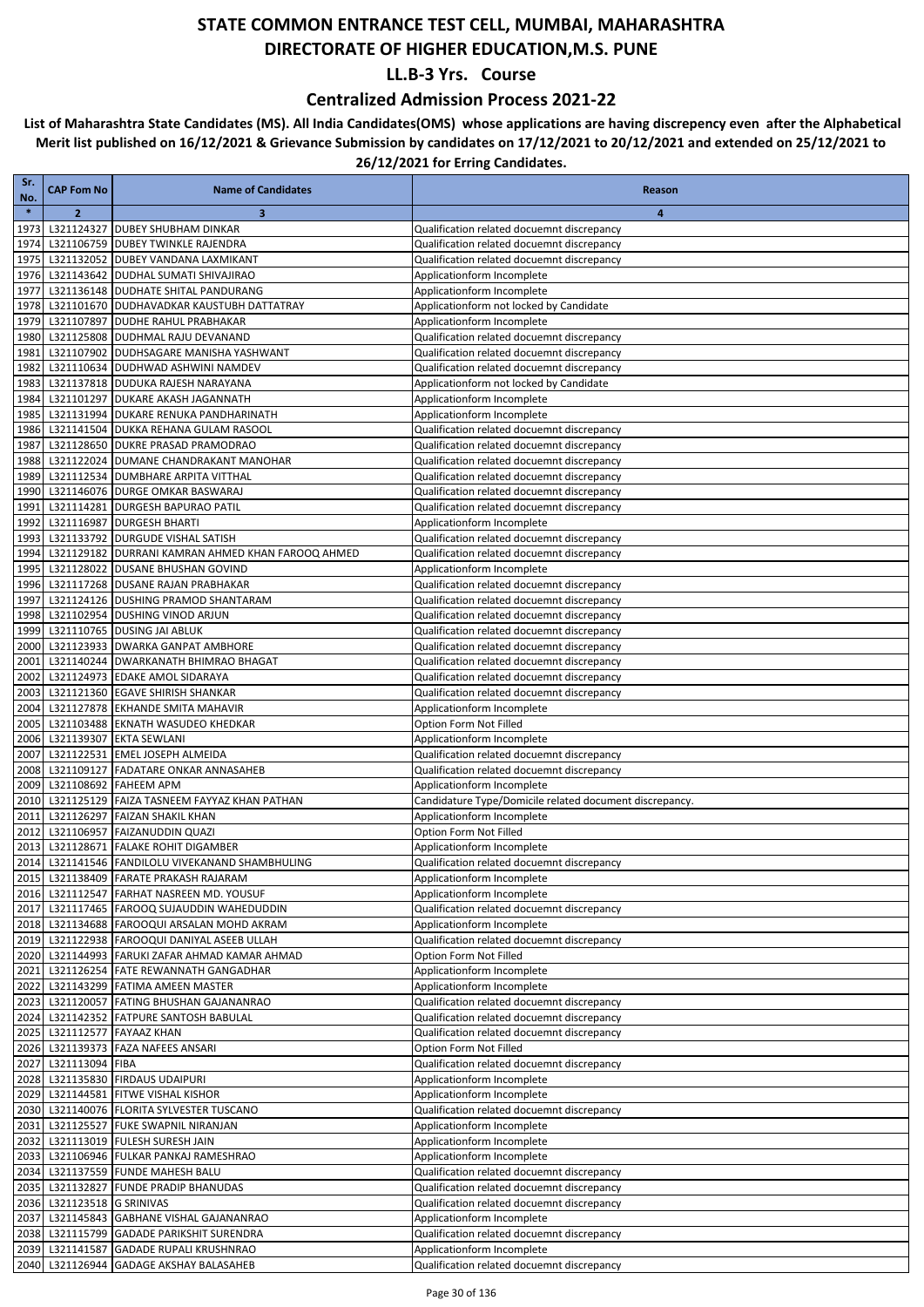### **Centralized Admission Process 2021-22**

| Sr.           | <b>CAP Fom No</b>          | <b>Name of Candidates</b>                                                        | Reason                                                                                   |
|---------------|----------------------------|----------------------------------------------------------------------------------|------------------------------------------------------------------------------------------|
| No.<br>$\ast$ | $\overline{2}$             | 3                                                                                | $\overline{4}$                                                                           |
| 1973          |                            | L321124327 DUBEY SHUBHAM DINKAR                                                  | Qualification related docuemnt discrepancy                                               |
| 1974          |                            | L321106759 DUBEY TWINKLE RAJENDRA                                                | Qualification related docuemnt discrepancy                                               |
| 1975          |                            | L321132052 DUBEY VANDANA LAXMIKANT                                               | Qualification related docuemnt discrepancy                                               |
| 1976          |                            | L321143642 DUDHAL SUMATI SHIVAJIRAO                                              | Applicationform Incomplete                                                               |
| 1977<br>1978  |                            | L321136148 DUDHATE SHITAL PANDURANG<br>L321101670 DUDHAVADKAR KAUSTUBH DATTATRAY | Applicationform Incomplete<br>Applicationform not locked by Candidate                    |
| 1979          |                            | L321107897 DUDHE RAHUL PRABHAKAR                                                 | Applicationform Incomplete                                                               |
| 1980          |                            | L321125808 DUDHMAL RAJU DEVANAND                                                 | Qualification related docuemnt discrepancy                                               |
| 1981          |                            | L321107902 DUDHSAGARE MANISHA YASHWANT                                           | Qualification related docuemnt discrepancy                                               |
| 1982          |                            | L321110634 DUDHWAD ASHWINI NAMDEV                                                | Qualification related docuemnt discrepancy                                               |
| 1983          |                            | L321137818 DUDUKA RAJESH NARAYANA                                                | Applicationform not locked by Candidate                                                  |
| 1984<br>1985  |                            | L321101297 DUKARE AKASH JAGANNATH<br>L321131994 DUKARE RENUKA PANDHARINATH       | Applicationform Incomplete<br>Applicationform Incomplete                                 |
| 1986          |                            | L321141504 DUKKA REHANA GULAM RASOOL                                             | Qualification related docuemnt discrepancy                                               |
| 1987          |                            | L321128650 DUKRE PRASAD PRAMODRAO                                                | Qualification related docuemnt discrepancy                                               |
| 1988          |                            | L321122024 DUMANE CHANDRAKANT MANOHAR                                            | Qualification related docuemnt discrepancy                                               |
| 1989          |                            | L321112534 DUMBHARE ARPITA VITTHAL                                               | Qualification related docuemnt discrepancy                                               |
| 1990          |                            | L321146076 DURGE OMKAR BASWARAJ                                                  | Qualification related docuemnt discrepancy                                               |
| 1991<br>1992  |                            | L321114281 DURGESH BAPURAO PATIL<br>L321116987 DURGESH BHARTI                    | Qualification related docuemnt discrepancy<br>Applicationform Incomplete                 |
| 1993          |                            | L321133792 DURGUDE VISHAL SATISH                                                 | Qualification related docuemnt discrepancy                                               |
| 1994          |                            | L321129182 DURRANI KAMRAN AHMED KHAN FAROOQ AHMED                                | Qualification related docuemnt discrepancy                                               |
| 1995          |                            | L321128022 DUSANE BHUSHAN GOVIND                                                 | Applicationform Incomplete                                                               |
| 1996          |                            | L321117268 DUSANE RAJAN PRABHAKAR                                                | Qualification related docuemnt discrepancy                                               |
| 1997          |                            | L321124126 DUSHING PRAMOD SHANTARAM                                              | Qualification related docuemnt discrepancy                                               |
| 1998          |                            | L321102954 DUSHING VINOD ARJUN                                                   | Qualification related docuemnt discrepancy                                               |
| 1999<br>2000  |                            | L321110765 DUSING JAI ABLUK<br>L321123933 DWARKA GANPAT AMBHORE                  | Qualification related docuemnt discrepancy<br>Qualification related docuemnt discrepancy |
| 2001          |                            | L321140244 DWARKANATH BHIMRAO BHAGAT                                             | Qualification related docuemnt discrepancy                                               |
| 2002          |                            | L321124973 EDAKE AMOL SIDARAYA                                                   | Qualification related docuemnt discrepancy                                               |
| 2003          |                            | L321121360 EGAVE SHIRISH SHANKAR                                                 | Qualification related docuemnt discrepancy                                               |
| 2004          |                            | L321127878 EKHANDE SMITA MAHAVIR                                                 | Applicationform Incomplete                                                               |
| 2005          |                            | L321103488 EKNATH WASUDEO KHEDKAR                                                | Option Form Not Filled                                                                   |
| 2006<br>2007  |                            | L321139307 EKTA SEWLANI<br>L321122531 EMEL JOSEPH ALMEIDA                        | Applicationform Incomplete<br>Qualification related docuemnt discrepancy                 |
| 2008          |                            | L321109127 FADATARE ONKAR ANNASAHEB                                              | Qualification related docuemnt discrepancy                                               |
| 2009          |                            | L321108692 FAHEEM APM                                                            | Applicationform Incomplete                                                               |
| 2010          |                            | L321125129 FAIZA TASNEEM FAYYAZ KHAN PATHAN                                      | Candidature Type/Domicile related document discrepancy.                                  |
| 2011          |                            | L321126297 FAIZAN SHAKIL KHAN                                                    | Applicationform Incomplete                                                               |
| 2012          |                            | L321106957 FAIZANUDDIN QUAZI                                                     | Option Form Not Filled                                                                   |
| 2013<br>2014  |                            | L321128671 FALAKE ROHIT DIGAMBER<br>L321141546 FANDILOLU VIVEKANAND SHAMBHULING  | Applicationform Incomplete<br>Qualification related docuemnt discrepancy                 |
|               |                            | 2015 L321138409 FARATE PRAKASH RAJARAM                                           | Applicationform Incomplete                                                               |
|               |                            | 2016 L321112547 FARHAT NASREEN MD. YOUSUF                                        | Applicationform Incomplete                                                               |
|               |                            | 2017 L321117465 FAROOQ SUJAUDDIN WAHEDUDDIN                                      | Qualification related docuemnt discrepancy                                               |
|               |                            | 2018 L321134688 FAROOQUI ARSALAN MOHD AKRAM                                      | Applicationform Incomplete                                                               |
|               |                            | 2019 L321122938 FAROOQUI DANIYAL ASEEB ULLAH                                     | Qualification related docuemnt discrepancy                                               |
|               |                            | 2020 L321144993 FARUKI ZAFAR AHMAD KAMAR AHMAD                                   | Option Form Not Filled                                                                   |
| 2021<br>2022  |                            | L321126254 FATE REWANNATH GANGADHAR<br>L321143299 FATIMA AMEEN MASTER            | Applicationform Incomplete<br>Applicationform Incomplete                                 |
|               |                            | 2023 L321120057 FATING BHUSHAN GAJANANRAO                                        | Qualification related docuemnt discrepancy                                               |
|               |                            | 2024 L321142352 FATPURE SANTOSH BABULAL                                          | Qualification related docuemnt discrepancy                                               |
|               |                            | 2025 L321112577 FAYAAZ KHAN                                                      | Qualification related docuemnt discrepancy                                               |
|               |                            | 2026 L321139373 FAZA NAFEES ANSARI                                               | Option Form Not Filled                                                                   |
|               | 2027 L321113094 FIBA       |                                                                                  | Qualification related docuemnt discrepancy                                               |
|               |                            | 2028 L321135830 FIRDAUS UDAIPURI<br>2029 L321144581 FITWE VISHAL KISHOR          | Applicationform Incomplete<br>Applicationform Incomplete                                 |
|               |                            | 2030 L321140076 FLORITA SYLVESTER TUSCANO                                        | Qualification related docuemnt discrepancy                                               |
|               |                            | 2031 L321125527 FUKE SWAPNIL NIRANJAN                                            | Applicationform Incomplete                                                               |
|               |                            | 2032 L321113019 FULESH SURESH JAIN                                               | Applicationform Incomplete                                                               |
|               |                            | 2033 L321106946 FULKAR PANKAJ RAMESHRAO                                          | Applicationform Incomplete                                                               |
|               |                            | 2034 L321137559 FUNDE MAHESH BALU                                                | Qualification related docuemnt discrepancy                                               |
|               |                            | 2035 L321132827 FUNDE PRADIP BHANUDAS                                            | Qualification related docuemnt discrepancy                                               |
| 2037          | 2036 L321123518 G SRINIVAS | L321145843 GABHANE VISHAL GAJANANRAO                                             | Qualification related docuemnt discrepancy<br>Applicationform Incomplete                 |
|               |                            | 2038 L321115799 GADADE PARIKSHIT SURENDRA                                        | Qualification related docuemnt discrepancy                                               |
|               |                            | 2039 L321141587 GADADE RUPALI KRUSHNRAO                                          | Applicationform Incomplete                                                               |
|               |                            | 2040 L321126944 GADAGE AKSHAY BALASAHEB                                          | Qualification related docuemnt discrepancy                                               |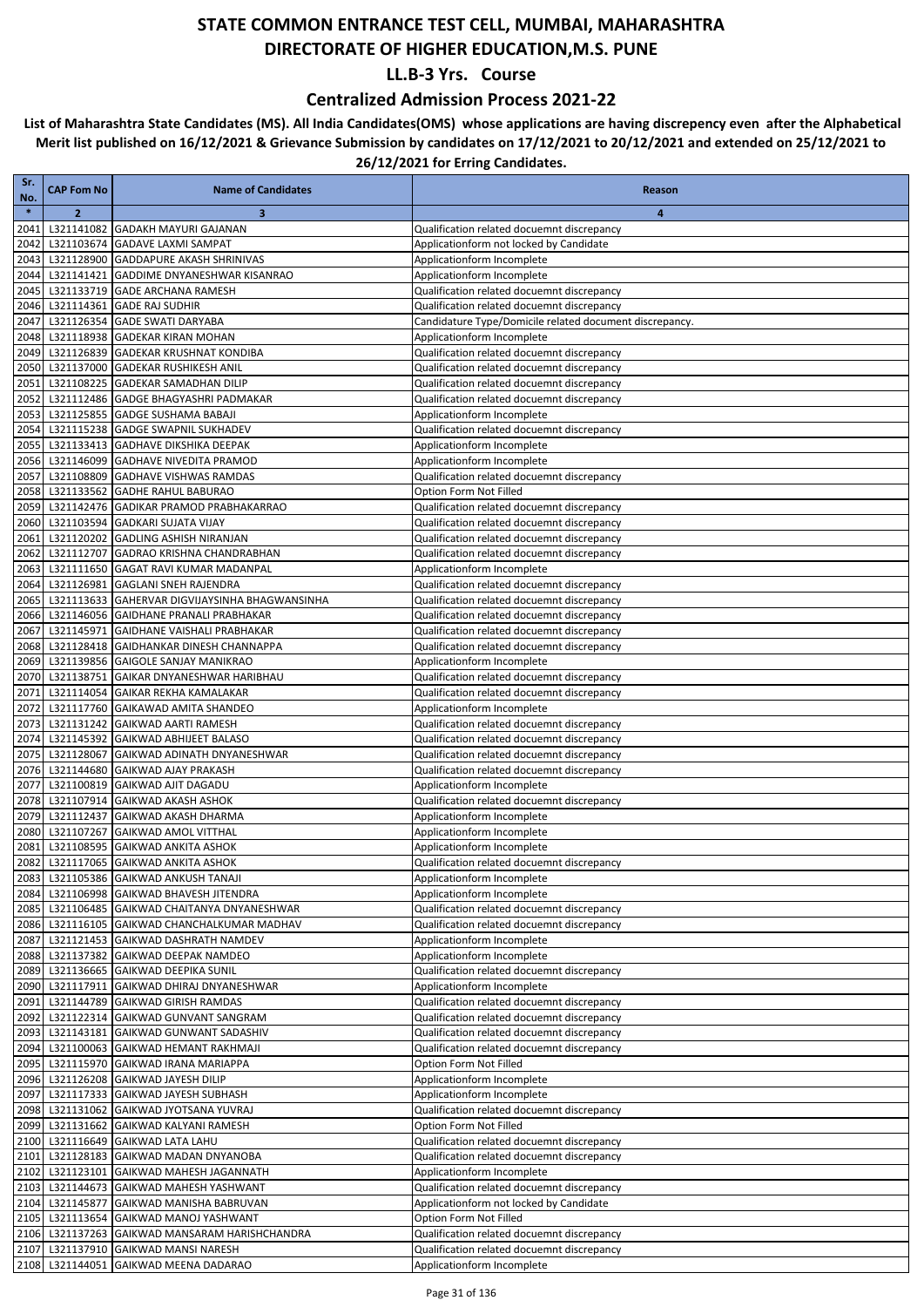### **Centralized Admission Process 2021-22**

| Sr.<br>No.   | <b>CAP Fom No</b> | <b>Name of Candidates</b>                                                           | Reason                                                                                                |
|--------------|-------------------|-------------------------------------------------------------------------------------|-------------------------------------------------------------------------------------------------------|
| $\ast$       | $\overline{2}$    | 3                                                                                   | 4                                                                                                     |
| 2041         |                   | L321141082 GADAKH MAYURI GAJANAN                                                    | Qualification related docuemnt discrepancy                                                            |
| 2042         |                   | L321103674 GADAVE LAXMI SAMPAT                                                      | Applicationform not locked by Candidate                                                               |
| 2043         |                   | L321128900 GADDAPURE AKASH SHRINIVAS                                                | Applicationform Incomplete                                                                            |
| 2044         |                   | L321141421 GADDIME DNYANESHWAR KISANRAO                                             | Applicationform Incomplete                                                                            |
| 2045         |                   | L321133719 GADE ARCHANA RAMESH                                                      | Qualification related docuemnt discrepancy                                                            |
| 2046<br>2047 |                   | L321114361 GADE RAJ SUDHIR<br>L321126354 GADE SWATI DARYABA                         | Qualification related docuemnt discrepancy<br>Candidature Type/Domicile related document discrepancy. |
| 2048         |                   | L321118938 GADEKAR KIRAN MOHAN                                                      | Applicationform Incomplete                                                                            |
| 2049         |                   | L321126839 GADEKAR KRUSHNAT KONDIBA                                                 | Qualification related docuemnt discrepancy                                                            |
| 2050         |                   | L321137000 GADEKAR RUSHIKESH ANIL                                                   | Qualification related docuemnt discrepancy                                                            |
| 2051         |                   | L321108225 GADEKAR SAMADHAN DILIP                                                   | Qualification related docuemnt discrepancy                                                            |
| 2052         |                   | L321112486 GADGE BHAGYASHRI PADMAKAR                                                | Qualification related docuemnt discrepancy                                                            |
| 2053         |                   | L321125855 GADGE SUSHAMA BABAJI                                                     | Applicationform Incomplete                                                                            |
| 2054         |                   | L321115238 GADGE SWAPNIL SUKHADEV                                                   | Qualification related docuemnt discrepancy                                                            |
| 2055<br>2056 |                   | L321133413 GADHAVE DIKSHIKA DEEPAK<br>L321146099 GADHAVE NIVEDITA PRAMOD            | Applicationform Incomplete<br>Applicationform Incomplete                                              |
| 2057         |                   | L321108809 GADHAVE VISHWAS RAMDAS                                                   | Qualification related docuemnt discrepancy                                                            |
| 2058         |                   | L321133562 GADHE RAHUL BABURAO                                                      | Option Form Not Filled                                                                                |
| 2059         |                   | L321142476 GADIKAR PRAMOD PRABHAKARRAO                                              | Qualification related docuemnt discrepancy                                                            |
| 2060         |                   | L321103594 GADKARI SUJATA VIJAY                                                     | Qualification related docuemnt discrepancy                                                            |
| 2061         |                   | L321120202 GADLING ASHISH NIRANJAN                                                  | Qualification related docuemnt discrepancy                                                            |
| 2062         |                   | L321112707 GADRAO KRISHNA CHANDRABHAN                                               | Qualification related docuemnt discrepancy                                                            |
| 2063         |                   | L321111650 GAGAT RAVI KUMAR MADANPAL                                                | Applicationform Incomplete                                                                            |
| 2064         |                   | L321126981 GAGLANI SNEH RAJENDRA<br>L321113633 GAHERVAR DIGVIJAYSINHA BHAGWANSINHA  | Qualification related docuemnt discrepancy<br>Qualification related docuemnt discrepancy              |
| 2065<br>2066 |                   | L321146056 GAIDHANE PRANALI PRABHAKAR                                               | Qualification related docuemnt discrepancy                                                            |
| 2067         |                   | L321145971 GAIDHANE VAISHALI PRABHAKAR                                              | Qualification related docuemnt discrepancy                                                            |
| 2068         |                   | L321128418 GAIDHANKAR DINESH CHANNAPPA                                              | Qualification related docuemnt discrepancy                                                            |
| 2069         |                   | L321139856 GAIGOLE SANJAY MANIKRAO                                                  | Applicationform Incomplete                                                                            |
| 2070         |                   | L321138751 GAIKAR DNYANESHWAR HARIBHAU                                              | Qualification related docuemnt discrepancy                                                            |
| 2071         |                   | L321114054 GAIKAR REKHA KAMALAKAR                                                   | Qualification related docuemnt discrepancy                                                            |
| 2072         |                   | L321117760 GAIKAWAD AMITA SHANDEO                                                   | Applicationform Incomplete                                                                            |
| 2073         |                   | L321131242 GAIKWAD AARTI RAMESH                                                     | Qualification related docuemnt discrepancy                                                            |
| 2074<br>2075 |                   | L321145392 GAIKWAD ABHIJEET BALASO<br>L321128067 GAIKWAD ADINATH DNYANESHWAR        | Qualification related docuemnt discrepancy<br>Qualification related docuemnt discrepancy              |
| 2076         |                   | L321144680 GAIKWAD AJAY PRAKASH                                                     | Qualification related docuemnt discrepancy                                                            |
| 2077         |                   | L321100819 GAIKWAD AJIT DAGADU                                                      | Applicationform Incomplete                                                                            |
| 2078         |                   | L321107914 GAIKWAD AKASH ASHOK                                                      | Qualification related docuemnt discrepancy                                                            |
| 2079         |                   | L321112437 GAIKWAD AKASH DHARMA                                                     | Applicationform Incomplete                                                                            |
| 2080         |                   | L321107267 GAIKWAD AMOL VITTHAL                                                     | Applicationform Incomplete                                                                            |
| 2081         |                   | L321108595 GAIKWAD ANKITA ASHOK                                                     | Applicationform Incomplete                                                                            |
| 2082         |                   | L321117065 GAIKWAD ANKITA ASHOK                                                     | Qualification related docuemnt discrepancy                                                            |
| 2084         |                   | 2083 L321105386 GAIKWAD ANKUSH TANAJI<br>L321106998 GAIKWAD BHAVESH JITENDRA        | Applicationform Incomplete<br>Applicationform Incomplete                                              |
|              |                   | 2085 L321106485 GAIKWAD CHAITANYA DNYANESHWAR                                       | Qualification related docuemnt discrepancy                                                            |
|              |                   | 2086 L321116105 GAIKWAD CHANCHALKUMAR MADHAV                                        | Qualification related docuemnt discrepancy                                                            |
| 2087         |                   | L321121453 GAIKWAD DASHRATH NAMDEV                                                  | Applicationform Incomplete                                                                            |
| 2088         |                   | L321137382 GAIKWAD DEEPAK NAMDEO                                                    | Applicationform Incomplete                                                                            |
| 2089         |                   | L321136665 GAIKWAD DEEPIKA SUNIL                                                    | Qualification related docuemnt discrepancy                                                            |
|              |                   | 2090 L321117911 GAIKWAD DHIRAJ DNYANESHWAR                                          | Applicationform Incomplete                                                                            |
| 2091         |                   | L321144789 GAIKWAD GIRISH RAMDAS                                                    | Qualification related docuemnt discrepancy                                                            |
| 2092         |                   | L321122314 GAIKWAD GUNVANT SANGRAM                                                  | Qualification related docuemnt discrepancy                                                            |
| 2093<br>2094 |                   | L321143181 GAIKWAD GUNWANT SADASHIV<br>L321100063 GAIKWAD HEMANT RAKHMAJI           | Qualification related docuemnt discrepancy<br>Qualification related docuemnt discrepancy              |
| 2095         |                   | L321115970 GAIKWAD IRANA MARIAPPA                                                   | Option Form Not Filled                                                                                |
|              |                   | 2096 L321126208 GAIKWAD JAYESH DILIP                                                | Applicationform Incomplete                                                                            |
| 2097         |                   | L321117333 GAIKWAD JAYESH SUBHASH                                                   | Applicationform Incomplete                                                                            |
|              |                   | 2098 L321131062 GAIKWAD JYOTSANA YUVRAJ                                             | Qualification related docuemnt discrepancy                                                            |
|              |                   | 2099 L321131662 GAIKWAD KALYANI RAMESH                                              | Option Form Not Filled                                                                                |
|              |                   | 2100 L321116649 GAIKWAD LATA LAHU                                                   | Qualification related docuemnt discrepancy                                                            |
|              |                   | 2101 L321128183 GAIKWAD MADAN DNYANOBA                                              | Qualification related docuemnt discrepancy                                                            |
| 2102         |                   | L321123101 GAIKWAD MAHESH JAGANNATH                                                 | Applicationform Incomplete                                                                            |
|              |                   | 2103 L321144673 GAIKWAD MAHESH YASHWANT<br>2104 L321145877 GAIKWAD MANISHA BABRUVAN | Qualification related docuemnt discrepancy<br>Applicationform not locked by Candidate                 |
|              |                   | 2105 L321113654 GAIKWAD MANOJ YASHWANT                                              | Option Form Not Filled                                                                                |
|              |                   | 2106 L321137263 GAIKWAD MANSARAM HARISHCHANDRA                                      | Qualification related docuemnt discrepancy                                                            |
|              |                   | 2107 L321137910 GAIKWAD MANSI NARESH                                                | Qualification related docuemnt discrepancy                                                            |
|              |                   | 2108 L321144051 GAIKWAD MEENA DADARAO                                               | Applicationform Incomplete                                                                            |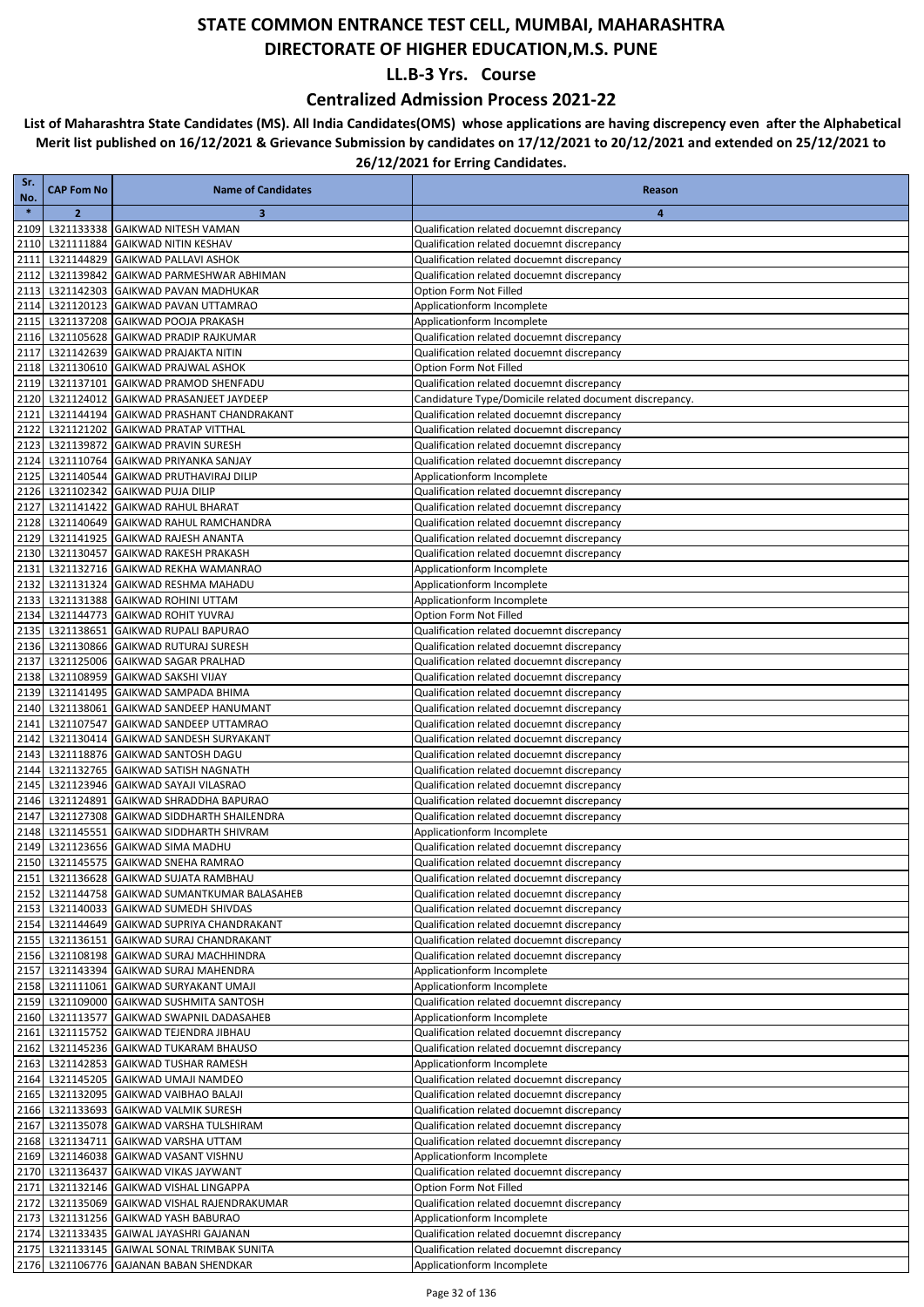### **Centralized Admission Process 2021-22**

| Sr.<br>No.   | <b>CAP Fom No</b> | <b>Name of Candidates</b>                                                        | Reason                                                                                                |
|--------------|-------------------|----------------------------------------------------------------------------------|-------------------------------------------------------------------------------------------------------|
| $\ast$       | $\overline{2}$    | 3                                                                                | 4                                                                                                     |
| 2109         |                   | L321133338 GAIKWAD NITESH VAMAN                                                  | Qualification related docuemnt discrepancy                                                            |
| 2110         |                   | L321111884 GAIKWAD NITIN KESHAV                                                  | Qualification related docuemnt discrepancy                                                            |
| 2111         |                   | L321144829 GAIKWAD PALLAVI ASHOK                                                 | Qualification related docuemnt discrepancy                                                            |
| 2112         |                   | L321139842 GAIKWAD PARMESHWAR ABHIMAN<br>L321142303 GAIKWAD PAVAN MADHUKAR       | Qualification related docuemnt discrepancy<br>Option Form Not Filled                                  |
| 2113<br>2114 |                   | L321120123 GAIKWAD PAVAN UTTAMRAO                                                | Applicationform Incomplete                                                                            |
| 2115         |                   | L321137208 GAIKWAD POOJA PRAKASH                                                 | Applicationform Incomplete                                                                            |
| 2116         |                   | L321105628 GAIKWAD PRADIP RAJKUMAR                                               | Qualification related docuemnt discrepancy                                                            |
| 2117         |                   | L321142639 GAIKWAD PRAJAKTA NITIN                                                | Qualification related docuemnt discrepancy                                                            |
| 2118         |                   | L321130610 GAIKWAD PRAJWAL ASHOK                                                 | Option Form Not Filled                                                                                |
| 2119         |                   | L321137101 GAIKWAD PRAMOD SHENFADU                                               | Qualification related docuemnt discrepancy                                                            |
| 2120<br>2121 |                   | L321124012 GAIKWAD PRASANJEET JAYDEEP<br>L321144194 GAIKWAD PRASHANT CHANDRAKANT | Candidature Type/Domicile related document discrepancy.<br>Qualification related docuemnt discrepancy |
| 2122         |                   | L321121202 GAIKWAD PRATAP VITTHAL                                                | Qualification related docuemnt discrepancy                                                            |
| 2123         |                   | L321139872 GAIKWAD PRAVIN SURESH                                                 | Qualification related docuemnt discrepancy                                                            |
| 2124         |                   | L321110764 GAIKWAD PRIYANKA SANJAY                                               | Qualification related docuemnt discrepancy                                                            |
| 2125         |                   | L321140544 GAIKWAD PRUTHAVIRAJ DILIP                                             | Applicationform Incomplete                                                                            |
| 2126         |                   | L321102342 GAIKWAD PUJA DILIP                                                    | Qualification related docuemnt discrepancy                                                            |
| 2127<br>2128 |                   | L321141422 GAIKWAD RAHUL BHARAT<br>L321140649 GAIKWAD RAHUL RAMCHANDRA           | Qualification related docuemnt discrepancy<br>Qualification related docuemnt discrepancy              |
| 2129         |                   | L321141925 GAIKWAD RAJESH ANANTA                                                 | Qualification related docuemnt discrepancy                                                            |
| 2130         |                   | L321130457 GAIKWAD RAKESH PRAKASH                                                | Qualification related docuemnt discrepancy                                                            |
| 2131         |                   | L321132716 GAIKWAD REKHA WAMANRAO                                                | Applicationform Incomplete                                                                            |
| 2132         |                   | L321131324 GAIKWAD RESHMA MAHADU                                                 | Applicationform Incomplete                                                                            |
| 2133         |                   | L321131388 GAIKWAD ROHINI UTTAM                                                  | Applicationform Incomplete                                                                            |
| 2134<br>2135 |                   | L321144773 GAIKWAD ROHIT YUVRAJ<br>L321138651 GAIKWAD RUPALI BAPURAO             | Option Form Not Filled<br>Qualification related docuemnt discrepancy                                  |
| 2136         |                   | L321130866 GAIKWAD RUTURAJ SURESH                                                | Qualification related docuemnt discrepancy                                                            |
| 2137         |                   | L321125006 GAIKWAD SAGAR PRALHAD                                                 | Qualification related docuemnt discrepancy                                                            |
| 2138         |                   | L321108959 GAIKWAD SAKSHI VIJAY                                                  | Qualification related docuemnt discrepancy                                                            |
| 2139         |                   | L321141495 GAIKWAD SAMPADA BHIMA                                                 | Qualification related docuemnt discrepancy                                                            |
| 2140         |                   | L321138061 GAIKWAD SANDEEP HANUMANT                                              | Qualification related docuemnt discrepancy                                                            |
| 2141<br>2142 |                   | L321107547 GAIKWAD SANDEEP UTTAMRAO<br>L321130414 GAIKWAD SANDESH SURYAKANT      | Qualification related docuemnt discrepancy<br>Qualification related docuemnt discrepancy              |
| 2143         |                   | L321118876 GAIKWAD SANTOSH DAGU                                                  | Qualification related docuemnt discrepancy                                                            |
| 2144         |                   | L321132765 GAIKWAD SATISH NAGNATH                                                | Qualification related docuemnt discrepancy                                                            |
| 2145         |                   | L321123946 GAIKWAD SAYAJI VILASRAO                                               | Qualification related docuemnt discrepancy                                                            |
| 2146         |                   | L321124891 GAIKWAD SHRADDHA BAPURAO                                              | Qualification related docuemnt discrepancy                                                            |
| 2147         |                   | L321127308 GAIKWAD SIDDHARTH SHAILENDRA                                          | Qualification related docuemnt discrepancy                                                            |
| 2148<br>2149 |                   | L321145551 GAIKWAD SIDDHARTH SHIVRAM<br>L321123656 GAIKWAD SIMA MADHU            | Applicationform Incomplete<br>Qualification related docuemnt discrepancy                              |
| 2150         |                   | L321145575 GAIKWAD SNEHA RAMRAO                                                  | Qualification related docuemnt discrepancy                                                            |
|              |                   | 2151 L321136628 GAIKWAD SUJATA RAMBHAU                                           | Qualification related docuemnt discrepancy                                                            |
| 2152         |                   | L321144758 GAIKWAD SUMANTKUMAR BALASAHEB                                         | Qualification related docuemnt discrepancy                                                            |
|              |                   | 2153 L321140033 GAIKWAD SUMEDH SHIVDAS                                           | Qualification related docuemnt discrepancy                                                            |
|              |                   | 2154 L321144649 GAIKWAD SUPRIYA CHANDRAKANT                                      | Qualification related docuemnt discrepancy                                                            |
| 2155         |                   | L321136151 GAIKWAD SURAJ CHANDRAKANT<br>2156 L321108198 GAIKWAD SURAJ MACHHINDRA | Qualification related docuemnt discrepancy<br>Qualification related docuemnt discrepancy              |
|              |                   | 2157 L321143394 GAIKWAD SURAJ MAHENDRA                                           | Applicationform Incomplete                                                                            |
|              |                   | 2158 L321111061 GAIKWAD SURYAKANT UMAJI                                          | Applicationform Incomplete                                                                            |
|              |                   | 2159 L321109000 GAIKWAD SUSHMITA SANTOSH                                         | Qualification related docuemnt discrepancy                                                            |
|              |                   | 2160 L321113577 GAIKWAD SWAPNIL DADASAHEB                                        | Applicationform Incomplete                                                                            |
| 2161         |                   | L321115752 GAIKWAD TEJENDRA JIBHAU<br>2162 L321145236 GAIKWAD TUKARAM BHAUSO     | Qualification related docuemnt discrepancy<br>Qualification related docuemnt discrepancy              |
|              |                   | 2163 L321142853 GAIKWAD TUSHAR RAMESH                                            | Applicationform Incomplete                                                                            |
|              |                   | 2164 L321145205 GAIKWAD UMAJI NAMDEO                                             | Qualification related docuemnt discrepancy                                                            |
|              |                   | 2165 L321132095 GAIKWAD VAIBHAO BALAJI                                           | Qualification related docuemnt discrepancy                                                            |
|              |                   | 2166 L321133693 GAIKWAD VALMIK SURESH                                            | Qualification related docuemnt discrepancy                                                            |
|              |                   | 2167 L321135078 GAIKWAD VARSHA TULSHIRAM                                         | Qualification related docuemnt discrepancy                                                            |
|              |                   | 2168 L321134711 GAIKWAD VARSHA UTTAM                                             | Qualification related docuemnt discrepancy                                                            |
|              |                   | 2169 L321146038 GAIKWAD VASANT VISHNU<br>2170 L321136437 GAIKWAD VIKAS JAYWANT   | Applicationform Incomplete<br>Qualification related docuemnt discrepancy                              |
| 2171         |                   | L321132146 GAIKWAD VISHAL LINGAPPA                                               | Option Form Not Filled                                                                                |
|              |                   | 2172 L321135069 GAIKWAD VISHAL RAJENDRAKUMAR                                     | Qualification related docuemnt discrepancy                                                            |
|              |                   | 2173 L321131256 GAIKWAD YASH BABURAO                                             | Applicationform Incomplete                                                                            |
|              |                   | 2174 L321133435 GAIWAL JAYASHRI GAJANAN                                          | Qualification related docuemnt discrepancy                                                            |
|              |                   | 2175 L321133145 GAIWAL SONAL TRIMBAK SUNITA                                      | Qualification related docuemnt discrepancy                                                            |
|              |                   | 2176 L321106776 GAJANAN BABAN SHENDKAR                                           | Applicationform Incomplete                                                                            |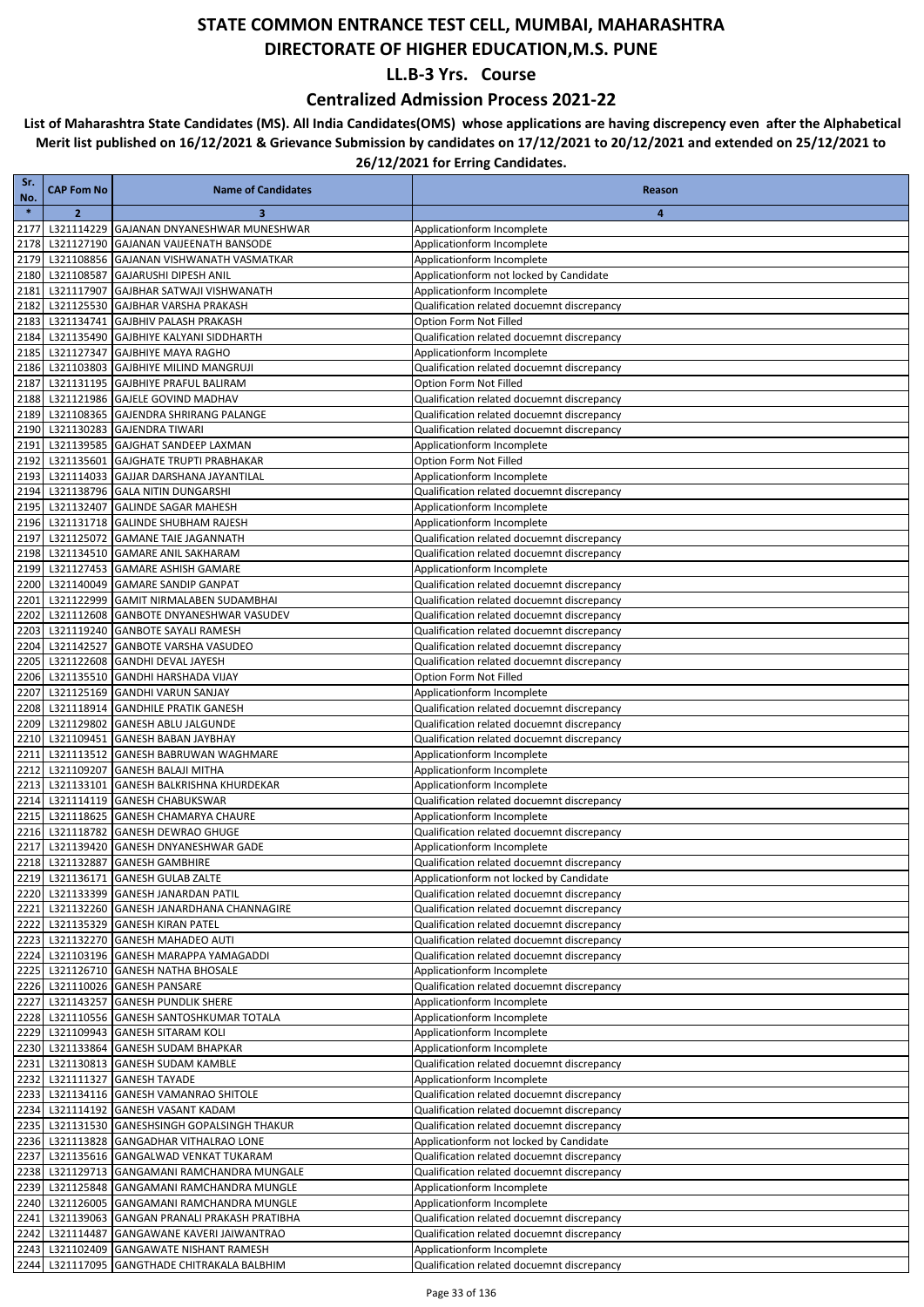### **Centralized Admission Process 2021-22**

| Sr.<br>No.   | <b>CAP Fom No</b> | <b>Name of Candidates</b>                                                                   | Reason                                                                                   |
|--------------|-------------------|---------------------------------------------------------------------------------------------|------------------------------------------------------------------------------------------|
| $\ast$       | $\overline{2}$    | 3                                                                                           | 4                                                                                        |
| 2177         |                   | L321114229 GAJANAN DNYANESHWAR MUNESHWAR                                                    | Applicationform Incomplete                                                               |
| 2178         |                   | L321127190 GAJANAN VAIJEENATH BANSODE                                                       | Applicationform Incomplete                                                               |
| 2179         |                   | L321108856 GAJANAN VISHWANATH VASMATKAR                                                     | Applicationform Incomplete                                                               |
| 2180         |                   | L321108587 GAJARUSHI DIPESH ANIL                                                            | Applicationform not locked by Candidate                                                  |
| 2181<br>2182 |                   | L321117907 GAJBHAR SATWAJI VISHWANATH<br>L321125530 GAJBHAR VARSHA PRAKASH                  | Applicationform Incomplete<br>Qualification related docuemnt discrepancy                 |
| 2183         |                   | L321134741 GAJBHIV PALASH PRAKASH                                                           | Option Form Not Filled                                                                   |
| 2184         |                   | L321135490 GAJBHIYE KALYANI SIDDHARTH                                                       | Qualification related docuemnt discrepancy                                               |
| 2185         |                   | L321127347 GAJBHIYE MAYA RAGHO                                                              | Applicationform Incomplete                                                               |
| 2186         |                   | L321103803 GAJBHIYE MILIND MANGRUJI                                                         | Qualification related docuemnt discrepancy                                               |
| 2187         |                   | L321131195 GAJBHIYE PRAFUL BALIRAM                                                          | Option Form Not Filled                                                                   |
| 2188         |                   | L321121986 GAJELE GOVIND MADHAV                                                             | Qualification related docuemnt discrepancy                                               |
| 2189<br>2190 |                   | L321108365 GAJENDRA SHRIRANG PALANGE<br>L321130283 GAJENDRA TIWARI                          | Qualification related docuemnt discrepancy<br>Qualification related docuemnt discrepancy |
| 2191         |                   | L321139585 GAJGHAT SANDEEP LAXMAN                                                           | Applicationform Incomplete                                                               |
| 2192         |                   | L321135601 GAJGHATE TRUPTI PRABHAKAR                                                        | Option Form Not Filled                                                                   |
| 2193         |                   | L321114033 GAJJAR DARSHANA JAYANTILAL                                                       | Applicationform Incomplete                                                               |
| 2194         |                   | L321138796 GALA NITIN DUNGARSHI                                                             | Qualification related docuemnt discrepancy                                               |
| 2195         |                   | L321132407 GALINDE SAGAR MAHESH                                                             | Applicationform Incomplete                                                               |
| 2196         |                   | L321131718 GALINDE SHUBHAM RAJESH                                                           | Applicationform Incomplete                                                               |
| 2197         |                   | L321125072 GAMANE TAIE JAGANNATH                                                            | Qualification related docuemnt discrepancy                                               |
| 2198<br>2199 |                   | L321134510 GAMARE ANIL SAKHARAM<br>L321127453 GAMARE ASHISH GAMARE                          | Qualification related docuemnt discrepancy<br>Applicationform Incomplete                 |
| 2200         |                   | L321140049 GAMARE SANDIP GANPAT                                                             | Qualification related docuemnt discrepancy                                               |
| 2201         |                   | L321122999 GAMIT NIRMALABEN SUDAMBHAI                                                       | Qualification related docuemnt discrepancy                                               |
| 2202         |                   | L321112608 GANBOTE DNYANESHWAR VASUDEV                                                      | Qualification related docuemnt discrepancy                                               |
| 2203         |                   | L321119240 GANBOTE SAYALI RAMESH                                                            | Qualification related docuemnt discrepancy                                               |
| 2204         |                   | L321142527 GANBOTE VARSHA VASUDEO                                                           | Qualification related docuemnt discrepancy                                               |
| 2205         |                   | L321122608 GANDHI DEVAL JAYESH                                                              | Qualification related docuemnt discrepancy                                               |
| 2206<br>2207 |                   | L321135510 GANDHI HARSHADA VIJAY<br>L321125169 GANDHI VARUN SANJAY                          | Option Form Not Filled<br>Applicationform Incomplete                                     |
| 2208         |                   | L321118914 GANDHILE PRATIK GANESH                                                           | Qualification related docuemnt discrepancy                                               |
| 2209         |                   | L321129802 GANESH ABLU JALGUNDE                                                             | Qualification related docuemnt discrepancy                                               |
| 2210         |                   | L321109451 GANESH BABAN JAYBHAY                                                             | Qualification related docuemnt discrepancy                                               |
| 2211         |                   | L321113512 GANESH BABRUWAN WAGHMARE                                                         | Applicationform Incomplete                                                               |
| 2212         |                   | L321109207 GANESH BALAJI MITHA                                                              | Applicationform Incomplete                                                               |
| 2213         |                   | L321133101 GANESH BALKRISHNA KHURDEKAR                                                      | Applicationform Incomplete                                                               |
| 2214<br>2215 |                   | L321114119 GANESH CHABUKSWAR<br>L321118625 GANESH CHAMARYA CHAURE                           | Qualification related docuemnt discrepancy<br>Applicationform Incomplete                 |
| 2216         |                   | L321118782 GANESH DEWRAO GHUGE                                                              | Qualification related docuemnt discrepancy                                               |
| 2217         |                   | L321139420 GANESH DNYANESHWAR GADE                                                          | Applicationform Incomplete                                                               |
| 2218         |                   | L321132887 GANESH GAMBHIRE                                                                  | Qualification related docuemnt discrepancy                                               |
|              |                   | 2219 L321136171 GANESH GULAB ZALTE                                                          | Applicationform not locked by Candidate                                                  |
|              |                   | 2220 L321133399 GANESH JANARDAN PATIL                                                       | Qualification related docuemnt discrepancy                                               |
|              |                   | 2221 L321132260 GANESH JANARDHANA CHANNAGIRE                                                | Qualification related docuemnt discrepancy                                               |
| 2222         |                   | L321135329 GANESH KIRAN PATEL<br>2223 L321132270 GANESH MAHADEO AUTI                        | Qualification related docuemnt discrepancy<br>Qualification related docuemnt discrepancy |
|              |                   | 2224 L321103196 GANESH MARAPPA YAMAGADDI                                                    | Qualification related docuemnt discrepancy                                               |
|              |                   | 2225 L321126710 GANESH NATHA BHOSALE                                                        | Applicationform Incomplete                                                               |
|              |                   | 2226 L321110026 GANESH PANSARE                                                              | Qualification related docuemnt discrepancy                                               |
| 2227         |                   | L321143257 GANESH PUNDLIK SHERE                                                             | Applicationform Incomplete                                                               |
|              |                   | 2228 L321110556 GANESH SANTOSHKUMAR TOTALA                                                  | Applicationform Incomplete                                                               |
|              |                   | 2229 L321109943 GANESH SITARAM KOLI                                                         | Applicationform Incomplete                                                               |
|              |                   | 2230 L321133864 GANESH SUDAM BHAPKAR<br>2231 L321130813 GANESH SUDAM KAMBLE                 | Applicationform Incomplete<br>Qualification related docuemnt discrepancy                 |
|              |                   | 2232 L321111327 GANESH TAYADE                                                               | Applicationform Incomplete                                                               |
|              |                   | 2233 L321134116 GANESH VAMANRAO SHITOLE                                                     | Qualification related docuemnt discrepancy                                               |
|              |                   | 2234 L321114192 GANESH VASANT KADAM                                                         | Qualification related docuemnt discrepancy                                               |
|              |                   | 2235 L321131530 GANESHSINGH GOPALSINGH THAKUR                                               | Qualification related docuemnt discrepancy                                               |
|              |                   | 2236 L321113828 GANGADHAR VITHALRAO LONE                                                    | Applicationform not locked by Candidate                                                  |
|              |                   | 2237 L321135616 GANGALWAD VENKAT TUKARAM                                                    | Qualification related docuemnt discrepancy                                               |
|              |                   | 2238 L321129713 GANGAMANI RAMCHANDRA MUNGALE<br>2239 L321125848 GANGAMANI RAMCHANDRA MUNGLE | Qualification related docuemnt discrepancy<br>Applicationform Incomplete                 |
|              |                   | 2240 L321126005 GANGAMANI RAMCHANDRA MUNGLE                                                 | Applicationform Incomplete                                                               |
|              |                   | 2241 L321139063 GANGAN PRANALI PRAKASH PRATIBHA                                             | Qualification related docuemnt discrepancy                                               |
|              |                   | 2242 L321114487 GANGAWANE KAVERI JAIWANTRAO                                                 | Qualification related docuemnt discrepancy                                               |
| 2243         |                   | L321102409 GANGAWATE NISHANT RAMESH                                                         | Applicationform Incomplete                                                               |
|              |                   | 2244 L321117095 GANGTHADE CHITRAKALA BALBHIM                                                | Qualification related docuemnt discrepancy                                               |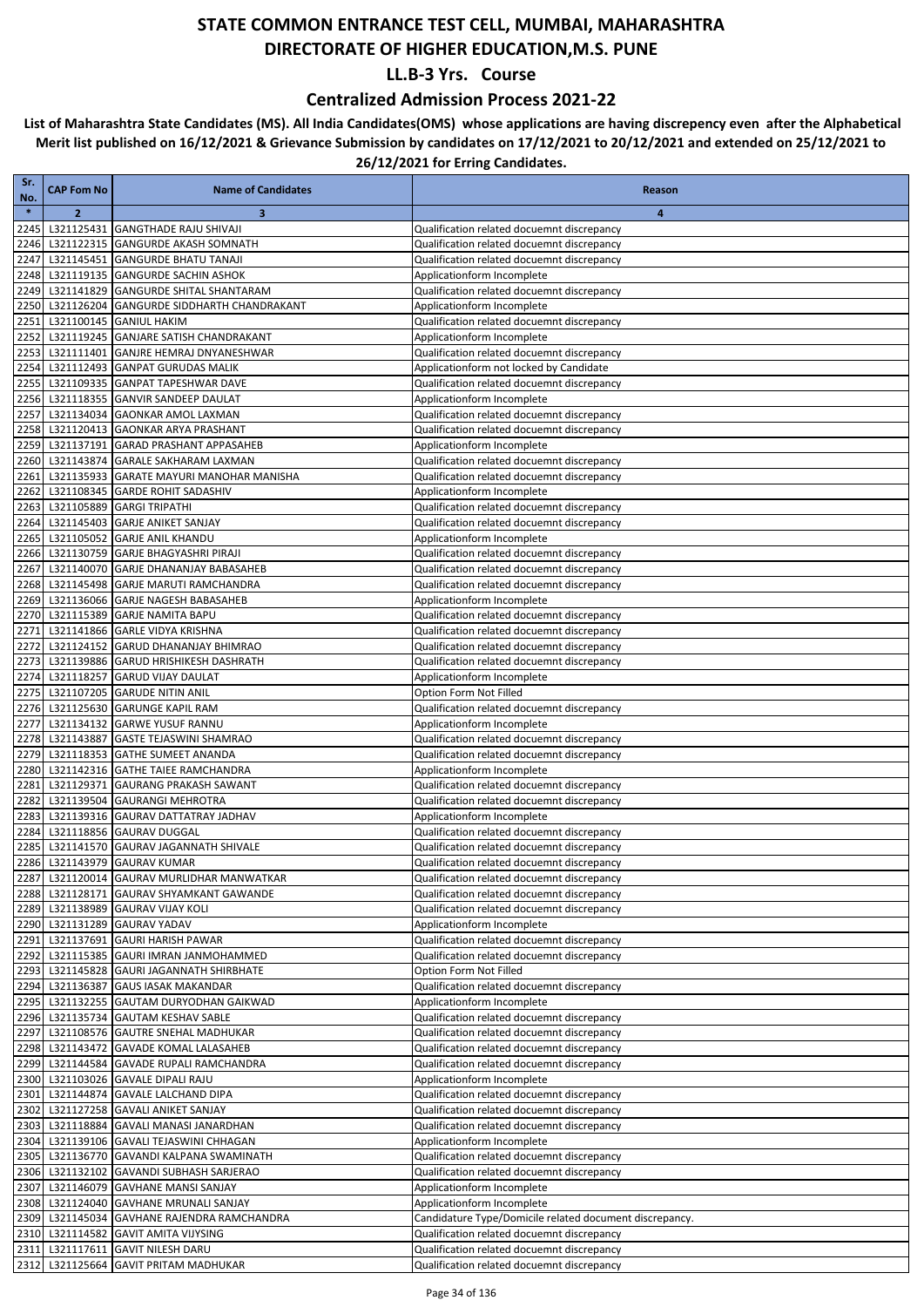### **Centralized Admission Process 2021-22**

| Sr.<br>No.   | <b>CAP Fom No</b> | <b>Name of Candidates</b>                                                              | Reason                                                                                                |
|--------------|-------------------|----------------------------------------------------------------------------------------|-------------------------------------------------------------------------------------------------------|
| $\ast$       | $\overline{2}$    | 3                                                                                      | 4                                                                                                     |
| 2245         |                   | L321125431 GANGTHADE RAJU SHIVAJI                                                      | Qualification related docuemnt discrepancy                                                            |
| 2246         |                   | L321122315 GANGURDE AKASH SOMNATH                                                      | Qualification related docuemnt discrepancy                                                            |
| 2247         |                   | L321145451 GANGURDE BHATU TANAJI                                                       | Qualification related docuemnt discrepancy                                                            |
| 2248         |                   | L321119135 GANGURDE SACHIN ASHOK                                                       | Applicationform Incomplete                                                                            |
| 2249         |                   | L321141829 GANGURDE SHITAL SHANTARAM                                                   | Qualification related docuemnt discrepancy                                                            |
| 2250         |                   | L321126204 GANGURDE SIDDHARTH CHANDRAKANT                                              | Applicationform Incomplete                                                                            |
| 2251         |                   | L321100145 GANIUL HAKIM<br>L321119245 GANJARE SATISH CHANDRAKANT                       | Qualification related docuemnt discrepancy<br>Applicationform Incomplete                              |
| 2252<br>2253 |                   | L321111401 GANJRE HEMRAJ DNYANESHWAR                                                   | Qualification related docuemnt discrepancy                                                            |
| 2254         |                   | L321112493 GANPAT GURUDAS MALIK                                                        | Applicationform not locked by Candidate                                                               |
| 2255         |                   | L321109335 GANPAT TAPESHWAR DAVE                                                       | Qualification related docuemnt discrepancy                                                            |
| 2256         |                   | L321118355 GANVIR SANDEEP DAULAT                                                       | Applicationform Incomplete                                                                            |
| 2257         |                   | L321134034 GAONKAR AMOL LAXMAN                                                         | Qualification related docuemnt discrepancy                                                            |
| 2258         |                   | L321120413 GAONKAR ARYA PRASHANT                                                       | Qualification related docuemnt discrepancy                                                            |
| 2259         |                   | L321137191 GARAD PRASHANT APPASAHEB                                                    | Applicationform Incomplete                                                                            |
| 2260         |                   | L321143874 GARALE SAKHARAM LAXMAN                                                      | Qualification related docuemnt discrepancy                                                            |
| 2261         |                   | L321135933 GARATE MAYURI MANOHAR MANISHA                                               | Qualification related docuemnt discrepancy                                                            |
| 2262         |                   | L321108345 GARDE ROHIT SADASHIV                                                        | Applicationform Incomplete                                                                            |
| 2263<br>2264 |                   | L321105889 GARGI TRIPATHI<br>L321145403 GARJE ANIKET SANJAY                            | Qualification related docuemnt discrepancy<br>Qualification related docuemnt discrepancy              |
| 2265         |                   | L321105052 GARJE ANIL KHANDU                                                           | Applicationform Incomplete                                                                            |
| 2266         |                   | L321130759 GARJE BHAGYASHRI PIRAJI                                                     | Qualification related docuemnt discrepancy                                                            |
| 2267         |                   | L321140070 GARJE DHANANJAY BABASAHEB                                                   | Qualification related docuemnt discrepancy                                                            |
| 2268         |                   | L321145498 GARJE MARUTI RAMCHANDRA                                                     | Qualification related docuemnt discrepancy                                                            |
| 2269         |                   | L321136066 GARJE NAGESH BABASAHEB                                                      | Applicationform Incomplete                                                                            |
| 2270         |                   | L321115389 GARJE NAMITA BAPU                                                           | Qualification related docuemnt discrepancy                                                            |
| 2271         |                   | L321141866 GARLE VIDYA KRISHNA                                                         | Qualification related docuemnt discrepancy                                                            |
| 2272         |                   | L321124152 GARUD DHANANJAY BHIMRAO                                                     | Qualification related docuemnt discrepancy                                                            |
| 2273         |                   | L321139886 GARUD HRISHIKESH DASHRATH                                                   | Qualification related docuemnt discrepancy                                                            |
| 2274         |                   | L321118257 GARUD VIJAY DAULAT                                                          | Applicationform Incomplete                                                                            |
| 2275         |                   | L321107205 GARUDE NITIN ANIL                                                           | Option Form Not Filled                                                                                |
| 2276<br>2277 |                   | L321125630 GARUNGE KAPIL RAM<br>L321134132 GARWE YUSUF RANNU                           | Qualification related docuemnt discrepancy<br>Applicationform Incomplete                              |
| 2278         |                   | L321143887 GASTE TEJASWINI SHAMRAO                                                     | Qualification related docuemnt discrepancy                                                            |
| 2279         |                   | L321118353 GATHE SUMEET ANANDA                                                         | Qualification related docuemnt discrepancy                                                            |
| 2280         |                   | L321142316 GATHE TAIEE RAMCHANDRA                                                      | Applicationform Incomplete                                                                            |
| 2281         |                   | L321129371 GAURANG PRAKASH SAWANT                                                      | Qualification related docuemnt discrepancy                                                            |
| 2282         |                   | L321139504 GAURANGI MEHROTRA                                                           | Qualification related docuemnt discrepancy                                                            |
| 2283         |                   | L321139316 GAURAV DATTATRAY JADHAV                                                     | Applicationform Incomplete                                                                            |
| 2284         |                   | L321118856 GAURAV DUGGAL                                                               | Qualification related docuemnt discrepancy                                                            |
| 2285         |                   | L321141570 GAURAV JAGANNATH SHIVALE                                                    | Qualification related docuemnt discrepancy                                                            |
| 2286         |                   | L321143979 GAURAV KUMAR                                                                | Qualification related docuemnt discrepancy                                                            |
|              |                   | 2287 L321120014 GAURAV MURLIDHAR MANWATKAR<br>2288 L321128171 GAURAV SHYAMKANT GAWANDE | Qualification related docuemnt discrepancy<br>Qualification related docuemnt discrepancy              |
|              |                   | 2289 L321138989 GAURAV VIJAY KOLI                                                      | Qualification related docuemnt discrepancy                                                            |
|              |                   | 2290 L321131289 GAURAV YADAV                                                           | Applicationform Incomplete                                                                            |
| 2291         |                   | L321137691 GAURI HARISH PAWAR                                                          | Qualification related docuemnt discrepancy                                                            |
| 2292         |                   | L321115385 GAURI IMRAN JANMOHAMMED                                                     | Qualification related docuemnt discrepancy                                                            |
|              |                   | 2293 L321145828 GAURI JAGANNATH SHIRBHATE                                              | Option Form Not Filled                                                                                |
|              |                   | 2294 L321136387 GAUS IASAK MAKANDAR                                                    | Qualification related docuemnt discrepancy                                                            |
| 2295         |                   | L321132255 GAUTAM DURYODHAN GAIKWAD                                                    | Applicationform Incomplete                                                                            |
|              |                   | 2296 L321135734 GAUTAM KESHAV SABLE                                                    | Qualification related docuemnt discrepancy                                                            |
| 2297         |                   | L321108576 GAUTRE SNEHAL MADHUKAR<br>2298 L321143472 GAVADE KOMAL LALASAHEB            | Qualification related docuemnt discrepancy<br>Qualification related docuemnt discrepancy              |
| 2299         |                   |                                                                                        | Qualification related docuemnt discrepancy                                                            |
|              |                   | L321144584 GAVADE RUPALI RAMCHANDRA<br>2300 L321103026 GAVALE DIPALI RAJU              | Applicationform Incomplete                                                                            |
|              |                   | 2301 L321144874 GAVALE LALCHAND DIPA                                                   | Qualification related docuemnt discrepancy                                                            |
| 2302         |                   | L321127258 GAVALI ANIKET SANJAY                                                        | Qualification related docuemnt discrepancy                                                            |
|              |                   | 2303 L321118884 GAVALI MANASI JANARDHAN                                                | Qualification related docuemnt discrepancy                                                            |
|              |                   | 2304 L321139106 GAVALI TEJASWINI CHHAGAN                                               | Applicationform Incomplete                                                                            |
|              |                   | 2305 L321136770 GAVANDI KALPANA SWAMINATH                                              | Qualification related docuemnt discrepancy                                                            |
|              |                   | 2306 L321132102 GAVANDI SUBHASH SARJERAO                                               | Qualification related docuemnt discrepancy                                                            |
|              |                   | 2307 L321146079 GAVHANE MANSI SANJAY                                                   | Applicationform Incomplete                                                                            |
|              |                   | 2308 L321124040 GAVHANE MRUNALI SANJAY                                                 | Applicationform Incomplete                                                                            |
|              |                   | 2309 L321145034 GAVHANE RAJENDRA RAMCHANDRA<br>2310 L321114582 GAVIT AMITA VIJYSING    | Candidature Type/Domicile related document discrepancy.<br>Qualification related docuemnt discrepancy |
|              |                   | 2311 L321117611 GAVIT NILESH DARU                                                      | Qualification related docuemnt discrepancy                                                            |
|              |                   | 2312 L321125664 GAVIT PRITAM MADHUKAR                                                  | Qualification related docuemnt discrepancy                                                            |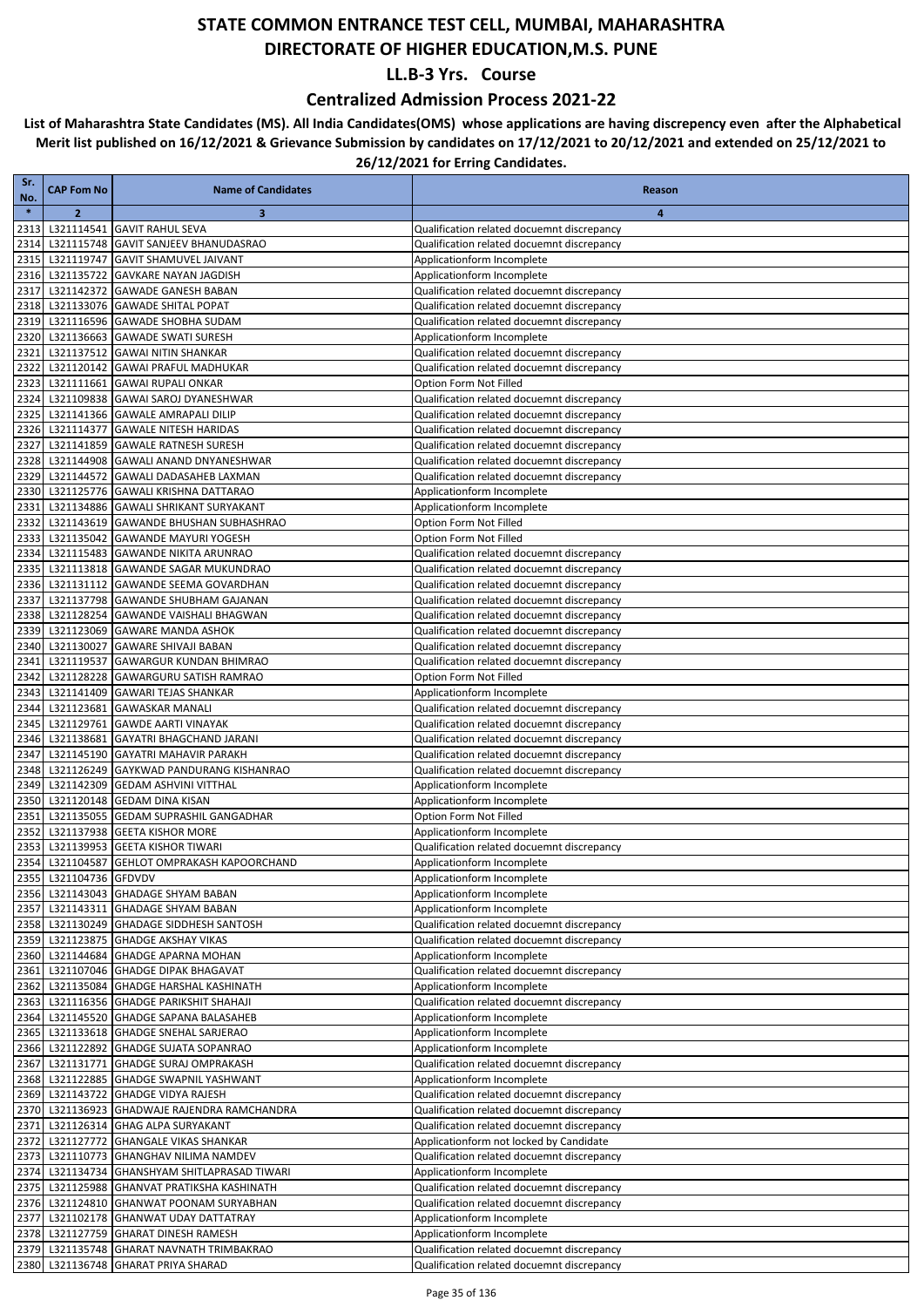### **Centralized Admission Process 2021-22**

| Sr.<br>No.   | <b>CAP Fom No</b>      | <b>Name of Candidates</b>                                                       | Reason                                                                                   |
|--------------|------------------------|---------------------------------------------------------------------------------|------------------------------------------------------------------------------------------|
| $\ast$       | $\overline{2}$         | 3                                                                               | 4                                                                                        |
| 2313         |                        | L321114541 GAVIT RAHUL SEVA                                                     | Qualification related docuemnt discrepancy                                               |
| 2314         |                        | L321115748 GAVIT SANJEEV BHANUDASRAO                                            | Qualification related docuemnt discrepancy                                               |
| 2315         |                        | L321119747 GAVIT SHAMUVEL JAIVANT                                               | Applicationform Incomplete                                                               |
| 2316         |                        | L321135722 GAVKARE NAYAN JAGDISH                                                | Applicationform Incomplete                                                               |
| 2317         |                        | L321142372 GAWADE GANESH BABAN                                                  | Qualification related docuemnt discrepancy                                               |
| 2318         |                        | L321133076 GAWADE SHITAL POPAT                                                  | Qualification related docuemnt discrepancy                                               |
| 2319         |                        | L321116596 GAWADE SHOBHA SUDAM                                                  | Qualification related docuemnt discrepancy                                               |
| 2320         |                        | L321136663 GAWADE SWATI SURESH                                                  | Applicationform Incomplete                                                               |
| 2321         |                        | L321137512 GAWAI NITIN SHANKAR<br>L321120142 GAWAI PRAFUL MADHUKAR              | Qualification related docuemnt discrepancy                                               |
| 2322<br>2323 |                        | L321111661 GAWAI RUPALI ONKAR                                                   | Qualification related docuemnt discrepancy<br>Option Form Not Filled                     |
| 2324         |                        | L321109838 GAWAI SAROJ DYANESHWAR                                               | Qualification related docuemnt discrepancy                                               |
| 2325         |                        | L321141366 GAWALE AMRAPALI DILIP                                                | Qualification related docuemnt discrepancy                                               |
| 2326         |                        | L321114377 GAWALE NITESH HARIDAS                                                | Qualification related docuemnt discrepancy                                               |
| 2327         |                        | L321141859 GAWALE RATNESH SURESH                                                | Qualification related docuemnt discrepancy                                               |
| 2328         |                        | L321144908 GAWALI ANAND DNYANESHWAR                                             | Qualification related docuemnt discrepancy                                               |
| 2329         |                        | L321144572 GAWALI DADASAHEB LAXMAN                                              | Qualification related docuemnt discrepancy                                               |
| 2330         |                        | L321125776 GAWALI KRISHNA DATTARAO                                              | Applicationform Incomplete                                                               |
| 2331         |                        | L321134886 GAWALI SHRIKANT SURYAKANT                                            | Applicationform Incomplete                                                               |
| 2332         |                        | L321143619 GAWANDE BHUSHAN SUBHASHRAO                                           | Option Form Not Filled                                                                   |
| 2333         |                        | L321135042 GAWANDE MAYURI YOGESH                                                | Option Form Not Filled                                                                   |
| 2334         |                        | L321115483 GAWANDE NIKITA ARUNRAO                                               | Qualification related docuemnt discrepancy                                               |
| 2335<br>2336 |                        | L321113818 GAWANDE SAGAR MUKUNDRAO<br>L321131112 GAWANDE SEEMA GOVARDHAN        | Qualification related docuemnt discrepancy<br>Qualification related docuemnt discrepancy |
| 2337         |                        | L321137798 GAWANDE SHUBHAM GAJANAN                                              | Qualification related docuemnt discrepancy                                               |
| 2338         |                        | L321128254 GAWANDE VAISHALI BHAGWAN                                             | Qualification related docuemnt discrepancy                                               |
| 2339         |                        | L321123069 GAWARE MANDA ASHOK                                                   | Qualification related docuemnt discrepancy                                               |
| 2340         |                        | L321130027 GAWARE SHIVAJI BABAN                                                 | Qualification related docuemnt discrepancy                                               |
| 2341         |                        | L321119537 GAWARGUR KUNDAN BHIMRAO                                              | Qualification related docuemnt discrepancy                                               |
| 2342         |                        | L321128228 GAWARGURU SATISH RAMRAO                                              | Option Form Not Filled                                                                   |
| 2343         |                        | L321141409 GAWARI TEJAS SHANKAR                                                 | Applicationform Incomplete                                                               |
| 2344         |                        | L321123681 GAWASKAR MANALI                                                      | Qualification related docuemnt discrepancy                                               |
| 2345         |                        | L321129761 GAWDE AARTI VINAYAK                                                  | Qualification related docuemnt discrepancy                                               |
| 2346         |                        | L321138681 GAYATRI BHAGCHAND JARANI                                             | Qualification related docuemnt discrepancy                                               |
| 2347<br>2348 |                        | L321145190 GAYATRI MAHAVIR PARAKH<br>L321126249 GAYKWAD PANDURANG KISHANRAO     | Qualification related docuemnt discrepancy<br>Qualification related docuemnt discrepancy |
| 2349         |                        | L321142309 GEDAM ASHVINI VITTHAL                                                | Applicationform Incomplete                                                               |
| 2350         |                        | L321120148 GEDAM DINA KISAN                                                     | Applicationform Incomplete                                                               |
| 2351         |                        | L321135055 GEDAM SUPRASHIL GANGADHAR                                            | Option Form Not Filled                                                                   |
| 2352         |                        | L321137938 GEETA KISHOR MORE                                                    | Applicationform Incomplete                                                               |
| 2353         |                        | L321139953 GEETA KISHOR TIWARI                                                  | Qualification related docuemnt discrepancy                                               |
| 2354         |                        | L321104587 GEHLOT OMPRAKASH KAPOORCHAND                                         | Applicationform Incomplete                                                               |
|              | 2355 L321104736 GFDVDV |                                                                                 | Applicationform Incomplete                                                               |
|              |                        | 2356 L321143043 GHADAGE SHYAM BABAN                                             | Applicationform Incomplete                                                               |
|              |                        | 2357 L321143311 GHADAGE SHYAM BABAN                                             | Applicationform Incomplete                                                               |
|              |                        | 2358 L321130249 GHADAGE SIDDHESH SANTOSH<br>2359 L321123875 GHADGE AKSHAY VIKAS | Qualification related docuemnt discrepancy<br>Qualification related docuemnt discrepancy |
|              |                        | 2360 L321144684 GHADGE APARNA MOHAN                                             | Applicationform Incomplete                                                               |
| 2361         |                        | L321107046 GHADGE DIPAK BHAGAVAT                                                | Qualification related docuemnt discrepancy                                               |
| 2362         |                        | L321135084 GHADGE HARSHAL KASHINATH                                             | Applicationform Incomplete                                                               |
|              |                        | 2363 L321116356 GHADGE PARIKSHIT SHAHAJI                                        | Qualification related docuemnt discrepancy                                               |
|              |                        | 2364 L321145520 GHADGE SAPANA BALASAHEB                                         | Applicationform Incomplete                                                               |
| 2365         |                        | L321133618 GHADGE SNEHAL SARJERAO                                               | Applicationform Incomplete                                                               |
|              |                        | 2366 L321122892 GHADGE SUJATA SOPANRAO                                          | Applicationform Incomplete                                                               |
|              |                        | 2367 L321131771 GHADGE SURAJ OMPRAKASH                                          | Qualification related docuemnt discrepancy                                               |
|              |                        | 2368 L321122885 GHADGE SWAPNIL YASHWANT                                         | Applicationform Incomplete                                                               |
|              |                        | 2369 L321143722 GHADGE VIDYA RAJESH                                             | Qualification related docuemnt discrepancy                                               |
| 2371         |                        | 2370 L321136923 GHADWAJE RAJENDRA RAMCHANDRA<br>L321126314 GHAG ALPA SURYAKANT  | Qualification related docuemnt discrepancy<br>Qualification related docuemnt discrepancy |
| 2372         |                        | L321127772 GHANGALE VIKAS SHANKAR                                               | Applicationform not locked by Candidate                                                  |
|              |                        | 2373 L321110773 GHANGHAV NILIMA NAMDEV                                          | Qualification related docuemnt discrepancy                                               |
|              |                        | 2374 L321134734 GHANSHYAM SHITLAPRASAD TIWARI                                   | Applicationform Incomplete                                                               |
| 2375         |                        | L321125988 GHANVAT PRATIKSHA KASHINATH                                          | Qualification related docuemnt discrepancy                                               |
|              |                        | 2376 L321124810 GHANWAT POONAM SURYABHAN                                        | Qualification related docuemnt discrepancy                                               |
|              |                        | 2377 L321102178 GHANWAT UDAY DATTATRAY                                          | Applicationform Incomplete                                                               |
|              |                        | 2378 L321127759 GHARAT DINESH RAMESH                                            | Applicationform Incomplete                                                               |
|              |                        | 2379 L321135748 GHARAT NAVNATH TRIMBAKRAO                                       | Qualification related docuemnt discrepancy                                               |
|              |                        | 2380 L321136748 GHARAT PRIYA SHARAD                                             | Qualification related docuemnt discrepancy                                               |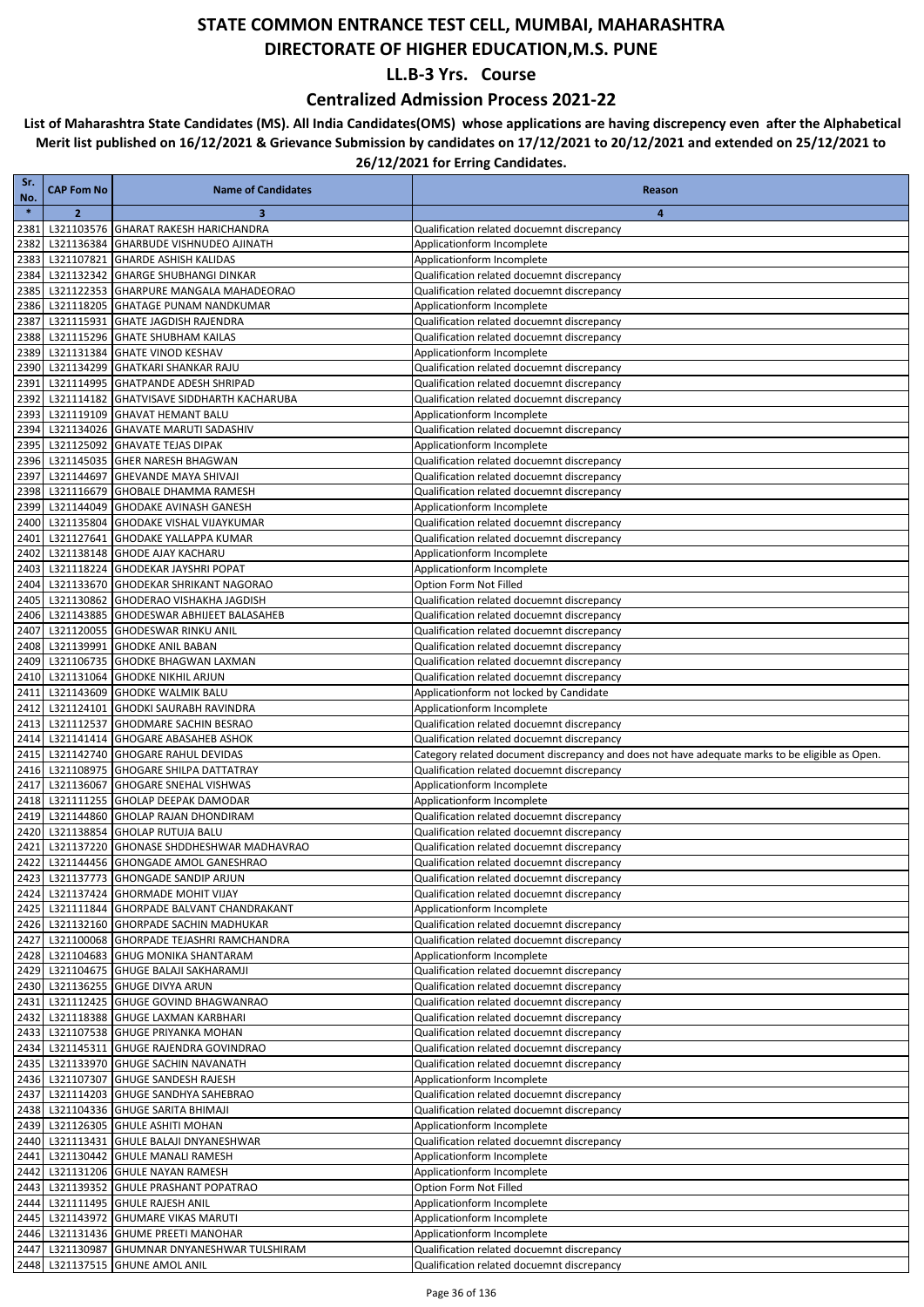### **Centralized Admission Process 2021-22**

| Sr.<br>No.   | <b>CAP Fom No</b> | <b>Name of Candidates</b>                                                    | Reason                                                                                         |
|--------------|-------------------|------------------------------------------------------------------------------|------------------------------------------------------------------------------------------------|
| $\ast$       | $\overline{2}$    | 3                                                                            | 4                                                                                              |
| 2381         |                   | L321103576 GHARAT RAKESH HARICHANDRA                                         | Qualification related docuemnt discrepancy                                                     |
| 2382         |                   | L321136384 GHARBUDE VISHNUDEO AJINATH                                        | Applicationform Incomplete                                                                     |
| 2383         |                   | L321107821 GHARDE ASHISH KALIDAS                                             | Applicationform Incomplete                                                                     |
| 2384         |                   | L321132342 GHARGE SHUBHANGI DINKAR                                           | Qualification related docuemnt discrepancy                                                     |
| 2385         |                   | L321122353 GHARPURE MANGALA MAHADEORAO                                       | Qualification related docuemnt discrepancy                                                     |
| 2386         |                   | L321118205 GHATAGE PUNAM NANDKUMAR                                           | Applicationform Incomplete                                                                     |
| 2387         |                   | L321115931 GHATE JAGDISH RAJENDRA                                            | Qualification related docuemnt discrepancy                                                     |
| 2388         |                   | L321115296 GHATE SHUBHAM KAILAS<br>L321131384 GHATE VINOD KESHAV             | Qualification related docuemnt discrepancy<br>Applicationform Incomplete                       |
| 2389<br>2390 |                   | L321134299 GHATKARI SHANKAR RAJU                                             | Qualification related docuemnt discrepancy                                                     |
| 2391         |                   | L321114995 GHATPANDE ADESH SHRIPAD                                           | Qualification related docuemnt discrepancy                                                     |
| 2392         |                   | L321114182 GHATVISAVE SIDDHARTH KACHARUBA                                    | Qualification related docuemnt discrepancy                                                     |
| 2393         |                   | L321119109 GHAVAT HEMANT BALU                                                | Applicationform Incomplete                                                                     |
| 2394         |                   | L321134026 GHAVATE MARUTI SADASHIV                                           | Qualification related docuemnt discrepancy                                                     |
| 2395         |                   | L321125092 GHAVATE TEJAS DIPAK                                               | Applicationform Incomplete                                                                     |
| 2396         |                   | L321145035 GHER NARESH BHAGWAN                                               | Qualification related docuemnt discrepancy                                                     |
| 2397         |                   | L321144697 GHEVANDE MAYA SHIVAJI                                             | Qualification related docuemnt discrepancy                                                     |
| 2398         |                   | L321116679 GHOBALE DHAMMA RAMESH                                             | Qualification related docuemnt discrepancy                                                     |
| 2399         |                   | L321144049 GHODAKE AVINASH GANESH                                            | Applicationform Incomplete                                                                     |
| 2400         |                   | L321135804 GHODAKE VISHAL VIJAYKUMAR                                         | Qualification related docuemnt discrepancy                                                     |
| 2401         |                   | L321127641 GHODAKE YALLAPPA KUMAR                                            | Qualification related docuemnt discrepancy                                                     |
| 2402         |                   | L321138148 GHODE AJAY KACHARU                                                | Applicationform Incomplete                                                                     |
| 2403<br>2404 |                   | L321118224 GHODEKAR JAYSHRI POPAT<br>L321133670 GHODEKAR SHRIKANT NAGORAO    | Applicationform Incomplete<br>Option Form Not Filled                                           |
| 2405         |                   | L321130862 GHODERAO VISHAKHA JAGDISH                                         | Qualification related docuemnt discrepancy                                                     |
| 2406         |                   | L321143885 GHODESWAR ABHIJEET BALASAHEB                                      | Qualification related docuemnt discrepancy                                                     |
| 2407         |                   | L321120055 GHODESWAR RINKU ANIL                                              | Qualification related docuemnt discrepancy                                                     |
| 2408         |                   | L321139991 GHODKE ANIL BABAN                                                 | Qualification related docuemnt discrepancy                                                     |
| 2409         |                   | L321106735 GHODKE BHAGWAN LAXMAN                                             | Qualification related docuemnt discrepancy                                                     |
| 2410         |                   | L321131064 GHODKE NIKHIL ARJUN                                               | Qualification related docuemnt discrepancy                                                     |
| 2411         |                   | L321143609 GHODKE WALMIK BALU                                                | Applicationform not locked by Candidate                                                        |
| 2412         |                   | L321124101 GHODKI SAURABH RAVINDRA                                           | Applicationform Incomplete                                                                     |
| 2413         |                   | L321112537 GHODMARE SACHIN BESRAO                                            | Qualification related docuemnt discrepancy                                                     |
| 2414         |                   | L321141414 GHOGARE ABASAHEB ASHOK                                            | Qualification related docuemnt discrepancy                                                     |
| 2415         |                   | L321142740 GHOGARE RAHUL DEVIDAS                                             | Category related document discrepancy and does not have adequate marks to be eligible as Open. |
| 2416         |                   | L321108975 GHOGARE SHILPA DATTATRAY<br>L321136067 GHOGARE SNEHAL VISHWAS     | Qualification related docuemnt discrepancy<br>Applicationform Incomplete                       |
| 2417<br>2418 |                   | L321111255 GHOLAP DEEPAK DAMODAR                                             | Applicationform Incomplete                                                                     |
| 2419         |                   | L321144860 GHOLAP RAJAN DHONDIRAM                                            | Qualification related docuemnt discrepancy                                                     |
| 2420         |                   | L321138854 GHOLAP RUTUJA BALU                                                | Qualification related docuemnt discrepancy                                                     |
| 2421         |                   | L321137220 GHONASE SHDDHESHWAR MADHAVRAO                                     | Qualification related docuemnt discrepancy                                                     |
| 2422         |                   | L321144456 GHONGADE AMOL GANESHRAO                                           | Qualification related docuemnt discrepancy                                                     |
|              |                   | 2423 L321137773 GHONGADE SANDIP ARJUN                                        | Qualification related docuemnt discrepancy                                                     |
|              |                   | 2424 L321137424 GHORMADE MOHIT VIJAY                                         | Qualification related docuemnt discrepancy                                                     |
|              |                   | 2425 L321111844 GHORPADE BALVANT CHANDRAKANT                                 | Applicationform Incomplete                                                                     |
|              |                   | 2426 L321132160 GHORPADE SACHIN MADHUKAR                                     | Qualification related docuemnt discrepancy                                                     |
|              |                   | 2427 L321100068 GHORPADE TEJASHRI RAMCHANDRA                                 | Qualification related docuemnt discrepancy                                                     |
|              |                   | 2428 L321104683 GHUG MONIKA SHANTARAM                                        | Applicationform Incomplete                                                                     |
|              |                   | 2429 L321104675 GHUGE BALAJI SAKHARAMJI                                      | Qualification related docuemnt discrepancy<br>Qualification related docuemnt discrepancy       |
|              |                   | 2430 L321136255 GHUGE DIVYA ARUN<br>2431 L321112425 GHUGE GOVIND BHAGWANRAO  | Qualification related docuemnt discrepancy                                                     |
|              |                   | 2432 L321118388 GHUGE LAXMAN KARBHARI                                        | Qualification related docuemnt discrepancy                                                     |
|              |                   | 2433 L321107538 GHUGE PRIYANKA MOHAN                                         | Qualification related docuemnt discrepancy                                                     |
|              |                   | 2434 L321145311 GHUGE RAJENDRA GOVINDRAO                                     | Qualification related docuemnt discrepancy                                                     |
|              |                   | 2435 L321133970 GHUGE SACHIN NAVANATH                                        | Qualification related docuemnt discrepancy                                                     |
|              |                   | 2436 L321107307 GHUGE SANDESH RAJESH                                         | Applicationform Incomplete                                                                     |
|              |                   | 2437 L321114203 GHUGE SANDHYA SAHEBRAO                                       | Qualification related docuemnt discrepancy                                                     |
|              |                   | 2438 L321104336 GHUGE SARITA BHIMAJI                                         | Qualification related docuemnt discrepancy                                                     |
|              |                   | 2439 L321126305 GHULE ASHITI MOHAN                                           | Applicationform Incomplete                                                                     |
|              |                   | 2440 L321113431 GHULE BALAJI DNYANESHWAR                                     | Qualification related docuemnt discrepancy                                                     |
|              |                   | 2441 L321130442 GHULE MANALI RAMESH                                          | Applicationform Incomplete                                                                     |
|              |                   | 2442 L321131206 GHULE NAYAN RAMESH                                           | Applicationform Incomplete                                                                     |
|              |                   | 2443 L321139352 GHULE PRASHANT POPATRAO<br>2444 L321111495 GHULE RAJESH ANIL | Option Form Not Filled                                                                         |
|              |                   | 2445 L321143972 GHUMARE VIKAS MARUTI                                         | Applicationform Incomplete<br>Applicationform Incomplete                                       |
|              |                   | 2446 L321131436 GHUME PREETI MANOHAR                                         | Applicationform Incomplete                                                                     |
|              |                   | 2447 L321130987 GHUMNAR DNYANESHWAR TULSHIRAM                                | Qualification related docuemnt discrepancy                                                     |
|              |                   | 2448 L321137515 GHUNE AMOL ANIL                                              | Qualification related docuemnt discrepancy                                                     |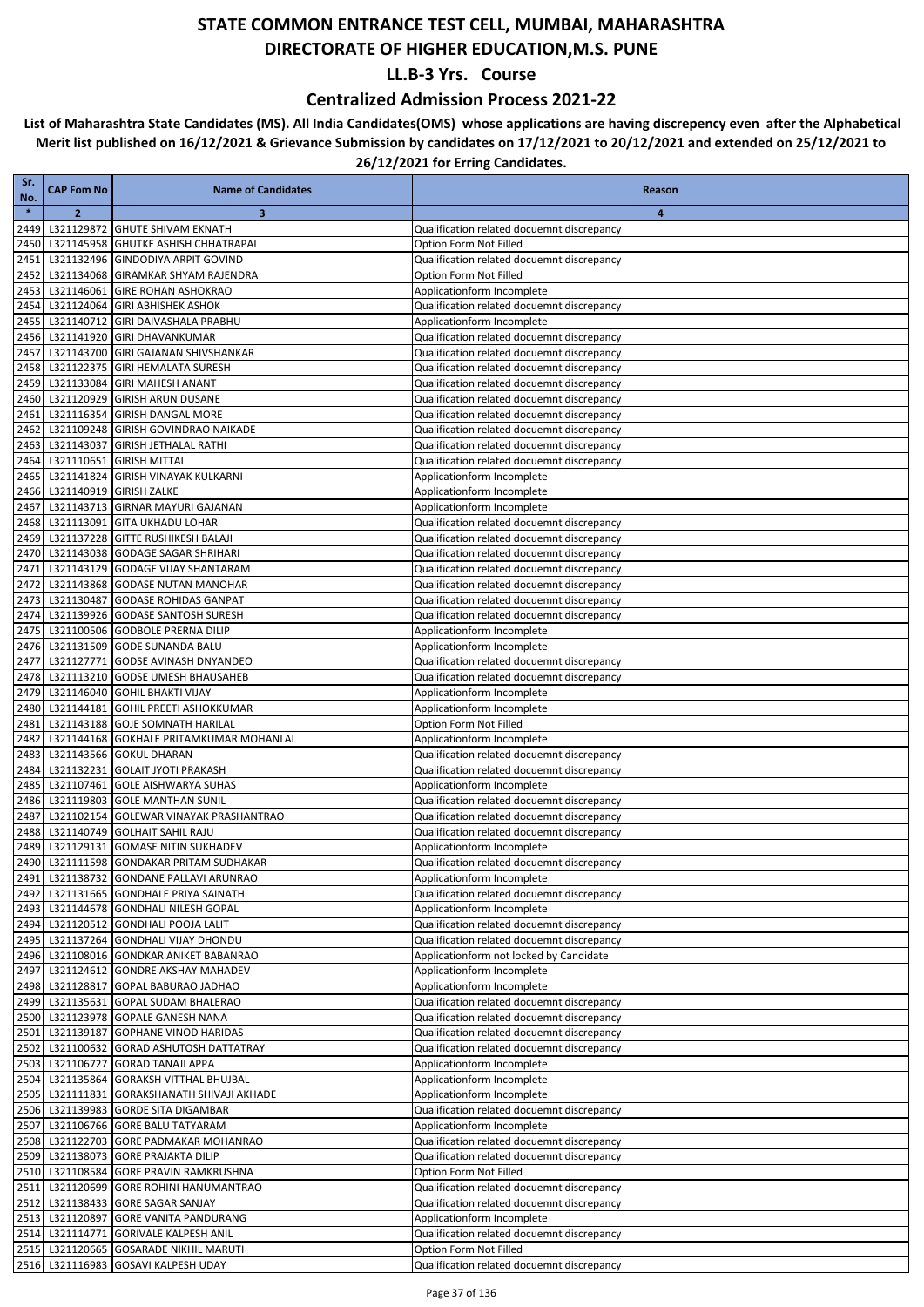### **Centralized Admission Process 2021-22**

| Sr.<br>No.   | <b>CAP Fom No</b>       | <b>Name of Candidates</b>                                                     | Reason                                                                                   |
|--------------|-------------------------|-------------------------------------------------------------------------------|------------------------------------------------------------------------------------------|
| $\ast$       | $\overline{2}$          | 3                                                                             | 4                                                                                        |
| 2449         |                         | L321129872 GHUTE SHIVAM EKNATH                                                | Qualification related docuemnt discrepancy                                               |
| 2450         |                         | L321145958 GHUTKE ASHISH CHHATRAPAL                                           | Option Form Not Filled                                                                   |
| 2451         |                         | L321132496 GINDODIYA ARPIT GOVIND                                             | Qualification related docuemnt discrepancy                                               |
| 2452         |                         | L321134068 GIRAMKAR SHYAM RAJENDRA                                            | Option Form Not Filled                                                                   |
| 2453<br>2454 |                         | L321146061 GIRE ROHAN ASHOKRAO                                                | Applicationform Incomplete                                                               |
| 2455         |                         | L321124064 GIRI ABHISHEK ASHOK<br>L321140712 GIRI DAIVASHALA PRABHU           | Qualification related docuemnt discrepancy<br>Applicationform Incomplete                 |
| 2456         |                         | L321141920 GIRI DHAVANKUMAR                                                   | Qualification related docuemnt discrepancy                                               |
| 2457         |                         | L321143700 GIRI GAJANAN SHIVSHANKAR                                           | Qualification related docuemnt discrepancy                                               |
| 2458         |                         | L321122375 GIRI HEMALATA SURESH                                               | Qualification related docuemnt discrepancy                                               |
| 2459         |                         | L321133084 GIRI MAHESH ANANT                                                  | Qualification related docuemnt discrepancy                                               |
| 2460         |                         | L321120929 GIRISH ARUN DUSANE                                                 | Qualification related docuemnt discrepancy                                               |
| 2461<br>2462 |                         | L321116354 GIRISH DANGAL MORE<br>L321109248 GIRISH GOVINDRAO NAIKADE          | Qualification related docuemnt discrepancy<br>Qualification related docuemnt discrepancy |
| 2463         |                         | L321143037 GIRISH JETHALAL RATHI                                              | Qualification related docuemnt discrepancy                                               |
| 2464         |                         | L321110651 GIRISH MITTAL                                                      | Qualification related docuemnt discrepancy                                               |
| 2465         |                         | L321141824 GIRISH VINAYAK KULKARNI                                            | Applicationform Incomplete                                                               |
| 2466         | L321140919 GIRISH ZALKE |                                                                               | Applicationform Incomplete                                                               |
| 2467         |                         | L321143713 GIRNAR MAYURI GAJANAN                                              | Applicationform Incomplete                                                               |
| 2468         |                         | L321113091 GITA UKHADU LOHAR                                                  | Qualification related docuemnt discrepancy                                               |
| 2469<br>2470 |                         | L321137228 GITTE RUSHIKESH BALAJI<br>L321143038 GODAGE SAGAR SHRIHARI         | Qualification related docuemnt discrepancy<br>Qualification related docuemnt discrepancy |
| 2471         |                         | L321143129 GODAGE VIJAY SHANTARAM                                             | Qualification related docuemnt discrepancy                                               |
| 2472         |                         | L321143868 GODASE NUTAN MANOHAR                                               | Qualification related docuemnt discrepancy                                               |
| 2473         |                         | L321130487 GODASE ROHIDAS GANPAT                                              | Qualification related docuemnt discrepancy                                               |
| 2474         |                         | L321139926 GODASE SANTOSH SURESH                                              | Qualification related docuemnt discrepancy                                               |
| 2475         |                         | L321100506 GODBOLE PRERNA DILIP                                               | Applicationform Incomplete                                                               |
| 2476         |                         | L321131509 GODE SUNANDA BALU                                                  | Applicationform Incomplete                                                               |
| 2477         |                         | L321127771 GODSE AVINASH DNYANDEO                                             | Qualification related docuemnt discrepancy                                               |
| 2478<br>2479 |                         | L321113210 GODSE UMESH BHAUSAHEB<br>L321146040 GOHIL BHAKTI VIJAY             | Qualification related docuemnt discrepancy<br>Applicationform Incomplete                 |
| 2480         |                         | L321144181 GOHIL PREETI ASHOKKUMAR                                            | Applicationform Incomplete                                                               |
| 2481         |                         | L321143188 GOJE SOMNATH HARILAL                                               | Option Form Not Filled                                                                   |
| 2482         |                         | L321144168 GOKHALE PRITAMKUMAR MOHANLAL                                       | Applicationform Incomplete                                                               |
| 2483         |                         | L321143566 GOKUL DHARAN                                                       | Qualification related docuemnt discrepancy                                               |
| 2484         |                         | L321132231 GOLAIT JYOTI PRAKASH                                               | Qualification related docuemnt discrepancy                                               |
| 2485<br>2486 |                         | L321107461 GOLE AISHWARYA SUHAS<br>L321119803 GOLE MANTHAN SUNIL              | Applicationform Incomplete<br>Qualification related docuemnt discrepancy                 |
| 2487         |                         | L321102154 GOLEWAR VINAYAK PRASHANTRAO                                        | Qualification related docuemnt discrepancy                                               |
| 2488         |                         | L321140749 GOLHAIT SAHIL RAJU                                                 | Qualification related docuemnt discrepancy                                               |
| 2489         |                         | L321129131 GOMASE NITIN SUKHADEV                                              | Applicationform Incomplete                                                               |
| 2490         |                         | L321111598 GONDAKAR PRITAM SUDHAKAR                                           | Qualification related docuemnt discrepancy                                               |
|              |                         | 2491 L321138732 GONDANE PALLAVI ARUNRAO                                       | Applicationform Incomplete                                                               |
|              |                         | 2492 L321131665 GONDHALE PRIYA SAINATH                                        | Qualification related docuemnt discrepancy                                               |
|              |                         | 2493 L321144678 GONDHALI NILESH GOPAL<br>2494 L321120512 GONDHALI POOJA LALIT | Applicationform Incomplete<br>Qualification related docuemnt discrepancy                 |
| 2495         |                         | L321137264 GONDHALI VIJAY DHONDU                                              | Qualification related docuemnt discrepancy                                               |
|              |                         | 2496 L321108016 GONDKAR ANIKET BABANRAO                                       | Applicationform not locked by Candidate                                                  |
| 2497         |                         | L321124612 GONDRE AKSHAY MAHADEV                                              | Applicationform Incomplete                                                               |
|              |                         | 2498 L321128817 GOPAL BABURAO JADHAO                                          | Applicationform Incomplete                                                               |
|              |                         | 2499 L321135631 GOPAL SUDAM BHALERAO                                          | Qualification related docuemnt discrepancy                                               |
|              |                         | 2500 L321123978 GOPALE GANESH NANA<br>L321139187 GOPHANE VINOD HARIDAS        | Qualification related docuemnt discrepancy<br>Qualification related docuemnt discrepancy |
| 2501<br>2502 |                         | L321100632 GORAD ASHUTOSH DATTATRAY                                           | Qualification related docuemnt discrepancy                                               |
| 2503         |                         | L321106727 GORAD TANAJI APPA                                                  | Applicationform Incomplete                                                               |
|              |                         | 2504 L321135864 GORAKSH VITTHAL BHUJBAL                                       | Applicationform Incomplete                                                               |
|              |                         | 2505 L321111831 GORAKSHANATH SHIVAJI AKHADE                                   | Applicationform Incomplete                                                               |
|              |                         | 2506 L321139983 GORDE SITA DIGAMBAR                                           | Qualification related docuemnt discrepancy                                               |
|              |                         | 2507 L321106766 GORE BALU TATYARAM                                            | Applicationform Incomplete                                                               |
|              |                         | 2508 L321122703 GORE PADMAKAR MOHANRAO<br>2509 L321138073 GORE PRAJAKTA DILIP | Qualification related docuemnt discrepancy<br>Qualification related docuemnt discrepancy |
|              |                         | 2510 L321108584 GORE PRAVIN RAMKRUSHNA                                        | Option Form Not Filled                                                                   |
|              |                         | 2511 L321120699 GORE ROHINI HANUMANTRAO                                       | Qualification related docuemnt discrepancy                                               |
|              |                         | 2512 L321138433 GORE SAGAR SANJAY                                             | Qualification related docuemnt discrepancy                                               |
|              |                         | 2513 L321120897 GORE VANITA PANDURANG                                         | Applicationform Incomplete                                                               |
|              |                         | 2514 L321114771 GORIVALE KALPESH ANIL                                         | Qualification related docuemnt discrepancy                                               |
|              |                         | 2515 L321120665 GOSARADE NIKHIL MARUTI                                        | Option Form Not Filled                                                                   |
|              |                         | 2516 L321116983 GOSAVI KALPESH UDAY                                           | Qualification related docuemnt discrepancy                                               |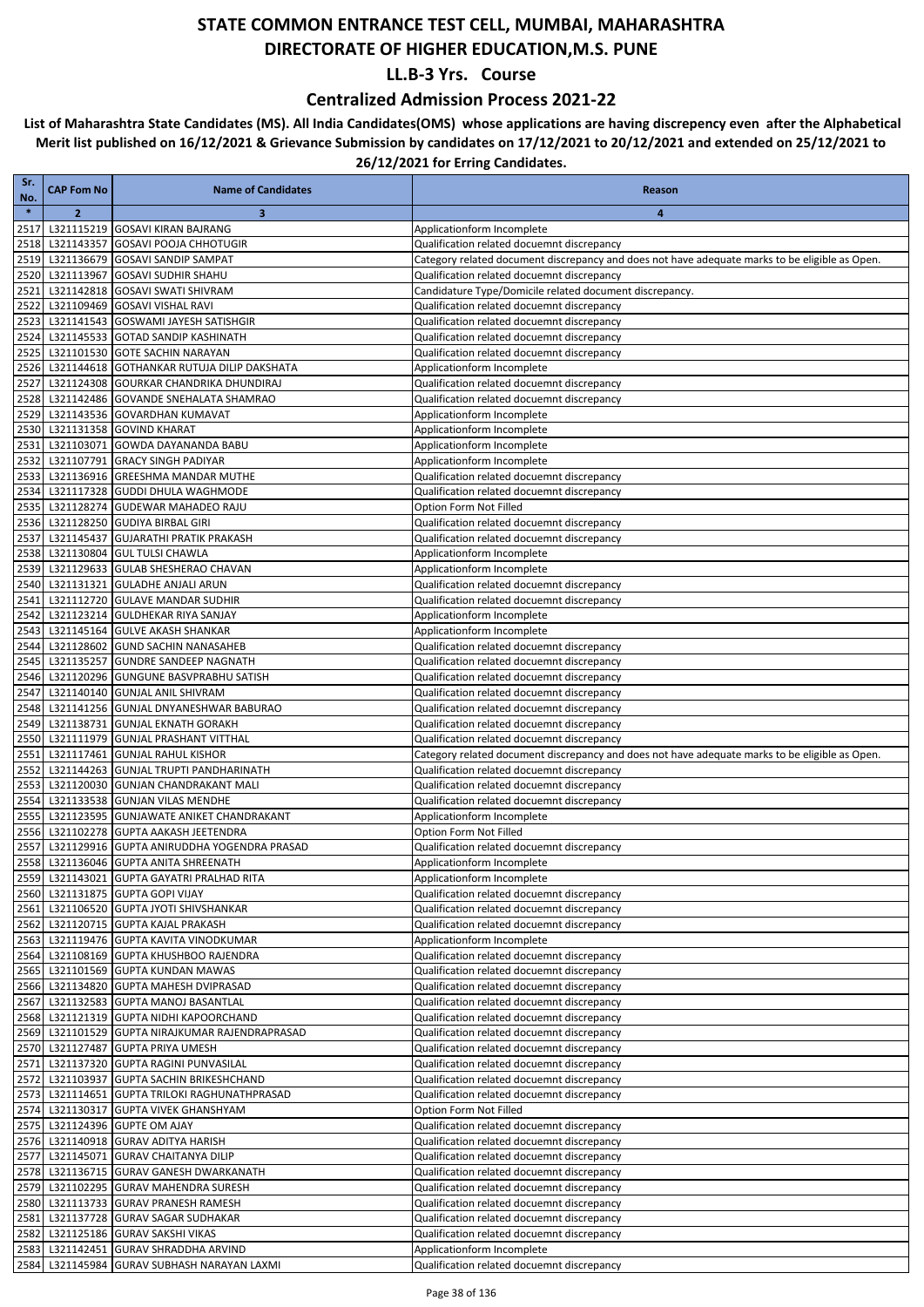### **Centralized Admission Process 2021-22**

| Sr.<br>No.   | <b>CAP Fom No</b> | <b>Name of Candidates</b>                                                      | Reason                                                                                                |
|--------------|-------------------|--------------------------------------------------------------------------------|-------------------------------------------------------------------------------------------------------|
| $\ast$       | $\overline{2}$    | 3                                                                              | 4                                                                                                     |
| 2517         |                   | L321115219 GOSAVI KIRAN BAJRANG                                                | Applicationform Incomplete                                                                            |
| 2518         |                   | L321143357 GOSAVI POOJA CHHOTUGIR                                              | Qualification related docuemnt discrepancy                                                            |
| 2519         |                   | L321136679 GOSAVI SANDIP SAMPAT                                                | Category related document discrepancy and does not have adequate marks to be eligible as Open.        |
| 2520<br>2521 |                   | L321113967 GOSAVI SUDHIR SHAHU<br>L321142818 GOSAVI SWATI SHIVRAM              | Qualification related docuemnt discrepancy<br>Candidature Type/Domicile related document discrepancy. |
| 2522         |                   | L321109469 GOSAVI VISHAL RAVI                                                  | Qualification related docuemnt discrepancy                                                            |
| 2523         |                   | L321141543 GOSWAMI JAYESH SATISHGIR                                            | Qualification related docuemnt discrepancy                                                            |
| 2524         |                   | L321145533 GOTAD SANDIP KASHINATH                                              | Qualification related docuemnt discrepancy                                                            |
| 2525         |                   | L321101530 GOTE SACHIN NARAYAN                                                 | Qualification related docuemnt discrepancy                                                            |
| 2526         |                   | L321144618 GOTHANKAR RUTUJA DILIP DAKSHATA                                     | Applicationform Incomplete                                                                            |
| 2527         |                   | L321124308 GOURKAR CHANDRIKA DHUNDIRAJ                                         | Qualification related docuemnt discrepancy                                                            |
| 2528         |                   | L321142486 GOVANDE SNEHALATA SHAMRAO                                           | Qualification related docuemnt discrepancy                                                            |
| 2529<br>2530 |                   | L321143536 GOVARDHAN KUMAVAT<br>L321131358 GOVIND KHARAT                       | Applicationform Incomplete<br>Applicationform Incomplete                                              |
| 2531         |                   | L321103071 GOWDA DAYANANDA BABU                                                | Applicationform Incomplete                                                                            |
| 2532         |                   | L321107791 GRACY SINGH PADIYAR                                                 | Applicationform Incomplete                                                                            |
| 2533         |                   | L321136916 GREESHMA MANDAR MUTHE                                               | Qualification related docuemnt discrepancy                                                            |
| 2534         |                   | L321117328 GUDDI DHULA WAGHMODE                                                | Qualification related docuemnt discrepancy                                                            |
| 2535         |                   | L321128274 GUDEWAR MAHADEO RAJU                                                | Option Form Not Filled                                                                                |
| 2536         |                   | L321128250 GUDIYA BIRBAL GIRI                                                  | Qualification related docuemnt discrepancy                                                            |
| 2537         |                   | L321145437 GUJARATHI PRATIK PRAKASH                                            | Qualification related docuemnt discrepancy                                                            |
| 2538<br>2539 |                   | L321130804 GUL TULSI CHAWLA<br>L321129633 GULAB SHESHERAO CHAVAN               | Applicationform Incomplete<br>Applicationform Incomplete                                              |
| 2540         |                   | L321131321 GULADHE ANJALI ARUN                                                 | Qualification related docuemnt discrepancy                                                            |
| 2541         |                   | L321112720 GULAVE MANDAR SUDHIR                                                | Qualification related docuemnt discrepancy                                                            |
| 2542         |                   | L321123214 GULDHEKAR RIYA SANJAY                                               | Applicationform Incomplete                                                                            |
| 2543         |                   | L321145164 GULVE AKASH SHANKAR                                                 | Applicationform Incomplete                                                                            |
| 2544         |                   | L321128602 GUND SACHIN NANASAHEB                                               | Qualification related docuemnt discrepancy                                                            |
| 2545         |                   | L321135257 GUNDRE SANDEEP NAGNATH                                              | Qualification related docuemnt discrepancy                                                            |
| 2546         |                   | L321120296 GUNGUNE BASVPRABHU SATISH                                           | Qualification related docuemnt discrepancy                                                            |
| 2547         |                   | L321140140 GUNJAL ANIL SHIVRAM                                                 | Qualification related docuemnt discrepancy                                                            |
| 2548<br>2549 |                   | L321141256 GUNJAL DNYANESHWAR BABURAO<br>L321138731 GUNJAL EKNATH GORAKH       | Qualification related docuemnt discrepancy<br>Qualification related docuemnt discrepancy              |
| 2550         |                   | L321111979 GUNJAL PRASHANT VITTHAL                                             | Qualification related docuemnt discrepancy                                                            |
| 2551         |                   | L321117461 GUNJAL RAHUL KISHOR                                                 | Category related document discrepancy and does not have adequate marks to be eligible as Open.        |
| 2552         |                   | L321144263 GUNJAL TRUPTI PANDHARINATH                                          | Qualification related docuemnt discrepancy                                                            |
| 2553         |                   | L321120030 GUNJAN CHANDRAKANT MALI                                             | Qualification related docuemnt discrepancy                                                            |
| 2554         |                   | L321133538 GUNJAN VILAS MENDHE                                                 | Qualification related docuemnt discrepancy                                                            |
| 2555         |                   | L321123595 GUNJAWATE ANIKET CHANDRAKANT                                        | Applicationform Incomplete                                                                            |
| 2556         |                   | L321102278 GUPTA AAKASH JEETENDRA                                              | Option Form Not Filled                                                                                |
| 2557<br>2558 |                   | L321129916 GUPTA ANIRUDDHA YOGENDRA PRASAD<br>L321136046 GUPTA ANITA SHREENATH | Qualification related docuemnt discrepancy                                                            |
|              |                   | 2559 L321143021 GUPTA GAYATRI PRALHAD RITA                                     | Applicationform Incomplete<br>Applicationform Incomplete                                              |
|              |                   | 2560 L321131875 GUPTA GOPI VIJAY                                               | Qualification related docuemnt discrepancy                                                            |
|              |                   | 2561 L321106520 GUPTA JYOTI SHIVSHANKAR                                        | Qualification related docuemnt discrepancy                                                            |
|              |                   | 2562 L321120715 GUPTA KAJAL PRAKASH                                            | Qualification related docuemnt discrepancy                                                            |
|              |                   | 2563 L321119476 GUPTA KAVITA VINODKUMAR                                        | Applicationform Incomplete                                                                            |
|              |                   | 2564 L321108169 GUPTA KHUSHBOO RAJENDRA                                        | Qualification related docuemnt discrepancy                                                            |
|              |                   | 2565 L321101569 GUPTA KUNDAN MAWAS                                             | Qualification related docuemnt discrepancy                                                            |
|              |                   | 2566 L321134820 GUPTA MAHESH DVIPRASAD                                         | Qualification related docuemnt discrepancy                                                            |
| 2567         |                   | L321132583 GUPTA MANOJ BASANTLAL<br>2568 L321121319 GUPTA NIDHI KAPOORCHAND    | Qualification related docuemnt discrepancy<br>Qualification related docuemnt discrepancy              |
|              |                   | 2569 L321101529 GUPTA NIRAJKUMAR RAJENDRAPRASAD                                | Qualification related docuemnt discrepancy                                                            |
|              |                   | 2570 L321127487 GUPTA PRIYA UMESH                                              | Qualification related docuemnt discrepancy                                                            |
| 2571         |                   | L321137320 GUPTA RAGINI PUNVASILAL                                             | Qualification related docuemnt discrepancy                                                            |
|              |                   | 2572 L321103937 GUPTA SACHIN BRIKESHCHAND                                      | Qualification related docuemnt discrepancy                                                            |
| 2573         |                   | L321114651 GUPTA TRILOKI RAGHUNATHPRASAD                                       | Qualification related docuemnt discrepancy                                                            |
|              |                   | 2574 L321130317 GUPTA VIVEK GHANSHYAM                                          | Option Form Not Filled                                                                                |
|              |                   | 2575 L321124396 GUPTE OM AJAY                                                  | Qualification related docuemnt discrepancy                                                            |
| 2577         |                   | 2576 L321140918 GURAV ADITYA HARISH                                            | Qualification related docuemnt discrepancy                                                            |
|              |                   | L321145071 GURAV CHAITANYA DILIP<br>2578 L321136715 GURAV GANESH DWARKANATH    | Qualification related docuemnt discrepancy<br>Qualification related docuemnt discrepancy              |
|              |                   | 2579 L321102295 GURAV MAHENDRA SURESH                                          | Qualification related docuemnt discrepancy                                                            |
|              |                   | 2580 L321113733 GURAV PRANESH RAMESH                                           | Qualification related docuemnt discrepancy                                                            |
|              |                   | 2581 L321137728 GURAV SAGAR SUDHAKAR                                           | Qualification related docuemnt discrepancy                                                            |
|              |                   | 2582 L321125186 GURAV SAKSHI VIKAS                                             | Qualification related docuemnt discrepancy                                                            |
|              |                   | 2583 L321142451 GURAV SHRADDHA ARVIND                                          | Applicationform Incomplete                                                                            |
|              |                   | 2584 L321145984 GURAV SUBHASH NARAYAN LAXMI                                    | Qualification related docuemnt discrepancy                                                            |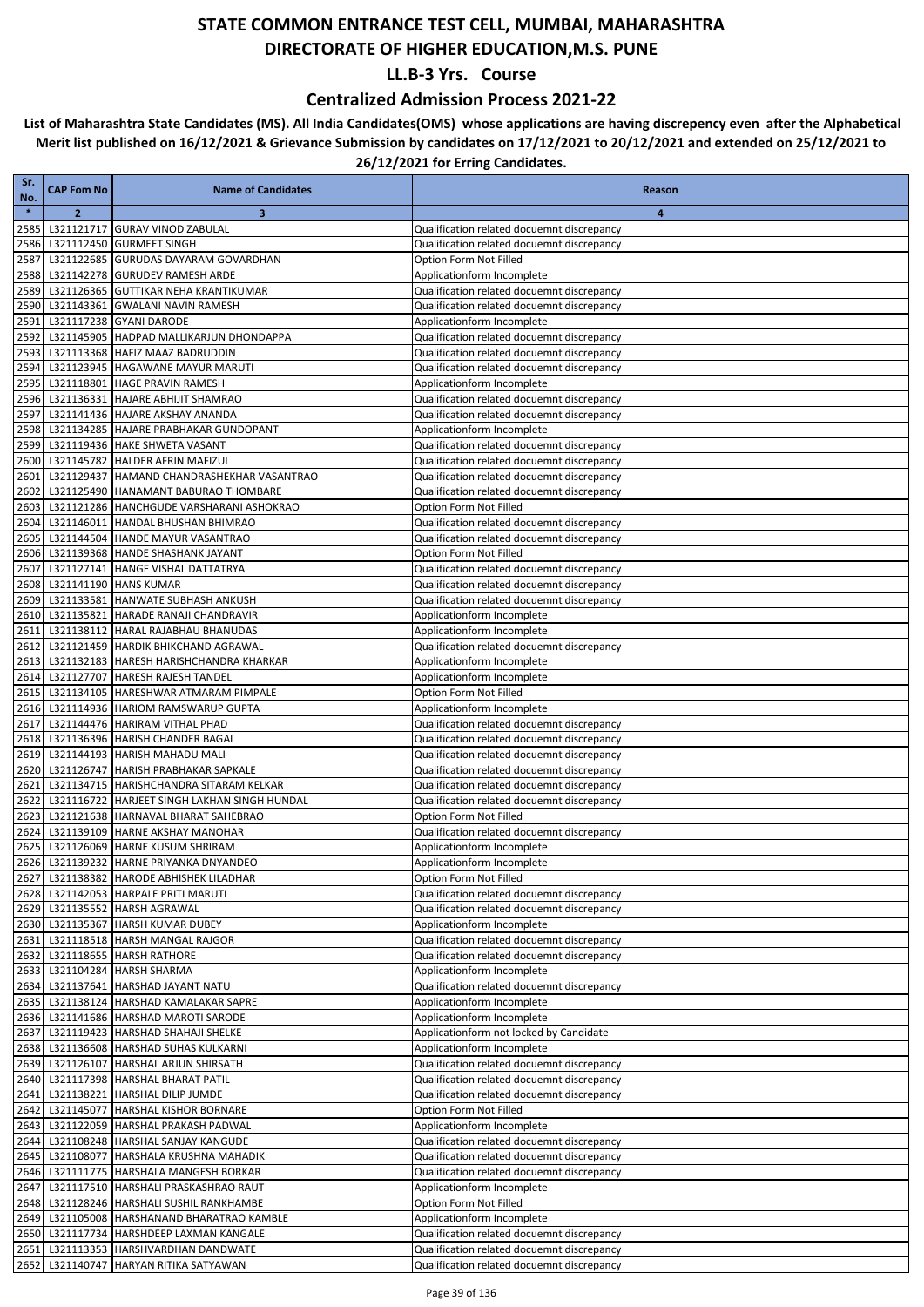### **Centralized Admission Process 2021-22**

| Sr.<br>No.   | <b>CAP Fom No</b> | <b>Name of Candidates</b>                                                               | Reason                                                                                   |
|--------------|-------------------|-----------------------------------------------------------------------------------------|------------------------------------------------------------------------------------------|
| $\ast$       | $\overline{2}$    | $\overline{\mathbf{3}}$                                                                 | 4                                                                                        |
| 2585         |                   | L321121717 GURAV VINOD ZABULAL                                                          | Qualification related docuemnt discrepancy                                               |
| 2586         |                   | L321112450 GURMEET SINGH                                                                | Qualification related docuemnt discrepancy                                               |
| 2587         |                   | L321122685 GURUDAS DAYARAM GOVARDHAN                                                    | Option Form Not Filled                                                                   |
| 2588         |                   | L321142278 GURUDEV RAMESH ARDE<br>L321126365 GUTTIKAR NEHA KRANTIKUMAR                  | Applicationform Incomplete                                                               |
| 2589<br>2590 |                   | L321143361 GWALANI NAVIN RAMESH                                                         | Qualification related docuemnt discrepancy<br>Qualification related docuemnt discrepancy |
| 2591         |                   | L321117238 GYANI DARODE                                                                 | Applicationform Incomplete                                                               |
| 2592         |                   | L321145905 HADPAD MALLIKARJUN DHONDAPPA                                                 | Qualification related docuemnt discrepancy                                               |
| 2593         |                   | L321113368 HAFIZ MAAZ BADRUDDIN                                                         | Qualification related docuemnt discrepancy                                               |
| 2594         |                   | L321123945 HAGAWANE MAYUR MARUTI                                                        | Qualification related docuemnt discrepancy                                               |
| 2595         |                   | L321118801 HAGE PRAVIN RAMESH                                                           | Applicationform Incomplete                                                               |
| 2596         |                   | L321136331 HAJARE ABHIJIT SHAMRAO                                                       | Qualification related docuemnt discrepancy                                               |
| 2597<br>2598 |                   | L321141436 HAJARE AKSHAY ANANDA                                                         | Qualification related docuemnt discrepancy                                               |
|              |                   | L321134285 HAJARE PRABHAKAR GUNDOPANT<br>2599 L321119436 HAKE SHWETA VASANT             | Applicationform Incomplete<br>Qualification related docuemnt discrepancy                 |
| 2600         |                   | L321145782 HALDER AFRIN MAFIZUL                                                         | Qualification related docuemnt discrepancy                                               |
| 2601         |                   | L321129437 HAMAND CHANDRASHEKHAR VASANTRAO                                              | Qualification related docuemnt discrepancy                                               |
| 2602         |                   | L321125490 HANAMANT BABURAO THOMBARE                                                    | Qualification related docuemnt discrepancy                                               |
| 2603         |                   | L321121286 HANCHGUDE VARSHARANI ASHOKRAO                                                | Option Form Not Filled                                                                   |
| 2604         |                   | L321146011 HANDAL BHUSHAN BHIMRAO                                                       | Qualification related docuemnt discrepancy                                               |
| 2605         |                   | L321144504 HANDE MAYUR VASANTRAO<br>L321139368 HANDE SHASHANK JAYANT                    | Qualification related docuemnt discrepancy                                               |
| 2606<br>2607 |                   | L321127141 HANGE VISHAL DATTATRYA                                                       | Option Form Not Filled<br>Qualification related docuemnt discrepancy                     |
| 2608         |                   | L321141190 HANS KUMAR                                                                   | Qualification related docuemnt discrepancy                                               |
| 2609         |                   | L321133581 HANWATE SUBHASH ANKUSH                                                       | Qualification related docuemnt discrepancy                                               |
| 2610         |                   | L321135821 HARADE RANAJI CHANDRAVIR                                                     | Applicationform Incomplete                                                               |
| 2611         |                   | L321138112 HARAL RAJABHAU BHANUDAS                                                      | Applicationform Incomplete                                                               |
| 2612         |                   | L321121459 HARDIK BHIKCHAND AGRAWAL                                                     | Qualification related docuemnt discrepancy                                               |
| 2613         |                   | L321132183   HARESH HARISHCHANDRA KHARKAR                                               | Applicationform Incomplete                                                               |
| 2614         |                   | L321127707 HARESH RAJESH TANDEL                                                         | Applicationform Incomplete                                                               |
| 2615<br>2616 |                   | L321134105 HARESHWAR ATMARAM PIMPALE<br>L321114936 HARIOM RAMSWARUP GUPTA               | Option Form Not Filled<br>Applicationform Incomplete                                     |
| 2617         |                   | L321144476 HARIRAM VITHAL PHAD                                                          | Qualification related docuemnt discrepancy                                               |
| 2618         |                   | L321136396 HARISH CHANDER BAGAI                                                         | Qualification related docuemnt discrepancy                                               |
| 2619         |                   | L321144193 HARISH MAHADU MALI                                                           | Qualification related docuemnt discrepancy                                               |
| 2620         |                   | L321126747 HARISH PRABHAKAR SAPKALE                                                     | Qualification related docuemnt discrepancy                                               |
| 2621         |                   | L321134715   HARISHCHANDRA SITARAM KELKAR                                               | Qualification related docuemnt discrepancy                                               |
| 2622         |                   | L321116722 HARJEET SINGH LAKHAN SINGH HUNDAL                                            | Qualification related docuemnt discrepancy                                               |
| 2623<br>2624 |                   | L321121638 HARNAVAL BHARAT SAHEBRAO<br>L321139109 HARNE AKSHAY MANOHAR                  | Option Form Not Filled<br>Qualification related docuemnt discrepancy                     |
| 2625         |                   | L321126069 HARNE KUSUM SHRIRAM                                                          | Applicationform Incomplete                                                               |
| 2626         |                   | L321139232 HARNE PRIYANKA DNYANDEO                                                      | Applicationform Incomplete                                                               |
|              |                   | 2627 L321138382 HARODE ABHISHEK LILADHAR                                                | Option Form Not Filled                                                                   |
|              |                   | 2628 L321142053 HARPALE PRITI MARUTI                                                    | Qualification related docuemnt discrepancy                                               |
|              |                   | 2629 L321135552 HARSH AGRAWAL                                                           | Qualification related docuemnt discrepancy                                               |
|              |                   | 2630 L321135367 HARSH KUMAR DUBEY                                                       | Applicationform Incomplete                                                               |
| 2631         |                   | L321118518 HARSH MANGAL RAJGOR<br>2632 L321118655 HARSH RATHORE                         | Qualification related docuemnt discrepancy<br>Qualification related docuemnt discrepancy |
|              |                   | 2633 L321104284 HARSH SHARMA                                                            | Applicationform Incomplete                                                               |
|              |                   | 2634 L321137641 HARSHAD JAYANT NATU                                                     | Qualification related docuemnt discrepancy                                               |
|              |                   | 2635 L321138124 HARSHAD KAMALAKAR SAPRE                                                 | Applicationform Incomplete                                                               |
|              |                   | 2636 L321141686 HARSHAD MAROTI SARODE                                                   | Applicationform Incomplete                                                               |
| 2637         |                   | L321119423   HARSHAD SHAHAJI SHELKE                                                     | Applicationform not locked by Candidate                                                  |
|              |                   | 2638 L321136608 HARSHAD SUHAS KULKARNI                                                  | Applicationform Incomplete                                                               |
|              |                   | 2639 L321126107 HARSHAL ARJUN SHIRSATH                                                  | Qualification related docuemnt discrepancy                                               |
| 2641         |                   | 2640 L321117398 HARSHAL BHARAT PATIL<br>L321138221 HARSHAL DILIP JUMDE                  | Qualification related docuemnt discrepancy<br>Qualification related docuemnt discrepancy |
|              |                   | 2642 L321145077 HARSHAL KISHOR BORNARE                                                  | Option Form Not Filled                                                                   |
|              |                   | 2643 L321122059 HARSHAL PRAKASH PADWAL                                                  | Applicationform Incomplete                                                               |
|              |                   | 2644 L321108248 HARSHAL SANJAY KANGUDE                                                  | Qualification related docuemnt discrepancy                                               |
|              |                   | 2645 L321108077 HARSHALA KRUSHNA MAHADIK                                                | Qualification related docuemnt discrepancy                                               |
|              |                   | 2646 L321111775 HARSHALA MANGESH BORKAR                                                 | Qualification related docuemnt discrepancy                                               |
|              |                   | 2647 L321117510 HARSHALI PRASKASHRAO RAUT                                               | Applicationform Incomplete                                                               |
|              |                   | 2648 L321128246 HARSHALI SUSHIL RANKHAMBE                                               | Option Form Not Filled                                                                   |
|              |                   | 2649 L321105008 HARSHANAND BHARATRAO KAMBLE<br>2650 L321117734 HARSHDEEP LAXMAN KANGALE | Applicationform Incomplete<br>Qualification related docuemnt discrepancy                 |
| 2651         |                   | L321113353 HARSHVARDHAN DANDWATE                                                        | Qualification related docuemnt discrepancy                                               |
| 2652         |                   | L321140747 HARYAN RITIKA SATYAWAN                                                       | Qualification related docuemnt discrepancy                                               |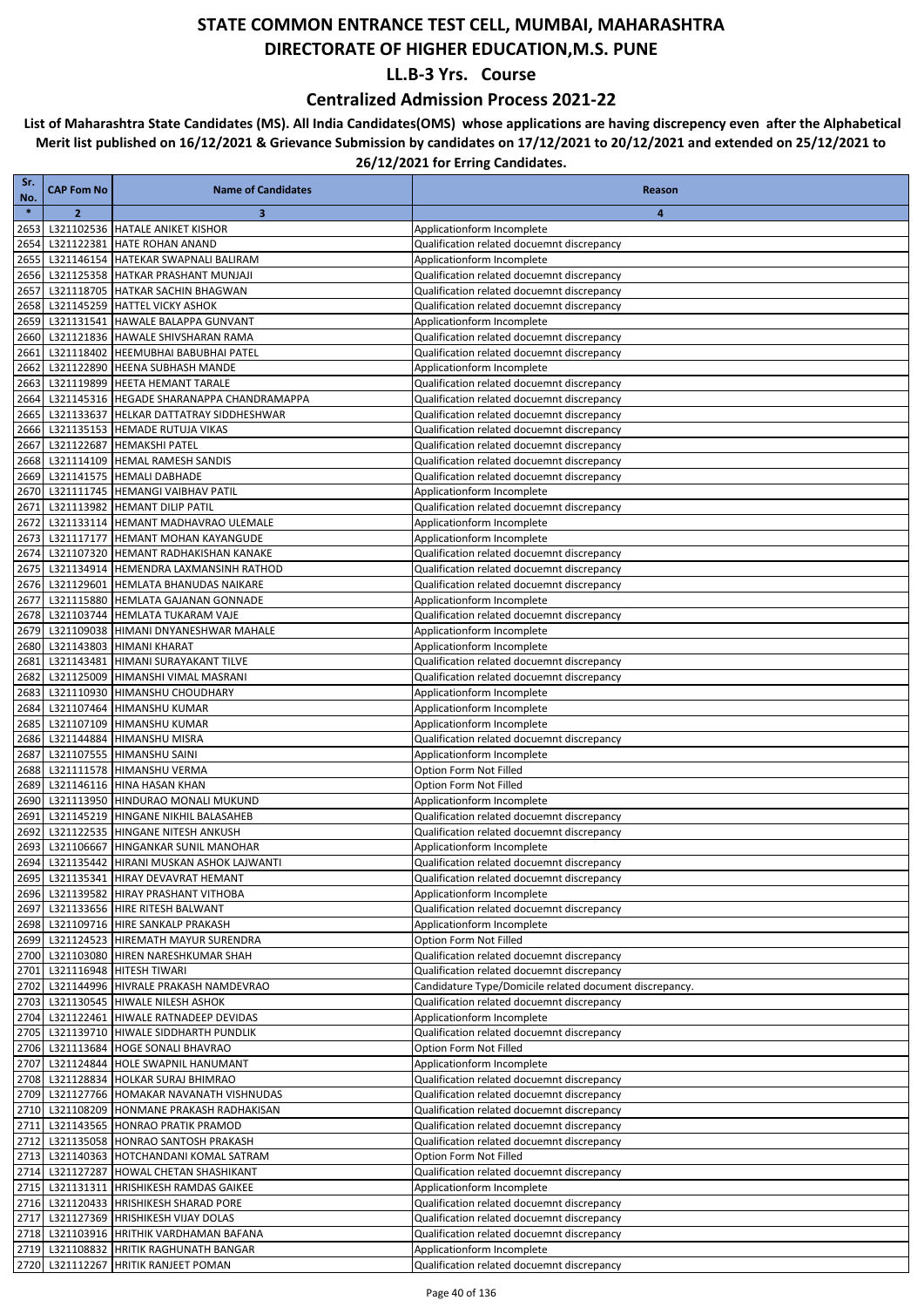### **Centralized Admission Process 2021-22**

| Sr.           | <b>CAP Fom No</b> | <b>Name of Candidates</b>                                                           | Reason                                                                                   |
|---------------|-------------------|-------------------------------------------------------------------------------------|------------------------------------------------------------------------------------------|
| No.<br>$\ast$ | $\overline{2}$    | 3                                                                                   | $\overline{\mathbf{a}}$                                                                  |
| 2653          |                   | L321102536 HATALE ANIKET KISHOR                                                     | Applicationform Incomplete                                                               |
| 2654          |                   | L321122381 HATE ROHAN ANAND                                                         | Qualification related docuemnt discrepancy                                               |
| 2655          |                   | L321146154 HATEKAR SWAPNALI BALIRAM                                                 | Applicationform Incomplete                                                               |
| 2656          |                   | L321125358 HATKAR PRASHANT MUNJAJI                                                  | Qualification related docuemnt discrepancy                                               |
| 2657          |                   | L321118705 HATKAR SACHIN BHAGWAN                                                    | Qualification related docuemnt discrepancy                                               |
| 2658          |                   | L321145259 HATTEL VICKY ASHOK                                                       | Qualification related docuemnt discrepancy                                               |
| 2659          |                   | L321131541 HAWALE BALAPPA GUNVANT                                                   | Applicationform Incomplete                                                               |
| 2660<br>2661  |                   | L321121836 HAWALE SHIVSHARAN RAMA<br>L321118402 HEEMUBHAI BABUBHAI PATEL            | Qualification related docuemnt discrepancy<br>Qualification related docuemnt discrepancy |
| 2662          |                   | L321122890 HEENA SUBHASH MANDE                                                      | Applicationform Incomplete                                                               |
| 2663          |                   | L321119899 HEETA HEMANT TARALE                                                      | Qualification related docuemnt discrepancy                                               |
| 2664          |                   | L321145316 HEGADE SHARANAPPA CHANDRAMAPPA                                           | Qualification related docuemnt discrepancy                                               |
| 2665          |                   | L321133637 HELKAR DATTATRAY SIDDHESHWAR                                             | Qualification related docuemnt discrepancy                                               |
| 2666          |                   | L321135153 HEMADE RUTUJA VIKAS                                                      | Qualification related docuemnt discrepancy                                               |
| 2667          |                   | L321122687 HEMAKSHI PATEL                                                           | Qualification related docuemnt discrepancy                                               |
| 2668<br>2669  |                   | L321114109  HEMAL RAMESH SANDIS<br>L321141575 HEMALI DABHADE                        | Qualification related docuemnt discrepancy<br>Qualification related docuemnt discrepancy |
| 2670          |                   | L321111745 HEMANGI VAIBHAV PATIL                                                    | Applicationform Incomplete                                                               |
| 2671          |                   | L321113982 HEMANT DILIP PATIL                                                       | Qualification related docuemnt discrepancy                                               |
| 2672          |                   | L321133114   HEMANT MADHAVRAO ULEMALE                                               | Applicationform Incomplete                                                               |
| 2673          |                   | L321117177 HEMANT MOHAN KAYANGUDE                                                   | Applicationform Incomplete                                                               |
| 2674          |                   | L321107320 HEMANT RADHAKISHAN KANAKE                                                | Qualification related docuemnt discrepancy                                               |
| 2675          |                   | L321134914 HEMENDRA LAXMANSINH RATHOD                                               | Qualification related docuemnt discrepancy                                               |
| 2676          |                   | L321129601 HEMLATA BHANUDAS NAIKARE                                                 | Qualification related docuemnt discrepancy                                               |
| 2677          |                   | L321115880 HEMLATA GAJANAN GONNADE<br>L321103744 HEMLATA TUKARAM VAJE               | Applicationform Incomplete<br>Qualification related docuemnt discrepancy                 |
| 2678<br>2679  |                   | L321109038 HIMANI DNYANESHWAR MAHALE                                                | Applicationform Incomplete                                                               |
| 2680          |                   | L321143803 HIMANI KHARAT                                                            | Applicationform Incomplete                                                               |
| 2681          |                   | L321143481 HIMANI SURAYAKANT TILVE                                                  | Qualification related docuemnt discrepancy                                               |
| 2682          |                   | L321125009 HIMANSHI VIMAL MASRANI                                                   | Qualification related docuemnt discrepancy                                               |
| 2683          |                   | L321110930 HIMANSHU CHOUDHARY                                                       | Applicationform Incomplete                                                               |
| 2684          |                   | L321107464 HIMANSHU KUMAR                                                           | Applicationform Incomplete                                                               |
| 2685          |                   | L321107109 HIMANSHU KUMAR                                                           | Applicationform Incomplete                                                               |
| 2686          |                   | L321144884 HIMANSHU MISRA                                                           | Qualification related docuemnt discrepancy                                               |
| 2687<br>2688  |                   | L321107555 HIMANSHU SAINI<br>L321111578 HIMANSHU VERMA                              | Applicationform Incomplete<br>Option Form Not Filled                                     |
| 2689          |                   | L321146116 HINA HASAN KHAN                                                          | Option Form Not Filled                                                                   |
| 2690          |                   | L321113950 HINDURAO MONALI MUKUND                                                   | Applicationform Incomplete                                                               |
| 2691          |                   | L321145219 HINGANE NIKHIL BALASAHEB                                                 | Qualification related docuemnt discrepancy                                               |
| 2692          |                   | L321122535 HINGANE NITESH ANKUSH                                                    | Qualification related docuemnt discrepancy                                               |
| 2693          |                   | L321106667 HINGANKAR SUNIL MANOHAR                                                  | Applicationform Incomplete                                                               |
| 2694          |                   | L321135442 HIRANI MUSKAN ASHOK LAJWANTI                                             | Qualification related docuemnt discrepancy                                               |
|               |                   | 2695 L321135341 HIRAY DEVAVRAT HEMANT                                               | Qualification related docuemnt discrepancy                                               |
|               |                   | 2696 L321139582 HIRAY PRASHANT VITHOBA<br>2697 L321133656 HIRE RITESH BALWANT       | Applicationform Incomplete<br>Qualification related docuemnt discrepancy                 |
|               |                   | 2698 L321109716 HIRE SANKALP PRAKASH                                                | Applicationform Incomplete                                                               |
|               |                   | 2699 L321124523 HIREMATH MAYUR SURENDRA                                             | Option Form Not Filled                                                                   |
|               |                   | 2700 L321103080 HIREN NARESHKUMAR SHAH                                              | Qualification related docuemnt discrepancy                                               |
|               |                   | 2701 L321116948 HITESH TIWARI                                                       | Qualification related docuemnt discrepancy                                               |
|               |                   | 2702 L321144996 HIVRALE PRAKASH NAMDEVRAO                                           | Candidature Type/Domicile related document discrepancy.                                  |
|               |                   | 2703 L321130545 HIWALE NILESH ASHOK                                                 | Qualification related docuemnt discrepancy                                               |
|               |                   | 2704 L321122461 HIWALE RATNADEEP DEVIDAS                                            | Applicationform Incomplete                                                               |
|               |                   | 2705 L321139710 HIWALE SIDDHARTH PUNDLIK<br>2706 L321113684 HOGE SONALI BHAVRAO     | Qualification related docuemnt discrepancy<br>Option Form Not Filled                     |
|               |                   | 2707 L321124844 HOLE SWAPNIL HANUMANT                                               | Applicationform Incomplete                                                               |
|               |                   | 2708 L321128834 HOLKAR SURAJ BHIMRAO                                                | Qualification related docuemnt discrepancy                                               |
|               |                   | 2709 L321127766 HOMAKAR NAVANATH VISHNUDAS                                          | Qualification related docuemnt discrepancy                                               |
|               |                   | 2710 L321108209 HONMANE PRAKASH RADHAKISAN                                          | Qualification related docuemnt discrepancy                                               |
|               |                   | 2711 L321143565 HONRAO PRATIK PRAMOD                                                | Qualification related docuemnt discrepancy                                               |
|               |                   | 2712 L321135058 HONRAO SANTOSH PRAKASH                                              | Qualification related docuemnt discrepancy                                               |
|               |                   | 2713 L321140363 HOTCHANDANI KOMAL SATRAM                                            | Option Form Not Filled                                                                   |
|               |                   | 2714 L321127287 HOWAL CHETAN SHASHIKANT<br>2715 L321131311 HRISHIKESH RAMDAS GAIKEE | Qualification related docuemnt discrepancy<br>Applicationform Incomplete                 |
|               |                   | 2716 L321120433 HRISHIKESH SHARAD PORE                                              | Qualification related docuemnt discrepancy                                               |
| 2717          |                   | L321127369 HRISHIKESH VIJAY DOLAS                                                   | Qualification related docuemnt discrepancy                                               |
|               |                   | 2718 L321103916 HRITHIK VARDHAMAN BAFANA                                            | Qualification related docuemnt discrepancy                                               |
|               |                   | 2719 L321108832 HRITIK RAGHUNATH BANGAR                                             | Applicationform Incomplete                                                               |
|               |                   | 2720 L321112267 HRITIK RANJEET POMAN                                                | Qualification related docuemnt discrepancy                                               |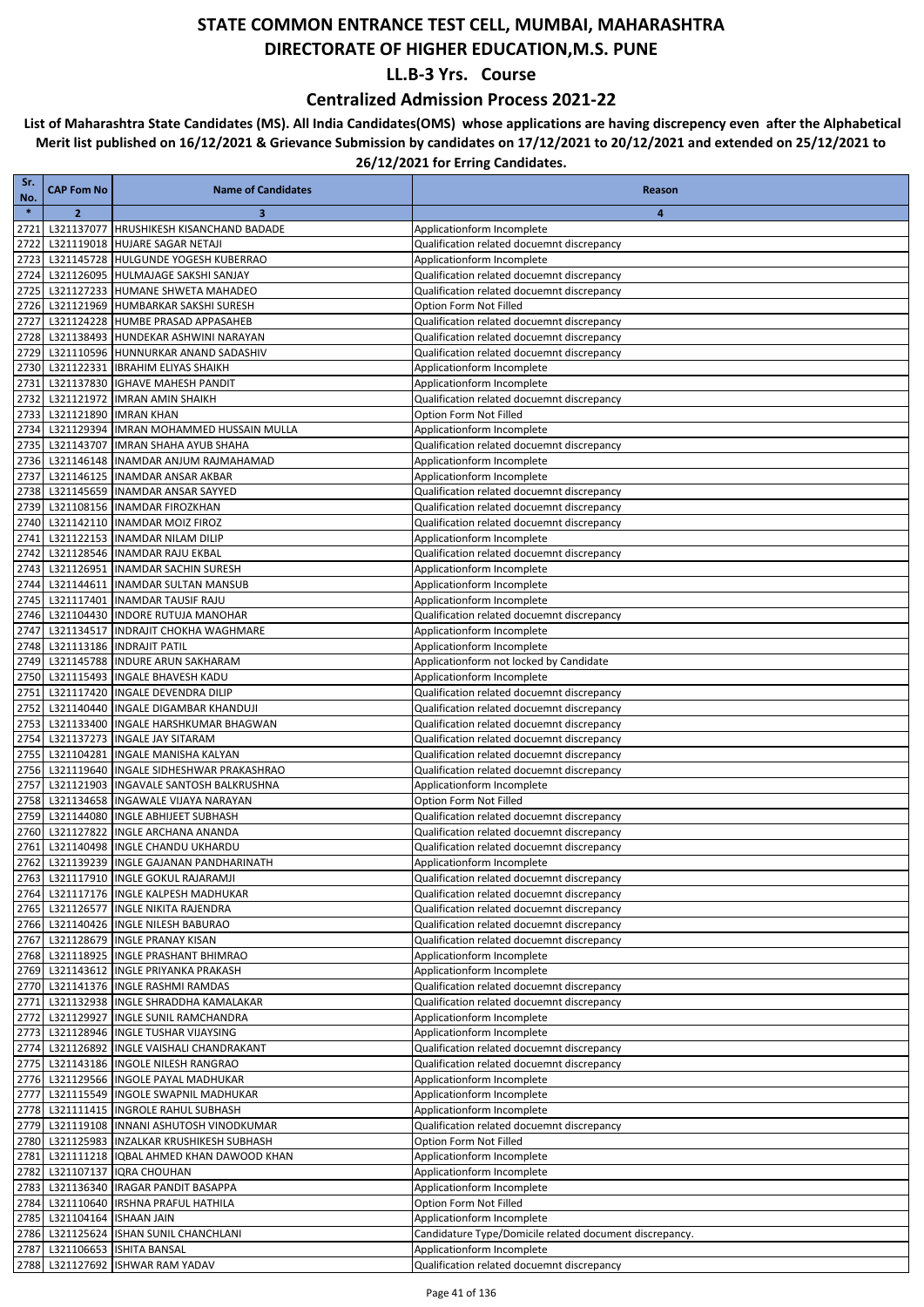### **Centralized Admission Process 2021-22**

| Sr.<br>No.   | <b>CAP Fom No</b>           | <b>Name of Candidates</b>                                                           | Reason                                                                                   |
|--------------|-----------------------------|-------------------------------------------------------------------------------------|------------------------------------------------------------------------------------------|
| $\ast$       | $\overline{2}$              | 3                                                                                   | $\overline{4}$                                                                           |
| 2721         |                             | L321137077 HRUSHIKESH KISANCHAND BADADE                                             | Applicationform Incomplete                                                               |
| 2722         |                             | L321119018 HUJARE SAGAR NETAJI                                                      | Qualification related docuemnt discrepancy                                               |
| 2723         |                             | L321145728 HULGUNDE YOGESH KUBERRAO                                                 | Applicationform Incomplete                                                               |
| 2724         |                             | L321126095 HULMAJAGE SAKSHI SANJAY                                                  | Qualification related docuemnt discrepancy                                               |
| 2725         |                             | L321127233 HUMANE SHWETA MAHADEO                                                    | Qualification related docuemnt discrepancy                                               |
| 2726         |                             | L321121969 HUMBARKAR SAKSHI SURESH                                                  | Option Form Not Filled                                                                   |
| 2727         |                             | L321124228 HUMBE PRASAD APPASAHEB                                                   | Qualification related docuemnt discrepancy                                               |
| 2728<br>2729 |                             | L321138493 HUNDEKAR ASHWINI NARAYAN<br>L321110596 HUNNURKAR ANAND SADASHIV          | Qualification related docuemnt discrepancy<br>Qualification related docuemnt discrepancy |
| 2730         |                             | L321122331 IBRAHIM ELIYAS SHAIKH                                                    | Applicationform Incomplete                                                               |
| 2731         |                             | L321137830 IGHAVE MAHESH PANDIT                                                     | Applicationform Incomplete                                                               |
| 2732         |                             | L321121972 IMRAN AMIN SHAIKH                                                        | Qualification related docuemnt discrepancy                                               |
| 2733         |                             | L321121890   IMRAN KHAN                                                             | Option Form Not Filled                                                                   |
| 2734         |                             | L321129394   IMRAN MOHAMMED HUSSAIN MULLA                                           | Applicationform Incomplete                                                               |
| 2735         |                             | L321143707 IMRAN SHAHA AYUB SHAHA                                                   | Qualification related docuemnt discrepancy                                               |
| 2736         |                             | L321146148  INAMDAR ANJUM RAJMAHAMAD                                                | Applicationform Incomplete                                                               |
| 2737         |                             | L321146125 INAMDAR ANSAR AKBAR                                                      | Applicationform Incomplete                                                               |
| 2738         |                             | L321145659 INAMDAR ANSAR SAYYED                                                     | Qualification related docuemnt discrepancy                                               |
| 2739         |                             | L321108156   INAMDAR FIROZKHAN                                                      | Qualification related docuemnt discrepancy                                               |
| 2740<br>2741 |                             | L321142110  INAMDAR MOIZ FIROZ<br>L321122153  INAMDAR NILAM DILIP                   | Qualification related docuemnt discrepancy<br>Applicationform Incomplete                 |
| 2742         |                             | L321128546  INAMDAR RAJU EKBAL                                                      | Qualification related docuemnt discrepancy                                               |
| 2743         |                             | L321126951 INAMDAR SACHIN SURESH                                                    | Applicationform Incomplete                                                               |
| 2744         |                             | L321144611   INAMDAR SULTAN MANSUB                                                  | Applicationform Incomplete                                                               |
| 2745         |                             | L321117401 INAMDAR TAUSIF RAJU                                                      | Applicationform Incomplete                                                               |
| 2746         |                             | L321104430 INDORE RUTUJA MANOHAR                                                    | Qualification related docuemnt discrepancy                                               |
| 2747         |                             | L321134517 INDRAJIT CHOKHA WAGHMARE                                                 | Applicationform Incomplete                                                               |
| 2748         |                             | L321113186  INDRAJIT PATIL                                                          | Applicationform Incomplete                                                               |
| 2749         |                             | L321145788 INDURE ARUN SAKHARAM                                                     | Applicationform not locked by Candidate                                                  |
| 2750         |                             | L321115493  INGALE BHAVESH KADU                                                     | Applicationform Incomplete                                                               |
| 2751         |                             | L321117420  INGALE DEVENDRA DILIP                                                   | Qualification related docuemnt discrepancy                                               |
| 2752         |                             | L321140440 INGALE DIGAMBAR KHANDUJI                                                 | Qualification related docuemnt discrepancy                                               |
| 2753<br>2754 |                             | L321133400  INGALE HARSHKUMAR BHAGWAN<br>L321137273  INGALE JAY SITARAM             | Qualification related docuemnt discrepancy<br>Qualification related docuemnt discrepancy |
| 2755         |                             | L321104281 INGALE MANISHA KALYAN                                                    | Qualification related docuemnt discrepancy                                               |
| 2756         |                             | L321119640 INGALE SIDHESHWAR PRAKASHRAO                                             | Qualification related docuemnt discrepancy                                               |
| 2757         |                             | L321121903 INGAVALE SANTOSH BALKRUSHNA                                              | Applicationform Incomplete                                                               |
| 2758         |                             | L321134658 INGAWALE VIJAYA NARAYAN                                                  | Option Form Not Filled                                                                   |
| 2759         |                             | L321144080  INGLE ABHIJEET SUBHASH                                                  | Qualification related docuemnt discrepancy                                               |
| 2760         |                             | L321127822 INGLE ARCHANA ANANDA                                                     | Qualification related docuemnt discrepancy                                               |
| 2761         |                             | L321140498 INGLE CHANDU UKHARDU                                                     | Qualification related docuemnt discrepancy                                               |
| 2762         |                             | L321139239 INGLE GAJANAN PANDHARINATH                                               | Applicationform Incomplete                                                               |
|              |                             | 2763 L321117910 INGLE GOKUL RAJARAMJI                                               | Qualification related docuemnt discrepancy                                               |
|              |                             | 2764 L321117176 INGLE KALPESH MADHUKAR<br>2765 L321126577 INGLE NIKITA RAJENDRA     | Qualification related docuemnt discrepancy<br>Qualification related docuemnt discrepancy |
|              |                             | 2766 L321140426 INGLE NILESH BABURAO                                                | Qualification related docuemnt discrepancy                                               |
|              |                             | 2767 L321128679 INGLE PRANAY KISAN                                                  | Qualification related docuemnt discrepancy                                               |
|              |                             | 2768 L321118925  INGLE PRASHANT BHIMRAO                                             | Applicationform Incomplete                                                               |
|              |                             | 2769 L321143612 INGLE PRIYANKA PRAKASH                                              | Applicationform Incomplete                                                               |
|              |                             | 2770 L321141376 INGLE RASHMI RAMDAS                                                 | Qualification related docuemnt discrepancy                                               |
|              |                             | 2771 L321132938 INGLE SHRADDHA KAMALAKAR                                            | Qualification related docuemnt discrepancy                                               |
|              |                             | 2772 L321129927 INGLE SUNIL RAMCHANDRA                                              | Applicationform Incomplete                                                               |
|              |                             | 2773 L321128946 INGLE TUSHAR VIJAYSING                                              | Applicationform Incomplete                                                               |
|              |                             | 2774 L321126892 INGLE VAISHALI CHANDRAKANT                                          | Qualification related docuemnt discrepancy                                               |
|              |                             | 2775 L321143186 INGOLE NILESH RANGRAO                                               | Qualification related docuemnt discrepancy                                               |
|              |                             | 2776 L321129566 INGOLE PAYAL MADHUKAR                                               | Applicationform Incomplete                                                               |
|              |                             | 2777 L321115549 INGOLE SWAPNIL MADHUKAR                                             | Applicationform Incomplete                                                               |
|              |                             | 2778 L321111415 INGROLE RAHUL SUBHASH<br>2779 L321119108 INNANI ASHUTOSH VINODKUMAR | Applicationform Incomplete<br>Qualification related docuemnt discrepancy                 |
|              |                             | 2780 L321125983   INZALKAR KRUSHIKESH SUBHASH                                       | Option Form Not Filled                                                                   |
|              |                             | 2781 L321111218   IQBAL AHMED KHAN DAWOOD KHAN                                      | Applicationform Incomplete                                                               |
|              |                             | 2782 L321107137 IQRA CHOUHAN                                                        | Applicationform Incomplete                                                               |
|              |                             | 2783 L321136340   IRAGAR PANDIT BASAPPA                                             | Applicationform Incomplete                                                               |
|              |                             | 2784 L321110640 IRSHNA PRAFUL HATHILA                                               | Option Form Not Filled                                                                   |
|              | 2785 L321104164 ISHAAN JAIN |                                                                                     | Applicationform Incomplete                                                               |
|              |                             | 2786 L321125624 ISHAN SUNIL CHANCHLANI                                              | Candidature Type/Domicile related document discrepancy.                                  |
|              |                             | 2787 L321106653 ISHITA BANSAL                                                       | Applicationform Incomplete                                                               |
|              |                             | 2788 L321127692 ISHWAR RAM YADAV                                                    | Qualification related docuemnt discrepancy                                               |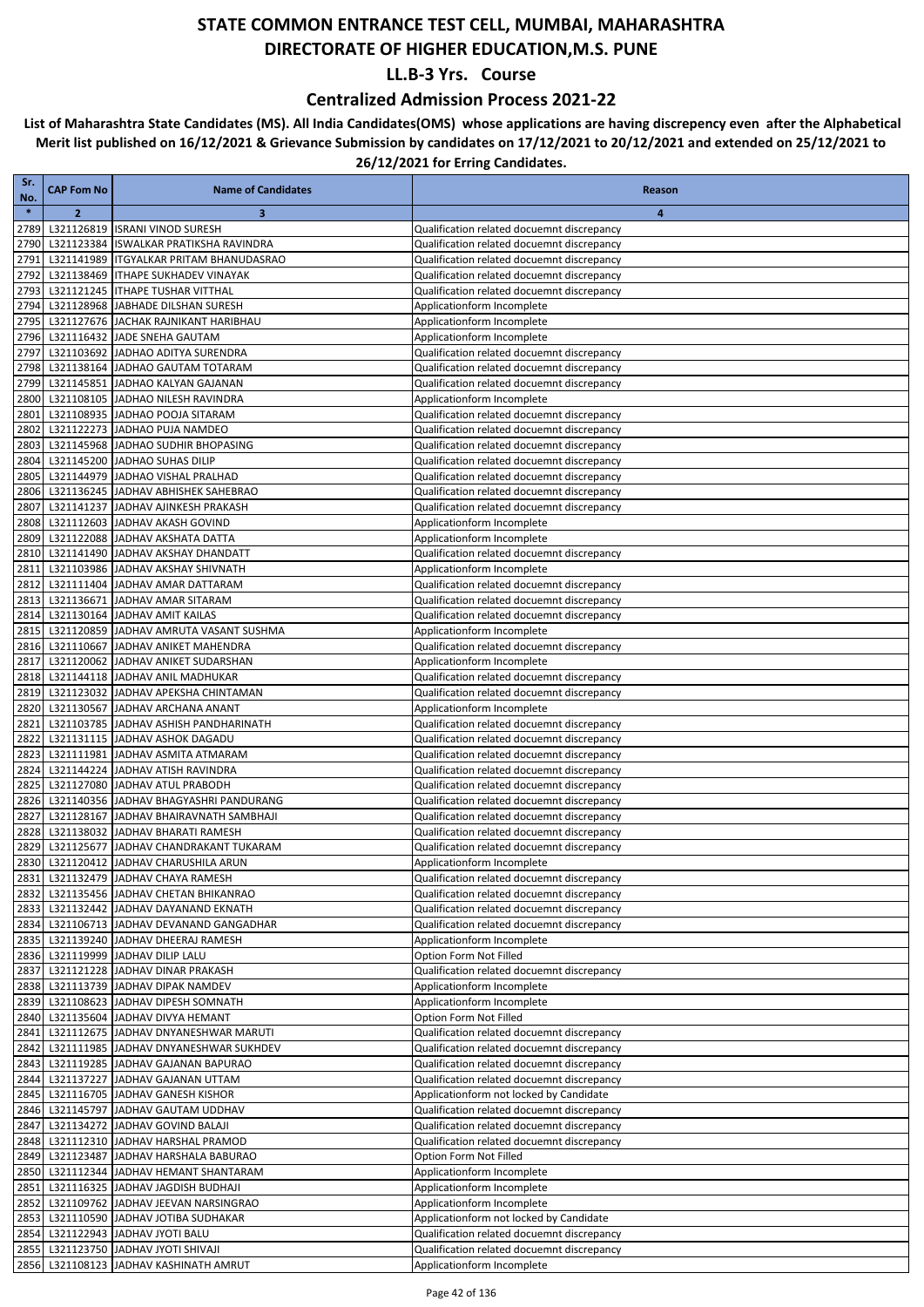### **Centralized Admission Process 2021-22**

| Sr.<br>No.   | <b>CAP Fom No</b> | <b>Name of Candidates</b>                                                          | Reason                                                                                   |
|--------------|-------------------|------------------------------------------------------------------------------------|------------------------------------------------------------------------------------------|
| $\ast$       | $\overline{2}$    | 3                                                                                  | $\overline{\mathbf{a}}$                                                                  |
| 2789         |                   | L321126819 ISRANI VINOD SURESH                                                     | Qualification related docuemnt discrepancy                                               |
| 2790         |                   | L321123384 ISWALKAR PRATIKSHA RAVINDRA                                             | Qualification related docuemnt discrepancy                                               |
| 2791         |                   | L321141989   ITGYALKAR PRITAM BHANUDASRAO                                          | Qualification related docuemnt discrepancy                                               |
| 2792         |                   | L321138469 ITHAPE SUKHADEV VINAYAK                                                 | Qualification related docuemnt discrepancy                                               |
| 2793         |                   | L321121245   ITHAPE TUSHAR VITTHAL                                                 | Qualification related docuemnt discrepancy                                               |
| 2794         |                   | L321128968 JABHADE DILSHAN SURESH                                                  | Applicationform Incomplete                                                               |
| 2795         |                   | L321127676 JACHAK RAJNIKANT HARIBHAU                                               | Applicationform Incomplete                                                               |
| 2796<br>2797 |                   | L321116432 JADE SNEHA GAUTAM<br>L321103692 JADHAO ADITYA SURENDRA                  | Applicationform Incomplete<br>Qualification related docuemnt discrepancy                 |
| 2798         |                   | L321138164 JADHAO GAUTAM TOTARAM                                                   | Qualification related docuemnt discrepancy                                               |
| 2799         |                   | L321145851 JADHAO KALYAN GAJANAN                                                   | Qualification related docuemnt discrepancy                                               |
| 2800         |                   | L321108105 JADHAO NILESH RAVINDRA                                                  | Applicationform Incomplete                                                               |
| 2801         |                   | L321108935 JADHAO POOJA SITARAM                                                    | Qualification related docuemnt discrepancy                                               |
| 2802         |                   | L321122273 JADHAO PUJA NAMDEO                                                      | Qualification related docuemnt discrepancy                                               |
| 2803         |                   | L321145968 JADHAO SUDHIR BHOPASING                                                 | Qualification related docuemnt discrepancy                                               |
| 2804         |                   | L321145200 JADHAO SUHAS DILIP                                                      | Qualification related docuemnt discrepancy                                               |
| 2805         |                   | L321144979 JADHAO VISHAL PRALHAD                                                   | Qualification related docuemnt discrepancy                                               |
| 2806         |                   | L321136245 JADHAV ABHISHEK SAHEBRAO                                                | Qualification related docuemnt discrepancy                                               |
| 2807         |                   | L321141237 JADHAV AJINKESH PRAKASH                                                 | Qualification related docuemnt discrepancy                                               |
| 2808         |                   | L321112603 JADHAV AKASH GOVIND<br>L321122088 JADHAV AKSHATA DATTA                  | Applicationform Incomplete                                                               |
| 2809<br>2810 |                   | L321141490 JADHAV AKSHAY DHANDATT                                                  | Applicationform Incomplete<br>Qualification related docuemnt discrepancy                 |
| 2811         |                   | L321103986 JADHAV AKSHAY SHIVNATH                                                  | Applicationform Incomplete                                                               |
| 2812         |                   | L321111404 JADHAV AMAR DATTARAM                                                    | Qualification related docuemnt discrepancy                                               |
| 2813         |                   | L321136671 JADHAV AMAR SITARAM                                                     | Qualification related docuemnt discrepancy                                               |
| 2814         |                   | L321130164 JADHAV AMIT KAILAS                                                      | Qualification related docuemnt discrepancy                                               |
| 2815         |                   | L321120859 JADHAV AMRUTA VASANT SUSHMA                                             | Applicationform Incomplete                                                               |
| 2816         |                   | L321110667 JADHAV ANIKET MAHENDRA                                                  | Qualification related docuemnt discrepancy                                               |
| 2817         |                   | L321120062 JADHAV ANIKET SUDARSHAN                                                 | Applicationform Incomplete                                                               |
| 2818         |                   | L321144118 JADHAV ANIL MADHUKAR                                                    | Qualification related docuemnt discrepancy                                               |
| 2819         |                   | L321123032 JADHAV APEKSHA CHINTAMAN                                                | Qualification related docuemnt discrepancy                                               |
| 2820         |                   | L321130567 JADHAV ARCHANA ANANT                                                    | Applicationform Incomplete                                                               |
| 2821         |                   | L321103785 JADHAV ASHISH PANDHARINATH                                              | Qualification related docuemnt discrepancy                                               |
| 2822<br>2823 |                   | L321131115 JADHAV ASHOK DAGADU<br>L321111981 JADHAV ASMITA ATMARAM                 | Qualification related docuemnt discrepancy<br>Qualification related docuemnt discrepancy |
| 2824         |                   | L321144224 JADHAV ATISH RAVINDRA                                                   | Qualification related docuemnt discrepancy                                               |
| 2825         |                   | L321127080 JADHAV ATUL PRABODH                                                     | Qualification related docuemnt discrepancy                                               |
| 2826         |                   | L321140356 JADHAV BHAGYASHRI PANDURANG                                             | Qualification related docuemnt discrepancy                                               |
| 2827         |                   | L321128167 JADHAV BHAIRAVNATH SAMBHAJI                                             | Qualification related docuemnt discrepancy                                               |
| 2828         |                   | L321138032 JJADHAV BHARATI RAMESH                                                  | Qualification related docuemnt discrepancy                                               |
| 2829         |                   | L321125677 JADHAV CHANDRAKANT TUKARAM                                              | Qualification related docuemnt discrepancy                                               |
| 2830         |                   | L321120412 JADHAV CHARUSHILA ARUN                                                  | Applicationform Incomplete                                                               |
|              |                   | 2831 L321132479 JADHAV CHAYA RAMESH                                                | Qualification related docuemnt discrepancy                                               |
|              |                   | 2832 L321135456 JADHAV CHETAN BHIKANRAO                                            | Qualification related docuemnt discrepancy                                               |
|              |                   | 2833 L321132442 JADHAV DAYANAND EKNATH                                             | Qualification related docuemnt discrepancy                                               |
|              |                   | 2834 L321106713 JADHAV DEVANAND GANGADHAR<br>2835 L321139240 JADHAV DHEERAJ RAMESH | Qualification related docuemnt discrepancy<br>Applicationform Incomplete                 |
|              |                   | 2836 L321119999 JADHAV DILIP LALU                                                  | Option Form Not Filled                                                                   |
|              |                   | 2837 L321121228 JADHAV DINAR PRAKASH                                               | Qualification related docuemnt discrepancy                                               |
|              |                   | 2838 L321113739 JADHAV DIPAK NAMDEV                                                | Applicationform Incomplete                                                               |
|              |                   | 2839 L321108623 JADHAV DIPESH SOMNATH                                              | Applicationform Incomplete                                                               |
|              |                   | 2840 L321135604 JADHAV DIVYA HEMANT                                                | Option Form Not Filled                                                                   |
|              |                   | 2841 L321112675 JADHAV DNYANESHWAR MARUTI                                          | Qualification related docuemnt discrepancy                                               |
| 2842         |                   | L321111985 JADHAV DNYANESHWAR SUKHDEV                                              | Qualification related docuemnt discrepancy                                               |
|              |                   | 2843 L321119285 JADHAV GAJANAN BAPURAO                                             | Qualification related docuemnt discrepancy                                               |
|              |                   | 2844 L321137227 JADHAV GAJANAN UTTAM                                               | Qualification related docuemnt discrepancy                                               |
| 2845         |                   | L321116705 JADHAV GANESH KISHOR                                                    | Applicationform not locked by Candidate                                                  |
| 2846         |                   | L321145797 JADHAV GAUTAM UDDHAV                                                    | Qualification related docuemnt discrepancy                                               |
| 2848         |                   | 2847 L321134272 JADHAV GOVIND BALAJI<br>L321112310 JADHAV HARSHAL PRAMOD           | Qualification related docuemnt discrepancy<br>Qualification related docuemnt discrepancy |
|              |                   | 2849 L321123487 JADHAV HARSHALA BABURAO                                            | Option Form Not Filled                                                                   |
|              |                   | 2850 L321112344 JADHAV HEMANT SHANTARAM                                            | Applicationform Incomplete                                                               |
| 2851         |                   | L321116325 JADHAV JAGDISH BUDHAJI                                                  | Applicationform Incomplete                                                               |
|              |                   | 2852 L321109762 JADHAV JEEVAN NARSINGRAO                                           | Applicationform Incomplete                                                               |
|              |                   | 2853 L321110590 JADHAV JOTIBA SUDHAKAR                                             | Applicationform not locked by Candidate                                                  |
|              |                   | 2854 L321122943 JADHAV JYOTI BALU                                                  | Qualification related docuemnt discrepancy                                               |
|              |                   | 2855 L321123750 JADHAV JYOTI SHIVAJI                                               | Qualification related docuemnt discrepancy                                               |
|              |                   | 2856 L321108123 JADHAV KASHINATH AMRUT                                             | Applicationform Incomplete                                                               |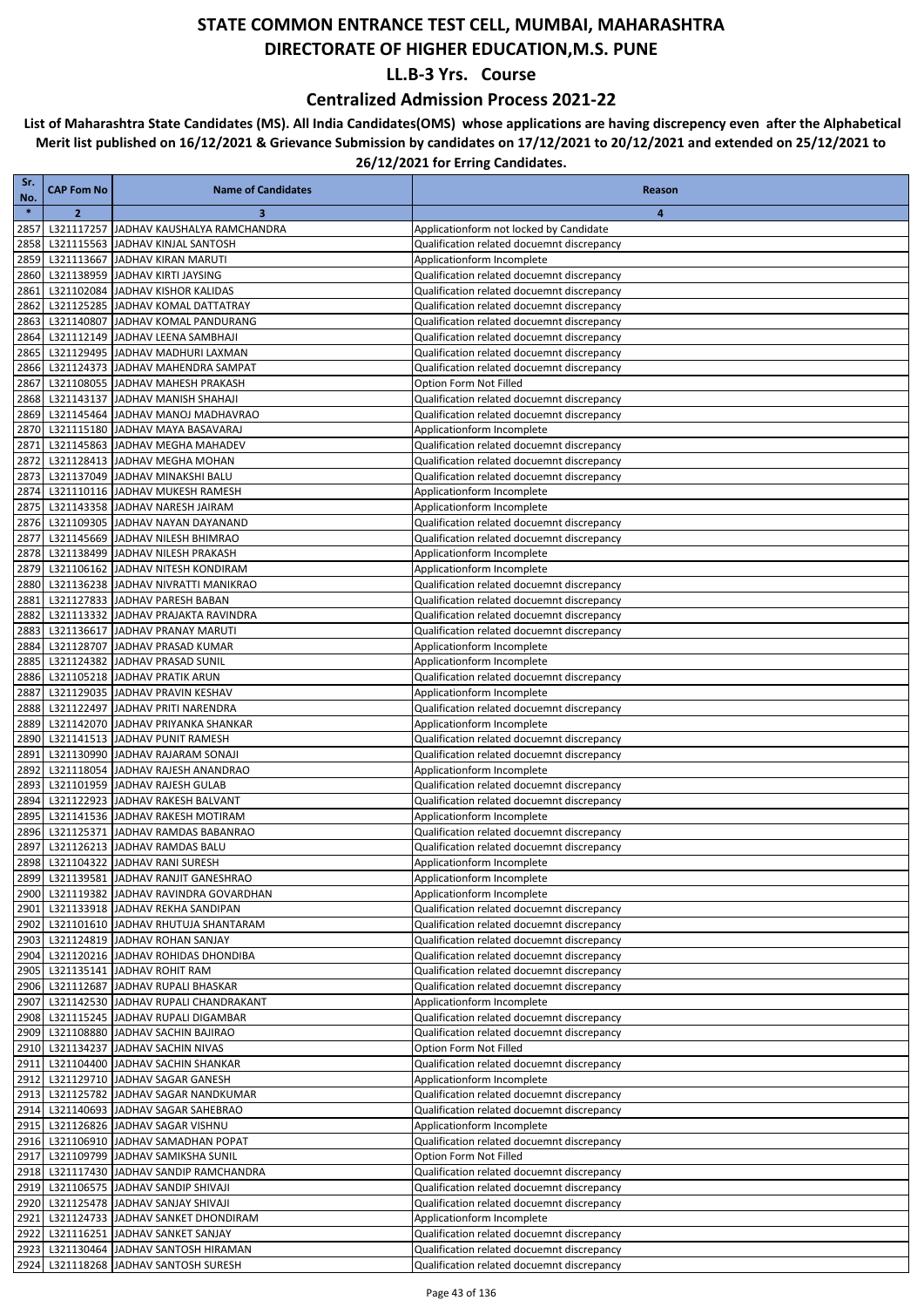### **Centralized Admission Process 2021-22**

| Sr.           | <b>CAP Fom No</b> | <b>Name of Candidates</b>                                                         | Reason                                                                                   |
|---------------|-------------------|-----------------------------------------------------------------------------------|------------------------------------------------------------------------------------------|
| No.<br>$\ast$ | $\overline{2}$    | 3                                                                                 | 4                                                                                        |
| 2857          |                   | L321117257 JADHAV KAUSHALYA RAMCHANDRA                                            | Applicationform not locked by Candidate                                                  |
| 2858          |                   | L321115563 JADHAV KINJAL SANTOSH                                                  | Qualification related docuemnt discrepancy                                               |
| 2859          |                   | L321113667 JADHAV KIRAN MARUTI                                                    | Applicationform Incomplete                                                               |
| 2860          |                   | L321138959 JADHAV KIRTI JAYSING                                                   | Qualification related docuemnt discrepancy                                               |
| 2861          |                   | L321102084 JADHAV KISHOR KALIDAS                                                  | Qualification related docuemnt discrepancy                                               |
| 2862          |                   | L321125285 JADHAV KOMAL DATTATRAY                                                 | Qualification related docuemnt discrepancy                                               |
| 2863          |                   | L321140807 JADHAV KOMAL PANDURANG<br>L321112149 JADHAV LEENA SAMBHAJI             | Qualification related docuemnt discrepancy<br>Qualification related docuemnt discrepancy |
| 2864<br>2865  |                   | L321129495 JADHAV MADHURI LAXMAN                                                  | Qualification related docuemnt discrepancy                                               |
| 2866          |                   | L321124373 JADHAV MAHENDRA SAMPAT                                                 | Qualification related docuemnt discrepancy                                               |
| 2867          |                   | L321108055 JADHAV MAHESH PRAKASH                                                  | Option Form Not Filled                                                                   |
| 2868          |                   | L321143137 JADHAV MANISH SHAHAJI                                                  | Qualification related docuemnt discrepancy                                               |
| 2869          |                   | L321145464 JADHAV MANOJ MADHAVRAO                                                 | Qualification related docuemnt discrepancy                                               |
| 2870          |                   | L321115180 JADHAV MAYA BASAVARAJ                                                  | Applicationform Incomplete                                                               |
| 2871          |                   | L321145863 JADHAV MEGHA MAHADEV                                                   | Qualification related docuemnt discrepancy                                               |
| 2872          |                   | L321128413 JADHAV MEGHA MOHAN                                                     | Qualification related docuemnt discrepancy                                               |
| 2873<br>2874  |                   | L321137049 JADHAV MINAKSHI BALU<br>L321110116 JADHAV MUKESH RAMESH                | Qualification related docuemnt discrepancy<br>Applicationform Incomplete                 |
| 2875          |                   | L321143358 JADHAV NARESH JAIRAM                                                   | Applicationform Incomplete                                                               |
| 2876          |                   | L321109305 JADHAV NAYAN DAYANAND                                                  | Qualification related docuemnt discrepancy                                               |
| 2877          |                   | L321145669 JADHAV NILESH BHIMRAO                                                  | Qualification related docuemnt discrepancy                                               |
| 2878          |                   | L321138499 JADHAV NILESH PRAKASH                                                  | Applicationform Incomplete                                                               |
| 2879          |                   | L321106162 JADHAV NITESH KONDIRAM                                                 | Applicationform Incomplete                                                               |
| 2880          |                   | L321136238 JADHAV NIVRATTI MANIKRAO                                               | Qualification related docuemnt discrepancy                                               |
| 2881          |                   | L321127833 JADHAV PARESH BABAN                                                    | Qualification related docuemnt discrepancy                                               |
| 2882          |                   | L321113332 JADHAV PRAJAKTA RAVINDRA                                               | Qualification related docuemnt discrepancy                                               |
| 2883<br>2884  |                   | L321136617 JJADHAV PRANAY MARUTI<br>L321128707 JADHAV PRASAD KUMAR                | Qualification related docuemnt discrepancy<br>Applicationform Incomplete                 |
| 2885          |                   | L321124382 JADHAV PRASAD SUNIL                                                    | Applicationform Incomplete                                                               |
| 2886          |                   | L321105218 JADHAV PRATIK ARUN                                                     | Qualification related docuemnt discrepancy                                               |
| 2887          |                   | L321129035 JADHAV PRAVIN KESHAV                                                   | Applicationform Incomplete                                                               |
| 2888          |                   | L321122497 JADHAV PRITI NARENDRA                                                  | Qualification related docuemnt discrepancy                                               |
| 2889          |                   | L321142070 JADHAV PRIYANKA SHANKAR                                                | Applicationform Incomplete                                                               |
| 2890          |                   | L321141513 JADHAV PUNIT RAMESH                                                    | Qualification related docuemnt discrepancy                                               |
| 2891          |                   | L321130990 JADHAV RAJARAM SONAJI                                                  | Qualification related docuemnt discrepancy                                               |
| 2892<br>2893  |                   | L321118054 JADHAV RAJESH ANANDRAO<br>L321101959 JADHAV RAJESH GULAB               | Applicationform Incomplete<br>Qualification related docuemnt discrepancy                 |
| 2894          |                   | L321122923 JADHAV RAKESH BALVANT                                                  | Qualification related docuemnt discrepancy                                               |
| 2895          |                   | L321141536 JADHAV RAKESH MOTIRAM                                                  | Applicationform Incomplete                                                               |
| 2896          |                   | L321125371 JADHAV RAMDAS BABANRAO                                                 | Qualification related docuemnt discrepancy                                               |
| 2897          |                   | L321126213 JADHAV RAMDAS BALU                                                     | Qualification related docuemnt discrepancy                                               |
| 2898          |                   | L321104322 JADHAV RANI SURESH                                                     | Applicationform Incomplete                                                               |
|               |                   | 2899 L321139581 JADHAV RANJIT GANESHRAO                                           | Applicationform Incomplete                                                               |
|               |                   | 2900 L321119382 JADHAV RAVINDRA GOVARDHAN                                         | Applicationform Incomplete                                                               |
|               |                   | 2901 L321133918 JADHAV REKHA SANDIPAN<br>2902 L321101610 JADHAV RHUTUJA SHANTARAM | Qualification related docuemnt discrepancy<br>Qualification related docuemnt discrepancy |
|               |                   | 2903 L321124819 JADHAV ROHAN SANJAY                                               | Qualification related docuemnt discrepancy                                               |
|               |                   | 2904 L321120216 JADHAV ROHIDAS DHONDIBA                                           | Qualification related docuemnt discrepancy                                               |
|               |                   | 2905 L321135141 JADHAV ROHIT RAM                                                  | Qualification related docuemnt discrepancy                                               |
|               |                   | 2906 L321112687 JADHAV RUPALI BHASKAR                                             | Qualification related docuemnt discrepancy                                               |
|               |                   | 2907 L321142530 JADHAV RUPALI CHANDRAKANT                                         | Applicationform Incomplete                                                               |
|               |                   | 2908 L321115245 JADHAV RUPALI DIGAMBAR                                            | Qualification related docuemnt discrepancy                                               |
|               |                   | 2909 L321108880 JADHAV SACHIN BAJIRAO                                             | Qualification related docuemnt discrepancy                                               |
|               |                   | 2910 L321134237 JADHAV SACHIN NIVAS                                               | Option Form Not Filled                                                                   |
| 2911<br>2912  |                   | L321104400 JADHAV SACHIN SHANKAR<br>L321129710 JADHAV SAGAR GANESH                | Qualification related docuemnt discrepancy<br>Applicationform Incomplete                 |
|               |                   | 2913 L321125782 JADHAV SAGAR NANDKUMAR                                            | Qualification related docuemnt discrepancy                                               |
|               |                   | 2914 L321140693 JADHAV SAGAR SAHEBRAO                                             | Qualification related docuemnt discrepancy                                               |
| 2915          |                   | L321126826 JADHAV SAGAR VISHNU                                                    | Applicationform Incomplete                                                               |
|               |                   | 2916 L321106910 JADHAV SAMADHAN POPAT                                             | Qualification related docuemnt discrepancy                                               |
| 2917          |                   | L321109799 JADHAV SAMIKSHA SUNIL                                                  | Option Form Not Filled                                                                   |
| 2918          |                   | L321117430 JADHAV SANDIP RAMCHANDRA                                               | Qualification related docuemnt discrepancy                                               |
|               |                   | 2919 L321106575 JADHAV SANDIP SHIVAJI                                             | Qualification related docuemnt discrepancy                                               |
|               |                   | 2920 L321125478 JADHAV SANJAY SHIVAJI                                             | Qualification related docuemnt discrepancy                                               |
| 2921          |                   | L321124733 JADHAV SANKET DHONDIRAM<br>2922 L321116251 JADHAV SANKET SANJAY        | Applicationform Incomplete<br>Qualification related docuemnt discrepancy                 |
|               |                   | 2923 L321130464 JADHAV SANTOSH HIRAMAN                                            | Qualification related docuemnt discrepancy                                               |
|               |                   | 2924 L321118268 JADHAV SANTOSH SURESH                                             | Qualification related docuemnt discrepancy                                               |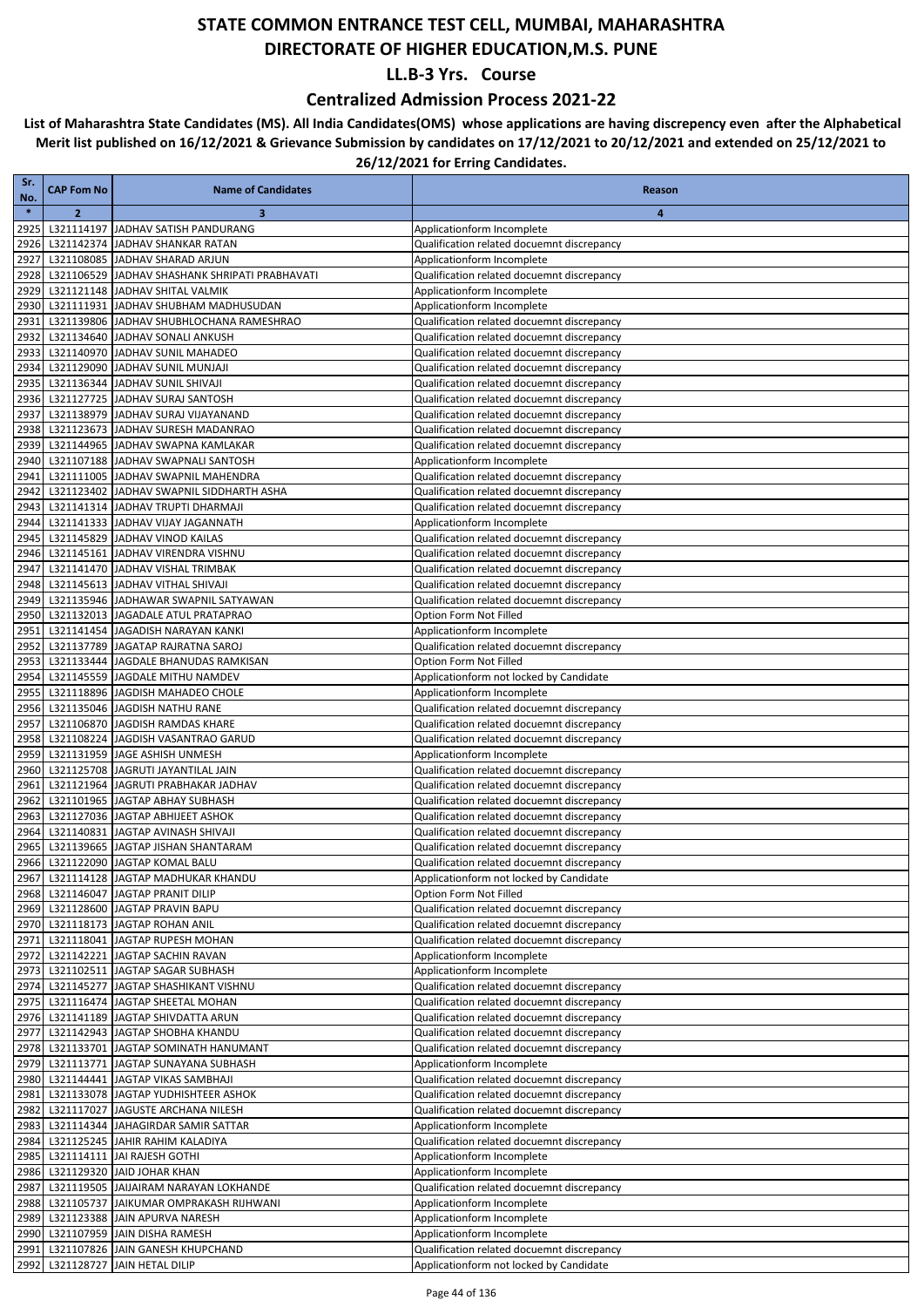### **Centralized Admission Process 2021-22**

| Sr.<br>No.   | <b>CAP Fom No</b> | <b>Name of Candidates</b>                                                         | Reason                                                                                   |
|--------------|-------------------|-----------------------------------------------------------------------------------|------------------------------------------------------------------------------------------|
| $\ast$       | $\overline{2}$    | 3                                                                                 | $\overline{4}$                                                                           |
| 2925         |                   | L321114197 JADHAV SATISH PANDURANG                                                | Applicationform Incomplete                                                               |
| 2926         |                   | L321142374 JADHAV SHANKAR RATAN                                                   | Qualification related docuemnt discrepancy                                               |
| 2927         |                   | L321108085 JADHAV SHARAD ARJUN                                                    | Applicationform Incomplete                                                               |
| 2928         |                   | L321106529 JADHAV SHASHANK SHRIPATI PRABHAVATI                                    | Qualification related docuemnt discrepancy                                               |
| 2929         |                   | L321121148 JADHAV SHITAL VALMIK                                                   | Applicationform Incomplete                                                               |
| 2930         |                   | L321111931 JADHAV SHUBHAM MADHUSUDAN                                              | Applicationform Incomplete                                                               |
| 2931         |                   | L321139806 JADHAV SHUBHLOCHANA RAMESHRAO                                          | Qualification related docuemnt discrepancy                                               |
| 2932<br>2933 |                   | L321134640 JADHAV SONALI ANKUSH<br>L321140970 JADHAV SUNIL MAHADEO                | Qualification related docuemnt discrepancy<br>Qualification related docuemnt discrepancy |
| 2934         |                   | L321129090 JADHAV SUNIL MUNJAJI                                                   | Qualification related docuemnt discrepancy                                               |
| 2935         |                   | L321136344 JADHAV SUNIL SHIVAJI                                                   | Qualification related docuemnt discrepancy                                               |
| 2936         |                   | L321127725 JADHAV SURAJ SANTOSH                                                   | Qualification related docuemnt discrepancy                                               |
| 2937         |                   | L321138979 JADHAV SURAJ VIJAYANAND                                                | Qualification related docuemnt discrepancy                                               |
| 2938         |                   | L321123673 JADHAV SURESH MADANRAO                                                 | Qualification related docuemnt discrepancy                                               |
| 2939         |                   | L321144965 JADHAV SWAPNA KAMLAKAR                                                 | Qualification related docuemnt discrepancy                                               |
| 2940         |                   | L321107188 JADHAV SWAPNALI SANTOSH                                                | Applicationform Incomplete                                                               |
| 2941         |                   | L321111005 JADHAV SWAPNIL MAHENDRA                                                | Qualification related docuemnt discrepancy                                               |
| 2942         |                   | L321123402 JADHAV SWAPNIL SIDDHARTH ASHA                                          | Qualification related docuemnt discrepancy                                               |
| 2943         |                   | L321141314 JADHAV TRUPTI DHARMAJI                                                 | Qualification related docuemnt discrepancy                                               |
| 2944         |                   | L321141333 JADHAV VIJAY JAGANNATH                                                 | Applicationform Incomplete                                                               |
| 2945<br>2946 |                   | L321145829 JADHAV VINOD KAILAS<br>L321145161 JADHAV VIRENDRA VISHNU               | Qualification related docuemnt discrepancy<br>Qualification related docuemnt discrepancy |
| 2947         |                   | L321141470 JADHAV VISHAL TRIMBAK                                                  | Qualification related docuemnt discrepancy                                               |
| 2948         |                   | L321145613 JADHAV VITHAL SHIVAJI                                                  | Qualification related docuemnt discrepancy                                               |
| 2949         |                   | L321135946 JADHAWAR SWAPNIL SATYAWAN                                              | Qualification related docuemnt discrepancy                                               |
| 2950         |                   | L321132013 JAGADALE ATUL PRATAPRAO                                                | Option Form Not Filled                                                                   |
| 2951         |                   | L321141454 JAGADISH NARAYAN KANKI                                                 | Applicationform Incomplete                                                               |
| 2952         |                   | L321137789 JAGATAP RAJRATNA SAROJ                                                 | Qualification related docuemnt discrepancy                                               |
| 2953         |                   | L321133444 JAGDALE BHANUDAS RAMKISAN                                              | Option Form Not Filled                                                                   |
| 2954         |                   | L321145559 JAGDALE MITHU NAMDEV                                                   | Applicationform not locked by Candidate                                                  |
| 2955         |                   | L321118896 JAGDISH MAHADEO CHOLE                                                  | Applicationform Incomplete                                                               |
| 2956         |                   | L321135046 JAGDISH NATHU RANE                                                     | Qualification related docuemnt discrepancy                                               |
| 2957         |                   | L321106870 JAGDISH RAMDAS KHARE                                                   | Qualification related docuemnt discrepancy                                               |
| 2958<br>2959 |                   | L321108224 JAGDISH VASANTRAO GARUD<br>L321131959 JAGE ASHISH UNMESH               | Qualification related docuemnt discrepancy<br>Applicationform Incomplete                 |
| 2960         |                   | L321125708 JAGRUTI JAYANTILAL JAIN                                                | Qualification related docuemnt discrepancy                                               |
| 2961         |                   | L321121964 JAGRUTI PRABHAKAR JADHAV                                               | Qualification related docuemnt discrepancy                                               |
| 2962         |                   | L321101965 JAGTAP ABHAY SUBHASH                                                   | Qualification related docuemnt discrepancy                                               |
| 2963         |                   | L321127036 JAGTAP ABHIJEET ASHOK                                                  | Qualification related docuemnt discrepancy                                               |
| 2964         |                   | L321140831 JAGTAP AVINASH SHIVAJI                                                 | Qualification related docuemnt discrepancy                                               |
| 2965         |                   | L321139665 JAGTAP JISHAN SHANTARAM                                                | Qualification related docuemnt discrepancy                                               |
| 2966         |                   | L321122090 JAGTAP KOMAL BALU                                                      | Qualification related docuemnt discrepancy                                               |
|              |                   | 2967 L321114128 JAGTAP MADHUKAR KHANDU                                            | Applicationform not locked by Candidate                                                  |
|              |                   | 2968 L321146047 JAGTAP PRANIT DILIP                                               | Option Form Not Filled                                                                   |
|              |                   | 2969 L321128600 JAGTAP PRAVIN BAPU                                                | Qualification related docuemnt discrepancy                                               |
|              |                   | 2970 L321118173 JAGTAP ROHAN ANIL<br>2971 L321118041 JAGTAP RUPESH MOHAN          | Qualification related docuemnt discrepancy<br>Qualification related docuemnt discrepancy |
|              |                   | 2972 L321142221 JAGTAP SACHIN RAVAN                                               | Applicationform Incomplete                                                               |
|              |                   | 2973 L321102511 JAGTAP SAGAR SUBHASH                                              | Applicationform Incomplete                                                               |
|              |                   | 2974 L321145277 JAGTAP SHASHIKANT VISHNU                                          | Qualification related docuemnt discrepancy                                               |
|              |                   | 2975 L321116474 JAGTAP SHEETAL MOHAN                                              | Qualification related docuemnt discrepancy                                               |
|              |                   | 2976 L321141189 JAGTAP SHIVDATTA ARUN                                             | Qualification related docuemnt discrepancy                                               |
|              |                   | 2977 L321142943 JAGTAP SHOBHA KHANDU                                              | Qualification related docuemnt discrepancy                                               |
|              |                   | 2978 L321133701 JAGTAP SOMINATH HANUMANT                                          | Qualification related docuemnt discrepancy                                               |
|              |                   | 2979 L321113771 JAGTAP SUNAYANA SUBHASH                                           | Applicationform Incomplete                                                               |
|              |                   | 2980 L321144441 JAGTAP VIKAS SAMBHAJI                                             | Qualification related docuemnt discrepancy                                               |
| 2981         |                   | L321133078 JAGTAP YUDHISHTEER ASHOK                                               | Qualification related docuemnt discrepancy                                               |
|              |                   | 2982 L321117027 JAGUSTE ARCHANA NILESH<br>2983 L321114344 JAHAGIRDAR SAMIR SATTAR | Qualification related docuemnt discrepancy                                               |
|              |                   | 2984 L321125245 JAHIR RAHIM KALADIYA                                              | Applicationform Incomplete<br>Qualification related docuemnt discrepancy                 |
|              |                   | 2985 L321114111 JAI RAJESH GOTHI                                                  | Applicationform Incomplete                                                               |
|              |                   | 2986 L321129320 JAID JOHAR KHAN                                                   | Applicationform Incomplete                                                               |
|              |                   | 2987 L321119505 JAIJAIRAM NARAYAN LOKHANDE                                        | Qualification related docuemnt discrepancy                                               |
|              |                   | 2988 L321105737 JAIKUMAR OMPRAKASH RIJHWANI                                       | Applicationform Incomplete                                                               |
|              |                   | 2989 L321123388 JAIN APURVA NARESH                                                | Applicationform Incomplete                                                               |
|              |                   | 2990 L321107959 JAIN DISHA RAMESH                                                 | Applicationform Incomplete                                                               |
| 2991         |                   | L321107826 JAIN GANESH KHUPCHAND                                                  | Qualification related docuemnt discrepancy                                               |
| 2992         |                   | L321128727 JAIN HETAL DILIP                                                       | Applicationform not locked by Candidate                                                  |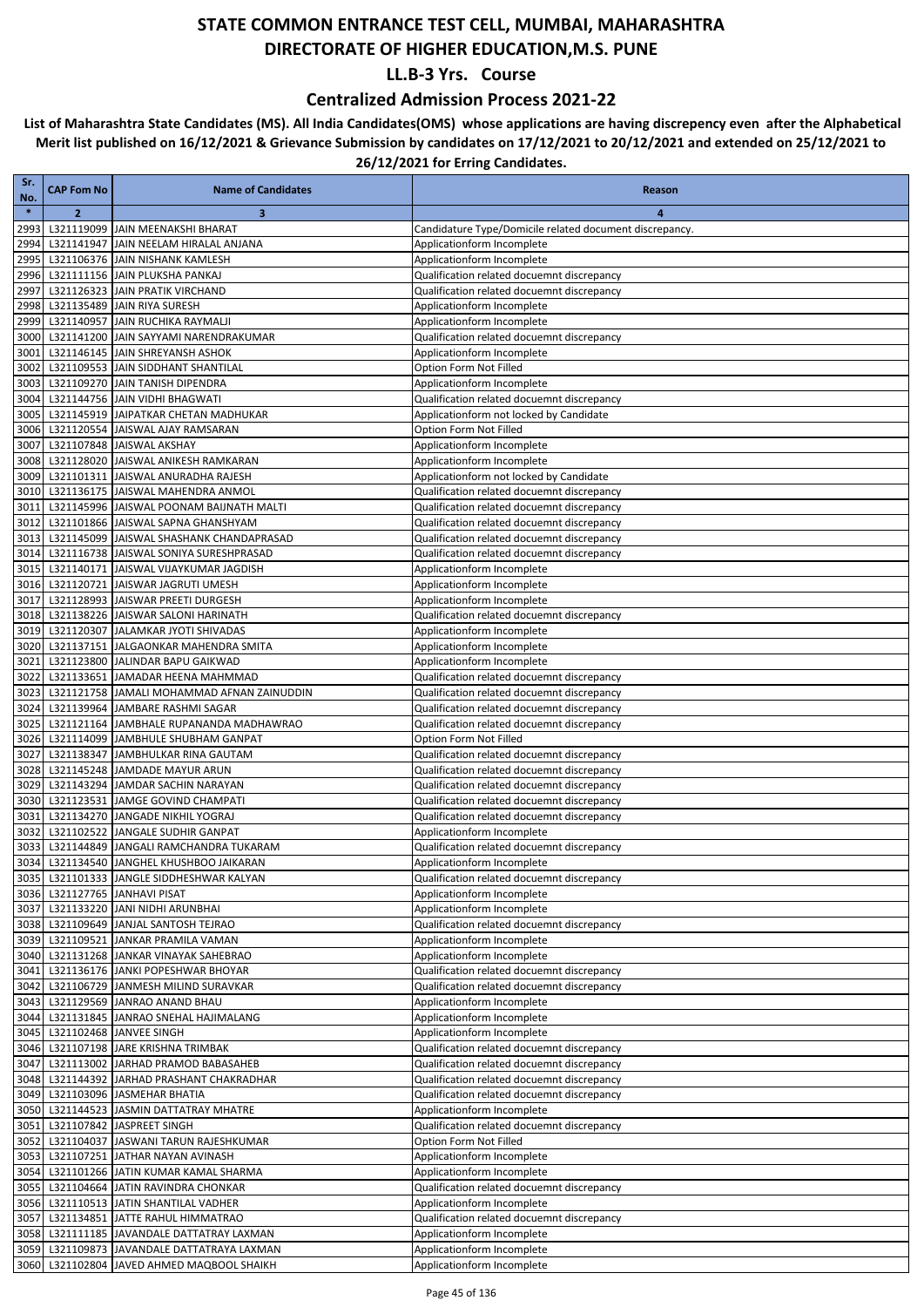#### **Centralized Admission Process 2021-22**

| Sr.<br>No.   | <b>CAP Fom No</b> | <b>Name of Candidates</b>                                                           | Reason                                                                                   |
|--------------|-------------------|-------------------------------------------------------------------------------------|------------------------------------------------------------------------------------------|
| $\ast$       | $\overline{2}$    | 3                                                                                   | $\overline{4}$                                                                           |
| 2993         |                   | L321119099 JAIN MEENAKSHI BHARAT                                                    | Candidature Type/Domicile related document discrepancy.                                  |
| 2994         |                   | L321141947 JAIN NEELAM HIRALAL ANJANA                                               | Applicationform Incomplete                                                               |
| 2995         |                   | L321106376 JAIN NISHANK KAMLESH                                                     | Applicationform Incomplete                                                               |
| 2996         |                   | L321111156 JAIN PLUKSHA PANKAJ                                                      | Qualification related docuemnt discrepancy                                               |
| 2997         |                   | L321126323 JAIN PRATIK VIRCHAND                                                     | Qualification related docuemnt discrepancy                                               |
| 2998         |                   | L321135489 JAIN RIYA SURESH<br>L321140957 JAIN RUCHIKA RAYMALJI                     | Applicationform Incomplete                                                               |
| 2999<br>3000 |                   | L321141200 JAIN SAYYAMI NARENDRAKUMAR                                               | Applicationform Incomplete<br>Qualification related docuemnt discrepancy                 |
| 3001         |                   | L321146145 JAIN SHREYANSH ASHOK                                                     | Applicationform Incomplete                                                               |
| 3002         |                   | L321109553 JJAIN SIDDHANT SHANTILAL                                                 | Option Form Not Filled                                                                   |
| 3003         |                   | L321109270 JAIN TANISH DIPENDRA                                                     | Applicationform Incomplete                                                               |
| 3004         |                   | L321144756 JAIN VIDHI BHAGWATI                                                      | Qualification related docuemnt discrepancy                                               |
| 3005         |                   | L321145919 JAIPATKAR CHETAN MADHUKAR                                                | Applicationform not locked by Candidate                                                  |
| 3006         |                   | L321120554 JAISWAL AJAY RAMSARAN                                                    | Option Form Not Filled                                                                   |
| 3007         |                   | L321107848 JAISWAL AKSHAY                                                           | Applicationform Incomplete                                                               |
| 3008         |                   | L321128020 JAISWAL ANIKESH RAMKARAN                                                 | Applicationform Incomplete                                                               |
| 3009         |                   | L321101311 JAISWAL ANURADHA RAJESH                                                  | Applicationform not locked by Candidate                                                  |
| 3010         |                   | L321136175 JAISWAL MAHENDRA ANMOL                                                   | Qualification related docuemnt discrepancy                                               |
| 3011<br>3012 |                   | L321145996 JAISWAL POONAM BAIJNATH MALTI<br>L321101866 JAISWAL SAPNA GHANSHYAM      | Qualification related docuemnt discrepancy<br>Qualification related docuemnt discrepancy |
| 3013         |                   | L321145099 JAISWAL SHASHANK CHANDAPRASAD                                            | Qualification related docuemnt discrepancy                                               |
| 3014         |                   | L321116738 JAISWAL SONIYA SURESHPRASAD                                              | Qualification related docuemnt discrepancy                                               |
| 3015         |                   | L321140171 JAISWAL VIJAYKUMAR JAGDISH                                               | Applicationform Incomplete                                                               |
| 3016         |                   | L321120721 JAISWAR JAGRUTI UMESH                                                    | Applicationform Incomplete                                                               |
| 3017         |                   | L321128993 JAISWAR PREETI DURGESH                                                   | Applicationform Incomplete                                                               |
| 3018         |                   | L321138226 JAISWAR SALONI HARINATH                                                  | Qualification related docuemnt discrepancy                                               |
| 3019         |                   | L321120307 JALAMKAR JYOTI SHIVADAS                                                  | Applicationform Incomplete                                                               |
| 3020         |                   | L321137151 JALGAONKAR MAHENDRA SMITA                                                | Applicationform Incomplete                                                               |
| 3021         |                   | L321123800 JALINDAR BAPU GAIKWAD                                                    | Applicationform Incomplete                                                               |
| 3022         |                   | L321133651 JAMADAR HEENA MAHMMAD                                                    | Qualification related docuemnt discrepancy                                               |
| 3023         |                   | L321121758 JAMALI MOHAMMAD AFNAN ZAINUDDIN<br>L321139964 JAMBARE RASHMI SAGAR       | Qualification related docuemnt discrepancy<br>Qualification related docuemnt discrepancy |
| 3024<br>3025 |                   | L321121164 JAMBHALE RUPANANDA MADHAWRAO                                             | Qualification related docuemnt discrepancy                                               |
| 3026         |                   | L321114099 JAMBHULE SHUBHAM GANPAT                                                  | Option Form Not Filled                                                                   |
| 3027         |                   | L321138347 JAMBHULKAR RINA GAUTAM                                                   | Qualification related docuemnt discrepancy                                               |
| 3028         |                   | L321145248 JAMDADE MAYUR ARUN                                                       | Qualification related docuemnt discrepancy                                               |
| 3029         |                   | L321143294 JAMDAR SACHIN NARAYAN                                                    | Qualification related docuemnt discrepancy                                               |
| 3030         |                   | L321123531 JAMGE GOVIND CHAMPATI                                                    | Qualification related docuemnt discrepancy                                               |
| 3031         |                   | L321134270 JANGADE NIKHIL YOGRAJ                                                    | Qualification related docuemnt discrepancy                                               |
| 3032         |                   | L321102522 JANGALE SUDHIR GANPAT                                                    | Applicationform Incomplete                                                               |
| 3033         |                   | L321144849 JANGALI RAMCHANDRA TUKARAM                                               | Qualification related docuemnt discrepancy                                               |
| 3034         |                   | L321134540 JANGHEL KHUSHBOO JAIKARAN<br>3035 L321101333 JANGLE SIDDHESHWAR KALYAN   | Applicationform Incomplete<br>Qualification related docuemnt discrepancy                 |
|              |                   | 3036 L321127765 JANHAVI PISAT                                                       | Applicationform Incomplete                                                               |
|              |                   | 3037 L321133220 JANI NIDHI ARUNBHAI                                                 | Applicationform Incomplete                                                               |
|              |                   | 3038 L321109649 JANJAL SANTOSH TEJRAO                                               | Qualification related docuemnt discrepancy                                               |
|              |                   | 3039 L321109521 JANKAR PRAMILA VAMAN                                                | Applicationform Incomplete                                                               |
|              |                   | 3040 L321131268 JANKAR VINAYAK SAHEBRAO                                             | Applicationform Incomplete                                                               |
|              |                   | 3041 L321136176 JANKI POPESHWAR BHOYAR                                              | Qualification related docuemnt discrepancy                                               |
|              |                   | 3042 L321106729 JANMESH MILIND SURAVKAR                                             | Qualification related docuemnt discrepancy                                               |
|              |                   | 3043 L321129569 JANRAO ANAND BHAU                                                   | Applicationform Incomplete                                                               |
|              |                   | 3044 L321131845 JANRAO SNEHAL HAJIMALANG                                            | Applicationform Incomplete                                                               |
|              |                   | 3045 L321102468 JANVEE SINGH<br>3046 L321107198 JARE KRISHNA TRIMBAK                | Applicationform Incomplete<br>Qualification related docuemnt discrepancy                 |
| 3047         |                   | L321113002 JARHAD PRAMOD BABASAHEB                                                  | Qualification related docuemnt discrepancy                                               |
|              |                   | 3048 L321144392 JARHAD PRASHANT CHAKRADHAR                                          | Qualification related docuemnt discrepancy                                               |
|              |                   | 3049 L321103096 JASMEHAR BHATIA                                                     | Qualification related docuemnt discrepancy                                               |
|              |                   | 3050 L321144523 JASMIN DATTATRAY MHATRE                                             | Applicationform Incomplete                                                               |
|              |                   | 3051 L321107842 JASPREET SINGH                                                      | Qualification related docuemnt discrepancy                                               |
| 3052         |                   | L321104037 JASWANI TARUN RAJESHKUMAR                                                | Option Form Not Filled                                                                   |
|              |                   | 3053 L321107251 JATHAR NAYAN AVINASH                                                | Applicationform Incomplete                                                               |
|              |                   | 3054 L321101266 JATIN KUMAR KAMAL SHARMA                                            | Applicationform Incomplete                                                               |
|              |                   | 3055 L321104664 JATIN RAVINDRA CHONKAR                                              | Qualification related docuemnt discrepancy                                               |
|              |                   | 3056 L321110513 JATIN SHANTILAL VADHER                                              | Applicationform Incomplete                                                               |
|              |                   | 3057 L321134851 JATTE RAHUL HIMMATRAO<br>3058 L321111185 JAVANDALE DATTATRAY LAXMAN | Qualification related docuemnt discrepancy<br>Applicationform Incomplete                 |
|              |                   | 3059 L321109873 JAVANDALE DATTATRAYA LAXMAN                                         | Applicationform Incomplete                                                               |
|              |                   | 3060 L321102804 JAVED AHMED MAQBOOL SHAIKH                                          | Applicationform Incomplete                                                               |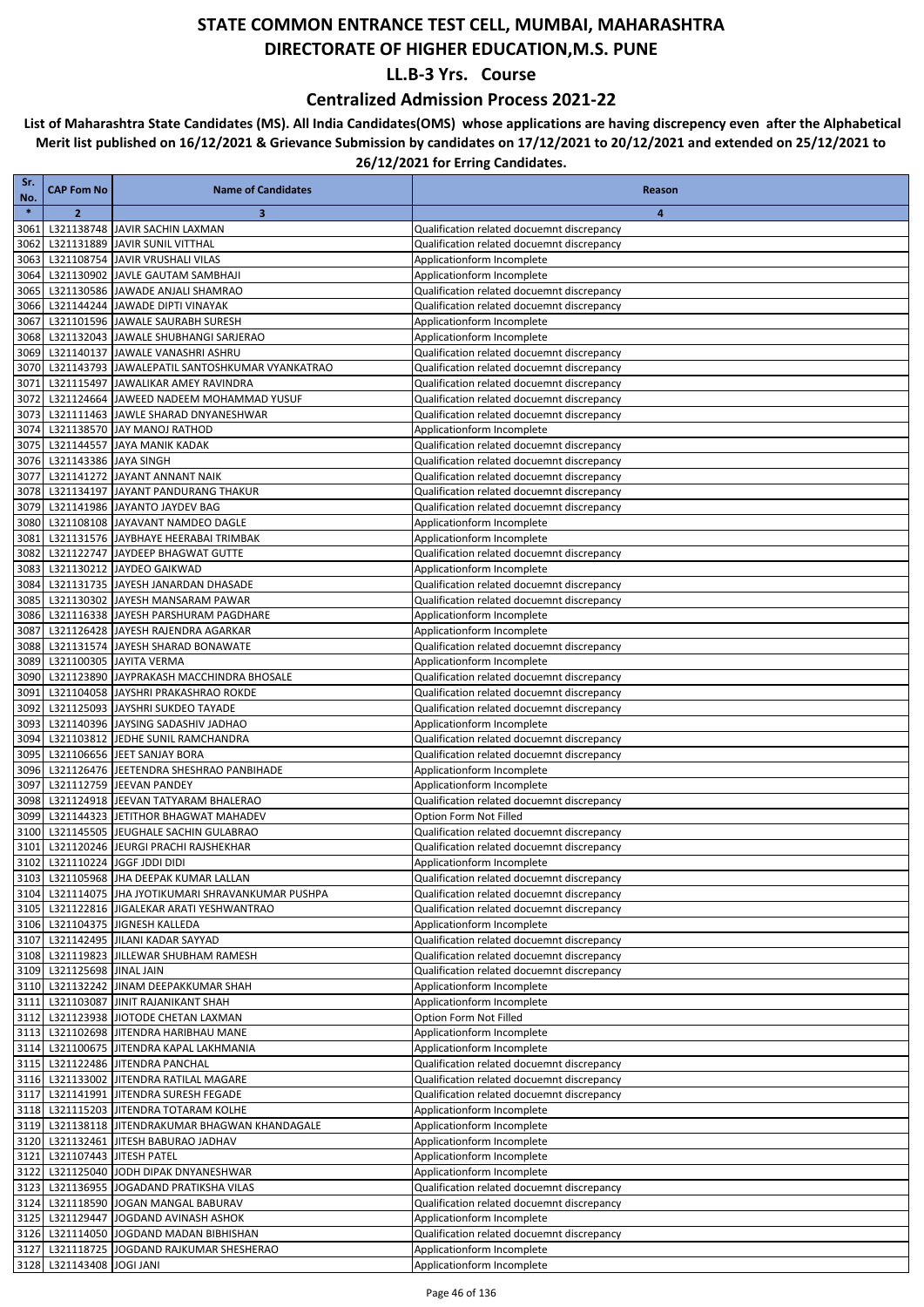### **Centralized Admission Process 2021-22**

| Sr.<br>No.   | <b>CAP Fom No</b>          | <b>Name of Candidates</b>                                                        | Reason                                                                   |
|--------------|----------------------------|----------------------------------------------------------------------------------|--------------------------------------------------------------------------|
| $\ast$       | $\overline{2}$             | 3                                                                                | 4                                                                        |
| 3061         |                            | L321138748 JAVIR SACHIN LAXMAN                                                   | Qualification related docuemnt discrepancy                               |
| 3062         |                            | L321131889 JAVIR SUNIL VITTHAL                                                   | Qualification related docuemnt discrepancy                               |
| 3063         |                            | L321108754 JAVIR VRUSHALI VILAS                                                  | Applicationform Incomplete                                               |
| 3064         |                            | L321130902 JAVLE GAUTAM SAMBHAJI                                                 | Applicationform Incomplete                                               |
| 3065         |                            | L321130586 JAWADE ANJALI SHAMRAO                                                 | Qualification related docuemnt discrepancy                               |
| 3066         |                            | L321144244 JAWADE DIPTI VINAYAK                                                  | Qualification related docuemnt discrepancy                               |
| 3067         |                            | L321101596 JAWALE SAURABH SURESH<br>L321132043 JAWALE SHUBHANGI SARJERAO         | Applicationform Incomplete                                               |
| 3068<br>3069 |                            | L321140137 JAWALE VANASHRI ASHRU                                                 | Applicationform Incomplete<br>Qualification related docuemnt discrepancy |
| 3070         |                            | L321143793 JAWALEPATIL SANTOSHKUMAR VYANKATRAO                                   | Qualification related docuemnt discrepancy                               |
| 3071         |                            | L321115497 JAWALIKAR AMEY RAVINDRA                                               | Qualification related docuemnt discrepancy                               |
| 3072         |                            | L321124664 JAWEED NADEEM MOHAMMAD YUSUF                                          | Qualification related docuemnt discrepancy                               |
| 3073         |                            | L321111463 JAWLE SHARAD DNYANESHWAR                                              | Qualification related docuemnt discrepancy                               |
| 3074         |                            | L321138570 JAY MANOJ RATHOD                                                      | Applicationform Incomplete                                               |
| 3075         |                            | L321144557 JAYA MANIK KADAK                                                      | Qualification related docuemnt discrepancy                               |
| 3076         | L321143386 JAYA SINGH      |                                                                                  | Qualification related docuemnt discrepancy                               |
| 3077         |                            | L321141272 JAYANT ANNANT NAIK                                                    | Qualification related docuemnt discrepancy                               |
| 3078         |                            | L321134197 JAYANT PANDURANG THAKUR                                               | Qualification related docuemnt discrepancy                               |
| 3079         |                            | L321141986 JAYANTO JAYDEV BAG                                                    | Qualification related docuemnt discrepancy                               |
| 3080<br>3081 |                            | L321108108 JAYAVANT NAMDEO DAGLE<br>L321131576 JAYBHAYE HEERABAI TRIMBAK         | Applicationform Incomplete<br>Applicationform Incomplete                 |
| 3082         |                            | L321122747 JAYDEEP BHAGWAT GUTTE                                                 | Qualification related docuemnt discrepancy                               |
| 3083         |                            | L321130212 JAYDEO GAIKWAD                                                        | Applicationform Incomplete                                               |
| 3084         |                            | L321131735 JAYESH JANARDAN DHASADE                                               | Qualification related docuemnt discrepancy                               |
| 3085         |                            | L321130302 JAYESH MANSARAM PAWAR                                                 | Qualification related docuemnt discrepancy                               |
| 3086         |                            | L321116338 JAYESH PARSHURAM PAGDHARE                                             | Applicationform Incomplete                                               |
| 3087         |                            | L321126428 JAYESH RAJENDRA AGARKAR                                               | Applicationform Incomplete                                               |
| 3088         |                            | L321131574 JAYESH SHARAD BONAWATE                                                | Qualification related docuemnt discrepancy                               |
| 3089         |                            | L321100305 JAYITA VERMA                                                          | Applicationform Incomplete                                               |
| 3090         |                            | L321123890 JAYPRAKASH MACCHINDRA BHOSALE                                         | Qualification related docuemnt discrepancy                               |
| 3091         |                            | L321104058 JAYSHRI PRAKASHRAO ROKDE                                              | Qualification related docuemnt discrepancy                               |
| 3092         |                            | L321125093 JAYSHRI SUKDEO TAYADE                                                 | Qualification related docuemnt discrepancy                               |
| 3093<br>3094 |                            | L321140396 JAYSING SADASHIV JADHAO<br>L321103812 JEDHE SUNIL RAMCHANDRA          | Applicationform Incomplete<br>Qualification related docuemnt discrepancy |
| 3095         |                            | L321106656 JEET SANJAY BORA                                                      | Qualification related docuemnt discrepancy                               |
| 3096         |                            | L321126476 JEETENDRA SHESHRAO PANBIHADE                                          | Applicationform Incomplete                                               |
| 3097         |                            | L321112759 JEEVAN PANDEY                                                         | Applicationform Incomplete                                               |
| 3098         |                            | L321124918 JEEVAN TATYARAM BHALERAO                                              | Qualification related docuemnt discrepancy                               |
| 3099         |                            | L321144323 JETITHOR BHAGWAT MAHADEV                                              | Option Form Not Filled                                                   |
| 3100         |                            | L321145505 JEUGHALE SACHIN GULABRAO                                              | Qualification related docuemnt discrepancy                               |
| 3101         |                            | L321120246 JEURGI PRACHI RAJSHEKHAR                                              | Qualification related docuemnt discrepancy                               |
| 3102         |                            | L321110224 JGGF JDDI DIDI                                                        | Applicationform Incomplete                                               |
|              |                            | 3103 L321105968 JHA DEEPAK KUMAR LALLAN                                          | Qualification related docuemnt discrepancy                               |
|              |                            | 3104 L321114075 JHA JYOTIKUMARI SHRAVANKUMAR PUSHPA                              | Qualification related docuemnt discrepancy                               |
|              |                            | 3105 L321122816 JIGALEKAR ARATI YESHWANTRAO<br>3106 L321104375 JIGNESH KALLEDA   | Qualification related docuemnt discrepancy<br>Applicationform Incomplete |
|              |                            | 3107 L321142495 JILANI KADAR SAYYAD                                              | Qualification related docuemnt discrepancy                               |
|              |                            | 3108 L321119823 JILLEWAR SHUBHAM RAMESH                                          | Qualification related docuemnt discrepancy                               |
|              | 3109 L321125698 JINAL JAIN |                                                                                  | Qualification related docuemnt discrepancy                               |
|              |                            | 3110 L321132242 JINAM DEEPAKKUMAR SHAH                                           | Applicationform Incomplete                                               |
| 3111         |                            | L321103087 JINIT RAJANIKANT SHAH                                                 | Applicationform Incomplete                                               |
|              |                            | 3112 L321123938 JJIOTODE CHETAN LAXMAN                                           | Option Form Not Filled                                                   |
|              |                            | 3113 L321102698 JITENDRA HARIBHAU MANE                                           | Applicationform Incomplete                                               |
|              |                            | 3114 L321100675 JITENDRA KAPAL LAKHMANIA                                         | Applicationform Incomplete                                               |
|              |                            | 3115 L321122486 JITENDRA PANCHAL                                                 | Qualification related docuemnt discrepancy                               |
|              |                            | 3116 L321133002 JITENDRA RATILAL MAGARE                                          | Qualification related docuemnt discrepancy                               |
|              |                            | 3117 L321141991 JITENDRA SURESH FEGADE<br>3118 L321115203 JITENDRA TOTARAM KOLHE | Qualification related docuemnt discrepancy                               |
|              |                            | 3119 L321138118 JITENDRAKUMAR BHAGWAN KHANDAGALE                                 | Applicationform Incomplete<br>Applicationform Incomplete                 |
|              |                            | 3120 L321132461 JITESH BABURAO JADHAV                                            | Applicationform Incomplete                                               |
| 3121         | L321107443 JITESH PATEL    |                                                                                  | Applicationform Incomplete                                               |
|              |                            | 3122 L321125040 JODH DIPAK DNYANESHWAR                                           | Applicationform Incomplete                                               |
|              |                            | 3123 L321136955 JOGADAND PRATIKSHA VILAS                                         | Qualification related docuemnt discrepancy                               |
|              |                            | 3124 L321118590 JOGAN MANGAL BABURAV                                             | Qualification related docuemnt discrepancy                               |
|              |                            | 3125 L321129447 JOGDAND AVINASH ASHOK                                            | Applicationform Incomplete                                               |
|              |                            | 3126 L321114050 JOGDAND MADAN BIBHISHAN                                          | Qualification related docuemnt discrepancy                               |
| 3127         |                            | L321118725 JOGDAND RAJKUMAR SHESHERAO                                            | Applicationform Incomplete                                               |
|              | 3128 L321143408 JOGI JANI  |                                                                                  | Applicationform Incomplete                                               |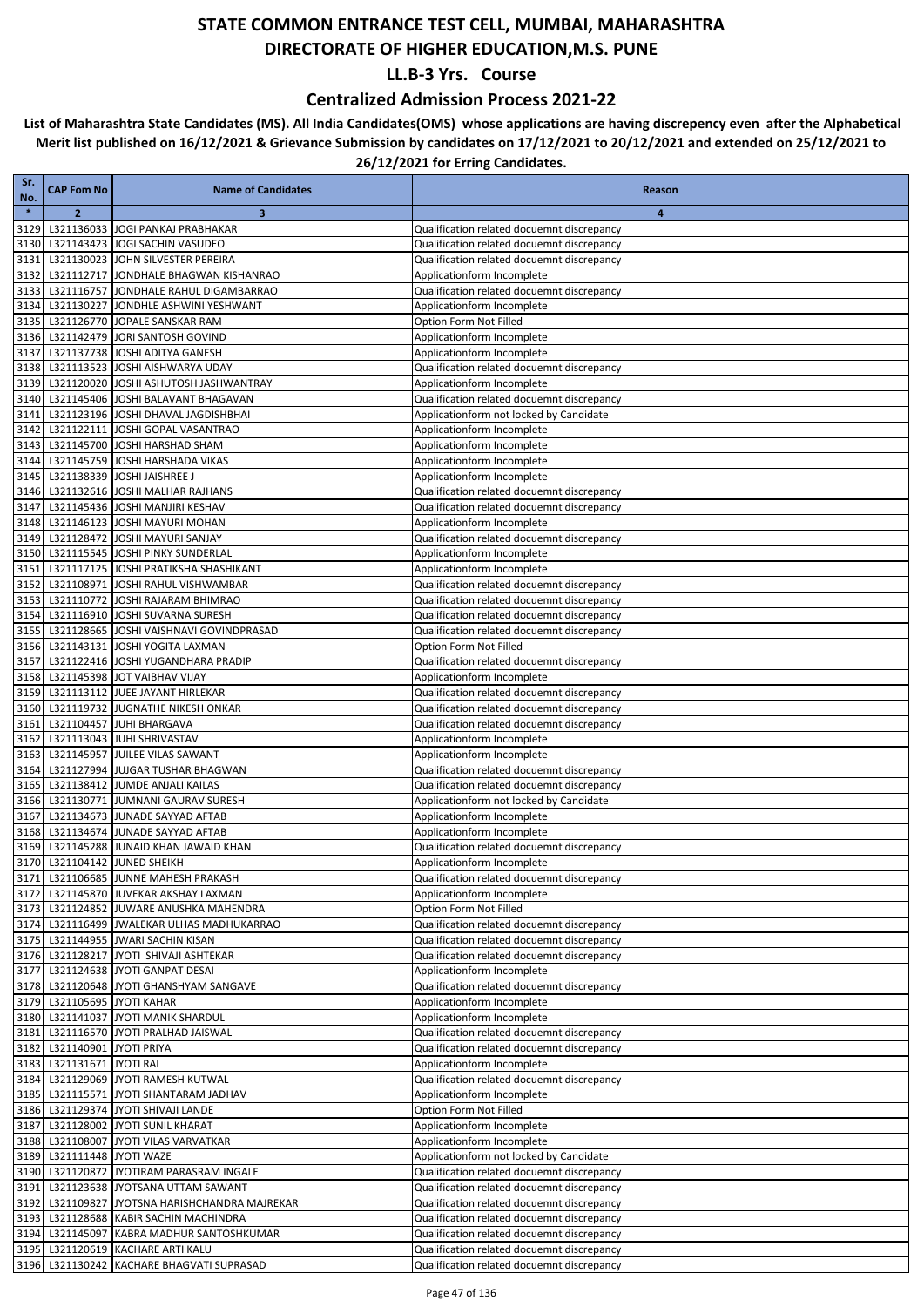### **Centralized Admission Process 2021-22**

| Sr.<br>No.   | <b>CAP Fom No</b>                                        | <b>Name of Candidates</b>                                                        | Reason                                                                                   |
|--------------|----------------------------------------------------------|----------------------------------------------------------------------------------|------------------------------------------------------------------------------------------|
| $\ast$       | $\overline{2}$                                           | 3                                                                                | $\overline{\mathbf{a}}$                                                                  |
| 3129         |                                                          | L321136033 JOGI PANKAJ PRABHAKAR                                                 | Qualification related docuemnt discrepancy                                               |
| 3130         |                                                          | L321143423 JOGI SACHIN VASUDEO                                                   | Qualification related docuemnt discrepancy                                               |
| 3131         |                                                          | L321130023 JJOHN SILVESTER PEREIRA                                               | Qualification related docuemnt discrepancy                                               |
| 3132         |                                                          | L321112717 JONDHALE BHAGWAN KISHANRAO                                            | Applicationform Incomplete                                                               |
| 3133<br>3134 |                                                          | L321116757 JONDHALE RAHUL DIGAMBARRAO<br>L321130227 JONDHLE ASHWINI YESHWANT     | Qualification related docuemnt discrepancy<br>Applicationform Incomplete                 |
| 3135         |                                                          | L321126770 JOPALE SANSKAR RAM                                                    | Option Form Not Filled                                                                   |
| 3136         |                                                          | L321142479 JORI SANTOSH GOVIND                                                   | Applicationform Incomplete                                                               |
| 3137         |                                                          | L321137738 JOSHI ADITYA GANESH                                                   | Applicationform Incomplete                                                               |
| 3138         |                                                          | L321113523 JOSHI AISHWARYA UDAY                                                  | Qualification related docuemnt discrepancy                                               |
| 3139         |                                                          | L321120020 JOSHI ASHUTOSH JASHWANTRAY                                            | Applicationform Incomplete                                                               |
| 3140         |                                                          | L321145406 JOSHI BALAVANT BHAGAVAN                                               | Qualification related docuemnt discrepancy                                               |
| 3141<br>3142 |                                                          | L321123196 JOSHI DHAVAL JAGDISHBHAI<br>L321122111 JOSHI GOPAL VASANTRAO          | Applicationform not locked by Candidate                                                  |
| 3143         |                                                          | L321145700 JOSHI HARSHAD SHAM                                                    | Applicationform Incomplete<br>Applicationform Incomplete                                 |
| 3144         |                                                          | L321145759 JOSHI HARSHADA VIKAS                                                  | Applicationform Incomplete                                                               |
| 3145         |                                                          | L321138339 JOSHI JAISHREE J                                                      | Applicationform Incomplete                                                               |
| 3146         |                                                          | L321132616 JOSHI MALHAR RAJHANS                                                  | Qualification related docuemnt discrepancy                                               |
| 3147         |                                                          | L321145436 JOSHI MANJIRI KESHAV                                                  | Qualification related docuemnt discrepancy                                               |
| 3148         |                                                          | L321146123 JOSHI MAYURI MOHAN                                                    | Applicationform Incomplete                                                               |
| 3149         |                                                          | L321128472 JOSHI MAYURI SANJAY<br>L321115545 JOSHI PINKY SUNDERLAL               | Qualification related docuemnt discrepancy                                               |
| 3150<br>3151 |                                                          | L321117125 JOSHI PRATIKSHA SHASHIKANT                                            | Applicationform Incomplete<br>Applicationform Incomplete                                 |
| 3152         |                                                          | L321108971 JOSHI RAHUL VISHWAMBAR                                                | Qualification related docuemnt discrepancy                                               |
| 3153         |                                                          | L321110772 JOSHI RAJARAM BHIMRAO                                                 | Qualification related docuemnt discrepancy                                               |
| 3154         |                                                          | L321116910 JOSHI SUVARNA SURESH                                                  | Qualification related docuemnt discrepancy                                               |
| 3155         |                                                          | L321128665 JJOSHI VAISHNAVI GOVINDPRASAD                                         | Qualification related docuemnt discrepancy                                               |
| 3156         |                                                          | L321143131 JJOSHI YOGITA LAXMAN                                                  | Option Form Not Filled                                                                   |
| 3157         |                                                          | L321122416 JOSHI YUGANDHARA PRADIP                                               | Qualification related docuemnt discrepancy                                               |
| 3158<br>3159 |                                                          | L321145398 JOT VAIBHAV VIJAY<br>L321113112 JUEE JAYANT HIRLEKAR                  | Applicationform Incomplete<br>Qualification related docuemnt discrepancy                 |
| 3160         |                                                          | L321119732 JUGNATHE NIKESH ONKAR                                                 | Qualification related docuemnt discrepancy                                               |
| 3161         |                                                          | L321104457 JUHI BHARGAVA                                                         | Qualification related docuemnt discrepancy                                               |
| 3162         |                                                          | L321113043 JUHI SHRIVASTAV                                                       | Applicationform Incomplete                                                               |
| 3163         |                                                          | L321145957 JUILEE VILAS SAWANT                                                   | Applicationform Incomplete                                                               |
| 3164         |                                                          | L321127994 JUJGAR TUSHAR BHAGWAN                                                 | Qualification related docuemnt discrepancy                                               |
| 3165         |                                                          | L321138412 JUMDE ANJALI KAILAS                                                   | Qualification related docuemnt discrepancy                                               |
| 3166<br>3167 |                                                          | L321130771 JUMNANI GAURAV SURESH<br>L321134673 JUNADE SAYYAD AFTAB               | Applicationform not locked by Candidate<br>Applicationform Incomplete                    |
| 3168         |                                                          | L321134674 JUNADE SAYYAD AFTAB                                                   | Applicationform Incomplete                                                               |
| 3169         |                                                          | L321145288 JUNAID KHAN JAWAID KHAN                                               | Qualification related docuemnt discrepancy                                               |
| 3170         |                                                          | L321104142 JUNED SHEIKH                                                          | Applicationform Incomplete                                                               |
|              |                                                          | 3171 L321106685 JUNNE MAHESH PRAKASH                                             | Qualification related docuemnt discrepancy                                               |
| 3172         |                                                          | L321145870 JUVEKAR AKSHAY LAXMAN                                                 | Applicationform Incomplete                                                               |
|              |                                                          | 3173 L321124852 JUWARE ANUSHKA MAHENDRA                                          | Option Form Not Filled                                                                   |
|              |                                                          | 3174 L321116499 JWALEKAR ULHAS MADHUKARRAO<br>3175 L321144955 JWARI SACHIN KISAN | Qualification related docuemnt discrepancy<br>Qualification related docuemnt discrepancy |
|              |                                                          | 3176 L321128217 JYOTI SHIVAJI ASHTEKAR                                           | Qualification related docuemnt discrepancy                                               |
| 3177         |                                                          | L321124638 JYOTI GANPAT DESAI                                                    | Applicationform Incomplete                                                               |
| 3178         |                                                          | L321120648 JYOTI GHANSHYAM SANGAVE                                               | Qualification related docuemnt discrepancy                                               |
|              | 3179 L321105695 JYOTI KAHAR                              |                                                                                  | Applicationform Incomplete                                                               |
|              |                                                          | 3180 L321141037 JYOTI MANIK SHARDUL                                              | Applicationform Incomplete                                                               |
|              |                                                          | 3181 L321116570 JYOTI PRALHAD JAISWAL                                            | Qualification related docuemnt discrepancy                                               |
|              | 3182 L321140901 JYOTI PRIYA<br>3183 L321131671 JYOTI RAI |                                                                                  | Qualification related docuemnt discrepancy<br>Applicationform Incomplete                 |
|              |                                                          | 3184 L321129069 JYOTI RAMESH KUTWAL                                              | Qualification related docuemnt discrepancy                                               |
|              |                                                          | 3185 L321115571 JYOTI SHANTARAM JADHAV                                           | Applicationform Incomplete                                                               |
|              |                                                          | 3186 L321129374 JYOTI SHIVAJI LANDE                                              | Option Form Not Filled                                                                   |
|              |                                                          | 3187 L321128002 JYOTI SUNIL KHARAT                                               | Applicationform Incomplete                                                               |
|              |                                                          | 3188 L321108007 JYOTI VILAS VARVATKAR                                            | Applicationform Incomplete                                                               |
|              | 3189 L321111448 JYOTI WAZE                               |                                                                                  | Applicationform not locked by Candidate                                                  |
|              |                                                          | 3190 L321120872 JYOTIRAM PARASRAM INGALE<br>L321123638 JYOTSANA UTTAM SAWANT     | Qualification related docuemnt discrepancy<br>Qualification related docuemnt discrepancy |
| 3191         |                                                          | 3192 L321109827 JYOTSNA HARISHCHANDRA MAJREKAR                                   | Qualification related docuemnt discrepancy                                               |
|              |                                                          | 3193 L321128688 KABIR SACHIN MACHINDRA                                           | Qualification related docuemnt discrepancy                                               |
|              |                                                          | 3194 L321145097 KABRA MADHUR SANTOSHKUMAR                                        | Qualification related docuemnt discrepancy                                               |
|              |                                                          | 3195 L321120619 KACHARE ARTI KALU                                                | Qualification related docuemnt discrepancy                                               |
|              |                                                          | 3196 L321130242 KACHARE BHAGVATI SUPRASAD                                        | Qualification related docuemnt discrepancy                                               |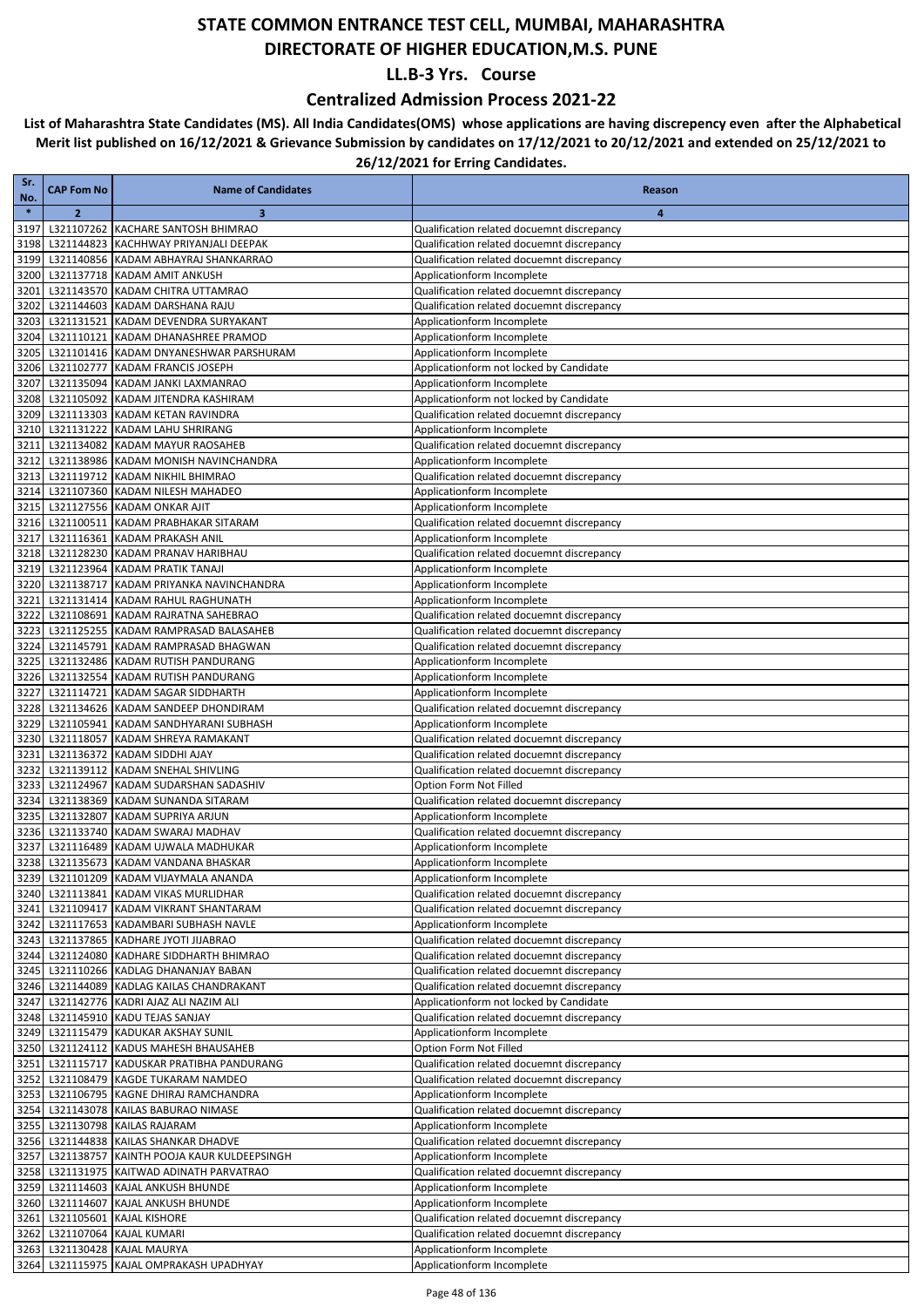### **Centralized Admission Process 2021-22**

| Sr.<br>No.   | <b>CAP Fom No</b> | <b>Name of Candidates</b>                                                           | Reason                                                                                   |
|--------------|-------------------|-------------------------------------------------------------------------------------|------------------------------------------------------------------------------------------|
| $\ast$       | $\overline{2}$    | 3                                                                                   | $\overline{\mathbf{a}}$                                                                  |
| 3197         |                   | L321107262 KACHARE SANTOSH BHIMRAO                                                  | Qualification related docuemnt discrepancy                                               |
| 3198         |                   | L321144823 KACHHWAY PRIYANJALI DEEPAK                                               | Qualification related docuemnt discrepancy                                               |
| 3199         |                   | L321140856 KADAM ABHAYRAJ SHANKARRAO                                                | Qualification related docuemnt discrepancy                                               |
| 3200         |                   | L321137718 KADAM AMIT ANKUSH                                                        | Applicationform Incomplete                                                               |
| 3201<br>3202 |                   | L321143570 KADAM CHITRA UTTAMRAO<br>L321144603 KADAM DARSHANA RAJU                  | Qualification related docuemnt discrepancy<br>Qualification related docuemnt discrepancy |
| 3203         |                   | L321131521 KADAM DEVENDRA SURYAKANT                                                 | Applicationform Incomplete                                                               |
| 3204         |                   | L321110121 KADAM DHANASHREE PRAMOD                                                  | Applicationform Incomplete                                                               |
| 3205         |                   | L321101416 KADAM DNYANESHWAR PARSHURAM                                              | Applicationform Incomplete                                                               |
| 3206         |                   | L321102777 KADAM FRANCIS JOSEPH                                                     | Applicationform not locked by Candidate                                                  |
| 3207         |                   | L321135094 KADAM JANKI LAXMANRAO                                                    | Applicationform Incomplete                                                               |
| 3208         |                   | L321105092 KADAM JITENDRA KASHIRAM                                                  | Applicationform not locked by Candidate                                                  |
| 3209         |                   | L321113303 KADAM KETAN RAVINDRA                                                     | Qualification related docuemnt discrepancy                                               |
| 3210         |                   | L321131222 KADAM LAHU SHRIRANG                                                      | Applicationform Incomplete                                                               |
| 3211         |                   | L321134082 KADAM MAYUR RAOSAHEB                                                     | Qualification related docuemnt discrepancy                                               |
| 3212<br>3213 |                   | L321138986 KADAM MONISH NAVINCHANDRA<br>L321119712 KADAM NIKHIL BHIMRAO             | Applicationform Incomplete<br>Qualification related docuemnt discrepancy                 |
| 3214         |                   | L321107360 KADAM NILESH MAHADEO                                                     | Applicationform Incomplete                                                               |
| 3215         |                   | L321127556 KADAM ONKAR AJIT                                                         | Applicationform Incomplete                                                               |
| 3216         |                   | L321100511 KADAM PRABHAKAR SITARAM                                                  | Qualification related docuemnt discrepancy                                               |
| 3217         |                   | L321116361 KADAM PRAKASH ANIL                                                       | Applicationform Incomplete                                                               |
| 3218         |                   | L321128230 KADAM PRANAV HARIBHAU                                                    | Qualification related docuemnt discrepancy                                               |
| 3219         |                   | L321123964 KADAM PRATIK TANAJI                                                      | Applicationform Incomplete                                                               |
| 3220         |                   | L321138717 KADAM PRIYANKA NAVINCHANDRA                                              | Applicationform Incomplete                                                               |
| 3221         |                   | L321131414 KADAM RAHUL RAGHUNATH                                                    | Applicationform Incomplete                                                               |
| 3222         |                   | L321108691 KADAM RAJRATNA SAHEBRAO<br>L321125255 KADAM RAMPRASAD BALASAHEB          | Qualification related docuemnt discrepancy<br>Qualification related docuemnt discrepancy |
| 3223<br>3224 |                   | L321145791 KADAM RAMPRASAD BHAGWAN                                                  | Qualification related docuemnt discrepancy                                               |
| 3225         |                   | L321132486 KADAM RUTISH PANDURANG                                                   | Applicationform Incomplete                                                               |
| 3226         |                   | L321132554 KADAM RUTISH PANDURANG                                                   | Applicationform Incomplete                                                               |
| 3227         |                   | L321114721 KADAM SAGAR SIDDHARTH                                                    | Applicationform Incomplete                                                               |
| 3228         |                   | L321134626 KADAM SANDEEP DHONDIRAM                                                  | Qualification related docuemnt discrepancy                                               |
| 3229         |                   | L321105941 KADAM SANDHYARANI SUBHASH                                                | Applicationform Incomplete                                                               |
| 3230         |                   | L321118057 KADAM SHREYA RAMAKANT                                                    | Qualification related docuemnt discrepancy                                               |
| 3231         |                   | L321136372 KADAM SIDDHI AJAY                                                        | Qualification related docuemnt discrepancy                                               |
| 3232<br>3233 |                   | L321139112 KADAM SNEHAL SHIVLING<br>L321124967 KADAM SUDARSHAN SADASHIV             | Qualification related docuemnt discrepancy<br>Option Form Not Filled                     |
| 3234         |                   | L321138369 KADAM SUNANDA SITARAM                                                    | Qualification related docuemnt discrepancy                                               |
| 3235         |                   | L321132807 KADAM SUPRIYA ARJUN                                                      | Applicationform Incomplete                                                               |
| 3236         |                   | L321133740 KADAM SWARAJ MADHAV                                                      | Qualification related docuemnt discrepancy                                               |
| 3237         |                   | L321116489 KADAM UJWALA MADHUKAR                                                    | Applicationform Incomplete                                                               |
| 3238         |                   | L321135673 KADAM VANDANA BHASKAR                                                    | Applicationform Incomplete                                                               |
|              |                   | 3239 L321101209 KADAM VIJAYMALA ANANDA                                              | Applicationform Incomplete                                                               |
|              |                   | 3240 L321113841 KADAM VIKAS MURLIDHAR                                               | Qualification related docuemnt discrepancy                                               |
|              |                   | 3241 L321109417 KADAM VIKRANT SHANTARAM                                             | Qualification related docuemnt discrepancy                                               |
|              |                   | 3242 L321117653 KADAMBARI SUBHASH NAVLE<br>3243 L321137865 KADHARE JYOTI JIJABRAO   | Applicationform Incomplete<br>Qualification related docuemnt discrepancy                 |
|              |                   | 3244 L321124080 KADHARE SIDDHARTH BHIMRAO                                           | Qualification related docuemnt discrepancy                                               |
|              |                   | 3245 L321110266 KADLAG DHANANJAY BABAN                                              | Qualification related docuemnt discrepancy                                               |
|              |                   | 3246 L321144089 KADLAG KAILAS CHANDRAKANT                                           | Qualification related docuemnt discrepancy                                               |
|              |                   | 3247 L321142776 KADRI AJAZ ALI NAZIM ALI                                            | Applicationform not locked by Candidate                                                  |
|              |                   | 3248 L321145910 KADU TEJAS SANJAY                                                   | Qualification related docuemnt discrepancy                                               |
|              |                   | 3249 L321115479 KADUKAR AKSHAY SUNIL                                                | Applicationform Incomplete                                                               |
|              |                   | 3250 L321124112 KADUS MAHESH BHAUSAHEB                                              | Option Form Not Filled                                                                   |
|              |                   | 3251 L321115717 KADUSKAR PRATIBHA PANDURANG<br>3252 L321108479 KAGDE TUKARAM NAMDEO | Qualification related docuemnt discrepancy<br>Qualification related docuemnt discrepancy |
|              |                   | 3253 L321106795 KAGNE DHIRAJ RAMCHANDRA                                             | Applicationform Incomplete                                                               |
|              |                   | 3254 L321143078 KAILAS BABURAO NIMASE                                               | Qualification related docuemnt discrepancy                                               |
|              |                   | 3255 L321130798 KAILAS RAJARAM                                                      | Applicationform Incomplete                                                               |
|              |                   | 3256 L321144838 KAILAS SHANKAR DHADVE                                               | Qualification related docuemnt discrepancy                                               |
|              |                   | 3257 L321138757 KAINTH POOJA KAUR KULDEEPSINGH                                      | Applicationform Incomplete                                                               |
|              |                   | 3258 L321131975 KAITWAD ADINATH PARVATRAO                                           | Qualification related docuemnt discrepancy                                               |
|              |                   | 3259 L321114603 KAJAL ANKUSH BHUNDE                                                 | Applicationform Incomplete                                                               |
|              |                   | 3260 L321114607 KAJAL ANKUSH BHUNDE                                                 | Applicationform Incomplete                                                               |
|              |                   | 3261 L321105601 KAJAL KISHORE<br>3262 L321107064 KAJAL KUMARI                       | Qualification related docuemnt discrepancy<br>Qualification related docuemnt discrepancy |
|              |                   | 3263 L321130428 KAJAL MAURYA                                                        | Applicationform Incomplete                                                               |
|              |                   | 3264 L321115975 KAJAL OMPRAKASH UPADHYAY                                            | Applicationform Incomplete                                                               |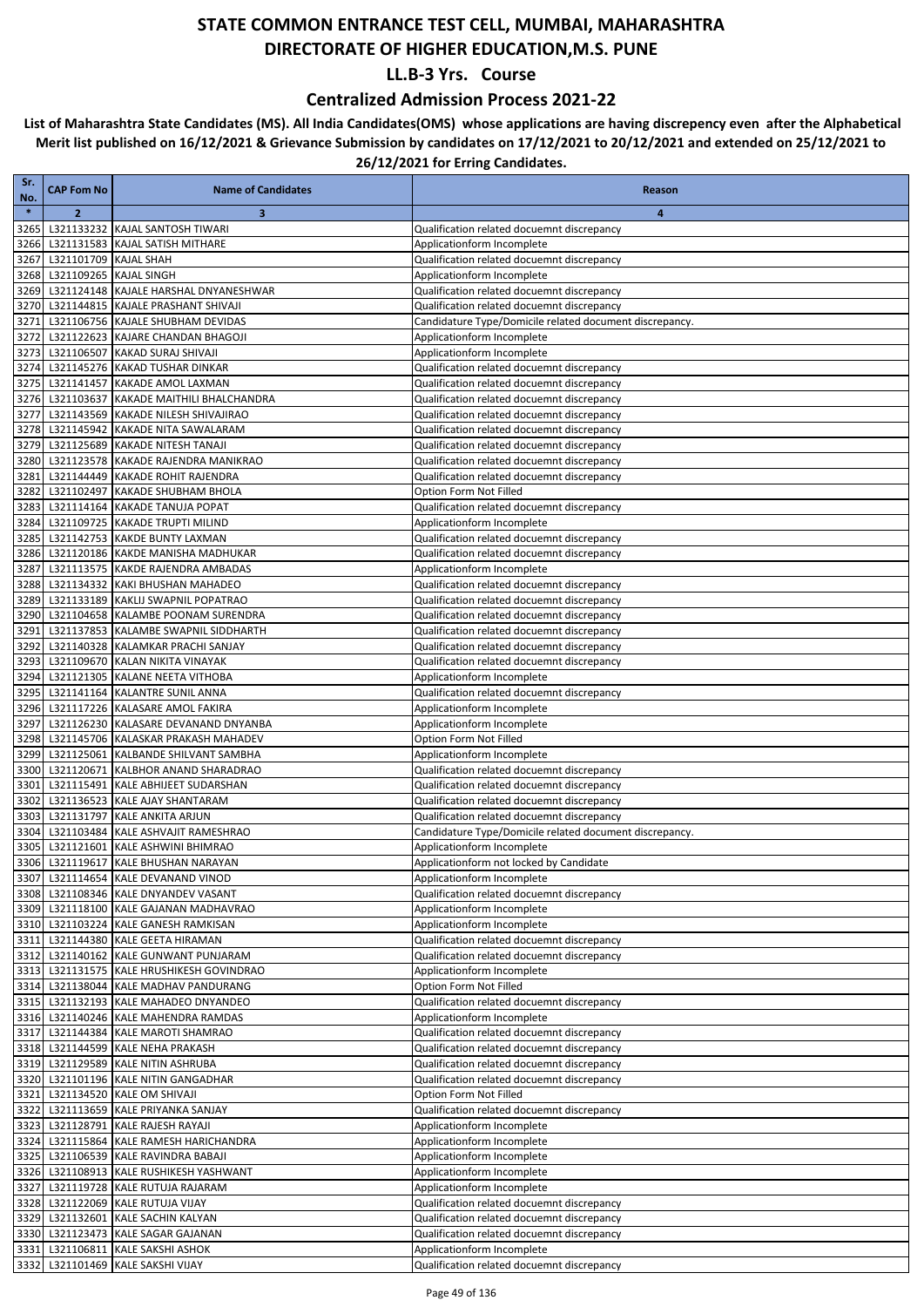### **Centralized Admission Process 2021-22**

| Sr.<br>No.   | <b>CAP Fom No</b>      | <b>Name of Candidates</b>                                                      | Reason                                                                                                |
|--------------|------------------------|--------------------------------------------------------------------------------|-------------------------------------------------------------------------------------------------------|
| $\ast$       | $\overline{2}$         | 3                                                                              | 4                                                                                                     |
| 3265         |                        | L321133232 KAJAL SANTOSH TIWARI                                                | Qualification related docuemnt discrepancy                                                            |
| 3266         |                        | L321131583 KAJAL SATISH MITHARE                                                | Applicationform Incomplete                                                                            |
| 3267         | L321101709 KAJAL SHAH  |                                                                                | Qualification related docuemnt discrepancy                                                            |
| 3268         | L321109265 KAJAL SINGH |                                                                                | Applicationform Incomplete                                                                            |
| 3269         |                        | L321124148 KAJALE HARSHAL DNYANESHWAR                                          | Qualification related docuemnt discrepancy                                                            |
| 3270<br>3271 |                        | L321144815 KAJALE PRASHANT SHIVAJI<br>L321106756 KAJALE SHUBHAM DEVIDAS        | Qualification related docuemnt discrepancy<br>Candidature Type/Domicile related document discrepancy. |
| 3272         |                        | L321122623 KAJARE CHANDAN BHAGOJI                                              | Applicationform Incomplete                                                                            |
| 3273         |                        | L321106507 KAKAD SURAJ SHIVAJI                                                 | Applicationform Incomplete                                                                            |
| 3274         |                        | L321145276 KAKAD TUSHAR DINKAR                                                 | Qualification related docuemnt discrepancy                                                            |
| 3275         |                        | L321141457 KAKADE AMOL LAXMAN                                                  | Qualification related docuemnt discrepancy                                                            |
| 3276         |                        | L321103637 KAKADE MAITHILI BHALCHANDRA                                         | Qualification related docuemnt discrepancy                                                            |
| 3277<br>3278 |                        | L321143569 KAKADE NILESH SHIVAJIRAO<br>L321145942 KAKADE NITA SAWALARAM        | Qualification related docuemnt discrepancy<br>Qualification related docuemnt discrepancy              |
| 3279         |                        | L321125689 KAKADE NITESH TANAJI                                                | Qualification related docuemnt discrepancy                                                            |
| 3280         |                        | L321123578 KAKADE RAJENDRA MANIKRAO                                            | Qualification related docuemnt discrepancy                                                            |
| 3281         |                        | L321144449 KAKADE ROHIT RAJENDRA                                               | Qualification related docuemnt discrepancy                                                            |
| 3282         |                        | L321102497 KAKADE SHUBHAM BHOLA                                                | Option Form Not Filled                                                                                |
| 3283         |                        | L321114164 KAKADE TANUJA POPAT                                                 | Qualification related docuemnt discrepancy                                                            |
| 3284         |                        | L321109725 KAKADE TRUPTI MILIND                                                | Applicationform Incomplete                                                                            |
| 3285         |                        | L321142753 KAKDE BUNTY LAXMAN                                                  | Qualification related docuemnt discrepancy                                                            |
| 3286<br>3287 |                        | L321120186 KAKDE MANISHA MADHUKAR<br>L321113575 KAKDE RAJENDRA AMBADAS         | Qualification related docuemnt discrepancy<br>Applicationform Incomplete                              |
| 3288         |                        | L321134332 KAKI BHUSHAN MAHADEO                                                | Qualification related docuemnt discrepancy                                                            |
| 3289         |                        | L321133189 KAKLIJ SWAPNIL POPATRAO                                             | Qualification related docuemnt discrepancy                                                            |
| 3290         |                        | L321104658 KALAMBE POONAM SURENDRA                                             | Qualification related docuemnt discrepancy                                                            |
| 3291         |                        | L321137853 KALAMBE SWAPNIL SIDDHARTH                                           | Qualification related docuemnt discrepancy                                                            |
| 3292         |                        | L321140328 KALAMKAR PRACHI SANJAY                                              | Qualification related docuemnt discrepancy                                                            |
| 3293         |                        | L321109670 KALAN NIKITA VINAYAK                                                | Qualification related docuemnt discrepancy                                                            |
| 3294<br>3295 |                        | L321121305 KALANE NEETA VITHOBA<br>L321141164 KALANTRE SUNIL ANNA              | Applicationform Incomplete<br>Qualification related docuemnt discrepancy                              |
| 3296         |                        | L321117226 KALASARE AMOL FAKIRA                                                | Applicationform Incomplete                                                                            |
| 3297         |                        | L321126230 KALASARE DEVANAND DNYANBA                                           | Applicationform Incomplete                                                                            |
| 3298         |                        | L321145706 KALASKAR PRAKASH MAHADEV                                            | Option Form Not Filled                                                                                |
| 3299         |                        | L321125061 KALBANDE SHILVANT SAMBHA                                            | Applicationform Incomplete                                                                            |
| 3300         |                        | L321120671 KALBHOR ANAND SHARADRAO                                             | Qualification related docuemnt discrepancy                                                            |
| 3301<br>3302 |                        | L321115491 KALE ABHIJEET SUDARSHAN<br>L321136523 KALE AJAY SHANTARAM           | Qualification related docuemnt discrepancy<br>Qualification related docuemnt discrepancy              |
| 3303         |                        | L321131797 KALE ANKITA ARJUN                                                   | Qualification related docuemnt discrepancy                                                            |
| 3304         |                        | L321103484 KALE ASHVAJIT RAMESHRAO                                             | Candidature Type/Domicile related document discrepancy.                                               |
| 3305         |                        | L321121601 KALE ASHWINI BHIMRAO                                                | Applicationform Incomplete                                                                            |
|              |                        | 3306 L321119617 KALE BHUSHAN NARAYAN                                           | Applicationform not locked by Candidate                                                               |
|              |                        | 3307 L321114654 KALE DEVANAND VINOD                                            | Applicationform Incomplete                                                                            |
|              |                        | 3308 L321108346 KALE DNYANDEV VASANT                                           | Qualification related docuemnt discrepancy                                                            |
|              |                        | 3309 L321118100 KALE GAJANAN MADHAVRAO<br>3310 L321103224 KALE GANESH RAMKISAN | Applicationform Incomplete<br>Applicationform Incomplete                                              |
| 3311         |                        | L321144380 KALE GEETA HIRAMAN                                                  | Qualification related docuemnt discrepancy                                                            |
| 3312         |                        | L321140162 KALE GUNWANT PUNJARAM                                               | Qualification related docuemnt discrepancy                                                            |
|              |                        | 3313 L321131575 KALE HRUSHIKESH GOVINDRAO                                      | Applicationform Incomplete                                                                            |
|              |                        | 3314 L321138044 KALE MADHAV PANDURANG                                          | Option Form Not Filled                                                                                |
|              |                        | 3315 L321132193 KALE MAHADEO DNYANDEO                                          | Qualification related docuemnt discrepancy                                                            |
|              |                        | 3316 L321140246 KALE MAHENDRA RAMDAS                                           | Applicationform Incomplete                                                                            |
| 3317         |                        | L321144384 KALE MAROTI SHAMRAO<br>3318 L321144599 KALE NEHA PRAKASH            | Qualification related docuemnt discrepancy<br>Qualification related docuemnt discrepancy              |
|              |                        | 3319 L321129589 KALE NITIN ASHRUBA                                             | Qualification related docuemnt discrepancy                                                            |
|              |                        | 3320 L321101196 KALE NITIN GANGADHAR                                           | Qualification related docuemnt discrepancy                                                            |
| 3321         |                        | L321134520 KALE OM SHIVAJI                                                     | Option Form Not Filled                                                                                |
| 3322         |                        | L321113659 KALE PRIYANKA SANJAY                                                | Qualification related docuemnt discrepancy                                                            |
| 3323         |                        | L321128791 KALE RAJESH RAYAJI                                                  | Applicationform Incomplete                                                                            |
|              |                        | 3324 L321115864 KALE RAMESH HARICHANDRA                                        | Applicationform Incomplete                                                                            |
|              |                        | 3325 L321106539 KALE RAVINDRA BABAJI                                           | Applicationform Incomplete                                                                            |
| 3327         |                        | 3326 L321108913 KALE RUSHIKESH YASHWANT<br>L321119728 KALE RUTUJA RAJARAM      | Applicationform Incomplete<br>Applicationform Incomplete                                              |
|              |                        | 3328 L321122069 KALE RUTUJA VIJAY                                              | Qualification related docuemnt discrepancy                                                            |
|              |                        | 3329 L321132601 KALE SACHIN KALYAN                                             | Qualification related docuemnt discrepancy                                                            |
|              |                        | 3330 L321123473 KALE SAGAR GAJANAN                                             | Qualification related docuemnt discrepancy                                                            |
|              |                        | 3331 L321106811 KALE SAKSHI ASHOK                                              | Applicationform Incomplete                                                                            |
|              |                        | 3332 L321101469 KALE SAKSHI VIJAY                                              | Qualification related docuemnt discrepancy                                                            |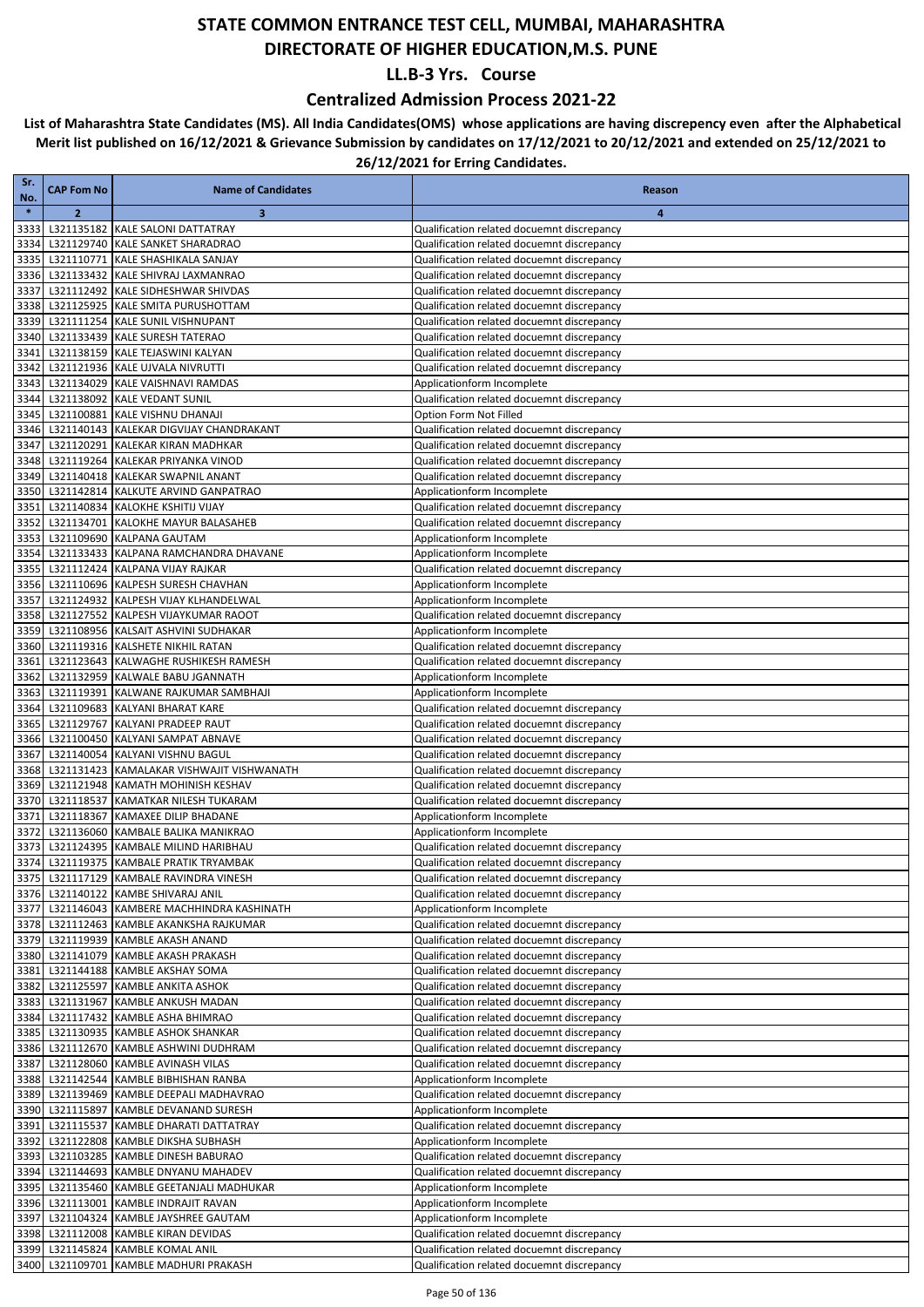#### **Centralized Admission Process 2021-22**

| Sr.<br>No.   | <b>CAP Fom No</b> | <b>Name of Candidates</b>                                                      | Reason                                                                                   |
|--------------|-------------------|--------------------------------------------------------------------------------|------------------------------------------------------------------------------------------|
| $\ast$       | $\overline{2}$    | 3                                                                              | $\overline{\mathbf{a}}$                                                                  |
| 3333         |                   | L321135182 KALE SALONI DATTATRAY                                               | Qualification related docuemnt discrepancy                                               |
| 3334         |                   | L321129740 KALE SANKET SHARADRAO                                               | Qualification related docuemnt discrepancy                                               |
| 3335         |                   | L321110771 KALE SHASHIKALA SANJAY                                              | Qualification related docuemnt discrepancy                                               |
| 3336         |                   | L321133432 KALE SHIVRAJ LAXMANRAO                                              | Qualification related docuemnt discrepancy                                               |
| 3337<br>3338 |                   | L321112492 KALE SIDHESHWAR SHIVDAS<br>L321125925 KALE SMITA PURUSHOTTAM        | Qualification related docuemnt discrepancy<br>Qualification related docuemnt discrepancy |
| 3339         |                   | L321111254 KALE SUNIL VISHNUPANT                                               | Qualification related docuemnt discrepancy                                               |
| 3340         |                   | L321133439 KALE SURESH TATERAO                                                 | Qualification related docuemnt discrepancy                                               |
| 3341         |                   | L321138159 KALE TEJASWINI KALYAN                                               | Qualification related docuemnt discrepancy                                               |
| 3342         |                   | L321121936 KALE UJVALA NIVRUTTI                                                | Qualification related docuemnt discrepancy                                               |
| 3343         |                   | L321134029 KALE VAISHNAVI RAMDAS                                               | Applicationform Incomplete                                                               |
| 3344         |                   | L321138092 KALE VEDANT SUNIL                                                   | Qualification related docuemnt discrepancy                                               |
| 3345<br>3346 |                   | L321100881 KALE VISHNU DHANAJI<br>L321140143 KALEKAR DIGVIJAY CHANDRAKANT      | Option Form Not Filled<br>Qualification related docuemnt discrepancy                     |
| 3347         |                   | L321120291 KALEKAR KIRAN MADHKAR                                               | Qualification related docuemnt discrepancy                                               |
| 3348         |                   | L321119264 KALEKAR PRIYANKA VINOD                                              | Qualification related docuemnt discrepancy                                               |
| 3349         |                   | L321140418 KALEKAR SWAPNIL ANANT                                               | Qualification related docuemnt discrepancy                                               |
| 3350         |                   | L321142814 KALKUTE ARVIND GANPATRAO                                            | Applicationform Incomplete                                                               |
| 3351         |                   | L321140834 KALOKHE KSHITIJ VIJAY                                               | Qualification related docuemnt discrepancy                                               |
| 3352         |                   | L321134701 KALOKHE MAYUR BALASAHEB                                             | Qualification related docuemnt discrepancy                                               |
| 3353         |                   | L321109690 KALPANA GAUTAM                                                      | Applicationform Incomplete<br>Applicationform Incomplete                                 |
| 3354<br>3355 |                   | L321133433 KALPANA RAMCHANDRA DHAVANE<br>L321112424 KALPANA VIJAY RAJKAR       | Qualification related docuemnt discrepancy                                               |
| 3356         |                   | L321110696 KALPESH SURESH CHAVHAN                                              | Applicationform Incomplete                                                               |
| 3357         |                   | L321124932 KALPESH VIJAY KLHANDELWAL                                           | Applicationform Incomplete                                                               |
| 3358         |                   | L321127552 KALPESH VIJAYKUMAR RAOOT                                            | Qualification related docuemnt discrepancy                                               |
| 3359         |                   | L321108956 KALSAIT ASHVINI SUDHAKAR                                            | Applicationform Incomplete                                                               |
| 3360         |                   | L321119316 KALSHETE NIKHIL RATAN                                               | Qualification related docuemnt discrepancy                                               |
| 3361         |                   | L321123643 KALWAGHE RUSHIKESH RAMESH                                           | Qualification related docuemnt discrepancy                                               |
| 3362<br>3363 |                   | L321132959 KALWALE BABU JGANNATH<br>L321119391 KALWANE RAJKUMAR SAMBHAJI       | Applicationform Incomplete<br>Applicationform Incomplete                                 |
| 3364         |                   | L321109683 KALYANI BHARAT KARE                                                 | Qualification related docuemnt discrepancy                                               |
| 3365         |                   | L321129767 KALYANI PRADEEP RAUT                                                | Qualification related docuemnt discrepancy                                               |
| 3366         |                   | L321100450 KALYANI SAMPAT ABNAVE                                               | Qualification related docuemnt discrepancy                                               |
| 3367         |                   | L321140054 KALYANI VISHNU BAGUL                                                | Qualification related docuemnt discrepancy                                               |
| 3368         |                   | L321131423 KAMALAKAR VISHWAJIT VISHWANATH                                      | Qualification related docuemnt discrepancy                                               |
| 3369         |                   | L321121948 KAMATH MOHINISH KESHAV                                              | Qualification related docuemnt discrepancy                                               |
| 3370<br>3371 |                   | L321118537 KAMATKAR NILESH TUKARAM<br>L321118367 KAMAXEE DILIP BHADANE         | Qualification related docuemnt discrepancy<br>Applicationform Incomplete                 |
| 3372         |                   | L321136060 KAMBALE BALIKA MANIKRAO                                             | Applicationform Incomplete                                                               |
| 3373         |                   | L321124395 KAMBALE MILIND HARIBHAU                                             | Qualification related docuemnt discrepancy                                               |
| 3374         |                   | L321119375 KAMBALE PRATIK TRYAMBAK                                             | Qualification related docuemnt discrepancy                                               |
|              |                   | 3375 L321117129 KAMBALE RAVINDRA VINESH                                        | Qualification related docuemnt discrepancy                                               |
|              |                   | 3376 L321140122 KAMBE SHIVARAJ ANIL                                            | Qualification related docuemnt discrepancy                                               |
|              |                   | 3377 L321146043 KAMBERE MACHHINDRA KASHINATH                                   | Applicationform Incomplete                                                               |
|              |                   | 3378 L321112463 KAMBLE AKANKSHA RAJKUMAR                                       | Qualification related docuemnt discrepancy<br>Qualification related docuemnt discrepancy |
|              |                   | 3379 L321119939 KAMBLE AKASH ANAND<br>3380 L321141079 KAMBLE AKASH PRAKASH     | Qualification related docuemnt discrepancy                                               |
| 3381         |                   | L321144188 KAMBLE AKSHAY SOMA                                                  | Qualification related docuemnt discrepancy                                               |
| 3382         |                   | L321125597 KAMBLE ANKITA ASHOK                                                 | Qualification related docuemnt discrepancy                                               |
|              |                   | 3383 L321131967 KAMBLE ANKUSH MADAN                                            | Qualification related docuemnt discrepancy                                               |
|              |                   | 3384 L321117432 KAMBLE ASHA BHIMRAO                                            | Qualification related docuemnt discrepancy                                               |
| 3385         |                   | L321130935 KAMBLE ASHOK SHANKAR                                                | Qualification related docuemnt discrepancy                                               |
|              |                   | 3386 L321112670 KAMBLE ASHWINI DUDHRAM                                         | Qualification related docuemnt discrepancy                                               |
| 3387         |                   | L321128060 KAMBLE AVINASH VILAS<br>3388 L321142544 KAMBLE BIBHISHAN RANBA      | Qualification related docuemnt discrepancy<br>Applicationform Incomplete                 |
| 3389         |                   | L321139469 KAMBLE DEEPALI MADHAVRAO                                            | Qualification related docuemnt discrepancy                                               |
| 3390         |                   | L321115897 KAMBLE DEVANAND SURESH                                              | Applicationform Incomplete                                                               |
| 3391         |                   | L321115537 KAMBLE DHARATI DATTATRAY                                            | Qualification related docuemnt discrepancy                                               |
| 3392         |                   | L321122808 KAMBLE DIKSHA SUBHASH                                               | Applicationform Incomplete                                                               |
|              |                   | 3393 L321103285 KAMBLE DINESH BABURAO                                          | Qualification related docuemnt discrepancy                                               |
|              |                   | 3394 L321144693 KAMBLE DNYANU MAHADEV                                          | Qualification related docuemnt discrepancy                                               |
| 3395         |                   | L321135460 KAMBLE GEETANJALI MADHUKAR<br>3396 L321113001 KAMBLE INDRAJIT RAVAN | Applicationform Incomplete<br>Applicationform Incomplete                                 |
|              |                   | 3397 L321104324 KAMBLE JAYSHREE GAUTAM                                         | Applicationform Incomplete                                                               |
|              |                   | 3398 L321112008 KAMBLE KIRAN DEVIDAS                                           | Qualification related docuemnt discrepancy                                               |
|              |                   | 3399 L321145824 KAMBLE KOMAL ANIL                                              | Qualification related docuemnt discrepancy                                               |
|              |                   | 3400 L321109701 KAMBLE MADHURI PRAKASH                                         | Qualification related docuemnt discrepancy                                               |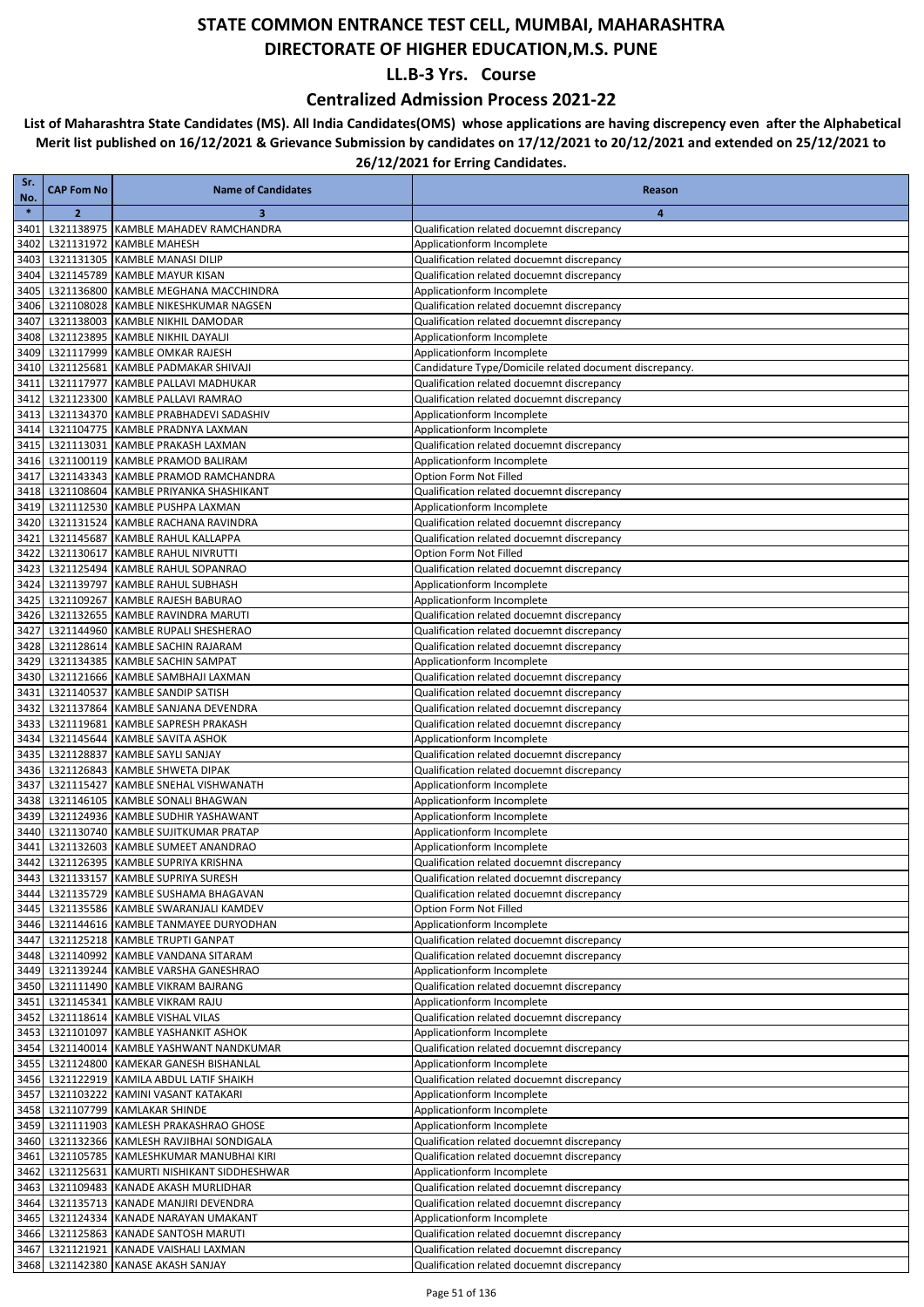### **Centralized Admission Process 2021-22**

| Sr.<br>No.   | <b>CAP Fom No</b> | <b>Name of Candidates</b>                                                             | Reason                                                                                   |
|--------------|-------------------|---------------------------------------------------------------------------------------|------------------------------------------------------------------------------------------|
| $\ast$       | $\overline{2}$    | 3                                                                                     | 4                                                                                        |
| 3401         |                   | L321138975 KAMBLE MAHADEV RAMCHANDRA                                                  | Qualification related docuemnt discrepancy                                               |
| 3402         |                   | L321131972 KAMBLE MAHESH                                                              | Applicationform Incomplete                                                               |
| 3403         |                   | L321131305 KAMBLE MANASI DILIP                                                        | Qualification related docuemnt discrepancy                                               |
| 3404         |                   | L321145789 KAMBLE MAYUR KISAN                                                         | Qualification related docuemnt discrepancy                                               |
| 3405         |                   | L321136800 KAMBLE MEGHANA MACCHINDRA                                                  | Applicationform Incomplete                                                               |
| 3406<br>3407 |                   | L321108028 KAMBLE NIKESHKUMAR NAGSEN<br>L321138003 KAMBLE NIKHIL DAMODAR              | Qualification related docuemnt discrepancy<br>Qualification related docuemnt discrepancy |
| 3408         |                   | L321123895 KAMBLE NIKHIL DAYALJI                                                      | Applicationform Incomplete                                                               |
| 3409         |                   | L321117999 KAMBLE OMKAR RAJESH                                                        | Applicationform Incomplete                                                               |
| 3410         |                   | L321125681 KAMBLE PADMAKAR SHIVAJI                                                    | Candidature Type/Domicile related document discrepancy.                                  |
| 3411         |                   | L321117977 KAMBLE PALLAVI MADHUKAR                                                    | Qualification related docuemnt discrepancy                                               |
| 3412         |                   | L321123300 KAMBLE PALLAVI RAMRAO                                                      | Qualification related docuemnt discrepancy                                               |
| 3413         |                   | L321134370 KAMBLE PRABHADEVI SADASHIV                                                 | Applicationform Incomplete                                                               |
| 3414         |                   | L321104775 KAMBLE PRADNYA LAXMAN                                                      | Applicationform Incomplete                                                               |
| 3415         |                   | L321113031 KAMBLE PRAKASH LAXMAN                                                      | Qualification related docuemnt discrepancy                                               |
| 3416         |                   | L321100119 KAMBLE PRAMOD BALIRAM                                                      | Applicationform Incomplete                                                               |
| 3417         |                   | L321143343 KAMBLE PRAMOD RAMCHANDRA                                                   | Option Form Not Filled                                                                   |
| 3418         |                   | L321108604 KAMBLE PRIYANKA SHASHIKANT                                                 | Qualification related docuemnt discrepancy                                               |
| 3419         |                   | L321112530 KAMBLE PUSHPA LAXMAN                                                       | Applicationform Incomplete                                                               |
| 3420<br>3421 |                   | L321131524 KAMBLE RACHANA RAVINDRA<br>L321145687 KAMBLE RAHUL KALLAPPA                | Qualification related docuemnt discrepancy<br>Qualification related docuemnt discrepancy |
| 3422         |                   | L321130617 KAMBLE RAHUL NIVRUTTI                                                      | Option Form Not Filled                                                                   |
| 3423         |                   | L321125494 KAMBLE RAHUL SOPANRAO                                                      | Qualification related docuemnt discrepancy                                               |
| 3424         |                   | L321139797 KAMBLE RAHUL SUBHASH                                                       | Applicationform Incomplete                                                               |
| 3425         |                   | L321109267 KAMBLE RAJESH BABURAO                                                      | Applicationform Incomplete                                                               |
| 3426         |                   | L321132655 KAMBLE RAVINDRA MARUTI                                                     | Qualification related docuemnt discrepancy                                               |
| 3427         |                   | L321144960 KAMBLE RUPALI SHESHERAO                                                    | Qualification related docuemnt discrepancy                                               |
| 3428         |                   | L321128614 KAMBLE SACHIN RAJARAM                                                      | Qualification related docuemnt discrepancy                                               |
| 3429         |                   | L321134385 KAMBLE SACHIN SAMPAT                                                       | Applicationform Incomplete                                                               |
| 3430         |                   | L321121666 KAMBLE SAMBHAJI LAXMAN                                                     | Qualification related docuemnt discrepancy                                               |
| 3431         |                   | L321140537 KAMBLE SANDIP SATISH                                                       | Qualification related docuemnt discrepancy                                               |
| 3432         |                   | L321137864 KAMBLE SANJANA DEVENDRA                                                    | Qualification related docuemnt discrepancy                                               |
| 3433         |                   | L321119681 KAMBLE SAPRESH PRAKASH                                                     | Qualification related docuemnt discrepancy                                               |
| 3434<br>3435 |                   | L321145644 KAMBLE SAVITA ASHOK<br>L321128837 KAMBLE SAYLI SANJAY                      | Applicationform Incomplete<br>Qualification related docuemnt discrepancy                 |
| 3436         |                   | L321126843 KAMBLE SHWETA DIPAK                                                        | Qualification related docuemnt discrepancy                                               |
| 3437         |                   | L321115427 KAMBLE SNEHAL VISHWANATH                                                   | Applicationform Incomplete                                                               |
| 3438         |                   | L321146105 KAMBLE SONALI BHAGWAN                                                      | Applicationform Incomplete                                                               |
| 3439         |                   | L321124936 KAMBLE SUDHIR YASHAWANT                                                    | Applicationform Incomplete                                                               |
| 3440         |                   | L321130740 KAMBLE SUJITKUMAR PRATAP                                                   | Applicationform Incomplete                                                               |
| 3441         |                   | L321132603 KAMBLE SUMEET ANANDRAO                                                     | Applicationform Incomplete                                                               |
| 3442         |                   | L321126395 KAMBLE SUPRIYA KRISHNA                                                     | Qualification related docuemnt discrepancy                                               |
|              |                   | 3443 L321133157 KAMBLE SUPRIYA SURESH                                                 | Qualification related docuemnt discrepancy                                               |
|              |                   | 3444 L321135729 KAMBLE SUSHAMA BHAGAVAN                                               | Qualification related docuemnt discrepancy                                               |
|              |                   | 3445 L321135586 KAMBLE SWARANJALI KAMDEV<br>3446 L321144616 KAMBLE TANMAYEE DURYODHAN | Option Form Not Filled                                                                   |
|              |                   | 3447 L321125218 KAMBLE TRUPTI GANPAT                                                  | Applicationform Incomplete<br>Qualification related docuemnt discrepancy                 |
|              |                   | 3448 L321140992 KAMBLE VANDANA SITARAM                                                | Qualification related docuemnt discrepancy                                               |
|              |                   | 3449 L321139244 KAMBLE VARSHA GANESHRAO                                               | Applicationform Incomplete                                                               |
|              |                   | 3450 L321111490 KAMBLE VIKRAM BAJRANG                                                 | Qualification related docuemnt discrepancy                                               |
|              |                   | 3451 L321145341 KAMBLE VIKRAM RAJU                                                    | Applicationform Incomplete                                                               |
|              |                   | 3452 L321118614 KAMBLE VISHAL VILAS                                                   | Qualification related docuemnt discrepancy                                               |
|              |                   | 3453 L321101097 KAMBLE YASHANKIT ASHOK                                                | Applicationform Incomplete                                                               |
|              |                   | 3454 L321140014 KAMBLE YASHWANT NANDKUMAR                                             | Qualification related docuemnt discrepancy                                               |
|              |                   | 3455 L321124800 KAMEKAR GANESH BISHANLAL                                              | Applicationform Incomplete                                                               |
|              |                   | 3456 L321122919 KAMILA ABDUL LATIF SHAIKH                                             | Qualification related docuemnt discrepancy                                               |
| 3457         |                   | L321103222 KAMINI VASANT KATAKARI<br>3458 L321107799 KAMLAKAR SHINDE                  | Applicationform Incomplete                                                               |
|              |                   | 3459 L321111903 KAMLESH PRAKASHRAO GHOSE                                              | Applicationform Incomplete<br>Applicationform Incomplete                                 |
|              |                   | 3460 L321132366 KAMLESH RAVJIBHAI SONDIGALA                                           | Qualification related docuemnt discrepancy                                               |
|              |                   | 3461 L321105785 KAMLESHKUMAR MANUBHAI KIRI                                            | Qualification related docuemnt discrepancy                                               |
| 3462         |                   | L321125631 KAMURTI NISHIKANT SIDDHESHWAR                                              | Applicationform Incomplete                                                               |
|              |                   | 3463 L321109483 KANADE AKASH MURLIDHAR                                                | Qualification related docuemnt discrepancy                                               |
|              |                   | 3464 L321135713 KANADE MANJIRI DEVENDRA                                               | Qualification related docuemnt discrepancy                                               |
|              |                   | 3465 L321124334 KANADE NARAYAN UMAKANT                                                | Applicationform Incomplete                                                               |
|              |                   | 3466 L321125863 KANADE SANTOSH MARUTI                                                 | Qualification related docuemnt discrepancy                                               |
| 3467         |                   | L321121921 KANADE VAISHALI LAXMAN                                                     | Qualification related docuemnt discrepancy                                               |
| 3468         |                   | L321142380 KANASE AKASH SANJAY                                                        | Qualification related docuemnt discrepancy                                               |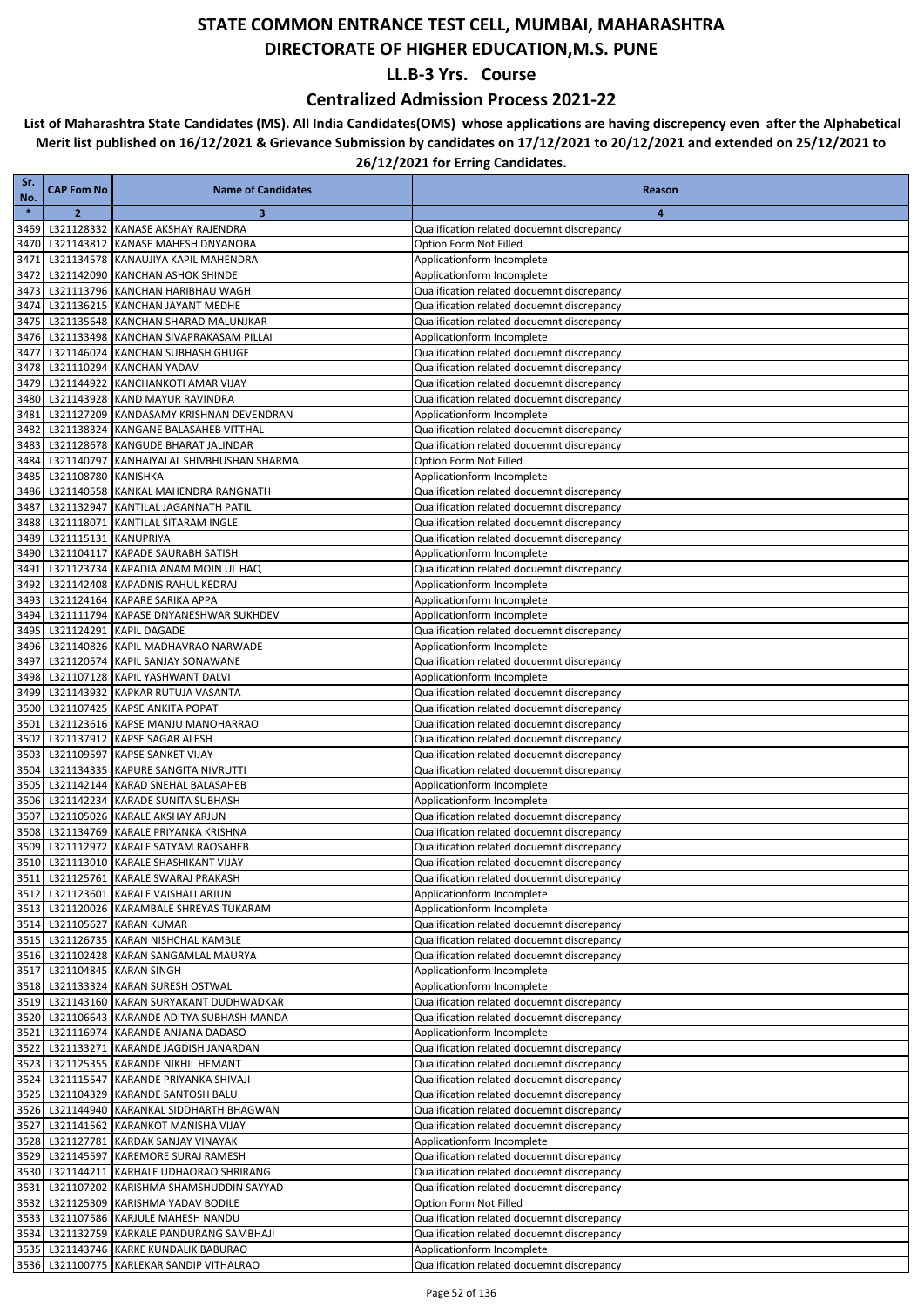### **Centralized Admission Process 2021-22**

| Sr.<br>No.   | <b>CAP Fom No</b>    | <b>Name of Candidates</b>                                                            | Reason                                                                                   |
|--------------|----------------------|--------------------------------------------------------------------------------------|------------------------------------------------------------------------------------------|
| $\ast$       | $\overline{2}$       | 3                                                                                    | 4                                                                                        |
| 3469         |                      | L321128332 KANASE AKSHAY RAJENDRA                                                    | Qualification related docuemnt discrepancy                                               |
| 3470         |                      | L321143812 KANASE MAHESH DNYANOBA                                                    | Option Form Not Filled                                                                   |
| 3471         |                      | L321134578 KANAUJIYA KAPIL MAHENDRA                                                  | Applicationform Incomplete                                                               |
| 3472         |                      | L321142090 KANCHAN ASHOK SHINDE                                                      | Applicationform Incomplete                                                               |
| 3473         |                      | L321113796 KANCHAN HARIBHAU WAGH                                                     | Qualification related docuemnt discrepancy                                               |
| 3474         |                      | L321136215 KANCHAN JAYANT MEDHE                                                      | Qualification related docuemnt discrepancy                                               |
| 3475<br>3476 |                      | L321135648 KANCHAN SHARAD MALUNJKAR<br>L321133498 KANCHAN SIVAPRAKASAM PILLAI        | Qualification related docuemnt discrepancy<br>Applicationform Incomplete                 |
| 3477         |                      | L321146024 KANCHAN SUBHASH GHUGE                                                     | Qualification related docuemnt discrepancy                                               |
| 3478         |                      | L321110294 KANCHAN YADAV                                                             | Qualification related docuemnt discrepancy                                               |
| 3479         |                      | L321144922 KANCHANKOTI AMAR VIJAY                                                    | Qualification related docuemnt discrepancy                                               |
| 3480         |                      | L321143928 KAND MAYUR RAVINDRA                                                       | Qualification related docuemnt discrepancy                                               |
| 3481         |                      | L321127209 KANDASAMY KRISHNAN DEVENDRAN                                              | Applicationform Incomplete                                                               |
| 3482         |                      | L321138324 KANGANE BALASAHEB VITTHAL                                                 | Qualification related docuemnt discrepancy                                               |
| 3483         |                      | L321128678 KANGUDE BHARAT JALINDAR                                                   | Qualification related docuemnt discrepancy                                               |
| 3484         |                      | L321140797 KANHAIYALAL SHIVBHUSHAN SHARMA                                            | Option Form Not Filled                                                                   |
| 3485         | L321108780 KANISHKA  |                                                                                      | Applicationform Incomplete                                                               |
| 3486         |                      | L321140558 KANKAL MAHENDRA RANGNATH                                                  | Qualification related docuemnt discrepancy                                               |
| 3487<br>3488 |                      | L321132947 KANTILAL JAGANNATH PATIL<br>L321118071 KANTILAL SITARAM INGLE             | Qualification related docuemnt discrepancy<br>Qualification related docuemnt discrepancy |
| 3489         | L321115131 KANUPRIYA |                                                                                      | Qualification related docuemnt discrepancy                                               |
| 3490         |                      | L321104117 KAPADE SAURABH SATISH                                                     | Applicationform Incomplete                                                               |
| 3491         |                      | L321123734 KAPADIA ANAM MOIN UL HAQ                                                  | Qualification related docuemnt discrepancy                                               |
| 3492         |                      | L321142408 KAPADNIS RAHUL KEDRAJ                                                     | Applicationform Incomplete                                                               |
| 3493         |                      | L321124164 KAPARE SARIKA APPA                                                        | Applicationform Incomplete                                                               |
| 3494         |                      | L321111794 KAPASE DNYANESHWAR SUKHDEV                                                | Applicationform Incomplete                                                               |
| 3495         |                      | L321124291 KAPIL DAGADE                                                              | Qualification related docuemnt discrepancy                                               |
| 3496         |                      | L321140826 KAPIL MADHAVRAO NARWADE                                                   | Applicationform Incomplete                                                               |
| 3497         |                      | L321120574 KAPIL SANJAY SONAWANE                                                     | Qualification related docuemnt discrepancy                                               |
| 3498         |                      | L321107128 KAPIL YASHWANT DALVI                                                      | Applicationform Incomplete                                                               |
| 3499         |                      | L321143932 KAPKAR RUTUJA VASANTA                                                     | Qualification related docuemnt discrepancy                                               |
| 3500<br>3501 |                      | L321107425 KAPSE ANKITA POPAT<br>L321123616 KAPSE MANJU MANOHARRAO                   | Qualification related docuemnt discrepancy<br>Qualification related docuemnt discrepancy |
| 3502         |                      | L321137912 KAPSE SAGAR ALESH                                                         | Qualification related docuemnt discrepancy                                               |
| 3503         |                      | L321109597 KAPSE SANKET VIJAY                                                        | Qualification related docuemnt discrepancy                                               |
| 3504         |                      | L321134335 KAPURE SANGITA NIVRUTTI                                                   | Qualification related docuemnt discrepancy                                               |
| 3505         |                      | L321142144 KARAD SNEHAL BALASAHEB                                                    | Applicationform Incomplete                                                               |
| 3506         |                      | L321142234 KARADE SUNITA SUBHASH                                                     | Applicationform Incomplete                                                               |
| 3507         |                      | L321105026 KARALE AKSHAY ARJUN                                                       | Qualification related docuemnt discrepancy                                               |
| 3508         |                      | L321134769 KARALE PRIYANKA KRISHNA                                                   | Qualification related docuemnt discrepancy                                               |
| 3509         |                      | L321112972 KARALE SATYAM RAOSAHEB                                                    | Qualification related docuemnt discrepancy                                               |
| 3510         |                      | L321113010 KARALE SHASHIKANT VIJAY                                                   | Qualification related docuemnt discrepancy                                               |
|              |                      | 3511 L321125761 KARALE SWARAJ PRAKASH<br>3512 L321123601 KARALE VAISHALI ARJUN       | Qualification related docuemnt discrepancy<br>Applicationform Incomplete                 |
|              |                      | 3513 L321120026 KARAMBALE SHREYAS TUKARAM                                            | Applicationform Incomplete                                                               |
|              |                      | 3514 L321105627 KARAN KUMAR                                                          | Qualification related docuemnt discrepancy                                               |
| 3515         |                      | L321126735 KARAN NISHCHAL KAMBLE                                                     | Qualification related docuemnt discrepancy                                               |
|              |                      | 3516 L321102428 KARAN SANGAMLAL MAURYA                                               | Qualification related docuemnt discrepancy                                               |
|              |                      | 3517 L321104845 KARAN SINGH                                                          | Applicationform Incomplete                                                               |
|              |                      | 3518 L321133324 KARAN SURESH OSTWAL                                                  | Applicationform Incomplete                                                               |
|              |                      | 3519 L321143160 KARAN SURYAKANT DUDHWADKAR                                           | Qualification related docuemnt discrepancy                                               |
|              |                      | 3520 L321106643 KARANDE ADITYA SUBHASH MANDA                                         | Qualification related docuemnt discrepancy                                               |
| 3521         |                      | L321116974 KARANDE ANJANA DADASO                                                     | Applicationform Incomplete                                                               |
|              |                      | 3522 L321133271 KARANDE JAGDISH JANARDAN                                             | Qualification related docuemnt discrepancy<br>Qualification related docuemnt discrepancy |
| 3523         |                      | L321125355 KARANDE NIKHIL HEMANT<br>3524 L321115547 KARANDE PRIYANKA SHIVAJI         | Qualification related docuemnt discrepancy                                               |
|              |                      | 3525 L321104329 KARANDE SANTOSH BALU                                                 | Qualification related docuemnt discrepancy                                               |
|              |                      | 3526 L321144940 KARANKAL SIDDHARTH BHAGWAN                                           | Qualification related docuemnt discrepancy                                               |
|              |                      | 3527 L321141562 KARANKOT MANISHA VIJAY                                               | Qualification related docuemnt discrepancy                                               |
|              |                      | 3528 L321127781 KARDAK SANJAY VINAYAK                                                | Applicationform Incomplete                                                               |
|              |                      | 3529 L321145597 KAREMORE SURAJ RAMESH                                                | Qualification related docuemnt discrepancy                                               |
|              |                      | 3530 L321144211 KARHALE UDHAORAO SHRIRANG                                            | Qualification related docuemnt discrepancy                                               |
|              |                      | 3531 L321107202 KARISHMA SHAMSHUDDIN SAYYAD                                          | Qualification related docuemnt discrepancy                                               |
|              |                      | 3532 L321125309 KARISHMA YADAV BODILE                                                | Option Form Not Filled                                                                   |
|              |                      | 3533 L321107586 KARJULE MAHESH NANDU                                                 | Qualification related docuemnt discrepancy                                               |
|              |                      | 3534 L321132759 KARKALE PANDURANG SAMBHAJI<br>3535 L321143746 KARKE KUNDALIK BABURAO | Qualification related docuemnt discrepancy<br>Applicationform Incomplete                 |
|              |                      | 3536 L321100775 KARLEKAR SANDIP VITHALRAO                                            | Qualification related docuemnt discrepancy                                               |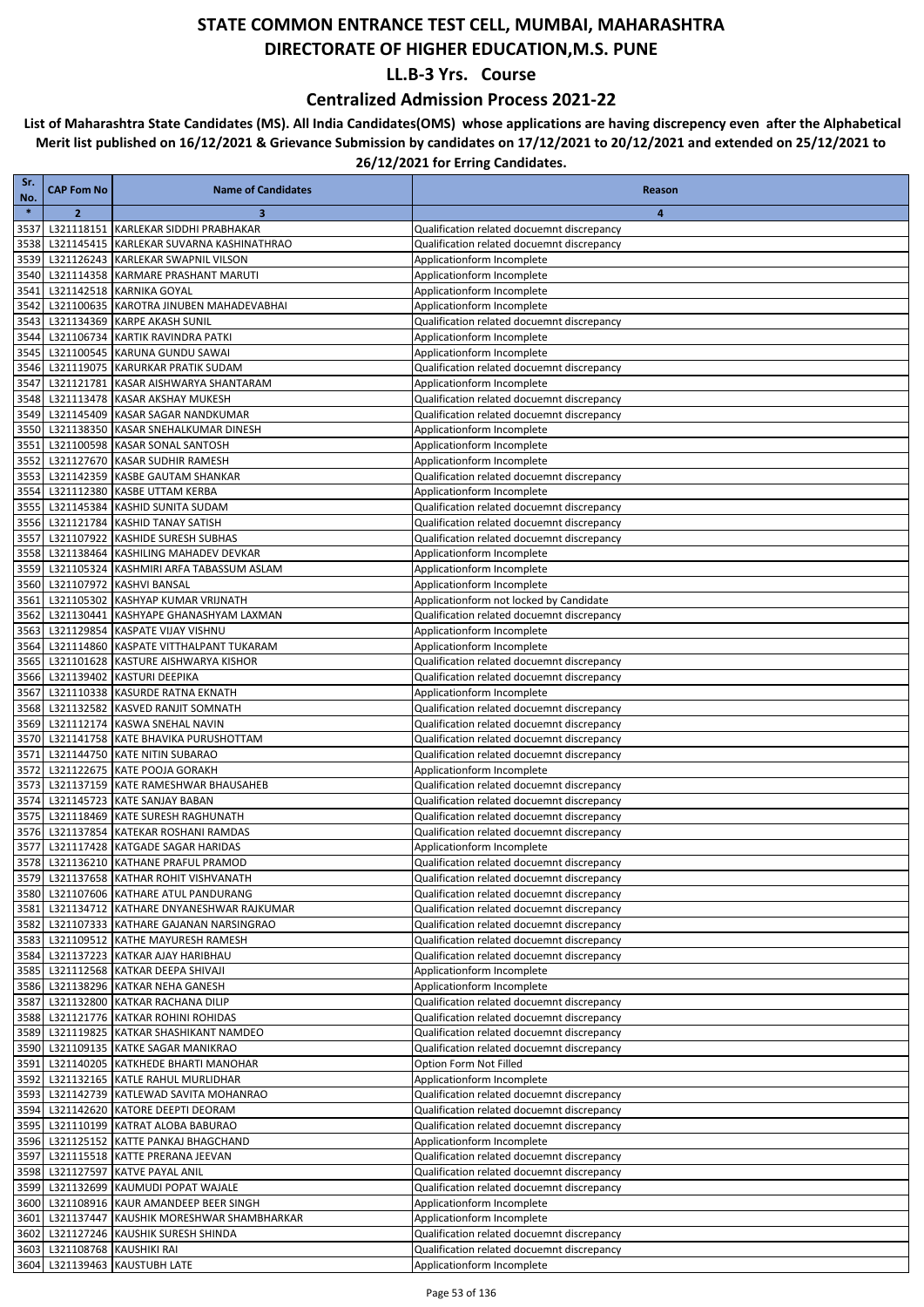### **Centralized Admission Process 2021-22**

| Sr.<br>No.   | <b>CAP Fom No</b>            | <b>Name of Candidates</b>                                                      | Reason                                                                                   |
|--------------|------------------------------|--------------------------------------------------------------------------------|------------------------------------------------------------------------------------------|
| $\ast$       | $\overline{2}$               | 3                                                                              | 4                                                                                        |
| 3537         |                              | L321118151 KARLEKAR SIDDHI PRABHAKAR                                           | Qualification related docuemnt discrepancy                                               |
| 3538         |                              | L321145415 KARLEKAR SUVARNA KASHINATHRAO                                       | Qualification related docuemnt discrepancy                                               |
| 3539         |                              | L321126243 KARLEKAR SWAPNIL VILSON                                             | Applicationform Incomplete                                                               |
| 3540         |                              | L321114358 KARMARE PRASHANT MARUTI                                             | Applicationform Incomplete                                                               |
| 3541         |                              | L321142518 KARNIKA GOYAL                                                       | Applicationform Incomplete                                                               |
| 3542         |                              | L321100635 KAROTRA JINUBEN MAHADEVABHAI                                        | Applicationform Incomplete                                                               |
| 3543         |                              | L321134369 KARPE AKASH SUNIL                                                   | Qualification related docuemnt discrepancy                                               |
| 3544         |                              | L321106734 KARTIK RAVINDRA PATKI                                               | Applicationform Incomplete                                                               |
| 3545         |                              | L321100545 KARUNA GUNDU SAWAI                                                  | Applicationform Incomplete                                                               |
| 3546         |                              | L321119075 KARURKAR PRATIK SUDAM                                               | Qualification related docuemnt discrepancy                                               |
| 3547         |                              | L321121781 KASAR AISHWARYA SHANTARAM                                           | Applicationform Incomplete                                                               |
| 3548         |                              | L321113478 KASAR AKSHAY MUKESH                                                 | Qualification related docuemnt discrepancy                                               |
| 3549<br>3550 |                              | L321145409 KASAR SAGAR NANDKUMAR<br>L321138350 KASAR SNEHALKUMAR DINESH        | Qualification related docuemnt discrepancy                                               |
| 3551         |                              | L321100598 KASAR SONAL SANTOSH                                                 | Applicationform Incomplete<br>Applicationform Incomplete                                 |
| 3552         |                              | L321127670 KASAR SUDHIR RAMESH                                                 | Applicationform Incomplete                                                               |
| 3553         |                              | L321142359 KASBE GAUTAM SHANKAR                                                | Qualification related docuemnt discrepancy                                               |
| 3554         |                              | L321112380 KASBE UTTAM KERBA                                                   | Applicationform Incomplete                                                               |
| 3555         |                              | L321145384 KASHID SUNITA SUDAM                                                 | Qualification related docuemnt discrepancy                                               |
| 3556         |                              | L321121784 KASHID TANAY SATISH                                                 | Qualification related docuemnt discrepancy                                               |
| 3557         |                              | L321107922 KASHIDE SURESH SUBHAS                                               | Qualification related docuemnt discrepancy                                               |
| 3558         |                              | L321138464 KASHILING MAHADEV DEVKAR                                            | Applicationform Incomplete                                                               |
| 3559         |                              | L321105324 KASHMIRI ARFA TABASSUM ASLAM                                        | Applicationform Incomplete                                                               |
| 3560         |                              | L321107972 KASHVI BANSAL                                                       | Applicationform Incomplete                                                               |
| 3561         |                              | L321105302 KASHYAP KUMAR VRIJNATH                                              | Applicationform not locked by Candidate                                                  |
| 3562         |                              | L321130441 KASHYAPE GHANASHYAM LAXMAN                                          | Qualification related docuemnt discrepancy                                               |
| 3563         |                              | L321129854 KASPATE VIJAY VISHNU                                                | Applicationform Incomplete                                                               |
| 3564         |                              | L321114860 KASPATE VITTHALPANT TUKARAM                                         | Applicationform Incomplete                                                               |
| 3565         |                              | L321101628 KASTURE AISHWARYA KISHOR                                            | Qualification related docuemnt discrepancy                                               |
| 3566         |                              | L321139402 KASTURI DEEPIKA                                                     | Qualification related docuemnt discrepancy                                               |
| 3567         |                              | L321110338 KASURDE RATNA EKNATH                                                | Applicationform Incomplete                                                               |
| 3568         |                              | L321132582 KASVED RANJIT SOMNATH                                               | Qualification related docuemnt discrepancy                                               |
| 3569         |                              | L321112174 KASWA SNEHAL NAVIN                                                  | Qualification related docuemnt discrepancy                                               |
| 3570         |                              | L321141758 KATE BHAVIKA PURUSHOTTAM                                            | Qualification related docuemnt discrepancy                                               |
| 3571         |                              | L321144750 KATE NITIN SUBARAO                                                  | Qualification related docuemnt discrepancy                                               |
| 3572         |                              | L321122675 KATE POOJA GORAKH                                                   | Applicationform Incomplete<br>Qualification related docuemnt discrepancy                 |
| 3573<br>3574 |                              | L321137159 KATE RAMESHWAR BHAUSAHEB<br>L321145723 KATE SANJAY BABAN            | Qualification related docuemnt discrepancy                                               |
| 3575         |                              | L321118469 KATE SURESH RAGHUNATH                                               | Qualification related docuemnt discrepancy                                               |
| 3576         |                              | L321137854 KATEKAR ROSHANI RAMDAS                                              | Qualification related docuemnt discrepancy                                               |
| 3577         |                              | L321117428 KATGADE SAGAR HARIDAS                                               | Applicationform Incomplete                                                               |
| 3578         |                              | L321136210 KATHANE PRAFUL PRAMOD                                               | Qualification related docuemnt discrepancy                                               |
|              |                              | 3579 L321137658 KATHAR ROHIT VISHVANATH                                        | Qualification related docuemnt discrepancy                                               |
|              |                              | 3580 L321107606 KATHARE ATUL PANDURANG                                         | Qualification related docuemnt discrepancy                                               |
|              |                              | 3581 L321134712 KATHARE DNYANESHWAR RAJKUMAR                                   | Qualification related docuemnt discrepancy                                               |
|              |                              | 3582 L321107333 KATHARE GAJANAN NARSINGRAO                                     | Qualification related docuemnt discrepancy                                               |
|              |                              | 3583 L321109512 KATHE MAYURESH RAMESH                                          | Qualification related docuemnt discrepancy                                               |
|              |                              | 3584 L321137223 KATKAR AJAY HARIBHAU                                           | Qualification related docuemnt discrepancy                                               |
|              |                              | 3585 L321112568 KATKAR DEEPA SHIVAJI                                           | Applicationform Incomplete                                                               |
|              |                              | 3586 L321138296 KATKAR NEHA GANESH                                             | Applicationform Incomplete                                                               |
| 3587         |                              | L321132800 KATKAR RACHANA DILIP                                                | Qualification related docuemnt discrepancy                                               |
|              |                              | 3588 L321121776 KATKAR ROHINI ROHIDAS                                          | Qualification related docuemnt discrepancy                                               |
|              |                              | 3589 L321119825 KATKAR SHASHIKANT NAMDEO                                       | Qualification related docuemnt discrepancy                                               |
|              |                              | 3590 L321109135 KATKE SAGAR MANIKRAO                                           | Qualification related docuemnt discrepancy                                               |
| 3591         |                              | L321140205 KATKHEDE BHARTI MANOHAR                                             | Option Form Not Filled                                                                   |
|              |                              | 3592 L321132165 KATLE RAHUL MURLIDHAR                                          | Applicationform Incomplete                                                               |
|              |                              | 3593 L321142739 KATLEWAD SAVITA MOHANRAO                                       | Qualification related docuemnt discrepancy                                               |
|              |                              | 3594 L321142620 KATORE DEEPTI DEORAM                                           | Qualification related docuemnt discrepancy                                               |
|              |                              | 3595 L321110199 KATRAT ALOBA BABURAO<br>3596 L321125152 KATTE PANKAJ BHAGCHAND | Qualification related docuemnt discrepancy                                               |
| 3597         |                              |                                                                                | Applicationform Incomplete                                                               |
|              |                              | L321115518 KATTE PRERANA JEEVAN                                                | Qualification related docuemnt discrepancy                                               |
|              |                              | 3598 L321127597 KATVE PAYAL ANIL<br>3599 L321132699 KAUMUDI POPAT WAJALE       | Qualification related docuemnt discrepancy<br>Qualification related docuemnt discrepancy |
|              |                              | 3600 L321108916 KAUR AMANDEEP BEER SINGH                                       | Applicationform Incomplete                                                               |
|              |                              | 3601 L321137447 KAUSHIK MORESHWAR SHAMBHARKAR                                  | Applicationform Incomplete                                                               |
|              |                              | 3602 L321127246 KAUSHIK SURESH SHINDA                                          | Qualification related docuemnt discrepancy                                               |
|              | 3603 L321108768 KAUSHIKI RAI |                                                                                | Qualification related docuemnt discrepancy                                               |
|              |                              | 3604 L321139463 KAUSTUBH LATE                                                  | Applicationform Incomplete                                                               |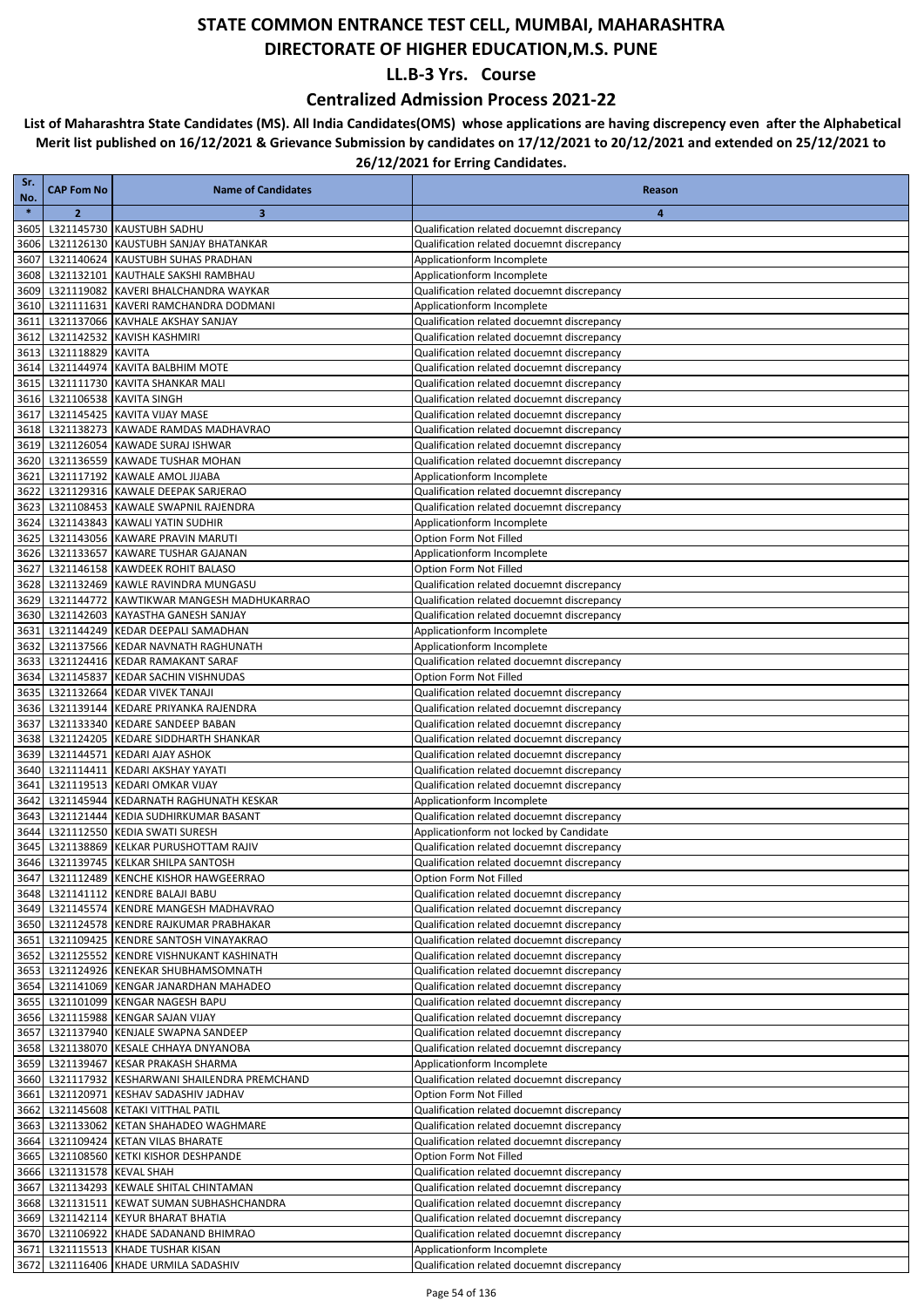### **Centralized Admission Process 2021-22**

| Sr.<br>No.   | <b>CAP Fom No</b>          | <b>Name of Candidates</b>                                                             | Reason                                                                                   |
|--------------|----------------------------|---------------------------------------------------------------------------------------|------------------------------------------------------------------------------------------|
| $\ast$       | $\overline{2}$             | 3                                                                                     | 4                                                                                        |
| 3605         |                            | L321145730 KAUSTUBH SADHU                                                             | Qualification related docuemnt discrepancy                                               |
| 3606         |                            | L321126130 KAUSTUBH SANJAY BHATANKAR                                                  | Qualification related docuemnt discrepancy                                               |
| 3607         |                            | L321140624 KAUSTUBH SUHAS PRADHAN                                                     | Applicationform Incomplete                                                               |
| 3608         |                            | L321132101 KAUTHALE SAKSHI RAMBHAU                                                    | Applicationform Incomplete                                                               |
| 3609         |                            | L321119082 KAVERI BHALCHANDRA WAYKAR                                                  | Qualification related docuemnt discrepancy                                               |
| 3610<br>3611 |                            | L321111631 KAVERI RAMCHANDRA DODMANI<br>L321137066 KAVHALE AKSHAY SANJAY              | Applicationform Incomplete<br>Qualification related docuemnt discrepancy                 |
| 3612         |                            | L321142532 KAVISH KASHMIRI                                                            | Qualification related docuemnt discrepancy                                               |
| 3613         | L321118829 KAVITA          |                                                                                       | Qualification related docuemnt discrepancy                                               |
| 3614         |                            | L321144974 KAVITA BALBHIM MOTE                                                        | Qualification related docuemnt discrepancy                                               |
| 3615         |                            | L321111730 KAVITA SHANKAR MALI                                                        | Qualification related docuemnt discrepancy                                               |
| 3616         |                            | L321106538 KAVITA SINGH                                                               | Qualification related docuemnt discrepancy                                               |
| 3617         |                            | L321145425 KAVITA VIJAY MASE                                                          | Qualification related docuemnt discrepancy                                               |
| 3618<br>3619 |                            | L321138273 KAWADE RAMDAS MADHAVRAO<br>L321126054 KAWADE SURAJ ISHWAR                  | Qualification related docuemnt discrepancy<br>Qualification related docuemnt discrepancy |
| 3620         |                            | L321136559 KAWADE TUSHAR MOHAN                                                        | Qualification related docuemnt discrepancy                                               |
| 3621         |                            | L321117192 KAWALE AMOL JIJABA                                                         | Applicationform Incomplete                                                               |
| 3622         |                            | L321129316 KAWALE DEEPAK SARJERAO                                                     | Qualification related docuemnt discrepancy                                               |
| 3623         |                            | L321108453 KAWALE SWAPNIL RAJENDRA                                                    | Qualification related docuemnt discrepancy                                               |
| 3624         |                            | L321143843 KAWALI YATIN SUDHIR                                                        | Applicationform Incomplete                                                               |
| 3625         |                            | L321143056 KAWARE PRAVIN MARUTI                                                       | Option Form Not Filled                                                                   |
| 3626<br>3627 |                            | L321133657 KAWARE TUSHAR GAJANAN<br>L321146158 KAWDEEK ROHIT BALASO                   | Applicationform Incomplete<br>Option Form Not Filled                                     |
| 3628         |                            | L321132469 KAWLE RAVINDRA MUNGASU                                                     | Qualification related docuemnt discrepancy                                               |
| 3629         |                            | L321144772 KAWTIKWAR MANGESH MADHUKARRAO                                              | Qualification related docuemnt discrepancy                                               |
| 3630         |                            | L321142603 KAYASTHA GANESH SANJAY                                                     | Qualification related docuemnt discrepancy                                               |
| 3631         |                            | L321144249 KEDAR DEEPALI SAMADHAN                                                     | Applicationform Incomplete                                                               |
| 3632         |                            | L321137566 KEDAR NAVNATH RAGHUNATH                                                    | Applicationform Incomplete                                                               |
| 3633         |                            | L321124416 KEDAR RAMAKANT SARAF                                                       | Qualification related docuemnt discrepancy                                               |
| 3634         |                            | L321145837 KEDAR SACHIN VISHNUDAS                                                     | Option Form Not Filled                                                                   |
| 3635<br>3636 |                            | L321132664 KEDAR VIVEK TANAJI<br>L321139144 KEDARE PRIYANKA RAJENDRA                  | Qualification related docuemnt discrepancy<br>Qualification related docuemnt discrepancy |
| 3637         |                            | L321133340 KEDARE SANDEEP BABAN                                                       | Qualification related docuemnt discrepancy                                               |
| 3638         |                            | L321124205 KEDARE SIDDHARTH SHANKAR                                                   | Qualification related docuemnt discrepancy                                               |
| 3639         |                            | L321144571 KEDARI AJAY ASHOK                                                          | Qualification related docuemnt discrepancy                                               |
| 3640         |                            | L321114411 KEDARI AKSHAY YAYATI                                                       | Qualification related docuemnt discrepancy                                               |
| 3641         |                            | L321119513 KEDARI OMKAR VIJAY                                                         | Qualification related docuemnt discrepancy                                               |
| 3642         |                            | L321145944 KEDARNATH RAGHUNATH KESKAR                                                 | Applicationform Incomplete                                                               |
| 3643<br>3644 |                            | L321121444 KEDIA SUDHIRKUMAR BASANT<br>L321112550 KEDIA SWATI SURESH                  | Qualification related docuemnt discrepancy<br>Applicationform not locked by Candidate    |
| 3645         |                            | L321138869 KELKAR PURUSHOTTAM RAJIV                                                   | Qualification related docuemnt discrepancy                                               |
|              |                            | 3646 L321139745 KELKAR SHILPA SANTOSH                                                 | Qualification related docuemnt discrepancy                                               |
|              |                            | 3647 L321112489 KENCHE KISHOR HAWGEERRAO                                              | Option Form Not Filled                                                                   |
|              |                            | 3648 L321141112 KENDRE BALAJI BABU                                                    | Qualification related docuemnt discrepancy                                               |
|              |                            | 3649 L321145574 KENDRE MANGESH MADHAVRAO                                              | Qualification related docuemnt discrepancy                                               |
| 3651         |                            | 3650 L321124578 KENDRE RAJKUMAR PRABHAKAR<br>L321109425 KENDRE SANTOSH VINAYAKRAO     | Qualification related docuemnt discrepancy<br>Qualification related docuemnt discrepancy |
| 3652         |                            | L321125552 KENDRE VISHNUKANT KASHINATH                                                | Qualification related docuemnt discrepancy                                               |
| 3653         |                            | L321124926 KENEKAR SHUBHAMSOMNATH                                                     | Qualification related docuemnt discrepancy                                               |
| 3654         |                            | L321141069 KENGAR JANARDHAN MAHADEO                                                   | Qualification related docuemnt discrepancy                                               |
| 3655         |                            | L321101099 KENGAR NAGESH BAPU                                                         | Qualification related docuemnt discrepancy                                               |
|              |                            | 3656 L321115988 KENGAR SAJAN VIJAY                                                    | Qualification related docuemnt discrepancy                                               |
| 3657         |                            | L321137940 KENJALE SWAPNA SANDEEP                                                     | Qualification related docuemnt discrepancy                                               |
|              |                            | 3658 L321138070 KESALE CHHAYA DNYANOBA<br>L321139467 KESAR PRAKASH SHARMA             | Qualification related docuemnt discrepancy<br>Applicationform Incomplete                 |
| 3659         |                            | 3660 L321117932 KESHARWANI SHAILENDRA PREMCHAND                                       | Qualification related docuemnt discrepancy                                               |
| 3661         |                            | L321120971 KESHAV SADASHIV JADHAV                                                     | Option Form Not Filled                                                                   |
| 3662         |                            | L321145608 KETAKI VITTHAL PATIL                                                       | Qualification related docuemnt discrepancy                                               |
| 3663         |                            | L321133062 KETAN SHAHADEO WAGHMARE                                                    | Qualification related docuemnt discrepancy                                               |
|              |                            | 3664 L321109424 KETAN VILAS BHARATE                                                   | Qualification related docuemnt discrepancy                                               |
|              |                            | 3665 L321108560 KETKI KISHOR DESHPANDE                                                | Option Form Not Filled                                                                   |
|              | 3666 L321131578 KEVAL SHAH |                                                                                       | Qualification related docuemnt discrepancy                                               |
|              |                            | 3667 L321134293 KEWALE SHITAL CHINTAMAN<br>3668 L321131511 KEWAT SUMAN SUBHASHCHANDRA | Qualification related docuemnt discrepancy<br>Qualification related docuemnt discrepancy |
|              |                            | 3669 L321142114 KEYUR BHARAT BHATIA                                                   | Qualification related docuemnt discrepancy                                               |
|              |                            | 3670 L321106922 KHADE SADANAND BHIMRAO                                                | Qualification related docuemnt discrepancy                                               |
|              |                            | 3671 L321115513 KHADE TUSHAR KISAN                                                    | Applicationform Incomplete                                                               |
|              |                            | 3672 L321116406 KHADE URMILA SADASHIV                                                 | Qualification related docuemnt discrepancy                                               |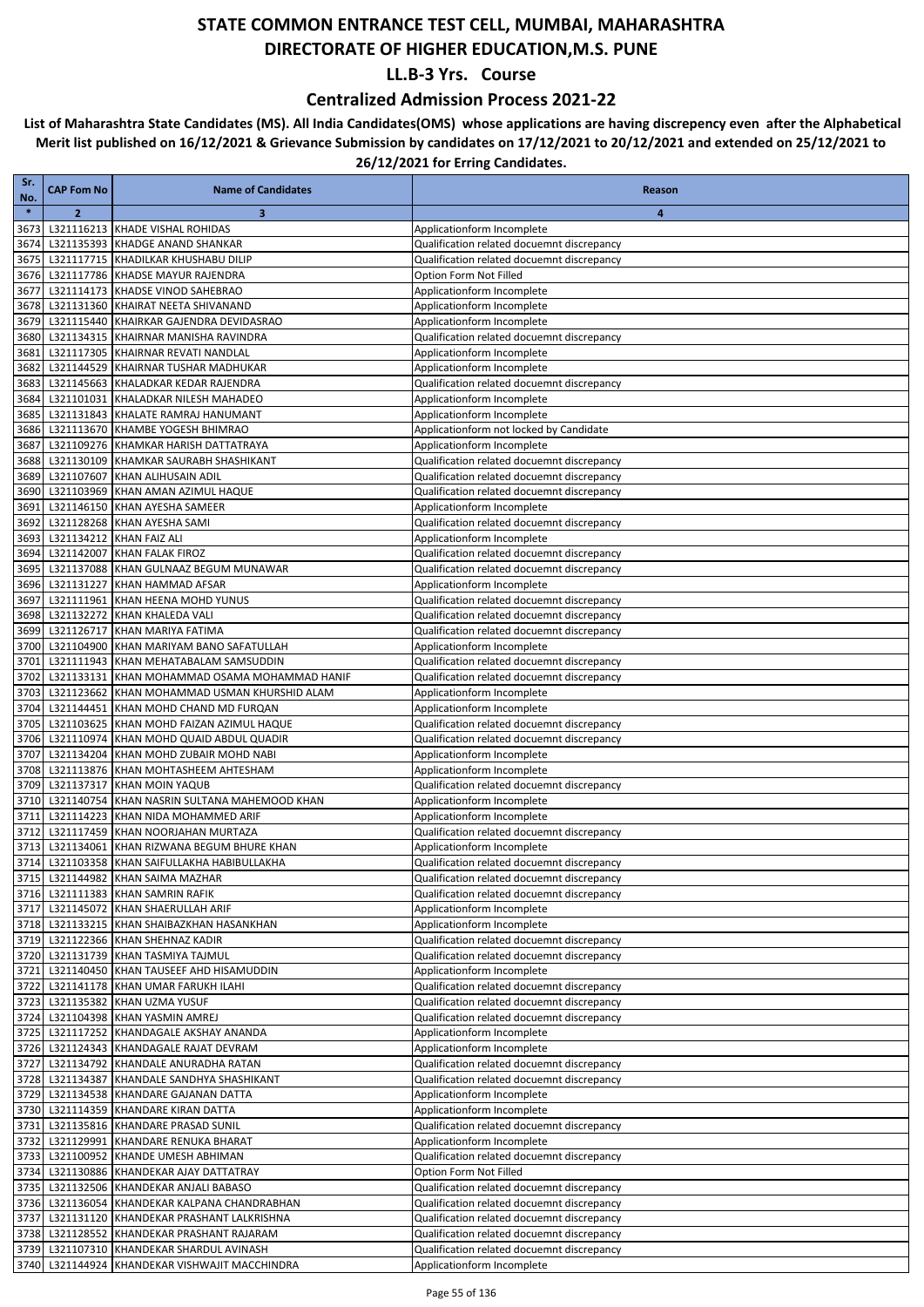### **Centralized Admission Process 2021-22**

| Sr.<br>No.   | <b>CAP Fom No</b> | <b>Name of Candidates</b>                                                             | Reason                                                                                   |
|--------------|-------------------|---------------------------------------------------------------------------------------|------------------------------------------------------------------------------------------|
| $\ast$       | $\overline{2}$    | 3                                                                                     | 4                                                                                        |
| 3673         |                   | L321116213 KHADE VISHAL ROHIDAS                                                       | Applicationform Incomplete                                                               |
| 3674         |                   | L321135393 KHADGE ANAND SHANKAR                                                       | Qualification related docuemnt discrepancy                                               |
| 3675         |                   | L321117715 KHADILKAR KHUSHABU DILIP                                                   | Qualification related docuemnt discrepancy                                               |
| 3676<br>3677 |                   | L321117786 KHADSE MAYUR RAJENDRA<br>L321114173 KHADSE VINOD SAHEBRAO                  | Option Form Not Filled<br>Applicationform Incomplete                                     |
| 3678         |                   | L321131360 KHAIRAT NEETA SHIVANAND                                                    | Applicationform Incomplete                                                               |
| 3679         |                   | L321115440 KHAIRKAR GAJENDRA DEVIDASRAO                                               | Applicationform Incomplete                                                               |
| 3680         |                   | L321134315 KHAIRNAR MANISHA RAVINDRA                                                  | Qualification related docuemnt discrepancy                                               |
| 3681         |                   | L321117305 KHAIRNAR REVATI NANDLAL                                                    | Applicationform Incomplete                                                               |
| 3682         |                   | L321144529 KHAIRNAR TUSHAR MADHUKAR                                                   | Applicationform Incomplete                                                               |
| 3683         |                   | L321145663 KHALADKAR KEDAR RAJENDRA                                                   | Qualification related docuemnt discrepancy                                               |
| 3684         |                   | L321101031 KHALADKAR NILESH MAHADEO                                                   | Applicationform Incomplete                                                               |
| 3685<br>3686 |                   | L321131843 KHALATE RAMRAJ HANUMANT<br>L321113670 KHAMBE YOGESH BHIMRAO                | Applicationform Incomplete<br>Applicationform not locked by Candidate                    |
| 3687         |                   | L321109276 KHAMKAR HARISH DATTATRAYA                                                  | Applicationform Incomplete                                                               |
| 3688         |                   | L321130109 KHAMKAR SAURABH SHASHIKANT                                                 | Qualification related docuemnt discrepancy                                               |
| 3689         |                   | L321107607 KHAN ALIHUSAIN ADIL                                                        | Qualification related docuemnt discrepancy                                               |
| 3690         |                   | L321103969 KHAN AMAN AZIMUL HAQUE                                                     | Qualification related docuemnt discrepancy                                               |
| 3691         |                   | L321146150 KHAN AYESHA SAMEER                                                         | Applicationform Incomplete                                                               |
| 3692         |                   | L321128268 KHAN AYESHA SAMI                                                           | Qualification related docuemnt discrepancy                                               |
| 3693         |                   | L321134212 KHAN FAIZ ALI                                                              | Applicationform Incomplete                                                               |
| 3694<br>3695 |                   | L321142007 KHAN FALAK FIROZ<br>L321137088 KHAN GULNAAZ BEGUM MUNAWAR                  | Qualification related docuemnt discrepancy<br>Qualification related docuemnt discrepancy |
| 3696         |                   | L321131227 KHAN HAMMAD AFSAR                                                          | Applicationform Incomplete                                                               |
| 3697         |                   | L321111961 KHAN HEENA MOHD YUNUS                                                      | Qualification related docuemnt discrepancy                                               |
| 3698         |                   | L321132272 KHAN KHALEDA VALI                                                          | Qualification related docuemnt discrepancy                                               |
| 3699         |                   | L321126717 KHAN MARIYA FATIMA                                                         | Qualification related docuemnt discrepancy                                               |
| 3700         |                   | L321104900 KHAN MARIYAM BANO SAFATULLAH                                               | Applicationform Incomplete                                                               |
| 3701         |                   | L321111943 KHAN MEHATABALAM SAMSUDDIN                                                 | Qualification related docuemnt discrepancy                                               |
| 3702         |                   | L321133131 KHAN MOHAMMAD OSAMA MOHAMMAD HANIF                                         | Qualification related docuemnt discrepancy                                               |
| 3703         |                   | L321123662 KHAN MOHAMMAD USMAN KHURSHID ALAM                                          | Applicationform Incomplete                                                               |
| 3704<br>3705 |                   | L321144451 KHAN MOHD CHAND MD FURQAN<br>L321103625 KHAN MOHD FAIZAN AZIMUL HAQUE      | Applicationform Incomplete<br>Qualification related docuemnt discrepancy                 |
| 3706         |                   | L321110974 KHAN MOHD QUAID ABDUL QUADIR                                               | Qualification related docuemnt discrepancy                                               |
| 3707         |                   | L321134204 KHAN MOHD ZUBAIR MOHD NABI                                                 | Applicationform Incomplete                                                               |
| 3708         |                   | L321113876 KHAN MOHTASHEEM AHTESHAM                                                   | Applicationform Incomplete                                                               |
| 3709         |                   | L321137317 KHAN MOIN YAQUB                                                            | Qualification related docuemnt discrepancy                                               |
| 3710         |                   | L321140754 KHAN NASRIN SULTANA MAHEMOOD KHAN                                          | Applicationform Incomplete                                                               |
| 3711         |                   | L321114223 KHAN NIDA MOHAMMED ARIF<br>L321117459 KHAN NOORJAHAN MURTAZA               | Applicationform Incomplete<br>Qualification related docuemnt discrepancy                 |
| 3712<br>3713 |                   | L321134061 KHAN RIZWANA BEGUM BHURE KHAN                                              | Applicationform Incomplete                                                               |
| 3714         |                   | L321103358 KHAN SAIFULLAKHA HABIBULLAKHA                                              | Qualification related docuemnt discrepancy                                               |
|              |                   | 3715 L321144982 KHAN SAIMA MAZHAR                                                     | Qualification related docuemnt discrepancy                                               |
|              |                   | 3716 L321111383 KHAN SAMRIN RAFIK                                                     | Qualification related docuemnt discrepancy                                               |
|              |                   | 3717 L321145072 KHAN SHAERULLAH ARIF                                                  | Applicationform Incomplete                                                               |
|              |                   | 3718 L321133215 KHAN SHAIBAZKHAN HASANKHAN                                            | Applicationform Incomplete                                                               |
|              |                   | 3719 L321122366 KHAN SHEHNAZ KADIR                                                    | Qualification related docuemnt discrepancy                                               |
|              |                   | 3720 L321131739 KHAN TASMIYA TAJMUL                                                   | Qualification related docuemnt discrepancy                                               |
|              |                   | 3721 L321140450 KHAN TAUSEEF AHD HISAMUDDIN<br>3722 L321141178 KHAN UMAR FARUKH ILAHI | Applicationform Incomplete<br>Qualification related docuemnt discrepancy                 |
|              |                   | 3723 L321135382 KHAN UZMA YUSUF                                                       | Qualification related docuemnt discrepancy                                               |
|              |                   | 3724 L321104398 KHAN YASMIN AMREJ                                                     | Qualification related docuemnt discrepancy                                               |
|              |                   | 3725 L321117252 KHANDAGALE AKSHAY ANANDA                                              | Applicationform Incomplete                                                               |
|              |                   | 3726 L321124343 KHANDAGALE RAJAT DEVRAM                                               | Applicationform Incomplete                                                               |
| 3727         |                   | L321134792 KHANDALE ANURADHA RATAN                                                    | Qualification related docuemnt discrepancy                                               |
|              |                   | 3728 L321134387 KHANDALE SANDHYA SHASHIKANT                                           | Qualification related docuemnt discrepancy                                               |
|              |                   | 3729 L321134538 KHANDARE GAJANAN DATTA                                                | Applicationform Incomplete                                                               |
|              |                   | 3730 L321114359 KHANDARE KIRAN DATTA<br>3731 L321135816 KHANDARE PRASAD SUNIL         | Applicationform Incomplete<br>Qualification related docuemnt discrepancy                 |
| 3732         |                   | L321129991 KHANDARE RENUKA BHARAT                                                     | Applicationform Incomplete                                                               |
|              |                   | 3733 L321100952 KHANDE UMESH ABHIMAN                                                  | Qualification related docuemnt discrepancy                                               |
|              |                   | 3734 L321130886 KHANDEKAR AJAY DATTATRAY                                              | Option Form Not Filled                                                                   |
|              |                   | 3735 L321132506 KHANDEKAR ANJALI BABASO                                               | Qualification related docuemnt discrepancy                                               |
|              |                   | 3736 L321136054 KHANDEKAR KALPANA CHANDRABHAN                                         | Qualification related docuemnt discrepancy                                               |
|              |                   | 3737 L321131120 KHANDEKAR PRASHANT LALKRISHNA                                         | Qualification related docuemnt discrepancy                                               |
|              |                   | 3738 L321128552 KHANDEKAR PRASHANT RAJARAM                                            | Qualification related docuemnt discrepancy                                               |
|              |                   | 3739 L321107310 KHANDEKAR SHARDUL AVINASH                                             | Qualification related docuemnt discrepancy                                               |
|              |                   | 3740 L321144924 KHANDEKAR VISHWAJIT MACCHINDRA                                        | Applicationform Incomplete                                                               |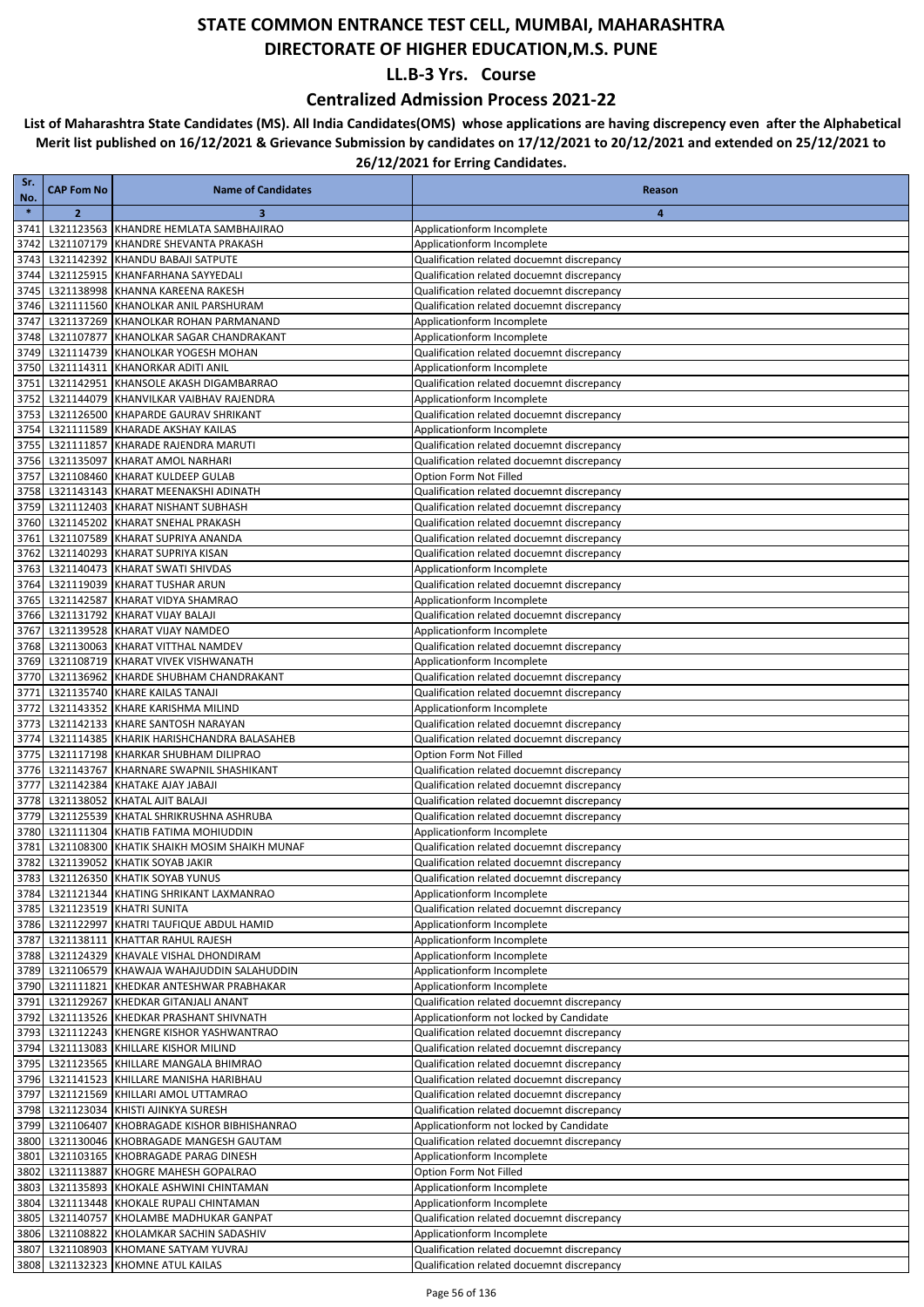### **Centralized Admission Process 2021-22**

| Sr.<br>No.   | <b>CAP Fom No</b> | <b>Name of Candidates</b>                                                                 | Reason                                                                   |
|--------------|-------------------|-------------------------------------------------------------------------------------------|--------------------------------------------------------------------------|
| $\ast$       | $\overline{2}$    | 3                                                                                         | 4                                                                        |
| 3741         |                   | L321123563 KHANDRE HEMLATA SAMBHAJIRAO                                                    | Applicationform Incomplete                                               |
| 3742         |                   | L321107179 KHANDRE SHEVANTA PRAKASH                                                       | Applicationform Incomplete                                               |
| 3743         |                   | L321142392 KHANDU BABAJI SATPUTE                                                          | Qualification related docuemnt discrepancy                               |
| 3744         |                   | L321125915 KHANFARHANA SAYYEDALI                                                          | Qualification related docuemnt discrepancy                               |
| 3745         |                   | L321138998 KHANNA KAREENA RAKESH                                                          | Qualification related docuemnt discrepancy                               |
| 3746         |                   | L321111560 KHANOLKAR ANIL PARSHURAM                                                       | Qualification related docuemnt discrepancy                               |
| 3747         |                   | L321137269 KHANOLKAR ROHAN PARMANAND                                                      | Applicationform Incomplete                                               |
| 3748<br>3749 |                   | L321107877 KHANOLKAR SAGAR CHANDRAKANT<br>L321114739 KHANOLKAR YOGESH MOHAN               | Applicationform Incomplete<br>Qualification related docuemnt discrepancy |
| 3750         |                   | L321114311 KHANORKAR ADITI ANIL                                                           | Applicationform Incomplete                                               |
| 3751         |                   | L321142951 KHANSOLE AKASH DIGAMBARRAO                                                     | Qualification related docuemnt discrepancy                               |
| 3752         |                   | L321144079 KHANVILKAR VAIBHAV RAJENDRA                                                    | Applicationform Incomplete                                               |
| 3753         |                   | L321126500 KHAPARDE GAURAV SHRIKANT                                                       | Qualification related docuemnt discrepancy                               |
| 3754         |                   | L321111589 KHARADE AKSHAY KAILAS                                                          | Applicationform Incomplete                                               |
| 3755         |                   | L321111857 KHARADE RAJENDRA MARUTI                                                        | Qualification related docuemnt discrepancy                               |
| 3756         |                   | L321135097 KHARAT AMOL NARHARI                                                            | Qualification related docuemnt discrepancy                               |
| 3757         |                   | L321108460 KHARAT KULDEEP GULAB                                                           | Option Form Not Filled                                                   |
| 3758         |                   | L321143143 KHARAT MEENAKSHI ADINATH                                                       | Qualification related docuemnt discrepancy                               |
| 3759         |                   | L321112403 KHARAT NISHANT SUBHASH                                                         | Qualification related docuemnt discrepancy                               |
| 3760         |                   | L321145202 KHARAT SNEHAL PRAKASH                                                          | Qualification related docuemnt discrepancy                               |
| 3761         |                   | L321107589 KHARAT SUPRIYA ANANDA<br>L321140293 KHARAT SUPRIYA KISAN                       | Qualification related docuemnt discrepancy                               |
| 3762<br>3763 |                   | L321140473 KHARAT SWATI SHIVDAS                                                           | Qualification related docuemnt discrepancy<br>Applicationform Incomplete |
| 3764         |                   | L321119039 KHARAT TUSHAR ARUN                                                             | Qualification related docuemnt discrepancy                               |
| 3765         |                   | L321142587 KHARAT VIDYA SHAMRAO                                                           | Applicationform Incomplete                                               |
| 3766         |                   | L321131792 KHARAT VIJAY BALAJI                                                            | Qualification related docuemnt discrepancy                               |
| 3767         |                   | L321139528 KHARAT VIJAY NAMDEO                                                            | Applicationform Incomplete                                               |
| 3768         |                   | L321130063 KHARAT VITTHAL NAMDEV                                                          | Qualification related docuemnt discrepancy                               |
| 3769         |                   | L321108719 KHARAT VIVEK VISHWANATH                                                        | Applicationform Incomplete                                               |
| 3770         |                   | L321136962 KHARDE SHUBHAM CHANDRAKANT                                                     | Qualification related docuemnt discrepancy                               |
| 3771         |                   | L321135740 KHARE KAILAS TANAJI                                                            | Qualification related docuemnt discrepancy                               |
| 3772         |                   | L321143352 KHARE KARISHMA MILIND                                                          | Applicationform Incomplete                                               |
| 3773         |                   | L321142133 KHARE SANTOSH NARAYAN                                                          | Qualification related docuemnt discrepancy                               |
| 3774         |                   | L321114385 KHARIK HARISHCHANDRA BALASAHEB<br>L321117198 KHARKAR SHUBHAM DILIPRAO          | Qualification related docuemnt discrepancy                               |
| 3775<br>3776 |                   | L321143767 KHARNARE SWAPNIL SHASHIKANT                                                    | Option Form Not Filled<br>Qualification related docuemnt discrepancy     |
| 3777         |                   | L321142384 KHATAKE AJAY JABAJI                                                            | Qualification related docuemnt discrepancy                               |
| 3778         |                   | L321138052 KHATAL AJIT BALAJI                                                             | Qualification related docuemnt discrepancy                               |
| 3779         |                   | L321125539 KHATAL SHRIKRUSHNA ASHRUBA                                                     | Qualification related docuemnt discrepancy                               |
| 3780         |                   | L321111304 KHATIB FATIMA MOHIUDDIN                                                        | Applicationform Incomplete                                               |
| 3781         |                   | L321108300 KHATIK SHAIKH MOSIM SHAIKH MUNAF                                               | Qualification related docuemnt discrepancy                               |
| 3782         |                   | L321139052 KHATIK SOYAB JAKIR                                                             | Qualification related docuemnt discrepancy                               |
|              |                   | 3783 L321126350 KHATIK SOYAB YUNUS                                                        | Qualification related docuemnt discrepancy                               |
| 3784         |                   | L321121344 KHATING SHRIKANT LAXMANRAO                                                     | Applicationform Incomplete                                               |
|              |                   | 3785 L321123519 KHATRI SUNITA                                                             | Qualification related docuemnt discrepancy                               |
|              |                   | 3786 L321122997 KHATRI TAUFIQUE ABDUL HAMID                                               | Applicationform Incomplete                                               |
| 3787         |                   | L321138111 KHATTAR RAHUL RAJESH                                                           | Applicationform Incomplete                                               |
|              |                   | 3788 L321124329 KHAVALE VISHAL DHONDIRAM<br>3789 L321106579 KHAWAJA WAHAJUDDIN SALAHUDDIN | Applicationform Incomplete<br>Applicationform Incomplete                 |
| 3790         |                   | L321111821 KHEDKAR ANTESHWAR PRABHAKAR                                                    | Applicationform Incomplete                                               |
| 3791         |                   | L321129267 KHEDKAR GITANJALI ANANT                                                        | Qualification related docuemnt discrepancy                               |
| 3792         |                   | L321113526 KHEDKAR PRASHANT SHIVNATH                                                      | Applicationform not locked by Candidate                                  |
| 3793         |                   | L321112243 KHENGRE KISHOR YASHWANTRAO                                                     | Qualification related docuemnt discrepancy                               |
|              |                   | 3794 L321113083 KHILLARE KISHOR MILIND                                                    | Qualification related docuemnt discrepancy                               |
|              |                   | 3795 L321123565 KHILLARE MANGALA BHIMRAO                                                  | Qualification related docuemnt discrepancy                               |
|              |                   | 3796 L321141523 KHILLARE MANISHA HARIBHAU                                                 | Qualification related docuemnt discrepancy                               |
|              |                   | 3797 L321121569 KHILLARI AMOL UTTAMRAO                                                    | Qualification related docuemnt discrepancy                               |
|              |                   | 3798 L321123034 KHISTI AJINKYA SURESH                                                     | Qualification related docuemnt discrepancy                               |
|              |                   | 3799 L321106407 KHOBRAGADE KISHOR BIBHISHANRAO                                            | Applicationform not locked by Candidate                                  |
|              |                   | 3800 L321130046 KHOBRAGADE MANGESH GAUTAM                                                 | Qualification related docuemnt discrepancy                               |
| 3801         |                   | L321103165 KHOBRAGADE PARAG DINESH<br>3802 L321113887 KHOGRE MAHESH GOPALRAO              | Applicationform Incomplete<br>Option Form Not Filled                     |
| 3803         |                   | L321135893 KHOKALE ASHWINI CHINTAMAN                                                      | Applicationform Incomplete                                               |
|              |                   | 3804 L321113448 KHOKALE RUPALI CHINTAMAN                                                  | Applicationform Incomplete                                               |
|              |                   | 3805 L321140757 KHOLAMBE MADHUKAR GANPAT                                                  | Qualification related docuemnt discrepancy                               |
|              |                   | 3806 L321108822 KHOLAMKAR SACHIN SADASHIV                                                 | Applicationform Incomplete                                               |
| 3807         |                   | L321108903 KHOMANE SATYAM YUVRAJ                                                          | Qualification related docuemnt discrepancy                               |
|              |                   | 3808 L321132323 KHOMNE ATUL KAILAS                                                        | Qualification related docuemnt discrepancy                               |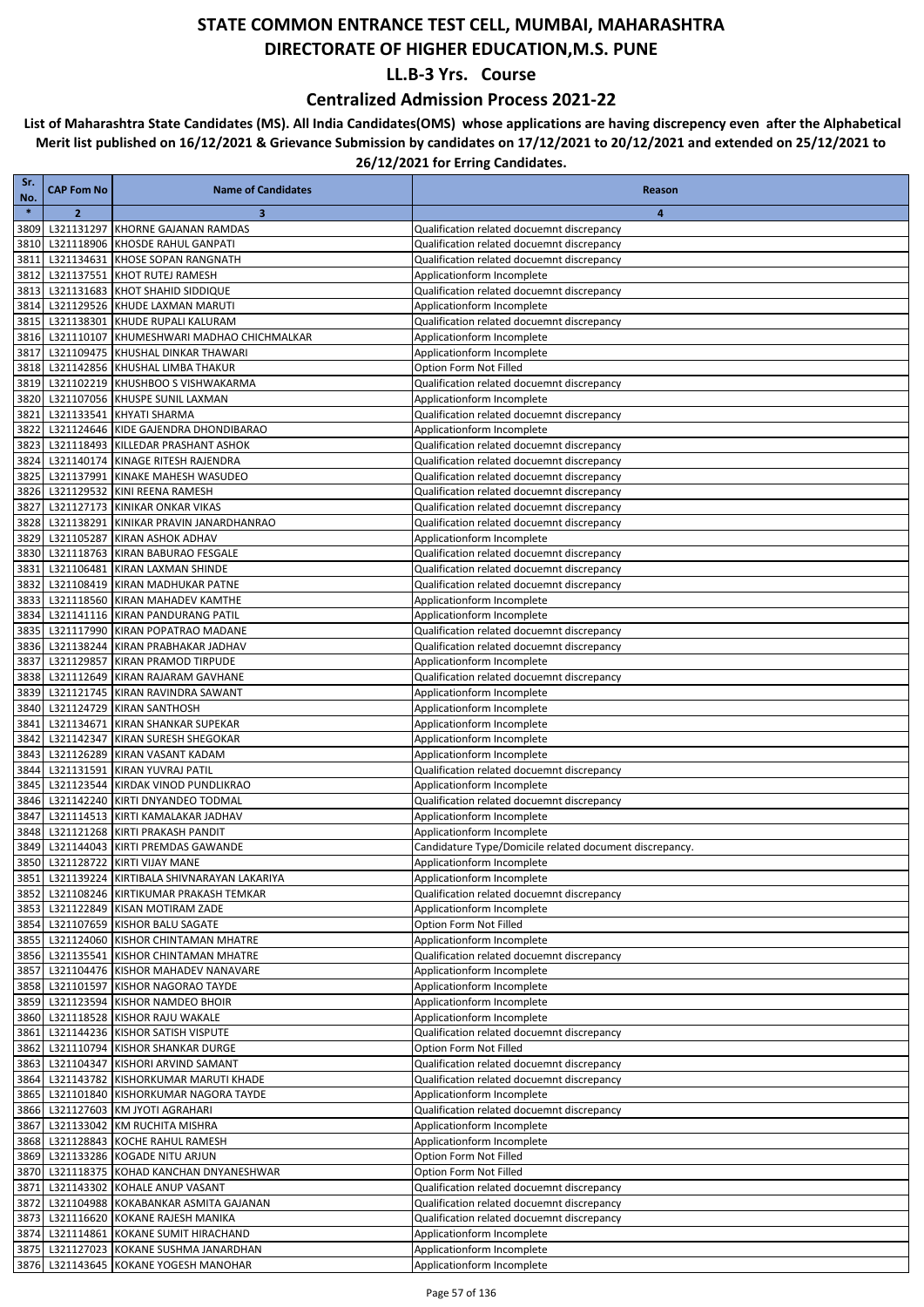### **Centralized Admission Process 2021-22**

| Sr.<br>No.   | <b>CAP Fom No</b> | <b>Name of Candidates</b>                                                        | Reason                                                                   |
|--------------|-------------------|----------------------------------------------------------------------------------|--------------------------------------------------------------------------|
| $\ast$       | $\overline{2}$    | 3                                                                                | 4                                                                        |
| 3809         |                   | L321131297 KHORNE GAJANAN RAMDAS                                                 | Qualification related docuemnt discrepancy                               |
| 3810         |                   | L321118906 KHOSDE RAHUL GANPATI                                                  | Qualification related docuemnt discrepancy                               |
| 3811         |                   | L321134631 KHOSE SOPAN RANGNATH                                                  | Qualification related docuemnt discrepancy                               |
| 3812         |                   | L321137551 KHOT RUTEJ RAMESH                                                     | Applicationform Incomplete                                               |
| 3813         |                   | L321131683 KHOT SHAHID SIDDIQUE<br>L321129526 KHUDE LAXMAN MARUTI                | Qualification related docuemnt discrepancy                               |
| 3814<br>3815 |                   | L321138301 KHUDE RUPALI KALURAM                                                  | Applicationform Incomplete<br>Qualification related docuemnt discrepancy |
| 3816         |                   | L321110107 KHUMESHWARI MADHAO CHICHMALKAR                                        | Applicationform Incomplete                                               |
| 3817         |                   | L321109475 KHUSHAL DINKAR THAWARI                                                | Applicationform Incomplete                                               |
| 3818         |                   | L321142856 KHUSHAL LIMBA THAKUR                                                  | Option Form Not Filled                                                   |
| 3819         |                   | L321102219 KHUSHBOO S VISHWAKARMA                                                | Qualification related docuemnt discrepancy                               |
| 3820         |                   | L321107056 KHUSPE SUNIL LAXMAN                                                   | Applicationform Incomplete                                               |
| 3821<br>3822 |                   | L321133541 KHYATI SHARMA<br>L321124646 KIDE GAJENDRA DHONDIBARAO                 | Qualification related docuemnt discrepancy<br>Applicationform Incomplete |
| 3823         |                   | L321118493 KILLEDAR PRASHANT ASHOK                                               | Qualification related docuemnt discrepancy                               |
| 3824         |                   | L321140174 KINAGE RITESH RAJENDRA                                                | Qualification related docuemnt discrepancy                               |
| 3825         |                   | L321137991 KINAKE MAHESH WASUDEO                                                 | Qualification related docuemnt discrepancy                               |
| 3826         |                   | L321129532 KINI REENA RAMESH                                                     | Qualification related docuemnt discrepancy                               |
| 3827         |                   | L321127173 KINIKAR ONKAR VIKAS                                                   | Qualification related docuemnt discrepancy                               |
| 3828         |                   | L321138291 KINIKAR PRAVIN JANARDHANRAO                                           | Qualification related docuemnt discrepancy                               |
| 3829<br>3830 |                   | L321105287 KIRAN ASHOK ADHAV<br>L321118763 KIRAN BABURAO FESGALE                 | Applicationform Incomplete<br>Qualification related docuemnt discrepancy |
| 3831         |                   | L321106481 KIRAN LAXMAN SHINDE                                                   | Qualification related docuemnt discrepancy                               |
| 3832         |                   | L321108419 KIRAN MADHUKAR PATNE                                                  | Qualification related docuemnt discrepancy                               |
| 3833         |                   | L321118560 KIRAN MAHADEV KAMTHE                                                  | Applicationform Incomplete                                               |
| 3834         |                   | L321141116 KIRAN PANDURANG PATIL                                                 | Applicationform Incomplete                                               |
| 3835         |                   | L321117990 KIRAN POPATRAO MADANE                                                 | Qualification related docuemnt discrepancy                               |
| 3836         |                   | L321138244 KIRAN PRABHAKAR JADHAV                                                | Qualification related docuemnt discrepancy                               |
| 3837<br>3838 |                   | L321129857 KIRAN PRAMOD TIRPUDE<br>L321112649 KIRAN RAJARAM GAVHANE              | Applicationform Incomplete<br>Qualification related docuemnt discrepancy |
| 3839         |                   | L321121745 KIRAN RAVINDRA SAWANT                                                 | Applicationform Incomplete                                               |
| 3840         |                   | L321124729 KIRAN SANTHOSH                                                        | Applicationform Incomplete                                               |
| 3841         |                   | L321134671 KIRAN SHANKAR SUPEKAR                                                 | Applicationform Incomplete                                               |
| 3842         |                   | L321142347 KIRAN SURESH SHEGOKAR                                                 | Applicationform Incomplete                                               |
| 3843         |                   | L321126289 KIRAN VASANT KADAM                                                    | Applicationform Incomplete                                               |
| 3844         |                   | L321131591 KIRAN YUVRAJ PATIL                                                    | Qualification related docuemnt discrepancy                               |
| 3845<br>3846 |                   | L321123544 KIRDAK VINOD PUNDLIKRAO<br>L321142240 KIRTI DNYANDEO TODMAL           | Applicationform Incomplete<br>Qualification related docuemnt discrepancy |
| 3847         |                   | L321114513 KIRTI KAMALAKAR JADHAV                                                | Applicationform Incomplete                                               |
| 3848         |                   | L321121268 KIRTI PRAKASH PANDIT                                                  | Applicationform Incomplete                                               |
| 3849         |                   | L321144043 KIRTI PREMDAS GAWANDE                                                 | Candidature Type/Domicile related document discrepancy.                  |
| 3850         |                   | L321128722 KIRTI VIJAY MANE                                                      | Applicationform Incomplete                                               |
|              |                   | 3851 L321139224 KIRTIBALA SHIVNARAYAN LAKARIYA                                   | Applicationform Incomplete                                               |
|              |                   | 3852 L321108246 KIRTIKUMAR PRAKASH TEMKAR<br>3853 L321122849 KISAN MOTIRAM ZADE  | Qualification related docuemnt discrepancy<br>Applicationform Incomplete |
|              |                   | 3854 L321107659 KISHOR BALU SAGATE                                               | Option Form Not Filled                                                   |
| 3855         |                   | L321124060 KISHOR CHINTAMAN MHATRE                                               | Applicationform Incomplete                                               |
|              |                   | 3856 L321135541 KISHOR CHINTAMAN MHATRE                                          | Qualification related docuemnt discrepancy                               |
|              |                   | 3857 L321104476 KISHOR MAHADEV NANAVARE                                          | Applicationform Incomplete                                               |
|              |                   | 3858 L321101597 KISHOR NAGORAO TAYDE                                             | Applicationform Incomplete                                               |
|              |                   | 3859 L321123594 KISHOR NAMDEO BHOIR<br>3860 L321118528 KISHOR RAJU WAKALE        | Applicationform Incomplete<br>Applicationform Incomplete                 |
| 3861         |                   | L321144236 KISHOR SATISH VISPUTE                                                 | Qualification related docuemnt discrepancy                               |
|              |                   | 3862 L321110794 KISHOR SHANKAR DURGE                                             | Option Form Not Filled                                                   |
|              |                   | 3863 L321104347 KISHORI ARVIND SAMANT                                            | Qualification related docuemnt discrepancy                               |
|              |                   | 3864 L321143782 KISHORKUMAR MARUTI KHADE                                         | Qualification related docuemnt discrepancy                               |
|              |                   | 3865 L321101840 KISHORKUMAR NAGORA TAYDE                                         | Applicationform Incomplete                                               |
|              |                   | 3866 L321127603 KM JYOTI AGRAHARI                                                | Qualification related docuemnt discrepancy                               |
| 3867         |                   | L321133042 KM RUCHITA MISHRA<br>3868 L321128843 KOCHE RAHUL RAMESH               | Applicationform Incomplete<br>Applicationform Incomplete                 |
|              |                   | 3869 L321133286 KOGADE NITU ARJUN                                                | Option Form Not Filled                                                   |
|              |                   | 3870 L321118375 KOHAD KANCHAN DNYANESHWAR                                        | Option Form Not Filled                                                   |
|              |                   | 3871 L321143302 KOHALE ANUP VASANT                                               | Qualification related docuemnt discrepancy                               |
|              |                   | 3872 L321104988 KOKABANKAR ASMITA GAJANAN                                        | Qualification related docuemnt discrepancy                               |
|              |                   | 3873 L321116620 KOKANE RAJESH MANIKA                                             | Qualification related docuemnt discrepancy                               |
|              |                   | 3874 L321114861 KOKANE SUMIT HIRACHAND                                           | Applicationform Incomplete                                               |
|              |                   | 3875 L321127023 KOKANE SUSHMA JANARDHAN<br>3876 L321143645 KOKANE YOGESH MANOHAR | Applicationform Incomplete<br>Applicationform Incomplete                 |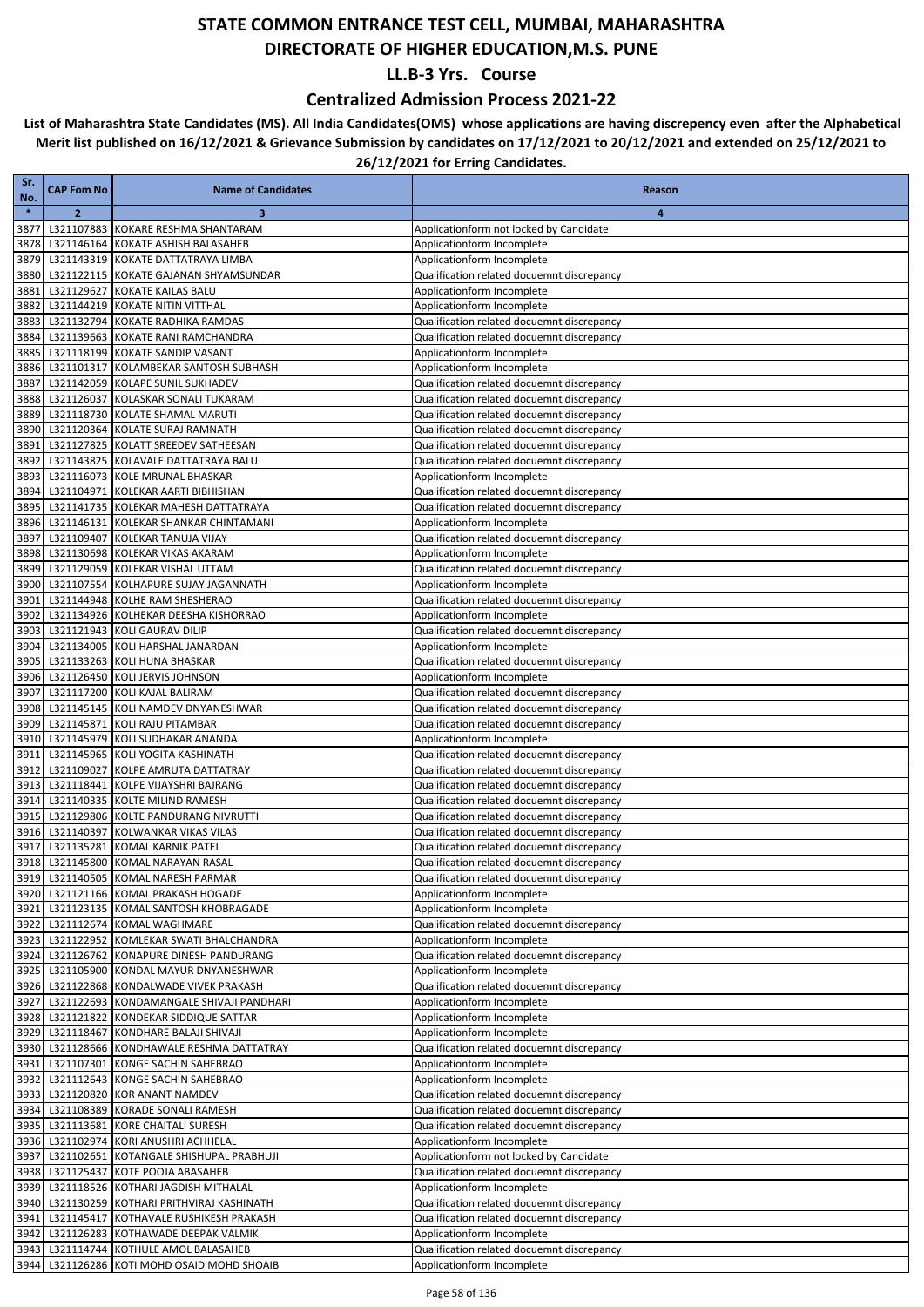### **Centralized Admission Process 2021-22**

| Sr.<br>No.   | <b>CAP Fom No</b> | <b>Name of Candidates</b>                                                                | Reason                                                                                   |
|--------------|-------------------|------------------------------------------------------------------------------------------|------------------------------------------------------------------------------------------|
| $\ast$       | $\overline{2}$    | 3                                                                                        | 4                                                                                        |
| 3877         |                   | L321107883 KOKARE RESHMA SHANTARAM                                                       | Applicationform not locked by Candidate                                                  |
| 3878         |                   | L321146164 KOKATE ASHISH BALASAHEB                                                       | Applicationform Incomplete                                                               |
| 3879         |                   | L321143319 KOKATE DATTATRAYA LIMBA                                                       | Applicationform Incomplete                                                               |
| 3880         |                   | L321122115 KOKATE GAJANAN SHYAMSUNDAR                                                    | Qualification related docuemnt discrepancy                                               |
| 3881         |                   | L321129627 KOKATE KAILAS BALU                                                            | Applicationform Incomplete                                                               |
| 3882<br>3883 |                   | L321144219 KOKATE NITIN VITTHAL<br>L321132794 KOKATE RADHIKA RAMDAS                      | Applicationform Incomplete<br>Qualification related docuemnt discrepancy                 |
| 3884         |                   | L321139663 KOKATE RANI RAMCHANDRA                                                        | Qualification related docuemnt discrepancy                                               |
| 3885         |                   | L321118199 KOKATE SANDIP VASANT                                                          | Applicationform Incomplete                                                               |
| 3886         |                   | L321101317 KOLAMBEKAR SANTOSH SUBHASH                                                    | Applicationform Incomplete                                                               |
| 3887         |                   | L321142059 KOLAPE SUNIL SUKHADEV                                                         | Qualification related docuemnt discrepancy                                               |
| 3888         |                   | L321126037 KOLASKAR SONALI TUKARAM                                                       | Qualification related docuemnt discrepancy                                               |
| 3889<br>3890 |                   | L321118730 KOLATE SHAMAL MARUTI<br>L321120364 KOLATE SURAJ RAMNATH                       | Qualification related docuemnt discrepancy<br>Qualification related docuemnt discrepancy |
| 3891         |                   | L321127825 KOLATT SREEDEV SATHEESAN                                                      | Qualification related docuemnt discrepancy                                               |
| 3892         |                   | L321143825 KOLAVALE DATTATRAYA BALU                                                      | Qualification related docuemnt discrepancy                                               |
| 3893         |                   | L321116073 KOLE MRUNAL BHASKAR                                                           | Applicationform Incomplete                                                               |
| 3894         |                   | L321104971 KOLEKAR AARTI BIBHISHAN                                                       | Qualification related docuemnt discrepancy                                               |
| 3895         |                   | L321141735 KOLEKAR MAHESH DATTATRAYA                                                     | Qualification related docuemnt discrepancy                                               |
| 3896         |                   | L321146131 KOLEKAR SHANKAR CHINTAMANI                                                    | Applicationform Incomplete                                                               |
| 3897<br>3898 |                   | L321109407 KOLEKAR TANUJA VIJAY<br>L321130698 KOLEKAR VIKAS AKARAM                       | Qualification related docuemnt discrepancy<br>Applicationform Incomplete                 |
| 3899         |                   | L321129059 KOLEKAR VISHAL UTTAM                                                          | Qualification related docuemnt discrepancy                                               |
| 3900         |                   | L321107554 KOLHAPURE SUJAY JAGANNATH                                                     | Applicationform Incomplete                                                               |
| 3901         |                   | L321144948 KOLHE RAM SHESHERAO                                                           | Qualification related docuemnt discrepancy                                               |
| 3902         |                   | L321134926 KOLHEKAR DEESHA KISHORRAO                                                     | Applicationform Incomplete                                                               |
| 3903         |                   | L321121943 KOLI GAURAV DILIP                                                             | Qualification related docuemnt discrepancy                                               |
| 3904         |                   | L321134005 KOLI HARSHAL JANARDAN                                                         | Applicationform Incomplete                                                               |
| 3905         |                   | L321133263 KOLI HUNA BHASKAR                                                             | Qualification related docuemnt discrepancy                                               |
| 3906<br>3907 |                   | L321126450 KOLI JERVIS JOHNSON<br>L321117200 KOLI KAJAL BALIRAM                          | Applicationform Incomplete<br>Qualification related docuemnt discrepancy                 |
| 3908         |                   | L321145145 KOLI NAMDEV DNYANESHWAR                                                       | Qualification related docuemnt discrepancy                                               |
| 3909         |                   | L321145871 KOLI RAJU PITAMBAR                                                            | Qualification related docuemnt discrepancy                                               |
| 3910         |                   | L321145979 KOLI SUDHAKAR ANANDA                                                          | Applicationform Incomplete                                                               |
| 3911         |                   | L321145965 KOLI YOGITA KASHINATH                                                         | Qualification related docuemnt discrepancy                                               |
| 3912         |                   | L321109027 KOLPE AMRUTA DATTATRAY                                                        | Qualification related docuemnt discrepancy                                               |
| 3913         |                   | L321118441 KOLPE VIJAYSHRI BAJRANG                                                       | Qualification related docuemnt discrepancy                                               |
| 3914<br>3915 |                   | L321140335 KOLTE MILIND RAMESH<br>L321129806 KOLTE PANDURANG NIVRUTTI                    | Qualification related docuemnt discrepancy<br>Qualification related docuemnt discrepancy |
| 3916         |                   | L321140397 KOLWANKAR VIKAS VILAS                                                         | Qualification related docuemnt discrepancy                                               |
| 3917         |                   | L321135281 KOMAL KARNIK PATEL                                                            | Qualification related docuemnt discrepancy                                               |
| 3918         |                   | L321145800 KOMAL NARAYAN RASAL                                                           | Qualification related docuemnt discrepancy                                               |
|              |                   | 3919 L321140505 KOMAL NARESH PARMAR                                                      | Qualification related docuemnt discrepancy                                               |
|              |                   | 3920 L321121166 KOMAL PRAKASH HOGADE                                                     | Applicationform Incomplete                                                               |
|              |                   | 3921 L321123135 KOMAL SANTOSH KHOBRAGADE                                                 | Applicationform Incomplete                                                               |
| 3923         |                   | 3922 L321112674 KOMAL WAGHMARE<br>L321122952 KOMLEKAR SWATI BHALCHANDRA                  | Qualification related docuemnt discrepancy<br>Applicationform Incomplete                 |
|              |                   | 3924 L321126762 KONAPURE DINESH PANDURANG                                                | Qualification related docuemnt discrepancy                                               |
| 3925         |                   | L321105900 KONDAL MAYUR DNYANESHWAR                                                      | Applicationform Incomplete                                                               |
| 3926         |                   | L321122868 KONDALWADE VIVEK PRAKASH                                                      | Qualification related docuemnt discrepancy                                               |
| 3927         |                   | L321122693 KONDAMANGALE SHIVAJI PANDHARI                                                 | Applicationform Incomplete                                                               |
| 3928         |                   | L321121822 KONDEKAR SIDDIQUE SATTAR                                                      | Applicationform Incomplete                                                               |
| 3929         |                   | L321118467 KONDHARE BALAJI SHIVAJI                                                       | Applicationform Incomplete                                                               |
|              |                   | 3930 L321128666 KONDHAWALE RESHMA DATTATRAY<br>L321107301 KONGE SACHIN SAHEBRAO          | Qualification related docuemnt discrepancy<br>Applicationform Incomplete                 |
| 3931<br>3932 |                   | L321112643 KONGE SACHIN SAHEBRAO                                                         | Applicationform Incomplete                                                               |
|              |                   | 3933 L321120820 KOR ANANT NAMDEV                                                         | Qualification related docuemnt discrepancy                                               |
|              |                   | 3934 L321108389 KORADE SONALI RAMESH                                                     | Qualification related docuemnt discrepancy                                               |
| 3935         |                   | L321113681 KORE CHAITALI SURESH                                                          | Qualification related docuemnt discrepancy                                               |
|              |                   | 3936 L321102974 KORI ANUSHRI ACHHELAL                                                    | Applicationform Incomplete                                                               |
|              |                   | 3937 L321102651 KOTANGALE SHISHUPAL PRABHUJI                                             | Applicationform not locked by Candidate                                                  |
| 3938         |                   | L321125437 KOTE POOJA ABASAHEB                                                           | Qualification related docuemnt discrepancy<br>Applicationform Incomplete                 |
|              |                   | 3939 L321118526 KOTHARI JAGDISH MITHALAL<br>3940 L321130259 KOTHARI PRITHVIRAJ KASHINATH | Qualification related docuemnt discrepancy                                               |
|              |                   | 3941 L321145417 KOTHAVALE RUSHIKESH PRAKASH                                              | Qualification related docuemnt discrepancy                                               |
|              |                   | 3942 L321126283 KOTHAWADE DEEPAK VALMIK                                                  | Applicationform Incomplete                                                               |
|              |                   | 3943 L321114744 KOTHULE AMOL BALASAHEB                                                   | Qualification related docuemnt discrepancy                                               |
|              |                   | 3944 L321126286 KOTI MOHD OSAID MOHD SHOAIB                                              | Applicationform Incomplete                                                               |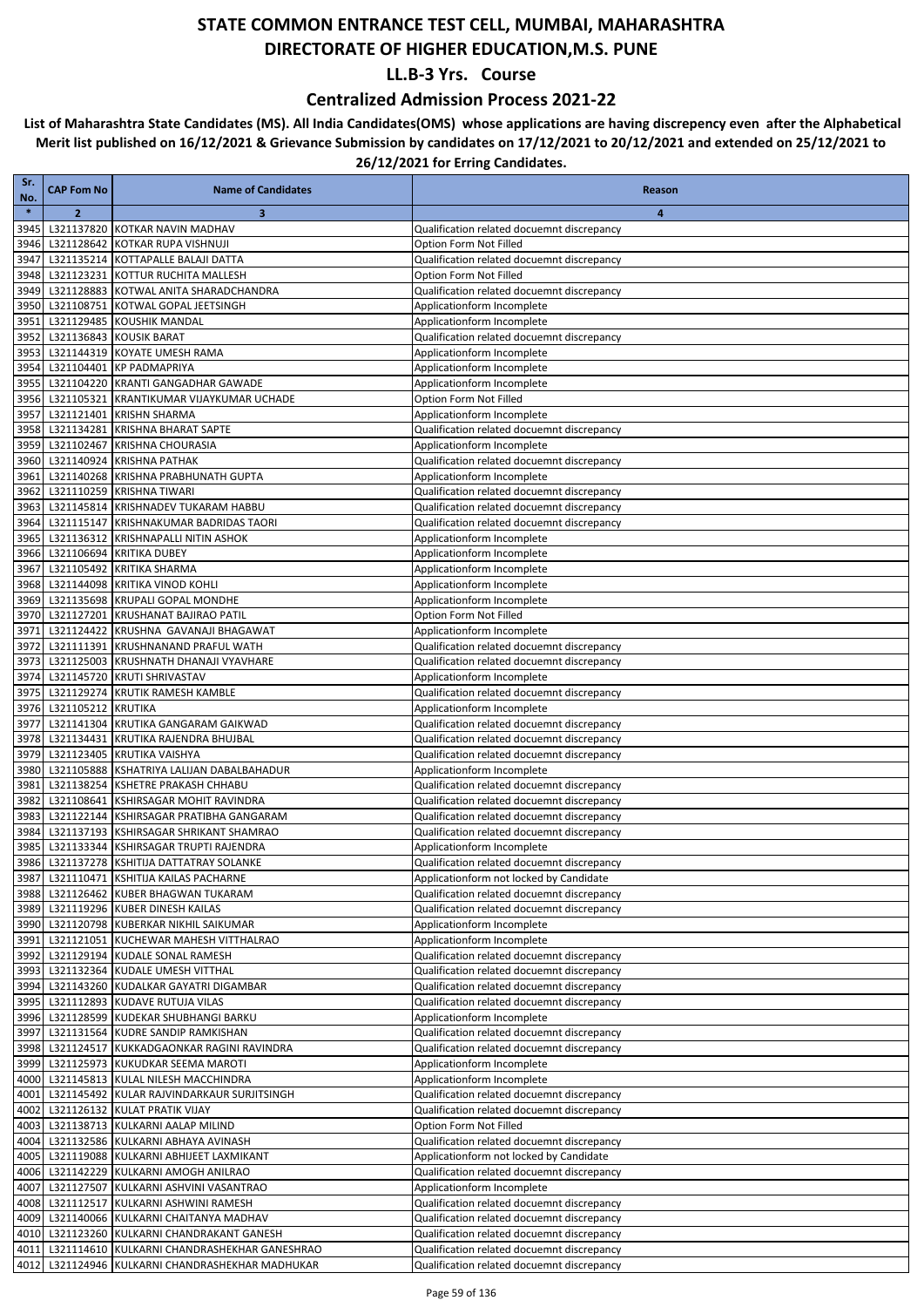### **Centralized Admission Process 2021-22**

| Sr.<br>No.   | <b>CAP Fom No</b>  | <b>Name of Candidates</b>                                                                        | Reason                                                                                   |
|--------------|--------------------|--------------------------------------------------------------------------------------------------|------------------------------------------------------------------------------------------|
| $\ast$       | $\overline{2}$     | 3                                                                                                | $\overline{4}$                                                                           |
| 3945         |                    | L321137820 KOTKAR NAVIN MADHAV                                                                   | Qualification related docuemnt discrepancy                                               |
| 3946         |                    | L321128642 KOTKAR RUPA VISHNUJI                                                                  | Option Form Not Filled                                                                   |
| 3947         |                    | L321135214 KOTTAPALLE BALAJI DATTA                                                               | Qualification related docuemnt discrepancy                                               |
| 3948         |                    | L321123231 KOTTUR RUCHITA MALLESH                                                                | Option Form Not Filled                                                                   |
| 3949         |                    | L321128883 KOTWAL ANITA SHARADCHANDRA                                                            | Qualification related docuemnt discrepancy                                               |
| 3950         |                    | L321108751 KOTWAL GOPAL JEETSINGH                                                                | Applicationform Incomplete                                                               |
| 3951         |                    | L321129485 KOUSHIK MANDAL                                                                        | Applicationform Incomplete                                                               |
| 3952<br>3953 |                    | L321136843 KOUSIK BARAT<br>L321144319 KOYATE UMESH RAMA                                          | Qualification related docuemnt discrepancy<br>Applicationform Incomplete                 |
| 3954         |                    | L321104401 KP PADMAPRIYA                                                                         | Applicationform Incomplete                                                               |
| 3955         |                    | L321104220 KRANTI GANGADHAR GAWADE                                                               | Applicationform Incomplete                                                               |
| 3956         |                    | L321105321 KRANTIKUMAR VIJAYKUMAR UCHADE                                                         | Option Form Not Filled                                                                   |
| 3957         |                    | L321121401 KRISHN SHARMA                                                                         | Applicationform Incomplete                                                               |
| 3958         |                    | L321134281 KRISHNA BHARAT SAPTE                                                                  | Qualification related docuemnt discrepancy                                               |
| 3959         |                    | L321102467 KRISHNA CHOURASIA                                                                     | Applicationform Incomplete                                                               |
| 3960         |                    | L321140924 KRISHNA PATHAK                                                                        | Qualification related docuemnt discrepancy                                               |
| 3961         |                    | L321140268 KRISHNA PRABHUNATH GUPTA                                                              | Applicationform Incomplete                                                               |
| 3962         |                    | L321110259 KRISHNA TIWARI                                                                        | Qualification related docuemnt discrepancy                                               |
| 3963         |                    | L321145814 KRISHNADEV TUKARAM HABBU                                                              | Qualification related docuemnt discrepancy                                               |
| 3964<br>3965 |                    | L321115147 KRISHNAKUMAR BADRIDAS TAORI<br>L321136312 KRISHNAPALLI NITIN ASHOK                    | Qualification related docuemnt discrepancy<br>Applicationform Incomplete                 |
| 3966         |                    | L321106694 KRITIKA DUBEY                                                                         | Applicationform Incomplete                                                               |
| 3967         |                    | L321105492 KRITIKA SHARMA                                                                        | Applicationform Incomplete                                                               |
| 3968         |                    | L321144098 KRITIKA VINOD KOHLI                                                                   | Applicationform Incomplete                                                               |
| 3969         |                    | L321135698 KRUPALI GOPAL MONDHE                                                                  | Applicationform Incomplete                                                               |
| 3970         |                    | L321127201 KRUSHANAT BAJIRAO PATIL                                                               | Option Form Not Filled                                                                   |
| 3971         |                    | L321124422 KRUSHNA GAVANAJI BHAGAWAT                                                             | Applicationform Incomplete                                                               |
| 3972         |                    | L321111391 KRUSHNANAND PRAFUL WATH                                                               | Qualification related docuemnt discrepancy                                               |
| 3973         |                    | L321125003 KRUSHNATH DHANAJI VYAVHARE                                                            | Qualification related docuemnt discrepancy                                               |
| 3974         |                    | L321145720 KRUTI SHRIVASTAV                                                                      | Applicationform Incomplete                                                               |
| 3975         |                    | L321129274 KRUTIK RAMESH KAMBLE                                                                  | Qualification related docuemnt discrepancy                                               |
| 3976<br>3977 | L321105212 KRUTIKA | L321141304 KRUTIKA GANGARAM GAIKWAD                                                              | Applicationform Incomplete                                                               |
| 3978         |                    | L321134431 KRUTIKA RAJENDRA BHUJBAL                                                              | Qualification related docuemnt discrepancy<br>Qualification related docuemnt discrepancy |
| 3979         |                    | L321123405 KRUTIKA VAISHYA                                                                       | Qualification related docuemnt discrepancy                                               |
| 3980         |                    | L321105888 KSHATRIYA LALIJAN DABALBAHADUR                                                        | Applicationform Incomplete                                                               |
| 3981         |                    | L321138254 KSHETRE PRAKASH CHHABU                                                                | Qualification related docuemnt discrepancy                                               |
| 3982         |                    | L321108641 KSHIRSAGAR MOHIT RAVINDRA                                                             | Qualification related docuemnt discrepancy                                               |
| 3983         |                    | L321122144 KSHIRSAGAR PRATIBHA GANGARAM                                                          | Qualification related docuemnt discrepancy                                               |
| 3984         |                    | L321137193 KSHIRSAGAR SHRIKANT SHAMRAO                                                           | Qualification related docuemnt discrepancy                                               |
| 3985         |                    | L321133344 KSHIRSAGAR TRUPTI RAJENDRA                                                            | Applicationform Incomplete                                                               |
| 3986         |                    | L321137278 KSHITIJA DATTATRAY SOLANKE                                                            | Qualification related docuemnt discrepancy                                               |
|              |                    | 3987 L321110471 KSHITIJA KAILAS PACHARNE                                                         | Applicationform not locked by Candidate                                                  |
|              |                    | 3988 L321126462 KUBER BHAGWAN TUKARAM<br>3989 L321119296 KUBER DINESH KAILAS                     | Qualification related docuemnt discrepancy<br>Qualification related docuemnt discrepancy |
|              |                    | 3990 L321120798 KUBERKAR NIKHIL SAIKUMAR                                                         | Applicationform Incomplete                                                               |
| 3991         |                    | L321121051 KUCHEWAR MAHESH VITTHALRAO                                                            | Applicationform Incomplete                                                               |
| 3992         |                    | L321129194 KUDALE SONAL RAMESH                                                                   | Qualification related docuemnt discrepancy                                               |
| 3993         |                    | L321132364 KUDALE UMESH VITTHAL                                                                  | Qualification related docuemnt discrepancy                                               |
|              |                    | 3994 L321143260 KUDALKAR GAYATRI DIGAMBAR                                                        | Qualification related docuemnt discrepancy                                               |
| 3995         |                    | L321112893 KUDAVE RUTUJA VILAS                                                                   | Qualification related docuemnt discrepancy                                               |
|              |                    | 3996 L321128599 KUDEKAR SHUBHANGI BARKU                                                          | Applicationform Incomplete                                                               |
| 3997         |                    | L321131564 KUDRE SANDIP RAMKISHAN                                                                | Qualification related docuemnt discrepancy                                               |
|              |                    | 3998 L321124517 KUKKADGAONKAR RAGINI RAVINDRA                                                    | Qualification related docuemnt discrepancy                                               |
| 3999         |                    | L321125973 KUKUDKAR SEEMA MAROTI                                                                 | Applicationform Incomplete                                                               |
| 4001         |                    | 4000 L321145813 KULAL NILESH MACCHINDRA<br>L321145492 KULAR RAJVINDARKAUR SURJITSINGH            | Applicationform Incomplete<br>Qualification related docuemnt discrepancy                 |
| 4002         |                    | L321126132 KULAT PRATIK VIJAY                                                                    | Qualification related docuemnt discrepancy                                               |
|              |                    | 4003 L321138713 KULKARNI AALAP MILIND                                                            | Option Form Not Filled                                                                   |
| 4004         |                    | L321132586 KULKARNI ABHAYA AVINASH                                                               | Qualification related docuemnt discrepancy                                               |
| 4005         |                    | L321119088 KULKARNI ABHIJEET LAXMIKANT                                                           | Applicationform not locked by Candidate                                                  |
|              |                    | 4006 L321142229 KULKARNI AMOGH ANILRAO                                                           | Qualification related docuemnt discrepancy                                               |
| 4007         |                    | L321127507 KULKARNI ASHVINI VASANTRAO                                                            | Applicationform Incomplete                                                               |
| 4008         |                    | L321112517 KULKARNI ASHWINI RAMESH                                                               | Qualification related docuemnt discrepancy                                               |
|              |                    | 4009 L321140066 KULKARNI CHAITANYA MADHAV                                                        | Qualification related docuemnt discrepancy                                               |
|              |                    | 4010 L321123260 KULKARNI CHANDRAKANT GANESH                                                      | Qualification related docuemnt discrepancy                                               |
| 4011         |                    | L321114610 KULKARNI CHANDRASHEKHAR GANESHRAO<br>4012 L321124946 KULKARNI CHANDRASHEKHAR MADHUKAR | Qualification related docuemnt discrepancy                                               |
|              |                    |                                                                                                  | Qualification related docuemnt discrepancy                                               |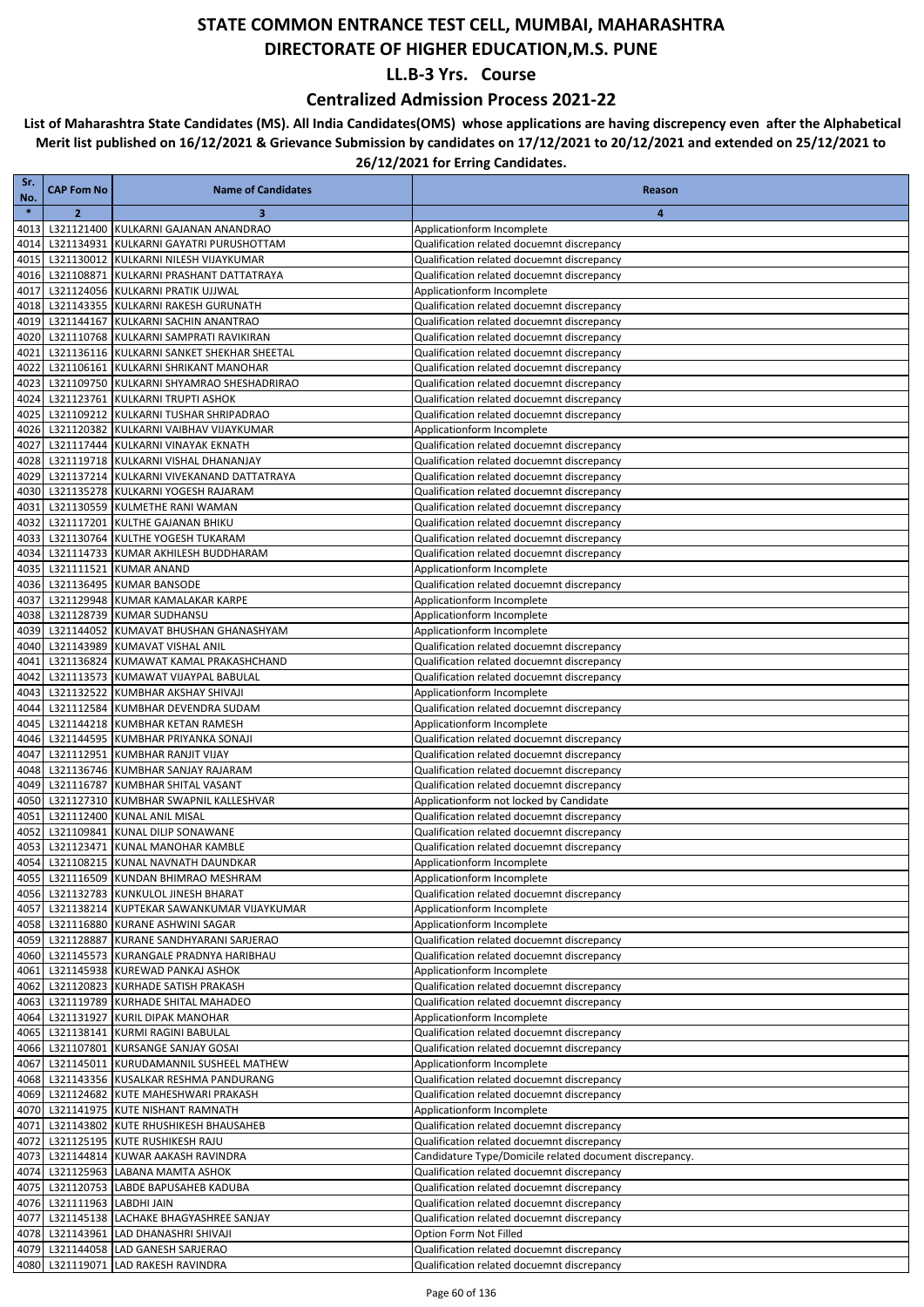### **Centralized Admission Process 2021-22**

| Sr.<br>No.   | <b>CAP Fom No</b>           | <b>Name of Candidates</b>                                                     | Reason                                                                                   |
|--------------|-----------------------------|-------------------------------------------------------------------------------|------------------------------------------------------------------------------------------|
| $\ast$       | $\overline{2}$              | 3                                                                             | 4                                                                                        |
| 4013         |                             | L321121400 KULKARNI GAJANAN ANANDRAO                                          | Applicationform Incomplete                                                               |
| 4014         |                             | L321134931 KULKARNI GAYATRI PURUSHOTTAM                                       | Qualification related docuemnt discrepancy                                               |
| 4015         |                             | L321130012 KULKARNI NILESH VIJAYKUMAR                                         | Qualification related docuemnt discrepancy                                               |
| 4016         |                             | L321108871 KULKARNI PRASHANT DATTATRAYA                                       | Qualification related docuemnt discrepancy                                               |
| 4017         |                             | L321124056 KULKARNI PRATIK UJJWAL                                             | Applicationform Incomplete                                                               |
| 4018         |                             | L321143355 KULKARNI RAKESH GURUNATH                                           | Qualification related docuemnt discrepancy                                               |
| 4019<br>4020 |                             | L321144167 KULKARNI SACHIN ANANTRAO<br>L321110768 KULKARNI SAMPRATI RAVIKIRAN | Qualification related docuemnt discrepancy<br>Qualification related docuemnt discrepancy |
| 4021         |                             | L321136116 KULKARNI SANKET SHEKHAR SHEETAL                                    | Qualification related docuemnt discrepancy                                               |
| 4022         |                             | L321106161 KULKARNI SHRIKANT MANOHAR                                          | Qualification related docuemnt discrepancy                                               |
| 4023         |                             | L321109750 KULKARNI SHYAMRAO SHESHADRIRAO                                     | Qualification related docuemnt discrepancy                                               |
| 4024         |                             | L321123761 KULKARNI TRUPTI ASHOK                                              | Qualification related docuemnt discrepancy                                               |
| 4025         |                             | L321109212 KULKARNI TUSHAR SHRIPADRAO                                         | Qualification related docuemnt discrepancy                                               |
| 4026         |                             | L321120382 KULKARNI VAIBHAV VIJAYKUMAR                                        | Applicationform Incomplete                                                               |
| 4027         |                             | L321117444 KULKARNI VINAYAK EKNATH                                            | Qualification related docuemnt discrepancy                                               |
| 4028         |                             | L321119718 KULKARNI VISHAL DHANANJAY                                          | Qualification related docuemnt discrepancy                                               |
| 4029         |                             | L321137214 KULKARNI VIVEKANAND DATTATRAYA                                     | Qualification related docuemnt discrepancy                                               |
| 4030         |                             | L321135278 KULKARNI YOGESH RAJARAM                                            | Qualification related docuemnt discrepancy                                               |
| 4031         |                             | L321130559 KULMETHE RANI WAMAN                                                | Qualification related docuemnt discrepancy                                               |
| 4032         |                             | L321117201 KULTHE GAJANAN BHIKU                                               | Qualification related docuemnt discrepancy                                               |
| 4033<br>4034 |                             | L321130764 KULTHE YOGESH TUKARAM<br>L321114733 KUMAR AKHILESH BUDDHARAM       | Qualification related docuemnt discrepancy<br>Qualification related docuemnt discrepancy |
| 4035         |                             | L321111521 KUMAR ANAND                                                        | Applicationform Incomplete                                                               |
| 4036         |                             | L321136495 KUMAR BANSODE                                                      | Qualification related docuemnt discrepancy                                               |
| 4037         |                             | L321129948 KUMAR KAMALAKAR KARPE                                              | Applicationform Incomplete                                                               |
| 4038         |                             | L321128739 KUMAR SUDHANSU                                                     | Applicationform Incomplete                                                               |
| 4039         |                             | L321144052 KUMAVAT BHUSHAN GHANASHYAM                                         | Applicationform Incomplete                                                               |
| 4040         |                             | L321143989 KUMAVAT VISHAL ANIL                                                | Qualification related docuemnt discrepancy                                               |
| 4041         |                             | L321136824 KUMAWAT KAMAL PRAKASHCHAND                                         | Qualification related docuemnt discrepancy                                               |
| 4042         |                             | L321113573 KUMAWAT VIJAYPAL BABULAL                                           | Qualification related docuemnt discrepancy                                               |
| 4043         |                             | L321132522 KUMBHAR AKSHAY SHIVAJI                                             | Applicationform Incomplete                                                               |
| 4044         |                             | L321112584 KUMBHAR DEVENDRA SUDAM                                             | Qualification related docuemnt discrepancy                                               |
| 4045         |                             | L321144218 KUMBHAR KETAN RAMESH                                               | Applicationform Incomplete                                                               |
| 4046<br>4047 |                             | L321144595 KUMBHAR PRIYANKA SONAJI<br>L321112951 KUMBHAR RANJIT VIJAY         | Qualification related docuemnt discrepancy<br>Qualification related docuemnt discrepancy |
| 4048         |                             | L321136746 KUMBHAR SANJAY RAJARAM                                             | Qualification related docuemnt discrepancy                                               |
| 4049         |                             | L321116787 KUMBHAR SHITAL VASANT                                              | Qualification related docuemnt discrepancy                                               |
| 4050         |                             | L321127310 KUMBHAR SWAPNIL KALLESHVAR                                         | Applicationform not locked by Candidate                                                  |
| 4051         |                             | L321112400 KUNAL ANIL MISAL                                                   | Qualification related docuemnt discrepancy                                               |
| 4052         |                             | L321109841 KUNAL DILIP SONAWANE                                               | Qualification related docuemnt discrepancy                                               |
| 4053         |                             | L321123471 KUNAL MANOHAR KAMBLE                                               | Qualification related docuemnt discrepancy                                               |
| 4054         |                             | L321108215 KUNAL NAVNATH DAUNDKAR                                             | Applicationform Incomplete                                                               |
|              |                             | 4055 L321116509 KUNDAN BHIMRAO MESHRAM                                        | Applicationform Incomplete                                                               |
|              |                             | 4056 L321132783 KUNKULOL JINESH BHARAT                                        | Qualification related docuemnt discrepancy                                               |
| 4057         |                             | L321138214 KUPTEKAR SAWANKUMAR VIJAYKUMAR                                     | Applicationform Incomplete                                                               |
| 4058<br>4059 |                             | L321116880 KURANE ASHWINI SAGAR<br>L321128887 KURANE SANDHYARANI SARJERAO     | Applicationform Incomplete<br>Qualification related docuemnt discrepancy                 |
| 4060         |                             | L321145573 KURANGALE PRADNYA HARIBHAU                                         | Qualification related docuemnt discrepancy                                               |
| 4061         |                             | L321145938 KUREWAD PANKAJ ASHOK                                               | Applicationform Incomplete                                                               |
| 4062         |                             | L321120823 KURHADE SATISH PRAKASH                                             | Qualification related docuemnt discrepancy                                               |
|              |                             | 4063 L321119789 KURHADE SHITAL MAHADEO                                        | Qualification related docuemnt discrepancy                                               |
|              |                             | 4064 L321131927 KURIL DIPAK MANOHAR                                           | Applicationform Incomplete                                                               |
| 4065         |                             | L321138141 KURMI RAGINI BABULAL                                               | Qualification related docuemnt discrepancy                                               |
|              |                             | 4066 L321107801 KURSANGE SANJAY GOSAI                                         | Qualification related docuemnt discrepancy                                               |
| 4067         |                             | L321145011 KURUDAMANNIL SUSHEEL MATHEW                                        | Applicationform Incomplete                                                               |
|              |                             | 4068 L321143356 KUSALKAR RESHMA PANDURANG                                     | Qualification related docuemnt discrepancy                                               |
|              |                             | 4069 L321124682 KUTE MAHESHWARI PRAKASH                                       | Qualification related docuemnt discrepancy                                               |
| 4070         |                             | L321141975 KUTE NISHANT RAMNATH<br>L321143802 KUTE RHUSHIKESH BHAUSAHEB       | Applicationform Incomplete<br>Qualification related docuemnt discrepancy                 |
| 4071<br>4072 |                             | L321125195 KUTE RUSHIKESH RAJU                                                | Qualification related docuemnt discrepancy                                               |
|              |                             | 4073 L321144814 KUWAR AAKASH RAVINDRA                                         | Candidature Type/Domicile related document discrepancy.                                  |
|              |                             | 4074 L321125963 LABANA MAMTA ASHOK                                            | Qualification related docuemnt discrepancy                                               |
| 4075         |                             | L321120753 LABDE BAPUSAHEB KADUBA                                             | Qualification related docuemnt discrepancy                                               |
|              | 4076 L321111963 LABDHI JAIN |                                                                               | Qualification related docuemnt discrepancy                                               |
|              |                             | 4077 L321145138 LACHAKE BHAGYASHREE SANJAY                                    | Qualification related docuemnt discrepancy                                               |
|              |                             | 4078 L321143961 LAD DHANASHRI SHIVAJI                                         | Option Form Not Filled                                                                   |
|              |                             | 4079 L321144058 LAD GANESH SARJERAO                                           | Qualification related docuemnt discrepancy                                               |
|              |                             | 4080 L321119071 LAD RAKESH RAVINDRA                                           | Qualification related docuemnt discrepancy                                               |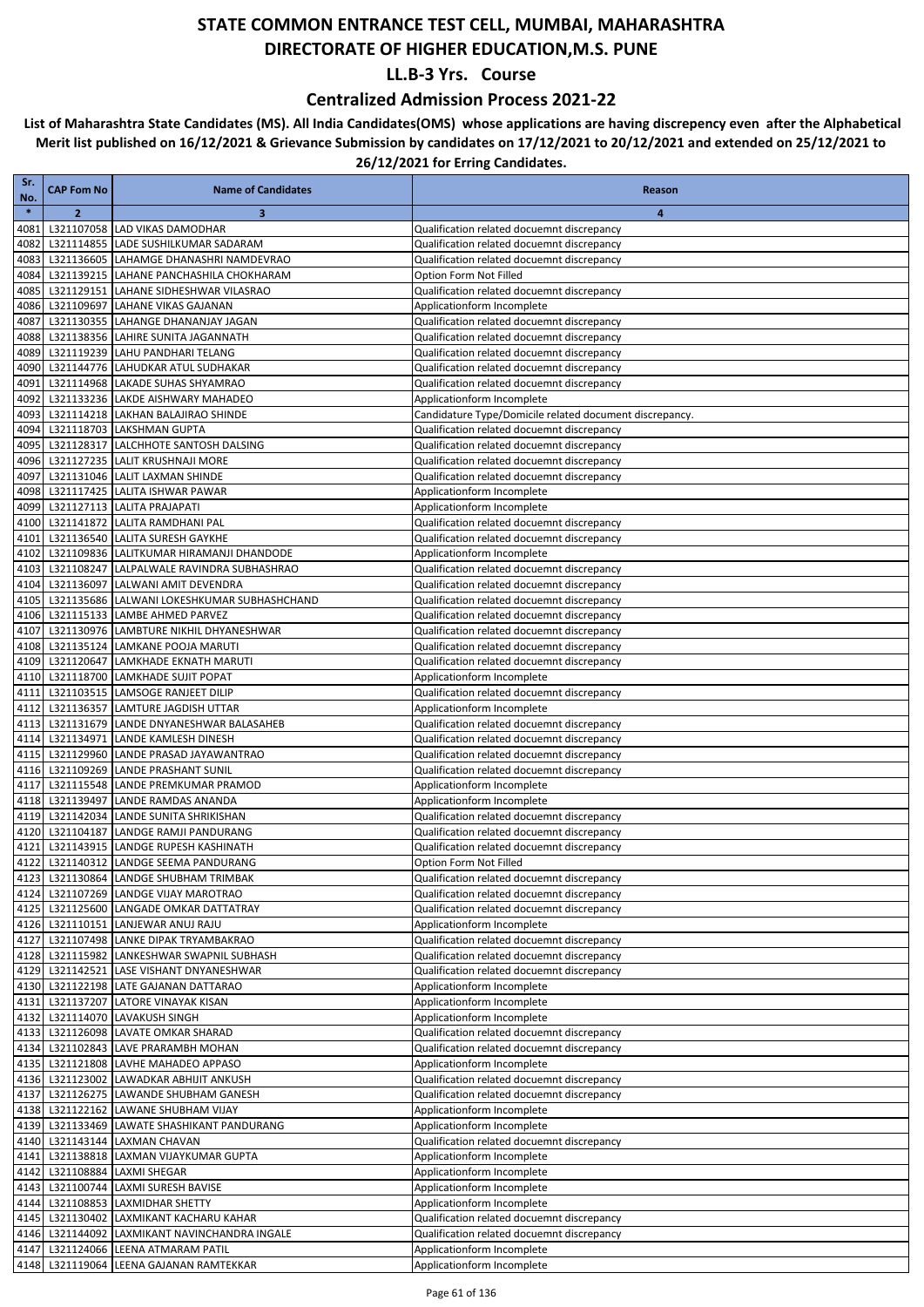### **Centralized Admission Process 2021-22**

| Sr.<br>No.   | <b>CAP Fom No</b> | <b>Name of Candidates</b>                                                         | Reason                                                                                   |
|--------------|-------------------|-----------------------------------------------------------------------------------|------------------------------------------------------------------------------------------|
| $\ast$       | $\overline{2}$    | 3                                                                                 | $\overline{\mathbf{a}}$                                                                  |
| 4081         |                   | L321107058 LAD VIKAS DAMODHAR                                                     | Qualification related docuemnt discrepancy                                               |
| 4082         |                   | L321114855 LADE SUSHILKUMAR SADARAM                                               | Qualification related docuemnt discrepancy                                               |
| 4083         |                   | L321136605 LAHAMGE DHANASHRI NAMDEVRAO                                            | Qualification related docuemnt discrepancy                                               |
| 4084         |                   | L321139215 LAHANE PANCHASHILA CHOKHARAM                                           | Option Form Not Filled                                                                   |
| 4085<br>4086 |                   | L321129151 LAHANE SIDHESHWAR VILASRAO<br>L321109697 LAHANE VIKAS GAJANAN          | Qualification related docuemnt discrepancy<br>Applicationform Incomplete                 |
| 4087         |                   | L321130355 LAHANGE DHANANJAY JAGAN                                                | Qualification related docuemnt discrepancy                                               |
| 4088         |                   | L321138356 LAHIRE SUNITA JAGANNATH                                                | Qualification related docuemnt discrepancy                                               |
| 4089         |                   | L321119239 LAHU PANDHARI TELANG                                                   | Qualification related docuemnt discrepancy                                               |
| 4090         |                   | L321144776 LAHUDKAR ATUL SUDHAKAR                                                 | Qualification related docuemnt discrepancy                                               |
| 4091         |                   | L321114968 LAKADE SUHAS SHYAMRAO                                                  | Qualification related docuemnt discrepancy                                               |
| 4092         |                   | L321133236 LAKDE AISHWARY MAHADEO                                                 | Applicationform Incomplete                                                               |
| 4093         |                   | L321114218 LAKHAN BALAJIRAO SHINDE                                                | Candidature Type/Domicile related document discrepancy.                                  |
| 4094         |                   | L321118703 LAKSHMAN GUPTA                                                         | Qualification related docuemnt discrepancy                                               |
| 4095<br>4096 |                   | L321128317 LALCHHOTE SANTOSH DALSING<br>L321127235 LALIT KRUSHNAJI MORE           | Qualification related docuemnt discrepancy<br>Qualification related docuemnt discrepancy |
| 4097         |                   | L321131046 LALIT LAXMAN SHINDE                                                    | Qualification related docuemnt discrepancy                                               |
| 4098         |                   | L321117425 LALITA ISHWAR PAWAR                                                    | Applicationform Incomplete                                                               |
| 4099         |                   | L321127113 LALITA PRAJAPATI                                                       | Applicationform Incomplete                                                               |
| 4100         |                   | L321141872 LALITA RAMDHANI PAL                                                    | Qualification related docuemnt discrepancy                                               |
| 4101         |                   | L321136540 LALITA SURESH GAYKHE                                                   | Qualification related docuemnt discrepancy                                               |
| 4102         |                   | L321109836 LALITKUMAR HIRAMANJI DHANDODE                                          | Applicationform Incomplete                                                               |
| 4103         |                   | L321108247 LALPALWALE RAVINDRA SUBHASHRAO                                         | Qualification related docuemnt discrepancy                                               |
| 4104         |                   | L321136097 LALWANI AMIT DEVENDRA                                                  | Qualification related docuemnt discrepancy                                               |
| 4106         |                   | 4105 L321135686 LALWANI LOKESHKUMAR SUBHASHCHAND<br>L321115133 LAMBE AHMED PARVEZ | Qualification related docuemnt discrepancy<br>Qualification related docuemnt discrepancy |
| 4107         |                   | L321130976 LAMBTURE NIKHIL DHYANESHWAR                                            | Qualification related docuemnt discrepancy                                               |
|              |                   | 4108 L321135124 LAMKANE POOJA MARUTI                                              | Qualification related docuemnt discrepancy                                               |
|              |                   | 4109 L321120647 LAMKHADE EKNATH MARUTI                                            | Qualification related docuemnt discrepancy                                               |
|              |                   | 4110 L321118700 LAMKHADE SUJIT POPAT                                              | Applicationform Incomplete                                                               |
| 4111         |                   | L321103515 LAMSOGE RANJEET DILIP                                                  | Qualification related docuemnt discrepancy                                               |
| 4112         |                   | L321136357 LAMTURE JAGDISH UTTAR                                                  | Applicationform Incomplete                                                               |
|              |                   | 4113 L321131679 LANDE DNYANESHWAR BALASAHEB                                       | Qualification related docuemnt discrepancy                                               |
| 4114<br>4115 |                   | L321134971 LANDE KAMLESH DINESH<br>L321129960 LANDE PRASAD JAYAWANTRAO            | Qualification related docuemnt discrepancy<br>Qualification related docuemnt discrepancy |
|              |                   | 4116 L321109269 LANDE PRASHANT SUNIL                                              | Qualification related docuemnt discrepancy                                               |
|              |                   | 4117 L321115548 LANDE PREMKUMAR PRAMOD                                            | Applicationform Incomplete                                                               |
|              |                   | 4118 L321139497 LANDE RAMDAS ANANDA                                               | Applicationform Incomplete                                                               |
|              |                   | 4119 L321142034 LANDE SUNITA SHRIKISHAN                                           | Qualification related docuemnt discrepancy                                               |
|              |                   | 4120 L321104187 LANDGE RAMJI PANDURANG                                            | Qualification related docuemnt discrepancy                                               |
| 4121         |                   | L321143915 LANDGE RUPESH KASHINATH                                                | Qualification related docuemnt discrepancy                                               |
| 4122         |                   | L321140312 LANDGE SEEMA PANDURANG                                                 | Option Form Not Filled                                                                   |
|              |                   | 4123 L321130864 LANDGE SHUBHAM TRIMBAK<br>4124 L321107269 LANDGE VIJAY MAROTRAO   | Qualification related docuemnt discrepancy<br>Qualification related docuemnt discrepancy |
|              |                   | 4125 L321125600 LANGADE OMKAR DATTATRAY                                           | Qualification related docuemnt discrepancy                                               |
|              |                   | 4126 L321110151 LANJEWAR ANUJ RAJU                                                | Applicationform Incomplete                                                               |
|              |                   | 4127 L321107498 LANKE DIPAK TRYAMBAKRAO                                           | Qualification related docuemnt discrepancy                                               |
|              |                   | 4128 L321115982 LANKESHWAR SWAPNIL SUBHASH                                        | Qualification related docuemnt discrepancy                                               |
|              |                   | 4129 L321142521 LASE VISHANT DNYANESHWAR                                          | Qualification related docuemnt discrepancy                                               |
|              |                   | 4130 L321122198 LATE GAJANAN DATTARAO                                             | Applicationform Incomplete                                                               |
|              |                   | 4131 L321137207 LATORE VINAYAK KISAN                                              | Applicationform Incomplete                                                               |
|              |                   | 4132 L321114070 LAVAKUSH SINGH<br>4133 L321126098 LAVATE OMKAR SHARAD             | Applicationform Incomplete<br>Qualification related docuemnt discrepancy                 |
|              |                   | 4134 L321102843 LAVE PRARAMBH MOHAN                                               | Qualification related docuemnt discrepancy                                               |
|              |                   | 4135 L321121808 LAVHE MAHADEO APPASO                                              | Applicationform Incomplete                                                               |
|              |                   | 4136 L321123002 LAWADKAR ABHIJIT ANKUSH                                           | Qualification related docuemnt discrepancy                                               |
|              |                   | 4137 L321126275 LAWANDE SHUBHAM GANESH                                            | Qualification related docuemnt discrepancy                                               |
|              |                   | 4138 L321122162 LAWANE SHUBHAM VIJAY                                              | Applicationform Incomplete                                                               |
|              |                   | 4139 L321133469 LAWATE SHASHIKANT PANDURANG                                       | Applicationform Incomplete                                                               |
|              |                   | 4140 L321143144 LAXMAN CHAVAN                                                     | Qualification related docuemnt discrepancy                                               |
|              |                   | 4141 L321138818 LAXMAN VIJAYKUMAR GUPTA                                           | Applicationform Incomplete                                                               |
|              |                   | 4142 L321108884 LAXMI SHEGAR<br>4143 L321100744 LAXMI SURESH BAVISE               | Applicationform Incomplete<br>Applicationform Incomplete                                 |
|              |                   | 4144 L321108853 LAXMIDHAR SHETTY                                                  | Applicationform Incomplete                                                               |
|              |                   | 4145 L321130402 LAXMIKANT KACHARU KAHAR                                           | Qualification related docuemnt discrepancy                                               |
|              |                   | 4146 L321144092 LAXMIKANT NAVINCHANDRA INGALE                                     | Qualification related docuemnt discrepancy                                               |
|              |                   | 4147 L321124066 LEENA ATMARAM PATIL                                               | Applicationform Incomplete                                                               |
|              |                   | 4148 L321119064 LEENA GAJANAN RAMTEKKAR                                           | Applicationform Incomplete                                                               |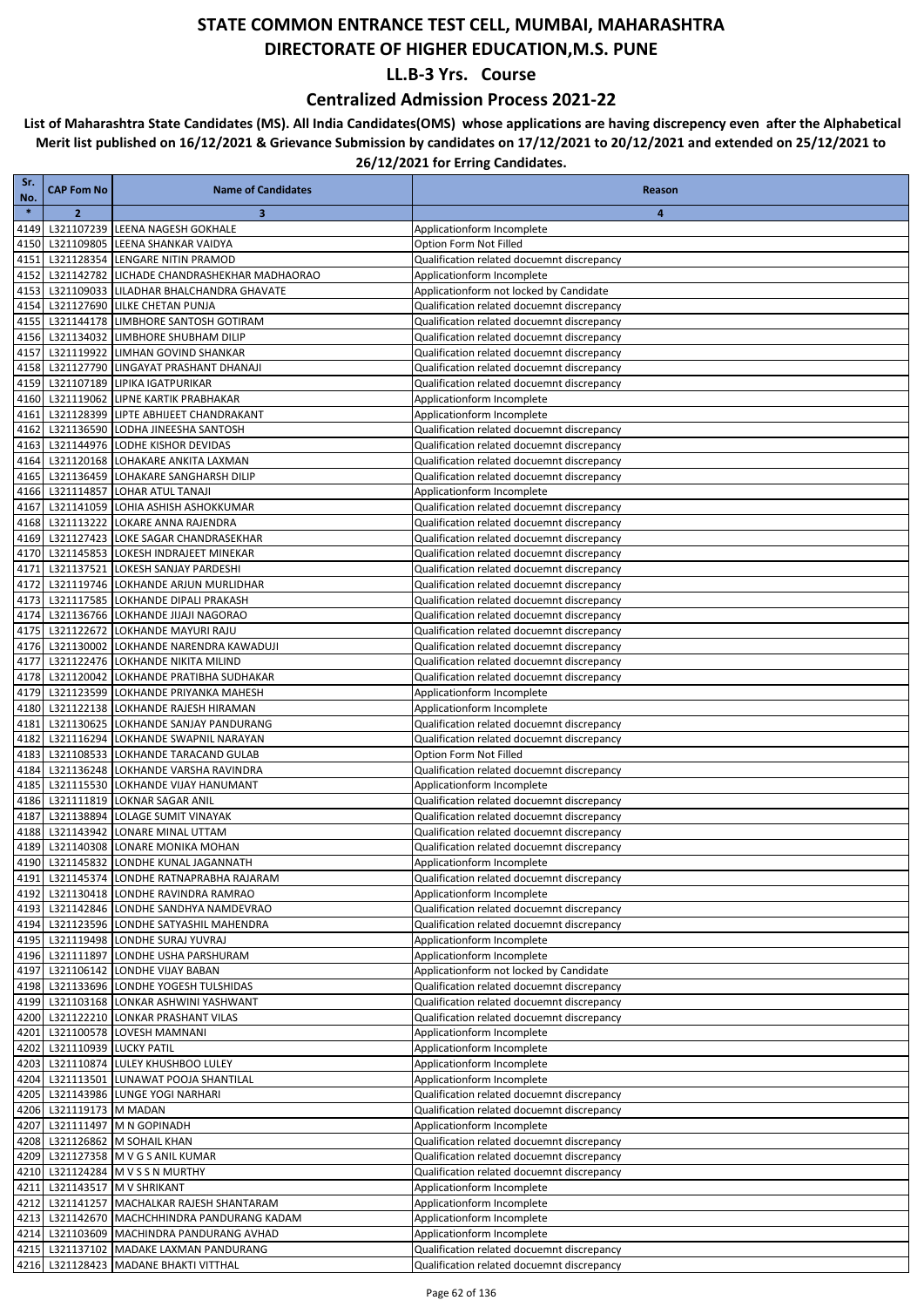### **Centralized Admission Process 2021-22**

| Sr.<br>No.   | <b>CAP Fom No</b>           | <b>Name of Candidates</b>                                                          | Reason                                                                                   |
|--------------|-----------------------------|------------------------------------------------------------------------------------|------------------------------------------------------------------------------------------|
| $\ast$       | $\overline{2}$              | 3                                                                                  | $\overline{\mathbf{a}}$                                                                  |
| 4149         |                             | L321107239 LEENA NAGESH GOKHALE                                                    | Applicationform Incomplete                                                               |
| 4150         |                             | L321109805 LEENA SHANKAR VAIDYA                                                    | Option Form Not Filled                                                                   |
| 4151         |                             | L321128354 LENGARE NITIN PRAMOD                                                    | Qualification related docuemnt discrepancy                                               |
| 4152         |                             | L321142782 LICHADE CHANDRASHEKHAR MADHAORAO                                        | Applicationform Incomplete                                                               |
| 4153         |                             | L321109033 LILADHAR BHALCHANDRA GHAVATE                                            | Applicationform not locked by Candidate                                                  |
| 4154         |                             | L321127690 LILKE CHETAN PUNJA                                                      | Qualification related docuemnt discrepancy                                               |
| 4155<br>4156 |                             | L321144178 LIMBHORE SANTOSH GOTIRAM<br>L321134032 LIMBHORE SHUBHAM DILIP           | Qualification related docuemnt discrepancy<br>Qualification related docuemnt discrepancy |
| 4157         |                             | L321119922 LIMHAN GOVIND SHANKAR                                                   | Qualification related docuemnt discrepancy                                               |
| 4158         |                             | L321127790 LINGAYAT PRASHANT DHANAJI                                               | Qualification related docuemnt discrepancy                                               |
| 4159         |                             | L321107189 LIPIKA IGATPURIKAR                                                      | Qualification related docuemnt discrepancy                                               |
| 4160         |                             | L321119062 LIPNE KARTIK PRABHAKAR                                                  | Applicationform Incomplete                                                               |
| 4161         |                             | L321128399 LIPTE ABHIJEET CHANDRAKANT                                              | Applicationform Incomplete                                                               |
| 4162         |                             | L321136590 LODHA JINEESHA SANTOSH                                                  | Qualification related docuemnt discrepancy                                               |
| 4163         |                             | L321144976 LODHE KISHOR DEVIDAS                                                    | Qualification related docuemnt discrepancy                                               |
| 4164         |                             | L321120168 LOHAKARE ANKITA LAXMAN                                                  | Qualification related docuemnt discrepancy                                               |
| 4165         |                             | L321136459 LOHAKARE SANGHARSH DILIP                                                | Qualification related docuemnt discrepancy                                               |
| 4166         |                             | L321114857 LOHAR ATUL TANAJI                                                       | Applicationform Incomplete                                                               |
| 4167         |                             | L321141059 LOHIA ASHISH ASHOKKUMAR                                                 | Qualification related docuemnt discrepancy                                               |
| 4168<br>4169 |                             | L321113222 LOKARE ANNA RAJENDRA<br>L321127423 LOKE SAGAR CHANDRASEKHAR             | Qualification related docuemnt discrepancy<br>Qualification related docuemnt discrepancy |
| 4170         |                             | L321145853 LOKESH INDRAJEET MINEKAR                                                | Qualification related docuemnt discrepancy                                               |
| 4171         |                             | L321137521 LOKESH SANJAY PARDESHI                                                  | Qualification related docuemnt discrepancy                                               |
| 4172         |                             | L321119746 LOKHANDE ARJUN MURLIDHAR                                                | Qualification related docuemnt discrepancy                                               |
| 4173         |                             | L321117585 LOKHANDE DIPALI PRAKASH                                                 | Qualification related docuemnt discrepancy                                               |
| 4174         |                             | L321136766 LOKHANDE JIJAJI NAGORAO                                                 | Qualification related docuemnt discrepancy                                               |
| 4175         |                             | L321122672 LOKHANDE MAYURI RAJU                                                    | Qualification related docuemnt discrepancy                                               |
| 4176         |                             | L321130002 LOKHANDE NARENDRA KAWADUJI                                              | Qualification related docuemnt discrepancy                                               |
| 4177         |                             | L321122476 LOKHANDE NIKITA MILIND                                                  | Qualification related docuemnt discrepancy                                               |
| 4178         |                             | L321120042 LOKHANDE PRATIBHA SUDHAKAR                                              | Qualification related docuemnt discrepancy                                               |
| 4179         |                             | L321123599 LOKHANDE PRIYANKA MAHESH                                                | Applicationform Incomplete                                                               |
| 4180         |                             | L321122138 LOKHANDE RAJESH HIRAMAN<br>L321130625 LOKHANDE SANJAY PANDURANG         | Applicationform Incomplete<br>Qualification related docuemnt discrepancy                 |
| 4181<br>4182 |                             | L321116294 LOKHANDE SWAPNIL NARAYAN                                                | Qualification related docuemnt discrepancy                                               |
| 4183         |                             | L321108533 LOKHANDE TARACAND GULAB                                                 | Option Form Not Filled                                                                   |
| 4184         |                             | L321136248 LOKHANDE VARSHA RAVINDRA                                                | Qualification related docuemnt discrepancy                                               |
| 4185         |                             | L321115530 LOKHANDE VIJAY HANUMANT                                                 | Applicationform Incomplete                                                               |
| 4186         |                             | L321111819 LOKNAR SAGAR ANIL                                                       | Qualification related docuemnt discrepancy                                               |
| 4187         |                             | L321138894 LOLAGE SUMIT VINAYAK                                                    | Qualification related docuemnt discrepancy                                               |
| 4188         |                             | L321143942 LONARE MINAL UTTAM                                                      | Qualification related docuemnt discrepancy                                               |
| 4189         |                             | L321140308 LONARE MONIKA MOHAN                                                     | Qualification related docuemnt discrepancy                                               |
| 4190         |                             | L321145832 LONDHE KUNAL JAGANNATH                                                  | Applicationform Incomplete                                                               |
|              |                             | 4191 L321145374 LONDHE RATNAPRABHA RAJARAM                                         | Qualification related docuemnt discrepancy                                               |
|              |                             | 4192 L321130418 LONDHE RAVINDRA RAMRAO<br>4193 L321142846 LONDHE SANDHYA NAMDEVRAO | Applicationform Incomplete<br>Qualification related docuemnt discrepancy                 |
|              |                             | 4194 L321123596 LONDHE SATYASHIL MAHENDRA                                          | Qualification related docuemnt discrepancy                                               |
| 4195         |                             | L321119498 LONDHE SURAJ YUVRAJ                                                     | Applicationform Incomplete                                                               |
|              |                             | 4196 L321111897 LONDHE USHA PARSHURAM                                              | Applicationform Incomplete                                                               |
|              |                             | 4197 L321106142 LONDHE VIJAY BABAN                                                 | Applicationform not locked by Candidate                                                  |
|              |                             | 4198 L321133696 LONDHE YOGESH TULSHIDAS                                            | Qualification related docuemnt discrepancy                                               |
|              |                             | 4199 L321103168 LONKAR ASHWINI YASHWANT                                            | Qualification related docuemnt discrepancy                                               |
|              |                             | 4200 L321122210 LONKAR PRASHANT VILAS                                              | Qualification related docuemnt discrepancy                                               |
| 4201         |                             | L321100578 LOVESH MAMNANI                                                          | Applicationform Incomplete                                                               |
|              | 4202 L321110939 LUCKY PATIL |                                                                                    | Applicationform Incomplete                                                               |
|              |                             | 4203 L321110874 LULEY KHUSHBOO LULEY                                               | Applicationform Incomplete                                                               |
|              |                             | 4204 L321113501 LUNAWAT POOJA SHANTILAL                                            | Applicationform Incomplete                                                               |
|              | 4206 L321119173 M MADAN     | 4205 L321143986 LUNGE YOGI NARHARI                                                 | Qualification related docuemnt discrepancy<br>Qualification related docuemnt discrepancy |
|              |                             | 4207 L321111497 M N GOPINADH                                                       | Applicationform Incomplete                                                               |
|              |                             | 4208 L321126862 M SOHAIL KHAN                                                      | Qualification related docuemnt discrepancy                                               |
|              |                             | 4209 L321127358 M V G S ANIL KUMAR                                                 | Qualification related docuemnt discrepancy                                               |
|              |                             | 4210 L321124284 M V S S N MURTHY                                                   | Qualification related docuemnt discrepancy                                               |
| 4211         |                             | L321143517 M V SHRIKANT                                                            | Applicationform Incomplete                                                               |
| 4212         |                             | L321141257 MACHALKAR RAJESH SHANTARAM                                              | Applicationform Incomplete                                                               |
|              |                             | 4213 L321142670 MACHCHHINDRA PANDURANG KADAM                                       | Applicationform Incomplete                                                               |
|              |                             | 4214 L321103609 MACHINDRA PANDURANG AVHAD                                          | Applicationform Incomplete                                                               |
|              |                             | 4215 L321137102 MADAKE LAXMAN PANDURANG                                            | Qualification related docuemnt discrepancy                                               |
|              |                             | 4216 L321128423 MADANE BHAKTI VITTHAL                                              | Qualification related docuemnt discrepancy                                               |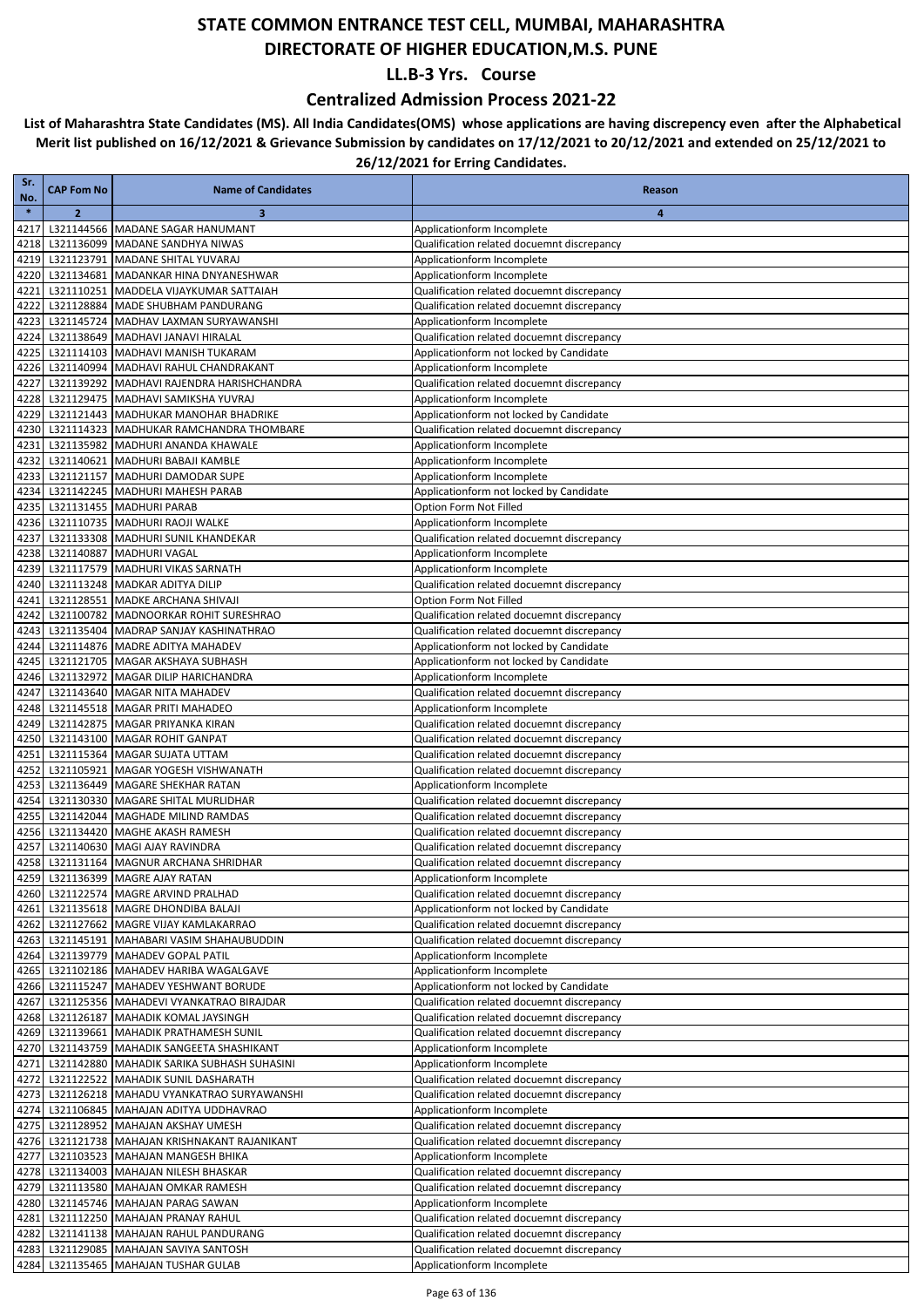### **Centralized Admission Process 2021-22**

| Sr.<br>No.   | <b>CAP Fom No</b> | <b>Name of Candidates</b>                                                               | Reason                                                                                   |
|--------------|-------------------|-----------------------------------------------------------------------------------------|------------------------------------------------------------------------------------------|
| $\ast$       | $\overline{2}$    | 3                                                                                       | 4                                                                                        |
| 4217         |                   | L321144566 MADANE SAGAR HANUMANT                                                        | Applicationform Incomplete                                                               |
| 4218         |                   | L321136099 MADANE SANDHYA NIWAS                                                         | Qualification related docuemnt discrepancy                                               |
| 4219         |                   | L321123791 MADANE SHITAL YUVARAJ                                                        | Applicationform Incomplete                                                               |
| 4220<br>4221 |                   | L321134681 MADANKAR HINA DNYANESHWAR<br>L321110251 MADDELA VIJAYKUMAR SATTAIAH          | Applicationform Incomplete<br>Qualification related docuemnt discrepancy                 |
| 4222         |                   | L321128884 MADE SHUBHAM PANDURANG                                                       | Qualification related docuemnt discrepancy                                               |
| 4223         |                   | L321145724 MADHAV LAXMAN SURYAWANSHI                                                    | Applicationform Incomplete                                                               |
| 4224         |                   | L321138649 MADHAVI JANAVI HIRALAL                                                       | Qualification related docuemnt discrepancy                                               |
| 4225         |                   | L321114103 MADHAVI MANISH TUKARAM                                                       | Applicationform not locked by Candidate                                                  |
| 4226         |                   | L321140994 MADHAVI RAHUL CHANDRAKANT                                                    | Applicationform Incomplete                                                               |
| 4227         |                   | L321139292 MADHAVI RAJENDRA HARISHCHANDRA                                               | Qualification related docuemnt discrepancy                                               |
| 4228<br>4229 |                   | L321129475 MADHAVI SAMIKSHA YUVRAJ<br>L321121443 MADHUKAR MANOHAR BHADRIKE              | Applicationform Incomplete<br>Applicationform not locked by Candidate                    |
| 4230         |                   | L321114323 MADHUKAR RAMCHANDRA THOMBARE                                                 | Qualification related docuemnt discrepancy                                               |
| 4231         |                   | L321135982 MADHURI ANANDA KHAWALE                                                       | Applicationform Incomplete                                                               |
| 4232         |                   | L321140621 MADHURI BABAJI KAMBLE                                                        | Applicationform Incomplete                                                               |
| 4233         |                   | L321121157 MADHURI DAMODAR SUPE                                                         | Applicationform Incomplete                                                               |
| 4234         |                   | L321142245 MADHURI MAHESH PARAB                                                         | Applicationform not locked by Candidate                                                  |
| 4235         |                   | L321131455 MADHURI PARAB                                                                | Option Form Not Filled                                                                   |
| 4236<br>4237 |                   | L321110735 MADHURI RAOJI WALKE<br>L321133308 MADHURI SUNIL KHANDEKAR                    | Applicationform Incomplete<br>Qualification related docuemnt discrepancy                 |
| 4238         |                   | L321140887 MADHURI VAGAL                                                                | Applicationform Incomplete                                                               |
| 4239         |                   | L321117579 MADHURI VIKAS SARNATH                                                        | Applicationform Incomplete                                                               |
| 4240         |                   | L321113248 MADKAR ADITYA DILIP                                                          | Qualification related docuemnt discrepancy                                               |
| 4241         |                   | L321128551 MADKE ARCHANA SHIVAJI                                                        | Option Form Not Filled                                                                   |
| 4242         |                   | L321100782 MADNOORKAR ROHIT SURESHRAO                                                   | Qualification related docuemnt discrepancy                                               |
| 4243         |                   | L321135404 MADRAP SANJAY KASHINATHRAO                                                   | Qualification related docuemnt discrepancy                                               |
| 4244         |                   | L321114876 MADRE ADITYA MAHADEV                                                         | Applicationform not locked by Candidate                                                  |
| 4245<br>4246 |                   | L321121705 MAGAR AKSHAYA SUBHASH<br>L321132972 MAGAR DILIP HARICHANDRA                  | Applicationform not locked by Candidate<br>Applicationform Incomplete                    |
| 4247         |                   | L321143640 MAGAR NITA MAHADEV                                                           | Qualification related docuemnt discrepancy                                               |
| 4248         |                   | L321145518 MAGAR PRITI MAHADEO                                                          | Applicationform Incomplete                                                               |
| 4249         |                   | L321142875 MAGAR PRIYANKA KIRAN                                                         | Qualification related docuemnt discrepancy                                               |
| 4250         |                   | L321143100 MAGAR ROHIT GANPAT                                                           | Qualification related docuemnt discrepancy                                               |
| 4251         |                   | L321115364 MAGAR SUJATA UTTAM                                                           | Qualification related docuemnt discrepancy                                               |
| 4252         |                   | L321105921 MAGAR YOGESH VISHWANATH                                                      | Qualification related docuemnt discrepancy                                               |
| 4253<br>4254 |                   | L321136449 MAGARE SHEKHAR RATAN<br>L321130330 MAGARE SHITAL MURLIDHAR                   | Applicationform Incomplete<br>Qualification related docuemnt discrepancy                 |
| 4255         |                   | L321142044   MAGHADE MILIND RAMDAS                                                      | Qualification related docuemnt discrepancy                                               |
| 4256         |                   | L321134420 MAGHE AKASH RAMESH                                                           | Qualification related docuemnt discrepancy                                               |
| 4257         |                   | L321140630 MAGI AJAY RAVINDRA                                                           | Qualification related docuemnt discrepancy                                               |
| 4258         |                   | L321131164 MAGNUR ARCHANA SHRIDHAR                                                      | Qualification related docuemnt discrepancy                                               |
|              |                   | 4259 L321136399 MAGRE AJAY RATAN                                                        | Applicationform Incomplete                                                               |
|              |                   | 4260 L321122574 MAGRE ARVIND PRALHAD                                                    | Qualification related docuemnt discrepancy                                               |
|              |                   | 4261 L321135618 MAGRE DHONDIBA BALAJI<br>4262 L321127662 MAGRE VIJAY KAMLAKARRAO        | Applicationform not locked by Candidate<br>Qualification related docuemnt discrepancy    |
|              |                   | 4263 L321145191 MAHABARI VASIM SHAHAUBUDDIN                                             | Qualification related docuemnt discrepancy                                               |
| 4264         |                   | L321139779 MAHADEV GOPAL PATIL                                                          | Applicationform Incomplete                                                               |
|              |                   | 4265 L321102186 MAHADEV HARIBA WAGALGAVE                                                | Applicationform Incomplete                                                               |
|              |                   | 4266 L321115247 MAHADEV YESHWANT BORUDE                                                 | Applicationform not locked by Candidate                                                  |
| 4267         |                   | L321125356 MAHADEVI VYANKATRAO BIRAJDAR                                                 | Qualification related docuemnt discrepancy                                               |
|              |                   | 4268 L321126187 MAHADIK KOMAL JAYSINGH                                                  | Qualification related docuemnt discrepancy                                               |
|              |                   | 4269 L321139661 MAHADIK PRATHAMESH SUNIL<br>4270 L321143759 MAHADIK SANGEETA SHASHIKANT | Qualification related docuemnt discrepancy<br>Applicationform Incomplete                 |
| 4271         |                   | L321142880 MAHADIK SARIKA SUBHASH SUHASINI                                              | Applicationform Incomplete                                                               |
|              |                   | 4272 L321122522 MAHADIK SUNIL DASHARATH                                                 | Qualification related docuemnt discrepancy                                               |
|              |                   | 4273 L321126218 MAHADU VYANKATRAO SURYAWANSHI                                           | Qualification related docuemnt discrepancy                                               |
|              |                   | 4274 L321106845 MAHAJAN ADITYA UDDHAVRAO                                                | Applicationform Incomplete                                                               |
|              |                   | 4275 L321128952 MAHAJAN AKSHAY UMESH                                                    | Qualification related docuemnt discrepancy                                               |
| 4276         |                   | L321121738 MAHAJAN KRISHNAKANT RAJANIKANT                                               | Qualification related docuemnt discrepancy                                               |
|              |                   | 4277 L321103523 MAHAJAN MANGESH BHIKA                                                   | Applicationform Incomplete                                                               |
|              |                   | 4278 L321134003 MAHAJAN NILESH BHASKAR<br>4279 L321113580 MAHAJAN OMKAR RAMESH          | Qualification related docuemnt discrepancy<br>Qualification related docuemnt discrepancy |
|              |                   | 4280 L321145746 MAHAJAN PARAG SAWAN                                                     | Applicationform Incomplete                                                               |
|              |                   | 4281 L321112250 MAHAJAN PRANAY RAHUL                                                    | Qualification related docuemnt discrepancy                                               |
|              |                   | 4282 L321141138 MAHAJAN RAHUL PANDURANG                                                 | Qualification related docuemnt discrepancy                                               |
|              |                   | 4283 L321129085 MAHAJAN SAVIYA SANTOSH                                                  | Qualification related docuemnt discrepancy                                               |
|              |                   | 4284 L321135465 MAHAJAN TUSHAR GULAB                                                    | Applicationform Incomplete                                                               |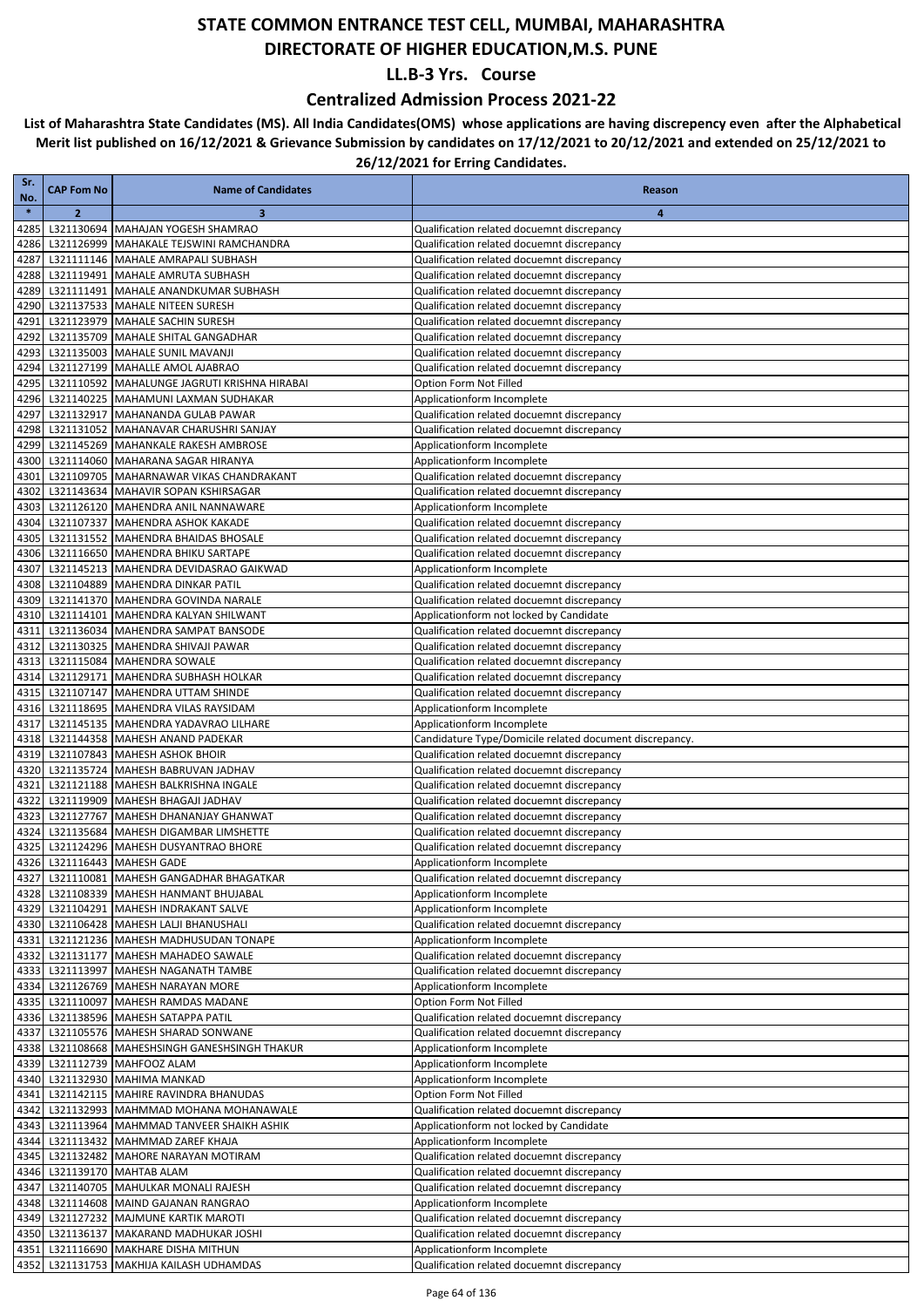### **Centralized Admission Process 2021-22**

| Sr.<br>No.   | <b>CAP Fom No</b> | <b>Name of Candidates</b>                                                       | Reason                                                                                   |
|--------------|-------------------|---------------------------------------------------------------------------------|------------------------------------------------------------------------------------------|
| $\ast$       | $\overline{2}$    | 3                                                                               | 4                                                                                        |
| 4285         |                   | L321130694 MAHAJAN YOGESH SHAMRAO                                               | Qualification related docuemnt discrepancy                                               |
| 4286         |                   | L321126999 MAHAKALE TEJSWINI RAMCHANDRA                                         | Qualification related docuemnt discrepancy                                               |
| 4287         |                   | L321111146 MAHALE AMRAPALI SUBHASH                                              | Qualification related docuemnt discrepancy                                               |
| 4288         |                   | L321119491 MAHALE AMRUTA SUBHASH<br>L321111491 MAHALE ANANDKUMAR SUBHASH        | Qualification related docuemnt discrepancy                                               |
| 4289<br>4290 |                   | L321137533 MAHALE NITEEN SURESH                                                 | Qualification related docuemnt discrepancy<br>Qualification related docuemnt discrepancy |
| 4291         |                   | L321123979   MAHALE SACHIN SURESH                                               | Qualification related docuemnt discrepancy                                               |
| 4292         |                   | L321135709 MAHALE SHITAL GANGADHAR                                              | Qualification related docuemnt discrepancy                                               |
| 4293         |                   | L321135003 MAHALE SUNIL MAVANJI                                                 | Qualification related docuemnt discrepancy                                               |
| 4294         |                   | L321127199 MAHALLE AMOL AJABRAO                                                 | Qualification related docuemnt discrepancy                                               |
| 4295         |                   | L321110592 MAHALUNGE JAGRUTI KRISHNA HIRABAI                                    | Option Form Not Filled                                                                   |
| 4296         |                   | L321140225 MAHAMUNI LAXMAN SUDHAKAR                                             | Applicationform Incomplete                                                               |
| 4297<br>4298 |                   | L321132917 MAHANANDA GULAB PAWAR<br>L321131052 MAHANAVAR CHARUSHRI SANJAY       | Qualification related docuemnt discrepancy<br>Qualification related docuemnt discrepancy |
| 4299         |                   | L321145269 MAHANKALE RAKESH AMBROSE                                             | Applicationform Incomplete                                                               |
| 4300         |                   | L321114060 MAHARANA SAGAR HIRANYA                                               | Applicationform Incomplete                                                               |
| 4301         |                   | L321109705 MAHARNAWAR VIKAS CHANDRAKANT                                         | Qualification related docuemnt discrepancy                                               |
| 4302         |                   | L321143634 MAHAVIR SOPAN KSHIRSAGAR                                             | Qualification related docuemnt discrepancy                                               |
| 4303         |                   | L321126120 MAHENDRA ANIL NANNAWARE                                              | Applicationform Incomplete                                                               |
| 4304         |                   | L321107337 MAHENDRA ASHOK KAKADE                                                | Qualification related docuemnt discrepancy                                               |
| 4305<br>4306 |                   | L321131552 MAHENDRA BHAIDAS BHOSALE<br>L321116650 MAHENDRA BHIKU SARTAPE        | Qualification related docuemnt discrepancy<br>Qualification related docuemnt discrepancy |
| 4307         |                   | L321145213 MAHENDRA DEVIDASRAO GAIKWAD                                          | Applicationform Incomplete                                                               |
| 4308         |                   | L321104889 MAHENDRA DINKAR PATIL                                                | Qualification related docuemnt discrepancy                                               |
| 4309         |                   | L321141370 MAHENDRA GOVINDA NARALE                                              | Qualification related docuemnt discrepancy                                               |
| 4310         |                   | L321114101 MAHENDRA KALYAN SHILWANT                                             | Applicationform not locked by Candidate                                                  |
| 4311         |                   | L321136034 MAHENDRA SAMPAT BANSODE                                              | Qualification related docuemnt discrepancy                                               |
| 4312         |                   | L321130325 MAHENDRA SHIVAJI PAWAR                                               | Qualification related docuemnt discrepancy                                               |
| 4313         |                   | L321115084 MAHENDRA SOWALE                                                      | Qualification related docuemnt discrepancy                                               |
| 4314<br>4315 |                   | L321129171   MAHENDRA SUBHASH HOLKAR<br>L321107147 MAHENDRA UTTAM SHINDE        | Qualification related docuemnt discrepancy<br>Qualification related docuemnt discrepancy |
| 4316         |                   | L321118695 MAHENDRA VILAS RAYSIDAM                                              | Applicationform Incomplete                                                               |
| 4317         |                   | L321145135 MAHENDRA YADAVRAO LILHARE                                            | Applicationform Incomplete                                                               |
| 4318         |                   | L321144358 MAHESH ANAND PADEKAR                                                 | Candidature Type/Domicile related document discrepancy.                                  |
| 4319         |                   | L321107843 MAHESH ASHOK BHOIR                                                   | Qualification related docuemnt discrepancy                                               |
| 4320         |                   | L321135724 MAHESH BABRUVAN JADHAV                                               | Qualification related docuemnt discrepancy                                               |
| 4321         |                   | L321121188 MAHESH BALKRISHNA INGALE                                             | Qualification related docuemnt discrepancy                                               |
| 4322<br>4323 |                   | L321119909 MAHESH BHAGAJI JADHAV<br>L321127767 MAHESH DHANANJAY GHANWAT         | Qualification related docuemnt discrepancy<br>Qualification related docuemnt discrepancy |
| 4324         |                   | L321135684 MAHESH DIGAMBAR LIMSHETTE                                            | Qualification related docuemnt discrepancy                                               |
| 4325         |                   | L321124296 MAHESH DUSYANTRAO BHORE                                              | Qualification related docuemnt discrepancy                                               |
| 4326         |                   | L321116443 MAHESH GADE                                                          | Applicationform Incomplete                                                               |
|              |                   | 4327 L321110081 MAHESH GANGADHAR BHAGATKAR                                      | Qualification related docuemnt discrepancy                                               |
| 4328         |                   | L321108339 MAHESH HANMANT BHUJABAL                                              | Applicationform Incomplete                                                               |
|              |                   | 4329 L321104291 MAHESH INDRAKANT SALVE                                          | Applicationform Incomplete                                                               |
| 4331         |                   | 4330 L321106428 MAHESH LALJI BHANUSHALI<br>L321121236 MAHESH MADHUSUDAN TONAPE  | Qualification related docuemnt discrepancy<br>Applicationform Incomplete                 |
| 4332         |                   | L321131177 MAHESH MAHADEO SAWALE                                                | Qualification related docuemnt discrepancy                                               |
|              |                   | 4333 L321113997   MAHESH NAGANATH TAMBE                                         | Qualification related docuemnt discrepancy                                               |
| 4334         |                   | L321126769 MAHESH NARAYAN MORE                                                  | Applicationform Incomplete                                                               |
|              |                   | 4335 L321110097 MAHESH RAMDAS MADANE                                            | Option Form Not Filled                                                                   |
|              |                   | 4336 L321138596 MAHESH SATAPPA PATIL                                            | Qualification related docuemnt discrepancy                                               |
| 4337         |                   | L321105576 MAHESH SHARAD SONWANE                                                | Qualification related docuemnt discrepancy                                               |
|              |                   | 4338 L321108668 MAHESHSINGH GANESHSINGH THAKUR<br>4339 L321112739 MAHFOOZ ALAM  | Applicationform Incomplete                                                               |
|              |                   | 4340 L321132930 MAHIMA MANKAD                                                   | Applicationform Incomplete<br>Applicationform Incomplete                                 |
| 4341         |                   | L321142115 MAHIRE RAVINDRA BHANUDAS                                             | Option Form Not Filled                                                                   |
|              |                   | 4342 L321132993 MAHMMAD MOHANA MOHANAWALE                                       | Qualification related docuemnt discrepancy                                               |
|              |                   | 4343 L321113964 MAHMMAD TANVEER SHAIKH ASHIK                                    | Applicationform not locked by Candidate                                                  |
|              |                   | 4344 L321113432 MAHMMAD ZAREF KHAJA                                             | Applicationform Incomplete                                                               |
|              |                   | 4345 L321132482 MAHORE NARAYAN MOTIRAM                                          | Qualification related docuemnt discrepancy                                               |
|              |                   | 4346 L321139170 MAHTAB ALAM                                                     | Qualification related docuemnt discrepancy<br>Qualification related docuemnt discrepancy |
|              |                   | 4347 L321140705 MAHULKAR MONALI RAJESH<br>4348 L321114608 MAIND GAJANAN RANGRAO | Applicationform Incomplete                                                               |
|              |                   | 4349 L321127232 MAJMUNE KARTIK MAROTI                                           | Qualification related docuemnt discrepancy                                               |
|              |                   | 4350 L321136137   MAKARAND MADHUKAR JOSHI                                       | Qualification related docuemnt discrepancy                                               |
|              |                   | 4351 L321116690 MAKHARE DISHA MITHUN                                            | Applicationform Incomplete                                                               |
|              |                   | 4352 L321131753 MAKHIJA KAILASH UDHAMDAS                                        | Qualification related docuemnt discrepancy                                               |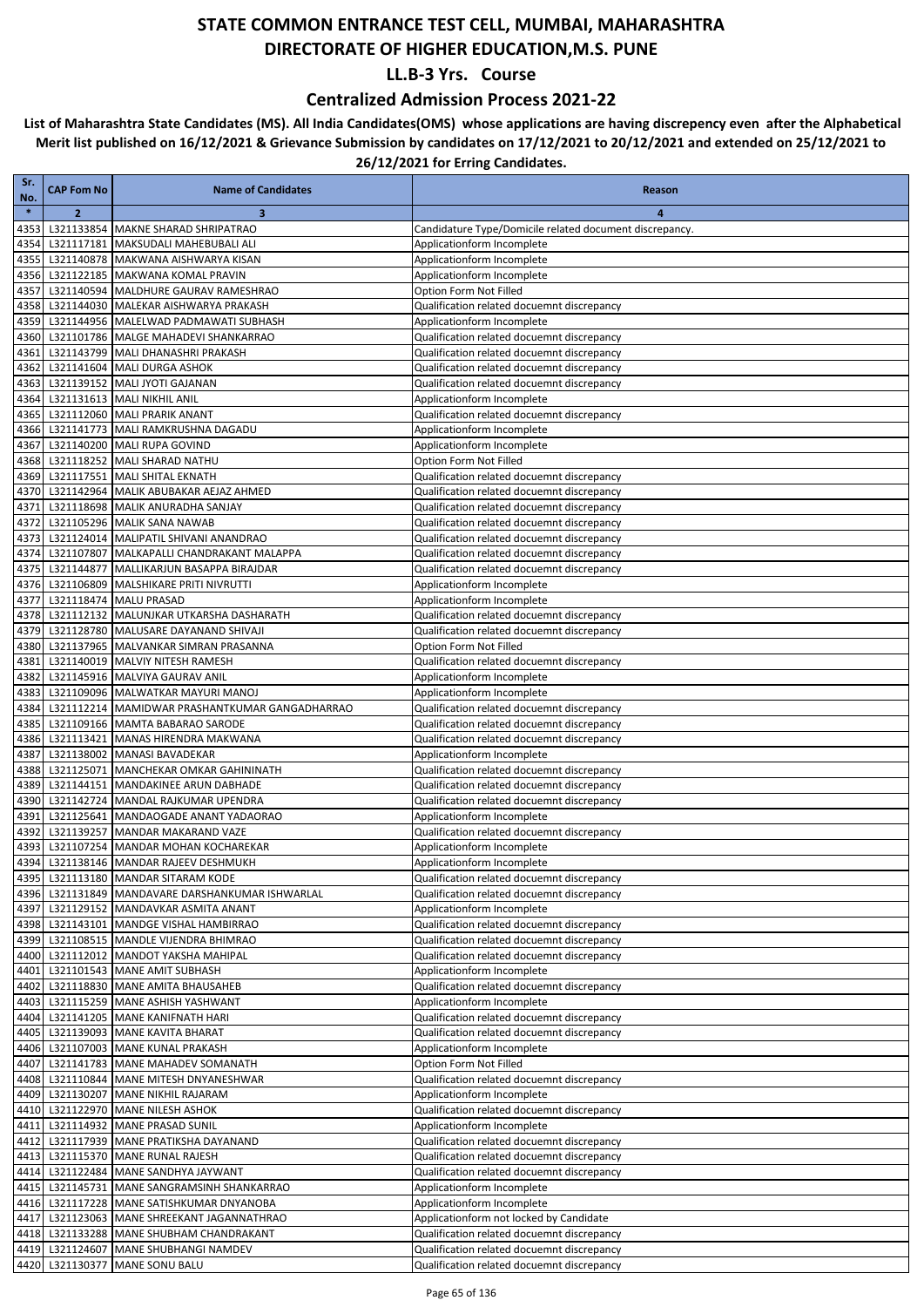### **Centralized Admission Process 2021-22**

| Sr.<br>No.   | <b>CAP Fom No</b> | <b>Name of Candidates</b>                                                          | Reason                                                                                   |
|--------------|-------------------|------------------------------------------------------------------------------------|------------------------------------------------------------------------------------------|
| $\ast$       | $\overline{2}$    | 3                                                                                  | 4                                                                                        |
| 4353         |                   | L321133854 MAKNE SHARAD SHRIPATRAO                                                 | Candidature Type/Domicile related document discrepancy.                                  |
| 4354         |                   | L321117181 MAKSUDALI MAHEBUBALI ALI                                                | Applicationform Incomplete                                                               |
| 4355         |                   | L321140878 MAKWANA AISHWARYA KISAN                                                 | Applicationform Incomplete                                                               |
| 4356         |                   | L321122185   MAKWANA KOMAL PRAVIN                                                  | Applicationform Incomplete                                                               |
| 4357         |                   | L321140594 MALDHURE GAURAV RAMESHRAO                                               | Option Form Not Filled                                                                   |
| 4358         |                   | L321144030 MALEKAR AISHWARYA PRAKASH<br>L321144956 MALELWAD PADMAWATI SUBHASH      | Qualification related docuemnt discrepancy<br>Applicationform Incomplete                 |
| 4359<br>4360 |                   | L321101786 MALGE MAHADEVI SHANKARRAO                                               | Qualification related docuemnt discrepancy                                               |
| 4361         |                   | L321143799 MALI DHANASHRI PRAKASH                                                  | Qualification related docuemnt discrepancy                                               |
| 4362         |                   | L321141604 MALI DURGA ASHOK                                                        | Qualification related docuemnt discrepancy                                               |
| 4363         |                   | L321139152 MALI JYOTI GAJANAN                                                      | Qualification related docuemnt discrepancy                                               |
| 4364         |                   | L321131613 MALI NIKHIL ANIL                                                        | Applicationform Incomplete                                                               |
| 4365         |                   | L321112060 MALI PRARIK ANANT                                                       | Qualification related docuemnt discrepancy                                               |
| 4366         |                   | L321141773 MALI RAMKRUSHNA DAGADU                                                  | Applicationform Incomplete                                                               |
| 4367         |                   | L321140200 MALI RUPA GOVIND                                                        | Applicationform Incomplete                                                               |
| 4368         |                   | L321118252 MALI SHARAD NATHU                                                       | Option Form Not Filled                                                                   |
| 4369         |                   | L321117551 MALI SHITAL EKNATH                                                      | Qualification related docuemnt discrepancy                                               |
| 4370         |                   | L321142964 MALIK ABUBAKAR AEJAZ AHMED                                              | Qualification related docuemnt discrepancy                                               |
| 4371         |                   | L321118698   MALIK ANURADHA SANJAY                                                 | Qualification related docuemnt discrepancy                                               |
| 4372<br>4373 |                   | L321105296 MALIK SANA NAWAB<br>L321124014   MALIPATIL SHIVANI ANANDRAO             | Qualification related docuemnt discrepancy<br>Qualification related docuemnt discrepancy |
| 4374         |                   | L321107807 MALKAPALLI CHANDRAKANT MALAPPA                                          | Qualification related docuemnt discrepancy                                               |
| 4375         |                   | L321144877 MALLIKARJUN BASAPPA BIRAJDAR                                            | Qualification related docuemnt discrepancy                                               |
| 4376         |                   | L321106809 MALSHIKARE PRITI NIVRUTTI                                               | Applicationform Incomplete                                                               |
| 4377         |                   | L321118474 MALU PRASAD                                                             | Applicationform Incomplete                                                               |
| 4378         |                   | L321112132 MALUNJKAR UTKARSHA DASHARATH                                            | Qualification related docuemnt discrepancy                                               |
| 4379         |                   | L321128780 MALUSARE DAYANAND SHIVAJI                                               | Qualification related docuemnt discrepancy                                               |
| 4380         |                   | L321137965 MALVANKAR SIMRAN PRASANNA                                               | Option Form Not Filled                                                                   |
| 4381         |                   | L321140019 MALVIY NITESH RAMESH                                                    | Qualification related docuemnt discrepancy                                               |
| 4382         |                   | L321145916 MALVIYA GAURAV ANIL                                                     | Applicationform Incomplete                                                               |
| 4383         |                   | L321109096 MALWATKAR MAYURI MANOJ                                                  | Applicationform Incomplete                                                               |
| 4384         |                   | L321112214   MAMIDWAR PRASHANTKUMAR GANGADHARRAO                                   | Qualification related docuemnt discrepancy                                               |
| 4385<br>4386 |                   | L321109166 MAMTA BABARAO SARODE<br>L321113421 MANAS HIRENDRA MAKWANA               | Qualification related docuemnt discrepancy<br>Qualification related docuemnt discrepancy |
| 4387         |                   | L321138002 MANASI BAVADEKAR                                                        | Applicationform Incomplete                                                               |
| 4388         |                   | L321125071 MANCHEKAR OMKAR GAHININATH                                              | Qualification related docuemnt discrepancy                                               |
| 4389         |                   | L321144151 MANDAKINEE ARUN DABHADE                                                 | Qualification related docuemnt discrepancy                                               |
| 4390         |                   | L321142724 MANDAL RAJKUMAR UPENDRA                                                 | Qualification related docuemnt discrepancy                                               |
| 4391         |                   | L321125641 MANDAOGADE ANANT YADAORAO                                               | Applicationform Incomplete                                                               |
| 4392         |                   | L321139257 MANDAR MAKARAND VAZE                                                    | Qualification related docuemnt discrepancy                                               |
| 4393         |                   | L321107254 MANDAR MOHAN KOCHAREKAR                                                 | Applicationform Incomplete                                                               |
| 4394         |                   | L321138146 MANDAR RAJEEV DESHMUKH                                                  | Applicationform Incomplete                                                               |
|              |                   | 4395 L321113180 MANDAR SITARAM KODE                                                | Qualification related docuemnt discrepancy                                               |
|              |                   | 4396 L321131849 MANDAVARE DARSHANKUMAR ISHWARLAL                                   | Qualification related docuemnt discrepancy                                               |
|              |                   | 4397 L321129152 MANDAVKAR ASMITA ANANT                                             | Applicationform Incomplete                                                               |
|              |                   | 4398 L321143101 MANDGE VISHAL HAMBIRRAO<br>4399 L321108515 MANDLE VIJENDRA BHIMRAO | Qualification related docuemnt discrepancy<br>Qualification related docuemnt discrepancy |
|              |                   | 4400 L321112012 MANDOT YAKSHA MAHIPAL                                              | Qualification related docuemnt discrepancy                                               |
| 4401         |                   | L321101543 MANE AMIT SUBHASH                                                       | Applicationform Incomplete                                                               |
| 4402         |                   | L321118830 MANE AMITA BHAUSAHEB                                                    | Qualification related docuemnt discrepancy                                               |
| 4403         |                   | L321115259 MANE ASHISH YASHWANT                                                    | Applicationform Incomplete                                                               |
| 4404         |                   | L321141205 MANE KANIFNATH HARI                                                     | Qualification related docuemnt discrepancy                                               |
| 4405         |                   | L321139093 MANE KAVITA BHARAT                                                      | Qualification related docuemnt discrepancy                                               |
|              |                   | 4406 L321107003 MANE KUNAL PRAKASH                                                 | Applicationform Incomplete                                                               |
| 4407         |                   | L321141783 MANE MAHADEV SOMANATH                                                   | Option Form Not Filled                                                                   |
|              |                   | 4408 L321110844 MANE MITESH DNYANESHWAR                                            | Qualification related docuemnt discrepancy                                               |
| 4409         |                   | L321130207 MANE NIKHIL RAJARAM                                                     | Applicationform Incomplete                                                               |
| 4410         |                   | L321122970 MANE NILESH ASHOK                                                       | Qualification related docuemnt discrepancy                                               |
| 4412         |                   | 4411 L321114932 MANE PRASAD SUNIL<br>L321117939 MANE PRATIKSHA DAYANAND            | Applicationform Incomplete<br>Qualification related docuemnt discrepancy                 |
| 4413         |                   | L321115370 MANE RUNAL RAJESH                                                       | Qualification related docuemnt discrepancy                                               |
|              |                   | 4414 L321122484 MANE SANDHYA JAYWANT                                               | Qualification related docuemnt discrepancy                                               |
| 4415         |                   | L321145731 MANE SANGRAMSINH SHANKARRAO                                             | Applicationform Incomplete                                                               |
|              |                   | 4416 L321117228 MANE SATISHKUMAR DNYANOBA                                          | Applicationform Incomplete                                                               |
|              |                   | 4417  L321123063  MANE SHREEKANT JAGANNATHRAO                                      | Applicationform not locked by Candidate                                                  |
|              |                   | 4418 L321133288 MANE SHUBHAM CHANDRAKANT                                           | Qualification related docuemnt discrepancy                                               |
| 4419         |                   | L321124607 MANE SHUBHANGI NAMDEV                                                   | Qualification related docuemnt discrepancy                                               |
|              |                   | 4420 L321130377 MANE SONU BALU                                                     | Qualification related docuemnt discrepancy                                               |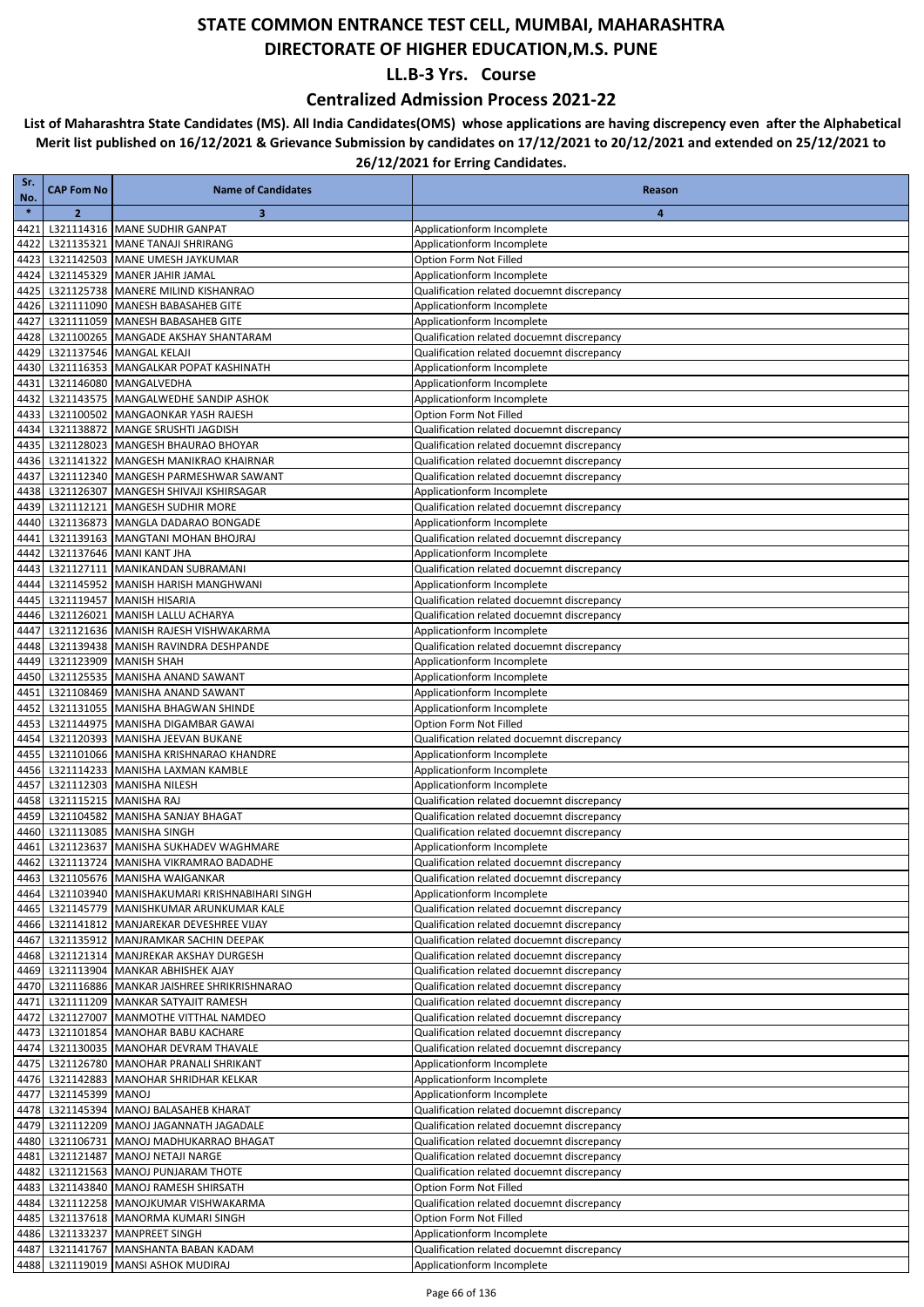### **Centralized Admission Process 2021-22**

| Sr.<br>No.   | <b>CAP Fom No</b> | <b>Name of Candidates</b>                                                     | Reason                                                                                   |
|--------------|-------------------|-------------------------------------------------------------------------------|------------------------------------------------------------------------------------------|
| $\ast$       | $\overline{2}$    | 3                                                                             | 4                                                                                        |
| 4421         |                   | L321114316 MANE SUDHIR GANPAT                                                 | Applicationform Incomplete                                                               |
| 4422         |                   | L321135321 MANE TANAJI SHRIRANG                                               | Applicationform Incomplete                                                               |
| 4423         |                   | L321142503 MANE UMESH JAYKUMAR                                                | Option Form Not Filled                                                                   |
| 4424         |                   | L321145329 MANER JAHIR JAMAL                                                  | Applicationform Incomplete                                                               |
| 4425<br>4426 |                   | L321125738 MANERE MILIND KISHANRAO<br>L321111090 MANESH BABASAHEB GITE        | Qualification related docuemnt discrepancy<br>Applicationform Incomplete                 |
| 4427         |                   | L321111059 MANESH BABASAHEB GITE                                              | Applicationform Incomplete                                                               |
| 4428         |                   | L321100265 MANGADE AKSHAY SHANTARAM                                           | Qualification related docuemnt discrepancy                                               |
| 4429         |                   | L321137546 MANGAL KELAJI                                                      | Qualification related docuemnt discrepancy                                               |
| 4430         |                   | L321116353 MANGALKAR POPAT KASHINATH                                          | Applicationform Incomplete                                                               |
| 4431         |                   | L321146080 MANGALVEDHA                                                        | Applicationform Incomplete                                                               |
| 4432         |                   | L321143575 MANGALWEDHE SANDIP ASHOK                                           | Applicationform Incomplete                                                               |
| 4433         |                   | L321100502 MANGAONKAR YASH RAJESH                                             | Option Form Not Filled                                                                   |
| 4434         |                   | L321138872 MANGE SRUSHTI JAGDISH                                              | Qualification related docuemnt discrepancy                                               |
| 4435         |                   | L321128023 MANGESH BHAURAO BHOYAR                                             | Qualification related docuemnt discrepancy                                               |
| 4436<br>4437 |                   | L321141322 MANGESH MANIKRAO KHAIRNAR<br>L321112340 MANGESH PARMESHWAR SAWANT  | Qualification related docuemnt discrepancy<br>Qualification related docuemnt discrepancy |
| 4438         |                   | L321126307 MANGESH SHIVAJI KSHIRSAGAR                                         | Applicationform Incomplete                                                               |
| 4439         |                   | L321112121 MANGESH SUDHIR MORE                                                | Qualification related docuemnt discrepancy                                               |
| 4440         |                   | L321136873 MANGLA DADARAO BONGADE                                             | Applicationform Incomplete                                                               |
| 4441         |                   | L321139163 MANGTANI MOHAN BHOJRAJ                                             | Qualification related docuemnt discrepancy                                               |
| 4442         |                   | L321137646 MANI KANT JHA                                                      | Applicationform Incomplete                                                               |
| 4443         |                   | L321127111 MANIKANDAN SUBRAMANI                                               | Qualification related docuemnt discrepancy                                               |
| 4444         |                   | L321145952 MANISH HARISH MANGHWANI                                            | Applicationform Incomplete                                                               |
| 4445         |                   | L321119457 MANISH HISARIA                                                     | Qualification related docuemnt discrepancy                                               |
| 4446         |                   | L321126021 MANISH LALLU ACHARYA                                               | Qualification related docuemnt discrepancy                                               |
| 4447         |                   | L321121636 MANISH RAJESH VISHWAKARMA<br>L321139438 MANISH RAVINDRA DESHPANDE  | Applicationform Incomplete<br>Qualification related docuemnt discrepancy                 |
| 4448<br>4449 |                   | L321123909 MANISH SHAH                                                        | Applicationform Incomplete                                                               |
| 4450         |                   | L321125535 MANISHA ANAND SAWANT                                               | Applicationform Incomplete                                                               |
| 4451         |                   | L321108469 MANISHA ANAND SAWANT                                               | Applicationform Incomplete                                                               |
| 4452         |                   | L321131055 MANISHA BHAGWAN SHINDE                                             | Applicationform Incomplete                                                               |
| 4453         |                   | L321144975 MANISHA DIGAMBAR GAWAI                                             | Option Form Not Filled                                                                   |
| 4454         |                   | L321120393 MANISHA JEEVAN BUKANE                                              | Qualification related docuemnt discrepancy                                               |
| 4455         |                   | L321101066 MANISHA KRISHNARAO KHANDRE                                         | Applicationform Incomplete                                                               |
| 4456         |                   | L321114233 MANISHA LAXMAN KAMBLE                                              | Applicationform Incomplete                                                               |
| 4457<br>4458 |                   | L321112303 MANISHA NILESH<br>L321115215 MANISHA RAJ                           | Applicationform Incomplete<br>Qualification related docuemnt discrepancy                 |
| 4459         |                   | L321104582 MANISHA SANJAY BHAGAT                                              | Qualification related docuemnt discrepancy                                               |
| 4460         |                   | L321113085 MANISHA SINGH                                                      | Qualification related docuemnt discrepancy                                               |
| 4461         |                   | L321123637 MANISHA SUKHADEV WAGHMARE                                          | Applicationform Incomplete                                                               |
| 4462         |                   | L321113724 MANISHA VIKRAMRAO BADADHE                                          | Qualification related docuemnt discrepancy                                               |
|              |                   | 4463 L321105676 MANISHA WAIGANKAR                                             | Qualification related docuemnt discrepancy                                               |
|              |                   | 4464 L321103940 MANISHAKUMARI KRISHNABIHARI SINGH                             | Applicationform Incomplete                                                               |
|              |                   | 4465 L321145779 MANISHKUMAR ARUNKUMAR KALE                                    | Qualification related docuemnt discrepancy                                               |
| 4466         |                   | L321141812 MANJAREKAR DEVESHREE VIJAY                                         | Qualification related docuemnt discrepancy                                               |
| 4467         |                   | L321135912 MANJRAMKAR SACHIN DEEPAK                                           | Qualification related docuemnt discrepancy                                               |
| 4468         |                   | L321121314 MANJREKAR AKSHAY DURGESH<br>4469 L321113904 MANKAR ABHISHEK AJAY   | Qualification related docuemnt discrepancy<br>Qualification related docuemnt discrepancy |
| 4470         |                   | L321116886 MANKAR JAISHREE SHRIKRISHNARAO                                     | Qualification related docuemnt discrepancy                                               |
| 4471         |                   | L321111209 MANKAR SATYAJIT RAMESH                                             | Qualification related docuemnt discrepancy                                               |
| 4472         |                   | L321127007 MANMOTHE VITTHAL NAMDEO                                            | Qualification related docuemnt discrepancy                                               |
| 4473         |                   | L321101854 MANOHAR BABU KACHARE                                               | Qualification related docuemnt discrepancy                                               |
|              |                   | 4474 L321130035 MANOHAR DEVRAM THAVALE                                        | Qualification related docuemnt discrepancy                                               |
| 4475         |                   | L321126780 MANOHAR PRANALI SHRIKANT                                           | Applicationform Incomplete                                                               |
| 4476         |                   | L321142883 MANOHAR SHRIDHAR KELKAR                                            | Applicationform Incomplete                                                               |
| 4477         | L321145399 MANOJ  |                                                                               | Applicationform Incomplete                                                               |
| 4478         |                   | L321145394 MANOJ BALASAHEB KHARAT<br>4479 L321112209 MANOJ JAGANNATH JAGADALE | Qualification related docuemnt discrepancy<br>Qualification related docuemnt discrepancy |
|              |                   | 4480 L321106731 MANOJ MADHUKARRAO BHAGAT                                      | Qualification related docuemnt discrepancy                                               |
| 4481         |                   | L321121487 MANOJ NETAJI NARGE                                                 | Qualification related docuemnt discrepancy                                               |
| 4482         |                   | L321121563 MANOJ PUNJARAM THOTE                                               | Qualification related docuemnt discrepancy                                               |
| 4483         |                   | L321143840 MANOJ RAMESH SHIRSATH                                              | Option Form Not Filled                                                                   |
|              |                   | 4484 L321112258 MANOJKUMAR VISHWAKARMA                                        | Qualification related docuemnt discrepancy                                               |
|              |                   | 4485 L321137618 MANORMA KUMARI SINGH                                          | Option Form Not Filled                                                                   |
|              |                   | 4486 L321133237 MANPREET SINGH                                                | Applicationform Incomplete                                                               |
| 4487         |                   | L321141767 MANSHANTA BABAN KADAM                                              | Qualification related docuemnt discrepancy                                               |
|              |                   | 4488 L321119019 MANSI ASHOK MUDIRAJ                                           | Applicationform Incomplete                                                               |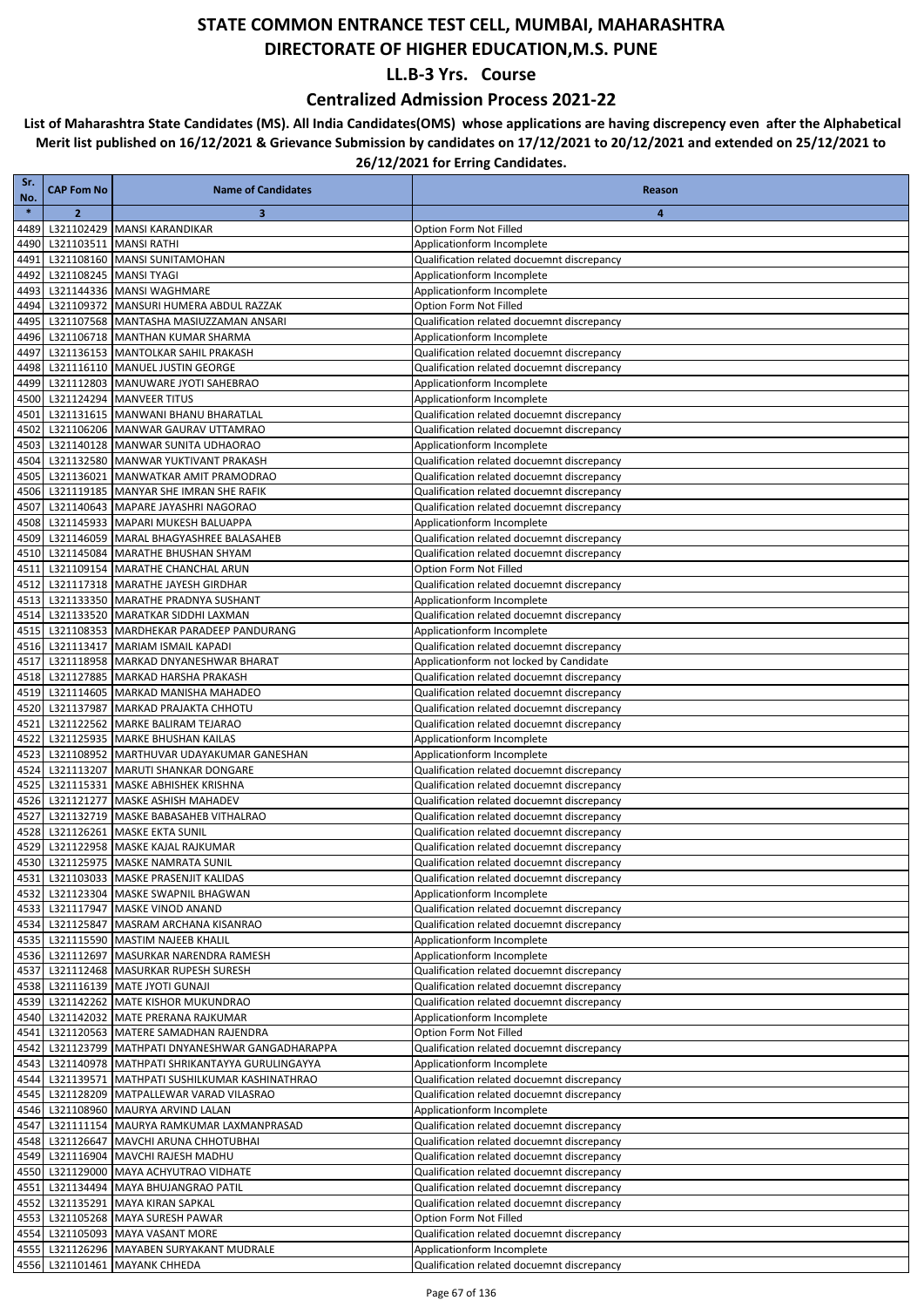### **Centralized Admission Process 2021-22**

| Sr.<br>No.   | <b>CAP Fom No</b> | <b>Name of Candidates</b>                                                       | Reason                                                                                   |
|--------------|-------------------|---------------------------------------------------------------------------------|------------------------------------------------------------------------------------------|
| $\ast$       | $\overline{2}$    | 3                                                                               | $\overline{\mathbf{a}}$                                                                  |
| 4489         |                   | L321102429 MANSI KARANDIKAR                                                     | Option Form Not Filled                                                                   |
| 4490         |                   | L321103511 MANSI RATHI                                                          | Applicationform Incomplete                                                               |
| 4491         |                   | L321108160 MANSI SUNITAMOHAN                                                    | Qualification related docuemnt discrepancy                                               |
| 4492         |                   | L321108245   MANSI TYAGI                                                        | Applicationform Incomplete                                                               |
| 4493         |                   | L321144336 MANSI WAGHMARE                                                       | Applicationform Incomplete                                                               |
| 4494         |                   | L321109372 MANSURI HUMERA ABDUL RAZZAK                                          | Option Form Not Filled                                                                   |
| 4495<br>4496 |                   | L321107568 MANTASHA MASIUZZAMAN ANSARI<br>L321106718 MANTHAN KUMAR SHARMA       | Qualification related docuemnt discrepancy                                               |
| 4497         |                   | L321136153 MANTOLKAR SAHIL PRAKASH                                              | Applicationform Incomplete<br>Qualification related docuemnt discrepancy                 |
| 4498         |                   | L321116110 MANUEL JUSTIN GEORGE                                                 | Qualification related docuemnt discrepancy                                               |
| 4499         |                   | L321112803 MANUWARE JYOTI SAHEBRAO                                              | Applicationform Incomplete                                                               |
| 4500         |                   | L321124294   MANVEER TITUS                                                      | Applicationform Incomplete                                                               |
| 4501         |                   | L321131615 MANWANI BHANU BHARATLAL                                              | Qualification related docuemnt discrepancy                                               |
| 4502         |                   | L321106206 MANWAR GAURAV UTTAMRAO                                               | Qualification related docuemnt discrepancy                                               |
| 4503         |                   | L321140128 MANWAR SUNITA UDHAORAO                                               | Applicationform Incomplete                                                               |
| 4504         |                   | L321132580 MANWAR YUKTIVANT PRAKASH                                             | Qualification related docuemnt discrepancy                                               |
| 4505         |                   | L321136021 MANWATKAR AMIT PRAMODRAO                                             | Qualification related docuemnt discrepancy                                               |
| 4506         |                   | L321119185   MANYAR SHE IMRAN SHE RAFIK                                         | Qualification related docuemnt discrepancy                                               |
| 4507         |                   | L321140643 MAPARE JAYASHRI NAGORAO                                              | Qualification related docuemnt discrepancy                                               |
| 4508         |                   | L321145933 MAPARI MUKESH BALUAPPA<br>L321146059 MARAL BHAGYASHREE BALASAHEB     | Applicationform Incomplete                                                               |
| 4509<br>4510 |                   | L321145084 MARATHE BHUSHAN SHYAM                                                | Qualification related docuemnt discrepancy<br>Qualification related docuemnt discrepancy |
| 4511         |                   | L321109154 MARATHE CHANCHAL ARUN                                                | Option Form Not Filled                                                                   |
| 4512         |                   | L321117318   MARATHE JAYESH GIRDHAR                                             | Qualification related docuemnt discrepancy                                               |
| 4513         |                   | L321133350 MARATHE PRADNYA SUSHANT                                              | Applicationform Incomplete                                                               |
| 4514         |                   | L321133520 MARATKAR SIDDHI LAXMAN                                               | Qualification related docuemnt discrepancy                                               |
| 4515         |                   | L321108353 MARDHEKAR PARADEEP PANDURANG                                         | Applicationform Incomplete                                                               |
| 4516         |                   | L321113417 MARIAM ISMAIL KAPADI                                                 | Qualification related docuemnt discrepancy                                               |
| 4517         |                   | L321118958 MARKAD DNYANESHWAR BHARAT                                            | Applicationform not locked by Candidate                                                  |
| 4518         |                   | L321127885 MARKAD HARSHA PRAKASH                                                | Qualification related docuemnt discrepancy                                               |
| 4519         |                   | L321114605 MARKAD MANISHA MAHADEO                                               | Qualification related docuemnt discrepancy                                               |
| 4520         |                   | L321137987 MARKAD PRAJAKTA CHHOTU                                               | Qualification related docuemnt discrepancy                                               |
| 4521         |                   | L321122562 MARKE BALIRAM TEJARAO                                                | Qualification related docuemnt discrepancy                                               |
| 4522<br>4523 |                   | L321125935 MARKE BHUSHAN KAILAS<br>L321108952 MARTHUVAR UDAYAKUMAR GANESHAN     | Applicationform Incomplete<br>Applicationform Incomplete                                 |
| 4524         |                   | L321113207 MARUTI SHANKAR DONGARE                                               | Qualification related docuemnt discrepancy                                               |
| 4525         |                   | L321115331 MASKE ABHISHEK KRISHNA                                               | Qualification related docuemnt discrepancy                                               |
| 4526         |                   | L321121277 MASKE ASHISH MAHADEV                                                 | Qualification related docuemnt discrepancy                                               |
| 4527         |                   | L321132719 MASKE BABASAHEB VITHALRAO                                            | Qualification related docuemnt discrepancy                                               |
| 4528         |                   | L321126261 MASKE EKTA SUNIL                                                     | Qualification related docuemnt discrepancy                                               |
| 4529         |                   | L321122958 MASKE KAJAL RAJKUMAR                                                 | Qualification related docuemnt discrepancy                                               |
| 4530         |                   | L321125975 MASKE NAMRATA SUNIL                                                  | Qualification related docuemnt discrepancy                                               |
|              |                   | 4531 L321103033 MASKE PRASENJIT KALIDAS                                         | Qualification related docuemnt discrepancy                                               |
| 4532         |                   | L321123304 MASKE SWAPNIL BHAGWAN                                                | Applicationform Incomplete                                                               |
|              |                   | 4533 L321117947 MASKE VINOD ANAND                                               | Qualification related docuemnt discrepancy                                               |
| 4535         |                   | 4534 L321125847 MASRAM ARCHANA KISANRAO<br>L321115590 MASTIM NAJEEB KHALIL      | Qualification related docuemnt discrepancy<br>Applicationform Incomplete                 |
|              |                   | 4536 L321112697 MASURKAR NARENDRA RAMESH                                        | Applicationform Incomplete                                                               |
| 4537         |                   | L321112468 MASURKAR RUPESH SURESH                                               | Qualification related docuemnt discrepancy                                               |
| 4538         |                   | L321116139 MATE JYOTI GUNAJI                                                    | Qualification related docuemnt discrepancy                                               |
|              |                   | 4539 L321142262 MATE KISHOR MUKUNDRAO                                           | Qualification related docuemnt discrepancy                                               |
|              |                   | 4540 L321142032 MATE PRERANA RAJKUMAR                                           | Applicationform Incomplete                                                               |
| 4541         |                   | L321120563 MATERE SAMADHAN RAJENDRA                                             | Option Form Not Filled                                                                   |
| 4542         |                   | L321123799   MATHPATI DNYANESHWAR GANGADHARAPPA                                 | Qualification related docuemnt discrepancy                                               |
|              |                   | 4543 L321140978 MATHPATI SHRIKANTAYYA GURULINGAYYA                              | Applicationform Incomplete                                                               |
|              |                   | 4544 L321139571 MATHPATI SUSHILKUMAR KASHINATHRAO                               | Qualification related docuemnt discrepancy                                               |
|              |                   | 4545 L321128209 MATPALLEWAR VARAD VILASRAO                                      | Qualification related docuemnt discrepancy                                               |
|              |                   | 4546 L321108960 MAURYA ARVIND LALAN                                             | Applicationform Incomplete<br>Qualification related docuemnt discrepancy                 |
| 4547<br>4548 |                   | L321111154 MAURYA RAMKUMAR LAXMANPRASAD<br>L321126647   MAVCHI ARUNA CHHOTUBHAI | Qualification related docuemnt discrepancy                                               |
|              |                   | 4549 L321116904 MAVCHI RAJESH MADHU                                             | Qualification related docuemnt discrepancy                                               |
|              |                   | 4550 L321129000 MAYA ACHYUTRAO VIDHATE                                          | Qualification related docuemnt discrepancy                                               |
| 4551         |                   | L321134494 MAYA BHUJANGRAO PATIL                                                | Qualification related docuemnt discrepancy                                               |
| 4552         |                   | L321135291 MAYA KIRAN SAPKAL                                                    | Qualification related docuemnt discrepancy                                               |
|              |                   | 4553 L321105268 MAYA SURESH PAWAR                                               | Option Form Not Filled                                                                   |
|              |                   | 4554 L321105093 MAYA VASANT MORE                                                | Qualification related docuemnt discrepancy                                               |
|              |                   | 4555 L321126296 MAYABEN SURYAKANT MUDRALE                                       | Applicationform Incomplete                                                               |
|              |                   | 4556 L321101461 MAYANK CHHEDA                                                   | Qualification related docuemnt discrepancy                                               |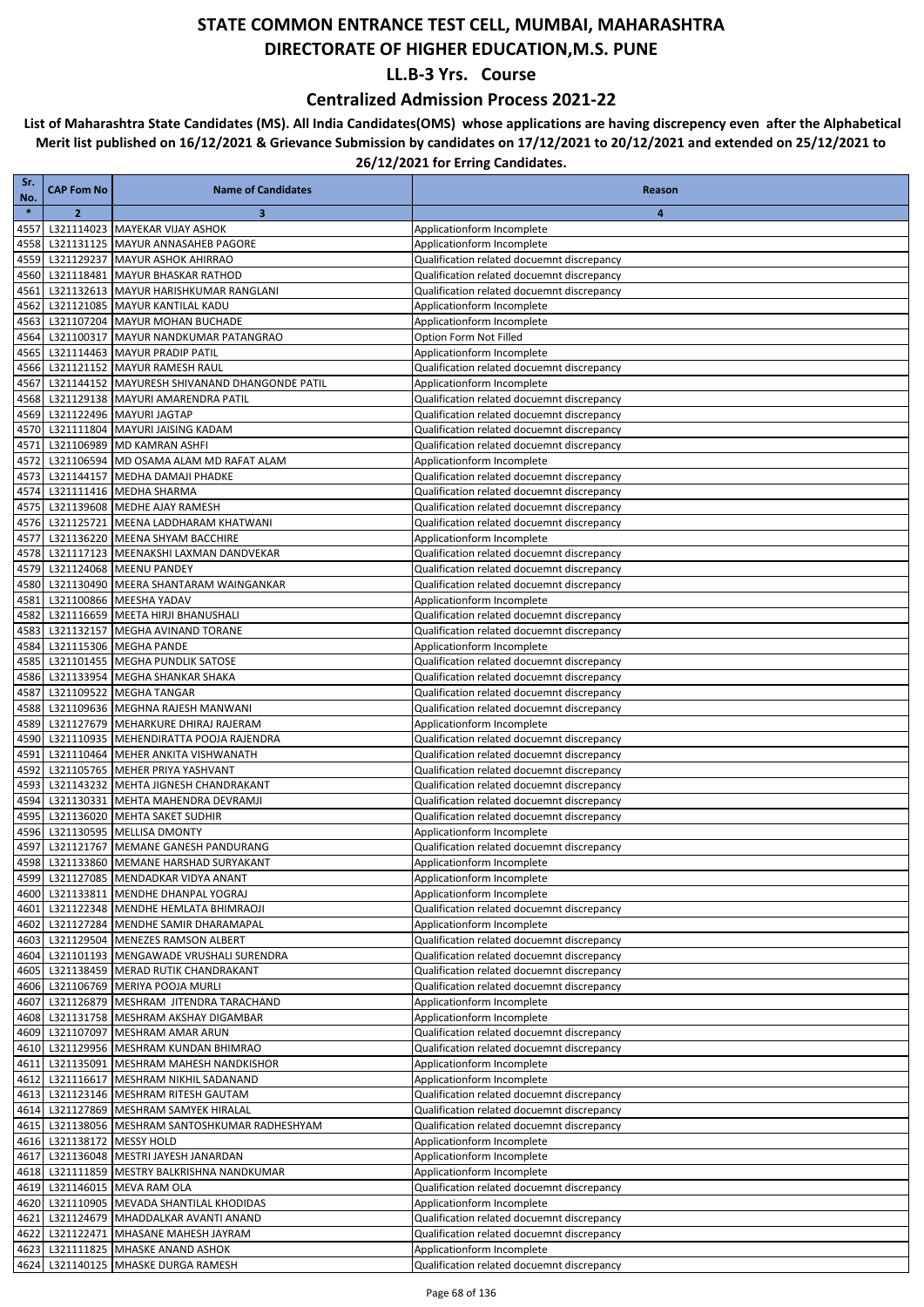### **Centralized Admission Process 2021-22**

| Sr.<br>No.   | <b>CAP Fom No</b>          | <b>Name of Candidates</b>                                                                 | Reason                                                                                   |
|--------------|----------------------------|-------------------------------------------------------------------------------------------|------------------------------------------------------------------------------------------|
| $\ast$       | $\mathbf{2}$               | 3                                                                                         | 4                                                                                        |
| 4557         |                            | L321114023 MAYEKAR VIJAY ASHOK                                                            | Applicationform Incomplete                                                               |
| 4558         |                            | L321131125 MAYUR ANNASAHEB PAGORE                                                         | Applicationform Incomplete                                                               |
| 4559         |                            | L321129237 MAYUR ASHOK AHIRRAO                                                            | Qualification related docuemnt discrepancy                                               |
| 4560         |                            | L321118481 MAYUR BHASKAR RATHOD                                                           | Qualification related docuemnt discrepancy                                               |
| 4561         |                            | L321132613 MAYUR HARISHKUMAR RANGLANI                                                     | Qualification related docuemnt discrepancy                                               |
| 4562         |                            | L321121085 MAYUR KANTILAL KADU                                                            | Applicationform Incomplete                                                               |
| 4563         |                            | L321107204 MAYUR MOHAN BUCHADE                                                            | Applicationform Incomplete                                                               |
| 4564         |                            | L321100317 MAYUR NANDKUMAR PATANGRAO                                                      | Option Form Not Filled<br>Applicationform Incomplete                                     |
| 4566         |                            | 4565 L321114463 MAYUR PRADIP PATIL<br>L321121152 MAYUR RAMESH RAUL                        | Qualification related docuemnt discrepancy                                               |
| 4567         |                            | L321144152 MAYURESH SHIVANAND DHANGONDE PATIL                                             | Applicationform Incomplete                                                               |
|              |                            | 4568 L321129138 MAYURI AMARENDRA PATIL                                                    | Qualification related docuemnt discrepancy                                               |
| 4569         |                            | L321122496   MAYURI JAGTAP                                                                | Qualification related docuemnt discrepancy                                               |
| 4570         |                            | L321111804 MAYURI JAISING KADAM                                                           | Qualification related docuemnt discrepancy                                               |
| 4571         |                            | L321106989 MD KAMRAN ASHFI                                                                | Qualification related docuemnt discrepancy                                               |
| 4572         |                            | L321106594 MD OSAMA ALAM MD RAFAT ALAM                                                    | Applicationform Incomplete                                                               |
| 4573         |                            | L321144157 MEDHA DAMAJI PHADKE                                                            | Qualification related docuemnt discrepancy                                               |
| 4574         |                            | L321111416 MEDHA SHARMA                                                                   | Qualification related docuemnt discrepancy                                               |
| 4575         |                            | L321139608 MEDHE AJAY RAMESH                                                              | Qualification related docuemnt discrepancy                                               |
| 4576         |                            | L321125721 MEENA LADDHARAM KHATWANI                                                       | Qualification related docuemnt discrepancy                                               |
| 4577         |                            | L321136220 MEENA SHYAM BACCHIRE<br>L321117123 MEENAKSHI LAXMAN DANDVEKAR                  | Applicationform Incomplete                                                               |
| 4578<br>4579 |                            | L321124068 MEENU PANDEY                                                                   | Qualification related docuemnt discrepancy<br>Qualification related docuemnt discrepancy |
| 4580         |                            | L321130490 MEERA SHANTARAM WAINGANKAR                                                     | Qualification related docuemnt discrepancy                                               |
| 4581         |                            | L321100866 MEESHA YADAV                                                                   | Applicationform Incomplete                                                               |
| 4582         |                            | L321116659 MEETA HIRJI BHANUSHALI                                                         | Qualification related docuemnt discrepancy                                               |
| 4583         |                            | L321132157 MEGHA AVINAND TORANE                                                           | Qualification related docuemnt discrepancy                                               |
| 4584         |                            | L321115306 MEGHA PANDE                                                                    | Applicationform Incomplete                                                               |
| 4585         |                            | L321101455   MEGHA PUNDLIK SATOSE                                                         | Qualification related docuemnt discrepancy                                               |
| 4586         |                            | L321133954 MEGHA SHANKAR SHAKA                                                            | Qualification related docuemnt discrepancy                                               |
| 4587         |                            | L321109522 MEGHA TANGAR                                                                   | Qualification related docuemnt discrepancy                                               |
| 4588         |                            | L321109636 MEGHNA RAJESH MANWANI                                                          | Qualification related docuemnt discrepancy                                               |
| 4589         |                            | L321127679 MEHARKURE DHIRAJ RAJERAM                                                       | Applicationform Incomplete                                                               |
| 4590<br>4591 |                            | L321110935 MEHENDIRATTA POOJA RAJENDRA<br>L321110464 MEHER ANKITA VISHWANATH              | Qualification related docuemnt discrepancy<br>Qualification related docuemnt discrepancy |
| 4592         |                            | L321105765 MEHER PRIYA YASHVANT                                                           | Qualification related docuemnt discrepancy                                               |
| 4593         |                            | L321143232 MEHTA JIGNESH CHANDRAKANT                                                      | Qualification related docuemnt discrepancy                                               |
| 4594         |                            | L321130331   MEHTA MAHENDRA DEVRAMJI                                                      | Qualification related docuemnt discrepancy                                               |
| 4595         |                            | L321136020 MEHTA SAKET SUDHIR                                                             | Qualification related docuemnt discrepancy                                               |
| 4596         |                            | L321130595 MELLISA DMONTY                                                                 | Applicationform Incomplete                                                               |
| 4597         |                            | L321121767 MEMANE GANESH PANDURANG                                                        | Qualification related docuemnt discrepancy                                               |
| 4598         |                            | L321133860 MEMANE HARSHAD SURYAKANT                                                       | Applicationform Incomplete                                                               |
|              |                            | 4599 L321127085 MENDADKAR VIDYA ANANT                                                     | Applicationform Incomplete                                                               |
|              |                            | 4600 L321133811 MENDHE DHANPAL YOGRAJ                                                     | Applicationform Incomplete                                                               |
| 4601         |                            | L321122348 MENDHE HEMLATA BHIMRAOJI                                                       | Qualification related docuemnt discrepancy<br>Applicationform Incomplete                 |
| 4602<br>4603 |                            | L321127284 MENDHE SAMIR DHARAMAPAL<br>L321129504 MENEZES RAMSON ALBERT                    | Qualification related docuemnt discrepancy                                               |
| 4604         |                            | L321101193 MENGAWADE VRUSHALI SURENDRA                                                    | Qualification related docuemnt discrepancy                                               |
|              |                            | 4605 L321138459 MERAD RUTIK CHANDRAKANT                                                   | Qualification related docuemnt discrepancy                                               |
|              |                            | 4606 L321106769 MERIYA POOJA MURLI                                                        | Qualification related docuemnt discrepancy                                               |
| 4607         |                            | L321126879 MESHRAM JITENDRA TARACHAND                                                     | Applicationform Incomplete                                                               |
|              |                            | 4608 L321131758 MESHRAM AKSHAY DIGAMBAR                                                   | Applicationform Incomplete                                                               |
| 4609         |                            | L321107097 MESHRAM AMAR ARUN                                                              | Qualification related docuemnt discrepancy                                               |
|              |                            | 4610 L321129956 MESHRAM KUNDAN BHIMRAO                                                    | Qualification related docuemnt discrepancy                                               |
|              |                            | 4611  L321135091  MESHRAM MAHESH NANDKISHOR                                               | Applicationform Incomplete                                                               |
| 4612         |                            | L321116617 MESHRAM NIKHIL SADANAND                                                        | Applicationform Incomplete                                                               |
|              |                            | 4613 L321123146 MESHRAM RITESH GAUTAM                                                     | Qualification related docuemnt discrepancy                                               |
|              |                            | 4614 L321127869 MESHRAM SAMYEK HIRALAL<br>4615 L321138056 MESHRAM SANTOSHKUMAR RADHESHYAM | Qualification related docuemnt discrepancy<br>Qualification related docuemnt discrepancy |
|              | 4616 L321138172 MESSY HOLD |                                                                                           | Applicationform Incomplete                                                               |
|              |                            | 4617 L321136048 MESTRI JAYESH JANARDAN                                                    | Applicationform Incomplete                                                               |
|              |                            | 4618 L321111859 MESTRY BALKRISHNA NANDKUMAR                                               | Applicationform Incomplete                                                               |
|              |                            | 4619 L321146015 MEVA RAM OLA                                                              | Qualification related docuemnt discrepancy                                               |
|              |                            | 4620 L321110905 MEVADA SHANTILAL KHODIDAS                                                 | Applicationform Incomplete                                                               |
|              |                            | 4621 L321124679 MHADDALKAR AVANTI ANAND                                                   | Qualification related docuemnt discrepancy                                               |
|              |                            | 4622 L321122471 MHASANE MAHESH JAYRAM                                                     | Qualification related docuemnt discrepancy                                               |
| 4623         |                            | L321111825 MHASKE ANAND ASHOK                                                             | Applicationform Incomplete                                                               |
|              |                            | 4624 L321140125 MHASKE DURGA RAMESH                                                       | Qualification related docuemnt discrepancy                                               |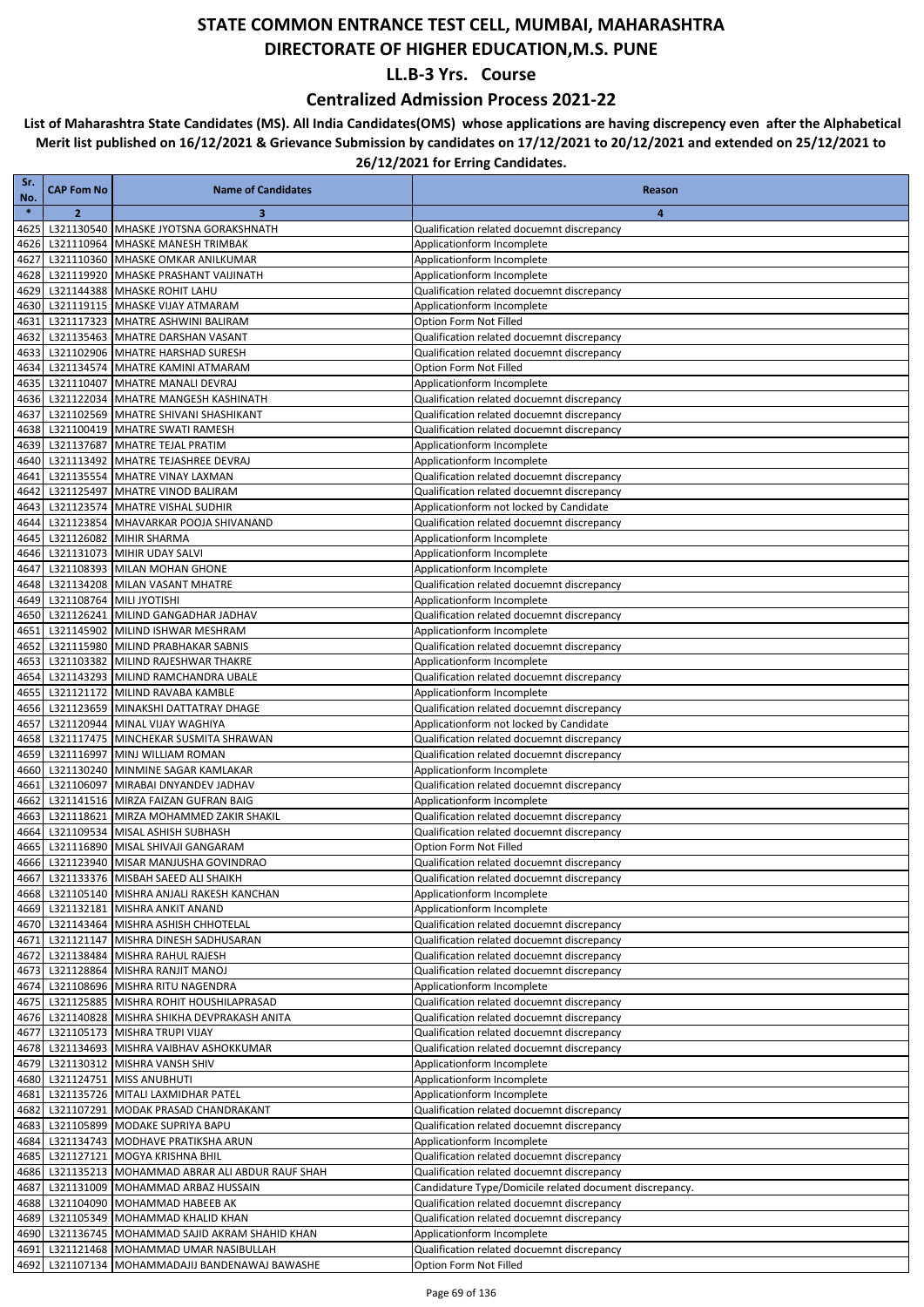### **Centralized Admission Process 2021-22**

| Sr.<br>No.   | <b>CAP Fom No</b> | <b>Name of Candidates</b>                                                                | Reason                                                                                   |
|--------------|-------------------|------------------------------------------------------------------------------------------|------------------------------------------------------------------------------------------|
| $\ast$       | $\overline{2}$    | 3                                                                                        | $\overline{\mathbf{a}}$                                                                  |
| 4625         |                   | L321130540 MHASKE JYOTSNA GORAKSHNATH                                                    | Qualification related docuemnt discrepancy                                               |
| 4626         |                   | L321110964 MHASKE MANESH TRIMBAK                                                         | Applicationform Incomplete                                                               |
| 4627         |                   | L321110360 MHASKE OMKAR ANILKUMAR                                                        | Applicationform Incomplete                                                               |
| 4628         |                   | L321119920 MHASKE PRASHANT VAIJINATH                                                     | Applicationform Incomplete                                                               |
| 4629         |                   | L321144388 MHASKE ROHIT LAHU                                                             | Qualification related docuemnt discrepancy                                               |
| 4630         |                   | L321119115 MHASKE VIJAY ATMARAM                                                          | Applicationform Incomplete                                                               |
| 4631         |                   | L321117323 MHATRE ASHWINI BALIRAM                                                        | Option Form Not Filled                                                                   |
| 4632<br>4633 |                   | L321135463 MHATRE DARSHAN VASANT<br>L321102906 MHATRE HARSHAD SURESH                     | Qualification related docuemnt discrepancy<br>Qualification related docuemnt discrepancy |
| 4634         |                   | L321134574 MHATRE KAMINI ATMARAM                                                         | Option Form Not Filled                                                                   |
| 4635         |                   | L321110407 MHATRE MANALI DEVRAJ                                                          | Applicationform Incomplete                                                               |
| 4636         |                   | L321122034 MHATRE MANGESH KASHINATH                                                      | Qualification related docuemnt discrepancy                                               |
| 4637         |                   | L321102569 MHATRE SHIVANI SHASHIKANT                                                     | Qualification related docuemnt discrepancy                                               |
| 4638         |                   | L321100419 MHATRE SWATI RAMESH                                                           | Qualification related docuemnt discrepancy                                               |
| 4639         |                   | L321137687 MHATRE TEJAL PRATIM                                                           | Applicationform Incomplete                                                               |
| 4640         |                   | L321113492 MHATRE TEJASHREE DEVRAJ                                                       | Applicationform Incomplete                                                               |
| 4641         |                   | L321135554 MHATRE VINAY LAXMAN                                                           | Qualification related docuemnt discrepancy                                               |
| 4642         |                   | L321125497 MHATRE VINOD BALIRAM                                                          | Qualification related docuemnt discrepancy                                               |
| 4643         |                   | L321123574 MHATRE VISHAL SUDHIR                                                          | Applicationform not locked by Candidate                                                  |
| 4644         |                   | L321123854 MHAVARKAR POOJA SHIVANAND<br>L321126082 MIHIR SHARMA                          | Qualification related docuemnt discrepancy                                               |
| 4645<br>4646 |                   | L321131073 MIHIR UDAY SALVI                                                              | Applicationform Incomplete<br>Applicationform Incomplete                                 |
| 4647         |                   | L321108393 MILAN MOHAN GHONE                                                             | Applicationform Incomplete                                                               |
| 4648         |                   | L321134208 MILAN VASANT MHATRE                                                           | Qualification related docuemnt discrepancy                                               |
| 4649         |                   | L321108764 MILI JYOTISHI                                                                 | Applicationform Incomplete                                                               |
| 4650         |                   | L321126241 MILIND GANGADHAR JADHAV                                                       | Qualification related docuemnt discrepancy                                               |
| 4651         |                   | L321145902 MILIND ISHWAR MESHRAM                                                         | Applicationform Incomplete                                                               |
| 4652         |                   | L321115980 MILIND PRABHAKAR SABNIS                                                       | Qualification related docuemnt discrepancy                                               |
| 4653         |                   | L321103382 MILIND RAJESHWAR THAKRE                                                       | Applicationform Incomplete                                                               |
| 4654         |                   | L321143293 MILIND RAMCHANDRA UBALE                                                       | Qualification related docuemnt discrepancy                                               |
| 4655         |                   | L321121172 MILIND RAVABA KAMBLE                                                          | Applicationform Incomplete                                                               |
| 4656         |                   | L321123659 MINAKSHI DATTATRAY DHAGE<br>L321120944 MINAL VIJAY WAGHIYA                    | Qualification related docuemnt discrepancy                                               |
| 4657<br>4658 |                   | L321117475 MINCHEKAR SUSMITA SHRAWAN                                                     | Applicationform not locked by Candidate<br>Qualification related docuemnt discrepancy    |
| 4659         |                   | L321116997 MINJ WILLIAM ROMAN                                                            | Qualification related docuemnt discrepancy                                               |
| 4660         |                   | L321130240 MINMINE SAGAR KAMLAKAR                                                        | Applicationform Incomplete                                                               |
| 4661         |                   | L321106097 MIRABAI DNYANDEV JADHAV                                                       | Qualification related docuemnt discrepancy                                               |
| 4662         |                   | L321141516 MIRZA FAIZAN GUFRAN BAIG                                                      | Applicationform Incomplete                                                               |
| 4663         |                   | L321118621 MIRZA MOHAMMED ZAKIR SHAKIL                                                   | Qualification related docuemnt discrepancy                                               |
| 4664         |                   | L321109534 MISAL ASHISH SUBHASH                                                          | Qualification related docuemnt discrepancy                                               |
| 4665         |                   | L321116890 MISAL SHIVAJI GANGARAM                                                        | Option Form Not Filled                                                                   |
| 4666         |                   | L321123940 MISAR MANJUSHA GOVINDRAO                                                      | Qualification related docuemnt discrepancy                                               |
|              |                   | 4667 L321133376 MISBAH SAEED ALI SHAIKH<br>4668 L321105140 MISHRA ANJALI RAKESH KANCHAN  | Qualification related docuemnt discrepancy<br>Applicationform Incomplete                 |
|              |                   | 4669 L321132181 MISHRA ANKIT ANAND                                                       | Applicationform Incomplete                                                               |
|              |                   | 4670 L321143464 MISHRA ASHISH CHHOTELAL                                                  | Qualification related docuemnt discrepancy                                               |
| 4671         |                   | L321121147 MISHRA DINESH SADHUSARAN                                                      | Qualification related docuemnt discrepancy                                               |
| 4672         |                   | L321138484 MISHRA RAHUL RAJESH                                                           | Qualification related docuemnt discrepancy                                               |
|              |                   | 4673 L321128864 MISHRA RANJIT MANOJ                                                      | Qualification related docuemnt discrepancy                                               |
| 4674         |                   | L321108696 MISHRA RITU NAGENDRA                                                          | Applicationform Incomplete                                                               |
|              |                   | 4675 L321125885 MISHRA ROHIT HOUSHILAPRASAD                                              | Qualification related docuemnt discrepancy                                               |
|              |                   | 4676 L321140828 MISHRA SHIKHA DEVPRAKASH ANITA                                           | Qualification related docuemnt discrepancy                                               |
| 4677         |                   | L321105173 MISHRA TRUPI VIJAY<br>4678 L321134693 MISHRA VAIBHAV ASHOKKUMAR               | Qualification related docuemnt discrepancy                                               |
|              |                   | 4679 L321130312 MISHRA VANSH SHIV                                                        | Qualification related docuemnt discrepancy                                               |
|              |                   | 4680 L321124751 MISS ANUBHUTI                                                            | Applicationform Incomplete<br>Applicationform Incomplete                                 |
|              |                   | 4681 L321135726 MITALI LAXMIDHAR PATEL                                                   | Applicationform Incomplete                                                               |
| 4682         |                   | L321107291 MODAK PRASAD CHANDRAKANT                                                      | Qualification related docuemnt discrepancy                                               |
|              |                   | 4683 L321105899 MODAKE SUPRIYA BAPU                                                      | Qualification related docuemnt discrepancy                                               |
|              |                   | 4684 L321134743 MODHAVE PRATIKSHA ARUN                                                   | Applicationform Incomplete                                                               |
|              |                   | 4685 L321127121 MOGYA KRISHNA BHIL                                                       | Qualification related docuemnt discrepancy                                               |
|              |                   | 4686 L321135213 MOHAMMAD ABRAR ALI ABDUR RAUF SHAH                                       | Qualification related docuemnt discrepancy                                               |
| 4687         |                   | L321131009 MOHAMMAD ARBAZ HUSSAIN                                                        | Candidature Type/Domicile related document discrepancy.                                  |
| 4688         |                   | L321104090 MOHAMMAD HABEEB AK                                                            | Qualification related docuemnt discrepancy                                               |
|              |                   | 4689 L321105349 MOHAMMAD KHALID KHAN<br>4690 L321136745 MOHAMMAD SAJID AKRAM SHAHID KHAN | Qualification related docuemnt discrepancy                                               |
| 4691         |                   | L321121468 MOHAMMAD UMAR NASIBULLAH                                                      | Applicationform Incomplete<br>Qualification related docuemnt discrepancy                 |
|              |                   | 4692 L321107134 MOHAMMADAJIJ BANDENAWAJ BAWASHE                                          | Option Form Not Filled                                                                   |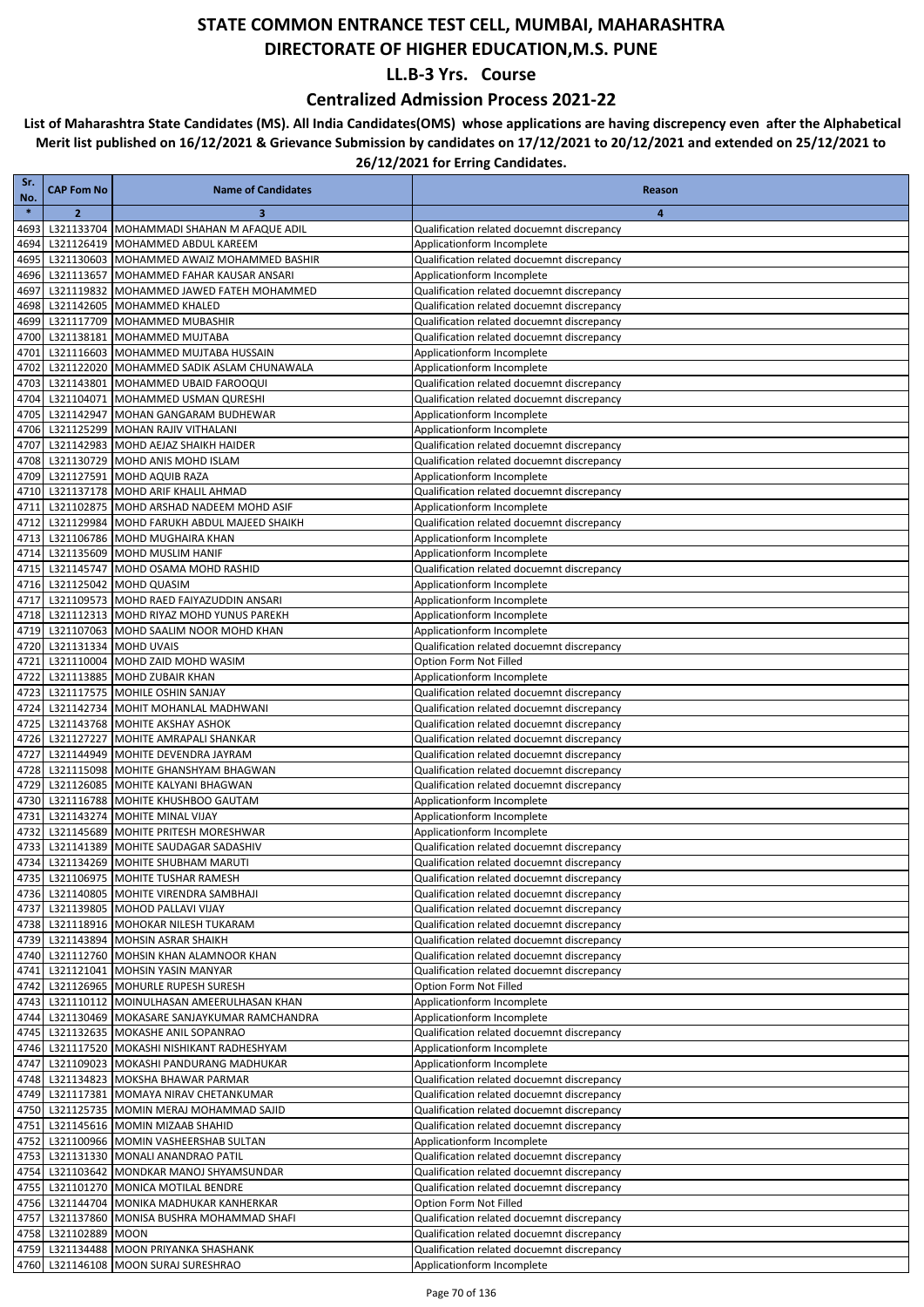### **Centralized Admission Process 2021-22**

| Sr.           | <b>CAP Fom No</b>          | <b>Name of Candidates</b>                                                         | Reason                                                                                   |
|---------------|----------------------------|-----------------------------------------------------------------------------------|------------------------------------------------------------------------------------------|
| No.<br>$\ast$ |                            |                                                                                   |                                                                                          |
| 4693          | $\overline{2}$             | 3<br>L321133704   MOHAMMADI SHAHAN M AFAQUE ADIL                                  | $\overline{4}$<br>Qualification related docuemnt discrepancy                             |
| 4694          |                            | L321126419 MOHAMMED ABDUL KAREEM                                                  | Applicationform Incomplete                                                               |
| 4695          |                            | L321130603 MOHAMMED AWAIZ MOHAMMED BASHIR                                         | Qualification related docuemnt discrepancy                                               |
| 4696          |                            | L321113657 MOHAMMED FAHAR KAUSAR ANSARI                                           | Applicationform Incomplete                                                               |
| 4697          |                            | L321119832 MOHAMMED JAWED FATEH MOHAMMED                                          | Qualification related docuemnt discrepancy                                               |
| 4698          |                            | L321142605 MOHAMMED KHALED                                                        | Qualification related docuemnt discrepancy                                               |
| 4699          |                            | L321117709 MOHAMMED MUBASHIR                                                      | Qualification related docuemnt discrepancy                                               |
| 4700          |                            | L321138181 MOHAMMED MUJTABA<br>L321116603 MOHAMMED MUJTABA HUSSAIN                | Qualification related docuemnt discrepancy                                               |
| 4701<br>4702  |                            | L321122020 MOHAMMED SADIK ASLAM CHUNAWALA                                         | Applicationform Incomplete<br>Applicationform Incomplete                                 |
| 4703          |                            | L321143801 MOHAMMED UBAID FAROOQUI                                                | Qualification related docuemnt discrepancy                                               |
| 4704          |                            | L321104071 MOHAMMED USMAN QURESHI                                                 | Qualification related docuemnt discrepancy                                               |
| 4705          |                            | L321142947 MOHAN GANGARAM BUDHEWAR                                                | Applicationform Incomplete                                                               |
|               |                            | 4706 L321125299 MOHAN RAJIV VITHALANI                                             | Applicationform Incomplete                                                               |
| 4707          |                            | L321142983 MOHD AEJAZ SHAIKH HAIDER                                               | Qualification related docuemnt discrepancy                                               |
| 4708          |                            | L321130729 MOHD ANIS MOHD ISLAM                                                   | Qualification related docuemnt discrepancy                                               |
| 4709          |                            | L321127591 MOHD AQUIB RAZA                                                        | Applicationform Incomplete                                                               |
| 4711          |                            | 4710 L321137178 MOHD ARIF KHALIL AHMAD<br>L321102875 MOHD ARSHAD NADEEM MOHD ASIF | Qualification related docuemnt discrepancy<br>Applicationform Incomplete                 |
| 4712          |                            | L321129984 MOHD FARUKH ABDUL MAJEED SHAIKH                                        | Qualification related docuemnt discrepancy                                               |
| 4713          |                            | L321106786 MOHD MUGHAIRA KHAN                                                     | Applicationform Incomplete                                                               |
|               |                            | 4714 L321135609 MOHD MUSLIM HANIF                                                 | Applicationform Incomplete                                                               |
| 4715          |                            | L321145747 MOHD OSAMA MOHD RASHID                                                 | Qualification related docuemnt discrepancy                                               |
|               |                            | 4716 L321125042 MOHD QUASIM                                                       | Applicationform Incomplete                                                               |
| 4717          |                            | L321109573 MOHD RAED FAIYAZUDDIN ANSARI                                           | Applicationform Incomplete                                                               |
|               |                            | 4718 L321112313 MOHD RIYAZ MOHD YUNUS PAREKH                                      | Applicationform Incomplete                                                               |
|               |                            | 4719 L321107063 MOHD SAALIM NOOR MOHD KHAN                                        | Applicationform Incomplete                                                               |
| 4721          | 4720 L321131334 MOHD UVAIS | L321110004 MOHD ZAID MOHD WASIM                                                   | Qualification related docuemnt discrepancy<br>Option Form Not Filled                     |
| 4722          |                            | L321113885 MOHD ZUBAIR KHAN                                                       | Applicationform Incomplete                                                               |
|               |                            | 4723 L321117575 MOHILE OSHIN SANJAY                                               | Qualification related docuemnt discrepancy                                               |
| 4724          |                            | L321142734 MOHIT MOHANLAL MADHWANI                                                | Qualification related docuemnt discrepancy                                               |
| 4725          |                            | L321143768 MOHITE AKSHAY ASHOK                                                    | Qualification related docuemnt discrepancy                                               |
|               |                            | 4726 L321127227 MOHITE AMRAPALI SHANKAR                                           | Qualification related docuemnt discrepancy                                               |
| 4727          |                            | L321144949 MOHITE DEVENDRA JAYRAM                                                 | Qualification related docuemnt discrepancy                                               |
|               |                            | 4728 L321115098 MOHITE GHANSHYAM BHAGWAN                                          | Qualification related docuemnt discrepancy                                               |
| 4729          |                            | L321126085 MOHITE KALYANI BHAGWAN<br>4730 L321116788 MOHITE KHUSHBOO GAUTAM       | Qualification related docuemnt discrepancy<br>Applicationform Incomplete                 |
| 4731          |                            | L321143274 MOHITE MINAL VIJAY                                                     | Applicationform Incomplete                                                               |
| 4732          |                            | L321145689 MOHITE PRITESH MORESHWAR                                               | Applicationform Incomplete                                                               |
| 4733          |                            | L321141389 MOHITE SAUDAGAR SADASHIV                                               | Qualification related docuemnt discrepancy                                               |
| 4734          |                            | L321134269 MOHITE SHUBHAM MARUTI                                                  | Qualification related docuemnt discrepancy                                               |
|               |                            | 4735 L321106975 MOHITE TUSHAR RAMESH                                              | Qualification related docuemnt discrepancy                                               |
|               |                            | 4736 L321140805 MOHITE VIRENDRA SAMBHAJI                                          | Qualification related docuemnt discrepancy                                               |
|               |                            | 4737 L321139805 MOHOD PALLAVI VIJAY                                               | Qualification related docuemnt discrepancy                                               |
|               |                            | 4738 L321118916 MOHOKAR NILESH TUKARAM<br>4739 L321143894 MOHSIN ASRAR SHAIKH     | Qualification related docuemnt discrepancy<br>Qualification related docuemnt discrepancy |
|               |                            | 4740 L321112760 MOHSIN KHAN ALAMNOOR KHAN                                         | Qualification related docuemnt discrepancy                                               |
|               |                            | 4741 L321121041 MOHSIN YASIN MANYAR                                               | Qualification related docuemnt discrepancy                                               |
|               |                            | 4742 L321126965 MOHURLE RUPESH SURESH                                             | Option Form Not Filled                                                                   |
|               |                            | 4743 L321110112 MOINULHASAN AMEERULHASAN KHAN                                     | Applicationform Incomplete                                                               |
|               |                            | 4744 L321130469 MOKASARE SANJAYKUMAR RAMCHANDRA                                   | Applicationform Incomplete                                                               |
|               |                            | 4745 L321132635 MOKASHE ANIL SOPANRAO                                             | Qualification related docuemnt discrepancy                                               |
|               |                            | 4746 L321117520 MOKASHI NISHIKANT RADHESHYAM                                      | Applicationform Incomplete                                                               |
|               |                            | 4747 L321109023 MOKASHI PANDURANG MADHUKAR                                        | Applicationform Incomplete                                                               |
|               |                            | 4748 L321134823 MOKSHA BHAWAR PARMAR<br>4749 L321117381 MOMAYA NIRAV CHETANKUMAR  | Qualification related docuemnt discrepancy<br>Qualification related docuemnt discrepancy |
|               |                            | 4750 L321125735 MOMIN MERAJ MOHAMMAD SAJID                                        | Qualification related docuemnt discrepancy                                               |
|               |                            | 4751 L321145616 MOMIN MIZAAB SHAHID                                               | Qualification related docuemnt discrepancy                                               |
|               |                            | 4752 L321100966 MOMIN VASHEERSHAB SULTAN                                          | Applicationform Incomplete                                                               |
|               |                            | 4753 L321131330 MONALI ANANDRAO PATIL                                             | Qualification related docuemnt discrepancy                                               |
|               |                            | 4754 L321103642 MONDKAR MANOJ SHYAMSUNDAR                                         | Qualification related docuemnt discrepancy                                               |
|               |                            | 4755 L321101270 MONICA MOTILAL BENDRE                                             | Qualification related docuemnt discrepancy                                               |
|               |                            | 4756 L321144704 MONIKA MADHUKAR KANHERKAR                                         | Option Form Not Filled                                                                   |
|               |                            | 4757 L321137860 MONISA BUSHRA MOHAMMAD SHAFI                                      | Qualification related docuemnt discrepancy                                               |
|               | 4758 L321102889 MOON       | 4759 L321134488 MOON PRIYANKA SHASHANK                                            | Qualification related docuemnt discrepancy<br>Qualification related docuemnt discrepancy |
|               |                            | 4760 L321146108 MOON SURAJ SURESHRAO                                              | Applicationform Incomplete                                                               |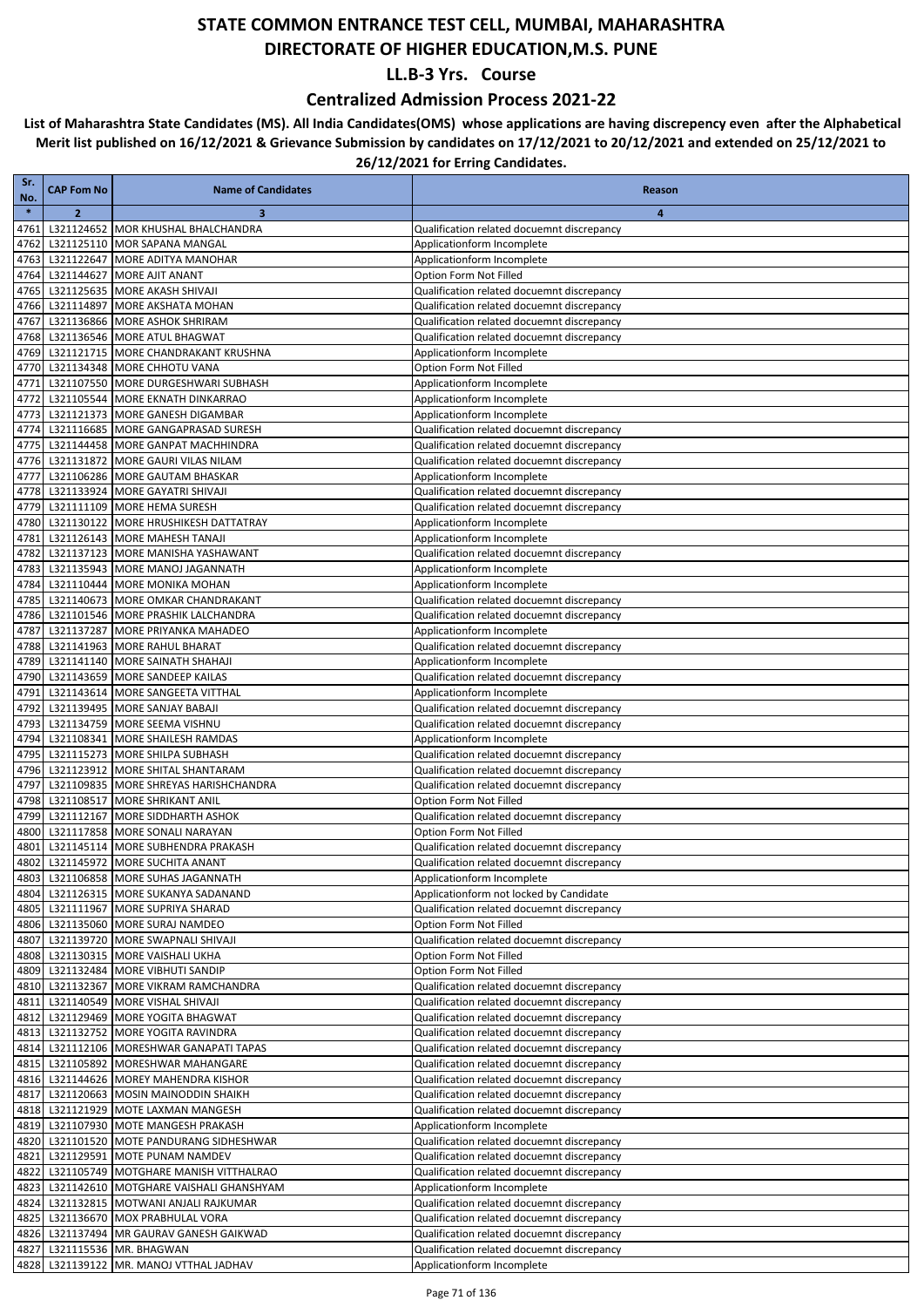### **Centralized Admission Process 2021-22**

| Sr.<br>No.   | <b>CAP Fom No</b> | <b>Name of Candidates</b>                                                       | Reason                                                                                   |
|--------------|-------------------|---------------------------------------------------------------------------------|------------------------------------------------------------------------------------------|
| $\ast$       | $\overline{2}$    | 3                                                                               | 4                                                                                        |
| 4761         |                   | L321124652 MOR KHUSHAL BHALCHANDRA                                              | Qualification related docuemnt discrepancy                                               |
| 4762         |                   | L321125110 MOR SAPANA MANGAL                                                    | Applicationform Incomplete                                                               |
| 4763         |                   | L321122647 MORE ADITYA MANOHAR                                                  | Applicationform Incomplete                                                               |
| 4764         |                   | L321144627 MORE AJIT ANANT                                                      | Option Form Not Filled                                                                   |
| 4765         |                   | L321125635 MORE AKASH SHIVAJI                                                   | Qualification related docuemnt discrepancy                                               |
| 4766         |                   | L321114897 MORE AKSHATA MOHAN                                                   | Qualification related docuemnt discrepancy                                               |
| 4767<br>4768 |                   | L321136866 MORE ASHOK SHRIRAM<br>L321136546 MORE ATUL BHAGWAT                   | Qualification related docuemnt discrepancy<br>Qualification related docuemnt discrepancy |
| 4769         |                   | L321121715   MORE CHANDRAKANT KRUSHNA                                           | Applicationform Incomplete                                                               |
| 4770         |                   | L321134348 MORE CHHOTU VANA                                                     | Option Form Not Filled                                                                   |
| 4771         |                   | L321107550 MORE DURGESHWARI SUBHASH                                             | Applicationform Incomplete                                                               |
| 4772         |                   | L321105544 MORE EKNATH DINKARRAO                                                | Applicationform Incomplete                                                               |
| 4773         |                   | L321121373 MORE GANESH DIGAMBAR                                                 | Applicationform Incomplete                                                               |
| 4774         |                   | L321116685 MORE GANGAPRASAD SURESH                                              | Qualification related docuemnt discrepancy                                               |
| 4775         |                   | L321144458 MORE GANPAT MACHHINDRA                                               | Qualification related docuemnt discrepancy                                               |
| 4776         |                   | L321131872 MORE GAURI VILAS NILAM                                               | Qualification related docuemnt discrepancy                                               |
| 4777         |                   | L321106286 MORE GAUTAM BHASKAR                                                  | Applicationform Incomplete                                                               |
| 4778         |                   | L321133924 MORE GAYATRI SHIVAJI                                                 | Qualification related docuemnt discrepancy                                               |
| 4779<br>4780 |                   | L321111109 MORE HEMA SURESH<br>L321130122 MORE HRUSHIKESH DATTATRAY             | Qualification related docuemnt discrepancy<br>Applicationform Incomplete                 |
| 4781         |                   | L321126143 MORE MAHESH TANAJI                                                   | Applicationform Incomplete                                                               |
| 4782         |                   | L321137123 MORE MANISHA YASHAWANT                                               | Qualification related docuemnt discrepancy                                               |
| 4783         |                   | L321135943 MORE MANOJ JAGANNATH                                                 | Applicationform Incomplete                                                               |
| 4784         |                   | L321110444 MORE MONIKA MOHAN                                                    | Applicationform Incomplete                                                               |
| 4785         |                   | L321140673 MORE OMKAR CHANDRAKANT                                               | Qualification related docuemnt discrepancy                                               |
| 4786         |                   | L321101546 MORE PRASHIK LALCHANDRA                                              | Qualification related docuemnt discrepancy                                               |
| 4787         |                   | L321137287 MORE PRIYANKA MAHADEO                                                | Applicationform Incomplete                                                               |
| 4788         |                   | L321141963 MORE RAHUL BHARAT                                                    | Qualification related docuemnt discrepancy                                               |
| 4789         |                   | L321141140 MORE SAINATH SHAHAJI                                                 | Applicationform Incomplete                                                               |
| 4790         |                   | L321143659 MORE SANDEEP KAILAS                                                  | Qualification related docuemnt discrepancy                                               |
| 4791         |                   | L321143614 MORE SANGEETA VITTHAL                                                | Applicationform Incomplete                                                               |
| 4792<br>4793 |                   | L321139495 MORE SANJAY BABAJI<br>L321134759 MORE SEEMA VISHNU                   | Qualification related docuemnt discrepancy<br>Qualification related docuemnt discrepancy |
| 4794         |                   | L321108341 MORE SHAILESH RAMDAS                                                 | Applicationform Incomplete                                                               |
| 4795         |                   | L321115273 MORE SHILPA SUBHASH                                                  | Qualification related docuemnt discrepancy                                               |
| 4796         |                   | L321123912 MORE SHITAL SHANTARAM                                                | Qualification related docuemnt discrepancy                                               |
| 4797         |                   | L321109835 MORE SHREYAS HARISHCHANDRA                                           | Qualification related docuemnt discrepancy                                               |
| 4798         |                   | L321108517 MORE SHRIKANT ANIL                                                   | Option Form Not Filled                                                                   |
| 4799         |                   | L321112167 MORE SIDDHARTH ASHOK                                                 | Qualification related docuemnt discrepancy                                               |
| 4800         |                   | L321117858 MORE SONALI NARAYAN                                                  | Option Form Not Filled                                                                   |
| 4801         |                   | L321145114 MORE SUBHENDRA PRAKASH                                               | Qualification related docuemnt discrepancy                                               |
| 4802         |                   | L321145972 MORE SUCHITA ANANT<br>4803 L321106858 MORE SUHAS JAGANNATH           | Qualification related docuemnt discrepancy                                               |
|              |                   | 4804 L321126315 MORE SUKANYA SADANAND                                           | Applicationform Incomplete<br>Applicationform not locked by Candidate                    |
|              |                   | 4805 L321111967 MORE SUPRIYA SHARAD                                             | Qualification related docuemnt discrepancy                                               |
| 4806         |                   | L321135060 MORE SURAJ NAMDEO                                                    | Option Form Not Filled                                                                   |
| 4807         |                   | L321139720 MORE SWAPNALI SHIVAJI                                                | Qualification related docuemnt discrepancy                                               |
| 4808         |                   | L321130315 MORE VAISHALI UKHA                                                   | Option Form Not Filled                                                                   |
| 4809         |                   | L321132484 MORE VIBHUTI SANDIP                                                  | Option Form Not Filled                                                                   |
| 4810         |                   | L321132367 MORE VIKRAM RAMCHANDRA                                               | Qualification related docuemnt discrepancy                                               |
| 4811         |                   | L321140549 MORE VISHAL SHIVAJI                                                  | Qualification related docuemnt discrepancy                                               |
| 4812         |                   | L321129469 MORE YOGITA BHAGWAT                                                  | Qualification related docuemnt discrepancy                                               |
| 4813         |                   | L321132752 MORE YOGITA RAVINDRA                                                 | Qualification related docuemnt discrepancy                                               |
|              |                   | 4814 L321112106 MORESHWAR GANAPATI TAPAS<br>4815 L321105892 MORESHWAR MAHANGARE | Qualification related docuemnt discrepancy<br>Qualification related docuemnt discrepancy |
|              |                   | 4816 L321144626 MOREY MAHENDRA KISHOR                                           | Qualification related docuemnt discrepancy                                               |
| 4817         |                   | L321120663 MOSIN MAINODDIN SHAIKH                                               | Qualification related docuemnt discrepancy                                               |
| 4818         |                   | L321121929 MOTE LAXMAN MANGESH                                                  | Qualification related docuemnt discrepancy                                               |
|              |                   | 4819 L321107930 MOTE MANGESH PRAKASH                                            | Applicationform Incomplete                                                               |
|              |                   | 4820 L321101520 MOTE PANDURANG SIDHESHWAR                                       | Qualification related docuemnt discrepancy                                               |
|              |                   | 4821 L321129591 MOTE PUNAM NAMDEV                                               | Qualification related docuemnt discrepancy                                               |
| 4822         |                   | L321105749 MOTGHARE MANISH VITTHALRAO                                           | Qualification related docuemnt discrepancy                                               |
| 4823         |                   | L321142610 MOTGHARE VAISHALI GHANSHYAM                                          | Applicationform Incomplete                                                               |
|              |                   | 4824 L321132815 MOTWANI ANJALI RAJKUMAR                                         | Qualification related docuemnt discrepancy                                               |
|              |                   | 4825 L321136670 MOX PRABHULAL VORA<br>4826 L321137494 MR GAURAV GANESH GAIKWAD  | Qualification related docuemnt discrepancy<br>Qualification related docuemnt discrepancy |
| 4827         |                   | L321115536 MR. BHAGWAN                                                          | Qualification related docuemnt discrepancy                                               |
|              |                   | 4828 L321139122 MR. MANOJ VTTHAL JADHAV                                         | Applicationform Incomplete                                                               |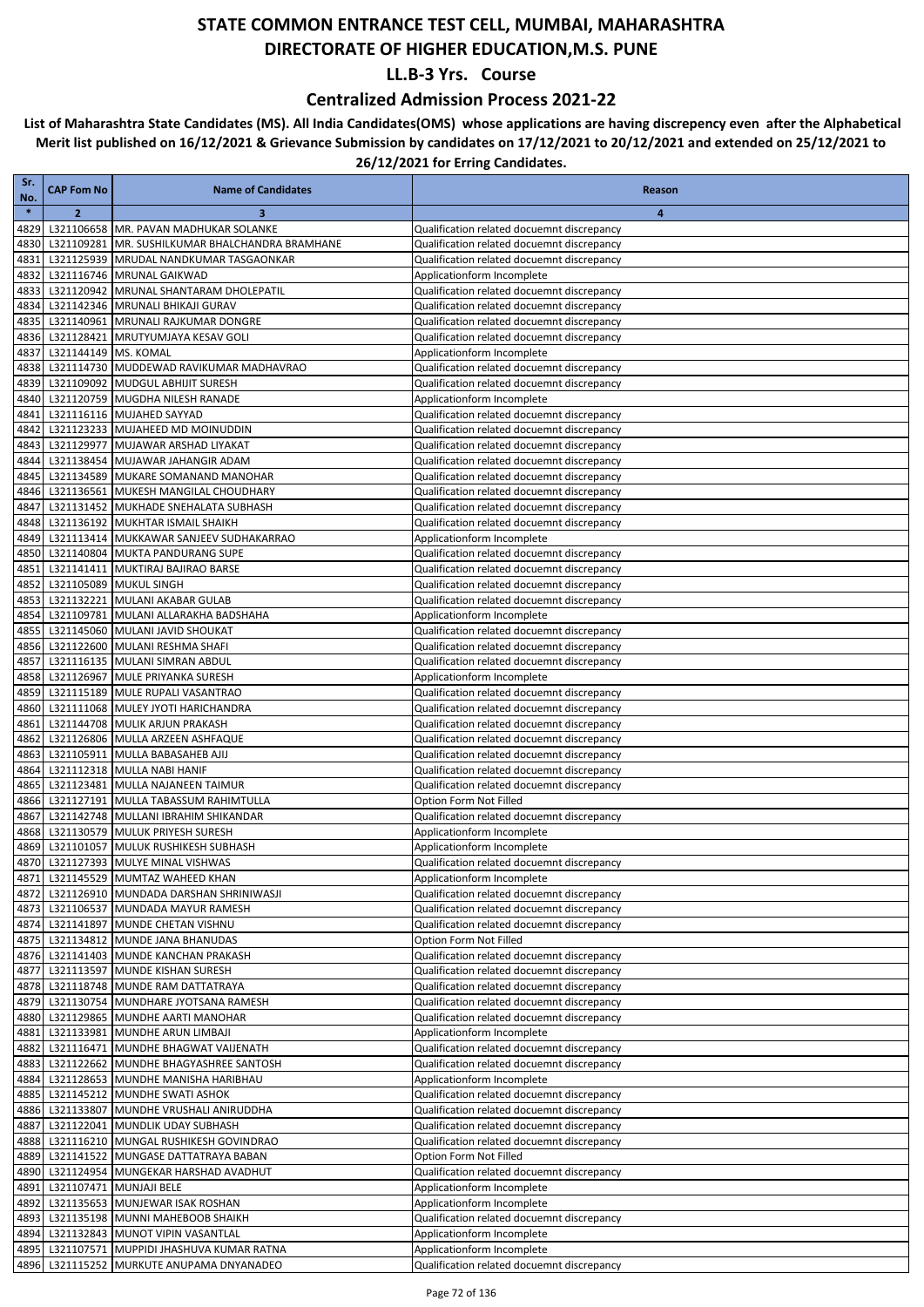### **Centralized Admission Process 2021-22**

| Sr.           | <b>CAP Fom No</b>    | <b>Name of Candidates</b>                                                    | Reason                                                                                   |
|---------------|----------------------|------------------------------------------------------------------------------|------------------------------------------------------------------------------------------|
| No.<br>$\ast$ | 2                    | 3                                                                            | 4                                                                                        |
| 4829          |                      | L321106658 MR. PAVAN MADHUKAR SOLANKE                                        | Qualification related docuemnt discrepancy                                               |
| 4830          |                      | L321109281   MR. SUSHILKUMAR BHALCHANDRA BRAMHANE                            | Qualification related docuemnt discrepancy                                               |
| 4831          |                      | L321125939 MRUDAL NANDKUMAR TASGAONKAR                                       | Qualification related docuemnt discrepancy                                               |
| 4832          |                      | L321116746 MRUNAL GAIKWAD                                                    | Applicationform Incomplete                                                               |
| 4833          |                      | L321120942 MRUNAL SHANTARAM DHOLEPATIL                                       | Qualification related docuemnt discrepancy                                               |
| 4834          |                      | L321142346 MRUNALI BHIKAJI GURAV                                             | Qualification related docuemnt discrepancy                                               |
| 4835          |                      | L321140961 MRUNALI RAJKUMAR DONGRE                                           | Qualification related docuemnt discrepancy                                               |
| 4836<br>4837  | L321144149 MS. KOMAL | L321128421 MRUTYUMJAYA KESAV GOLI                                            | Qualification related docuemnt discrepancy<br>Applicationform Incomplete                 |
| 4838          |                      | L321114730 MUDDEWAD RAVIKUMAR MADHAVRAO                                      | Qualification related docuemnt discrepancy                                               |
| 4839          |                      | L321109092 MUDGUL ABHIJIT SURESH                                             | Qualification related docuemnt discrepancy                                               |
| 4840          |                      | L321120759 MUGDHA NILESH RANADE                                              | Applicationform Incomplete                                                               |
| 4841          |                      | L321116116 MUJAHED SAYYAD                                                    | Qualification related docuemnt discrepancy                                               |
| 4842          |                      | L321123233 MUJAHEED MD MOINUDDIN                                             | Qualification related docuemnt discrepancy                                               |
| 4843          |                      | L321129977 MUJAWAR ARSHAD LIYAKAT                                            | Qualification related docuemnt discrepancy                                               |
| 4844          |                      | L321138454 MUJAWAR JAHANGIR ADAM                                             | Qualification related docuemnt discrepancy                                               |
| 4845          |                      | L321134589 MUKARE SOMANAND MANOHAR                                           | Qualification related docuemnt discrepancy                                               |
| 4846<br>4847  |                      | L321136561 MUKESH MANGILAL CHOUDHARY<br>L321131452 MUKHADE SNEHALATA SUBHASH | Qualification related docuemnt discrepancy<br>Qualification related docuemnt discrepancy |
| 4848          |                      | L321136192 MUKHTAR ISMAIL SHAIKH                                             | Qualification related docuemnt discrepancy                                               |
| 4849          |                      | L321113414 MUKKAWAR SANJEEV SUDHAKARRAO                                      | Applicationform Incomplete                                                               |
| 4850          |                      | L321140804 MUKTA PANDURANG SUPE                                              | Qualification related docuemnt discrepancy                                               |
| 4851          |                      | L321141411 MUKTIRAJ BAJIRAO BARSE                                            | Qualification related docuemnt discrepancy                                               |
| 4852          |                      | L321105089 MUKUL SINGH                                                       | Qualification related docuemnt discrepancy                                               |
| 4853          |                      | L321132221 MULANI AKABAR GULAB                                               | Qualification related docuemnt discrepancy                                               |
| 4854          |                      | L321109781 MULANI ALLARAKHA BADSHAHA                                         | Applicationform Incomplete                                                               |
| 4855          |                      | L321145060 MULANI JAVID SHOUKAT<br>L321122600 MULANI RESHMA SHAFI            | Qualification related docuemnt discrepancy                                               |
| 4856<br>4857  |                      | L321116135 MULANI SIMRAN ABDUL                                               | Qualification related docuemnt discrepancy<br>Qualification related docuemnt discrepancy |
| 4858          |                      | L321126967 MULE PRIYANKA SURESH                                              | Applicationform Incomplete                                                               |
| 4859          |                      | L321115189 MULE RUPALI VASANTRAO                                             | Qualification related docuemnt discrepancy                                               |
| 4860          |                      | L321111068 MULEY JYOTI HARICHANDRA                                           | Qualification related docuemnt discrepancy                                               |
| 4861          |                      | L321144708 MULIK ARJUN PRAKASH                                               | Qualification related docuemnt discrepancy                                               |
| 4862          |                      | L321126806 MULLA ARZEEN ASHFAQUE                                             | Qualification related docuemnt discrepancy                                               |
| 4863          |                      | L321105911 MULLA BABASAHEB AJIJ                                              | Qualification related docuemnt discrepancy                                               |
| 4864          |                      | L321112318 MULLA NABI HANIF                                                  | Qualification related docuemnt discrepancy                                               |
| 4865<br>4866  |                      | L321123481 MULLA NAJANEEN TAIMUR<br>L321127191 MULLA TABASSUM RAHIMTULLA     | Qualification related docuemnt discrepancy<br>Option Form Not Filled                     |
| 4867          |                      | L321142748 MULLANI IBRAHIM SHIKANDAR                                         | Qualification related docuemnt discrepancy                                               |
| 4868          |                      | L321130579 MULUK PRIYESH SURESH                                              | Applicationform Incomplete                                                               |
| 4869          |                      | L321101057 MULUK RUSHIKESH SUBHASH                                           | Applicationform Incomplete                                                               |
| 4870          |                      | L321127393 MULYE MINAL VISHWAS                                               | Qualification related docuemnt discrepancy                                               |
|               |                      | 4871 L321145529 MUMTAZ WAHEED KHAN                                           | Applicationform Incomplete                                                               |
| 4872          |                      | L321126910 MUNDADA DARSHAN SHRINIWASJI                                       | Qualification related docuemnt discrepancy                                               |
|               |                      | 4873 L321106537 MUNDADA MAYUR RAMESH                                         | Qualification related docuemnt discrepancy<br>Qualification related docuemnt discrepancy |
| 4874<br>4875  |                      | L321141897 MUNDE CHETAN VISHNU<br>L321134812 MUNDE JANA BHANUDAS             | Option Form Not Filled                                                                   |
|               |                      | 4876 L321141403 MUNDE KANCHAN PRAKASH                                        | Qualification related docuemnt discrepancy                                               |
| 4877          |                      | L321113597 MUNDE KISHAN SURESH                                               | Qualification related docuemnt discrepancy                                               |
| 4878          |                      | L321118748 MUNDE RAM DATTATRAYA                                              | Qualification related docuemnt discrepancy                                               |
| 4879          |                      | L321130754 MUNDHARE JYOTSANA RAMESH                                          | Qualification related docuemnt discrepancy                                               |
|               |                      | 4880 L321129865 MUNDHE AARTI MANOHAR                                         | Qualification related docuemnt discrepancy                                               |
| 4881          |                      | L321133981 MUNDHE ARUN LIMBAJI                                               | Applicationform Incomplete                                                               |
| 4882          |                      | L321116471 MUNDHE BHAGWAT VAIJENATH                                          | Qualification related docuemnt discrepancy                                               |
| 4883<br>4884  |                      | L321122662 MUNDHE BHAGYASHREE SANTOSH<br>L321128653 MUNDHE MANISHA HARIBHAU  | Qualification related docuemnt discrepancy<br>Applicationform Incomplete                 |
| 4885          |                      | L321145212 MUNDHE SWATI ASHOK                                                | Qualification related docuemnt discrepancy                                               |
|               |                      | 4886 L321133807 MUNDHE VRUSHALI ANIRUDDHA                                    | Qualification related docuemnt discrepancy                                               |
| 4887          |                      | L321122041 MUNDLIK UDAY SUBHASH                                              | Qualification related docuemnt discrepancy                                               |
| 4888          |                      | L321116210 MUNGAL RUSHIKESH GOVINDRAO                                        | Qualification related docuemnt discrepancy                                               |
| 4889          |                      | L321141522 MUNGASE DATTATRAYA BABAN                                          | Option Form Not Filled                                                                   |
| 4890          |                      | L321124954 MUNGEKAR HARSHAD AVADHUT                                          | Qualification related docuemnt discrepancy                                               |
| 4891          |                      | L321107471 MUNJAJI BELE                                                      | Applicationform Incomplete                                                               |
| 4892          |                      | L321135653 MUNJEWAR ISAK ROSHAN<br>L321135198 MUNNI MAHEBOOB SHAIKH          | Applicationform Incomplete<br>Qualification related docuemnt discrepancy                 |
| 4893          |                      | 4894 L321132843 MUNOT VIPIN VASANTLAL                                        | Applicationform Incomplete                                                               |
| 4895          |                      | L321107571 MUPPIDI JHASHUVA KUMAR RATNA                                      | Applicationform Incomplete                                                               |
|               |                      | 4896 L321115252 MURKUTE ANUPAMA DNYANADEO                                    | Qualification related docuemnt discrepancy                                               |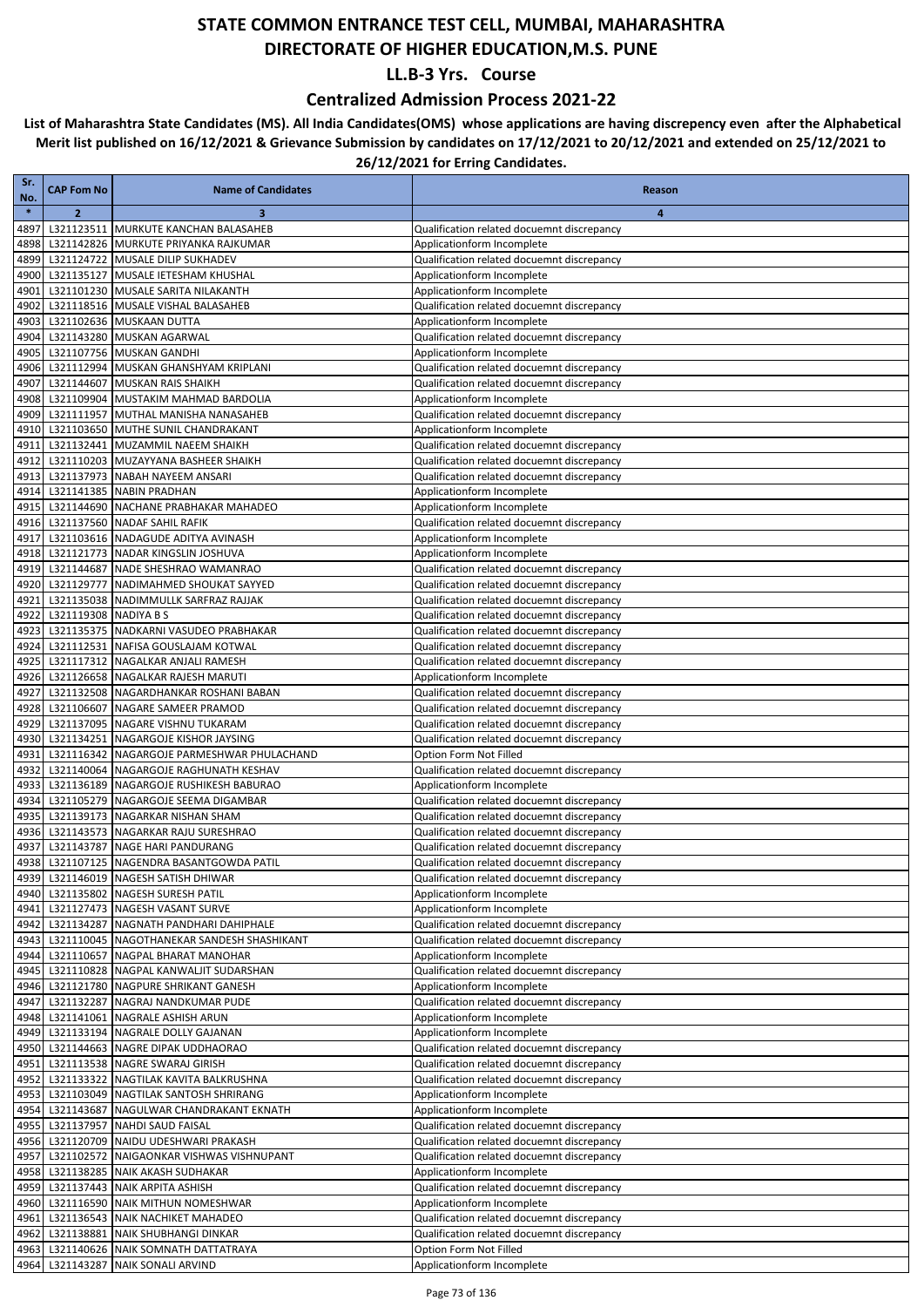### **Centralized Admission Process 2021-22**

| Sr.<br>No.   | <b>CAP Fom No</b>     | <b>Name of Candidates</b>                                                           | Reason                                                                                   |
|--------------|-----------------------|-------------------------------------------------------------------------------------|------------------------------------------------------------------------------------------|
| $\ast$       | $\overline{2}$        | 3                                                                                   | 4                                                                                        |
| 4897         |                       | L321123511 MURKUTE KANCHAN BALASAHEB                                                | Qualification related docuemnt discrepancy                                               |
| 4898         |                       | L321142826 MURKUTE PRIYANKA RAJKUMAR                                                | Applicationform Incomplete                                                               |
| 4899         |                       | L321124722 MUSALE DILIP SUKHADEV                                                    | Qualification related docuemnt discrepancy                                               |
| 4900         |                       | L321135127 MUSALE IETESHAM KHUSHAL<br>L321101230 MUSALE SARITA NILAKANTH            | Applicationform Incomplete                                                               |
| 4901<br>4902 |                       | L321118516 MUSALE VISHAL BALASAHEB                                                  | Applicationform Incomplete<br>Qualification related docuemnt discrepancy                 |
| 4903         |                       | L321102636 MUSKAAN DUTTA                                                            | Applicationform Incomplete                                                               |
| 4904         |                       | L321143280 MUSKAN AGARWAL                                                           | Qualification related docuemnt discrepancy                                               |
| 4905         |                       | L321107756 MUSKAN GANDHI                                                            | Applicationform Incomplete                                                               |
| 4906         |                       | L321112994 MUSKAN GHANSHYAM KRIPLANI                                                | Qualification related docuemnt discrepancy                                               |
| 4907         |                       | L321144607 MUSKAN RAIS SHAIKH                                                       | Qualification related docuemnt discrepancy                                               |
| 4908         |                       | L321109904 MUSTAKIM MAHMAD BARDOLIA                                                 | Applicationform Incomplete                                                               |
| 4909<br>4910 |                       | L321111957 MUTHAL MANISHA NANASAHEB<br>L321103650 MUTHE SUNIL CHANDRAKANT           | Qualification related docuemnt discrepancy<br>Applicationform Incomplete                 |
| 4911         |                       | L321132441 MUZAMMIL NAEEM SHAIKH                                                    | Qualification related docuemnt discrepancy                                               |
| 4912         |                       | L321110203 MUZAYYANA BASHEER SHAIKH                                                 | Qualification related docuemnt discrepancy                                               |
| 4913         |                       | L321137973 NABAH NAYEEM ANSARI                                                      | Qualification related docuemnt discrepancy                                               |
| 4914         |                       | L321141385 NABIN PRADHAN                                                            | Applicationform Incomplete                                                               |
| 4915         |                       | L321144690 NACHANE PRABHAKAR MAHADEO                                                | Applicationform Incomplete                                                               |
| 4916         |                       | L321137560 NADAF SAHIL RAFIK                                                        | Qualification related docuemnt discrepancy                                               |
| 4917         |                       | L321103616 NADAGUDE ADITYA AVINASH                                                  | Applicationform Incomplete                                                               |
| 4918<br>4919 |                       | L321121773 NADAR KINGSLIN JOSHUVA<br>L321144687 NADE SHESHRAO WAMANRAO              | Applicationform Incomplete<br>Qualification related docuemnt discrepancy                 |
| 4920         |                       | L321129777 NADIMAHMED SHOUKAT SAYYED                                                | Qualification related docuemnt discrepancy                                               |
| 4921         |                       | L321135038 NADIMMULLK SARFRAZ RAJJAK                                                | Qualification related docuemnt discrepancy                                               |
| 4922         | L321119308 NADIYA B S |                                                                                     | Qualification related docuemnt discrepancy                                               |
| 4923         |                       | L321135375 NADKARNI VASUDEO PRABHAKAR                                               | Qualification related docuemnt discrepancy                                               |
| 4924         |                       | L321112531 NAFISA GOUSLAJAM KOTWAL                                                  | Qualification related docuemnt discrepancy                                               |
| 4925         |                       | L321117312 NAGALKAR ANJALI RAMESH                                                   | Qualification related docuemnt discrepancy                                               |
| 4926         |                       | L321126658 NAGALKAR RAJESH MARUTI                                                   | Applicationform Incomplete                                                               |
| 4927         |                       | L321132508 NAGARDHANKAR ROSHANI BABAN                                               | Qualification related docuemnt discrepancy                                               |
| 4928<br>4929 |                       | L321106607 NAGARE SAMEER PRAMOD<br>L321137095 NAGARE VISHNU TUKARAM                 | Qualification related docuemnt discrepancy<br>Qualification related docuemnt discrepancy |
| 4930         |                       | L321134251 NAGARGOJE KISHOR JAYSING                                                 | Qualification related docuemnt discrepancy                                               |
| 4931         |                       | L321116342 NAGARGOJE PARMESHWAR PHULACHAND                                          | Option Form Not Filled                                                                   |
| 4932         |                       | L321140064 NAGARGOJE RAGHUNATH KESHAV                                               | Qualification related docuemnt discrepancy                                               |
| 4933         |                       | L321136189 NAGARGOJE RUSHIKESH BABURAO                                              | Applicationform Incomplete                                                               |
| 4934         |                       | L321105279 NAGARGOJE SEEMA DIGAMBAR                                                 | Qualification related docuemnt discrepancy                                               |
| 4935<br>4936 |                       | L321139173 NAGARKAR NISHAN SHAM<br>L321143573 NAGARKAR RAJU SURESHRAO               | Qualification related docuemnt discrepancy<br>Qualification related docuemnt discrepancy |
| 4937         |                       | L321143787 NAGE HARI PANDURANG                                                      | Qualification related docuemnt discrepancy                                               |
| 4938         |                       | L321107125 NAGENDRA BASANTGOWDA PATIL                                               | Qualification related docuemnt discrepancy                                               |
|              |                       | 4939 L321146019 NAGESH SATISH DHIWAR                                                | Qualification related docuemnt discrepancy                                               |
|              |                       | 4940 L321135802 NAGESH SURESH PATIL                                                 | Applicationform Incomplete                                                               |
|              |                       | 4941 L321127473 NAGESH VASANT SURVE                                                 | Applicationform Incomplete                                                               |
| 4942         |                       | L321134287 NAGNATH PANDHARI DAHIPHALE                                               | Qualification related docuemnt discrepancy                                               |
|              |                       | 4943 L321110045 NAGOTHANEKAR SANDESH SHASHIKANT                                     | Qualification related docuemnt discrepancy                                               |
| 4944         |                       | L321110657 NAGPAL BHARAT MANOHAR<br>4945 L321110828 NAGPAL KANWALJIT SUDARSHAN      | Applicationform Incomplete<br>Qualification related docuemnt discrepancy                 |
|              |                       | 4946 L321121780 NAGPURE SHRIKANT GANESH                                             | Applicationform Incomplete                                                               |
| 4947         |                       | L321132287 NAGRAJ NANDKUMAR PUDE                                                    | Qualification related docuemnt discrepancy                                               |
|              |                       | 4948 L321141061 NAGRALE ASHISH ARUN                                                 | Applicationform Incomplete                                                               |
|              |                       | 4949 L321133194 NAGRALE DOLLY GAJANAN                                               | Applicationform Incomplete                                                               |
|              |                       | 4950 L321144663 NAGRE DIPAK UDDHAORAO                                               | Qualification related docuemnt discrepancy                                               |
| 4951         |                       | L321113538 NAGRE SWARAJ GIRISH                                                      | Qualification related docuemnt discrepancy                                               |
|              |                       | 4952 L321133322 NAGTILAK KAVITA BALKRUSHNA                                          | Qualification related docuemnt discrepancy                                               |
| 4953         |                       | L321103049 NAGTILAK SANTOSH SHRIRANG                                                | Applicationform Incomplete                                                               |
|              |                       | 4954 L321143687 NAGULWAR CHANDRAKANT EKNATH<br>4955  L321137957   NAHDI SAUD FAISAL | Applicationform Incomplete<br>Qualification related docuemnt discrepancy                 |
|              |                       | 4956 L321120709 NAIDU UDESHWARI PRAKASH                                             | Qualification related docuemnt discrepancy                                               |
| 4957         |                       | L321102572 NAIGAONKAR VISHWAS VISHNUPANT                                            | Qualification related docuemnt discrepancy                                               |
|              |                       | 4958 L321138285 NAIK AKASH SUDHAKAR                                                 | Applicationform Incomplete                                                               |
|              |                       | 4959 L321137443 NAIK ARPITA ASHISH                                                  | Qualification related docuemnt discrepancy                                               |
|              |                       | 4960 L321116590 NAIK MITHUN NOMESHWAR                                               | Applicationform Incomplete                                                               |
|              |                       | 4961 L321136543 NAIK NACHIKET MAHADEO                                               | Qualification related docuemnt discrepancy                                               |
|              |                       | 4962 L321138881 NAIK SHUBHANGI DINKAR                                               | Qualification related docuemnt discrepancy                                               |
|              |                       | 4963 L321140626 NAIK SOMNATH DATTATRAYA<br>4964 L321143287 NAIK SONALI ARVIND       | Option Form Not Filled<br>Applicationform Incomplete                                     |
|              |                       |                                                                                     |                                                                                          |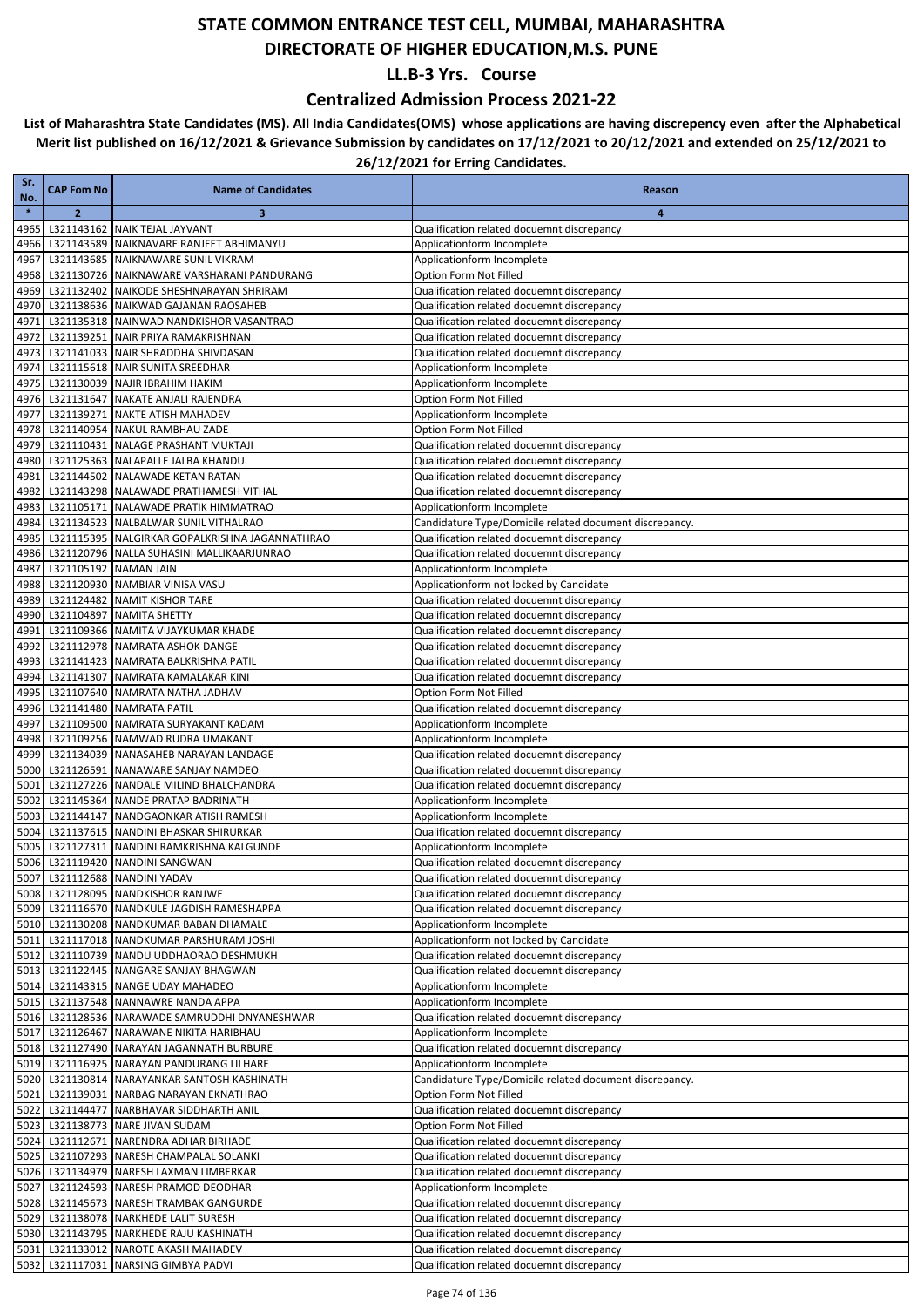### **Centralized Admission Process 2021-22**

| Sr.<br>No.   | <b>CAP Fom No</b>     | <b>Name of Candidates</b>                                                      | Reason                                                                                   |
|--------------|-----------------------|--------------------------------------------------------------------------------|------------------------------------------------------------------------------------------|
| $\ast$       | $\overline{2}$        | 3                                                                              | 4                                                                                        |
| 4965         |                       | L321143162 NAIK TEJAL JAYVANT                                                  | Qualification related docuemnt discrepancy                                               |
| 4966         |                       | L321143589 NAIKNAVARE RANJEET ABHIMANYU                                        | Applicationform Incomplete                                                               |
| 4967         |                       | L321143685 NAIKNAWARE SUNIL VIKRAM                                             | Applicationform Incomplete                                                               |
| 4968         |                       | L321130726 NAIKNAWARE VARSHARANI PANDURANG                                     | Option Form Not Filled                                                                   |
| 4969<br>4970 |                       | L321132402 NAIKODE SHESHNARAYAN SHRIRAM<br>L321138636 NAIKWAD GAJANAN RAOSAHEB | Qualification related docuemnt discrepancy<br>Qualification related docuemnt discrepancy |
| 4971         |                       | L321135318 NAINWAD NANDKISHOR VASANTRAO                                        | Qualification related docuemnt discrepancy                                               |
| 4972         |                       | L321139251 NAIR PRIYA RAMAKRISHNAN                                             | Qualification related docuemnt discrepancy                                               |
| 4973         |                       | L321141033 NAIR SHRADDHA SHIVDASAN                                             | Qualification related docuemnt discrepancy                                               |
| 4974         |                       | L321115618 NAIR SUNITA SREEDHAR                                                | Applicationform Incomplete                                                               |
| 4975         |                       | L321130039 NAJIR IBRAHIM HAKIM                                                 | Applicationform Incomplete                                                               |
| 4976         |                       | L321131647 NAKATE ANJALI RAJENDRA                                              | Option Form Not Filled                                                                   |
| 4977         |                       | L321139271 NAKTE ATISH MAHADEV                                                 | Applicationform Incomplete                                                               |
| 4978         |                       | L321140954 NAKUL RAMBHAU ZADE                                                  | Option Form Not Filled                                                                   |
| 4979         |                       | L321110431 NALAGE PRASHANT MUKTAJI                                             | Qualification related docuemnt discrepancy                                               |
| 4980<br>4981 |                       | L321125363 NALAPALLE JALBA KHANDU<br>L321144502 NALAWADE KETAN RATAN           | Qualification related docuemnt discrepancy<br>Qualification related docuemnt discrepancy |
| 4982         |                       | L321143298 NALAWADE PRATHAMESH VITHAL                                          | Qualification related docuemnt discrepancy                                               |
| 4983         |                       | L321105171 NALAWADE PRATIK HIMMATRAO                                           | Applicationform Incomplete                                                               |
| 4984         |                       | L321134523 NALBALWAR SUNIL VITHALRAO                                           | Candidature Type/Domicile related document discrepancy.                                  |
| 4985         |                       | L321115395 NALGIRKAR GOPALKRISHNA JAGANNATHRAO                                 | Qualification related docuemnt discrepancy                                               |
| 4986         |                       | L321120796 NALLA SUHASINI MALLIKAARJUNRAO                                      | Qualification related docuemnt discrepancy                                               |
| 4987         | L321105192 NAMAN JAIN |                                                                                | Applicationform Incomplete                                                               |
| 4988         |                       | L321120930 NAMBIAR VINISA VASU                                                 | Applicationform not locked by Candidate                                                  |
| 4989         |                       | L321124482 NAMIT KISHOR TARE                                                   | Qualification related docuemnt discrepancy                                               |
| 4990         |                       | L321104897 NAMITA SHETTY                                                       | Qualification related docuemnt discrepancy                                               |
| 4991<br>4992 |                       | L321109366 NAMITA VIJAYKUMAR KHADE<br>L321112978 NAMRATA ASHOK DANGE           | Qualification related docuemnt discrepancy<br>Qualification related docuemnt discrepancy |
| 4993         |                       | L321141423 NAMRATA BALKRISHNA PATIL                                            | Qualification related docuemnt discrepancy                                               |
| 4994         |                       | L321141307 NAMRATA KAMALAKAR KINI                                              | Qualification related docuemnt discrepancy                                               |
| 4995         |                       | L321107640 NAMRATA NATHA JADHAV                                                | Option Form Not Filled                                                                   |
| 4996         |                       | L321141480 NAMRATA PATIL                                                       | Qualification related docuemnt discrepancy                                               |
| 4997         |                       | L321109500 NAMRATA SURYAKANT KADAM                                             | Applicationform Incomplete                                                               |
| 4998         |                       | L321109256 NAMWAD RUDRA UMAKANT                                                | Applicationform Incomplete                                                               |
| 4999         |                       | L321134039 NANASAHEB NARAYAN LANDAGE                                           | Qualification related docuemnt discrepancy                                               |
| 5000         |                       | L321126591 NANAWARE SANJAY NAMDEO                                              | Qualification related docuemnt discrepancy                                               |
| 5001<br>5002 |                       | L321127226 NANDALE MILIND BHALCHANDRA                                          | Qualification related docuemnt discrepancy<br>Applicationform Incomplete                 |
| 5003         |                       | L321145364 NANDE PRATAP BADRINATH<br>L321144147 NANDGAONKAR ATISH RAMESH       | Applicationform Incomplete                                                               |
| 5004         |                       | L321137615 NANDINI BHASKAR SHIRURKAR                                           | Qualification related docuemnt discrepancy                                               |
| 5005         |                       | L321127311 NANDINI RAMKRISHNA KALGUNDE                                         | Applicationform Incomplete                                                               |
| 5006         |                       | L321119420 NANDINI SANGWAN                                                     | Qualification related docuemnt discrepancy                                               |
|              |                       | 5007 L321112688 NANDINI YADAV                                                  | Qualification related docuemnt discrepancy                                               |
|              |                       | 5008 L321128095 NANDKISHOR RANJWE                                              | Qualification related docuemnt discrepancy                                               |
|              |                       | 5009 L321116670 NANDKULE JAGDISH RAMESHAPPA                                    | Qualification related docuemnt discrepancy                                               |
|              |                       | 5010 L321130208 NANDKUMAR BABAN DHAMALE                                        | Applicationform Incomplete                                                               |
| 5011         |                       | L321117018 NANDKUMAR PARSHURAM JOSHI<br>L321110739 NANDU UDDHAORAO DESHMUKH    | Applicationform not locked by Candidate                                                  |
| 5012<br>5013 |                       | L321122445 NANGARE SANJAY BHAGWAN                                              | Qualification related docuemnt discrepancy<br>Qualification related docuemnt discrepancy |
|              |                       | 5014 L321143315 NANGE UDAY MAHADEO                                             | Applicationform Incomplete                                                               |
| 5015         |                       | L321137548 NANNAWRE NANDA APPA                                                 | Applicationform Incomplete                                                               |
|              |                       | 5016 L321128536 NARAWADE SAMRUDDHI DNYANESHWAR                                 | Qualification related docuemnt discrepancy                                               |
| 5017         |                       | L321126467 NARAWANE NIKITA HARIBHAU                                            | Applicationform Incomplete                                                               |
|              |                       | 5018 L321127490 NARAYAN JAGANNATH BURBURE                                      | Qualification related docuemnt discrepancy                                               |
|              |                       | 5019 L321116925 NARAYAN PANDURANG LILHARE                                      | Applicationform Incomplete                                                               |
| 5020         |                       | L321130814 NARAYANKAR SANTOSH KASHINATH                                        | Candidature Type/Domicile related document discrepancy.                                  |
| 5021<br>5022 |                       | L321139031 NARBAG NARAYAN EKNATHRAO<br>L321144477 NARBHAVAR SIDDHARTH ANIL     | Option Form Not Filled                                                                   |
| 5023         |                       | L321138773 NARE JIVAN SUDAM                                                    | Qualification related docuemnt discrepancy<br>Option Form Not Filled                     |
| 5024         |                       | L321112671 NARENDRA ADHAR BIRHADE                                              | Qualification related docuemnt discrepancy                                               |
| 5025         |                       | L321107293 NARESH CHAMPALAL SOLANKI                                            | Qualification related docuemnt discrepancy                                               |
| 5026         |                       | L321134979 NARESH LAXMAN LIMBERKAR                                             | Qualification related docuemnt discrepancy                                               |
| 5027         |                       | L321124593 NARESH PRAMOD DEODHAR                                               | Applicationform Incomplete                                                               |
|              |                       | 5028 L321145673 NARESH TRAMBAK GANGURDE                                        | Qualification related docuemnt discrepancy                                               |
| 5029         |                       | L321138078 NARKHEDE LALIT SURESH                                               | Qualification related docuemnt discrepancy                                               |
|              |                       | 5030 L321143795 NARKHEDE RAJU KASHINATH                                        | Qualification related docuemnt discrepancy                                               |
| 5031         |                       | L321133012 NAROTE AKASH MAHADEV                                                | Qualification related docuemnt discrepancy                                               |
| 5032         |                       | L321117031 NARSING GIMBYA PADVI                                                | Qualification related docuemnt discrepancy                                               |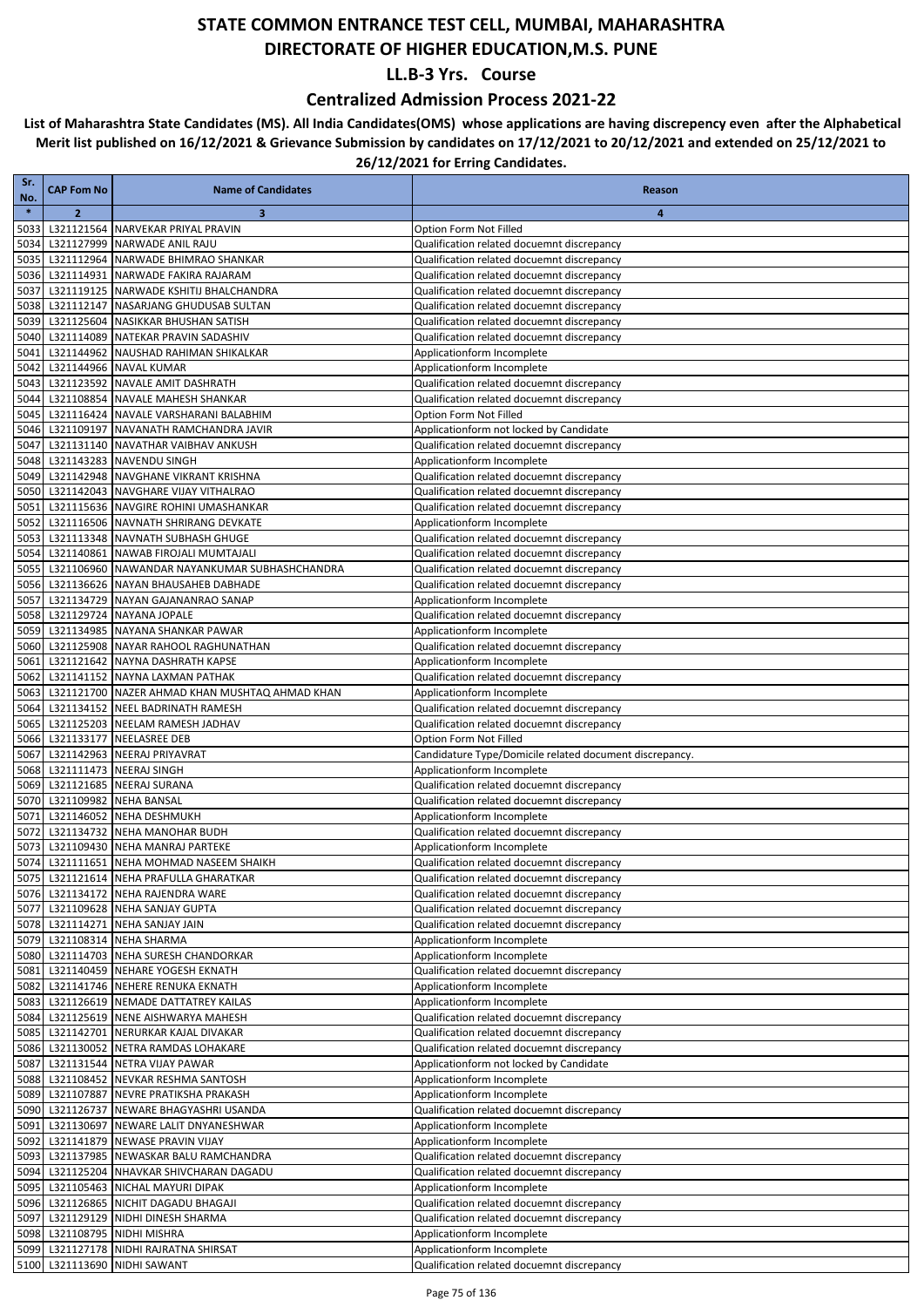### **Centralized Admission Process 2021-22**

| Sr.<br>No.   | <b>CAP Fom No</b> | <b>Name of Candidates</b>                                                  | Reason                                                                                   |
|--------------|-------------------|----------------------------------------------------------------------------|------------------------------------------------------------------------------------------|
| $\ast$       | $\overline{2}$    | 3                                                                          | 4                                                                                        |
| 5033         |                   | L321121564 NARVEKAR PRIYAL PRAVIN                                          | Option Form Not Filled                                                                   |
| 5034         |                   | L321127999 NARWADE ANIL RAJU                                               | Qualification related docuemnt discrepancy                                               |
| 5035         |                   | L321112964 NARWADE BHIMRAO SHANKAR                                         | Qualification related docuemnt discrepancy                                               |
| 5036         |                   | L321114931 NARWADE FAKIRA RAJARAM                                          | Qualification related docuemnt discrepancy                                               |
| 5037         |                   | L321119125 NARWADE KSHITIJ BHALCHANDRA                                     | Qualification related docuemnt discrepancy                                               |
| 5038         |                   | L321112147 NASARJANG GHUDUSAB SULTAN                                       | Qualification related docuemnt discrepancy                                               |
| 5039         |                   | L321125604 NASIKKAR BHUSHAN SATISH                                         | Qualification related docuemnt discrepancy                                               |
| 5040         |                   | L321114089 NATEKAR PRAVIN SADASHIV<br>L321144962 NAUSHAD RAHIMAN SHIKALKAR | Qualification related docuemnt discrepancy                                               |
| 5041<br>5042 |                   | L321144966 NAVAL KUMAR                                                     | Applicationform Incomplete<br>Applicationform Incomplete                                 |
| 5043         |                   | L321123592 NAVALE AMIT DASHRATH                                            | Qualification related docuemnt discrepancy                                               |
|              |                   | 5044 L321108854 NAVALE MAHESH SHANKAR                                      | Qualification related docuemnt discrepancy                                               |
| 5045         |                   | L321116424 NAVALE VARSHARANI BALABHIM                                      | Option Form Not Filled                                                                   |
| 5046         |                   | L321109197 NAVANATH RAMCHANDRA JAVIR                                       | Applicationform not locked by Candidate                                                  |
| 5047         |                   | L321131140 NAVATHAR VAIBHAV ANKUSH                                         | Qualification related docuemnt discrepancy                                               |
| 5048         |                   | L321143283 NAVENDU SINGH                                                   | Applicationform Incomplete                                                               |
| 5049         |                   | L321142948 NAVGHANE VIKRANT KRISHNA                                        | Qualification related docuemnt discrepancy                                               |
|              |                   | 5050 L321142043 NAVGHARE VIJAY VITHALRAO                                   | Qualification related docuemnt discrepancy                                               |
| 5051         |                   | L321115636 NAVGIRE ROHINI UMASHANKAR                                       | Qualification related docuemnt discrepancy                                               |
| 5052         |                   | L321116506 NAVNATH SHRIRANG DEVKATE                                        | Applicationform Incomplete                                                               |
| 5053<br>5054 |                   | L321113348 NAVNATH SUBHASH GHUGE<br>L321140861 NAWAB FIROJALI MUMTAJALI    | Qualification related docuemnt discrepancy<br>Qualification related docuemnt discrepancy |
| 5055         |                   | L321106960 NAWANDAR NAYANKUMAR SUBHASHCHANDRA                              | Qualification related docuemnt discrepancy                                               |
|              |                   | 5056 L321136626 NAYAN BHAUSAHEB DABHADE                                    | Qualification related docuemnt discrepancy                                               |
| 5057         |                   | L321134729 NAYAN GAJANANRAO SANAP                                          | Applicationform Incomplete                                                               |
| 5058         |                   | L321129724 NAYANA JOPALE                                                   | Qualification related docuemnt discrepancy                                               |
| 5059         |                   | L321134985 NAYANA SHANKAR PAWAR                                            | Applicationform Incomplete                                                               |
| 5060         |                   | L321125908 NAYAR RAHOOL RAGHUNATHAN                                        | Qualification related docuemnt discrepancy                                               |
| 5061         |                   | L321121642 NAYNA DASHRATH KAPSE                                            | Applicationform Incomplete                                                               |
| 5062         |                   | L321141152 NAYNA LAXMAN PATHAK                                             | Qualification related docuemnt discrepancy                                               |
| 5063         |                   | L321121700 NAZER AHMAD KHAN MUSHTAQ AHMAD KHAN                             | Applicationform Incomplete                                                               |
| 5064         |                   | L321134152 NEEL BADRINATH RAMESH                                           | Qualification related docuemnt discrepancy                                               |
| 5065<br>5066 |                   | L321125203 NEELAM RAMESH JADHAV<br>L321133177 NEELASREE DEB                | Qualification related docuemnt discrepancy<br>Option Form Not Filled                     |
| 5067         |                   | L321142963 NEERAJ PRIYAVRAT                                                | Candidature Type/Domicile related document discrepancy.                                  |
| 5068         |                   | L321111473 NEERAJ SINGH                                                    | Applicationform Incomplete                                                               |
| 5069         |                   | L321121685 NEERAJ SURANA                                                   | Qualification related docuemnt discrepancy                                               |
| 5070         |                   | L321109982 NEHA BANSAL                                                     | Qualification related docuemnt discrepancy                                               |
| 5071         |                   | L321146052 NEHA DESHMUKH                                                   | Applicationform Incomplete                                                               |
| 5072         |                   | L321134732 NEHA MANOHAR BUDH                                               | Qualification related docuemnt discrepancy                                               |
| 5073         |                   | L321109430 NEHA MANRAJ PARTEKE                                             | Applicationform Incomplete                                                               |
| 5074         |                   | L321111651 NEHA MOHMAD NASEEM SHAIKH                                       | Qualification related docuemnt discrepancy                                               |
|              |                   | 5075 L321121614 NEHA PRAFULLA GHARATKAR                                    | Qualification related docuemnt discrepancy                                               |
| 5077         |                   | 5076 L321134172 NEHA RAJENDRA WARE<br>L321109628 NEHA SANJAY GUPTA         | Qualification related docuemnt discrepancy<br>Qualification related docuemnt discrepancy |
|              |                   | 5078 L321114271 NEHA SANJAY JAIN                                           | Qualification related docuemnt discrepancy                                               |
|              |                   | 5079 L321108314 NEHA SHARMA                                                | Applicationform Incomplete                                                               |
|              |                   | 5080 L321114703 NEHA SURESH CHANDORKAR                                     | Applicationform Incomplete                                                               |
|              |                   | 5081 L321140459 NEHARE YOGESH EKNATH                                       | Qualification related docuemnt discrepancy                                               |
| 5082         |                   | L321141746 NEHERE RENUKA EKNATH                                            | Applicationform Incomplete                                                               |
|              |                   | 5083 L321126619 NEMADE DATTATREY KAILAS                                    | Applicationform Incomplete                                                               |
|              |                   | 5084 L321125619 NENE AISHWARYA MAHESH                                      | Qualification related docuemnt discrepancy                                               |
|              |                   | 5085 L321142701 NERURKAR KAJAL DIVAKAR                                     | Qualification related docuemnt discrepancy                                               |
|              |                   | 5086 L321130052 NETRA RAMDAS LOHAKARE                                      | Qualification related docuemnt discrepancy                                               |
|              |                   | 5087 L321131544 NETRA VIJAY PAWAR<br>5088 L321108452 NEVKAR RESHMA SANTOSH | Applicationform not locked by Candidate<br>Applicationform Incomplete                    |
|              |                   | 5089 L321107887 NEVRE PRATIKSHA PRAKASH                                    | Applicationform Incomplete                                                               |
|              |                   | 5090 L321126737 NEWARE BHAGYASHRI USANDA                                   | Qualification related docuemnt discrepancy                                               |
| 5091         |                   | L321130697 NEWARE LALIT DNYANESHWAR                                        | Applicationform Incomplete                                                               |
|              |                   | 5092 L321141879 NEWASE PRAVIN VIJAY                                        | Applicationform Incomplete                                                               |
|              |                   | 5093 L321137985 NEWASKAR BALU RAMCHANDRA                                   | Qualification related docuemnt discrepancy                                               |
|              |                   | 5094 L321125204 NHAVKAR SHIVCHARAN DAGADU                                  | Qualification related docuemnt discrepancy                                               |
|              |                   | 5095 L321105463 NICHAL MAYURI DIPAK                                        | Applicationform Incomplete                                                               |
|              |                   | 5096 L321126865 NICHIT DAGADU BHAGAJI                                      | Qualification related docuemnt discrepancy                                               |
|              |                   | 5097 L321129129 NIDHI DINESH SHARMA                                        | Qualification related docuemnt discrepancy                                               |
|              |                   | 5098 L321108795 NIDHI MISHRA<br>5099 L321127178 NIDHI RAJRATNA SHIRSAT     | Applicationform Incomplete<br>Applicationform Incomplete                                 |
|              |                   | 5100 L321113690 NIDHI SAWANT                                               | Qualification related docuemnt discrepancy                                               |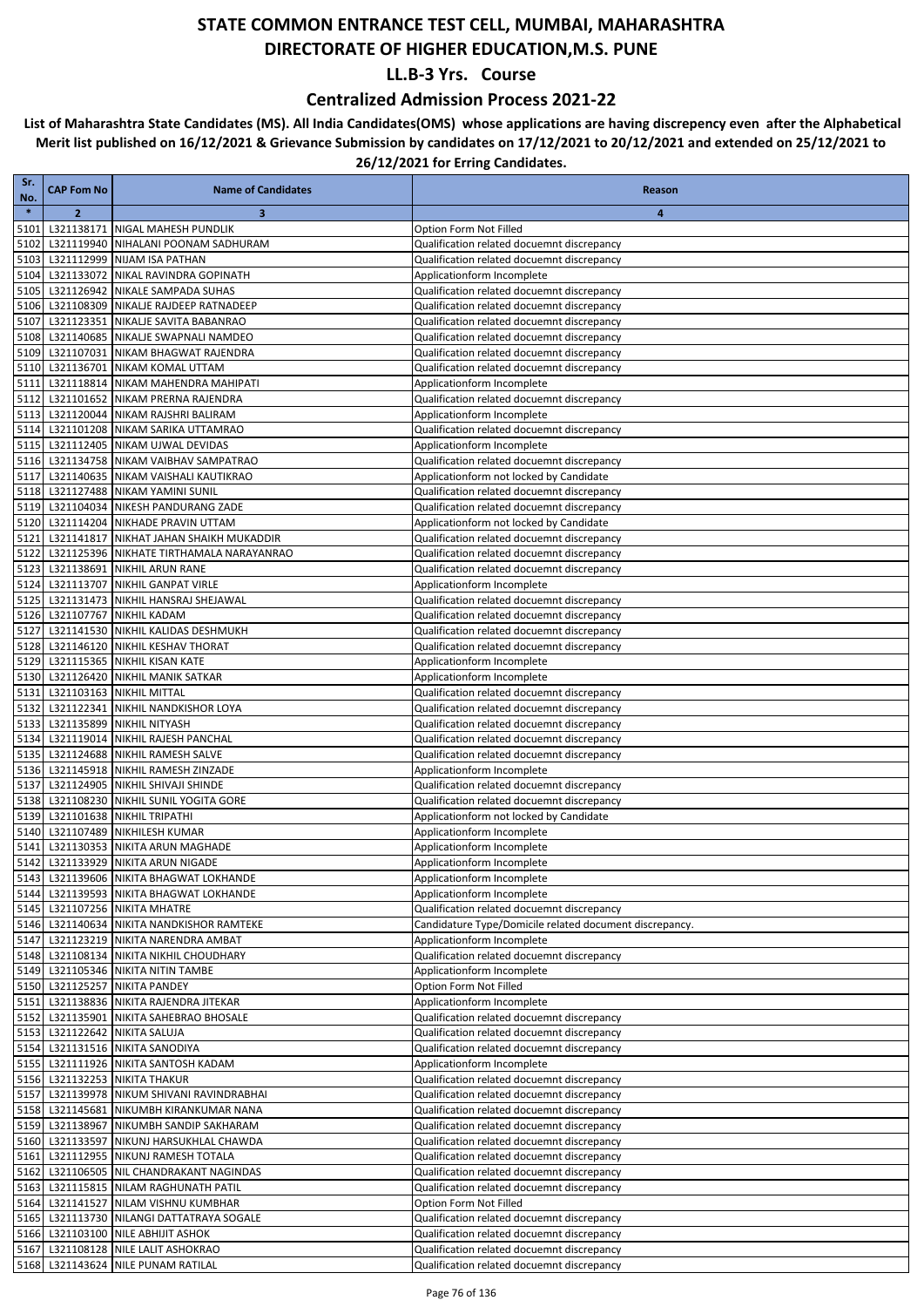### **Centralized Admission Process 2021-22**

| Sr.<br>No.   | <b>CAP Fom No</b> | <b>Name of Candidates</b>                                                             | Reason                                                                                   |
|--------------|-------------------|---------------------------------------------------------------------------------------|------------------------------------------------------------------------------------------|
| $\ast$       | $\overline{2}$    | 3                                                                                     | $\overline{4}$                                                                           |
| 5101         |                   | L321138171 NIGAL MAHESH PUNDLIK                                                       | Option Form Not Filled                                                                   |
| 5102         |                   | L321119940 NIHALANI POONAM SADHURAM                                                   | Qualification related docuemnt discrepancy                                               |
| 5103         |                   | L321112999 NIJAM ISA PATHAN                                                           | Qualification related docuemnt discrepancy                                               |
| 5104         |                   | L321133072 NIKAL RAVINDRA GOPINATH                                                    | Applicationform Incomplete                                                               |
| 5105         |                   | L321126942 NIKALE SAMPADA SUHAS                                                       | Qualification related docuemnt discrepancy                                               |
| 5106<br>5107 |                   | L321108309 NIKALJE RAJDEEP RATNADEEP<br>L321123351 NIKALJE SAVITA BABANRAO            | Qualification related docuemnt discrepancy<br>Qualification related docuemnt discrepancy |
| 5108         |                   | L321140685 NIKALJE SWAPNALI NAMDEO                                                    | Qualification related docuemnt discrepancy                                               |
| 5109         |                   | L321107031 NIKAM BHAGWAT RAJENDRA                                                     | Qualification related docuemnt discrepancy                                               |
| 5110         |                   | L321136701 NIKAM KOMAL UTTAM                                                          | Qualification related docuemnt discrepancy                                               |
| 5111         |                   | L321118814 NIKAM MAHENDRA MAHIPATI                                                    | Applicationform Incomplete                                                               |
| 5112         |                   | L321101652 NIKAM PRERNA RAJENDRA                                                      | Qualification related docuemnt discrepancy                                               |
| 5113         |                   | L321120044 NIKAM RAJSHRI BALIRAM                                                      | Applicationform Incomplete                                                               |
| 5114         |                   | L321101208 NIKAM SARIKA UTTAMRAO                                                      | Qualification related docuemnt discrepancy                                               |
| 5115         |                   | L321112405 NIKAM UJWAL DEVIDAS                                                        | Applicationform Incomplete                                                               |
| 5116<br>5117 |                   | L321134758 NIKAM VAIBHAV SAMPATRAO<br>L321140635 NIKAM VAISHALI KAUTIKRAO             | Qualification related docuemnt discrepancy<br>Applicationform not locked by Candidate    |
| 5118         |                   | L321127488 NIKAM YAMINI SUNIL                                                         | Qualification related docuemnt discrepancy                                               |
| 5119         |                   | L321104034 NIKESH PANDURANG ZADE                                                      | Qualification related docuemnt discrepancy                                               |
| 5120         |                   | L321114204 NIKHADE PRAVIN UTTAM                                                       | Applicationform not locked by Candidate                                                  |
| 5121         |                   | L321141817 NIKHAT JAHAN SHAIKH MUKADDIR                                               | Qualification related docuemnt discrepancy                                               |
| 5122         |                   | L321125396 NIKHATE TIRTHAMALA NARAYANRAO                                              | Qualification related docuemnt discrepancy                                               |
| 5123         |                   | L321138691 NIKHIL ARUN RANE                                                           | Qualification related docuemnt discrepancy                                               |
| 5124         |                   | L321113707 NIKHIL GANPAT VIRLE                                                        | Applicationform Incomplete                                                               |
| 5125         |                   | L321131473 NIKHIL HANSRAJ SHEJAWAL                                                    | Qualification related docuemnt discrepancy                                               |
| 5126         |                   | L321107767 NIKHIL KADAM                                                               | Qualification related docuemnt discrepancy                                               |
| 5127<br>5128 |                   | L321141530 NIKHIL KALIDAS DESHMUKH<br>L321146120 NIKHIL KESHAV THORAT                 | Qualification related docuemnt discrepancy<br>Qualification related docuemnt discrepancy |
| 5129         |                   | L321115365 NIKHIL KISAN KATE                                                          | Applicationform Incomplete                                                               |
| 5130         |                   | L321126420 NIKHIL MANIK SATKAR                                                        | Applicationform Incomplete                                                               |
| 5131         |                   | L321103163 NIKHIL MITTAL                                                              | Qualification related docuemnt discrepancy                                               |
| 5132         |                   | L321122341 NIKHIL NANDKISHOR LOYA                                                     | Qualification related docuemnt discrepancy                                               |
| 5133         |                   | L321135899 NIKHIL NITYASH                                                             | Qualification related docuemnt discrepancy                                               |
| 5134         |                   | L321119014 NIKHIL RAJESH PANCHAL                                                      | Qualification related docuemnt discrepancy                                               |
| 5135         |                   | L321124688 NIKHIL RAMESH SALVE                                                        | Qualification related docuemnt discrepancy                                               |
| 5136         |                   | L321145918 NIKHIL RAMESH ZINZADE                                                      | Applicationform Incomplete                                                               |
| 5137<br>5138 |                   | L321124905 NIKHIL SHIVAJI SHINDE<br>L321108230 NIKHIL SUNIL YOGITA GORE               | Qualification related docuemnt discrepancy<br>Qualification related docuemnt discrepancy |
| 5139         |                   | L321101638 NIKHIL TRIPATHI                                                            | Applicationform not locked by Candidate                                                  |
| 5140         |                   | L321107489 NIKHILESH KUMAR                                                            | Applicationform Incomplete                                                               |
| 5141         |                   | L321130353 NIKITA ARUN MAGHADE                                                        | Applicationform Incomplete                                                               |
| 5142         |                   | L321133929 NIKITA ARUN NIGADE                                                         | Applicationform Incomplete                                                               |
|              |                   | 5143 L321139606 NIKITA BHAGWAT LOKHANDE                                               | Applicationform Incomplete                                                               |
|              |                   | 5144 L321139593 NIKITA BHAGWAT LOKHANDE                                               | Applicationform Incomplete                                                               |
|              |                   | 5145 L321107256 NIKITA MHATRE                                                         | Qualification related docuemnt discrepancy                                               |
|              |                   | 5146 L321140634 NIKITA NANDKISHOR RAMTEKE                                             | Candidature Type/Domicile related document discrepancy.                                  |
|              |                   | 5147 L321123219 NIKITA NARENDRA AMBAT<br>5148 L321108134 NIKITA NIKHIL CHOUDHARY      | Applicationform Incomplete<br>Qualification related docuemnt discrepancy                 |
|              |                   | 5149 L321105346 NIKITA NITIN TAMBE                                                    | Applicationform Incomplete                                                               |
|              |                   | 5150 L321125257 NIKITA PANDEY                                                         | Option Form Not Filled                                                                   |
|              |                   | 5151 L321138836 NIKITA RAJENDRA JITEKAR                                               | Applicationform Incomplete                                                               |
|              |                   | 5152 L321135901 NIKITA SAHEBRAO BHOSALE                                               | Qualification related docuemnt discrepancy                                               |
|              |                   | 5153 L321122642 NIKITA SALUJA                                                         | Qualification related docuemnt discrepancy                                               |
|              |                   | 5154 L321131516 NIKITA SANODIYA                                                       | Qualification related docuemnt discrepancy                                               |
|              |                   | 5155 L321111926 NIKITA SANTOSH KADAM                                                  | Applicationform Incomplete                                                               |
|              |                   | 5156 L321132253 NIKITA THAKUR                                                         | Qualification related docuemnt discrepancy                                               |
|              |                   | 5157 L321139978 NIKUM SHIVANI RAVINDRABHAI<br>5158 L321145681 NIKUMBH KIRANKUMAR NANA | Qualification related docuemnt discrepancy<br>Qualification related docuemnt discrepancy |
|              |                   | 5159 L321138967 NIKUMBH SANDIP SAKHARAM                                               | Qualification related docuemnt discrepancy                                               |
|              |                   | 5160 L321133597 NIKUNJ HARSUKHLAL CHAWDA                                              | Qualification related docuemnt discrepancy                                               |
|              |                   | 5161 L321112955 NIKUNJ RAMESH TOTALA                                                  | Qualification related docuemnt discrepancy                                               |
|              |                   | 5162 L321106505 NIL CHANDRAKANT NAGINDAS                                              | Qualification related docuemnt discrepancy                                               |
|              |                   | 5163 L321115815 NILAM RAGHUNATH PATIL                                                 | Qualification related docuemnt discrepancy                                               |
|              |                   | 5164 L321141527 NILAM VISHNU KUMBHAR                                                  | Option Form Not Filled                                                                   |
|              |                   | 5165 L321113730 NILANGI DATTATRAYA SOGALE                                             | Qualification related docuemnt discrepancy                                               |
|              |                   | 5166 L321103100 NILE ABHIJIT ASHOK                                                    | Qualification related docuemnt discrepancy                                               |
|              |                   | 5167 L321108128 NILE LALIT ASHOKRAO                                                   | Qualification related docuemnt discrepancy                                               |
|              |                   | 5168 L321143624 NILE PUNAM RATILAL                                                    | Qualification related docuemnt discrepancy                                               |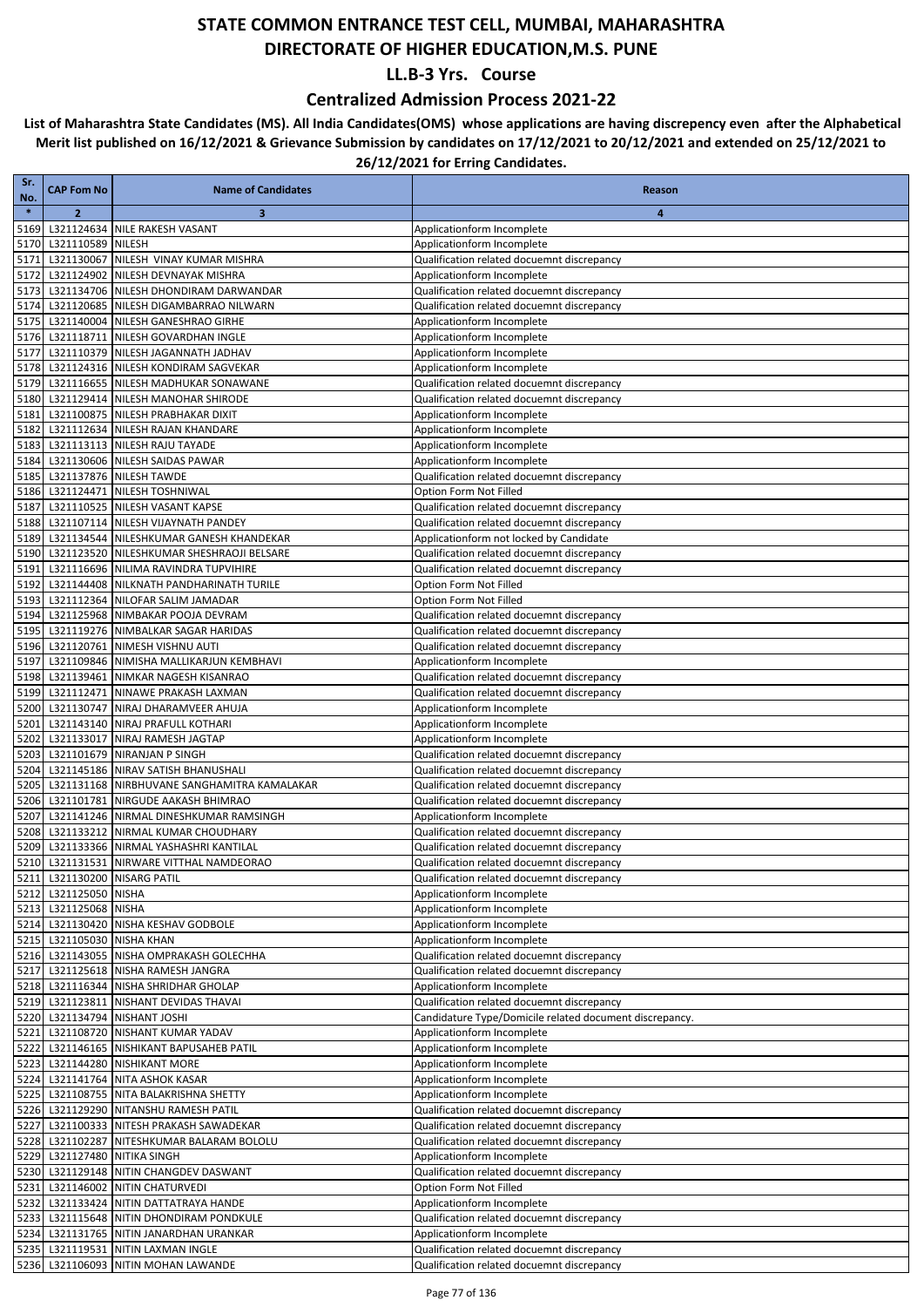### **Centralized Admission Process 2021-22**

| Sr.<br>No.   | <b>CAP Fom No</b>            | <b>Name of Candidates</b>                                                         | Reason                                                                                   |
|--------------|------------------------------|-----------------------------------------------------------------------------------|------------------------------------------------------------------------------------------|
| $\ast$       | $\overline{2}$               | $\overline{\mathbf{3}}$                                                           | 4                                                                                        |
| 5169         |                              | L321124634 NILE RAKESH VASANT                                                     | Applicationform Incomplete                                                               |
| 5170         | L321110589 NILESH            |                                                                                   | Applicationform Incomplete                                                               |
| 5171         |                              | L321130067 NILESH VINAY KUMAR MISHRA                                              | Qualification related docuemnt discrepancy                                               |
| 5172         |                              | L321124902 NILESH DEVNAYAK MISHRA                                                 | Applicationform Incomplete                                                               |
| 5173         |                              | L321134706 NILESH DHONDIRAM DARWANDAR                                             | Qualification related docuemnt discrepancy                                               |
| 5174         |                              | L321120685 NILESH DIGAMBARRAO NILWARN                                             | Qualification related docuemnt discrepancy                                               |
| 5175         |                              | L321140004 NILESH GANESHRAO GIRHE<br>L321118711 NILESH GOVARDHAN INGLE            | Applicationform Incomplete                                                               |
| 5176<br>5177 |                              | L321110379 NILESH JAGANNATH JADHAV                                                | Applicationform Incomplete<br>Applicationform Incomplete                                 |
| 5178         |                              | L321124316 NILESH KONDIRAM SAGVEKAR                                               | Applicationform Incomplete                                                               |
| 5179         |                              | L321116655 NILESH MADHUKAR SONAWANE                                               | Qualification related docuemnt discrepancy                                               |
| 5180         |                              | L321129414 NILESH MANOHAR SHIRODE                                                 | Qualification related docuemnt discrepancy                                               |
| 5181         |                              | L321100875 NILESH PRABHAKAR DIXIT                                                 | Applicationform Incomplete                                                               |
| 5182         |                              | L321112634 NILESH RAJAN KHANDARE                                                  | Applicationform Incomplete                                                               |
| 5183         |                              | L321113113 NILESH RAJU TAYADE                                                     | Applicationform Incomplete                                                               |
| 5184         |                              | L321130606 NILESH SAIDAS PAWAR                                                    | Applicationform Incomplete                                                               |
| 5185         |                              | L321137876 NILESH TAWDE                                                           | Qualification related docuemnt discrepancy                                               |
| 5186         |                              | L321124471 NILESH TOSHNIWAL                                                       | Option Form Not Filled                                                                   |
| 5187         |                              | L321110525 NILESH VASANT KAPSE                                                    | Qualification related docuemnt discrepancy                                               |
| 5188         |                              | L321107114 NILESH VIJAYNATH PANDEY                                                | Qualification related docuemnt discrepancy                                               |
| 5189         |                              | L321134544 NILESHKUMAR GANESH KHANDEKAR                                           | Applicationform not locked by Candidate                                                  |
| 5190         |                              | L321123520 NILESHKUMAR SHESHRAOJI BELSARE                                         | Qualification related docuemnt discrepancy                                               |
| 5191         |                              | L321116696 NILIMA RAVINDRA TUPVIHIRE<br>L321144408 NILKNATH PANDHARINATH TURILE   | Qualification related docuemnt discrepancy<br>Option Form Not Filled                     |
| 5192<br>5193 |                              | L321112364 NILOFAR SALIM JAMADAR                                                  | Option Form Not Filled                                                                   |
| 5194         |                              | L321125968 NIMBAKAR POOJA DEVRAM                                                  | Qualification related docuemnt discrepancy                                               |
| 5195         |                              | L321119276 NIMBALKAR SAGAR HARIDAS                                                | Qualification related docuemnt discrepancy                                               |
| 5196         |                              | L321120761 NIMESH VISHNU AUTI                                                     | Qualification related docuemnt discrepancy                                               |
| 5197         |                              | L321109846 NIMISHA MALLIKARJUN KEMBHAVI                                           | Applicationform Incomplete                                                               |
| 5198         |                              | L321139461 NIMKAR NAGESH KISANRAO                                                 | Qualification related docuemnt discrepancy                                               |
|              |                              | 5199 L321112471 NINAWE PRAKASH LAXMAN                                             | Qualification related docuemnt discrepancy                                               |
| 5200         | L321130747                   | NIRAJ DHARAMVEER AHUJA                                                            | Applicationform Incomplete                                                               |
| 5201         |                              | L321143140 NIRAJ PRAFULL KOTHARI                                                  | Applicationform Incomplete                                                               |
| 5202         |                              | L321133017 NIRAJ RAMESH JAGTAP                                                    | Applicationform Incomplete                                                               |
| 5203         |                              | L321101679 NIRANJAN P SINGH                                                       | Qualification related docuemnt discrepancy                                               |
| 5204         |                              | L321145186 NIRAV SATISH BHANUSHALI                                                | Qualification related docuemnt discrepancy                                               |
| 5205         |                              | L321131168 NIRBHUVANE SANGHAMITRA KAMALAKAR                                       | Qualification related docuemnt discrepancy                                               |
| 5206         |                              | L321101781 NIRGUDE AAKASH BHIMRAO                                                 | Qualification related docuemnt discrepancy                                               |
| 5207         |                              | L321141246 NIRMAL DINESHKUMAR RAMSINGH                                            | Applicationform Incomplete                                                               |
| 5208         |                              | L321133212 NIRMAL KUMAR CHOUDHARY                                                 | Qualification related docuemnt discrepancy                                               |
| 5209<br>5210 |                              | L321133366 NIRMAL YASHASHRI KANTILAL<br>L321131531 NIRWARE VITTHAL NAMDEORAO      | Qualification related docuemnt discrepancy<br>Qualification related docuemnt discrepancy |
|              | 5211 L321130200 NISARG PATIL |                                                                                   | Qualification related docuemnt discrepancy                                               |
|              | 5212 L321125050 NISHA        |                                                                                   | Applicationform Incomplete                                                               |
|              | 5213 L321125068 NISHA        |                                                                                   | Applicationform Incomplete                                                               |
|              |                              | 5214 L321130420 NISHA KESHAV GODBOLE                                              | Applicationform Incomplete                                                               |
|              | 5215 L321105030 NISHA KHAN   |                                                                                   | Applicationform Incomplete                                                               |
|              |                              | 5216 L321143055 NISHA OMPRAKASH GOLECHHA                                          | Qualification related docuemnt discrepancy                                               |
|              |                              | 5217 L321125618 NISHA RAMESH JANGRA                                               | Qualification related docuemnt discrepancy                                               |
|              |                              | 5218 L321116344 NISHA SHRIDHAR GHOLAP                                             | Applicationform Incomplete                                                               |
|              |                              | 5219 L321123811 NISHANT DEVIDAS THAVAI                                            | Qualification related docuemnt discrepancy                                               |
|              |                              | 5220 L321134794 NISHANT JOSHI                                                     | Candidature Type/Domicile related document discrepancy.                                  |
|              |                              | 5221 L321108720 NISHANT KUMAR YADAV                                               | Applicationform Incomplete                                                               |
| 5222         |                              | L321146165 NISHIKANT BAPUSAHEB PATIL                                              | Applicationform Incomplete                                                               |
|              |                              | 5223 L321144280 NISHIKANT MORE                                                    | Applicationform Incomplete                                                               |
|              |                              | 5224 L321141764 NITA ASHOK KASAR                                                  | Applicationform Incomplete                                                               |
| 5225         |                              | L321108755 NITA BALAKRISHNA SHETTY                                                | Applicationform Incomplete                                                               |
|              |                              | 5226 L321129290 NITANSHU RAMESH PATIL<br>5227 L321100333 NITESH PRAKASH SAWADEKAR | Qualification related docuemnt discrepancy<br>Qualification related docuemnt discrepancy |
|              |                              | 5228 L321102287 NITESHKUMAR BALARAM BOLOLU                                        | Qualification related docuemnt discrepancy                                               |
|              | 5229 L321127480 NITIKA SINGH |                                                                                   | Applicationform Incomplete                                                               |
|              |                              | 5230 L321129148 NITIN CHANGDEV DASWANT                                            | Qualification related docuemnt discrepancy                                               |
| 5231         |                              | L321146002 NITIN CHATURVEDI                                                       | Option Form Not Filled                                                                   |
| 5232         |                              | L321133424 NITIN DATTATRAYA HANDE                                                 | Applicationform Incomplete                                                               |
|              |                              | 5233 L321115648 NITIN DHONDIRAM PONDKULE                                          | Qualification related docuemnt discrepancy                                               |
|              |                              | 5234 L321131765 NITIN JANARDHAN URANKAR                                           | Applicationform Incomplete                                                               |
|              |                              | 5235 L321119531 NITIN LAXMAN INGLE                                                | Qualification related docuemnt discrepancy                                               |
|              |                              | 5236 L321106093 NITIN MOHAN LAWANDE                                               | Qualification related docuemnt discrepancy                                               |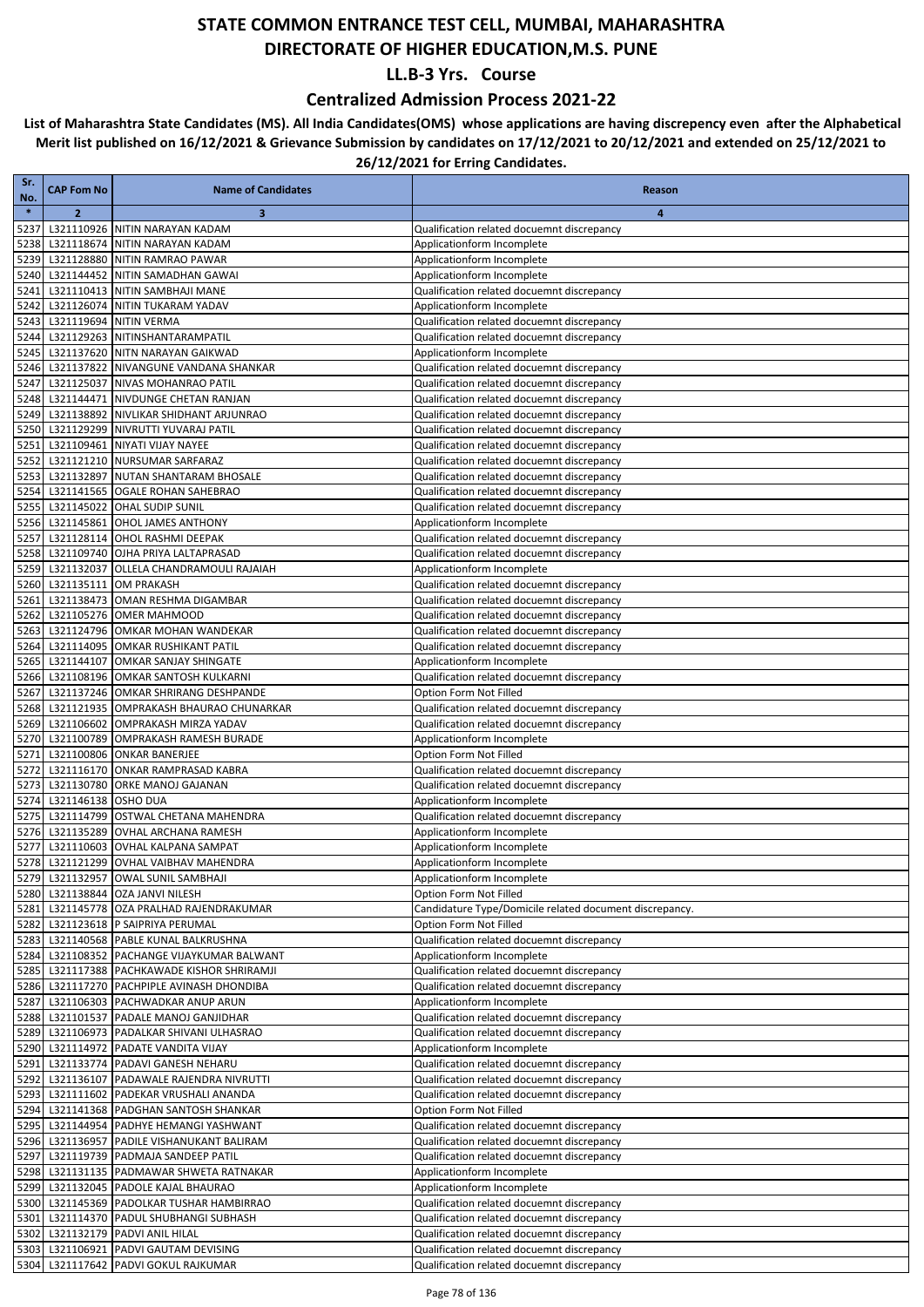### **Centralized Admission Process 2021-22**

| Sr.<br>No.   | <b>CAP Fom No</b>   | <b>Name of Candidates</b>                                                             | Reason                                                                                   |
|--------------|---------------------|---------------------------------------------------------------------------------------|------------------------------------------------------------------------------------------|
| $\ast$       | $\overline{2}$      | 3                                                                                     | 4                                                                                        |
| 5237         |                     | L321110926 NITIN NARAYAN KADAM                                                        | Qualification related docuemnt discrepancy                                               |
| 5238         |                     | L321118674 NITIN NARAYAN KADAM                                                        | Applicationform Incomplete                                                               |
| 5239         |                     | L321128880 NITIN RAMRAO PAWAR                                                         | Applicationform Incomplete                                                               |
| 5240         |                     | L321144452 NITIN SAMADHAN GAWAI                                                       | Applicationform Incomplete                                                               |
| 5241         |                     | L321110413 NITIN SAMBHAJI MANE                                                        | Qualification related docuemnt discrepancy                                               |
| 5242         |                     | L321126074 NITIN TUKARAM YADAV                                                        | Applicationform Incomplete                                                               |
| 5243         |                     | L321119694 NITIN VERMA                                                                | Qualification related docuemnt discrepancy                                               |
| 5244<br>5245 |                     | L321129263 NITINSHANTARAMPATIL<br>L321137620 NITN NARAYAN GAIKWAD                     | Qualification related docuemnt discrepancy<br>Applicationform Incomplete                 |
| 5246         |                     | L321137822 NIVANGUNE VANDANA SHANKAR                                                  | Qualification related docuemnt discrepancy                                               |
| 5247         |                     | L321125037 NIVAS MOHANRAO PATIL                                                       | Qualification related docuemnt discrepancy                                               |
| 5248         |                     | L321144471 NIVDUNGE CHETAN RANJAN                                                     | Qualification related docuemnt discrepancy                                               |
| 5249         |                     | L321138892 NIVLIKAR SHIDHANT ARJUNRAO                                                 | Qualification related docuemnt discrepancy                                               |
| 5250         |                     | L321129299 NIVRUTTI YUVARAJ PATIL                                                     | Qualification related docuemnt discrepancy                                               |
| 5251         |                     | L321109461 NIYATI VIJAY NAYEE                                                         | Qualification related docuemnt discrepancy                                               |
| 5252         |                     | L321121210 NURSUMAR SARFARAZ                                                          | Qualification related docuemnt discrepancy                                               |
| 5253         |                     | L321132897 NUTAN SHANTARAM BHOSALE                                                    | Qualification related docuemnt discrepancy                                               |
| 5254         |                     | L321141565 OGALE ROHAN SAHEBRAO                                                       | Qualification related docuemnt discrepancy                                               |
| 5255         |                     | L321145022 OHAL SUDIP SUNIL                                                           | Qualification related docuemnt discrepancy                                               |
| 5256         |                     | L321145861 OHOL JAMES ANTHONY                                                         | Applicationform Incomplete                                                               |
| 5257<br>5258 |                     | L321128114 OHOL RASHMI DEEPAK<br>L321109740 OJHA PRIYA LALTAPRASAD                    | Qualification related docuemnt discrepancy<br>Qualification related docuemnt discrepancy |
| 5259         |                     | L321132037 OLLELA CHANDRAMOULI RAJAIAH                                                | Applicationform Incomplete                                                               |
| 5260         |                     | L321135111 OM PRAKASH                                                                 | Qualification related docuemnt discrepancy                                               |
| 5261         |                     | L321138473 OMAN RESHMA DIGAMBAR                                                       | Qualification related docuemnt discrepancy                                               |
| 5262         |                     | L321105276 OMER MAHMOOD                                                               | Qualification related docuemnt discrepancy                                               |
| 5263         |                     | L321124796 OMKAR MOHAN WANDEKAR                                                       | Qualification related docuemnt discrepancy                                               |
| 5264         |                     | L321114095 OMKAR RUSHIKANT PATIL                                                      | Qualification related docuemnt discrepancy                                               |
| 5265         |                     | L321144107 OMKAR SANJAY SHINGATE                                                      | Applicationform Incomplete                                                               |
| 5266         |                     | L321108196 OMKAR SANTOSH KULKARNI                                                     | Qualification related docuemnt discrepancy                                               |
| 5267         |                     | L321137246 OMKAR SHRIRANG DESHPANDE                                                   | Option Form Not Filled                                                                   |
| 5268         |                     | L321121935 OMPRAKASH BHAURAO CHUNARKAR                                                | Qualification related docuemnt discrepancy                                               |
| 5269         |                     | L321106602 OMPRAKASH MIRZA YADAV                                                      | Qualification related docuemnt discrepancy                                               |
| 5270<br>5271 |                     | L321100789 OMPRAKASH RAMESH BURADE<br>L321100806 ONKAR BANERJEE                       | Applicationform Incomplete<br>Option Form Not Filled                                     |
| 5272         |                     | L321116170 ONKAR RAMPRASAD KABRA                                                      | Qualification related docuemnt discrepancy                                               |
| 5273         |                     | L321130780 ORKE MANOJ GAJANAN                                                         | Qualification related docuemnt discrepancy                                               |
| 5274         | L321146138 OSHO DUA |                                                                                       | Applicationform Incomplete                                                               |
| 5275         |                     | L321114799 OSTWAL CHETANA MAHENDRA                                                    | Qualification related docuemnt discrepancy                                               |
| 5276         |                     | L321135289 OVHAL ARCHANA RAMESH                                                       | Applicationform Incomplete                                                               |
| 5277         |                     | L321110603 OVHAL KALPANA SAMPAT                                                       | Applicationform Incomplete                                                               |
| 5278         |                     | L321121299 OVHAL VAIBHAV MAHENDRA                                                     | Applicationform Incomplete                                                               |
|              |                     | 5279 L321132957 OWAL SUNIL SAMBHAJI                                                   | Applicationform Incomplete                                                               |
|              |                     | 5280 L321138844 OZA JANVI NILESH                                                      | Option Form Not Filled                                                                   |
|              |                     | 5281 L321145778 OZA PRALHAD RAJENDRAKUMAR                                             | Candidature Type/Domicile related document discrepancy.                                  |
| 5282         |                     | L321123618 P SAIPRIYA PERUMAL<br>5283 L321140568 PABLE KUNAL BALKRUSHNA               | Option Form Not Filled<br>Qualification related docuemnt discrepancy                     |
|              |                     | 5284 L321108352 PACHANGE VIJAYKUMAR BALWANT                                           | Applicationform Incomplete                                                               |
|              |                     | 5285 L321117388 PACHKAWADE KISHOR SHRIRAMJI                                           | Qualification related docuemnt discrepancy                                               |
|              |                     | 5286 L321117270 PACHPIPLE AVINASH DHONDIBA                                            | Qualification related docuemnt discrepancy                                               |
| 5287         |                     | L321106303 PACHWADKAR ANUP ARUN                                                       | Applicationform Incomplete                                                               |
|              |                     | 5288 L321101537 PADALE MANOJ GANJIDHAR                                                | Qualification related docuemnt discrepancy                                               |
|              |                     | 5289 L321106973 PADALKAR SHIVANI ULHASRAO                                             | Qualification related docuemnt discrepancy                                               |
|              |                     | 5290 L321114972 PADATE VANDITA VIJAY                                                  | Applicationform Incomplete                                                               |
|              |                     | 5291 L321133774 PADAVI GANESH NEHARU                                                  | Qualification related docuemnt discrepancy                                               |
|              |                     | 5292 L321136107 PADAWALE RAJENDRA NIVRUTTI                                            | Qualification related docuemnt discrepancy                                               |
|              |                     | 5293 L321111602 PADEKAR VRUSHALI ANANDA                                               | Qualification related docuemnt discrepancy                                               |
|              |                     | 5294 L321141368 PADGHAN SANTOSH SHANKAR                                               | Option Form Not Filled                                                                   |
|              |                     | 5295 L321144954 PADHYE HEMANGI YASHWANT<br>5296 L321136957 PADILE VISHANUKANT BALIRAM | Qualification related docuemnt discrepancy<br>Qualification related docuemnt discrepancy |
|              |                     | 5297 L321119739 PADMAJA SANDEEP PATIL                                                 | Qualification related docuemnt discrepancy                                               |
|              |                     | 5298 L321131135 PADMAWAR SHWETA RATNAKAR                                              | Applicationform Incomplete                                                               |
|              |                     | 5299 L321132045 PADOLE KAJAL BHAURAO                                                  | Applicationform Incomplete                                                               |
|              |                     | 5300 L321145369 PADOLKAR TUSHAR HAMBIRRAO                                             | Qualification related docuemnt discrepancy                                               |
|              |                     | 5301 L321114370 PADUL SHUBHANGI SUBHASH                                               | Qualification related docuemnt discrepancy                                               |
|              |                     | 5302 L321132179 PADVI ANIL HILAL                                                      | Qualification related docuemnt discrepancy                                               |
|              |                     | 5303 L321106921 PADVI GAUTAM DEVISING                                                 | Qualification related docuemnt discrepancy                                               |
|              |                     | 5304 L321117642 PADVI GOKUL RAJKUMAR                                                  | Qualification related docuemnt discrepancy                                               |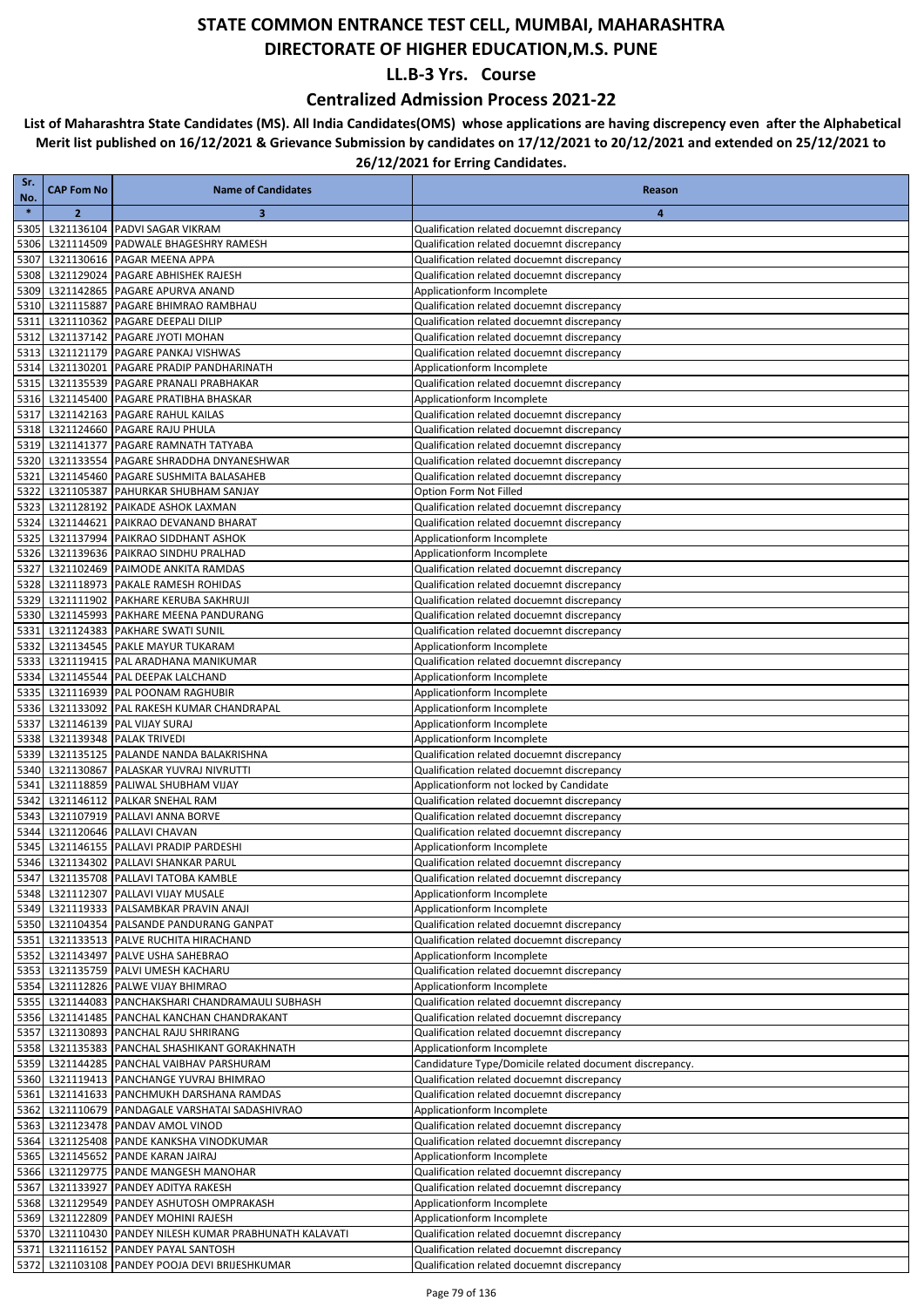### **Centralized Admission Process 2021-22**

| Sr.<br>No.   | <b>CAP Fom No</b> | <b>Name of Candidates</b>                                                                    | Reason                                                                                   |
|--------------|-------------------|----------------------------------------------------------------------------------------------|------------------------------------------------------------------------------------------|
| $\ast$       | $\overline{2}$    | 3                                                                                            | 4                                                                                        |
| 5305         |                   | L321136104 PADVI SAGAR VIKRAM                                                                | Qualification related docuemnt discrepancy                                               |
| 5306         |                   | L321114509 PADWALE BHAGESHRY RAMESH                                                          | Qualification related docuemnt discrepancy                                               |
| 5307         |                   | L321130616 PAGAR MEENA APPA                                                                  | Qualification related docuemnt discrepancy                                               |
| 5308         |                   | L321129024 PAGARE ABHISHEK RAJESH                                                            | Qualification related docuemnt discrepancy                                               |
| 5309         |                   | L321142865 PAGARE APURVA ANAND                                                               | Applicationform Incomplete                                                               |
| 5310         |                   | L321115887 PAGARE BHIMRAO RAMBHAU                                                            | Qualification related docuemnt discrepancy                                               |
| 5311         |                   | L321110362 PAGARE DEEPALI DILIP                                                              | Qualification related docuemnt discrepancy                                               |
| 5312         |                   | L321137142 PAGARE JYOTI MOHAN                                                                | Qualification related docuemnt discrepancy                                               |
| 5313         |                   | L321121179   PAGARE PANKAJ VISHWAS<br>L321130201 PAGARE PRADIP PANDHARINATH                  | Qualification related docuemnt discrepancy                                               |
| 5314<br>5315 |                   | L321135539 PAGARE PRANALI PRABHAKAR                                                          | Applicationform Incomplete<br>Qualification related docuemnt discrepancy                 |
| 5316         |                   | L321145400 PAGARE PRATIBHA BHASKAR                                                           | Applicationform Incomplete                                                               |
| 5317         |                   | L321142163   PAGARE RAHUL KAILAS                                                             | Qualification related docuemnt discrepancy                                               |
| 5318         |                   | L321124660 PAGARE RAJU PHULA                                                                 | Qualification related docuemnt discrepancy                                               |
| 5319         |                   | L321141377 PAGARE RAMNATH TATYABA                                                            | Qualification related docuemnt discrepancy                                               |
| 5320         |                   | L321133554 PAGARE SHRADDHA DNYANESHWAR                                                       | Qualification related docuemnt discrepancy                                               |
| 5321         |                   | L321145460 PAGARE SUSHMITA BALASAHEB                                                         | Qualification related docuemnt discrepancy                                               |
| 5322         |                   | L321105387 PAHURKAR SHUBHAM SANJAY                                                           | Option Form Not Filled                                                                   |
| 5323         |                   | L321128192 PAIKADE ASHOK LAXMAN                                                              | Qualification related docuemnt discrepancy                                               |
| 5324         |                   | L321144621 PAIKRAO DEVANAND BHARAT                                                           | Qualification related docuemnt discrepancy                                               |
| 5325         |                   | L321137994 PAIKRAO SIDDHANT ASHOK<br>L321139636 PAIKRAO SINDHU PRALHAD                       | Applicationform Incomplete                                                               |
| 5326<br>5327 |                   | L321102469 PAIMODE ANKITA RAMDAS                                                             | Applicationform Incomplete<br>Qualification related docuemnt discrepancy                 |
| 5328         |                   | L321118973 PAKALE RAMESH ROHIDAS                                                             | Qualification related docuemnt discrepancy                                               |
| 5329         |                   | L321111902 PAKHARE KERUBA SAKHRUJI                                                           | Qualification related docuemnt discrepancy                                               |
| 5330         |                   | L321145993 PAKHARE MEENA PANDURANG                                                           | Qualification related docuemnt discrepancy                                               |
| 5331         |                   | L321124383 PAKHARE SWATI SUNIL                                                               | Qualification related docuemnt discrepancy                                               |
| 5332         |                   | L321134545   PAKLE MAYUR TUKARAM                                                             | Applicationform Incomplete                                                               |
| 5333         |                   | L321119415 PAL ARADHANA MANIKUMAR                                                            | Qualification related docuemnt discrepancy                                               |
| 5334         |                   | L321145544 PAL DEEPAK LALCHAND                                                               | Applicationform Incomplete                                                               |
| 5335         |                   | L321116939 PAL POONAM RAGHUBIR                                                               | Applicationform Incomplete                                                               |
| 5336         |                   | L321133092 PAL RAKESH KUMAR CHANDRAPAL                                                       | Applicationform Incomplete                                                               |
| 5337         |                   | L321146139 PAL VIJAY SURAJ<br>L321139348 PALAK TRIVEDI                                       | Applicationform Incomplete                                                               |
| 5338<br>5339 |                   | L321135125 PALANDE NANDA BALAKRISHNA                                                         | Applicationform Incomplete<br>Qualification related docuemnt discrepancy                 |
| 5340         |                   | L321130867   PALASKAR YUVRAJ NIVRUTTI                                                        | Qualification related docuemnt discrepancy                                               |
| 5341         |                   | L321118859 PALIWAL SHUBHAM VIJAY                                                             | Applicationform not locked by Candidate                                                  |
| 5342         |                   | L321146112 PALKAR SNEHAL RAM                                                                 | Qualification related docuemnt discrepancy                                               |
| 5343         |                   | L321107919 PALLAVI ANNA BORVE                                                                | Qualification related docuemnt discrepancy                                               |
| 5344         |                   | L321120646 PALLAVI CHAVAN                                                                    | Qualification related docuemnt discrepancy                                               |
| 5345         |                   | L321146155 PALLAVI PRADIP PARDESHI                                                           | Applicationform Incomplete                                                               |
|              |                   | 5346 L321134302 PALLAVI SHANKAR PARUL                                                        | Qualification related docuemnt discrepancy                                               |
|              |                   | 5347 L321135708 PALLAVI TATOBA KAMBLE                                                        | Qualification related docuemnt discrepancy                                               |
|              |                   | 5348 L321112307 PALLAVI VIJAY MUSALE                                                         | Applicationform Incomplete                                                               |
|              |                   | 5349 L321119333 PALSAMBKAR PRAVIN ANAJI<br>5350 L321104354 PALSANDE PANDURANG GANPAT         | Applicationform Incomplete                                                               |
| 5351         |                   | L321133513 PALVE RUCHITA HIRACHAND                                                           | Qualification related docuemnt discrepancy<br>Qualification related docuemnt discrepancy |
| 5352         |                   | L321143497 PALVE USHA SAHEBRAO                                                               | Applicationform Incomplete                                                               |
|              |                   | 5353 L321135759 PALVI UMESH KACHARU                                                          | Qualification related docuemnt discrepancy                                               |
| 5354         |                   | L321112826 PALWE VIJAY BHIMRAO                                                               | Applicationform Incomplete                                                               |
|              |                   | 5355 L321144083 PANCHAKSHARI CHANDRAMAULI SUBHASH                                            | Qualification related docuemnt discrepancy                                               |
|              |                   | 5356 L321141485 PANCHAL KANCHAN CHANDRAKANT                                                  | Qualification related docuemnt discrepancy                                               |
| 5357         |                   | L321130893 PANCHAL RAJU SHRIRANG                                                             | Qualification related docuemnt discrepancy                                               |
|              |                   | 5358 L321135383 PANCHAL SHASHIKANT GORAKHNATH                                                | Applicationform Incomplete                                                               |
|              |                   | 5359 L321144285 PANCHAL VAIBHAV PARSHURAM                                                    | Candidature Type/Domicile related document discrepancy.                                  |
|              |                   | 5360 L321119413 PANCHANGE YUVRAJ BHIMRAO                                                     | Qualification related docuemnt discrepancy                                               |
|              |                   | 5361 L321141633 PANCHMUKH DARSHANA RAMDAS<br>5362 L321110679 PANDAGALE VARSHATAI SADASHIVRAO | Qualification related docuemnt discrepancy<br>Applicationform Incomplete                 |
| 5363         |                   | L321123478 PANDAV AMOL VINOD                                                                 | Qualification related docuemnt discrepancy                                               |
|              |                   | 5364 L321125408 PANDE KANKSHA VINODKUMAR                                                     | Qualification related docuemnt discrepancy                                               |
|              |                   | 5365 L321145652 PANDE KARAN JAIRAJ                                                           | Applicationform Incomplete                                                               |
|              |                   | 5366 L321129775 PANDE MANGESH MANOHAR                                                        | Qualification related docuemnt discrepancy                                               |
| 5367         |                   | L321133927 PANDEY ADITYA RAKESH                                                              | Qualification related docuemnt discrepancy                                               |
|              |                   | 5368 L321129549 PANDEY ASHUTOSH OMPRAKASH                                                    | Applicationform Incomplete                                                               |
|              |                   | 5369 L321122809 PANDEY MOHINI RAJESH                                                         | Applicationform Incomplete                                                               |
|              |                   | 5370 L321110430 PANDEY NILESH KUMAR PRABHUNATH KALAVATI                                      | Qualification related docuemnt discrepancy                                               |
|              |                   | 5371 L321116152 PANDEY PAYAL SANTOSH                                                         | Qualification related docuemnt discrepancy                                               |
|              |                   | 5372 L321103108 PANDEY POOJA DEVI BRIJESHKUMAR                                               | Qualification related docuemnt discrepancy                                               |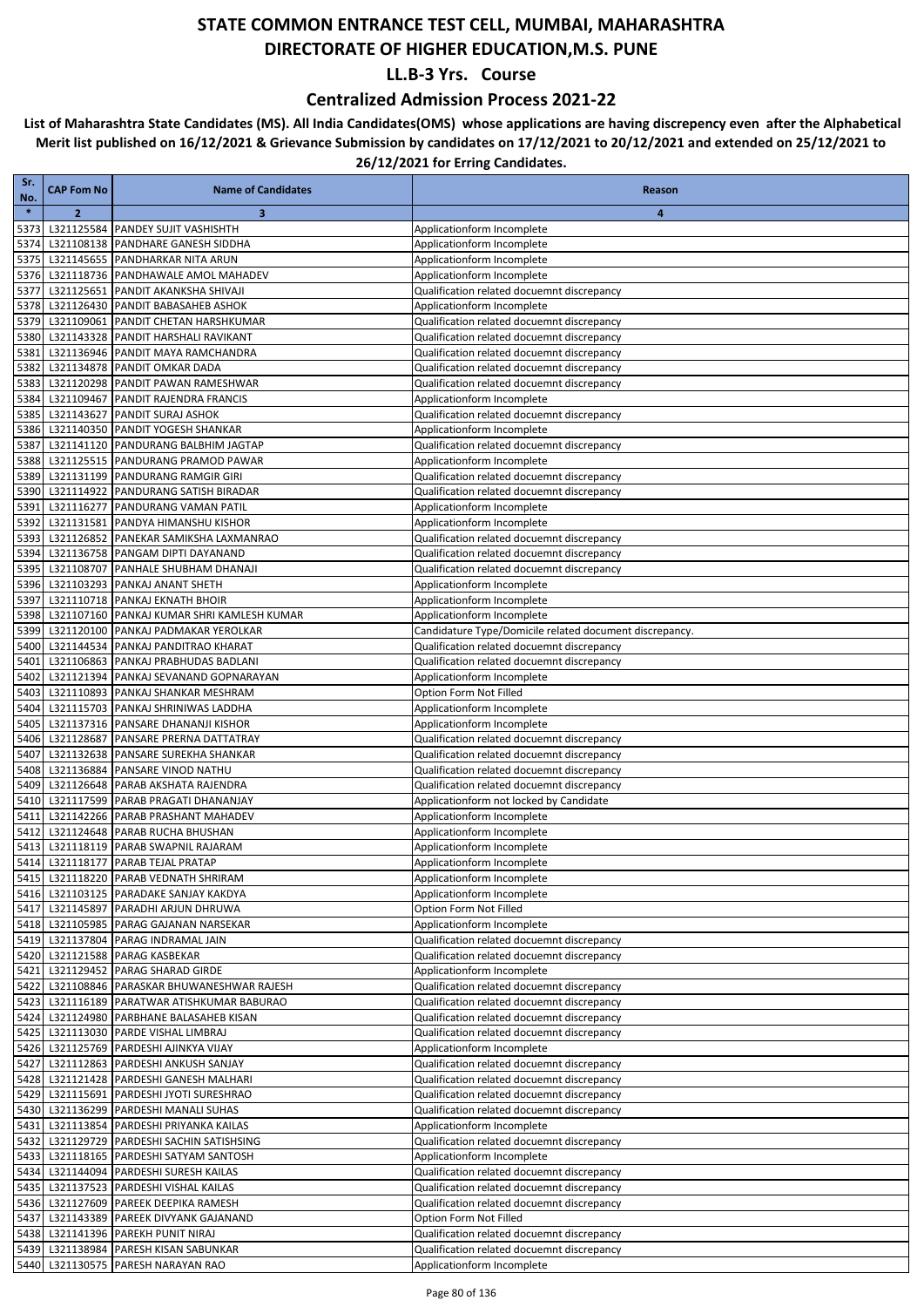### **Centralized Admission Process 2021-22**

| Sr.<br>No.   | <b>CAP Fom No</b> | <b>Name of Candidates</b>                                                                   | Reason                                                                                   |
|--------------|-------------------|---------------------------------------------------------------------------------------------|------------------------------------------------------------------------------------------|
| $\ast$       | $\overline{2}$    | 3                                                                                           | $\overline{4}$                                                                           |
| 5373         |                   | L321125584 PANDEY SUJIT VASHISHTH                                                           | Applicationform Incomplete                                                               |
| 5374         |                   | L321108138 PANDHARE GANESH SIDDHA                                                           | Applicationform Incomplete                                                               |
| 5375         |                   | L321145655 PANDHARKAR NITA ARUN                                                             | Applicationform Incomplete                                                               |
| 5376         |                   | L321118736 PANDHAWALE AMOL MAHADEV                                                          | Applicationform Incomplete                                                               |
| 5377         |                   | L321125651 PANDIT AKANKSHA SHIVAJI                                                          | Qualification related docuemnt discrepancy                                               |
| 5378         |                   | L321126430 PANDIT BABASAHEB ASHOK                                                           | Applicationform Incomplete                                                               |
| 5379         |                   | L321109061 PANDIT CHETAN HARSHKUMAR                                                         | Qualification related docuemnt discrepancy                                               |
| 5380<br>5381 |                   | L321143328 PANDIT HARSHALI RAVIKANT<br>L321136946 PANDIT MAYA RAMCHANDRA                    | Qualification related docuemnt discrepancy<br>Qualification related docuemnt discrepancy |
| 5382         |                   | L321134878 PANDIT OMKAR DADA                                                                | Qualification related docuemnt discrepancy                                               |
| 5383         |                   | L321120298 PANDIT PAWAN RAMESHWAR                                                           | Qualification related docuemnt discrepancy                                               |
| 5384         |                   | L321109467 PANDIT RAJENDRA FRANCIS                                                          | Applicationform Incomplete                                                               |
| 5385         |                   | L321143627 PANDIT SURAJ ASHOK                                                               | Qualification related docuemnt discrepancy                                               |
| 5386         |                   | L321140350 PANDIT YOGESH SHANKAR                                                            | Applicationform Incomplete                                                               |
| 5387         |                   | L321141120 PANDURANG BALBHIM JAGTAP                                                         | Qualification related docuemnt discrepancy                                               |
| 5388         |                   | L321125515 PANDURANG PRAMOD PAWAR                                                           | Applicationform Incomplete                                                               |
| 5389         |                   | L321131199 PANDURANG RAMGIR GIRI                                                            | Qualification related docuemnt discrepancy                                               |
| 5390         |                   | L321114922 PANDURANG SATISH BIRADAR                                                         | Qualification related docuemnt discrepancy                                               |
| 5391         |                   | L321116277 PANDURANG VAMAN PATIL                                                            | Applicationform Incomplete                                                               |
| 5392         |                   | L321131581 PANDYA HIMANSHU KISHOR                                                           | Applicationform Incomplete                                                               |
| 5393         |                   | L321126852 PANEKAR SAMIKSHA LAXMANRAO                                                       | Qualification related docuemnt discrepancy                                               |
| 5394<br>5395 |                   | L321136758 PANGAM DIPTI DAYANAND<br>L321108707 PANHALE SHUBHAM DHANAJI                      | Qualification related docuemnt discrepancy<br>Qualification related docuemnt discrepancy |
| 5396         |                   | L321103293 PANKAJ ANANT SHETH                                                               | Applicationform Incomplete                                                               |
| 5397         |                   | L321110718 PANKAJ EKNATH BHOIR                                                              | Applicationform Incomplete                                                               |
| 5398         |                   | L321107160 PANKAJ KUMAR SHRI KAMLESH KUMAR                                                  | Applicationform Incomplete                                                               |
| 5399         |                   | L321120100 PANKAJ PADMAKAR YEROLKAR                                                         | Candidature Type/Domicile related document discrepancy.                                  |
| 5400         |                   | L321144534 PANKAJ PANDITRAO KHARAT                                                          | Qualification related docuemnt discrepancy                                               |
| 5401         |                   | L321106863 PANKAJ PRABHUDAS BADLANI                                                         | Qualification related docuemnt discrepancy                                               |
| 5402         |                   | L321121394 PANKAJ SEVANAND GOPNARAYAN                                                       | Applicationform Incomplete                                                               |
| 5403         |                   | L321110893 PANKAJ SHANKAR MESHRAM                                                           | Option Form Not Filled                                                                   |
| 5404         |                   | L321115703 PANKAJ SHRINIWAS LADDHA                                                          | Applicationform Incomplete                                                               |
| 5405         |                   | L321137316 PANSARE DHANANJI KISHOR                                                          | Applicationform Incomplete                                                               |
| 5406         |                   | L321128687 PANSARE PRERNA DATTATRAY                                                         | Qualification related docuemnt discrepancy                                               |
| 5407         |                   | L321132638 PANSARE SUREKHA SHANKAR                                                          | Qualification related docuemnt discrepancy                                               |
| 5408         |                   | L321136884 PANSARE VINOD NATHU                                                              | Qualification related docuemnt discrepancy                                               |
| 5409<br>5410 |                   | L321126648 PARAB AKSHATA RAJENDRA<br>L321117599 PARAB PRAGATI DHANANJAY                     | Qualification related docuemnt discrepancy<br>Applicationform not locked by Candidate    |
| 5411         |                   | L321142266 PARAB PRASHANT MAHADEV                                                           | Applicationform Incomplete                                                               |
| 5412         |                   | L321124648 PARAB RUCHA BHUSHAN                                                              | Applicationform Incomplete                                                               |
| 5413         |                   | L321118119 PARAB SWAPNIL RAJARAM                                                            | Applicationform Incomplete                                                               |
| 5414         |                   | L321118177 PARAB TEJAL PRATAP                                                               | Applicationform Incomplete                                                               |
|              |                   | 5415 L321118220 PARAB VEDNATH SHRIRAM                                                       | Applicationform Incomplete                                                               |
|              |                   | 5416 L321103125 PARADAKE SANJAY KAKDYA                                                      | Applicationform Incomplete                                                               |
|              |                   | 5417 L321145897 PARADHI ARJUN DHRUWA                                                        | Option Form Not Filled                                                                   |
|              |                   | 5418 L321105985 PARAG GAJANAN NARSEKAR                                                      | Applicationform Incomplete                                                               |
|              |                   | 5419 L321137804 PARAG INDRAMAL JAIN                                                         | Qualification related docuemnt discrepancy                                               |
|              |                   | 5420 L321121588 PARAG KASBEKAR                                                              | Qualification related docuemnt discrepancy                                               |
|              |                   | 5421 L321129452 PARAG SHARAD GIRDE                                                          | Applicationform Incomplete                                                               |
|              |                   | 5422 L321108846 PARASKAR BHUWANESHWAR RAJESH<br>5423 L321116189 PARATWAR ATISHKUMAR BABURAO | Qualification related docuemnt discrepancy<br>Qualification related docuemnt discrepancy |
|              |                   | 5424 L321124980 PARBHANE BALASAHEB KISAN                                                    | Qualification related docuemnt discrepancy                                               |
|              |                   | 5425 L321113030 PARDE VISHAL LIMBRAJ                                                        | Qualification related docuemnt discrepancy                                               |
|              |                   | 5426 L321125769 PARDESHI AJINKYA VIJAY                                                      | Applicationform Incomplete                                                               |
| 5427         |                   | L321112863 PARDESHI ANKUSH SANJAY                                                           | Qualification related docuemnt discrepancy                                               |
|              |                   | 5428 L321121428 PARDESHI GANESH MALHARI                                                     | Qualification related docuemnt discrepancy                                               |
|              |                   | 5429 L321115691 PARDESHI JYOTI SURESHRAO                                                    | Qualification related docuemnt discrepancy                                               |
|              |                   | 5430 L321136299 PARDESHI MANALI SUHAS                                                       | Qualification related docuemnt discrepancy                                               |
|              |                   | 5431 L321113854 PARDESHI PRIYANKA KAILAS                                                    | Applicationform Incomplete                                                               |
| 5432         |                   | L321129729 PARDESHI SACHIN SATISHSING                                                       | Qualification related docuemnt discrepancy                                               |
|              |                   | 5433 L321118165 PARDESHI SATYAM SANTOSH                                                     | Applicationform Incomplete                                                               |
|              |                   | 5434 L321144094 PARDESHI SURESH KAILAS                                                      | Qualification related docuemnt discrepancy                                               |
|              |                   | 5435 L321137523 PARDESHI VISHAL KAILAS                                                      | Qualification related docuemnt discrepancy                                               |
|              |                   | 5436 L321127609 PAREEK DEEPIKA RAMESH<br>5437 L321143389 PAREEK DIVYANK GAJANAND            | Qualification related docuemnt discrepancy<br>Option Form Not Filled                     |
|              |                   | 5438 L321141396 PAREKH PUNIT NIRAJ                                                          | Qualification related docuemnt discrepancy                                               |
|              |                   | 5439 L321138984 PARESH KISAN SABUNKAR                                                       | Qualification related docuemnt discrepancy                                               |
|              |                   | 5440 L321130575 PARESH NARAYAN RAO                                                          | Applicationform Incomplete                                                               |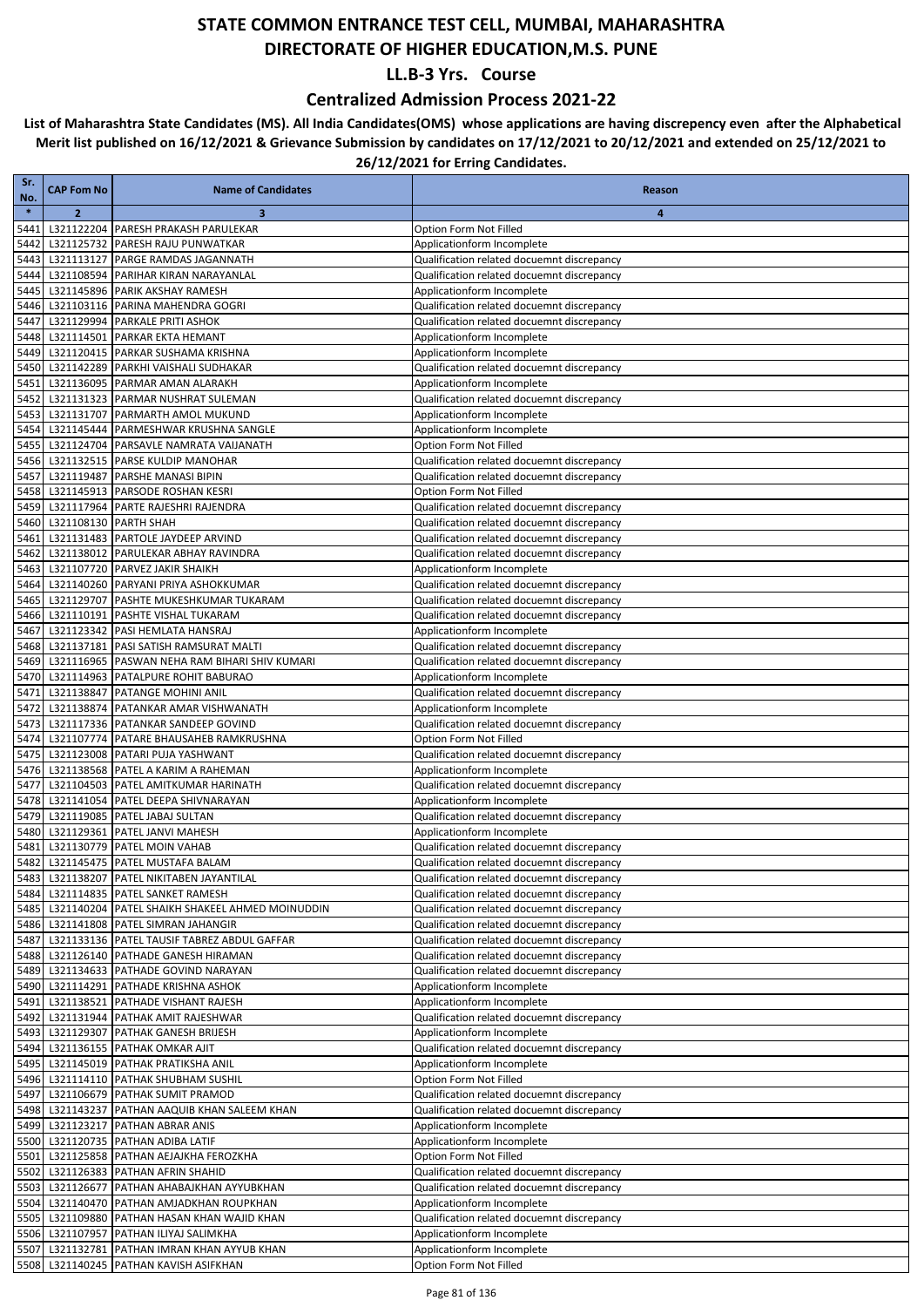### **Centralized Admission Process 2021-22**

| Sr.<br>No.   | <b>CAP Fom No</b>     | <b>Name of Candidates</b>                                                              | Reason                                                                   |
|--------------|-----------------------|----------------------------------------------------------------------------------------|--------------------------------------------------------------------------|
| $\ast$       | $\overline{2}$        | 3                                                                                      | $\overline{4}$                                                           |
| 5441         |                       | L321122204 PARESH PRAKASH PARULEKAR                                                    | Option Form Not Filled                                                   |
| 5442         |                       | L321125732 PARESH RAJU PUNWATKAR                                                       | Applicationform Incomplete                                               |
| 5443         |                       | L321113127 PARGE RAMDAS JAGANNATH                                                      | Qualification related docuemnt discrepancy                               |
| 5444         |                       | L321108594 PARIHAR KIRAN NARAYANLAL                                                    | Qualification related docuemnt discrepancy                               |
| 5445         |                       | L321145896 PARIK AKSHAY RAMESH                                                         | Applicationform Incomplete                                               |
| 5446         |                       | L321103116 PARINA MAHENDRA GOGRI                                                       | Qualification related docuemnt discrepancy                               |
| 5447         |                       | L321129994 PARKALE PRITI ASHOK<br>L321114501 PARKAR EKTA HEMANT                        | Qualification related docuemnt discrepancy                               |
| 5448<br>5449 |                       | L321120415 PARKAR SUSHAMA KRISHNA                                                      | Applicationform Incomplete<br>Applicationform Incomplete                 |
| 5450         |                       | L321142289 PARKHI VAISHALI SUDHAKAR                                                    | Qualification related docuemnt discrepancy                               |
| 5451         |                       | L321136095 PARMAR AMAN ALARAKH                                                         | Applicationform Incomplete                                               |
| 5452         |                       | L321131323 PARMAR NUSHRAT SULEMAN                                                      | Qualification related docuemnt discrepancy                               |
| 5453         |                       | L321131707 PARMARTH AMOL MUKUND                                                        | Applicationform Incomplete                                               |
| 5454         |                       | L321145444 PARMESHWAR KRUSHNA SANGLE                                                   | Applicationform Incomplete                                               |
| 5455         |                       | L321124704 PARSAVLE NAMRATA VAIJANATH                                                  | Option Form Not Filled                                                   |
| 5456         |                       | L321132515 PARSE KULDIP MANOHAR                                                        | Qualification related docuemnt discrepancy                               |
| 5457         |                       | L321119487 PARSHE MANASI BIPIN                                                         | Qualification related docuemnt discrepancy                               |
| 5458         |                       | L321145913 PARSODE ROSHAN KESRI                                                        | Option Form Not Filled                                                   |
| 5459         |                       | L321117964 PARTE RAJESHRI RAJENDRA                                                     | Qualification related docuemnt discrepancy                               |
| 5460         | L321108130 PARTH SHAH |                                                                                        | Qualification related docuemnt discrepancy                               |
| 5461         |                       | L321131483 PARTOLE JAYDEEP ARVIND                                                      | Qualification related docuemnt discrepancy                               |
| 5462         |                       | L321138012 PARULEKAR ABHAY RAVINDRA<br>L321107720 PARVEZ JAKIR SHAIKH                  | Qualification related docuemnt discrepancy                               |
| 5463<br>5464 |                       | L321140260 PARYANI PRIYA ASHOKKUMAR                                                    | Applicationform Incomplete<br>Qualification related docuemnt discrepancy |
| 5465         |                       | L321129707 PASHTE MUKESHKUMAR TUKARAM                                                  | Qualification related docuemnt discrepancy                               |
| 5466         |                       | L321110191 PASHTE VISHAL TUKARAM                                                       | Qualification related docuemnt discrepancy                               |
| 5467         |                       | L321123342 PASI HEMLATA HANSRAJ                                                        | Applicationform Incomplete                                               |
| 5468         |                       | L321137181 PASI SATISH RAMSURAT MALTI                                                  | Qualification related docuemnt discrepancy                               |
| 5469         |                       | L321116965 PASWAN NEHA RAM BIHARI SHIV KUMARI                                          | Qualification related docuemnt discrepancy                               |
| 5470         |                       | L321114963 PATALPURE ROHIT BABURAO                                                     | Applicationform Incomplete                                               |
| 5471         |                       | L321138847 PATANGE MOHINI ANIL                                                         | Qualification related docuemnt discrepancy                               |
| 5472         |                       | L321138874 PATANKAR AMAR VISHWANATH                                                    | Applicationform Incomplete                                               |
| 5473         |                       | L321117336 PATANKAR SANDEEP GOVIND                                                     | Qualification related docuemnt discrepancy                               |
| 5474         |                       | L321107774 PATARE BHAUSAHEB RAMKRUSHNA                                                 | Option Form Not Filled                                                   |
| 5475         |                       | L321123008 PATARI PUJA YASHWANT                                                        | Qualification related docuemnt discrepancy                               |
| 5476         |                       | L321138568 PATEL A KARIM A RAHEMAN                                                     | Applicationform Incomplete                                               |
| 5477<br>5478 |                       | L321104503 PATEL AMITKUMAR HARINATH<br>L321141054 PATEL DEEPA SHIVNARAYAN              | Qualification related docuemnt discrepancy<br>Applicationform Incomplete |
| 5479         |                       | L321119085 PATEL JABAJ SULTAN                                                          | Qualification related docuemnt discrepancy                               |
| 5480         |                       | L321129361 PATEL JANVI MAHESH                                                          | Applicationform Incomplete                                               |
| 5481         |                       | L321130779 PATEL MOIN VAHAB                                                            | Qualification related docuemnt discrepancy                               |
| 5482         |                       | L321145475 PATEL MUSTAFA BALAM                                                         | Qualification related docuemnt discrepancy                               |
|              |                       | 5483 L321138207 PATEL NIKITABEN JAYANTILAL                                             | Qualification related docuemnt discrepancy                               |
|              |                       | 5484 L321114835 PATEL SANKET RAMESH                                                    | Qualification related docuemnt discrepancy                               |
|              |                       | 5485 L321140204 PATEL SHAIKH SHAKEEL AHMED MOINUDDIN                                   | Qualification related docuemnt discrepancy                               |
|              |                       | 5486 L321141808 PATEL SIMRAN JAHANGIR                                                  | Qualification related docuemnt discrepancy                               |
|              |                       | 5487 L321133136 PATEL TAUSIF TABREZ ABDUL GAFFAR                                       | Qualification related docuemnt discrepancy                               |
|              |                       | 5488 L321126140 PATHADE GANESH HIRAMAN                                                 | Qualification related docuemnt discrepancy                               |
|              |                       | 5489 L321134633 PATHADE GOVIND NARAYAN                                                 | Qualification related docuemnt discrepancy                               |
|              |                       | 5490 L321114291 PATHADE KRISHNA ASHOK                                                  | Applicationform Incomplete                                               |
|              |                       | 5491 L321138521 PATHADE VISHANT RAJESH<br>5492 L321131944 PATHAK AMIT RAJESHWAR        | Applicationform Incomplete<br>Qualification related docuemnt discrepancy |
|              |                       | 5493 L321129307 PATHAK GANESH BRIJESH                                                  | Applicationform Incomplete                                               |
|              |                       | 5494 L321136155 PATHAK OMKAR AJIT                                                      | Qualification related docuemnt discrepancy                               |
|              |                       | 5495 L321145019 PATHAK PRATIKSHA ANIL                                                  | Applicationform Incomplete                                               |
|              |                       | 5496 L321114110 PATHAK SHUBHAM SUSHIL                                                  | Option Form Not Filled                                                   |
|              |                       | 5497 L321106679 PATHAK SUMIT PRAMOD                                                    | Qualification related docuemnt discrepancy                               |
|              |                       | 5498 L321143237 PATHAN AAQUIB KHAN SALEEM KHAN                                         | Qualification related docuemnt discrepancy                               |
|              |                       | 5499 L321123217 PATHAN ABRAR ANIS                                                      | Applicationform Incomplete                                               |
|              |                       | 5500 L321120735 PATHAN ADIBA LATIF                                                     | Applicationform Incomplete                                               |
|              |                       | 5501 L321125858 PATHAN AEJAJKHA FEROZKHA                                               | Option Form Not Filled                                                   |
|              |                       | 5502 L321126383 PATHAN AFRIN SHAHID                                                    | Qualification related docuemnt discrepancy                               |
|              |                       | 5503 L321126677 PATHAN AHABAJKHAN AYYUBKHAN                                            | Qualification related docuemnt discrepancy                               |
|              |                       | 5504 L321140470 PATHAN AMJADKHAN ROUPKHAN                                              | Applicationform Incomplete                                               |
|              |                       | 5505 L321109880 PATHAN HASAN KHAN WAJID KHAN<br>5506 L321107957 PATHAN ILIYAJ SALIMKHA | Qualification related docuemnt discrepancy<br>Applicationform Incomplete |
|              |                       | 5507 L321132781 PATHAN IMRAN KHAN AYYUB KHAN                                           | Applicationform Incomplete                                               |
|              |                       | 5508 L321140245 PATHAN KAVISH ASIFKHAN                                                 | Option Form Not Filled                                                   |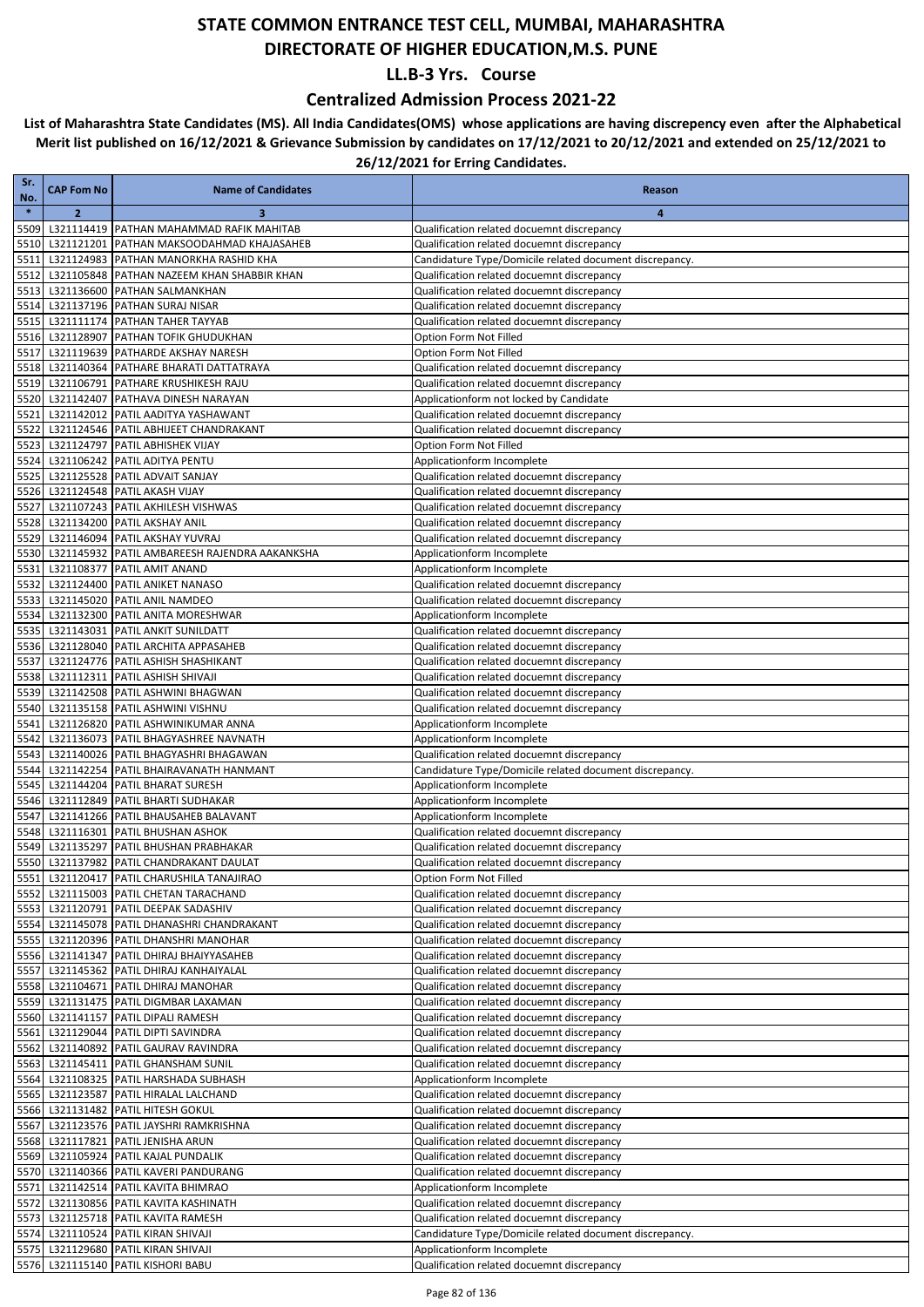### **Centralized Admission Process 2021-22**

| Sr.<br>No.   | <b>CAP Fom No</b> | <b>Name of Candidates</b>                                                     | Reason                                                                                   |
|--------------|-------------------|-------------------------------------------------------------------------------|------------------------------------------------------------------------------------------|
| $\ast$       | $\overline{2}$    | 3                                                                             | 4                                                                                        |
| 5509         |                   | L321114419 PATHAN MAHAMMAD RAFIK MAHITAB                                      | Qualification related docuemnt discrepancy                                               |
| 5510         |                   | L321121201 PATHAN MAKSOODAHMAD KHAJASAHEB                                     | Qualification related docuemnt discrepancy                                               |
| 5511         |                   | L321124983 PATHAN MANORKHA RASHID KHA                                         | Candidature Type/Domicile related document discrepancy.                                  |
| 5512         |                   | L321105848 PATHAN NAZEEM KHAN SHABBIR KHAN                                    | Qualification related docuemnt discrepancy                                               |
| 5513         |                   | L321136600 PATHAN SALMANKHAN                                                  | Qualification related docuemnt discrepancy                                               |
| 5514         |                   | L321137196 PATHAN SURAJ NISAR                                                 | Qualification related docuemnt discrepancy                                               |
| 5515         |                   | L321111174 PATHAN TAHER TAYYAB                                                | Qualification related docuemnt discrepancy                                               |
| 5516<br>5517 |                   | L321128907 PATHAN TOFIK GHUDUKHAN<br>L321119639 PATHARDE AKSHAY NARESH        | Option Form Not Filled<br>Option Form Not Filled                                         |
| 5518         |                   | L321140364   PATHARE BHARATI DATTATRAYA                                       | Qualification related docuemnt discrepancy                                               |
| 5519         |                   | L321106791 PATHARE KRUSHIKESH RAJU                                            | Qualification related docuemnt discrepancy                                               |
| 5520         |                   | L321142407 PATHAVA DINESH NARAYAN                                             | Applicationform not locked by Candidate                                                  |
| 5521         |                   | L321142012 PATIL AADITYA YASHAWANT                                            | Qualification related docuemnt discrepancy                                               |
| 5522         |                   | L321124546   PATIL ABHIJEET CHANDRAKANT                                       | Qualification related docuemnt discrepancy                                               |
| 5523         |                   | L321124797 PATIL ABHISHEK VIJAY                                               | Option Form Not Filled                                                                   |
| 5524         |                   | L321106242 PATIL ADITYA PENTU                                                 | Applicationform Incomplete                                                               |
| 5525         |                   | L321125528 PATIL ADVAIT SANJAY                                                | Qualification related docuemnt discrepancy                                               |
| 5526         |                   | L321124548 PATIL AKASH VIJAY                                                  | Qualification related docuemnt discrepancy                                               |
| 5527         |                   | L321107243 PATIL AKHILESH VISHWAS                                             | Qualification related docuemnt discrepancy                                               |
| 5528         |                   | L321134200 PATIL AKSHAY ANIL                                                  | Qualification related docuemnt discrepancy                                               |
| 5529         |                   | L321146094 PATIL AKSHAY YUVRAJ                                                | Qualification related docuemnt discrepancy                                               |
| 5530         |                   | L321145932 PATIL AMBAREESH RAJENDRA AAKANKSHA                                 | Applicationform Incomplete                                                               |
| 5531         |                   | L321108377 PATIL AMIT ANAND                                                   | Applicationform Incomplete                                                               |
| 5532<br>5533 |                   | L321124400 PATIL ANIKET NANASO<br>L321145020 PATIL ANIL NAMDEO                | Qualification related docuemnt discrepancy<br>Qualification related docuemnt discrepancy |
| 5534         |                   | L321132300 PATIL ANITA MORESHWAR                                              | Applicationform Incomplete                                                               |
| 5535         |                   | L321143031 PATIL ANKIT SUNILDATT                                              | Qualification related docuemnt discrepancy                                               |
| 5536         |                   | L321128040 PATIL ARCHITA APPASAHEB                                            | Qualification related docuemnt discrepancy                                               |
| 5537         |                   | L321124776 PATIL ASHISH SHASHIKANT                                            | Qualification related docuemnt discrepancy                                               |
| 5538         |                   | L321112311 PATIL ASHISH SHIVAJI                                               | Qualification related docuemnt discrepancy                                               |
| 5539         |                   | L321142508 PATIL ASHWINI BHAGWAN                                              | Qualification related docuemnt discrepancy                                               |
| 5540         |                   | L321135158 PATIL ASHWINI VISHNU                                               | Qualification related docuemnt discrepancy                                               |
| 5541         |                   | L321126820 PATIL ASHWINIKUMAR ANNA                                            | Applicationform Incomplete                                                               |
| 5542         |                   | L321136073   PATIL BHAGYASHREE NAVNATH                                        | Applicationform Incomplete                                                               |
| 5543         |                   | L321140026 PATIL BHAGYASHRI BHAGAWAN                                          | Qualification related docuemnt discrepancy                                               |
| 5544         |                   | L321142254 PATIL BHAIRAVANATH HANMANT                                         | Candidature Type/Domicile related document discrepancy.                                  |
| 5545         |                   | L321144204 PATIL BHARAT SURESH                                                | Applicationform Incomplete                                                               |
| 5546<br>5547 |                   | L321112849 PATIL BHARTI SUDHAKAR<br>L321141266 PATIL BHAUSAHEB BALAVANT       | Applicationform Incomplete<br>Applicationform Incomplete                                 |
| 5548         |                   | L321116301 PATIL BHUSHAN ASHOK                                                | Qualification related docuemnt discrepancy                                               |
| 5549         |                   | L321135297 PATIL BHUSHAN PRABHAKAR                                            | Qualification related docuemnt discrepancy                                               |
| 5550         |                   | L321137982 PATIL CHANDRAKANT DAULAT                                           | Qualification related docuemnt discrepancy                                               |
|              |                   | 5551 L321120417 PATIL CHARUSHILA TANAJIRAO                                    | Option Form Not Filled                                                                   |
|              |                   | 5552 L321115003 PATIL CHETAN TARACHAND                                        | Qualification related docuemnt discrepancy                                               |
|              |                   | 5553 L321120791 PATIL DEEPAK SADASHIV                                         | Qualification related docuemnt discrepancy                                               |
|              |                   | 5554 L321145078 PATIL DHANASHRI CHANDRAKANT                                   | Qualification related docuemnt discrepancy                                               |
| 5555         |                   | L321120396 PATIL DHANSHRI MANOHAR                                             | Qualification related docuemnt discrepancy                                               |
|              |                   | 5556 L321141347 PATIL DHIRAJ BHAIYYASAHEB                                     | Qualification related docuemnt discrepancy                                               |
|              |                   | 5557 L321145362 PATIL DHIRAJ KANHAIYALAL                                      | Qualification related docuemnt discrepancy                                               |
|              |                   | 5558 L321104671 PATIL DHIRAJ MANOHAR                                          | Qualification related docuemnt discrepancy                                               |
|              |                   | 5559 L321131475 PATIL DIGMBAR LAXAMAN<br>5560 L321141157 PATIL DIPALI RAMESH  | Qualification related docuemnt discrepancy                                               |
|              |                   |                                                                               | Qualification related docuemnt discrepancy                                               |
|              |                   | 5561 L321129044 PATIL DIPTI SAVINDRA<br>5562 L321140892 PATIL GAURAV RAVINDRA | Qualification related docuemnt discrepancy<br>Qualification related docuemnt discrepancy |
|              |                   | 5563 L321145411 PATIL GHANSHAM SUNIL                                          | Qualification related docuemnt discrepancy                                               |
|              |                   | 5564 L321108325 PATIL HARSHADA SUBHASH                                        | Applicationform Incomplete                                                               |
|              |                   | 5565 L321123587 PATIL HIRALAL LALCHAND                                        | Qualification related docuemnt discrepancy                                               |
|              |                   | 5566 L321131482 PATIL HITESH GOKUL                                            | Qualification related docuemnt discrepancy                                               |
|              |                   | 5567 L321123576 PATIL JAYSHRI RAMKRISHNA                                      | Qualification related docuemnt discrepancy                                               |
|              |                   | 5568 L321117821 PATIL JENISHA ARUN                                            | Qualification related docuemnt discrepancy                                               |
|              |                   | 5569 L321105924 PATIL KAJAL PUNDALIK                                          | Qualification related docuemnt discrepancy                                               |
|              |                   | 5570 L321140366 PATIL KAVERI PANDURANG                                        | Qualification related docuemnt discrepancy                                               |
|              |                   | 5571 L321142514 PATIL KAVITA BHIMRAO                                          | Applicationform Incomplete                                                               |
|              |                   | 5572 L321130856 PATIL KAVITA KASHINATH                                        | Qualification related docuemnt discrepancy                                               |
|              |                   | 5573 L321125718 PATIL KAVITA RAMESH                                           | Qualification related docuemnt discrepancy                                               |
|              |                   | 5574 L321110524 PATIL KIRAN SHIVAJI                                           | Candidature Type/Domicile related document discrepancy.                                  |
|              |                   | 5575 L321129680 PATIL KIRAN SHIVAJI<br>5576 L321115140 PATIL KISHORI BABU     | Applicationform Incomplete<br>Qualification related docuemnt discrepancy                 |
|              |                   |                                                                               |                                                                                          |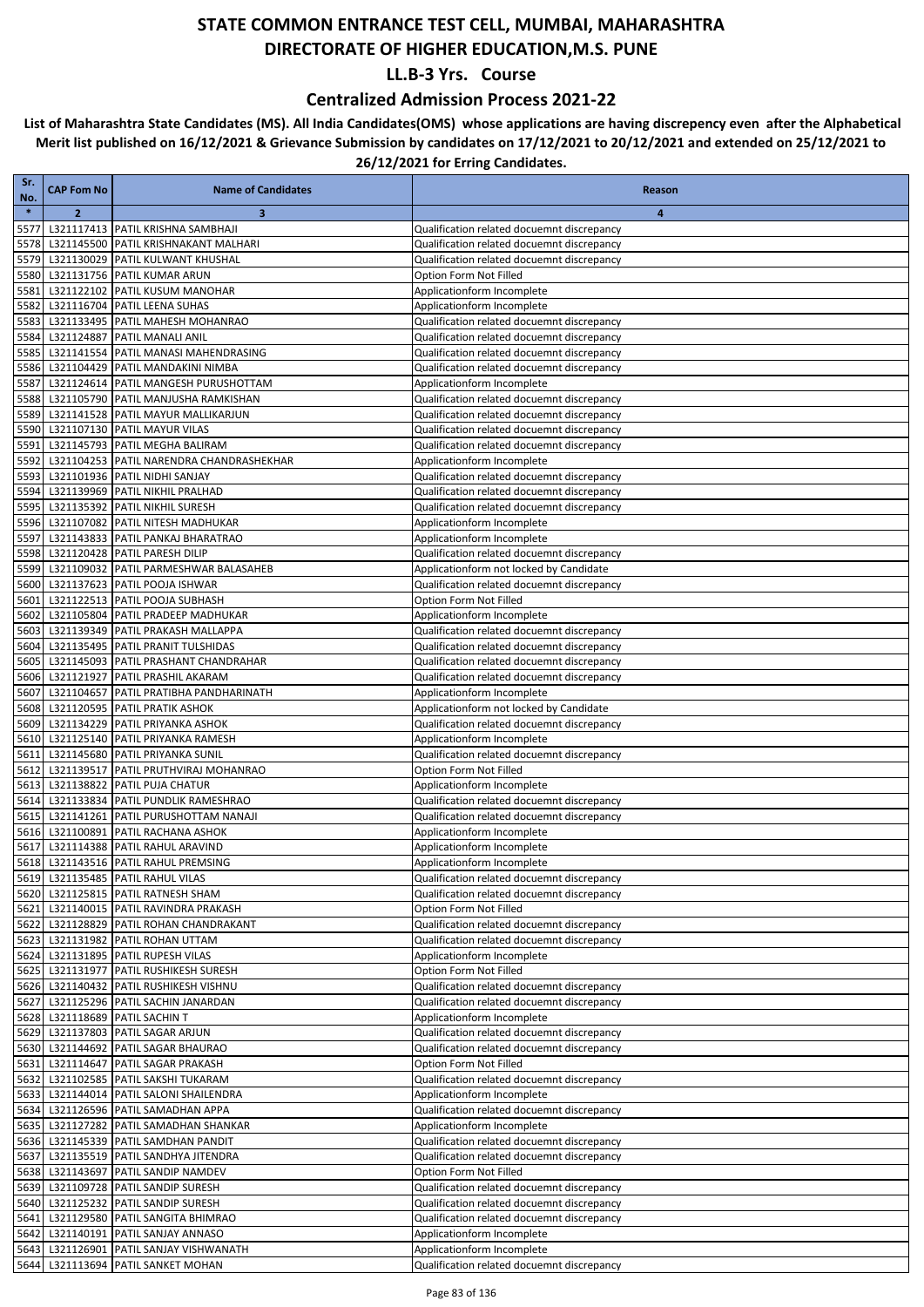### **Centralized Admission Process 2021-22**

| Sr.<br>No.   | <b>CAP Fom No</b> | <b>Name of Candidates</b>                                                         | Reason                                                                                   |
|--------------|-------------------|-----------------------------------------------------------------------------------|------------------------------------------------------------------------------------------|
| $\ast$       | $\overline{2}$    | $\overline{\mathbf{3}}$                                                           | 4                                                                                        |
| 5577         |                   | L321117413 PATIL KRISHNA SAMBHAJI                                                 | Qualification related docuemnt discrepancy                                               |
| 5578         |                   | L321145500 PATIL KRISHNAKANT MALHARI                                              | Qualification related docuemnt discrepancy                                               |
| 5579         |                   | L321130029 PATIL KULWANT KHUSHAL                                                  | Qualification related docuemnt discrepancy                                               |
| 5580         |                   | L321131756 PATIL KUMAR ARUN                                                       | Option Form Not Filled                                                                   |
| 5581         |                   | L321122102 PATIL KUSUM MANOHAR                                                    | Applicationform Incomplete                                                               |
| 5582         |                   | L321116704 PATIL LEENA SUHAS                                                      | Applicationform Incomplete                                                               |
| 5583         |                   | L321133495 PATIL MAHESH MOHANRAO                                                  | Qualification related docuemnt discrepancy                                               |
| 5584         |                   | L321124887 PATIL MANALI ANIL<br>L321141554 PATIL MANASI MAHENDRASING              | Qualification related docuemnt discrepancy                                               |
| 5585<br>5586 |                   | L321104429 PATIL MANDAKINI NIMBA                                                  | Qualification related docuemnt discrepancy<br>Qualification related docuemnt discrepancy |
| 5587         |                   | L321124614 PATIL MANGESH PURUSHOTTAM                                              | Applicationform Incomplete                                                               |
| 5588         |                   | L321105790 PATIL MANJUSHA RAMKISHAN                                               | Qualification related docuemnt discrepancy                                               |
| 5589         |                   | L321141528 PATIL MAYUR MALLIKARJUN                                                | Qualification related docuemnt discrepancy                                               |
| 5590         |                   | L321107130 PATIL MAYUR VILAS                                                      | Qualification related docuemnt discrepancy                                               |
| 5591         |                   | L321145793 PATIL MEGHA BALIRAM                                                    | Qualification related docuemnt discrepancy                                               |
| 5592         |                   | L321104253 PATIL NARENDRA CHANDRASHEKHAR                                          | Applicationform Incomplete                                                               |
| 5593         |                   | L321101936 PATIL NIDHI SANJAY                                                     | Qualification related docuemnt discrepancy                                               |
| 5594         |                   | L321139969 PATIL NIKHIL PRALHAD                                                   | Qualification related docuemnt discrepancy                                               |
| 5595         |                   | L321135392 PATIL NIKHIL SURESH                                                    | Qualification related docuemnt discrepancy                                               |
| 5596         |                   | L321107082 PATIL NITESH MADHUKAR                                                  | Applicationform Incomplete                                                               |
| 5597         |                   | L321143833 PATIL PANKAJ BHARATRAO<br>L321120428 PATIL PARESH DILIP                | Applicationform Incomplete                                                               |
| 5598<br>5599 |                   | L321109032 PATIL PARMESHWAR BALASAHEB                                             | Qualification related docuemnt discrepancy<br>Applicationform not locked by Candidate    |
| 5600         |                   | L321137623 PATIL POOJA ISHWAR                                                     | Qualification related docuemnt discrepancy                                               |
| 5601         |                   | L321122513 PATIL POOJA SUBHASH                                                    | Option Form Not Filled                                                                   |
| 5602         |                   | L321105804 PATIL PRADEEP MADHUKAR                                                 | Applicationform Incomplete                                                               |
| 5603         |                   | L321139349 PATIL PRAKASH MALLAPPA                                                 | Qualification related docuemnt discrepancy                                               |
| 5604         |                   | L321135495 PATIL PRANIT TULSHIDAS                                                 | Qualification related docuemnt discrepancy                                               |
| 5605         |                   | L321145093 PATIL PRASHANT CHANDRAHAR                                              | Qualification related docuemnt discrepancy                                               |
| 5606         |                   | L321121927 PATIL PRASHIL AKARAM                                                   | Qualification related docuemnt discrepancy                                               |
| 5607         |                   | L321104657 PATIL PRATIBHA PANDHARINATH                                            | Applicationform Incomplete                                                               |
| 5608         |                   | L321120595 PATIL PRATIK ASHOK                                                     | Applicationform not locked by Candidate                                                  |
| 5609         |                   | L321134229 PATIL PRIYANKA ASHOK                                                   | Qualification related docuemnt discrepancy                                               |
| 5610<br>5611 |                   | L321125140 PATIL PRIYANKA RAMESH<br>L321145680 PATIL PRIYANKA SUNIL               | Applicationform Incomplete<br>Qualification related docuemnt discrepancy                 |
| 5612         |                   | L321139517   PATIL PRUTHVIRAJ MOHANRAO                                            | Option Form Not Filled                                                                   |
| 5613         |                   | L321138822 PATIL PUJA CHATUR                                                      | Applicationform Incomplete                                                               |
| 5614         |                   | L321133834 PATIL PUNDLIK RAMESHRAO                                                | Qualification related docuemnt discrepancy                                               |
| 5615         |                   | L321141261 PATIL PURUSHOTTAM NANAJI                                               | Qualification related docuemnt discrepancy                                               |
| 5616         |                   | L321100891 PATIL RACHANA ASHOK                                                    | Applicationform Incomplete                                                               |
| 5617         |                   | L321114388 PATIL RAHUL ARAVIND                                                    | Applicationform Incomplete                                                               |
| 5618         |                   | L321143516 PATIL RAHUL PREMSING                                                   | Applicationform Incomplete                                                               |
|              |                   | 5619 L321135485 PATIL RAHUL VILAS                                                 | Qualification related docuemnt discrepancy                                               |
|              |                   | 5620 L321125815 PATIL RATNESH SHAM                                                | Qualification related docuemnt discrepancy                                               |
|              |                   | 5621 L321140015 PATIL RAVINDRA PRAKASH<br>5622 L321128829 PATIL ROHAN CHANDRAKANT | Option Form Not Filled                                                                   |
|              |                   | 5623 L321131982 PATIL ROHAN UTTAM                                                 | Qualification related docuemnt discrepancy<br>Qualification related docuemnt discrepancy |
|              |                   | 5624 L321131895 PATIL RUPESH VILAS                                                | Applicationform Incomplete                                                               |
|              |                   | 5625 L321131977 PATIL RUSHIKESH SURESH                                            | Option Form Not Filled                                                                   |
|              |                   | 5626 L321140432 PATIL RUSHIKESH VISHNU                                            | Qualification related docuemnt discrepancy                                               |
|              |                   | 5627 L321125296 PATIL SACHIN JANARDAN                                             | Qualification related docuemnt discrepancy                                               |
|              |                   | 5628 L321118689 PATIL SACHIN T                                                    | Applicationform Incomplete                                                               |
|              |                   | 5629 L321137803 PATIL SAGAR ARJUN                                                 | Qualification related docuemnt discrepancy                                               |
|              |                   | 5630 L321144692 PATIL SAGAR BHAURAO                                               | Qualification related docuemnt discrepancy                                               |
|              |                   | 5631 L321114647 PATIL SAGAR PRAKASH                                               | Option Form Not Filled                                                                   |
|              |                   | 5632 L321102585 PATIL SAKSHI TUKARAM                                              | Qualification related docuemnt discrepancy                                               |
|              |                   | 5633 L321144014 PATIL SALONI SHAILENDRA<br>5634 L321126596 PATIL SAMADHAN APPA    | Applicationform Incomplete<br>Qualification related docuemnt discrepancy                 |
|              |                   | 5635 L321127282 PATIL SAMADHAN SHANKAR                                            | Applicationform Incomplete                                                               |
|              |                   | 5636 L321145339 PATIL SAMDHAN PANDIT                                              | Qualification related docuemnt discrepancy                                               |
|              |                   | 5637 L321135519 PATIL SANDHYA JITENDRA                                            | Qualification related docuemnt discrepancy                                               |
|              |                   | 5638 L321143697 PATIL SANDIP NAMDEV                                               | Option Form Not Filled                                                                   |
|              |                   | 5639 L321109728 PATIL SANDIP SURESH                                               | Qualification related docuemnt discrepancy                                               |
|              |                   | 5640 L321125232 PATIL SANDIP SURESH                                               | Qualification related docuemnt discrepancy                                               |
|              |                   | 5641 L321129580 PATIL SANGITA BHIMRAO                                             | Qualification related docuemnt discrepancy                                               |
|              |                   | 5642 L321140191 PATIL SANJAY ANNASO                                               | Applicationform Incomplete                                                               |
|              |                   | 5643 L321126901 PATIL SANJAY VISHWANATH                                           | Applicationform Incomplete                                                               |
|              |                   | 5644 L321113694 PATIL SANKET MOHAN                                                | Qualification related docuemnt discrepancy                                               |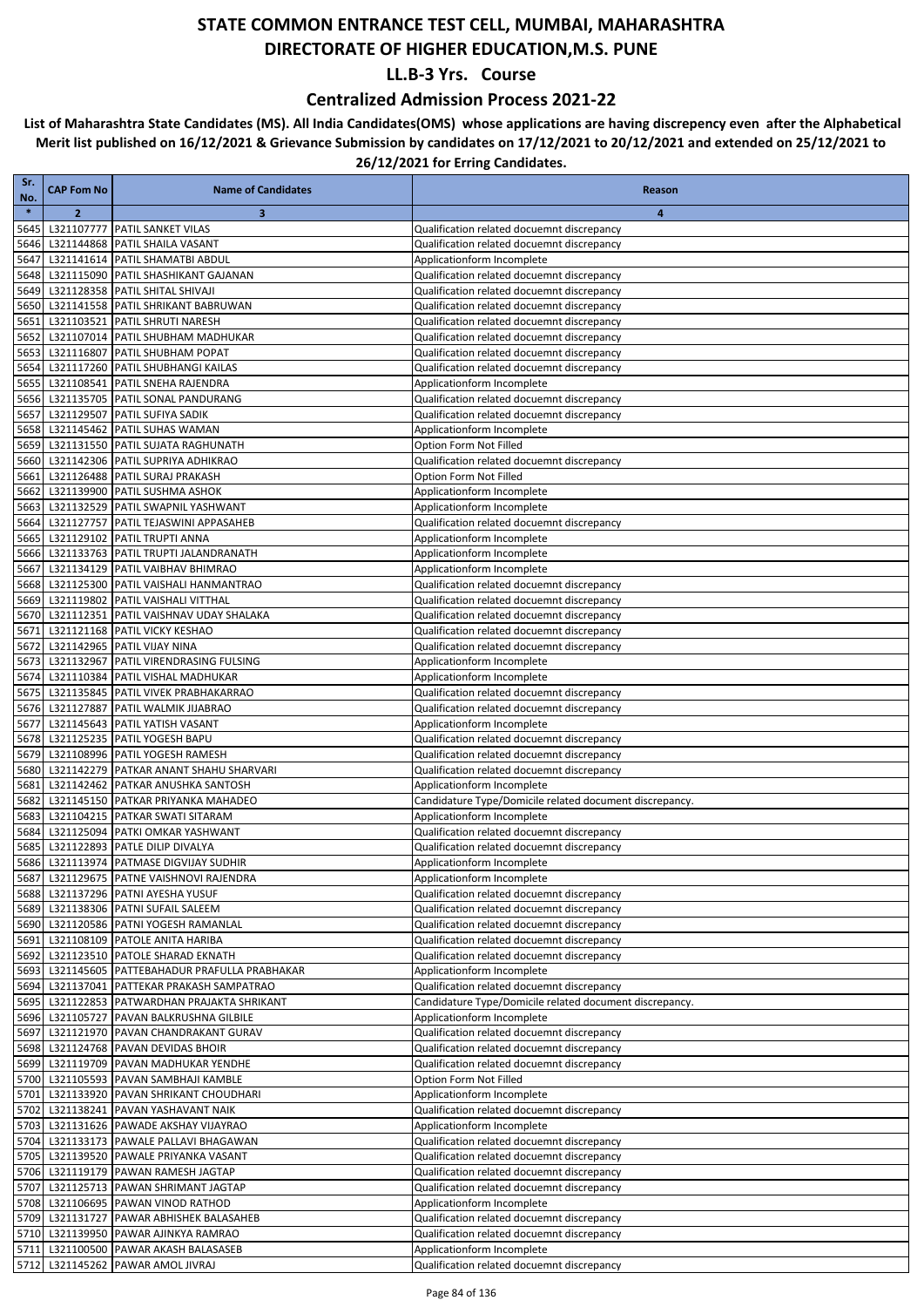### **Centralized Admission Process 2021-22**

| Sr.<br>No.   | <b>CAP Fom No</b> | <b>Name of Candidates</b>                                                         | Reason                                                                                   |
|--------------|-------------------|-----------------------------------------------------------------------------------|------------------------------------------------------------------------------------------|
| $\ast$       | $\mathbf{2}$      | 3                                                                                 | $\overline{\mathbf{a}}$                                                                  |
| 5645         |                   | L321107777 PATIL SANKET VILAS                                                     | Qualification related docuemnt discrepancy                                               |
| 5646         |                   | L321144868 PATIL SHAILA VASANT                                                    | Qualification related docuemnt discrepancy                                               |
| 5647         |                   | L321141614 PATIL SHAMATBI ABDUL                                                   | Applicationform Incomplete                                                               |
| 5648         |                   | L321115090 PATIL SHASHIKANT GAJANAN                                               | Qualification related docuemnt discrepancy                                               |
| 5649         |                   | L321128358 PATIL SHITAL SHIVAJI                                                   | Qualification related docuemnt discrepancy                                               |
| 5650         |                   | L321141558 PATIL SHRIKANT BABRUWAN                                                | Qualification related docuemnt discrepancy                                               |
| 5651         |                   | L321103521 PATIL SHRUTI NARESH                                                    | Qualification related docuemnt discrepancy                                               |
| 5652         |                   | L321107014 PATIL SHUBHAM MADHUKAR                                                 | Qualification related docuemnt discrepancy                                               |
| 5653         |                   | L321116807 PATIL SHUBHAM POPAT                                                    | Qualification related docuemnt discrepancy                                               |
| 5654<br>5655 |                   | L321117260 PATIL SHUBHANGI KAILAS<br>L321108541 PATIL SNEHA RAJENDRA              | Qualification related docuemnt discrepancy<br>Applicationform Incomplete                 |
|              |                   | 5656 L321135705 PATIL SONAL PANDURANG                                             | Qualification related docuemnt discrepancy                                               |
| 5657         |                   | L321129507 PATIL SUFIYA SADIK                                                     | Qualification related docuemnt discrepancy                                               |
| 5658         |                   | L321145462 PATIL SUHAS WAMAN                                                      | Applicationform Incomplete                                                               |
| 5659         |                   | L321131550 PATIL SUJATA RAGHUNATH                                                 | Option Form Not Filled                                                                   |
| 5660         |                   | L321142306 PATIL SUPRIYA ADHIKRAO                                                 | Qualification related docuemnt discrepancy                                               |
| 5661         |                   | L321126488 PATIL SURAJ PRAKASH                                                    | Option Form Not Filled                                                                   |
| 5662         |                   | L321139900 PATIL SUSHMA ASHOK                                                     | Applicationform Incomplete                                                               |
| 5663         |                   | L321132529 PATIL SWAPNIL YASHWANT                                                 | Applicationform Incomplete                                                               |
| 5664         |                   | L321127757 PATIL TEJASWINI APPASAHEB                                              | Qualification related docuemnt discrepancy                                               |
| 5665         |                   | L321129102 PATIL TRUPTI ANNA                                                      | Applicationform Incomplete                                                               |
| 5666         |                   | L321133763 PATIL TRUPTI JALANDRANATH                                              | Applicationform Incomplete                                                               |
| 5667         |                   | L321134129 PATIL VAIBHAV BHIMRAO                                                  | Applicationform Incomplete                                                               |
| 5668         |                   | L321125300 PATIL VAISHALI HANMANTRAO                                              | Qualification related docuemnt discrepancy                                               |
| 5669         |                   | L321119802 PATIL VAISHALI VITTHAL                                                 | Qualification related docuemnt discrepancy                                               |
| 5670         |                   | L321112351 PATIL VAISHNAV UDAY SHALAKA                                            | Qualification related docuemnt discrepancy                                               |
| 5671         |                   | L321121168 PATIL VICKY KESHAO<br>L321142965 PATIL VIJAY NINA                      | Qualification related docuemnt discrepancy<br>Qualification related docuemnt discrepancy |
| 5672<br>5673 |                   | L321132967 PATIL VIRENDRASING FULSING                                             | Applicationform Incomplete                                                               |
| 5674         |                   | L321110384 PATIL VISHAL MADHUKAR                                                  | Applicationform Incomplete                                                               |
| 5675         |                   | L321135845 PATIL VIVEK PRABHAKARRAO                                               | Qualification related docuemnt discrepancy                                               |
| 5676         |                   | L321127887 PATIL WALMIK JIJABRAO                                                  | Qualification related docuemnt discrepancy                                               |
| 5677         |                   | L321145643 PATIL YATISH VASANT                                                    | Applicationform Incomplete                                                               |
| 5678         |                   | L321125235 PATIL YOGESH BAPU                                                      | Qualification related docuemnt discrepancy                                               |
| 5679         |                   | L321108996 PATIL YOGESH RAMESH                                                    | Qualification related docuemnt discrepancy                                               |
| 5680         |                   | L321142279 PATKAR ANANT SHAHU SHARVARI                                            | Qualification related docuemnt discrepancy                                               |
| 5681         |                   | L321142462 PATKAR ANUSHKA SANTOSH                                                 | Applicationform Incomplete                                                               |
| 5682         |                   | L321145150 PATKAR PRIYANKA MAHADEO                                                | Candidature Type/Domicile related document discrepancy.                                  |
| 5683         |                   | L321104215   PATKAR SWATI SITARAM                                                 | Applicationform Incomplete                                                               |
| 5684         |                   | L321125094 PATKI OMKAR YASHWANT                                                   | Qualification related docuemnt discrepancy                                               |
| 5685         |                   | L321122893 PATLE DILIP DIVALYA                                                    | Qualification related docuemnt discrepancy                                               |
| 5686         |                   | L321113974 PATMASE DIGVIJAY SUDHIR                                                | Applicationform Incomplete                                                               |
|              |                   | 5687 L321129675 PATNE VAISHNOVI RAJENDRA<br>5688 L321137296 PATNI AYESHA YUSUF    | Applicationform Incomplete<br>Qualification related docuemnt discrepancy                 |
|              |                   | 5689 L321138306 PATNI SUFAIL SALEEM                                               | Qualification related docuemnt discrepancy                                               |
|              |                   | 5690 L321120586 PATNI YOGESH RAMANLAL                                             | Qualification related docuemnt discrepancy                                               |
| 5691         |                   | L321108109 PATOLE ANITA HARIBA                                                    | Qualification related docuemnt discrepancy                                               |
| 5692         |                   | L321123510 PATOLE SHARAD EKNATH                                                   | Qualification related docuemnt discrepancy                                               |
|              |                   | 5693 L321145605 PATTEBAHADUR PRAFULLA PRABHAKAR                                   | Applicationform Incomplete                                                               |
|              |                   | 5694 L321137041 PATTEKAR PRAKASH SAMPATRAO                                        | Qualification related docuemnt discrepancy                                               |
|              |                   | 5695 L321122853 PATWARDHAN PRAJAKTA SHRIKANT                                      | Candidature Type/Domicile related document discrepancy.                                  |
|              |                   | 5696 L321105727 PAVAN BALKRUSHNA GILBILE                                          | Applicationform Incomplete                                                               |
| 5697         |                   | L321121970 PAVAN CHANDRAKANT GURAV                                                | Qualification related docuemnt discrepancy                                               |
|              |                   | 5698 L321124768 PAVAN DEVIDAS BHOIR                                               | Qualification related docuemnt discrepancy                                               |
|              |                   | 5699 L321119709 PAVAN MADHUKAR YENDHE                                             | Qualification related docuemnt discrepancy                                               |
|              |                   | 5700 L321105593 PAVAN SAMBHAJI KAMBLE                                             | Option Form Not Filled                                                                   |
|              |                   | 5701 L321133920 PAVAN SHRIKANT CHOUDHARI                                          | Applicationform Incomplete                                                               |
|              |                   | 5702 L321138241 PAVAN YASHAVANT NAIK                                              | Qualification related docuemnt discrepancy                                               |
|              |                   | 5703 L321131626 PAWADE AKSHAY VIJAYRAO                                            | Applicationform Incomplete                                                               |
|              |                   | 5704 L321133173 PAWALE PALLAVI BHAGAWAN<br>5705 L321139520 PAWALE PRIYANKA VASANT | Qualification related docuemnt discrepancy<br>Qualification related docuemnt discrepancy |
|              |                   | 5706 L321119179 PAWAN RAMESH JAGTAP                                               | Qualification related docuemnt discrepancy                                               |
|              |                   | 5707 L321125713 PAWAN SHRIMANT JAGTAP                                             | Qualification related docuemnt discrepancy                                               |
|              |                   | 5708 L321106695 PAWAN VINOD RATHOD                                                | Applicationform Incomplete                                                               |
|              |                   | 5709 L321131727 PAWAR ABHISHEK BALASAHEB                                          | Qualification related docuemnt discrepancy                                               |
|              |                   | 5710 L321139950 PAWAR AJINKYA RAMRAO                                              | Qualification related docuemnt discrepancy                                               |
|              |                   | 5711 L321100500 PAWAR AKASH BALASASEB                                             | Applicationform Incomplete                                                               |
|              |                   | 5712 L321145262 PAWAR AMOL JIVRAJ                                                 | Qualification related docuemnt discrepancy                                               |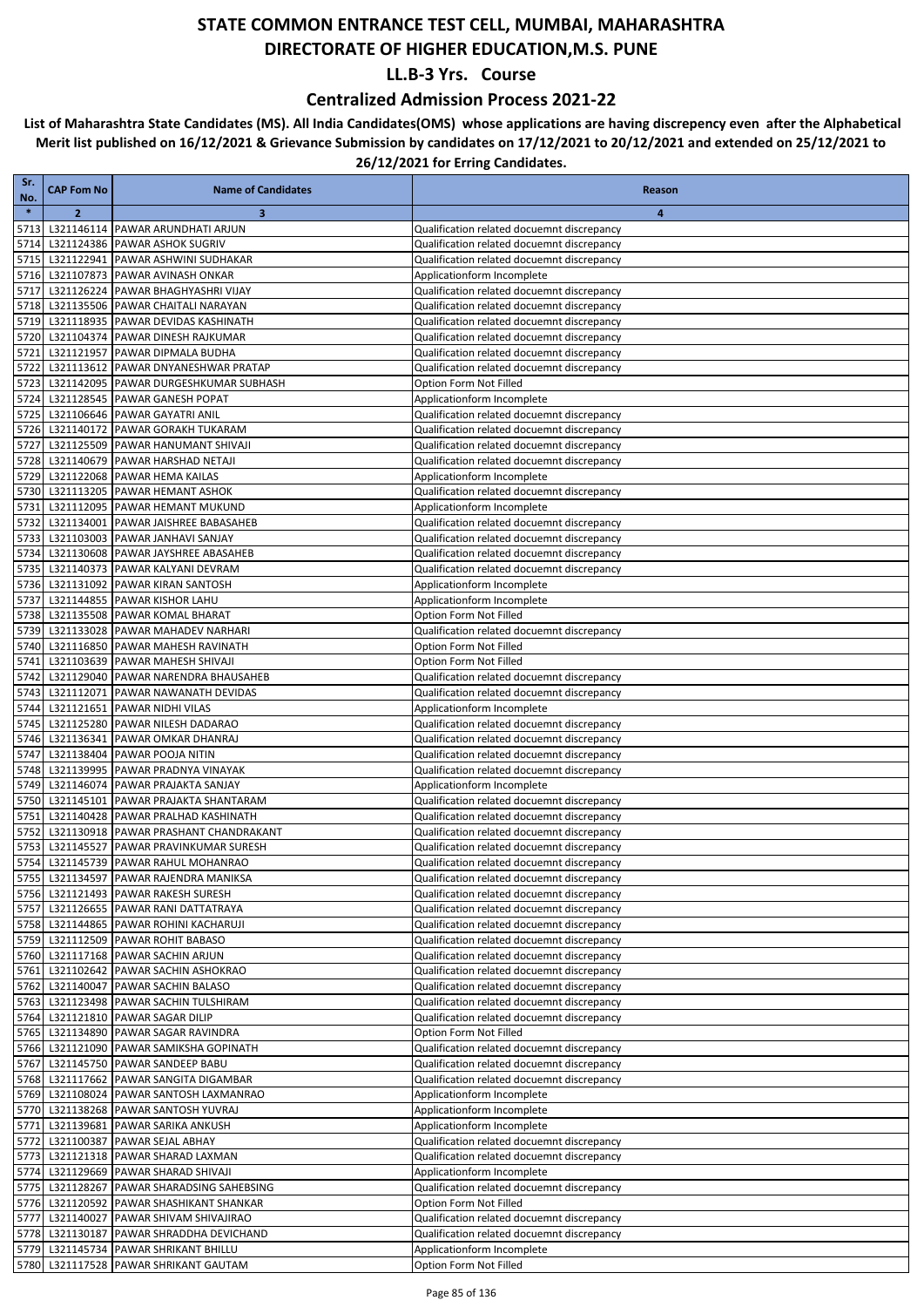### **Centralized Admission Process 2021-22**

| Sr.<br>No.   | <b>CAP Fom No</b> | <b>Name of Candidates</b>                                                           | Reason                                                                                   |
|--------------|-------------------|-------------------------------------------------------------------------------------|------------------------------------------------------------------------------------------|
| $\ast$       | $\overline{2}$    | 3                                                                                   | 4                                                                                        |
| 5713         |                   | L321146114 PAWAR ARUNDHATI ARJUN                                                    | Qualification related docuemnt discrepancy                                               |
| 5714         |                   | L321124386 PAWAR ASHOK SUGRIV                                                       | Qualification related docuemnt discrepancy                                               |
| 5715         |                   | L321122941 PAWAR ASHWINI SUDHAKAR                                                   | Qualification related docuemnt discrepancy                                               |
| 5716         |                   | L321107873 PAWAR AVINASH ONKAR                                                      | Applicationform Incomplete                                                               |
| 5717         |                   | L321126224 PAWAR BHAGHYASHRI VIJAY                                                  | Qualification related docuemnt discrepancy                                               |
| 5718         |                   | L321135506 PAWAR CHAITALI NARAYAN                                                   | Qualification related docuemnt discrepancy                                               |
| 5719<br>5720 |                   | L321118935 PAWAR DEVIDAS KASHINATH<br>L321104374 PAWAR DINESH RAJKUMAR              | Qualification related docuemnt discrepancy<br>Qualification related docuemnt discrepancy |
| 5721         |                   | L321121957 PAWAR DIPMALA BUDHA                                                      | Qualification related docuemnt discrepancy                                               |
| 5722         |                   | L321113612 PAWAR DNYANESHWAR PRATAP                                                 | Qualification related docuemnt discrepancy                                               |
| 5723         |                   | L321142095 PAWAR DURGESHKUMAR SUBHASH                                               | Option Form Not Filled                                                                   |
| 5724         |                   | L321128545 PAWAR GANESH POPAT                                                       | Applicationform Incomplete                                                               |
| 5725         |                   | L321106646 PAWAR GAYATRI ANIL                                                       | Qualification related docuemnt discrepancy                                               |
| 5726         |                   | L321140172 PAWAR GORAKH TUKARAM                                                     | Qualification related docuemnt discrepancy                                               |
| 5727         |                   | L321125509 PAWAR HANUMANT SHIVAJI                                                   | Qualification related docuemnt discrepancy                                               |
| 5728         |                   | L321140679 PAWAR HARSHAD NETAJI                                                     | Qualification related docuemnt discrepancy                                               |
| 5729         |                   | L321122068 PAWAR HEMA KAILAS                                                        | Applicationform Incomplete                                                               |
| 5730         |                   | L321113205 PAWAR HEMANT ASHOK                                                       | Qualification related docuemnt discrepancy                                               |
| 5731<br>5732 |                   | L321112095 PAWAR HEMANT MUKUND<br>L321134001 PAWAR JAISHREE BABASAHEB               | Applicationform Incomplete<br>Qualification related docuemnt discrepancy                 |
| 5733         |                   | L321103003 PAWAR JANHAVI SANJAY                                                     | Qualification related docuemnt discrepancy                                               |
| 5734         |                   | L321130608 PAWAR JAYSHREE ABASAHEB                                                  | Qualification related docuemnt discrepancy                                               |
| 5735         |                   | L321140373 PAWAR KALYANI DEVRAM                                                     | Qualification related docuemnt discrepancy                                               |
| 5736         |                   | L321131092 PAWAR KIRAN SANTOSH                                                      | Applicationform Incomplete                                                               |
| 5737         |                   | L321144855 PAWAR KISHOR LAHU                                                        | Applicationform Incomplete                                                               |
| 5738         |                   | L321135508 PAWAR KOMAL BHARAT                                                       | Option Form Not Filled                                                                   |
| 5739         |                   | L321133028 PAWAR MAHADEV NARHARI                                                    | Qualification related docuemnt discrepancy                                               |
| 5740         |                   | L321116850 PAWAR MAHESH RAVINATH                                                    | Option Form Not Filled                                                                   |
| 5741         |                   | L321103639 PAWAR MAHESH SHIVAJI                                                     | Option Form Not Filled                                                                   |
| 5742         |                   | L321129040 PAWAR NARENDRA BHAUSAHEB                                                 | Qualification related docuemnt discrepancy                                               |
| 5743<br>5744 |                   | L321112071 PAWAR NAWANATH DEVIDAS<br>L321121651 PAWAR NIDHI VILAS                   | Qualification related docuemnt discrepancy                                               |
| 5745         |                   | L321125280 PAWAR NILESH DADARAO                                                     | Applicationform Incomplete<br>Qualification related docuemnt discrepancy                 |
| 5746         |                   | L321136341 PAWAR OMKAR DHANRAJ                                                      | Qualification related docuemnt discrepancy                                               |
| 5747         |                   | L321138404 PAWAR POOJA NITIN                                                        | Qualification related docuemnt discrepancy                                               |
| 5748         |                   | L321139995 PAWAR PRADNYA VINAYAK                                                    | Qualification related docuemnt discrepancy                                               |
| 5749         |                   | L321146074 PAWAR PRAJAKTA SANJAY                                                    | Applicationform Incomplete                                                               |
| 5750         |                   | L321145101 PAWAR PRAJAKTA SHANTARAM                                                 | Qualification related docuemnt discrepancy                                               |
| 5751         |                   | L321140428 PAWAR PRALHAD KASHINATH                                                  | Qualification related docuemnt discrepancy                                               |
| 5752         |                   | L321130918 PAWAR PRASHANT CHANDRAKANT                                               | Qualification related docuemnt discrepancy                                               |
| 5753<br>5754 |                   | L321145527 PAWAR PRAVINKUMAR SURESH<br>L321145739 PAWAR RAHUL MOHANRAO              | Qualification related docuemnt discrepancy<br>Qualification related docuemnt discrepancy |
|              |                   | 5755 L321134597 PAWAR RAJENDRA MANIKSA                                              | Qualification related docuemnt discrepancy                                               |
|              |                   | 5756 L321121493 PAWAR RAKESH SURESH                                                 | Qualification related docuemnt discrepancy                                               |
|              |                   | 5757 L321126655 PAWAR RANI DATTATRAYA                                               | Qualification related docuemnt discrepancy                                               |
|              |                   | 5758 L321144865 PAWAR ROHINI KACHARUJI                                              | Qualification related docuemnt discrepancy                                               |
|              |                   | 5759 L321112509 PAWAR ROHIT BABASO                                                  | Qualification related docuemnt discrepancy                                               |
|              |                   | 5760 L321117168 PAWAR SACHIN ARJUN                                                  | Qualification related docuemnt discrepancy                                               |
|              |                   | 5761 L321102642 PAWAR SACHIN ASHOKRAO                                               | Qualification related docuemnt discrepancy                                               |
|              |                   | 5762 L321140047 PAWAR SACHIN BALASO                                                 | Qualification related docuemnt discrepancy                                               |
|              |                   | 5763 L321123498 PAWAR SACHIN TULSHIRAM                                              | Qualification related docuemnt discrepancy                                               |
|              |                   | 5764 L321121810 PAWAR SAGAR DILIP                                                   | Qualification related docuemnt discrepancy                                               |
|              |                   | 5765 L321134890 PAWAR SAGAR RAVINDRA<br>5766 L321121090 PAWAR SAMIKSHA GOPINATH     | Option Form Not Filled<br>Qualification related docuemnt discrepancy                     |
|              |                   | 5767 L321145750 PAWAR SANDEEP BABU                                                  | Qualification related docuemnt discrepancy                                               |
|              |                   | 5768 L321117662 PAWAR SANGITA DIGAMBAR                                              | Qualification related docuemnt discrepancy                                               |
|              |                   | 5769 L321108024 PAWAR SANTOSH LAXMANRAO                                             | Applicationform Incomplete                                                               |
|              |                   | 5770 L321138268 PAWAR SANTOSH YUVRAJ                                                | Applicationform Incomplete                                                               |
|              |                   | 5771 L321139681 PAWAR SARIKA ANKUSH                                                 | Applicationform Incomplete                                                               |
|              |                   | 5772 L321100387 PAWAR SEJAL ABHAY                                                   | Qualification related docuemnt discrepancy                                               |
|              |                   | 5773 L321121318 PAWAR SHARAD LAXMAN                                                 | Qualification related docuemnt discrepancy                                               |
|              |                   | 5774 L321129669 PAWAR SHARAD SHIVAJI                                                | Applicationform Incomplete                                                               |
|              |                   | 5775 L321128267 PAWAR SHARADSING SAHEBSING                                          | Qualification related docuemnt discrepancy                                               |
|              |                   | 5776 L321120592 PAWAR SHASHIKANT SHANKAR<br>5777 L321140027 PAWAR SHIVAM SHIVAJIRAO | Option Form Not Filled<br>Qualification related docuemnt discrepancy                     |
|              |                   | 5778 L321130187 PAWAR SHRADDHA DEVICHAND                                            | Qualification related docuemnt discrepancy                                               |
|              |                   | 5779 L321145734 PAWAR SHRIKANT BHILLU                                               | Applicationform Incomplete                                                               |
|              |                   | 5780 L321117528 PAWAR SHRIKANT GAUTAM                                               | Option Form Not Filled                                                                   |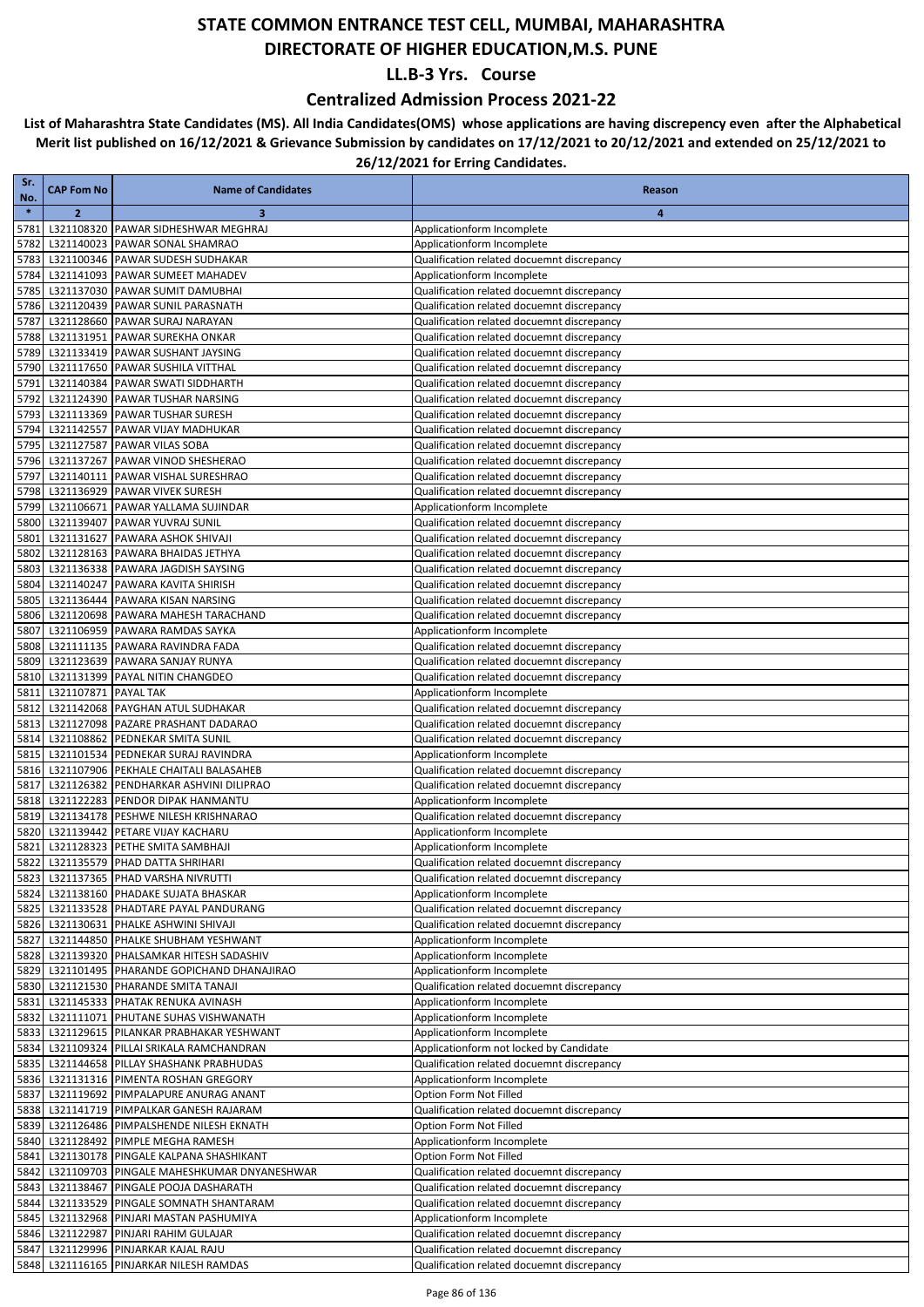### **Centralized Admission Process 2021-22**

| Sr.<br>No.   | <b>CAP Fom No</b>    | <b>Name of Candidates</b>                                                         | Reason                                                                                   |
|--------------|----------------------|-----------------------------------------------------------------------------------|------------------------------------------------------------------------------------------|
| $\ast$       | $\overline{2}$       | 3                                                                                 | $\overline{\mathbf{a}}$                                                                  |
| 5781         |                      | L321108320 PAWAR SIDHESHWAR MEGHRAJ                                               | Applicationform Incomplete                                                               |
| 5782         |                      | L321140023 PAWAR SONAL SHAMRAO                                                    | Applicationform Incomplete                                                               |
| 5783         |                      | L321100346 PAWAR SUDESH SUDHAKAR                                                  | Qualification related docuemnt discrepancy                                               |
| 5784         |                      | L321141093 PAWAR SUMEET MAHADEV                                                   | Applicationform Incomplete                                                               |
| 5785         |                      | L321137030 PAWAR SUMIT DAMUBHAI                                                   | Qualification related docuemnt discrepancy                                               |
| 5786         |                      | L321120439 PAWAR SUNIL PARASNATH                                                  | Qualification related docuemnt discrepancy                                               |
| 5787<br>5788 |                      | L321128660 PAWAR SURAJ NARAYAN                                                    | Qualification related docuemnt discrepancy                                               |
| 5789         |                      | L321131951 PAWAR SUREKHA ONKAR<br>L321133419 PAWAR SUSHANT JAYSING                | Qualification related docuemnt discrepancy<br>Qualification related docuemnt discrepancy |
| 5790         |                      | L321117650 PAWAR SUSHILA VITTHAL                                                  | Qualification related docuemnt discrepancy                                               |
| 5791         |                      | L321140384 PAWAR SWATI SIDDHARTH                                                  | Qualification related docuemnt discrepancy                                               |
| 5792         |                      | L321124390 PAWAR TUSHAR NARSING                                                   | Qualification related docuemnt discrepancy                                               |
| 5793         |                      | L321113369 PAWAR TUSHAR SURESH                                                    | Qualification related docuemnt discrepancy                                               |
| 5794         |                      | L321142557 PAWAR VIJAY MADHUKAR                                                   | Qualification related docuemnt discrepancy                                               |
| 5795         |                      | L321127587 PAWAR VILAS SOBA                                                       | Qualification related docuemnt discrepancy                                               |
| 5796         |                      | L321137267 PAWAR VINOD SHESHERAO                                                  | Qualification related docuemnt discrepancy                                               |
| 5797         |                      | L321140111   PAWAR VISHAL SURESHRAO                                               | Qualification related docuemnt discrepancy                                               |
| 5798         |                      | L321136929 PAWAR VIVEK SURESH                                                     | Qualification related docuemnt discrepancy                                               |
| 5799         |                      | L321106671 PAWAR YALLAMA SUJINDAR                                                 | Applicationform Incomplete                                                               |
| 5800         |                      | L321139407 PAWAR YUVRAJ SUNIL                                                     | Qualification related docuemnt discrepancy                                               |
| 5801         |                      | L321131627 PAWARA ASHOK SHIVAJI                                                   | Qualification related docuemnt discrepancy                                               |
| 5802<br>5803 |                      | L321128163 PAWARA BHAIDAS JETHYA<br>L321136338 PAWARA JAGDISH SAYSING             | Qualification related docuemnt discrepancy<br>Qualification related docuemnt discrepancy |
| 5804         |                      | L321140247 PAWARA KAVITA SHIRISH                                                  | Qualification related docuemnt discrepancy                                               |
| 5805         |                      | L321136444 PAWARA KISAN NARSING                                                   | Qualification related docuemnt discrepancy                                               |
| 5806         |                      | L321120698 PAWARA MAHESH TARACHAND                                                | Qualification related docuemnt discrepancy                                               |
| 5807         |                      | L321106959 PAWARA RAMDAS SAYKA                                                    | Applicationform Incomplete                                                               |
| 5808         |                      | L321111135 PAWARA RAVINDRA FADA                                                   | Qualification related docuemnt discrepancy                                               |
| 5809         |                      | L321123639 PAWARA SANJAY RUNYA                                                    | Qualification related docuemnt discrepancy                                               |
| 5810         |                      | L321131399 PAYAL NITIN CHANGDEO                                                   | Qualification related docuemnt discrepancy                                               |
| 5811         | L321107871 PAYAL TAK |                                                                                   | Applicationform Incomplete                                                               |
| 5812         |                      | L321142068 PAYGHAN ATUL SUDHAKAR                                                  | Qualification related docuemnt discrepancy                                               |
| 5813         |                      | L321127098 PAZARE PRASHANT DADARAO                                                | Qualification related docuemnt discrepancy                                               |
| 5814         |                      | L321108862 PEDNEKAR SMITA SUNIL                                                   | Qualification related docuemnt discrepancy                                               |
| 5815         |                      | L321101534 PEDNEKAR SURAJ RAVINDRA                                                | Applicationform Incomplete                                                               |
| 5816         |                      | L321107906 PEKHALE CHAITALI BALASAHEB                                             | Qualification related docuemnt discrepancy                                               |
| 5817<br>5818 |                      | L321126382 PENDHARKAR ASHVINI DILIPRAO<br>L321122283 PENDOR DIPAK HANMANTU        | Qualification related docuemnt discrepancy<br>Applicationform Incomplete                 |
| 5819         |                      | L321134178 PESHWE NILESH KRISHNARAO                                               | Qualification related docuemnt discrepancy                                               |
| 5820         |                      | L321139442 PETARE VIJAY KACHARU                                                   | Applicationform Incomplete                                                               |
| 5821         |                      | L321128323 PETHE SMITA SAMBHAJI                                                   | Applicationform Incomplete                                                               |
| 5822         |                      | L321135579 PHAD DATTA SHRIHARI                                                    | Qualification related docuemnt discrepancy                                               |
|              |                      | 5823 L321137365 PHAD VARSHA NIVRUTTI                                              | Qualification related docuemnt discrepancy                                               |
|              |                      | 5824 L321138160 PHADAKE SUJATA BHASKAR                                            | Applicationform Incomplete                                                               |
|              |                      | 5825 L321133528 PHADTARE PAYAL PANDURANG                                          | Qualification related docuemnt discrepancy                                               |
|              |                      | 5826 L321130631 PHALKE ASHWINI SHIVAJI                                            | Qualification related docuemnt discrepancy                                               |
| 5827         |                      | L321144850 PHALKE SHUBHAM YESHWANT                                                | Applicationform Incomplete                                                               |
|              |                      | 5828 L321139320 PHALSAMKAR HITESH SADASHIV                                        | Applicationform Incomplete                                                               |
|              |                      | 5829 L321101495 PHARANDE GOPICHAND DHANAJIRAO                                     | Applicationform Incomplete<br>Qualification related docuemnt discrepancy                 |
| 5831         |                      | 5830 L321121530 PHARANDE SMITA TANAJI<br>L321145333 PHATAK RENUKA AVINASH         | Applicationform Incomplete                                                               |
|              |                      | 5832 L321111071 PHUTANE SUHAS VISHWANATH                                          | Applicationform Incomplete                                                               |
|              |                      | 5833 L321129615 PILANKAR PRABHAKAR YESHWANT                                       | Applicationform Incomplete                                                               |
|              |                      | 5834 L321109324 PILLAI SRIKALA RAMCHANDRAN                                        | Applicationform not locked by Candidate                                                  |
|              |                      | 5835 L321144658 PILLAY SHASHANK PRABHUDAS                                         | Qualification related docuemnt discrepancy                                               |
|              |                      | 5836 L321131316 PIMENTA ROSHAN GREGORY                                            | Applicationform Incomplete                                                               |
| 5837         |                      | L321119692 PIMPALAPURE ANURAG ANANT                                               | Option Form Not Filled                                                                   |
|              |                      | 5838 L321141719 PIMPALKAR GANESH RAJARAM                                          | Qualification related docuemnt discrepancy                                               |
|              |                      | 5839 L321126486 PIMPALSHENDE NILESH EKNATH                                        | Option Form Not Filled                                                                   |
|              |                      | 5840 L321128492 PIMPLE MEGHA RAMESH                                               | Applicationform Incomplete                                                               |
| 5841         |                      | L321130178   PINGALE KALPANA SHASHIKANT                                           | Option Form Not Filled                                                                   |
|              |                      | 5842 L321109703 PINGALE MAHESHKUMAR DNYANESHWAR                                   | Qualification related docuemnt discrepancy                                               |
| 5843         |                      | L321138467   PINGALE POOJA DASHARATH                                              | Qualification related docuemnt discrepancy                                               |
|              |                      | 5844 L321133529 PINGALE SOMNATH SHANTARAM                                         | Qualification related docuemnt discrepancy                                               |
|              |                      | 5845 L321132968 PINJARI MASTAN PASHUMIYA<br>5846 L321122987 PINJARI RAHIM GULAJAR | Applicationform Incomplete<br>Qualification related docuemnt discrepancy                 |
| 5847         |                      | L321129996 PINJARKAR KAJAL RAJU                                                   | Qualification related docuemnt discrepancy                                               |
|              |                      | 5848 L321116165 PINJARKAR NILESH RAMDAS                                           | Qualification related docuemnt discrepancy                                               |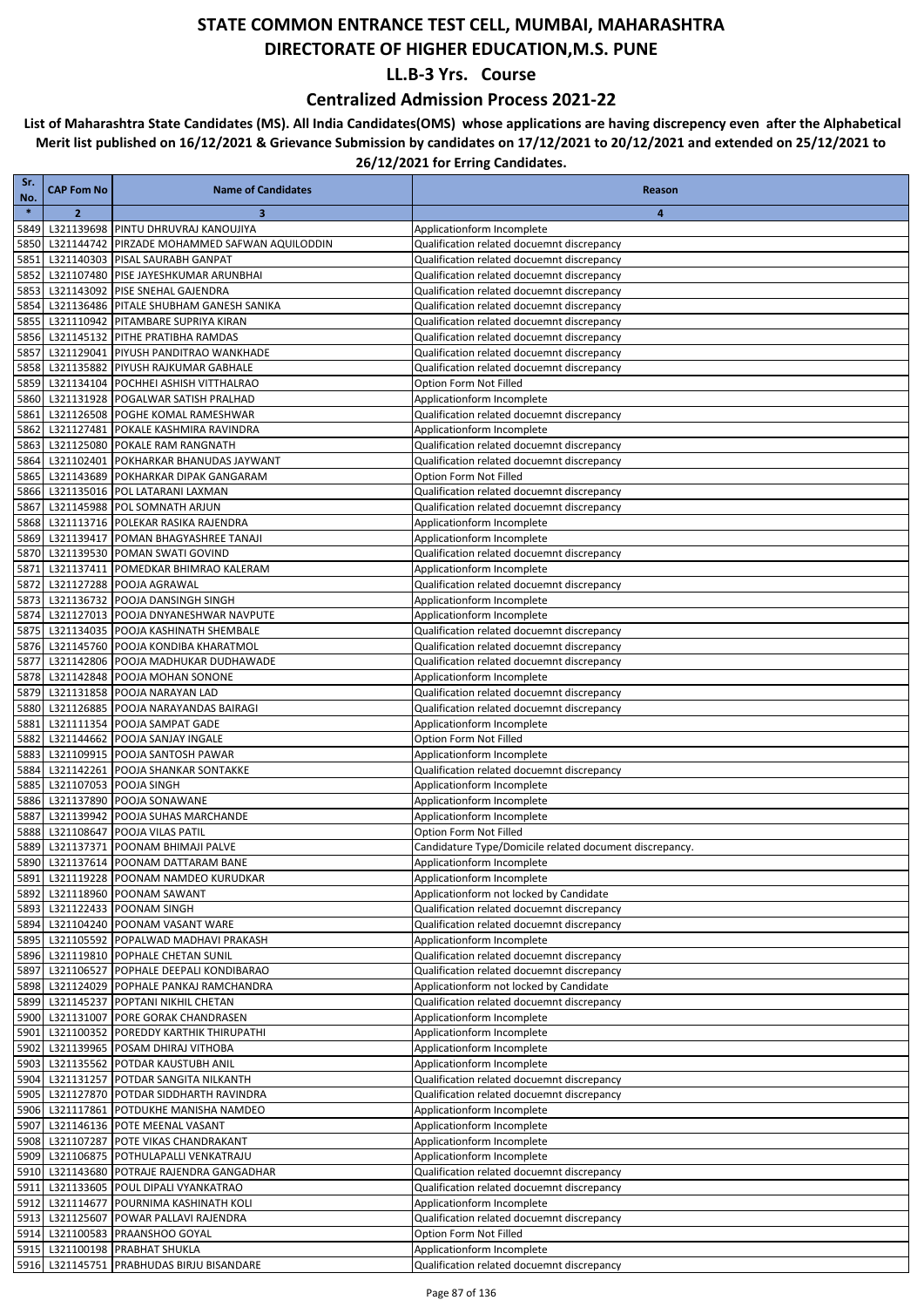### **Centralized Admission Process 2021-22**

| Sr.<br>No.   | <b>CAP Fom No</b> | <b>Name of Candidates</b>                                                      | Reason                                                                                   |
|--------------|-------------------|--------------------------------------------------------------------------------|------------------------------------------------------------------------------------------|
| $\ast$       | $\overline{2}$    | 3                                                                              | $\overline{\mathbf{a}}$                                                                  |
| 5849         |                   | L321139698 PINTU DHRUVRAJ KANOUJIYA                                            | Applicationform Incomplete                                                               |
| 5850         |                   | L321144742 PIRZADE MOHAMMED SAFWAN AQUILODDIN                                  | Qualification related docuemnt discrepancy                                               |
| 5851         |                   | L321140303   PISAL SAURABH GANPAT                                              | Qualification related docuemnt discrepancy                                               |
| 5852         |                   | L321107480 PISE JAYESHKUMAR ARUNBHAI                                           | Qualification related docuemnt discrepancy                                               |
| 5853         |                   | L321143092 PISE SNEHAL GAJENDRA                                                | Qualification related docuemnt discrepancy                                               |
| 5854         |                   | L321136486 PITALE SHUBHAM GANESH SANIKA<br>L321110942 PITAMBARE SUPRIYA KIRAN  | Qualification related docuemnt discrepancy                                               |
| 5855<br>5856 |                   | L321145132 PITHE PRATIBHA RAMDAS                                               | Qualification related docuemnt discrepancy<br>Qualification related docuemnt discrepancy |
| 5857         |                   | L321129041   PIYUSH PANDITRAO WANKHADE                                         | Qualification related docuemnt discrepancy                                               |
| 5858         |                   | L321135882 PIYUSH RAJKUMAR GABHALE                                             | Qualification related docuemnt discrepancy                                               |
| 5859         |                   | L321134104 POCHHEI ASHISH VITTHALRAO                                           | Option Form Not Filled                                                                   |
| 5860         |                   | L321131928 POGALWAR SATISH PRALHAD                                             | Applicationform Incomplete                                                               |
| 5861         |                   | L321126508 POGHE KOMAL RAMESHWAR                                               | Qualification related docuemnt discrepancy                                               |
| 5862         |                   | L321127481 POKALE KASHMIRA RAVINDRA                                            | Applicationform Incomplete                                                               |
| 5863         |                   | L321125080 POKALE RAM RANGNATH                                                 | Qualification related docuemnt discrepancy                                               |
| 5864         |                   | L321102401 POKHARKAR BHANUDAS JAYWANT                                          | Qualification related docuemnt discrepancy                                               |
| 5865         |                   | L321143689 POKHARKAR DIPAK GANGARAM                                            | Option Form Not Filled                                                                   |
| 5866<br>5867 |                   | L321135016 POL LATARANI LAXMAN<br>L321145988 POL SOMNATH ARJUN                 | Qualification related docuemnt discrepancy<br>Qualification related docuemnt discrepancy |
| 5868         |                   | L321113716 POLEKAR RASIKA RAJENDRA                                             | Applicationform Incomplete                                                               |
| 5869         |                   | L321139417 POMAN BHAGYASHREE TANAJI                                            | Applicationform Incomplete                                                               |
| 5870         |                   | L321139530 POMAN SWATI GOVIND                                                  | Qualification related docuemnt discrepancy                                               |
| 5871         |                   | L321137411 POMEDKAR BHIMRAO KALERAM                                            | Applicationform Incomplete                                                               |
| 5872         |                   | L321127288 POOJA AGRAWAL                                                       | Qualification related docuemnt discrepancy                                               |
| 5873         |                   | L321136732 POOJA DANSINGH SINGH                                                | Applicationform Incomplete                                                               |
| 5874         |                   | L321127013 POOJA DNYANESHWAR NAVPUTE                                           | Applicationform Incomplete                                                               |
| 5875         |                   | L321134035 POOJA KASHINATH SHEMBALE                                            | Qualification related docuemnt discrepancy                                               |
| 5876         |                   | L321145760 POOJA KONDIBA KHARATMOL                                             | Qualification related docuemnt discrepancy                                               |
| 5877         |                   | L321142806 POOJA MADHUKAR DUDHAWADE                                            | Qualification related docuemnt discrepancy                                               |
| 5878         |                   | L321142848 POOJA MOHAN SONONE                                                  | Applicationform Incomplete                                                               |
| 5879<br>5880 |                   | L321131858 POOJA NARAYAN LAD<br>L321126885 POOJA NARAYANDAS BAIRAGI            | Qualification related docuemnt discrepancy<br>Qualification related docuemnt discrepancy |
| 5881         |                   | L321111354 POOJA SAMPAT GADE                                                   | Applicationform Incomplete                                                               |
| 5882         |                   | L321144662 POOJA SANJAY INGALE                                                 | Option Form Not Filled                                                                   |
| 5883         |                   | L321109915 POOJA SANTOSH PAWAR                                                 | Applicationform Incomplete                                                               |
| 5884         |                   | L321142261 POOJA SHANKAR SONTAKKE                                              | Qualification related docuemnt discrepancy                                               |
| 5885         |                   | L321107053 POOJA SINGH                                                         | Applicationform Incomplete                                                               |
| 5886         |                   | L321137890 POOJA SONAWANE                                                      | Applicationform Incomplete                                                               |
| 5887         |                   | L321139942 POOJA SUHAS MARCHANDE                                               | Applicationform Incomplete                                                               |
| 5888         |                   | L321108647 POOJA VILAS PATIL<br>L321137371 POONAM BHIMAJI PALVE                | Option Form Not Filled                                                                   |
| 5889<br>5890 |                   | L321137614 POONAM DATTARAM BANE                                                | Candidature Type/Domicile related document discrepancy.<br>Applicationform Incomplete    |
|              |                   | 5891 L321119228 POONAM NAMDEO KURUDKAR                                         | Applicationform Incomplete                                                               |
| 5892         |                   | L321118960 POONAM SAWANT                                                       | Applicationform not locked by Candidate                                                  |
|              |                   | 5893 L321122433 POONAM SINGH                                                   | Qualification related docuemnt discrepancy                                               |
|              |                   | 5894 L321104240 POONAM VASANT WARE                                             | Qualification related docuemnt discrepancy                                               |
| 5895         |                   | L321105592 POPALWAD MADHAVI PRAKASH                                            | Applicationform Incomplete                                                               |
|              |                   | 5896 L321119810 POPHALE CHETAN SUNIL                                           | Qualification related docuemnt discrepancy                                               |
| 5897         |                   | L321106527 POPHALE DEEPALI KONDIBARAO                                          | Qualification related docuemnt discrepancy                                               |
| 5898         |                   | L321124029 POPHALE PANKAJ RAMCHANDRA                                           | Applicationform not locked by Candidate                                                  |
|              |                   | 5899 L321145237 POPTANI NIKHIL CHETAN                                          | Qualification related docuemnt discrepancy                                               |
| 5901         |                   | 5900 L321131007 PORE GORAK CHANDRASEN<br>L321100352 POREDDY KARTHIK THIRUPATHI | Applicationform Incomplete<br>Applicationform Incomplete                                 |
| 5902         |                   | L321139965 POSAM DHIRAJ VITHOBA                                                | Applicationform Incomplete                                                               |
|              |                   | 5903 L321135562 POTDAR KAUSTUBH ANIL                                           | Applicationform Incomplete                                                               |
| 5904         |                   | L321131257 POTDAR SANGITA NILKANTH                                             | Qualification related docuemnt discrepancy                                               |
| 5905         |                   | L321127870 POTDAR SIDDHARTH RAVINDRA                                           | Qualification related docuemnt discrepancy                                               |
|              |                   | 5906 L321117861 POTDUKHE MANISHA NAMDEO                                        | Applicationform Incomplete                                                               |
| 5907         |                   | L321146136 POTE MEENAL VASANT                                                  | Applicationform Incomplete                                                               |
| 5908         |                   | L321107287 POTE VIKAS CHANDRAKANT                                              | Applicationform Incomplete                                                               |
|              |                   | 5909 L321106875 POTHULAPALLI VENKATRAJU                                        | Applicationform Incomplete                                                               |
|              |                   | 5910 L321143680 POTRAJE RAJENDRA GANGADHAR                                     | Qualification related docuemnt discrepancy                                               |
| 5911         |                   | L321133605 POUL DIPALI VYANKATRAO                                              | Qualification related docuemnt discrepancy                                               |
| 5912         |                   | L321114677 POURNIMA KASHINATH KOLI                                             | Applicationform Incomplete<br>Qualification related docuemnt discrepancy                 |
|              |                   | 5913 L321125607 POWAR PALLAVI RAJENDRA<br>5914 L321100583 PRAANSHOO GOYAL      | Option Form Not Filled                                                                   |
|              |                   | 5915 L321100198 PRABHAT SHUKLA                                                 | Applicationform Incomplete                                                               |
|              |                   | 5916 L321145751 PRABHUDAS BIRJU BISANDARE                                      | Qualification related docuemnt discrepancy                                               |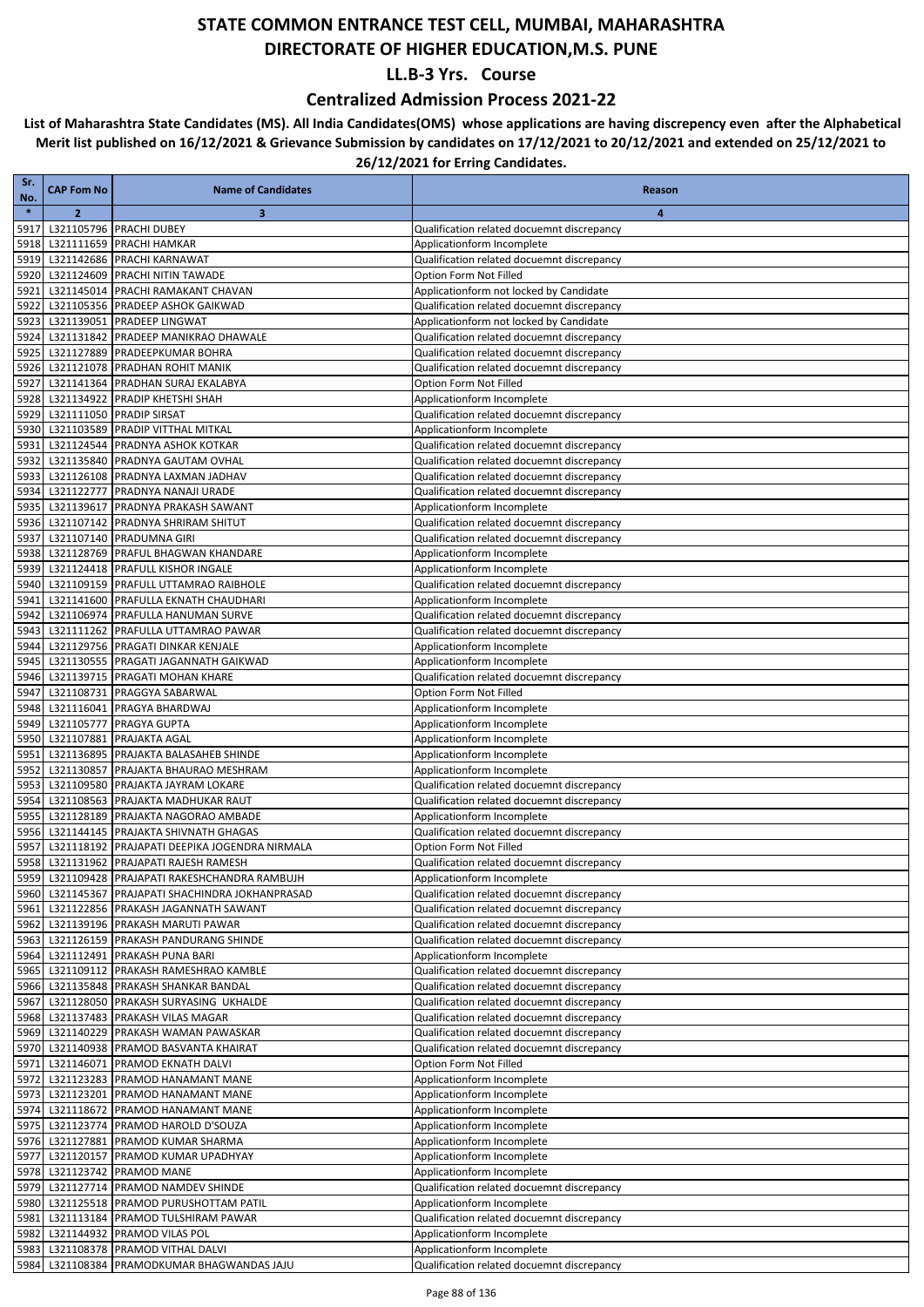### **Centralized Admission Process 2021-22**

| Sr.<br>No.   | <b>CAP Fom No</b> | <b>Name of Candidates</b>                                                        | Reason                                                                                   |
|--------------|-------------------|----------------------------------------------------------------------------------|------------------------------------------------------------------------------------------|
| $\ast$       | $\overline{2}$    | 3                                                                                | 4                                                                                        |
| 5917         |                   | L321105796 PRACHI DUBEY                                                          | Qualification related docuemnt discrepancy                                               |
| 5918         |                   | L321111659 PRACHI HAMKAR                                                         | Applicationform Incomplete                                                               |
| 5919         |                   | L321142686 PRACHI KARNAWAT                                                       | Qualification related docuemnt discrepancy                                               |
| 5920         |                   | L321124609 PRACHI NITIN TAWADE                                                   | Option Form Not Filled                                                                   |
| 5921<br>5922 |                   | L321145014 PRACHI RAMAKANT CHAVAN                                                | Applicationform not locked by Candidate                                                  |
| 5923         |                   | L321105356 PRADEEP ASHOK GAIKWAD<br>L321139051 PRADEEP LINGWAT                   | Qualification related docuemnt discrepancy<br>Applicationform not locked by Candidate    |
| 5924         |                   | L321131842 PRADEEP MANIKRAO DHAWALE                                              | Qualification related docuemnt discrepancy                                               |
| 5925         |                   | L321127889 PRADEEPKUMAR BOHRA                                                    | Qualification related docuemnt discrepancy                                               |
| 5926         |                   | L321121078 PRADHAN ROHIT MANIK                                                   | Qualification related docuemnt discrepancy                                               |
| 5927         |                   | L321141364 PRADHAN SURAJ EKALABYA                                                | Option Form Not Filled                                                                   |
| 5928         |                   | L321134922 PRADIP KHETSHI SHAH                                                   | Applicationform Incomplete                                                               |
| 5929<br>5930 |                   | L321111050 PRADIP SIRSAT<br>L321103589 PRADIP VITTHAL MITKAL                     | Qualification related docuemnt discrepancy                                               |
| 5931         |                   | L321124544 PRADNYA ASHOK KOTKAR                                                  | Applicationform Incomplete<br>Qualification related docuemnt discrepancy                 |
| 5932         |                   | L321135840 PRADNYA GAUTAM OVHAL                                                  | Qualification related docuemnt discrepancy                                               |
| 5933         |                   | L321126108 PRADNYA LAXMAN JADHAV                                                 | Qualification related docuemnt discrepancy                                               |
| 5934         |                   | L321122777 PRADNYA NANAJI URADE                                                  | Qualification related docuemnt discrepancy                                               |
| 5935         |                   | L321139617 PRADNYA PRAKASH SAWANT                                                | Applicationform Incomplete                                                               |
| 5936         |                   | L321107142 PRADNYA SHRIRAM SHITUT                                                | Qualification related docuemnt discrepancy                                               |
| 5937         |                   | L321107140 PRADUMNA GIRI                                                         | Qualification related docuemnt discrepancy                                               |
| 5938<br>5939 |                   | L321128769 PRAFUL BHAGWAN KHANDARE<br>L321124418 PRAFULL KISHOR INGALE           | Applicationform Incomplete<br>Applicationform Incomplete                                 |
| 5940         |                   | L321109159 PRAFULL UTTAMRAO RAIBHOLE                                             | Qualification related docuemnt discrepancy                                               |
| 5941         |                   | L321141600 PRAFULLA EKNATH CHAUDHARI                                             | Applicationform Incomplete                                                               |
| 5942         |                   | L321106974 PRAFULLA HANUMAN SURVE                                                | Qualification related docuemnt discrepancy                                               |
| 5943         |                   | L321111262 PRAFULLA UTTAMRAO PAWAR                                               | Qualification related docuemnt discrepancy                                               |
| 5944         |                   | L321129756 PRAGATI DINKAR KENJALE                                                | Applicationform Incomplete                                                               |
| 5945         |                   | L321130555 PRAGATI JAGANNATH GAIKWAD                                             | Applicationform Incomplete                                                               |
| 5946<br>5947 |                   | L321139715 PRAGATI MOHAN KHARE<br>L321108731 PRAGGYA SABARWAL                    | Qualification related docuemnt discrepancy<br>Option Form Not Filled                     |
| 5948         |                   | L321116041 PRAGYA BHARDWAJ                                                       | Applicationform Incomplete                                                               |
| 5949         |                   | L321105777 PRAGYA GUPTA                                                          | Applicationform Incomplete                                                               |
| 5950         |                   | L321107881 PRAJAKTA AGAL                                                         | Applicationform Incomplete                                                               |
| 5951         |                   | L321136895 PRAJAKTA BALASAHEB SHINDE                                             | Applicationform Incomplete                                                               |
| 5952         |                   | L321130857 PRAJAKTA BHAURAO MESHRAM                                              | Applicationform Incomplete                                                               |
| 5953         |                   | L321109580 PRAJAKTA JAYRAM LOKARE                                                | Qualification related docuemnt discrepancy                                               |
| 5954<br>5955 |                   | L321108563 PRAJAKTA MADHUKAR RAUT<br>L321128189 PRAJAKTA NAGORAO AMBADE          | Qualification related docuemnt discrepancy<br>Applicationform Incomplete                 |
| 5956         |                   | L321144145 PRAJAKTA SHIVNATH GHAGAS                                              | Qualification related docuemnt discrepancy                                               |
| 5957         |                   | L321118192 PRAJAPATI DEEPIKA JOGENDRA NIRMALA                                    | Option Form Not Filled                                                                   |
| 5958         |                   | L321131962 PRAJAPATI RAJESH RAMESH                                               | Qualification related docuemnt discrepancy                                               |
|              |                   | 5959 L321109428 PRAJAPATI RAKESHCHANDRA RAMBUJH                                  | Applicationform Incomplete                                                               |
|              |                   | 5960 L321145367 PRAJAPATI SHACHINDRA JOKHANPRASAD                                | Qualification related docuemnt discrepancy                                               |
|              |                   | 5961 L321122856 PRAKASH JAGANNATH SAWANT                                         | Qualification related docuemnt discrepancy                                               |
| 5963         |                   | 5962 L321139196 PRAKASH MARUTI PAWAR<br>L321126159 PRAKASH PANDURANG SHINDE      | Qualification related docuemnt discrepancy<br>Qualification related docuemnt discrepancy |
|              |                   | 5964 L321112491 PRAKASH PUNA BARI                                                | Applicationform Incomplete                                                               |
| 5965         |                   | L321109112 PRAKASH RAMESHRAO KAMBLE                                              | Qualification related docuemnt discrepancy                                               |
| 5966         |                   | L321135848 PRAKASH SHANKAR BANDAL                                                | Qualification related docuemnt discrepancy                                               |
| 5967         |                   | L321128050 PRAKASH SURYASING UKHALDE                                             | Qualification related docuemnt discrepancy                                               |
|              |                   | 5968 L321137483 PRAKASH VILAS MAGAR                                              | Qualification related docuemnt discrepancy                                               |
| 5969         |                   | L321140229 PRAKASH WAMAN PAWASKAR                                                | Qualification related docuemnt discrepancy                                               |
| 5970         |                   | L321140938 PRAMOD BASVANTA KHAIRAT<br>L321146071 PRAMOD EKNATH DALVI             | Qualification related docuemnt discrepancy<br>Option Form Not Filled                     |
| 5971<br>5972 |                   | L321123283 PRAMOD HANAMANT MANE                                                  | Applicationform Incomplete                                                               |
|              |                   | 5973 L321123201 PRAMOD HANAMANT MANE                                             | Applicationform Incomplete                                                               |
|              |                   | 5974 L321118672 PRAMOD HANAMANT MANE                                             | Applicationform Incomplete                                                               |
| 5975         |                   | L321123774 PRAMOD HAROLD D'SOUZA                                                 | Applicationform Incomplete                                                               |
|              |                   | 5976 L321127881 PRAMOD KUMAR SHARMA                                              | Applicationform Incomplete                                                               |
| 5977         |                   | L321120157 PRAMOD KUMAR UPADHYAY                                                 | Applicationform Incomplete                                                               |
| 5978         |                   | L321123742 PRAMOD MANE                                                           | Applicationform Incomplete                                                               |
|              |                   | 5979 L321127714 PRAMOD NAMDEV SHINDE<br>5980 L321125518 PRAMOD PURUSHOTTAM PATIL | Qualification related docuemnt discrepancy<br>Applicationform Incomplete                 |
|              |                   | 5981 L321113184 PRAMOD TULSHIRAM PAWAR                                           | Qualification related docuemnt discrepancy                                               |
|              |                   | 5982 L321144932 PRAMOD VILAS POL                                                 | Applicationform Incomplete                                                               |
|              |                   | 5983 L321108378 PRAMOD VITHAL DALVI                                              | Applicationform Incomplete                                                               |
|              |                   | 5984 L321108384 PRAMODKUMAR BHAGWANDAS JAJU                                      | Qualification related docuemnt discrepancy                                               |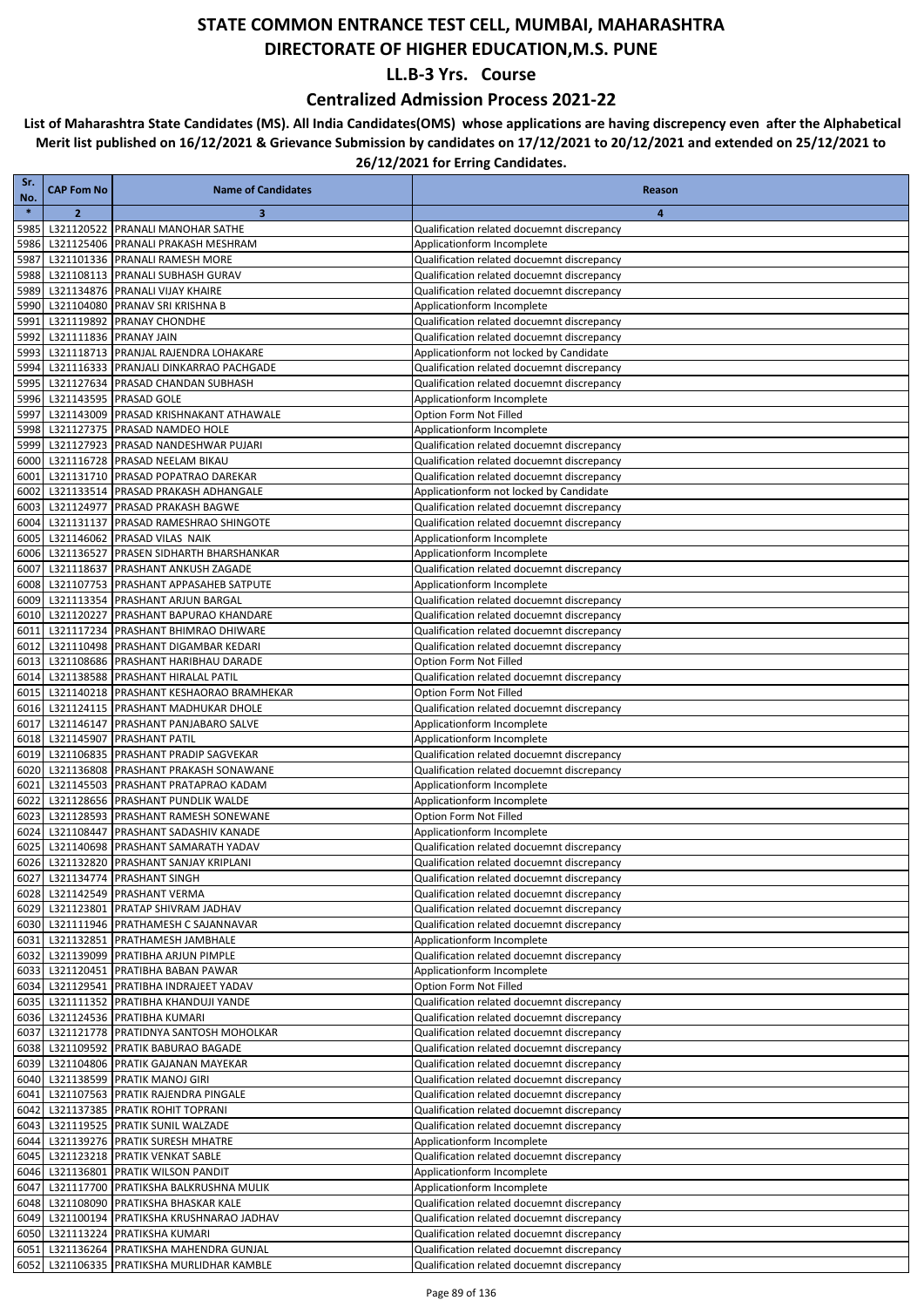### **Centralized Admission Process 2021-22**

| Sr.<br>No.   | <b>CAP Fom No</b> | <b>Name of Candidates</b>                                                          | Reason                                                                                   |
|--------------|-------------------|------------------------------------------------------------------------------------|------------------------------------------------------------------------------------------|
| $\ast$       | $\overline{2}$    | 3                                                                                  | 4                                                                                        |
| 5985         |                   | L321120522 PRANALI MANOHAR SATHE                                                   | Qualification related docuemnt discrepancy                                               |
| 5986         |                   | L321125406 PRANALI PRAKASH MESHRAM                                                 | Applicationform Incomplete                                                               |
| 5987         |                   | L321101336 PRANALI RAMESH MORE                                                     | Qualification related docuemnt discrepancy                                               |
| 5988         |                   | L321108113 PRANALI SUBHASH GURAV                                                   | Qualification related docuemnt discrepancy                                               |
| 5989<br>5990 |                   | L321134876 PRANALI VIJAY KHAIRE<br>L321104080 PRANAV SRI KRISHNA B                 | Qualification related docuemnt discrepancy<br>Applicationform Incomplete                 |
| 5991         |                   | L321119892 PRANAY CHONDHE                                                          | Qualification related docuemnt discrepancy                                               |
| 5992         |                   | L321111836 PRANAY JAIN                                                             | Qualification related docuemnt discrepancy                                               |
| 5993         |                   | L321118713 PRANJAL RAJENDRA LOHAKARE                                               | Applicationform not locked by Candidate                                                  |
| 5994         |                   | L321116333 PRANJALI DINKARRAO PACHGADE                                             | Qualification related docuemnt discrepancy                                               |
| 5995         |                   | L321127634 PRASAD CHANDAN SUBHASH                                                  | Qualification related docuemnt discrepancy                                               |
| 5996         |                   | L321143595 PRASAD GOLE                                                             | Applicationform Incomplete                                                               |
| 5997<br>5998 |                   | L321143009 PRASAD KRISHNAKANT ATHAWALE<br>L321127375 PRASAD NAMDEO HOLE            | Option Form Not Filled<br>Applicationform Incomplete                                     |
| 5999         |                   | L321127923 PRASAD NANDESHWAR PUJARI                                                | Qualification related docuemnt discrepancy                                               |
| 6000         |                   | L321116728 PRASAD NEELAM BIKAU                                                     | Qualification related docuemnt discrepancy                                               |
| 6001         |                   | L321131710 PRASAD POPATRAO DAREKAR                                                 | Qualification related docuemnt discrepancy                                               |
| 6002         |                   | L321133514 PRASAD PRAKASH ADHANGALE                                                | Applicationform not locked by Candidate                                                  |
| 6003         |                   | L321124977   PRASAD PRAKASH BAGWE                                                  | Qualification related docuemnt discrepancy                                               |
| 6004         |                   | L321131137 PRASAD RAMESHRAO SHINGOTE                                               | Qualification related docuemnt discrepancy                                               |
| 6005<br>6006 |                   | L321146062 PRASAD VILAS NAIK<br>L321136527 PRASEN SIDHARTH BHARSHANKAR             | Applicationform Incomplete<br>Applicationform Incomplete                                 |
| 6007         |                   | L321118637 PRASHANT ANKUSH ZAGADE                                                  | Qualification related docuemnt discrepancy                                               |
| 6008         |                   | L321107753 PRASHANT APPASAHEB SATPUTE                                              | Applicationform Incomplete                                                               |
| 6009         |                   | L321113354 PRASHANT ARJUN BARGAL                                                   | Qualification related docuemnt discrepancy                                               |
| 6010         |                   | L321120227 PRASHANT BAPURAO KHANDARE                                               | Qualification related docuemnt discrepancy                                               |
| 6011         |                   | L321117234 PRASHANT BHIMRAO DHIWARE                                                | Qualification related docuemnt discrepancy                                               |
| 6012         |                   | L321110498 PRASHANT DIGAMBAR KEDARI                                                | Qualification related docuemnt discrepancy                                               |
| 6013         |                   | L321108686 PRASHANT HARIBHAU DARADE                                                | Option Form Not Filled                                                                   |
| 6014<br>6015 |                   | L321138588 PRASHANT HIRALAL PATIL<br>L321140218 PRASHANT KESHAORAO BRAMHEKAR       | Qualification related docuemnt discrepancy<br>Option Form Not Filled                     |
| 6016         |                   | L321124115 PRASHANT MADHUKAR DHOLE                                                 | Qualification related docuemnt discrepancy                                               |
| 6017         |                   | L321146147 PRASHANT PANJABARO SALVE                                                | Applicationform Incomplete                                                               |
| 6018         |                   | L321145907 PRASHANT PATIL                                                          | Applicationform Incomplete                                                               |
| 6019         |                   | L321106835   PRASHANT PRADIP SAGVEKAR                                              | Qualification related docuemnt discrepancy                                               |
| 6020         |                   | L321136808 PRASHANT PRAKASH SONAWANE                                               | Qualification related docuemnt discrepancy                                               |
| 6021<br>6022 |                   | L321145503 PRASHANT PRATAPRAO KADAM<br>L321128656 PRASHANT PUNDLIK WALDE           | Applicationform Incomplete<br>Applicationform Incomplete                                 |
| 6023         |                   | L321128593 PRASHANT RAMESH SONEWANE                                                | Option Form Not Filled                                                                   |
| 6024         |                   | L321108447 PRASHANT SADASHIV KANADE                                                | Applicationform Incomplete                                                               |
| 6025         |                   | L321140698 PRASHANT SAMARATH YADAV                                                 | Qualification related docuemnt discrepancy                                               |
| 6026         |                   | L321132820 PRASHANT SANJAY KRIPLANI                                                | Qualification related docuemnt discrepancy                                               |
|              |                   | 6027 L321134774 PRASHANT SINGH                                                     | Qualification related docuemnt discrepancy                                               |
|              |                   | 6028 L321142549 PRASHANT VERMA                                                     | Qualification related docuemnt discrepancy                                               |
|              |                   | 6029 L321123801 PRATAP SHIVRAM JADHAV                                              | Qualification related docuemnt discrepancy                                               |
|              |                   | 6030 L321111946 PRATHAMESH C SAJANNAVAR<br>6031 L321132851 PRATHAMESH JAMBHALE     | Qualification related docuemnt discrepancy<br>Applicationform Incomplete                 |
|              |                   | 6032 L321139099 PRATIBHA ARJUN PIMPLE                                              | Qualification related docuemnt discrepancy                                               |
|              |                   | 6033 L321120451 PRATIBHA BABAN PAWAR                                               | Applicationform Incomplete                                                               |
|              |                   | 6034 L321129541 PRATIBHA INDRAJEET YADAV                                           | Option Form Not Filled                                                                   |
|              |                   | 6035 L321111352 PRATIBHA KHANDUJI YANDE                                            | Qualification related docuemnt discrepancy                                               |
|              |                   | 6036 L321124536 PRATIBHA KUMARI                                                    | Qualification related docuemnt discrepancy                                               |
|              |                   | 6037 L321121778 PRATIDNYA SANTOSH MOHOLKAR                                         | Qualification related docuemnt discrepancy                                               |
|              |                   | 6038 L321109592 PRATIK BABURAO BAGADE<br>6039 L321104806 PRATIK GAJANAN MAYEKAR    | Qualification related docuemnt discrepancy<br>Qualification related docuemnt discrepancy |
|              |                   | 6040 L321138599 PRATIK MANOJ GIRI                                                  | Qualification related docuemnt discrepancy                                               |
|              |                   | 6041 L321107563 PRATIK RAJENDRA PINGALE                                            | Qualification related docuemnt discrepancy                                               |
|              |                   | 6042 L321137385 PRATIK ROHIT TOPRANI                                               | Qualification related docuemnt discrepancy                                               |
|              |                   | 6043 L321119525 PRATIK SUNIL WALZADE                                               | Qualification related docuemnt discrepancy                                               |
|              |                   | 6044 L321139276 PRATIK SURESH MHATRE                                               | Applicationform Incomplete                                                               |
|              |                   | 6045 L321123218 PRATIK VENKAT SABLE                                                | Qualification related docuemnt discrepancy                                               |
|              |                   | 6046 L321136801 PRATIK WILSON PANDIT<br>6047 L321117700 PRATIKSHA BALKRUSHNA MULIK | Applicationform Incomplete<br>Applicationform Incomplete                                 |
|              |                   | 6048 L321108090 PRATIKSHA BHASKAR KALE                                             | Qualification related docuemnt discrepancy                                               |
|              |                   | 6049 L321100194 PRATIKSHA KRUSHNARAO JADHAV                                        | Qualification related docuemnt discrepancy                                               |
|              |                   | 6050 L321113224 PRATIKSHA KUMARI                                                   | Qualification related docuemnt discrepancy                                               |
|              |                   | 6051 L321136264 PRATIKSHA MAHENDRA GUNJAL                                          | Qualification related docuemnt discrepancy                                               |
|              |                   | 6052 L321106335 PRATIKSHA MURLIDHAR KAMBLE                                         | Qualification related docuemnt discrepancy                                               |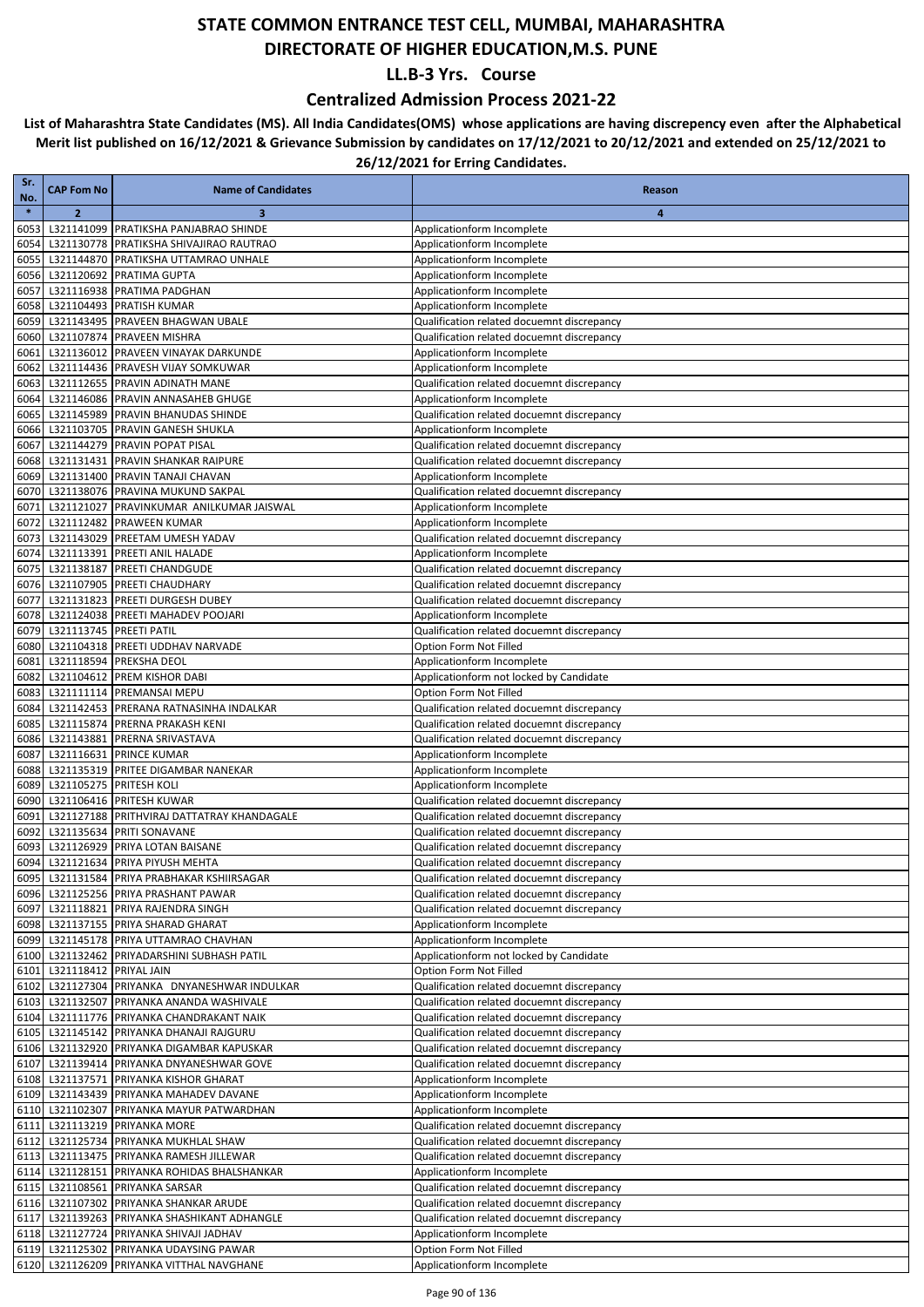### **Centralized Admission Process 2021-22**

| Sr.<br>No.   | <b>CAP Fom No</b>           | <b>Name of Candidates</b>                                                           | Reason                                                                                   |
|--------------|-----------------------------|-------------------------------------------------------------------------------------|------------------------------------------------------------------------------------------|
| $\ast$       | $\overline{2}$              | 3                                                                                   | $\overline{4}$                                                                           |
| 6053         |                             | L321141099 PRATIKSHA PANJABRAO SHINDE                                               | Applicationform Incomplete                                                               |
| 6054         |                             | L321130778 PRATIKSHA SHIVAJIRAO RAUTRAO                                             | Applicationform Incomplete                                                               |
| 6055         |                             | L321144870 PRATIKSHA UTTAMRAO UNHALE                                                | Applicationform Incomplete                                                               |
| 6056         |                             | L321120692 PRATIMA GUPTA                                                            | Applicationform Incomplete                                                               |
| 6057         |                             | L321116938 PRATIMA PADGHAN                                                          | Applicationform Incomplete                                                               |
| 6058         |                             | L321104493 PRATISH KUMAR                                                            | Applicationform Incomplete                                                               |
| 6059         |                             | L321143495 PRAVEEN BHAGWAN UBALE<br>L321107874 PRAVEEN MISHRA                       | Qualification related docuemnt discrepancy<br>Qualification related docuemnt discrepancy |
| 6060<br>6061 |                             | L321136012 PRAVEEN VINAYAK DARKUNDE                                                 | Applicationform Incomplete                                                               |
| 6062         |                             | L321114436 PRAVESH VIJAY SOMKUWAR                                                   | Applicationform Incomplete                                                               |
| 6063         |                             | L321112655 PRAVIN ADINATH MANE                                                      | Qualification related docuemnt discrepancy                                               |
| 6064         |                             | L321146086 PRAVIN ANNASAHEB GHUGE                                                   | Applicationform Incomplete                                                               |
| 6065         |                             | L321145989 PRAVIN BHANUDAS SHINDE                                                   | Qualification related docuemnt discrepancy                                               |
| 6066         |                             | L321103705 PRAVIN GANESH SHUKLA                                                     | Applicationform Incomplete                                                               |
| 6067         |                             | L321144279 PRAVIN POPAT PISAL                                                       | Qualification related docuemnt discrepancy                                               |
| 6068         |                             | L321131431 PRAVIN SHANKAR RAIPURE                                                   | Qualification related docuemnt discrepancy                                               |
| 6069         |                             | L321131400 PRAVIN TANAJI CHAVAN                                                     | Applicationform Incomplete                                                               |
| 6070         |                             | L321138076 PRAVINA MUKUND SAKPAL                                                    | Qualification related docuemnt discrepancy                                               |
| 6071         |                             | L321121027 PRAVINKUMAR ANILKUMAR JAISWAL                                            | Applicationform Incomplete                                                               |
| 6072<br>6073 |                             | L321112482 PRAWEEN KUMAR<br>L321143029 PREETAM UMESH YADAV                          | Applicationform Incomplete<br>Qualification related docuemnt discrepancy                 |
| 6074         |                             | L321113391 PREETI ANIL HALADE                                                       | Applicationform Incomplete                                                               |
| 6075         |                             | L321138187 PREETI CHANDGUDE                                                         | Qualification related docuemnt discrepancy                                               |
| 6076         |                             | L321107905 PREETI CHAUDHARY                                                         | Qualification related docuemnt discrepancy                                               |
| 6077         |                             | L321131823 PREETI DURGESH DUBEY                                                     | Qualification related docuemnt discrepancy                                               |
| 6078         |                             | L321124038 PREETI MAHADEV POOJARI                                                   | Applicationform Incomplete                                                               |
| 6079         | L321113745 PREETI PATIL     |                                                                                     | Qualification related docuemnt discrepancy                                               |
| 6080         |                             | L321104318 PREETI UDDHAV NARVADE                                                    | Option Form Not Filled                                                                   |
| 6081         |                             | L321118594 PREKSHA DEOL                                                             | Applicationform Incomplete                                                               |
| 6082         |                             | L321104612 PREM KISHOR DABI                                                         | Applicationform not locked by Candidate                                                  |
| 6083         |                             | L321111114 PREMANSAI MEPU                                                           | Option Form Not Filled                                                                   |
| 6084         |                             | L321142453 PRERANA RATNASINHA INDALKAR                                              | Qualification related docuemnt discrepancy                                               |
| 6085<br>6086 |                             | L321115874 PRERNA PRAKASH KENI<br>L321143881 PRERNA SRIVASTAVA                      | Qualification related docuemnt discrepancy<br>Qualification related docuemnt discrepancy |
| 6087         |                             | L321116631 PRINCE KUMAR                                                             | Applicationform Incomplete                                                               |
| 6088         |                             | L321135319 PRITEE DIGAMBAR NANEKAR                                                  | Applicationform Incomplete                                                               |
| 6089         | L321105275 PRITESH KOLI     |                                                                                     | Applicationform Incomplete                                                               |
| 6090         |                             | L321106416 PRITESH KUWAR                                                            | Qualification related docuemnt discrepancy                                               |
| 6091         |                             | L321127188 PRITHVIRAJ DATTATRAY KHANDAGALE                                          | Qualification related docuemnt discrepancy                                               |
| 6092         |                             | L321135634 PRITI SONAVANE                                                           | Qualification related docuemnt discrepancy                                               |
| 6093         |                             | L321126929 PRIYA LOTAN BAISANE                                                      | Qualification related docuemnt discrepancy                                               |
| 6094         |                             | L321121634 PRIYA PIYUSH MEHTA                                                       | Qualification related docuemnt discrepancy                                               |
|              |                             | 6095 L321131584 PRIYA PRABHAKAR KSHIIRSAGAR<br>6096 L321125256 PRIYA PRASHANT PAWAR | Qualification related docuemnt discrepancy<br>Qualification related docuemnt discrepancy |
|              |                             | 6097 L321118821 PRIYA RAJENDRA SINGH                                                | Qualification related docuemnt discrepancy                                               |
|              |                             | 6098 L321137155 PRIYA SHARAD GHARAT                                                 | Applicationform Incomplete                                                               |
|              |                             | 6099 L321145178 PRIYA UTTAMRAO CHAVHAN                                              | Applicationform Incomplete                                                               |
|              |                             | 6100 L321132462 PRIYADARSHINI SUBHASH PATIL                                         | Applicationform not locked by Candidate                                                  |
|              | 6101 L321118412 PRIYAL JAIN |                                                                                     | Option Form Not Filled                                                                   |
|              |                             | 6102 L321127304 PRIYANKA DNYANESHWAR INDULKAR                                       | Qualification related docuemnt discrepancy                                               |
|              |                             | 6103 L321132507 PRIYANKA ANANDA WASHIVALE                                           | Qualification related docuemnt discrepancy                                               |
|              |                             | 6104 L321111776 PRIYANKA CHANDRAKANT NAIK                                           | Qualification related docuemnt discrepancy                                               |
|              |                             | 6105 L321145142 PRIYANKA DHANAJI RAJGURU                                            | Qualification related docuemnt discrepancy                                               |
|              |                             | 6106 L321132920 PRIYANKA DIGAMBAR KAPUSKAR<br>L321139414 PRIYANKA DNYANESHWAR GOVE  | Qualification related docuemnt discrepancy<br>Qualification related docuemnt discrepancy |
| 6107         |                             | 6108 L321137571 PRIYANKA KISHOR GHARAT                                              | Applicationform Incomplete                                                               |
|              |                             | 6109 L321143439 PRIYANKA MAHADEV DAVANE                                             | Applicationform Incomplete                                                               |
|              |                             | 6110 L321102307 PRIYANKA MAYUR PATWARDHAN                                           | Applicationform Incomplete                                                               |
|              |                             | 6111 L321113219 PRIYANKA MORE                                                       | Qualification related docuemnt discrepancy                                               |
|              |                             | 6112 L321125734 PRIYANKA MUKHLAL SHAW                                               | Qualification related docuemnt discrepancy                                               |
|              |                             | 6113 L321113475 PRIYANKA RAMESH JILLEWAR                                            | Qualification related docuemnt discrepancy                                               |
|              |                             | 6114 L321128151 PRIYANKA ROHIDAS BHALSHANKAR                                        | Applicationform Incomplete                                                               |
|              |                             | 6115 L321108561 PRIYANKA SARSAR                                                     | Qualification related docuemnt discrepancy                                               |
|              |                             | 6116 L321107302 PRIYANKA SHANKAR ARUDE                                              | Qualification related docuemnt discrepancy                                               |
|              |                             | 6117 L321139263 PRIYANKA SHASHIKANT ADHANGLE                                        | Qualification related docuemnt discrepancy                                               |
|              |                             | 6118 L321127724 PRIYANKA SHIVAJI JADHAV<br>6119 L321125302 PRIYANKA UDAYSING PAWAR  | Applicationform Incomplete<br>Option Form Not Filled                                     |
|              |                             | 6120 L321126209 PRIYANKA VITTHAL NAVGHANE                                           | Applicationform Incomplete                                                               |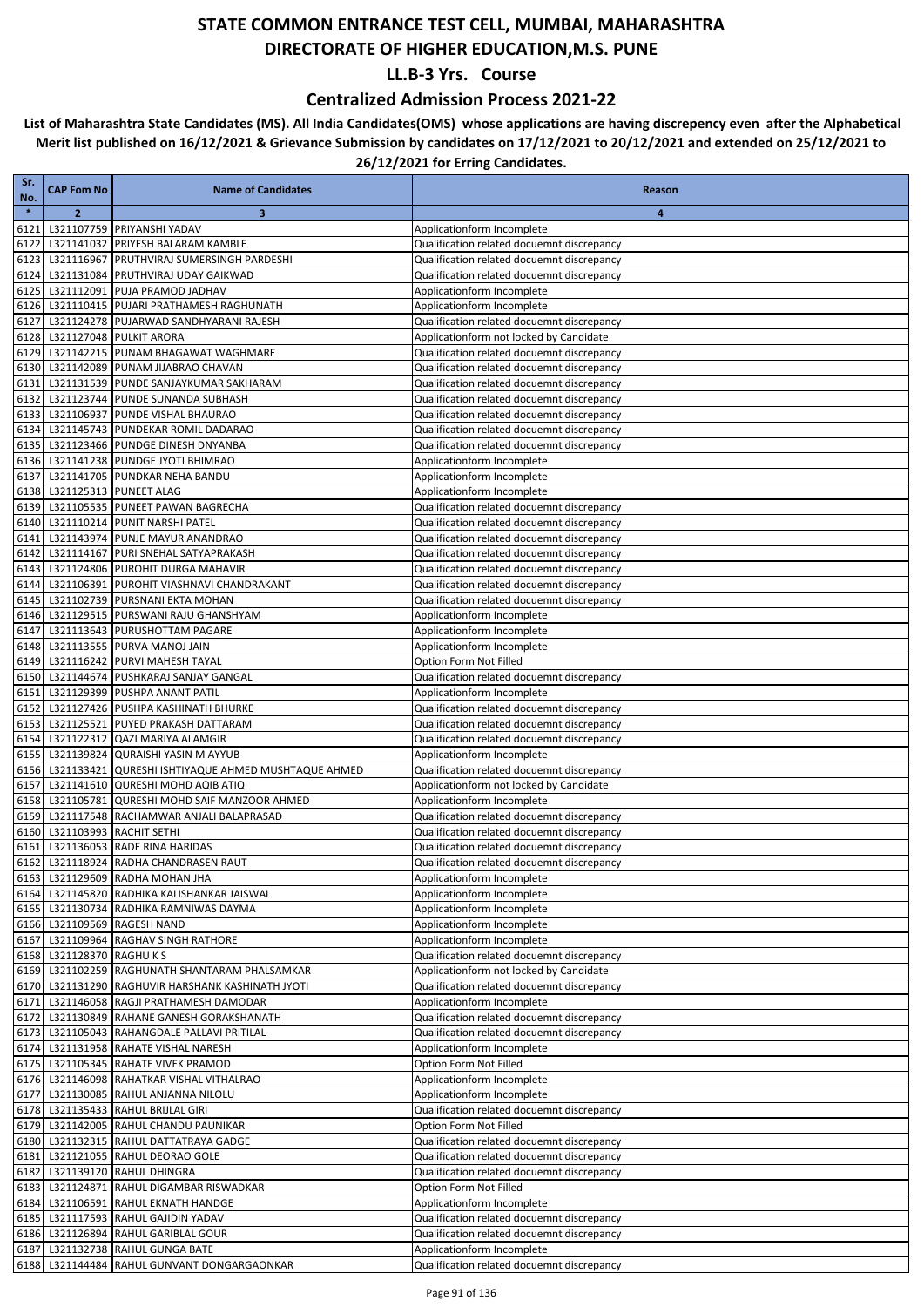### **Centralized Admission Process 2021-22**

| Sr.<br>No. | <b>CAP Fom No</b>            | <b>Name of Candidates</b>                                                  | Reason                                                                                   |
|------------|------------------------------|----------------------------------------------------------------------------|------------------------------------------------------------------------------------------|
| $\ast$     | $\overline{2}$               | 3                                                                          | 4                                                                                        |
| 6121       |                              | L321107759 PRIYANSHI YADAV                                                 | Applicationform Incomplete                                                               |
| 6122       |                              | L321141032 PRIYESH BALARAM KAMBLE                                          | Qualification related docuemnt discrepancy                                               |
| 6123       |                              | L321116967 PRUTHVIRAJ SUMERSINGH PARDESHI                                  | Qualification related docuemnt discrepancy                                               |
| 6124       |                              | L321131084 PRUTHVIRAJ UDAY GAIKWAD                                         | Qualification related docuemnt discrepancy                                               |
| 6125       |                              | L321112091 PUJA PRAMOD JADHAV                                              | Applicationform Incomplete                                                               |
|            |                              | 6126 L321110415 PUJARI PRATHAMESH RAGHUNATH                                | Applicationform Incomplete                                                               |
| 6127       |                              | L321124278 PUJARWAD SANDHYARANI RAJESH                                     | Qualification related docuemnt discrepancy                                               |
| 6128       |                              | L321127048 PULKIT ARORA<br>6129 L321142215 PUNAM BHAGAWAT WAGHMARE         | Applicationform not locked by Candidate<br>Qualification related docuemnt discrepancy    |
|            |                              | 6130 L321142089 PUNAM JIJABRAO CHAVAN                                      | Qualification related docuemnt discrepancy                                               |
| 6131       |                              | L321131539 PUNDE SANJAYKUMAR SAKHARAM                                      | Qualification related docuemnt discrepancy                                               |
|            |                              | 6132 L321123744 PUNDE SUNANDA SUBHASH                                      | Qualification related docuemnt discrepancy                                               |
| 6133       |                              | L321106937 PUNDE VISHAL BHAURAO                                            | Qualification related docuemnt discrepancy                                               |
| 6134       |                              | L321145743 PUNDEKAR ROMIL DADARAO                                          | Qualification related docuemnt discrepancy                                               |
|            |                              | 6135 L321123466 PUNDGE DINESH DNYANBA                                      | Qualification related docuemnt discrepancy                                               |
| 6136       |                              | L321141238 PUNDGE JYOTI BHIMRAO                                            | Applicationform Incomplete                                                               |
| 6137       |                              | L321141705 PUNDKAR NEHA BANDU                                              | Applicationform Incomplete                                                               |
| 6138       |                              | L321125313 PUNEET ALAG                                                     | Applicationform Incomplete                                                               |
| 6139       |                              | L321105535 PUNEET PAWAN BAGRECHA                                           | Qualification related docuemnt discrepancy                                               |
|            |                              | 6140 L321110214 PUNIT NARSHI PATEL                                         | Qualification related docuemnt discrepancy                                               |
| 6141       |                              | L321143974 PUNJE MAYUR ANANDRAO                                            | Qualification related docuemnt discrepancy                                               |
| 6142       |                              | L321114167 PURI SNEHAL SATYAPRAKASH                                        | Qualification related docuemnt discrepancy                                               |
|            |                              | 6143 L321124806 PUROHIT DURGA MAHAVIR                                      | Qualification related docuemnt discrepancy                                               |
|            |                              | 6144 L321106391 PUROHIT VIASHNAVI CHANDRAKANT                              | Qualification related docuemnt discrepancy                                               |
| 6145       |                              | L321102739 PURSNANI EKTA MOHAN<br>6146 L321129515 PURSWANI RAJU GHANSHYAM  | Qualification related docuemnt discrepancy<br>Applicationform Incomplete                 |
| 6147       |                              | L321113643 PURUSHOTTAM PAGARE                                              | Applicationform Incomplete                                                               |
|            |                              | 6148 L321113555 PURVA MANOJ JAIN                                           | Applicationform Incomplete                                                               |
|            |                              | 6149 L321116242 PURVI MAHESH TAYAL                                         | Option Form Not Filled                                                                   |
|            |                              | 6150 L321144674   PUSHKARAJ SANJAY GANGAL                                  | Qualification related docuemnt discrepancy                                               |
| 6151       |                              | L321129399 PUSHPA ANANT PATIL                                              | Applicationform Incomplete                                                               |
| 6152       |                              | L321127426 PUSHPA KASHINATH BHURKE                                         | Qualification related docuemnt discrepancy                                               |
|            |                              | 6153 L321125521 PUYED PRAKASH DATTARAM                                     | Qualification related docuemnt discrepancy                                               |
|            |                              | 6154 L321122312 QAZI MARIYA ALAMGIR                                        | Qualification related docuemnt discrepancy                                               |
|            |                              | 6155 L321139824 QURAISHI YASIN M AYYUB                                     | Applicationform Incomplete                                                               |
|            |                              | 6156 L321133421 QURESHI ISHTIYAQUE AHMED MUSHTAQUE AHMED                   | Qualification related docuemnt discrepancy                                               |
|            |                              | 6157 L321141610 QURESHI MOHD AQIB ATIQ                                     | Applicationform not locked by Candidate                                                  |
|            |                              | 6158 L321105781 QURESHI MOHD SAIF MANZOOR AHMED                            | Applicationform Incomplete                                                               |
|            |                              | 6159 L321117548 RACHAMWAR ANJALI BALAPRASAD                                | Qualification related docuemnt discrepancy                                               |
| 6161       | 6160 L321103993 RACHIT SETHI | L321136053 RADE RINA HARIDAS                                               | Qualification related docuemnt discrepancy<br>Qualification related docuemnt discrepancy |
| 6162       |                              | L321118924 RADHA CHANDRASEN RAUT                                           | Qualification related docuemnt discrepancy                                               |
|            |                              | 6163 L321129609 RADHA MOHAN JHA                                            | Applicationform Incomplete                                                               |
|            |                              | 6164 L321145820 RADHIKA KALISHANKAR JAISWAL                                | Applicationform Incomplete                                                               |
|            |                              | 6165 L321130734 RADHIKA RAMNIWAS DAYMA                                     | Applicationform Incomplete                                                               |
|            |                              | 6166 L321109569 RAGESH NAND                                                | Applicationform Incomplete                                                               |
|            |                              | 6167 L321109964 RAGHAV SINGH RATHORE                                       | Applicationform Incomplete                                                               |
|            | 6168 L321128370 RAGHUKS      |                                                                            | Qualification related docuemnt discrepancy                                               |
|            |                              | 6169 L321102259 RAGHUNATH SHANTARAM PHALSAMKAR                             | Applicationform not locked by Candidate                                                  |
|            |                              | 6170 L321131290 RAGHUVIR HARSHANK KASHINATH JYOTI                          | Qualification related docuemnt discrepancy                                               |
|            |                              | 6171 L321146058 RAGJI PRATHAMESH DAMODAR                                   | Applicationform Incomplete                                                               |
|            |                              | 6172 L321130849 RAHANE GANESH GORAKSHANATH                                 | Qualification related docuemnt discrepancy                                               |
|            |                              | 6173 L321105043 RAHANGDALE PALLAVI PRITILAL                                | Qualification related docuemnt discrepancy                                               |
|            |                              | 6174 L321131958 RAHATE VISHAL NARESH                                       | Applicationform Incomplete                                                               |
|            |                              | 6175 L321105345 RAHATE VIVEK PRAMOD                                        | Option Form Not Filled                                                                   |
|            |                              | 6176 L321146098 RAHATKAR VISHAL VITHALRAO                                  | Applicationform Incomplete                                                               |
|            |                              | 6177 L321130085 RAHUL ANJANNA NILOLU<br>6178 L321135433 RAHUL BRIJLAL GIRI | Applicationform Incomplete<br>Qualification related docuemnt discrepancy                 |
|            |                              | 6179 L321142005 RAHUL CHANDU PAUNIKAR                                      | Option Form Not Filled                                                                   |
|            |                              | 6180 L321132315 RAHUL DATTATRAYA GADGE                                     | Qualification related docuemnt discrepancy                                               |
|            |                              | 6181 L321121055 RAHUL DEORAO GOLE                                          | Qualification related docuemnt discrepancy                                               |
|            |                              | 6182 L321139120 RAHUL DHINGRA                                              | Qualification related docuemnt discrepancy                                               |
|            |                              | 6183 L321124871 RAHUL DIGAMBAR RISWADKAR                                   | Option Form Not Filled                                                                   |
|            |                              | 6184 L321106591 RAHUL EKNATH HANDGE                                        | Applicationform Incomplete                                                               |
|            |                              | 6185 L321117593 RAHUL GAJIDIN YADAV                                        | Qualification related docuemnt discrepancy                                               |
|            |                              | 6186 L321126894 RAHUL GARIBLAL GOUR                                        | Qualification related docuemnt discrepancy                                               |
|            |                              | 6187 L321132738 RAHUL GUNGA BATE                                           | Applicationform Incomplete                                                               |
|            |                              | 6188 L321144484 RAHUL GUNVANT DONGARGAONKAR                                | Qualification related docuemnt discrepancy                                               |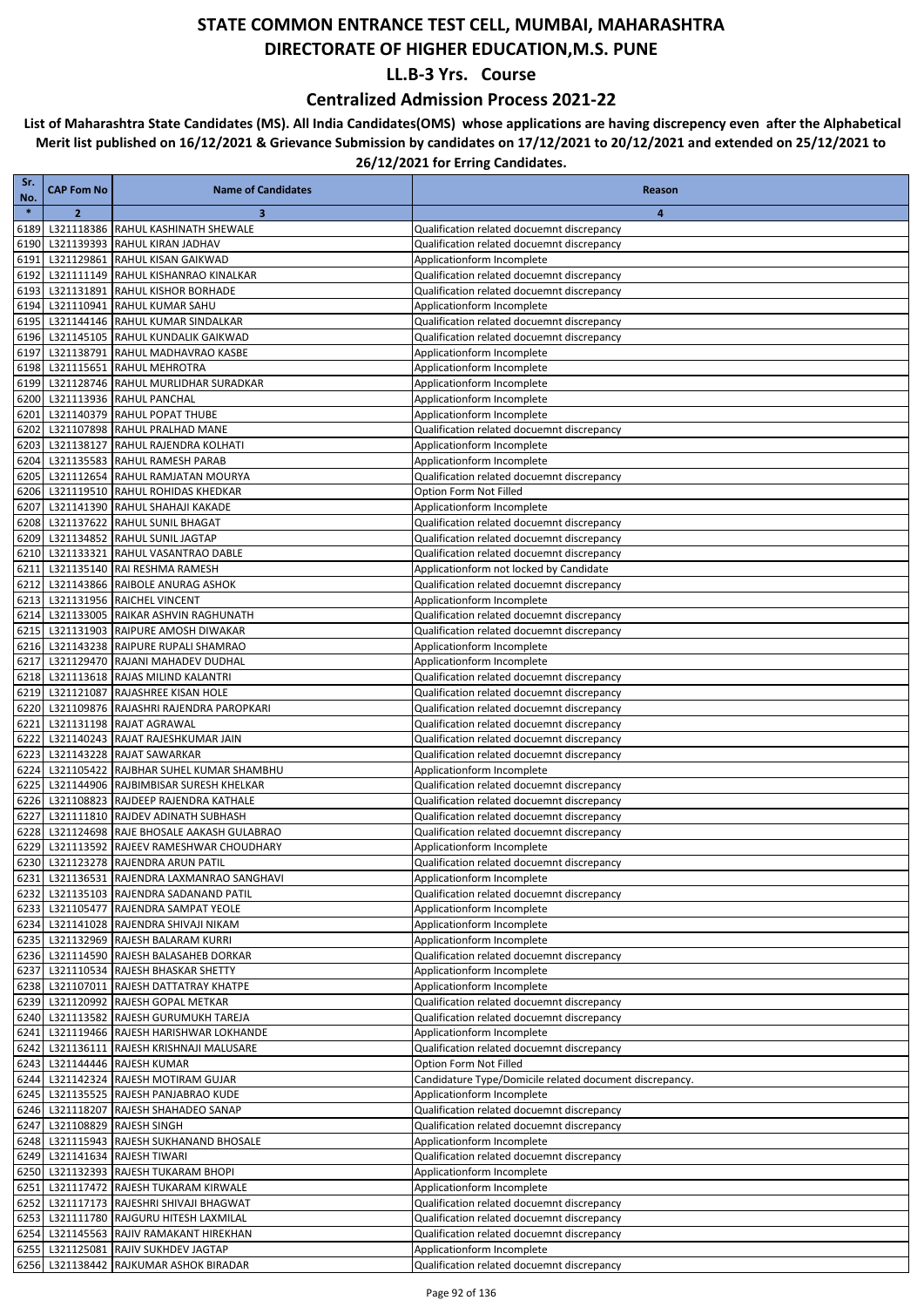### **Centralized Admission Process 2021-22**

| Sr.<br>No.   | <b>CAP Fom No</b> | <b>Name of Candidates</b>                                                          | Reason                                                                                   |
|--------------|-------------------|------------------------------------------------------------------------------------|------------------------------------------------------------------------------------------|
| $\ast$       | $\overline{2}$    | 3                                                                                  | $\overline{\mathbf{a}}$                                                                  |
| 6189         |                   | L321118386 RAHUL KASHINATH SHEWALE                                                 | Qualification related docuemnt discrepancy                                               |
| 6190         |                   | L321139393 RAHUL KIRAN JADHAV                                                      | Qualification related docuemnt discrepancy                                               |
| 6191         |                   | L321129861 RAHUL KISAN GAIKWAD                                                     | Applicationform Incomplete                                                               |
| 6192         |                   | L321111149 RAHUL KISHANRAO KINALKAR                                                | Qualification related docuemnt discrepancy                                               |
| 6193         |                   | L321131891 RAHUL KISHOR BORHADE                                                    | Qualification related docuemnt discrepancy                                               |
| 6194         |                   | L321110941 RAHUL KUMAR SAHU                                                        | Applicationform Incomplete                                                               |
| 6195         |                   | L321144146 RAHUL KUMAR SINDALKAR                                                   | Qualification related docuemnt discrepancy                                               |
| 6196<br>6197 |                   | L321145105 RAHUL KUNDALIK GAIKWAD<br>L321138791 RAHUL MADHAVRAO KASBE              | Qualification related docuemnt discrepancy<br>Applicationform Incomplete                 |
| 6198         |                   | L321115651 RAHUL MEHROTRA                                                          | Applicationform Incomplete                                                               |
| 6199         |                   | L321128746 RAHUL MURLIDHAR SURADKAR                                                | Applicationform Incomplete                                                               |
| 6200         |                   | L321113936 RAHUL PANCHAL                                                           | Applicationform Incomplete                                                               |
| 6201         |                   | L321140379 RAHUL POPAT THUBE                                                       | Applicationform Incomplete                                                               |
| 6202         |                   | L321107898 RAHUL PRALHAD MANE                                                      | Qualification related docuemnt discrepancy                                               |
| 6203         |                   | L321138127 RAHUL RAJENDRA KOLHATI                                                  | Applicationform Incomplete                                                               |
| 6204         |                   | L321135583 RAHUL RAMESH PARAB                                                      | Applicationform Incomplete                                                               |
| 6205         |                   | L321112654 RAHUL RAMJATAN MOURYA                                                   | Qualification related docuemnt discrepancy                                               |
| 6206         |                   | L321119510 RAHUL ROHIDAS KHEDKAR                                                   | Option Form Not Filled                                                                   |
| 6207         |                   | L321141390 RAHUL SHAHAJI KAKADE                                                    | Applicationform Incomplete                                                               |
| 6208         |                   | L321137622 RAHUL SUNIL BHAGAT                                                      | Qualification related docuemnt discrepancy                                               |
| 6209         |                   | L321134852 RAHUL SUNIL JAGTAP                                                      | Qualification related docuemnt discrepancy                                               |
| 6210         |                   | L321133321 RAHUL VASANTRAO DABLE                                                   | Qualification related docuemnt discrepancy                                               |
| 6211<br>6212 |                   | L321135140 RAI RESHMA RAMESH<br>L321143866 RAIBOLE ANURAG ASHOK                    | Applicationform not locked by Candidate<br>Qualification related docuemnt discrepancy    |
| 6213         |                   | L321131956 RAICHEL VINCENT                                                         | Applicationform Incomplete                                                               |
| 6214         |                   | L321133005 RAIKAR ASHVIN RAGHUNATH                                                 | Qualification related docuemnt discrepancy                                               |
| 6215         |                   | L321131903 RAIPURE AMOSH DIWAKAR                                                   | Qualification related docuemnt discrepancy                                               |
| 6216         |                   | L321143238 RAIPURE RUPALI SHAMRAO                                                  | Applicationform Incomplete                                                               |
| 6217         |                   | L321129470 RAJANI MAHADEV DUDHAL                                                   | Applicationform Incomplete                                                               |
| 6218         |                   | L321113618 RAJAS MILIND KALANTRI                                                   | Qualification related docuemnt discrepancy                                               |
| 6219         |                   | L321121087 RAJASHREE KISAN HOLE                                                    | Qualification related docuemnt discrepancy                                               |
| 6220         |                   | L321109876 RAJASHRI RAJENDRA PAROPKARI                                             | Qualification related docuemnt discrepancy                                               |
| 6221         |                   | L321131198 RAJAT AGRAWAL                                                           | Qualification related docuemnt discrepancy                                               |
| 6222         |                   | L321140243 RAJAT RAJESHKUMAR JAIN                                                  | Qualification related docuemnt discrepancy                                               |
| 6223         |                   | L321143228 RAJAT SAWARKAR                                                          | Qualification related docuemnt discrepancy                                               |
| 6224         |                   | L321105422 RAJBHAR SUHEL KUMAR SHAMBHU                                             | Applicationform Incomplete                                                               |
| 6225<br>6226 |                   | L321144906 RAJBIMBISAR SURESH KHELKAR<br>L321108823 RAJDEEP RAJENDRA KATHALE       | Qualification related docuemnt discrepancy<br>Qualification related docuemnt discrepancy |
| 6227         |                   | L321111810 RAJDEV ADINATH SUBHASH                                                  | Qualification related docuemnt discrepancy                                               |
| 6228         |                   | L321124698 RAJE BHOSALE AAKASH GULABRAO                                            | Qualification related docuemnt discrepancy                                               |
| 6229         |                   | L321113592 RAJEEV RAMESHWAR CHOUDHARY                                              | Applicationform Incomplete                                                               |
| 6230         |                   | L321123278 RAJENDRA ARUN PATIL                                                     | Qualification related docuemnt discrepancy                                               |
|              |                   | 6231 L321136531 RAJENDRA LAXMANRAO SANGHAVI                                        | Applicationform Incomplete                                                               |
| 6232         |                   | L321135103 RAJENDRA SADANAND PATIL                                                 | Qualification related docuemnt discrepancy                                               |
|              |                   | 6233 L321105477 RAJENDRA SAMPAT YEOLE                                              | Applicationform Incomplete                                                               |
|              |                   | 6234 L321141028 RAJENDRA SHIVAJI NIKAM                                             | Applicationform Incomplete                                                               |
|              |                   | 6235 L321132969 RAJESH BALARAM KURRI                                               | Applicationform Incomplete                                                               |
|              |                   | 6236 L321114590 RAJESH BALASAHEB DORKAR                                            | Qualification related docuemnt discrepancy                                               |
|              |                   | 6237 L321110534 RAJESH BHASKAR SHETTY                                              | Applicationform Incomplete                                                               |
|              |                   | 6238 L321107011 RAJESH DATTATRAY KHATPE                                            | Applicationform Incomplete                                                               |
|              |                   | 6239 L321120992 RAJESH GOPAL METKAR<br>6240 L321113582 RAJESH GURUMUKH TAREJA      | Qualification related docuemnt discrepancy<br>Qualification related docuemnt discrepancy |
|              |                   | 6241 L321119466 RAJESH HARISHWAR LOKHANDE                                          | Applicationform Incomplete                                                               |
|              |                   | 6242 L321136111 RAJESH KRISHNAJI MALUSARE                                          | Qualification related docuemnt discrepancy                                               |
|              |                   | 6243 L321144446 RAJESH KUMAR                                                       | Option Form Not Filled                                                                   |
|              |                   | 6244 L321142324 RAJESH MOTIRAM GUJAR                                               | Candidature Type/Domicile related document discrepancy.                                  |
|              |                   | 6245 L321135525 RAJESH PANJABRAO KUDE                                              | Applicationform Incomplete                                                               |
|              |                   | 6246 L321118207 RAJESH SHAHADEO SANAP                                              | Qualification related docuemnt discrepancy                                               |
|              |                   | 6247 L321108829 RAJESH SINGH                                                       | Qualification related docuemnt discrepancy                                               |
|              |                   | 6248 L321115943 RAJESH SUKHANAND BHOSALE                                           | Applicationform Incomplete                                                               |
|              |                   | 6249 L321141634 RAJESH TIWARI                                                      | Qualification related docuemnt discrepancy                                               |
|              |                   | 6250 L321132393 RAJESH TUKARAM BHOPI                                               | Applicationform Incomplete                                                               |
|              |                   | 6251 L321117472 RAJESH TUKARAM KIRWALE                                             | Applicationform Incomplete                                                               |
|              |                   | 6252 L321117173 RAJESHRI SHIVAJI BHAGWAT                                           | Qualification related docuemnt discrepancy                                               |
|              |                   | 6253 L321111780 RAJGURU HITESH LAXMILAL<br>6254 L321145563 RAJIV RAMAKANT HIREKHAN | Qualification related docuemnt discrepancy<br>Qualification related docuemnt discrepancy |
|              |                   | 6255 L321125081 RAJIV SUKHDEV JAGTAP                                               | Applicationform Incomplete                                                               |
|              |                   | 6256 L321138442 RAJKUMAR ASHOK BIRADAR                                             | Qualification related docuemnt discrepancy                                               |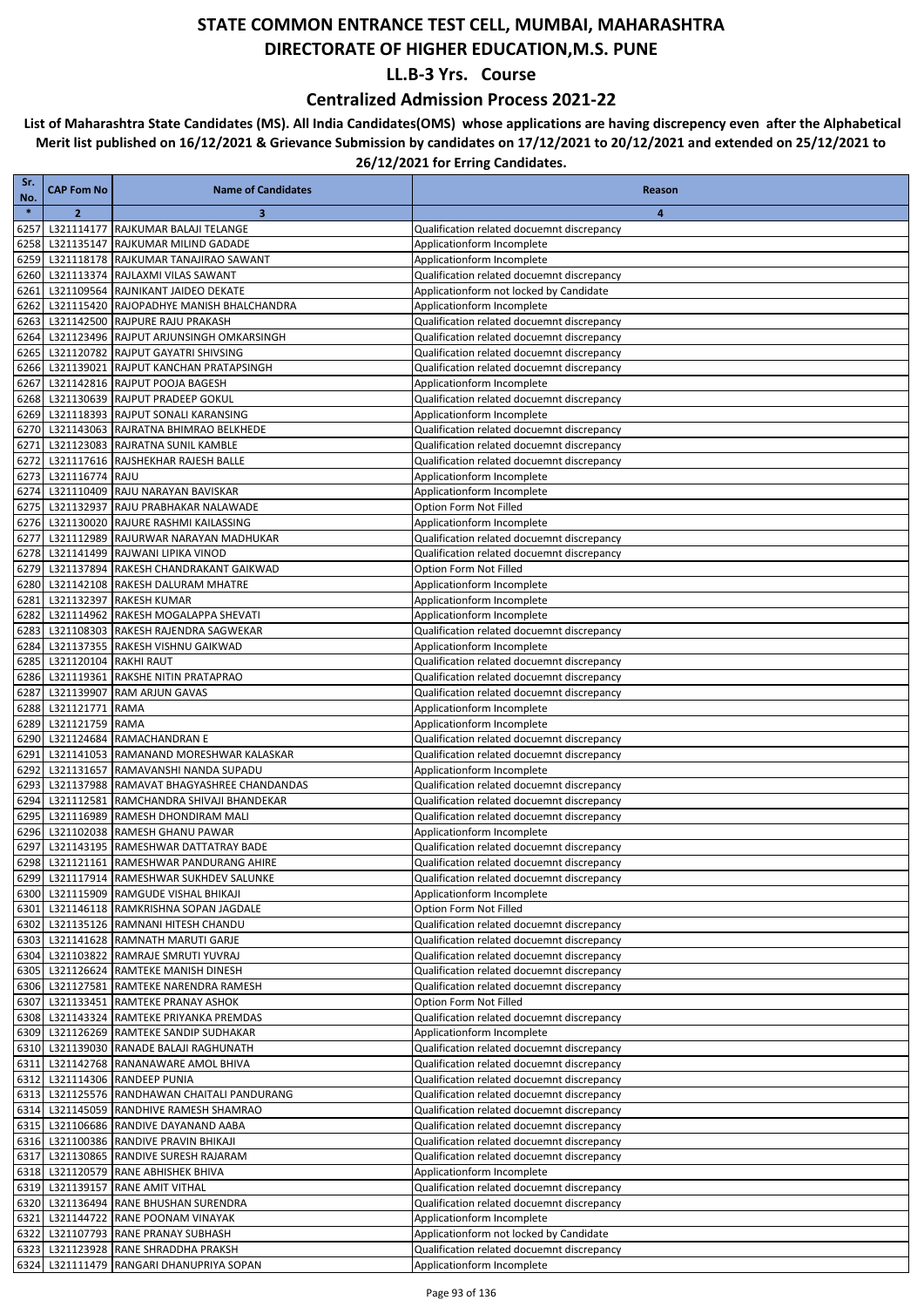### **Centralized Admission Process 2021-22**

| Sr.<br>No.   | <b>CAP Fom No</b>     | <b>Name of Candidates</b>                                                      | Reason                                                                                   |
|--------------|-----------------------|--------------------------------------------------------------------------------|------------------------------------------------------------------------------------------|
| $\ast$       | $\overline{2}$        | 3                                                                              | 4                                                                                        |
| 6257         |                       | L321114177 RAJKUMAR BALAJI TELANGE                                             | Qualification related docuemnt discrepancy                                               |
| 6258         |                       | L321135147 RAJKUMAR MILIND GADADE                                              | Applicationform Incomplete                                                               |
| 6259         |                       | L321118178 RAJKUMAR TANAJIRAO SAWANT                                           | Applicationform Incomplete                                                               |
| 6260         |                       | L321113374 RAJLAXMI VILAS SAWANT                                               | Qualification related docuemnt discrepancy                                               |
| 6261         |                       | L321109564 RAJNIKANT JAIDEO DEKATE                                             | Applicationform not locked by Candidate                                                  |
| 6262         |                       | L321115420 RAJOPADHYE MANISH BHALCHANDRA                                       | Applicationform Incomplete                                                               |
| 6263         |                       | L321142500 RAJPURE RAJU PRAKASH                                                | Qualification related docuemnt discrepancy                                               |
| 6264<br>6265 |                       | L321123496 RAJPUT ARJUNSINGH OMKARSINGH<br>L321120782 RAJPUT GAYATRI SHIVSING  | Qualification related docuemnt discrepancy<br>Qualification related docuemnt discrepancy |
|              |                       | 6266 L321139021 RAJPUT KANCHAN PRATAPSINGH                                     | Qualification related docuemnt discrepancy                                               |
| 6267         |                       | L321142816 RAJPUT POOJA BAGESH                                                 | Applicationform Incomplete                                                               |
| 6268         |                       | L321130639 RAJPUT PRADEEP GOKUL                                                | Qualification related docuemnt discrepancy                                               |
| 6269         |                       | L321118393 RAJPUT SONALI KARANSING                                             | Applicationform Incomplete                                                               |
| 6270         |                       | L321143063 RAJRATNA BHIMRAO BELKHEDE                                           | Qualification related docuemnt discrepancy                                               |
| 6271         |                       | L321123083 RAJRATNA SUNIL KAMBLE                                               | Qualification related docuemnt discrepancy                                               |
| 6272         |                       | L321117616 RAJSHEKHAR RAJESH BALLE                                             | Qualification related docuemnt discrepancy                                               |
| 6273         | L321116774 RAJU       |                                                                                | Applicationform Incomplete                                                               |
|              |                       | 6274 L321110409 RAJU NARAYAN BAVISKAR                                          | Applicationform Incomplete                                                               |
| 6275         |                       | L321132937 RAJU PRABHAKAR NALAWADE                                             | Option Form Not Filled                                                                   |
| 6276         |                       | L321130020 RAJURE RASHMI KAILASSING                                            | Applicationform Incomplete                                                               |
| 6277         |                       | L321112989 RAJURWAR NARAYAN MADHUKAR<br>L321141499 RAJWANI LIPIKA VINOD        | Qualification related docuemnt discrepancy                                               |
| 6278<br>6279 |                       | L321137894 RAKESH CHANDRAKANT GAIKWAD                                          | Qualification related docuemnt discrepancy<br>Option Form Not Filled                     |
|              |                       | 6280 L321142108 RAKESH DALURAM MHATRE                                          | Applicationform Incomplete                                                               |
| 6281         |                       | L321132397 RAKESH KUMAR                                                        | Applicationform Incomplete                                                               |
| 6282         |                       | L321114962 RAKESH MOGALAPPA SHEVATI                                            | Applicationform Incomplete                                                               |
| 6283         |                       | L321108303 RAKESH RAJENDRA SAGWEKAR                                            | Qualification related docuemnt discrepancy                                               |
| 6284         |                       | L321137355 RAKESH VISHNU GAIKWAD                                               | Applicationform Incomplete                                                               |
| 6285         | L321120104 RAKHI RAUT |                                                                                | Qualification related docuemnt discrepancy                                               |
| 6286         |                       | L321119361 RAKSHE NITIN PRATAPRAO                                              | Qualification related docuemnt discrepancy                                               |
| 6287         |                       | L321139907 RAM ARJUN GAVAS                                                     | Qualification related docuemnt discrepancy                                               |
| 6288         | L321121771 RAMA       |                                                                                | Applicationform Incomplete                                                               |
| 6289         | L321121759 RAMA       |                                                                                | Applicationform Incomplete                                                               |
| 6290         |                       | L321124684 RAMACHANDRAN E                                                      | Qualification related docuemnt discrepancy                                               |
| 6291<br>6292 |                       | L321141053 RAMANAND MORESHWAR KALASKAR<br>L321131657 RAMAVANSHI NANDA SUPADU   | Qualification related docuemnt discrepancy<br>Applicationform Incomplete                 |
| 6293         |                       | L321137988 RAMAVAT BHAGYASHREE CHANDANDAS                                      | Qualification related docuemnt discrepancy                                               |
| 6294         |                       | L321112581 RAMCHANDRA SHIVAJI BHANDEKAR                                        | Qualification related docuemnt discrepancy                                               |
| 6295         |                       | L321116989 RAMESH DHONDIRAM MALI                                               | Qualification related docuemnt discrepancy                                               |
| 6296         |                       | L321102038 RAMESH GHANU PAWAR                                                  | Applicationform Incomplete                                                               |
| 6297         |                       | L321143195 RAMESHWAR DATTATRAY BADE                                            | Qualification related docuemnt discrepancy                                               |
| 6298         |                       | L321121161 RAMESHWAR PANDURANG AHIRE                                           | Qualification related docuemnt discrepancy                                               |
|              |                       | 6299 L321117914 RAMESHWAR SUKHDEV SALUNKE                                      | Qualification related docuemnt discrepancy                                               |
|              |                       | 6300 L321115909 RAMGUDE VISHAL BHIKAJI                                         | Applicationform Incomplete                                                               |
|              |                       | 6301 L321146118 RAMKRISHNA SOPAN JAGDALE                                       | Option Form Not Filled                                                                   |
|              |                       | 6302 L321135126 RAMNANI HITESH CHANDU                                          | Qualification related docuemnt discrepancy                                               |
| 6303         |                       | L321141628 RAMNATH MARUTI GARJE                                                | Qualification related docuemnt discrepancy                                               |
|              |                       | 6304 L321103822 RAMRAJE SMRUTI YUVRAJ<br>6305 L321126624 RAMTEKE MANISH DINESH | Qualification related docuemnt discrepancy<br>Qualification related docuemnt discrepancy |
|              |                       | 6306 L321127581 RAMTEKE NARENDRA RAMESH                                        | Qualification related docuemnt discrepancy                                               |
| 6307         |                       | L321133451 RAMTEKE PRANAY ASHOK                                                | Option Form Not Filled                                                                   |
|              |                       | 6308 L321143324 RAMTEKE PRIYANKA PREMDAS                                       | Qualification related docuemnt discrepancy                                               |
|              |                       | 6309 L321126269 RAMTEKE SANDIP SUDHAKAR                                        | Applicationform Incomplete                                                               |
|              |                       | 6310 L321139030 RANADE BALAJI RAGHUNATH                                        | Qualification related docuemnt discrepancy                                               |
|              |                       | 6311 L321142768 RANANAWARE AMOL BHIVA                                          | Qualification related docuemnt discrepancy                                               |
|              |                       | 6312 L321114306 RANDEEP PUNIA                                                  | Qualification related docuemnt discrepancy                                               |
|              |                       | 6313 L321125576 RANDHAWAN CHAITALI PANDURANG                                   | Qualification related docuemnt discrepancy                                               |
|              |                       | 6314 L321145059 RANDHIVE RAMESH SHAMRAO                                        | Qualification related docuemnt discrepancy                                               |
|              |                       | 6315 L321106686 RANDIVE DAYANAND AABA                                          | Qualification related docuemnt discrepancy                                               |
|              |                       | 6316 L321100386 RANDIVE PRAVIN BHIKAJI                                         | Qualification related docuemnt discrepancy                                               |
|              |                       | 6317 L321130865 RANDIVE SURESH RAJARAM                                         | Qualification related docuemnt discrepancy                                               |
|              |                       | 6318 L321120579 RANE ABHISHEK BHIVA<br>6319 L321139157 RANE AMIT VITHAL        | Applicationform Incomplete<br>Qualification related docuemnt discrepancy                 |
|              |                       | 6320 L321136494 RANE BHUSHAN SURENDRA                                          | Qualification related docuemnt discrepancy                                               |
| 6321         |                       | L321144722 RANE POONAM VINAYAK                                                 | Applicationform Incomplete                                                               |
|              |                       | 6322 L321107793 RANE PRANAY SUBHASH                                            | Applicationform not locked by Candidate                                                  |
|              |                       | 6323 L321123928 RANE SHRADDHA PRAKSH                                           | Qualification related docuemnt discrepancy                                               |
|              |                       | 6324 L321111479 RANGARI DHANUPRIYA SOPAN                                       | Applicationform Incomplete                                                               |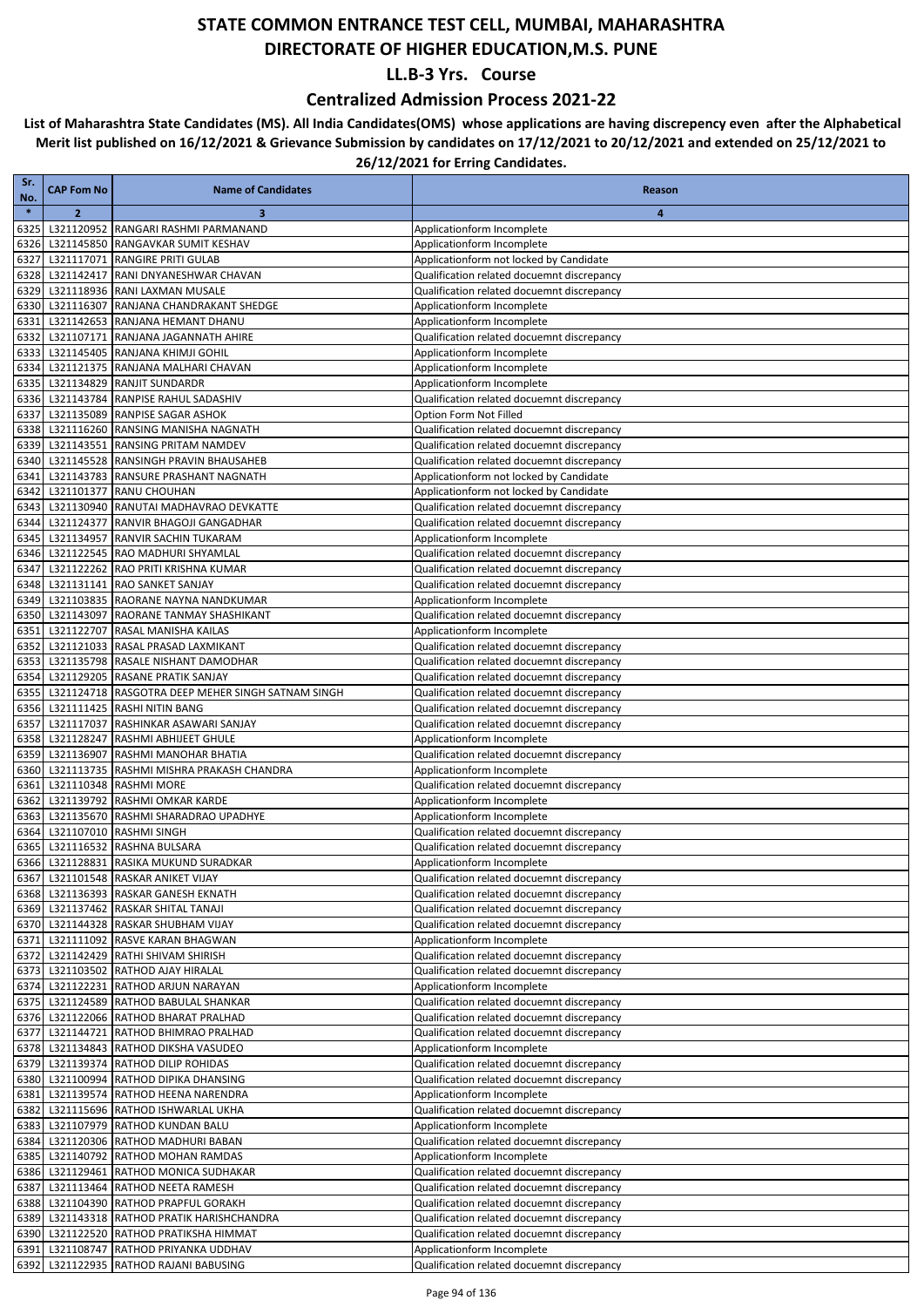### **Centralized Admission Process 2021-22**

| Sr.<br>No.   | <b>CAP Fom No</b> | <b>Name of Candidates</b>                                                        | Reason                                                                                   |
|--------------|-------------------|----------------------------------------------------------------------------------|------------------------------------------------------------------------------------------|
| $\ast$       | $\overline{2}$    | 3                                                                                | 4                                                                                        |
| 6325         |                   | L321120952 RANGARI RASHMI PARMANAND                                              | Applicationform Incomplete                                                               |
| 6326         |                   | L321145850 RANGAVKAR SUMIT KESHAV                                                | Applicationform Incomplete                                                               |
| 6327         |                   | L321117071 RANGIRE PRITI GULAB<br>L321142417 RANI DNYANESHWAR CHAVAN             | Applicationform not locked by Candidate                                                  |
| 6328<br>6329 |                   | L321118936 RANI LAXMAN MUSALE                                                    | Qualification related docuemnt discrepancy<br>Qualification related docuemnt discrepancy |
| 6330         |                   | L321116307 RANJANA CHANDRAKANT SHEDGE                                            | Applicationform Incomplete                                                               |
| 6331         |                   | L321142653 RANJANA HEMANT DHANU                                                  | Applicationform Incomplete                                                               |
| 6332         |                   | L321107171 RANJANA JAGANNATH AHIRE                                               | Qualification related docuemnt discrepancy                                               |
| 6333         |                   | L321145405 RANJANA KHIMJI GOHIL                                                  | Applicationform Incomplete                                                               |
| 6334         |                   | L321121375 RANJANA MALHARI CHAVAN                                                | Applicationform Incomplete                                                               |
| 6335         |                   | L321134829 RANJIT SUNDARDR                                                       | Applicationform Incomplete                                                               |
| 6336<br>6337 |                   | L321143784 RANPISE RAHUL SADASHIV<br>L321135089 RANPISE SAGAR ASHOK              | Qualification related docuemnt discrepancy<br>Option Form Not Filled                     |
| 6338         |                   | L321116260 RANSING MANISHA NAGNATH                                               | Qualification related docuemnt discrepancy                                               |
| 6339         |                   | L321143551 RANSING PRITAM NAMDEV                                                 | Qualification related docuemnt discrepancy                                               |
| 6340         |                   | L321145528 RANSINGH PRAVIN BHAUSAHEB                                             | Qualification related docuemnt discrepancy                                               |
| 6341         |                   | L321143783 RANSURE PRASHANT NAGNATH                                              | Applicationform not locked by Candidate                                                  |
| 6342         |                   | L321101377 RANU CHOUHAN                                                          | Applicationform not locked by Candidate                                                  |
| 6343         |                   | L321130940 RANUTAI MADHAVRAO DEVKATTE                                            | Qualification related docuemnt discrepancy                                               |
| 6344         |                   | L321124377 RANVIR BHAGOJI GANGADHAR                                              | Qualification related docuemnt discrepancy                                               |
| 6345<br>6346 |                   | L321134957 RANVIR SACHIN TUKARAM<br>L321122545 RAO MADHURI SHYAMLAL              | Applicationform Incomplete<br>Qualification related docuemnt discrepancy                 |
| 6347         |                   | L321122262 RAO PRITI KRISHNA KUMAR                                               | Qualification related docuemnt discrepancy                                               |
| 6348         |                   | L321131141 RAO SANKET SANJAY                                                     | Qualification related docuemnt discrepancy                                               |
| 6349         |                   | L321103835 RAORANE NAYNA NANDKUMAR                                               | Applicationform Incomplete                                                               |
| 6350         |                   | L321143097 RAORANE TANMAY SHASHIKANT                                             | Qualification related docuemnt discrepancy                                               |
| 6351         |                   | L321122707 RASAL MANISHA KAILAS                                                  | Applicationform Incomplete                                                               |
| 6352         |                   | L321121033 RASAL PRASAD LAXMIKANT                                                | Qualification related docuemnt discrepancy                                               |
| 6353         |                   | L321135798 RASALE NISHANT DAMODHAR                                               | Qualification related docuemnt discrepancy                                               |
| 6354         |                   | L321129205 RASANE PRATIK SANJAY                                                  | Qualification related docuemnt discrepancy                                               |
| 6355<br>6356 |                   | L321124718 RASGOTRA DEEP MEHER SINGH SATNAM SINGH<br>L321111425 RASHI NITIN BANG | Qualification related docuemnt discrepancy<br>Qualification related docuemnt discrepancy |
| 6357         |                   | L321117037 RASHINKAR ASAWARI SANJAY                                              | Qualification related docuemnt discrepancy                                               |
| 6358         |                   | L321128247 RASHMI ABHIJEET GHULE                                                 | Applicationform Incomplete                                                               |
| 6359         |                   | L321136907 RASHMI MANOHAR BHATIA                                                 | Qualification related docuemnt discrepancy                                               |
| 6360         |                   | L321113735 RASHMI MISHRA PRAKASH CHANDRA                                         | Applicationform Incomplete                                                               |
| 6361         |                   | L321110348 RASHMI MORE                                                           | Qualification related docuemnt discrepancy                                               |
| 6362         |                   | L321139792 RASHMI OMKAR KARDE                                                    | Applicationform Incomplete                                                               |
| 6363<br>6364 |                   | L321135670 RASHMI SHARADRAO UPADHYE<br>L321107010 RASHMI SINGH                   | Applicationform Incomplete<br>Qualification related docuemnt discrepancy                 |
| 6365         |                   | L321116532 RASHNA BULSARA                                                        | Qualification related docuemnt discrepancy                                               |
| 6366         |                   | L321128831 RASIKA MUKUND SURADKAR                                                | Applicationform Incomplete                                                               |
|              |                   | 6367 L321101548 RASKAR ANIKET VIJAY                                              | Qualification related docuemnt discrepancy                                               |
|              |                   | 6368 L321136393 RASKAR GANESH EKNATH                                             | Qualification related docuemnt discrepancy                                               |
|              |                   | 6369 L321137462 RASKAR SHITAL TANAJI                                             | Qualification related docuemnt discrepancy                                               |
|              |                   | 6370 L321144328 RASKAR SHUBHAM VIJAY                                             | Qualification related docuemnt discrepancy                                               |
|              |                   | 6371 L321111092 RASVE KARAN BHAGWAN                                              | Applicationform Incomplete                                                               |
|              |                   | 6372 L321142429 RATHI SHIVAM SHIRISH<br>6373 L321103502 RATHOD AJAY HIRALAL      | Qualification related docuemnt discrepancy<br>Qualification related docuemnt discrepancy |
|              |                   | 6374 L321122231 RATHOD ARJUN NARAYAN                                             | Applicationform Incomplete                                                               |
|              |                   | 6375 L321124589 RATHOD BABULAL SHANKAR                                           | Qualification related docuemnt discrepancy                                               |
|              |                   | 6376 L321122066 RATHOD BHARAT PRALHAD                                            | Qualification related docuemnt discrepancy                                               |
|              |                   | 6377 L321144721 RATHOD BHIMRAO PRALHAD                                           | Qualification related docuemnt discrepancy                                               |
|              |                   | 6378 L321134843 RATHOD DIKSHA VASUDEO                                            | Applicationform Incomplete                                                               |
|              |                   | 6379 L321139374 RATHOD DILIP ROHIDAS                                             | Qualification related docuemnt discrepancy                                               |
|              |                   | 6380 L321100994 RATHOD DIPIKA DHANSING                                           | Qualification related docuemnt discrepancy                                               |
| 6381         |                   | L321139574 RATHOD HEENA NARENDRA                                                 | Applicationform Incomplete                                                               |
|              |                   | 6382 L321115696 RATHOD ISHWARLAL UKHA<br>6383 L321107979 RATHOD KUNDAN BALU      | Qualification related docuemnt discrepancy<br>Applicationform Incomplete                 |
| 6384         |                   | L321120306 RATHOD MADHURI BABAN                                                  | Qualification related docuemnt discrepancy                                               |
|              |                   | 6385 L321140792 RATHOD MOHAN RAMDAS                                              | Applicationform Incomplete                                                               |
|              |                   | 6386 L321129461 RATHOD MONICA SUDHAKAR                                           | Qualification related docuemnt discrepancy                                               |
|              |                   | 6387 L321113464 RATHOD NEETA RAMESH                                              | Qualification related docuemnt discrepancy                                               |
|              |                   | 6388 L321104390 RATHOD PRAPFUL GORAKH                                            | Qualification related docuemnt discrepancy                                               |
|              |                   | 6389 L321143318 RATHOD PRATIK HARISHCHANDRA                                      | Qualification related docuemnt discrepancy                                               |
|              |                   | 6390 L321122520 RATHOD PRATIKSHA HIMMAT                                          | Qualification related docuemnt discrepancy                                               |
|              |                   | 6391 L321108747 RATHOD PRIYANKA UDDHAV<br>6392 L321122935 RATHOD RAJANI BABUSING | Applicationform Incomplete<br>Qualification related docuemnt discrepancy                 |
|              |                   |                                                                                  |                                                                                          |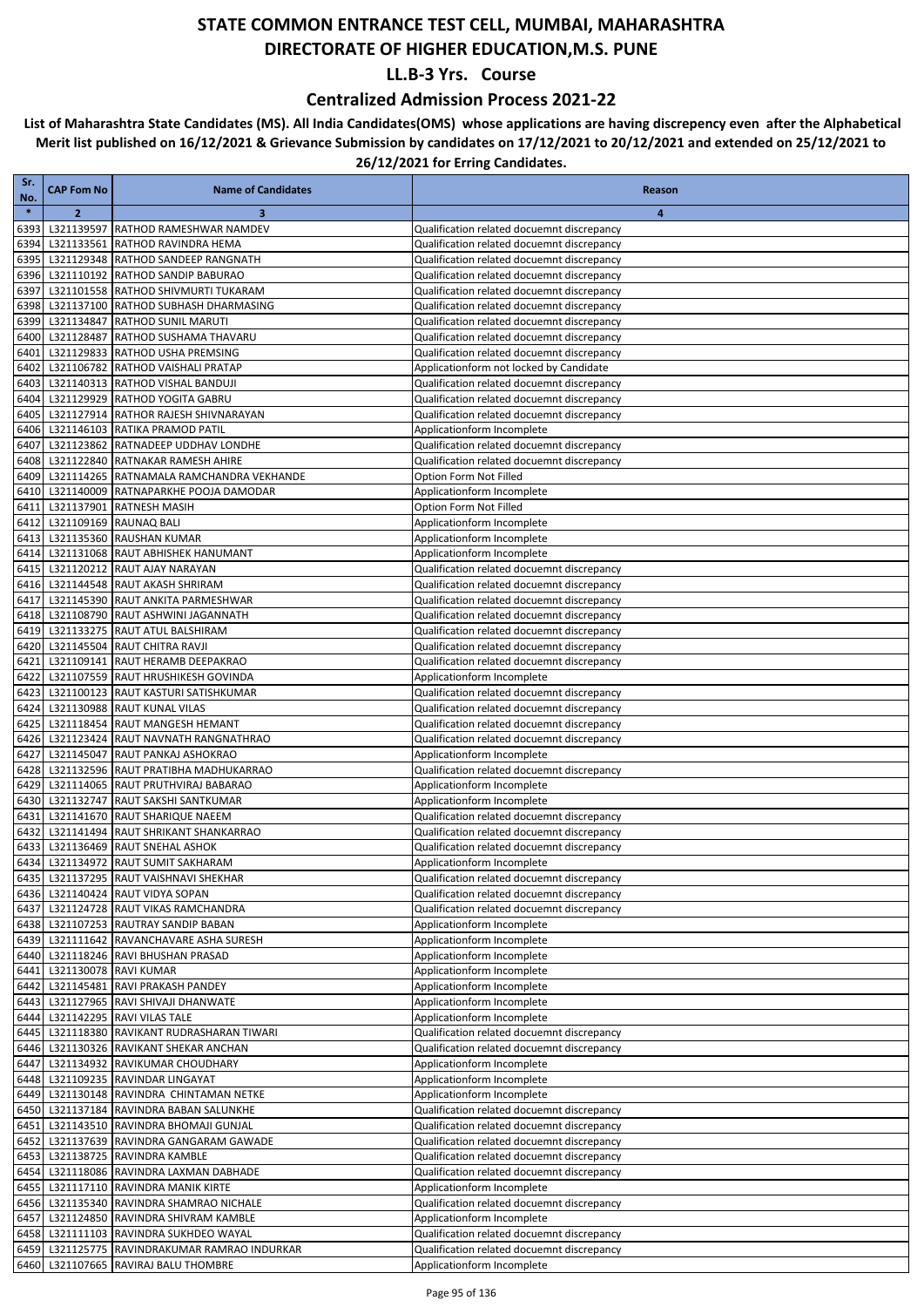### **Centralized Admission Process 2021-22**

| Sr.<br>No.   | <b>CAP Fom No</b>          | <b>Name of Candidates</b>                                                   | Reason                                                                                   |
|--------------|----------------------------|-----------------------------------------------------------------------------|------------------------------------------------------------------------------------------|
| $\ast$       | $\mathbf{2}$               | 3                                                                           | $\overline{\mathbf{a}}$                                                                  |
| 6393         |                            | L321139597 RATHOD RAMESHWAR NAMDEV                                          | Qualification related docuemnt discrepancy                                               |
| 6394         |                            | L321133561 RATHOD RAVINDRA HEMA                                             | Qualification related docuemnt discrepancy                                               |
| 6395         |                            | L321129348 RATHOD SANDEEP RANGNATH                                          | Qualification related docuemnt discrepancy                                               |
| 6396         |                            | L321110192 RATHOD SANDIP BABURAO                                            | Qualification related docuemnt discrepancy                                               |
| 6397         |                            | L321101558 RATHOD SHIVMURTI TUKARAM<br>L321137100 RATHOD SUBHASH DHARMASING | Qualification related docuemnt discrepancy<br>Qualification related docuemnt discrepancy |
| 6398<br>6399 |                            | L321134847 RATHOD SUNIL MARUTI                                              | Qualification related docuemnt discrepancy                                               |
| 6400         |                            | L321128487 RATHOD SUSHAMA THAVARU                                           | Qualification related docuemnt discrepancy                                               |
| 6401         |                            | L321129833 RATHOD USHA PREMSING                                             | Qualification related docuemnt discrepancy                                               |
| 6402         |                            | L321106782 RATHOD VAISHALI PRATAP                                           | Applicationform not locked by Candidate                                                  |
| 6403         |                            | L321140313 RATHOD VISHAL BANDUJI                                            | Qualification related docuemnt discrepancy                                               |
| 6404         |                            | L321129929 RATHOD YOGITA GABRU                                              | Qualification related docuemnt discrepancy                                               |
| 6405         |                            | L321127914 RATHOR RAJESH SHIVNARAYAN                                        | Qualification related docuemnt discrepancy                                               |
| 6406<br>6407 |                            | L321146103 RATIKA PRAMOD PATIL<br>L321123862 RATNADEEP UDDHAV LONDHE        | Applicationform Incomplete<br>Qualification related docuemnt discrepancy                 |
| 6408         |                            | L321122840 RATNAKAR RAMESH AHIRE                                            | Qualification related docuemnt discrepancy                                               |
| 6409         |                            | L321114265 RATNAMALA RAMCHANDRA VEKHANDE                                    | Option Form Not Filled                                                                   |
| 6410         |                            | L321140009 RATNAPARKHE POOJA DAMODAR                                        | Applicationform Incomplete                                                               |
| 6411         |                            | L321137901 RATNESH MASIH                                                    | Option Form Not Filled                                                                   |
| 6412         |                            | L321109169 RAUNAQ BALI                                                      | Applicationform Incomplete                                                               |
| 6413         |                            | L321135360 RAUSHAN KUMAR                                                    | Applicationform Incomplete                                                               |
| 6414         |                            | L321131068 RAUT ABHISHEK HANUMANT                                           | Applicationform Incomplete                                                               |
| 6415<br>6416 |                            | L321120212 RAUT AJAY NARAYAN<br>L321144548 RAUT AKASH SHRIRAM               | Qualification related docuemnt discrepancy<br>Qualification related docuemnt discrepancy |
| 6417         |                            | L321145390 RAUT ANKITA PARMESHWAR                                           | Qualification related docuemnt discrepancy                                               |
| 6418         |                            | L321108790 RAUT ASHWINI JAGANNATH                                           | Qualification related docuemnt discrepancy                                               |
| 6419         |                            | L321133275 RAUT ATUL BALSHIRAM                                              | Qualification related docuemnt discrepancy                                               |
| 6420         |                            | L321145504 RAUT CHITRA RAVJI                                                | Qualification related docuemnt discrepancy                                               |
| 6421         |                            | L321109141 RAUT HERAMB DEEPAKRAO                                            | Qualification related docuemnt discrepancy                                               |
| 6422         |                            | L321107559 RAUT HRUSHIKESH GOVINDA                                          | Applicationform Incomplete                                                               |
| 6423         |                            | L321100123 RAUT KASTURI SATISHKUMAR                                         | Qualification related docuemnt discrepancy                                               |
| 6424         |                            | L321130988 RAUT KUNAL VILAS                                                 | Qualification related docuemnt discrepancy                                               |
| 6425<br>6426 |                            | L321118454 RAUT MANGESH HEMANT<br>L321123424 RAUT NAVNATH RANGNATHRAO       | Qualification related docuemnt discrepancy<br>Qualification related docuemnt discrepancy |
| 6427         |                            | L321145047 RAUT PANKAJ ASHOKRAO                                             | Applicationform Incomplete                                                               |
| 6428         |                            | L321132596 RAUT PRATIBHA MADHUKARRAO                                        | Qualification related docuemnt discrepancy                                               |
| 6429         |                            | L321114065 RAUT PRUTHVIRAJ BABARAO                                          | Applicationform Incomplete                                                               |
| 6430         |                            | L321132747 RAUT SAKSHI SANTKUMAR                                            | Applicationform Incomplete                                                               |
| 6431         |                            | L321141670 RAUT SHARIQUE NAEEM                                              | Qualification related docuemnt discrepancy                                               |
| 6432         |                            | L321141494 RAUT SHRIKANT SHANKARRAO                                         | Qualification related docuemnt discrepancy                                               |
| 6433<br>6434 |                            | L321136469 RAUT SNEHAL ASHOK<br>L321134972 RAUT SUMIT SAKHARAM              | Qualification related docuemnt discrepancy<br>Applicationform Incomplete                 |
|              |                            | 6435 L321137295 RAUT VAISHNAVI SHEKHAR                                      | Qualification related docuemnt discrepancy                                               |
|              |                            | 6436 L321140424 RAUT VIDYA SOPAN                                            | Qualification related docuemnt discrepancy                                               |
| 6437         |                            | L321124728 RAUT VIKAS RAMCHANDRA                                            | Qualification related docuemnt discrepancy                                               |
|              |                            | 6438 L321107253 RAUTRAY SANDIP BABAN                                        | Applicationform Incomplete                                                               |
|              |                            | 6439 L321111642 RAVANCHAVARE ASHA SURESH                                    | Applicationform Incomplete                                                               |
|              |                            | 6440 L321118246 RAVI BHUSHAN PRASAD                                         | Applicationform Incomplete                                                               |
|              | 6441 L321130078 RAVI KUMAR |                                                                             | Applicationform Incomplete                                                               |
| 6442         |                            | L321145481 RAVI PRAKASH PANDEY                                              | Applicationform Incomplete                                                               |
|              |                            | 6443 L321127965 RAVI SHIVAJI DHANWATE<br>6444 L321142295 RAVI VILAS TALE    | Applicationform Incomplete<br>Applicationform Incomplete                                 |
|              |                            | 6445 L321118380 RAVIKANT RUDRASHARAN TIWARI                                 | Qualification related docuemnt discrepancy                                               |
|              |                            | 6446 L321130326 RAVIKANT SHEKAR ANCHAN                                      | Qualification related docuemnt discrepancy                                               |
|              |                            | 6447 L321134932 RAVIKUMAR CHOUDHARY                                         | Applicationform Incomplete                                                               |
|              |                            | 6448 L321109235 RAVINDAR LINGAYAT                                           | Applicationform Incomplete                                                               |
|              |                            | 6449 L321130148 RAVINDRA CHINTAMAN NETKE                                    | Applicationform Incomplete                                                               |
|              |                            | 6450 L321137184 RAVINDRA BABAN SALUNKHE                                     | Qualification related docuemnt discrepancy                                               |
| 6451         |                            | L321143510 RAVINDRA BHOMAJI GUNJAL                                          | Qualification related docuemnt discrepancy                                               |
| 6452         |                            | L321137639 RAVINDRA GANGARAM GAWADE                                         | Qualification related docuemnt discrepancy                                               |
|              |                            | 6453 L321138725 RAVINDRA KAMBLE<br>6454 L321118086 RAVINDRA LAXMAN DABHADE  | Qualification related docuemnt discrepancy<br>Qualification related docuemnt discrepancy |
|              |                            | 6455 L321117110 RAVINDRA MANIK KIRTE                                        | Applicationform Incomplete                                                               |
|              |                            | 6456 L321135340 RAVINDRA SHAMRAO NICHALE                                    | Qualification related docuemnt discrepancy                                               |
|              |                            | 6457 L321124850 RAVINDRA SHIVRAM KAMBLE                                     | Applicationform Incomplete                                                               |
|              |                            | 6458 L321111103 RAVINDRA SUKHDEO WAYAL                                      | Qualification related docuemnt discrepancy                                               |
|              |                            | 6459 L321125775 RAVINDRAKUMAR RAMRAO INDURKAR                               | Qualification related docuemnt discrepancy                                               |
|              |                            | 6460 L321107665 RAVIRAJ BALU THOMBRE                                        | Applicationform Incomplete                                                               |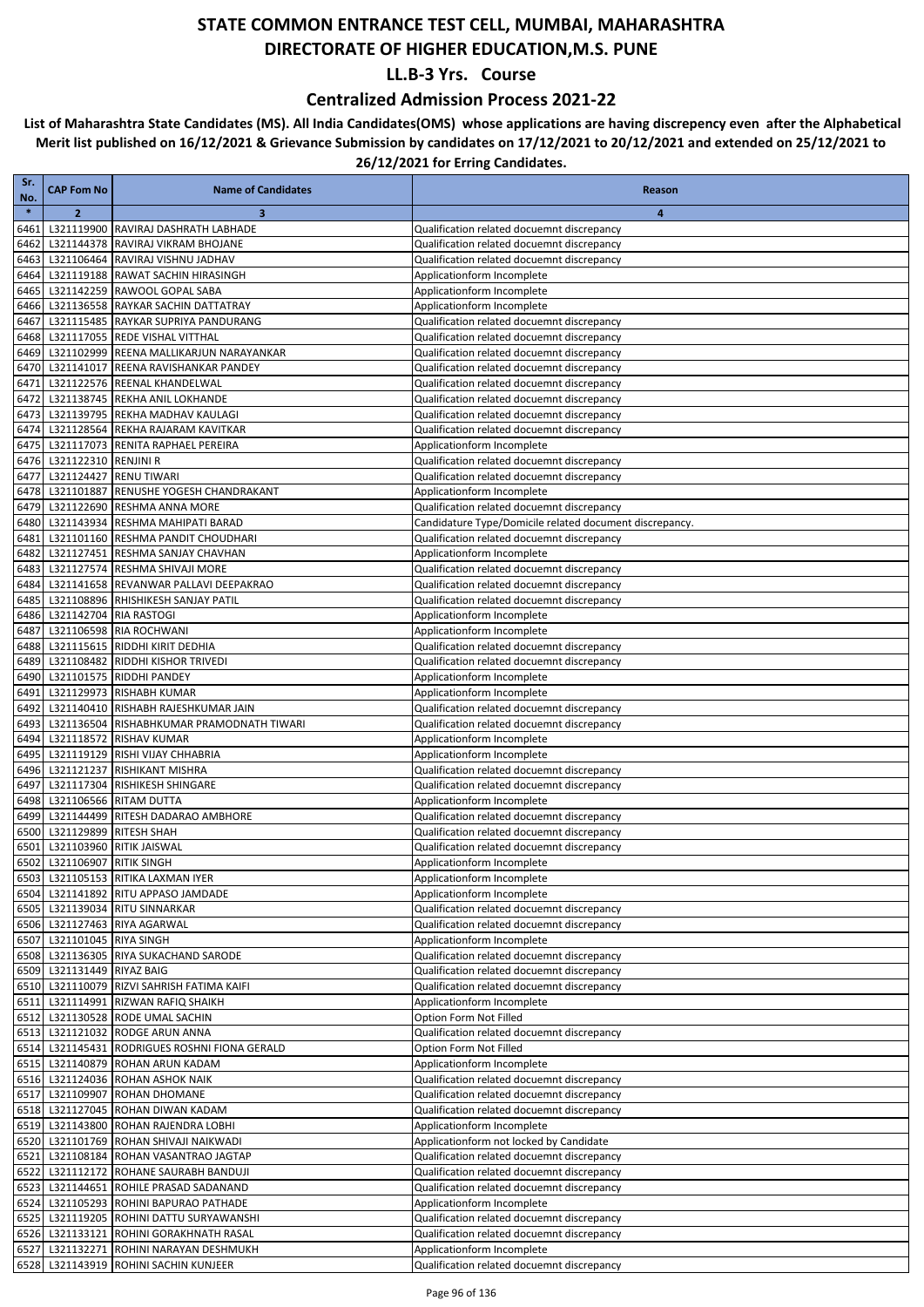### **Centralized Admission Process 2021-22**

| Sr.<br>No.   | <b>CAP Fom No</b>          | <b>Name of Candidates</b>                                                 | Reason                                                                                                |
|--------------|----------------------------|---------------------------------------------------------------------------|-------------------------------------------------------------------------------------------------------|
| $\ast$       | $\overline{2}$             | 3                                                                         | $\overline{4}$                                                                                        |
| 6461         |                            | L321119900 RAVIRAJ DASHRATH LABHADE                                       | Qualification related docuemnt discrepancy                                                            |
| 6462         |                            | L321144378 RAVIRAJ VIKRAM BHOJANE                                         | Qualification related docuemnt discrepancy                                                            |
| 6463         |                            | L321106464 RAVIRAJ VISHNU JADHAV                                          | Qualification related docuemnt discrepancy                                                            |
| 6464         |                            | L321119188 RAWAT SACHIN HIRASINGH                                         | Applicationform Incomplete                                                                            |
| 6465         |                            | L321142259 RAWOOL GOPAL SABA                                              | Applicationform Incomplete                                                                            |
| 6466         |                            | L321136558 RAYKAR SACHIN DATTATRAY                                        | Applicationform Incomplete                                                                            |
| 6467         |                            | L321115485 RAYKAR SUPRIYA PANDURANG                                       | Qualification related docuemnt discrepancy                                                            |
| 6468<br>6469 |                            | L321117055 REDE VISHAL VITTHAL<br>L321102999 REENA MALLIKARJUN NARAYANKAR | Qualification related docuemnt discrepancy<br>Qualification related docuemnt discrepancy              |
| 6470         |                            | L321141017 REENA RAVISHANKAR PANDEY                                       | Qualification related docuemnt discrepancy                                                            |
| 6471         |                            | L321122576 REENAL KHANDELWAL                                              | Qualification related docuemnt discrepancy                                                            |
| 6472         |                            | L321138745 REKHA ANIL LOKHANDE                                            | Qualification related docuemnt discrepancy                                                            |
| 6473         |                            | L321139795 REKHA MADHAV KAULAGI                                           | Qualification related docuemnt discrepancy                                                            |
| 6474         |                            | L321128564 REKHA RAJARAM KAVITKAR                                         | Qualification related docuemnt discrepancy                                                            |
| 6475         |                            | L321117073 RENITA RAPHAEL PEREIRA                                         | Applicationform Incomplete                                                                            |
| 6476         | L321122310 RENJINI R       |                                                                           | Qualification related docuemnt discrepancy                                                            |
| 6477         |                            | L321124427 RENU TIWARI                                                    | Qualification related docuemnt discrepancy                                                            |
| 6478         |                            | L321101887 RENUSHE YOGESH CHANDRAKANT                                     | Applicationform Incomplete                                                                            |
| 6479         |                            | L321122690 RESHMA ANNA MORE                                               | Qualification related docuemnt discrepancy                                                            |
| 6480<br>6481 |                            | L321143934 RESHMA MAHIPATI BARAD<br>L321101160 RESHMA PANDIT CHOUDHARI    | Candidature Type/Domicile related document discrepancy.<br>Qualification related docuemnt discrepancy |
| 6482         |                            | L321127451 RESHMA SANJAY CHAVHAN                                          | Applicationform Incomplete                                                                            |
| 6483         |                            | L321127574 RESHMA SHIVAJI MORE                                            | Qualification related docuemnt discrepancy                                                            |
| 6484         |                            | L321141658 REVANWAR PALLAVI DEEPAKRAO                                     | Qualification related docuemnt discrepancy                                                            |
| 6485         |                            | L321108896 RHISHIKESH SANJAY PATIL                                        | Qualification related docuemnt discrepancy                                                            |
| 6486         | L321142704 RIA RASTOGI     |                                                                           | Applicationform Incomplete                                                                            |
| 6487         |                            | L321106598 RIA ROCHWANI                                                   | Applicationform Incomplete                                                                            |
| 6488         |                            | L321115615 RIDDHI KIRIT DEDHIA                                            | Qualification related docuemnt discrepancy                                                            |
| 6489         |                            | L321108482 RIDDHI KISHOR TRIVEDI                                          | Qualification related docuemnt discrepancy                                                            |
| 6490         |                            | L321101575 RIDDHI PANDEY                                                  | Applicationform Incomplete                                                                            |
| 6491         |                            | L321129973 RISHABH KUMAR                                                  | Applicationform Incomplete                                                                            |
| 6492         |                            | L321140410 RISHABH RAJESHKUMAR JAIN                                       | Qualification related docuemnt discrepancy                                                            |
| 6493<br>6494 |                            | L321136504 RISHABHKUMAR PRAMODNATH TIWARI<br>L321118572 RISHAV KUMAR      | Qualification related docuemnt discrepancy<br>Applicationform Incomplete                              |
| 6495         |                            | L321119129 RISHI VIJAY CHHABRIA                                           | Applicationform Incomplete                                                                            |
| 6496         |                            | L321121237 RISHIKANT MISHRA                                               | Qualification related docuemnt discrepancy                                                            |
| 6497         |                            | L321117304 RISHIKESH SHINGARE                                             | Qualification related docuemnt discrepancy                                                            |
| 6498         |                            | L321106566 RITAM DUTTA                                                    | Applicationform Incomplete                                                                            |
| 6499         |                            | L321144499 RITESH DADARAO AMBHORE                                         | Qualification related docuemnt discrepancy                                                            |
| 6500         |                            | L321129899 RITESH SHAH                                                    | Qualification related docuemnt discrepancy                                                            |
| 6501         |                            | L321103960 RITIK JAISWAL                                                  | Qualification related docuemnt discrepancy                                                            |
| 6502         | L321106907 RITIK SINGH     |                                                                           | Applicationform Incomplete                                                                            |
|              |                            | 6503 L321105153 RITIKA LAXMAN IYER                                        | Applicationform Incomplete                                                                            |
|              |                            | 6504 L321141892 RITU APPASO JAMDADE                                       | Applicationform Incomplete<br>Qualification related docuemnt discrepancy                              |
|              |                            | 6505 L321139034 RITU SINNARKAR<br>6506 L321127463 RIYA AGARWAL            | Qualification related docuemnt discrepancy                                                            |
|              | 6507 L321101045 RIYA SINGH |                                                                           | Applicationform Incomplete                                                                            |
|              |                            | 6508 L321136305 RIYA SUKACHAND SARODE                                     | Qualification related docuemnt discrepancy                                                            |
|              | 6509 L321131449 RIYAZ BAIG |                                                                           | Qualification related docuemnt discrepancy                                                            |
|              |                            | 6510 L321110079 RIZVI SAHRISH FATIMA KAIFI                                | Qualification related docuemnt discrepancy                                                            |
|              |                            | 6511 L321114991 RIZWAN RAFIQ SHAIKH                                       | Applicationform Incomplete                                                                            |
|              |                            | 6512 L321130528 RODE UMAL SACHIN                                          | Option Form Not Filled                                                                                |
|              |                            | 6513 L321121032 RODGE ARUN ANNA                                           | Qualification related docuemnt discrepancy                                                            |
|              |                            | 6514 L321145431 RODRIGUES ROSHNI FIONA GERALD                             | Option Form Not Filled                                                                                |
|              |                            | 6515 L321140879 ROHAN ARUN KADAM                                          | Applicationform Incomplete                                                                            |
|              |                            | 6516 L321124036 ROHAN ASHOK NAIK                                          | Qualification related docuemnt discrepancy                                                            |
|              |                            | 6517 L321109907 ROHAN DHOMANE<br>6518 L321127045 ROHAN DIWAN KADAM        | Qualification related docuemnt discrepancy                                                            |
|              |                            | 6519 L321143800 ROHAN RAJENDRA LOBHI                                      | Qualification related docuemnt discrepancy<br>Applicationform Incomplete                              |
|              |                            | 6520 L321101769 ROHAN SHIVAJI NAIKWADI                                    | Applicationform not locked by Candidate                                                               |
|              |                            | 6521 L321108184 ROHAN VASANTRAO JAGTAP                                    | Qualification related docuemnt discrepancy                                                            |
|              |                            | 6522 L321112172 ROHANE SAURABH BANDUJI                                    | Qualification related docuemnt discrepancy                                                            |
|              |                            | 6523 L321144651 ROHILE PRASAD SADANAND                                    | Qualification related docuemnt discrepancy                                                            |
|              |                            | 6524 L321105293 ROHINI BAPURAO PATHADE                                    | Applicationform Incomplete                                                                            |
|              |                            | 6525 L321119205 ROHINI DATTU SURYAWANSHI                                  | Qualification related docuemnt discrepancy                                                            |
|              |                            | 6526 L321133121 ROHINI GORAKHNATH RASAL                                   | Qualification related docuemnt discrepancy                                                            |
|              |                            | 6527 L321132271 ROHINI NARAYAN DESHMUKH                                   | Applicationform Incomplete                                                                            |
|              |                            | 6528 L321143919 ROHINI SACHIN KUNJEER                                     | Qualification related docuemnt discrepancy                                                            |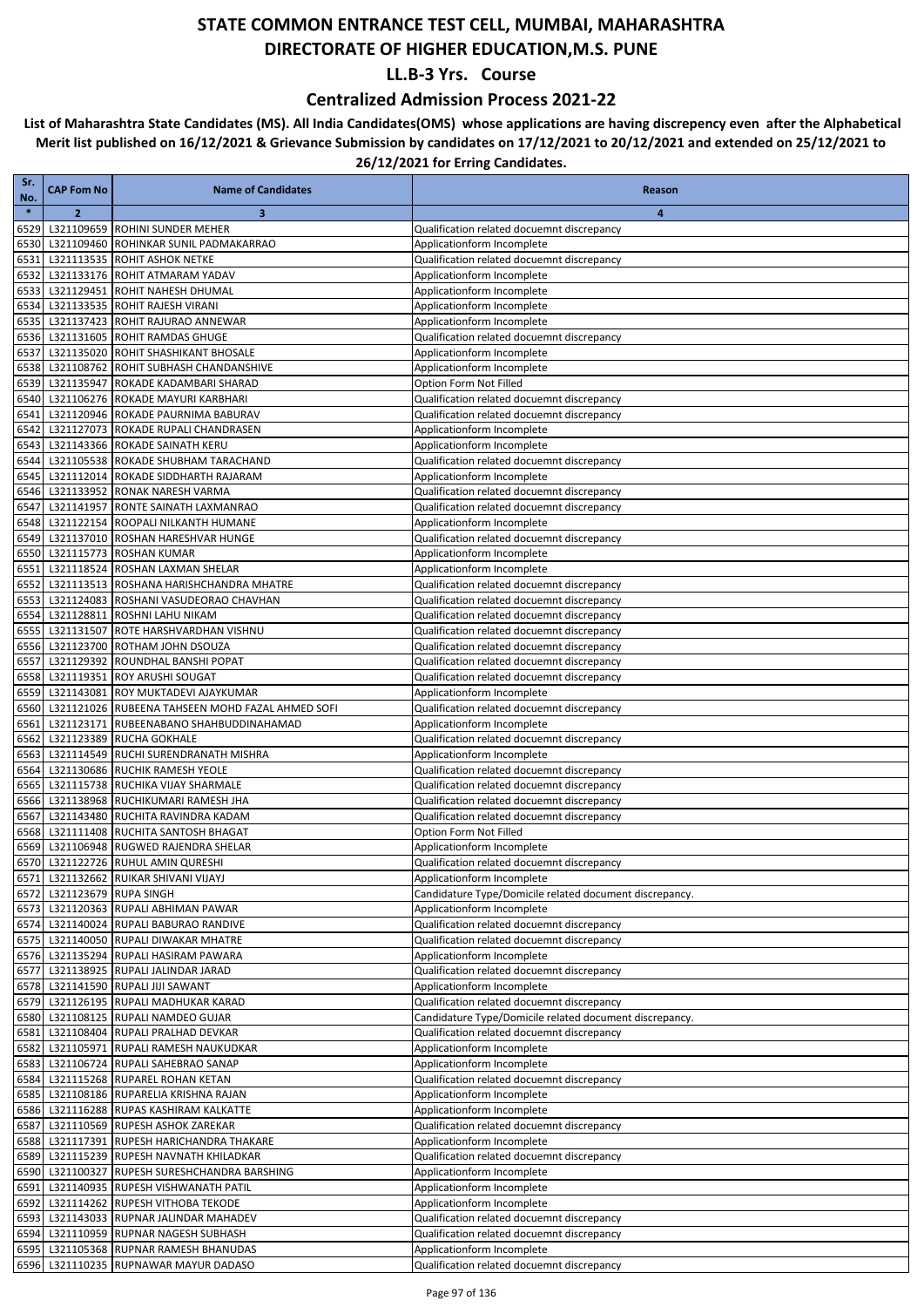### **Centralized Admission Process 2021-22**

| Sr.<br>No.   | <b>CAP Fom No</b>          | <b>Name of Candidates</b>                                                                   | Reason                                                                                |
|--------------|----------------------------|---------------------------------------------------------------------------------------------|---------------------------------------------------------------------------------------|
| $\ast$       | $\overline{2}$             | 3                                                                                           | 4                                                                                     |
| 6529         |                            | L321109659 ROHINI SUNDER MEHER                                                              | Qualification related docuemnt discrepancy                                            |
| 6530         |                            | L321109460 ROHINKAR SUNIL PADMAKARRAO                                                       | Applicationform Incomplete                                                            |
| 6531         |                            | L321113535 ROHIT ASHOK NETKE                                                                | Qualification related docuemnt discrepancy                                            |
| 6532         |                            | L321133176 ROHIT ATMARAM YADAV                                                              | Applicationform Incomplete                                                            |
| 6533         |                            | L321129451 ROHIT NAHESH DHUMAL                                                              | Applicationform Incomplete                                                            |
| 6534         |                            | L321133535 ROHIT RAJESH VIRANI                                                              | Applicationform Incomplete                                                            |
| 6535<br>6536 |                            | L321137423 ROHIT RAJURAO ANNEWAR                                                            | Applicationform Incomplete                                                            |
| 6537         |                            | L321131605 ROHIT RAMDAS GHUGE<br>L321135020 ROHIT SHASHIKANT BHOSALE                        | Qualification related docuemnt discrepancy<br>Applicationform Incomplete              |
| 6538         |                            | L321108762 ROHIT SUBHASH CHANDANSHIVE                                                       | Applicationform Incomplete                                                            |
| 6539         |                            | L321135947 ROKADE KADAMBARI SHARAD                                                          | Option Form Not Filled                                                                |
| 6540         |                            | L321106276 ROKADE MAYURI KARBHARI                                                           | Qualification related docuemnt discrepancy                                            |
| 6541         |                            | L321120946 ROKADE PAURNIMA BABURAV                                                          | Qualification related docuemnt discrepancy                                            |
| 6542         |                            | L321127073 ROKADE RUPALI CHANDRASEN                                                         | Applicationform Incomplete                                                            |
| 6543         |                            | L321143366 ROKADE SAINATH KERU                                                              | Applicationform Incomplete                                                            |
| 6544         |                            | L321105538 ROKADE SHUBHAM TARACHAND                                                         | Qualification related docuemnt discrepancy                                            |
| 6545         |                            | L321112014 ROKADE SIDDHARTH RAJARAM                                                         | Applicationform Incomplete                                                            |
| 6546         |                            | L321133952 RONAK NARESH VARMA                                                               | Qualification related docuemnt discrepancy                                            |
| 6547         |                            | L321141957 RONTE SAINATH LAXMANRAO                                                          | Qualification related docuemnt discrepancy                                            |
| 6548<br>6549 |                            | L321122154 ROOPALI NILKANTH HUMANE<br>L321137010 ROSHAN HARESHVAR HUNGE                     | Applicationform Incomplete<br>Qualification related docuemnt discrepancy              |
| 6550         |                            | L321115773 ROSHAN KUMAR                                                                     | Applicationform Incomplete                                                            |
| 6551         |                            | L321118524 ROSHAN LAXMAN SHELAR                                                             | Applicationform Incomplete                                                            |
| 6552         |                            | L321113513 ROSHANA HARISHCHANDRA MHATRE                                                     | Qualification related docuemnt discrepancy                                            |
| 6553         |                            | L321124083 ROSHANI VASUDEORAO CHAVHAN                                                       | Qualification related docuemnt discrepancy                                            |
| 6554         |                            | L321128811 ROSHNI LAHU NIKAM                                                                | Qualification related docuemnt discrepancy                                            |
| 6555         |                            | L321131507 ROTE HARSHVARDHAN VISHNU                                                         | Qualification related docuemnt discrepancy                                            |
| 6556         |                            | L321123700 ROTHAM JOHN DSOUZA                                                               | Qualification related docuemnt discrepancy                                            |
| 6557         |                            | L321129392 ROUNDHAL BANSHI POPAT                                                            | Qualification related docuemnt discrepancy                                            |
| 6558         |                            | L321119351 ROY ARUSHI SOUGAT                                                                | Qualification related docuemnt discrepancy                                            |
| 6559         |                            | L321143081 ROY MUKTADEVI AJAYKUMAR                                                          | Applicationform Incomplete                                                            |
| 6560<br>6561 |                            | L321121026 RUBEENA TAHSEEN MOHD FAZAL AHMED SOFI<br>L321123171 RUBEENABANO SHAHBUDDINAHAMAD | Qualification related docuemnt discrepancy<br>Applicationform Incomplete              |
| 6562         |                            | L321123389 RUCHA GOKHALE                                                                    | Qualification related docuemnt discrepancy                                            |
| 6563         |                            | L321114549 RUCHI SURENDRANATH MISHRA                                                        | Applicationform Incomplete                                                            |
| 6564         |                            | L321130686 RUCHIK RAMESH YEOLE                                                              | Qualification related docuemnt discrepancy                                            |
| 6565         |                            | L321115738 RUCHIKA VIJAY SHARMALE                                                           | Qualification related docuemnt discrepancy                                            |
| 6566         |                            | L321138968 RUCHIKUMARI RAMESH JHA                                                           | Qualification related docuemnt discrepancy                                            |
| 6567         |                            | L321143480 RUCHITA RAVINDRA KADAM                                                           | Qualification related docuemnt discrepancy                                            |
| 6568         |                            | L321111408 RUCHITA SANTOSH BHAGAT                                                           | Option Form Not Filled                                                                |
| 6569         |                            | L321106948 RUGWED RAJENDRA SHELAR                                                           | Applicationform Incomplete                                                            |
| 6570         |                            | L321122726 RUHUL AMIN QURESHI                                                               | Qualification related docuemnt discrepancy                                            |
|              | 6572 L321123679 RUPA SINGH | 6571 L321132662 RUIKAR SHIVANI VIJAYJ                                                       | Applicationform Incomplete                                                            |
|              |                            | 6573 L321120363 RUPALI ABHIMAN PAWAR                                                        | Candidature Type/Domicile related document discrepancy.<br>Applicationform Incomplete |
|              |                            | 6574 L321140024 RUPALI BABURAO RANDIVE                                                      | Qualification related docuemnt discrepancy                                            |
|              |                            | 6575 L321140050 RUPALI DIWAKAR MHATRE                                                       | Qualification related docuemnt discrepancy                                            |
|              |                            | 6576 L321135294 RUPALI HASIRAM PAWARA                                                       | Applicationform Incomplete                                                            |
|              |                            | 6577 L321138925 RUPALI JALINDAR JARAD                                                       | Qualification related docuemnt discrepancy                                            |
|              |                            | 6578 L321141590 RUPALI JIJI SAWANT                                                          | Applicationform Incomplete                                                            |
|              |                            | 6579 L321126195 RUPALI MADHUKAR KARAD                                                       | Qualification related docuemnt discrepancy                                            |
|              |                            | 6580 L321108125 RUPALI NAMDEO GUJAR                                                         | Candidature Type/Domicile related document discrepancy.                               |
|              |                            | 6581 L321108404 RUPALI PRALHAD DEVKAR<br>6582 L321105971 RUPALI RAMESH NAUKUDKAR            | Qualification related docuemnt discrepancy<br>Applicationform Incomplete              |
|              |                            | 6583 L321106724 RUPALI SAHEBRAO SANAP                                                       | Applicationform Incomplete                                                            |
|              |                            | 6584 L321115268 RUPAREL ROHAN KETAN                                                         | Qualification related docuemnt discrepancy                                            |
|              |                            | 6585 L321108186 RUPARELIA KRISHNA RAJAN                                                     | Applicationform Incomplete                                                            |
|              |                            | 6586 L321116288 RUPAS KASHIRAM KALKATTE                                                     | Applicationform Incomplete                                                            |
|              |                            | 6587 L321110569 RUPESH ASHOK ZAREKAR                                                        | Qualification related docuemnt discrepancy                                            |
|              |                            | 6588 L321117391 RUPESH HARICHANDRA THAKARE                                                  | Applicationform Incomplete                                                            |
|              |                            | 6589 L321115239 RUPESH NAVNATH KHILADKAR                                                    | Qualification related docuemnt discrepancy                                            |
|              |                            | 6590 L321100327 RUPESH SURESHCHANDRA BARSHING                                               | Applicationform Incomplete                                                            |
|              |                            | 6591 L321140935 RUPESH VISHWANATH PATIL                                                     | Applicationform Incomplete                                                            |
|              |                            | 6592 L321114262 RUPESH VITHOBA TEKODE                                                       | Applicationform Incomplete                                                            |
|              |                            | 6593 L321143033 RUPNAR JALINDAR MAHADEV                                                     | Qualification related docuemnt discrepancy                                            |
|              |                            | 6594 L321110959 RUPNAR NAGESH SUBHASH<br>6595 L321105368 RUPNAR RAMESH BHANUDAS             | Qualification related docuemnt discrepancy<br>Applicationform Incomplete              |
|              |                            | 6596 L321110235 RUPNAWAR MAYUR DADASO                                                       | Qualification related docuemnt discrepancy                                            |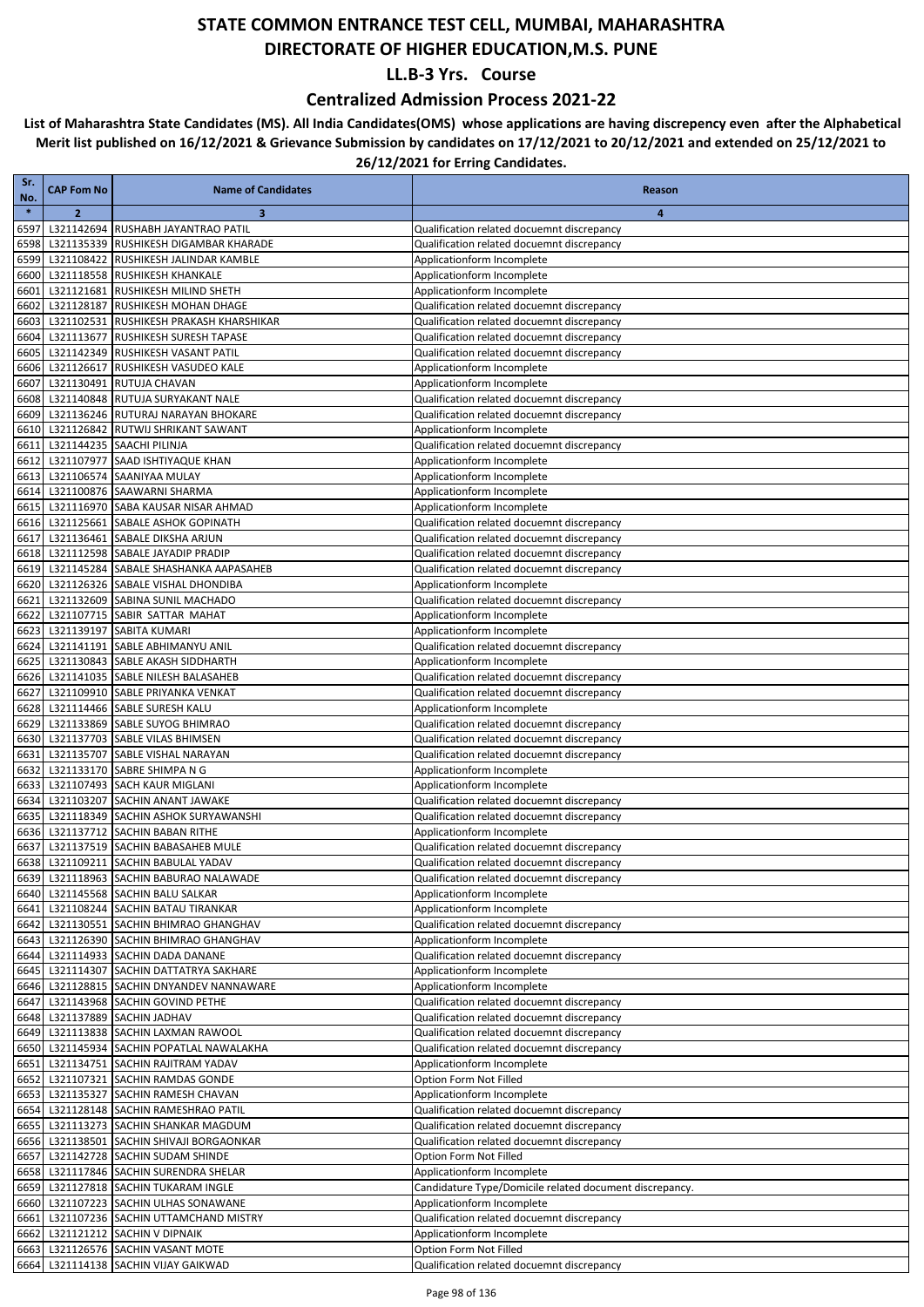### **Centralized Admission Process 2021-22**

| Sr.<br>No.   | <b>CAP Fom No</b> | <b>Name of Candidates</b>                                                   | Reason                                                                                   |
|--------------|-------------------|-----------------------------------------------------------------------------|------------------------------------------------------------------------------------------|
| $\ast$       | $\overline{2}$    | 3                                                                           | 4                                                                                        |
| 6597         |                   | L321142694 RUSHABH JAYANTRAO PATIL                                          | Qualification related docuemnt discrepancy                                               |
| 6598         |                   | L321135339 RUSHIKESH DIGAMBAR KHARADE                                       | Qualification related docuemnt discrepancy                                               |
| 6599         |                   | L321108422 RUSHIKESH JALINDAR KAMBLE                                        | Applicationform Incomplete                                                               |
| 6600         |                   | L321118558 RUSHIKESH KHANKALE                                               | Applicationform Incomplete                                                               |
| 6601         |                   | L321121681 RUSHIKESH MILIND SHETH                                           | Applicationform Incomplete                                                               |
| 6602<br>6603 |                   | L321128187 RUSHIKESH MOHAN DHAGE<br>L321102531 RUSHIKESH PRAKASH KHARSHIKAR | Qualification related docuemnt discrepancy<br>Qualification related docuemnt discrepancy |
| 6604         |                   | L321113677 RUSHIKESH SURESH TAPASE                                          | Qualification related docuemnt discrepancy                                               |
| 6605         |                   | L321142349 RUSHIKESH VASANT PATIL                                           | Qualification related docuemnt discrepancy                                               |
| 6606         |                   | L321126617 RUSHIKESH VASUDEO KALE                                           | Applicationform Incomplete                                                               |
| 6607         |                   | L321130491 RUTUJA CHAVAN                                                    | Applicationform Incomplete                                                               |
| 6608         |                   | L321140848 RUTUJA SURYAKANT NALE                                            | Qualification related docuemnt discrepancy                                               |
| 6609         |                   | L321136246 RUTURAJ NARAYAN BHOKARE                                          | Qualification related docuemnt discrepancy                                               |
| 6610         |                   | L321126842 RUTWIJ SHRIKANT SAWANT                                           | Applicationform Incomplete                                                               |
| 6611         |                   | L321144235 SAACHI PILINJA                                                   | Qualification related docuemnt discrepancy                                               |
| 6612         |                   | L321107977 SAAD ISHTIYAQUE KHAN                                             | Applicationform Incomplete                                                               |
| 6613         |                   | L321106574 SAANIYAA MULAY                                                   | Applicationform Incomplete                                                               |
| 6614         |                   | L321100876 SAAWARNI SHARMA                                                  | Applicationform Incomplete                                                               |
| 6615<br>6616 |                   | L321116970 SABA KAUSAR NISAR AHMAD<br>L321125661 SABALE ASHOK GOPINATH      | Applicationform Incomplete<br>Qualification related docuemnt discrepancy                 |
| 6617         |                   | L321136461 SABALE DIKSHA ARJUN                                              | Qualification related docuemnt discrepancy                                               |
| 6618         |                   | L321112598 SABALE JAYADIP PRADIP                                            | Qualification related docuemnt discrepancy                                               |
| 6619         |                   | L321145284 SABALE SHASHANKA AAPASAHEB                                       | Qualification related docuemnt discrepancy                                               |
| 6620         |                   | L321126326 SABALE VISHAL DHONDIBA                                           | Applicationform Incomplete                                                               |
| 6621         |                   | L321132609 SABINA SUNIL MACHADO                                             | Qualification related docuemnt discrepancy                                               |
| 6622         |                   | L321107715 SABIR SATTAR MAHAT                                               | Applicationform Incomplete                                                               |
| 6623         |                   | L321139197 SABITA KUMARI                                                    | Applicationform Incomplete                                                               |
| 6624         |                   | L321141191 SABLE ABHIMANYU ANIL                                             | Qualification related docuemnt discrepancy                                               |
| 6625         |                   | L321130843 SABLE AKASH SIDDHARTH                                            | Applicationform Incomplete                                                               |
| 6626         |                   | L321141035 SABLE NILESH BALASAHEB                                           | Qualification related docuemnt discrepancy                                               |
| 6627         |                   | L321109910 SABLE PRIYANKA VENKAT                                            | Qualification related docuemnt discrepancy                                               |
| 6628<br>6629 |                   | L321114466 SABLE SURESH KALU<br>L321133869 SABLE SUYOG BHIMRAO              | Applicationform Incomplete<br>Qualification related docuemnt discrepancy                 |
| 6630         |                   | L321137703 SABLE VILAS BHIMSEN                                              | Qualification related docuemnt discrepancy                                               |
| 6631         |                   | L321135707 SABLE VISHAL NARAYAN                                             | Qualification related docuemnt discrepancy                                               |
| 6632         |                   | L321133170 SABRE SHIMPA N G                                                 | Applicationform Incomplete                                                               |
| 6633         |                   | L321107493 SACH KAUR MIGLANI                                                | Applicationform Incomplete                                                               |
| 6634         |                   | L321103207 SACHIN ANANT JAWAKE                                              | Qualification related docuemnt discrepancy                                               |
| 6635         |                   | L321118349 SACHIN ASHOK SURYAWANSHI                                         | Qualification related docuemnt discrepancy                                               |
| 6636         |                   | L321137712 SACHIN BABAN RITHE                                               | Applicationform Incomplete                                                               |
| 6637         |                   | L321137519 SACHIN BABASAHEB MULE                                            | Qualification related docuemnt discrepancy                                               |
| 6638         |                   | L321109211 SACHIN BABULAL YADAV                                             | Qualification related docuemnt discrepancy                                               |
|              |                   | 6639 L321118963 SACHIN BABURAO NALAWADE                                     | Qualification related docuemnt discrepancy                                               |
|              |                   | 6640 L321145568 SACHIN BALU SALKAR<br>6641 L321108244 SACHIN BATAU TIRANKAR | Applicationform Incomplete<br>Applicationform Incomplete                                 |
|              |                   | 6642 L321130551 SACHIN BHIMRAO GHANGHAV                                     | Qualification related docuemnt discrepancy                                               |
|              |                   | 6643 L321126390 SACHIN BHIMRAO GHANGHAV                                     | Applicationform Incomplete                                                               |
|              |                   | 6644 L321114933 SACHIN DADA DANANE                                          | Qualification related docuemnt discrepancy                                               |
|              |                   | 6645 L321114307 SACHIN DATTATRYA SAKHARE                                    | Applicationform Incomplete                                                               |
|              |                   | 6646 L321128815 SACHIN DNYANDEV NANNAWARE                                   | Applicationform Incomplete                                                               |
|              |                   | 6647 L321143968 SACHIN GOVIND PETHE                                         | Qualification related docuemnt discrepancy                                               |
|              |                   | 6648 L321137889 SACHIN JADHAV                                               | Qualification related docuemnt discrepancy                                               |
|              |                   | 6649 L321113838 SACHIN LAXMAN RAWOOL                                        | Qualification related docuemnt discrepancy                                               |
|              |                   | 6650 L321145934 SACHIN POPATLAL NAWALAKHA                                   | Qualification related docuemnt discrepancy                                               |
|              |                   | 6651 L321134751 SACHIN RAJITRAM YADAV                                       | Applicationform Incomplete                                                               |
|              |                   | 6652 L321107321 SACHIN RAMDAS GONDE<br>6653 L321135327 SACHIN RAMESH CHAVAN | Option Form Not Filled<br>Applicationform Incomplete                                     |
|              |                   | 6654 L321128148 SACHIN RAMESHRAO PATIL                                      | Qualification related docuemnt discrepancy                                               |
|              |                   | 6655 L321113273 SACHIN SHANKAR MAGDUM                                       | Qualification related docuemnt discrepancy                                               |
|              |                   | 6656 L321138501 SACHIN SHIVAJI BORGAONKAR                                   | Qualification related docuemnt discrepancy                                               |
|              |                   | 6657 L321142728 SACHIN SUDAM SHINDE                                         | Option Form Not Filled                                                                   |
|              |                   | 6658 L321117846 SACHIN SURENDRA SHELAR                                      | Applicationform Incomplete                                                               |
|              |                   | 6659 L321127818 SACHIN TUKARAM INGLE                                        | Candidature Type/Domicile related document discrepancy.                                  |
|              |                   | 6660 L321107223 SACHIN ULHAS SONAWANE                                       | Applicationform Incomplete                                                               |
|              |                   | 6661 L321107236 SACHIN UTTAMCHAND MISTRY                                    | Qualification related docuemnt discrepancy                                               |
|              |                   | 6662 L321121212 SACHIN V DIPNAIK                                            | Applicationform Incomplete                                                               |
|              |                   | 6663 L321126576 SACHIN VASANT MOTE                                          | Option Form Not Filled                                                                   |
|              |                   | 6664 L321114138 SACHIN VIJAY GAIKWAD                                        | Qualification related docuemnt discrepancy                                               |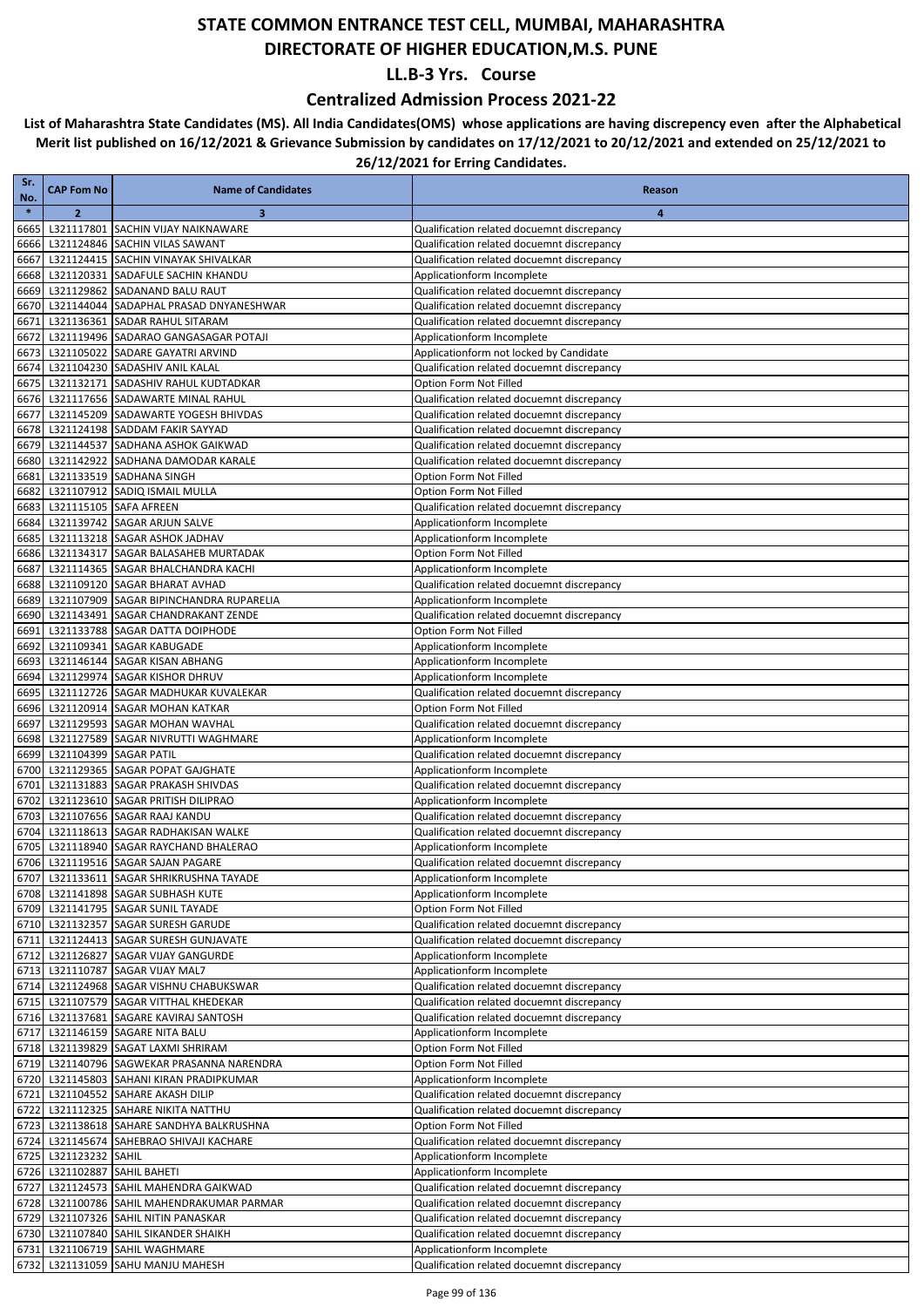### **Centralized Admission Process 2021-22**

| Sr.<br>No.   | <b>CAP Fom No</b>            | <b>Name of Candidates</b>                                                        | Reason                                                                                   |
|--------------|------------------------------|----------------------------------------------------------------------------------|------------------------------------------------------------------------------------------|
| $\ast$       | $\overline{2}$               | 3                                                                                | $\overline{\mathbf{a}}$                                                                  |
| 6665         |                              | L321117801 SACHIN VIJAY NAIKNAWARE                                               | Qualification related docuemnt discrepancy                                               |
| 6666         |                              | L321124846 SACHIN VILAS SAWANT                                                   | Qualification related docuemnt discrepancy                                               |
| 6667         |                              | L321124415 SACHIN VINAYAK SHIVALKAR                                              | Qualification related docuemnt discrepancy                                               |
| 6668         |                              | L321120331 SADAFULE SACHIN KHANDU                                                | Applicationform Incomplete                                                               |
| 6669         |                              | L321129862 SADANAND BALU RAUT                                                    | Qualification related docuemnt discrepancy                                               |
| 6670         |                              | L321144044 SADAPHAL PRASAD DNYANESHWAR                                           | Qualification related docuemnt discrepancy                                               |
| 6671         |                              | L321136361 SADAR RAHUL SITARAM                                                   | Qualification related docuemnt discrepancy                                               |
| 6672         |                              | L321119496 SADARAO GANGASAGAR POTAJI                                             | Applicationform Incomplete                                                               |
| 6673         |                              | L321105022 SADARE GAYATRI ARVIND<br>L321104230 SADASHIV ANIL KALAL               | Applicationform not locked by Candidate<br>Qualification related docuemnt discrepancy    |
| 6674<br>6675 |                              | L321132171 SADASHIV RAHUL KUDTADKAR                                              | Option Form Not Filled                                                                   |
|              |                              | 6676 L321117656 SADAWARTE MINAL RAHUL                                            | Qualification related docuemnt discrepancy                                               |
| 6677         |                              | L321145209 SADAWARTE YOGESH BHIVDAS                                              | Qualification related docuemnt discrepancy                                               |
| 6678         |                              | L321124198 SADDAM FAKIR SAYYAD                                                   | Qualification related docuemnt discrepancy                                               |
| 6679         |                              | L321144537 SADHANA ASHOK GAIKWAD                                                 | Qualification related docuemnt discrepancy                                               |
| 6680         |                              | L321142922 SADHANA DAMODAR KARALE                                                | Qualification related docuemnt discrepancy                                               |
| 6681         |                              | L321133519 SADHANA SINGH                                                         | Option Form Not Filled                                                                   |
| 6682         |                              | L321107912 SADIQ ISMAIL MULLA                                                    | Option Form Not Filled                                                                   |
| 6683         | L321115105 SAFA AFREEN       |                                                                                  | Qualification related docuemnt discrepancy                                               |
| 6684         |                              | L321139742 SAGAR ARJUN SALVE                                                     | Applicationform Incomplete                                                               |
| 6685         |                              | L321113218 SAGAR ASHOK JADHAV                                                    | Applicationform Incomplete                                                               |
| 6686         |                              | L321134317 SAGAR BALASAHEB MURTADAK                                              | Option Form Not Filled                                                                   |
| 6687         |                              | L321114365 SAGAR BHALCHANDRA KACHI                                               | Applicationform Incomplete                                                               |
| 6688         |                              | L321109120 SAGAR BHARAT AVHAD                                                    | Qualification related docuemnt discrepancy                                               |
| 6689<br>6690 |                              | L321107909 SAGAR BIPINCHANDRA RUPARELIA<br>L321143491 SAGAR CHANDRAKANT ZENDE    | Applicationform Incomplete<br>Qualification related docuemnt discrepancy                 |
| 6691         |                              | L321133788 SAGAR DATTA DOIPHODE                                                  | Option Form Not Filled                                                                   |
| 6692         |                              | L321109341 SAGAR KABUGADE                                                        | Applicationform Incomplete                                                               |
| 6693         |                              | L321146144 SAGAR KISAN ABHANG                                                    | Applicationform Incomplete                                                               |
| 6694         |                              | L321129974 SAGAR KISHOR DHRUV                                                    | Applicationform Incomplete                                                               |
| 6695         |                              | L321112726 SAGAR MADHUKAR KUVALEKAR                                              | Qualification related docuemnt discrepancy                                               |
| 6696         |                              | L321120914 SAGAR MOHAN KATKAR                                                    | Option Form Not Filled                                                                   |
| 6697         |                              | L321129593 SAGAR MOHAN WAVHAL                                                    | Qualification related docuemnt discrepancy                                               |
| 6698         |                              | L321127589 SAGAR NIVRUTTI WAGHMARE                                               | Applicationform Incomplete                                                               |
| 6699         | L321104399 SAGAR PATIL       |                                                                                  | Qualification related docuemnt discrepancy                                               |
| 6700         |                              | L321129365 SAGAR POPAT GAJGHATE                                                  | Applicationform Incomplete                                                               |
| 6701         |                              | L321131883 SAGAR PRAKASH SHIVDAS<br>L321123610 SAGAR PRITISH DILIPRAO            | Qualification related docuemnt discrepancy<br>Applicationform Incomplete                 |
| 6702<br>6703 |                              | L321107656 SAGAR RAAJ KANDU                                                      | Qualification related docuemnt discrepancy                                               |
| 6704         |                              | L321118613 SAGAR RADHAKISAN WALKE                                                | Qualification related docuemnt discrepancy                                               |
| 6705         |                              | L321118940 SAGAR RAYCHAND BHALERAO                                               | Applicationform Incomplete                                                               |
| 6706         |                              | L321119516 SAGAR SAJAN PAGARE                                                    | Qualification related docuemnt discrepancy                                               |
|              |                              | 6707 L321133611 SAGAR SHRIKRUSHNA TAYADE                                         | Applicationform Incomplete                                                               |
|              |                              | 6708 L321141898 SAGAR SUBHASH KUTE                                               | Applicationform Incomplete                                                               |
|              |                              | 6709 L321141795 SAGAR SUNIL TAYADE                                               | Option Form Not Filled                                                                   |
|              |                              | 6710 L321132357 SAGAR SURESH GARUDE                                              | Qualification related docuemnt discrepancy                                               |
| 6711         |                              | L321124413 SAGAR SURESH GUNJAVATE                                                | Qualification related docuemnt discrepancy                                               |
|              |                              | 6712 L321126827 SAGAR VIJAY GANGURDE                                             | Applicationform Incomplete                                                               |
|              |                              | 6713 L321110787 SAGAR VIJAY MAL7                                                 | Applicationform Incomplete                                                               |
|              |                              | 6714 L321124968 SAGAR VISHNU CHABUKSWAR                                          | Qualification related docuemnt discrepancy                                               |
|              |                              | 6715 L321107579 SAGAR VITTHAL KHEDEKAR<br>6716 L321137681 SAGARE KAVIRAJ SANTOSH | Qualification related docuemnt discrepancy<br>Qualification related docuemnt discrepancy |
| 6717         |                              | L321146159 SAGARE NITA BALU                                                      | Applicationform Incomplete                                                               |
|              |                              | 6718 L321139829 SAGAT LAXMI SHRIRAM                                              | Option Form Not Filled                                                                   |
|              |                              | 6719 L321140796 SAGWEKAR PRASANNA NARENDRA                                       | Option Form Not Filled                                                                   |
|              |                              | 6720 L321145803 SAHANI KIRAN PRADIPKUMAR                                         | Applicationform Incomplete                                                               |
| 6721         |                              | L321104552 SAHARE AKASH DILIP                                                    | Qualification related docuemnt discrepancy                                               |
|              |                              | 6722 L321112325 SAHARE NIKITA NATTHU                                             | Qualification related docuemnt discrepancy                                               |
|              |                              | 6723 L321138618 SAHARE SANDHYA BALKRUSHNA                                        | Option Form Not Filled                                                                   |
|              |                              | 6724 L321145674 SAHEBRAO SHIVAJI KACHARE                                         | Qualification related docuemnt discrepancy                                               |
|              | 6725 L321123232 SAHIL        |                                                                                  | Applicationform Incomplete                                                               |
|              | 6726 L321102887 SAHIL BAHETI |                                                                                  | Applicationform Incomplete                                                               |
| 6727         |                              | L321124573 SAHIL MAHENDRA GAIKWAD                                                | Qualification related docuemnt discrepancy                                               |
|              |                              | 6728 L321100786 SAHIL MAHENDRAKUMAR PARMAR                                       | Qualification related docuemnt discrepancy                                               |
|              |                              | 6729 L321107326 SAHIL NITIN PANASKAR<br>6730 L321107840 SAHIL SIKANDER SHAIKH    | Qualification related docuemnt discrepancy<br>Qualification related docuemnt discrepancy |
| 6731         |                              | L321106719 SAHIL WAGHMARE                                                        | Applicationform Incomplete                                                               |
|              |                              | 6732 L321131059 SAHU MANJU MAHESH                                                | Qualification related docuemnt discrepancy                                               |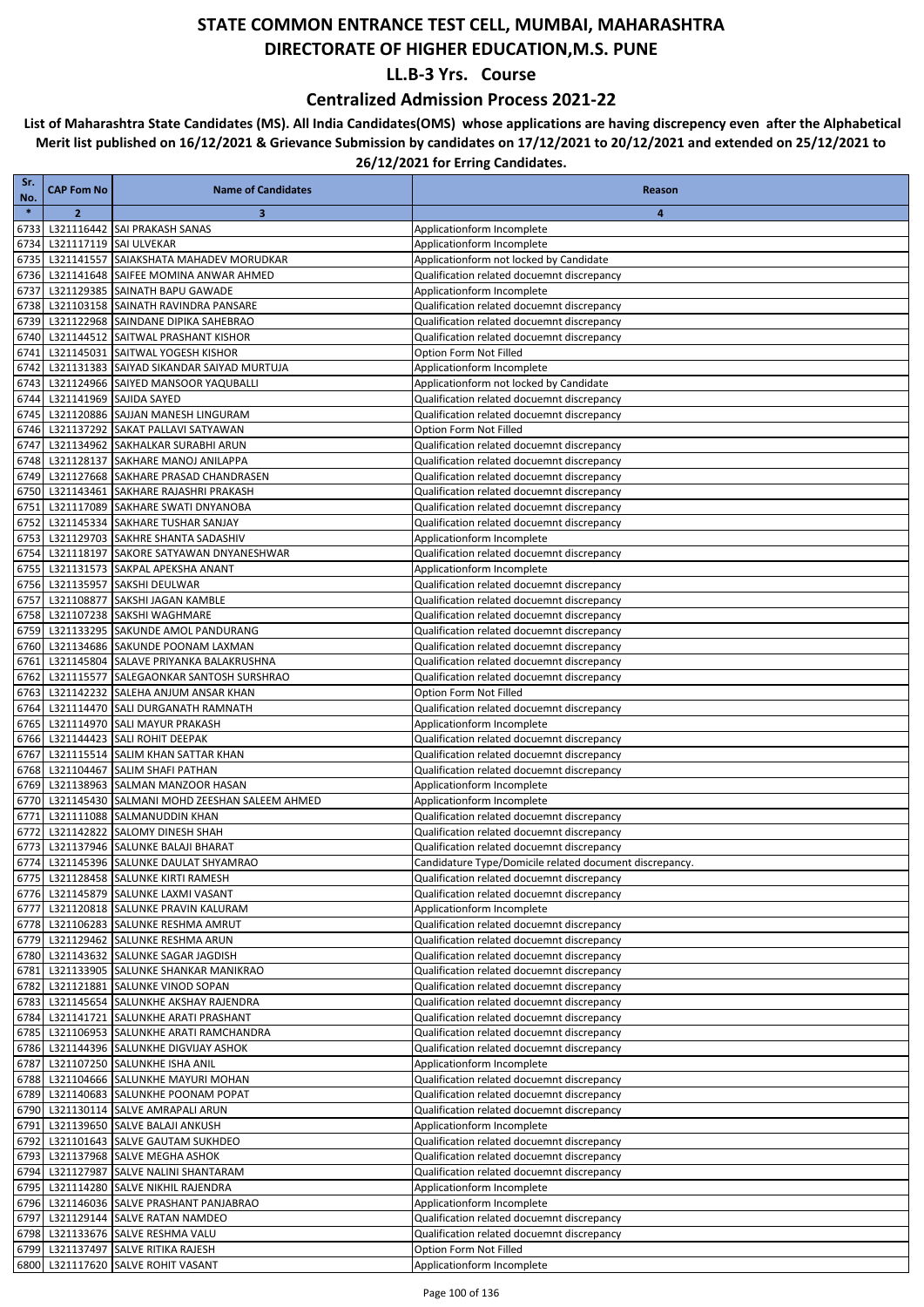### **Centralized Admission Process 2021-22**

| Sr.<br>No.   | <b>CAP Fom No</b> | <b>Name of Candidates</b>                                                      | Reason                                                                                   |
|--------------|-------------------|--------------------------------------------------------------------------------|------------------------------------------------------------------------------------------|
| $\ast$       | $\mathbf{2}$      | 3                                                                              | $\overline{\mathbf{a}}$                                                                  |
| 6733         |                   | L321116442 SAI PRAKASH SANAS                                                   | Applicationform Incomplete                                                               |
| 6734         |                   | L321117119 SAI ULVEKAR                                                         | Applicationform Incomplete                                                               |
| 6735         |                   | L321141557 SAIAKSHATA MAHADEV MORUDKAR                                         | Applicationform not locked by Candidate                                                  |
| 6736         |                   | L321141648 SAIFEE MOMINA ANWAR AHMED                                           | Qualification related docuemnt discrepancy                                               |
| 6737         |                   | L321129385 SAINATH BAPU GAWADE                                                 | Applicationform Incomplete                                                               |
| 6738<br>6739 |                   | L321103158 SAINATH RAVINDRA PANSARE<br>L321122968 SAINDANE DIPIKA SAHEBRAO     | Qualification related docuemnt discrepancy<br>Qualification related docuemnt discrepancy |
| 6740         |                   | L321144512 SAITWAL PRASHANT KISHOR                                             | Qualification related docuemnt discrepancy                                               |
| 6741         |                   | L321145031 SAITWAL YOGESH KISHOR                                               | Option Form Not Filled                                                                   |
| 6742         |                   | L321131383 SAIYAD SIKANDAR SAIYAD MURTUJA                                      | Applicationform Incomplete                                                               |
| 6743         |                   | L321124966 SAIYED MANSOOR YAQUBALLI                                            | Applicationform not locked by Candidate                                                  |
| 6744         |                   | L321141969 SAJIDA SAYED                                                        | Qualification related docuemnt discrepancy                                               |
| 6745         |                   | L321120886 SAJJAN MANESH LINGURAM                                              | Qualification related docuemnt discrepancy                                               |
| 6746         |                   | L321137292 SAKAT PALLAVI SATYAWAN                                              | Option Form Not Filled                                                                   |
| 6747<br>6748 |                   | L321134962 SAKHALKAR SURABHI ARUN<br>L321128137 SAKHARE MANOJ ANILAPPA         | Qualification related docuemnt discrepancy<br>Qualification related docuemnt discrepancy |
| 6749         |                   | L321127668 SAKHARE PRASAD CHANDRASEN                                           | Qualification related docuemnt discrepancy                                               |
| 6750         |                   | L321143461 SAKHARE RAJASHRI PRAKASH                                            | Qualification related docuemnt discrepancy                                               |
| 6751         |                   | L321117089 SAKHARE SWATI DNYANOBA                                              | Qualification related docuemnt discrepancy                                               |
| 6752         |                   | L321145334 SAKHARE TUSHAR SANJAY                                               | Qualification related docuemnt discrepancy                                               |
| 6753         |                   | L321129703 SAKHRE SHANTA SADASHIV                                              | Applicationform Incomplete                                                               |
| 6754         |                   | L321118197 SAKORE SATYAWAN DNYANESHWAR                                         | Qualification related docuemnt discrepancy                                               |
| 6755         |                   | L321131573 SAKPAL APEKSHA ANANT                                                | Applicationform Incomplete                                                               |
| 6756         |                   | L321135957 SAKSHI DEULWAR                                                      | Qualification related docuemnt discrepancy                                               |
| 6757<br>6758 |                   | L321108877 SAKSHI JAGAN KAMBLE<br>L321107238 SAKSHI WAGHMARE                   | Qualification related docuemnt discrepancy<br>Qualification related docuemnt discrepancy |
| 6759         |                   | L321133295 SAKUNDE AMOL PANDURANG                                              | Qualification related docuemnt discrepancy                                               |
| 6760         |                   | L321134686 SAKUNDE POONAM LAXMAN                                               | Qualification related docuemnt discrepancy                                               |
| 6761         |                   | L321145804 SALAVE PRIYANKA BALAKRUSHNA                                         | Qualification related docuemnt discrepancy                                               |
| 6762         |                   | L321115577 SALEGAONKAR SANTOSH SURSHRAO                                        | Qualification related docuemnt discrepancy                                               |
| 6763         |                   | L321142232 SALEHA ANJUM ANSAR KHAN                                             | Option Form Not Filled                                                                   |
| 6764         |                   | L321114470 SALI DURGANATH RAMNATH                                              | Qualification related docuemnt discrepancy                                               |
| 6765         |                   | L321114970 SALI MAYUR PRAKASH                                                  | Applicationform Incomplete                                                               |
| 6766<br>6767 |                   | L321144423 SALI ROHIT DEEPAK<br>L321115514 SALIM KHAN SATTAR KHAN              | Qualification related docuemnt discrepancy<br>Qualification related docuemnt discrepancy |
| 6768         |                   | L321104467 SALIM SHAFI PATHAN                                                  | Qualification related docuemnt discrepancy                                               |
| 6769         |                   | L321138963 SALMAN MANZOOR HASAN                                                | Applicationform Incomplete                                                               |
| 6770         |                   | L321145430 SALMANI MOHD ZEESHAN SALEEM AHMED                                   | Applicationform Incomplete                                                               |
| 6771         |                   | L321111088 SALMANUDDIN KHAN                                                    | Qualification related docuemnt discrepancy                                               |
| 6772         |                   | L321142822 SALOMY DINESH SHAH                                                  | Qualification related docuemnt discrepancy                                               |
| 6773         |                   | L321137946 SALUNKE BALAJI BHARAT                                               | Qualification related docuemnt discrepancy                                               |
| 6774         |                   | L321145396 SALUNKE DAULAT SHYAMRAO                                             | Candidature Type/Domicile related document discrepancy.                                  |
|              |                   | 6775 L321128458 SALUNKE KIRTI RAMESH                                           | Qualification related docuemnt discrepancy                                               |
| 6777         |                   | 6776 L321145879 SALUNKE LAXMI VASANT<br>L321120818 SALUNKE PRAVIN KALURAM      | Qualification related docuemnt discrepancy<br>Applicationform Incomplete                 |
|              |                   | 6778 L321106283 SALUNKE RESHMA AMRUT                                           | Qualification related docuemnt discrepancy                                               |
|              |                   | 6779 L321129462 SALUNKE RESHMA ARUN                                            | Qualification related docuemnt discrepancy                                               |
|              |                   | 6780 L321143632 SALUNKE SAGAR JAGDISH                                          | Qualification related docuemnt discrepancy                                               |
|              |                   | 6781 L321133905 SALUNKE SHANKAR MANIKRAO                                       | Qualification related docuemnt discrepancy                                               |
| 6782         |                   | L321121881 SALUNKE VINOD SOPAN                                                 | Qualification related docuemnt discrepancy                                               |
|              |                   | 6783 L321145654 SALUNKHE AKSHAY RAJENDRA                                       | Qualification related docuemnt discrepancy                                               |
|              |                   | 6784 L321141721 SALUNKHE ARATI PRASHANT                                        | Qualification related docuemnt discrepancy                                               |
|              |                   | 6785 L321106953 SALUNKHE ARATI RAMCHANDRA                                      | Qualification related docuemnt discrepancy                                               |
|              |                   | 6786 L321144396 SALUNKHE DIGVIJAY ASHOK<br>6787 L321107250 SALUNKHE ISHA ANIL  | Qualification related docuemnt discrepancy<br>Applicationform Incomplete                 |
|              |                   | 6788 L321104666 SALUNKHE MAYURI MOHAN                                          | Qualification related docuemnt discrepancy                                               |
|              |                   | 6789 L321140683 SALUNKHE POONAM POPAT                                          | Qualification related docuemnt discrepancy                                               |
|              |                   | 6790 L321130114 SALVE AMRAPALI ARUN                                            | Qualification related docuemnt discrepancy                                               |
| 6791         |                   | L321139650 SALVE BALAJI ANKUSH                                                 | Applicationform Incomplete                                                               |
| 6792         |                   | L321101643 SALVE GAUTAM SUKHDEO                                                | Qualification related docuemnt discrepancy                                               |
|              |                   | 6793 L321137968 SALVE MEGHA ASHOK                                              | Qualification related docuemnt discrepancy                                               |
|              |                   | 6794 L321127987 SALVE NALINI SHANTARAM                                         | Qualification related docuemnt discrepancy                                               |
| 6795         |                   | L321114280 SALVE NIKHIL RAJENDRA                                               | Applicationform Incomplete                                                               |
|              |                   | 6796 L321146036 SALVE PRASHANT PANJABRAO<br>6797 L321129144 SALVE RATAN NAMDEO | Applicationform Incomplete<br>Qualification related docuemnt discrepancy                 |
|              |                   | 6798 L321133676 SALVE RESHMA VALU                                              | Qualification related docuemnt discrepancy                                               |
|              |                   | 6799 L321137497 SALVE RITIKA RAJESH                                            | Option Form Not Filled                                                                   |
|              |                   | 6800 L321117620 SALVE ROHIT VASANT                                             | Applicationform Incomplete                                                               |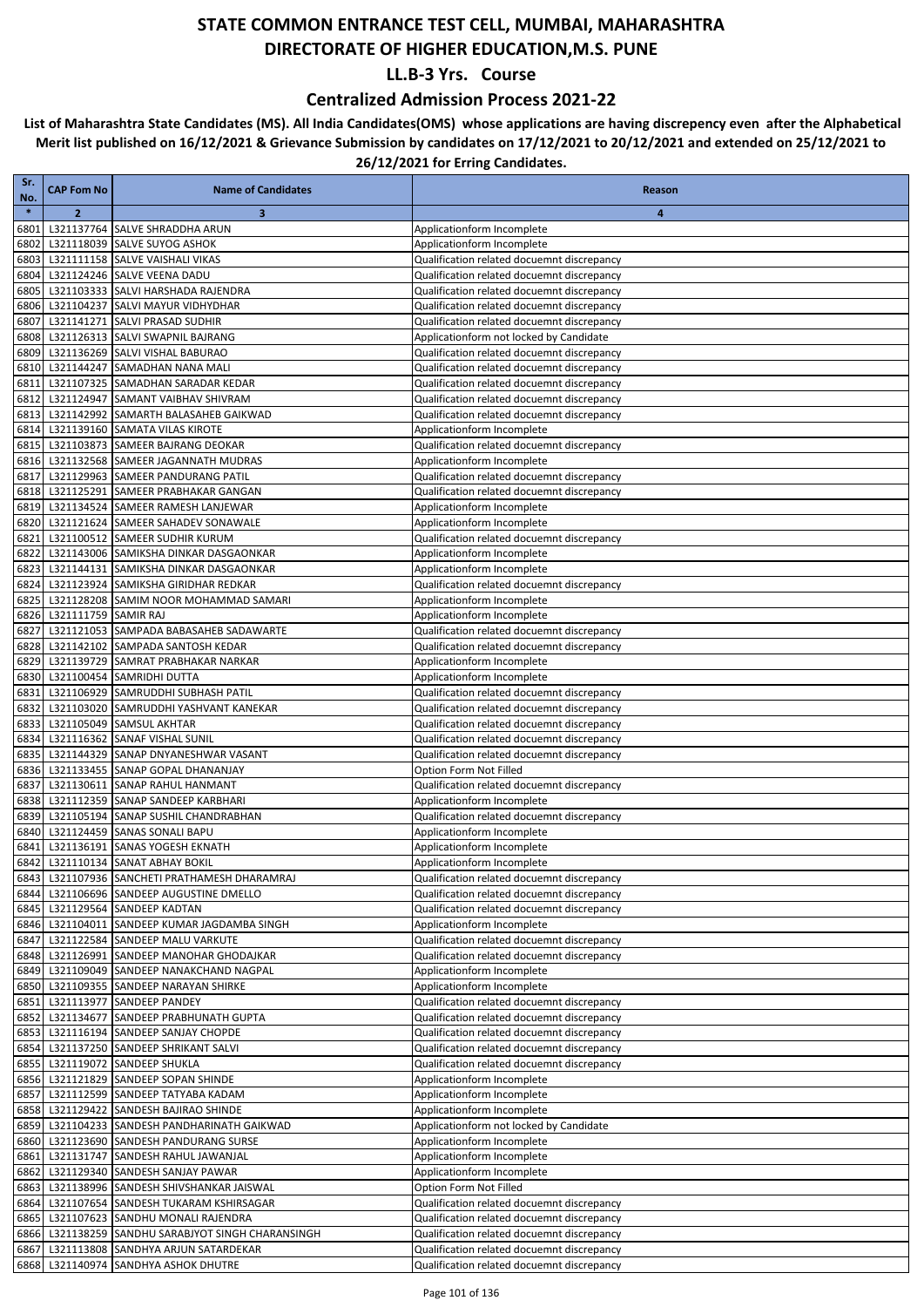### **Centralized Admission Process 2021-22**

| Sr.<br>No.   | <b>CAP Fom No</b>    | <b>Name of Candidates</b>                                                   | Reason                                                                                   |
|--------------|----------------------|-----------------------------------------------------------------------------|------------------------------------------------------------------------------------------|
| $\ast$       | $\overline{2}$       | 3                                                                           | 4                                                                                        |
| 6801         |                      | L321137764 SALVE SHRADDHA ARUN                                              | Applicationform Incomplete                                                               |
| 6802         |                      | L321118039 SALVE SUYOG ASHOK                                                | Applicationform Incomplete                                                               |
| 6803         |                      | L321111158 SALVE VAISHALI VIKAS                                             | Qualification related docuemnt discrepancy                                               |
| 6804         |                      | L321124246 SALVE VEENA DADU                                                 | Qualification related docuemnt discrepancy                                               |
| 6805         |                      | L321103333 SALVI HARSHADA RAJENDRA                                          | Qualification related docuemnt discrepancy                                               |
| 6806         |                      | L321104237 SALVI MAYUR VIDHYDHAR                                            | Qualification related docuemnt discrepancy                                               |
| 6807         |                      | L321141271 SALVI PRASAD SUDHIR                                              | Qualification related docuemnt discrepancy                                               |
| 6808<br>6809 |                      | L321126313 SALVI SWAPNIL BAJRANG<br>L321136269 SALVI VISHAL BABURAO         | Applicationform not locked by Candidate<br>Qualification related docuemnt discrepancy    |
| 6810         |                      | L321144247 SAMADHAN NANA MALI                                               | Qualification related docuemnt discrepancy                                               |
| 6811         |                      | L321107325 SAMADHAN SARADAR KEDAR                                           | Qualification related docuemnt discrepancy                                               |
| 6812         |                      | L321124947 SAMANT VAIBHAV SHIVRAM                                           | Qualification related docuemnt discrepancy                                               |
| 6813         |                      | L321142992 SAMARTH BALASAHEB GAIKWAD                                        | Qualification related docuemnt discrepancy                                               |
| 6814         |                      | L321139160 SAMATA VILAS KIROTE                                              | Applicationform Incomplete                                                               |
| 6815         |                      | L321103873 SAMEER BAJRANG DEOKAR                                            | Qualification related docuemnt discrepancy                                               |
| 6816         |                      | L321132568 SAMEER JAGANNATH MUDRAS                                          | Applicationform Incomplete                                                               |
| 6817         |                      | L321129963 SAMEER PANDURANG PATIL                                           | Qualification related docuemnt discrepancy                                               |
| 6818         |                      | L321125291 SAMEER PRABHAKAR GANGAN                                          | Qualification related docuemnt discrepancy                                               |
| 6819         |                      | L321134524 SAMEER RAMESH LANJEWAR                                           | Applicationform Incomplete                                                               |
| 6820         |                      | L321121624 SAMEER SAHADEV SONAWALE                                          | Applicationform Incomplete                                                               |
| 6821<br>6822 |                      | L321100512 SAMEER SUDHIR KURUM<br>L321143006 SAMIKSHA DINKAR DASGAONKAR     | Qualification related docuemnt discrepancy<br>Applicationform Incomplete                 |
| 6823         |                      | L321144131 SAMIKSHA DINKAR DASGAONKAR                                       | Applicationform Incomplete                                                               |
| 6824         |                      | L321123924 SAMIKSHA GIRIDHAR REDKAR                                         | Qualification related docuemnt discrepancy                                               |
| 6825         |                      | L321128208 SAMIM NOOR MOHAMMAD SAMARI                                       | Applicationform Incomplete                                                               |
| 6826         | L321111759 SAMIR RAJ |                                                                             | Applicationform Incomplete                                                               |
| 6827         |                      | L321121053 SAMPADA BABASAHEB SADAWARTE                                      | Qualification related docuemnt discrepancy                                               |
| 6828         |                      | L321142102 SAMPADA SANTOSH KEDAR                                            | Qualification related docuemnt discrepancy                                               |
| 6829         |                      | L321139729 SAMRAT PRABHAKAR NARKAR                                          | Applicationform Incomplete                                                               |
| 6830         |                      | L321100454 SAMRIDHI DUTTA                                                   | Applicationform Incomplete                                                               |
| 6831         |                      | L321106929 SAMRUDDHI SUBHASH PATIL                                          | Qualification related docuemnt discrepancy                                               |
| 6832         |                      | L321103020 SAMRUDDHI YASHVANT KANEKAR                                       | Qualification related docuemnt discrepancy                                               |
| 6833<br>6834 |                      | L321105049 SAMSUL AKHTAR<br>L321116362 SANAF VISHAL SUNIL                   | Qualification related docuemnt discrepancy<br>Qualification related docuemnt discrepancy |
| 6835         |                      | L321144329 SANAP DNYANESHWAR VASANT                                         | Qualification related docuemnt discrepancy                                               |
| 6836         |                      | L321133455 SANAP GOPAL DHANANJAY                                            | Option Form Not Filled                                                                   |
| 6837         |                      | L321130611 SANAP RAHUL HANMANT                                              | Qualification related docuemnt discrepancy                                               |
| 6838         |                      | L321112359 SANAP SANDEEP KARBHARI                                           | Applicationform Incomplete                                                               |
| 6839         |                      | L321105194 SANAP SUSHIL CHANDRABHAN                                         | Qualification related docuemnt discrepancy                                               |
| 6840         |                      | L321124459 SANAS SONALI BAPU                                                | Applicationform Incomplete                                                               |
| 6841         |                      | L321136191 SANAS YOGESH EKNATH                                              | Applicationform Incomplete                                                               |
| 6842         |                      | L321110134 SANAT ABHAY BOKIL                                                | Applicationform Incomplete                                                               |
|              |                      | 6843 L321107936 SANCHETI PRATHAMESH DHARAMRAJ                               | Qualification related docuemnt discrepancy                                               |
|              |                      | 6844 L321106696 SANDEEP AUGUSTINE DMELLO<br>6845 L321129564 SANDEEP KADTAN  | Qualification related docuemnt discrepancy<br>Qualification related docuemnt discrepancy |
| 6846         |                      | L321104011 SANDEEP KUMAR JAGDAMBA SINGH                                     | Applicationform Incomplete                                                               |
| 6847         |                      | L321122584 SANDEEP MALU VARKUTE                                             | Qualification related docuemnt discrepancy                                               |
|              |                      | 6848 L321126991 SANDEEP MANOHAR GHODAJKAR                                   | Qualification related docuemnt discrepancy                                               |
| 6849         |                      | L321109049 SANDEEP NANAKCHAND NAGPAL                                        | Applicationform Incomplete                                                               |
| 6850         |                      | L321109355 SANDEEP NARAYAN SHIRKE                                           | Applicationform Incomplete                                                               |
| 6851         |                      | L321113977 SANDEEP PANDEY                                                   | Qualification related docuemnt discrepancy                                               |
| 6852         |                      | L321134677 SANDEEP PRABHUNATH GUPTA                                         | Qualification related docuemnt discrepancy                                               |
| 6853         |                      | L321116194 SANDEEP SANJAY CHOPDE                                            | Qualification related docuemnt discrepancy                                               |
|              |                      | 6854 L321137250 SANDEEP SHRIKANT SALVI                                      | Qualification related docuemnt discrepancy                                               |
|              |                      | 6855 L321119072 SANDEEP SHUKLA<br>6856 L321121829 SANDEEP SOPAN SHINDE      | Qualification related docuemnt discrepancy<br>Applicationform Incomplete                 |
| 6857         |                      | L321112599 SANDEEP TATYABA KADAM                                            | Applicationform Incomplete                                                               |
| 6858         |                      | L321129422 SANDESH BAJIRAO SHINDE                                           | Applicationform Incomplete                                                               |
|              |                      | 6859 L321104233 SANDESH PANDHARINATH GAIKWAD                                | Applicationform not locked by Candidate                                                  |
|              |                      | 6860 L321123690 SANDESH PANDURANG SURSE                                     | Applicationform Incomplete                                                               |
|              |                      | 6861 L321131747 SANDESH RAHUL JAWANJAL                                      | Applicationform Incomplete                                                               |
|              |                      | 6862 L321129340 SANDESH SANJAY PAWAR                                        | Applicationform Incomplete                                                               |
| 6863         |                      | L321138996 SANDESH SHIVSHANKAR JAISWAL                                      | Option Form Not Filled                                                                   |
|              |                      | 6864 L321107654 SANDESH TUKARAM KSHIRSAGAR                                  | Qualification related docuemnt discrepancy                                               |
|              |                      | 6865 L321107623 SANDHU MONALI RAJENDRA                                      | Qualification related docuemnt discrepancy                                               |
|              |                      | 6866 L321138259 SANDHU SARABJYOT SINGH CHARANSINGH                          | Qualification related docuemnt discrepancy                                               |
| 6867         |                      | L321113808 SANDHYA ARJUN SATARDEKAR<br>6868 L321140974 SANDHYA ASHOK DHUTRE | Qualification related docuemnt discrepancy<br>Qualification related docuemnt discrepancy |
|              |                      |                                                                             |                                                                                          |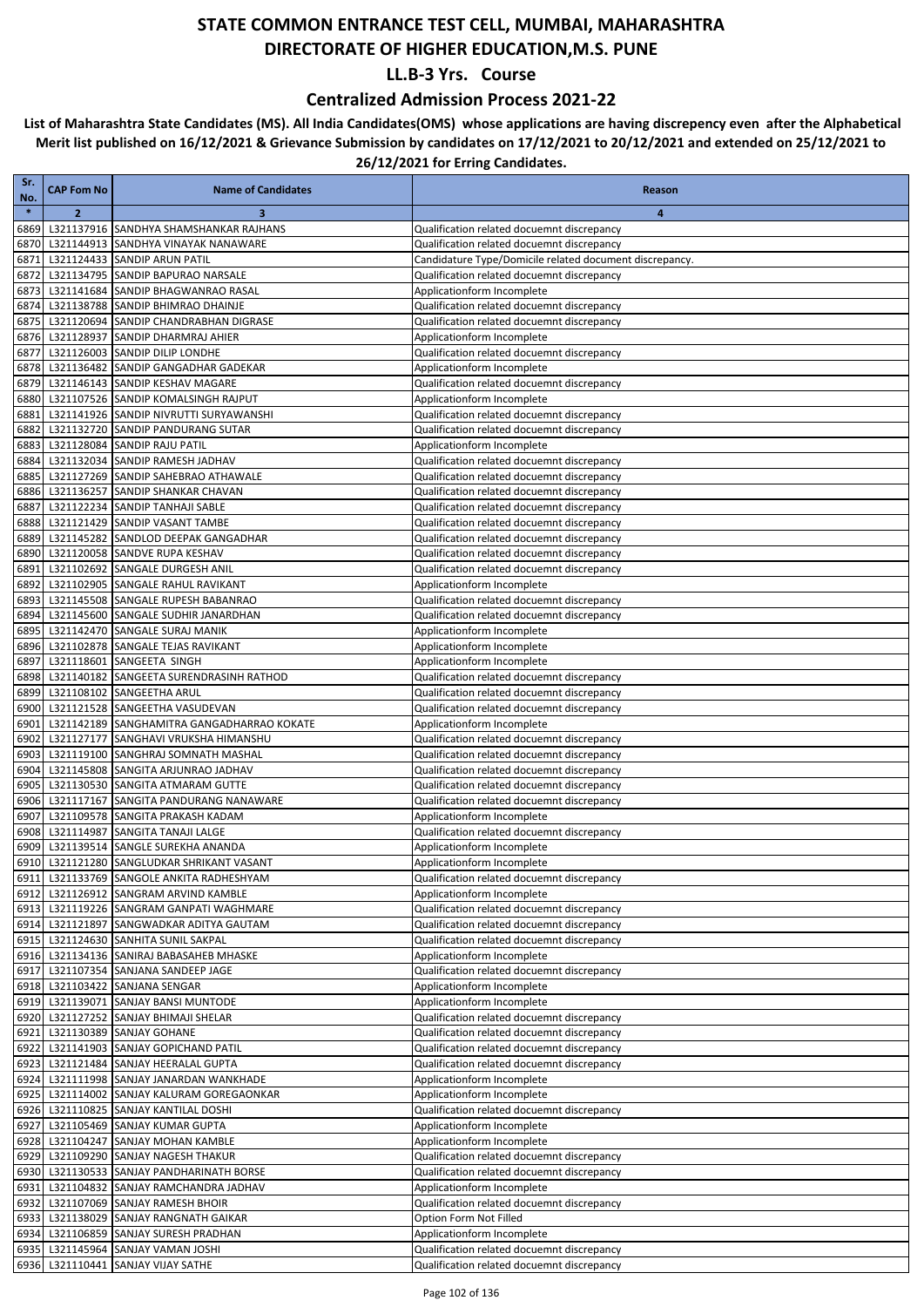### **Centralized Admission Process 2021-22**

| Sr.<br>No.   | <b>CAP Fom No</b> | <b>Name of Candidates</b>                                                          | Reason                                                                                   |
|--------------|-------------------|------------------------------------------------------------------------------------|------------------------------------------------------------------------------------------|
| $\ast$       | $\overline{2}$    | 3                                                                                  | 4                                                                                        |
| 6869         |                   | L321137916 SANDHYA SHAMSHANKAR RAJHANS                                             | Qualification related docuemnt discrepancy                                               |
| 6870         |                   | L321144913 SANDHYA VINAYAK NANAWARE                                                | Qualification related docuemnt discrepancy                                               |
| 6871         |                   | L321124433 SANDIP ARUN PATIL                                                       | Candidature Type/Domicile related document discrepancy.                                  |
| 6872         |                   | L321134795 SANDIP BAPURAO NARSALE                                                  | Qualification related docuemnt discrepancy                                               |
| 6873<br>6874 |                   | L321141684 SANDIP BHAGWANRAO RASAL<br>L321138788 SANDIP BHIMRAO DHAINJE            | Applicationform Incomplete<br>Qualification related docuemnt discrepancy                 |
| 6875         |                   | L321120694 SANDIP CHANDRABHAN DIGRASE                                              | Qualification related docuemnt discrepancy                                               |
| 6876         |                   | L321128937 SANDIP DHARMRAJ AHIER                                                   | Applicationform Incomplete                                                               |
| 6877         |                   | L321126003 SANDIP DILIP LONDHE                                                     | Qualification related docuemnt discrepancy                                               |
| 6878         |                   | L321136482 SANDIP GANGADHAR GADEKAR                                                | Applicationform Incomplete                                                               |
| 6879         |                   | L321146143 SANDIP KESHAV MAGARE                                                    | Qualification related docuemnt discrepancy                                               |
| 6880         |                   | L321107526 SANDIP KOMALSINGH RAJPUT                                                | Applicationform Incomplete                                                               |
| 6881         |                   | L321141926 SANDIP NIVRUTTI SURYAWANSHI                                             | Qualification related docuemnt discrepancy                                               |
| 6882<br>6883 |                   | L321132720 SANDIP PANDURANG SUTAR<br>L321128084 SANDIP RAJU PATIL                  | Qualification related docuemnt discrepancy<br>Applicationform Incomplete                 |
| 6884         |                   | L321132034 SANDIP RAMESH JADHAV                                                    | Qualification related docuemnt discrepancy                                               |
| 6885         |                   | L321127269 SANDIP SAHEBRAO ATHAWALE                                                | Qualification related docuemnt discrepancy                                               |
| 6886         |                   | L321136257 SANDIP SHANKAR CHAVAN                                                   | Qualification related docuemnt discrepancy                                               |
| 6887         |                   | L321122234 SANDIP TANHAJI SABLE                                                    | Qualification related docuemnt discrepancy                                               |
| 6888         |                   | L321121429 SANDIP VASANT TAMBE                                                     | Qualification related docuemnt discrepancy                                               |
| 6889         |                   | L321145282 SANDLOD DEEPAK GANGADHAR                                                | Qualification related docuemnt discrepancy                                               |
| 6890         |                   | L321120058 SANDVE RUPA KESHAV                                                      | Qualification related docuemnt discrepancy                                               |
| 6891         |                   | L321102692 SANGALE DURGESH ANIL<br>L321102905 SANGALE RAHUL RAVIKANT               | Qualification related docuemnt discrepancy                                               |
| 6892<br>6893 |                   | L321145508 SANGALE RUPESH BABANRAO                                                 | Applicationform Incomplete<br>Qualification related docuemnt discrepancy                 |
| 6894         |                   | L321145600 SANGALE SUDHIR JANARDHAN                                                | Qualification related docuemnt discrepancy                                               |
| 6895         |                   | L321142470 SANGALE SURAJ MANIK                                                     | Applicationform Incomplete                                                               |
| 6896         |                   | L321102878 SANGALE TEJAS RAVIKANT                                                  | Applicationform Incomplete                                                               |
| 6897         |                   | L321118601 SANGEETA SINGH                                                          | Applicationform Incomplete                                                               |
| 6898         |                   | L321140182 SANGEETA SURENDRASINH RATHOD                                            | Qualification related docuemnt discrepancy                                               |
| 6899         |                   | L321108102 SANGEETHA ARUL                                                          | Qualification related docuemnt discrepancy                                               |
| 6900         |                   | L321121528 SANGEETHA VASUDEVAN                                                     | Qualification related docuemnt discrepancy                                               |
| 6901<br>6902 |                   | L321142189 SANGHAMITRA GANGADHARRAO KOKATE<br>L321127177 SANGHAVI VRUKSHA HIMANSHU | Applicationform Incomplete<br>Qualification related docuemnt discrepancy                 |
| 6903         |                   | L321119100 SANGHRAJ SOMNATH MASHAL                                                 | Qualification related docuemnt discrepancy                                               |
| 6904         |                   | L321145808 SANGITA ARJUNRAO JADHAV                                                 | Qualification related docuemnt discrepancy                                               |
| 6905         |                   | L321130530 SANGITA ATMARAM GUTTE                                                   | Qualification related docuemnt discrepancy                                               |
| 6906         |                   | L321117167 SANGITA PANDURANG NANAWARE                                              | Qualification related docuemnt discrepancy                                               |
| 6907         |                   | L321109578 SANGITA PRAKASH KADAM                                                   | Applicationform Incomplete                                                               |
| 6908         |                   | L321114987 SANGITA TANAJI LALGE                                                    | Qualification related docuemnt discrepancy                                               |
| 6909         |                   | L321139514 SANGLE SUREKHA ANANDA                                                   | Applicationform Incomplete                                                               |
| 6910         |                   | L321121280 SANGLUDKAR SHRIKANT VASANT<br>6911 L321133769 SANGOLE ANKITA RADHESHYAM | Applicationform Incomplete<br>Qualification related docuemnt discrepancy                 |
|              |                   | 6912 L321126912 SANGRAM ARVIND KAMBLE                                              | Applicationform Incomplete                                                               |
|              |                   | 6913 L321119226 SANGRAM GANPATI WAGHMARE                                           | Qualification related docuemnt discrepancy                                               |
|              |                   | 6914 L321121897 SANGWADKAR ADITYA GAUTAM                                           | Qualification related docuemnt discrepancy                                               |
|              |                   | 6915 L321124630 SANHITA SUNIL SAKPAL                                               | Qualification related docuemnt discrepancy                                               |
|              |                   | 6916 L321134136 SANIRAJ BABASAHEB MHASKE                                           | Applicationform Incomplete                                                               |
|              |                   | 6917 L321107354 SANJANA SANDEEP JAGE                                               | Qualification related docuemnt discrepancy                                               |
|              |                   | 6918 L321103422 SANJANA SENGAR                                                     | Applicationform Incomplete                                                               |
|              |                   | 6919 L321139071 SANJAY BANSI MUNTODE<br>6920 L321127252 SANJAY BHIMAJI SHELAR      | Applicationform Incomplete<br>Qualification related docuemnt discrepancy                 |
| 6921         |                   | L321130389 SANJAY GOHANE                                                           | Qualification related docuemnt discrepancy                                               |
|              |                   | 6922 L321141903 SANJAY GOPICHAND PATIL                                             | Qualification related docuemnt discrepancy                                               |
|              |                   | 6923 L321121484 SANJAY HEERALAL GUPTA                                              | Qualification related docuemnt discrepancy                                               |
|              |                   | 6924 L321111998 SANJAY JANARDAN WANKHADE                                           | Applicationform Incomplete                                                               |
|              |                   | 6925 L321114002 SANJAY KALURAM GOREGAONKAR                                         | Applicationform Incomplete                                                               |
|              |                   | 6926 L321110825 SANJAY KANTILAL DOSHI                                              | Qualification related docuemnt discrepancy                                               |
|              |                   | 6927 L321105469 SANJAY KUMAR GUPTA                                                 | Applicationform Incomplete                                                               |
|              |                   | 6928 L321104247 SANJAY MOHAN KAMBLE                                                | Applicationform Incomplete                                                               |
|              |                   | 6929 L321109290 SANJAY NAGESH THAKUR<br>6930 L321130533 SANJAY PANDHARINATH BORSE  | Qualification related docuemnt discrepancy<br>Qualification related docuemnt discrepancy |
|              |                   | 6931 L321104832 SANJAY RAMCHANDRA JADHAV                                           | Applicationform Incomplete                                                               |
|              |                   | 6932 L321107069 SANJAY RAMESH BHOIR                                                | Qualification related docuemnt discrepancy                                               |
|              |                   | 6933 L321138029 SANJAY RANGNATH GAIKAR                                             | Option Form Not Filled                                                                   |
|              |                   | 6934 L321106859 SANJAY SURESH PRADHAN                                              | Applicationform Incomplete                                                               |
|              |                   | 6935 L321145964 SANJAY VAMAN JOSHI                                                 | Qualification related docuemnt discrepancy                                               |
|              |                   | 6936 L321110441 SANJAY VIJAY SATHE                                                 | Qualification related docuemnt discrepancy                                               |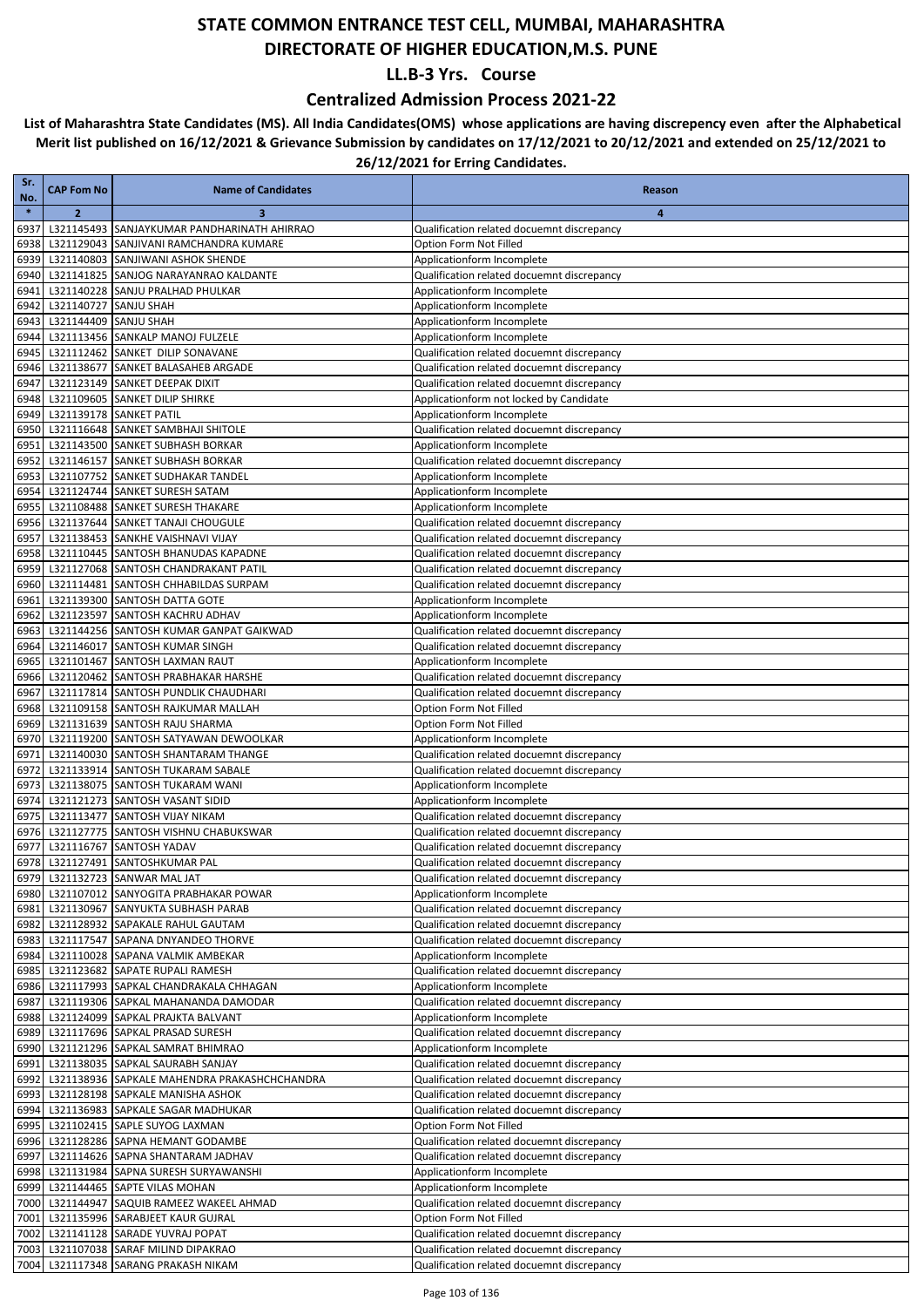### **Centralized Admission Process 2021-22**

| Sr.<br>No.   | <b>CAP Fom No</b>     | <b>Name of Candidates</b>                                                           | Reason                                                                                   |
|--------------|-----------------------|-------------------------------------------------------------------------------------|------------------------------------------------------------------------------------------|
| $\ast$       | $\overline{2}$        | 3                                                                                   | 4                                                                                        |
| 6937         |                       | L321145493 SANJAYKUMAR PANDHARINATH AHIRRAO                                         | Qualification related docuemnt discrepancy                                               |
| 6938         |                       | L321129043 SANJIVANI RAMCHANDRA KUMARE                                              | Option Form Not Filled                                                                   |
| 6939         |                       | L321140803 SANJIWANI ASHOK SHENDE                                                   | Applicationform Incomplete                                                               |
| 6940         |                       | L321141825 SANJOG NARAYANRAO KALDANTE<br>L321140228 SANJU PRALHAD PHULKAR           | Qualification related docuemnt discrepancy                                               |
| 6941<br>6942 | L321140727 SANJU SHAH |                                                                                     | Applicationform Incomplete<br>Applicationform Incomplete                                 |
| 6943         | L321144409 SANJU SHAH |                                                                                     | Applicationform Incomplete                                                               |
| 6944         |                       | L321113456 SANKALP MANOJ FULZELE                                                    | Applicationform Incomplete                                                               |
| 6945         |                       | L321112462 SANKET DILIP SONAVANE                                                    | Qualification related docuemnt discrepancy                                               |
|              |                       | 6946 L321138677 SANKET BALASAHEB ARGADE                                             | Qualification related docuemnt discrepancy                                               |
| 6947         |                       | L321123149 SANKET DEEPAK DIXIT                                                      | Qualification related docuemnt discrepancy                                               |
| 6948         |                       | L321109605 SANKET DILIP SHIRKE                                                      | Applicationform not locked by Candidate                                                  |
| 6949         |                       | L321139178 SANKET PATIL                                                             | Applicationform Incomplete                                                               |
|              |                       | 6950 L321116648 SANKET SAMBHAJI SHITOLE                                             | Qualification related docuemnt discrepancy                                               |
| 6951<br>6952 |                       | L321143500 SANKET SUBHASH BORKAR<br>L321146157 SANKET SUBHASH BORKAR                | Applicationform Incomplete<br>Qualification related docuemnt discrepancy                 |
| 6953         |                       | L321107752 SANKET SUDHAKAR TANDEL                                                   | Applicationform Incomplete                                                               |
| 6954         |                       | L321124744 SANKET SURESH SATAM                                                      | Applicationform Incomplete                                                               |
| 6955         |                       | L321108488 SANKET SURESH THAKARE                                                    | Applicationform Incomplete                                                               |
| 6956         |                       | L321137644 SANKET TANAJI CHOUGULE                                                   | Qualification related docuemnt discrepancy                                               |
| 6957         |                       | L321138453 SANKHE VAISHNAVI VIJAY                                                   | Qualification related docuemnt discrepancy                                               |
| 6958         |                       | L321110445 SANTOSH BHANUDAS KAPADNE                                                 | Qualification related docuemnt discrepancy                                               |
| 6959         |                       | L321127068 SANTOSH CHANDRAKANT PATIL                                                | Qualification related docuemnt discrepancy                                               |
| 6960         |                       | L321114481 SANTOSH CHHABILDAS SURPAM                                                | Qualification related docuemnt discrepancy                                               |
| 6961<br>6962 |                       | L321139300 SANTOSH DATTA GOTE<br>L321123597 SANTOSH KACHRU ADHAV                    | Applicationform Incomplete<br>Applicationform Incomplete                                 |
| 6963         |                       | L321144256 SANTOSH KUMAR GANPAT GAIKWAD                                             | Qualification related docuemnt discrepancy                                               |
| 6964         |                       | L321146017 SANTOSH KUMAR SINGH                                                      | Qualification related docuemnt discrepancy                                               |
| 6965         |                       | L321101467 SANTOSH LAXMAN RAUT                                                      | Applicationform Incomplete                                                               |
| 6966         |                       | L321120462 SANTOSH PRABHAKAR HARSHE                                                 | Qualification related docuemnt discrepancy                                               |
| 6967         |                       | L321117814 SANTOSH PUNDLIK CHAUDHARI                                                | Qualification related docuemnt discrepancy                                               |
|              |                       | 6968 L321109158 SANTOSH RAJKUMAR MALLAH                                             | Option Form Not Filled                                                                   |
|              |                       | 6969 L321131639 SANTOSH RAJU SHARMA                                                 | Option Form Not Filled                                                                   |
|              |                       | 6970 L321119200 SANTOSH SATYAWAN DEWOOLKAR                                          | Applicationform Incomplete                                                               |
| 6971<br>6972 |                       | L321140030 SANTOSH SHANTARAM THANGE<br>L321133914 SANTOSH TUKARAM SABALE            | Qualification related docuemnt discrepancy<br>Qualification related docuemnt discrepancy |
| 6973         |                       | L321138075 SANTOSH TUKARAM WANI                                                     | Applicationform Incomplete                                                               |
| 6974         |                       | L321121273 SANTOSH VASANT SIDID                                                     | Applicationform Incomplete                                                               |
|              |                       | 6975 L321113477 SANTOSH VIJAY NIKAM                                                 | Qualification related docuemnt discrepancy                                               |
| 6976         |                       | L321127775 SANTOSH VISHNU CHABUKSWAR                                                | Qualification related docuemnt discrepancy                                               |
| 6977         |                       | L321116767 SANTOSH YADAV                                                            | Qualification related docuemnt discrepancy                                               |
| 6978         |                       | L321127491 SANTOSHKUMAR PAL                                                         | Qualification related docuemnt discrepancy                                               |
|              |                       | 6979 L321132723 SANWAR MAL JAT                                                      | Qualification related docuemnt discrepancy                                               |
|              |                       | 6980 L321107012 SANYOGITA PRABHAKAR POWAR<br>6981 L321130967 SANYUKTA SUBHASH PARAB | Applicationform Incomplete<br>Qualification related docuemnt discrepancy                 |
|              |                       | 6982 L321128932 SAPAKALE RAHUL GAUTAM                                               | Qualification related docuemnt discrepancy                                               |
|              |                       | 6983 L321117547 SAPANA DNYANDEO THORVE                                              | Qualification related docuemnt discrepancy                                               |
|              |                       | 6984 L321110028 SAPANA VALMIK AMBEKAR                                               | Applicationform Incomplete                                                               |
|              |                       | 6985 L321123682 SAPATE RUPALI RAMESH                                                | Qualification related docuemnt discrepancy                                               |
|              |                       | 6986 L321117993 SAPKAL CHANDRAKALA CHHAGAN                                          | Applicationform Incomplete                                                               |
|              |                       | 6987 L321119306 SAPKAL MAHANANDA DAMODAR                                            | Qualification related docuemnt discrepancy                                               |
|              |                       | 6988 L321124099 SAPKAL PRAJKTA BALVANT                                              | Applicationform Incomplete                                                               |
|              |                       | 6989 L321117696 SAPKAL PRASAD SURESH                                                | Qualification related docuemnt discrepancy                                               |
| 6991         |                       | 6990 L321121296 SAPKAL SAMRAT BHIMRAO<br>L321138035 SAPKAL SAURABH SANJAY           | Applicationform Incomplete<br>Qualification related docuemnt discrepancy                 |
|              |                       | 6992 L321138936 SAPKALE MAHENDRA PRAKASHCHCHANDRA                                   | Qualification related docuemnt discrepancy                                               |
|              |                       | 6993 L321128198 SAPKALE MANISHA ASHOK                                               | Qualification related docuemnt discrepancy                                               |
|              |                       | 6994 L321136983 SAPKALE SAGAR MADHUKAR                                              | Qualification related docuemnt discrepancy                                               |
|              |                       | 6995 L321102415 SAPLE SUYOG LAXMAN                                                  | Option Form Not Filled                                                                   |
|              |                       | 6996 L321128286 SAPNA HEMANT GODAMBE                                                | Qualification related docuemnt discrepancy                                               |
|              |                       | 6997 L321114626 SAPNA SHANTARAM JADHAV                                              | Qualification related docuemnt discrepancy                                               |
|              |                       | 6998 L321131984 SAPNA SURESH SURYAWANSHI                                            | Applicationform Incomplete                                                               |
|              |                       | 6999 L321144465 SAPTE VILAS MOHAN                                                   | Applicationform Incomplete                                                               |
|              |                       | 7000 L321144947 SAQUIB RAMEEZ WAKEEL AHMAD                                          | Qualification related docuemnt discrepancy<br>Option Form Not Filled                     |
|              |                       | 7001 L321135996 SARABJEET KAUR GUJRAL<br>7002 L321141128 SARADE YUVRAJ POPAT        | Qualification related docuemnt discrepancy                                               |
|              |                       | 7003 L321107038 SARAF MILIND DIPAKRAO                                               | Qualification related docuemnt discrepancy                                               |
|              |                       | 7004 L321117348 SARANG PRAKASH NIKAM                                                | Qualification related docuemnt discrepancy                                               |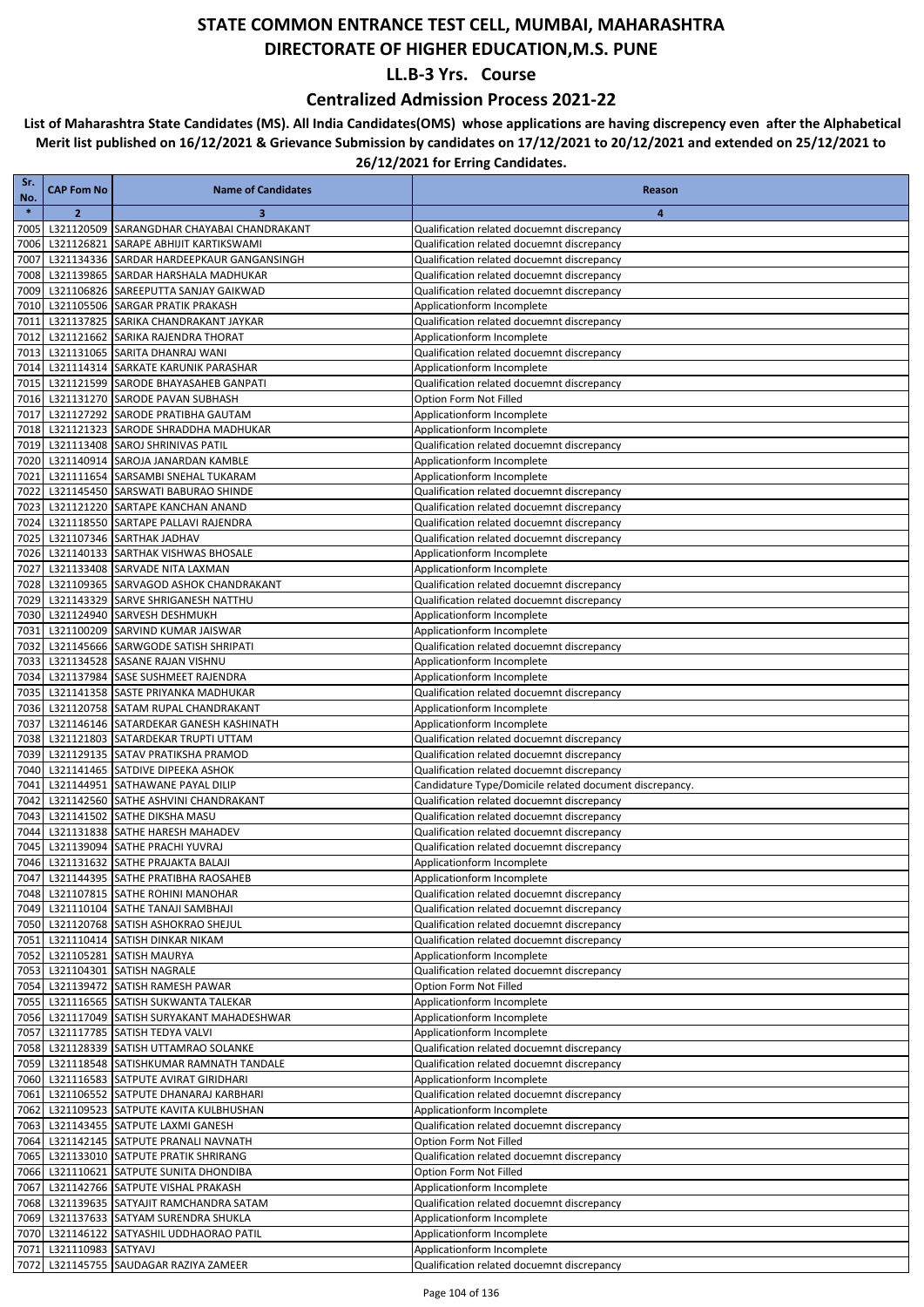### **Centralized Admission Process 2021-22**

| Sr.           | <b>CAP Fom No</b>  | <b>Name of Candidates</b>                                                               | Reason                                                                                   |
|---------------|--------------------|-----------------------------------------------------------------------------------------|------------------------------------------------------------------------------------------|
| No.<br>$\ast$ | $\overline{2}$     | 3                                                                                       | $\overline{\mathbf{4}}$                                                                  |
| 7005          |                    | L321120509 SARANGDHAR CHAYABAI CHANDRAKANT                                              | Qualification related docuemnt discrepancy                                               |
| 7006          |                    | L321126821 SARAPE ABHIJIT KARTIKSWAMI                                                   | Qualification related docuemnt discrepancy                                               |
| 7007          |                    | L321134336 SARDAR HARDEEPKAUR GANGANSINGH                                               | Qualification related docuemnt discrepancy                                               |
| 7008          |                    | L321139865 SARDAR HARSHALA MADHUKAR                                                     | Qualification related docuemnt discrepancy                                               |
| 7009          |                    | L321106826 SAREEPUTTA SANJAY GAIKWAD                                                    | Qualification related docuemnt discrepancy                                               |
| 7010          |                    | L321105506 SARGAR PRATIK PRAKASH                                                        | Applicationform Incomplete                                                               |
| 7011<br>7012  |                    | L321137825 SARIKA CHANDRAKANT JAYKAR<br>L321121662 SARIKA RAJENDRA THORAT               | Qualification related docuemnt discrepancy<br>Applicationform Incomplete                 |
| 7013          |                    | L321131065 SARITA DHANRAJ WANI                                                          | Qualification related docuemnt discrepancy                                               |
| 7014          |                    | L321114314 SARKATE KARUNIK PARASHAR                                                     | Applicationform Incomplete                                                               |
| 7015          |                    | L321121599 SARODE BHAYASAHEB GANPATI                                                    | Qualification related docuemnt discrepancy                                               |
| 7016          |                    | L321131270 SARODE PAVAN SUBHASH                                                         | Option Form Not Filled                                                                   |
| 7017          |                    | L321127292 SARODE PRATIBHA GAUTAM                                                       | Applicationform Incomplete                                                               |
| 7018          |                    | L321121323 SARODE SHRADDHA MADHUKAR                                                     | Applicationform Incomplete                                                               |
| 7019          |                    | L321113408 SAROJ SHRINIVAS PATIL                                                        | Qualification related docuemnt discrepancy                                               |
| 7020<br>7021  |                    | L321140914 SAROJA JANARDAN KAMBLE<br>L321111654 SARSAMBI SNEHAL TUKARAM                 | Applicationform Incomplete<br>Applicationform Incomplete                                 |
| 7022          |                    | L321145450 SARSWATI BABURAO SHINDE                                                      | Qualification related docuemnt discrepancy                                               |
| 7023          |                    | L321121220 SARTAPE KANCHAN ANAND                                                        | Qualification related docuemnt discrepancy                                               |
| 7024          |                    | L321118550 SARTAPE PALLAVI RAJENDRA                                                     | Qualification related docuemnt discrepancy                                               |
| 7025          |                    | L321107346 SARTHAK JADHAV                                                               | Qualification related docuemnt discrepancy                                               |
| 7026          |                    | L321140133 SARTHAK VISHWAS BHOSALE                                                      | Applicationform Incomplete                                                               |
| 7027          |                    | L321133408 SARVADE NITA LAXMAN                                                          | Applicationform Incomplete                                                               |
| 7028<br>7029  |                    | L321109365 SARVAGOD ASHOK CHANDRAKANT<br>L321143329 SARVE SHRIGANESH NATTHU             | Qualification related docuemnt discrepancy<br>Qualification related docuemnt discrepancy |
| 7030          |                    | L321124940 SARVESH DESHMUKH                                                             | Applicationform Incomplete                                                               |
| 7031          |                    | L321100209 SARVIND KUMAR JAISWAR                                                        | Applicationform Incomplete                                                               |
| 7032          |                    | L321145666 SARWGODE SATISH SHRIPATI                                                     | Qualification related docuemnt discrepancy                                               |
| 7033          |                    | L321134528 SASANE RAJAN VISHNU                                                          | Applicationform Incomplete                                                               |
| 7034          |                    | L321137984 SASE SUSHMEET RAJENDRA                                                       | Applicationform Incomplete                                                               |
| 7035          |                    | L321141358 SASTE PRIYANKA MADHUKAR                                                      | Qualification related docuemnt discrepancy                                               |
| 7036          |                    | L321120758 SATAM RUPAL CHANDRAKANT                                                      | Applicationform Incomplete                                                               |
| 7037<br>7038  |                    | L321146146 SATARDEKAR GANESH KASHINATH<br>L321121803 SATARDEKAR TRUPTI UTTAM            | Applicationform Incomplete<br>Qualification related docuemnt discrepancy                 |
| 7039          |                    | L321129135 SATAV PRATIKSHA PRAMOD                                                       | Qualification related docuemnt discrepancy                                               |
|               |                    | 7040 L321141465 SATDIVE DIPEEKA ASHOK                                                   | Qualification related docuemnt discrepancy                                               |
| 7041          |                    | L321144951 SATHAWANE PAYAL DILIP                                                        | Candidature Type/Domicile related document discrepancy.                                  |
| 7042          |                    | L321142560 SATHE ASHVINI CHANDRAKANT                                                    | Qualification related docuemnt discrepancy                                               |
|               |                    | 7043 L321141502 SATHE DIKSHA MASU                                                       | Qualification related docuemnt discrepancy                                               |
| 7044          |                    | L321131838 SATHE HARESH MAHADEV                                                         | Qualification related docuemnt discrepancy                                               |
| 7045<br>7046  |                    | L321139094 SATHE PRACHI YUVRAJ<br>L321131632 SATHE PRAJAKTA BALAJI                      | Qualification related docuemnt discrepancy<br>Applicationform Incomplete                 |
|               |                    | 7047 L321144395 SATHE PRATIBHA RAOSAHEB                                                 | Applicationform Incomplete                                                               |
|               |                    | 7048 L321107815 SATHE ROHINI MANOHAR                                                    | Qualification related docuemnt discrepancy                                               |
|               |                    | 7049 L321110104 SATHE TANAJI SAMBHAJI                                                   | Qualification related docuemnt discrepancy                                               |
|               |                    | 7050 L321120768 SATISH ASHOKRAO SHEJUL                                                  | Qualification related docuemnt discrepancy                                               |
| 7051          |                    | L321110414 SATISH DINKAR NIKAM                                                          | Qualification related docuemnt discrepancy                                               |
|               |                    | 7052 L321105281 SATISH MAURYA                                                           | Applicationform Incomplete                                                               |
|               |                    | 7053 L321104301 SATISH NAGRALE                                                          | Qualification related docuemnt discrepancy                                               |
|               |                    | 7054 L321139472 SATISH RAMESH PAWAR                                                     | Option Form Not Filled                                                                   |
|               |                    | 7055 L321116565 SATISH SUKWANTA TALEKAR<br>7056 L321117049 SATISH SURYAKANT MAHADESHWAR | Applicationform Incomplete<br>Applicationform Incomplete                                 |
| 7057          |                    | L321117785 SATISH TEDYA VALVI                                                           | Applicationform Incomplete                                                               |
|               |                    | 7058 L321128339 SATISH UTTAMRAO SOLANKE                                                 | Qualification related docuemnt discrepancy                                               |
|               |                    | 7059 L321118548 SATISHKUMAR RAMNATH TANDALE                                             | Qualification related docuemnt discrepancy                                               |
|               |                    | 7060 L321116583 SATPUTE AVIRAT GIRIDHARI                                                | Applicationform Incomplete                                                               |
|               |                    | 7061 L321106552 SATPUTE DHANARAJ KARBHARI                                               | Qualification related docuemnt discrepancy                                               |
|               |                    | 7062 L321109523 SATPUTE KAVITA KULBHUSHAN                                               | Applicationform Incomplete                                                               |
|               |                    | 7063 L321143455 SATPUTE LAXMI GANESH<br>7064 L321142145 SATPUTE PRANALI NAVNATH         | Qualification related docuemnt discrepancy<br>Option Form Not Filled                     |
|               |                    | 7065 L321133010 SATPUTE PRATIK SHRIRANG                                                 | Qualification related docuemnt discrepancy                                               |
|               |                    | 7066 L321110621 SATPUTE SUNITA DHONDIBA                                                 | Option Form Not Filled                                                                   |
|               |                    | 7067 L321142766 SATPUTE VISHAL PRAKASH                                                  | Applicationform Incomplete                                                               |
|               |                    | 7068 L321139635 SATYAJIT RAMCHANDRA SATAM                                               | Qualification related docuemnt discrepancy                                               |
|               |                    | 7069 L321137633 SATYAM SURENDRA SHUKLA                                                  | Applicationform Incomplete                                                               |
|               |                    | 7070 L321146122 SATYASHIL UDDHAORAO PATIL                                               | Applicationform Incomplete                                                               |
| 7071          | L321110983 SATYAVJ |                                                                                         | Applicationform Incomplete                                                               |
|               |                    | 7072 L321145755 SAUDAGAR RAZIYA ZAMEER                                                  | Qualification related docuemnt discrepancy                                               |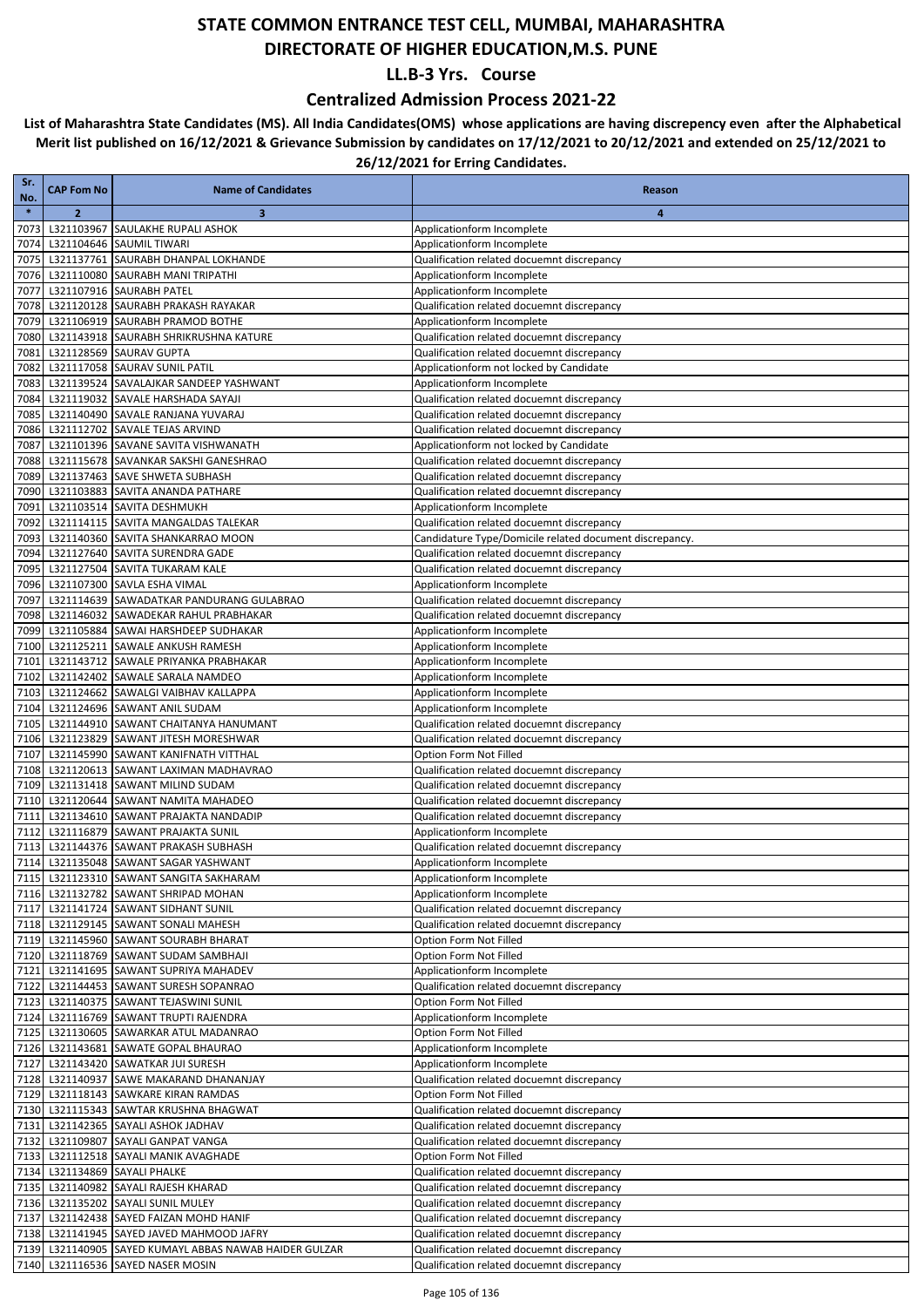### **Centralized Admission Process 2021-22**

| Sr.<br>No.   | <b>CAP Fom No</b> | <b>Name of Candidates</b>                                                            | Reason                                                                                   |
|--------------|-------------------|--------------------------------------------------------------------------------------|------------------------------------------------------------------------------------------|
| $\ast$       | $\overline{2}$    | 3                                                                                    | 4                                                                                        |
| 7073         |                   | L321103967 SAULAKHE RUPALI ASHOK                                                     | Applicationform Incomplete                                                               |
| 7074         |                   | L321104646 SAUMIL TIWARI                                                             | Applicationform Incomplete                                                               |
| 7075         |                   | L321137761 SAURABH DHANPAL LOKHANDE                                                  | Qualification related docuemnt discrepancy                                               |
| 7076         |                   | L321110080 SAURABH MANI TRIPATHI                                                     | Applicationform Incomplete                                                               |
| 7077<br>7078 |                   | L321107916 SAURABH PATEL<br>L321120128 SAURABH PRAKASH RAYAKAR                       | Applicationform Incomplete<br>Qualification related docuemnt discrepancy                 |
| 7079         |                   | L321106919 SAURABH PRAMOD BOTHE                                                      | Applicationform Incomplete                                                               |
| 7080         |                   | L321143918 SAURABH SHRIKRUSHNA KATURE                                                | Qualification related docuemnt discrepancy                                               |
| 7081         |                   | L321128569 SAURAV GUPTA                                                              | Qualification related docuemnt discrepancy                                               |
| 7082         |                   | L321117058 SAURAV SUNIL PATIL                                                        | Applicationform not locked by Candidate                                                  |
| 7083         |                   | L321139524 SAVALAJKAR SANDEEP YASHWANT                                               | Applicationform Incomplete                                                               |
| 7084         |                   | L321119032 SAVALE HARSHADA SAYAJI                                                    | Qualification related docuemnt discrepancy                                               |
| 7085         |                   | L321140490 SAVALE RANJANA YUVARAJ                                                    | Qualification related docuemnt discrepancy                                               |
| 7086<br>7087 |                   | L321112702 SAVALE TEJAS ARVIND<br>L321101396 SAVANE SAVITA VISHWANATH                | Qualification related docuemnt discrepancy<br>Applicationform not locked by Candidate    |
| 7088         |                   | L321115678 SAVANKAR SAKSHI GANESHRAO                                                 | Qualification related docuemnt discrepancy                                               |
|              |                   | 7089 L321137463 SAVE SHWETA SUBHASH                                                  | Qualification related docuemnt discrepancy                                               |
| 7090         |                   | L321103883 SAVITA ANANDA PATHARE                                                     | Qualification related docuemnt discrepancy                                               |
| 7091         |                   | L321103514 SAVITA DESHMUKH                                                           | Applicationform Incomplete                                                               |
| 7092         |                   | L321114115 SAVITA MANGALDAS TALEKAR                                                  | Qualification related docuemnt discrepancy                                               |
|              |                   | 7093 L321140360 SAVITA SHANKARRAO MOON                                               | Candidature Type/Domicile related document discrepancy.                                  |
| 7094         |                   | L321127640 SAVITA SURENDRA GADE                                                      | Qualification related docuemnt discrepancy                                               |
| 7096         |                   | 7095 L321127504 SAVITA TUKARAM KALE<br>L321107300 SAVLA ESHA VIMAL                   | Qualification related docuemnt discrepancy<br>Applicationform Incomplete                 |
| 7097         |                   | L321114639 SAWADATKAR PANDURANG GULABRAO                                             | Qualification related docuemnt discrepancy                                               |
|              |                   | 7098 L321146032 SAWADEKAR RAHUL PRABHAKAR                                            | Qualification related docuemnt discrepancy                                               |
|              |                   | 7099 L321105884 SAWAI HARSHDEEP SUDHAKAR                                             | Applicationform Incomplete                                                               |
|              |                   | 7100 L321125211 SAWALE ANKUSH RAMESH                                                 | Applicationform Incomplete                                                               |
| 7101         |                   | L321143712 SAWALE PRIYANKA PRABHAKAR                                                 | Applicationform Incomplete                                                               |
| 7102         |                   | L321142402 SAWALE SARALA NAMDEO                                                      | Applicationform Incomplete                                                               |
|              |                   | 7103 L321124662 SAWALGI VAIBHAV KALLAPPA                                             | Applicationform Incomplete                                                               |
| 7104         |                   | L321124696 SAWANT ANIL SUDAM                                                         | Applicationform Incomplete                                                               |
|              |                   | 7105 L321144910 SAWANT CHAITANYA HANUMANT<br>7106 L321123829 SAWANT JITESH MORESHWAR | Qualification related docuemnt discrepancy<br>Qualification related docuemnt discrepancy |
| 7107         |                   | L321145990 SAWANT KANIFNATH VITTHAL                                                  | Option Form Not Filled                                                                   |
|              |                   | 7108 L321120613 SAWANT LAXIMAN MADHAVRAO                                             | Qualification related docuemnt discrepancy                                               |
|              |                   | 7109 L321131418 SAWANT MILIND SUDAM                                                  | Qualification related docuemnt discrepancy                                               |
| 7110         |                   | L321120644 SAWANT NAMITA MAHADEO                                                     | Qualification related docuemnt discrepancy                                               |
| 7111         |                   | L321134610 SAWANT PRAJAKTA NANDADIP                                                  | Qualification related docuemnt discrepancy                                               |
| 7112         |                   | L321116879 SAWANT PRAJAKTA SUNIL                                                     | Applicationform Incomplete                                                               |
| 7113<br>7114 |                   | L321144376 SAWANT PRAKASH SUBHASH<br>L321135048 SAWANT SAGAR YASHWANT                | Qualification related docuemnt discrepancy<br>Applicationform Incomplete                 |
|              |                   | 7115 L321123310 SAWANT SANGITA SAKHARAM                                              | Applicationform Incomplete                                                               |
|              |                   | 7116 L321132782 SAWANT SHRIPAD MOHAN                                                 | Applicationform Incomplete                                                               |
|              |                   | 7117 L321141724 SAWANT SIDHANT SUNIL                                                 | Qualification related docuemnt discrepancy                                               |
|              |                   | 7118 L321129145 SAWANT SONALI MAHESH                                                 | Qualification related docuemnt discrepancy                                               |
|              |                   | 7119 L321145960 SAWANT SOURABH BHARAT                                                | Option Form Not Filled                                                                   |
|              |                   | 7120 L321118769 SAWANT SUDAM SAMBHAJI                                                | Option Form Not Filled                                                                   |
|              |                   | 7121 L321141695 SAWANT SUPRIYA MAHADEV                                               | Applicationform Incomplete                                                               |
|              |                   | 7122 L321144453 SAWANT SURESH SOPANRAO                                               | Qualification related docuemnt discrepancy                                               |
|              |                   | 7123 L321140375 SAWANT TEJASWINI SUNIL<br>7124 L321116769 SAWANT TRUPTI RAJENDRA     | Option Form Not Filled<br>Applicationform Incomplete                                     |
|              |                   | 7125 L321130605 SAWARKAR ATUL MADANRAO                                               | Option Form Not Filled                                                                   |
|              |                   | 7126 L321143681 SAWATE GOPAL BHAURAO                                                 | Applicationform Incomplete                                                               |
|              |                   | 7127 L321143420 SAWATKAR JUI SURESH                                                  | Applicationform Incomplete                                                               |
|              |                   | 7128 L321140937 SAWE MAKARAND DHANANJAY                                              | Qualification related docuemnt discrepancy                                               |
|              |                   | 7129 L321118143 SAWKARE KIRAN RAMDAS                                                 | Option Form Not Filled                                                                   |
|              |                   | 7130 L321115343 SAWTAR KRUSHNA BHAGWAT                                               | Qualification related docuemnt discrepancy                                               |
|              |                   | 7131 L321142365 SAYALI ASHOK JADHAV                                                  | Qualification related docuemnt discrepancy                                               |
|              |                   | 7132 L321109807 SAYALI GANPAT VANGA<br>7133 L321112518 SAYALI MANIK AVAGHADE         | Qualification related docuemnt discrepancy<br>Option Form Not Filled                     |
|              |                   | 7134 L321134869 SAYALI PHALKE                                                        | Qualification related docuemnt discrepancy                                               |
|              |                   | 7135 L321140982 SAYALI RAJESH KHARAD                                                 | Qualification related docuemnt discrepancy                                               |
|              |                   | 7136 L321135202 SAYALI SUNIL MULEY                                                   | Qualification related docuemnt discrepancy                                               |
|              |                   | 7137 L321142438 SAYED FAIZAN MOHD HANIF                                              | Qualification related docuemnt discrepancy                                               |
|              |                   | 7138 L321141945 SAYED JAVED MAHMOOD JAFRY                                            | Qualification related docuemnt discrepancy                                               |
|              |                   | 7139 L321140905 SAYED KUMAYL ABBAS NAWAB HAIDER GULZAR                               | Qualification related docuemnt discrepancy                                               |
|              |                   | 7140 L321116536 SAYED NASER MOSIN                                                    | Qualification related docuemnt discrepancy                                               |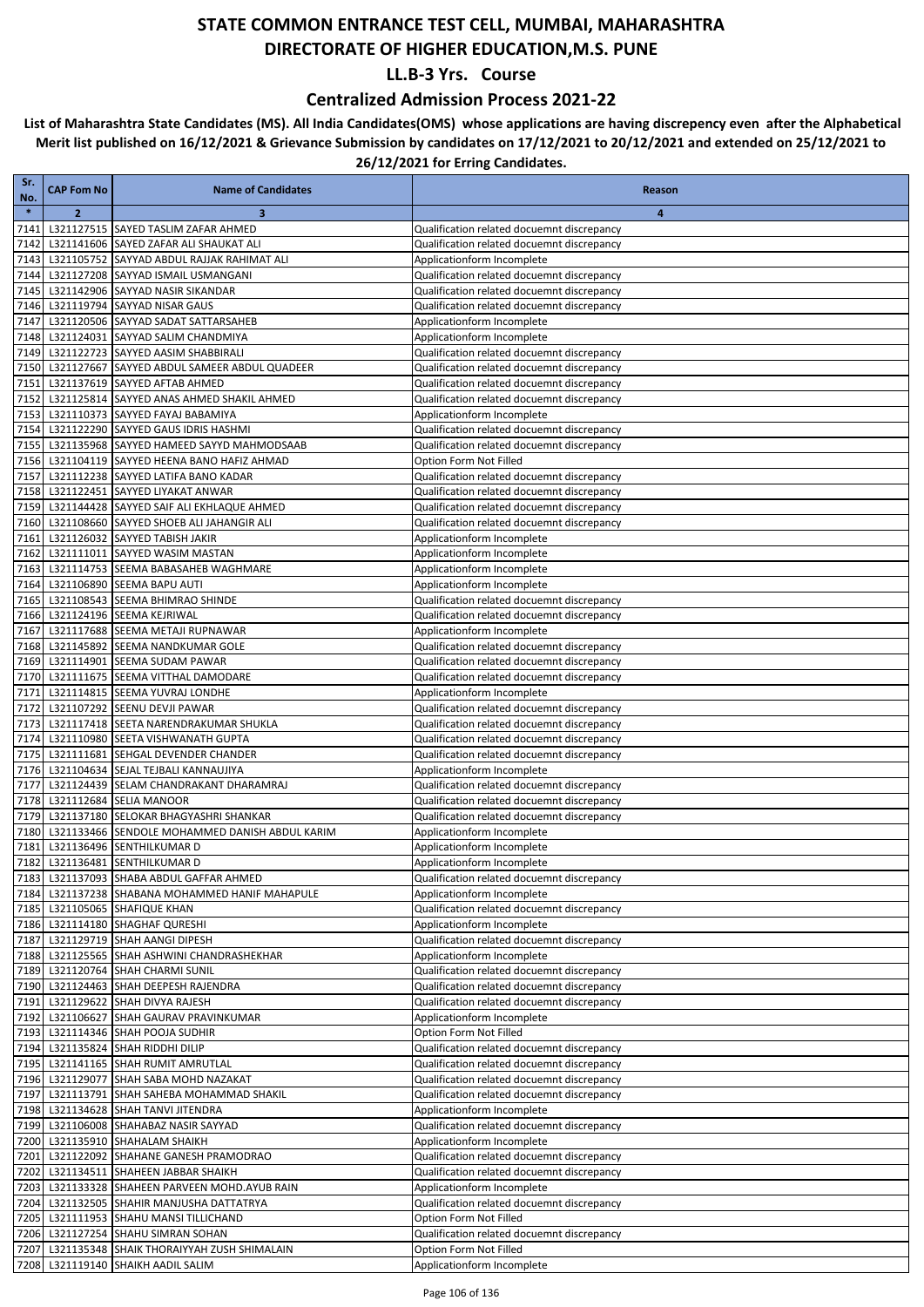### **Centralized Admission Process 2021-22**

| Sr.           | <b>CAP Fom No</b> | <b>Name of Candidates</b>                                                           | Reason                                                                                   |
|---------------|-------------------|-------------------------------------------------------------------------------------|------------------------------------------------------------------------------------------|
| No.<br>$\ast$ | $\overline{2}$    | 3                                                                                   | 4                                                                                        |
| 7141          |                   | L321127515 SAYED TASLIM ZAFAR AHMED                                                 | Qualification related docuemnt discrepancy                                               |
| 7142          |                   | L321141606 SAYED ZAFAR ALI SHAUKAT ALI                                              | Qualification related docuemnt discrepancy                                               |
| 7143          |                   | L321105752 SAYYAD ABDUL RAJJAK RAHIMAT ALI                                          | Applicationform Incomplete                                                               |
| 7144          |                   | L321127208 SAYYAD ISMAIL USMANGANI                                                  | Qualification related docuemnt discrepancy                                               |
| 7145<br>7146  |                   | L321142906 SAYYAD NASIR SIKANDAR<br>L321119794 SAYYAD NISAR GAUS                    | Qualification related docuemnt discrepancy<br>Qualification related docuemnt discrepancy |
| 7147          |                   | L321120506 SAYYAD SADAT SATTARSAHEB                                                 | Applicationform Incomplete                                                               |
|               |                   | 7148 L321124031 SAYYAD SALIM CHANDMIYA                                              | Applicationform Incomplete                                                               |
| 7149          |                   | L321122723 SAYYED AASIM SHABBIRALI                                                  | Qualification related docuemnt discrepancy                                               |
|               |                   | 7150 L321127667 SAYYED ABDUL SAMEER ABDUL QUADEER                                   | Qualification related docuemnt discrepancy                                               |
| 7151          |                   | L321137619 SAYYED AFTAB AHMED                                                       | Qualification related docuemnt discrepancy                                               |
|               |                   | 7152 L321125814 SAYYED ANAS AHMED SHAKIL AHMED                                      | Qualification related docuemnt discrepancy                                               |
|               |                   | 7153 L321110373 SAYYED FAYAJ BABAMIYA<br>7154 L321122290 SAYYED GAUS IDRIS HASHMI   | Applicationform Incomplete<br>Qualification related docuemnt discrepancy                 |
|               |                   | 7155 L321135968 SAYYED HAMEED SAYYD MAHMODSAAB                                      | Qualification related docuemnt discrepancy                                               |
|               |                   | 7156 L321104119 SAYYED HEENA BANO HAFIZ AHMAD                                       | Option Form Not Filled                                                                   |
| 7157          |                   | L321112238 SAYYED LATIFA BANO KADAR                                                 | Qualification related docuemnt discrepancy                                               |
|               |                   | 7158 L321122451 SAYYED LIYAKAT ANWAR                                                | Qualification related docuemnt discrepancy                                               |
|               |                   | 7159 L321144428 SAYYED SAIF ALI EKHLAQUE AHMED                                      | Qualification related docuemnt discrepancy                                               |
| 7161          |                   | 7160 L321108660 SAYYED SHOEB ALI JAHANGIR ALI<br>L321126032 SAYYED TABISH JAKIR     | Qualification related docuemnt discrepancy<br>Applicationform Incomplete                 |
|               |                   | 7162 L321111011 SAYYED WASIM MASTAN                                                 | Applicationform Incomplete                                                               |
|               |                   | 7163 L321114753 SEEMA BABASAHEB WAGHMARE                                            | Applicationform Incomplete                                                               |
| 7164          |                   | L321106890 SEEMA BAPU AUTI                                                          | Applicationform Incomplete                                                               |
|               |                   | 7165 L321108543 SEEMA BHIMRAO SHINDE                                                | Qualification related docuemnt discrepancy                                               |
|               |                   | 7166 L321124196 SEEMA KEJRIWAL                                                      | Qualification related docuemnt discrepancy                                               |
| 7167          |                   | L321117688 SEEMA METAJI RUPNAWAR                                                    | Applicationform Incomplete                                                               |
|               |                   | 7168 L321145892 SEEMA NANDKUMAR GOLE<br>7169 L321114901 SEEMA SUDAM PAWAR           | Qualification related docuemnt discrepancy<br>Qualification related docuemnt discrepancy |
|               |                   | 7170 L321111675 SEEMA VITTHAL DAMODARE                                              | Qualification related docuemnt discrepancy                                               |
|               |                   | 7171 L321114815 SEEMA YUVRAJ LONDHE                                                 | Applicationform Incomplete                                                               |
|               |                   | 7172 L321107292 SEENU DEVJI PAWAR                                                   | Qualification related docuemnt discrepancy                                               |
|               |                   | 7173 L321117418 SEETA NARENDRAKUMAR SHUKLA                                          | Qualification related docuemnt discrepancy                                               |
| 7174          |                   | L321110980 SEETA VISHWANATH GUPTA                                                   | Qualification related docuemnt discrepancy                                               |
|               |                   | 7175 L321111681 SEHGAL DEVENDER CHANDER<br>7176 L321104634 SEJAL TEJBALI KANNAUJIYA | Qualification related docuemnt discrepancy<br>Applicationform Incomplete                 |
| 7177          |                   | L321124439 SELAM CHANDRAKANT DHARAMRAJ                                              | Qualification related docuemnt discrepancy                                               |
|               |                   | 7178 L321112684 SELIA MANOOR                                                        | Qualification related docuemnt discrepancy                                               |
|               |                   | 7179 L321137180 SELOKAR BHAGYASHRI SHANKAR                                          | Qualification related docuemnt discrepancy                                               |
|               |                   | 7180 L321133466 SENDOLE MOHAMMED DANISH ABDUL KARIM                                 | Applicationform Incomplete                                                               |
| 7181          |                   | L321136496 SENTHILKUMAR D<br>L321136481 SENTHILKUMAR D                              | Applicationform Incomplete                                                               |
| 7182          |                   | 7183 L321137093 SHABA ABDUL GAFFAR AHMED                                            | Applicationform Incomplete<br>Qualification related docuemnt discrepancy                 |
|               |                   | 7184 L321137238 SHABANA MOHAMMED HANIF MAHAPULE                                     | Applicationform Incomplete                                                               |
|               |                   | 7185 L321105065 SHAFIQUE KHAN                                                       | Qualification related docuemnt discrepancy                                               |
|               |                   | 7186 L321114180 SHAGHAF QURESHI                                                     | Applicationform Incomplete                                                               |
|               |                   | 7187 L321129719 SHAH AANGI DIPESH                                                   | Qualification related docuemnt discrepancy                                               |
|               |                   | 7188 L321125565 SHAH ASHWINI CHANDRASHEKHAR                                         | Applicationform Incomplete                                                               |
|               |                   | 7189 L321120764 SHAH CHARMI SUNIL                                                   | Qualification related docuemnt discrepancy                                               |
|               |                   | 7190 L321124463 SHAH DEEPESH RAJENDRA<br>7191 L321129622 SHAH DIVYA RAJESH          | Qualification related docuemnt discrepancy<br>Qualification related docuemnt discrepancy |
|               |                   | 7192 L321106627 SHAH GAURAV PRAVINKUMAR                                             | Applicationform Incomplete                                                               |
|               |                   | 7193 L321114346 SHAH POOJA SUDHIR                                                   | Option Form Not Filled                                                                   |
|               |                   | 7194 L321135824 SHAH RIDDHI DILIP                                                   | Qualification related docuemnt discrepancy                                               |
|               |                   | 7195 L321141165 SHAH RUMIT AMRUTLAL                                                 | Qualification related docuemnt discrepancy                                               |
|               |                   | 7196 L321129077 SHAH SABA MOHD NAZAKAT                                              | Qualification related docuemnt discrepancy                                               |
|               |                   | 7197 L321113791 SHAH SAHEBA MOHAMMAD SHAKIL<br>7198 L321134628 SHAH TANVI JITENDRA  | Qualification related docuemnt discrepancy<br>Applicationform Incomplete                 |
|               |                   | 7199 L321106008 SHAHABAZ NASIR SAYYAD                                               | Qualification related docuemnt discrepancy                                               |
|               |                   | 7200 L321135910 SHAHALAM SHAIKH                                                     | Applicationform Incomplete                                                               |
|               |                   | 7201 L321122092 SHAHANE GANESH PRAMODRAO                                            | Qualification related docuemnt discrepancy                                               |
|               |                   | 7202 L321134511 SHAHEEN JABBAR SHAIKH                                               | Qualification related docuemnt discrepancy                                               |
|               |                   | 7203 L321133328 SHAHEEN PARVEEN MOHD.AYUB RAIN                                      | Applicationform Incomplete                                                               |
|               |                   | 7204 L321132505 SHAHIR MANJUSHA DATTATRYA<br>7205 L321111953 SHAHU MANSI TILLICHAND | Qualification related docuemnt discrepancy<br>Option Form Not Filled                     |
|               |                   | 7206 L321127254 SHAHU SIMRAN SOHAN                                                  | Qualification related docuemnt discrepancy                                               |
|               |                   | 7207 L321135348 SHAIK THORAIYYAH ZUSH SHIMALAIN                                     | Option Form Not Filled                                                                   |
|               |                   | 7208 L321119140 SHAIKH AADIL SALIM                                                  | Applicationform Incomplete                                                               |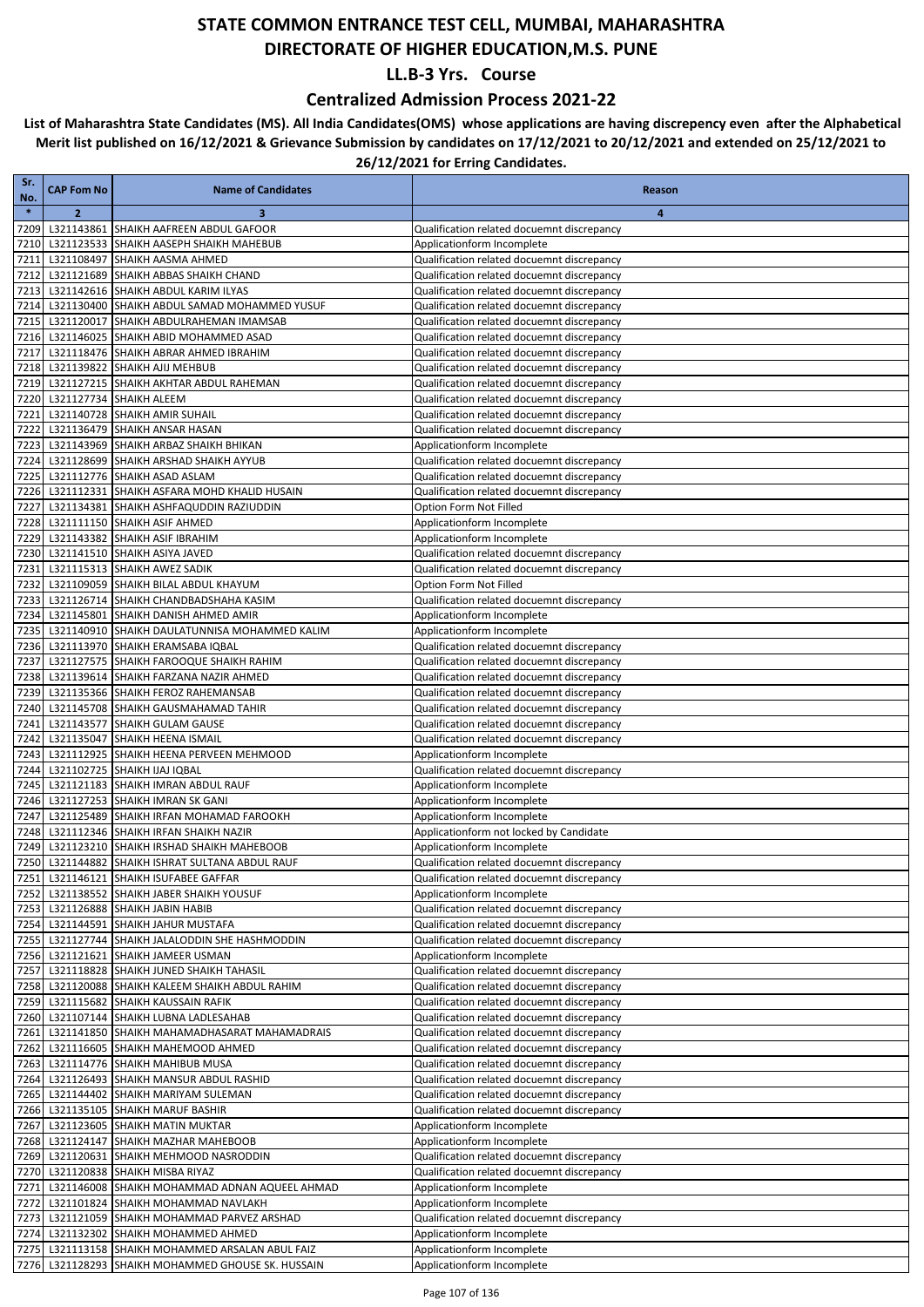### **Centralized Admission Process 2021-22**

| Sr.<br>No.   | <b>CAP Fom No</b> | <b>Name of Candidates</b>                                                               | Reason                                                                                   |
|--------------|-------------------|-----------------------------------------------------------------------------------------|------------------------------------------------------------------------------------------|
| $\ast$       | $\overline{2}$    | 3                                                                                       | $\overline{4}$                                                                           |
| 7209         |                   | L321143861 SHAIKH AAFREEN ABDUL GAFOOR                                                  | Qualification related docuemnt discrepancy                                               |
| 7210         |                   | L321123533 SHAIKH AASEPH SHAIKH MAHEBUB                                                 | Applicationform Incomplete                                                               |
| 7211         |                   | L321108497 SHAIKH AASMA AHMED                                                           | Qualification related docuemnt discrepancy                                               |
| 7212         |                   | L321121689 SHAIKH ABBAS SHAIKH CHAND                                                    | Qualification related docuemnt discrepancy                                               |
| 7213         |                   | L321142616 SHAIKH ABDUL KARIM ILYAS                                                     | Qualification related docuemnt discrepancy                                               |
| 7214         |                   | L321130400 SHAIKH ABDUL SAMAD MOHAMMED YUSUF<br>L321120017 SHAIKH ABDULRAHEMAN IMAMSAB  | Qualification related docuemnt discrepancy                                               |
| 7215<br>7216 |                   | L321146025 SHAIKH ABID MOHAMMED ASAD                                                    | Qualification related docuemnt discrepancy<br>Qualification related docuemnt discrepancy |
| 7217         |                   | L321118476 SHAIKH ABRAR AHMED IBRAHIM                                                   | Qualification related docuemnt discrepancy                                               |
| 7218         |                   | L321139822 SHAIKH AJIJ MEHBUB                                                           | Qualification related docuemnt discrepancy                                               |
| 7219         |                   | L321127215 SHAIKH AKHTAR ABDUL RAHEMAN                                                  | Qualification related docuemnt discrepancy                                               |
| 7220         |                   | L321127734 SHAIKH ALEEM                                                                 | Qualification related docuemnt discrepancy                                               |
| 7221         |                   | L321140728 SHAIKH AMIR SUHAIL                                                           | Qualification related docuemnt discrepancy                                               |
| 7222         |                   | L321136479 SHAIKH ANSAR HASAN                                                           | Qualification related docuemnt discrepancy                                               |
| 7223         |                   | L321143969 SHAIKH ARBAZ SHAIKH BHIKAN                                                   | Applicationform Incomplete                                                               |
| 7224         |                   | L321128699 SHAIKH ARSHAD SHAIKH AYYUB                                                   | Qualification related docuemnt discrepancy                                               |
| 7225         |                   | L321112776 SHAIKH ASAD ASLAM                                                            | Qualification related docuemnt discrepancy                                               |
| 7226         |                   | L321112331 SHAIKH ASFARA MOHD KHALID HUSAIN                                             | Qualification related docuemnt discrepancy<br>Option Form Not Filled                     |
| 7227<br>7228 |                   | L321134381 SHAIKH ASHFAQUDDIN RAZIUDDIN<br>L321111150 SHAIKH ASIF AHMED                 | Applicationform Incomplete                                                               |
| 7229         |                   | L321143382 SHAIKH ASIF IBRAHIM                                                          | Applicationform Incomplete                                                               |
| 7230         |                   | L321141510 SHAIKH ASIYA JAVED                                                           | Qualification related docuemnt discrepancy                                               |
| 7231         |                   | L321115313 SHAIKH AWEZ SADIK                                                            | Qualification related docuemnt discrepancy                                               |
| 7232         |                   | L321109059 SHAIKH BILAL ABDUL KHAYUM                                                    | Option Form Not Filled                                                                   |
| 7233         |                   | L321126714 SHAIKH CHANDBADSHAHA KASIM                                                   | Qualification related docuemnt discrepancy                                               |
| 7234         |                   | L321145801 SHAIKH DANISH AHMED AMIR                                                     | Applicationform Incomplete                                                               |
| 7235         |                   | L321140910 SHAIKH DAULATUNNISA MOHAMMED KALIM                                           | Applicationform Incomplete                                                               |
| 7236         |                   | L321113970 SHAIKH ERAMSABA IQBAL                                                        | Qualification related docuemnt discrepancy                                               |
| 7237         |                   | L321127575 SHAIKH FAROOQUE SHAIKH RAHIM                                                 | Qualification related docuemnt discrepancy                                               |
| 7238         |                   | L321139614 SHAIKH FARZANA NAZIR AHMED                                                   | Qualification related docuemnt discrepancy                                               |
| 7239<br>7240 |                   | L321135366 SHAIKH FEROZ RAHEMANSAB<br>L321145708 SHAIKH GAUSMAHAMAD TAHIR               | Qualification related docuemnt discrepancy<br>Qualification related docuemnt discrepancy |
| 7241         |                   | L321143577 SHAIKH GULAM GAUSE                                                           | Qualification related docuemnt discrepancy                                               |
| 7242         |                   | L321135047 SHAIKH HEENA ISMAIL                                                          | Qualification related docuemnt discrepancy                                               |
| 7243         |                   | L321112925 SHAIKH HEENA PERVEEN MEHMOOD                                                 | Applicationform Incomplete                                                               |
| 7244         |                   | L321102725 SHAIKH IJAJ IQBAL                                                            | Qualification related docuemnt discrepancy                                               |
| 7245         |                   | L321121183 SHAIKH IMRAN ABDUL RAUF                                                      | Applicationform Incomplete                                                               |
| 7246         |                   | L321127253 SHAIKH IMRAN SK GANI                                                         | Applicationform Incomplete                                                               |
| 7247         |                   | L321125489 SHAIKH IRFAN MOHAMAD FAROOKH                                                 | Applicationform Incomplete                                                               |
| 7248         |                   | L321112346 SHAIKH IRFAN SHAIKH NAZIR                                                    | Applicationform not locked by Candidate                                                  |
| 7249         |                   | L321123210 SHAIKH IRSHAD SHAIKH MAHEBOOB<br>L321144882 SHAIKH ISHRAT SULTANA ABDUL RAUF | Applicationform Incomplete<br>Qualification related docuemnt discrepancy                 |
| 7250         |                   | 7251 L321146121 SHAIKH ISUFABEE GAFFAR                                                  | Qualification related docuemnt discrepancy                                               |
|              |                   | 7252 L321138552 SHAIKH JABER SHAIKH YOUSUF                                              | Applicationform Incomplete                                                               |
|              |                   | 7253 L321126888 SHAIKH JABIN HABIB                                                      | Qualification related docuemnt discrepancy                                               |
|              |                   | 7254 L321144591 SHAIKH JAHUR MUSTAFA                                                    | Qualification related docuemnt discrepancy                                               |
|              |                   | 7255 L321127744 SHAIKH JALALODDIN SHE HASHMODDIN                                        | Qualification related docuemnt discrepancy                                               |
|              |                   | 7256 L321121621 SHAIKH JAMEER USMAN                                                     | Applicationform Incomplete                                                               |
| 7257         |                   | L321118828 SHAIKH JUNED SHAIKH TAHASIL                                                  | Qualification related docuemnt discrepancy                                               |
|              |                   | 7258 L321120088 SHAIKH KALEEM SHAIKH ABDUL RAHIM                                        | Qualification related docuemnt discrepancy                                               |
|              |                   | 7259 L321115682 SHAIKH KAUSSAIN RAFIK                                                   | Qualification related docuemnt discrepancy                                               |
|              |                   | 7260 L321107144 SHAIKH LUBNA LADLESAHAB                                                 | Qualification related docuemnt discrepancy                                               |
|              |                   | 7261 L321141850 SHAIKH MAHAMADHASARAT MAHAMADRAIS<br>L321116605 SHAIKH MAHEMOOD AHMED   | Qualification related docuemnt discrepancy<br>Qualification related docuemnt discrepancy |
| 7262         |                   | 7263 L321114776 SHAIKH MAHIBUB MUSA                                                     | Qualification related docuemnt discrepancy                                               |
|              |                   | 7264 L321126493 SHAIKH MANSUR ABDUL RASHID                                              | Qualification related docuemnt discrepancy                                               |
| 7265         |                   | L321144402 SHAIKH MARIYAM SULEMAN                                                       | Qualification related docuemnt discrepancy                                               |
|              |                   | 7266 L321135105 SHAIKH MARUF BASHIR                                                     | Qualification related docuemnt discrepancy                                               |
|              |                   | 7267 L321123605 SHAIKH MATIN MUKTAR                                                     | Applicationform Incomplete                                                               |
|              |                   | 7268 L321124147 SHAIKH MAZHAR MAHEBOOB                                                  | Applicationform Incomplete                                                               |
| 7269         |                   | L321120631 SHAIKH MEHMOOD NASRODDIN                                                     | Qualification related docuemnt discrepancy                                               |
|              |                   | 7270 L321120838 SHAIKH MISBA RIYAZ                                                      | Qualification related docuemnt discrepancy                                               |
| 7271         |                   | L321146008 SHAIKH MOHAMMAD ADNAN AQUEEL AHMAD                                           | Applicationform Incomplete                                                               |
| 7272         |                   | L321101824 SHAIKH MOHAMMAD NAVLAKH                                                      | Applicationform Incomplete                                                               |
|              |                   | 7273 L321121059 SHAIKH MOHAMMAD PARVEZ ARSHAD<br>7274 L321132302 SHAIKH MOHAMMED AHMED  | Qualification related docuemnt discrepancy<br>Applicationform Incomplete                 |
|              |                   | 7275 L321113158 SHAIKH MOHAMMED ARSALAN ABUL FAIZ                                       | Applicationform Incomplete                                                               |
|              |                   | 7276 L321128293 SHAIKH MOHAMMED GHOUSE SK. HUSSAIN                                      | Applicationform Incomplete                                                               |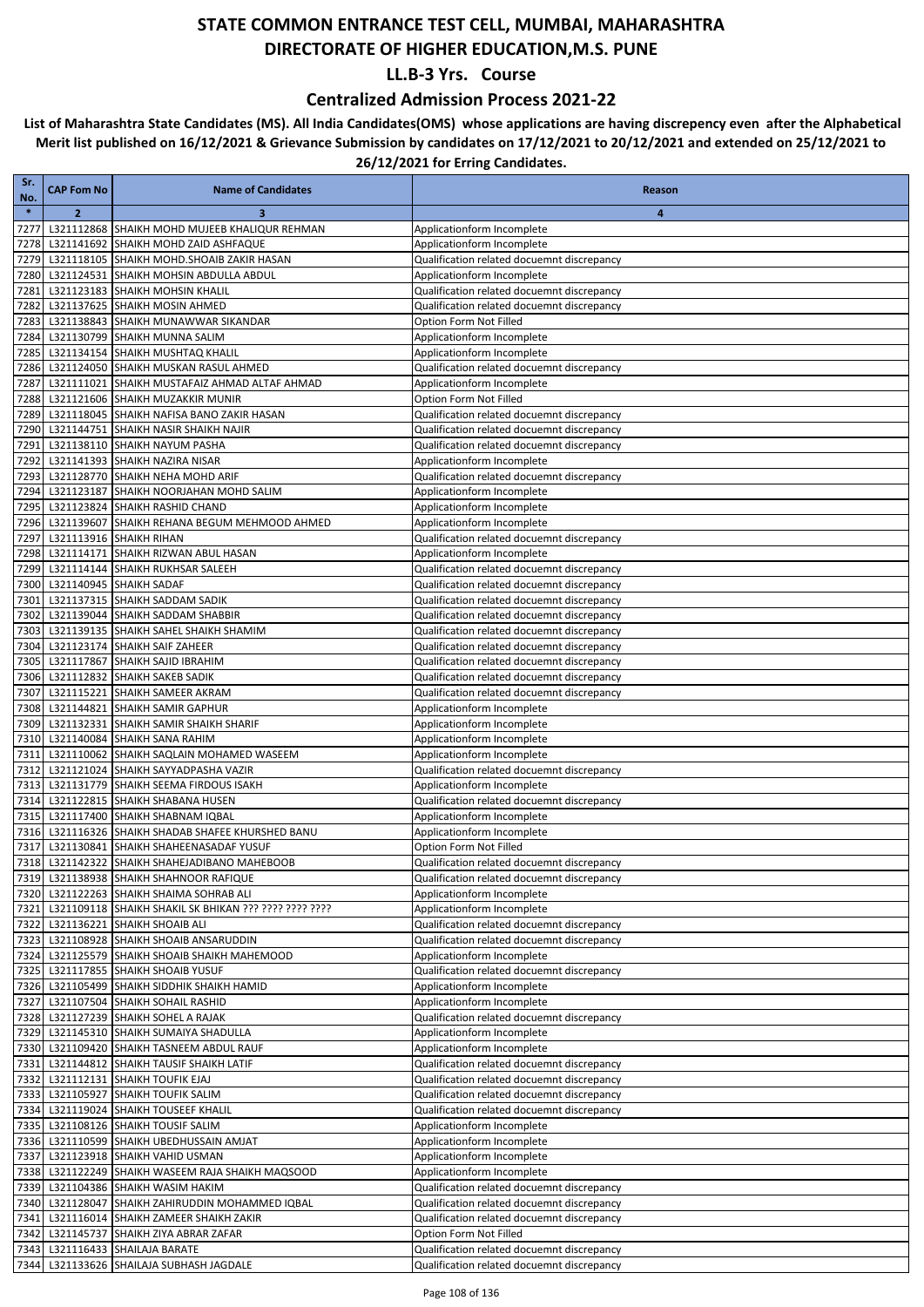### **Centralized Admission Process 2021-22**

| Sr.<br>No.   | <b>CAP Fom No</b> | <b>Name of Candidates</b>                                                     | Reason                                                                                   |
|--------------|-------------------|-------------------------------------------------------------------------------|------------------------------------------------------------------------------------------|
| $\ast$       | $\overline{2}$    | 3                                                                             | 4                                                                                        |
| 7277         |                   | L321112868 SHAIKH MOHD MUJEEB KHALIQUR REHMAN                                 | Applicationform Incomplete                                                               |
| 7278         |                   | L321141692 SHAIKH MOHD ZAID ASHFAQUE                                          | Applicationform Incomplete                                                               |
| 7279         |                   | L321118105 SHAIKH MOHD.SHOAIB ZAKIR HASAN                                     | Qualification related docuemnt discrepancy                                               |
| 7280         |                   | L321124531 SHAIKH MOHSIN ABDULLA ABDUL                                        | Applicationform Incomplete                                                               |
| 7281         |                   | L321123183 SHAIKH MOHSIN KHALIL                                               | Qualification related docuemnt discrepancy                                               |
| 7282         |                   | L321137625 SHAIKH MOSIN AHMED                                                 | Qualification related docuemnt discrepancy                                               |
| 7283         |                   | L321138843 SHAIKH MUNAWWAR SIKANDAR<br>L321130799 SHAIKH MUNNA SALIM          | Option Form Not Filled                                                                   |
| 7284<br>7285 |                   | L321134154 SHAIKH MUSHTAQ KHALIL                                              | Applicationform Incomplete<br>Applicationform Incomplete                                 |
| 7286         |                   | L321124050 SHAIKH MUSKAN RASUL AHMED                                          | Qualification related docuemnt discrepancy                                               |
| 7287         |                   | L321111021 SHAIKH MUSTAFAIZ AHMAD ALTAF AHMAD                                 | Applicationform Incomplete                                                               |
| 7288         |                   | L321121606 SHAIKH MUZAKKIR MUNIR                                              | Option Form Not Filled                                                                   |
| 7289         |                   | L321118045 SHAIKH NAFISA BANO ZAKIR HASAN                                     | Qualification related docuemnt discrepancy                                               |
| 7290         |                   | L321144751 SHAIKH NASIR SHAIKH NAJIR                                          | Qualification related docuemnt discrepancy                                               |
| 7291         |                   | L321138110 SHAIKH NAYUM PASHA                                                 | Qualification related docuemnt discrepancy                                               |
| 7292         |                   | L321141393 SHAIKH NAZIRA NISAR                                                | Applicationform Incomplete                                                               |
| 7293         |                   | L321128770 SHAIKH NEHA MOHD ARIF                                              | Qualification related docuemnt discrepancy                                               |
| 7294         |                   | L321123187 SHAIKH NOORJAHAN MOHD SALIM                                        | Applicationform Incomplete                                                               |
| 7295         |                   | L321123824 SHAIKH RASHID CHAND                                                | Applicationform Incomplete                                                               |
| 7296<br>7297 |                   | L321139607 SHAIKH REHANA BEGUM MEHMOOD AHMED<br>L321113916 SHAIKH RIHAN       | Applicationform Incomplete<br>Qualification related docuemnt discrepancy                 |
| 7298         |                   | L321114171 SHAIKH RIZWAN ABUL HASAN                                           | Applicationform Incomplete                                                               |
| 7299         |                   | L321114144 SHAIKH RUKHSAR SALEEH                                              | Qualification related docuemnt discrepancy                                               |
| 7300         |                   | L321140945 SHAIKH SADAF                                                       | Qualification related docuemnt discrepancy                                               |
| 7301         |                   | L321137315 SHAIKH SADDAM SADIK                                                | Qualification related docuemnt discrepancy                                               |
| 7302         |                   | L321139044 SHAIKH SADDAM SHABBIR                                              | Qualification related docuemnt discrepancy                                               |
| 7303         |                   | L321139135 SHAIKH SAHEL SHAIKH SHAMIM                                         | Qualification related docuemnt discrepancy                                               |
| 7304         |                   | L321123174 SHAIKH SAIF ZAHEER                                                 | Qualification related docuemnt discrepancy                                               |
| 7305         |                   | L321117867 SHAIKH SAJID IBRAHIM                                               | Qualification related docuemnt discrepancy                                               |
| 7306         |                   | L321112832 SHAIKH SAKEB SADIK                                                 | Qualification related docuemnt discrepancy                                               |
| 7307         |                   | L321115221 SHAIKH SAMEER AKRAM                                                | Qualification related docuemnt discrepancy                                               |
| 7308         |                   | L321144821 SHAIKH SAMIR GAPHUR                                                | Applicationform Incomplete                                                               |
| 7309<br>7310 |                   | L321132331 SHAIKH SAMIR SHAIKH SHARIF<br>L321140084 SHAIKH SANA RAHIM         | Applicationform Incomplete<br>Applicationform Incomplete                                 |
| 7311         |                   | L321110062 SHAIKH SAQLAIN MOHAMED WASEEM                                      | Applicationform Incomplete                                                               |
| 7312         |                   | L321121024 SHAIKH SAYYADPASHA VAZIR                                           | Qualification related docuemnt discrepancy                                               |
| 7313         |                   | L321131779 SHAIKH SEEMA FIRDOUS ISAKH                                         | Applicationform Incomplete                                                               |
| 7314         |                   | L321122815 SHAIKH SHABANA HUSEN                                               | Qualification related docuemnt discrepancy                                               |
| 7315         |                   | L321117400 SHAIKH SHABNAM IQBAL                                               | Applicationform Incomplete                                                               |
| 7316         |                   | L321116326 SHAIKH SHADAB SHAFEE KHURSHED BANU                                 | Applicationform Incomplete                                                               |
| 7317         |                   | L321130841 SHAIKH SHAHEENASADAF YUSUF                                         | Option Form Not Filled                                                                   |
| 7318         |                   | L321142322 SHAIKH SHAHEJADIBANO MAHEBOOB                                      | Qualification related docuemnt discrepancy                                               |
|              |                   | 7319 L321138938 SHAIKH SHAHNOOR RAFIQUE                                       | Qualification related docuemnt discrepancy                                               |
|              |                   | 7320 L321122263 SHAIKH SHAIMA SOHRAB ALI                                      | Applicationform Incomplete                                                               |
|              |                   | 7321 L321109118 SHAIKH SHAKIL SK BHIKAN ??? ???? ???? ????                    | Applicationform Incomplete                                                               |
|              |                   | 7322 L321136221 SHAIKH SHOAIB ALI<br>7323 L321108928 SHAIKH SHOAIB ANSARUDDIN | Qualification related docuemnt discrepancy<br>Qualification related docuemnt discrepancy |
|              |                   | 7324 L321125579 SHAIKH SHOAIB SHAIKH MAHEMOOD                                 | Applicationform Incomplete                                                               |
|              |                   | 7325 L321117855 SHAIKH SHOAIB YUSUF                                           | Qualification related docuemnt discrepancy                                               |
|              |                   | 7326 L321105499 SHAIKH SIDDHIK SHAIKH HAMID                                   | Applicationform Incomplete                                                               |
| 7327         |                   | L321107504 SHAIKH SOHAIL RASHID                                               | Applicationform Incomplete                                                               |
|              |                   | 7328 L321127239 SHAIKH SOHEL A RAJAK                                          | Qualification related docuemnt discrepancy                                               |
|              |                   | 7329 L321145310 SHAIKH SUMAIYA SHADULLA                                       | Applicationform Incomplete                                                               |
|              |                   | 7330 L321109420 SHAIKH TASNEEM ABDUL RAUF                                     | Applicationform Incomplete                                                               |
|              |                   | 7331 L321144812 SHAIKH TAUSIF SHAIKH LATIF                                    | Qualification related docuemnt discrepancy                                               |
|              |                   | 7332 L321112131 SHAIKH TOUFIK EJAJ                                            | Qualification related docuemnt discrepancy                                               |
|              |                   | 7333 L321105927 SHAIKH TOUFIK SALIM                                           | Qualification related docuemnt discrepancy                                               |
|              |                   | 7334 L321119024 SHAIKH TOUSEEF KHALIL<br>7335 L321108126 SHAIKH TOUSIF SALIM  | Qualification related docuemnt discrepancy<br>Applicationform Incomplete                 |
|              |                   | 7336 L321110599 SHAIKH UBEDHUSSAIN AMJAT                                      | Applicationform Incomplete                                                               |
|              |                   | 7337 L321123918 SHAIKH VAHID USMAN                                            | Applicationform Incomplete                                                               |
|              |                   | 7338 L321122249 SHAIKH WASEEM RAJA SHAIKH MAQSOOD                             | Applicationform Incomplete                                                               |
|              |                   | 7339 L321104386 SHAIKH WASIM HAKIM                                            | Qualification related docuemnt discrepancy                                               |
|              |                   | 7340 L321128047 SHAIKH ZAHIRUDDIN MOHAMMED IQBAL                              | Qualification related docuemnt discrepancy                                               |
|              |                   | 7341 L321116014 SHAIKH ZAMEER SHAIKH ZAKIR                                    | Qualification related docuemnt discrepancy                                               |
|              |                   | 7342 L321145737 SHAIKH ZIYA ABRAR ZAFAR                                       | Option Form Not Filled                                                                   |
|              |                   | 7343 L321116433 SHAILAJA BARATE                                               | Qualification related docuemnt discrepancy                                               |
|              |                   | 7344 L321133626 SHAILAJA SUBHASH JAGDALE                                      | Qualification related docuemnt discrepancy                                               |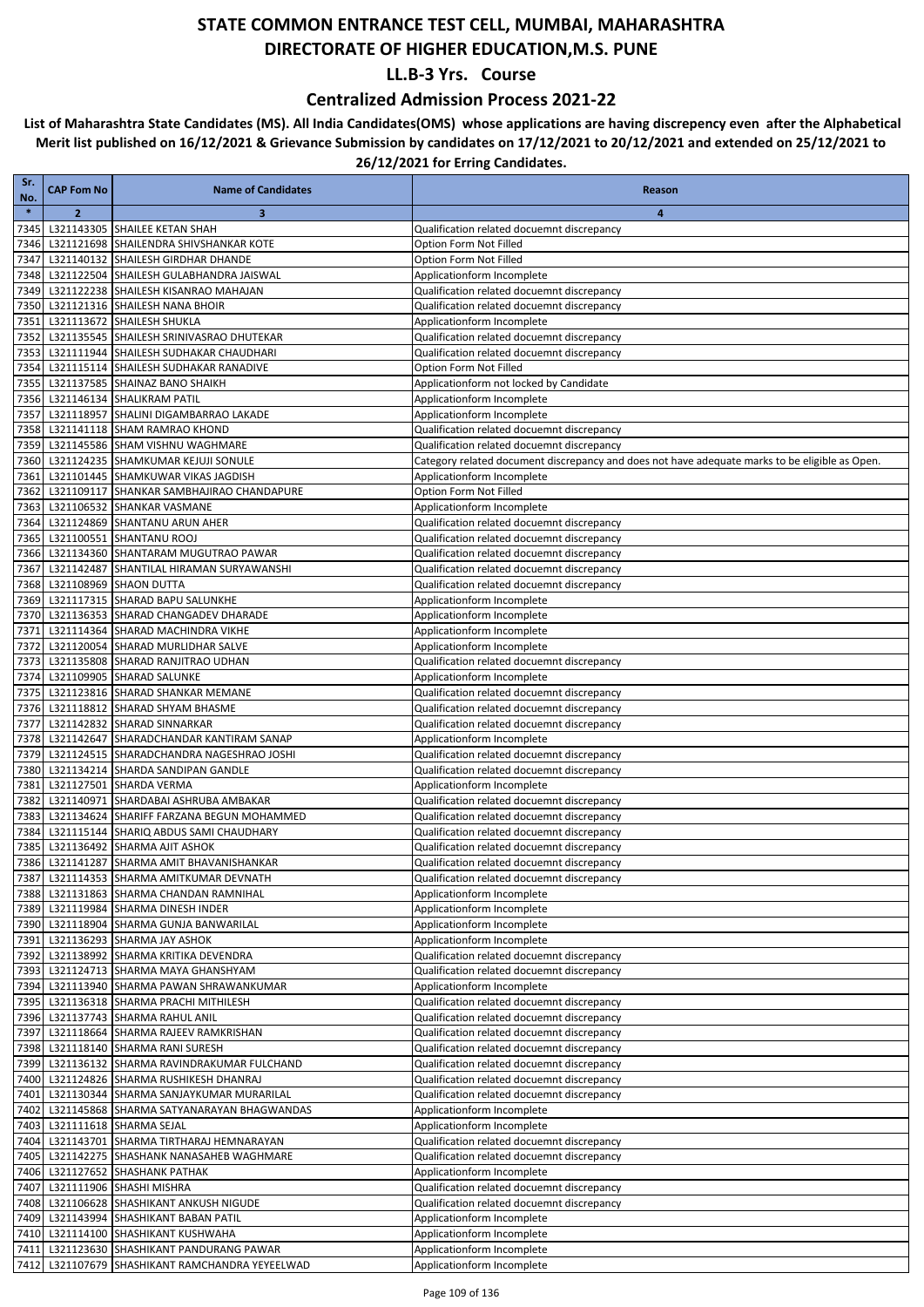### **Centralized Admission Process 2021-22**

| Sr.<br>No.   | <b>CAP Fom No</b> | <b>Name of Candidates</b>                                                            | Reason                                                                                         |
|--------------|-------------------|--------------------------------------------------------------------------------------|------------------------------------------------------------------------------------------------|
| $\ast$       | $\overline{2}$    | $\overline{\mathbf{3}}$                                                              | 4                                                                                              |
| 7345         |                   | L321143305 SHAILEE KETAN SHAH                                                        | Qualification related docuemnt discrepancy                                                     |
| 7346         |                   | L321121698 SHAILENDRA SHIVSHANKAR KOTE                                               | Option Form Not Filled                                                                         |
| 7347         |                   | L321140132 SHAILESH GIRDHAR DHANDE                                                   | Option Form Not Filled                                                                         |
| 7348         |                   | L321122504 SHAILESH GULABHANDRA JAISWAL                                              | Applicationform Incomplete                                                                     |
| 7349         |                   | L321122238 SHAILESH KISANRAO MAHAJAN                                                 | Qualification related docuemnt discrepancy                                                     |
| 7350         |                   | L321121316 SHAILESH NANA BHOIR                                                       | Qualification related docuemnt discrepancy                                                     |
| 7351         |                   | L321113672 SHAILESH SHUKLA                                                           | Applicationform Incomplete                                                                     |
| 7352         |                   | L321135545 SHAILESH SRINIVASRAO DHUTEKAR<br>L321111944 SHAILESH SUDHAKAR CHAUDHARI   | Qualification related docuemnt discrepancy                                                     |
| 7353<br>7354 |                   | L321115114 SHAILESH SUDHAKAR RANADIVE                                                | Qualification related docuemnt discrepancy<br>Option Form Not Filled                           |
| 7355         |                   | L321137585 SHAINAZ BANO SHAIKH                                                       | Applicationform not locked by Candidate                                                        |
|              |                   | 7356 L321146134 SHALIKRAM PATIL                                                      | Applicationform Incomplete                                                                     |
| 7357         |                   | L321118957 SHALINI DIGAMBARRAO LAKADE                                                | Applicationform Incomplete                                                                     |
| 7358         |                   | L321141118 SHAM RAMRAO KHOND                                                         | Qualification related docuemnt discrepancy                                                     |
| 7359         |                   | L321145586 SHAM VISHNU WAGHMARE                                                      | Qualification related docuemnt discrepancy                                                     |
| 7360         |                   | L321124235 SHAMKUMAR KEJUJI SONULE                                                   | Category related document discrepancy and does not have adequate marks to be eligible as Open. |
| 7361         |                   | L321101445 SHAMKUWAR VIKAS JAGDISH                                                   | Applicationform Incomplete                                                                     |
| 7362         |                   | L321109117 SHANKAR SAMBHAJIRAO CHANDAPURE                                            | Option Form Not Filled                                                                         |
| 7363         |                   | L321106532 SHANKAR VASMANE                                                           | Applicationform Incomplete                                                                     |
| 7364         |                   | L321124869 SHANTANU ARUN AHER                                                        | Qualification related docuemnt discrepancy                                                     |
| 7365         |                   | L321100551 SHANTANU ROOJ<br>L321134360 SHANTARAM MUGUTRAO PAWAR                      | Qualification related docuemnt discrepancy<br>Qualification related docuemnt discrepancy       |
| 7366<br>7367 |                   | L321142487 SHANTILAL HIRAMAN SURYAWANSHI                                             | Qualification related docuemnt discrepancy                                                     |
| 7368         |                   | L321108969 SHAON DUTTA                                                               | Qualification related docuemnt discrepancy                                                     |
| 7369         |                   | L321117315 SHARAD BAPU SALUNKHE                                                      | Applicationform Incomplete                                                                     |
| 7370         |                   | L321136353 SHARAD CHANGADEV DHARADE                                                  | Applicationform Incomplete                                                                     |
| 7371         |                   | L321114364 SHARAD MACHINDRA VIKHE                                                    | Applicationform Incomplete                                                                     |
| 7372         |                   | L321120054 SHARAD MURLIDHAR SALVE                                                    | Applicationform Incomplete                                                                     |
| 7373         |                   | L321135808 SHARAD RANJITRAO UDHAN                                                    | Qualification related docuemnt discrepancy                                                     |
| 7374         |                   | L321109905 SHARAD SALUNKE                                                            | Applicationform Incomplete                                                                     |
| 7375         |                   | L321123816 SHARAD SHANKAR MEMANE                                                     | Qualification related docuemnt discrepancy                                                     |
| 7376         |                   | L321118812 SHARAD SHYAM BHASME                                                       | Qualification related docuemnt discrepancy                                                     |
| 7377         |                   | L321142832 SHARAD SINNARKAR                                                          | Qualification related docuemnt discrepancy                                                     |
| 7378<br>7379 |                   | L321142647 SHARADCHANDAR KANTIRAM SANAP<br>L321124515 SHARADCHANDRA NAGESHRAO JOSHI  | Applicationform Incomplete<br>Qualification related docuemnt discrepancy                       |
| 7380         |                   | L321134214 SHARDA SANDIPAN GANDLE                                                    | Qualification related docuemnt discrepancy                                                     |
| 7381         |                   | L321127501 SHARDA VERMA                                                              | Applicationform Incomplete                                                                     |
| 7382         |                   | L321140971 SHARDABAI ASHRUBA AMBAKAR                                                 | Qualification related docuemnt discrepancy                                                     |
| 7383         |                   | L321134624 SHARIFF FARZANA BEGUN MOHAMMED                                            | Qualification related docuemnt discrepancy                                                     |
| 7384         |                   | L321115144 SHARIQ ABDUS SAMI CHAUDHARY                                               | Qualification related docuemnt discrepancy                                                     |
| 7385         |                   | L321136492 SHARMA AJIT ASHOK                                                         | Qualification related docuemnt discrepancy                                                     |
| 7386         |                   | L321141287 SHARMA AMIT BHAVANISHANKAR                                                | Qualification related docuemnt discrepancy                                                     |
|              |                   | 7387 L321114353 SHARMA AMITKUMAR DEVNATH                                             | Qualification related docuemnt discrepancy                                                     |
|              |                   | 7388 L321131863 SHARMA CHANDAN RAMNIHAL                                              | Applicationform Incomplete                                                                     |
|              |                   | 7389 L321119984 SHARMA DINESH INDER                                                  | Applicationform Incomplete                                                                     |
| 7391         |                   | 7390 L321118904 SHARMA GUNJA BANWARILAL<br>L321136293 SHARMA JAY ASHOK               | Applicationform Incomplete<br>Applicationform Incomplete                                       |
| 7392         |                   | L321138992 SHARMA KRITIKA DEVENDRA                                                   | Qualification related docuemnt discrepancy                                                     |
| 7393         |                   | L321124713 SHARMA MAYA GHANSHYAM                                                     | Qualification related docuemnt discrepancy                                                     |
|              |                   | 7394 L321113940 SHARMA PAWAN SHRAWANKUMAR                                            | Applicationform Incomplete                                                                     |
|              |                   | 7395 L321136318 SHARMA PRACHI MITHILESH                                              | Qualification related docuemnt discrepancy                                                     |
|              |                   | 7396 L321137743 SHARMA RAHUL ANIL                                                    | Qualification related docuemnt discrepancy                                                     |
|              |                   | 7397 L321118664 SHARMA RAJEEV RAMKRISHAN                                             | Qualification related docuemnt discrepancy                                                     |
|              |                   | 7398 L321118140 SHARMA RANI SURESH                                                   | Qualification related docuemnt discrepancy                                                     |
|              |                   | 7399 L321136132 SHARMA RAVINDRAKUMAR FULCHAND                                        | Qualification related docuemnt discrepancy                                                     |
|              |                   | 7400 L321124826 SHARMA RUSHIKESH DHANRAJ                                             | Qualification related docuemnt discrepancy                                                     |
| 7401<br>7402 |                   | L321130344 SHARMA SANJAYKUMAR MURARILAL<br>L321145868 SHARMA SATYANARAYAN BHAGWANDAS | Qualification related docuemnt discrepancy<br>Applicationform Incomplete                       |
|              |                   | 7403 L321111618 SHARMA SEJAL                                                         | Applicationform Incomplete                                                                     |
|              |                   | 7404 L321143701 SHARMA TIRTHARAJ HEMNARAYAN                                          | Qualification related docuemnt discrepancy                                                     |
|              |                   | 7405 L321142275 SHASHANK NANASAHEB WAGHMARE                                          | Qualification related docuemnt discrepancy                                                     |
|              |                   | 7406 L321127652 SHASHANK PATHAK                                                      | Applicationform Incomplete                                                                     |
|              |                   | 7407 L321111906 SHASHI MISHRA                                                        | Qualification related docuemnt discrepancy                                                     |
|              |                   | 7408 L321106628 SHASHIKANT ANKUSH NIGUDE                                             | Qualification related docuemnt discrepancy                                                     |
|              |                   | 7409 L321143994 SHASHIKANT BABAN PATIL                                               | Applicationform Incomplete                                                                     |
|              |                   | 7410 L321114100 SHASHIKANT KUSHWAHA                                                  | Applicationform Incomplete                                                                     |
|              |                   | 7411 L321123630 SHASHIKANT PANDURANG PAWAR                                           | Applicationform Incomplete                                                                     |
|              |                   | 7412 L321107679 SHASHIKANT RAMCHANDRA YEYEELWAD                                      | Applicationform Incomplete                                                                     |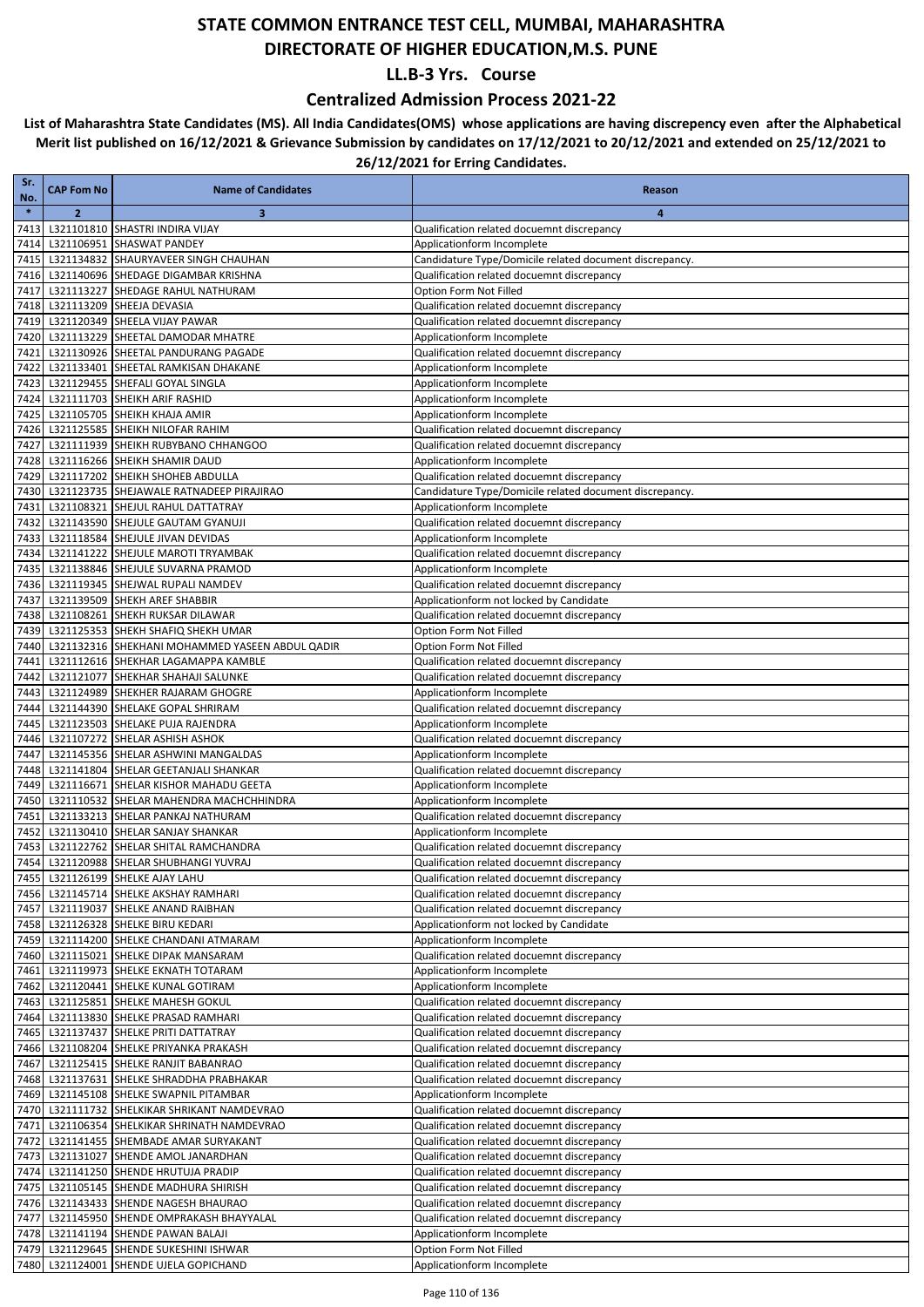### **Centralized Admission Process 2021-22**

| Sr.<br>No.   | <b>CAP Fom No</b> | <b>Name of Candidates</b>                                                 | Reason                                                                                   |
|--------------|-------------------|---------------------------------------------------------------------------|------------------------------------------------------------------------------------------|
| $\ast$       | $\overline{2}$    | 3                                                                         | 4                                                                                        |
| 7413         |                   | L321101810 SHASTRI INDIRA VIJAY                                           | Qualification related docuemnt discrepancy                                               |
| 7414         |                   | L321106951 SHASWAT PANDEY                                                 | Applicationform Incomplete                                                               |
| 7415         |                   | L321134832 SHAURYAVEER SINGH CHAUHAN                                      | Candidature Type/Domicile related document discrepancy.                                  |
| 7416<br>7417 |                   | L321140696 SHEDAGE DIGAMBAR KRISHNA<br>L321113227 SHEDAGE RAHUL NATHURAM  | Qualification related docuemnt discrepancy<br>Option Form Not Filled                     |
| 7418         |                   | L321113209 SHEEJA DEVASIA                                                 | Qualification related docuemnt discrepancy                                               |
| 7419         |                   | L321120349 SHEELA VIJAY PAWAR                                             | Qualification related docuemnt discrepancy                                               |
| 7420         |                   | L321113229 SHEETAL DAMODAR MHATRE                                         | Applicationform Incomplete                                                               |
| 7421         |                   | L321130926 SHEETAL PANDURANG PAGADE                                       | Qualification related docuemnt discrepancy                                               |
| 7422         |                   | L321133401 SHEETAL RAMKISAN DHAKANE                                       | Applicationform Incomplete                                                               |
| 7423         |                   | L321129455 SHEFALI GOYAL SINGLA                                           | Applicationform Incomplete                                                               |
| 7424         |                   | L321111703 SHEIKH ARIF RASHID                                             | Applicationform Incomplete                                                               |
| 7425<br>7426 |                   | L321105705 SHEIKH KHAJA AMIR<br>L321125585 SHEIKH NILOFAR RAHIM           | Applicationform Incomplete<br>Qualification related docuemnt discrepancy                 |
| 7427         |                   | L321111939 SHEIKH RUBYBANO CHHANGOO                                       | Qualification related docuemnt discrepancy                                               |
| 7428         |                   | L321116266 SHEIKH SHAMIR DAUD                                             | Applicationform Incomplete                                                               |
| 7429         |                   | L321117202 SHEIKH SHOHEB ABDULLA                                          | Qualification related docuemnt discrepancy                                               |
| 7430         |                   | L321123735 SHEJAWALE RATNADEEP PIRAJIRAO                                  | Candidature Type/Domicile related document discrepancy.                                  |
| 7431         |                   | L321108321 SHEJUL RAHUL DATTATRAY                                         | Applicationform Incomplete                                                               |
| 7432         |                   | L321143590 SHEJULE GAUTAM GYANUJI                                         | Qualification related docuemnt discrepancy                                               |
| 7433         |                   | L321118584 SHEJULE JIVAN DEVIDAS                                          | Applicationform Incomplete                                                               |
| 7434         |                   | L321141222 SHEJULE MAROTI TRYAMBAK                                        | Qualification related docuemnt discrepancy                                               |
| 7435<br>7436 |                   | L321138846 SHEJULE SUVARNA PRAMOD<br>L321119345 SHEJWAL RUPALI NAMDEV     | Applicationform Incomplete<br>Qualification related docuemnt discrepancy                 |
| 7437         |                   | L321139509 SHEKH AREF SHABBIR                                             | Applicationform not locked by Candidate                                                  |
| 7438         |                   | L321108261 SHEKH RUKSAR DILAWAR                                           | Qualification related docuemnt discrepancy                                               |
| 7439         |                   | L321125353 SHEKH SHAFIQ SHEKH UMAR                                        | Option Form Not Filled                                                                   |
| 7440         |                   | L321132316 SHEKHANI MOHAMMED YASEEN ABDUL QADIR                           | Option Form Not Filled                                                                   |
| 7441         |                   | L321112616 SHEKHAR LAGAMAPPA KAMBLE                                       | Qualification related docuemnt discrepancy                                               |
| 7442         |                   | L321121077 SHEKHAR SHAHAJI SALUNKE                                        | Qualification related docuemnt discrepancy                                               |
| 7443         |                   | L321124989 SHEKHER RAJARAM GHOGRE                                         | Applicationform Incomplete                                                               |
| 7444<br>7445 |                   | L321144390 SHELAKE GOPAL SHRIRAM<br>L321123503 SHELAKE PUJA RAJENDRA      | Qualification related docuemnt discrepancy<br>Applicationform Incomplete                 |
| 7446         |                   | L321107272 SHELAR ASHISH ASHOK                                            | Qualification related docuemnt discrepancy                                               |
| 7447         |                   | L321145356 SHELAR ASHWINI MANGALDAS                                       | Applicationform Incomplete                                                               |
| 7448         |                   | L321141804 SHELAR GEETANJALI SHANKAR                                      | Qualification related docuemnt discrepancy                                               |
| 7449         |                   | L321116671 SHELAR KISHOR MAHADU GEETA                                     | Applicationform Incomplete                                                               |
| 7450         |                   | L321110532 SHELAR MAHENDRA MACHCHHINDRA                                   | Applicationform Incomplete                                                               |
| 7451         |                   | L321133213 SHELAR PANKAJ NATHURAM                                         | Qualification related docuemnt discrepancy                                               |
| 7452         |                   | L321130410 SHELAR SANJAY SHANKAR                                          | Applicationform Incomplete                                                               |
| 7453<br>7454 |                   | L321122762 SHELAR SHITAL RAMCHANDRA<br>L321120988 SHELAR SHUBHANGI YUVRAJ | Qualification related docuemnt discrepancy<br>Qualification related docuemnt discrepancy |
|              |                   | 7455 L321126199 SHELKE AJAY LAHU                                          | Qualification related docuemnt discrepancy                                               |
|              |                   | 7456 L321145714 SHELKE AKSHAY RAMHARI                                     | Qualification related docuemnt discrepancy                                               |
|              |                   | 7457 L321119037 SHELKE ANAND RAIBHAN                                      | Qualification related docuemnt discrepancy                                               |
|              |                   | 7458 L321126328 SHELKE BIRU KEDARI                                        | Applicationform not locked by Candidate                                                  |
|              |                   | 7459 L321114200 SHELKE CHANDANI ATMARAM                                   | Applicationform Incomplete                                                               |
|              |                   | 7460 L321115021 SHELKE DIPAK MANSARAM                                     | Qualification related docuemnt discrepancy                                               |
|              |                   | 7461 L321119973 SHELKE EKNATH TOTARAM                                     | Applicationform Incomplete                                                               |
|              |                   | 7462 L321120441 SHELKE KUNAL GOTIRAM                                      | Applicationform Incomplete                                                               |
| 7463         |                   | L321125851 SHELKE MAHESH GOKUL<br>7464 L321113830 SHELKE PRASAD RAMHARI   | Qualification related docuemnt discrepancy<br>Qualification related docuemnt discrepancy |
| 7465         |                   | L321137437 SHELKE PRITI DATTATRAY                                         | Qualification related docuemnt discrepancy                                               |
|              |                   | 7466 L321108204 SHELKE PRIYANKA PRAKASH                                   | Qualification related docuemnt discrepancy                                               |
| 7467         |                   | L321125415 SHELKE RANJIT BABANRAO                                         | Qualification related docuemnt discrepancy                                               |
|              |                   | 7468 L321137631 SHELKE SHRADDHA PRABHAKAR                                 | Qualification related docuemnt discrepancy                                               |
|              |                   | 7469 L321145108 SHELKE SWAPNIL PITAMBAR                                   | Applicationform Incomplete                                                               |
|              |                   | 7470 L321111732 SHELKIKAR SHRIKANT NAMDEVRAO                              | Qualification related docuemnt discrepancy                                               |
|              |                   | 7471 L321106354 SHELKIKAR SHRINATH NAMDEVRAO                              | Qualification related docuemnt discrepancy                                               |
| 7472         |                   | L321141455 SHEMBADE AMAR SURYAKANT                                        | Qualification related docuemnt discrepancy                                               |
| 7473         |                   | L321131027 SHENDE AMOL JANARDHAN<br>7474 L321141250 SHENDE HRUTUJA PRADIP | Qualification related docuemnt discrepancy<br>Qualification related docuemnt discrepancy |
| 7475         |                   | L321105145 SHENDE MADHURA SHIRISH                                         | Qualification related docuemnt discrepancy                                               |
|              |                   | 7476 L321143433 SHENDE NAGESH BHAURAO                                     | Qualification related docuemnt discrepancy                                               |
|              |                   | 7477 L321145950 SHENDE OMPRAKASH BHAYYALAL                                | Qualification related docuemnt discrepancy                                               |
|              |                   | 7478 L321141194 SHENDE PAWAN BALAJI                                       | Applicationform Incomplete                                                               |
|              |                   | 7479 L321129645 SHENDE SUKESHINI ISHWAR                                   | Option Form Not Filled                                                                   |
|              |                   | 7480 L321124001 SHENDE UJELA GOPICHAND                                    | Applicationform Incomplete                                                               |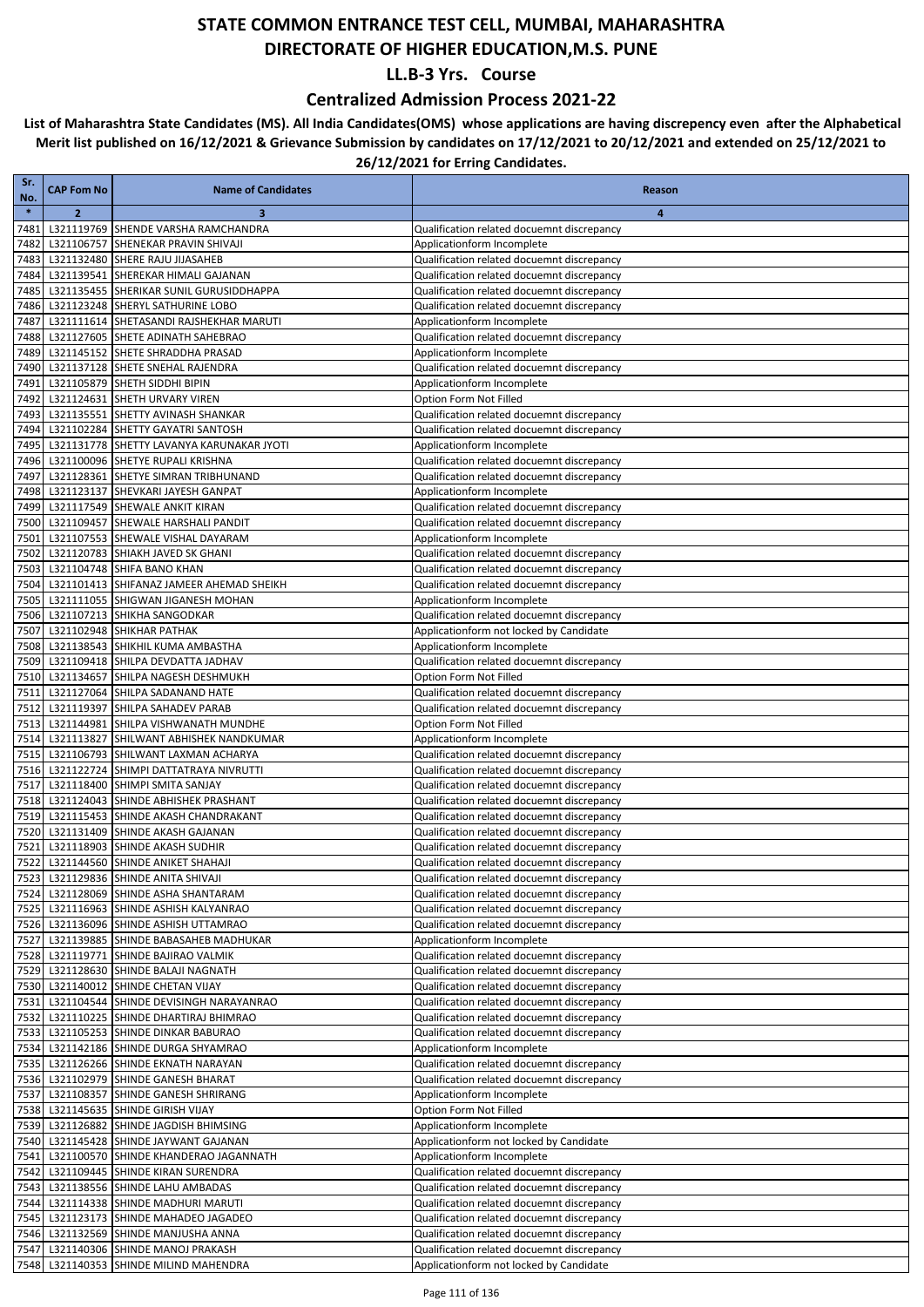### **Centralized Admission Process 2021-22**

| Sr.<br>No.   | <b>CAP Fom No</b> | <b>Name of Candidates</b>                                                           | Reason                                                                   |
|--------------|-------------------|-------------------------------------------------------------------------------------|--------------------------------------------------------------------------|
| $\ast$       | $\overline{2}$    | 3                                                                                   | 4                                                                        |
| 7481         |                   | L321119769 SHENDE VARSHA RAMCHANDRA                                                 | Qualification related docuemnt discrepancy                               |
| 7482         |                   | L321106757 SHENEKAR PRAVIN SHIVAJI                                                  | Applicationform Incomplete                                               |
| 7483         |                   | L321132480 SHERE RAJU JIJASAHEB                                                     | Qualification related docuemnt discrepancy                               |
| 7484         |                   | L321139541 SHEREKAR HIMALI GAJANAN                                                  | Qualification related docuemnt discrepancy                               |
| 7485         |                   | L321135455 SHERIKAR SUNIL GURUSIDDHAPPA                                             | Qualification related docuemnt discrepancy                               |
| 7486<br>7487 |                   | L321123248 SHERYL SATHURINE LOBO<br>L321111614 SHETASANDI RAJSHEKHAR MARUTI         | Qualification related docuemnt discrepancy<br>Applicationform Incomplete |
| 7488         |                   | L321127605 SHETE ADINATH SAHEBRAO                                                   | Qualification related docuemnt discrepancy                               |
| 7489         |                   | L321145152 SHETE SHRADDHA PRASAD                                                    | Applicationform Incomplete                                               |
| 7490         |                   | L321137128 SHETE SNEHAL RAJENDRA                                                    | Qualification related docuemnt discrepancy                               |
| 7491         |                   | L321105879 SHETH SIDDHI BIPIN                                                       | Applicationform Incomplete                                               |
| 7492         |                   | L321124631 SHETH URVARY VIREN                                                       | Option Form Not Filled                                                   |
| 7493         |                   | L321135551 SHETTY AVINASH SHANKAR                                                   | Qualification related docuemnt discrepancy                               |
| 7494         |                   | L321102284 SHETTY GAYATRI SANTOSH                                                   | Qualification related docuemnt discrepancy                               |
| 7495         |                   | L321131778 SHETTY LAVANYA KARUNAKAR JYOTI                                           | Applicationform Incomplete                                               |
| 7496         |                   | L321100096 SHETYE RUPALI KRISHNA                                                    | Qualification related docuemnt discrepancy                               |
| 7497         |                   | L321128361 SHETYE SIMRAN TRIBHUNAND                                                 | Qualification related docuemnt discrepancy                               |
| 7498         |                   | L321123137 SHEVKARI JAYESH GANPAT                                                   | Applicationform Incomplete                                               |
| 7499         |                   | L321117549 SHEWALE ANKIT KIRAN<br>L321109457 SHEWALE HARSHALI PANDIT                | Qualification related docuemnt discrepancy                               |
| 7500         |                   |                                                                                     | Qualification related docuemnt discrepancy                               |
| 7501<br>7502 |                   | L321107553 SHEWALE VISHAL DAYARAM<br>L321120783 SHIAKH JAVED SK GHANI               | Applicationform Incomplete<br>Qualification related docuemnt discrepancy |
| 7503         |                   | L321104748 SHIFA BANO KHAN                                                          | Qualification related docuemnt discrepancy                               |
| 7504         |                   | L321101413 SHIFANAZ JAMEER AHEMAD SHEIKH                                            | Qualification related docuemnt discrepancy                               |
| 7505         |                   | L321111055 SHIGWAN JIGANESH MOHAN                                                   | Applicationform Incomplete                                               |
| 7506         |                   | L321107213 SHIKHA SANGODKAR                                                         | Qualification related docuemnt discrepancy                               |
| 7507         |                   | L321102948 SHIKHAR PATHAK                                                           | Applicationform not locked by Candidate                                  |
| 7508         |                   | L321138543 SHIKHIL KUMA AMBASTHA                                                    | Applicationform Incomplete                                               |
| 7509         |                   | L321109418 SHILPA DEVDATTA JADHAV                                                   | Qualification related docuemnt discrepancy                               |
| 7510         |                   | L321134657 SHILPA NAGESH DESHMUKH                                                   | Option Form Not Filled                                                   |
| 7511         |                   | L321127064 SHILPA SADANAND HATE                                                     | Qualification related docuemnt discrepancy                               |
| 7512         |                   | L321119397 SHILPA SAHADEV PARAB                                                     | Qualification related docuemnt discrepancy                               |
| 7513<br>7514 |                   | L321144981 SHILPA VISHWANATH MUNDHE<br>L321113827 SHILWANT ABHISHEK NANDKUMAR       | Option Form Not Filled                                                   |
| 7515         |                   | L321106793 SHILWANT LAXMAN ACHARYA                                                  | Applicationform Incomplete<br>Qualification related docuemnt discrepancy |
| 7516         |                   | L321122724 SHIMPI DATTATRAYA NIVRUTTI                                               | Qualification related docuemnt discrepancy                               |
| 7517         |                   | L321118400 SHIMPI SMITA SANJAY                                                      | Qualification related docuemnt discrepancy                               |
| 7518         |                   | L321124043 SHINDE ABHISHEK PRASHANT                                                 | Qualification related docuemnt discrepancy                               |
| 7519         |                   | L321115453 SHINDE AKASH CHANDRAKANT                                                 | Qualification related docuemnt discrepancy                               |
| 7520         |                   | L321131409 SHINDE AKASH GAJANAN                                                     | Qualification related docuemnt discrepancy                               |
| 7521         |                   | L321118903 SHINDE AKASH SUDHIR                                                      | Qualification related docuemnt discrepancy                               |
| 7522         |                   | L321144560 SHINDE ANIKET SHAHAJI                                                    | Qualification related docuemnt discrepancy                               |
|              |                   | 7523 L321129836 SHINDE ANITA SHIVAJI                                                | Qualification related docuemnt discrepancy                               |
|              |                   | 7524 L321128069 SHINDE ASHA SHANTARAM                                               | Qualification related docuemnt discrepancy                               |
|              |                   | 7525 L321116963 SHINDE ASHISH KALYANRAO                                             | Qualification related docuemnt discrepancy                               |
|              |                   | 7526 L321136096 SHINDE ASHISH UTTAMRAO<br>7527 L321139885 SHINDE BABASAHEB MADHUKAR | Qualification related docuemnt discrepancy<br>Applicationform Incomplete |
| 7528         |                   | L321119771 SHINDE BAJIRAO VALMIK                                                    | Qualification related docuemnt discrepancy                               |
|              |                   | 7529 L321128630 SHINDE BALAJI NAGNATH                                               | Qualification related docuemnt discrepancy                               |
|              |                   | 7530 L321140012 SHINDE CHETAN VIJAY                                                 | Qualification related docuemnt discrepancy                               |
| 7531         |                   | L321104544 SHINDE DEVISINGH NARAYANRAO                                              | Qualification related docuemnt discrepancy                               |
| 7532         |                   | L321110225 SHINDE DHARTIRAJ BHIMRAO                                                 | Qualification related docuemnt discrepancy                               |
|              |                   | 7533 L321105253 SHINDE DINKAR BABURAO                                               | Qualification related docuemnt discrepancy                               |
|              |                   | 7534 L321142186 SHINDE DURGA SHYAMRAO                                               | Applicationform Incomplete                                               |
|              |                   | 7535 L321126266 SHINDE EKNATH NARAYAN                                               | Qualification related docuemnt discrepancy                               |
|              |                   | 7536 L321102979 SHINDE GANESH BHARAT                                                | Qualification related docuemnt discrepancy                               |
| 7537         |                   | L321108357 SHINDE GANESH SHRIRANG                                                   | Applicationform Incomplete                                               |
|              |                   | 7538 L321145635 SHINDE GIRISH VIJAY                                                 | Option Form Not Filled                                                   |
|              |                   | 7539 L321126882 SHINDE JAGDISH BHIMSING<br>7540 L321145428 SHINDE JAYWANT GAJANAN   | Applicationform Incomplete<br>Applicationform not locked by Candidate    |
|              |                   | 7541 L321100570 SHINDE KHANDERAO JAGANNATH                                          | Applicationform Incomplete                                               |
|              |                   | 7542 L321109445 SHINDE KIRAN SURENDRA                                               | Qualification related docuemnt discrepancy                               |
|              |                   | 7543 L321138556 SHINDE LAHU AMBADAS                                                 | Qualification related docuemnt discrepancy                               |
|              |                   | 7544 L321114338 SHINDE MADHURI MARUTI                                               | Qualification related docuemnt discrepancy                               |
|              |                   | 7545 L321123173 SHINDE MAHADEO JAGADEO                                              | Qualification related docuemnt discrepancy                               |
|              |                   | 7546 L321132569 SHINDE MANJUSHA ANNA                                                | Qualification related docuemnt discrepancy                               |
|              |                   | 7547 L321140306 SHINDE MANOJ PRAKASH                                                | Qualification related docuemnt discrepancy                               |
|              |                   | 7548 L321140353 SHINDE MILIND MAHENDRA                                              | Applicationform not locked by Candidate                                  |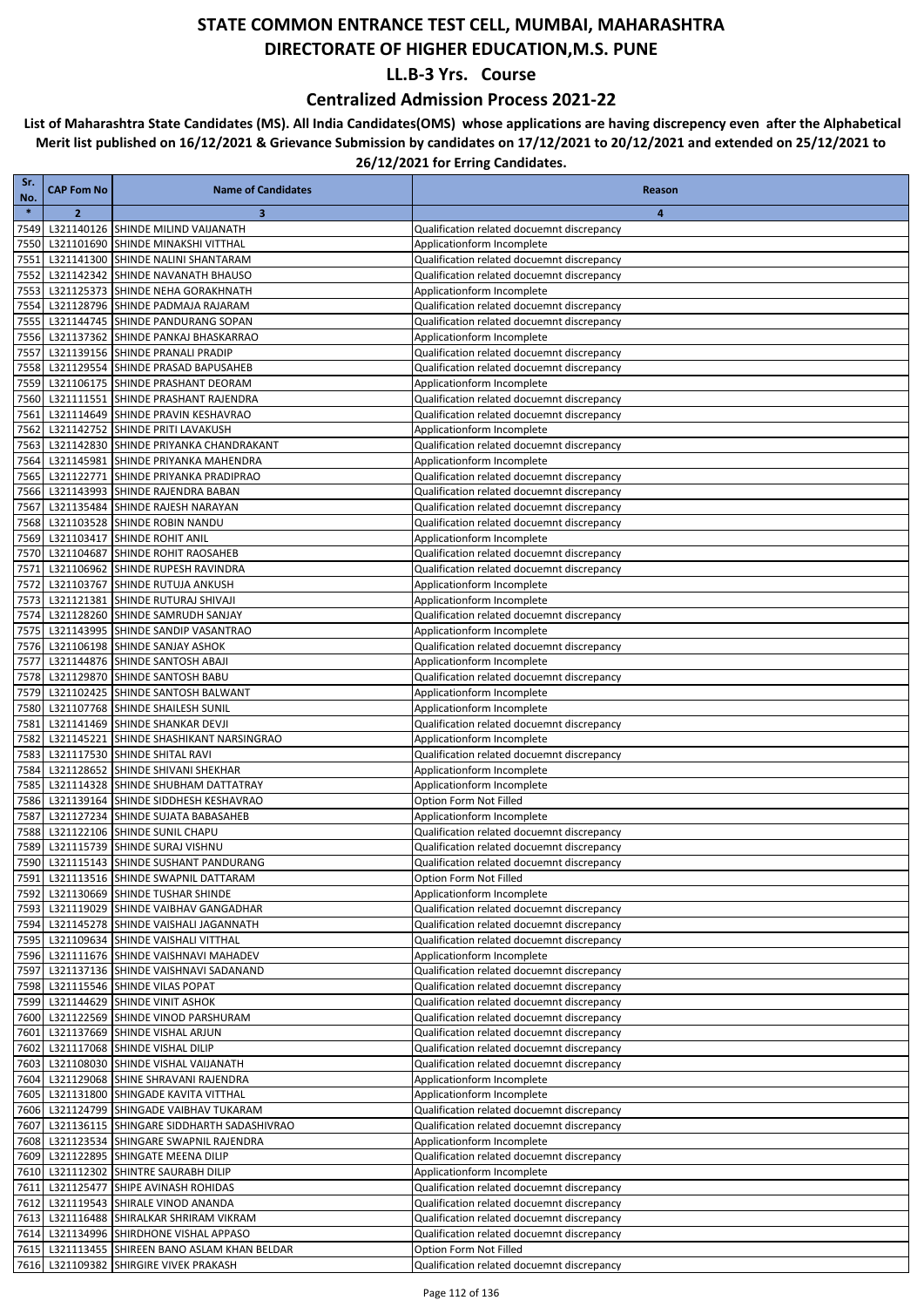### **Centralized Admission Process 2021-22**

| Sr.<br>No.   | <b>CAP Fom No</b> | <b>Name of Candidates</b>                                                                   | Reason                                                                                   |
|--------------|-------------------|---------------------------------------------------------------------------------------------|------------------------------------------------------------------------------------------|
| $\ast$       | $\overline{2}$    | 3                                                                                           | 4                                                                                        |
| 7549         |                   | L321140126 SHINDE MILIND VAIJANATH                                                          | Qualification related docuemnt discrepancy                                               |
| 7550         |                   | L321101690 SHINDE MINAKSHI VITTHAL                                                          | Applicationform Incomplete                                                               |
| 7551         |                   | L321141300 SHINDE NALINI SHANTARAM                                                          | Qualification related docuemnt discrepancy                                               |
| 7552         |                   | L321142342 SHINDE NAVANATH BHAUSO                                                           | Qualification related docuemnt discrepancy                                               |
| 7553<br>7554 |                   | L321125373 SHINDE NEHA GORAKHNATH                                                           | Applicationform Incomplete                                                               |
| 7555         |                   | L321128796 SHINDE PADMAJA RAJARAM<br>L321144745 SHINDE PANDURANG SOPAN                      | Qualification related docuemnt discrepancy<br>Qualification related docuemnt discrepancy |
| 7556         |                   | L321137362 SHINDE PANKAJ BHASKARRAO                                                         | Applicationform Incomplete                                                               |
| 7557         |                   | L321139156 SHINDE PRANALI PRADIP                                                            | Qualification related docuemnt discrepancy                                               |
| 7558         |                   | L321129554 SHINDE PRASAD BAPUSAHEB                                                          | Qualification related docuemnt discrepancy                                               |
| 7559         |                   | L321106175 SHINDE PRASHANT DEORAM                                                           | Applicationform Incomplete                                                               |
| 7560         |                   | L321111551 SHINDE PRASHANT RAJENDRA                                                         | Qualification related docuemnt discrepancy                                               |
| 7561<br>7562 |                   | L321114649 SHINDE PRAVIN KESHAVRAO<br>L321142752 SHINDE PRITI LAVAKUSH                      | Qualification related docuemnt discrepancy<br>Applicationform Incomplete                 |
| 7563         |                   | L321142830 SHINDE PRIYANKA CHANDRAKANT                                                      | Qualification related docuemnt discrepancy                                               |
| 7564         |                   | L321145981 SHINDE PRIYANKA MAHENDRA                                                         | Applicationform Incomplete                                                               |
| 7565         |                   | L321122771 SHINDE PRIYANKA PRADIPRAO                                                        | Qualification related docuemnt discrepancy                                               |
| 7566         |                   | L321143993 SHINDE RAJENDRA BABAN                                                            | Qualification related docuemnt discrepancy                                               |
| 7567         |                   | L321135484 SHINDE RAJESH NARAYAN                                                            | Qualification related docuemnt discrepancy                                               |
| 7568         |                   | L321103528 SHINDE ROBIN NANDU                                                               | Qualification related docuemnt discrepancy                                               |
| 7569<br>7570 |                   | L321103417 SHINDE ROHIT ANIL<br>L321104687 SHINDE ROHIT RAOSAHEB                            | Applicationform Incomplete<br>Qualification related docuemnt discrepancy                 |
| 7571         |                   | L321106962 SHINDE RUPESH RAVINDRA                                                           | Qualification related docuemnt discrepancy                                               |
| 7572         |                   | L321103767 SHINDE RUTUJA ANKUSH                                                             | Applicationform Incomplete                                                               |
| 7573         |                   | L321121381 SHINDE RUTURAJ SHIVAJI                                                           | Applicationform Incomplete                                                               |
| 7574         |                   | L321128260 SHINDE SAMRUDH SANJAY                                                            | Qualification related docuemnt discrepancy                                               |
| 7575         |                   | L321143995 SHINDE SANDIP VASANTRAO                                                          | Applicationform Incomplete                                                               |
| 7576<br>7577 |                   | L321106198 SHINDE SANJAY ASHOK                                                              | Qualification related docuemnt discrepancy                                               |
| 7578         |                   | L321144876 SHINDE SANTOSH ABAJI<br>L321129870 SHINDE SANTOSH BABU                           | Applicationform Incomplete<br>Qualification related docuemnt discrepancy                 |
| 7579         |                   | L321102425 SHINDE SANTOSH BALWANT                                                           | Applicationform Incomplete                                                               |
| 7580         |                   | L321107768 SHINDE SHAILESH SUNIL                                                            | Applicationform Incomplete                                                               |
| 7581         |                   | L321141469 SHINDE SHANKAR DEVJI                                                             | Qualification related docuemnt discrepancy                                               |
| 7582         |                   | L321145221 SHINDE SHASHIKANT NARSINGRAO                                                     | Applicationform Incomplete                                                               |
| 7583         |                   | L321117530 SHINDE SHITAL RAVI                                                               | Qualification related docuemnt discrepancy                                               |
| 7584<br>7585 |                   | L321128652 SHINDE SHIVANI SHEKHAR<br>L321114328 SHINDE SHUBHAM DATTATRAY                    | Applicationform Incomplete<br>Applicationform Incomplete                                 |
| 7586         |                   | L321139164 SHINDE SIDDHESH KESHAVRAO                                                        | Option Form Not Filled                                                                   |
| 7587         |                   | L321127234 SHINDE SUJATA BABASAHEB                                                          | Applicationform Incomplete                                                               |
| 7588         |                   | L321122106 SHINDE SUNIL CHAPU                                                               | Qualification related docuemnt discrepancy                                               |
| 7589         |                   | L321115739 SHINDE SURAJ VISHNU                                                              | Qualification related docuemnt discrepancy                                               |
| 7590         |                   | L321115143 SHINDE SUSHANT PANDURANG                                                         | Qualification related docuemnt discrepancy                                               |
| 7592         |                   | 7591 L321113516 SHINDE SWAPNIL DATTARAM<br>L321130669 SHINDE TUSHAR SHINDE                  | Option Form Not Filled                                                                   |
|              |                   | 7593 L321119029 SHINDE VAIBHAV GANGADHAR                                                    | Applicationform Incomplete<br>Qualification related docuemnt discrepancy                 |
|              |                   | 7594 L321145278 SHINDE VAISHALI JAGANNATH                                                   | Qualification related docuemnt discrepancy                                               |
| 7595         |                   | L321109634 SHINDE VAISHALI VITTHAL                                                          | Qualification related docuemnt discrepancy                                               |
|              |                   | 7596 L321111676 SHINDE VAISHNAVI MAHADEV                                                    | Applicationform Incomplete                                                               |
| 7597         |                   | L321137136 SHINDE VAISHNAVI SADANAND                                                        | Qualification related docuemnt discrepancy                                               |
| 7598         |                   | L321115546 SHINDE VILAS POPAT                                                               | Qualification related docuemnt discrepancy                                               |
|              |                   | 7599 L321144629 SHINDE VINIT ASHOK<br>7600 L321122569 SHINDE VINOD PARSHURAM                | Qualification related docuemnt discrepancy<br>Qualification related docuemnt discrepancy |
| 7601         |                   | L321137669 SHINDE VISHAL ARJUN                                                              | Qualification related docuemnt discrepancy                                               |
| 7602         |                   | L321117068 SHINDE VISHAL DILIP                                                              | Qualification related docuemnt discrepancy                                               |
| 7603         |                   | L321108030 SHINDE VISHAL VAIJANATH                                                          | Qualification related docuemnt discrepancy                                               |
|              |                   | 7604 L321129068 SHINE SHRAVANI RAJENDRA                                                     | Applicationform Incomplete                                                               |
|              |                   | 7605 L321131800 SHINGADE KAVITA VITTHAL                                                     | Applicationform Incomplete                                                               |
| 7606         |                   | L321124799 SHINGADE VAIBHAV TUKARAM                                                         | Qualification related docuemnt discrepancy                                               |
|              |                   | 7607 L321136115 SHINGARE SIDDHARTH SADASHIVRAO<br>7608 L321123534 SHINGARE SWAPNIL RAJENDRA | Qualification related docuemnt discrepancy<br>Applicationform Incomplete                 |
|              |                   | 7609 L321122895 SHINGATE MEENA DILIP                                                        | Qualification related docuemnt discrepancy                                               |
|              |                   | 7610 L321112302 SHINTRE SAURABH DILIP                                                       | Applicationform Incomplete                                                               |
|              |                   | 7611 L321125477 SHIPE AVINASH ROHIDAS                                                       | Qualification related docuemnt discrepancy                                               |
|              |                   | 7612 L321119543 SHIRALE VINOD ANANDA                                                        | Qualification related docuemnt discrepancy                                               |
|              |                   | 7613 L321116488 SHIRALKAR SHRIRAM VIKRAM                                                    | Qualification related docuemnt discrepancy                                               |
|              |                   | 7614 L321134996 SHIRDHONE VISHAL APPASO<br>7615 L321113455 SHIREEN BANO ASLAM KHAN BELDAR   | Qualification related docuemnt discrepancy<br>Option Form Not Filled                     |
|              |                   | 7616 L321109382 SHIRGIRE VIVEK PRAKASH                                                      | Qualification related docuemnt discrepancy                                               |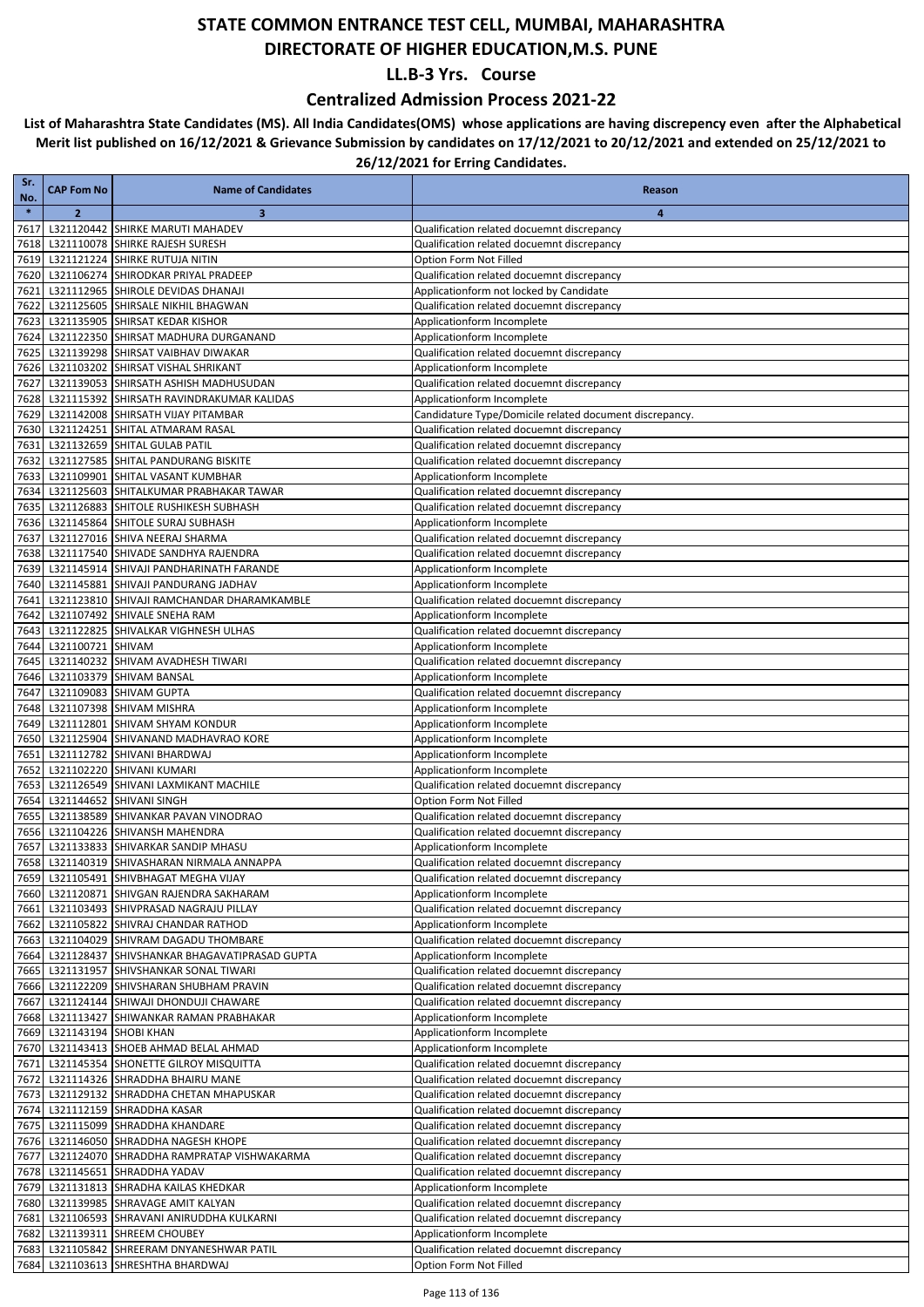### **Centralized Admission Process 2021-22**

| Sr.<br>No.   | <b>CAP Fom No</b>          | <b>Name of Candidates</b>                                                              | Reason                                                                                   |
|--------------|----------------------------|----------------------------------------------------------------------------------------|------------------------------------------------------------------------------------------|
| $\ast$       | $\overline{2}$             | 3                                                                                      | 4                                                                                        |
| 7617         |                            | L321120442 SHIRKE MARUTI MAHADEV                                                       | Qualification related docuemnt discrepancy                                               |
| 7618         |                            | L321110078 SHIRKE RAJESH SURESH                                                        | Qualification related docuemnt discrepancy                                               |
| 7619         |                            | L321121224 SHIRKE RUTUJA NITIN                                                         | Option Form Not Filled                                                                   |
| 7620         |                            | L321106274 SHIRODKAR PRIYAL PRADEEP                                                    | Qualification related docuemnt discrepancy                                               |
| 7621         |                            | L321112965 SHIROLE DEVIDAS DHANAJI                                                     | Applicationform not locked by Candidate                                                  |
| 7622         |                            | L321125605 SHIRSALE NIKHIL BHAGWAN                                                     | Qualification related docuemnt discrepancy                                               |
| 7623<br>7624 |                            | L321135905 SHIRSAT KEDAR KISHOR<br>L321122350 SHIRSAT MADHURA DURGANAND                | Applicationform Incomplete<br>Applicationform Incomplete                                 |
| 7625         |                            | L321139298 SHIRSAT VAIBHAV DIWAKAR                                                     | Qualification related docuemnt discrepancy                                               |
| 7626         |                            | L321103202 SHIRSAT VISHAL SHRIKANT                                                     | Applicationform Incomplete                                                               |
| 7627         |                            | L321139053 SHIRSATH ASHISH MADHUSUDAN                                                  | Qualification related docuemnt discrepancy                                               |
| 7628         |                            | L321115392 SHIRSATH RAVINDRAKUMAR KALIDAS                                              | Applicationform Incomplete                                                               |
| 7629         |                            | L321142008 SHIRSATH VIJAY PITAMBAR                                                     | Candidature Type/Domicile related document discrepancy.                                  |
| 7630         |                            | L321124251 SHITAL ATMARAM RASAL                                                        | Qualification related docuemnt discrepancy                                               |
| 7631         |                            | L321132659 SHITAL GULAB PATIL                                                          | Qualification related docuemnt discrepancy                                               |
| 7632         |                            | L321127585 SHITAL PANDURANG BISKITE                                                    | Qualification related docuemnt discrepancy                                               |
| 7633         |                            | L321109901 SHITAL VASANT KUMBHAR                                                       | Applicationform Incomplete                                                               |
|              |                            | 7634 L321125603 SHITALKUMAR PRABHAKAR TAWAR                                            | Qualification related docuemnt discrepancy                                               |
| 7635         |                            | L321126883 SHITOLE RUSHIKESH SUBHASH                                                   | Qualification related docuemnt discrepancy                                               |
| 7636<br>7637 |                            | L321145864 SHITOLE SURAJ SUBHASH<br>L321127016 SHIVA NEERAJ SHARMA                     | Applicationform Incomplete<br>Qualification related docuemnt discrepancy                 |
| 7638         |                            | L321117540 SHIVADE SANDHYA RAJENDRA                                                    | Qualification related docuemnt discrepancy                                               |
| 7639         |                            | L321145914 SHIVAJI PANDHARINATH FARANDE                                                | Applicationform Incomplete                                                               |
|              |                            | 7640 L321145881 SHIVAJI PANDURANG JADHAV                                               | Applicationform Incomplete                                                               |
| 7641         |                            | L321123810 SHIVAJI RAMCHANDAR DHARAMKAMBLE                                             | Qualification related docuemnt discrepancy                                               |
| 7642         |                            | L321107492 SHIVALE SNEHA RAM                                                           | Applicationform Incomplete                                                               |
| 7643         |                            | L321122825 SHIVALKAR VIGHNESH ULHAS                                                    | Qualification related docuemnt discrepancy                                               |
| 7644         | L321100721 SHIVAM          |                                                                                        | Applicationform Incomplete                                                               |
| 7645         |                            | L321140232 SHIVAM AVADHESH TIWARI                                                      | Qualification related docuemnt discrepancy                                               |
| 7646         |                            | L321103379 SHIVAM BANSAL                                                               | Applicationform Incomplete                                                               |
| 7647         |                            | L321109083 SHIVAM GUPTA                                                                | Qualification related docuemnt discrepancy                                               |
| 7648         |                            | L321107398 SHIVAM MISHRA<br>L321112801 SHIVAM SHYAM KONDUR                             | Applicationform Incomplete                                                               |
| 7649<br>7650 |                            | L321125904 SHIVANAND MADHAVRAO KORE                                                    | Applicationform Incomplete<br>Applicationform Incomplete                                 |
| 7651         |                            | L321112782 SHIVANI BHARDWAJ                                                            | Applicationform Incomplete                                                               |
| 7652         |                            | L321102220 SHIVANI KUMARI                                                              | Applicationform Incomplete                                                               |
| 7653         |                            | L321126549 SHIVANI LAXMIKANT MACHILE                                                   | Qualification related docuemnt discrepancy                                               |
| 7654         |                            | L321144652 SHIVANI SINGH                                                               | Option Form Not Filled                                                                   |
|              |                            | 7655 L321138589 SHIVANKAR PAVAN VINODRAO                                               | Qualification related docuemnt discrepancy                                               |
|              |                            | 7656 L321104226 SHIVANSH MAHENDRA                                                      | Qualification related docuemnt discrepancy                                               |
| 7657         |                            | L321133833 SHIVARKAR SANDIP MHASU                                                      | Applicationform Incomplete                                                               |
| 7658         |                            | L321140319 SHIVASHARAN NIRMALA ANNAPPA                                                 | Qualification related docuemnt discrepancy                                               |
|              |                            | 7659 L321105491 SHIVBHAGAT MEGHA VIJAY                                                 | Qualification related docuemnt discrepancy                                               |
|              |                            | 7660 L321120871 SHIVGAN RAJENDRA SAKHARAM<br>7661 L321103493 SHIVPRASAD NAGRAJU PILLAY | Applicationform Incomplete<br>Qualification related docuemnt discrepancy                 |
|              |                            | 7662 L321105822 SHIVRAJ CHANDAR RATHOD                                                 | Applicationform Incomplete                                                               |
| 7663         |                            | L321104029 SHIVRAM DAGADU THOMBARE                                                     | Qualification related docuemnt discrepancy                                               |
|              |                            | 7664 L321128437 SHIVSHANKAR BHAGAVATIPRASAD GUPTA                                      | Applicationform Incomplete                                                               |
|              |                            | 7665 L321131957 SHIVSHANKAR SONAL TIWARI                                               | Qualification related docuemnt discrepancy                                               |
|              |                            | 7666 L321122209 SHIVSHARAN SHUBHAM PRAVIN                                              | Qualification related docuemnt discrepancy                                               |
| 7667         |                            | L321124144 SHIWAJI DHONDUJI CHAWARE                                                    | Qualification related docuemnt discrepancy                                               |
|              |                            | 7668 L321113427 SHIWANKAR RAMAN PRABHAKAR                                              | Applicationform Incomplete                                                               |
|              | 7669 L321143194 SHOBI KHAN |                                                                                        | Applicationform Incomplete                                                               |
|              |                            | 7670 L321143413 SHOEB AHMAD BELAL AHMAD                                                | Applicationform Incomplete                                                               |
| 7671         |                            | L321145354 SHONETTE GILROY MISQUITTA                                                   | Qualification related docuemnt discrepancy                                               |
| 7672         |                            | L321114326 SHRADDHA BHAIRU MANE<br>7673 L321129132 SHRADDHA CHETAN MHAPUSKAR           | Qualification related docuemnt discrepancy<br>Qualification related docuemnt discrepancy |
|              |                            | 7674 L321112159 SHRADDHA KASAR                                                         | Qualification related docuemnt discrepancy                                               |
|              |                            | 7675 L321115099 SHRADDHA KHANDARE                                                      | Qualification related docuemnt discrepancy                                               |
|              |                            | 7676 L321146050 SHRADDHA NAGESH KHOPE                                                  | Qualification related docuemnt discrepancy                                               |
|              |                            | 7677 L321124070 SHRADDHA RAMPRATAP VISHWAKARMA                                         | Qualification related docuemnt discrepancy                                               |
|              |                            | 7678 L321145651 SHRADDHA YADAV                                                         | Qualification related docuemnt discrepancy                                               |
|              |                            | 7679 L321131813 SHRADHA KAILAS KHEDKAR                                                 | Applicationform Incomplete                                                               |
|              |                            | 7680 L321139985 SHRAVAGE AMIT KALYAN                                                   | Qualification related docuemnt discrepancy                                               |
| 7681         |                            | L321106593 SHRAVANI ANIRUDDHA KULKARNI                                                 | Qualification related docuemnt discrepancy                                               |
|              |                            | 7682 L321139311 SHREEM CHOUBEY                                                         | Applicationform Incomplete                                                               |
|              |                            | 7683 L321105842 SHREERAM DNYANESHWAR PATIL                                             | Qualification related docuemnt discrepancy                                               |
|              |                            | 7684 L321103613 SHRESHTHA BHARDWAJ                                                     | Option Form Not Filled                                                                   |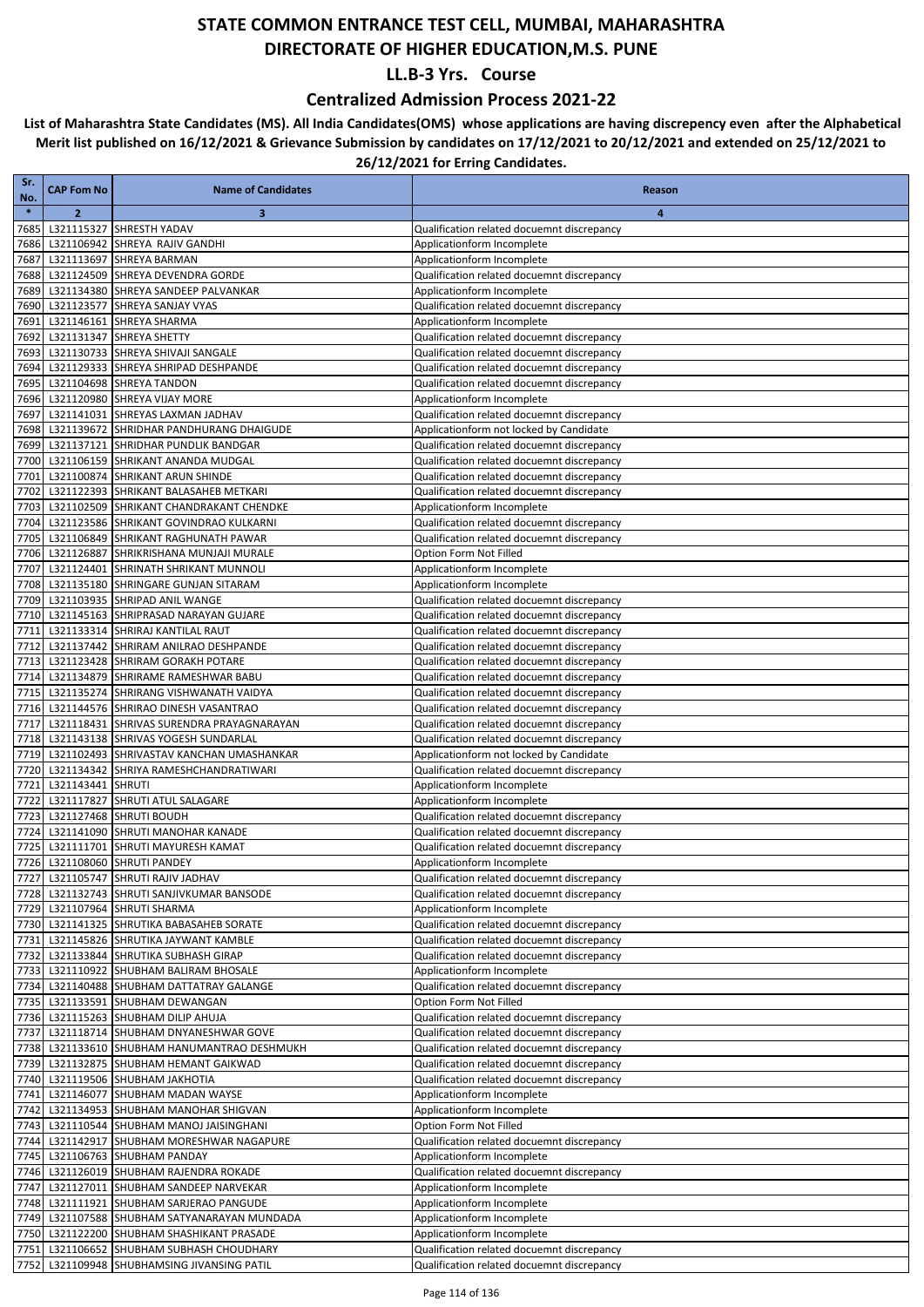### **Centralized Admission Process 2021-22**

| Sr.           | <b>CAP Fom No</b> | <b>Name of Candidates</b>                                                                  | Reason                                                                                   |
|---------------|-------------------|--------------------------------------------------------------------------------------------|------------------------------------------------------------------------------------------|
| No.<br>$\ast$ | 2                 | 3                                                                                          | $\overline{\mathbf{a}}$                                                                  |
| 7685          |                   | L321115327 SHRESTH YADAV                                                                   | Qualification related docuemnt discrepancy                                               |
| 7686          |                   | L321106942 SHREYA RAJIV GANDHI                                                             | Applicationform Incomplete                                                               |
| 7687          |                   | L321113697 SHREYA BARMAN                                                                   | Applicationform Incomplete                                                               |
| 7688          |                   | L321124509 SHREYA DEVENDRA GORDE                                                           | Qualification related docuemnt discrepancy                                               |
| 7689          |                   | L321134380 SHREYA SANDEEP PALVANKAR                                                        | Applicationform Incomplete                                                               |
| 7690          |                   | L321123577 SHREYA SANJAY VYAS                                                              | Qualification related docuemnt discrepancy                                               |
| 7691          |                   | L321146161 SHREYA SHARMA                                                                   | Applicationform Incomplete                                                               |
| 7692          |                   | L321131347 SHREYA SHETTY<br>L321130733 SHREYA SHIVAJI SANGALE                              | Qualification related docuemnt discrepancy                                               |
| 7693<br>7694  |                   | L321129333 SHREYA SHRIPAD DESHPANDE                                                        | Qualification related docuemnt discrepancy<br>Qualification related docuemnt discrepancy |
| 7695          |                   | L321104698 SHREYA TANDON                                                                   | Qualification related docuemnt discrepancy                                               |
| 7696          |                   | L321120980 SHREYA VIJAY MORE                                                               | Applicationform Incomplete                                                               |
| 7697          |                   | L321141031 SHREYAS LAXMAN JADHAV                                                           | Qualification related docuemnt discrepancy                                               |
| 7698          |                   | L321139672 SHRIDHAR PANDHURANG DHAIGUDE                                                    | Applicationform not locked by Candidate                                                  |
| 7699          |                   | L321137121 SHRIDHAR PUNDLIK BANDGAR                                                        | Qualification related docuemnt discrepancy                                               |
| 7700          |                   | L321106159 SHRIKANT ANANDA MUDGAL                                                          | Qualification related docuemnt discrepancy                                               |
| 7701          |                   | L321100874 SHRIKANT ARUN SHINDE                                                            | Qualification related docuemnt discrepancy                                               |
| 7702          |                   | L321122393 SHRIKANT BALASAHEB METKARI                                                      | Qualification related docuemnt discrepancy                                               |
| 7703          |                   | L321102509 SHRIKANT CHANDRAKANT CHENDKE                                                    | Applicationform Incomplete                                                               |
| 7704          |                   | L321123586 SHRIKANT GOVINDRAO KULKARNI<br>L321106849 SHRIKANT RAGHUNATH PAWAR              | Qualification related docuemnt discrepancy<br>Qualification related docuemnt discrepancy |
| 7705<br>7706  |                   | L321126887 SHRIKRISHANA MUNJAJI MURALE                                                     | Option Form Not Filled                                                                   |
| 7707          |                   | L321124401 SHRINATH SHRIKANT MUNNOLI                                                       | Applicationform Incomplete                                                               |
| 7708          |                   | L321135180 SHRINGARE GUNJAN SITARAM                                                        | Applicationform Incomplete                                                               |
| 7709          |                   | L321103935 SHRIPAD ANIL WANGE                                                              | Qualification related docuemnt discrepancy                                               |
| 7710          |                   | L321145163 SHRIPRASAD NARAYAN GUJARE                                                       | Qualification related docuemnt discrepancy                                               |
| 7711          |                   | L321133314 SHRIRAJ KANTILAL RAUT                                                           | Qualification related docuemnt discrepancy                                               |
| 7712          |                   | L321137442 SHRIRAM ANILRAO DESHPANDE                                                       | Qualification related docuemnt discrepancy                                               |
| 7713          |                   | L321123428 SHRIRAM GORAKH POTARE                                                           | Qualification related docuemnt discrepancy                                               |
| 7714          |                   | L321134879 SHRIRAME RAMESHWAR BABU                                                         | Qualification related docuemnt discrepancy                                               |
| 7715          |                   | L321135274 SHRIRANG VISHWANATH VAIDYA                                                      | Qualification related docuemnt discrepancy                                               |
| 7716<br>7717  |                   | L321144576 SHRIRAO DINESH VASANTRAO<br>L321118431 SHRIVAS SURENDRA PRAYAGNARAYAN           | Qualification related docuemnt discrepancy<br>Qualification related docuemnt discrepancy |
| 7718          |                   | L321143138 SHRIVAS YOGESH SUNDARLAL                                                        | Qualification related docuemnt discrepancy                                               |
| 7719          |                   | L321102493 SHRIVASTAV KANCHAN UMASHANKAR                                                   | Applicationform not locked by Candidate                                                  |
| 7720          |                   | L321134342 SHRIYA RAMESHCHANDRATIWARI                                                      | Qualification related docuemnt discrepancy                                               |
| 7721          | L321143441 SHRUTI |                                                                                            | Applicationform Incomplete                                                               |
| 7722          |                   | L321117827 SHRUTI ATUL SALAGARE                                                            | Applicationform Incomplete                                                               |
| 7723          |                   | L321127468 SHRUTI BOUDH                                                                    | Qualification related docuemnt discrepancy                                               |
| 7724          |                   | L321141090 SHRUTI MANOHAR KANADE                                                           | Qualification related docuemnt discrepancy                                               |
| 7725          |                   | L321111701 SHRUTI MAYURESH KAMAT                                                           | Qualification related docuemnt discrepancy                                               |
| 7726          |                   | L321108060 SHRUTI PANDEY                                                                   | Applicationform Incomplete                                                               |
|               |                   | 7727 L321105747 SHRUTI RAJIV JADHAV<br>7728 L321132743 SHRUTI SANJIVKUMAR BANSODE          | Qualification related docuemnt discrepancy<br>Qualification related docuemnt discrepancy |
|               |                   | 7729 L321107964 SHRUTI SHARMA                                                              | Applicationform Incomplete                                                               |
|               |                   | 7730 L321141325 SHRUTIKA BABASAHEB SORATE                                                  | Qualification related docuemnt discrepancy                                               |
|               |                   | 7731 L321145826 SHRUTIKA JAYWANT KAMBLE                                                    | Qualification related docuemnt discrepancy                                               |
|               |                   | 7732 L321133844 SHRUTIKA SUBHASH GIRAP                                                     | Qualification related docuemnt discrepancy                                               |
| 7733          |                   | L321110922 SHUBHAM BALIRAM BHOSALE                                                         | Applicationform Incomplete                                                               |
|               |                   | 7734 L321140488 SHUBHAM DATTATRAY GALANGE                                                  | Qualification related docuemnt discrepancy                                               |
|               |                   | 7735 L321133591 SHUBHAM DEWANGAN                                                           | Option Form Not Filled                                                                   |
|               |                   | 7736 L321115263 SHUBHAM DILIP AHUJA                                                        | Qualification related docuemnt discrepancy                                               |
| 7737          |                   | L321118714 SHUBHAM DNYANESHWAR GOVE<br>7738 L321133610 SHUBHAM HANUMANTRAO DESHMUKH        | Qualification related docuemnt discrepancy<br>Qualification related docuemnt discrepancy |
|               |                   | 7739 L321132875 SHUBHAM HEMANT GAIKWAD                                                     | Qualification related docuemnt discrepancy                                               |
|               |                   | 7740 L321119506 SHUBHAM JAKHOTIA                                                           | Qualification related docuemnt discrepancy                                               |
| 7741          |                   | L321146077 SHUBHAM MADAN WAYSE                                                             | Applicationform Incomplete                                                               |
|               |                   | 7742 L321134953 SHUBHAM MANOHAR SHIGVAN                                                    | Applicationform Incomplete                                                               |
| 7743          |                   | L321110544 SHUBHAM MANOJ JAISINGHANI                                                       | Option Form Not Filled                                                                   |
|               |                   | 7744 L321142917 SHUBHAM MORESHWAR NAGAPURE                                                 | Qualification related docuemnt discrepancy                                               |
|               |                   | 7745 L321106763 SHUBHAM PANDAY                                                             | Applicationform Incomplete                                                               |
|               |                   | 7746 L321126019 SHUBHAM RAJENDRA ROKADE                                                    | Qualification related docuemnt discrepancy                                               |
| 7747          |                   | L321127011 SHUBHAM SANDEEP NARVEKAR                                                        | Applicationform Incomplete                                                               |
|               |                   | 7748 L321111921 SHUBHAM SARJERAO PANGUDE                                                   | Applicationform Incomplete                                                               |
|               |                   | 7749 L321107588 SHUBHAM SATYANARAYAN MUNDADA<br>7750 L321122200 SHUBHAM SHASHIKANT PRASADE | Applicationform Incomplete<br>Applicationform Incomplete                                 |
|               |                   | 7751 L321106652 SHUBHAM SUBHASH CHOUDHARY                                                  | Qualification related docuemnt discrepancy                                               |
|               |                   | 7752 L321109948 SHUBHAMSING JIVANSING PATIL                                                | Qualification related docuemnt discrepancy                                               |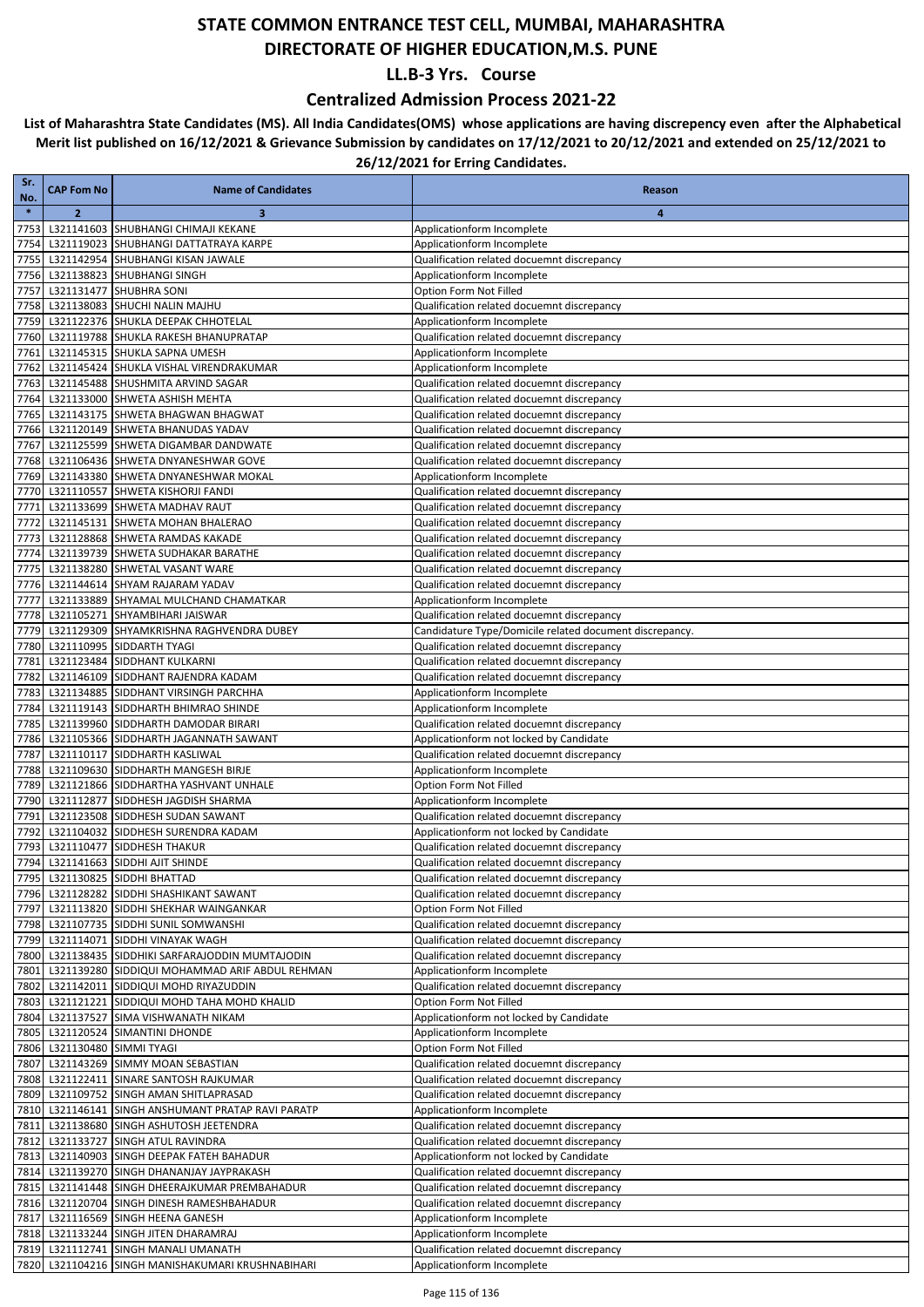### **Centralized Admission Process 2021-22**

| Sr.<br>No.   | <b>CAP Fom No</b>           | <b>Name of Candidates</b>                                                                     | Reason                                                                                   |
|--------------|-----------------------------|-----------------------------------------------------------------------------------------------|------------------------------------------------------------------------------------------|
| $\ast$       | $\overline{2}$              | $\overline{\mathbf{3}}$                                                                       | $\overline{4}$                                                                           |
| 7753         |                             | L321141603 SHUBHANGI CHIMAJI KEKANE                                                           | Applicationform Incomplete                                                               |
| 7754         |                             | L321119023 SHUBHANGI DATTATRAYA KARPE                                                         | Applicationform Incomplete                                                               |
| 7755         |                             | L321142954 SHUBHANGI KISAN JAWALE                                                             | Qualification related docuemnt discrepancy                                               |
| 7756         |                             | L321138823 SHUBHANGI SINGH                                                                    | Applicationform Incomplete                                                               |
| 7757         |                             | L321131477 SHUBHRA SONI                                                                       | Option Form Not Filled                                                                   |
| 7758         |                             | L321138083 SHUCHI NALIN MAJHU                                                                 | Qualification related docuemnt discrepancy                                               |
| 7759         |                             | L321122376 SHUKLA DEEPAK CHHOTELAL                                                            | Applicationform Incomplete                                                               |
| 7760<br>7761 |                             | L321119788 SHUKLA RAKESH BHANUPRATAP<br>L321145315 SHUKLA SAPNA UMESH                         | Qualification related docuemnt discrepancy<br>Applicationform Incomplete                 |
| 7762         |                             | L321145424 SHUKLA VISHAL VIRENDRAKUMAR                                                        | Applicationform Incomplete                                                               |
|              |                             | 7763 L321145488 SHUSHMITA ARVIND SAGAR                                                        | Qualification related docuemnt discrepancy                                               |
| 7764         |                             | L321133000 SHWETA ASHISH MEHTA                                                                | Qualification related docuemnt discrepancy                                               |
| 7765         |                             | L321143175 SHWETA BHAGWAN BHAGWAT                                                             | Qualification related docuemnt discrepancy                                               |
|              |                             | 7766 L321120149 SHWETA BHANUDAS YADAV                                                         | Qualification related docuemnt discrepancy                                               |
| 7767         |                             | L321125599 SHWETA DIGAMBAR DANDWATE                                                           | Qualification related docuemnt discrepancy                                               |
| 7768         |                             | L321106436 SHWETA DNYANESHWAR GOVE                                                            | Qualification related docuemnt discrepancy                                               |
|              |                             | 7769 L321143380 SHWETA DNYANESHWAR MOKAL                                                      | Applicationform Incomplete                                                               |
| 7770         |                             | L321110557 SHWETA KISHORJI FANDI                                                              | Qualification related docuemnt discrepancy                                               |
| 7771         |                             | L321133699 SHWETA MADHAV RAUT                                                                 | Qualification related docuemnt discrepancy                                               |
| 7772<br>7773 |                             | L321145131 SHWETA MOHAN BHALERAO<br>L321128868 SHWETA RAMDAS KAKADE                           | Qualification related docuemnt discrepancy<br>Qualification related docuemnt discrepancy |
| 7774         |                             | L321139739 SHWETA SUDHAKAR BARATHE                                                            | Qualification related docuemnt discrepancy                                               |
| 7775         |                             | L321138280 SHWETAL VASANT WARE                                                                | Qualification related docuemnt discrepancy                                               |
| 7776         |                             | L321144614 SHYAM RAJARAM YADAV                                                                | Qualification related docuemnt discrepancy                                               |
| 7777         |                             | L321133889 SHYAMAL MULCHAND CHAMATKAR                                                         | Applicationform Incomplete                                                               |
| 7778         |                             | L321105271 SHYAMBIHARI JAISWAR                                                                | Qualification related docuemnt discrepancy                                               |
| 7779         |                             | L321129309 SHYAMKRISHNA RAGHVENDRA DUBEY                                                      | Candidature Type/Domicile related document discrepancy.                                  |
|              |                             | 7780 L321110995 SIDDARTH TYAGI                                                                | Qualification related docuemnt discrepancy                                               |
| 7781         |                             | L321123484 SIDDHANT KULKARNI                                                                  | Qualification related docuemnt discrepancy                                               |
| 7782         |                             | L321146109 SIDDHANT RAJENDRA KADAM                                                            | Qualification related docuemnt discrepancy                                               |
|              |                             | 7783 L321134885 SIDDHANT VIRSINGH PARCHHA                                                     | Applicationform Incomplete                                                               |
| 7784         |                             | L321119143 SIDDHARTH BHIMRAO SHINDE                                                           | Applicationform Incomplete                                                               |
| 7785<br>7786 |                             | L321139960 SIDDHARTH DAMODAR BIRARI<br>L321105366 SIDDHARTH JAGANNATH SAWANT                  | Qualification related docuemnt discrepancy<br>Applicationform not locked by Candidate    |
| 7787         |                             | L321110117 SIDDHARTH KASLIWAL                                                                 | Qualification related docuemnt discrepancy                                               |
|              |                             | 7788 L321109630 SIDDHARTH MANGESH BIRJE                                                       | Applicationform Incomplete                                                               |
| 7789         |                             | L321121866 SIDDHARTHA YASHVANT UNHALE                                                         | Option Form Not Filled                                                                   |
|              |                             | 7790 L321112877 SIDDHESH JAGDISH SHARMA                                                       | Applicationform Incomplete                                                               |
| 7791         |                             | L321123508 SIDDHESH SUDAN SAWANT                                                              | Qualification related docuemnt discrepancy                                               |
| 7792         |                             | L321104032 SIDDHESH SURENDRA KADAM                                                            | Applicationform not locked by Candidate                                                  |
| 7793         |                             | L321110477 SIDDHESH THAKUR                                                                    | Qualification related docuemnt discrepancy                                               |
| 7794         |                             | L321141663 SIDDHI AJIT SHINDE                                                                 | Qualification related docuemnt discrepancy                                               |
|              |                             | 7795 L321130825 SIDDHI BHATTAD                                                                | Qualification related docuemnt discrepancy                                               |
|              |                             | 7796 L321128282 SIDDHI SHASHIKANT SAWANT                                                      | Qualification related docuemnt discrepancy                                               |
|              |                             | 7797 L321113820 SIDDHI SHEKHAR WAINGANKAR                                                     | Option Form Not Filled                                                                   |
|              |                             | 7798 L321107735 SIDDHI SUNIL SOMWANSHI<br>7799 L321114071 SIDDHI VINAYAK WAGH                 | Qualification related docuemnt discrepancy<br>Qualification related docuemnt discrepancy |
|              |                             | 7800 L321138435 SIDDHIKI SARFARAJODDIN MUMTAJODIN                                             | Qualification related docuemnt discrepancy                                               |
|              |                             | 7801 L321139280 SIDDIQUI MOHAMMAD ARIF ABDUL REHMAN                                           | Applicationform Incomplete                                                               |
|              |                             | 7802 L321142011 SIDDIQUI MOHD RIYAZUDDIN                                                      | Qualification related docuemnt discrepancy                                               |
|              |                             | 7803 L321121221 SIDDIQUI MOHD TAHA MOHD KHALID                                                | Option Form Not Filled                                                                   |
|              |                             | 7804 L321137527 SIMA VISHWANATH NIKAM                                                         | Applicationform not locked by Candidate                                                  |
|              |                             | 7805 L321120524 SIMANTINI DHONDE                                                              | Applicationform Incomplete                                                               |
|              | 7806 L321130480 SIMMI TYAGI |                                                                                               | Option Form Not Filled                                                                   |
|              |                             | 7807 L321143269 SIMMY MOAN SEBASTIAN                                                          | Qualification related docuemnt discrepancy                                               |
|              |                             | 7808 L321122411 SINARE SANTOSH RAJKUMAR                                                       | Qualification related docuemnt discrepancy                                               |
|              |                             | 7809 L321109752 SINGH AMAN SHITLAPRASAD<br>7810 L321146141 SINGH ANSHUMANT PRATAP RAVI PARATP | Qualification related docuemnt discrepancy<br>Applicationform Incomplete                 |
|              |                             | 7811 L321138680 SINGH ASHUTOSH JEETENDRA                                                      | Qualification related docuemnt discrepancy                                               |
|              |                             | 7812 L321133727 SINGH ATUL RAVINDRA                                                           | Qualification related docuemnt discrepancy                                               |
|              |                             | 7813 L321140903 SINGH DEEPAK FATEH BAHADUR                                                    | Applicationform not locked by Candidate                                                  |
|              |                             | 7814 L321139270 SINGH DHANANJAY JAYPRAKASH                                                    | Qualification related docuemnt discrepancy                                               |
|              |                             | 7815 L321141448 SINGH DHEERAJKUMAR PREMBAHADUR                                                | Qualification related docuemnt discrepancy                                               |
|              |                             | 7816 L321120704 SINGH DINESH RAMESHBAHADUR                                                    | Qualification related docuemnt discrepancy                                               |
|              |                             | 7817 L321116569 SINGH HEENA GANESH                                                            | Applicationform Incomplete                                                               |
|              |                             | 7818 L321133244 SINGH JITEN DHARAMRAJ                                                         | Applicationform Incomplete                                                               |
|              |                             | 7819 L321112741 SINGH MANALI UMANATH                                                          | Qualification related docuemnt discrepancy                                               |
|              |                             | 7820 L321104216 SINGH MANISHAKUMARI KRUSHNABIHARI                                             | Applicationform Incomplete                                                               |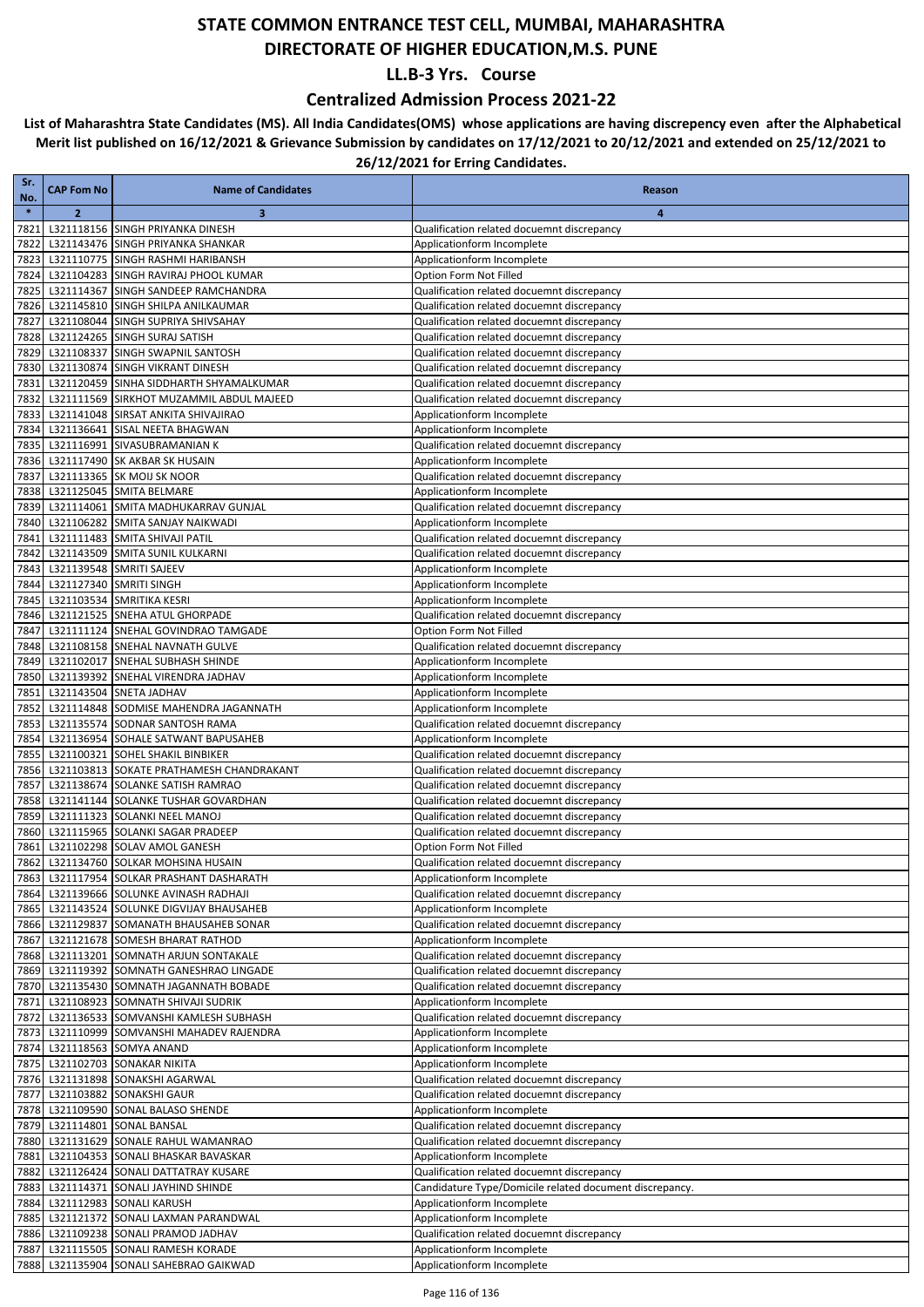### **Centralized Admission Process 2021-22**

| Sr.<br>No.   | <b>CAP Fom No</b> | <b>Name of Candidates</b>                                                            | Reason                                                                                   |
|--------------|-------------------|--------------------------------------------------------------------------------------|------------------------------------------------------------------------------------------|
| $\ast$       | $\overline{2}$    | 3                                                                                    | 4                                                                                        |
| 7821         |                   | L321118156 SINGH PRIYANKA DINESH                                                     | Qualification related docuemnt discrepancy                                               |
| 7822         |                   | L321143476 SINGH PRIYANKA SHANKAR                                                    | Applicationform Incomplete                                                               |
| 7823         |                   | L321110775 SINGH RASHMI HARIBANSH                                                    | Applicationform Incomplete                                                               |
| 7824         |                   | L321104283 SINGH RAVIRAJ PHOOL KUMAR                                                 | Option Form Not Filled                                                                   |
| 7825         |                   | L321114367 SINGH SANDEEP RAMCHANDRA                                                  | Qualification related docuemnt discrepancy                                               |
| 7826         |                   | L321145810 SINGH SHILPA ANILKAUMAR                                                   | Qualification related docuemnt discrepancy                                               |
| 7827         |                   | L321108044 SINGH SUPRIYA SHIVSAHAY                                                   | Qualification related docuemnt discrepancy                                               |
| 7828<br>7829 |                   | L321124265 SINGH SURAJ SATISH<br>L321108337 SINGH SWAPNIL SANTOSH                    | Qualification related docuemnt discrepancy<br>Qualification related docuemnt discrepancy |
| 7830         |                   | L321130874 SINGH VIKRANT DINESH                                                      | Qualification related docuemnt discrepancy                                               |
| 7831         |                   | L321120459 SINHA SIDDHARTH SHYAMALKUMAR                                              | Qualification related docuemnt discrepancy                                               |
| 7832         |                   | L321111569 SIRKHOT MUZAMMIL ABDUL MAJEED                                             | Qualification related docuemnt discrepancy                                               |
| 7833         |                   | L321141048 SIRSAT ANKITA SHIVAJIRAO                                                  | Applicationform Incomplete                                                               |
| 7834         |                   | L321136641 SISAL NEETA BHAGWAN                                                       | Applicationform Incomplete                                                               |
| 7835         |                   | L321116991 SIVASUBRAMANIAN K                                                         | Qualification related docuemnt discrepancy                                               |
| 7836         |                   | L321117490 SK AKBAR SK HUSAIN                                                        | Applicationform Incomplete                                                               |
| 7837         |                   | L321113365 SK MOIJ SK NOOR                                                           | Qualification related docuemnt discrepancy                                               |
| 7838         |                   | L321125045 SMITA BELMARE                                                             | Applicationform Incomplete                                                               |
| 7839         |                   | L321114061 SMITA MADHUKARRAV GUNJAL                                                  | Qualification related docuemnt discrepancy                                               |
| 7840         |                   | L321106282 SMITA SANJAY NAIKWADI                                                     | Applicationform Incomplete                                                               |
| 7841         |                   | L321111483 SMITA SHIVAJI PATIL                                                       | Qualification related docuemnt discrepancy                                               |
| 7842         |                   | L321143509 SMITA SUNIL KULKARNI                                                      | Qualification related docuemnt discrepancy                                               |
| 7843         |                   | L321139548 SMRITI SAJEEV                                                             | Applicationform Incomplete                                                               |
| 7844         |                   | L321127340 SMRITI SINGH                                                              | Applicationform Incomplete                                                               |
| 7845         |                   | L321103534 SMRITIKA KESRI                                                            | Applicationform Incomplete                                                               |
| 7846         |                   | L321121525 SNEHA ATUL GHORPADE                                                       | Qualification related docuemnt discrepancy<br>Option Form Not Filled                     |
| 7847<br>7848 |                   | L321111124 SNEHAL GOVINDRAO TAMGADE<br>L321108158 SNEHAL NAVNATH GULVE               | Qualification related docuemnt discrepancy                                               |
| 7849         |                   | L321102017 SNEHAL SUBHASH SHINDE                                                     | Applicationform Incomplete                                                               |
| 7850         |                   | L321139392 SNEHAL VIRENDRA JADHAV                                                    | Applicationform Incomplete                                                               |
| 7851         |                   | L321143504 SNETA JADHAV                                                              | Applicationform Incomplete                                                               |
| 7852         |                   | L321114848 SODMISE MAHENDRA JAGANNATH                                                | Applicationform Incomplete                                                               |
| 7853         |                   | L321135574 SODNAR SANTOSH RAMA                                                       | Qualification related docuemnt discrepancy                                               |
| 7854         |                   | L321136954 SOHALE SATWANT BAPUSAHEB                                                  | Applicationform Incomplete                                                               |
| 7855         |                   | L321100321 SOHEL SHAKIL BINBIKER                                                     | Qualification related docuemnt discrepancy                                               |
| 7856         |                   | L321103813 SOKATE PRATHAMESH CHANDRAKANT                                             | Qualification related docuemnt discrepancy                                               |
| 7857         |                   | L321138674 SOLANKE SATISH RAMRAO                                                     | Qualification related docuemnt discrepancy                                               |
| 7858         |                   | L321141144 SOLANKE TUSHAR GOVARDHAN                                                  | Qualification related docuemnt discrepancy                                               |
| 7859         |                   | L321111323 SOLANKI NEEL MANOJ                                                        | Qualification related docuemnt discrepancy                                               |
| 7860         |                   | L321115965 SOLANKI SAGAR PRADEEP                                                     | Qualification related docuemnt discrepancy                                               |
| 7861         |                   | L321102298 SOLAV AMOL GANESH                                                         | Option Form Not Filled                                                                   |
| 7862         |                   | L321134760 SOLKAR MOHSINA HUSAIN                                                     | Qualification related docuemnt discrepancy                                               |
|              |                   | 7863 L321117954 SOLKAR PRASHANT DASHARATH<br>7864 L321139666 SOLUNKE AVINASH RADHAJI | Applicationform Incomplete<br>Qualification related docuemnt discrepancy                 |
|              |                   | 7865 L321143524 SOLUNKE DIGVIJAY BHAUSAHEB                                           | Applicationform Incomplete                                                               |
|              |                   | 7866 L321129837 SOMANATH BHAUSAHEB SONAR                                             | Qualification related docuemnt discrepancy                                               |
|              |                   | 7867 L321121678 SOMESH BHARAT RATHOD                                                 | Applicationform Incomplete                                                               |
|              |                   | 7868 L321113201 SOMNATH ARJUN SONTAKALE                                              | Qualification related docuemnt discrepancy                                               |
|              |                   | 7869 L321119392 SOMNATH GANESHRAO LINGADE                                            | Qualification related docuemnt discrepancy                                               |
|              |                   | 7870 L321135430 SOMNATH JAGANNATH BOBADE                                             | Qualification related docuemnt discrepancy                                               |
| 7871         |                   | L321108923 SOMNATH SHIVAJI SUDRIK                                                    | Applicationform Incomplete                                                               |
|              |                   | 7872 L321136533 SOMVANSHI KAMLESH SUBHASH                                            | Qualification related docuemnt discrepancy                                               |
|              |                   | 7873 L321110999 SOMVANSHI MAHADEV RAJENDRA                                           | Applicationform Incomplete                                                               |
|              |                   | 7874 L321118563 SOMYA ANAND                                                          | Applicationform Incomplete                                                               |
|              |                   | 7875 L321102703 SONAKAR NIKITA                                                       | Applicationform Incomplete                                                               |
|              |                   | 7876 L321131898 SONAKSHI AGARWAL                                                     | Qualification related docuemnt discrepancy                                               |
|              |                   | 7877 L321103882 SONAKSHI GAUR                                                        | Qualification related docuemnt discrepancy                                               |
|              |                   | 7878 L321109590 SONAL BALASO SHENDE                                                  | Applicationform Incomplete                                                               |
|              |                   | 7879 L321114801 SONAL BANSAL<br>7880 L321131629 SONALE RAHUL WAMANRAO                | Qualification related docuemnt discrepancy<br>Qualification related docuemnt discrepancy |
|              |                   | 7881 L321104353 SONALI BHASKAR BAVASKAR                                              | Applicationform Incomplete                                                               |
|              |                   | 7882 L321126424 SONALI DATTATRAY KUSARE                                              | Qualification related docuemnt discrepancy                                               |
| 7883         |                   | L321114371 SONALI JAYHIND SHINDE                                                     | Candidature Type/Domicile related document discrepancy.                                  |
|              |                   | 7884 L321112983 SONALI KARUSH                                                        | Applicationform Incomplete                                                               |
|              |                   | 7885 L321121372 SONALI LAXMAN PARANDWAL                                              | Applicationform Incomplete                                                               |
|              |                   | 7886 L321109238 SONALI PRAMOD JADHAV                                                 | Qualification related docuemnt discrepancy                                               |
| 7887         |                   | L321115505 SONALI RAMESH KORADE                                                      | Applicationform Incomplete                                                               |
|              |                   | 7888 L321135904 SONALI SAHEBRAO GAIKWAD                                              | Applicationform Incomplete                                                               |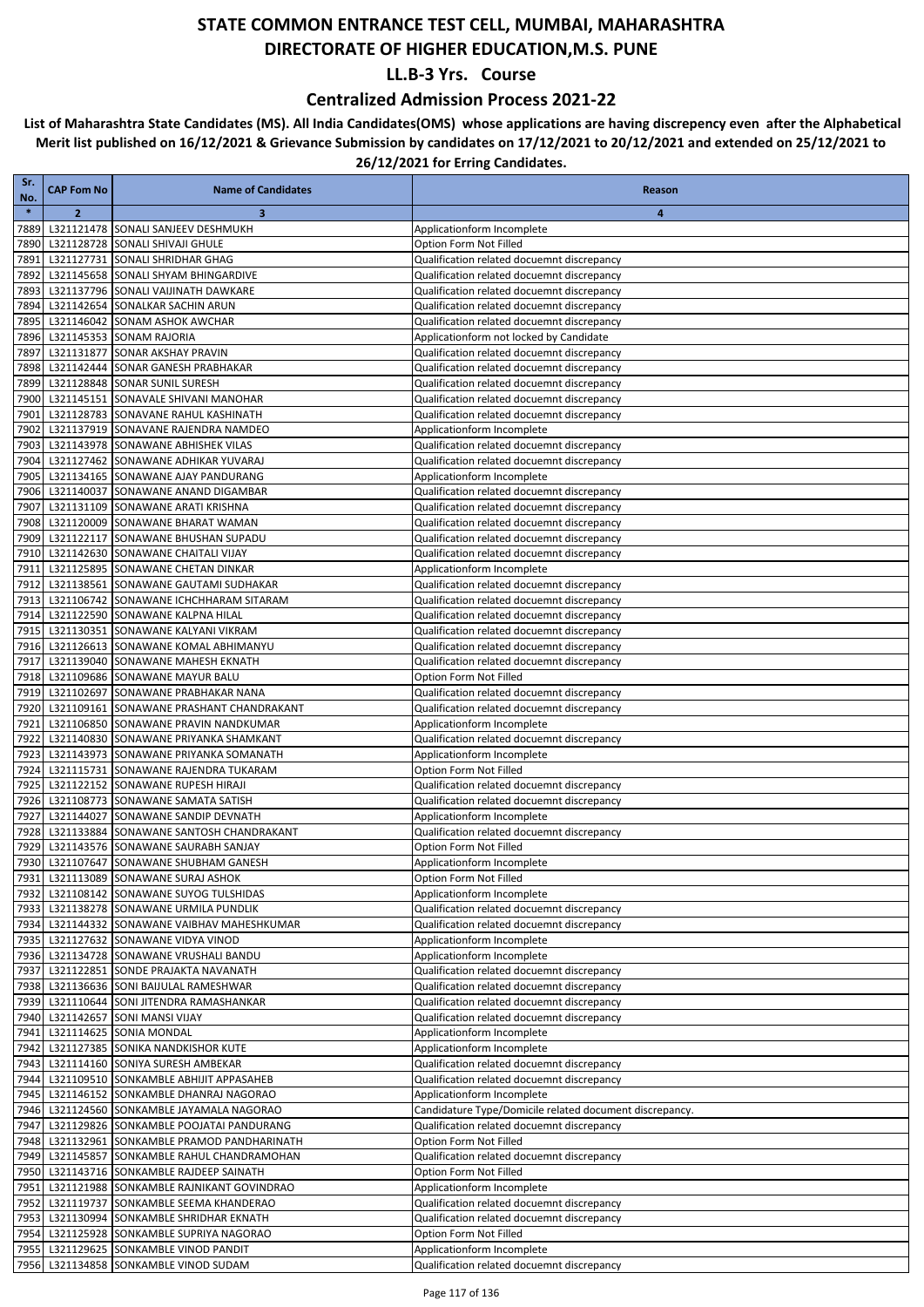### **Centralized Admission Process 2021-22**

| Sr.<br>No.   | <b>CAP Fom No</b> | <b>Name of Candidates</b>                                                        | Reason                                                                                   |
|--------------|-------------------|----------------------------------------------------------------------------------|------------------------------------------------------------------------------------------|
| $\ast$       | $\overline{2}$    | 3                                                                                | 4                                                                                        |
| 7889         |                   | L321121478 SONALI SANJEEV DESHMUKH                                               | Applicationform Incomplete                                                               |
| 7890         |                   | L321128728 SONALI SHIVAJI GHULE                                                  | Option Form Not Filled                                                                   |
| 7891         |                   | L321127731 SONALI SHRIDHAR GHAG                                                  | Qualification related docuemnt discrepancy                                               |
| 7892         |                   | L321145658 SONALI SHYAM BHINGARDIVE                                              | Qualification related docuemnt discrepancy                                               |
| 7893         |                   | L321137796 SONALI VAIJINATH DAWKARE                                              | Qualification related docuemnt discrepancy                                               |
| 7894         |                   | L321142654 SONALKAR SACHIN ARUN                                                  | Qualification related docuemnt discrepancy                                               |
| 7895<br>7896 |                   | L321146042 SONAM ASHOK AWCHAR<br>L321145353 SONAM RAJORIA                        | Qualification related docuemnt discrepancy                                               |
| 7897         |                   | L321131877 SONAR AKSHAY PRAVIN                                                   | Applicationform not locked by Candidate<br>Qualification related docuemnt discrepancy    |
| 7898         |                   | L321142444 SONAR GANESH PRABHAKAR                                                | Qualification related docuemnt discrepancy                                               |
| 7899         |                   | L321128848 SONAR SUNIL SURESH                                                    | Qualification related docuemnt discrepancy                                               |
| 7900         |                   | L321145151 SONAVALE SHIVANI MANOHAR                                              | Qualification related docuemnt discrepancy                                               |
| 7901         |                   | L321128783 SONAVANE RAHUL KASHINATH                                              | Qualification related docuemnt discrepancy                                               |
| 7902         |                   | L321137919 SONAVANE RAJENDRA NAMDEO                                              | Applicationform Incomplete                                                               |
| 7903         |                   | L321143978 SONAWANE ABHISHEK VILAS                                               | Qualification related docuemnt discrepancy                                               |
| 7904         |                   | L321127462 SONAWANE ADHIKAR YUVARAJ                                              | Qualification related docuemnt discrepancy                                               |
| 7905         |                   | L321134165 SONAWANE AJAY PANDURANG                                               | Applicationform Incomplete                                                               |
| 7906<br>7907 |                   | L321140037 SONAWANE ANAND DIGAMBAR<br>L321131109 SONAWANE ARATI KRISHNA          | Qualification related docuemnt discrepancy<br>Qualification related docuemnt discrepancy |
| 7908         |                   | L321120009 SONAWANE BHARAT WAMAN                                                 | Qualification related docuemnt discrepancy                                               |
| 7909         |                   | L321122117 SONAWANE BHUSHAN SUPADU                                               | Qualification related docuemnt discrepancy                                               |
| 7910         |                   | L321142630 SONAWANE CHAITALI VIJAY                                               | Qualification related docuemnt discrepancy                                               |
| 7911         |                   | L321125895 SONAWANE CHETAN DINKAR                                                | Applicationform Incomplete                                                               |
| 7912         |                   | L321138561 SONAWANE GAUTAMI SUDHAKAR                                             | Qualification related docuemnt discrepancy                                               |
| 7913         |                   | L321106742 SONAWANE ICHCHHARAM SITARAM                                           | Qualification related docuemnt discrepancy                                               |
| 7914         |                   | L321122590 SONAWANE KALPNA HILAL                                                 | Qualification related docuemnt discrepancy                                               |
| 7915         |                   | L321130351 SONAWANE KALYANI VIKRAM                                               | Qualification related docuemnt discrepancy                                               |
| 7916         |                   | L321126613 SONAWANE KOMAL ABHIMANYU                                              | Qualification related docuemnt discrepancy                                               |
| 7917         |                   | L321139040 SONAWANE MAHESH EKNATH                                                | Qualification related docuemnt discrepancy                                               |
| 7918         |                   | L321109686 SONAWANE MAYUR BALU                                                   | Option Form Not Filled                                                                   |
| 7919<br>7920 |                   | L321102697 SONAWANE PRABHAKAR NANA<br>L321109161 SONAWANE PRASHANT CHANDRAKANT   | Qualification related docuemnt discrepancy<br>Qualification related docuemnt discrepancy |
| 7921         |                   | L321106850 SONAWANE PRAVIN NANDKUMAR                                             | Applicationform Incomplete                                                               |
| 7922         |                   | L321140830 SONAWANE PRIYANKA SHAMKANT                                            | Qualification related docuemnt discrepancy                                               |
| 7923         |                   | L321143973 SONAWANE PRIYANKA SOMANATH                                            | Applicationform Incomplete                                                               |
| 7924         |                   | L321115731 SONAWANE RAJENDRA TUKARAM                                             | Option Form Not Filled                                                                   |
| 7925         |                   | L321122152 SONAWANE RUPESH HIRAJI                                                | Qualification related docuemnt discrepancy                                               |
| 7926         |                   | L321108773 SONAWANE SAMATA SATISH                                                | Qualification related docuemnt discrepancy                                               |
| 7927         |                   | L321144027 SONAWANE SANDIP DEVNATH                                               | Applicationform Incomplete                                                               |
| 7928         |                   | L321133884 SONAWANE SANTOSH CHANDRAKANT                                          | Qualification related docuemnt discrepancy                                               |
| 7929         |                   | L321143576 SONAWANE SAURABH SANJAY<br>7930 L321107647 SONAWANE SHUBHAM GANESH    | Option Form Not Filled<br>Applicationform Incomplete                                     |
|              |                   | 7931 L321113089 SONAWANE SURAJ ASHOK                                             | Option Form Not Filled                                                                   |
| 7932         |                   | L321108142 SONAWANE SUYOG TULSHIDAS                                              | Applicationform Incomplete                                                               |
|              |                   | 7933 L321138278 SONAWANE URMILA PUNDLIK                                          | Qualification related docuemnt discrepancy                                               |
|              |                   | 7934 L321144332 SONAWANE VAIBHAV MAHESHKUMAR                                     | Qualification related docuemnt discrepancy                                               |
| 7935         |                   | L321127632 SONAWANE VIDYA VINOD                                                  | Applicationform Incomplete                                                               |
|              |                   | 7936 L321134728 SONAWANE VRUSHALI BANDU                                          | Applicationform Incomplete                                                               |
| 7937         |                   | L321122851 SONDE PRAJAKTA NAVANATH                                               | Qualification related docuemnt discrepancy                                               |
| 7938         |                   | L321136636 SONI BAIJULAL RAMESHWAR                                               | Qualification related docuemnt discrepancy                                               |
| 7939         |                   | L321110644 SONI JITENDRA RAMASHANKAR<br>7940 L321142657 SONI MANSI VIJAY         | Qualification related docuemnt discrepancy<br>Qualification related docuemnt discrepancy |
| 7941         |                   | L321114625 SONIA MONDAL                                                          | Applicationform Incomplete                                                               |
| 7942         |                   | L321127385 SONIKA NANDKISHOR KUTE                                                | Applicationform Incomplete                                                               |
| 7943         |                   | L321114160 SONIYA SURESH AMBEKAR                                                 | Qualification related docuemnt discrepancy                                               |
| 7944         |                   | L321109510 SONKAMBLE ABHIJIT APPASAHEB                                           | Qualification related docuemnt discrepancy                                               |
|              |                   | 7945 L321146152 SONKAMBLE DHANRAJ NAGORAO                                        | Applicationform Incomplete                                                               |
|              |                   | 7946 L321124560 SONKAMBLE JAYAMALA NAGORAO                                       | Candidature Type/Domicile related document discrepancy.                                  |
| 7947         |                   | L321129826 SONKAMBLE POOJATAI PANDURANG                                          | Qualification related docuemnt discrepancy                                               |
| 7948         |                   | L321132961 SONKAMBLE PRAMOD PANDHARINATH                                         | Option Form Not Filled                                                                   |
|              |                   | 7949 L321145857 SONKAMBLE RAHUL CHANDRAMOHAN                                     | Qualification related docuemnt discrepancy                                               |
|              |                   | 7950 L321143716 SONKAMBLE RAJDEEP SAINATH                                        | Option Form Not Filled                                                                   |
| 7951<br>7952 |                   | L321121988 SONKAMBLE RAJNIKANT GOVINDRAO<br>L321119737 SONKAMBLE SEEMA KHANDERAO | Applicationform Incomplete<br>Qualification related docuemnt discrepancy                 |
| 7953         |                   | L321130994 SONKAMBLE SHRIDHAR EKNATH                                             | Qualification related docuemnt discrepancy                                               |
|              |                   | 7954 L321125928 SONKAMBLE SUPRIYA NAGORAO                                        | Option Form Not Filled                                                                   |
|              |                   | 7955 L321129625 SONKAMBLE VINOD PANDIT                                           | Applicationform Incomplete                                                               |
|              |                   | 7956 L321134858 SONKAMBLE VINOD SUDAM                                            | Qualification related docuemnt discrepancy                                               |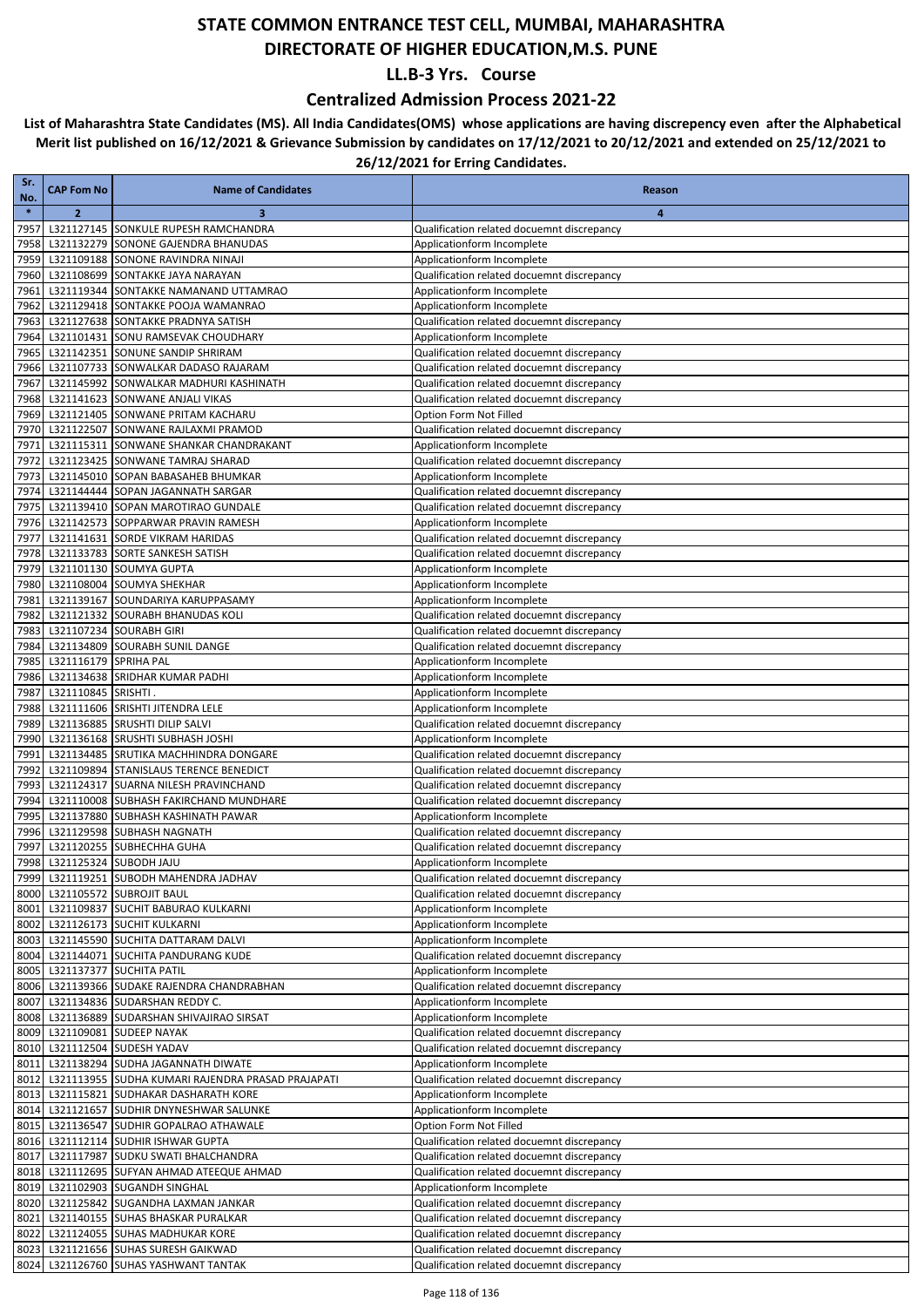### **Centralized Admission Process 2021-22**

| Sr.<br>No.   | <b>CAP Fom No</b>     | <b>Name of Candidates</b>                                                             | Reason                                                                   |
|--------------|-----------------------|---------------------------------------------------------------------------------------|--------------------------------------------------------------------------|
| $\ast$       | $\overline{2}$        | 3                                                                                     | $\overline{4}$                                                           |
| 7957         |                       | L321127145 SONKULE RUPESH RAMCHANDRA                                                  | Qualification related docuemnt discrepancy                               |
| 7958         |                       | L321132279 SONONE GAJENDRA BHANUDAS                                                   | Applicationform Incomplete                                               |
| 7959         |                       | L321109188 SONONE RAVINDRA NINAJI                                                     | Applicationform Incomplete                                               |
| 7960         |                       | L321108699 SONTAKKE JAYA NARAYAN                                                      | Qualification related docuemnt discrepancy                               |
| 7961         |                       | L321119344 SONTAKKE NAMANAND UTTAMRAO                                                 | Applicationform Incomplete                                               |
| 7962         |                       | L321129418 SONTAKKE POOJA WAMANRAO                                                    | Applicationform Incomplete                                               |
| 7963<br>7964 |                       | L321127638 SONTAKKE PRADNYA SATISH<br>L321101431 SONU RAMSEVAK CHOUDHARY              | Qualification related docuemnt discrepancy<br>Applicationform Incomplete |
| 7965         |                       | L321142351 SONUNE SANDIP SHRIRAM                                                      | Qualification related docuemnt discrepancy                               |
| 7966         |                       | L321107733 SONWALKAR DADASO RAJARAM                                                   | Qualification related docuemnt discrepancy                               |
| 7967         |                       | L321145992 SONWALKAR MADHURI KASHINATH                                                | Qualification related docuemnt discrepancy                               |
| 7968         |                       | L321141623 SONWANE ANJALI VIKAS                                                       | Qualification related docuemnt discrepancy                               |
| 7969         |                       | L321121405 SONWANE PRITAM KACHARU                                                     | Option Form Not Filled                                                   |
| 7970         |                       | L321122507 SONWANE RAJLAXMI PRAMOD                                                    | Qualification related docuemnt discrepancy                               |
| 7971         |                       | L321115311 SONWANE SHANKAR CHANDRAKANT                                                | Applicationform Incomplete                                               |
| 7972         |                       | L321123425 SONWANE TAMRAJ SHARAD                                                      | Qualification related docuemnt discrepancy                               |
| 7973         |                       | L321145010 SOPAN BABASAHEB BHUMKAR                                                    | Applicationform Incomplete                                               |
| 7974         |                       | L321144444 SOPAN JAGANNATH SARGAR                                                     | Qualification related docuemnt discrepancy                               |
| 7975         |                       | L321139410 SOPAN MAROTIRAO GUNDALE                                                    | Qualification related docuemnt discrepancy                               |
| 7976<br>7977 |                       | L321142573 SOPPARWAR PRAVIN RAMESH<br>L321141631 SORDE VIKRAM HARIDAS                 | Applicationform Incomplete<br>Qualification related docuemnt discrepancy |
| 7978         |                       | L321133783 SORTE SANKESH SATISH                                                       | Qualification related docuemnt discrepancy                               |
| 7979         |                       | L321101130 SOUMYA GUPTA                                                               | Applicationform Incomplete                                               |
| 7980         |                       | L321108004 SOUMYA SHEKHAR                                                             | Applicationform Incomplete                                               |
| 7981         |                       | L321139167 SOUNDARIYA KARUPPASAMY                                                     | Applicationform Incomplete                                               |
| 7982         |                       | L321121332 SOURABH BHANUDAS KOLI                                                      | Qualification related docuemnt discrepancy                               |
| 7983         |                       | L321107234 SOURABH GIRI                                                               | Qualification related docuemnt discrepancy                               |
| 7984         |                       | L321134809 SOURABH SUNIL DANGE                                                        | Qualification related docuemnt discrepancy                               |
| 7985         | L321116179 SPRIHA PAL |                                                                                       | Applicationform Incomplete                                               |
| 7986         |                       | L321134638 SRIDHAR KUMAR PADHI                                                        | Applicationform Incomplete                                               |
| 7987         | L321110845 SRISHTI.   |                                                                                       | Applicationform Incomplete                                               |
| 7988         |                       | L321111606 SRISHTI JITENDRA LELE                                                      | Applicationform Incomplete                                               |
| 7989<br>7990 |                       | L321136885 SRUSHTI DILIP SALVI<br>L321136168 SRUSHTI SUBHASH JOSHI                    | Qualification related docuemnt discrepancy<br>Applicationform Incomplete |
| 7991         |                       | L321134485 SRUTIKA MACHHINDRA DONGARE                                                 | Qualification related docuemnt discrepancy                               |
| 7992         |                       | L321109894 STANISLAUS TERENCE BENEDICT                                                | Qualification related docuemnt discrepancy                               |
| 7993         |                       | L321124317 SUARNA NILESH PRAVINCHAND                                                  | Qualification related docuemnt discrepancy                               |
| 7994         |                       | L321110008 SUBHASH FAKIRCHAND MUNDHARE                                                | Qualification related docuemnt discrepancy                               |
| 7995         |                       | L321137880 SUBHASH KASHINATH PAWAR                                                    | Applicationform Incomplete                                               |
| 7996         |                       | L321129598 SUBHASH NAGNATH                                                            | Qualification related docuemnt discrepancy                               |
| 7997         |                       | L321120255 SUBHECHHA GUHA                                                             | Qualification related docuemnt discrepancy                               |
| 7998         |                       | L321125324 SUBODH JAJU                                                                | Applicationform Incomplete                                               |
|              |                       | 7999 L321119251 SUBODH MAHENDRA JADHAV                                                | Qualification related docuemnt discrepancy                               |
|              |                       | 8000 L321105572 SUBROJIT BAUL                                                         | Qualification related docuemnt discrepancy                               |
|              |                       | 8001 L321109837 SUCHIT BABURAO KULKARNI<br>8002 L321126173 SUCHIT KULKARNI            | Applicationform Incomplete                                               |
|              |                       | 8003 L321145590 SUCHITA DATTARAM DALVI                                                | Applicationform Incomplete<br>Applicationform Incomplete                 |
|              |                       | 8004 L321144071 SUCHITA PANDURANG KUDE                                                | Qualification related docuemnt discrepancy                               |
|              |                       | 8005 L321137377 SUCHITA PATIL                                                         | Applicationform Incomplete                                               |
|              |                       | 8006 L321139366 SUDAKE RAJENDRA CHANDRABHAN                                           | Qualification related docuemnt discrepancy                               |
| 8007         |                       | L321134836 SUDARSHAN REDDY C.                                                         | Applicationform Incomplete                                               |
|              |                       | 8008 L321136889 SUDARSHAN SHIVAJIRAO SIRSAT                                           | Applicationform Incomplete                                               |
|              |                       | 8009 L321109081 SUDEEP NAYAK                                                          | Qualification related docuemnt discrepancy                               |
|              |                       | 8010 L321112504 SUDESH YADAV                                                          | Qualification related docuemnt discrepancy                               |
| 8011         |                       | L321138294 SUDHA JAGANNATH DIWATE                                                     | Applicationform Incomplete                                               |
|              |                       | 8012 L321113955 SUDHA KUMARI RAJENDRA PRASAD PRAJAPATI                                | Qualification related docuemnt discrepancy                               |
|              |                       | 8013 L321115821 SUDHAKAR DASHARATH KORE                                               | Applicationform Incomplete                                               |
|              |                       | 8014 L321121657 SUDHIR DNYNESHWAR SALUNKE<br>8015 L321136547 SUDHIR GOPALRAO ATHAWALE | Applicationform Incomplete<br>Option Form Not Filled                     |
|              |                       | 8016 L321112114 SUDHIR ISHWAR GUPTA                                                   | Qualification related docuemnt discrepancy                               |
| 8017         |                       | L321117987 SUDKU SWATI BHALCHANDRA                                                    | Qualification related docuemnt discrepancy                               |
|              |                       | 8018 L321112695 SUFYAN AHMAD ATEEQUE AHMAD                                            | Qualification related docuemnt discrepancy                               |
|              |                       | 8019 L321102903 SUGANDH SINGHAL                                                       | Applicationform Incomplete                                               |
|              |                       | 8020 L321125842 SUGANDHA LAXMAN JANKAR                                                | Qualification related docuemnt discrepancy                               |
|              |                       | 8021 L321140155 SUHAS BHASKAR PURALKAR                                                | Qualification related docuemnt discrepancy                               |
|              |                       | 8022 L321124055 SUHAS MADHUKAR KORE                                                   | Qualification related docuemnt discrepancy                               |
|              |                       | 8023 L321121656 SUHAS SURESH GAIKWAD                                                  | Qualification related docuemnt discrepancy                               |
|              |                       | 8024 L321126760 SUHAS YASHWANT TANTAK                                                 | Qualification related docuemnt discrepancy                               |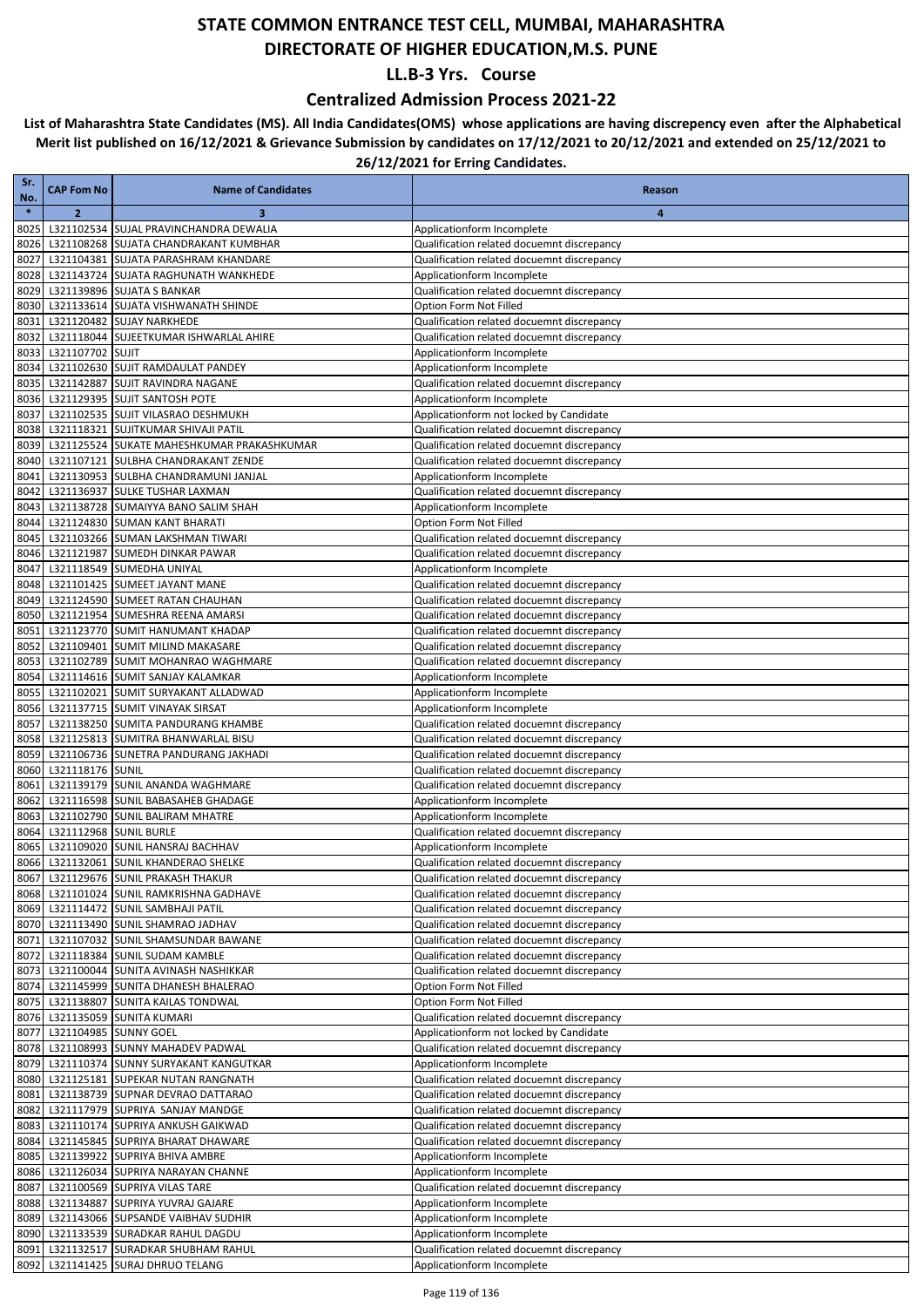### **Centralized Admission Process 2021-22**

| Sr.<br>No.   | <b>CAP Fom No</b>          | <b>Name of Candidates</b>                                                        | Reason                                                                                   |
|--------------|----------------------------|----------------------------------------------------------------------------------|------------------------------------------------------------------------------------------|
| $\ast$       | $\overline{2}$             | 3                                                                                | $\overline{4}$                                                                           |
| 8025         |                            | L321102534 SUJAL PRAVINCHANDRA DEWALIA                                           | Applicationform Incomplete                                                               |
| 8026         |                            | L321108268 SUJATA CHANDRAKANT KUMBHAR                                            | Qualification related docuemnt discrepancy                                               |
| 8027         |                            | L321104381 SUJATA PARASHRAM KHANDARE                                             | Qualification related docuemnt discrepancy                                               |
| 8028         |                            | L321143724 SUJATA RAGHUNATH WANKHEDE                                             | Applicationform Incomplete                                                               |
| 8029         |                            | L321139896 SUJATA S BANKAR                                                       | Qualification related docuemnt discrepancy                                               |
| 8030         |                            | L321133614 SUJATA VISHWANATH SHINDE                                              | Option Form Not Filled                                                                   |
| 8031         |                            | L321120482 SUJAY NARKHEDE                                                        | Qualification related docuemnt discrepancy                                               |
| 8032         |                            | L321118044 SUJEETKUMAR ISHWARLAL AHIRE                                           | Qualification related docuemnt discrepancy                                               |
| 8033         | L321107702 SUJIT           |                                                                                  | Applicationform Incomplete                                                               |
| 8034         |                            | L321102630 SUJIT RAMDAULAT PANDEY                                                | Applicationform Incomplete                                                               |
| 8035         |                            | L321142887 SUJIT RAVINDRA NAGANE<br>L321129395 SUJIT SANTOSH POTE                | Qualification related docuemnt discrepancy                                               |
| 8036<br>8037 |                            | L321102535 SUJIT VILASRAO DESHMUKH                                               | Applicationform Incomplete<br>Applicationform not locked by Candidate                    |
| 8038         |                            | L321118321 SUJITKUMAR SHIVAJI PATIL                                              | Qualification related docuemnt discrepancy                                               |
| 8039         |                            | L321125524 SUKATE MAHESHKUMAR PRAKASHKUMAR                                       | Qualification related docuemnt discrepancy                                               |
| 8040         |                            | L321107121 SULBHA CHANDRAKANT ZENDE                                              | Qualification related docuemnt discrepancy                                               |
| 8041         |                            | L321130953 SULBHA CHANDRAMUNI JANJAL                                             | Applicationform Incomplete                                                               |
| 8042         |                            | L321136937 SULKE TUSHAR LAXMAN                                                   | Qualification related docuemnt discrepancy                                               |
| 8043         |                            | L321138728 SUMAIYYA BANO SALIM SHAH                                              | Applicationform Incomplete                                                               |
| 8044         |                            | L321124830 SUMAN KANT BHARATI                                                    | Option Form Not Filled                                                                   |
| 8045         |                            | L321103266 SUMAN LAKSHMAN TIWARI                                                 | Qualification related docuemnt discrepancy                                               |
| 8046         |                            | L321121987 SUMEDH DINKAR PAWAR                                                   | Qualification related docuemnt discrepancy                                               |
| 8047         |                            | L321118549 SUMEDHA UNIYAL                                                        | Applicationform Incomplete                                                               |
| 8048         |                            | L321101425 SUMEET JAYANT MANE                                                    | Qualification related docuemnt discrepancy                                               |
| 8049         |                            | L321124590 SUMEET RATAN CHAUHAN                                                  | Qualification related docuemnt discrepancy                                               |
| 8050         |                            | L321121954 SUMESHRA REENA AMARSI                                                 | Qualification related docuemnt discrepancy                                               |
| 8051         |                            | L321123770 SUMIT HANUMANT KHADAP                                                 | Qualification related docuemnt discrepancy                                               |
| 8052<br>8053 |                            | L321109401 SUMIT MILIND MAKASARE<br>L321102789 SUMIT MOHANRAO WAGHMARE           | Qualification related docuemnt discrepancy<br>Qualification related docuemnt discrepancy |
| 8054         |                            | L321114616 SUMIT SANJAY KALAMKAR                                                 | Applicationform Incomplete                                                               |
| 8055         |                            | L321102021 SUMIT SURYAKANT ALLADWAD                                              | Applicationform Incomplete                                                               |
| 8056         |                            | L321137715 SUMIT VINAYAK SIRSAT                                                  | Applicationform Incomplete                                                               |
| 8057         |                            | L321138250 SUMITA PANDURANG KHAMBE                                               | Qualification related docuemnt discrepancy                                               |
| 8058         |                            | L321125813 SUMITRA BHANWARLAL BISU                                               | Qualification related docuemnt discrepancy                                               |
| 8059         |                            | L321106736 SUNETRA PANDURANG JAKHADI                                             | Qualification related docuemnt discrepancy                                               |
| 8060         | L321118176 SUNIL           |                                                                                  | Qualification related docuemnt discrepancy                                               |
| 8061         |                            | L321139179 SUNIL ANANDA WAGHMARE                                                 | Qualification related docuemnt discrepancy                                               |
| 8062         |                            | L321116598 SUNIL BABASAHEB GHADAGE                                               | Applicationform Incomplete                                                               |
| 8063         |                            | L321102790 SUNIL BALIRAM MHATRE                                                  | Applicationform Incomplete                                                               |
| 8064         | L321112968 SUNIL BURLE     |                                                                                  | Qualification related docuemnt discrepancy                                               |
| 8065         |                            | L321109020 SUNIL HANSRAJ BACHHAV                                                 | Applicationform Incomplete                                                               |
| 8066         |                            | L321132061 SUNIL KHANDERAO SHELKE                                                | Qualification related docuemnt discrepancy                                               |
|              |                            | 8067 L321129676 SUNIL PRAKASH THAKUR<br>8068 L321101024 SUNIL RAMKRISHNA GADHAVE | Qualification related docuemnt discrepancy<br>Qualification related docuemnt discrepancy |
|              |                            | 8069 L321114472 SUNIL SAMBHAJI PATIL                                             | Qualification related docuemnt discrepancy                                               |
|              |                            | 8070 L321113490 SUNIL SHAMRAO JADHAV                                             | Qualification related docuemnt discrepancy                                               |
|              |                            | 8071 L321107032 SUNIL SHAMSUNDAR BAWANE                                          | Qualification related docuemnt discrepancy                                               |
|              |                            | 8072 L321118384 SUNIL SUDAM KAMBLE                                               | Qualification related docuemnt discrepancy                                               |
|              |                            | 8073 L321100044 SUNITA AVINASH NASHIKKAR                                         | Qualification related docuemnt discrepancy                                               |
|              |                            | 8074 L321145999 SUNITA DHANESH BHALERAO                                          | Option Form Not Filled                                                                   |
| 8075         |                            | L321138807 SUNITA KAILAS TONDWAL                                                 | Option Form Not Filled                                                                   |
|              |                            | 8076 L321135059 SUNITA KUMARI                                                    | Qualification related docuemnt discrepancy                                               |
|              | 8077 L321104985 SUNNY GOEL |                                                                                  | Applicationform not locked by Candidate                                                  |
|              |                            | 8078 L321108993 SUNNY MAHADEV PADWAL                                             | Qualification related docuemnt discrepancy                                               |
|              |                            | 8079 L321110374 SUNNY SURYAKANT KANGUTKAR                                        | Applicationform Incomplete                                                               |
|              |                            | 8080 L321125181 SUPEKAR NUTAN RANGNATH                                           | Qualification related docuemnt discrepancy                                               |
| 8081         |                            | L321138739 SUPNAR DEVRAO DATTARAO                                                | Qualification related docuemnt discrepancy                                               |
| 8082         |                            | L321117979 SUPRIYA SANJAY MANDGE<br>8083 L321110174 SUPRIYA ANKUSH GAIKWAD       | Qualification related docuemnt discrepancy<br>Qualification related docuemnt discrepancy |
| 8084         |                            | L321145845 SUPRIYA BHARAT DHAWARE                                                | Qualification related docuemnt discrepancy                                               |
|              |                            | 8085 L321139922 SUPRIYA BHIVA AMBRE                                              | Applicationform Incomplete                                                               |
|              |                            | 8086 L321126034 SUPRIYA NARAYAN CHANNE                                           | Applicationform Incomplete                                                               |
| 8087         |                            | L321100569 SUPRIYA VILAS TARE                                                    | Qualification related docuemnt discrepancy                                               |
|              |                            | 8088 L321134887 SUPRIYA YUVRAJ GAJARE                                            | Applicationform Incomplete                                                               |
|              |                            | 8089 L321143066 SUPSANDE VAIBHAV SUDHIR                                          | Applicationform Incomplete                                                               |
|              |                            | 8090 L321133539 SURADKAR RAHUL DAGDU                                             | Applicationform Incomplete                                                               |
| 8091         |                            | L321132517 SURADKAR SHUBHAM RAHUL                                                | Qualification related docuemnt discrepancy                                               |
|              |                            | 8092 L321141425 SURAJ DHRUO TELANG                                               | Applicationform Incomplete                                                               |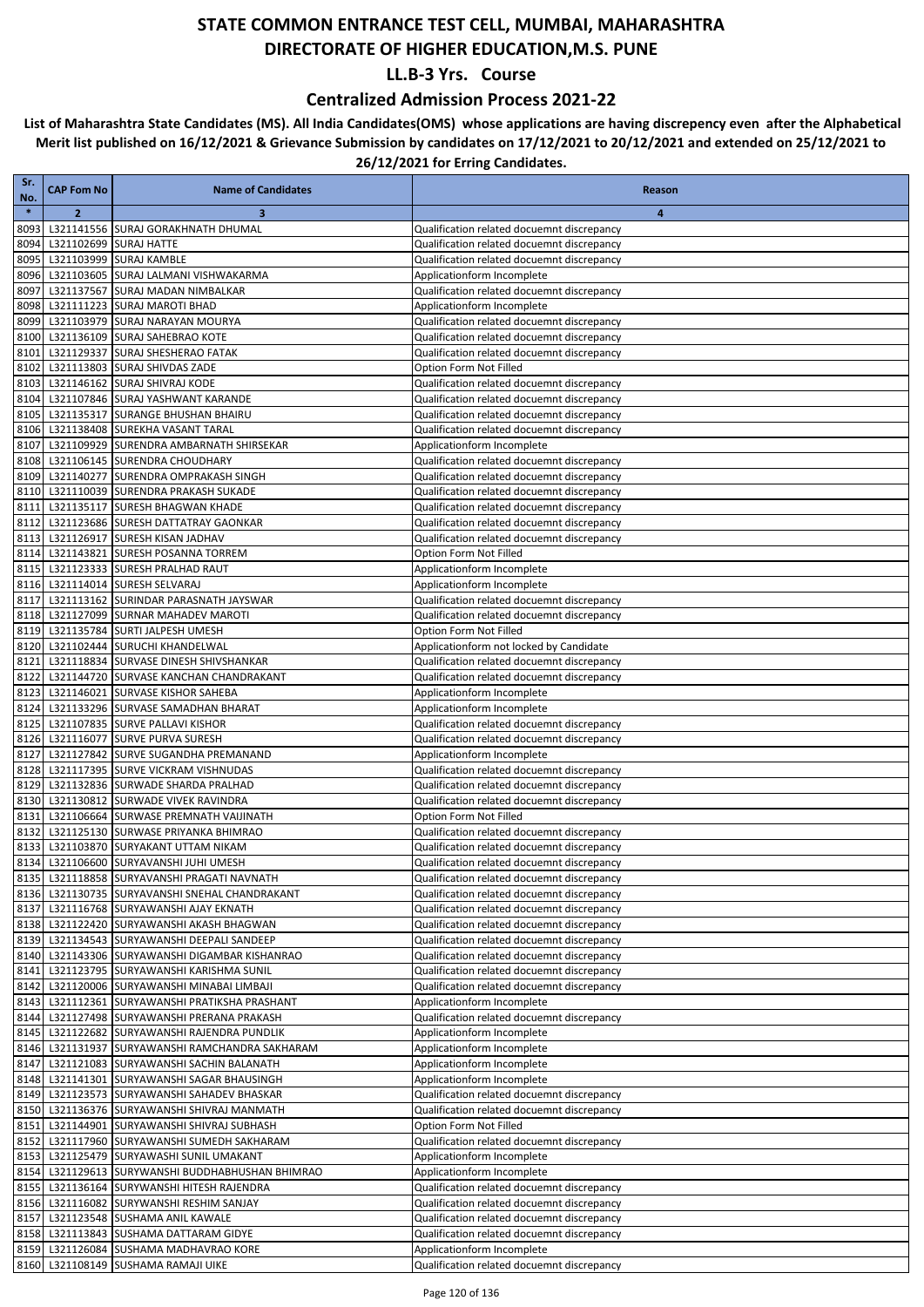### **Centralized Admission Process 2021-22**

| Sr.<br>No.   | <b>CAP Fom No</b> | <b>Name of Candidates</b>                                                                 | Reason                                                                                   |
|--------------|-------------------|-------------------------------------------------------------------------------------------|------------------------------------------------------------------------------------------|
| $\ast$       | $\overline{2}$    | 3                                                                                         | 4                                                                                        |
| 8093         |                   | L321141556 SURAJ GORAKHNATH DHUMAL                                                        | Qualification related docuemnt discrepancy                                               |
| 8094         |                   | L321102699 SURAJ HATTE                                                                    | Qualification related docuemnt discrepancy                                               |
| 8095         |                   | L321103999 SURAJ KAMBLE                                                                   | Qualification related docuemnt discrepancy                                               |
| 8096         |                   | L321103605 SURAJ LALMANI VISHWAKARMA                                                      | Applicationform Incomplete                                                               |
| 8097<br>8098 |                   | L321137567 SURAJ MADAN NIMBALKAR<br>L321111223 SURAJ MAROTI BHAD                          | Qualification related docuemnt discrepancy<br>Applicationform Incomplete                 |
| 8099         |                   | L321103979 SURAJ NARAYAN MOURYA                                                           | Qualification related docuemnt discrepancy                                               |
| 8100         |                   | L321136109 SURAJ SAHEBRAO KOTE                                                            | Qualification related docuemnt discrepancy                                               |
| 8101         |                   | L321129337 SURAJ SHESHERAO FATAK                                                          | Qualification related docuemnt discrepancy                                               |
| 8102         |                   | L321113803 SURAJ SHIVDAS ZADE                                                             | Option Form Not Filled                                                                   |
| 8103         |                   | L321146162 SURAJ SHIVRAJ KODE                                                             | Qualification related docuemnt discrepancy                                               |
| 8104         |                   | L321107846 SURAJ YASHWANT KARANDE                                                         | Qualification related docuemnt discrepancy                                               |
| 8105<br>8106 |                   | L321135317 SURANGE BHUSHAN BHAIRU<br>L321138408 SUREKHA VASANT TARAL                      | Qualification related docuemnt discrepancy<br>Qualification related docuemnt discrepancy |
| 8107         |                   | L321109929 SURENDRA AMBARNATH SHIRSEKAR                                                   | Applicationform Incomplete                                                               |
| 8108         |                   | L321106145 SURENDRA CHOUDHARY                                                             | Qualification related docuemnt discrepancy                                               |
| 8109         |                   | L321140277 SURENDRA OMPRAKASH SINGH                                                       | Qualification related docuemnt discrepancy                                               |
|              |                   | 8110 L321110039 SURENDRA PRAKASH SUKADE                                                   | Qualification related docuemnt discrepancy                                               |
| 8111         |                   | L321135117 SURESH BHAGWAN KHADE                                                           | Qualification related docuemnt discrepancy                                               |
| 8112         |                   | L321123686 SURESH DATTATRAY GAONKAR                                                       | Qualification related docuemnt discrepancy                                               |
| 8114         |                   | 8113 L321126917 SURESH KISAN JADHAV<br>L321143821 SURESH POSANNA TORREM                   | Qualification related docuemnt discrepancy<br>Option Form Not Filled                     |
| 8115         |                   | L321123333 SURESH PRALHAD RAUT                                                            | Applicationform Incomplete                                                               |
|              |                   | 8116 L321114014 SURESH SELVARAJ                                                           | Applicationform Incomplete                                                               |
| 8117         |                   | L321113162 SURINDAR PARASNATH JAYSWAR                                                     | Qualification related docuemnt discrepancy                                               |
| 8118         |                   | L321127099 SURNAR MAHADEV MAROTI                                                          | Qualification related docuemnt discrepancy                                               |
| 8119         |                   | L321135784 SURTI JALPESH UMESH                                                            | Option Form Not Filled                                                                   |
| 8120         |                   | L321102444 SURUCHI KHANDELWAL                                                             | Applicationform not locked by Candidate                                                  |
| 8121<br>8122 |                   | L321118834 SURVASE DINESH SHIVSHANKAR<br>L321144720 SURVASE KANCHAN CHANDRAKANT           | Qualification related docuemnt discrepancy<br>Qualification related docuemnt discrepancy |
| 8123         |                   | L321146021 SURVASE KISHOR SAHEBA                                                          | Applicationform Incomplete                                                               |
| 8124         |                   | L321133296 SURVASE SAMADHAN BHARAT                                                        | Applicationform Incomplete                                                               |
| 8125         |                   | L321107835 SURVE PALLAVI KISHOR                                                           | Qualification related docuemnt discrepancy                                               |
| 8126         |                   | L321116077 SURVE PURVA SURESH                                                             | Qualification related docuemnt discrepancy                                               |
| 8127         |                   | L321127842 SURVE SUGANDHA PREMANAND                                                       | Applicationform Incomplete                                                               |
| 8128         |                   | L321117395 SURVE VICKRAM VISHNUDAS<br>L321132836 SURWADE SHARDA PRALHAD                   | Qualification related docuemnt discrepancy                                               |
| 8129<br>8130 |                   | L321130812 SURWADE VIVEK RAVINDRA                                                         | Qualification related docuemnt discrepancy<br>Qualification related docuemnt discrepancy |
| 8131         |                   | L321106664 SURWASE PREMNATH VAIJINATH                                                     | Option Form Not Filled                                                                   |
| 8132         |                   | L321125130 SURWASE PRIYANKA BHIMRAO                                                       | Qualification related docuemnt discrepancy                                               |
| 8133         |                   | L321103870 SURYAKANT UTTAM NIKAM                                                          | Qualification related docuemnt discrepancy                                               |
| 8134         |                   | L321106600 SURYAVANSHI JUHI UMESH                                                         | Qualification related docuemnt discrepancy                                               |
|              |                   | 8135 L321118858 SURYAVANSHI PRAGATI NAVNATH                                               | Qualification related docuemnt discrepancy                                               |
|              |                   | 8136 L321130735 SURYAVANSHI SNEHAL CHANDRAKANT<br>8137 L321116768 SURYAWANSHI AJAY EKNATH | Qualification related docuemnt discrepancy<br>Qualification related docuemnt discrepancy |
|              |                   | 8138 L321122420 SURYAWANSHI AKASH BHAGWAN                                                 | Qualification related docuemnt discrepancy                                               |
| 8139         |                   | L321134543 SURYAWANSHI DEEPALI SANDEEP                                                    | Qualification related docuemnt discrepancy                                               |
|              |                   | 8140 L321143306 SURYAWANSHI DIGAMBAR KISHANRAO                                            | Qualification related docuemnt discrepancy                                               |
|              |                   | 8141 L321123795 SURYAWANSHI KARISHMA SUNIL                                                | Qualification related docuemnt discrepancy                                               |
| 8142         |                   | L321120006 SURYAWANSHI MINABAI LIMBAJI                                                    | Qualification related docuemnt discrepancy                                               |
| 8143         |                   | L321112361 SURYAWANSHI PRATIKSHA PRASHANT                                                 | Applicationform Incomplete                                                               |
| 8145         |                   | 8144 L321127498 SURYAWANSHI PRERANA PRAKASH<br>L321122682 SURYAWANSHI RAJENDRA PUNDLIK    | Qualification related docuemnt discrepancy<br>Applicationform Incomplete                 |
|              |                   | 8146 L321131937 SURYAWANSHI RAMCHANDRA SAKHARAM                                           | Applicationform Incomplete                                                               |
| 8147         |                   | L321121083 SURYAWANSHI SACHIN BALANATH                                                    | Applicationform Incomplete                                                               |
|              |                   | 8148 L321141301 SURYAWANSHI SAGAR BHAUSINGH                                               | Applicationform Incomplete                                                               |
|              |                   | 8149 L321123573 SURYAWANSHI SAHADEV BHASKAR                                               | Qualification related docuemnt discrepancy                                               |
|              |                   | 8150 L321136376 SURYAWANSHI SHIVRAJ MANMATH                                               | Qualification related docuemnt discrepancy                                               |
| 8151         |                   | L321144901 SURYAWANSHI SHIVRAJ SUBHASH                                                    | Option Form Not Filled                                                                   |
| 8152         |                   | L321117960 SURYAWANSHI SUMEDH SAKHARAM<br>8153 L321125479 SURYAWASHI SUNIL UMAKANT        | Qualification related docuemnt discrepancy<br>Applicationform Incomplete                 |
|              |                   | 8154 L321129613 SURYWANSHI BUDDHABHUSHAN BHIMRAO                                          | Applicationform Incomplete                                                               |
|              |                   | 8155 L321136164 SURYWANSHI HITESH RAJENDRA                                                | Qualification related docuemnt discrepancy                                               |
|              |                   | 8156 L321116082 SURYWANSHI RESHIM SANJAY                                                  | Qualification related docuemnt discrepancy                                               |
|              |                   | 8157 L321123548 SUSHAMA ANIL KAWALE                                                       | Qualification related docuemnt discrepancy                                               |
|              |                   | 8158 L321113843 SUSHAMA DATTARAM GIDYE                                                    | Qualification related docuemnt discrepancy                                               |
|              |                   | 8159 L321126084 SUSHAMA MADHAVRAO KORE<br>8160 L321108149 SUSHAMA RAMAJI UIKE             | Applicationform Incomplete<br>Qualification related docuemnt discrepancy                 |
|              |                   |                                                                                           |                                                                                          |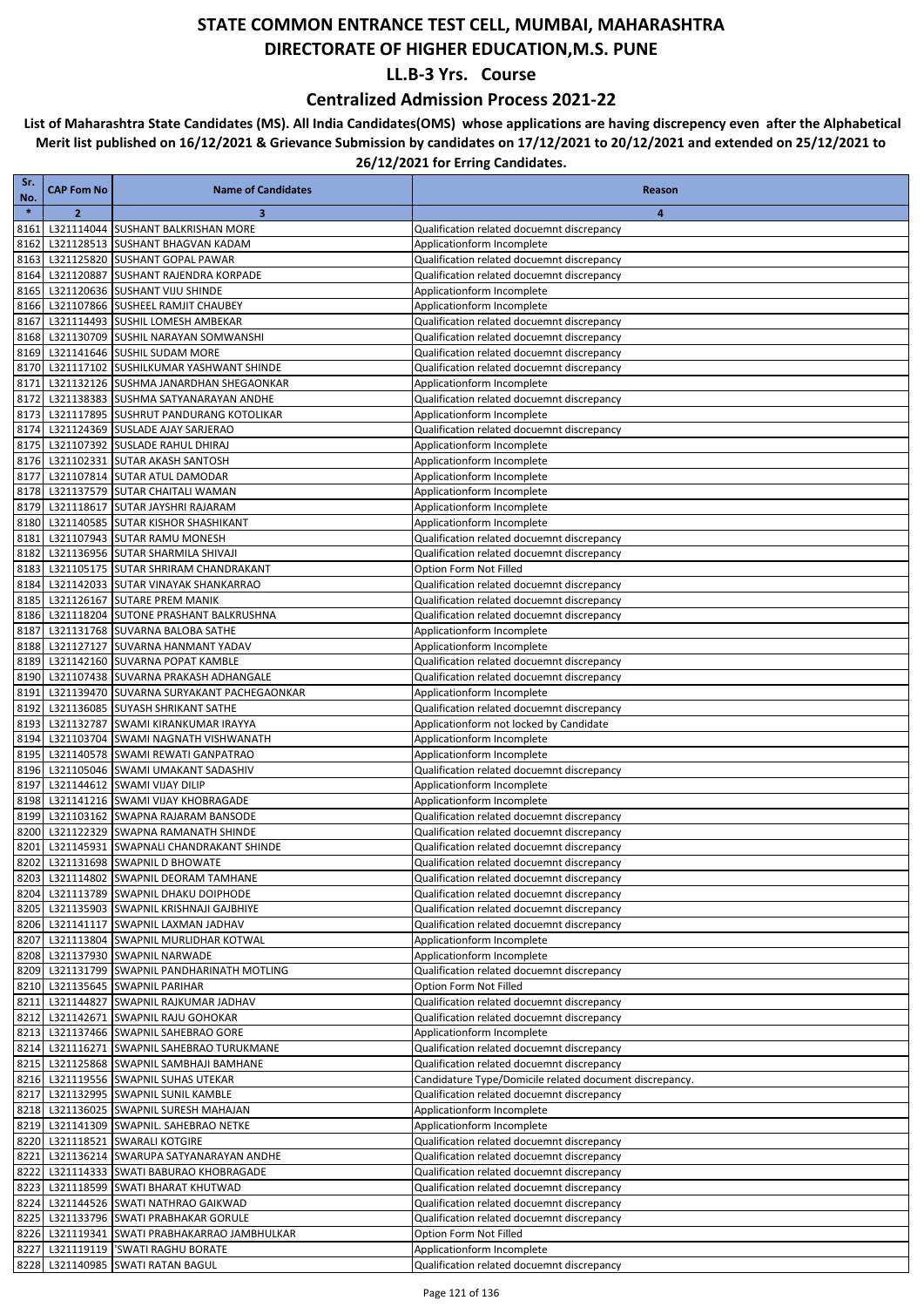### **Centralized Admission Process 2021-22**

| Sr.<br>No.   | <b>CAP Fom No</b> | <b>Name of Candidates</b>                                                              | Reason                                                                                   |
|--------------|-------------------|----------------------------------------------------------------------------------------|------------------------------------------------------------------------------------------|
| $\ast$       | $\overline{2}$    | 3                                                                                      | 4                                                                                        |
| 8161         |                   | L321114044 SUSHANT BALKRISHAN MORE                                                     | Qualification related docuemnt discrepancy                                               |
| 8162         |                   | L321128513 SUSHANT BHAGVAN KADAM                                                       | Applicationform Incomplete                                                               |
| 8163         |                   | L321125820 SUSHANT GOPAL PAWAR                                                         | Qualification related docuemnt discrepancy                                               |
| 8164         |                   | L321120887 SUSHANT RAJENDRA KORPADE                                                    | Qualification related docuemnt discrepancy                                               |
| 8165         |                   | L321120636 SUSHANT VIJU SHINDE                                                         | Applicationform Incomplete                                                               |
| 8166<br>8167 |                   | L321107866 SUSHEEL RAMJIT CHAUBEY<br>L321114493 SUSHIL LOMESH AMBEKAR                  | Applicationform Incomplete<br>Qualification related docuemnt discrepancy                 |
| 8168         |                   | L321130709 SUSHIL NARAYAN SOMWANSHI                                                    | Qualification related docuemnt discrepancy                                               |
| 8169         |                   | L321141646 SUSHIL SUDAM MORE                                                           | Qualification related docuemnt discrepancy                                               |
| 8170         |                   | L321117102 SUSHILKUMAR YASHWANT SHINDE                                                 | Qualification related docuemnt discrepancy                                               |
| 8171         |                   | L321132126 SUSHMA JANARDHAN SHEGAONKAR                                                 | Applicationform Incomplete                                                               |
| 8172         |                   | L321138383 SUSHMA SATYANARAYAN ANDHE                                                   | Qualification related docuemnt discrepancy                                               |
| 8173         |                   | L321117895 SUSHRUT PANDURANG KOTOLIKAR                                                 | Applicationform Incomplete                                                               |
| 8174<br>8175 |                   | L321124369 SUSLADE AJAY SARJERAO<br>L321107392 SUSLADE RAHUL DHIRAJ                    | Qualification related docuemnt discrepancy<br>Applicationform Incomplete                 |
| 8176         |                   | L321102331 SUTAR AKASH SANTOSH                                                         | Applicationform Incomplete                                                               |
| 8177         |                   | L321107814 SUTAR ATUL DAMODAR                                                          | Applicationform Incomplete                                                               |
| 8178         |                   | L321137579 SUTAR CHAITALI WAMAN                                                        | Applicationform Incomplete                                                               |
| 8179         |                   | L321118617 SUTAR JAYSHRI RAJARAM                                                       | Applicationform Incomplete                                                               |
| 8180         |                   | L321140585 SUTAR KISHOR SHASHIKANT                                                     | Applicationform Incomplete                                                               |
| 8181         |                   | L321107943 SUTAR RAMU MONESH                                                           | Qualification related docuemnt discrepancy                                               |
| 8182<br>8183 |                   | L321136956 SUTAR SHARMILA SHIVAJI<br>L321105175 SUTAR SHRIRAM CHANDRAKANT              | Qualification related docuemnt discrepancy<br>Option Form Not Filled                     |
| 8184         |                   | L321142033 SUTAR VINAYAK SHANKARRAO                                                    | Qualification related docuemnt discrepancy                                               |
| 8185         |                   | L321126167 SUTARE PREM MANIK                                                           | Qualification related docuemnt discrepancy                                               |
| 8186         |                   | L321118204 SUTONE PRASHANT BALKRUSHNA                                                  | Qualification related docuemnt discrepancy                                               |
| 8187         |                   | L321131768 SUVARNA BALOBA SATHE                                                        | Applicationform Incomplete                                                               |
| 8188         |                   | L321127127 SUVARNA HANMANT YADAV                                                       | Applicationform Incomplete                                                               |
| 8189         |                   | L321142160 SUVARNA POPAT KAMBLE                                                        | Qualification related docuemnt discrepancy                                               |
| 8190<br>8191 |                   | L321107438 SUVARNA PRAKASH ADHANGALE<br>L321139470 SUVARNA SURYAKANT PACHEGAONKAR      | Qualification related docuemnt discrepancy<br>Applicationform Incomplete                 |
| 8192         |                   | L321136085 SUYASH SHRIKANT SATHE                                                       | Qualification related docuemnt discrepancy                                               |
| 8193         |                   | L321132787 SWAMI KIRANKUMAR IRAYYA                                                     | Applicationform not locked by Candidate                                                  |
| 8194         |                   | L321103704 SWAMI NAGNATH VISHWANATH                                                    | Applicationform Incomplete                                                               |
| 8195         |                   | L321140578 SWAMI REWATI GANPATRAO                                                      | Applicationform Incomplete                                                               |
| 8196         |                   | L321105046 SWAMI UMAKANT SADASHIV                                                      | Qualification related docuemnt discrepancy                                               |
| 8197         |                   | L321144612 SWAMI VIJAY DILIP                                                           | Applicationform Incomplete                                                               |
| 8198<br>8199 |                   | L321141216 SWAMI VIJAY KHOBRAGADE<br>L321103162 SWAPNA RAJARAM BANSODE                 | Applicationform Incomplete<br>Qualification related docuemnt discrepancy                 |
| 8200         |                   | L321122329 SWAPNA RAMANATH SHINDE                                                      | Qualification related docuemnt discrepancy                                               |
| 8201         |                   | L321145931 SWAPNALI CHANDRAKANT SHINDE                                                 | Qualification related docuemnt discrepancy                                               |
| 8202         |                   | L321131698 SWAPNIL D BHOWATE                                                           | Qualification related docuemnt discrepancy                                               |
|              |                   | 8203 L321114802 SWAPNIL DEORAM TAMHANE                                                 | Qualification related docuemnt discrepancy                                               |
|              |                   | 8204 L321113789 SWAPNIL DHAKU DOIPHODE                                                 | Qualification related docuemnt discrepancy                                               |
|              |                   | 8205 L321135903 SWAPNIL KRISHNAJI GAJBHIYE                                             | Qualification related docuemnt discrepancy                                               |
| 8207         |                   | 8206 L321141117 SWAPNIL LAXMAN JADHAV<br>L321113804 SWAPNIL MURLIDHAR KOTWAL           | Qualification related docuemnt discrepancy<br>Applicationform Incomplete                 |
| 8208         |                   | L321137930 SWAPNIL NARWADE                                                             | Applicationform Incomplete                                                               |
|              |                   | 8209 L321131799 SWAPNIL PANDHARINATH MOTLING                                           | Qualification related docuemnt discrepancy                                               |
|              |                   | 8210 L321135645 SWAPNIL PARIHAR                                                        | Option Form Not Filled                                                                   |
| 8211         |                   | L321144827 SWAPNIL RAJKUMAR JADHAV                                                     | Qualification related docuemnt discrepancy                                               |
|              |                   | 8212 L321142671 SWAPNIL RAJU GOHOKAR                                                   | Qualification related docuemnt discrepancy                                               |
|              |                   | 8213 L321137466 SWAPNIL SAHEBRAO GORE                                                  | Applicationform Incomplete                                                               |
|              |                   | 8214 L321116271 SWAPNIL SAHEBRAO TURUKMANE<br>8215 L321125868 SWAPNIL SAMBHAJI BAMHANE | Qualification related docuemnt discrepancy<br>Qualification related docuemnt discrepancy |
|              |                   | 8216 L321119556 SWAPNIL SUHAS UTEKAR                                                   | Candidature Type/Domicile related document discrepancy.                                  |
|              |                   | 8217 L321132995 SWAPNIL SUNIL KAMBLE                                                   | Qualification related docuemnt discrepancy                                               |
|              |                   | 8218 L321136025 SWAPNIL SURESH MAHAJAN                                                 | Applicationform Incomplete                                                               |
|              |                   | 8219 L321141309 SWAPNIL. SAHEBRAO NETKE                                                | Applicationform Incomplete                                                               |
|              |                   | 8220 L321118521 SWARALI KOTGIRE                                                        | Qualification related docuemnt discrepancy                                               |
|              |                   | 8221 L321136214 SWARUPA SATYANARAYAN ANDHE                                             | Qualification related docuemnt discrepancy                                               |
| 8222         |                   | L321114333 SWATI BABURAO KHOBRAGADE<br>8223 L321118599 SWATI BHARAT KHUTWAD            | Qualification related docuemnt discrepancy<br>Qualification related docuemnt discrepancy |
|              |                   | 8224 L321144526 SWATI NATHRAO GAIKWAD                                                  | Qualification related docuemnt discrepancy                                               |
|              |                   | 8225 L321133796 SWATI PRABHAKAR GORULE                                                 | Qualification related docuemnt discrepancy                                               |
|              |                   | 8226 L321119341 SWATI PRABHAKARRAO JAMBHULKAR                                          | Option Form Not Filled                                                                   |
|              |                   | 8227 L321119119 SWATI RAGHU BORATE                                                     | Applicationform Incomplete                                                               |
|              |                   | 8228 L321140985 SWATI RATAN BAGUL                                                      | Qualification related docuemnt discrepancy                                               |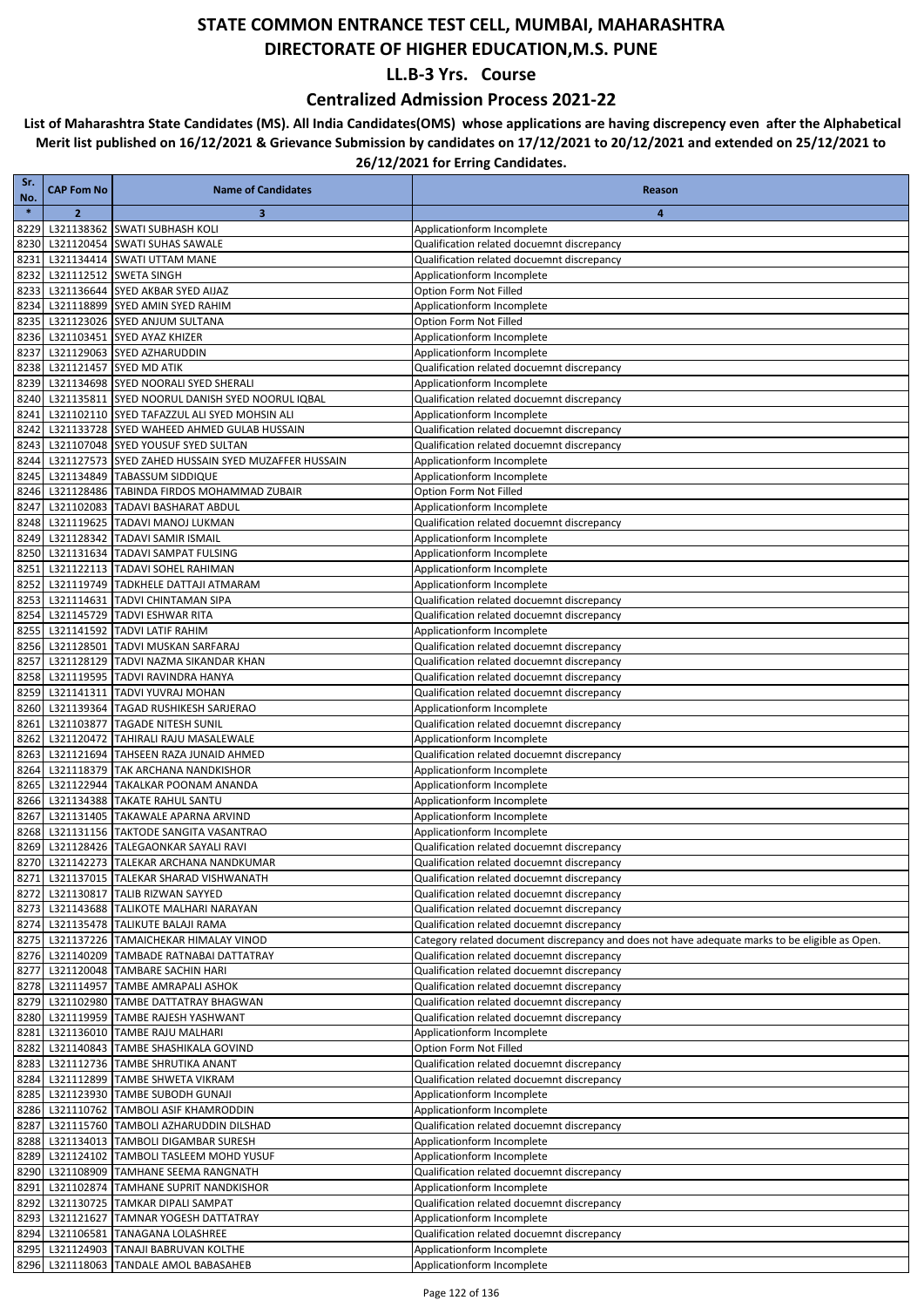### **Centralized Admission Process 2021-22**

| Sr.<br>No.   | <b>CAP Fom No</b> | <b>Name of Candidates</b>                                                        | Reason                                                                                         |
|--------------|-------------------|----------------------------------------------------------------------------------|------------------------------------------------------------------------------------------------|
| $\ast$       | $\overline{2}$    | 3                                                                                | 4                                                                                              |
| 8229         |                   | L321138362 SWATI SUBHASH KOLI                                                    | Applicationform Incomplete                                                                     |
| 8230         |                   | L321120454 SWATI SUHAS SAWALE                                                    | Qualification related docuemnt discrepancy                                                     |
| 8231         |                   | L321134414 SWATI UTTAM MANE                                                      | Qualification related docuemnt discrepancy                                                     |
| 8232         |                   | L321112512 SWETA SINGH                                                           | Applicationform Incomplete                                                                     |
| 8233         |                   | L321136644 SYED AKBAR SYED AIJAZ                                                 | Option Form Not Filled                                                                         |
| 8234         |                   | L321118899 SYED AMIN SYED RAHIM                                                  | Applicationform Incomplete                                                                     |
| 8235         |                   | L321123026 SYED ANJUM SULTANA                                                    | Option Form Not Filled                                                                         |
| 8236<br>8237 |                   | L321103451 SYED AYAZ KHIZER<br>L321129063 SYED AZHARUDDIN                        | Applicationform Incomplete<br>Applicationform Incomplete                                       |
| 8238         |                   | L321121457 SYED MD ATIK                                                          | Qualification related docuemnt discrepancy                                                     |
| 8239         |                   | L321134698 SYED NOORALI SYED SHERALI                                             | Applicationform Incomplete                                                                     |
| 8240         |                   | L321135811 SYED NOORUL DANISH SYED NOORUL IQBAL                                  | Qualification related docuemnt discrepancy                                                     |
| 8241         |                   | L321102110 SYED TAFAZZUL ALI SYED MOHSIN ALI                                     | Applicationform Incomplete                                                                     |
| 8242         |                   | L321133728 SYED WAHEED AHMED GULAB HUSSAIN                                       | Qualification related docuemnt discrepancy                                                     |
| 8243         |                   | L321107048 SYED YOUSUF SYED SULTAN                                               | Qualification related docuemnt discrepancy                                                     |
| 8244         |                   | L321127573 SYED ZAHED HUSSAIN SYED MUZAFFER HUSSAIN                              | Applicationform Incomplete                                                                     |
| 8245         |                   | L321134849 TABASSUM SIDDIQUE                                                     | Applicationform Incomplete                                                                     |
| 8246         |                   | L321128486 TABINDA FIRDOS MOHAMMAD ZUBAIR                                        | Option Form Not Filled                                                                         |
| 8247         |                   | L321102083   TADAVI BASHARAT ABDUL                                               | Applicationform Incomplete                                                                     |
| 8248         |                   | L321119625 TADAVI MANOJ LUKMAN                                                   | Qualification related docuemnt discrepancy                                                     |
| 8249         |                   | L321128342 TADAVI SAMIR ISMAIL                                                   | Applicationform Incomplete                                                                     |
| 8250         |                   | L321131634 TADAVI SAMPAT FULSING<br>L321122113 TADAVI SOHEL RAHIMAN              | Applicationform Incomplete<br>Applicationform Incomplete                                       |
| 8251<br>8252 |                   | L321119749 TADKHELE DATTAJI ATMARAM                                              | Applicationform Incomplete                                                                     |
| 8253         |                   | L321114631 TADVI CHINTAMAN SIPA                                                  | Qualification related docuemnt discrepancy                                                     |
| 8254         |                   | L321145729 TADVI ESHWAR RITA                                                     | Qualification related docuemnt discrepancy                                                     |
| 8255         |                   | L321141592 TADVI LATIF RAHIM                                                     | Applicationform Incomplete                                                                     |
| 8256         |                   | L321128501 TADVI MUSKAN SARFARAJ                                                 | Qualification related docuemnt discrepancy                                                     |
| 8257         |                   | L321128129 TADVI NAZMA SIKANDAR KHAN                                             | Qualification related docuemnt discrepancy                                                     |
| 8258         |                   | L321119595 TADVI RAVINDRA HANYA                                                  | Qualification related docuemnt discrepancy                                                     |
| 8259         |                   | L321141311 TADVI YUVRAJ MOHAN                                                    | Qualification related docuemnt discrepancy                                                     |
| 8260         |                   | L321139364 TAGAD RUSHIKESH SARJERAO                                              | Applicationform Incomplete                                                                     |
| 8261         |                   | L321103877 TAGADE NITESH SUNIL                                                   | Qualification related docuemnt discrepancy                                                     |
| 8262         |                   | L321120472 TAHIRALI RAJU MASALEWALE                                              | Applicationform Incomplete                                                                     |
| 8263         |                   | L321121694 TAHSEEN RAZA JUNAID AHMED                                             | Qualification related docuemnt discrepancy                                                     |
| 8264         |                   | L321118379 TAK ARCHANA NANDKISHOR                                                | Applicationform Incomplete                                                                     |
| 8265<br>8266 |                   | L321122944 TAKALKAR POONAM ANANDA<br>L321134388 TAKATE RAHUL SANTU               | Applicationform Incomplete<br>Applicationform Incomplete                                       |
| 8267         |                   | L321131405 TAKAWALE APARNA ARVIND                                                | Applicationform Incomplete                                                                     |
| 8268         |                   | L321131156 TAKTODE SANGITA VASANTRAO                                             | Applicationform Incomplete                                                                     |
| 8269         |                   | L321128426 TALEGAONKAR SAYALI RAVI                                               | Qualification related docuemnt discrepancy                                                     |
| 8270         |                   | L321142273 TALEKAR ARCHANA NANDKUMAR                                             | Qualification related docuemnt discrepancy                                                     |
|              |                   | 8271 L321137015 TALEKAR SHARAD VISHWANATH                                        | Qualification related docuemnt discrepancy                                                     |
|              |                   | 8272 L321130817 TALIB RIZWAN SAYYED                                              | Qualification related docuemnt discrepancy                                                     |
|              |                   | 8273 L321143688 TALIKOTE MALHARI NARAYAN                                         | Qualification related docuemnt discrepancy                                                     |
|              |                   | 8274 L321135478 TALIKUTE BALAJI RAMA                                             | Qualification related docuemnt discrepancy                                                     |
|              |                   | 8275 L321137226 TAMAICHEKAR HIMALAY VINOD                                        | Category related document discrepancy and does not have adequate marks to be eligible as Open. |
|              |                   | 8276 L321140209 TAMBADE RATNABAI DATTATRAY                                       | Qualification related docuemnt discrepancy                                                     |
|              |                   | 8277 L321120048 TAMBARE SACHIN HARI                                              | Qualification related docuemnt discrepancy                                                     |
|              |                   | 8278 L321114957 TAMBE AMRAPALI ASHOK                                             | Qualification related docuemnt discrepancy                                                     |
|              |                   | 8279 L321102980 TAMBE DATTATRAY BHAGWAN<br>8280 L321119959 TAMBE RAJESH YASHWANT | Qualification related docuemnt discrepancy<br>Qualification related docuemnt discrepancy       |
|              |                   | 8281 L321136010 TAMBE RAJU MALHARI                                               | Applicationform Incomplete                                                                     |
|              |                   | 8282 L321140843 TAMBE SHASHIKALA GOVIND                                          | Option Form Not Filled                                                                         |
|              |                   | 8283 L321112736 TAMBE SHRUTIKA ANANT                                             | Qualification related docuemnt discrepancy                                                     |
|              |                   | 8284 L321112899 TAMBE SHWETA VIKRAM                                              | Qualification related docuemnt discrepancy                                                     |
|              |                   | 8285 L321123930 TAMBE SUBODH GUNAJI                                              | Applicationform Incomplete                                                                     |
|              |                   | 8286 L321110762 TAMBOLI ASIF KHAMRODDIN                                          | Applicationform Incomplete                                                                     |
|              |                   | 8287 L321115760 TAMBOLI AZHARUDDIN DILSHAD                                       | Qualification related docuemnt discrepancy                                                     |
|              |                   | 8288 L321134013 TAMBOLI DIGAMBAR SURESH                                          | Applicationform Incomplete                                                                     |
|              |                   | 8289 L321124102 TAMBOLI TASLEEM MOHD YUSUF                                       | Applicationform Incomplete                                                                     |
|              |                   | 8290 L321108909 TAMHANE SEEMA RANGNATH                                           | Qualification related docuemnt discrepancy                                                     |
| 8291         |                   | L321102874 TAMHANE SUPRIT NANDKISHOR                                             | Applicationform Incomplete                                                                     |
|              |                   | 8292 L321130725 TAMKAR DIPALI SAMPAT                                             | Qualification related docuemnt discrepancy                                                     |
|              |                   | 8293 L321121627 TAMNAR YOGESH DATTATRAY<br>8294 L321106581 TANAGANA LOLASHREE    | Applicationform Incomplete<br>Qualification related docuemnt discrepancy                       |
|              |                   | 8295 L321124903 TANAJI BABRUVAN KOLTHE                                           | Applicationform Incomplete                                                                     |
|              |                   | 8296 L321118063 TANDALE AMOL BABASAHEB                                           | Applicationform Incomplete                                                                     |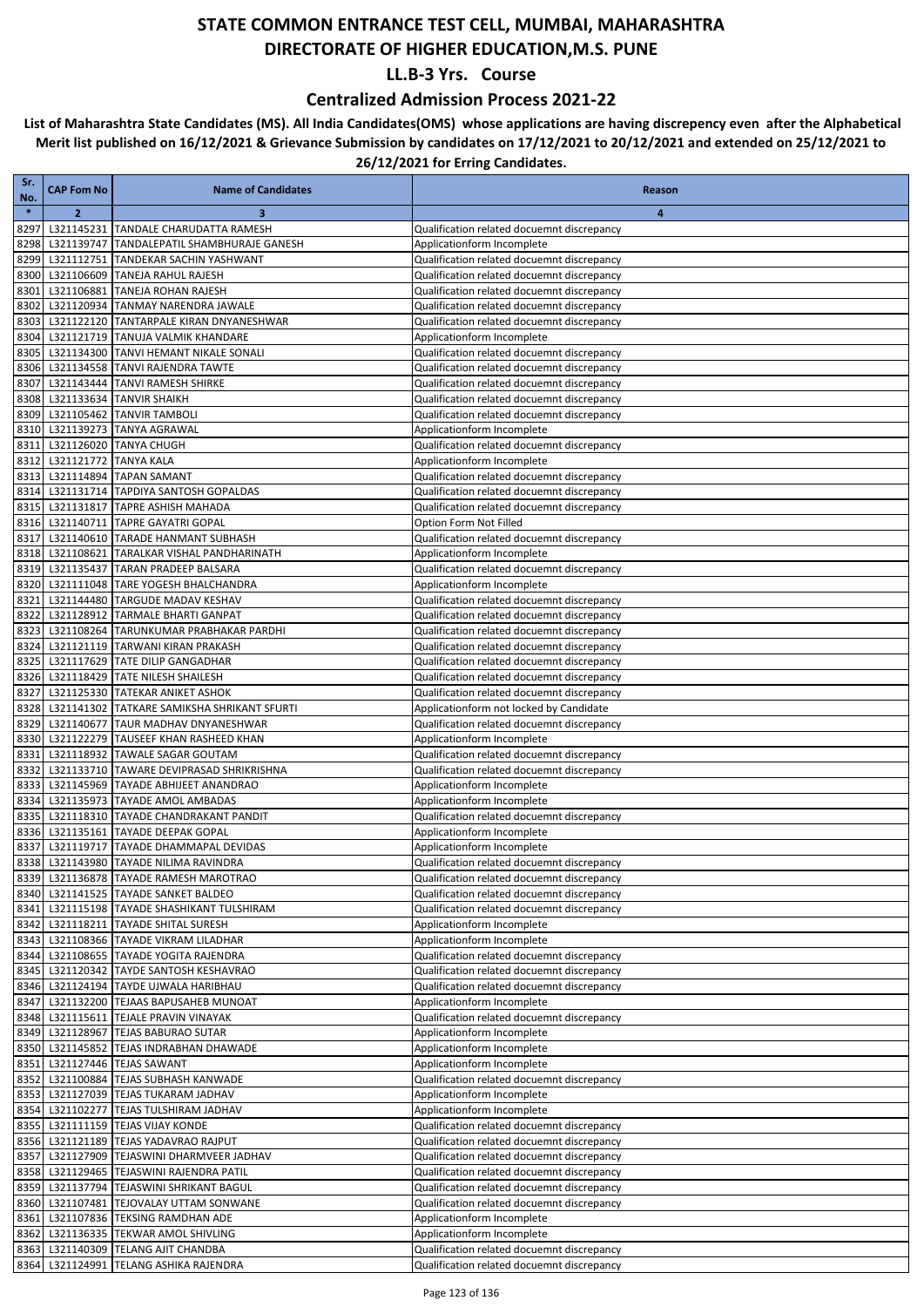### **Centralized Admission Process 2021-22**

| Sr.<br>No.   | <b>CAP Fom No</b>     | <b>Name of Candidates</b>                                                         | Reason                                                                                   |
|--------------|-----------------------|-----------------------------------------------------------------------------------|------------------------------------------------------------------------------------------|
| $\ast$       | $\overline{2}$        | 3                                                                                 | $\overline{4}$                                                                           |
| 8297         |                       | L321145231 TANDALE CHARUDATTA RAMESH                                              | Qualification related docuemnt discrepancy                                               |
| 8298         |                       | L321139747 TANDALEPATIL SHAMBHURAJE GANESH                                        | Applicationform Incomplete                                                               |
| 8299         |                       | L321112751 TANDEKAR SACHIN YASHWANT                                               | Qualification related docuemnt discrepancy                                               |
| 8300         |                       | L321106609 TANEJA RAHUL RAJESH                                                    | Qualification related docuemnt discrepancy                                               |
| 8301         |                       | L321106881 TANEJA ROHAN RAJESH                                                    | Qualification related docuemnt discrepancy                                               |
| 8302         |                       | L321120934 TANMAY NARENDRA JAWALE                                                 | Qualification related docuemnt discrepancy                                               |
| 8303<br>8304 |                       | L321122120 TANTARPALE KIRAN DNYANESHWAR<br>L321121719 TANUJA VALMIK KHANDARE      | Qualification related docuemnt discrepancy<br>Applicationform Incomplete                 |
| 8305         |                       | L321134300 TANVI HEMANT NIKALE SONALI                                             | Qualification related docuemnt discrepancy                                               |
| 8306         |                       | L321134558 TANVI RAJENDRA TAWTE                                                   | Qualification related docuemnt discrepancy                                               |
| 8307         |                       | L321143444 TANVI RAMESH SHIRKE                                                    | Qualification related docuemnt discrepancy                                               |
| 8308         |                       | L321133634 TANVIR SHAIKH                                                          | Qualification related docuemnt discrepancy                                               |
| 8309         |                       | L321105462 TANVIR TAMBOLI                                                         | Qualification related docuemnt discrepancy                                               |
| 8310         |                       | L321139273 TANYA AGRAWAL                                                          | Applicationform Incomplete                                                               |
| 8311         |                       | L321126020 TANYA CHUGH                                                            | Qualification related docuemnt discrepancy                                               |
| 8312         | L321121772 TANYA KALA |                                                                                   | Applicationform Incomplete                                                               |
| 8313         |                       | L321114894 TAPAN SAMANT                                                           | Qualification related docuemnt discrepancy                                               |
| 8314         |                       | L321131714 TAPDIYA SANTOSH GOPALDAS                                               | Qualification related docuemnt discrepancy                                               |
| 8315<br>8316 |                       | L321131817 TAPRE ASHISH MAHADA<br>L321140711 TAPRE GAYATRI GOPAL                  | Qualification related docuemnt discrepancy<br>Option Form Not Filled                     |
| 8317         |                       | L321140610 TARADE HANMANT SUBHASH                                                 | Qualification related docuemnt discrepancy                                               |
| 8318         |                       | L321108621 TARALKAR VISHAL PANDHARINATH                                           | Applicationform Incomplete                                                               |
| 8319         |                       | L321135437 TARAN PRADEEP BALSARA                                                  | Qualification related docuemnt discrepancy                                               |
| 8320         |                       | L321111048 TARE YOGESH BHALCHANDRA                                                | Applicationform Incomplete                                                               |
| 8321         |                       | L321144480 TARGUDE MADAV KESHAV                                                   | Qualification related docuemnt discrepancy                                               |
| 8322         |                       | L321128912 TARMALE BHARTI GANPAT                                                  | Qualification related docuemnt discrepancy                                               |
| 8323         |                       | L321108264 TARUNKUMAR PRABHAKAR PARDHI                                            | Qualification related docuemnt discrepancy                                               |
| 8324         |                       | L321121119 TARWANI KIRAN PRAKASH                                                  | Qualification related docuemnt discrepancy                                               |
| 8325         |                       | L321117629 TATE DILIP GANGADHAR                                                   | Qualification related docuemnt discrepancy                                               |
| 8326         |                       | L321118429 TATE NILESH SHAILESH                                                   | Qualification related docuemnt discrepancy                                               |
| 8327         |                       | L321125330 TATEKAR ANIKET ASHOK                                                   | Qualification related docuemnt discrepancy                                               |
| 8328<br>8329 |                       | L321141302 TATKARE SAMIKSHA SHRIKANT SFURTI<br>L321140677 TAUR MADHAV DNYANESHWAR | Applicationform not locked by Candidate<br>Qualification related docuemnt discrepancy    |
| 8330         |                       | L321122279 TAUSEEF KHAN RASHEED KHAN                                              | Applicationform Incomplete                                                               |
| 8331         |                       | L321118932 TAWALE SAGAR GOUTAM                                                    | Qualification related docuemnt discrepancy                                               |
| 8332         |                       | L321133710 TAWARE DEVIPRASAD SHRIKRISHNA                                          | Qualification related docuemnt discrepancy                                               |
| 8333         |                       | L321145969 TAYADE ABHIJEET ANANDRAO                                               | Applicationform Incomplete                                                               |
| 8334         |                       | L321135973 TAYADE AMOL AMBADAS                                                    | Applicationform Incomplete                                                               |
| 8335         |                       | L321118310 TAYADE CHANDRAKANT PANDIT                                              | Qualification related docuemnt discrepancy                                               |
| 8336         |                       | L321135161 TAYADE DEEPAK GOPAL                                                    | Applicationform Incomplete                                                               |
| 8337         |                       | L321119717 TAYADE DHAMMAPAL DEVIDAS                                               | Applicationform Incomplete                                                               |
| 8338         |                       | L321143980 TAYADE NILIMA RAVINDRA<br>8339 L321136878 TAYADE RAMESH MAROTRAO       | Qualification related docuemnt discrepancy<br>Qualification related docuemnt discrepancy |
|              |                       | 8340 L321141525 TAYADE SANKET BALDEO                                              | Qualification related docuemnt discrepancy                                               |
|              |                       | 8341 L321115198 TAYADE SHASHIKANT TULSHIRAM                                       | Qualification related docuemnt discrepancy                                               |
|              |                       | 8342 L321118211 TAYADE SHITAL SURESH                                              | Applicationform Incomplete                                                               |
|              |                       | 8343 L321108366 TAYADE VIKRAM LILADHAR                                            | Applicationform Incomplete                                                               |
|              |                       | 8344 L321108655 TAYADE YOGITA RAJENDRA                                            | Qualification related docuemnt discrepancy                                               |
|              |                       | 8345 L321120342 TAYDE SANTOSH KESHAVRAO                                           | Qualification related docuemnt discrepancy                                               |
|              |                       | 8346 L321124194 TAYDE UJWALA HARIBHAU                                             | Qualification related docuemnt discrepancy                                               |
| 8347         |                       | L321132200 TEJAAS BAPUSAHEB MUNOAT                                                | Applicationform Incomplete                                                               |
|              |                       | 8348 L321115611 TEJALE PRAVIN VINAYAK                                             | Qualification related docuemnt discrepancy                                               |
|              |                       | 8349 L321128967 TEJAS BABURAO SUTAR                                               | Applicationform Incomplete                                                               |
| 8351         |                       | 8350 L321145852 TEJAS INDRABHAN DHAWADE<br>L321127446 TEJAS SAWANT                | Applicationform Incomplete<br>Applicationform Incomplete                                 |
|              |                       | 8352 L321100884 TEJAS SUBHASH KANWADE                                             | Qualification related docuemnt discrepancy                                               |
| 8353         |                       | L321127039 TEJAS TUKARAM JADHAV                                                   | Applicationform Incomplete                                                               |
|              |                       | 8354 L321102277 TEJAS TULSHIRAM JADHAV                                            | Applicationform Incomplete                                                               |
|              |                       | 8355 L321111159 TEJAS VIJAY KONDE                                                 | Qualification related docuemnt discrepancy                                               |
|              |                       | 8356 L321121189 TEJAS YADAVRAO RAJPUT                                             | Qualification related docuemnt discrepancy                                               |
| 8357         |                       | L321127909 TEJASWINI DHARMVEER JADHAV                                             | Qualification related docuemnt discrepancy                                               |
|              |                       | 8358 L321129465 TEJASWINI RAJENDRA PATIL                                          | Qualification related docuemnt discrepancy                                               |
|              |                       | 8359 L321137794 TEJASWINI SHRIKANT BAGUL                                          | Qualification related docuemnt discrepancy                                               |
|              |                       | 8360 L321107481 TEJOVALAY UTTAM SONWANE                                           | Qualification related docuemnt discrepancy                                               |
|              |                       | 8361 L321107836 TEKSING RAMDHAN ADE                                               | Applicationform Incomplete                                                               |
|              |                       | 8362 L321136335 TEKWAR AMOL SHIVLING<br>8363 L321140309 TELANG AJIT CHANDBA       | Applicationform Incomplete<br>Qualification related docuemnt discrepancy                 |
|              |                       | 8364 L321124991 TELANG ASHIKA RAJENDRA                                            | Qualification related docuemnt discrepancy                                               |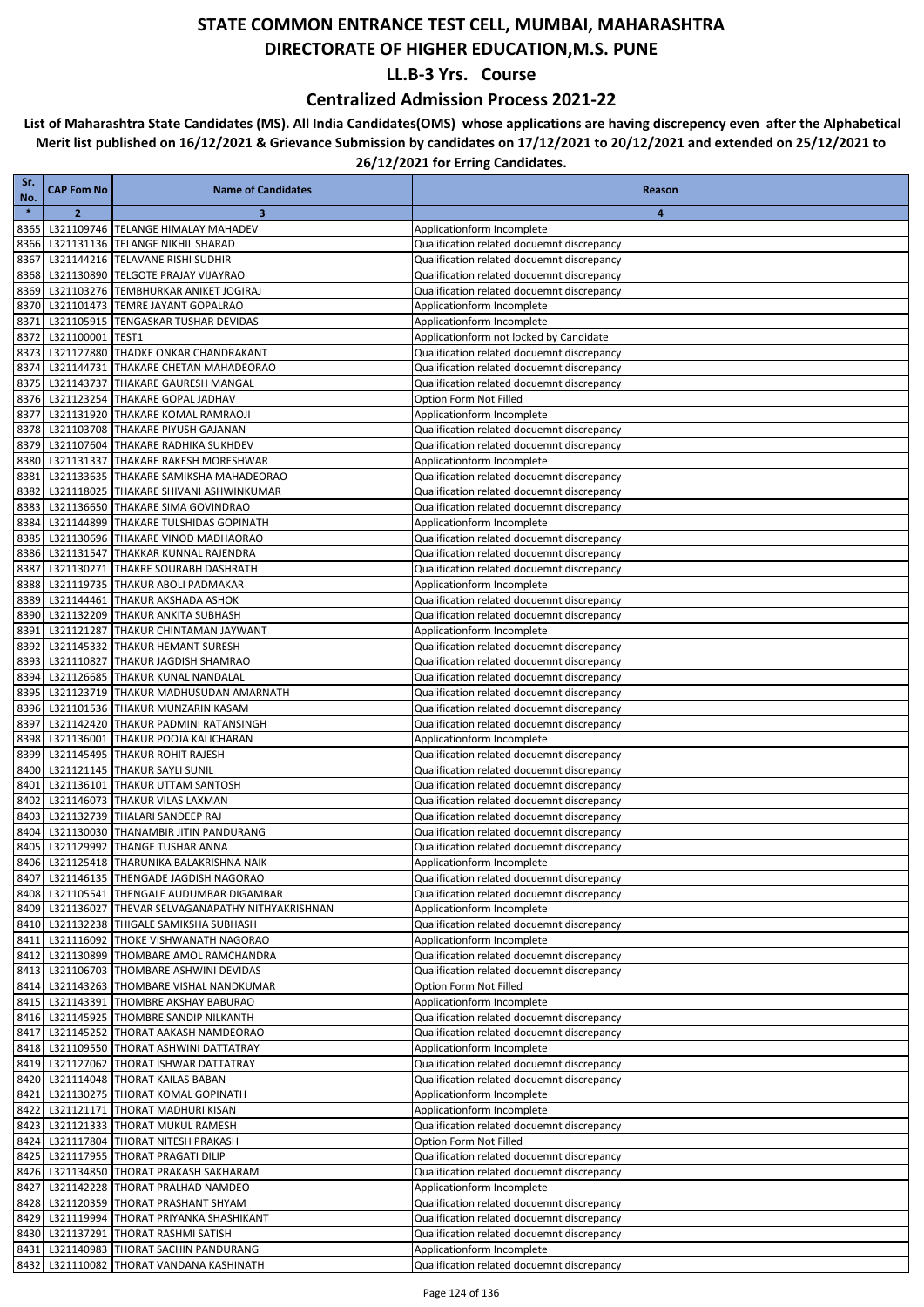### **Centralized Admission Process 2021-22**

| Sr.<br>No.   | <b>CAP Fom No</b> | <b>Name of Candidates</b>                                                              | Reason                                                                                   |
|--------------|-------------------|----------------------------------------------------------------------------------------|------------------------------------------------------------------------------------------|
| $\ast$       | $\overline{2}$    | 3                                                                                      | 4                                                                                        |
| 8365         |                   | L321109746 TELANGE HIMALAY MAHADEV                                                     | Applicationform Incomplete                                                               |
| 8366         |                   | L321131136  TELANGE NIKHIL SHARAD                                                      | Qualification related docuemnt discrepancy                                               |
| 8367         |                   | L321144216 TELAVANE RISHI SUDHIR                                                       | Qualification related docuemnt discrepancy                                               |
| 8368         |                   | L321130890 TELGOTE PRAJAY VIJAYRAO                                                     | Qualification related docuemnt discrepancy                                               |
| 8369<br>8370 |                   | L321103276 TEMBHURKAR ANIKET JOGIRAJ<br>L321101473 TEMRE JAYANT GOPALRAO               | Qualification related docuemnt discrepancy<br>Applicationform Incomplete                 |
| 8371         |                   | L321105915 TENGASKAR TUSHAR DEVIDAS                                                    | Applicationform Incomplete                                                               |
| 8372         | L321100001 TEST1  |                                                                                        | Applicationform not locked by Candidate                                                  |
| 8373         |                   | L321127880 THADKE ONKAR CHANDRAKANT                                                    | Qualification related docuemnt discrepancy                                               |
| 8374         |                   | L321144731 THAKARE CHETAN MAHADEORAO                                                   | Qualification related docuemnt discrepancy                                               |
| 8375         |                   | L321143737 THAKARE GAURESH MANGAL                                                      | Qualification related docuemnt discrepancy                                               |
| 8376         |                   | L321123254 THAKARE GOPAL JADHAV                                                        | Option Form Not Filled                                                                   |
| 8377<br>8378 |                   | L321131920 THAKARE KOMAL RAMRAOJI<br>L321103708 THAKARE PIYUSH GAJANAN                 | Applicationform Incomplete<br>Qualification related docuemnt discrepancy                 |
| 8379         |                   | L321107604 THAKARE RADHIKA SUKHDEV                                                     | Qualification related docuemnt discrepancy                                               |
| 8380         |                   | L321131337 THAKARE RAKESH MORESHWAR                                                    | Applicationform Incomplete                                                               |
| 8381         |                   | L321133635   THAKARE SAMIKSHA MAHADEORAO                                               | Qualification related docuemnt discrepancy                                               |
| 8382         |                   | L321118025 THAKARE SHIVANI ASHWINKUMAR                                                 | Qualification related docuemnt discrepancy                                               |
| 8383         |                   | L321136650 THAKARE SIMA GOVINDRAO                                                      | Qualification related docuemnt discrepancy                                               |
| 8384         |                   | L321144899 THAKARE TULSHIDAS GOPINATH<br>L321130696 THAKARE VINOD MADHAORAO            | Applicationform Incomplete<br>Qualification related docuemnt discrepancy                 |
| 8385<br>8386 |                   | L321131547 THAKKAR KUNNAL RAJENDRA                                                     | Qualification related docuemnt discrepancy                                               |
| 8387         |                   | L321130271 THAKRE SOURABH DASHRATH                                                     | Qualification related docuemnt discrepancy                                               |
| 8388         |                   | L321119735 THAKUR ABOLI PADMAKAR                                                       | Applicationform Incomplete                                                               |
| 8389         |                   | L321144461 THAKUR AKSHADA ASHOK                                                        | Qualification related docuemnt discrepancy                                               |
| 8390         |                   | L321132209 THAKUR ANKITA SUBHASH                                                       | Qualification related docuemnt discrepancy                                               |
| 8391         |                   | L321121287 THAKUR CHINTAMAN JAYWANT                                                    | Applicationform Incomplete                                                               |
| 8392<br>8393 |                   | L321145332 THAKUR HEMANT SURESH<br>L321110827 THAKUR JAGDISH SHAMRAO                   | Qualification related docuemnt discrepancy<br>Qualification related docuemnt discrepancy |
| 8394         |                   | L321126685 THAKUR KUNAL NANDALAL                                                       | Qualification related docuemnt discrepancy                                               |
| 8395         |                   | L321123719 THAKUR MADHUSUDAN AMARNATH                                                  | Qualification related docuemnt discrepancy                                               |
| 8396         |                   | L321101536 THAKUR MUNZARIN KASAM                                                       | Qualification related docuemnt discrepancy                                               |
| 8397         |                   | L321142420 THAKUR PADMINI RATANSINGH                                                   | Qualification related docuemnt discrepancy                                               |
| 8398         |                   | L321136001 THAKUR POOJA KALICHARAN                                                     | Applicationform Incomplete                                                               |
| 8399         |                   | L321145495 THAKUR ROHIT RAJESH<br>L321121145 THAKUR SAYLI SUNIL                        | Qualification related docuemnt discrepancy                                               |
| 8400<br>8401 |                   | L321136101 THAKUR UTTAM SANTOSH                                                        | Qualification related docuemnt discrepancy<br>Qualification related docuemnt discrepancy |
| 8402         |                   | L321146073 THAKUR VILAS LAXMAN                                                         | Qualification related docuemnt discrepancy                                               |
| 8403         |                   | L321132739 THALARI SANDEEP RAJ                                                         | Qualification related docuemnt discrepancy                                               |
| 8404         |                   | L321130030 THANAMBIR JITIN PANDURANG                                                   | Qualification related docuemnt discrepancy                                               |
| 8405         |                   | L321129992 THANGE TUSHAR ANNA                                                          | Qualification related docuemnt discrepancy                                               |
| 8406         |                   | L321125418 THARUNIKA BALAKRISHNA NAIK                                                  | Applicationform Incomplete                                                               |
|              |                   | 8407 L321146135 THENGADE JAGDISH NAGORAO<br>8408 L321105541 THENGALE AUDUMBAR DIGAMBAR | Qualification related docuemnt discrepancy<br>Qualification related docuemnt discrepancy |
|              |                   | 8409 L321136027 THEVAR SELVAGANAPATHY NITHYAKRISHNAN                                   | Applicationform Incomplete                                                               |
|              |                   | 8410 L321132238 THIGALE SAMIKSHA SUBHASH                                               | Qualification related docuemnt discrepancy                                               |
| 8411         |                   | L321116092 THOKE VISHWANATH NAGORAO                                                    | Applicationform Incomplete                                                               |
| 8412         |                   | L321130899 THOMBARE AMOL RAMCHANDRA                                                    | Qualification related docuemnt discrepancy                                               |
|              |                   | 8413 L321106703 THOMBARE ASHWINI DEVIDAS                                               | Qualification related docuemnt discrepancy                                               |
|              |                   | 8414 L321143263 THOMBARE VISHAL NANDKUMAR                                              | Option Form Not Filled                                                                   |
|              |                   | 8415 L321143391 THOMBRE AKSHAY BABURAO<br>8416 L321145925 THOMBRE SANDIP NILKANTH      | Applicationform Incomplete<br>Qualification related docuemnt discrepancy                 |
| 8417         |                   | L321145252 THORAT AAKASH NAMDEORAO                                                     | Qualification related docuemnt discrepancy                                               |
|              |                   | 8418 L321109550 THORAT ASHWINI DATTATRAY                                               | Applicationform Incomplete                                                               |
|              |                   | 8419 L321127062 THORAT ISHWAR DATTATRAY                                                | Qualification related docuemnt discrepancy                                               |
|              |                   | 8420 L321114048 THORAT KAILAS BABAN                                                    | Qualification related docuemnt discrepancy                                               |
|              |                   | 8421 L321130275 THORAT KOMAL GOPINATH                                                  | Applicationform Incomplete                                                               |
| 8422         |                   | L321121171 THORAT MADHURI KISAN<br>8423 L321121333 THORAT MUKUL RAMESH                 | Applicationform Incomplete<br>Qualification related docuemnt discrepancy                 |
|              |                   | 8424 L321117804 THORAT NITESH PRAKASH                                                  | Option Form Not Filled                                                                   |
|              |                   | 8425 L321117955 THORAT PRAGATI DILIP                                                   | Qualification related docuemnt discrepancy                                               |
|              |                   | 8426 L321134850 THORAT PRAKASH SAKHARAM                                                | Qualification related docuemnt discrepancy                                               |
|              |                   | 8427 L321142228 THORAT PRALHAD NAMDEO                                                  | Applicationform Incomplete                                                               |
|              |                   | 8428 L321120359 THORAT PRASHANT SHYAM                                                  | Qualification related docuemnt discrepancy                                               |
|              |                   | 8429 L321119994 THORAT PRIYANKA SHASHIKANT                                             | Qualification related docuemnt discrepancy                                               |
|              |                   | 8430 L321137291 THORAT RASHMI SATISH<br>8431 L321140983 THORAT SACHIN PANDURANG        | Qualification related docuemnt discrepancy<br>Applicationform Incomplete                 |
|              |                   | 8432 L321110082 THORAT VANDANA KASHINATH                                               | Qualification related docuemnt discrepancy                                               |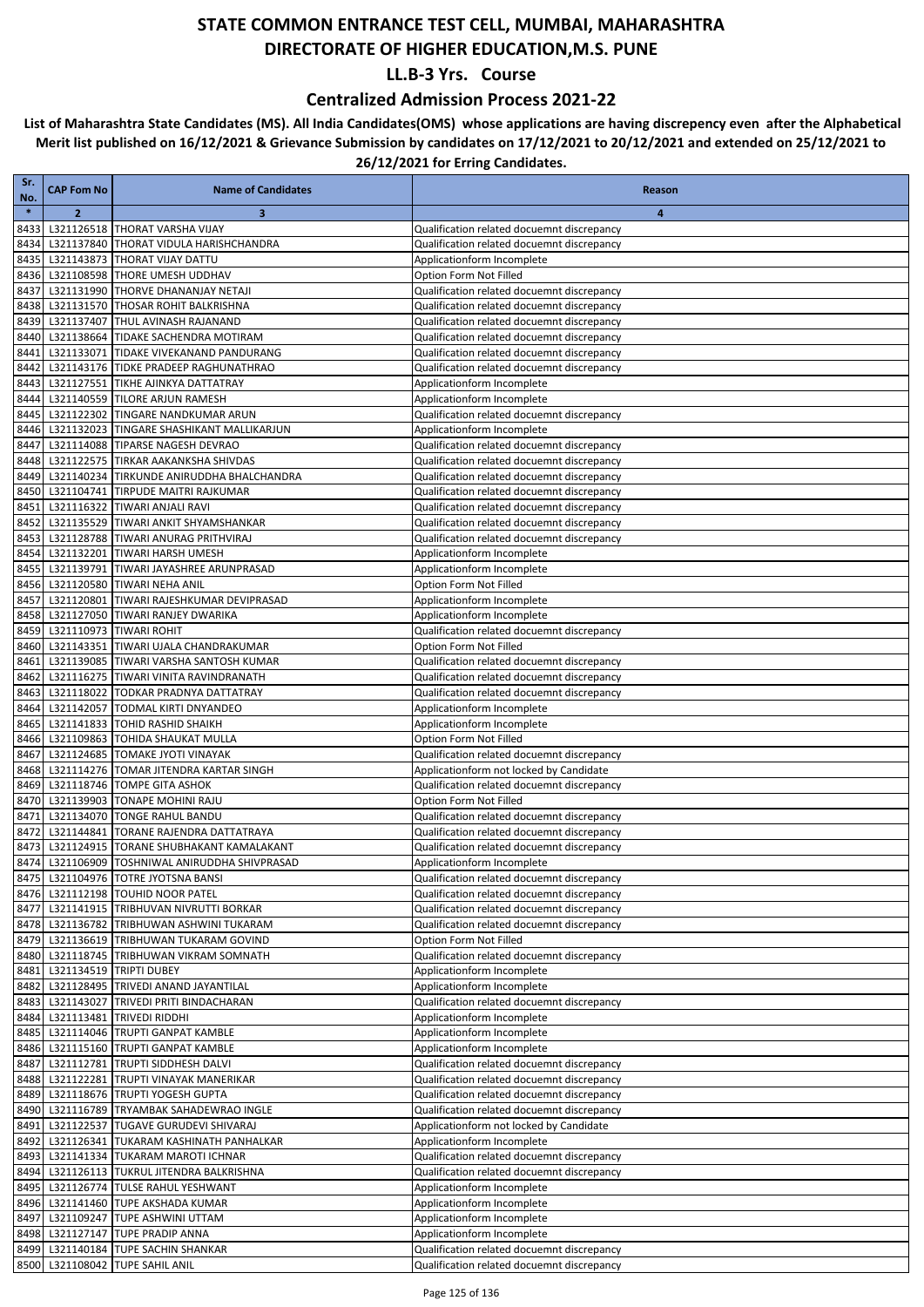### **Centralized Admission Process 2021-22**

| Sr.<br>No.   | <b>CAP Fom No</b>            | <b>Name of Candidates</b>                                                    | Reason                                                                                   |
|--------------|------------------------------|------------------------------------------------------------------------------|------------------------------------------------------------------------------------------|
| $\ast$       | $\overline{2}$               | 3                                                                            | $\overline{4}$                                                                           |
| 8433         |                              | L321126518 THORAT VARSHA VIJAY                                               | Qualification related docuemnt discrepancy                                               |
| 8434         |                              | L321137840 THORAT VIDULA HARISHCHANDRA                                       | Qualification related docuemnt discrepancy                                               |
| 8435         |                              | L321143873 THORAT VIJAY DATTU                                                | Applicationform Incomplete                                                               |
| 8436         |                              | L321108598 THORE UMESH UDDHAV                                                | Option Form Not Filled                                                                   |
| 8437         |                              | L321131990 THORVE DHANANJAY NETAJI                                           | Qualification related docuemnt discrepancy                                               |
| 8438         |                              | L321131570 THOSAR ROHIT BALKRISHNA                                           | Qualification related docuemnt discrepancy                                               |
| 8439         |                              | L321137407 THUL AVINASH RAJANAND<br>L321138664 TIDAKE SACHENDRA MOTIRAM      | Qualification related docuemnt discrepancy                                               |
| 8440<br>8441 |                              | L321133071 TIDAKE VIVEKANAND PANDURANG                                       | Qualification related docuemnt discrepancy<br>Qualification related docuemnt discrepancy |
| 8442         |                              | L321143176 TIDKE PRADEEP RAGHUNATHRAO                                        | Qualification related docuemnt discrepancy                                               |
| 8443         |                              | L321127551 TIKHE AJINKYA DATTATRAY                                           | Applicationform Incomplete                                                               |
| 8444         |                              | L321140559 TILORE ARJUN RAMESH                                               | Applicationform Incomplete                                                               |
| 8445         |                              | L321122302 TINGARE NANDKUMAR ARUN                                            | Qualification related docuemnt discrepancy                                               |
| 8446         |                              | L321132023 TINGARE SHASHIKANT MALLIKARJUN                                    | Applicationform Incomplete                                                               |
| 8447         |                              | L321114088 TIPARSE NAGESH DEVRAO                                             | Qualification related docuemnt discrepancy                                               |
| 8448         |                              | L321122575 TIRKAR AAKANKSHA SHIVDAS                                          | Qualification related docuemnt discrepancy                                               |
| 8449         |                              | L321140234 TIRKUNDE ANIRUDDHA BHALCHANDRA                                    | Qualification related docuemnt discrepancy                                               |
| 8450         |                              | L321104741 TIRPUDE MAITRI RAJKUMAR                                           | Qualification related docuemnt discrepancy                                               |
| 8451         |                              | L321116322 TIWARI ANJALI RAVI                                                | Qualification related docuemnt discrepancy                                               |
| 8452<br>8453 |                              | L321135529 TIWARI ANKIT SHYAMSHANKAR<br>L321128788 TIWARI ANURAG PRITHVIRAJ  | Qualification related docuemnt discrepancy<br>Qualification related docuemnt discrepancy |
| 8454         |                              | L321132201 TIWARI HARSH UMESH                                                | Applicationform Incomplete                                                               |
| 8455         |                              | L321139791 TIWARI JAYASHREE ARUNPRASAD                                       | Applicationform Incomplete                                                               |
| 8456         |                              | L321120580 TIWARI NEHA ANIL                                                  | Option Form Not Filled                                                                   |
| 8457         |                              | L321120801 TIWARI RAJESHKUMAR DEVIPRASAD                                     | Applicationform Incomplete                                                               |
| 8458         |                              | L321127050 TIWARI RANJEY DWARIKA                                             | Applicationform Incomplete                                                               |
| 8459         |                              | L321110973 TIWARI ROHIT                                                      | Qualification related docuemnt discrepancy                                               |
| 8460         |                              | L321143351 TIWARI UJALA CHANDRAKUMAR                                         | Option Form Not Filled                                                                   |
| 8461         |                              | L321139085 TIWARI VARSHA SANTOSH KUMAR                                       | Qualification related docuemnt discrepancy                                               |
| 8462         |                              | L321116275 TIWARI VINITA RAVINDRANATH                                        | Qualification related docuemnt discrepancy                                               |
| 8463         |                              | L321118022 TODKAR PRADNYA DATTATRAY                                          | Qualification related docuemnt discrepancy                                               |
| 8464<br>8465 |                              | L321142057  TODMAL KIRTI DNYANDEO<br>L321141833   TOHID RASHID SHAIKH        | Applicationform Incomplete                                                               |
| 8466         |                              | L321109863   TOHIDA SHAUKAT MULLA                                            | Applicationform Incomplete<br>Option Form Not Filled                                     |
| 8467         |                              | L321124685   TOMAKE JYOTI VINAYAK                                            | Qualification related docuemnt discrepancy                                               |
| 8468         |                              | L321114276 TOMAR JITENDRA KARTAR SINGH                                       | Applicationform not locked by Candidate                                                  |
| 8469         |                              | L321118746 TOMPE GITA ASHOK                                                  | Qualification related docuemnt discrepancy                                               |
| 8470         |                              | L321139903 TONAPE MOHINI RAJU                                                | Option Form Not Filled                                                                   |
| 8471         |                              | L321134070 TONGE RAHUL BANDU                                                 | Qualification related docuemnt discrepancy                                               |
| 8472         |                              | L321144841 TORANE RAJENDRA DATTATRAYA                                        | Qualification related docuemnt discrepancy                                               |
| 8473         |                              | L321124915 TORANE SHUBHAKANT KAMALAKANT                                      | Qualification related docuemnt discrepancy                                               |
| 8474         |                              | L321106909 TOSHNIWAL ANIRUDDHA SHIVPRASAD                                    | Applicationform Incomplete                                                               |
|              |                              | 8475 L321104976 TOTRE JYOTSNA BANSI<br>8476 L321112198 TOUHID NOOR PATEL     | Qualification related docuemnt discrepancy<br>Qualification related docuemnt discrepancy |
|              |                              | 8477 L321141915 TRIBHUVAN NIVRUTTI BORKAR                                    | Qualification related docuemnt discrepancy                                               |
|              |                              | 8478 L321136782 TRIBHUWAN ASHWINI TUKARAM                                    | Qualification related docuemnt discrepancy                                               |
|              |                              | 8479 L321136619 TRIBHUWAN TUKARAM GOVIND                                     | Option Form Not Filled                                                                   |
|              |                              | 8480 L321118745 TRIBHUWAN VIKRAM SOMNATH                                     | Qualification related docuemnt discrepancy                                               |
|              | 8481 L321134519 TRIPTI DUBEY |                                                                              | Applicationform Incomplete                                                               |
|              |                              | 8482 L321128495 TRIVEDI ANAND JAYANTILAL                                     | Applicationform Incomplete                                                               |
|              |                              | 8483 L321143027 TRIVEDI PRITI BINDACHARAN                                    | Qualification related docuemnt discrepancy                                               |
|              |                              | 8484 L321113481 TRIVEDI RIDDHI                                               | Applicationform Incomplete                                                               |
|              |                              | 8485 L321114046 TRUPTI GANPAT KAMBLE<br>8486 L321115160 TRUPTI GANPAT KAMBLE | Applicationform Incomplete                                                               |
|              |                              | 8487 L321112781 TRUPTI SIDDHESH DALVI                                        | Applicationform Incomplete<br>Qualification related docuemnt discrepancy                 |
|              |                              | 8488 L321122281 TRUPTI VINAYAK MANERIKAR                                     | Qualification related docuemnt discrepancy                                               |
|              |                              | 8489 L321118676 TRUPTI YOGESH GUPTA                                          | Qualification related docuemnt discrepancy                                               |
|              |                              | 8490 L321116789 TRYAMBAK SAHADEWRAO INGLE                                    | Qualification related docuemnt discrepancy                                               |
|              |                              | 8491 L321122537 TUGAVE GURUDEVI SHIVARAJ                                     | Applicationform not locked by Candidate                                                  |
|              |                              | 8492 L321126341 TUKARAM KASHINATH PANHALKAR                                  | Applicationform Incomplete                                                               |
|              |                              | 8493 L321141334 TUKARAM MAROTI ICHNAR                                        | Qualification related docuemnt discrepancy                                               |
|              |                              | 8494 L321126113 TUKRUL JITENDRA BALKRISHNA                                   | Qualification related docuemnt discrepancy                                               |
| 8495         |                              | L321126774 TULSE RAHUL YESHWANT                                              | Applicationform Incomplete                                                               |
|              |                              | 8496 L321141460 TUPE AKSHADA KUMAR                                           | Applicationform Incomplete                                                               |
|              |                              | 8497 L321109247 TUPE ASHWINI UTTAM                                           | Applicationform Incomplete                                                               |
|              |                              | 8498 L321127147 TUPE PRADIP ANNA<br>8499 L321140184 TUPE SACHIN SHANKAR      | Applicationform Incomplete<br>Qualification related docuemnt discrepancy                 |
|              |                              | 8500 L321108042 TUPE SAHIL ANIL                                              | Qualification related docuemnt discrepancy                                               |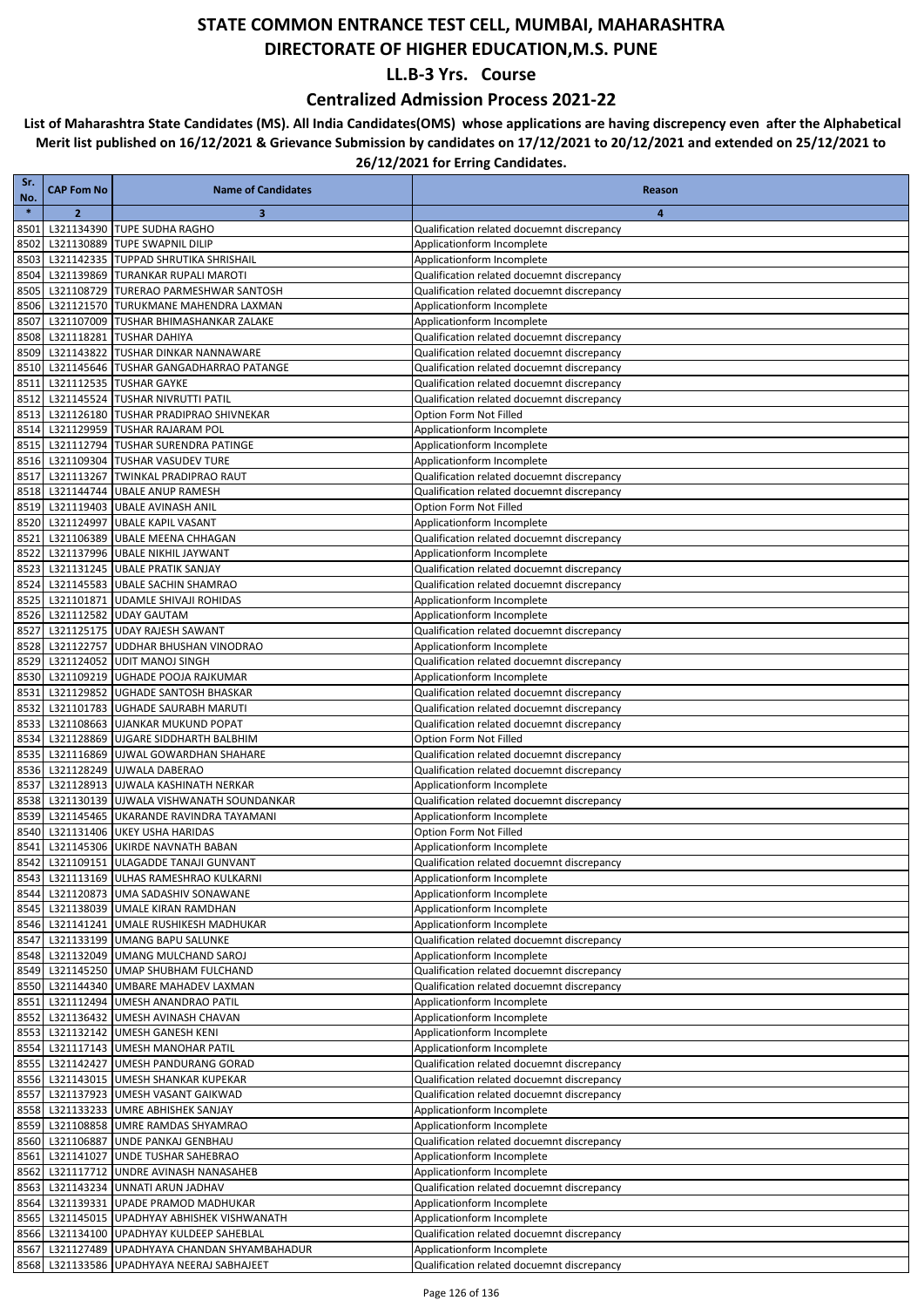### **Centralized Admission Process 2021-22**

| Sr.<br>No.   | <b>CAP Fom No</b> | <b>Name of Candidates</b>                                                                 | Reason                                                                                   |
|--------------|-------------------|-------------------------------------------------------------------------------------------|------------------------------------------------------------------------------------------|
| $\ast$       | $\overline{2}$    | 3                                                                                         | 4                                                                                        |
| 8501         |                   | L321134390 TUPE SUDHA RAGHO                                                               | Qualification related docuemnt discrepancy                                               |
| 8502         |                   | L321130889 TUPE SWAPNIL DILIP                                                             | Applicationform Incomplete                                                               |
| 8503         |                   | L321142335 TUPPAD SHRUTIKA SHRISHAIL                                                      | Applicationform Incomplete                                                               |
| 8504         |                   | L321139869 TURANKAR RUPALI MAROTI                                                         | Qualification related docuemnt discrepancy                                               |
| 8505         |                   | L321108729 TURERAO PARMESHWAR SANTOSH                                                     | Qualification related docuemnt discrepancy                                               |
| 8506<br>8507 |                   | L321121570 TURUKMANE MAHENDRA LAXMAN<br>L321107009 TUSHAR BHIMASHANKAR ZALAKE             | Applicationform Incomplete                                                               |
| 8508         |                   | L321118281 TUSHAR DAHIYA                                                                  | Applicationform Incomplete<br>Qualification related docuemnt discrepancy                 |
| 8509         |                   | L321143822 TUSHAR DINKAR NANNAWARE                                                        | Qualification related docuemnt discrepancy                                               |
| 8510         |                   | L321145646 TUSHAR GANGADHARRAO PATANGE                                                    | Qualification related docuemnt discrepancy                                               |
| 8511         |                   | L321112535 TUSHAR GAYKE                                                                   | Qualification related docuemnt discrepancy                                               |
| 8512         |                   | L321145524 TUSHAR NIVRUTTI PATIL                                                          | Qualification related docuemnt discrepancy                                               |
| 8513         |                   | L321126180 TUSHAR PRADIPRAO SHIVNEKAR                                                     | Option Form Not Filled                                                                   |
| 8514         |                   | L321129959 TUSHAR RAJARAM POL                                                             | Applicationform Incomplete                                                               |
| 8515         |                   | L321112794 TUSHAR SURENDRA PATINGE                                                        | Applicationform Incomplete                                                               |
| 8516<br>8517 |                   | L321109304 TUSHAR VASUDEV TURE<br>L321113267 TWINKAL PRADIPRAO RAUT                       | Applicationform Incomplete                                                               |
| 8518         |                   | L321144744 UBALE ANUP RAMESH                                                              | Qualification related docuemnt discrepancy<br>Qualification related docuemnt discrepancy |
| 8519         |                   | L321119403 UBALE AVINASH ANIL                                                             | Option Form Not Filled                                                                   |
| 8520         |                   | L321124997 UBALE KAPIL VASANT                                                             | Applicationform Incomplete                                                               |
| 8521         |                   | L321106389 UBALE MEENA CHHAGAN                                                            | Qualification related docuemnt discrepancy                                               |
| 8522         |                   | L321137996 UBALE NIKHIL JAYWANT                                                           | Applicationform Incomplete                                                               |
| 8523         |                   | L321131245 UBALE PRATIK SANJAY                                                            | Qualification related docuemnt discrepancy                                               |
| 8524         |                   | L321145583 UBALE SACHIN SHAMRAO                                                           | Qualification related docuemnt discrepancy                                               |
| 8525         |                   | L321101871 UDAMLE SHIVAJI ROHIDAS                                                         | Applicationform Incomplete                                                               |
| 8526         |                   | L321112582 UDAY GAUTAM                                                                    | Applicationform Incomplete                                                               |
| 8527<br>8528 |                   | L321125175 UDAY RAJESH SAWANT<br>L321122757 UDDHAR BHUSHAN VINODRAO                       | Qualification related docuemnt discrepancy<br>Applicationform Incomplete                 |
| 8529         |                   | L321124052 UDIT MANOJ SINGH                                                               | Qualification related docuemnt discrepancy                                               |
| 8530         |                   | L321109219 UGHADE POOJA RAJKUMAR                                                          | Applicationform Incomplete                                                               |
| 8531         |                   | L321129852 UGHADE SANTOSH BHASKAR                                                         | Qualification related docuemnt discrepancy                                               |
| 8532         |                   | L321101783 UGHADE SAURABH MARUTI                                                          | Qualification related docuemnt discrepancy                                               |
| 8533         |                   | L321108663 UJANKAR MUKUND POPAT                                                           | Qualification related docuemnt discrepancy                                               |
| 8534         |                   | L321128869 UJGARE SIDDHARTH BALBHIM                                                       | Option Form Not Filled                                                                   |
| 8535         |                   | L321116869 UJWAL GOWARDHAN SHAHARE<br>L321128249 UJWALA DABERAO                           | Qualification related docuemnt discrepancy                                               |
| 8536<br>8537 |                   | L321128913 UJWALA KASHINATH NERKAR                                                        | Qualification related docuemnt discrepancy<br>Applicationform Incomplete                 |
| 8538         |                   | L321130139 UJWALA VISHWANATH SOUNDANKAR                                                   | Qualification related docuemnt discrepancy                                               |
|              |                   | 8539 L321145465 UKARANDE RAVINDRA TAYAMANI                                                | Applicationform Incomplete                                                               |
| 8540         |                   | L321131406 UKEY USHA HARIDAS                                                              | Option Form Not Filled                                                                   |
| 8541         |                   | L321145306 UKIRDE NAVNATH BABAN                                                           | Applicationform Incomplete                                                               |
| 8542         |                   | L321109151 ULAGADDE TANAJI GUNVANT                                                        | Qualification related docuemnt discrepancy                                               |
|              |                   | 8543 L321113169 ULHAS RAMESHRAO KULKARNI                                                  | Applicationform Incomplete                                                               |
|              |                   | 8544 L321120873 UMA SADASHIV SONAWANE                                                     | Applicationform Incomplete                                                               |
|              |                   | 8545 L321138039 UMALE KIRAN RAMDHAN                                                       | Applicationform Incomplete                                                               |
| 8547         |                   | 8546 L321141241 UMALE RUSHIKESH MADHUKAR<br>L321133199 UMANG BAPU SALUNKE                 | Applicationform Incomplete<br>Qualification related docuemnt discrepancy                 |
|              |                   | 8548 L321132049 UMANG MULCHAND SAROJ                                                      | Applicationform Incomplete                                                               |
|              |                   | 8549 L321145250 UMAP SHUBHAM FULCHAND                                                     | Qualification related docuemnt discrepancy                                               |
|              |                   | 8550 L321144340 UMBARE MAHADEV LAXMAN                                                     | Qualification related docuemnt discrepancy                                               |
| 8551         |                   | L321112494 UMESH ANANDRAO PATIL                                                           | Applicationform Incomplete                                                               |
| 8552         |                   | L321136432 UMESH AVINASH CHAVAN                                                           | Applicationform Incomplete                                                               |
| 8553         |                   | L321132142 UMESH GANESH KENI                                                              | Applicationform Incomplete                                                               |
|              |                   | 8554 L321117143 UMESH MANOHAR PATIL                                                       | Applicationform Incomplete                                                               |
| 8555         |                   | L321142427 UMESH PANDURANG GORAD<br>8556 L321143015 UMESH SHANKAR KUPEKAR                 | Qualification related docuemnt discrepancy<br>Qualification related docuemnt discrepancy |
| 8557         |                   | L321137923 UMESH VASANT GAIKWAD                                                           | Qualification related docuemnt discrepancy                                               |
|              |                   | 8558 L321133233 UMRE ABHISHEK SANJAY                                                      | Applicationform Incomplete                                                               |
|              |                   | 8559 L321108858 UMRE RAMDAS SHYAMRAO                                                      | Applicationform Incomplete                                                               |
|              |                   | 8560 L321106887 UNDE PANKAJ GENBHAU                                                       | Qualification related docuemnt discrepancy                                               |
|              |                   | 8561 L321141027 UNDE TUSHAR SAHEBRAO                                                      | Applicationform Incomplete                                                               |
| 8562         |                   | L321117712 UNDRE AVINASH NANASAHEB                                                        | Applicationform Incomplete                                                               |
|              |                   | 8563 L321143234 UNNATI ARUN JADHAV                                                        | Qualification related docuemnt discrepancy                                               |
|              |                   | 8564 L321139331 UPADE PRAMOD MADHUKAR                                                     | Applicationform Incomplete                                                               |
|              |                   | 8565 L321145015 UPADHYAY ABHISHEK VISHWANATH<br>8566 L321134100 UPADHYAY KULDEEP SAHEBLAL | Applicationform Incomplete<br>Qualification related docuemnt discrepancy                 |
|              |                   | 8567 L321127489 UPADHYAYA CHANDAN SHYAMBAHADUR                                            | Applicationform Incomplete                                                               |
|              |                   | 8568 L321133586 UPADHYAYA NEERAJ SABHAJEET                                                | Qualification related docuemnt discrepancy                                               |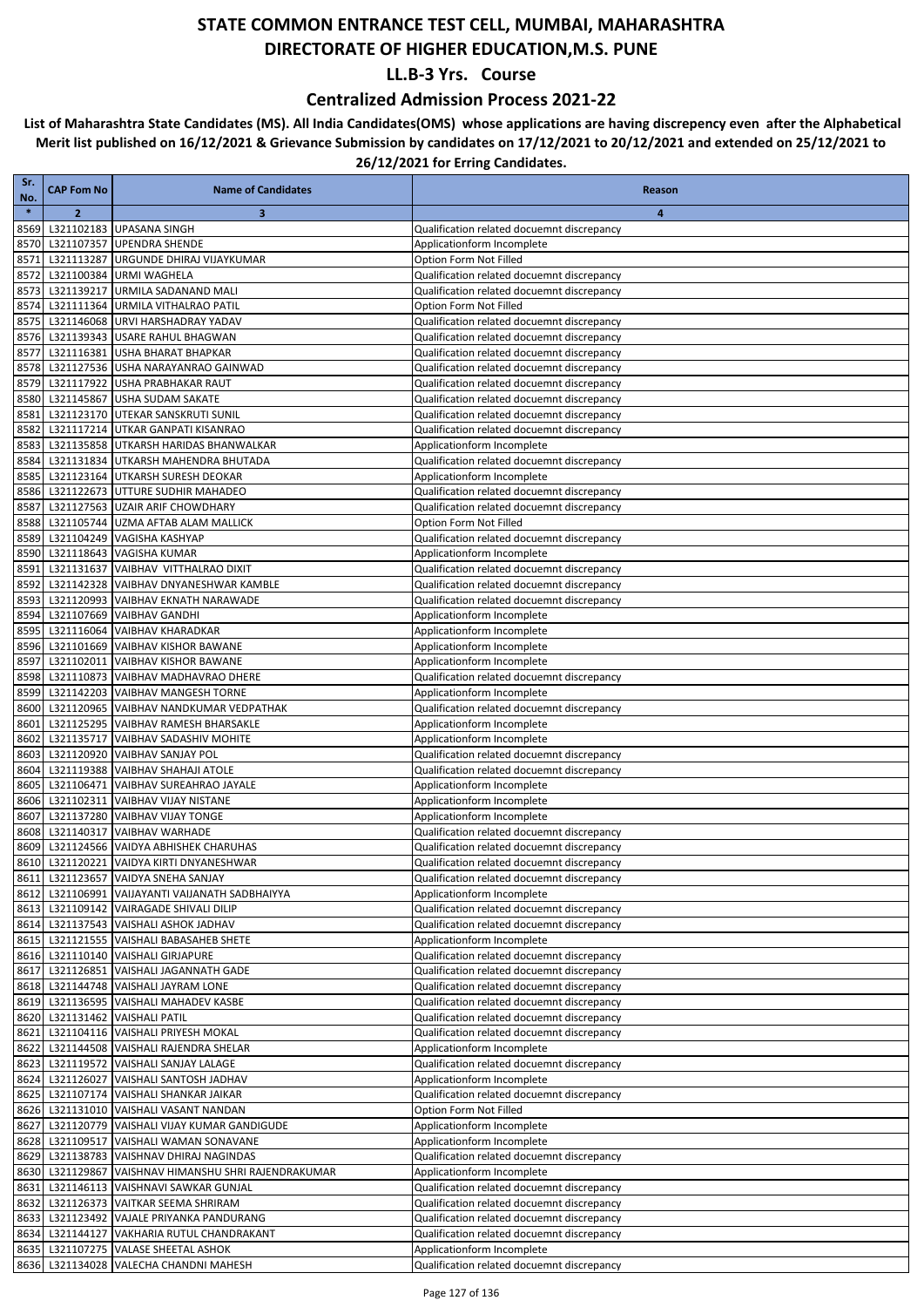### **Centralized Admission Process 2021-22**

| Sr.           | <b>CAP Fom No</b> | <b>Name of Candidates</b>                                                                       | Reason                                                                                   |
|---------------|-------------------|-------------------------------------------------------------------------------------------------|------------------------------------------------------------------------------------------|
| No.<br>$\ast$ |                   |                                                                                                 | $\overline{4}$                                                                           |
| 8569          | $\overline{2}$    | 3<br>L321102183 UPASANA SINGH                                                                   | Qualification related docuemnt discrepancy                                               |
| 8570          |                   | L321107357 UPENDRA SHENDE                                                                       | Applicationform Incomplete                                                               |
| 8571          |                   | L321113287 URGUNDE DHIRAJ VIJAYKUMAR                                                            | Option Form Not Filled                                                                   |
| 8572          |                   | L321100384 URMI WAGHELA                                                                         | Qualification related docuemnt discrepancy                                               |
| 8573          |                   | L321139217 URMILA SADANAND MALI                                                                 | Qualification related docuemnt discrepancy                                               |
| 8574          |                   | L321111364 URMILA VITHALRAO PATIL                                                               | Option Form Not Filled                                                                   |
| 8575          |                   | L321146068 URVI HARSHADRAY YADAV                                                                | Qualification related docuemnt discrepancy                                               |
| 8576<br>8577  |                   | L321139343 USARE RAHUL BHAGWAN<br>L321116381 USHA BHARAT BHAPKAR                                | Qualification related docuemnt discrepancy<br>Qualification related docuemnt discrepancy |
| 8578          |                   | L321127536 USHA NARAYANRAO GAINWAD                                                              | Qualification related docuemnt discrepancy                                               |
| 8579          |                   | L321117922 USHA PRABHAKAR RAUT                                                                  | Qualification related docuemnt discrepancy                                               |
| 8580          |                   | L321145867 USHA SUDAM SAKATE                                                                    | Qualification related docuemnt discrepancy                                               |
| 8581          |                   | L321123170 UTEKAR SANSKRUTI SUNIL                                                               | Qualification related docuemnt discrepancy                                               |
| 8582          |                   | L321117214 UTKAR GANPATI KISANRAO                                                               | Qualification related docuemnt discrepancy                                               |
| 8583          |                   | L321135858 UTKARSH HARIDAS BHANWALKAR                                                           | Applicationform Incomplete                                                               |
| 8584<br>8585  |                   | L321131834 UTKARSH MAHENDRA BHUTADA<br>L321123164 UTKARSH SURESH DEOKAR                         | Qualification related docuemnt discrepancy<br>Applicationform Incomplete                 |
| 8586          |                   | L321122673 UTTURE SUDHIR MAHADEO                                                                | Qualification related docuemnt discrepancy                                               |
| 8587          |                   | L321127563 UZAIR ARIF CHOWDHARY                                                                 | Qualification related docuemnt discrepancy                                               |
| 8588          |                   | L321105744 UZMA AFTAB ALAM MALLICK                                                              | Option Form Not Filled                                                                   |
| 8589          |                   | L321104249 VAGISHA KASHYAP                                                                      | Qualification related docuemnt discrepancy                                               |
| 8590          |                   | L321118643 VAGISHA KUMAR                                                                        | Applicationform Incomplete                                                               |
| 8591<br>8592  |                   | L321131637 VAIBHAV VITTHALRAO DIXIT<br>L321142328 VAIBHAV DNYANESHWAR KAMBLE                    | Qualification related docuemnt discrepancy<br>Qualification related docuemnt discrepancy |
| 8593          |                   | L321120993 VAIBHAV EKNATH NARAWADE                                                              | Qualification related docuemnt discrepancy                                               |
| 8594          |                   | L321107669 VAIBHAV GANDHI                                                                       | Applicationform Incomplete                                                               |
| 8595          |                   | L321116064 VAIBHAV KHARADKAR                                                                    | Applicationform Incomplete                                                               |
| 8596          |                   | L321101669 VAIBHAV KISHOR BAWANE                                                                | Applicationform Incomplete                                                               |
| 8597          |                   | L321102011 VAIBHAV KISHOR BAWANE                                                                | Applicationform Incomplete                                                               |
| 8598          |                   | L321110873 VAIBHAV MADHAVRAO DHERE                                                              | Qualification related docuemnt discrepancy                                               |
| 8599          |                   | L321142203 VAIBHAV MANGESH TORNE                                                                | Applicationform Incomplete                                                               |
| 8600<br>8601  |                   | L321120965 VAIBHAV NANDKUMAR VEDPATHAK<br>L321125295 VAIBHAV RAMESH BHARSAKLE                   | Qualification related docuemnt discrepancy<br>Applicationform Incomplete                 |
| 8602          |                   | L321135717 VAIBHAV SADASHIV MOHITE                                                              | Applicationform Incomplete                                                               |
| 8603          |                   | L321120920 VAIBHAV SANJAY POL                                                                   | Qualification related docuemnt discrepancy                                               |
| 8604          |                   | L321119388 VAIBHAV SHAHAJI ATOLE                                                                | Qualification related docuemnt discrepancy                                               |
| 8605          |                   | L321106471 VAIBHAV SUREAHRAO JAYALE                                                             | Applicationform Incomplete                                                               |
| 8606          |                   | L321102311 VAIBHAV VIJAY NISTANE                                                                | Applicationform Incomplete                                                               |
| 8607<br>8608  |                   | L321137280 VAIBHAV VIJAY TONGE<br>L321140317 VAIBHAV WARHADE                                    | Applicationform Incomplete<br>Qualification related docuemnt discrepancy                 |
| 8609          |                   | L321124566 VAIDYA ABHISHEK CHARUHAS                                                             | Qualification related docuemnt discrepancy                                               |
| 8610          |                   | L321120221 VAIDYA KIRTI DNYANESHWAR                                                             | Qualification related docuemnt discrepancy                                               |
|               |                   | 8611 L321123657 VAIDYA SNEHA SANJAY                                                             | Qualification related docuemnt discrepancy                                               |
|               |                   | 8612 L321106991 VAIJAYANTI VAIJANATH SADBHAIYYA                                                 | Applicationform Incomplete                                                               |
|               |                   | 8613 L321109142 VAIRAGADE SHIVALI DILIP                                                         | Qualification related docuemnt discrepancy                                               |
|               |                   | 8614 L321137543 VAISHALI ASHOK JADHAV                                                           | Qualification related docuemnt discrepancy                                               |
|               |                   | 8615 L321121555 VAISHALI BABASAHEB SHETE<br>8616 L321110140 VAISHALI GIRJAPURE                  | Applicationform Incomplete<br>Qualification related docuemnt discrepancy                 |
|               |                   | 8617 L321126851 VAISHALI JAGANNATH GADE                                                         | Qualification related docuemnt discrepancy                                               |
|               |                   | 8618 L321144748 VAISHALI JAYRAM LONE                                                            | Qualification related docuemnt discrepancy                                               |
|               |                   | 8619 L321136595 VAISHALI MAHADEV KASBE                                                          | Qualification related docuemnt discrepancy                                               |
|               |                   | 8620 L321131462 VAISHALI PATIL                                                                  | Qualification related docuemnt discrepancy                                               |
| 8621          |                   | L321104116 VAISHALI PRIYESH MOKAL                                                               | Qualification related docuemnt discrepancy                                               |
|               |                   | 8622 L321144508 VAISHALI RAJENDRA SHELAR<br>8623 L321119572 VAISHALI SANJAY LALAGE              | Applicationform Incomplete<br>Qualification related docuemnt discrepancy                 |
|               |                   | 8624 L321126027 VAISHALI SANTOSH JADHAV                                                         | Applicationform Incomplete                                                               |
|               |                   | 8625 L321107174 VAISHALI SHANKAR JAIKAR                                                         | Qualification related docuemnt discrepancy                                               |
|               |                   | 8626 L321131010 VAISHALI VASANT NANDAN                                                          | Option Form Not Filled                                                                   |
| 8627          |                   | L321120779 VAISHALI VIJAY KUMAR GANDIGUDE                                                       | Applicationform Incomplete                                                               |
|               |                   | 8628 L321109517 VAISHALI WAMAN SONAVANE                                                         | Applicationform Incomplete                                                               |
|               |                   | 8629 L321138783 VAISHNAV DHIRAJ NAGINDAS                                                        | Qualification related docuemnt discrepancy                                               |
|               |                   | 8630 L321129867 VAISHNAV HIMANSHU SHRI RAJENDRAKUMAR<br>8631 L321146113 VAISHNAVI SAWKAR GUNJAL | Applicationform Incomplete<br>Qualification related docuemnt discrepancy                 |
|               |                   | 8632 L321126373 VAITKAR SEEMA SHRIRAM                                                           | Qualification related docuemnt discrepancy                                               |
|               |                   | 8633 L321123492 VAJALE PRIYANKA PANDURANG                                                       | Qualification related docuemnt discrepancy                                               |
|               |                   | 8634 L321144127 VAKHARIA RUTUL CHANDRAKANT                                                      | Qualification related docuemnt discrepancy                                               |
|               |                   | 8635 L321107275 VALASE SHEETAL ASHOK                                                            | Applicationform Incomplete                                                               |
|               |                   | 8636 L321134028 VALECHA CHANDNI MAHESH                                                          | Qualification related docuemnt discrepancy                                               |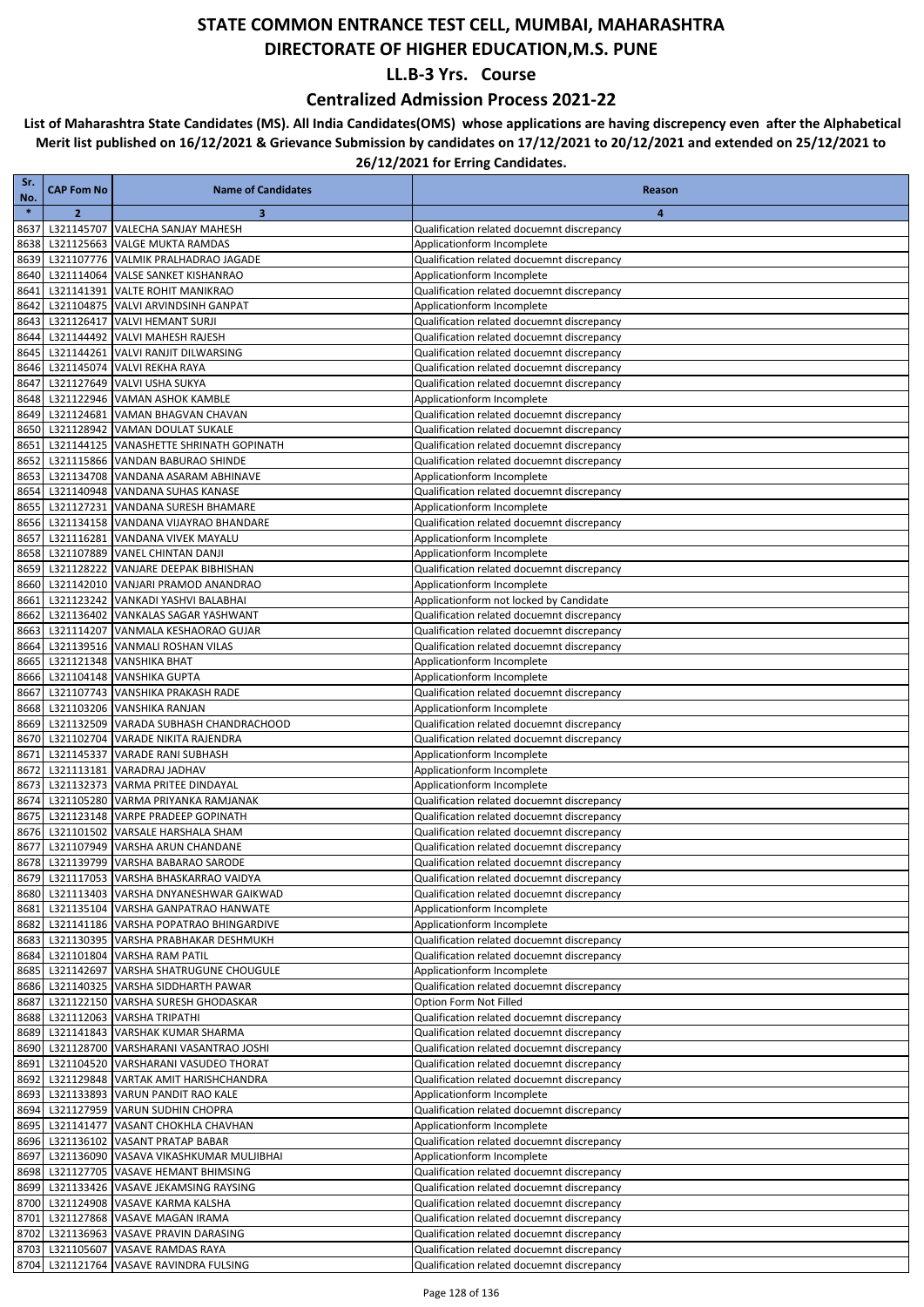### **Centralized Admission Process 2021-22**

| Sr.           | <b>CAP Fom No</b> | <b>Name of Candidates</b>                                                                | Reason                                                                                   |
|---------------|-------------------|------------------------------------------------------------------------------------------|------------------------------------------------------------------------------------------|
| No.<br>$\ast$ | $\overline{2}$    | 3                                                                                        | 4                                                                                        |
| 8637          |                   | L321145707 VALECHA SANJAY MAHESH                                                         | Qualification related docuemnt discrepancy                                               |
| 8638          |                   | L321125663 VALGE MUKTA RAMDAS                                                            | Applicationform Incomplete                                                               |
| 8639          |                   | L321107776 VALMIK PRALHADRAO JAGADE                                                      | Qualification related docuemnt discrepancy                                               |
| 8640          |                   | L321114064 VALSE SANKET KISHANRAO                                                        | Applicationform Incomplete                                                               |
| 8641          |                   | L321141391 VALTE ROHIT MANIKRAO                                                          | Qualification related docuemnt discrepancy                                               |
| 8642          |                   | L321104875 VALVI ARVINDSINH GANPAT                                                       | Applicationform Incomplete                                                               |
| 8643<br>8644  |                   | L321126417 VALVI HEMANT SURJI<br>L321144492 VALVI MAHESH RAJESH                          | Qualification related docuemnt discrepancy<br>Qualification related docuemnt discrepancy |
| 8645          |                   | L321144261 VALVI RANJIT DILWARSING                                                       | Qualification related docuemnt discrepancy                                               |
| 8646          |                   | L321145074 VALVI REKHA RAYA                                                              | Qualification related docuemnt discrepancy                                               |
| 8647          |                   | L321127649 VALVI USHA SUKYA                                                              | Qualification related docuemnt discrepancy                                               |
| 8648          |                   | L321122946 VAMAN ASHOK KAMBLE                                                            | Applicationform Incomplete                                                               |
| 8649          |                   | L321124681 VAMAN BHAGVAN CHAVAN                                                          | Qualification related docuemnt discrepancy                                               |
| 8650          |                   | L321128942 VAMAN DOULAT SUKALE                                                           | Qualification related docuemnt discrepancy                                               |
| 8651<br>8652  |                   | L321144125 VANASHETTE SHRINATH GOPINATH<br>L321115866 VANDAN BABURAO SHINDE              | Qualification related docuemnt discrepancy<br>Qualification related docuemnt discrepancy |
| 8653          |                   | L321134708 VANDANA ASARAM ABHINAVE                                                       | Applicationform Incomplete                                                               |
|               |                   | 8654 L321140948 VANDANA SUHAS KANASE                                                     | Qualification related docuemnt discrepancy                                               |
| 8655          |                   | L321127231 VANDANA SURESH BHAMARE                                                        | Applicationform Incomplete                                                               |
| 8656          |                   | L321134158 VANDANA VIJAYRAO BHANDARE                                                     | Qualification related docuemnt discrepancy                                               |
|               |                   | 8657 L321116281 VANDANA VIVEK MAYALU                                                     | Applicationform Incomplete                                                               |
| 8658          |                   | L321107889 VANEL CHINTAN DANJI                                                           | Applicationform Incomplete                                                               |
| 8659<br>8660  |                   | L321128222 VANJARE DEEPAK BIBHISHAN<br>L321142010 VANJARI PRAMOD ANANDRAO                | Qualification related docuemnt discrepancy<br>Applicationform Incomplete                 |
| 8661          |                   | L321123242 VANKADI YASHVI BALABHAI                                                       | Applicationform not locked by Candidate                                                  |
| 8662          |                   | L321136402 VANKALAS SAGAR YASHWANT                                                       | Qualification related docuemnt discrepancy                                               |
| 8663          |                   | L321114207 VANMALA KESHAORAO GUJAR                                                       | Qualification related docuemnt discrepancy                                               |
| 8664          |                   | L321139516 VANMALI ROSHAN VILAS                                                          | Qualification related docuemnt discrepancy                                               |
| 8665          |                   | L321121348 VANSHIKA BHAT                                                                 | Applicationform Incomplete                                                               |
| 8666          |                   | L321104148 VANSHIKA GUPTA<br>L321107743 VANSHIKA PRAKASH RADE                            | Applicationform Incomplete                                                               |
| 8667<br>8668  |                   | L321103206 VANSHIKA RANJAN                                                               | Qualification related docuemnt discrepancy<br>Applicationform Incomplete                 |
| 8669          |                   | L321132509 VARADA SUBHASH CHANDRACHOOD                                                   | Qualification related docuemnt discrepancy                                               |
| 8670          |                   | L321102704 VARADE NIKITA RAJENDRA                                                        | Qualification related docuemnt discrepancy                                               |
| 8671          |                   | L321145337 VARADE RANI SUBHASH                                                           | Applicationform Incomplete                                                               |
| 8672          |                   | L321113181 VARADRAJ JADHAV                                                               | Applicationform Incomplete                                                               |
| 8673          |                   | L321132373 VARMA PRITEE DINDAYAL                                                         | Applicationform Incomplete                                                               |
| 8674          |                   | L321105280 VARMA PRIYANKA RAMJANAK<br>L321123148 VARPE PRADEEP GOPINATH                  | Qualification related docuemnt discrepancy<br>Qualification related docuemnt discrepancy |
| 8675<br>8676  |                   | L321101502 VARSALE HARSHALA SHAM                                                         | Qualification related docuemnt discrepancy                                               |
| 8677          |                   | L321107949 VARSHA ARUN CHANDANE                                                          | Qualification related docuemnt discrepancy                                               |
|               |                   | 8678 L321139799 VARSHA BABARAO SARODE                                                    | Qualification related docuemnt discrepancy                                               |
|               |                   | 8679 L321117053 VARSHA BHASKARRAO VAIDYA                                                 | Qualification related docuemnt discrepancy                                               |
|               |                   | 8680 L321113403 VARSHA DNYANESHWAR GAIKWAD                                               | Qualification related docuemnt discrepancy                                               |
|               |                   | 8681 L321135104 VARSHA GANPATRAO HANWATE                                                 | Applicationform Incomplete                                                               |
|               |                   | 8682 L321141186 VARSHA POPATRAO BHINGARDIVE<br>8683 L321130395 VARSHA PRABHAKAR DESHMUKH | Applicationform Incomplete<br>Qualification related docuemnt discrepancy                 |
|               |                   | 8684 L321101804 VARSHA RAM PATIL                                                         | Qualification related docuemnt discrepancy                                               |
|               |                   | 8685 L321142697 VARSHA SHATRUGUNE CHOUGULE                                               | Applicationform Incomplete                                                               |
|               |                   | 8686 L321140325 VARSHA SIDDHARTH PAWAR                                                   | Qualification related docuemnt discrepancy                                               |
| 8687          |                   | L321122150 VARSHA SURESH GHODASKAR                                                       | Option Form Not Filled                                                                   |
|               |                   | 8688 L321112063 VARSHA TRIPATHI                                                          | Qualification related docuemnt discrepancy                                               |
|               |                   | 8689 L321141843 VARSHAK KUMAR SHARMA                                                     | Qualification related docuemnt discrepancy                                               |
|               |                   | 8690 L321128700 VARSHARANI VASANTRAO JOSHI<br>L321104520 VARSHARANI VASUDEO THORAT       | Qualification related docuemnt discrepancy<br>Qualification related docuemnt discrepancy |
| 8691<br>8692  |                   | L321129848 VARTAK AMIT HARISHCHANDRA                                                     | Qualification related docuemnt discrepancy                                               |
|               |                   | 8693 L321133893 VARUN PANDIT RAO KALE                                                    | Applicationform Incomplete                                                               |
|               |                   | 8694 L321127959 VARUN SUDHIN CHOPRA                                                      | Qualification related docuemnt discrepancy                                               |
|               |                   | 8695 L321141477 VASANT CHOKHLA CHAVHAN                                                   | Applicationform Incomplete                                                               |
|               |                   | 8696 L321136102 VASANT PRATAP BABAR                                                      | Qualification related docuemnt discrepancy                                               |
|               |                   | 8697 L321136090 VASAVA VIKASHKUMAR MULJIBHAI                                             | Applicationform Incomplete                                                               |
|               |                   | 8698 L321127705 VASAVE HEMANT BHIMSING<br>8699 L321133426 VASAVE JEKAMSING RAYSING       | Qualification related docuemnt discrepancy<br>Qualification related docuemnt discrepancy |
|               |                   | 8700 L321124908 VASAVE KARMA KALSHA                                                      | Qualification related docuemnt discrepancy                                               |
|               |                   | 8701 L321127868 VASAVE MAGAN IRAMA                                                       | Qualification related docuemnt discrepancy                                               |
|               |                   | 8702 L321136963 VASAVE PRAVIN DARASING                                                   | Qualification related docuemnt discrepancy                                               |
|               |                   | 8703 L321105607 VASAVE RAMDAS RAYA                                                       | Qualification related docuemnt discrepancy                                               |
|               |                   | 8704 L321121764 VASAVE RAVINDRA FULSING                                                  | Qualification related docuemnt discrepancy                                               |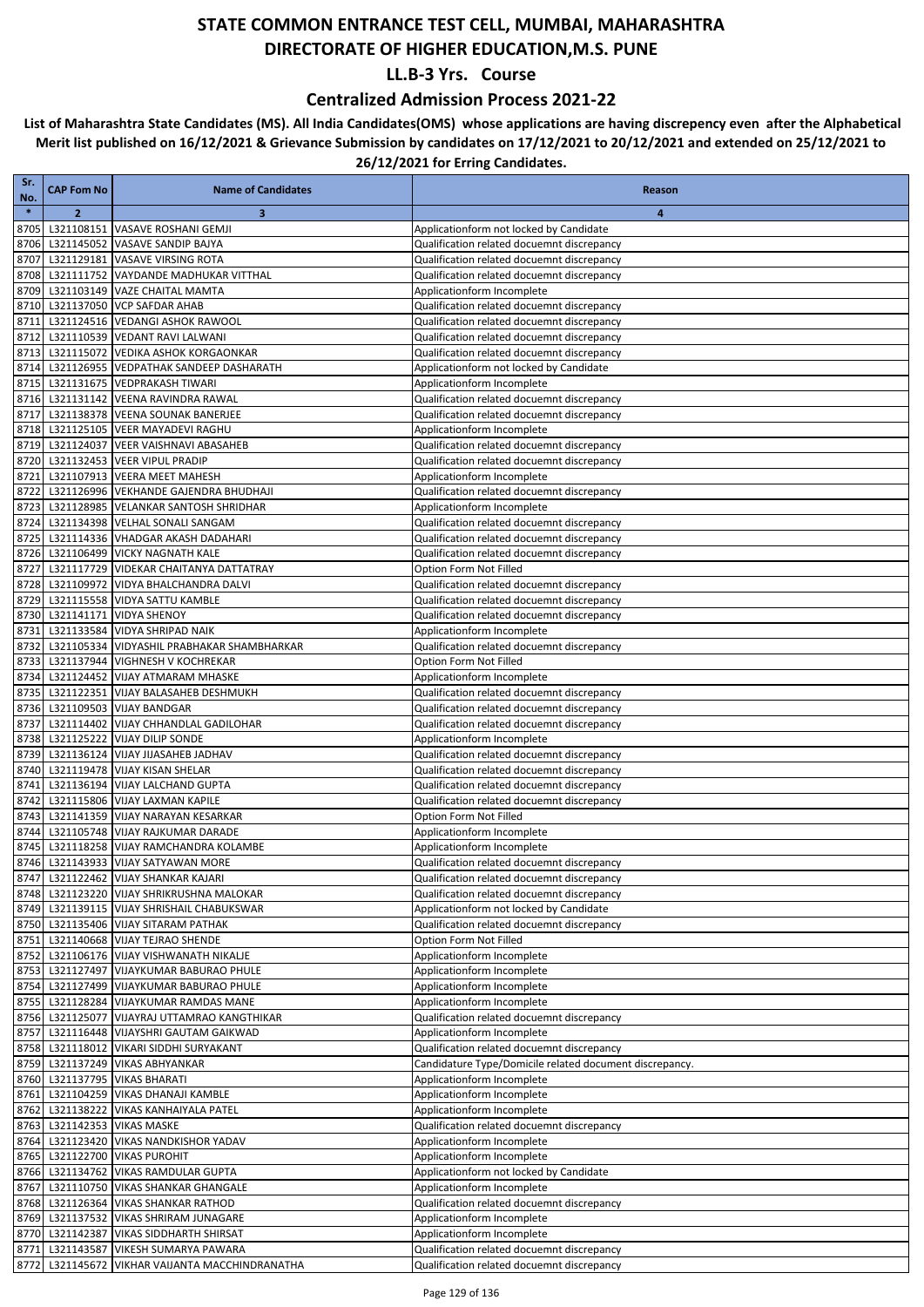### **Centralized Admission Process 2021-22**

| Sr.<br>No.   | <b>CAP Fom No</b>           | <b>Name of Candidates</b>                                                            | Reason                                                                                   |
|--------------|-----------------------------|--------------------------------------------------------------------------------------|------------------------------------------------------------------------------------------|
| $\ast$       | $\overline{2}$              | 3                                                                                    | $\overline{\mathbf{a}}$                                                                  |
| 8705         |                             | L321108151 VASAVE ROSHANI GEMJI                                                      | Applicationform not locked by Candidate                                                  |
| 8706         |                             | L321145052 VASAVE SANDIP BAJYA                                                       | Qualification related docuemnt discrepancy                                               |
| 8707         |                             | L321129181 VASAVE VIRSING ROTA                                                       | Qualification related docuemnt discrepancy                                               |
| 8708         |                             | L321111752 VAYDANDE MADHUKAR VITTHAL                                                 | Qualification related docuemnt discrepancy                                               |
| 8709         |                             | L321103149 VAZE CHAITAL MAMTA                                                        | Applicationform Incomplete                                                               |
| 8710         |                             | L321137050 VCP SAFDAR AHAB                                                           | Qualification related docuemnt discrepancy                                               |
| 8711         |                             | L321124516 VEDANGI ASHOK RAWOOL                                                      | Qualification related docuemnt discrepancy                                               |
| 8712         |                             | L321110539 VEDANT RAVI LALWANI                                                       | Qualification related docuemnt discrepancy                                               |
| 8713<br>8714 |                             | L321115072 VEDIKA ASHOK KORGAONKAR<br>L321126955 VEDPATHAK SANDEEP DASHARATH         | Qualification related docuemnt discrepancy                                               |
| 8715         |                             | L321131675 VEDPRAKASH TIWARI                                                         | Applicationform not locked by Candidate<br>Applicationform Incomplete                    |
| 8716         |                             | L321131142 VEENA RAVINDRA RAWAL                                                      | Qualification related docuemnt discrepancy                                               |
| 8717         |                             | L321138378 VEENA SOUNAK BANERJEE                                                     | Qualification related docuemnt discrepancy                                               |
| 8718         |                             | L321125105 VEER MAYADEVI RAGHU                                                       | Applicationform Incomplete                                                               |
| 8719         |                             | L321124037 VEER VAISHNAVI ABASAHEB                                                   | Qualification related docuemnt discrepancy                                               |
| 8720         |                             | L321132453 VEER VIPUL PRADIP                                                         | Qualification related docuemnt discrepancy                                               |
| 8721         |                             | L321107913 VEERA MEET MAHESH                                                         | Applicationform Incomplete                                                               |
| 8722         |                             | L321126996 VEKHANDE GAJENDRA BHUDHAJI                                                | Qualification related docuemnt discrepancy                                               |
| 8723         |                             | L321128985 VELANKAR SANTOSH SHRIDHAR                                                 | Applicationform Incomplete                                                               |
| 8724         |                             | L321134398 VELHAL SONALI SANGAM                                                      | Qualification related docuemnt discrepancy                                               |
| 8725         |                             | L321114336 VHADGAR AKASH DADAHARI                                                    | Qualification related docuemnt discrepancy                                               |
| 8726         |                             | L321106499 VICKY NAGNATH KALE                                                        | Qualification related docuemnt discrepancy                                               |
| 8727<br>8728 |                             | L321117729 VIDEKAR CHAITANYA DATTATRAY<br>L321109972 VIDYA BHALCHANDRA DALVI         | Option Form Not Filled<br>Qualification related docuemnt discrepancy                     |
| 8729         |                             | L321115558 VIDYA SATTU KAMBLE                                                        | Qualification related docuemnt discrepancy                                               |
| 8730         |                             | L321141171 VIDYA SHENOY                                                              | Qualification related docuemnt discrepancy                                               |
| 8731         |                             | L321133584 VIDYA SHRIPAD NAIK                                                        | Applicationform Incomplete                                                               |
| 8732         |                             | L321105334 VIDYASHIL PRABHAKAR SHAMBHARKAR                                           | Qualification related docuemnt discrepancy                                               |
| 8733         |                             | L321137944 VIGHNESH V KOCHREKAR                                                      | Option Form Not Filled                                                                   |
| 8734         |                             | L321124452 VIJAY ATMARAM MHASKE                                                      | Applicationform Incomplete                                                               |
| 8735         |                             | L321122351 VIJAY BALASAHEB DESHMUKH                                                  | Qualification related docuemnt discrepancy                                               |
| 8736         |                             | L321109503 VIJAY BANDGAR                                                             | Qualification related docuemnt discrepancy                                               |
| 8737         |                             | L321114402 VIJAY CHHANDLAL GADILOHAR                                                 | Qualification related docuemnt discrepancy                                               |
| 8738         |                             | L321125222 VIJAY DILIP SONDE                                                         | Applicationform Incomplete                                                               |
| 8739         |                             | L321136124 VIJAY JIJASAHEB JADHAV<br>L321119478 VIJAY KISAN SHELAR                   | Qualification related docuemnt discrepancy                                               |
| 8740<br>8741 |                             | L321136194 VIJAY LALCHAND GUPTA                                                      | Qualification related docuemnt discrepancy<br>Qualification related docuemnt discrepancy |
| 8742         |                             | L321115806 VIJAY LAXMAN KAPILE                                                       | Qualification related docuemnt discrepancy                                               |
| 8743         |                             | L321141359 VIJAY NARAYAN KESARKAR                                                    | Option Form Not Filled                                                                   |
|              |                             | 8744 L321105748 VIJAY RAJKUMAR DARADE                                                | Applicationform Incomplete                                                               |
| 8745         |                             | L321118258 VIJAY RAMCHANDRA KOLAMBE                                                  | Applicationform Incomplete                                                               |
| 8746         |                             | L321143933 VIJAY SATYAWAN MORE                                                       | Qualification related docuemnt discrepancy                                               |
|              |                             | 8747 L321122462 VIJAY SHANKAR KAJARI                                                 | Qualification related docuemnt discrepancy                                               |
|              |                             | 8748 L321123220 VIJAY SHRIKRUSHNA MALOKAR                                            | Qualification related docuemnt discrepancy                                               |
|              |                             | 8749 L321139115 VIJAY SHRISHAIL CHABUKSWAR                                           | Applicationform not locked by Candidate                                                  |
|              |                             | 8750 L321135406 VIJAY SITARAM PATHAK                                                 | Qualification related docuemnt discrepancy                                               |
|              |                             | 8751 L321140668 VIJAY TEJRAO SHENDE                                                  | Option Form Not Filled                                                                   |
|              |                             | 8752 L321106176 VIJAY VISHWANATH NIKALJE<br>8753 L321127497 VIJAYKUMAR BABURAO PHULE | Applicationform Incomplete<br>Applicationform Incomplete                                 |
|              |                             | 8754 L321127499 VIJAYKUMAR BABURAO PHULE                                             | Applicationform Incomplete                                                               |
|              |                             | 8755 L321128284 VIJAYKUMAR RAMDAS MANE                                               | Applicationform Incomplete                                                               |
|              |                             | 8756 L321125077 VIJAYRAJ UTTAMRAO KANGTHIKAR                                         | Qualification related docuemnt discrepancy                                               |
|              |                             | 8757 L321116448 VIJAYSHRI GAUTAM GAIKWAD                                             | Applicationform Incomplete                                                               |
|              |                             | 8758 L321118012 VIKARI SIDDHI SURYAKANT                                              | Qualification related docuemnt discrepancy                                               |
|              |                             | 8759 L321137249 VIKAS ABHYANKAR                                                      | Candidature Type/Domicile related document discrepancy.                                  |
|              |                             | 8760 L321137795 VIKAS BHARATI                                                        | Applicationform Incomplete                                                               |
|              |                             | 8761 L321104259 VIKAS DHANAJI KAMBLE                                                 | Applicationform Incomplete                                                               |
|              |                             | 8762 L321138222 VIKAS KANHAIYALA PATEL                                               | Applicationform Incomplete                                                               |
|              | 8763 L321142353 VIKAS MASKE |                                                                                      | Qualification related docuemnt discrepancy                                               |
|              |                             | 8764 L321123420 VIKAS NANDKISHOR YADAV                                               | Applicationform Incomplete                                                               |
|              |                             | 8765 L321122700 VIKAS PUROHIT<br>8766 L321134762 VIKAS RAMDULAR GUPTA                | Applicationform Incomplete<br>Applicationform not locked by Candidate                    |
|              |                             | 8767 L321110750 VIKAS SHANKAR GHANGALE                                               | Applicationform Incomplete                                                               |
|              |                             | 8768 L321126364 VIKAS SHANKAR RATHOD                                                 | Qualification related docuemnt discrepancy                                               |
|              |                             | 8769 L321137532 VIKAS SHRIRAM JUNAGARE                                               | Applicationform Incomplete                                                               |
|              |                             | 8770 L321142387 VIKAS SIDDHARTH SHIRSAT                                              | Applicationform Incomplete                                                               |
| 8771         |                             | L321143587 VIKESH SUMARYA PAWARA                                                     | Qualification related docuemnt discrepancy                                               |
|              |                             | 8772 L321145672 VIKHAR VAIJANTA MACCHINDRANATHA                                      | Qualification related docuemnt discrepancy                                               |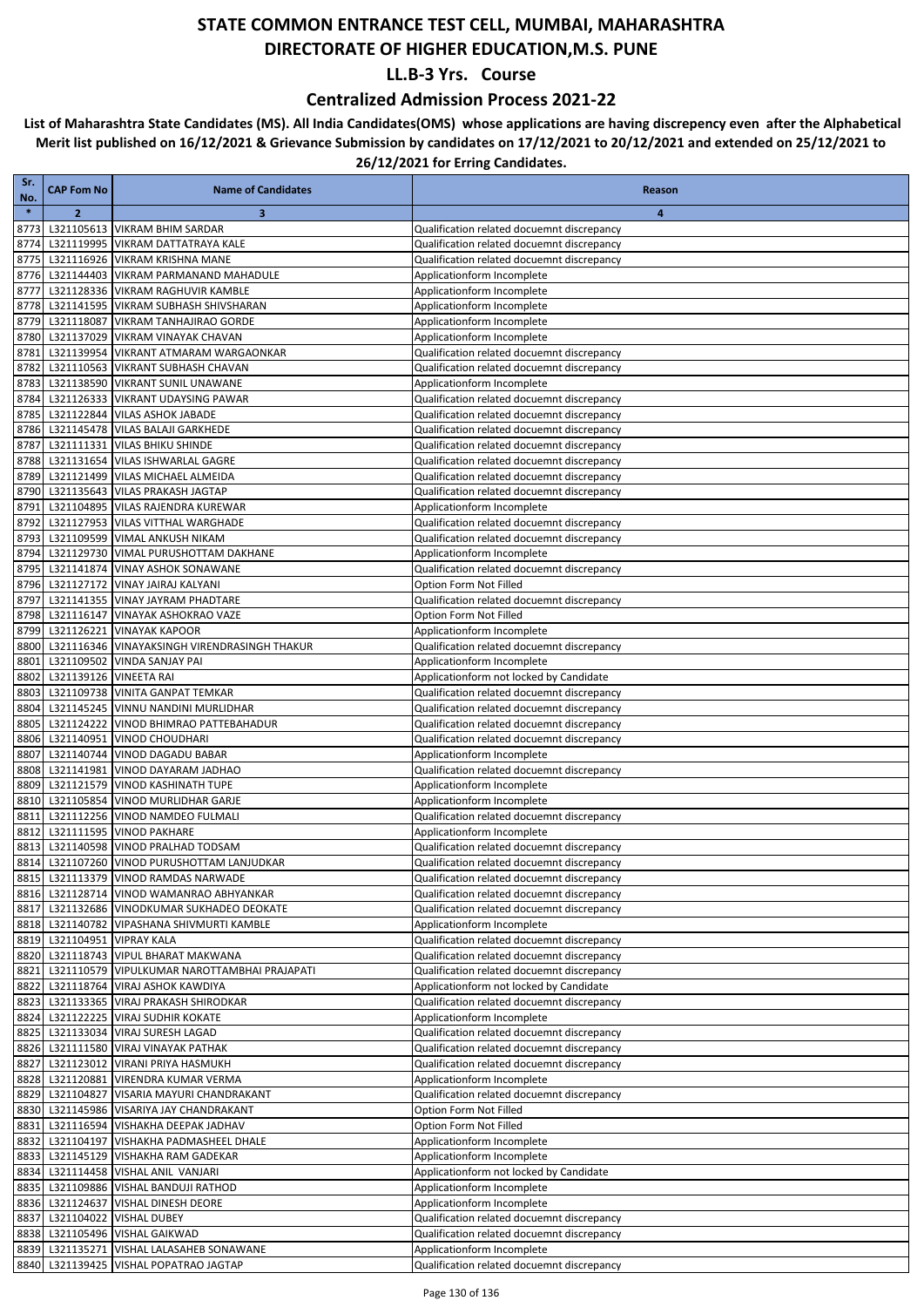### **Centralized Admission Process 2021-22**

| Sr.           | <b>CAP Fom No</b>           | <b>Name of Candidates</b>                                                                 | Reason                                                                                   |
|---------------|-----------------------------|-------------------------------------------------------------------------------------------|------------------------------------------------------------------------------------------|
| No.<br>$\ast$ | $\overline{2}$              | 3                                                                                         | 4                                                                                        |
| 8773          |                             | L321105613 VIKRAM BHIM SARDAR                                                             | Qualification related docuemnt discrepancy                                               |
| 8774          |                             | L321119995 VIKRAM DATTATRAYA KALE                                                         | Qualification related docuemnt discrepancy                                               |
| 8775          |                             | L321116926 VIKRAM KRISHNA MANE                                                            | Qualification related docuemnt discrepancy                                               |
| 8776          |                             | L321144403 VIKRAM PARMANAND MAHADULE                                                      | Applicationform Incomplete                                                               |
| 8777          |                             | L321128336 VIKRAM RAGHUVIR KAMBLE                                                         | Applicationform Incomplete                                                               |
| 8778          |                             | L321141595 VIKRAM SUBHASH SHIVSHARAN                                                      | Applicationform Incomplete                                                               |
| 8779          |                             | L321118087 VIKRAM TANHAJIRAO GORDE                                                        | Applicationform Incomplete                                                               |
| 8780<br>8781  |                             | L321137029 VIKRAM VINAYAK CHAVAN<br>L321139954 VIKRANT ATMARAM WARGAONKAR                 | Applicationform Incomplete<br>Qualification related docuemnt discrepancy                 |
| 8782          |                             | L321110563 VIKRANT SUBHASH CHAVAN                                                         | Qualification related docuemnt discrepancy                                               |
| 8783          |                             | L321138590 VIKRANT SUNIL UNAWANE                                                          | Applicationform Incomplete                                                               |
| 8784          |                             | L321126333 VIKRANT UDAYSING PAWAR                                                         | Qualification related docuemnt discrepancy                                               |
| 8785          |                             | L321122844 VILAS ASHOK JABADE                                                             | Qualification related docuemnt discrepancy                                               |
| 8786          |                             | L321145478 VILAS BALAJI GARKHEDE                                                          | Qualification related docuemnt discrepancy                                               |
| 8787          |                             | L321111331 VILAS BHIKU SHINDE                                                             | Qualification related docuemnt discrepancy                                               |
| 8788          |                             | L321131654 VILAS ISHWARLAL GAGRE<br>L321121499 VILAS MICHAEL ALMEIDA                      | Qualification related docuemnt discrepancy                                               |
| 8789<br>8790  |                             | L321135643 VILAS PRAKASH JAGTAP                                                           | Qualification related docuemnt discrepancy<br>Qualification related docuemnt discrepancy |
| 8791          |                             | L321104895 VILAS RAJENDRA KUREWAR                                                         | Applicationform Incomplete                                                               |
| 8792          |                             | L321127953 VILAS VITTHAL WARGHADE                                                         | Qualification related docuemnt discrepancy                                               |
| 8793          |                             | L321109599 VIMAL ANKUSH NIKAM                                                             | Qualification related docuemnt discrepancy                                               |
| 8794          |                             | L321129730 VIMAL PURUSHOTTAM DAKHANE                                                      | Applicationform Incomplete                                                               |
| 8795          |                             | L321141874 VINAY ASHOK SONAWANE                                                           | Qualification related docuemnt discrepancy                                               |
| 8796          |                             | L321127172 VINAY JAIRAJ KALYANI                                                           | Option Form Not Filled                                                                   |
| 8797          |                             | L321141355 VINAY JAYRAM PHADTARE                                                          | Qualification related docuemnt discrepancy                                               |
| 8798          |                             | L321116147 VINAYAK ASHOKRAO VAZE                                                          | Option Form Not Filled                                                                   |
| 8799<br>8800  |                             | L321126221 VINAYAK KAPOOR<br>L321116346 VINAYAKSINGH VIRENDRASINGH THAKUR                 | Applicationform Incomplete<br>Qualification related docuemnt discrepancy                 |
| 8801          |                             | L321109502 VINDA SANJAY PAI                                                               | Applicationform Incomplete                                                               |
| 8802          | L321139126 VINEETA RAI      |                                                                                           | Applicationform not locked by Candidate                                                  |
| 8803          |                             | L321109738 VINITA GANPAT TEMKAR                                                           | Qualification related docuemnt discrepancy                                               |
| 8804          |                             | L321145245 VINNU NANDINI MURLIDHAR                                                        | Qualification related docuemnt discrepancy                                               |
| 8805          |                             | L321124222 VINOD BHIMRAO PATTEBAHADUR                                                     | Qualification related docuemnt discrepancy                                               |
| 8806          |                             | L321140951 VINOD CHOUDHARI                                                                | Qualification related docuemnt discrepancy                                               |
| 8807          |                             | L321140744 VINOD DAGADU BABAR                                                             | Applicationform Incomplete                                                               |
| 8808          |                             | L321141981 VINOD DAYARAM JADHAO<br>L321121579 VINOD KASHINATH TUPE                        | Qualification related docuemnt discrepancy                                               |
| 8809<br>8810  |                             | L321105854 VINOD MURLIDHAR GARJE                                                          | Applicationform Incomplete<br>Applicationform Incomplete                                 |
| 8811          |                             | L321112256 VINOD NAMDEO FULMALI                                                           | Qualification related docuemnt discrepancy                                               |
| 8812          |                             | L321111595 VINOD PAKHARE                                                                  | Applicationform Incomplete                                                               |
| 8813          |                             | L321140598 VINOD PRALHAD TODSAM                                                           | Qualification related docuemnt discrepancy                                               |
|               |                             | 8814 L321107260 VINOD PURUSHOTTAM LANJUDKAR                                               | Qualification related docuemnt discrepancy                                               |
|               |                             | 8815 L321113379 VINOD RAMDAS NARWADE                                                      | Qualification related docuemnt discrepancy                                               |
|               |                             | 8816 L321128714 VINOD WAMANRAO ABHYANKAR                                                  | Qualification related docuemnt discrepancy                                               |
|               |                             | 8817 L321132686 VINODKUMAR SUKHADEO DEOKATE<br>8818 L321140782 VIPASHANA SHIVMURTI KAMBLE | Qualification related docuemnt discrepancy<br>Applicationform Incomplete                 |
|               | 8819 L321104951 VIPRAY KALA |                                                                                           | Qualification related docuemnt discrepancy                                               |
|               |                             | 8820 L321118743 VIPUL BHARAT MAKWANA                                                      | Qualification related docuemnt discrepancy                                               |
| 8821          |                             | L321110579 VIPULKUMAR NAROTTAMBHAI PRAJAPATI                                              | Qualification related docuemnt discrepancy                                               |
| 8822          |                             | L321118764 VIRAJ ASHOK KAWDIYA                                                            | Applicationform not locked by Candidate                                                  |
|               |                             | 8823 L321133365 VIRAJ PRAKASH SHIRODKAR                                                   | Qualification related docuemnt discrepancy                                               |
|               |                             | 8824 L321122225 VIRAJ SUDHIR KOKATE                                                       | Applicationform Incomplete                                                               |
|               |                             | 8825 L321133034 VIRAJ SURESH LAGAD                                                        | Qualification related docuemnt discrepancy                                               |
|               |                             | 8826 L321111580 VIRAJ VINAYAK PATHAK                                                      | Qualification related docuemnt discrepancy                                               |
| 8827          |                             | L321123012 VIRANI PRIYA HASMUKH<br>8828 L321120881 VIRENDRA KUMAR VERMA                   | Qualification related docuemnt discrepancy<br>Applicationform Incomplete                 |
|               |                             | 8829 L321104827 VISARIA MAYURI CHANDRAKANT                                                | Qualification related docuemnt discrepancy                                               |
|               |                             | 8830 L321145986 VISARIYA JAY CHANDRAKANT                                                  | Option Form Not Filled                                                                   |
| 8831          |                             | L321116594 VISHAKHA DEEPAK JADHAV                                                         | Option Form Not Filled                                                                   |
|               |                             | 8832 L321104197 VISHAKHA PADMASHEEL DHALE                                                 | Applicationform Incomplete                                                               |
|               |                             | 8833 L321145129 VISHAKHA RAM GADEKAR                                                      | Applicationform Incomplete                                                               |
|               |                             | 8834 L321114458 VISHAL ANIL VANJARI                                                       | Applicationform not locked by Candidate                                                  |
|               |                             | 8835 L321109886 VISHAL BANDUJI RATHOD                                                     | Applicationform Incomplete                                                               |
|               |                             | 8836 L321124637 VISHAL DINESH DEORE                                                       | Applicationform Incomplete                                                               |
| 8837          |                             | L321104022 VISHAL DUBEY                                                                   | Qualification related docuemnt discrepancy<br>Qualification related docuemnt discrepancy |
|               |                             | 8838 L321105496 VISHAL GAIKWAD<br>8839 L321135271 VISHAL LALASAHEB SONAWANE               | Applicationform Incomplete                                                               |
|               |                             | 8840 L321139425 VISHAL POPATRAO JAGTAP                                                    | Qualification related docuemnt discrepancy                                               |
|               |                             |                                                                                           |                                                                                          |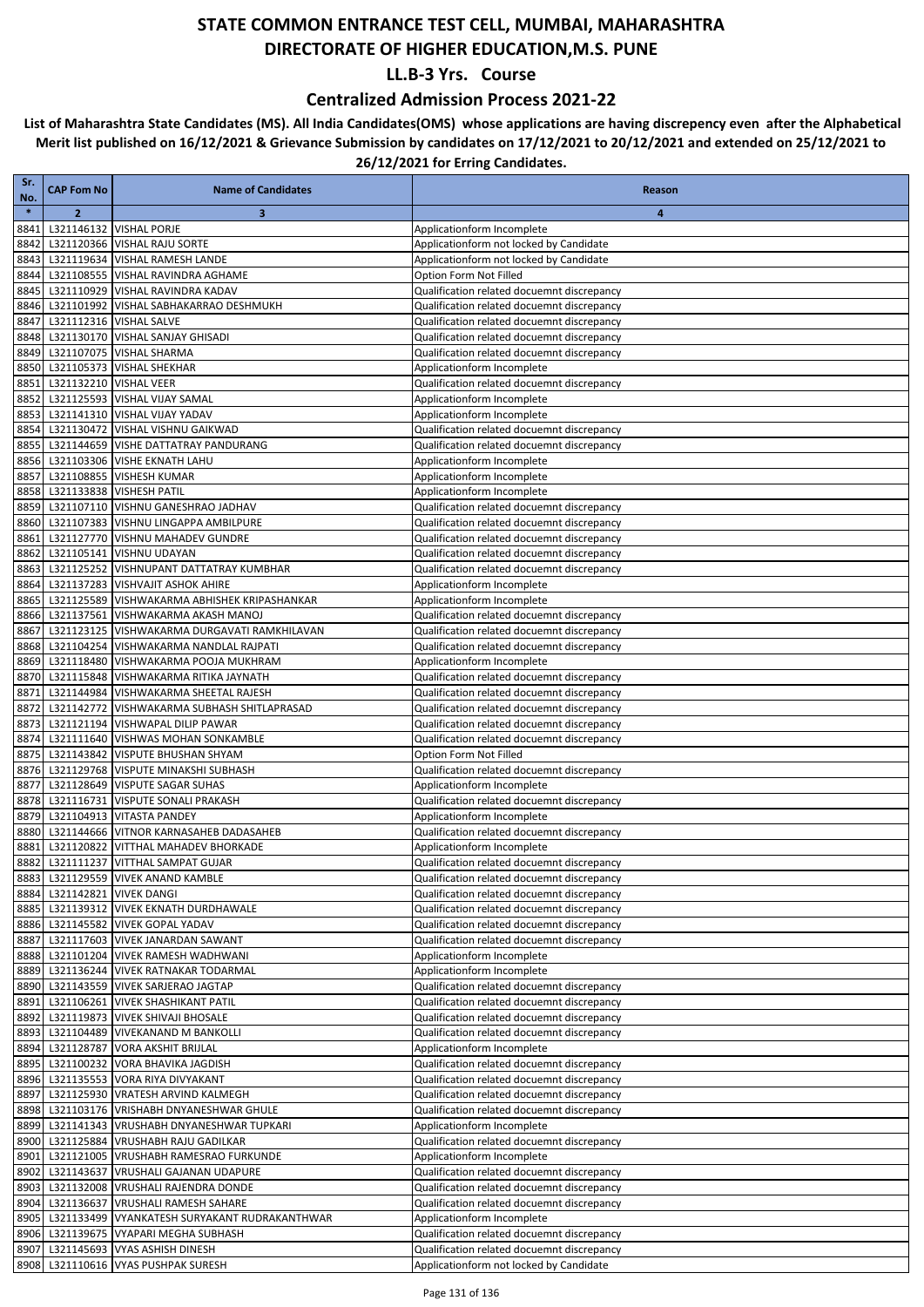### **Centralized Admission Process 2021-22**

| Sr.<br>No.   | <b>CAP Fom No</b>      | <b>Name of Candidates</b>                                                                        | Reason                                                                                   |
|--------------|------------------------|--------------------------------------------------------------------------------------------------|------------------------------------------------------------------------------------------|
| $\ast$       | $\overline{2}$         | 3                                                                                                | $\overline{\mathbf{a}}$                                                                  |
| 8841         |                        | L321146132 VISHAL PORJE                                                                          | Applicationform Incomplete                                                               |
| 8842         |                        | L321120366 VISHAL RAJU SORTE                                                                     | Applicationform not locked by Candidate                                                  |
| 8843         |                        | L321119634 VISHAL RAMESH LANDE                                                                   | Applicationform not locked by Candidate                                                  |
| 8844         |                        | L321108555 VISHAL RAVINDRA AGHAME                                                                | Option Form Not Filled                                                                   |
| 8845         |                        | L321110929 VISHAL RAVINDRA KADAV                                                                 | Qualification related docuemnt discrepancy                                               |
| 8846         |                        | L321101992 VISHAL SABHAKARRAO DESHMUKH                                                           | Qualification related docuemnt discrepancy                                               |
| 8847         |                        | L321112316 VISHAL SALVE                                                                          | Qualification related docuemnt discrepancy                                               |
| 8848<br>8849 |                        | L321130170 VISHAL SANJAY GHISADI<br>L321107075 VISHAL SHARMA                                     | Qualification related docuemnt discrepancy<br>Qualification related docuemnt discrepancy |
| 8850         |                        | L321105373 VISHAL SHEKHAR                                                                        | Applicationform Incomplete                                                               |
| 8851         | L321132210 VISHAL VEER |                                                                                                  | Qualification related docuemnt discrepancy                                               |
| 8852         |                        | L321125593 VISHAL VIJAY SAMAL                                                                    | Applicationform Incomplete                                                               |
| 8853         |                        | L321141310 VISHAL VIJAY YADAV                                                                    | Applicationform Incomplete                                                               |
| 8854         |                        | L321130472 VISHAL VISHNU GAIKWAD                                                                 | Qualification related docuemnt discrepancy                                               |
| 8855         |                        | L321144659 VISHE DATTATRAY PANDURANG                                                             | Qualification related docuemnt discrepancy                                               |
| 8856         |                        | L321103306 VISHE EKNATH LAHU                                                                     | Applicationform Incomplete                                                               |
| 8857         |                        | L321108855 VISHESH KUMAR                                                                         | Applicationform Incomplete                                                               |
| 8858         |                        | L321133838 VISHESH PATIL                                                                         | Applicationform Incomplete                                                               |
| 8859         |                        | L321107110 VISHNU GANESHRAO JADHAV                                                               | Qualification related docuemnt discrepancy                                               |
| 8860<br>8861 |                        | L321107383 VISHNU LINGAPPA AMBILPURE<br>L321127770 VISHNU MAHADEV GUNDRE                         | Qualification related docuemnt discrepancy<br>Qualification related docuemnt discrepancy |
| 8862         |                        | L321105141 VISHNU UDAYAN                                                                         | Qualification related docuemnt discrepancy                                               |
| 8863         |                        | L321125252 VISHNUPANT DATTATRAY KUMBHAR                                                          | Qualification related docuemnt discrepancy                                               |
| 8864         |                        | L321137283 VISHVAJIT ASHOK AHIRE                                                                 | Applicationform Incomplete                                                               |
| 8865         |                        | L321125589 VISHWAKARMA ABHISHEK KRIPASHANKAR                                                     | Applicationform Incomplete                                                               |
| 8866         |                        | L321137561 VISHWAKARMA AKASH MANOJ                                                               | Qualification related docuemnt discrepancy                                               |
| 8867         |                        | L321123125 VISHWAKARMA DURGAVATI RAMKHILAVAN                                                     | Qualification related docuemnt discrepancy                                               |
| 8868         |                        | L321104254 VISHWAKARMA NANDLAL RAJPATI                                                           | Qualification related docuemnt discrepancy                                               |
| 8869         |                        | L321118480 VISHWAKARMA POOJA MUKHRAM                                                             | Applicationform Incomplete                                                               |
| 8870         |                        | L321115848 VISHWAKARMA RITIKA JAYNATH                                                            | Qualification related docuemnt discrepancy                                               |
| 8871         |                        | L321144984 VISHWAKARMA SHEETAL RAJESH                                                            | Qualification related docuemnt discrepancy                                               |
| 8872<br>8873 |                        | L321142772 VISHWAKARMA SUBHASH SHITLAPRASAD<br>L321121194 VISHWAPAL DILIP PAWAR                  | Qualification related docuemnt discrepancy<br>Qualification related docuemnt discrepancy |
| 8874         |                        | L321111640 VISHWAS MOHAN SONKAMBLE                                                               | Qualification related docuemnt discrepancy                                               |
| 8875         |                        | L321143842 VISPUTE BHUSHAN SHYAM                                                                 | Option Form Not Filled                                                                   |
| 8876         |                        | L321129768 VISPUTE MINAKSHI SUBHASH                                                              | Qualification related docuemnt discrepancy                                               |
| 8877         |                        | L321128649 VISPUTE SAGAR SUHAS                                                                   | Applicationform Incomplete                                                               |
| 8878         |                        | L321116731 VISPUTE SONALI PRAKASH                                                                | Qualification related docuemnt discrepancy                                               |
| 8879         |                        | L321104913 VITASTA PANDEY                                                                        | Applicationform Incomplete                                                               |
| 8880         |                        | L321144666 VITNOR KARNASAHEB DADASAHEB                                                           | Qualification related docuemnt discrepancy                                               |
| 8881         |                        | L321120822 VITTHAL MAHADEV BHORKADE                                                              | Applicationform Incomplete                                                               |
| 8882         |                        | L321111237 VITTHAL SAMPAT GUJAR<br>8883 L321129559 VIVEK ANAND KAMBLE                            | Qualification related docuemnt discrepancy<br>Qualification related docuemnt discrepancy |
| 8884         | L321142821 VIVEK DANGI |                                                                                                  | Qualification related docuemnt discrepancy                                               |
|              |                        | 8885 L321139312 VIVEK EKNATH DURDHAWALE                                                          | Qualification related docuemnt discrepancy                                               |
|              |                        | 8886 L321145582 VIVEK GOPAL YADAV                                                                | Qualification related docuemnt discrepancy                                               |
| 8887         |                        | L321117603 VIVEK JANARDAN SAWANT                                                                 | Qualification related docuemnt discrepancy                                               |
|              |                        | 8888 L321101204 VIVEK RAMESH WADHWANI                                                            | Applicationform Incomplete                                                               |
| 8889         |                        | L321136244 VIVEK RATNAKAR TODARMAL                                                               | Applicationform Incomplete                                                               |
|              |                        | 8890 L321143559 VIVEK SARJERAO JAGTAP                                                            | Qualification related docuemnt discrepancy                                               |
| 8891         |                        | L321106261 VIVEK SHASHIKANT PATIL                                                                | Qualification related docuemnt discrepancy                                               |
| 8892         |                        | L321119873 VIVEK SHIVAJI BHOSALE<br>L321104489 VIVEKANAND M BANKOLLI                             | Qualification related docuemnt discrepancy                                               |
| 8893         |                        | 8894 L321128787 VORA AKSHIT BRIJLAL                                                              | Qualification related docuemnt discrepancy<br>Applicationform Incomplete                 |
|              |                        | 8895 L321100232 VORA BHAVIKA JAGDISH                                                             | Qualification related docuemnt discrepancy                                               |
|              |                        | 8896 L321135553 VORA RIYA DIVYAKANT                                                              | Qualification related docuemnt discrepancy                                               |
| 8897         |                        | L321125930 VRATESH ARVIND KALMEGH                                                                | Qualification related docuemnt discrepancy                                               |
|              |                        | 8898 L321103176 VRISHABH DNYANESHWAR GHULE                                                       | Qualification related docuemnt discrepancy                                               |
|              |                        | 8899 L321141343 VRUSHABH DNYANESHWAR TUPKARI                                                     | Applicationform Incomplete                                                               |
|              |                        | 8900 L321125884 VRUSHABH RAJU GADILKAR                                                           | Qualification related docuemnt discrepancy                                               |
| 8901         |                        | L321121005 VRUSHABH RAMESRAO FURKUNDE                                                            | Applicationform Incomplete                                                               |
| 8902         |                        | L321143637 VRUSHALI GAJANAN UDAPURE                                                              | Qualification related docuemnt discrepancy                                               |
| 8903         |                        | L321132008 VRUSHALI RAJENDRA DONDE                                                               | Qualification related docuemnt discrepancy                                               |
|              |                        | 8904 L321136637 VRUSHALI RAMESH SAHARE<br>8905   L321133499   VYANKATESH SURYAKANT RUDRAKANTHWAR | Qualification related docuemnt discrepancy<br>Applicationform Incomplete                 |
|              |                        | 8906 L321139675 VYAPARI MEGHA SUBHASH                                                            | Qualification related docuemnt discrepancy                                               |
| 8907         |                        | L321145693 VYAS ASHISH DINESH                                                                    | Qualification related docuemnt discrepancy                                               |
|              |                        | 8908 L321110616 VYAS PUSHPAK SURESH                                                              | Applicationform not locked by Candidate                                                  |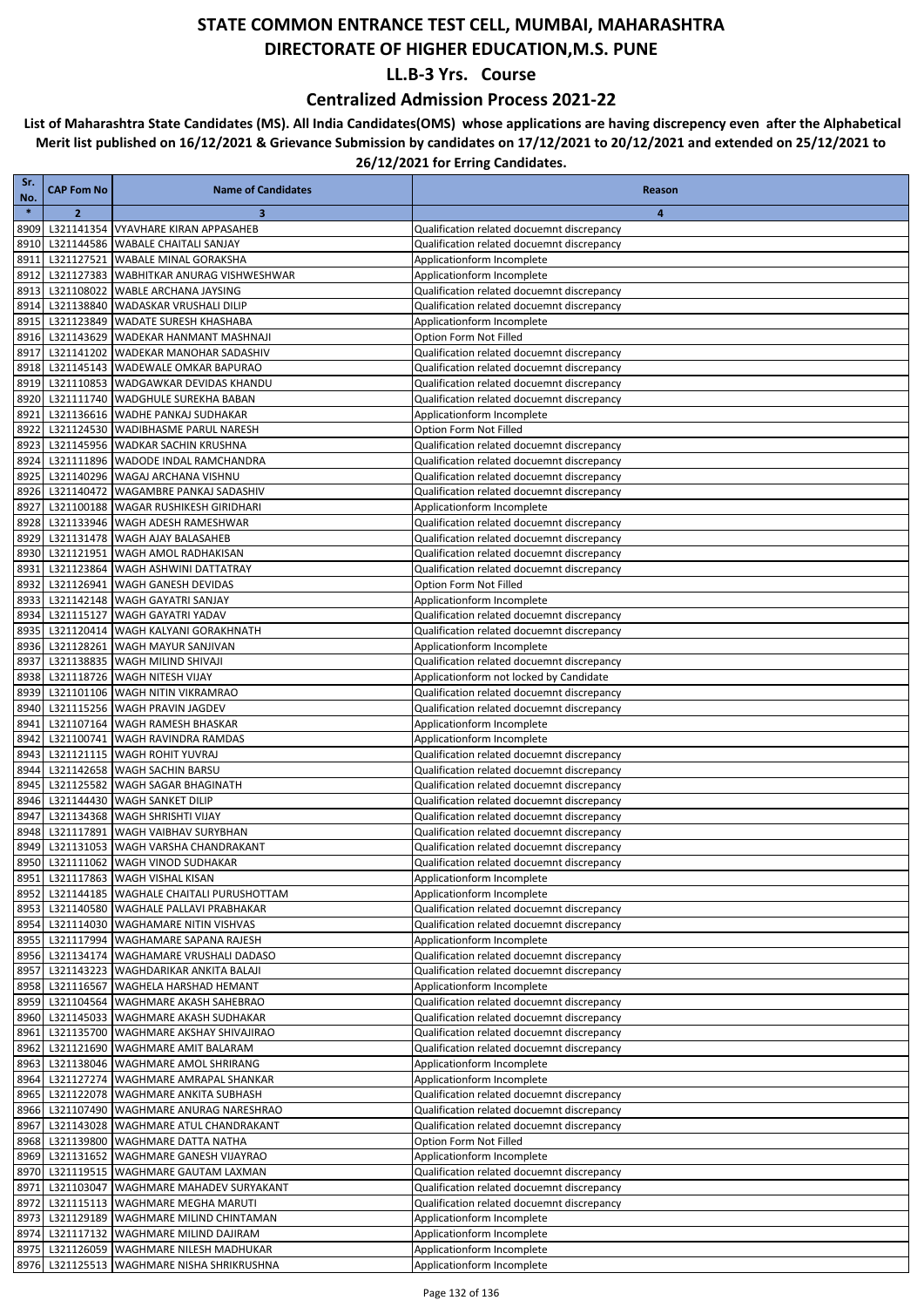### **Centralized Admission Process 2021-22**

| Sr.          | <b>CAP Fom No</b> | <b>Name of Candidates</b>                                                      | Reason                                                                                   |
|--------------|-------------------|--------------------------------------------------------------------------------|------------------------------------------------------------------------------------------|
| No.          |                   |                                                                                |                                                                                          |
| $\ast$       | $\overline{2}$    | 3                                                                              | $\overline{\mathbf{4}}$                                                                  |
| 8909<br>8910 |                   | L321141354 VYAVHARE KIRAN APPASAHEB<br>L321144586 WABALE CHAITALI SANJAY       | Qualification related docuemnt discrepancy<br>Qualification related docuemnt discrepancy |
| 8911         |                   | L321127521 WABALE MINAL GORAKSHA                                               | Applicationform Incomplete                                                               |
| 8912         |                   | L321127383 WABHITKAR ANURAG VISHWESHWAR                                        | Applicationform Incomplete                                                               |
| 8913         |                   | L321108022 WABLE ARCHANA JAYSING                                               | Qualification related docuemnt discrepancy                                               |
| 8914         |                   | L321138840 WADASKAR VRUSHALI DILIP                                             | Qualification related docuemnt discrepancy                                               |
| 8915         |                   | L321123849 WADATE SURESH KHASHABA                                              | Applicationform Incomplete                                                               |
| 8916         |                   | L321143629 WADEKAR HANMANT MASHNAJI                                            | Option Form Not Filled                                                                   |
| 8917         |                   | L321141202 WADEKAR MANOHAR SADASHIV                                            | Qualification related docuemnt discrepancy                                               |
| 8918         |                   | L321145143 WADEWALE OMKAR BAPURAO                                              | Qualification related docuemnt discrepancy                                               |
| 8919         |                   | L321110853 WADGAWKAR DEVIDAS KHANDU                                            | Qualification related docuemnt discrepancy                                               |
| 8920<br>8921 |                   | L321111740 WADGHULE SUREKHA BABAN<br>L321136616 WADHE PANKAJ SUDHAKAR          | Qualification related docuemnt discrepancy<br>Applicationform Incomplete                 |
| 8922         |                   | L321124530 WADIBHASME PARUL NARESH                                             | Option Form Not Filled                                                                   |
| 8923         |                   | L321145956 WADKAR SACHIN KRUSHNA                                               | Qualification related docuemnt discrepancy                                               |
| 8924         |                   | L321111896 WADODE INDAL RAMCHANDRA                                             | Qualification related docuemnt discrepancy                                               |
| 8925         |                   | L321140296 WAGAJ ARCHANA VISHNU                                                | Qualification related docuemnt discrepancy                                               |
| 8926         |                   | L321140472 WAGAMBRE PANKAJ SADASHIV                                            | Qualification related docuemnt discrepancy                                               |
| 8927         |                   | L321100188 WAGAR RUSHIKESH GIRIDHARI                                           | Applicationform Incomplete                                                               |
| 8928         |                   | L321133946 WAGH ADESH RAMESHWAR                                                | Qualification related docuemnt discrepancy                                               |
| 8929         |                   | L321131478 WAGH AJAY BALASAHEB                                                 | Qualification related docuemnt discrepancy                                               |
| 8930<br>8931 |                   | L321121951 WAGH AMOL RADHAKISAN<br>L321123864 WAGH ASHWINI DATTATRAY           | Qualification related docuemnt discrepancy<br>Qualification related docuemnt discrepancy |
| 8932         |                   | L321126941 WAGH GANESH DEVIDAS                                                 | Option Form Not Filled                                                                   |
| 8933         |                   | L321142148 WAGH GAYATRI SANJAY                                                 | Applicationform Incomplete                                                               |
| 8934         |                   | L321115127 WAGH GAYATRI YADAV                                                  | Qualification related docuemnt discrepancy                                               |
| 8935         |                   | L321120414 WAGH KALYANI GORAKHNATH                                             | Qualification related docuemnt discrepancy                                               |
| 8936         |                   | L321128261 WAGH MAYUR SANJIVAN                                                 | Applicationform Incomplete                                                               |
| 8937         |                   | L321138835 WAGH MILIND SHIVAJI                                                 | Qualification related docuemnt discrepancy                                               |
| 8938         |                   | L321118726 WAGH NITESH VIJAY                                                   | Applicationform not locked by Candidate                                                  |
| 8939         |                   | L321101106 WAGH NITIN VIKRAMRAO<br>L321115256 WAGH PRAVIN JAGDEV               | Qualification related docuemnt discrepancy                                               |
| 8940<br>8941 |                   | L321107164 WAGH RAMESH BHASKAR                                                 | Qualification related docuemnt discrepancy<br>Applicationform Incomplete                 |
| 8942         |                   | L321100741 WAGH RAVINDRA RAMDAS                                                | Applicationform Incomplete                                                               |
| 8943         |                   | L321121115 WAGH ROHIT YUVRAJ                                                   | Qualification related docuemnt discrepancy                                               |
| 8944         |                   | L321142658 WAGH SACHIN BARSU                                                   | Qualification related docuemnt discrepancy                                               |
| 8945         |                   | L321125582 WAGH SAGAR BHAGINATH                                                | Qualification related docuemnt discrepancy                                               |
| 8946         |                   | L321144430 WAGH SANKET DILIP                                                   | Qualification related docuemnt discrepancy                                               |
| 8947         |                   | L321134368 WAGH SHRISHTI VIJAY                                                 | Qualification related docuemnt discrepancy                                               |
| 8948<br>8949 |                   | L321117891 WAGH VAIBHAV SURYBHAN<br>L321131053 WAGH VARSHA CHANDRAKANT         | Qualification related docuemnt discrepancy<br>Qualification related docuemnt discrepancy |
|              |                   | 8950 L321111062 WAGH VINOD SUDHAKAR                                            | Qualification related docuemnt discrepancy                                               |
|              |                   | 8951 L321117863 WAGH VISHAL KISAN                                              | Applicationform Incomplete                                                               |
|              |                   | 8952 L321144185 WAGHALE CHAITALI PURUSHOTTAM                                   | Applicationform Incomplete                                                               |
|              |                   | 8953 L321140580 WAGHALE PALLAVI PRABHAKAR                                      | Qualification related docuemnt discrepancy                                               |
| 8954         |                   | L321114030 WAGHAMARE NITIN VISHVAS                                             | Qualification related docuemnt discrepancy                                               |
|              |                   | 8955 L321117994 WAGHAMARE SAPANA RAJESH                                        | Applicationform Incomplete                                                               |
|              |                   | 8956 L321134174 WAGHAMARE VRUSHALI DADASO                                      | Qualification related docuemnt discrepancy                                               |
| 8957         |                   | L321143223 WAGHDARIKAR ANKITA BALAJI<br>8958 L321116567 WAGHELA HARSHAD HEMANT | Qualification related docuemnt discrepancy<br>Applicationform Incomplete                 |
|              |                   | 8959 L321104564 WAGHMARE AKASH SAHEBRAO                                        | Qualification related docuemnt discrepancy                                               |
|              |                   | 8960 L321145033 WAGHMARE AKASH SUDHAKAR                                        | Qualification related docuemnt discrepancy                                               |
| 8961         |                   | L321135700 WAGHMARE AKSHAY SHIVAJIRAO                                          | Qualification related docuemnt discrepancy                                               |
|              |                   | 8962 L321121690 WAGHMARE AMIT BALARAM                                          | Qualification related docuemnt discrepancy                                               |
|              |                   | 8963 L321138046 WAGHMARE AMOL SHRIRANG                                         | Applicationform Incomplete                                                               |
|              |                   | 8964 L321127274 WAGHMARE AMRAPAL SHANKAR                                       | Applicationform Incomplete                                                               |
|              |                   | 8965 L321122078 WAGHMARE ANKITA SUBHASH                                        | Qualification related docuemnt discrepancy                                               |
|              |                   | 8966 L321107490 WAGHMARE ANURAG NARESHRAO                                      | Qualification related docuemnt discrepancy                                               |
| 8967         |                   | L321143028 WAGHMARE ATUL CHANDRAKANT<br>8968 L321139800 WAGHMARE DATTA NATHA   | Qualification related docuemnt discrepancy<br>Option Form Not Filled                     |
|              |                   | 8969 L321131652 WAGHMARE GANESH VIJAYRAO                                       | Applicationform Incomplete                                                               |
| 8970         |                   | L321119515 WAGHMARE GAUTAM LAXMAN                                              | Qualification related docuemnt discrepancy                                               |
| 8971         |                   | L321103047 WAGHMARE MAHADEV SURYAKANT                                          | Qualification related docuemnt discrepancy                                               |
| 8972         |                   | L321115113 WAGHMARE MEGHA MARUTI                                               | Qualification related docuemnt discrepancy                                               |
| 8973         |                   | L321129189 WAGHMARE MILIND CHINTAMAN                                           | Applicationform Incomplete                                                               |
|              |                   | 8974 L321117132 WAGHMARE MILIND DAJIRAM                                        | Applicationform Incomplete                                                               |
|              |                   | 8975 L321126059 WAGHMARE NILESH MADHUKAR                                       | Applicationform Incomplete                                                               |
|              |                   | 8976 L321125513 WAGHMARE NISHA SHRIKRUSHNA                                     | Applicationform Incomplete                                                               |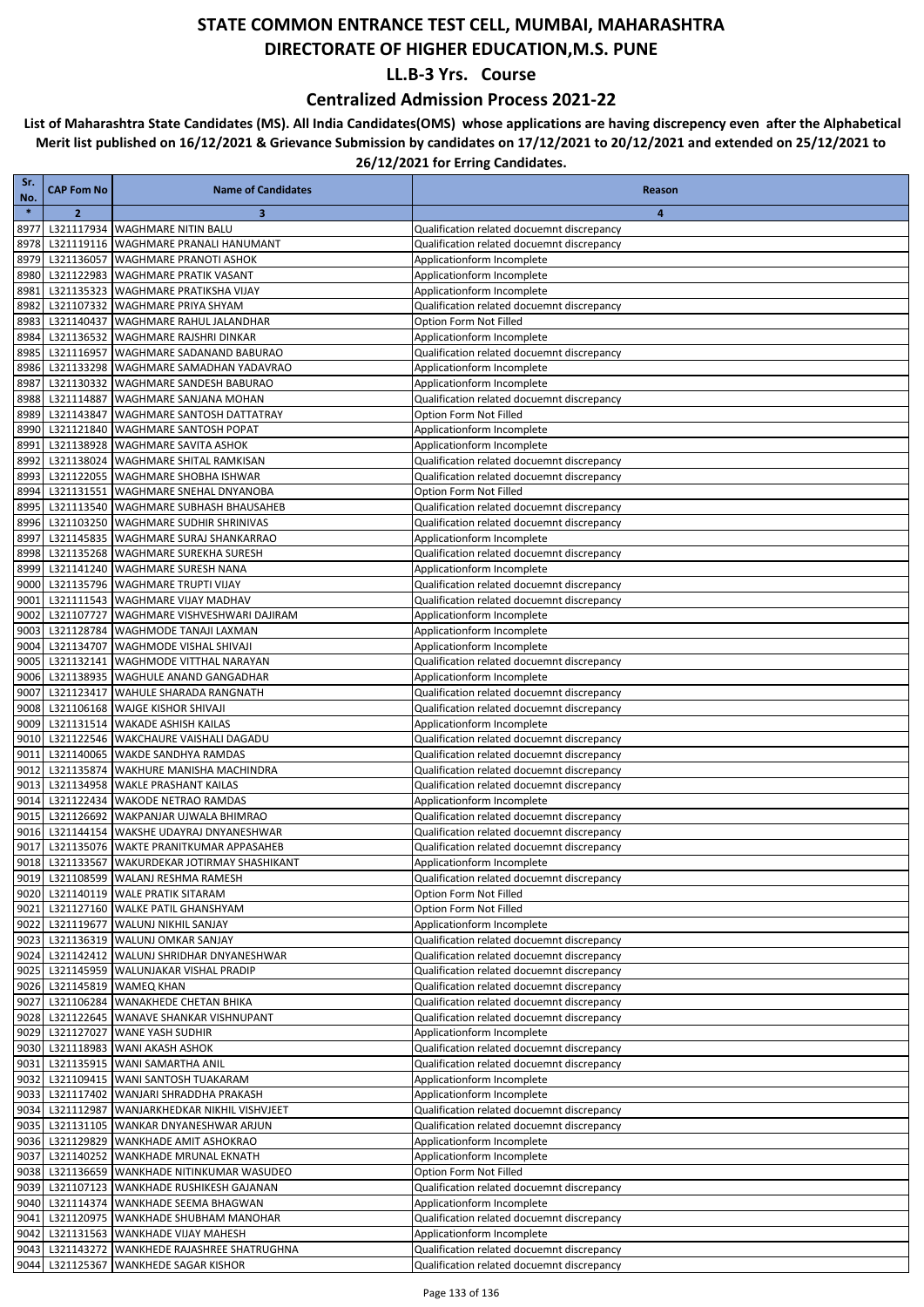### **Centralized Admission Process 2021-22**

| Sr.<br>No.   | <b>CAP Fom No</b> | <b>Name of Candidates</b>                                                                 | Reason                                                                                   |
|--------------|-------------------|-------------------------------------------------------------------------------------------|------------------------------------------------------------------------------------------|
| $\ast$       | $\overline{2}$    | 3                                                                                         | 4                                                                                        |
| 8977         |                   | L321117934 WAGHMARE NITIN BALU                                                            | Qualification related docuemnt discrepancy                                               |
| 8978         |                   | L321119116 WAGHMARE PRANALI HANUMANT                                                      | Qualification related docuemnt discrepancy                                               |
| 8979         |                   | L321136057 WAGHMARE PRANOTI ASHOK                                                         | Applicationform Incomplete                                                               |
| 8980         |                   | L321122983 WAGHMARE PRATIK VASANT                                                         | Applicationform Incomplete                                                               |
| 8981         |                   | L321135323 WAGHMARE PRATIKSHA VIJAY                                                       | Applicationform Incomplete                                                               |
| 8982         |                   | L321107332 WAGHMARE PRIYA SHYAM                                                           | Qualification related docuemnt discrepancy                                               |
| 8983<br>8984 |                   | L321140437 WAGHMARE RAHUL JALANDHAR<br>L321136532 WAGHMARE RAJSHRI DINKAR                 | Option Form Not Filled<br>Applicationform Incomplete                                     |
| 8985         |                   | L321116957 WAGHMARE SADANAND BABURAO                                                      | Qualification related docuemnt discrepancy                                               |
| 8986         |                   | L321133298 WAGHMARE SAMADHAN YADAVRAO                                                     | Applicationform Incomplete                                                               |
| 8987         |                   | L321130332 WAGHMARE SANDESH BABURAO                                                       | Applicationform Incomplete                                                               |
| 8988         |                   | L321114887 WAGHMARE SANJANA MOHAN                                                         | Qualification related docuemnt discrepancy                                               |
| 8989         |                   | L321143847 WAGHMARE SANTOSH DATTATRAY                                                     | Option Form Not Filled                                                                   |
| 8990         |                   | L321121840 WAGHMARE SANTOSH POPAT                                                         | Applicationform Incomplete                                                               |
| 8991         |                   | L321138928 WAGHMARE SAVITA ASHOK                                                          | Applicationform Incomplete                                                               |
| 8992         |                   | L321138024 WAGHMARE SHITAL RAMKISAN                                                       | Qualification related docuemnt discrepancy                                               |
| 8993         |                   | L321122055 WAGHMARE SHOBHA ISHWAR                                                         | Qualification related docuemnt discrepancy                                               |
| 8994         |                   | L321131551 WAGHMARE SNEHAL DNYANOBA                                                       | Option Form Not Filled                                                                   |
| 8995<br>8996 |                   | L321113540 WAGHMARE SUBHASH BHAUSAHEB<br>L321103250 WAGHMARE SUDHIR SHRINIVAS             | Qualification related docuemnt discrepancy<br>Qualification related docuemnt discrepancy |
| 8997         |                   | L321145835 WAGHMARE SURAJ SHANKARRAO                                                      | Applicationform Incomplete                                                               |
| 8998         |                   | L321135268 WAGHMARE SUREKHA SURESH                                                        | Qualification related docuemnt discrepancy                                               |
| 8999         |                   | L321141240 WAGHMARE SURESH NANA                                                           | Applicationform Incomplete                                                               |
| 9000         |                   | L321135796 WAGHMARE TRUPTI VIJAY                                                          | Qualification related docuemnt discrepancy                                               |
| 9001         |                   | L321111543 WAGHMARE VIJAY MADHAV                                                          | Qualification related docuemnt discrepancy                                               |
| 9002         |                   | L321107727 WAGHMARE VISHVESHWARI DAJIRAM                                                  | Applicationform Incomplete                                                               |
| 9003         |                   | L321128784 WAGHMODE TANAJI LAXMAN                                                         | Applicationform Incomplete                                                               |
| 9004         |                   | L321134707 WAGHMODE VISHAL SHIVAJI                                                        | Applicationform Incomplete                                                               |
| 9005         |                   | L321132141 WAGHMODE VITTHAL NARAYAN                                                       | Qualification related docuemnt discrepancy                                               |
| 9006<br>9007 |                   | L321138935 WAGHULE ANAND GANGADHAR<br>L321123417 WAHULE SHARADA RANGNATH                  | Applicationform Incomplete<br>Qualification related docuemnt discrepancy                 |
| 9008         |                   | L321106168 WAJGE KISHOR SHIVAJI                                                           | Qualification related docuemnt discrepancy                                               |
| 9009         |                   | L321131514 WAKADE ASHISH KAILAS                                                           | Applicationform Incomplete                                                               |
| 9010         |                   | L321122546 WAKCHAURE VAISHALI DAGADU                                                      | Qualification related docuemnt discrepancy                                               |
| 9011         |                   | L321140065 WAKDE SANDHYA RAMDAS                                                           | Qualification related docuemnt discrepancy                                               |
| 9012         |                   | L321135874 WAKHURE MANISHA MACHINDRA                                                      | Qualification related docuemnt discrepancy                                               |
| 9013         |                   | L321134958 WAKLE PRASHANT KAILAS                                                          | Qualification related docuemnt discrepancy                                               |
| 9014         |                   | L321122434 WAKODE NETRAO RAMDAS                                                           | Applicationform Incomplete                                                               |
| 9015         |                   | L321126692 WAKPANJAR UJWALA BHIMRAO                                                       | Qualification related docuemnt discrepancy                                               |
| 9016<br>9017 |                   | L321144154 WAKSHE UDAYRAJ DNYANESHWAR<br>L321135076 WAKTE PRANITKUMAR APPASAHEB           | Qualification related docuemnt discrepancy<br>Qualification related docuemnt discrepancy |
| 9018         |                   | L321133567 WAKURDEKAR JOTIRMAY SHASHIKANT                                                 | Applicationform Incomplete                                                               |
|              |                   | 9019 L321108599 WALANJ RESHMA RAMESH                                                      | Qualification related docuemnt discrepancy                                               |
|              |                   | 9020 L321140119 WALE PRATIK SITARAM                                                       | Option Form Not Filled                                                                   |
| 9021         |                   | L321127160 WALKE PATIL GHANSHYAM                                                          | Option Form Not Filled                                                                   |
| 9022         |                   | L321119677 WALUNJ NIKHIL SANJAY                                                           | Applicationform Incomplete                                                               |
| 9023         |                   | L321136319 WALUNJ OMKAR SANJAY                                                            | Qualification related docuemnt discrepancy                                               |
|              |                   | 9024 L321142412 WALUNJ SHRIDHAR DNYANESHWAR                                               | Qualification related docuemnt discrepancy                                               |
|              |                   | 9025 L321145959 WALUNJAKAR VISHAL PRADIP                                                  | Qualification related docuemnt discrepancy                                               |
|              |                   | 9026 L321145819 WAMEQ KHAN                                                                | Qualification related docuemnt discrepancy<br>Qualification related docuemnt discrepancy |
| 9027         |                   | L321106284 WANAKHEDE CHETAN BHIKA<br>9028 L321122645 WANAVE SHANKAR VISHNUPANT            | Qualification related docuemnt discrepancy                                               |
| 9029         |                   | L321127027 WANE YASH SUDHIR                                                               | Applicationform Incomplete                                                               |
|              |                   | 9030 L321118983 WANI AKASH ASHOK                                                          | Qualification related docuemnt discrepancy                                               |
|              |                   | 9031 L321135915 WANI SAMARTHA ANIL                                                        | Qualification related docuemnt discrepancy                                               |
|              |                   | 9032 L321109415 WANI SANTOSH TUAKARAM                                                     | Applicationform Incomplete                                                               |
|              |                   | 9033 L321117402 WANJARI SHRADDHA PRAKASH                                                  | Applicationform Incomplete                                                               |
|              |                   | 9034 L321112987 WANJARKHEDKAR NIKHIL VISHVJEET                                            | Qualification related docuemnt discrepancy                                               |
|              |                   | 9035 L321131105 WANKAR DNYANESHWAR ARJUN                                                  | Qualification related docuemnt discrepancy                                               |
|              |                   | 9036 L321129829 WANKHADE AMIT ASHOKRAO                                                    | Applicationform Incomplete                                                               |
|              |                   | 9037 L321140252 WANKHADE MRUNAL EKNATH                                                    | Applicationform Incomplete                                                               |
|              |                   | 9038 L321136659 WANKHADE NITINKUMAR WASUDEO<br>9039 L321107123 WANKHADE RUSHIKESH GAJANAN | Option Form Not Filled<br>Qualification related docuemnt discrepancy                     |
|              |                   | 9040 L321114374 WANKHADE SEEMA BHAGWAN                                                    | Applicationform Incomplete                                                               |
|              |                   | 9041 L321120975 WANKHADE SHUBHAM MANOHAR                                                  | Qualification related docuemnt discrepancy                                               |
|              |                   | 9042 L321131563 WANKHADE VIJAY MAHESH                                                     | Applicationform Incomplete                                                               |
| 9043         |                   | L321143272 WANKHEDE RAJASHREE SHATRUGHNA                                                  | Qualification related docuemnt discrepancy                                               |
|              |                   | 9044 L321125367 WANKHEDE SAGAR KISHOR                                                     | Qualification related docuemnt discrepancy                                               |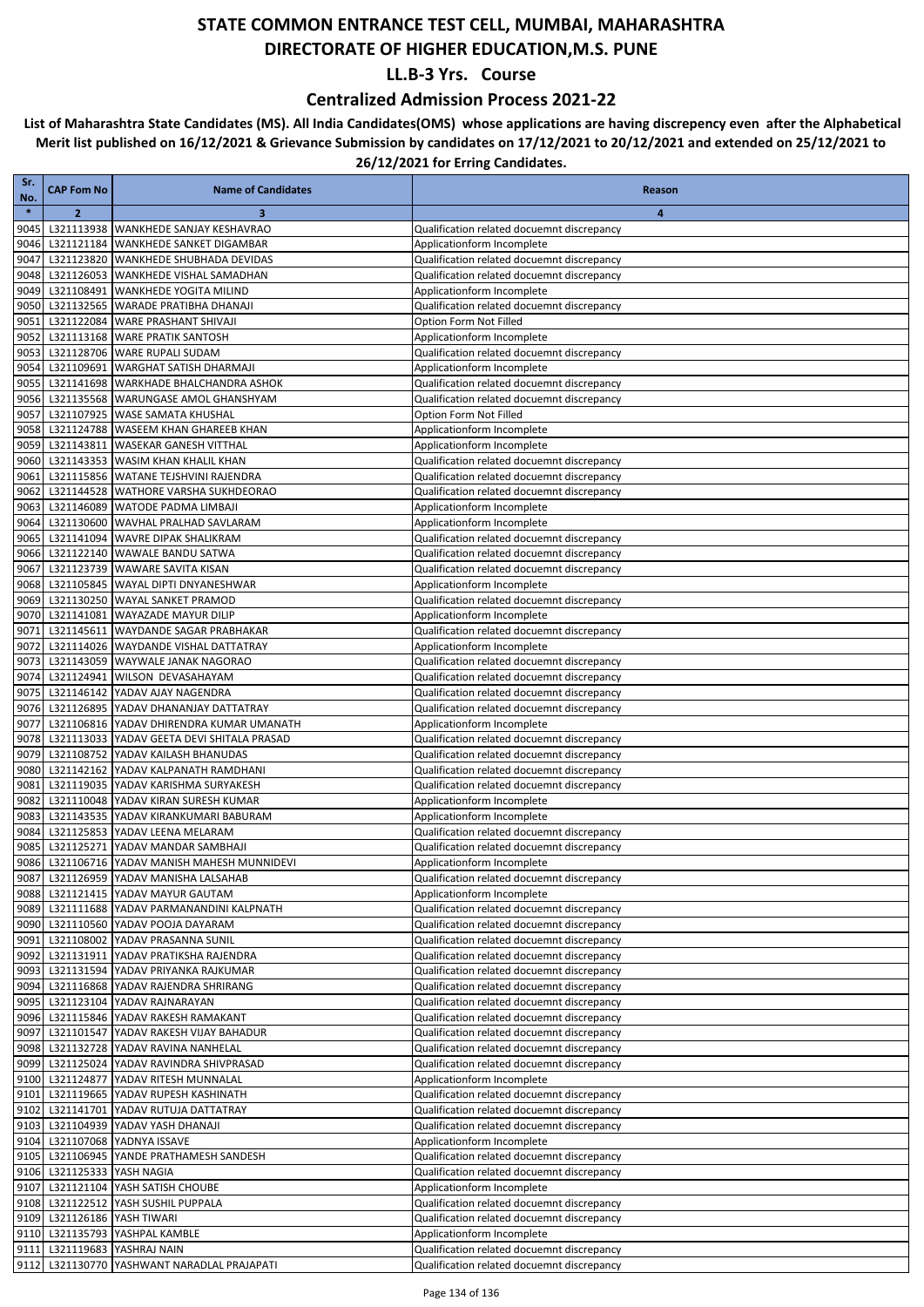### **Centralized Admission Process 2021-22**

| Sr.<br>No.   | <b>CAP Fom No</b>           | <b>Name of Candidates</b>                                                          | Reason                                                                                   |
|--------------|-----------------------------|------------------------------------------------------------------------------------|------------------------------------------------------------------------------------------|
| $\ast$       | $\overline{2}$              | 3                                                                                  | $\overline{4}$                                                                           |
| 9045         |                             | L321113938 WANKHEDE SANJAY KESHAVRAO                                               | Qualification related docuemnt discrepancy                                               |
| 9046         |                             | L321121184 WANKHEDE SANKET DIGAMBAR                                                | Applicationform Incomplete                                                               |
| 9047         |                             | L321123820 WANKHEDE SHUBHADA DEVIDAS                                               | Qualification related docuemnt discrepancy                                               |
| 9048         |                             | L321126053 WANKHEDE VISHAL SAMADHAN                                                | Qualification related docuemnt discrepancy                                               |
| 9049         |                             | L321108491 WANKHEDE YOGITA MILIND                                                  | Applicationform Incomplete                                                               |
| 9050         |                             | L321132565 WARADE PRATIBHA DHANAJI                                                 | Qualification related docuemnt discrepancy                                               |
| 9051         |                             | L321122084 WARE PRASHANT SHIVAJI                                                   | Option Form Not Filled                                                                   |
| 9052<br>9053 |                             | L321113168 WARE PRATIK SANTOSH<br>L321128706 WARE RUPALI SUDAM                     | Applicationform Incomplete<br>Qualification related docuemnt discrepancy                 |
| 9054         |                             | L321109691 WARGHAT SATISH DHARMAJI                                                 | Applicationform Incomplete                                                               |
| 9055         |                             | L321141698 WARKHADE BHALCHANDRA ASHOK                                              | Qualification related docuemnt discrepancy                                               |
| 9056         |                             | L321135568 WARUNGASE AMOL GHANSHYAM                                                | Qualification related docuemnt discrepancy                                               |
| 9057         |                             | L321107925 WASE SAMATA KHUSHAL                                                     | Option Form Not Filled                                                                   |
| 9058         |                             | L321124788 WASEEM KHAN GHAREEB KHAN                                                | Applicationform Incomplete                                                               |
| 9059         |                             | L321143811 WASEKAR GANESH VITTHAL                                                  | Applicationform Incomplete                                                               |
| 9060         |                             | L321143353 WASIM KHAN KHALIL KHAN                                                  | Qualification related docuemnt discrepancy                                               |
| 9061         |                             | L321115856 WATANE TEJSHVINI RAJENDRA                                               | Qualification related docuemnt discrepancy                                               |
| 9062         |                             | L321144528 WATHORE VARSHA SUKHDEORAO                                               | Qualification related docuemnt discrepancy                                               |
| 9063         |                             | L321146089 WATODE PADMA LIMBAJI                                                    | Applicationform Incomplete                                                               |
| 9064         |                             | L321130600 WAVHAL PRALHAD SAVLARAM                                                 | Applicationform Incomplete<br>Qualification related docuemnt discrepancy                 |
| 9065<br>9066 |                             | L321141094 WAVRE DIPAK SHALIKRAM<br>L321122140 WAWALE BANDU SATWA                  | Qualification related docuemnt discrepancy                                               |
| 9067         |                             | L321123739 WAWARE SAVITA KISAN                                                     | Qualification related docuemnt discrepancy                                               |
| 9068         |                             | L321105845 WAYAL DIPTI DNYANESHWAR                                                 | Applicationform Incomplete                                                               |
| 9069         |                             | L321130250 WAYAL SANKET PRAMOD                                                     | Qualification related docuemnt discrepancy                                               |
| 9070         |                             | L321141081 WAYAZADE MAYUR DILIP                                                    | Applicationform Incomplete                                                               |
| 9071         |                             | L321145611 WAYDANDE SAGAR PRABHAKAR                                                | Qualification related docuemnt discrepancy                                               |
| 9072         |                             | L321114026 WAYDANDE VISHAL DATTATRAY                                               | Applicationform Incomplete                                                               |
| 9073         |                             | L321143059 WAYWALE JANAK NAGORAO                                                   | Qualification related docuemnt discrepancy                                               |
| 9074         |                             | L321124941 WILSON DEVASAHAYAM                                                      | Qualification related docuemnt discrepancy                                               |
| 9075         |                             | L321146142 YADAV AJAY NAGENDRA                                                     | Qualification related docuemnt discrepancy                                               |
| 9076         |                             | L321126895 YADAV DHANANJAY DATTATRAY<br>L321106816 YADAV DHIRENDRA KUMAR UMANATH   | Qualification related docuemnt discrepancy                                               |
| 9077<br>9078 |                             | L321113033 YADAV GEETA DEVI SHITALA PRASAD                                         | Applicationform Incomplete<br>Qualification related docuemnt discrepancy                 |
| 9079         |                             | L321108752 YADAV KAILASH BHANUDAS                                                  | Qualification related docuemnt discrepancy                                               |
| 9080         |                             | L321142162 YADAV KALPANATH RAMDHANI                                                | Qualification related docuemnt discrepancy                                               |
| 9081         |                             | L321119035 YADAV KARISHMA SURYAKESH                                                | Qualification related docuemnt discrepancy                                               |
| 9082         |                             | L321110048 YADAV KIRAN SURESH KUMAR                                                | Applicationform Incomplete                                                               |
| 9083         |                             | L321143535 YADAV KIRANKUMARI BABURAM                                               | Applicationform Incomplete                                                               |
| 9084         |                             | L321125853 YADAV LEENA MELARAM                                                     | Qualification related docuemnt discrepancy                                               |
| 9085         |                             | L321125271 YADAV MANDAR SAMBHAJI                                                   | Qualification related docuemnt discrepancy                                               |
| 9086         |                             | L321106716 YADAV MANISH MAHESH MUNNIDEVI                                           | Applicationform Incomplete                                                               |
|              |                             | 9087 L321126959 YADAV MANISHA LALSAHAB<br>9088 L321121415 YADAV MAYUR GAUTAM       | Qualification related docuemnt discrepancy                                               |
|              |                             | 9089 L321111688 YADAV PARMANANDINI KALPNATH                                        | Applicationform Incomplete<br>Qualification related docuemnt discrepancy                 |
|              |                             | 9090 L321110560 YADAV POOJA DAYARAM                                                | Qualification related docuemnt discrepancy                                               |
| 9091         |                             | L321108002 YADAV PRASANNA SUNIL                                                    | Qualification related docuemnt discrepancy                                               |
| 9092         |                             | L321131911 YADAV PRATIKSHA RAJENDRA                                                | Qualification related docuemnt discrepancy                                               |
|              |                             | 9093 L321131594 YADAV PRIYANKA RAJKUMAR                                            | Qualification related docuemnt discrepancy                                               |
|              |                             | 9094 L321116868 YADAV RAJENDRA SHRIRANG                                            | Qualification related docuemnt discrepancy                                               |
| 9095         |                             | L321123104 YADAV RAJNARAYAN                                                        | Qualification related docuemnt discrepancy                                               |
|              |                             | 9096 L321115846 YADAV RAKESH RAMAKANT                                              | Qualification related docuemnt discrepancy                                               |
| 9097         |                             | L321101547 YADAV RAKESH VIJAY BAHADUR                                              | Qualification related docuemnt discrepancy                                               |
|              |                             | 9098 L321132728 YADAV RAVINA NANHELAL<br>9099 L321125024 YADAV RAVINDRA SHIVPRASAD | Qualification related docuemnt discrepancy<br>Qualification related docuemnt discrepancy |
|              |                             | 9100 L321124877 YADAV RITESH MUNNALAL                                              | Applicationform Incomplete                                                               |
| 9101         |                             | L321119665 YADAV RUPESH KASHINATH                                                  | Qualification related docuemnt discrepancy                                               |
|              |                             | 9102 L321141701 YADAV RUTUJA DATTATRAY                                             | Qualification related docuemnt discrepancy                                               |
|              |                             | 9103 L321104939 YADAV YASH DHANAJI                                                 | Qualification related docuemnt discrepancy                                               |
|              |                             | 9104 L321107068 YADNYA ISSAVE                                                      | Applicationform Incomplete                                                               |
|              |                             | 9105 L321106945 YANDE PRATHAMESH SANDESH                                           | Qualification related docuemnt discrepancy                                               |
|              | 9106 L321125333 YASH NAGIA  |                                                                                    | Qualification related docuemnt discrepancy                                               |
|              |                             | 9107 L321121104 YASH SATISH CHOUBE                                                 | Applicationform Incomplete                                                               |
|              |                             | 9108 L321122512 YASH SUSHIL PUPPALA                                                | Qualification related docuemnt discrepancy                                               |
|              | 9109 L321126186 YASH TIWARI |                                                                                    | Qualification related docuemnt discrepancy                                               |
|              |                             | 9110 L321135793 YASHPAL KAMBLE<br>9111 L321119683 YASHRAJ NAIN                     | Applicationform Incomplete<br>Qualification related docuemnt discrepancy                 |
|              |                             | 9112 L321130770 YASHWANT NARADLAL PRAJAPATI                                        | Qualification related docuemnt discrepancy                                               |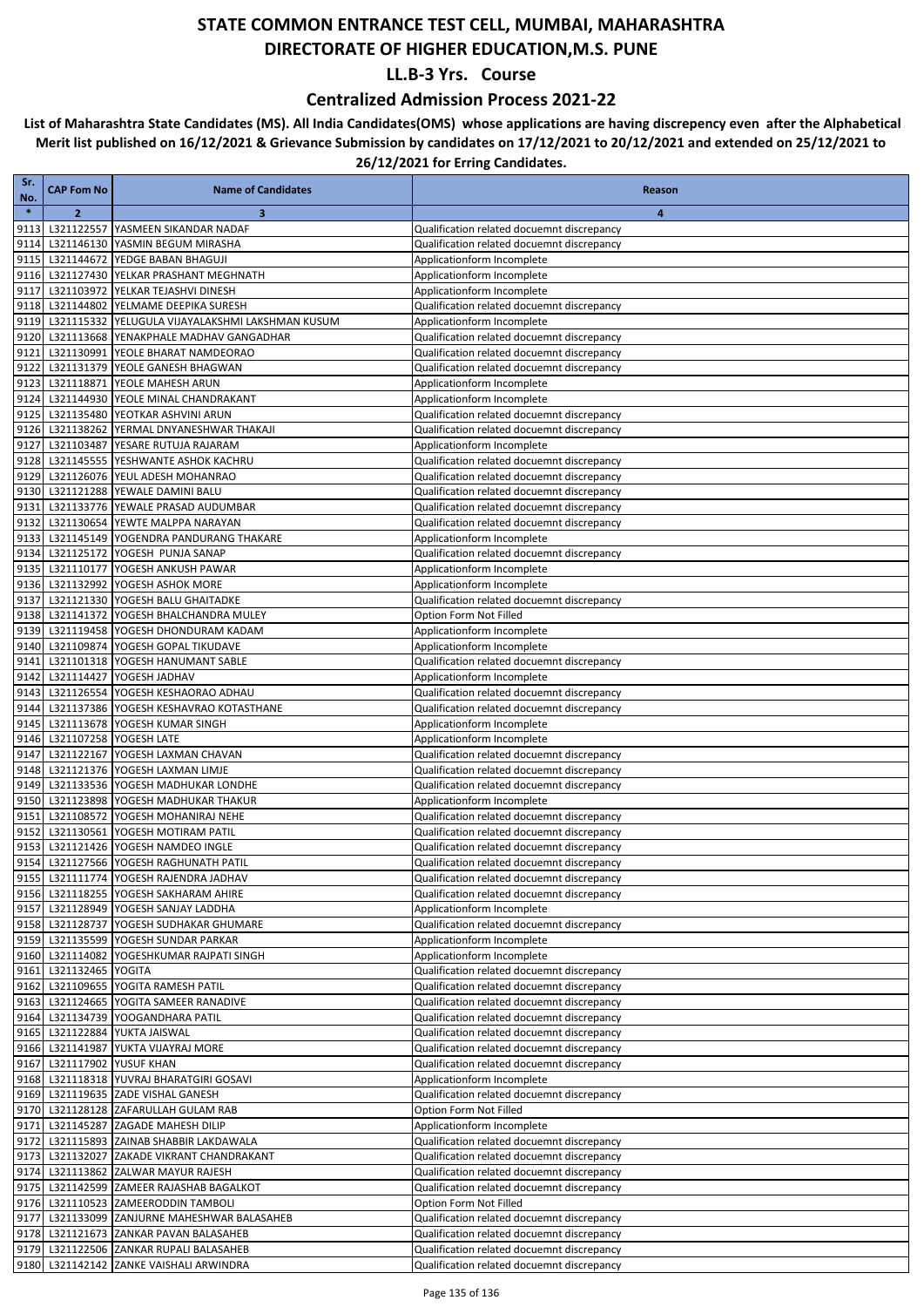### **Centralized Admission Process 2021-22**

| Sr.<br>No.   | <b>CAP Fom No</b>          | <b>Name of Candidates</b>                                                              | Reason                                                                                   |
|--------------|----------------------------|----------------------------------------------------------------------------------------|------------------------------------------------------------------------------------------|
| $\ast$       | $\mathbf{2}$               | 3                                                                                      | 4                                                                                        |
| 9113         |                            | L321122557 YASMEEN SIKANDAR NADAF                                                      | Qualification related docuemnt discrepancy                                               |
| 9114         |                            | L321146130 YASMIN BEGUM MIRASHA                                                        | Qualification related docuemnt discrepancy                                               |
| 9115         |                            | L321144672 YEDGE BABAN BHAGUJI                                                         | Applicationform Incomplete                                                               |
| 9116         |                            | L321127430 YELKAR PRASHANT MEGHNATH                                                    | Applicationform Incomplete                                                               |
| 9117         |                            | L321103972 YELKAR TEJASHVI DINESH                                                      | Applicationform Incomplete                                                               |
| 9118         |                            | L321144802 YELMAME DEEPIKA SURESH                                                      | Qualification related docuemnt discrepancy                                               |
| 9119         |                            | L321115332 YELUGULA VIJAYALAKSHMI LAKSHMAN KUSUM                                       | Applicationform Incomplete                                                               |
| 9120<br>9121 |                            | L321113668 YENAKPHALE MADHAV GANGADHAR<br>L321130991 YEOLE BHARAT NAMDEORAO            | Qualification related docuemnt discrepancy<br>Qualification related docuemnt discrepancy |
| 9122         |                            | L321131379 YEOLE GANESH BHAGWAN                                                        | Qualification related docuemnt discrepancy                                               |
| 9123         |                            | L321118871 YEOLE MAHESH ARUN                                                           | Applicationform Incomplete                                                               |
|              |                            | 9124 L321144930 YEOLE MINAL CHANDRAKANT                                                | Applicationform Incomplete                                                               |
| 9125         |                            | L321135480 YEOTKAR ASHVINI ARUN                                                        | Qualification related docuemnt discrepancy                                               |
| 9126         |                            | L321138262 YERMAL DNYANESHWAR THAKAJI                                                  | Qualification related docuemnt discrepancy                                               |
| 9127         |                            | L321103487 YESARE RUTUJA RAJARAM                                                       | Applicationform Incomplete                                                               |
| 9128         |                            | L321145555 YESHWANTE ASHOK KACHRU                                                      | Qualification related docuemnt discrepancy                                               |
| 9129         |                            | L321126076 YEUL ADESH MOHANRAO                                                         | Qualification related docuemnt discrepancy                                               |
|              |                            | 9130 L321121288 YEWALE DAMINI BALU                                                     | Qualification related docuemnt discrepancy                                               |
| 9131         |                            | L321133776 YEWALE PRASAD AUDUMBAR                                                      | Qualification related docuemnt discrepancy                                               |
| 9132<br>9133 |                            | L321130654 YEWTE MALPPA NARAYAN<br>L321145149 YOGENDRA PANDURANG THAKARE               | Qualification related docuemnt discrepancy                                               |
| 9134         |                            | L321125172 YOGESH PUNJA SANAP                                                          | Applicationform Incomplete<br>Qualification related docuemnt discrepancy                 |
| 9135         |                            | L321110177 YOGESH ANKUSH PAWAR                                                         | Applicationform Incomplete                                                               |
|              |                            | 9136 L321132992 YOGESH ASHOK MORE                                                      | Applicationform Incomplete                                                               |
| 9137         |                            | L321121330 YOGESH BALU GHAITADKE                                                       | Qualification related docuemnt discrepancy                                               |
| 9138         |                            | L321141372 YOGESH BHALCHANDRA MULEY                                                    | Option Form Not Filled                                                                   |
| 9139         |                            | L321119458 YOGESH DHONDURAM KADAM                                                      | Applicationform Incomplete                                                               |
| 9140         |                            | L321109874 YOGESH GOPAL TIKUDAVE                                                       | Applicationform Incomplete                                                               |
| 9141         |                            | L321101318 YOGESH HANUMANT SABLE                                                       | Qualification related docuemnt discrepancy                                               |
| 9142         |                            | L321114427 YOGESH JADHAV                                                               | Applicationform Incomplete                                                               |
| 9143         |                            | L321126554 YOGESH KESHAORAO ADHAU                                                      | Qualification related docuemnt discrepancy                                               |
| 9144<br>9145 |                            | L321137386 YOGESH KESHAVRAO KOTASTHANE<br>L321113678 YOGESH KUMAR SINGH                | Qualification related docuemnt discrepancy<br>Applicationform Incomplete                 |
| 9146         |                            | L321107258 YOGESH LATE                                                                 | Applicationform Incomplete                                                               |
| 9147         |                            | L321122167 YOGESH LAXMAN CHAVAN                                                        | Qualification related docuemnt discrepancy                                               |
| 9148         |                            | L321121376 YOGESH LAXMAN LIMJE                                                         | Qualification related docuemnt discrepancy                                               |
| 9149         |                            | L321133536 YOGESH MADHUKAR LONDHE                                                      | Qualification related docuemnt discrepancy                                               |
| 9150         |                            | L321123898 YOGESH MADHUKAR THAKUR                                                      | Applicationform Incomplete                                                               |
| 9151         |                            | L321108572 YOGESH MOHANIRAJ NEHE                                                       | Qualification related docuemnt discrepancy                                               |
| 9152         |                            | L321130561 YOGESH MOTIRAM PATIL                                                        | Qualification related docuemnt discrepancy                                               |
| 9153         |                            | L321121426 YOGESH NAMDEO INGLE                                                         | Qualification related docuemnt discrepancy                                               |
| 9154         |                            | L321127566 YOGESH RAGHUNATH PATIL                                                      | Qualification related docuemnt discrepancy                                               |
|              |                            | 9155 L321111774 YOGESH RAJENDRA JADHAV<br>9156 L321118255 YOGESH SAKHARAM AHIRE        | Qualification related docuemnt discrepancy<br>Qualification related docuemnt discrepancy |
|              |                            | 9157 L321128949 YOGESH SANJAY LADDHA                                                   | Applicationform Incomplete                                                               |
|              |                            | 9158 L321128737 YOGESH SUDHAKAR GHUMARE                                                | Qualification related docuemnt discrepancy                                               |
|              |                            | 9159 L321135599 YOGESH SUNDAR PARKAR                                                   | Applicationform Incomplete                                                               |
|              |                            | 9160 L321114082 YOGESHKUMAR RAJPATI SINGH                                              | Applicationform Incomplete                                                               |
|              | 9161 L321132465 YOGITA     |                                                                                        | Qualification related docuemnt discrepancy                                               |
|              |                            | 9162 L321109655 YOGITA RAMESH PATIL                                                    | Qualification related docuemnt discrepancy                                               |
|              |                            | 9163 L321124665 YOGITA SAMEER RANADIVE                                                 | Qualification related docuemnt discrepancy                                               |
|              |                            | 9164 L321134739 YOOGANDHARA PATIL                                                      | Qualification related docuemnt discrepancy                                               |
|              |                            | 9165 L321122884 YUKTA JAISWAL                                                          | Qualification related docuemnt discrepancy                                               |
|              | 9167 L321117902 YUSUF KHAN | 9166 L321141987 YUKTA VIJAYRAJ MORE                                                    | Qualification related docuemnt discrepancy<br>Qualification related docuemnt discrepancy |
|              |                            | 9168 L321118318 YUVRAJ BHARATGIRI GOSAVI                                               | Applicationform Incomplete                                                               |
|              |                            | 9169 L321119635 ZADE VISHAL GANESH                                                     | Qualification related docuemnt discrepancy                                               |
|              |                            | 9170 L321128128 ZAFARULLAH GULAM RAB                                                   | Option Form Not Filled                                                                   |
| 9171         |                            | L321145287 ZAGADE MAHESH DILIP                                                         | Applicationform Incomplete                                                               |
|              |                            | 9172 L321115893 ZAINAB SHABBIR LAKDAWALA                                               | Qualification related docuemnt discrepancy                                               |
|              |                            | 9173 L321132027 ZAKADE VIKRANT CHANDRAKANT                                             | Qualification related docuemnt discrepancy                                               |
|              |                            | 9174 L321113862 ZALWAR MAYUR RAJESH                                                    | Qualification related docuemnt discrepancy                                               |
|              |                            | 9175 L321142599 ZAMEER RAJASHAB BAGALKOT                                               | Qualification related docuemnt discrepancy                                               |
|              |                            | 9176 L321110523 ZAMEERODDIN TAMBOLI                                                    | Option Form Not Filled                                                                   |
|              |                            | 9177 L321133099 ZANJURNE MAHESHWAR BALASAHEB<br>9178 L321121673 ZANKAR PAVAN BALASAHEB | Qualification related docuemnt discrepancy<br>Qualification related docuemnt discrepancy |
|              |                            | 9179 L321122506 ZANKAR RUPALI BALASAHEB                                                | Qualification related docuemnt discrepancy                                               |
|              |                            | 9180 L321142142 ZANKE VAISHALI ARWINDRA                                                | Qualification related docuemnt discrepancy                                               |